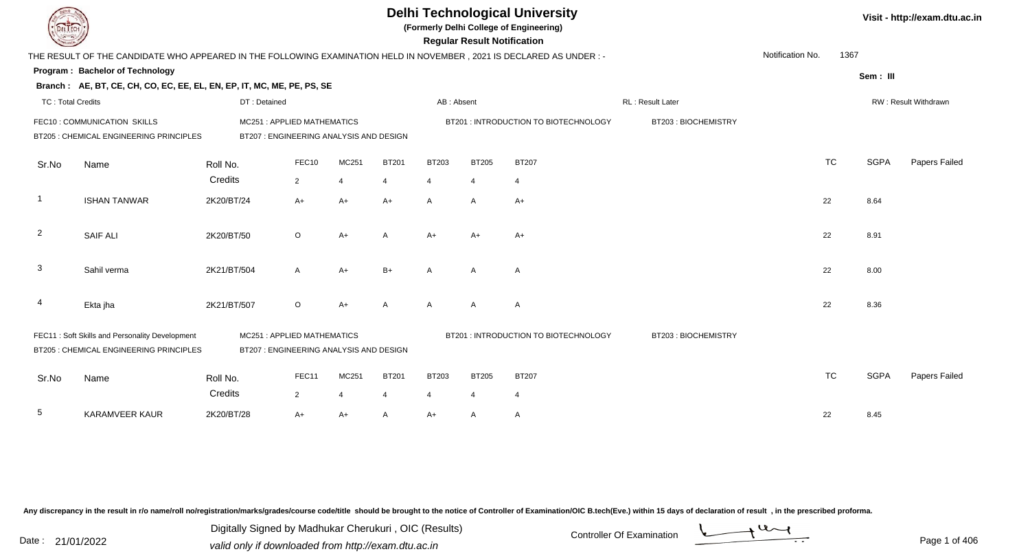| DEL TECH                 | <b>Delhi Technological University</b><br>(Formerly Delhi College of Engineering)<br><b>Regular Result Notification</b><br>THE RESULT OF THE CANDIDATE WHO APPEARED IN THE FOLLOWING EXAMINATION HELD IN NOVEMBER, 2021 IS DECLARED AS UNDER :- |                                         |                |                |              |                |                |                                       |                     |                  |           |             |                      |  |
|--------------------------|------------------------------------------------------------------------------------------------------------------------------------------------------------------------------------------------------------------------------------------------|-----------------------------------------|----------------|----------------|--------------|----------------|----------------|---------------------------------------|---------------------|------------------|-----------|-------------|----------------------|--|
|                          |                                                                                                                                                                                                                                                |                                         |                |                |              |                |                |                                       |                     | Notification No. | 1367      |             |                      |  |
|                          | Program: Bachelor of Technology                                                                                                                                                                                                                |                                         |                |                |              |                |                |                                       |                     |                  |           | Sem: III    |                      |  |
|                          | Branch: AE, BT, CE, CH, CO, EC, EE, EL, EN, EP, IT, MC, ME, PE, PS, SE                                                                                                                                                                         |                                         |                |                |              |                |                |                                       |                     |                  |           |             |                      |  |
| <b>TC: Total Credits</b> |                                                                                                                                                                                                                                                | DT: Detained                            |                |                |              | AB: Absent     |                |                                       | RL: Result Later    |                  |           |             | RW: Result Withdrawn |  |
|                          | FEC10 : COMMUNICATION SKILLS                                                                                                                                                                                                                   | MC251: APPLIED MATHEMATICS              |                |                |              |                |                | BT201 : INTRODUCTION TO BIOTECHNOLOGY | BT203: BIOCHEMISTRY |                  |           |             |                      |  |
|                          | BT205 : CHEMICAL ENGINEERING PRINCIPLES                                                                                                                                                                                                        | BT207 : ENGINEERING ANALYSIS AND DESIGN |                |                |              |                |                |                                       |                     |                  |           |             |                      |  |
| Sr.No                    | Name                                                                                                                                                                                                                                           | Roll No.                                | FEC10          | MC251          | <b>BT201</b> | <b>BT203</b>   | <b>BT205</b>   | <b>BT207</b>                          |                     |                  | <b>TC</b> | <b>SGPA</b> | Papers Failed        |  |
|                          |                                                                                                                                                                                                                                                | Credits                                 | $\overline{2}$ | $\overline{4}$ | 4            | 4              | $\overline{4}$ | $\overline{4}$                        |                     |                  |           |             |                      |  |
| $\overline{\phantom{a}}$ | <b>ISHAN TANWAR</b>                                                                                                                                                                                                                            | 2K20/BT/24                              | $A+$           | $A+$           | $A+$         | $\mathsf{A}$   | $\overline{A}$ | $A+$                                  |                     |                  | 22        | 8.64        |                      |  |
| $\overline{2}$           | <b>SAIF ALI</b>                                                                                                                                                                                                                                | 2K20/BT/50                              | $\circ$        | $A+$           | A            | A+             | $A+$           | $A+$                                  |                     |                  | 22        | 8.91        |                      |  |
| $\mathbf{3}$             | Sahil verma                                                                                                                                                                                                                                    | 2K21/BT/504                             | A              | $A+$           | $B+$         | A              | $\overline{A}$ | A                                     |                     |                  | 22        | 8.00        |                      |  |
| 4                        | Ekta jha                                                                                                                                                                                                                                       | 2K21/BT/507                             | $\circ$        | $A+$           | A            | $\mathsf{A}$   | $\overline{A}$ | $\overline{A}$                        |                     |                  | 22        | 8.36        |                      |  |
|                          | FEC11: Soft Skills and Personality Development<br>MC251: APPLIED MATHEMATICS<br>BT205 : CHEMICAL ENGINEERING PRINCIPLES<br>BT207 : ENGINEERING ANALYSIS AND DESIGN                                                                             |                                         |                |                |              |                |                | BT201 : INTRODUCTION TO BIOTECHNOLOGY | BT203: BIOCHEMISTRY |                  |           |             |                      |  |
| Sr.No                    | Name                                                                                                                                                                                                                                           | Roll No.                                | FEC11          | MC251          | <b>BT201</b> | <b>BT203</b>   | <b>BT205</b>   | <b>BT207</b>                          |                     |                  | <b>TC</b> | <b>SGPA</b> | Papers Failed        |  |
|                          |                                                                                                                                                                                                                                                | Credits                                 | $\overline{2}$ | $\overline{4}$ | 4            | $\overline{4}$ | 4              | $\overline{4}$                        |                     |                  |           |             |                      |  |
| 5                        | <b>KARAMVEER KAUR</b>                                                                                                                                                                                                                          | 2K20/BT/28                              | $A+$           | $A+$           | A            | A+             | A              | Α                                     |                     |                  | 22        | 8.45        |                      |  |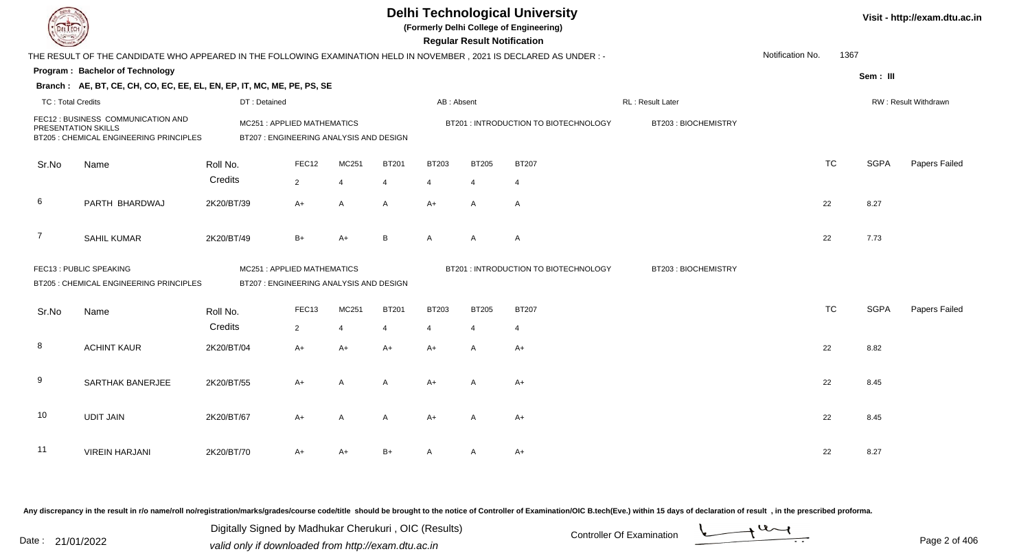|                          |                                                                                                                      |                                                                      |                                        |                        |                        |                        | <b>Regular Result Notification</b> | <b>Delhi Technological University</b><br>(Formerly Delhi College of Engineering) |                     |                  |           |             | Visit - http://exam.dtu.ac.in |
|--------------------------|----------------------------------------------------------------------------------------------------------------------|----------------------------------------------------------------------|----------------------------------------|------------------------|------------------------|------------------------|------------------------------------|----------------------------------------------------------------------------------|---------------------|------------------|-----------|-------------|-------------------------------|
|                          | THE RESULT OF THE CANDIDATE WHO APPEARED IN THE FOLLOWING EXAMINATION HELD IN NOVEMBER, 2021 IS DECLARED AS UNDER :- |                                                                      |                                        |                        |                        |                        |                                    |                                                                                  |                     | Notification No. | 1367      |             |                               |
|                          | Program: Bachelor of Technology                                                                                      |                                                                      |                                        |                        |                        |                        |                                    |                                                                                  |                     |                  |           | Sem: III    |                               |
|                          | Branch: AE, BT, CE, CH, CO, EC, EE, EL, EN, EP, IT, MC, ME, PE, PS, SE                                               |                                                                      |                                        |                        |                        |                        |                                    |                                                                                  |                     |                  |           |             |                               |
| <b>TC: Total Credits</b> |                                                                                                                      | DT: Detained                                                         |                                        |                        |                        | AB: Absent             |                                    |                                                                                  | RL : Result Later   |                  |           |             | RW: Result Withdrawn          |
|                          | FEC12 : BUSINESS COMMUNICATION AND<br>PRESENTATION SKILLS<br>BT205 : CHEMICAL ENGINEERING PRINCIPLES                 | MC251: APPLIED MATHEMATICS<br>BT207: ENGINEERING ANALYSIS AND DESIGN |                                        |                        |                        |                        |                                    | BT201 : INTRODUCTION TO BIOTECHNOLOGY                                            | BT203: BIOCHEMISTRY |                  |           |             |                               |
| Sr.No                    | Name                                                                                                                 | Roll No.                                                             | FEC12                                  | MC251                  | <b>BT201</b>           | <b>BT203</b>           | <b>BT205</b>                       | <b>BT207</b>                                                                     |                     |                  | <b>TC</b> | <b>SGPA</b> | Papers Failed                 |
|                          |                                                                                                                      | Credits                                                              | $\overline{2}$                         | $\overline{4}$         | $\overline{4}$         | 4                      | $\overline{4}$                     | $\overline{4}$                                                                   |                     |                  |           |             |                               |
| 6                        | PARTH BHARDWAJ                                                                                                       | 2K20/BT/39                                                           | $A+$                                   | $\mathsf{A}$           | A                      | $A+$                   | A                                  | $\overline{A}$                                                                   |                     |                  | 22        | 8.27        |                               |
| $\overline{7}$           | <b>SAHIL KUMAR</b>                                                                                                   | 2K20/BT/49                                                           | $B+$                                   | $A+$                   | B                      | A                      | $\mathsf{A}$                       | $\overline{A}$                                                                   |                     |                  | 22        | 7.73        |                               |
|                          | FEC13: PUBLIC SPEAKING<br>BT205 : CHEMICAL ENGINEERING PRINCIPLES                                                    | MC251: APPLIED MATHEMATICS                                           | BT207: ENGINEERING ANALYSIS AND DESIGN |                        |                        |                        |                                    | BT201 : INTRODUCTION TO BIOTECHNOLOGY                                            | BT203: BIOCHEMISTRY |                  |           |             |                               |
| Sr.No                    | Name                                                                                                                 | Roll No.                                                             | FEC13                                  | MC251                  | <b>BT201</b>           | <b>BT203</b>           | <b>BT205</b>                       | <b>BT207</b>                                                                     |                     |                  | <b>TC</b> | <b>SGPA</b> | Papers Failed                 |
| 8                        | <b>ACHINT KAUR</b>                                                                                                   | Credits<br>2K20/BT/04                                                | $\overline{2}$<br>$A+$                 | $\overline{4}$<br>$A+$ | $\overline{4}$<br>$A+$ | $\overline{4}$<br>$A+$ | $\overline{4}$<br>$\mathsf{A}$     | $\overline{4}$<br>$A+$                                                           |                     |                  | 22        | 8.82        |                               |
| 9                        | SARTHAK BANERJEE                                                                                                     | 2K20/BT/55                                                           | A+                                     | $\overline{A}$         | A                      | $A+$                   | A                                  | $A+$                                                                             |                     |                  | 22        | 8.45        |                               |
| 10                       | <b>UDIT JAIN</b>                                                                                                     | 2K20/BT/67                                                           | A+                                     | A                      | A                      | $A+$                   | A                                  | A+                                                                               |                     |                  | 22        | 8.45        |                               |
| 11                       | <b>VIREIN HARJANI</b>                                                                                                | 2K20/BT/70                                                           | A+                                     | A+                     | $B+$                   | A                      | A                                  | $A+$                                                                             |                     |                  | 22        | 8.27        |                               |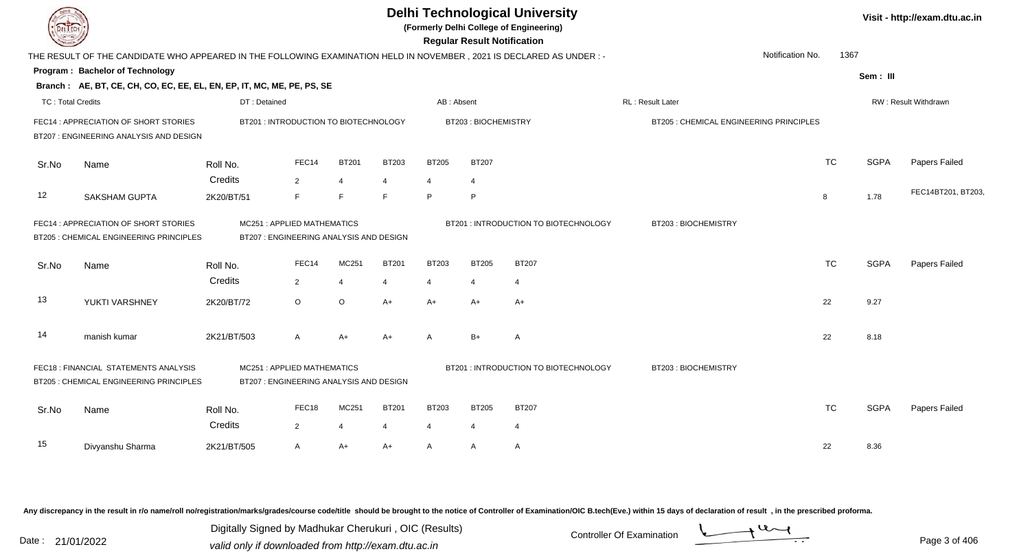| <b>DELTECH</b>           |                                                                                                                                                           |                                                                       |                |                                |                                          |                                       | <b>Regular Result Notification</b> | <b>Delhi Technological University</b><br>(Formerly Delhi College of Engineering) |                                         |                  |           |             | Visit - http://exam.dtu.ac.in |
|--------------------------|-----------------------------------------------------------------------------------------------------------------------------------------------------------|-----------------------------------------------------------------------|----------------|--------------------------------|------------------------------------------|---------------------------------------|------------------------------------|----------------------------------------------------------------------------------|-----------------------------------------|------------------|-----------|-------------|-------------------------------|
|                          | THE RESULT OF THE CANDIDATE WHO APPEARED IN THE FOLLOWING EXAMINATION HELD IN NOVEMBER, 2021 IS DECLARED AS UNDER:-                                       |                                                                       |                |                                |                                          |                                       |                                    |                                                                                  |                                         | Notification No. | 1367      |             |                               |
|                          | Program: Bachelor of Technology                                                                                                                           |                                                                       |                |                                |                                          |                                       |                                    |                                                                                  |                                         |                  |           | Sem: III    |                               |
|                          | Branch: AE, BT, CE, CH, CO, EC, EE, EL, EN, EP, IT, MC, ME, PE, PS, SE                                                                                    |                                                                       |                |                                |                                          |                                       |                                    |                                                                                  |                                         |                  |           |             |                               |
| <b>TC: Total Credits</b> |                                                                                                                                                           | DT: Detained                                                          |                |                                |                                          | AB: Absent                            |                                    |                                                                                  | <b>RL: Result Later</b>                 |                  |           |             | <b>RW: Result Withdrawn</b>   |
|                          | FEC14 : APPRECIATION OF SHORT STORIES<br>BT207 : ENGINEERING ANALYSIS AND DESIGN                                                                          | BT201: INTRODUCTION TO BIOTECHNOLOGY                                  |                |                                |                                          |                                       | BT203: BIOCHEMISTRY                |                                                                                  | BT205 : CHEMICAL ENGINEERING PRINCIPLES |                  |           |             |                               |
| Sr.No                    | Name                                                                                                                                                      | Roll No.<br>Credits                                                   | FEC14<br>2     | <b>BT201</b><br>$\overline{4}$ | <b>BT203</b><br>$\boldsymbol{\varDelta}$ | <b>BT205</b><br>$\overline{4}$        | <b>BT207</b><br>$\overline{4}$     |                                                                                  |                                         |                  | <b>TC</b> | <b>SGPA</b> | Papers Failed                 |
| 12                       | <b>SAKSHAM GUPTA</b>                                                                                                                                      | 2K20/BT/51                                                            | F              | F                              | E                                        | P                                     | $\mathsf P$                        |                                                                                  |                                         |                  | 8         | 1.78        | FEC14BT201, BT203,            |
|                          | FEC14 : APPRECIATION OF SHORT STORIES<br>BT205 : CHEMICAL ENGINEERING PRINCIPLES                                                                          | MC251: APPLIED MATHEMATICS<br>BT207 : ENGINEERING ANALYSIS AND DESIGN |                |                                |                                          | BT201 : INTRODUCTION TO BIOTECHNOLOGY | BT203: BIOCHEMISTRY                |                                                                                  |                                         |                  |           |             |                               |
| Sr.No                    | Name                                                                                                                                                      | Roll No.                                                              | FEC14          | MC251                          | <b>BT201</b>                             | <b>BT203</b>                          | <b>BT205</b>                       | <b>BT207</b>                                                                     |                                         |                  | <b>TC</b> | <b>SGPA</b> | Papers Failed                 |
|                          |                                                                                                                                                           | Credits                                                               | $\overline{2}$ | $\overline{4}$                 | $\overline{4}$                           | 4                                     | $\overline{4}$                     | $\overline{4}$                                                                   |                                         |                  |           |             |                               |
| 13                       | YUKTI VARSHNEY                                                                                                                                            | 2K20/BT/72                                                            | $\circ$        | $\circ$                        | A+                                       | $A+$                                  | $A+$                               | A+                                                                               |                                         |                  | 22        | 9.27        |                               |
| 14                       | manish kumar                                                                                                                                              | 2K21/BT/503                                                           | $\mathsf{A}$   | $A+$                           | A+                                       | $\mathsf{A}$                          | $B+$                               | A                                                                                |                                         |                  | 22        | 8.18        |                               |
|                          | FEC18 : FINANCIAL STATEMENTS ANALYSIS<br>MC251: APPLIED MATHEMATICS<br>BT207 : ENGINEERING ANALYSIS AND DESIGN<br>BT205 : CHEMICAL ENGINEERING PRINCIPLES |                                                                       |                |                                |                                          |                                       |                                    | BT201 : INTRODUCTION TO BIOTECHNOLOGY                                            | BT203: BIOCHEMISTRY                     |                  |           |             |                               |
| Sr.No                    | Name                                                                                                                                                      | Roll No.<br>Credits                                                   | FEC18<br>2     | MC251<br>$\overline{4}$        | <b>BT201</b><br>4                        | <b>BT203</b><br>$\overline{4}$        | <b>BT205</b><br>$\overline{4}$     | <b>BT207</b><br>$\overline{4}$                                                   |                                         |                  | <b>TC</b> | <b>SGPA</b> | Papers Failed                 |
|                          |                                                                                                                                                           |                                                                       |                |                                |                                          |                                       |                                    |                                                                                  |                                         |                  |           |             |                               |
| 15                       | Divyanshu Sharma                                                                                                                                          | 2K21/BT/505                                                           | $\mathsf{A}$   | A+                             | A+                                       | $\mathsf{A}$                          | A                                  | A                                                                                |                                         |                  | 22        | 8.36        |                               |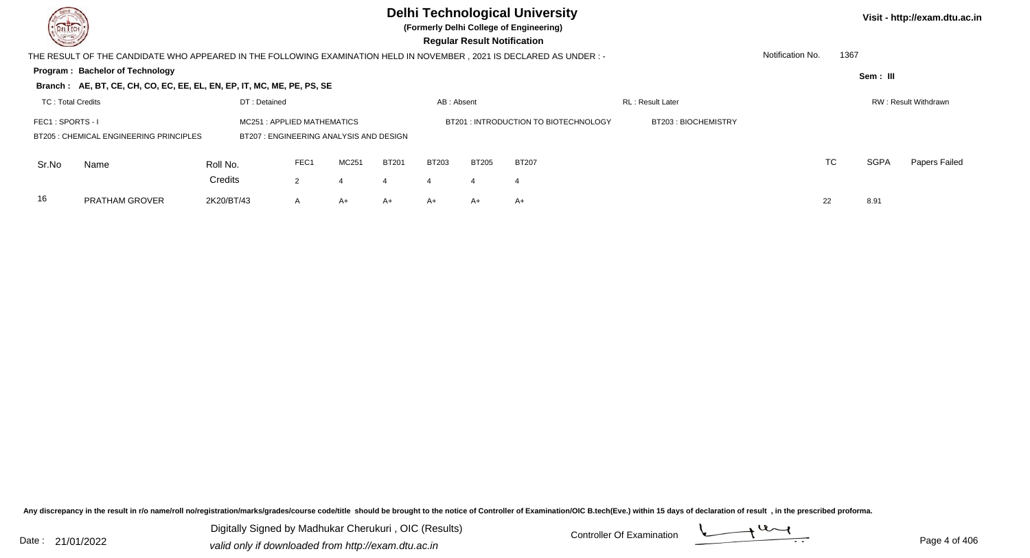**(Formerly Delhi College of Engineering)**

 **Regular Result Notification**

**Visit - http://exam.dtu.ac.in**

| <b>Course /</b>                                                                                               |                                                                                                                     |            |                |       |              |              | <b>Requiar Result Notification</b> |              |  |                  |           |             |               |
|---------------------------------------------------------------------------------------------------------------|---------------------------------------------------------------------------------------------------------------------|------------|----------------|-------|--------------|--------------|------------------------------------|--------------|--|------------------|-----------|-------------|---------------|
|                                                                                                               | THE RESULT OF THE CANDIDATE WHO APPEARED IN THE FOLLOWING EXAMINATION HELD IN NOVEMBER, 2021 IS DECLARED AS UNDER:- |            |                |       |              |              |                                    |              |  | Notification No. | 1367      |             |               |
|                                                                                                               | Program: Bachelor of Technology                                                                                     |            |                |       |              |              |                                    |              |  |                  |           | Sem: III    |               |
|                                                                                                               | Branch: AE, BT, CE, CH, CO, EC, EE, EL, EN, EP, IT, MC, ME, PE, PS, SE                                              |            |                |       |              |              |                                    |              |  |                  |           |             |               |
| DT: Detained<br>RL: Result Later<br><b>TC: Total Credits</b><br>RW: Result Withdrawn<br>AB: Absent            |                                                                                                                     |            |                |       |              |              |                                    |              |  |                  |           |             |               |
| FEC1: SPORTS - I<br>MC251: APPLIED MATHEMATICS<br>BT201: INTRODUCTION TO BIOTECHNOLOGY<br>BT203: BIOCHEMISTRY |                                                                                                                     |            |                |       |              |              |                                    |              |  |                  |           |             |               |
| <b>BT205: CHEMICAL ENGINEERING PRINCIPLES</b><br>BT207: ENGINEERING ANALYSIS AND DESIGN                       |                                                                                                                     |            |                |       |              |              |                                    |              |  |                  |           |             |               |
| Sr.No                                                                                                         | Name                                                                                                                | Roll No.   | FEC1           | MC251 | <b>BT201</b> | <b>BT203</b> | <b>BT205</b>                       | <b>BT207</b> |  |                  | <b>TC</b> | <b>SGPA</b> | Papers Failed |
|                                                                                                               |                                                                                                                     | Credits    | $\overline{2}$ |       |              |              | 4                                  | 4            |  |                  |           |             |               |
| 16                                                                                                            | <b>PRATHAM GROVER</b>                                                                                               | 2K20/BT/43 | $\mathsf{A}$   | A+    | $A+$         | A+           | $A+$                               | $A+$         |  | 22               |           | 8.91        |               |

Any discrepancy in the result in r/o name/roll no/registration/marks/grades/course code/title should be brought to the notice of Controller of Examination/OIC B.tech(Eve.) within 15 days of declaration of result, in the pr

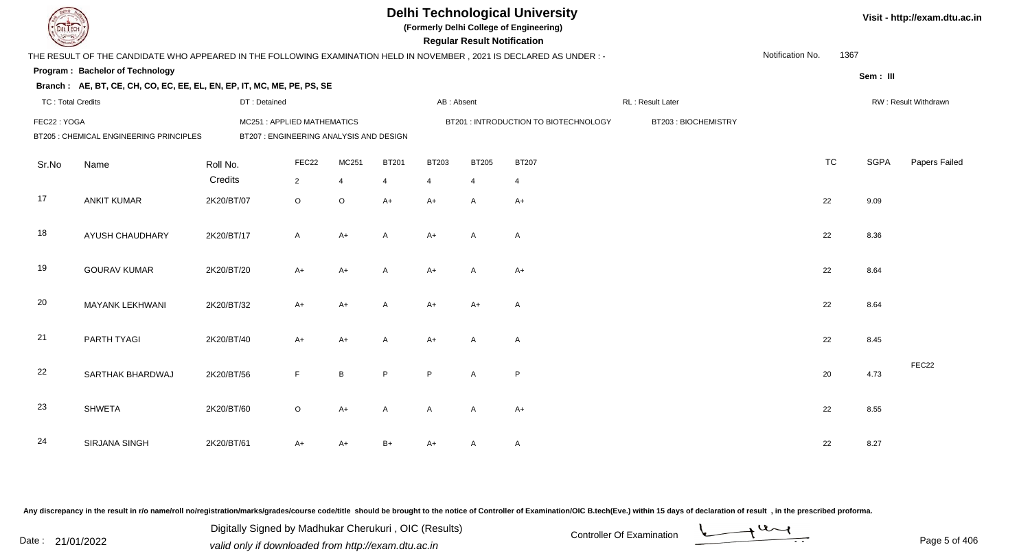| EL ECH                   |                                                                                                                      |                                         |                           |                               |              |                        | <b>Regular Result Notification</b> | <b>Delhi Technological University</b><br>(Formerly Delhi College of Engineering) |                     |                  |           |             | Visit - http://exam.dtu.ac.in |
|--------------------------|----------------------------------------------------------------------------------------------------------------------|-----------------------------------------|---------------------------|-------------------------------|--------------|------------------------|------------------------------------|----------------------------------------------------------------------------------|---------------------|------------------|-----------|-------------|-------------------------------|
|                          | THE RESULT OF THE CANDIDATE WHO APPEARED IN THE FOLLOWING EXAMINATION HELD IN NOVEMBER, 2021 IS DECLARED AS UNDER :- |                                         |                           |                               |              |                        |                                    |                                                                                  |                     | Notification No. | 1367      |             |                               |
|                          | Program: Bachelor of Technology                                                                                      |                                         |                           |                               |              |                        |                                    |                                                                                  |                     |                  |           | Sem: III    |                               |
|                          | Branch: AE, BT, CE, CH, CO, EC, EE, EL, EN, EP, IT, MC, ME, PE, PS, SE                                               |                                         |                           |                               |              |                        |                                    |                                                                                  |                     |                  |           |             |                               |
| <b>TC: Total Credits</b> |                                                                                                                      | DT: Detained                            |                           |                               |              | AB: Absent             |                                    |                                                                                  | RL: Result Later    |                  |           |             | RW: Result Withdrawn          |
| FEC22: YOGA              |                                                                                                                      | MC251: APPLIED MATHEMATICS              |                           |                               |              |                        |                                    | BT201: INTRODUCTION TO BIOTECHNOLOGY                                             | BT203: BIOCHEMISTRY |                  |           |             |                               |
|                          | BT205 : CHEMICAL ENGINEERING PRINCIPLES                                                                              | BT207 : ENGINEERING ANALYSIS AND DESIGN |                           |                               |              |                        |                                    |                                                                                  |                     |                  |           |             |                               |
| Sr.No                    | Name                                                                                                                 | Roll No.                                | FEC22                     | MC251                         | <b>BT201</b> | <b>BT203</b>           | <b>BT205</b>                       | <b>BT207</b>                                                                     |                     |                  | <b>TC</b> | <b>SGPA</b> | Papers Failed                 |
| 17                       | <b>ANKIT KUMAR</b>                                                                                                   | Credits<br>2K20/BT/07                   | $\overline{2}$<br>$\circ$ | $\overline{4}$<br>$\mathsf O$ | 4<br>$A+$    | $\overline{4}$<br>$A+$ | $\overline{4}$<br>Α                | $\overline{4}$<br>$A+$                                                           |                     |                  | 22        | 9.09        |                               |
| 18                       | <b>AYUSH CHAUDHARY</b>                                                                                               | 2K20/BT/17                              | $\mathsf{A}$              | $A+$                          | A            | $A+$                   | A                                  | A                                                                                |                     |                  | 22        | 8.36        |                               |
| 19                       | <b>GOURAV KUMAR</b>                                                                                                  | 2K20/BT/20                              | A+                        | $A+$                          | A            | $A+$                   | A                                  | $A+$                                                                             |                     |                  | 22        | 8.64        |                               |
| 20                       | MAYANK LEKHWANI                                                                                                      | 2K20/BT/32                              | $A+$                      | $A+$                          | Α            | $A+$                   | $A+$                               | $\mathsf{A}$                                                                     |                     |                  | 22        | 8.64        |                               |
| 21                       | PARTH TYAGI                                                                                                          | 2K20/BT/40                              | $A+$                      | $A+$                          | $\mathsf{A}$ | $A+$                   | A                                  | $\mathsf{A}$                                                                     |                     |                  | 22        | 8.45        |                               |
| 22                       | SARTHAK BHARDWAJ                                                                                                     | 2K20/BT/56                              | F.                        | $\, {\bf B}$                  | P            | P                      | A                                  | P                                                                                |                     |                  | 20        | 4.73        | FEC22                         |
| 23                       | <b>SHWETA</b>                                                                                                        | 2K20/BT/60                              | $\circ$                   | $A+$                          | A            | A                      | A                                  | $A+$                                                                             |                     |                  | 22        | 8.55        |                               |
| 24                       | <b>SIRJANA SINGH</b>                                                                                                 | 2K20/BT/61                              | A+                        | A+                            | B+           | $A+$                   | A                                  | A                                                                                |                     |                  | 22        | 8.27        |                               |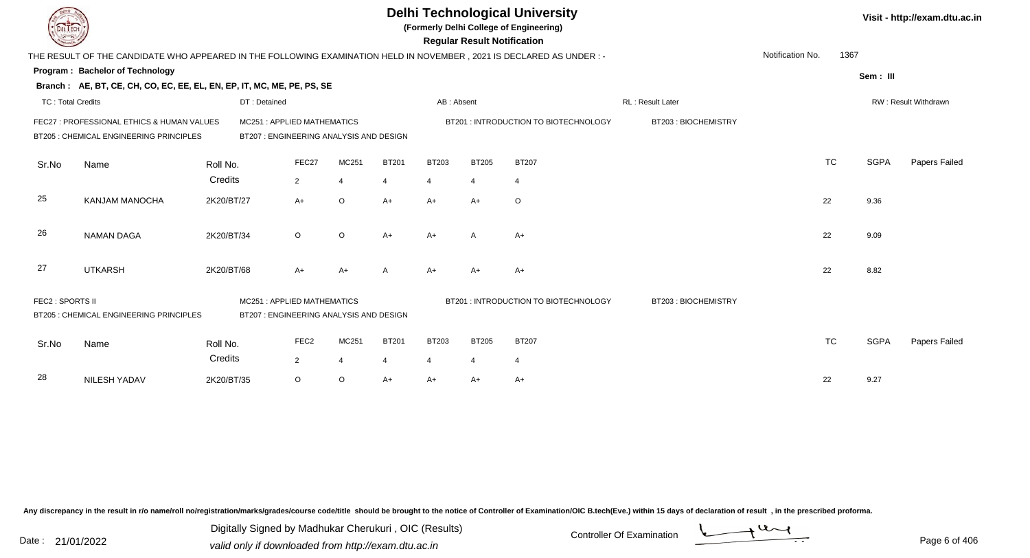| EL ECH                   |                                                                                                                      |              |                                                                      |                |              |                | <b>Regular Result Notification</b> | <b>Delhi Technological University</b><br>(Formerly Delhi College of Engineering) |                     |                  |           |             | Visit - http://exam.dtu.ac.in |
|--------------------------|----------------------------------------------------------------------------------------------------------------------|--------------|----------------------------------------------------------------------|----------------|--------------|----------------|------------------------------------|----------------------------------------------------------------------------------|---------------------|------------------|-----------|-------------|-------------------------------|
|                          | THE RESULT OF THE CANDIDATE WHO APPEARED IN THE FOLLOWING EXAMINATION HELD IN NOVEMBER, 2021 IS DECLARED AS UNDER :- |              |                                                                      |                |              |                |                                    |                                                                                  |                     | Notification No. | 1367      |             |                               |
|                          | <b>Program: Bachelor of Technology</b>                                                                               |              |                                                                      |                |              |                |                                    |                                                                                  |                     |                  |           | Sem: III    |                               |
|                          | Branch: AE, BT, CE, CH, CO, EC, EE, EL, EN, EP, IT, MC, ME, PE, PS, SE                                               |              |                                                                      |                |              |                |                                    |                                                                                  |                     |                  |           |             |                               |
| <b>TC: Total Credits</b> |                                                                                                                      | DT: Detained |                                                                      |                |              | AB: Absent     |                                    |                                                                                  | RL : Result Later   |                  |           |             | RW: Result Withdrawn          |
|                          | FEC27 : PROFESSIONAL ETHICS & HUMAN VALUES<br>BT205 : CHEMICAL ENGINEERING PRINCIPLES                                |              | MC251: APPLIED MATHEMATICS<br>BT207: ENGINEERING ANALYSIS AND DESIGN |                |              |                |                                    | BT201 : INTRODUCTION TO BIOTECHNOLOGY                                            | BT203: BIOCHEMISTRY |                  |           |             |                               |
| Sr.No                    | Name                                                                                                                 | Roll No.     | FEC27                                                                | MC251          | <b>BT201</b> | <b>BT203</b>   | <b>BT205</b>                       | <b>BT207</b>                                                                     |                     |                  | <b>TC</b> | <b>SGPA</b> | Papers Failed                 |
|                          |                                                                                                                      | Credits      | $\overline{2}$                                                       | $\overline{4}$ | 4            | $\overline{4}$ | $\overline{4}$                     | $\overline{4}$                                                                   |                     |                  |           |             |                               |
| 25                       | <b>KANJAM MANOCHA</b>                                                                                                | 2K20/BT/27   | $A+$                                                                 | $\circ$        | $A+$         | $A+$           | $A+$                               | $\circ$                                                                          |                     |                  | 22        | 9.36        |                               |
| 26                       | <b>NAMAN DAGA</b>                                                                                                    | 2K20/BT/34   | $\circ$                                                              | $\circ$        | $A+$         | $A+$           | A                                  | $A+$                                                                             |                     |                  | 22        | 9.09        |                               |
| 27                       | <b>UTKARSH</b>                                                                                                       | 2K20/BT/68   | A+                                                                   | $A+$           |              | $A+$           | $A+$                               | A+                                                                               |                     |                  | 22        | 8.82        |                               |
| FEC2 : SPORTS II         | BT205 : CHEMICAL ENGINEERING PRINCIPLES                                                                              |              | MC251: APPLIED MATHEMATICS<br>BT207: ENGINEERING ANALYSIS AND DESIGN |                |              |                |                                    | BT201: INTRODUCTION TO BIOTECHNOLOGY                                             | BT203: BIOCHEMISTRY |                  |           |             |                               |
| Sr.No                    | Name                                                                                                                 | Roll No.     | FEC <sub>2</sub>                                                     | MC251          | <b>BT201</b> | <b>BT203</b>   | <b>BT205</b>                       | <b>BT207</b>                                                                     |                     |                  | <b>TC</b> | <b>SGPA</b> | Papers Failed                 |
|                          |                                                                                                                      | Credits      | $\overline{2}$                                                       | $\overline{4}$ | 4            | $\overline{4}$ | $\overline{4}$                     | $\overline{4}$                                                                   |                     |                  |           |             |                               |
| 28                       | NILESH YADAV                                                                                                         | 2K20/BT/35   | $\circ$                                                              | $\circ$        | $A+$         | $A+$           | A+                                 | $A+$                                                                             |                     |                  | 22        | 9.27        |                               |

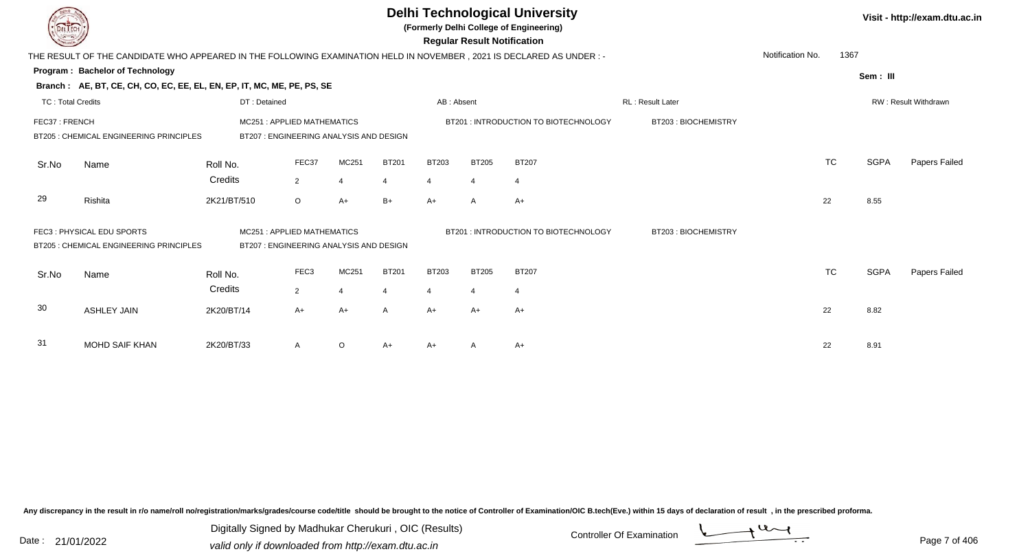|                          |                                                                                                                        |                                                                       |                                                                       |                |              |                                      | Visit - http://exam.dtu.ac.in      |                                       |                     |                  |           |             |                      |
|--------------------------|------------------------------------------------------------------------------------------------------------------------|-----------------------------------------------------------------------|-----------------------------------------------------------------------|----------------|--------------|--------------------------------------|------------------------------------|---------------------------------------|---------------------|------------------|-----------|-------------|----------------------|
|                          | THE RESULT OF THE CANDIDATE WHO APPEARED IN THE FOLLOWING EXAMINATION HELD IN NOVEMBER , 2021 IS DECLARED AS UNDER : - |                                                                       |                                                                       |                |              |                                      | <b>Regular Result Notification</b> |                                       |                     | Notification No. | 1367      |             |                      |
|                          | <b>Program: Bachelor of Technology</b>                                                                                 |                                                                       |                                                                       |                |              |                                      |                                    |                                       |                     |                  |           |             |                      |
|                          | Branch: AE, BT, CE, CH, CO, EC, EE, EL, EN, EP, IT, MC, ME, PE, PS, SE                                                 |                                                                       |                                                                       |                |              |                                      |                                    |                                       |                     |                  |           | Sem: III    |                      |
| <b>TC: Total Credits</b> |                                                                                                                        | DT: Detained                                                          |                                                                       |                |              | AB: Absent                           |                                    |                                       | RL: Result Later    |                  |           |             | RW: Result Withdrawn |
| FEC37: FRENCH            | BT205 : CHEMICAL ENGINEERING PRINCIPLES                                                                                | MC251: APPLIED MATHEMATICS<br>BT207 : ENGINEERING ANALYSIS AND DESIGN |                                                                       |                |              | BT201: INTRODUCTION TO BIOTECHNOLOGY | BT203: BIOCHEMISTRY                |                                       |                     |                  |           |             |                      |
| Sr.No                    | Name                                                                                                                   | Roll No.                                                              | FEC37                                                                 | MC251          | <b>BT201</b> | <b>BT203</b>                         | <b>BT205</b>                       | <b>BT207</b>                          |                     |                  | <b>TC</b> | <b>SGPA</b> | Papers Failed        |
|                          |                                                                                                                        | Credits                                                               | $\overline{2}$                                                        | 4              | 4            | 4                                    | -4                                 | 4                                     |                     |                  |           |             |                      |
| 29                       | Rishita                                                                                                                | 2K21/BT/510                                                           | $\circ$                                                               | $A+$           | $B+$         | $A+$                                 | A                                  | $A+$                                  |                     |                  | 22        | 8.55        |                      |
|                          | FEC3: PHYSICAL EDU SPORTS<br>BT205 : CHEMICAL ENGINEERING PRINCIPLES                                                   |                                                                       | MC251: APPLIED MATHEMATICS<br>BT207 : ENGINEERING ANALYSIS AND DESIGN |                |              |                                      |                                    | BT201 : INTRODUCTION TO BIOTECHNOLOGY | BT203: BIOCHEMISTRY |                  |           |             |                      |
| Sr.No                    | Name                                                                                                                   | Roll No.                                                              | FEC <sub>3</sub>                                                      | MC251          | <b>BT201</b> | <b>BT203</b>                         | <b>BT205</b>                       | <b>BT207</b>                          |                     |                  | <b>TC</b> | <b>SGPA</b> | Papers Failed        |
|                          |                                                                                                                        | Credits                                                               | $2^{\circ}$                                                           | $\overline{4}$ |              | $\overline{4}$                       | $\overline{4}$                     | $\overline{4}$                        |                     |                  |           |             |                      |
| 30                       | <b>ASHLEY JAIN</b>                                                                                                     | 2K20/BT/14                                                            | $A+$                                                                  | $A+$           | A            | $A+$                                 | $A+$                               | $A+$                                  |                     |                  | 22        | 8.82        |                      |
| 31                       | <b>MOHD SAIF KHAN</b>                                                                                                  | 2K20/BT/33                                                            | A                                                                     | O              | A+           | A+                                   |                                    | A+                                    |                     |                  | 22        | 8.91        |                      |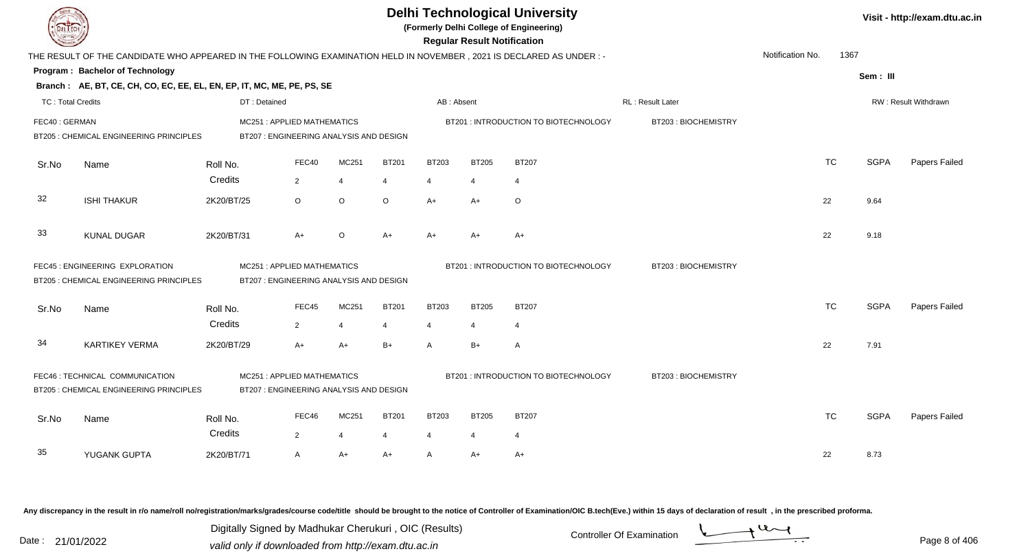|                          |                                                                                                                      |                                         |                |                |                |                |                | <b>Delhi Technological University</b><br>(Formerly Delhi College of Engineering)<br><b>Regular Result Notification</b> |                          |                  |           |             | Visit - http://exam.dtu.ac.in |
|--------------------------|----------------------------------------------------------------------------------------------------------------------|-----------------------------------------|----------------|----------------|----------------|----------------|----------------|------------------------------------------------------------------------------------------------------------------------|--------------------------|------------------|-----------|-------------|-------------------------------|
|                          | THE RESULT OF THE CANDIDATE WHO APPEARED IN THE FOLLOWING EXAMINATION HELD IN NOVEMBER, 2021 IS DECLARED AS UNDER :- |                                         |                |                |                |                |                |                                                                                                                        |                          | Notification No. | 1367      |             |                               |
|                          | Program: Bachelor of Technology                                                                                      |                                         |                |                |                |                |                |                                                                                                                        |                          |                  |           | Sem: III    |                               |
|                          | Branch: AE, BT, CE, CH, CO, EC, EE, EL, EN, EP, IT, MC, ME, PE, PS, SE                                               |                                         |                |                |                |                |                |                                                                                                                        |                          |                  |           |             |                               |
| <b>TC: Total Credits</b> |                                                                                                                      | DT: Detained                            |                |                |                | AB: Absent     |                |                                                                                                                        | <b>RL</b> : Result Later |                  |           |             | <b>RW: Result Withdrawn</b>   |
| FEC40: GERMAN            |                                                                                                                      | <b>MC251: APPLIED MATHEMATICS</b>       |                |                |                |                |                | BT201: INTRODUCTION TO BIOTECHNOLOGY                                                                                   | BT203: BIOCHEMISTRY      |                  |           |             |                               |
|                          | BT205 : CHEMICAL ENGINEERING PRINCIPLES                                                                              | BT207 : ENGINEERING ANALYSIS AND DESIGN |                |                |                |                |                |                                                                                                                        |                          |                  |           |             |                               |
| Sr.No                    | Name                                                                                                                 | Roll No.                                | FEC40          | MC251          | <b>BT201</b>   | <b>BT203</b>   | <b>BT205</b>   | <b>BT207</b>                                                                                                           |                          |                  | <b>TC</b> | <b>SGPA</b> | Papers Failed                 |
|                          |                                                                                                                      | Credits                                 | $\overline{2}$ | $\overline{4}$ | $\overline{4}$ | $\overline{4}$ | $\overline{4}$ | $\overline{4}$                                                                                                         |                          |                  |           |             |                               |
|                          |                                                                                                                      |                                         |                |                |                |                |                |                                                                                                                        |                          |                  |           |             |                               |
| 32                       | <b>ISHI THAKUR</b>                                                                                                   | 2K20/BT/25                              | $\circ$        | O              | $\circ$        | $A+$           | A+             | O                                                                                                                      |                          |                  | 22        | 9.64        |                               |
|                          |                                                                                                                      |                                         |                |                |                |                |                |                                                                                                                        |                          |                  |           |             |                               |
| 33                       | <b>KUNAL DUGAR</b>                                                                                                   | 2K20/BT/31                              | $A+$           | $\circ$        | $A+$           | $A+$           | A+             | $A+$                                                                                                                   |                          |                  | 22        | 9.18        |                               |
|                          | FEC45 : ENGINEERING EXPLORATION                                                                                      | <b>MC251: APPLIED MATHEMATICS</b>       |                |                |                |                |                | BT201: INTRODUCTION TO BIOTECHNOLOGY                                                                                   | BT203: BIOCHEMISTRY      |                  |           |             |                               |
|                          | BT205 : CHEMICAL ENGINEERING PRINCIPLES                                                                              | BT207 : ENGINEERING ANALYSIS AND DESIGN |                |                |                |                |                |                                                                                                                        |                          |                  |           |             |                               |
|                          |                                                                                                                      |                                         |                |                |                |                |                |                                                                                                                        |                          |                  |           |             |                               |
| Sr.No                    | Name                                                                                                                 | Roll No.                                | FEC45          | MC251          | <b>BT201</b>   | <b>BT203</b>   | <b>BT205</b>   | <b>BT207</b>                                                                                                           |                          |                  | <b>TC</b> | <b>SGPA</b> | Papers Failed                 |
|                          |                                                                                                                      | Credits                                 | $\overline{2}$ | $\overline{4}$ | $\overline{4}$ | $\overline{4}$ | $\overline{4}$ | $\overline{4}$                                                                                                         |                          |                  |           |             |                               |
| 34                       | <b>KARTIKEY VERMA</b>                                                                                                | 2K20/BT/29                              | $A+$           | $A+$           | $B+$           | $\mathsf{A}$   | $B+$           | $\mathsf{A}$                                                                                                           |                          |                  | 22        | 7.91        |                               |
|                          |                                                                                                                      |                                         |                |                |                |                |                |                                                                                                                        |                          |                  |           |             |                               |
|                          | FEC46 : TECHNICAL COMMUNICATION                                                                                      | MC251: APPLIED MATHEMATICS              |                |                |                |                |                | BT201 : INTRODUCTION TO BIOTECHNOLOGY                                                                                  | BT203: BIOCHEMISTRY      |                  |           |             |                               |
|                          | BT205 : CHEMICAL ENGINEERING PRINCIPLES                                                                              | BT207 : ENGINEERING ANALYSIS AND DESIGN |                |                |                |                |                |                                                                                                                        |                          |                  |           |             |                               |
| Sr.No                    | Name                                                                                                                 | Roll No.                                | FEC46          | MC251          | <b>BT201</b>   | <b>BT203</b>   | <b>BT205</b>   | <b>BT207</b>                                                                                                           |                          |                  | <b>TC</b> | <b>SGPA</b> | Papers Failed                 |
|                          |                                                                                                                      | Credits                                 | $\overline{2}$ | $\overline{4}$ | $\overline{4}$ | $\overline{4}$ | 4              | $\overline{4}$                                                                                                         |                          |                  |           |             |                               |
|                          |                                                                                                                      |                                         |                |                |                |                |                |                                                                                                                        |                          |                  |           |             |                               |
| 35                       | YUGANK GUPTA                                                                                                         | 2K20/BT/71                              | A              | A+             | A+             | $\mathsf{A}$   | A+             | A+                                                                                                                     |                          |                  | 22        | 8.73        |                               |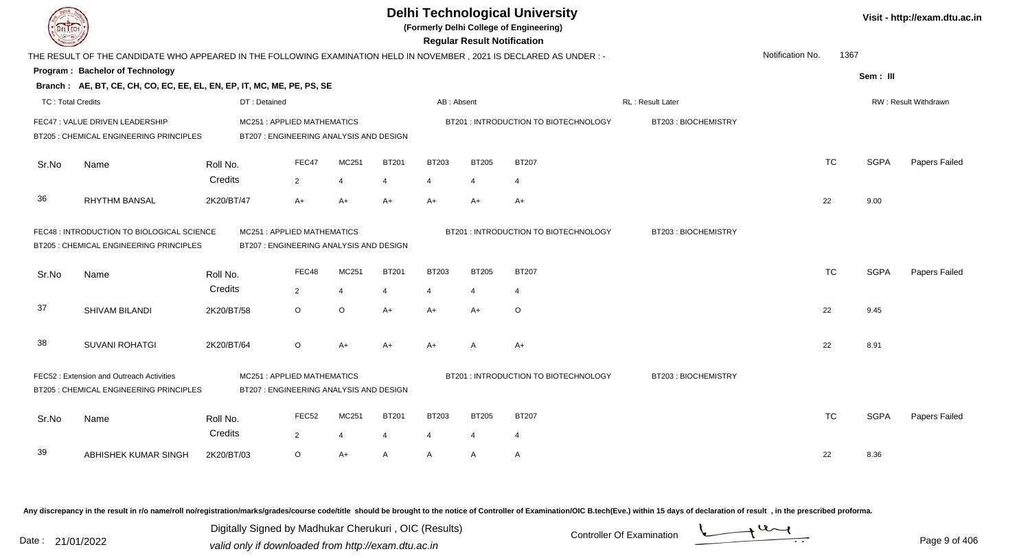|                          | <b>Delhi Technological University</b><br>(Formerly Delhi College of Engineering)<br><b>Regular Result Notification</b><br>Notification No.<br>THE RESULT OF THE CANDIDATE WHO APPEARED IN THE FOLLOWING EXAMINATION HELD IN NOVEMBER, 2021 IS DECLARED AS UNDER:- |                                                                       |                                                                       |                |                |                                       |                     |                                       |                     |  |           |             |                      |  |
|--------------------------|-------------------------------------------------------------------------------------------------------------------------------------------------------------------------------------------------------------------------------------------------------------------|-----------------------------------------------------------------------|-----------------------------------------------------------------------|----------------|----------------|---------------------------------------|---------------------|---------------------------------------|---------------------|--|-----------|-------------|----------------------|--|
|                          |                                                                                                                                                                                                                                                                   |                                                                       |                                                                       |                |                |                                       |                     |                                       |                     |  | 1367      |             |                      |  |
|                          | Program: Bachelor of Technology                                                                                                                                                                                                                                   |                                                                       |                                                                       |                |                |                                       |                     |                                       |                     |  |           | Sem: III    |                      |  |
|                          | Branch: AE, BT, CE, CH, CO, EC, EE, EL, EN, EP, IT, MC, ME, PE, PS, SE                                                                                                                                                                                            |                                                                       |                                                                       |                |                |                                       |                     |                                       |                     |  |           |             |                      |  |
| <b>TC: Total Credits</b> |                                                                                                                                                                                                                                                                   | DT: Detained                                                          |                                                                       |                |                | AB: Absent                            |                     |                                       | RL : Result Later   |  |           |             | RW: Result Withdrawn |  |
|                          | FEC47 : VALUE DRIVEN LEADERSHIP<br>BT205 : CHEMICAL ENGINEERING PRINCIPLES                                                                                                                                                                                        |                                                                       | MC251: APPLIED MATHEMATICS<br>BT207 : ENGINEERING ANALYSIS AND DESIGN |                |                |                                       |                     | BT201: INTRODUCTION TO BIOTECHNOLOGY  | BT203: BIOCHEMISTRY |  |           |             |                      |  |
| Sr.No                    | Name                                                                                                                                                                                                                                                              | Roll No.                                                              | FEC47                                                                 | MC251          | <b>BT201</b>   | <b>BT203</b>                          | <b>BT205</b>        | <b>BT207</b>                          |                     |  | <b>TC</b> | <b>SGPA</b> | Papers Failed        |  |
|                          |                                                                                                                                                                                                                                                                   | Credits                                                               | $\overline{2}$                                                        | $\overline{4}$ | $\overline{4}$ | $\overline{4}$                        | $\overline{4}$      | $\overline{4}$                        |                     |  |           |             |                      |  |
| 36                       | <b>RHYTHM BANSAL</b>                                                                                                                                                                                                                                              | 2K20/BT/47                                                            | $A+$                                                                  | $A+$           | $A+$           | $A+$                                  | $A+$                | $A+$                                  |                     |  | 22        | 9.00        |                      |  |
|                          | FEC48 : INTRODUCTION TO BIOLOGICAL SCIENCE<br>BT205 : CHEMICAL ENGINEERING PRINCIPLES                                                                                                                                                                             | MC251: APPLIED MATHEMATICS<br>BT207 : ENGINEERING ANALYSIS AND DESIGN |                                                                       |                |                | BT201 : INTRODUCTION TO BIOTECHNOLOGY | BT203: BIOCHEMISTRY |                                       |                     |  |           |             |                      |  |
| Sr.No                    | Name                                                                                                                                                                                                                                                              | Roll No.                                                              | FEC48                                                                 | MC251          | <b>BT201</b>   | <b>BT203</b>                          | <b>BT205</b>        | <b>BT207</b>                          |                     |  | <b>TC</b> | <b>SGPA</b> | Papers Failed        |  |
|                          |                                                                                                                                                                                                                                                                   | Credits                                                               | $\overline{2}$                                                        | $\overline{4}$ | 4              | $\overline{4}$                        | $\overline{4}$      | $\overline{4}$                        |                     |  |           |             |                      |  |
| 37                       | SHIVAM BILANDI                                                                                                                                                                                                                                                    | 2K20/BT/58                                                            | $\circ$                                                               | $\mathsf O$    | $A+$           | $A+$                                  | $A+$                | O                                     |                     |  | 22        | 9.45        |                      |  |
| 38                       | <b>SUVANI ROHATGI</b>                                                                                                                                                                                                                                             | 2K20/BT/64                                                            | $\circ$                                                               | $A+$           | $A+$           | $A+$                                  | A                   | $A+$                                  |                     |  | 22        | 8.91        |                      |  |
|                          | FEC52: Extension and Outreach Activities<br>MC251: APPLIED MATHEMATICS<br>BT205 : CHEMICAL ENGINEERING PRINCIPLES<br>BT207 : ENGINEERING ANALYSIS AND DESIGN                                                                                                      |                                                                       |                                                                       |                |                |                                       |                     | BT201 : INTRODUCTION TO BIOTECHNOLOGY | BT203: BIOCHEMISTRY |  |           |             |                      |  |
| Sr.No                    | Name                                                                                                                                                                                                                                                              | Roll No.                                                              | FEC <sub>52</sub>                                                     | MC251          | <b>BT201</b>   | <b>BT203</b>                          | <b>BT205</b>        | <b>BT207</b>                          |                     |  | <b>TC</b> | <b>SGPA</b> | Papers Failed        |  |
|                          |                                                                                                                                                                                                                                                                   | Credits                                                               | $\overline{2}$                                                        | $\overline{4}$ | $\overline{4}$ | 4                                     | $\overline{4}$      | $\overline{4}$                        |                     |  |           |             |                      |  |
| 39                       | ABHISHEK KUMAR SINGH                                                                                                                                                                                                                                              | 2K20/BT/03                                                            | $\circ$                                                               | $A+$           | A              | A                                     | A                   | $\mathsf{A}$                          |                     |  | 22        | 8.36        |                      |  |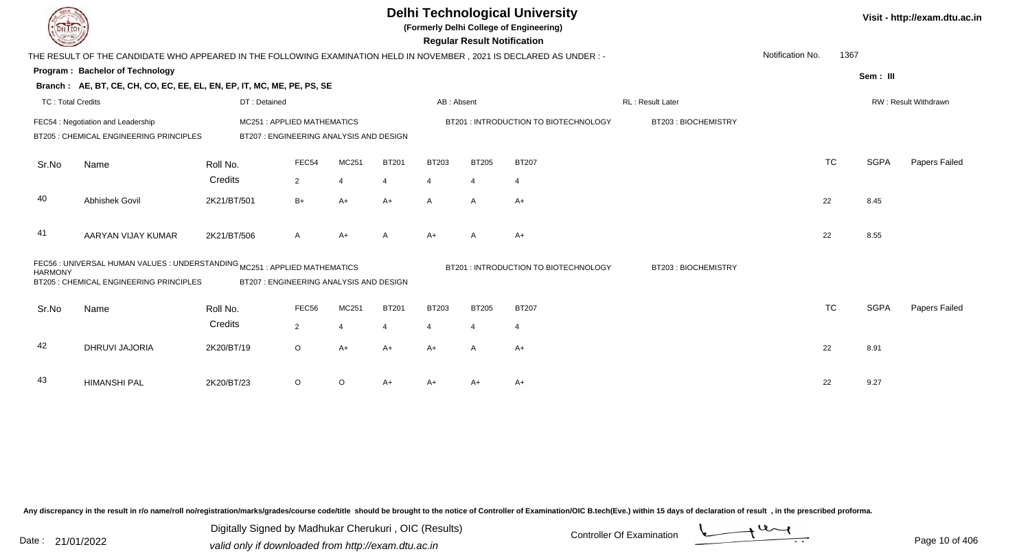|                          |                                                                                                                     |                                                                      |                |                |              |                | <b>Regular Result Notification</b> | <b>Delhi Technological University</b><br>(Formerly Delhi College of Engineering) |                     |                  |           |             | Visit - http://exam.dtu.ac.in |
|--------------------------|---------------------------------------------------------------------------------------------------------------------|----------------------------------------------------------------------|----------------|----------------|--------------|----------------|------------------------------------|----------------------------------------------------------------------------------|---------------------|------------------|-----------|-------------|-------------------------------|
|                          | THE RESULT OF THE CANDIDATE WHO APPEARED IN THE FOLLOWING EXAMINATION HELD IN NOVEMBER, 2021 IS DECLARED AS UNDER:- |                                                                      |                |                |              |                |                                    |                                                                                  |                     | Notification No. | 1367      |             |                               |
|                          | Program: Bachelor of Technology                                                                                     |                                                                      |                |                |              |                |                                    |                                                                                  |                     |                  |           | Sem: III    |                               |
|                          | Branch: AE, BT, CE, CH, CO, EC, EE, EL, EN, EP, IT, MC, ME, PE, PS, SE                                              |                                                                      |                |                |              |                |                                    |                                                                                  |                     |                  |           |             |                               |
| <b>TC: Total Credits</b> |                                                                                                                     | DT: Detained                                                         |                |                |              | AB: Absent     |                                    |                                                                                  | RL: Result Later    |                  |           |             | RW: Result Withdrawn          |
|                          | FEC54 : Negotiation and Leadership<br>BT205 : CHEMICAL ENGINEERING PRINCIPLES                                       | MC251: APPLIED MATHEMATICS<br>BT207: ENGINEERING ANALYSIS AND DESIGN |                |                |              |                |                                    | BT201 : INTRODUCTION TO BIOTECHNOLOGY                                            | BT203: BIOCHEMISTRY |                  |           |             |                               |
| Sr.No                    | Name                                                                                                                | Roll No.                                                             | FEC54          | MC251          | <b>BT201</b> | <b>BT203</b>   | <b>BT205</b>                       | <b>BT207</b>                                                                     |                     |                  | <b>TC</b> | <b>SGPA</b> | Papers Failed                 |
|                          |                                                                                                                     | Credits                                                              | $\overline{2}$ | $\overline{4}$ | 4            | $\overline{4}$ | $\overline{4}$                     | $\overline{4}$                                                                   |                     |                  |           |             |                               |
| 40                       | Abhishek Govil                                                                                                      | 2K21/BT/501                                                          | $B+$           | $A+$           | $A+$         | $\mathsf{A}$   | $\mathsf{A}$                       | $A+$                                                                             |                     |                  | 22        | 8.45        |                               |
| 41                       | AARYAN VIJAY KUMAR                                                                                                  | 2K21/BT/506                                                          | A              | $A+$           | A            | $A+$           | A                                  | $A+$                                                                             |                     |                  | 22        | 8.55        |                               |
| <b>HARMONY</b>           | FEC56 : UNIVERSAL HUMAN VALUES : UNDERSTANDING MC251 : APPLIED MATHEMATICS                                          |                                                                      |                |                |              |                |                                    | BT201 : INTRODUCTION TO BIOTECHNOLOGY                                            | BT203: BIOCHEMISTRY |                  |           |             |                               |
|                          | BT205 : CHEMICAL ENGINEERING PRINCIPLES                                                                             | BT207: ENGINEERING ANALYSIS AND DESIGN                               |                |                |              |                |                                    |                                                                                  |                     |                  |           |             |                               |
| Sr.No                    | Name                                                                                                                | Roll No.                                                             | FEC56          | MC251          | <b>BT201</b> | <b>BT203</b>   | <b>BT205</b>                       | <b>BT207</b>                                                                     |                     |                  | <b>TC</b> | <b>SGPA</b> | Papers Failed                 |
|                          |                                                                                                                     | Credits                                                              | $\overline{2}$ | $\overline{4}$ | 4            | 4              | $\overline{4}$                     | $\overline{4}$                                                                   |                     |                  |           |             |                               |
| 42                       | DHRUVI JAJORIA                                                                                                      | 2K20/BT/19                                                           | $\circ$        | $A+$           | $A+$         | $A+$           | $\mathsf{A}$                       | $A+$                                                                             |                     |                  | 22        | 8.91        |                               |
| 43                       | <b>HIMANSHI PAL</b>                                                                                                 | 2K20/BT/23                                                           | $\circ$        | $\circ$        | $A+$         | A+             | A+                                 | A+                                                                               |                     |                  | 22        | 9.27        |                               |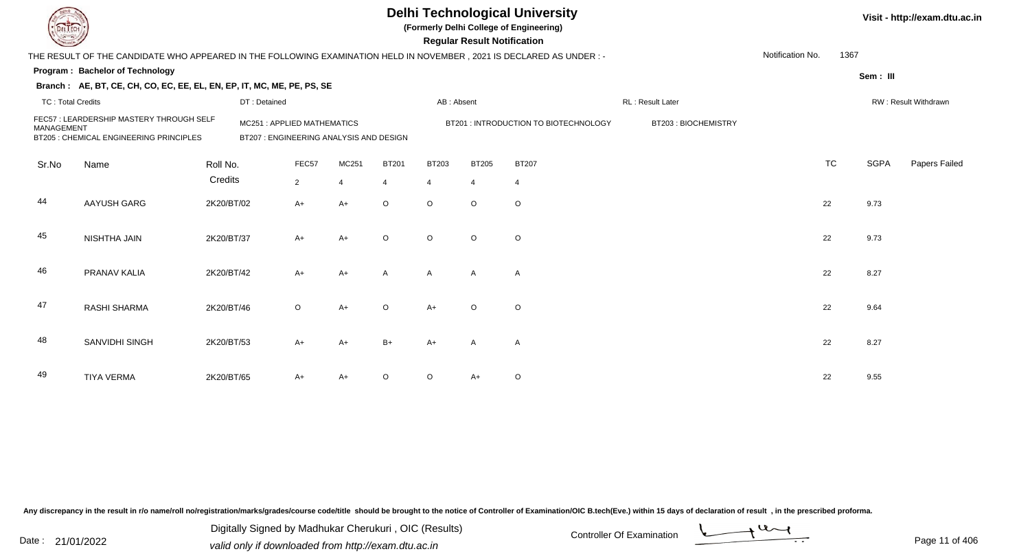|                          |                                                                                                                                                                                           |              |                |                |                |                | <b>Regular Result Notification</b> | <b>Delhi Technological University</b><br>(Formerly Delhi College of Engineering) |                     |                  |           |             | Visit - http://exam.dtu.ac.in |
|--------------------------|-------------------------------------------------------------------------------------------------------------------------------------------------------------------------------------------|--------------|----------------|----------------|----------------|----------------|------------------------------------|----------------------------------------------------------------------------------|---------------------|------------------|-----------|-------------|-------------------------------|
|                          | THE RESULT OF THE CANDIDATE WHO APPEARED IN THE FOLLOWING EXAMINATION HELD IN NOVEMBER , 2021 IS DECLARED AS UNDER : -                                                                    |              |                |                |                |                |                                    |                                                                                  |                     | Notification No. | 1367      |             |                               |
|                          | <b>Program: Bachelor of Technology</b>                                                                                                                                                    |              |                |                |                |                |                                    |                                                                                  |                     |                  |           | Sem: III    |                               |
|                          | Branch: AE, BT, CE, CH, CO, EC, EE, EL, EN, EP, IT, MC, ME, PE, PS, SE                                                                                                                    |              |                |                |                |                |                                    |                                                                                  |                     |                  |           |             |                               |
| <b>TC: Total Credits</b> |                                                                                                                                                                                           | DT: Detained |                |                |                | AB: Absent     |                                    |                                                                                  | RL: Result Later    |                  |           |             | RW: Result Withdrawn          |
| <b>MANAGEMENT</b>        | FEC57 : LEARDERSHIP MASTERY THROUGH SELF<br>MC251: APPLIED MATHEMATICS<br>BT205 : CHEMICAL ENGINEERING PRINCIPLES<br>BT207 : ENGINEERING ANALYSIS AND DESIGN<br>FEC57<br>Roll No.<br>Name |              |                |                |                |                |                                    | BT201 : INTRODUCTION TO BIOTECHNOLOGY                                            | BT203: BIOCHEMISTRY |                  |           |             |                               |
| Sr.No                    |                                                                                                                                                                                           |              |                | MC251          | <b>BT201</b>   | <b>BT203</b>   | <b>BT205</b>                       | <b>BT207</b>                                                                     |                     |                  | <b>TC</b> | <b>SGPA</b> | Papers Failed                 |
|                          |                                                                                                                                                                                           | Credits      | $\overline{2}$ | $\overline{4}$ | $\overline{4}$ | $\overline{4}$ | $\overline{4}$                     | $\overline{4}$                                                                   |                     |                  |           |             |                               |
| 44                       | <b>AAYUSH GARG</b>                                                                                                                                                                        | 2K20/BT/02   | A+             | $A+$           | $\circ$        | $\circ$        | $\circ$                            | $\circ$                                                                          |                     |                  | 22        | 9.73        |                               |
| 45                       | NISHTHA JAIN                                                                                                                                                                              | 2K20/BT/37   | A+             | $A+$           | $\Omega$       | $\circ$        | $\circ$                            | $\circ$                                                                          |                     |                  | 22        | 9.73        |                               |
| 46                       | PRANAV KALIA                                                                                                                                                                              | 2K20/BT/42   | $A+$           | $A+$           | A              | $\mathsf{A}$   | $\mathsf{A}$                       | $\overline{A}$                                                                   |                     |                  | 22        | 8.27        |                               |
| 47                       | RASHI SHARMA                                                                                                                                                                              | 2K20/BT/46   | $\circ$        | $A+$           | $\circ$        | $A+$           | $\circ$                            | $\circ$                                                                          |                     |                  | 22        | 9.64        |                               |
| 48                       | SANVIDHI SINGH                                                                                                                                                                            | 2K20/BT/53   | $A+$           | $A+$           | $B+$           | $A+$           | $\mathsf{A}$                       | $\overline{A}$                                                                   |                     |                  | 22        | 8.27        |                               |
| 49                       | <b>TIYA VERMA</b>                                                                                                                                                                         | 2K20/BT/65   | A+             | $A+$           |                | $\circ$        | A+                                 | $\circ$                                                                          |                     |                  | 22        | 9.55        |                               |

Digitally Signed by Madhukar Cherukuri, OIC (Results)<br>Date : 21/01/2022 valid only if downloaded from http://oxam.dtu.ac.in Digitally Signed by Madhukar Cherukuri , OIC (Results)valid only if downloaded from http://exam.dtu.ac.in



Page 11 of 406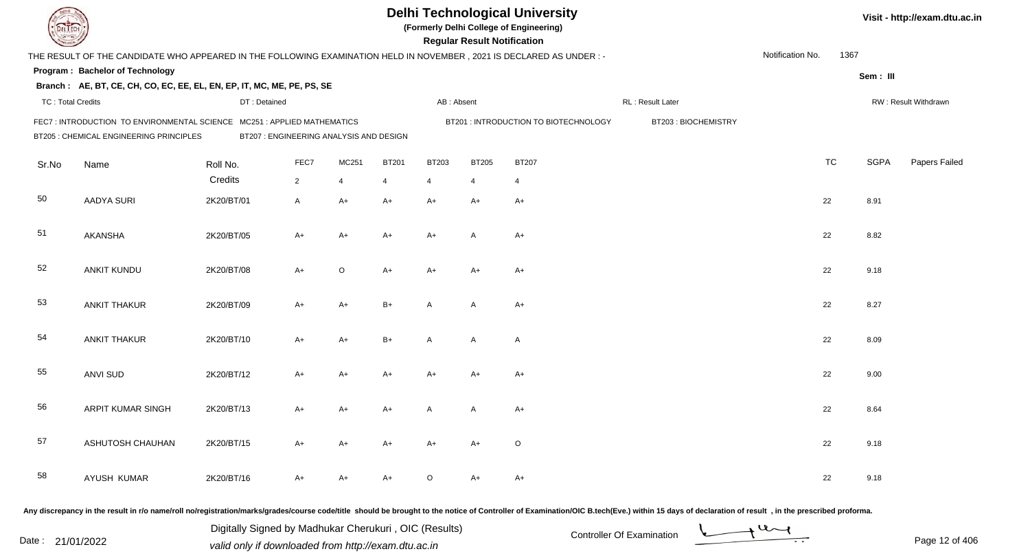|                          |                                                                                                                      |                     |                                         |            |                   |                                | <b>Regular Result Notification</b> | <b>Delhi Technological University</b><br>(Formerly Delhi College of Engineering) |                                                                                                                                                                                                                                |                  |           |             | Visit - http://exam.dtu.ac.in |
|--------------------------|----------------------------------------------------------------------------------------------------------------------|---------------------|-----------------------------------------|------------|-------------------|--------------------------------|------------------------------------|----------------------------------------------------------------------------------|--------------------------------------------------------------------------------------------------------------------------------------------------------------------------------------------------------------------------------|------------------|-----------|-------------|-------------------------------|
|                          | THE RESULT OF THE CANDIDATE WHO APPEARED IN THE FOLLOWING EXAMINATION HELD IN NOVEMBER, 2021 IS DECLARED AS UNDER :- |                     |                                         |            |                   |                                |                                    |                                                                                  |                                                                                                                                                                                                                                | Notification No. | 1367      |             |                               |
|                          | Program: Bachelor of Technology<br>Branch: AE, BT, CE, CH, CO, EC, EE, EL, EN, EP, IT, MC, ME, PE, PS, SE            |                     |                                         |            |                   |                                |                                    |                                                                                  |                                                                                                                                                                                                                                |                  |           | Sem: III    |                               |
| <b>TC: Total Credits</b> |                                                                                                                      | DT: Detained        |                                         |            |                   | AB: Absent                     |                                    |                                                                                  | RL: Result Later                                                                                                                                                                                                               |                  |           |             | RW: Result Withdrawn          |
|                          | FEC7: INTRODUCTION TO ENVIRONMENTAL SCIENCE MC251: APPLIED MATHEMATICS<br>BT205 : CHEMICAL ENGINEERING PRINCIPLES    |                     | BT207 : ENGINEERING ANALYSIS AND DESIGN |            |                   |                                |                                    | BT201 : INTRODUCTION TO BIOTECHNOLOGY                                            | BT203: BIOCHEMISTRY                                                                                                                                                                                                            |                  |           |             |                               |
| Sr.No                    | Name                                                                                                                 | Roll No.<br>Credits | FEC7<br>$\overline{2}$                  | MC251<br>4 | <b>BT201</b><br>4 | <b>BT203</b><br>$\overline{4}$ | <b>BT205</b><br>4                  | <b>BT207</b><br>4                                                                |                                                                                                                                                                                                                                |                  | <b>TC</b> | <b>SGPA</b> | Papers Failed                 |
| 50                       | <b>AADYA SURI</b>                                                                                                    | 2K20/BT/01          | A                                       | A+         | A+                | $A+$                           | $A+$                               | $A+$                                                                             |                                                                                                                                                                                                                                |                  | 22        | 8.91        |                               |
| 51                       | <b>AKANSHA</b>                                                                                                       | 2K20/BT/05          | A+                                      | A+         | A+                | $A+$                           | A                                  | A+                                                                               |                                                                                                                                                                                                                                |                  | 22        | 8.82        |                               |
| 52                       | ANKIT KUNDU                                                                                                          | 2K20/BT/08          | $A+$                                    | O          | A+                | $A+$                           | $A+$                               | $A+$                                                                             |                                                                                                                                                                                                                                |                  | 22        | 9.18        |                               |
| 53                       | <b>ANKIT THAKUR</b>                                                                                                  | 2K20/BT/09          | A+                                      | A+         | $B+$              | A                              | A                                  | $A+$                                                                             |                                                                                                                                                                                                                                |                  | 22        | 8.27        |                               |
| 54                       | <b>ANKIT THAKUR</b>                                                                                                  | 2K20/BT/10          | $A+$                                    | $A+$       | $B+$              | A                              | A                                  | $\mathsf{A}$                                                                     |                                                                                                                                                                                                                                |                  | 22        | 8.09        |                               |
| 55                       | <b>ANVI SUD</b>                                                                                                      | 2K20/BT/12          | $A+$                                    | A+         | A+                | A+                             | $A+$                               | $A+$                                                                             |                                                                                                                                                                                                                                |                  | 22        | 9.00        |                               |
| 56                       | <b>ARPIT KUMAR SINGH</b>                                                                                             | 2K20/BT/13          | A+                                      | A+         | A+                | A                              | A                                  | A+                                                                               |                                                                                                                                                                                                                                |                  | 22        | 8.64        |                               |
| 57                       | ASHUTOSH CHAUHAN                                                                                                     | 2K20/BT/15          | A+                                      | A+         | A+                | A+                             | A+                                 | O                                                                                |                                                                                                                                                                                                                                |                  | 22        | 9.18        |                               |
| 58                       | AYUSH KUMAR                                                                                                          | 2K20/BT/16          | A+                                      | A+         | A+                | $\circ$                        | A+                                 | A+                                                                               |                                                                                                                                                                                                                                |                  | 22        | 9.18        |                               |
|                          |                                                                                                                      |                     |                                         |            |                   |                                |                                    |                                                                                  | ny discrepancy in the result in r/o name/roll no/registration/marks/grades/course code/title, should be brought to the notice of Controller of Examination/OIC B tech(Eye ) within 15 days of declaration of result in the pre |                  |           |             |                               |

Any discrepancy in the result in r/o name/roll no/registration/marks/grades/course code/title should be brought to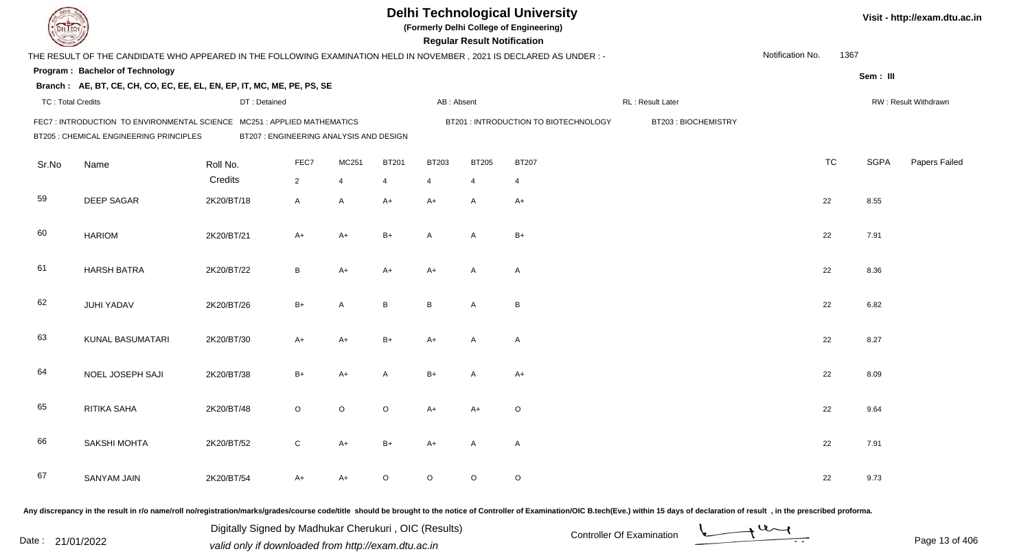| EL I ECH                 |                                                                                                                     |                                         |                |       |              |                | <b>Regular Result Notification</b> | <b>Delhi Technological University</b><br>(Formerly Delhi College of Engineering) |                     |                  |           |             | Visit - http://exam.dtu.ac.in |
|--------------------------|---------------------------------------------------------------------------------------------------------------------|-----------------------------------------|----------------|-------|--------------|----------------|------------------------------------|----------------------------------------------------------------------------------|---------------------|------------------|-----------|-------------|-------------------------------|
|                          | THE RESULT OF THE CANDIDATE WHO APPEARED IN THE FOLLOWING EXAMINATION HELD IN NOVEMBER, 2021 IS DECLARED AS UNDER:- |                                         |                |       |              |                |                                    |                                                                                  |                     | Notification No. | 1367      |             |                               |
|                          | Program: Bachelor of Technology                                                                                     |                                         |                |       |              |                |                                    |                                                                                  |                     |                  |           | Sem: III    |                               |
|                          | Branch: AE, BT, CE, CH, CO, EC, EE, EL, EN, EP, IT, MC, ME, PE, PS, SE                                              |                                         |                |       |              |                |                                    |                                                                                  |                     |                  |           |             |                               |
| <b>TC: Total Credits</b> |                                                                                                                     | DT: Detained                            |                |       |              | AB: Absent     |                                    |                                                                                  | RL: Result Later    |                  |           |             | RW: Result Withdrawn          |
|                          | FEC7: INTRODUCTION TO ENVIRONMENTAL SCIENCE MC251: APPLIED MATHEMATICS<br>BT205 : CHEMICAL ENGINEERING PRINCIPLES   | BT207 : ENGINEERING ANALYSIS AND DESIGN |                |       |              |                |                                    | BT201 : INTRODUCTION TO BIOTECHNOLOGY                                            | BT203: BIOCHEMISTRY |                  |           |             |                               |
| Sr.No                    | Name                                                                                                                | Roll No.                                | FEC7           | MC251 | <b>BT201</b> | <b>BT203</b>   | <b>BT205</b>                       | <b>BT207</b>                                                                     |                     |                  | <b>TC</b> | <b>SGPA</b> | Papers Failed                 |
|                          |                                                                                                                     | Credits                                 | $\overline{2}$ | 4     | 4            | $\overline{4}$ | 4                                  | 4                                                                                |                     |                  |           |             |                               |
| 59                       | <b>DEEP SAGAR</b>                                                                                                   | 2K20/BT/18                              | A              | A     | $A+$         | $A+$           | A                                  | $A+$                                                                             |                     | 22               |           | 8.55        |                               |
| 60                       | <b>HARIOM</b>                                                                                                       | 2K20/BT/21                              | A+             | $A+$  | $B+$         | $\overline{A}$ | A                                  | $B+$                                                                             |                     | 22               |           | 7.91        |                               |
| 61                       | <b>HARSH BATRA</b>                                                                                                  | 2K20/BT/22                              | B              | A+    | A+           | $A+$           | A                                  | $\mathsf{A}$                                                                     |                     | 22               |           | 8.36        |                               |
| 62                       | <b>JUHI YADAV</b>                                                                                                   | 2K20/BT/26                              | $B+$           | A     | B            | B              | A                                  | B                                                                                |                     | 22               |           | 6.82        |                               |
| 63                       | <b>KUNAL BASUMATARI</b>                                                                                             | 2K20/BT/30                              | A+             | A+    | $B+$         | A+             | A                                  | $\mathsf{A}$                                                                     |                     | 22               |           | 8.27        |                               |
| 64                       | NOEL JOSEPH SAJI                                                                                                    | 2K20/BT/38                              | $B+$           | A+    | Α            | $B+$           | A                                  | $A+$                                                                             |                     | 22               |           | 8.09        |                               |
| 65                       | RITIKA SAHA                                                                                                         | 2K20/BT/48                              | O              | O     | $\circ$      | A+             | A+                                 | O                                                                                |                     | 22               |           | 9.64        |                               |
| 66                       | SAKSHI MOHTA                                                                                                        | 2K20/BT/52                              | C              | A+    | B+           | A+             | $\mathsf{A}$                       | A                                                                                |                     | 22               |           | 7.91        |                               |
| 67                       | SANYAM JAIN                                                                                                         | 2K20/BT/54                              | A+             | A+    | $\circ$      | $\circ$        | $\circ$                            | $\circ$                                                                          |                     | 22               |           | 9.73        |                               |
|                          |                                                                                                                     |                                         |                |       |              |                |                                    |                                                                                  |                     |                  |           |             |                               |

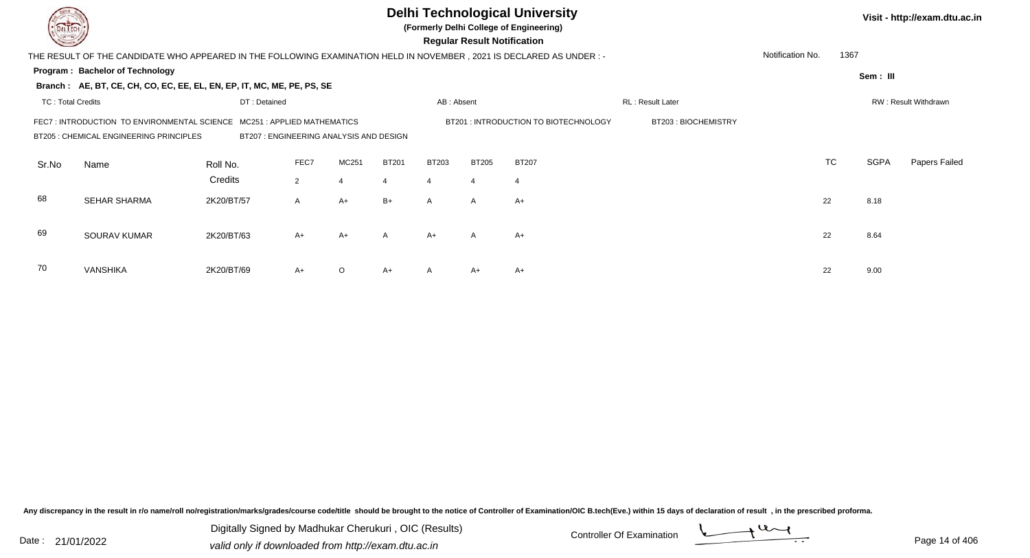|       |                                                                                                                                                                                                                                                                           |              |                |                |              |                |                | <b>Delhi Technological University</b><br>(Formerly Delhi College of Engineering)<br><b>Regular Result Notification</b> |                  |                  |           |             | Visit - http://exam.dtu.ac.in |
|-------|---------------------------------------------------------------------------------------------------------------------------------------------------------------------------------------------------------------------------------------------------------------------------|--------------|----------------|----------------|--------------|----------------|----------------|------------------------------------------------------------------------------------------------------------------------|------------------|------------------|-----------|-------------|-------------------------------|
|       | THE RESULT OF THE CANDIDATE WHO APPEARED IN THE FOLLOWING EXAMINATION HELD IN NOVEMBER , 2021 IS DECLARED AS UNDER :-                                                                                                                                                     |              |                |                |              |                |                |                                                                                                                        |                  | Notification No. | 1367      |             |                               |
|       | Program: Bachelor of Technology<br>Branch: AE, BT, CE, CH, CO, EC, EE, EL, EN, EP, IT, MC, ME, PE, PS, SE                                                                                                                                                                 |              |                |                |              |                |                |                                                                                                                        |                  |                  |           | Sem: III    |                               |
|       |                                                                                                                                                                                                                                                                           | DT: Detained |                |                |              |                |                |                                                                                                                        | RL: Result Later |                  |           |             | RW: Result Withdrawn          |
|       | <b>TC: Total Credits</b><br>AB: Absent<br>BT203: BIOCHEMISTRY<br>FEC7 : INTRODUCTION TO ENVIRONMENTAL SCIENCE<br>MC251: APPLIED MATHEMATICS<br>BT201: INTRODUCTION TO BIOTECHNOLOGY<br>BT205 : CHEMICAL ENGINEERING PRINCIPLES<br>BT207 : ENGINEERING ANALYSIS AND DESIGN |              |                |                |              |                |                |                                                                                                                        |                  |                  |           |             |                               |
| Sr.No | Name                                                                                                                                                                                                                                                                      | Roll No.     | FEC7           | MC251          | <b>BT201</b> | <b>BT203</b>   | <b>BT205</b>   | <b>BT207</b>                                                                                                           |                  |                  | <b>TC</b> | <b>SGPA</b> | Papers Failed                 |
|       |                                                                                                                                                                                                                                                                           | Credits      | $\overline{2}$ | $\overline{4}$ | 4            | $\overline{4}$ | $\overline{4}$ | $\overline{4}$                                                                                                         |                  |                  |           |             |                               |
| 68    | <b>SEHAR SHARMA</b>                                                                                                                                                                                                                                                       | 2K20/BT/57   | A              | $A+$           | $B+$         | $\mathsf{A}$   | $\mathsf{A}$   | $A+$                                                                                                                   |                  |                  | 22        | 8.18        |                               |
| 69    | SOURAV KUMAR                                                                                                                                                                                                                                                              | 2K20/BT/63   | $A+$           | $A+$           | A            | $A+$           | $\mathsf{A}$   | $A+$                                                                                                                   |                  |                  | 22        | 8.64        |                               |
| 70    | <b>VANSHIKA</b>                                                                                                                                                                                                                                                           | 2K20/BT/69   | $A+$           | $\circ$        | $A+$         |                | A+             | $A+$                                                                                                                   |                  |                  | 22        | 9.00        |                               |

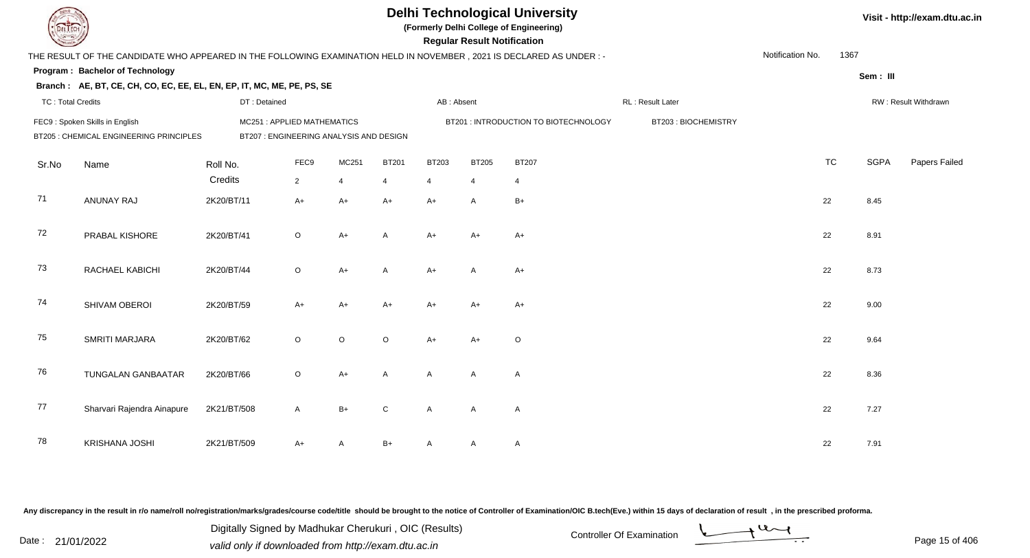|                          |                                                                                                                      |                                                                       |             |                |                |                | <b>Regular Result Notification</b> | <b>Delhi Technological University</b><br>(Formerly Delhi College of Engineering) |                     |                  |           |             | Visit - http://exam.dtu.ac.in |
|--------------------------|----------------------------------------------------------------------------------------------------------------------|-----------------------------------------------------------------------|-------------|----------------|----------------|----------------|------------------------------------|----------------------------------------------------------------------------------|---------------------|------------------|-----------|-------------|-------------------------------|
|                          | THE RESULT OF THE CANDIDATE WHO APPEARED IN THE FOLLOWING EXAMINATION HELD IN NOVEMBER, 2021 IS DECLARED AS UNDER :- |                                                                       |             |                |                |                |                                    |                                                                                  |                     | Notification No. | 1367      |             |                               |
|                          | Program: Bachelor of Technology                                                                                      |                                                                       |             |                |                |                |                                    |                                                                                  |                     |                  |           | Sem: III    |                               |
|                          | Branch: AE, BT, CE, CH, CO, EC, EE, EL, EN, EP, IT, MC, ME, PE, PS, SE                                               |                                                                       |             |                |                |                |                                    |                                                                                  |                     |                  |           |             |                               |
| <b>TC: Total Credits</b> |                                                                                                                      | DT: Detained                                                          |             |                |                | AB: Absent     |                                    |                                                                                  | RL: Result Later    |                  |           |             | RW: Result Withdrawn          |
|                          | FEC9: Spoken Skills in English<br>BT205 : CHEMICAL ENGINEERING PRINCIPLES                                            | MC251: APPLIED MATHEMATICS<br>BT207 : ENGINEERING ANALYSIS AND DESIGN |             |                |                |                |                                    | BT201 : INTRODUCTION TO BIOTECHNOLOGY                                            | BT203: BIOCHEMISTRY |                  |           |             |                               |
| Sr.No                    | Name                                                                                                                 | Roll No.                                                              | FEC9        | MC251          | <b>BT201</b>   | BT203          | <b>BT205</b>                       | <b>BT207</b>                                                                     |                     |                  | <b>TC</b> | <b>SGPA</b> | Papers Failed                 |
|                          |                                                                                                                      | Credits                                                               | $2^{\circ}$ | $\overline{4}$ | $\overline{4}$ | $\overline{4}$ | $\overline{4}$                     | $\overline{4}$                                                                   |                     |                  |           |             |                               |
| 71                       | ANUNAY RAJ                                                                                                           | 2K20/BT/11                                                            | $A+$        | $A+$           | $A+$           | $A+$           | A                                  | $B+$                                                                             |                     |                  | 22        | 8.45        |                               |
| 72                       | PRABAL KISHORE                                                                                                       | 2K20/BT/41                                                            | $\circ$     | $A+$           | $\mathsf{A}$   | $A+$           | $A+$                               | $A+$                                                                             |                     |                  | 22        | 8.91        |                               |
| 73                       | RACHAEL KABICHI                                                                                                      | 2K20/BT/44                                                            | $\circ$     | $A+$           | A              | $A+$           | $\mathsf{A}$                       | $A+$                                                                             |                     |                  | 22        | 8.73        |                               |
| 74                       | SHIVAM OBEROI                                                                                                        | 2K20/BT/59                                                            | $A+$        | $A+$           | $A+$           | $A+$           | $A+$                               | $A+$                                                                             |                     |                  | 22        | 9.00        |                               |
| 75                       | SMRITI MARJARA                                                                                                       | 2K20/BT/62                                                            | $\circ$     | $\circ$        | $\circ$        | $A+$           | $A+$                               | $\circ$                                                                          |                     |                  | 22        | 9.64        |                               |
| 76                       | TUNGALAN GANBAATAR                                                                                                   | 2K20/BT/66                                                            | $\circ$     | $A+$           | A              | $\mathsf{A}$   | A                                  | A                                                                                |                     |                  | 22        | 8.36        |                               |
| 77                       | Sharvari Rajendra Ainapure                                                                                           | 2K21/BT/508                                                           | A           | $B+$           | $\mathsf{C}$   | $\mathsf{A}$   | $\mathsf{A}$                       | $\overline{A}$                                                                   |                     |                  | 22        | 7.27        |                               |
| 78                       | <b>KRISHANA JOSHI</b>                                                                                                | 2K21/BT/509                                                           | A+          | A              | B+             |                | A                                  | $\mathsf{A}$                                                                     |                     |                  | 22        | 7.91        |                               |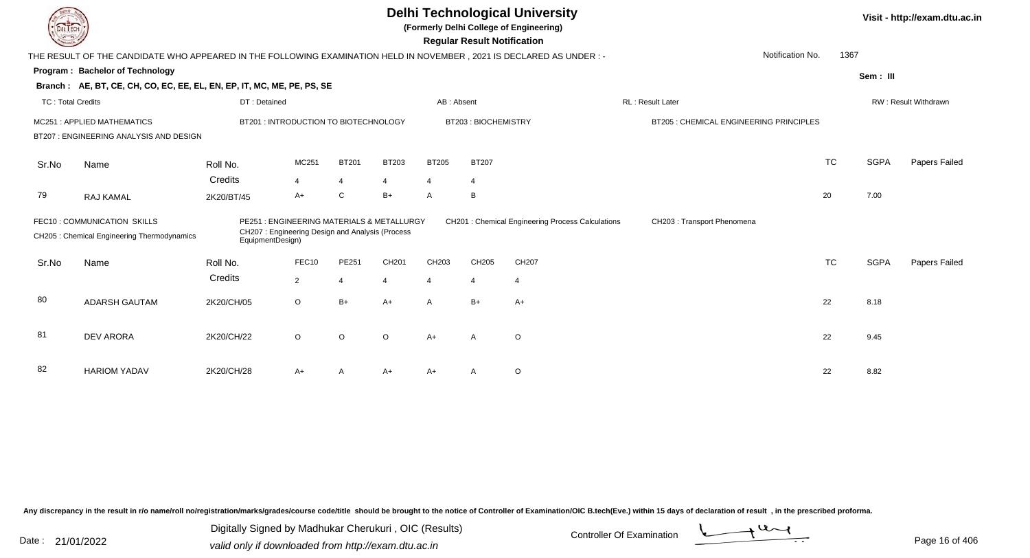| LI ECH                   |                                                                                                                        |                  |                                                                                              |                |         |                | <b>Regular Result Notification</b> | <b>Delhi Technological University</b><br>(Formerly Delhi College of Engineering) |                                         |           |             | Visit - http://exam.dtu.ac.in |
|--------------------------|------------------------------------------------------------------------------------------------------------------------|------------------|----------------------------------------------------------------------------------------------|----------------|---------|----------------|------------------------------------|----------------------------------------------------------------------------------|-----------------------------------------|-----------|-------------|-------------------------------|
|                          | THE RESULT OF THE CANDIDATE WHO APPEARED IN THE FOLLOWING EXAMINATION HELD IN NOVEMBER , 2021 IS DECLARED AS UNDER : - |                  |                                                                                              |                |         |                |                                    |                                                                                  | Notification No.                        | 1367      |             |                               |
|                          | <b>Program: Bachelor of Technology</b>                                                                                 |                  |                                                                                              |                |         |                |                                    |                                                                                  |                                         |           |             |                               |
|                          | Branch: AE, BT, CE, CH, CO, EC, EE, EL, EN, EP, IT, MC, ME, PE, PS, SE                                                 |                  |                                                                                              |                |         |                |                                    |                                                                                  |                                         |           | Sem: III    |                               |
| <b>TC: Total Credits</b> |                                                                                                                        | DT: Detained     |                                                                                              |                |         | AB: Absent     |                                    |                                                                                  | RL: Result Later                        |           |             | RW: Result Withdrawn          |
|                          | MC251: APPLIED MATHEMATICS                                                                                             |                  | BT201: INTRODUCTION TO BIOTECHNOLOGY                                                         |                |         |                | BT203: BIOCHEMISTRY                |                                                                                  | BT205 : CHEMICAL ENGINEERING PRINCIPLES |           |             |                               |
|                          | BT207 : ENGINEERING ANALYSIS AND DESIGN                                                                                |                  |                                                                                              |                |         |                |                                    |                                                                                  |                                         |           |             |                               |
| Sr.No                    | Name                                                                                                                   | Roll No.         | MC251                                                                                        | <b>BT201</b>   | BT203   | <b>BT205</b>   | <b>BT207</b>                       |                                                                                  |                                         | <b>TC</b> | <b>SGPA</b> | Papers Failed                 |
|                          |                                                                                                                        | Credits          | $\overline{4}$                                                                               | 4              | 4       | $\overline{4}$ | 4                                  |                                                                                  |                                         |           |             |                               |
| 79                       | RAJ KAMAL                                                                                                              | 2K20/BT/45       | A+                                                                                           | C              | B+      | A              | B                                  |                                                                                  |                                         | 20        | 7.00        |                               |
|                          | FEC10: COMMUNICATION SKILLS<br>CH205 : Chemical Engineering Thermodynamics                                             | EquipmentDesign) | PE251: ENGINEERING MATERIALS & METALLURGY<br>CH207: Engineering Design and Analysis (Process |                |         |                |                                    | CH201 : Chemical Engineering Process Calculations                                | CH203 : Transport Phenomena             |           |             |                               |
| Sr.No                    | Name                                                                                                                   | Roll No.         | FEC10                                                                                        | PE251          | CH201   | CH203          | CH205                              | CH207                                                                            |                                         | <b>TC</b> | <b>SGPA</b> | Papers Failed                 |
|                          |                                                                                                                        | Credits          | $\overline{2}$                                                                               | $\overline{4}$ |         | 4              | $\overline{4}$                     | $\overline{4}$                                                                   |                                         |           |             |                               |
| 80                       | <b>ADARSH GAUTAM</b>                                                                                                   | 2K20/CH/05       | $\circ$                                                                                      | $B+$           | $A+$    | $\overline{A}$ | $B+$                               | $A+$                                                                             |                                         | 22        | 8.18        |                               |
| 81                       | <b>DEV ARORA</b>                                                                                                       | 2K20/CH/22       | $\circ$                                                                                      | O              | $\circ$ | $A+$           | A                                  | $\circ$                                                                          |                                         | 22        | 9.45        |                               |
| 82                       | <b>HARIOM YADAV</b>                                                                                                    | 2K20/CH/28       | A+                                                                                           | Α              | A+      | A+             | A                                  | O                                                                                |                                         | 22        | 8.82        |                               |

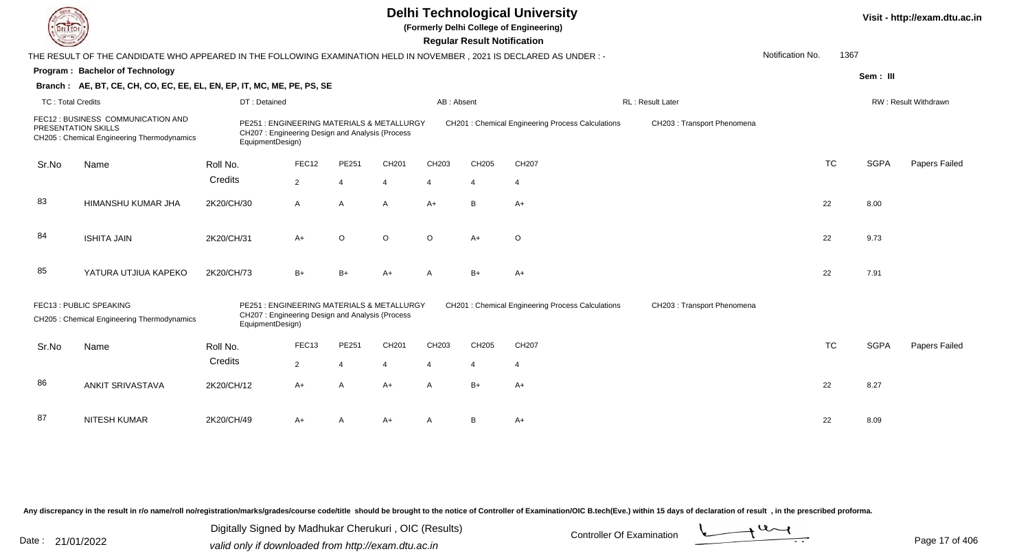|                          |                                                                                                                     |                                                                                                                   |                |                |         |                | <b>Regular Result Notification</b> | <b>Delhi Technological University</b><br>(Formerly Delhi College of Engineering) |                             |                  |           |             | Visit - http://exam.dtu.ac.in |
|--------------------------|---------------------------------------------------------------------------------------------------------------------|-------------------------------------------------------------------------------------------------------------------|----------------|----------------|---------|----------------|------------------------------------|----------------------------------------------------------------------------------|-----------------------------|------------------|-----------|-------------|-------------------------------|
|                          | THE RESULT OF THE CANDIDATE WHO APPEARED IN THE FOLLOWING EXAMINATION HELD IN NOVEMBER, 2021 IS DECLARED AS UNDER:- |                                                                                                                   |                |                |         |                |                                    |                                                                                  |                             | Notification No. | 1367      |             |                               |
|                          | Program: Bachelor of Technology                                                                                     |                                                                                                                   |                |                |         |                |                                    |                                                                                  |                             |                  |           | Sem: III    |                               |
|                          | Branch: AE, BT, CE, CH, CO, EC, EE, EL, EN, EP, IT, MC, ME, PE, PS, SE                                              |                                                                                                                   |                |                |         |                |                                    |                                                                                  |                             |                  |           |             |                               |
| <b>TC: Total Credits</b> |                                                                                                                     | DT: Detained                                                                                                      |                |                |         | AB: Absent     |                                    |                                                                                  | RL: Result Later            |                  |           |             | RW: Result Withdrawn          |
|                          | FEC12 : BUSINESS COMMUNICATION AND<br><b>PRESENTATION SKILLS</b><br>CH205 : Chemical Engineering Thermodynamics     | PE251 : ENGINEERING MATERIALS & METALLURGY<br>CH207: Engineering Design and Analysis (Process<br>EquipmentDesign) |                |                |         |                |                                    | <b>CH201: Chemical Engineering Process Calculations</b>                          | CH203 : Transport Phenomena |                  |           |             |                               |
| Sr.No                    | Name                                                                                                                | Roll No.                                                                                                          | FEC12          | PE251          | CH201   | CH203          | CH205                              | CH207                                                                            |                             |                  | <b>TC</b> | <b>SGPA</b> | Papers Failed                 |
|                          |                                                                                                                     | Credits                                                                                                           | $\overline{2}$ | $\overline{4}$ | 4       | $\overline{4}$ | $\overline{4}$                     | $\overline{4}$                                                                   |                             |                  |           |             |                               |
|                          |                                                                                                                     |                                                                                                                   |                |                |         |                |                                    |                                                                                  |                             |                  |           |             |                               |
| 83                       | HIMANSHU KUMAR JHA                                                                                                  | 2K20/CH/30                                                                                                        | $\mathsf{A}$   | $\overline{A}$ | A       | $A+$           | B                                  | $A+$                                                                             |                             |                  | 22        | 8.00        |                               |
| 84                       | <b>ISHITA JAIN</b>                                                                                                  | 2K20/CH/31                                                                                                        | $A+$           | $\circ$        | $\circ$ | $\Omega$       | $A+$                               | $\circ$                                                                          |                             |                  | 22        | 9.73        |                               |
| 85                       | YATURA UTJIUA KAPEKO                                                                                                | 2K20/CH/73                                                                                                        | $B+$           | $B+$           | $A+$    | A              | $B+$                               | $A+$                                                                             |                             |                  | 22        | 7.91        |                               |
|                          | FEC13: PUBLIC SPEAKING<br>CH205 : Chemical Engineering Thermodynamics                                               | PE251 : ENGINEERING MATERIALS & METALLURGY<br>CH207: Engineering Design and Analysis (Process<br>EquipmentDesign) |                |                |         |                |                                    | CH201 : Chemical Engineering Process Calculations                                | CH203 : Transport Phenomena |                  |           |             |                               |
| Sr.No                    | Name                                                                                                                | Roll No.                                                                                                          | FEC13          | PE251          | CH201   | CH203          | CH205                              | CH207                                                                            |                             |                  | <b>TC</b> | <b>SGPA</b> | Papers Failed                 |
|                          |                                                                                                                     | Credits                                                                                                           | $\overline{2}$ | $\overline{4}$ | 4       | $\overline{4}$ | $\overline{4}$                     | $\overline{4}$                                                                   |                             |                  |           |             |                               |
|                          |                                                                                                                     |                                                                                                                   |                |                |         |                |                                    |                                                                                  |                             |                  |           |             |                               |
| 86                       | <b>ANKIT SRIVASTAVA</b>                                                                                             | 2K20/CH/12                                                                                                        | A+             | A              | $A+$    | $\mathsf{A}$   | $B+$                               | $A+$                                                                             |                             |                  | 22        | 8.27        |                               |
|                          |                                                                                                                     |                                                                                                                   |                |                |         |                |                                    |                                                                                  |                             |                  |           |             |                               |
| 87                       | NITESH KUMAR                                                                                                        | 2K20/CH/49                                                                                                        | A+             | A              | A+      | A              | B                                  | $A+$                                                                             |                             |                  | 22        | 8.09        |                               |
|                          |                                                                                                                     |                                                                                                                   |                |                |         |                |                                    |                                                                                  |                             |                  |           |             |                               |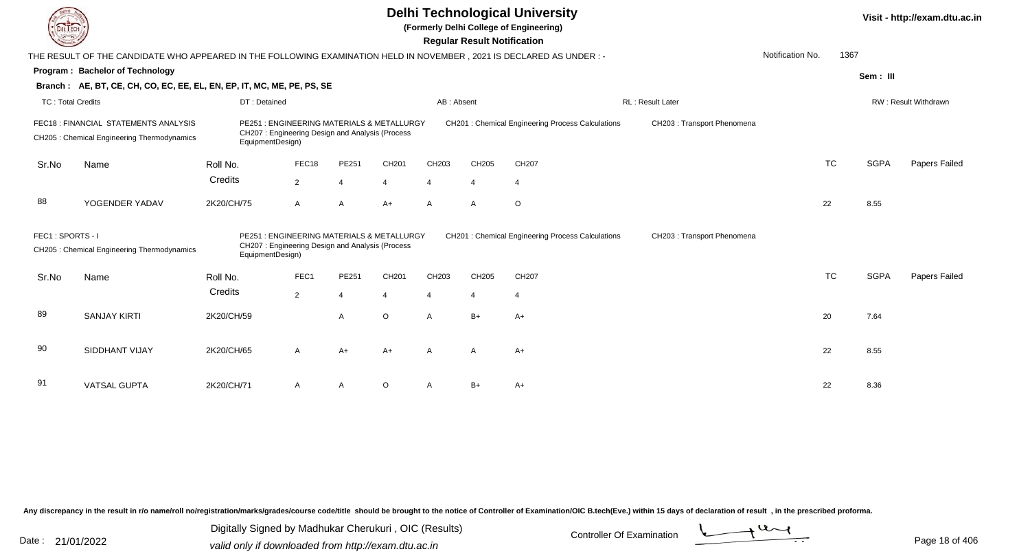|                   |                                                                                                                      |                           |                                                                                              |                         |                   |                | <b>Regular Result Notification</b> | <b>Delhi Technological University</b><br>(Formerly Delhi College of Engineering) |                             |                  |           |             | Visit - http://exam.dtu.ac.in |
|-------------------|----------------------------------------------------------------------------------------------------------------------|---------------------------|----------------------------------------------------------------------------------------------|-------------------------|-------------------|----------------|------------------------------------|----------------------------------------------------------------------------------|-----------------------------|------------------|-----------|-------------|-------------------------------|
|                   | THE RESULT OF THE CANDIDATE WHO APPEARED IN THE FOLLOWING EXAMINATION HELD IN NOVEMBER, 2021 IS DECLARED AS UNDER :- |                           |                                                                                              |                         |                   |                |                                    |                                                                                  |                             | Notification No. | 1367      |             |                               |
|                   | Program: Bachelor of Technology                                                                                      |                           |                                                                                              |                         |                   |                |                                    |                                                                                  |                             |                  |           | Sem: III    |                               |
|                   | Branch: AE, BT, CE, CH, CO, EC, EE, EL, EN, EP, IT, MC, ME, PE, PS, SE                                               |                           |                                                                                              |                         |                   |                |                                    |                                                                                  |                             |                  |           |             |                               |
| TC: Total Credits |                                                                                                                      | DT: Detained              |                                                                                              |                         |                   | AB: Absent     |                                    |                                                                                  | <b>RL: Result Later</b>     |                  |           |             | RW: Result Withdrawn          |
|                   | FEC18 : FINANCIAL STATEMENTS ANALYSIS<br>CH205 : Chemical Engineering Thermodynamics                                 | EquipmentDesign)          | PE251: ENGINEERING MATERIALS & METALLURGY<br>CH207: Engineering Design and Analysis (Process |                         |                   |                |                                    | CH201 : Chemical Engineering Process Calculations                                | CH203 : Transport Phenomena |                  |           |             |                               |
| Sr.No             | Name                                                                                                                 | Roll No.                  | FEC18                                                                                        | PE251                   | CH201             | CH203          | CH205                              | CH207                                                                            |                             |                  | <b>TC</b> | <b>SGPA</b> | Papers Failed                 |
|                   |                                                                                                                      | Credits                   | $\overline{2}$                                                                               | $\overline{4}$          | $\overline{4}$    | $\overline{4}$ | $\overline{4}$                     | $\overline{4}$                                                                   |                             |                  |           |             |                               |
| 88                | YOGENDER YADAV                                                                                                       | 2K20/CH/75                | $\mathsf{A}$                                                                                 | $\overline{A}$          | $A+$              | $\mathsf{A}$   | $\mathsf{A}$                       | $\circ$                                                                          |                             |                  | 22        | 8.55        |                               |
| FEC1: SPORTS - I  | CH205 : Chemical Engineering Thermodynamics                                                                          | PE251<br>EquipmentDesign) | : ENGINEERING MATERIALS & METALLURGY<br>CH207: Engineering Design and Analysis (Process      |                         |                   |                |                                    | CH201 : Chemical Engineering Process Calculations                                | CH203 : Transport Phenomena |                  |           |             |                               |
| Sr.No             | Name                                                                                                                 | Roll No.                  | FEC1                                                                                         | PE251                   | CH <sub>201</sub> | CH203          | CH205                              | CH207                                                                            |                             |                  | <b>TC</b> | <b>SGPA</b> | <b>Papers Failed</b>          |
|                   |                                                                                                                      | Credits                   | $\overline{2}$                                                                               | $\overline{\mathbf{4}}$ |                   | $\overline{4}$ | $\overline{4}$                     | $\overline{4}$                                                                   |                             |                  |           |             |                               |
| 89                | <b>SANJAY KIRTI</b>                                                                                                  | 2K20/CH/59                |                                                                                              | $\overline{A}$          | $\circ$           | $\mathsf{A}$   | $B+$                               | $A+$                                                                             |                             |                  | 20        | 7.64        |                               |
| 90                | SIDDHANT VIJAY                                                                                                       | 2K20/CH/65                | A                                                                                            | $A+$                    | $A+$              | $\mathsf{A}$   | $\mathsf{A}$                       | $A+$                                                                             |                             |                  | 22        | 8.55        |                               |
| 91                | <b>VATSAL GUPTA</b>                                                                                                  | 2K20/CH/71                | A                                                                                            | A                       | $\Omega$          | A              | $B+$                               | $A+$                                                                             |                             |                  | 22        | 8.36        |                               |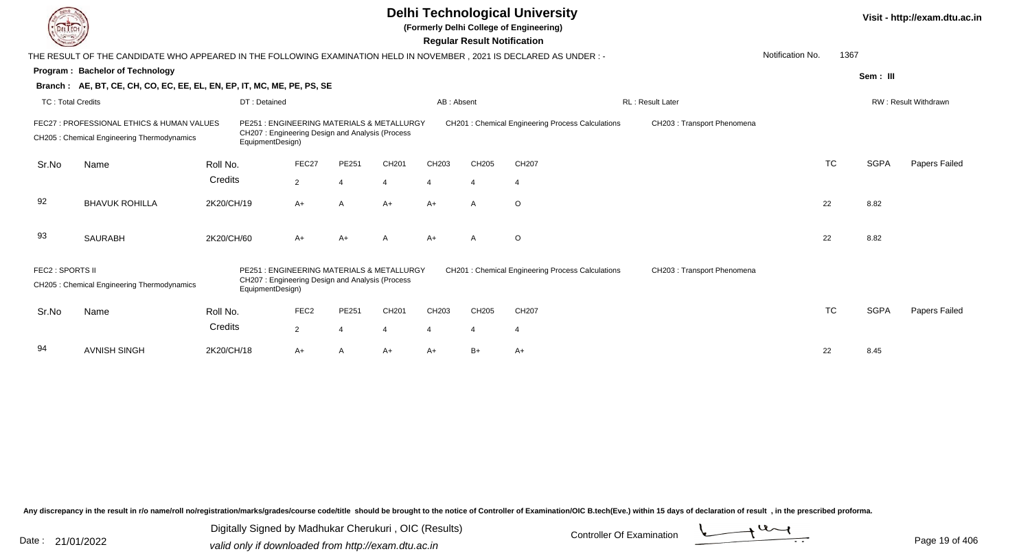|                          |                                                                                                                        |                           |                                                                                              |                |       |                       | <b>Regular Result Notification</b> | <b>Delhi Technological University</b><br>(Formerly Delhi College of Engineering) |                             |                  |           |             | Visit - http://exam.dtu.ac.in |
|--------------------------|------------------------------------------------------------------------------------------------------------------------|---------------------------|----------------------------------------------------------------------------------------------|----------------|-------|-----------------------|------------------------------------|----------------------------------------------------------------------------------|-----------------------------|------------------|-----------|-------------|-------------------------------|
|                          | THE RESULT OF THE CANDIDATE WHO APPEARED IN THE FOLLOWING EXAMINATION HELD IN NOVEMBER , 2021 IS DECLARED AS UNDER : - |                           |                                                                                              |                |       |                       |                                    |                                                                                  |                             | Notification No. | 1367      |             |                               |
|                          | Program: Bachelor of Technology                                                                                        |                           |                                                                                              |                |       |                       |                                    |                                                                                  |                             |                  |           | Sem: III    |                               |
|                          | Branch: AE, BT, CE, CH, CO, EC, EE, EL, EN, EP, IT, MC, ME, PE, PS, SE                                                 |                           |                                                                                              |                |       |                       |                                    |                                                                                  |                             |                  |           |             |                               |
| <b>TC: Total Credits</b> |                                                                                                                        | DT: Detained              |                                                                                              |                |       | AB: Absent            |                                    |                                                                                  | <b>RL: Result Later</b>     |                  |           |             | RW: Result Withdrawn          |
|                          | FEC27 : PROFESSIONAL ETHICS & HUMAN VALUES<br>CH205 : Chemical Engineering Thermodynamics                              | EquipmentDesign)          | PE251: ENGINEERING MATERIALS & METALLURGY<br>CH207: Engineering Design and Analysis (Process |                |       |                       |                                    | CH201 : Chemical Engineering Process Calculations                                | CH203 : Transport Phenomena |                  |           |             |                               |
| Sr.No                    | Name                                                                                                                   | Roll No.                  | FEC27                                                                                        | PE251          | CH201 | CH203                 | CH205                              | CH207                                                                            |                             |                  | <b>TC</b> | <b>SGPA</b> | <b>Papers Failed</b>          |
|                          |                                                                                                                        | Credits                   | $\overline{2}$                                                                               | $\Delta$       | 4     | $\boldsymbol{\Delta}$ | $\boldsymbol{\Delta}$              | $\overline{4}$                                                                   |                             |                  |           |             |                               |
| 92                       | <b>BHAVUK ROHILLA</b>                                                                                                  | 2K20/CH/19                | A+                                                                                           | $\overline{A}$ | $A+$  | $A+$                  | $\mathsf{A}$                       | $\circ$                                                                          |                             |                  | 22        | 8.82        |                               |
| 93                       | <b>SAURABH</b>                                                                                                         | 2K20/CH/60                | A+                                                                                           | $A+$           | A     | $A+$                  | $\mathsf{A}$                       | $\circ$                                                                          |                             |                  | 22        | 8.82        |                               |
| FEC2 : SPORTS II         | CH205 : Chemical Engineering Thermodynamics                                                                            | PF251<br>EquipmentDesign) | : ENGINEERING MATERIALS & METALLURGY<br>CH207: Engineering Design and Analysis (Process      |                |       |                       |                                    | CH201 : Chemical Engineering Process Calculations                                | CH203 : Transport Phenomena |                  |           |             |                               |
| Sr.No                    | Name                                                                                                                   | Roll No.                  | FEC <sub>2</sub>                                                                             | PE251          | CH201 | CH203                 | CH205                              | CH <sub>207</sub>                                                                |                             |                  | <b>TC</b> | <b>SGPA</b> | Papers Failed                 |
|                          |                                                                                                                        | Credits                   | $\overline{2}$                                                                               |                |       | 4                     | $\overline{4}$                     | $\overline{4}$                                                                   |                             |                  |           |             |                               |
| 94                       | <b>AVNISH SINGH</b>                                                                                                    | 2K20/CH/18                | A+                                                                                           | $\overline{A}$ | $A+$  | $A+$                  | $B+$                               | $A+$                                                                             |                             |                  | 22        | 8.45        |                               |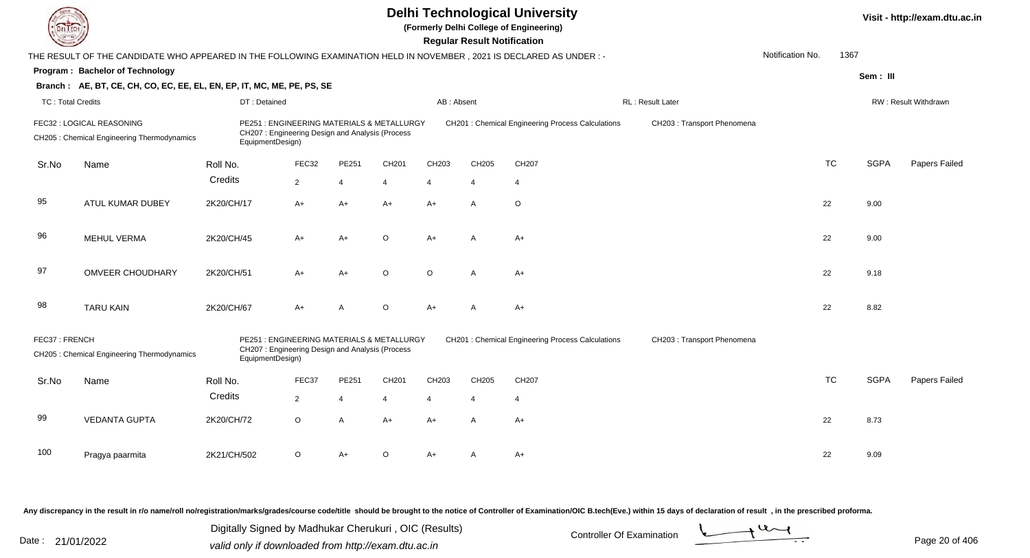|                          |                                                                                                                      |                                                                                                                   |                |                |                |                | <b>Regular Result Notification</b> | <b>Delhi Technological University</b><br>(Formerly Delhi College of Engineering) |                             |                  |           |             | Visit - http://exam.dtu.ac.in |
|--------------------------|----------------------------------------------------------------------------------------------------------------------|-------------------------------------------------------------------------------------------------------------------|----------------|----------------|----------------|----------------|------------------------------------|----------------------------------------------------------------------------------|-----------------------------|------------------|-----------|-------------|-------------------------------|
|                          | THE RESULT OF THE CANDIDATE WHO APPEARED IN THE FOLLOWING EXAMINATION HELD IN NOVEMBER, 2021 IS DECLARED AS UNDER :- |                                                                                                                   |                |                |                |                |                                    |                                                                                  |                             | Notification No. | 1367      |             |                               |
|                          | Program: Bachelor of Technology                                                                                      |                                                                                                                   |                |                |                |                |                                    |                                                                                  |                             |                  |           | Sem: III    |                               |
|                          | Branch: AE, BT, CE, CH, CO, EC, EE, EL, EN, EP, IT, MC, ME, PE, PS, SE                                               |                                                                                                                   |                |                |                |                |                                    |                                                                                  |                             |                  |           |             |                               |
| <b>TC: Total Credits</b> |                                                                                                                      | DT: Detained                                                                                                      |                |                |                | AB: Absent     |                                    |                                                                                  | <b>RL: Result Later</b>     |                  |           |             | <b>RW: Result Withdrawn</b>   |
|                          | FEC32 : LOGICAL REASONING<br>CH205 : Chemical Engineering Thermodynamics                                             | PE251: ENGINEERING MATERIALS & METALLURGY<br>CH207: Engineering Design and Analysis (Process<br>EquipmentDesign)  |                |                |                |                |                                    | CH201 : Chemical Engineering Process Calculations                                | CH203 : Transport Phenomena |                  |           |             |                               |
| Sr.No                    | Name                                                                                                                 | Roll No.                                                                                                          | FEC32          | PE251          | CH201          | CH203          | CH205                              | CH207                                                                            |                             |                  | <b>TC</b> | <b>SGPA</b> | Papers Failed                 |
|                          |                                                                                                                      | Credits                                                                                                           | $\overline{2}$ | $\overline{4}$ | $\overline{4}$ | $\overline{4}$ | $\overline{4}$                     | $\overline{4}$                                                                   |                             |                  |           |             |                               |
| 95                       | ATUL KUMAR DUBEY                                                                                                     | 2K20/CH/17                                                                                                        | $A+$           | $A+$           | $A+$           | $A+$           | $\mathsf{A}$                       | $\circ$                                                                          |                             |                  | 22        | 9.00        |                               |
| 96                       | <b>MEHUL VERMA</b>                                                                                                   | 2K20/CH/45                                                                                                        | A+             | $A+$           | $\Omega$       | $A+$           | A                                  | $A+$                                                                             |                             |                  | 22        | 9.00        |                               |
| 97                       | <b>OMVEER CHOUDHARY</b>                                                                                              | 2K20/CH/51                                                                                                        | A+             | $A+$           | $\Omega$       | $\Omega$       | A                                  | $A+$                                                                             |                             |                  | 22        | 9.18        |                               |
| 98                       | <b>TARU KAIN</b>                                                                                                     | 2K20/CH/67                                                                                                        | $A+$           | $\overline{A}$ | $\circ$        | $A+$           | $\mathsf{A}$                       | $A+$                                                                             |                             |                  | 22        | 8.82        |                               |
| FEC37: FRENCH            | CH205 : Chemical Engineering Thermodynamics                                                                          | PE251 : ENGINEERING MATERIALS & METALLURGY<br>CH207: Engineering Design and Analysis (Process<br>EquipmentDesign) |                |                |                |                |                                    | CH201 : Chemical Engineering Process Calculations                                | CH203 : Transport Phenomena |                  |           |             |                               |
| Sr.No                    | Name                                                                                                                 | Roll No.                                                                                                          | FEC37          | PE251          | CH201          | CH203          | CH205                              | CH207                                                                            |                             |                  | <b>TC</b> | <b>SGPA</b> | Papers Failed                 |
|                          |                                                                                                                      | Credits                                                                                                           | $\overline{2}$ | $\overline{4}$ | $\overline{4}$ | 4              | $\overline{4}$                     | $\overline{4}$                                                                   |                             |                  |           |             |                               |
| 99                       | <b>VEDANTA GUPTA</b>                                                                                                 | 2K20/CH/72                                                                                                        | $\circ$        | $\overline{A}$ | $A+$           | $A+$           | $\mathsf{A}$                       | $A+$                                                                             |                             |                  | 22        | 8.73        |                               |
| 100                      | Pragya paarmita                                                                                                      | 2K21/CH/502                                                                                                       | $\circ$        | $A+$           | $\Omega$       | $A+$           | A                                  | $A+$                                                                             |                             |                  | 22        | 9.09        |                               |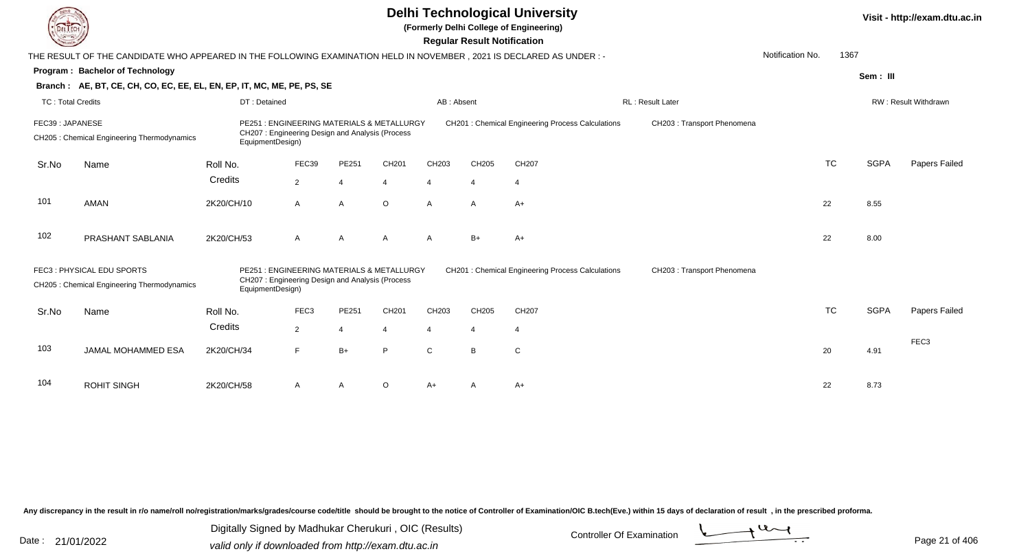|                          |                                                                                                                        |                                                                                                                                                          |                                                                                              |                |                |                | <b>Regular Result Notification</b> | <b>Delhi Technological University</b><br>(Formerly Delhi College of Engineering) |                             |                  |           |             | Visit - http://exam.dtu.ac.in |
|--------------------------|------------------------------------------------------------------------------------------------------------------------|----------------------------------------------------------------------------------------------------------------------------------------------------------|----------------------------------------------------------------------------------------------|----------------|----------------|----------------|------------------------------------|----------------------------------------------------------------------------------|-----------------------------|------------------|-----------|-------------|-------------------------------|
|                          | THE RESULT OF THE CANDIDATE WHO APPEARED IN THE FOLLOWING EXAMINATION HELD IN NOVEMBER , 2021 IS DECLARED AS UNDER : - |                                                                                                                                                          |                                                                                              |                |                |                |                                    |                                                                                  |                             | Notification No. | 1367      |             |                               |
|                          | Program: Bachelor of Technology                                                                                        |                                                                                                                                                          |                                                                                              |                |                |                |                                    |                                                                                  |                             |                  |           | Sem: III    |                               |
|                          | Branch: AE, BT, CE, CH, CO, EC, EE, EL, EN, EP, IT, MC, ME, PE, PS, SE                                                 |                                                                                                                                                          |                                                                                              |                |                |                |                                    |                                                                                  |                             |                  |           |             |                               |
| <b>TC: Total Credits</b> |                                                                                                                        | DT: Detained                                                                                                                                             |                                                                                              |                |                | AB: Absent     |                                    |                                                                                  | RL: Result Later            |                  |           |             | RW: Result Withdrawn          |
| FEC39: JAPANESE          | CH205 : Chemical Engineering Thermodynamics                                                                            | PE251 : ENGINEERING MATERIALS & METALLURGY<br>CH207: Engineering Design and Analysis (Process<br>EquipmentDesign)<br>FEC39<br>CH201<br>Roll No.<br>PE251 |                                                                                              |                |                |                |                                    | <b>CH201: Chemical Engineering Process Calculations</b>                          | CH203 : Transport Phenomena |                  |           |             |                               |
| Sr.No                    | Name                                                                                                                   |                                                                                                                                                          |                                                                                              |                |                | CH203          | CH205                              | CH207                                                                            |                             |                  | <b>TC</b> | <b>SGPA</b> | Papers Failed                 |
|                          |                                                                                                                        | Credits                                                                                                                                                  | $\overline{2}$                                                                               | $\overline{4}$ | $\overline{4}$ | $\overline{4}$ | $\overline{4}$                     | $\overline{4}$                                                                   |                             |                  |           |             |                               |
| 101                      | AMAN                                                                                                                   | 2K20/CH/10                                                                                                                                               | A                                                                                            | $\overline{A}$ | $\circ$        | $\overline{A}$ | $\mathsf{A}$                       | $A+$                                                                             |                             |                  | 22        | 8.55        |                               |
| 102                      | PRASHANT SABLANIA                                                                                                      | 2K20/CH/53                                                                                                                                               | A                                                                                            | $\mathsf{A}$   | A              | $\mathsf{A}$   | $B+$                               | $A+$                                                                             |                             |                  | 22        | 8.00        |                               |
|                          | FEC3: PHYSICAL EDU SPORTS<br>CH205 : Chemical Engineering Thermodynamics                                               | EquipmentDesign)                                                                                                                                         | PE251: ENGINEERING MATERIALS & METALLURGY<br>CH207: Engineering Design and Analysis (Process |                |                |                |                                    | <b>CH201: Chemical Engineering Process Calculations</b>                          | CH203 : Transport Phenomena |                  |           |             |                               |
| Sr.No                    | Name                                                                                                                   | Roll No.                                                                                                                                                 | FEC <sub>3</sub>                                                                             | PE251          | CH201          | CH203          | CH205                              | CH207                                                                            |                             |                  | <b>TC</b> | <b>SGPA</b> | Papers Failed                 |
|                          |                                                                                                                        | Credits                                                                                                                                                  | $\overline{2}$                                                                               | $\overline{4}$ | 4              | $\overline{4}$ | $\overline{4}$                     | $\overline{4}$                                                                   |                             |                  |           |             |                               |
| 103                      | JAMAL MOHAMMED ESA                                                                                                     | 2K20/CH/34                                                                                                                                               | F                                                                                            | $B+$           | P              | $\mathsf C$    | B                                  | $\mathsf C$                                                                      |                             |                  | 20        | 4.91        | FEC <sub>3</sub>              |
| 104                      | <b>ROHIT SINGH</b>                                                                                                     | 2K20/CH/58                                                                                                                                               | $\mathsf{A}$                                                                                 | A              | $\circ$        | $A+$           |                                    | $A+$                                                                             |                             |                  | 22        | 8.73        |                               |

Digitally Signed by Madhukar Cherukuri, OIC (Results)<br>Date : 21/01/2022 valid only if downloaded from http://oxam.dtu.ac.in Digitally Signed by Madhukar Cherukuri , OIC (Results)

valid only if downloaded from http://exam.dtu.ac.in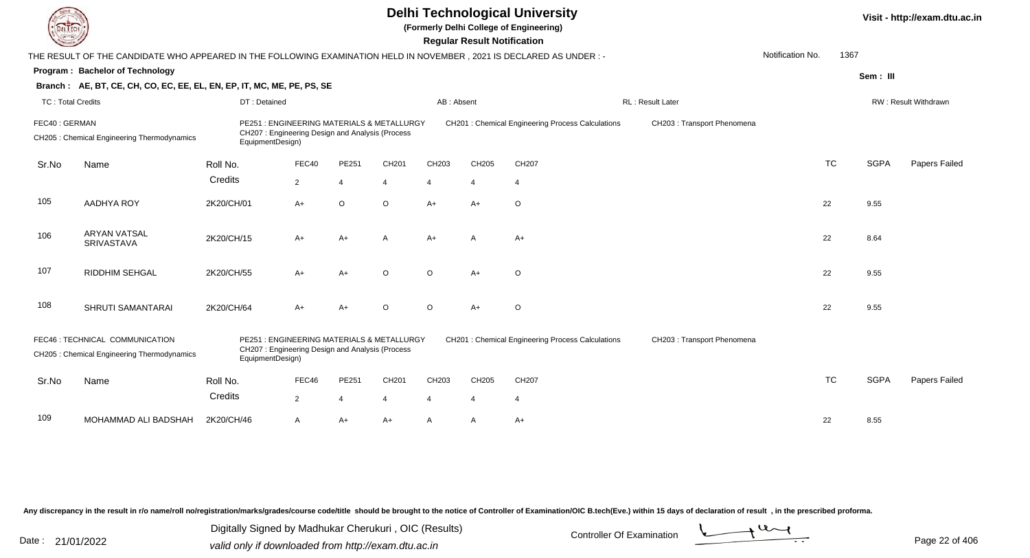|                          |                                                                                                                      |                                                                                                                   |                |                | Visit - http://exam.dtu.ac.in |                |                       |                                                         |                             |                  |           |             |                      |
|--------------------------|----------------------------------------------------------------------------------------------------------------------|-------------------------------------------------------------------------------------------------------------------|----------------|----------------|-------------------------------|----------------|-----------------------|---------------------------------------------------------|-----------------------------|------------------|-----------|-------------|----------------------|
|                          | THE RESULT OF THE CANDIDATE WHO APPEARED IN THE FOLLOWING EXAMINATION HELD IN NOVEMBER, 2021 IS DECLARED AS UNDER :- |                                                                                                                   |                |                |                               |                |                       |                                                         |                             | Notification No. | 1367      |             |                      |
|                          | Program: Bachelor of Technology                                                                                      |                                                                                                                   |                |                |                               |                |                       |                                                         |                             |                  |           | Sem: III    |                      |
|                          | Branch: AE, BT, CE, CH, CO, EC, EE, EL, EN, EP, IT, MC, ME, PE, PS, SE                                               |                                                                                                                   |                |                |                               |                |                       |                                                         |                             |                  |           |             |                      |
| <b>TC: Total Credits</b> |                                                                                                                      | DT: Detained                                                                                                      |                |                |                               | AB: Absent     |                       |                                                         | RL : Result Later           |                  |           |             | RW: Result Withdrawn |
| FEC40: GERMAN            | CH205 : Chemical Engineering Thermodynamics                                                                          | PE251: ENGINEERING MATERIALS & METALLURGY<br>CH207: Engineering Design and Analysis (Process<br>EquipmentDesign)  |                |                |                               |                |                       | <b>CH201: Chemical Engineering Process Calculations</b> | CH203 : Transport Phenomena |                  |           |             |                      |
| Sr.No                    | Name                                                                                                                 | Roll No.                                                                                                          | FEC40          | PE251          | CH <sub>201</sub>             | CH203          | CH205                 | CH207                                                   |                             |                  | <b>TC</b> | <b>SGPA</b> | Papers Failed        |
|                          |                                                                                                                      | Credits                                                                                                           | $\overline{2}$ | $\overline{4}$ | 4                             | $\overline{4}$ | $\boldsymbol{\Delta}$ | $\overline{4}$                                          |                             |                  |           |             |                      |
| 105                      | AADHYA ROY                                                                                                           | 2K20/CH/01                                                                                                        | A+             | $\circ$        | $\circ$                       | $A+$           | $A+$                  | $\circ$                                                 |                             |                  | 22        | 9.55        |                      |
| 106                      | <b>ARYAN VATSAL</b><br>SRIVASTAVA                                                                                    | 2K20/CH/15                                                                                                        | A+             | $A+$           | A                             | $A+$           | $\mathsf{A}$          | $A+$                                                    |                             |                  | 22        | 8.64        |                      |
| 107                      | RIDDHIM SEHGAL                                                                                                       | 2K20/CH/55                                                                                                        | $A+$           | $A+$           | $\circ$                       | $\circ$        | $A+$                  | $\circ$                                                 |                             |                  | 22        | 9.55        |                      |
| 108                      | SHRUTI SAMANTARAI                                                                                                    | 2K20/CH/64                                                                                                        | A+             | $A+$           | $\circ$                       | $\circ$        | $A+$                  | $\circ$                                                 |                             |                  | 22        | 9.55        |                      |
|                          | FEC46 : TECHNICAL COMMUNICATION<br>CH205 : Chemical Engineering Thermodynamics                                       | PE251 : ENGINEERING MATERIALS & METALLURGY<br>CH207: Engineering Design and Analysis (Process<br>EquipmentDesign) |                |                |                               |                |                       | CH201 : Chemical Engineering Process Calculations       | CH203 : Transport Phenomena |                  |           |             |                      |
| Sr.No                    | Name                                                                                                                 | Roll No.                                                                                                          | FEC46          | PE251          | CH201                         | CH203          | CH205                 | CH207                                                   |                             |                  | <b>TC</b> | <b>SGPA</b> | Papers Failed        |
|                          |                                                                                                                      | Credits                                                                                                           | $\overline{2}$ | $\overline{4}$ | $\overline{4}$                | $\overline{4}$ | $\overline{4}$        | $\overline{4}$                                          |                             |                  |           |             |                      |
| 109                      | MOHAMMAD ALI BADSHAH                                                                                                 | 2K20/CH/46                                                                                                        | A              | $A+$           | $A+$                          | A              | A                     | $A+$                                                    |                             |                  | 22        | 8.55        |                      |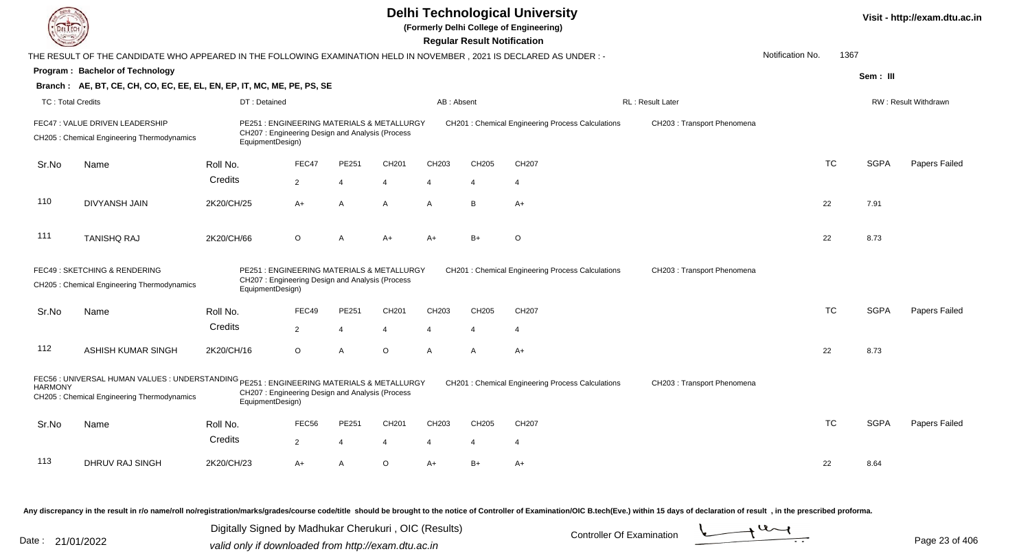|                          |                                                                                                                                         |                  |                                                                                               |                         |                   |                | <b>Regular Result Notification</b> | <b>Delhi Technological University</b><br>(Formerly Delhi College of Engineering) |                             |                  |           |             | Visit - http://exam.dtu.ac.in |
|--------------------------|-----------------------------------------------------------------------------------------------------------------------------------------|------------------|-----------------------------------------------------------------------------------------------|-------------------------|-------------------|----------------|------------------------------------|----------------------------------------------------------------------------------|-----------------------------|------------------|-----------|-------------|-------------------------------|
|                          | THE RESULT OF THE CANDIDATE WHO APPEARED IN THE FOLLOWING EXAMINATION HELD IN NOVEMBER, 2021 IS DECLARED AS UNDER :-                    |                  |                                                                                               |                         |                   |                |                                    |                                                                                  |                             | Notification No. | 1367      |             |                               |
|                          | Program: Bachelor of Technology                                                                                                         |                  |                                                                                               |                         |                   |                |                                    |                                                                                  |                             |                  |           | Sem: III    |                               |
|                          | Branch: AE, BT, CE, CH, CO, EC, EE, EL, EN, EP, IT, MC, ME, PE, PS, SE                                                                  |                  |                                                                                               |                         |                   |                |                                    |                                                                                  |                             |                  |           |             |                               |
| <b>TC: Total Credits</b> |                                                                                                                                         | DT: Detained     |                                                                                               |                         |                   | AB: Absent     |                                    |                                                                                  | RL: Result Later            |                  |           |             | RW: Result Withdrawn          |
|                          | FEC47 : VALUE DRIVEN LEADERSHIP<br>CH205: Chemical Engineering Thermodynamics                                                           | EquipmentDesign) | PE251 : ENGINEERING MATERIALS & METALLURGY<br>CH207: Engineering Design and Analysis (Process |                         |                   |                |                                    | CH201 : Chemical Engineering Process Calculations                                | CH203 : Transport Phenomena |                  |           |             |                               |
| Sr.No                    | Name                                                                                                                                    | Roll No.         | FEC47                                                                                         | PE251                   | CH201             | CH203          | CH205                              | CH207                                                                            |                             |                  | <b>TC</b> | <b>SGPA</b> | Papers Failed                 |
|                          |                                                                                                                                         | Credits          | $\overline{2}$                                                                                | $\overline{\mathbf{4}}$ | $\overline{4}$    | $\overline{4}$ | $\overline{4}$                     | $\overline{4}$                                                                   |                             |                  |           |             |                               |
| 110                      | <b>DIVYANSH JAIN</b>                                                                                                                    | 2K20/CH/25       | $A+$                                                                                          | $\overline{A}$          | $\mathsf{A}$      | $\mathsf{A}$   | B                                  | $A+$                                                                             |                             |                  | 22        | 7.91        |                               |
| 111                      | <b>TANISHQ RAJ</b>                                                                                                                      | 2K20/CH/66       | $\circ$                                                                                       | $\overline{A}$          | $A+$              | $A+$           | $B+$                               | $\circ$                                                                          |                             |                  | 22        | 8.73        |                               |
|                          | FEC49 : SKETCHING & RENDERING<br>CH205 : Chemical Engineering Thermodynamics                                                            | EquipmentDesign) | PE251 : ENGINEERING MATERIALS & METALLURGY<br>CH207: Engineering Design and Analysis (Process |                         |                   |                |                                    | <b>CH201: Chemical Engineering Process Calculations</b>                          | CH203 : Transport Phenomena |                  |           |             |                               |
| Sr.No                    | Name                                                                                                                                    | Roll No.         | FEC49                                                                                         | PE251                   | CH201             | CH203          | CH205                              | CH207                                                                            |                             |                  | <b>TC</b> | <b>SGPA</b> | Papers Failed                 |
|                          |                                                                                                                                         | Credits          | $\overline{2}$                                                                                | $\overline{4}$          |                   | $\overline{4}$ | $\boldsymbol{\varDelta}$           | $\overline{4}$                                                                   |                             |                  |           |             |                               |
| 112                      | ASHISH KUMAR SINGH                                                                                                                      | 2K20/CH/16       | $\circ$                                                                                       | $\overline{A}$          | $\circ$           | $\mathsf{A}$   | A                                  | $A+$                                                                             |                             |                  | 22        | 8.73        |                               |
| <b>HARMONY</b>           | FEC56 : UNIVERSAL HUMAN VALUES : UNDERSTANDING PE251 : ENGINEERING MATERIALS & METALLURGY<br>CH205: Chemical Engineering Thermodynamics | EquipmentDesign) | CH207: Engineering Design and Analysis (Process                                               |                         |                   |                |                                    | CH201 : Chemical Engineering Process Calculations                                | CH203 : Transport Phenomena |                  |           |             |                               |
| Sr.No                    | Name                                                                                                                                    | Roll No.         | FEC56                                                                                         | PE251                   | CH <sub>201</sub> | CH203          | CH205                              | CH207                                                                            |                             |                  | <b>TC</b> | <b>SGPA</b> | Papers Failed                 |
|                          |                                                                                                                                         | Credits          | $\overline{2}$                                                                                | $\overline{4}$          | $\overline{4}$    | 4              | $\overline{4}$                     | $\overline{4}$                                                                   |                             |                  |           |             |                               |
| 113                      | DHRUV RAJ SINGH                                                                                                                         | 2K20/CH/23       | A+                                                                                            | $\overline{A}$          | $\Omega$          | $A+$           | $B+$                               | $A+$                                                                             |                             |                  | 22        | 8.64        |                               |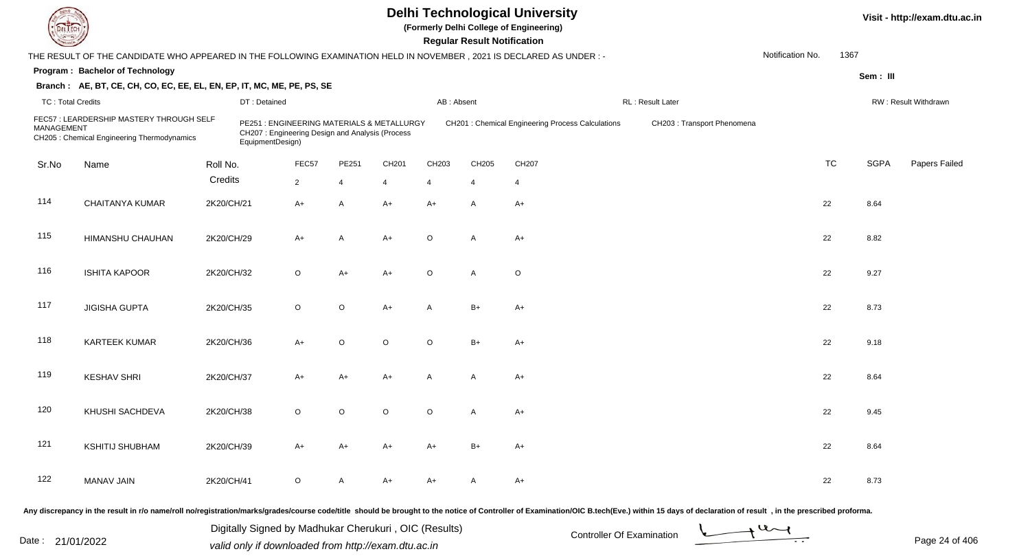**(Formerly Delhi College of Engineering)**

 **Regular Result Notification**

| <b>Consultor of Charles</b> |                                                                                                                      |            |                                                                                                                   |                |                |                |            | <b>Regular Result Notification</b> |                                                         |                             |                  |           |             |                      |
|-----------------------------|----------------------------------------------------------------------------------------------------------------------|------------|-------------------------------------------------------------------------------------------------------------------|----------------|----------------|----------------|------------|------------------------------------|---------------------------------------------------------|-----------------------------|------------------|-----------|-------------|----------------------|
|                             | THE RESULT OF THE CANDIDATE WHO APPEARED IN THE FOLLOWING EXAMINATION HELD IN NOVEMBER, 2021 IS DECLARED AS UNDER :- |            |                                                                                                                   |                |                |                |            |                                    |                                                         |                             | Notification No. | 1367      |             |                      |
|                             | Program: Bachelor of Technology                                                                                      |            |                                                                                                                   |                |                |                |            |                                    |                                                         |                             |                  |           | Sem: III    |                      |
|                             | Branch: AE, BT, CE, CH, CO, EC, EE, EL, EN, EP, IT, MC, ME, PE, PS, SE                                               |            |                                                                                                                   |                |                |                |            |                                    |                                                         |                             |                  |           |             |                      |
| <b>TC: Total Credits</b>    |                                                                                                                      |            | DT: Detained                                                                                                      |                |                |                | AB: Absent |                                    |                                                         | <b>RL: Result Later</b>     |                  |           |             | RW: Result Withdrawn |
| <b>MANAGEMENT</b>           | FEC57: LEARDERSHIP MASTERY THROUGH SELF<br>CH205 : Chemical Engineering Thermodynamics                               |            | PE251 : ENGINEERING MATERIALS & METALLURGY<br>CH207: Engineering Design and Analysis (Process<br>EquipmentDesign) |                |                |                |            |                                    | <b>CH201: Chemical Engineering Process Calculations</b> | CH203 : Transport Phenomena |                  |           |             |                      |
| Sr.No                       | Name                                                                                                                 | Roll No.   |                                                                                                                   | FEC57          | PE251          | CH201          | CH203      | CH205                              | CH207                                                   |                             |                  | <b>TC</b> | <b>SGPA</b> | Papers Failed        |
|                             |                                                                                                                      | Credits    |                                                                                                                   | $\overline{2}$ | $\overline{4}$ | $\overline{4}$ | 4          | $\overline{4}$                     | $\overline{4}$                                          |                             |                  |           |             |                      |
| 114                         | <b>CHAITANYA KUMAR</b>                                                                                               | 2K20/CH/21 |                                                                                                                   | $A+$           | Α              | $A+$           | $A+$       | A                                  | $A+$                                                    |                             |                  | 22        | 8.64        |                      |
| 115                         | HIMANSHU CHAUHAN                                                                                                     | 2K20/CH/29 |                                                                                                                   | $A+$           | $\overline{A}$ | $A+$           | $\circ$    | A                                  | $A+$                                                    |                             |                  | 22        | 8.82        |                      |
| 116                         | <b>ISHITA KAPOOR</b>                                                                                                 | 2K20/CH/32 |                                                                                                                   | $\circ$        | $A+$           | $A+$           | $\circ$    | A                                  | $\circ$                                                 |                             |                  | 22        | 9.27        |                      |
| 117                         | <b>JIGISHA GUPTA</b>                                                                                                 | 2K20/CH/35 |                                                                                                                   | $\circ$        | $\circ$        | $A+$           | A          | $B+$                               | $A+$                                                    |                             |                  | 22        | 8.73        |                      |
| 118                         | <b>KARTEEK KUMAR</b>                                                                                                 | 2K20/CH/36 |                                                                                                                   | $A+$           | $\circ$        | $\circ$        | $\circ$    | $B+$                               | $A+$                                                    |                             |                  | 22        | 9.18        |                      |
| 119                         | <b>KESHAV SHRI</b>                                                                                                   | 2K20/CH/37 |                                                                                                                   | $A+$           | $A+$           | $A+$           | A          | A                                  | $A+$                                                    |                             |                  | 22        | 8.64        |                      |
| 120                         | KHUSHI SACHDEVA                                                                                                      | 2K20/CH/38 |                                                                                                                   | $\circ$        | $\circ$        | $\mathsf O$    | $\circ$    | A                                  | $A+$                                                    |                             |                  | 22        | 9.45        |                      |
| 121                         | <b>KSHITIJ SHUBHAM</b>                                                                                               | 2K20/CH/39 |                                                                                                                   | $A+$           | A+             | $A+$           | A+         | $B+$                               | A+                                                      |                             |                  | 22        | 8.64        |                      |
| 122                         | <b>MANAV JAIN</b>                                                                                                    | 2K20/CH/41 |                                                                                                                   | $\circ$        | A              | A+             | A+         | A                                  | A+                                                      |                             |                  | 22        | 8.73        |                      |
|                             |                                                                                                                      |            |                                                                                                                   |                |                |                |            |                                    |                                                         |                             |                  |           |             |                      |

Any discrepancy in the result in r/o name/roll no/registration/marks/grades/course code/title should be brought to the notice of Controller of Examination/OIC B.tech(Eve.) within 15 days of declaration of result, in the pr

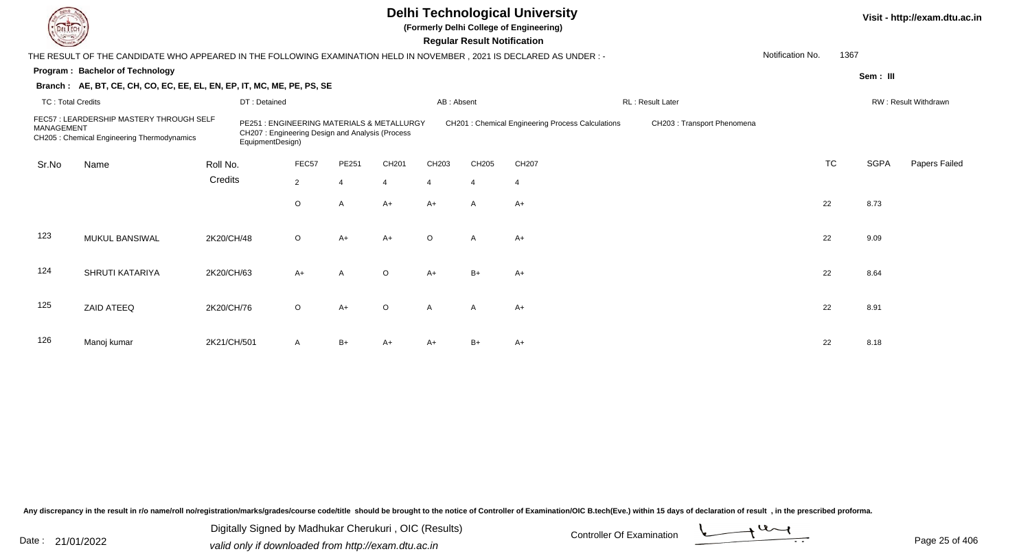**(Formerly Delhi College of Engineering)**

 **Regular Result Notification**

| <b>County</b>            |                                                                                                                        |             |                                                                                                                   |                |                       |                |                | Regular Result Notification |                                                         |                            |                  |           |             |                      |
|--------------------------|------------------------------------------------------------------------------------------------------------------------|-------------|-------------------------------------------------------------------------------------------------------------------|----------------|-----------------------|----------------|----------------|-----------------------------|---------------------------------------------------------|----------------------------|------------------|-----------|-------------|----------------------|
|                          | THE RESULT OF THE CANDIDATE WHO APPEARED IN THE FOLLOWING EXAMINATION HELD IN NOVEMBER , 2021 IS DECLARED AS UNDER : - |             |                                                                                                                   |                |                       |                |                |                             |                                                         |                            | Notification No. | 1367      |             |                      |
|                          | Program: Bachelor of Technology                                                                                        |             |                                                                                                                   |                |                       |                |                |                             |                                                         |                            |                  |           | Sem: III    |                      |
|                          | Branch: AE, BT, CE, CH, CO, EC, EE, EL, EN, EP, IT, MC, ME, PE, PS, SE                                                 |             |                                                                                                                   |                |                       |                |                |                             |                                                         |                            |                  |           |             |                      |
| <b>TC: Total Credits</b> |                                                                                                                        |             | DT: Detained                                                                                                      |                |                       |                | AB: Absent     |                             |                                                         | RL: Result Later           |                  |           |             | RW: Result Withdrawn |
| MANAGEMENT               | FEC57: LEARDERSHIP MASTERY THROUGH SELF<br>CH205 : Chemical Engineering Thermodynamics                                 |             | PE251 : ENGINEERING MATERIALS & METALLURGY<br>CH207: Engineering Design and Analysis (Process<br>EquipmentDesign) |                |                       |                |                |                             | <b>CH201: Chemical Engineering Process Calculations</b> | CH203: Transport Phenomena |                  |           |             |                      |
| Sr.No                    | Name                                                                                                                   | Roll No.    |                                                                                                                   | FEC57          | PE251                 | CH201          | CH203          | CH205                       | CH207                                                   |                            |                  | <b>TC</b> | <b>SGPA</b> | Papers Failed        |
|                          |                                                                                                                        | Credits     |                                                                                                                   | $\overline{2}$ | $\boldsymbol{\Delta}$ | $\overline{4}$ | $\overline{4}$ | $\overline{4}$              | 4                                                       |                            |                  |           |             |                      |
|                          |                                                                                                                        |             |                                                                                                                   | $\circ$        | A                     | $A+$           | $A+$           | $\overline{A}$              | $A+$                                                    |                            |                  | 22        | 8.73        |                      |
| 123                      | MUKUL BANSIWAL                                                                                                         | 2K20/CH/48  |                                                                                                                   | $\circ$        | $A+$                  | $A+$           | $\circ$        | A                           | $A+$                                                    |                            |                  | 22        | 9.09        |                      |
| 124                      | SHRUTI KATARIYA                                                                                                        | 2K20/CH/63  |                                                                                                                   | $A+$           | $\mathsf{A}$          | $\circ$        | $A+$           | $B+$                        | $A+$                                                    |                            |                  | 22        | 8.64        |                      |
| 125                      | ZAID ATEEQ                                                                                                             | 2K20/CH/76  |                                                                                                                   | $\circ$        | $A+$                  | $\circ$        | A              | $\mathsf{A}$                | $A+$                                                    |                            |                  | 22        | 8.91        |                      |
| 126                      | Manoj kumar                                                                                                            | 2K21/CH/501 |                                                                                                                   | A              | B+                    | $A+$           | A+             | $B+$                        | A+                                                      |                            |                  | 22        | 8.18        |                      |

Any discrepancy in the result in r/o name/roll no/registration/marks/grades/course code/title should be brought to the notice of Controller of Examination/OIC B.tech(Eve.) within 15 days of declaration of result, in the pr

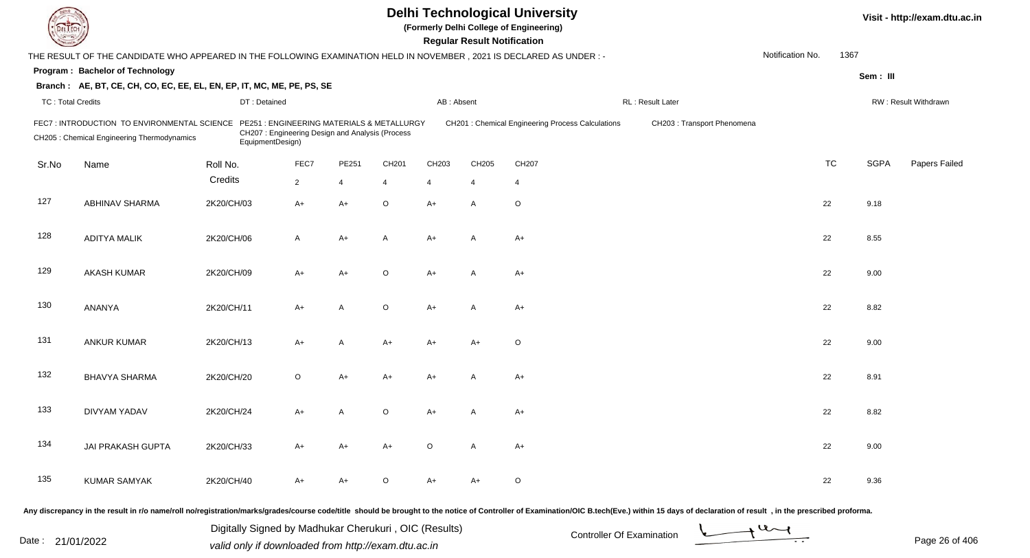| <b>DELTECH</b>           |                                                                                                                     |                                                               |                                                 |                |                |            | <b>Regular Result Notification</b> | <b>Delhi Technological University</b><br>(Formerly Delhi College of Engineering) |                                                                                                                                                                                                                                |                  |           |             | Visit - http://exam.dtu.ac.in |
|--------------------------|---------------------------------------------------------------------------------------------------------------------|---------------------------------------------------------------|-------------------------------------------------|----------------|----------------|------------|------------------------------------|----------------------------------------------------------------------------------|--------------------------------------------------------------------------------------------------------------------------------------------------------------------------------------------------------------------------------|------------------|-----------|-------------|-------------------------------|
|                          | THE RESULT OF THE CANDIDATE WHO APPEARED IN THE FOLLOWING EXAMINATION HELD IN NOVEMBER, 2021 IS DECLARED AS UNDER:- |                                                               |                                                 |                |                |            |                                    |                                                                                  |                                                                                                                                                                                                                                | Notification No. | 1367      |             |                               |
|                          | Program: Bachelor of Technology                                                                                     |                                                               |                                                 |                |                |            |                                    |                                                                                  |                                                                                                                                                                                                                                |                  |           | Sem: III    |                               |
|                          | Branch: AE, BT, CE, CH, CO, EC, EE, EL, EN, EP, IT, MC, ME, PE, PS, SE                                              |                                                               |                                                 |                |                |            |                                    |                                                                                  |                                                                                                                                                                                                                                |                  |           |             |                               |
| <b>TC: Total Credits</b> |                                                                                                                     | DT: Detained                                                  |                                                 |                |                | AB: Absent |                                    |                                                                                  | RL: Result Later                                                                                                                                                                                                               |                  |           |             | RW: Result Withdrawn          |
|                          | FEC7: INTRODUCTION TO ENVIRONMENTAL SCIENCE<br>CH205 : Chemical Engineering Thermodynamics                          | PE251: ENGINEERING MATERIALS & METALLURGY<br>EquipmentDesign) | CH207: Engineering Design and Analysis (Process |                |                |            |                                    | CH201 : Chemical Engineering Process Calculations                                | CH203: Transport Phenomena                                                                                                                                                                                                     |                  |           |             |                               |
| Sr.No                    | Name                                                                                                                | Roll No.                                                      | FEC7                                            | PE251          | CH201          | CH203      | CH205                              | CH207                                                                            |                                                                                                                                                                                                                                |                  | <b>TC</b> | <b>SGPA</b> | Papers Failed                 |
|                          |                                                                                                                     | Credits                                                       | $\overline{2}$                                  | $\overline{4}$ | $\overline{4}$ | 4          | $\overline{4}$                     | 4                                                                                |                                                                                                                                                                                                                                |                  |           |             |                               |
| 127                      | <b>ABHINAV SHARMA</b>                                                                                               | 2K20/CH/03                                                    | $A+$                                            | $A+$           | $\circ$        | $A+$       | $\overline{A}$                     | $\circ$                                                                          |                                                                                                                                                                                                                                |                  | 22        | 9.18        |                               |
| 128                      | <b>ADITYA MALIK</b>                                                                                                 | 2K20/CH/06                                                    | $\mathsf{A}$                                    | $A+$           | A              | $A+$       | $\overline{A}$                     | $A+$                                                                             |                                                                                                                                                                                                                                |                  | 22        | 8.55        |                               |
| 129                      | <b>AKASH KUMAR</b>                                                                                                  | 2K20/CH/09                                                    | $A+$                                            | $A+$           | $\circ$        | $A+$       | $\overline{A}$                     | $A+$                                                                             |                                                                                                                                                                                                                                |                  | 22        | 9.00        |                               |
| 130                      | ANANYA                                                                                                              | 2K20/CH/11                                                    | $A+$                                            | $\overline{A}$ | $\circ$        | $A+$       | A                                  | $A+$                                                                             |                                                                                                                                                                                                                                |                  | 22        | 8.82        |                               |
| 131                      | <b>ANKUR KUMAR</b>                                                                                                  | 2K20/CH/13                                                    | $A+$                                            | Α              | A+             | A+         | $A+$                               | $\circ$                                                                          |                                                                                                                                                                                                                                |                  | 22        | 9.00        |                               |
| 132                      | <b>BHAVYA SHARMA</b>                                                                                                | 2K20/CH/20                                                    | $\circ$                                         | A+             | A+             | A+         | А                                  | $A+$                                                                             |                                                                                                                                                                                                                                |                  | 22        | 8.91        |                               |
| 133                      | DIVYAM YADAV                                                                                                        | 2K20/CH/24                                                    | $A+$                                            | A              | $\circ$        | A+         |                                    | $A+$                                                                             |                                                                                                                                                                                                                                |                  | 22        | 8.82        |                               |
| 134                      | JAI PRAKASH GUPTA                                                                                                   | 2K20/CH/33                                                    | $A+$                                            | $A+$           | A+             | $\circ$    | A                                  | $A+$                                                                             |                                                                                                                                                                                                                                |                  | 22        | 9.00        |                               |
| 135                      | <b>KUMAR SAMYAK</b>                                                                                                 | 2K20/CH/40                                                    | $A+$                                            | A+             | O              | A+         | $A+$                               | $\circ$                                                                          |                                                                                                                                                                                                                                |                  | 22        | 9.36        |                               |
|                          |                                                                                                                     |                                                               |                                                 |                |                |            |                                    |                                                                                  | Any discrepancy in the result in r/o name/roll no/registration/marks/grades/course code/title should be brought to the notice of Controller of Examination/OIC B.tech(Eve.) within 15 days of declaration of result , in the p |                  |           |             |                               |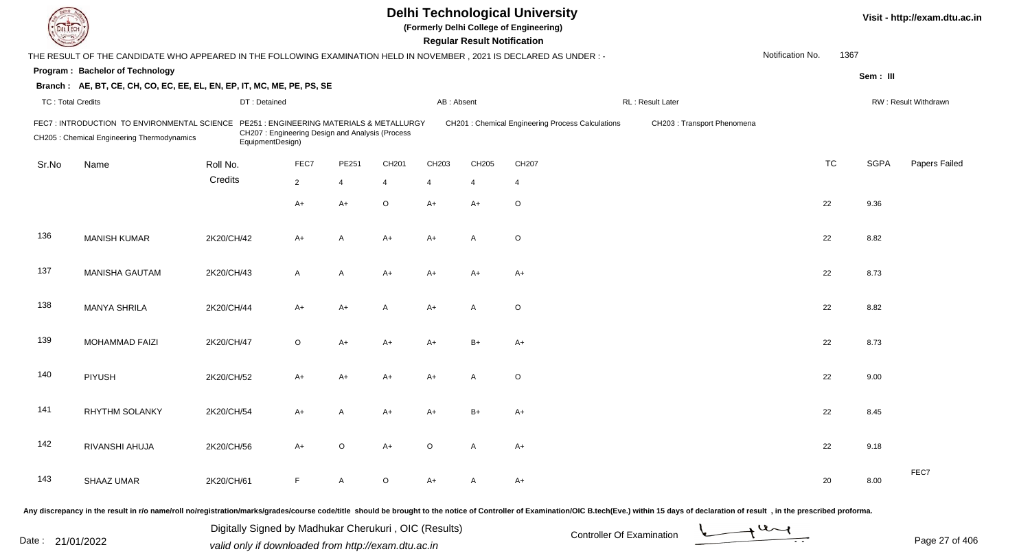| EL ECH                   |                                                                                                                        |                  |                                                 |              |                                           |                | <b>Regular Result Notification</b> | <b>Delhi Technological University</b><br>(Formerly Delhi College of Engineering) |                             |                  |      |             | Visit - http://exam.dtu.ac.in |
|--------------------------|------------------------------------------------------------------------------------------------------------------------|------------------|-------------------------------------------------|--------------|-------------------------------------------|----------------|------------------------------------|----------------------------------------------------------------------------------|-----------------------------|------------------|------|-------------|-------------------------------|
|                          | THE RESULT OF THE CANDIDATE WHO APPEARED IN THE FOLLOWING EXAMINATION HELD IN NOVEMBER , 2021 IS DECLARED AS UNDER : - |                  |                                                 |              |                                           |                |                                    |                                                                                  |                             | Notification No. | 1367 |             |                               |
|                          | <b>Program: Bachelor of Technology</b>                                                                                 |                  |                                                 |              |                                           |                |                                    |                                                                                  |                             |                  |      | Sem: III    |                               |
|                          | Branch: AE, BT, CE, CH, CO, EC, EE, EL, EN, EP, IT, MC, ME, PE, PS, SE                                                 |                  |                                                 |              |                                           |                |                                    |                                                                                  |                             |                  |      |             |                               |
| <b>TC: Total Credits</b> |                                                                                                                        | DT: Detained     |                                                 |              |                                           | AB: Absent     |                                    |                                                                                  | RL: Result Later            |                  |      |             | RW: Result Withdrawn          |
|                          | FEC7: INTRODUCTION TO ENVIRONMENTAL SCIENCE<br>CH205 : Chemical Engineering Thermodynamics                             | EquipmentDesign) | CH207: Engineering Design and Analysis (Process |              | PE251: ENGINEERING MATERIALS & METALLURGY |                |                                    | CH201 : Chemical Engineering Process Calculations                                | CH203 : Transport Phenomena |                  |      |             |                               |
| Sr.No                    | Name                                                                                                                   | Roll No.         | FEC7                                            | PE251        | CH201                                     | CH203          | CH205                              | CH207                                                                            |                             | <b>TC</b>        |      | <b>SGPA</b> | Papers Failed                 |
|                          |                                                                                                                        | Credits          | $\overline{2}$                                  | 4            | 4                                         | $\overline{4}$ | 4                                  | $\overline{4}$                                                                   |                             |                  |      |             |                               |
|                          |                                                                                                                        |                  | $A+$                                            | A+           | O                                         | $A+$           | $A+$                               | $\circ$                                                                          |                             | 22               |      | 9.36        |                               |
| 136                      | <b>MANISH KUMAR</b>                                                                                                    | 2K20/CH/42       | $A+$                                            | A            | $A+$                                      | $A+$           | $\mathsf{A}$                       | $\circ$                                                                          |                             | 22               |      | 8.82        |                               |
| 137                      | <b>MANISHA GAUTAM</b>                                                                                                  | 2K20/CH/43       | A                                               | A            | $A+$                                      | $A+$           | $A+$                               | $A+$                                                                             |                             | 22               |      | 8.73        |                               |
| 138                      | <b>MANYA SHRILA</b>                                                                                                    | 2K20/CH/44       | A+                                              | A+           | A                                         | $A+$           | A                                  | $\circ$                                                                          |                             | 22               |      | 8.82        |                               |
| 139                      | MOHAMMAD FAIZI                                                                                                         | 2K20/CH/47       | O                                               | A+           | A+                                        | A+             | $B+$                               | $A+$                                                                             |                             | 22               |      | 8.73        |                               |
| 140                      | <b>PIYUSH</b>                                                                                                          | 2K20/CH/52       | A+                                              | A+           | A+                                        | A+             | A                                  | $\circ$                                                                          |                             | 22               |      | 9.00        |                               |
| 141                      | <b>RHYTHM SOLANKY</b>                                                                                                  | 2K20/CH/54       | A+                                              | Α            | A+                                        | A+             | B+                                 | A+                                                                               |                             | 22               |      | 8.45        |                               |
| 142                      | RIVANSHI AHUJA                                                                                                         | 2K20/CH/56       | $A+$                                            | $\circ$      | $A+$                                      | $\circ$        | $\mathsf{A}$                       | $A+$                                                                             |                             | 22               |      | 9.18        |                               |
| 143                      | SHAAZ UMAR                                                                                                             | 2K20/CH/61       | F.                                              | $\mathsf{A}$ | $\circ$                                   | $A+$           | A                                  | $A+$                                                                             |                             | 20               |      | 8.00        | FEC7                          |
|                          |                                                                                                                        |                  |                                                 |              |                                           |                |                                    |                                                                                  |                             |                  |      |             |                               |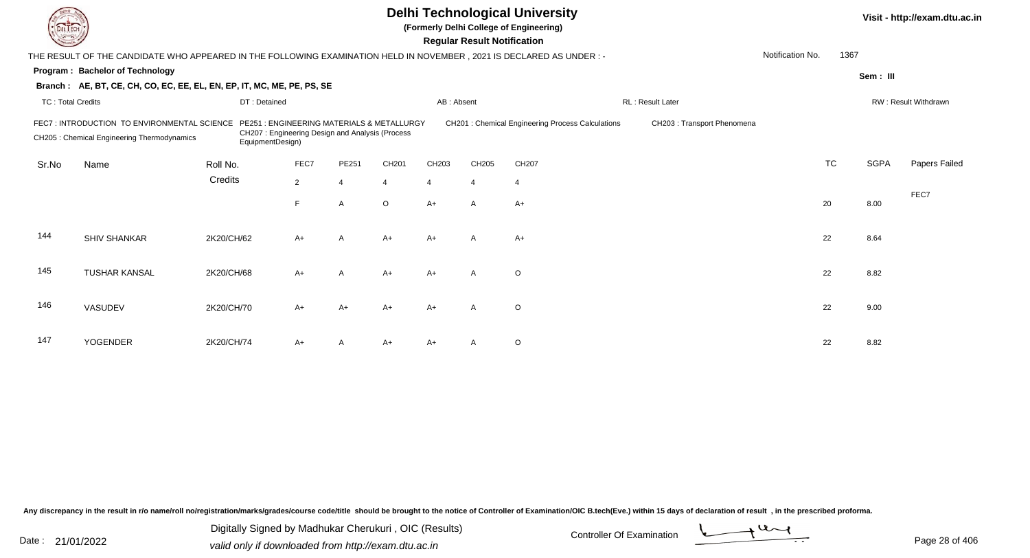|                                                                                                                                                                                                                                                                                                     |                                                                                                                     |              |                | Visit - http://exam.dtu.ac.in |                |            |                                    |                |                  |                  |           |             |                      |
|-----------------------------------------------------------------------------------------------------------------------------------------------------------------------------------------------------------------------------------------------------------------------------------------------------|---------------------------------------------------------------------------------------------------------------------|--------------|----------------|-------------------------------|----------------|------------|------------------------------------|----------------|------------------|------------------|-----------|-------------|----------------------|
|                                                                                                                                                                                                                                                                                                     | THE RESULT OF THE CANDIDATE WHO APPEARED IN THE FOLLOWING EXAMINATION HELD IN NOVEMBER, 2021 IS DECLARED AS UNDER:- |              |                |                               |                |            | <b>Regular Result Notification</b> |                |                  | Notification No. | 1367      |             |                      |
|                                                                                                                                                                                                                                                                                                     | Program: Bachelor of Technology                                                                                     |              |                |                               |                |            |                                    |                |                  |                  |           | Sem: III    |                      |
|                                                                                                                                                                                                                                                                                                     | Branch: AE, BT, CE, CH, CO, EC, EE, EL, EN, EP, IT, MC, ME, PE, PS, SE                                              |              |                |                               |                |            |                                    |                |                  |                  |           |             |                      |
| <b>TC: Total Credits</b>                                                                                                                                                                                                                                                                            |                                                                                                                     | DT: Detained |                |                               |                | AB: Absent |                                    |                | RL: Result Later |                  |           |             | RW: Result Withdrawn |
| CH201 : Chemical Engineering Process Calculations<br>FEC7: INTRODUCTION TO ENVIRONMENTAL SCIENCE<br>PE251 : ENGINEERING MATERIALS & METALLURGY<br>CH203 : Transport Phenomena<br>CH207: Engineering Design and Analysis (Process<br>CH205 : Chemical Engineering Thermodynamics<br>EquipmentDesign) |                                                                                                                     |              |                |                               |                |            |                                    |                |                  |                  |           |             |                      |
| Sr.No                                                                                                                                                                                                                                                                                               | Name                                                                                                                | Roll No.     | FEC7           | PE251                         | CH201          | CH203      | CH205                              | CH207          |                  |                  | <b>TC</b> | <b>SGPA</b> | Papers Failed        |
|                                                                                                                                                                                                                                                                                                     |                                                                                                                     | Credits      | $\overline{2}$ | $\overline{4}$                | $\overline{4}$ | 4          | $\overline{4}$                     | $\overline{4}$ |                  |                  |           |             |                      |
|                                                                                                                                                                                                                                                                                                     |                                                                                                                     |              | F.             | $\overline{A}$                | $\circ$        | $A+$       | $\mathsf{A}$                       | $A+$           |                  |                  | 20        | 8.00        | FEC7                 |
| 144                                                                                                                                                                                                                                                                                                 | <b>SHIV SHANKAR</b>                                                                                                 | 2K20/CH/62   | $A+$           | A                             | $A+$           | $A+$       | $\mathsf{A}$                       | $A+$           |                  |                  | 22        | 8.64        |                      |
| 145                                                                                                                                                                                                                                                                                                 | <b>TUSHAR KANSAL</b>                                                                                                | 2K20/CH/68   | $A+$           | A                             | $A+$           | $A+$       | $\mathsf{A}$                       | $\circ$        |                  |                  | 22        | 8.82        |                      |
| 146                                                                                                                                                                                                                                                                                                 | VASUDEV                                                                                                             | 2K20/CH/70   | A+             | $A+$                          | $A+$           | $A+$       | $\mathsf{A}$                       | $\circ$        |                  |                  | 22        | 9.00        |                      |
| 147                                                                                                                                                                                                                                                                                                 | <b>YOGENDER</b>                                                                                                     | 2K20/CH/74   | A+             | A                             | $A+$           | A+         |                                    | $\circ$        |                  |                  | 22        | 8.82        |                      |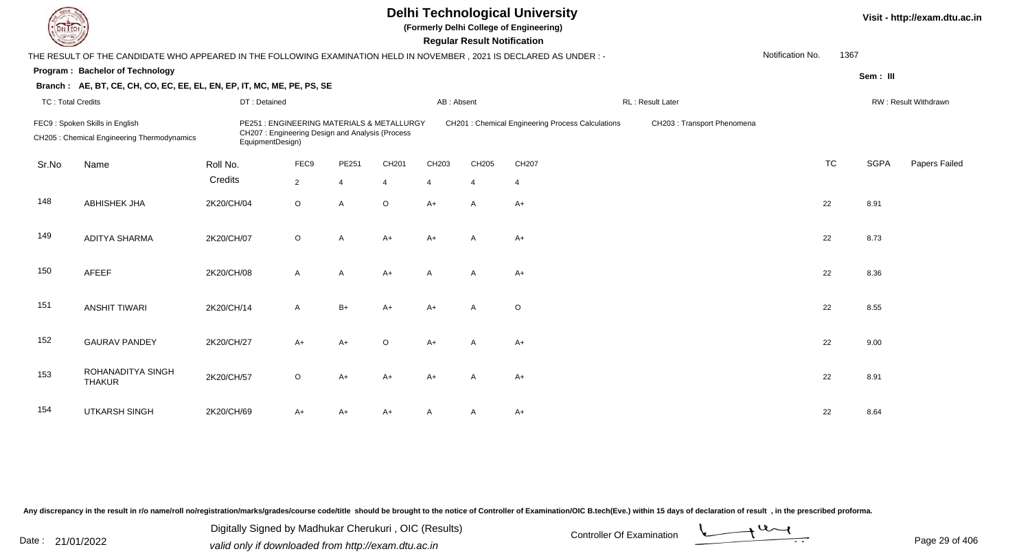| L'I ECH                  |                                                                                                                                                                                                                                                                                        |              |              | Visit - http://exam.dtu.ac.in |                |                |                |                |                   |                  |           |             |                      |
|--------------------------|----------------------------------------------------------------------------------------------------------------------------------------------------------------------------------------------------------------------------------------------------------------------------------------|--------------|--------------|-------------------------------|----------------|----------------|----------------|----------------|-------------------|------------------|-----------|-------------|----------------------|
|                          | THE RESULT OF THE CANDIDATE WHO APPEARED IN THE FOLLOWING EXAMINATION HELD IN NOVEMBER, 2021 IS DECLARED AS UNDER :-                                                                                                                                                                   |              |              |                               |                |                |                |                |                   | Notification No. | 1367      |             |                      |
|                          | Program: Bachelor of Technology                                                                                                                                                                                                                                                        |              |              |                               |                |                |                |                |                   |                  |           | Sem: III    |                      |
|                          | Branch: AE, BT, CE, CH, CO, EC, EE, EL, EN, EP, IT, MC, ME, PE, PS, SE                                                                                                                                                                                                                 |              |              |                               |                |                |                |                |                   |                  |           |             |                      |
| <b>TC: Total Credits</b> |                                                                                                                                                                                                                                                                                        | DT: Detained |              |                               |                | AB: Absent     |                |                | RL : Result Later |                  |           |             | RW: Result Withdrawn |
|                          | FEC9: Spoken Skills in English<br>PE251 : ENGINEERING MATERIALS & METALLURGY<br>CH201 : Chemical Engineering Process Calculations<br>CH203 : Transport Phenomena<br>CH207: Engineering Design and Analysis (Process<br>CH205 : Chemical Engineering Thermodynamics<br>EquipmentDesign) |              |              |                               |                |                |                |                |                   |                  |           |             |                      |
| Sr.No                    | Name                                                                                                                                                                                                                                                                                   | Roll No.     | FEC9         | PE251                         | CH201          | CH203          | CH205          | CH207          |                   |                  | <b>TC</b> | <b>SGPA</b> | Papers Failed        |
|                          |                                                                                                                                                                                                                                                                                        | Credits      | $2^{\circ}$  | $\overline{4}$                | $\overline{4}$ | $\overline{4}$ | $\overline{4}$ | $\overline{4}$ |                   |                  |           |             |                      |
| 148                      | <b>ABHISHEK JHA</b>                                                                                                                                                                                                                                                                    | 2K20/CH/04   | $\circ$      | $\overline{A}$                | $\circ$        | $A+$           | A              | $A+$           |                   |                  | 22        | 8.91        |                      |
| 149                      | <b>ADITYA SHARMA</b>                                                                                                                                                                                                                                                                   | 2K20/CH/07   | $\circ$      | $\mathsf{A}$                  | $A+$           | $A+$           | A              | $A+$           |                   |                  | 22        | 8.73        |                      |
| 150                      | AFEEF                                                                                                                                                                                                                                                                                  | 2K20/CH/08   | $\mathsf{A}$ | A                             | $A+$           | $\mathsf{A}$   | A              | $A+$           |                   |                  | 22        | 8.36        |                      |
| 151                      | <b>ANSHIT TIWARI</b>                                                                                                                                                                                                                                                                   | 2K20/CH/14   | $\mathsf{A}$ | $B+$                          | $A+$           | $A+$           | $\mathsf{A}$   | $\circ$        |                   |                  | 22        | 8.55        |                      |
| 152                      | <b>GAURAV PANDEY</b>                                                                                                                                                                                                                                                                   | 2K20/CH/27   | $A+$         | $A+$                          | $\circ$        | $A+$           | $\mathsf{A}$   | $A+$           |                   |                  | 22        | 9.00        |                      |
| 153                      | ROHANADITYA SINGH<br><b>THAKUR</b>                                                                                                                                                                                                                                                     | 2K20/CH/57   | $\circ$      | $A+$                          | $A+$           | $A+$           | $\mathsf{A}$   | $A+$           |                   |                  | 22        | 8.91        |                      |
| 154                      | <b>UTKARSH SINGH</b>                                                                                                                                                                                                                                                                   | 2K20/CH/69   | A+           | $A+$                          | $A+$           |                | A              | $A+$           |                   |                  | 22        | 8.64        |                      |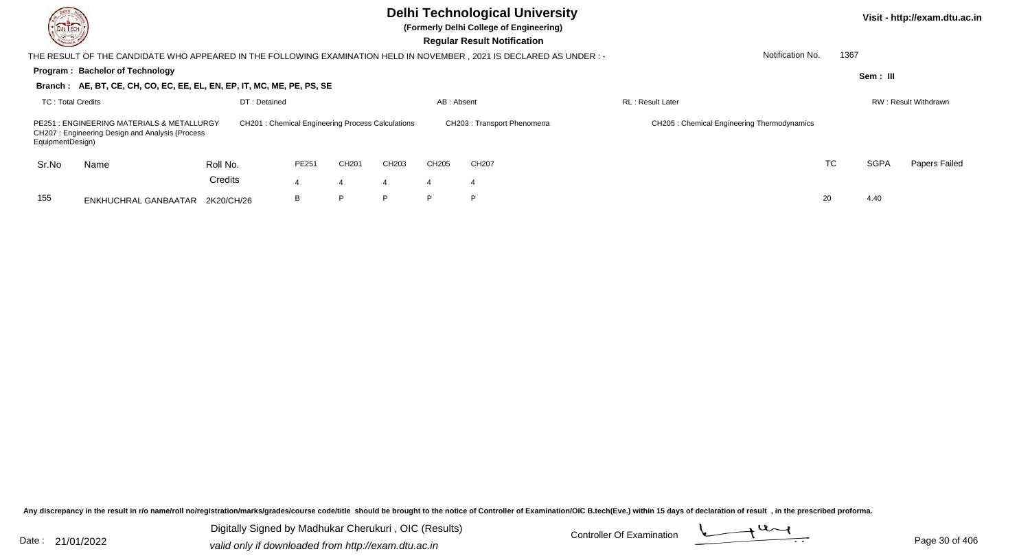| DEL TECH<br>$\frac{1}{2} \left( \frac{1}{2} \right)^{2} \left( \frac{1}{2} \right)^{2} \left( \frac{1}{2} \right)^{2} \left( \frac{1}{2} \right)^{2} \left( \frac{1}{2} \right)^{2} \left( \frac{1}{2} \right)^{2} \left( \frac{1}{2} \right)^{2} \left( \frac{1}{2} \right)^{2} \left( \frac{1}{2} \right)^{2} \left( \frac{1}{2} \right)^{2} \left( \frac{1}{2} \right)^{2} \left( \frac{1}{2} \right)^{2} \left( \frac{1}{2} \right)^{2} \left( \frac$ |                                                                        |              |       |                   | Visit - http://exam.dtu.ac.in<br>1367<br>Notification No. |                |                                                                                                                       |                                            |           |             |                             |
|-----------------------------------------------------------------------------------------------------------------------------------------------------------------------------------------------------------------------------------------------------------------------------------------------------------------------------------------------------------------------------------------------------------------------------------------------------------|------------------------------------------------------------------------|--------------|-------|-------------------|-----------------------------------------------------------|----------------|-----------------------------------------------------------------------------------------------------------------------|--------------------------------------------|-----------|-------------|-----------------------------|
|                                                                                                                                                                                                                                                                                                                                                                                                                                                           |                                                                        |              |       |                   |                                                           |                | THE RESULT OF THE CANDIDATE WHO APPEARED IN THE FOLLOWING EXAMINATION HELD IN NOVEMBER , 2021 IS DECLARED AS UNDER :- |                                            |           |             |                             |
|                                                                                                                                                                                                                                                                                                                                                                                                                                                           | <b>Program: Bachelor of Technology</b>                                 |              |       |                   |                                                           |                |                                                                                                                       |                                            |           | Sem: III    |                             |
|                                                                                                                                                                                                                                                                                                                                                                                                                                                           | Branch: AE, BT, CE, CH, CO, EC, EE, EL, EN, EP, IT, MC, ME, PE, PS, SE |              |       |                   |                                                           |                |                                                                                                                       |                                            |           |             |                             |
| TC: Total Credits                                                                                                                                                                                                                                                                                                                                                                                                                                         |                                                                        | DT: Detained |       |                   |                                                           | AB: Absent     |                                                                                                                       | <b>RL</b> : Result Later                   |           |             | <b>RW: Result Withdrawn</b> |
| PE251 : ENGINEERING MATERIALS & METALLURGY<br><b>CH201: Chemical Engineering Process Calculations</b><br>CH207: Engineering Design and Analysis (Process<br>EquipmentDesign)                                                                                                                                                                                                                                                                              |                                                                        |              |       |                   |                                                           |                | CH203: Transport Phenomena                                                                                            | CH205: Chemical Engineering Thermodynamics |           |             |                             |
| Sr.No                                                                                                                                                                                                                                                                                                                                                                                                                                                     | Name                                                                   | Roll No.     | PE251 | CH <sub>201</sub> | CH203                                                     | CH205          | CH207                                                                                                                 |                                            | <b>TC</b> | <b>SGPA</b> | Papers Failed               |
|                                                                                                                                                                                                                                                                                                                                                                                                                                                           |                                                                        | Credits      |       |                   |                                                           | $\overline{4}$ |                                                                                                                       |                                            |           |             |                             |
| 155                                                                                                                                                                                                                                                                                                                                                                                                                                                       | ENKHUCHRAL GANBAATAR                                                   | 2K20/CH/26   | В     | P                 | D.                                                        | P.             | P.                                                                                                                    |                                            | 20        | 4.40        |                             |

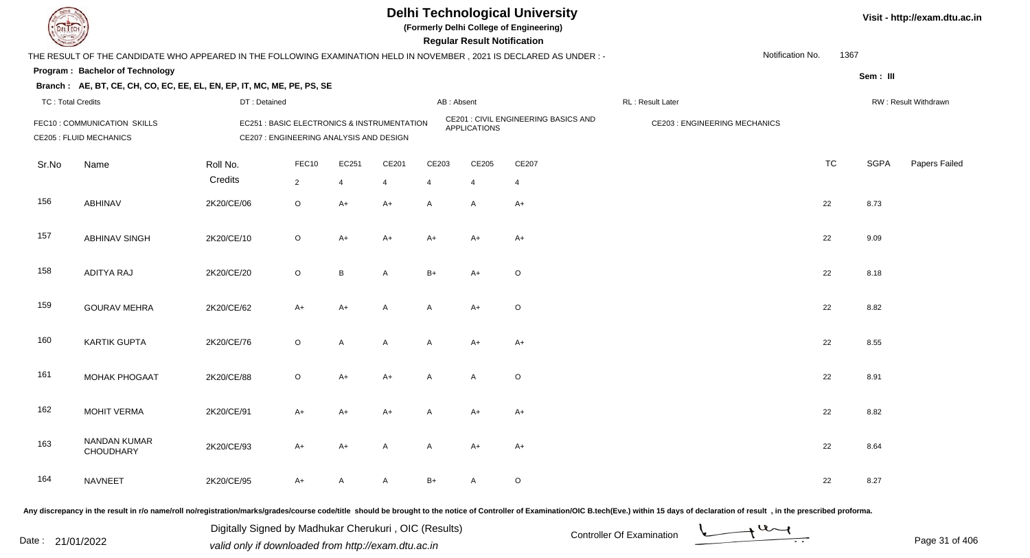

**(Formerly Delhi College of Engineering)**

| <b>Country of Group</b>  |                                                                                                                      |              |                                                                                        |                |              |            | <b>Regular Result Notification</b> |                                      |                                      |           |             |                      |
|--------------------------|----------------------------------------------------------------------------------------------------------------------|--------------|----------------------------------------------------------------------------------------|----------------|--------------|------------|------------------------------------|--------------------------------------|--------------------------------------|-----------|-------------|----------------------|
|                          | THE RESULT OF THE CANDIDATE WHO APPEARED IN THE FOLLOWING EXAMINATION HELD IN NOVEMBER, 2021 IS DECLARED AS UNDER :- |              |                                                                                        |                |              |            |                                    |                                      | Notification No.                     | 1367      |             |                      |
|                          | Program: Bachelor of Technology                                                                                      |              |                                                                                        |                |              |            |                                    |                                      |                                      |           | Sem: III    |                      |
|                          | Branch: AE, BT, CE, CH, CO, EC, EE, EL, EN, EP, IT, MC, ME, PE, PS, SE                                               |              |                                                                                        |                |              |            |                                    |                                      |                                      |           |             |                      |
| <b>TC: Total Credits</b> |                                                                                                                      | DT: Detained |                                                                                        |                |              | AB: Absent |                                    |                                      | RL : Result Later                    |           |             | RW: Result Withdrawn |
|                          | FEC10 : COMMUNICATION SKILLS<br><b>CE205 : FLUID MECHANICS</b>                                                       |              | EC251 : BASIC ELECTRONICS & INSTRUMENTATION<br>CE207 : ENGINEERING ANALYSIS AND DESIGN |                |              |            | <b>APPLICATIONS</b>                | CE201 : CIVIL ENGINEERING BASICS AND | <b>CE203 : ENGINEERING MECHANICS</b> |           |             |                      |
| Sr.No                    | Name                                                                                                                 | Roll No.     | FEC10                                                                                  | EC251          | CE201        | CE203      | CE205                              | CE207                                |                                      | <b>TC</b> | <b>SGPA</b> | Papers Failed        |
|                          |                                                                                                                      | Credits      | $\overline{2}$                                                                         | $\overline{4}$ | 4            | 4          | $\overline{4}$                     | $\overline{4}$                       |                                      |           |             |                      |
| 156                      | <b>ABHINAV</b>                                                                                                       | 2K20/CE/06   | $\circ$                                                                                | $A+$           | $A+$         | A          | A                                  | $A+$                                 |                                      | 22        | 8.73        |                      |
| 157                      | <b>ABHINAV SINGH</b>                                                                                                 | 2K20/CE/10   | $\circ$                                                                                | $A+$           | $A+$         | $A+$       | $A+$                               | $A+$                                 |                                      | 22        | 9.09        |                      |
| 158                      | ADITYA RAJ                                                                                                           | 2K20/CE/20   | $\circ$                                                                                | B              | A            | $B+$       | $A+$                               | O                                    |                                      | 22        | 8.18        |                      |
| 159                      | <b>GOURAV MEHRA</b>                                                                                                  | 2K20/CE/62   | $A+$                                                                                   | A+             | A            | A          | $A+$                               | $\circ$                              |                                      | 22        | 8.82        |                      |
| 160                      | <b>KARTIK GUPTA</b>                                                                                                  | 2K20/CE/76   | $\mathsf O$                                                                            | A              | A            | A          | A+                                 | $A+$                                 |                                      | 22        | 8.55        |                      |
| 161                      | <b>MOHAK PHOGAAT</b>                                                                                                 | 2K20/CE/88   | $\mathsf O$                                                                            | $A+$           | $A+$         | A          | A                                  | $\mathsf O$                          |                                      | 22        | 8.91        |                      |
| 162                      | <b>MOHIT VERMA</b>                                                                                                   | 2K20/CE/91   | $A+$                                                                                   | $A+$           | $A+$         | A          | A+                                 | $A+$                                 |                                      | 22        | 8.82        |                      |
| 163                      | NANDAN KUMAR<br>CHOUDHARY                                                                                            | 2K20/CE/93   | $A+$                                                                                   | A+             | $\mathsf{A}$ | A          | $A+$                               | $A+$                                 |                                      | 22        | 8.64        |                      |
| 164                      | <b>NAVNEET</b>                                                                                                       | 2K20/CE/95   | $A+$                                                                                   | А              | A            | $B+$       | A                                  | O                                    |                                      | 22        | 8.27        |                      |

Any discrepancy in the result in r/o name/roll no/registration/marks/grades/course code/title should be brought to the notice of Controller of Examination/OIC B.tech(Eve.) within 15 days of declaration of result, in the pr

Date : 21/01/2022 Digital Digital of Microsofted Chemical Controller Of Examination Determination Page 31 of 40 Digitally Signed by Madhukar Cherukuri , OIC (Results)

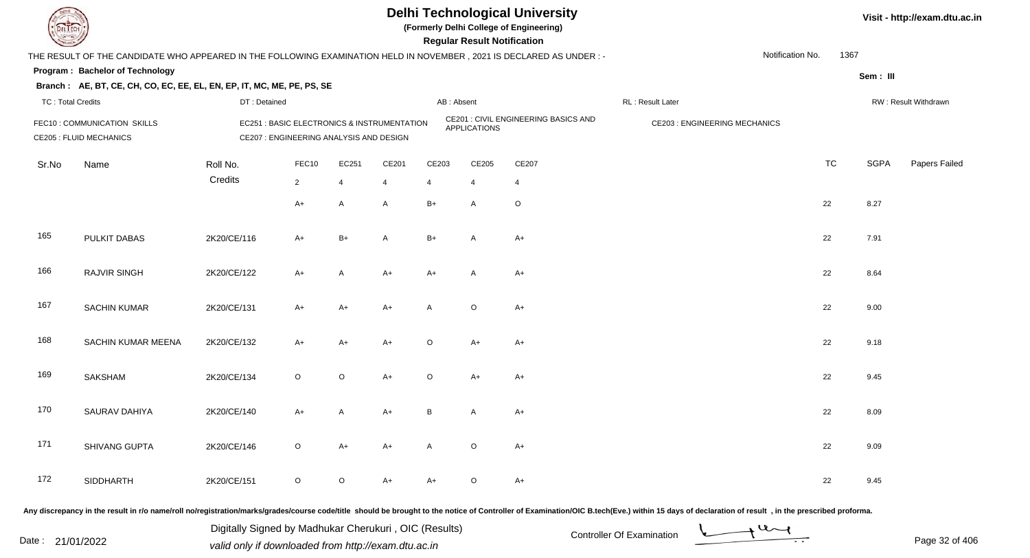

**(Formerly Delhi College of Engineering)**

**Regular Regular Results** 

| <b>Country of Several Property</b> |                                                                                                                      |              |                                                                                        |                |                |         | <b>Regular Result Notification</b> |                                             |                                     |           |             |                      |
|------------------------------------|----------------------------------------------------------------------------------------------------------------------|--------------|----------------------------------------------------------------------------------------|----------------|----------------|---------|------------------------------------|---------------------------------------------|-------------------------------------|-----------|-------------|----------------------|
|                                    | THE RESULT OF THE CANDIDATE WHO APPEARED IN THE FOLLOWING EXAMINATION HELD IN NOVEMBER, 2021 IS DECLARED AS UNDER :- |              |                                                                                        |                |                |         |                                    |                                             | Notification No.                    | 1367      |             |                      |
|                                    | Program: Bachelor of Technology                                                                                      |              |                                                                                        |                |                |         |                                    |                                             |                                     |           | Sem: III    |                      |
|                                    | Branch: AE, BT, CE, CH, CO, EC, EE, EL, EN, EP, IT, MC, ME, PE, PS, SE                                               |              |                                                                                        |                |                |         |                                    |                                             |                                     |           |             |                      |
| <b>TC: Total Credits</b>           |                                                                                                                      | DT: Detained |                                                                                        |                |                |         | AB: Absent                         |                                             | RL: Result Later                    |           |             | RW: Result Withdrawn |
|                                    | FEC10: COMMUNICATION SKILLS<br><b>CE205 : FLUID MECHANICS</b>                                                        |              | EC251 : BASIC ELECTRONICS & INSTRUMENTATION<br>CE207 : ENGINEERING ANALYSIS AND DESIGN |                |                |         | <b>APPLICATIONS</b>                | <b>CE201 : CIVIL ENGINEERING BASICS AND</b> | <b>CE203: ENGINEERING MECHANICS</b> |           |             |                      |
| Sr.No                              | Name                                                                                                                 | Roll No.     | FEC10                                                                                  | EC251          | CE201          | CE203   | CE205                              | CE207                                       |                                     | <b>TC</b> | <b>SGPA</b> | Papers Failed        |
|                                    |                                                                                                                      | Credits      | $\overline{2}$                                                                         | $\overline{4}$ | $\overline{4}$ | 4       | 4                                  | $\overline{4}$                              |                                     |           |             |                      |
|                                    |                                                                                                                      |              | $A+$                                                                                   | $\mathsf{A}$   | $\mathsf{A}$   | $B+$    | A                                  | O                                           |                                     | 22        | 8.27        |                      |
| 165                                | PULKIT DABAS                                                                                                         | 2K20/CE/116  | $A+$                                                                                   | $B+$           | A              | $B+$    | $\mathsf{A}$                       | $A+$                                        |                                     | 22        | 7.91        |                      |
| 166                                | <b>RAJVIR SINGH</b>                                                                                                  | 2K20/CE/122  | $A+$                                                                                   | A              | $A+$           | $A+$    | A                                  | A+                                          |                                     | 22        | 8.64        |                      |
| 167                                | <b>SACHIN KUMAR</b>                                                                                                  | 2K20/CE/131  | $A+$                                                                                   | A+             | $A+$           | A       | $\circ$                            | $A+$                                        |                                     | 22        | 9.00        |                      |
| 168                                | SACHIN KUMAR MEENA                                                                                                   | 2K20/CE/132  | $A+$                                                                                   | A+             | $A+$           | $\circ$ | $A+$                               | $A+$                                        |                                     | 22        | 9.18        |                      |
| 169                                | SAKSHAM                                                                                                              | 2K20/CE/134  | $\circ$                                                                                | $\circ$        | $A+$           | $\circ$ | $A+$                               | $A+$                                        |                                     | 22        | 9.45        |                      |
| 170                                | SAURAV DAHIYA                                                                                                        | 2K20/CE/140  | $A+$                                                                                   | A              | $A+$           | B       | $\mathsf{A}$                       | $A+$                                        |                                     | 22        | 8.09        |                      |
| 171                                | SHIVANG GUPTA                                                                                                        | 2K20/CE/146  | $\mathsf O$                                                                            | $A+$           | $A+$           | A       | $\circ$                            | $A+$                                        |                                     | 22        | 9.09        |                      |
| 172                                | <b>SIDDHARTH</b>                                                                                                     | 2K20/CE/151  | $\circ$                                                                                | $\circ$        | A+             | A+      | $\circ$                            | A+                                          |                                     | 22        | 9.45        |                      |
|                                    |                                                                                                                      |              |                                                                                        |                |                |         |                                    |                                             |                                     |           |             |                      |

Any discrepancy in the result in r/o name/roll no/registration/marks/grades/course code/title should be brought to the notice of Controller of Examination/OIC B.tech(Eve.) within 15 days of declaration of result, in the pr

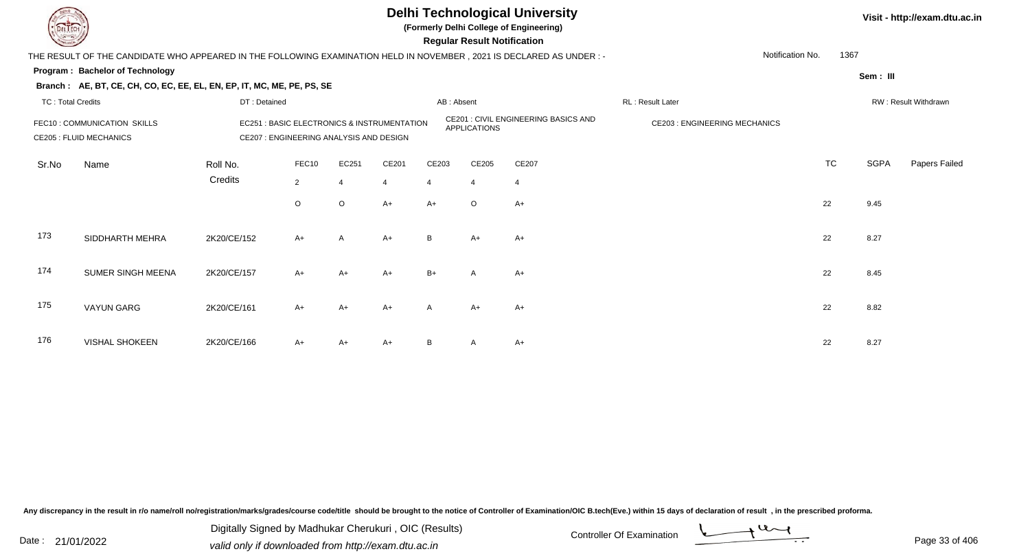

**(Formerly Delhi College of Engineering)**

 **Regular Result Notification**

| $\sim$                   |                                                                                                                     |                                                                                        |                |         |       |              | ncyular ncədil nulliluation |                                             |                                     |           |             |                      |
|--------------------------|---------------------------------------------------------------------------------------------------------------------|----------------------------------------------------------------------------------------|----------------|---------|-------|--------------|-----------------------------|---------------------------------------------|-------------------------------------|-----------|-------------|----------------------|
|                          | THE RESULT OF THE CANDIDATE WHO APPEARED IN THE FOLLOWING EXAMINATION HELD IN NOVEMBER, 2021 IS DECLARED AS UNDER:- |                                                                                        |                |         |       |              |                             |                                             | Notification No.                    | 1367      |             |                      |
|                          | Program: Bachelor of Technology                                                                                     |                                                                                        |                |         |       |              |                             |                                             |                                     |           | Sem: III    |                      |
|                          | Branch: AE, BT, CE, CH, CO, EC, EE, EL, EN, EP, IT, MC, ME, PE, PS, SE                                              |                                                                                        |                |         |       |              |                             |                                             |                                     |           |             |                      |
| <b>TC: Total Credits</b> |                                                                                                                     | DT: Detained                                                                           |                |         |       | AB: Absent   |                             |                                             | RL: Result Later                    |           |             | RW: Result Withdrawn |
|                          | FEC10: COMMUNICATION SKILLS<br><b>CE205 : FLUID MECHANICS</b>                                                       | EC251 : BASIC ELECTRONICS & INSTRUMENTATION<br>CE207 : ENGINEERING ANALYSIS AND DESIGN |                |         |       |              | <b>APPLICATIONS</b>         | <b>CE201 : CIVIL ENGINEERING BASICS AND</b> | <b>CE203: ENGINEERING MECHANICS</b> |           |             |                      |
| Sr.No                    | Name                                                                                                                | Roll No.                                                                               | FEC10          | EC251   | CE201 | CE203        | CE205                       | CE207                                       |                                     | <b>TC</b> | <b>SGPA</b> | Papers Failed        |
|                          |                                                                                                                     | Credits                                                                                | $\overline{2}$ |         | 4     |              | 4                           | $\overline{4}$                              |                                     |           |             |                      |
|                          |                                                                                                                     |                                                                                        |                |         |       |              |                             |                                             |                                     |           |             |                      |
|                          |                                                                                                                     |                                                                                        | $\circ$        | $\circ$ | $A+$  | $A+$         | $\circ$                     | $A+$                                        |                                     | 22        | 9.45        |                      |
| 173                      | SIDDHARTH MEHRA                                                                                                     | 2K20/CE/152                                                                            | $A+$           | A       | $A+$  | B.           | $A+$                        | $A+$                                        |                                     | 22        | 8.27        |                      |
| 174                      | SUMER SINGH MEENA                                                                                                   | 2K20/CE/157                                                                            | $A+$           | $A+$    | $A+$  | $B+$         | $\mathsf{A}$                | $A+$                                        |                                     | 22        | 8.45        |                      |
| 175                      | <b>VAYUN GARG</b>                                                                                                   | 2K20/CE/161                                                                            | $A+$           | $A+$    | $A+$  | $\mathsf{A}$ | $A+$                        | $A+$                                        |                                     | 22        | 8.82        |                      |
| 176                      | <b>VISHAL SHOKEEN</b>                                                                                               | 2K20/CE/166                                                                            | $A+$           | A+      | $A+$  |              | A                           | $A+$                                        |                                     | 22        | 8.27        |                      |

Any discrepancy in the result in r/o name/roll no/registration/marks/grades/course code/title should be brought to the notice of Controller of Examination/OIC B.tech(Eve.) within 15 days of declaration of result, in the pr

Date : 21/01/2022 Digital Digital of Microsofted Chemical Controller Of Examination Determination Page 33 of 40 Digitally Signed by Madhukar Cherukuri , OIC (Results)

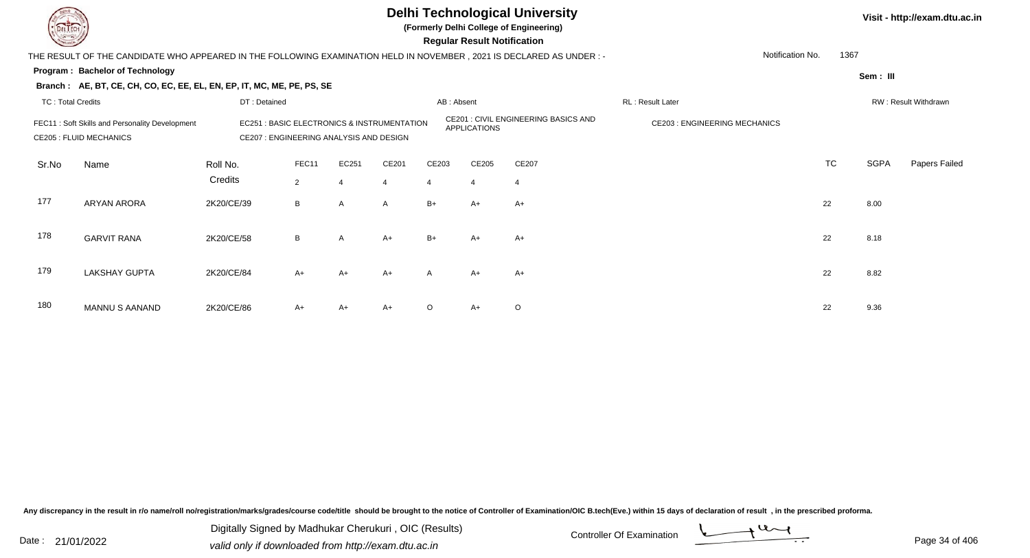

**(Formerly Delhi College of Engineering)**

 **Regular Result Notification**

| <b>Command</b>                                                                                                         |                                                                        |                                                                                                                                                          |                |       |                |                       | Regular Result Notification |         |                                     |                          |             |                      |  |
|------------------------------------------------------------------------------------------------------------------------|------------------------------------------------------------------------|----------------------------------------------------------------------------------------------------------------------------------------------------------|----------------|-------|----------------|-----------------------|-----------------------------|---------|-------------------------------------|--------------------------|-------------|----------------------|--|
| THE RESULT OF THE CANDIDATE WHO APPEARED IN THE FOLLOWING EXAMINATION HELD IN NOVEMBER , 2021 IS DECLARED AS UNDER : - |                                                                        |                                                                                                                                                          |                |       |                |                       |                             |         |                                     | Notification No.<br>1367 |             |                      |  |
|                                                                                                                        | Program: Bachelor of Technology                                        |                                                                                                                                                          |                |       |                |                       |                             |         |                                     |                          | Sem: III    |                      |  |
|                                                                                                                        | Branch: AE, BT, CE, CH, CO, EC, EE, EL, EN, EP, IT, MC, ME, PE, PS, SE |                                                                                                                                                          |                |       |                |                       |                             |         |                                     |                          |             |                      |  |
| <b>TC: Total Credits</b>                                                                                               |                                                                        | DT: Detained                                                                                                                                             |                |       |                | AB: Absent            |                             |         | RL: Result Later                    |                          |             | RW: Result Withdrawn |  |
| FEC11: Soft Skills and Personality Development<br><b>CE205 : FLUID MECHANICS</b>                                       |                                                                        | CE201 : CIVIL ENGINEERING BASICS AND<br><b>EC251: BASIC ELECTRONICS &amp; INSTRUMENTATION</b><br>APPLICATIONS<br>CE207 : ENGINEERING ANALYSIS AND DESIGN |                |       |                |                       |                             |         | <b>CE203: ENGINEERING MECHANICS</b> |                          |             |                      |  |
| Sr.No                                                                                                                  | Name                                                                   | Roll No.                                                                                                                                                 | FEC11          | EC251 | CE201          | CE203                 | CE205                       | CE207   |                                     | <b>TC</b>                | <b>SGPA</b> | Papers Failed        |  |
|                                                                                                                        |                                                                        | Credits                                                                                                                                                  | $\overline{2}$ | 4     | $\overline{4}$ | $\boldsymbol{\Delta}$ | $\overline{4}$              | 4       |                                     |                          |             |                      |  |
| 177                                                                                                                    | <b>ARYAN ARORA</b>                                                     | 2K20/CE/39                                                                                                                                               | B              | A     | $\mathsf{A}$   | $B+$                  | $A+$                        | $A+$    |                                     | 22                       | 8.00        |                      |  |
|                                                                                                                        |                                                                        |                                                                                                                                                          |                |       |                |                       |                             |         |                                     |                          |             |                      |  |
| 178                                                                                                                    | <b>GARVIT RANA</b>                                                     | 2K20/CE/58                                                                                                                                               | B              | A     | $A+$           | $B+$                  | $A+$                        | $A+$    |                                     | 22                       | 8.18        |                      |  |
|                                                                                                                        |                                                                        |                                                                                                                                                          |                |       |                |                       |                             |         |                                     |                          |             |                      |  |
| 179                                                                                                                    | <b>LAKSHAY GUPTA</b>                                                   | 2K20/CE/84                                                                                                                                               | $A+$           | A+    | $A+$           | A                     | $A+$                        | A+      |                                     | 22                       | 8.82        |                      |  |
|                                                                                                                        |                                                                        |                                                                                                                                                          |                |       |                |                       |                             |         |                                     |                          |             |                      |  |
| 180                                                                                                                    | <b>MANNU S AANAND</b>                                                  | 2K20/CE/86                                                                                                                                               | $A+$           | $A+$  | $A+$           | $\circ$               | $A+$                        | $\circ$ |                                     | 22                       | 9.36        |                      |  |
|                                                                                                                        |                                                                        |                                                                                                                                                          |                |       |                |                       |                             |         |                                     |                          |             |                      |  |

Any discrepancy in the result in r/o name/roll no/registration/marks/grades/course code/title should be brought to the notice of Controller of Examination/OIC B.tech(Eve.) within 15 days of declaration of result, in the pr

Date : 21/01/2022 Digital Digital of Microsofted Chemical Controller Of Examination Determination Page 34 of 40 Digitally Signed by Madhukar Cherukuri , OIC (Results)

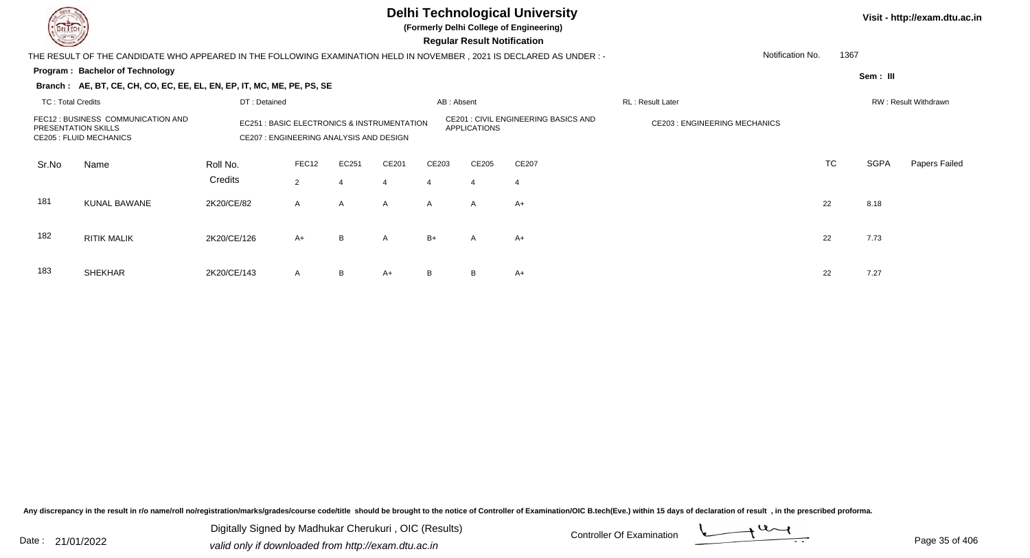

183

SHEKHAR

### **Delhi Technological University**

**(Formerly Delhi College of Engineering)**

 **Regular Result Notification**

#### **Program : Bachelor of Technology** THE RESULT OF THE CANDIDATE WHO APPEARED IN THE FOLLOWING EXAMINATION HELD IN NOVEMBER , 2021 IS DECLARED AS UNDER : -**Sem : III Branch : AE, BT, CE, CH, CO, EC, EE, EL, EN, EP, IT, MC, ME, PE, PS, SE**TC : Total Credits DT : Detainedd AB : Absent RL : Result Later RW : Result Withdrawn Notification No. 1367Sr.NoName Roll No. **Credits** FEC12 : BUSINESS COMMUNICATION ANDPRESENTATION SKILLSEC251 : BASIC ELECTRONICS & INSTRUMENTATION CE201 : CIVIL ENGINEERING BASICS AND CE203 : ENGINEERING MECHANICS CE205 : FLUID MECHANICS CE207 : ENGINEERING ANALYSIS AND DESIGNFEC122 EC251 CE201 CE203 CE205 CE207 CE207 CE207 CE207 CONSERVERS CONSERVERS CONSERVERS CONSERVERS CONSERVERS CONSERVERS CONSERVERS CONSERVERS CONSERVERS CONSERVERS CONSERVERS CONSERVERS CONSERVERS CONSERVERS CONSERVERS CONSERV TC SGPA Papers Failed 22 4 4 4 4 4 181 KUNAL BAWANEE 2K20/CE/82 A A A A A A A+ 182 RITIK MALIKK 2K20/CE/126 A+ B A B+ A A+ 22 7.73

R 2K20/CE/143 A B A+ B B A+  $\rightarrow$  22 7.27

Any discrepancy in the result in r/o name/roll no/registration/marks/grades/course code/title should be brought to the notice of Controller of Examination/OIC B.tech(Eve.) within 15 days of declaration of result , in the p

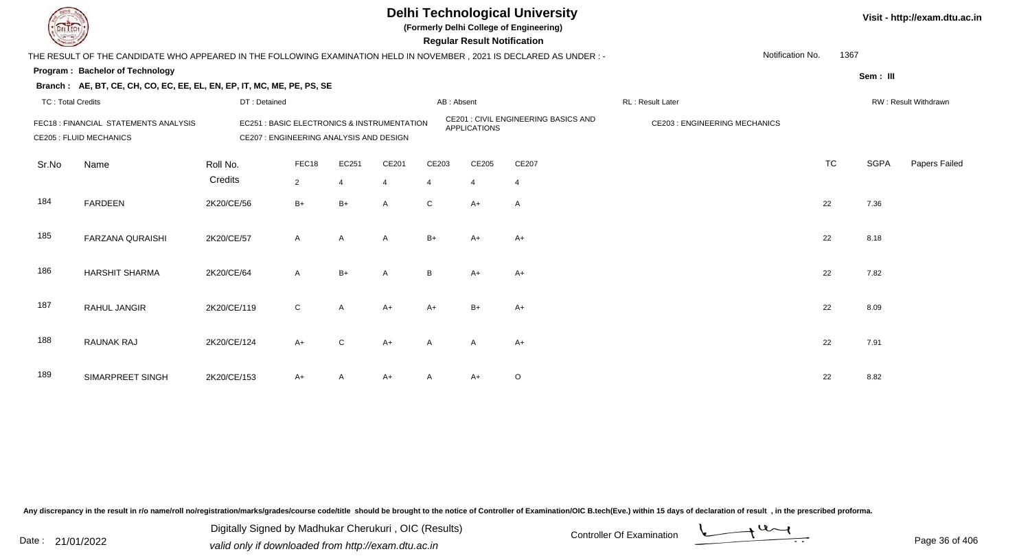

**(Formerly Delhi College of Engineering)**

 **Regular Result Notification**

| <b>Courses A</b>                                                       |                                                                                                                      |                                         |                                             |                                                             |                |                | Regular Result Notification          |                  |                  |           |                      |               |
|------------------------------------------------------------------------|----------------------------------------------------------------------------------------------------------------------|-----------------------------------------|---------------------------------------------|-------------------------------------------------------------|----------------|----------------|--------------------------------------|------------------|------------------|-----------|----------------------|---------------|
|                                                                        | THE RESULT OF THE CANDIDATE WHO APPEARED IN THE FOLLOWING EXAMINATION HELD IN NOVEMBER, 2021 IS DECLARED AS UNDER :- |                                         |                                             |                                                             |                |                |                                      |                  | Notification No. | 1367      |                      |               |
|                                                                        | <b>Program: Bachelor of Technology</b>                                                                               |                                         |                                             |                                                             |                |                |                                      |                  |                  |           | Sem: III             |               |
|                                                                        | Branch: AE, BT, CE, CH, CO, EC, EE, EL, EN, EP, IT, MC, ME, PE, PS, SE                                               |                                         |                                             |                                                             |                |                |                                      |                  |                  |           |                      |               |
| <b>TC: Total Credits</b>                                               |                                                                                                                      | DT: Detained                            |                                             | AB: Absent                                                  |                |                |                                      | RL: Result Later |                  |           | RW: Result Withdrawn |               |
| FEC18: FINANCIAL STATEMENTS ANALYSIS<br><b>CE205 : FLUID MECHANICS</b> |                                                                                                                      | CE207 : ENGINEERING ANALYSIS AND DESIGN | EC251 : BASIC ELECTRONICS & INSTRUMENTATION | CE201 : CIVIL ENGINEERING BASICS AND<br><b>APPLICATIONS</b> |                |                | <b>CE203 : ENGINEERING MECHANICS</b> |                  |                  |           |                      |               |
| Sr.No                                                                  | Name                                                                                                                 | Roll No.                                | FEC18                                       | EC251                                                       | CE201          | CE203          | CE205                                | CE207            |                  | <b>TC</b> | <b>SGPA</b>          | Papers Failed |
|                                                                        |                                                                                                                      | Credits                                 | $\overline{2}$                              | $\overline{4}$                                              | $\overline{4}$ | $\overline{4}$ | $\overline{4}$                       | $\overline{4}$   |                  |           |                      |               |
| 184                                                                    | <b>FARDEEN</b>                                                                                                       | 2K20/CE/56                              | $B+$                                        | $B+$                                                        | $\overline{A}$ | $\mathsf{C}$   | $A+$                                 | $\mathsf{A}$     |                  | 22        | 7.36                 |               |
| 185                                                                    | <b>FARZANA QURAISHI</b>                                                                                              | 2K20/CE/57                              | $\mathsf{A}$                                | $\overline{A}$                                              | A              | $B+$           | $A+$                                 | A+               |                  | 22        | 8.18                 |               |
| 186                                                                    | <b>HARSHIT SHARMA</b>                                                                                                | 2K20/CE/64                              | $\mathsf{A}$                                | $B+$                                                        | $\mathsf{A}$   | B              | $A+$                                 | $A+$             |                  | 22        | 7.82                 |               |
| 187                                                                    | RAHUL JANGIR                                                                                                         | 2K20/CE/119                             | $\mathsf{C}$                                | $\mathsf{A}$                                                | $A+$           | $A+$           | $B+$                                 | $A+$             |                  | 22        | 8.09                 |               |
| 188                                                                    | <b>RAUNAK RAJ</b>                                                                                                    | 2K20/CE/124                             | $A+$                                        | $\mathbf{C}$                                                | $A+$           | A              | A                                    | A+               |                  | 22        | 7.91                 |               |
| 189                                                                    | SIMARPREET SINGH                                                                                                     | 2K20/CE/153                             | $A+$                                        | A                                                           | $A+$           |                | $A+$                                 | O                |                  | 22        | 8.82                 |               |

Any discrepancy in the result in r/o name/roll no/registration/marks/grades/course code/title should be brought to the notice of Controller of Examination/OIC B.tech(Eve.) within 15 days of declaration of result, in the pr

Date : 21/01/2022 Digital Digital of Microsofted Chemical Controller Of Examination Determination Page 36 of 40 Digitally Signed by Madhukar Cherukuri , OIC (Results)

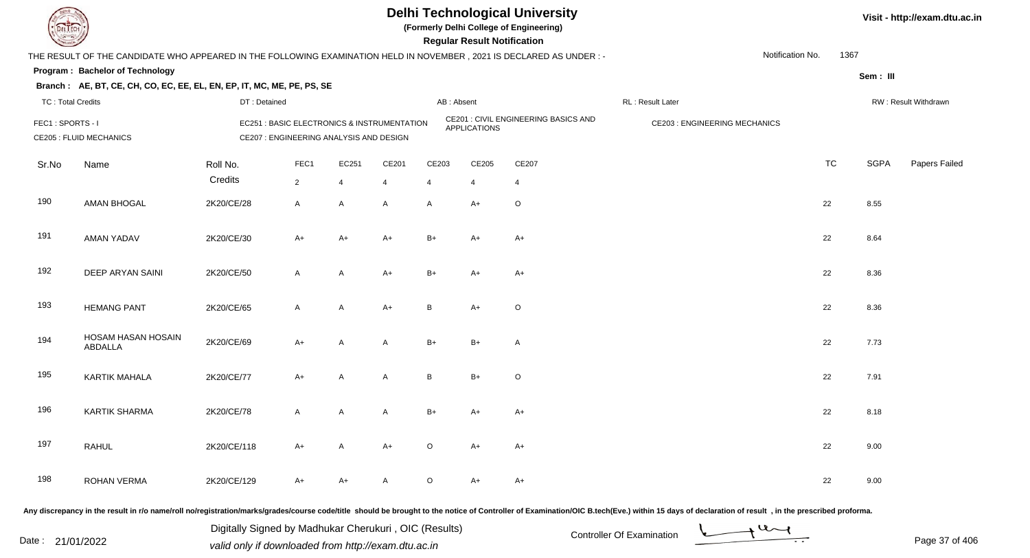

**(Formerly Delhi College of Engineering)**

**Regular Regular Results** 

| <b>Courses the Courses of the United States</b> |                                                                                                                     |                     |                        |                                         |                                                       |                         | <b>Regular Result Notification</b> |                                      |                                     |           |             |                      |
|-------------------------------------------------|---------------------------------------------------------------------------------------------------------------------|---------------------|------------------------|-----------------------------------------|-------------------------------------------------------|-------------------------|------------------------------------|--------------------------------------|-------------------------------------|-----------|-------------|----------------------|
|                                                 | THE RESULT OF THE CANDIDATE WHO APPEARED IN THE FOLLOWING EXAMINATION HELD IN NOVEMBER, 2021 IS DECLARED AS UNDER:- |                     |                        |                                         |                                                       |                         |                                    |                                      | Notification No.                    | 1367      |             |                      |
|                                                 | <b>Program: Bachelor of Technology</b>                                                                              |                     |                        |                                         |                                                       |                         |                                    |                                      |                                     |           | Sem: III    |                      |
|                                                 | Branch: AE, BT, CE, CH, CO, EC, EE, EL, EN, EP, IT, MC, ME, PE, PS, SE                                              |                     |                        |                                         |                                                       |                         |                                    |                                      |                                     |           |             |                      |
| <b>TC: Total Credits</b>                        |                                                                                                                     | DT: Detained        |                        |                                         |                                                       | AB: Absent              |                                    |                                      | RL : Result Later                   |           |             | RW: Result Withdrawn |
| FEC1: SPORTS - I                                | <b>CE205 : FLUID MECHANICS</b>                                                                                      |                     |                        | CE207 : ENGINEERING ANALYSIS AND DESIGN | <b>EC251: BASIC ELECTRONICS &amp; INSTRUMENTATION</b> |                         | <b>APPLICATIONS</b>                | CE201 : CIVIL ENGINEERING BASICS AND | <b>CE203: ENGINEERING MECHANICS</b> |           |             |                      |
| Sr.No                                           | Name                                                                                                                | Roll No.<br>Credits | FEC1<br>$\overline{2}$ | EC251<br>4                              | CE201<br>4                                            | CE203<br>$\overline{4}$ | CE205<br>$\overline{4}$            | CE207<br>4                           |                                     | <b>TC</b> | <b>SGPA</b> | Papers Failed        |
| 190                                             | <b>AMAN BHOGAL</b>                                                                                                  | 2K20/CE/28          | $\mathsf{A}$           | A                                       | $\mathsf{A}$                                          | A                       | A+                                 | $\circ$                              |                                     | 22        | 8.55        |                      |
| 191                                             | <b>AMAN YADAV</b>                                                                                                   | 2K20/CE/30          | $A+$                   | $A+$                                    | $A+$                                                  | $B+$                    | $A+$                               | $A+$                                 |                                     | 22        | 8.64        |                      |
| 192                                             | <b>DEEP ARYAN SAINI</b>                                                                                             | 2K20/CE/50          | $\mathsf{A}$           | A                                       | A+                                                    | $B+$                    | A+                                 | $A+$                                 |                                     | 22        | 8.36        |                      |
| 193                                             | <b>HEMANG PANT</b>                                                                                                  | 2K20/CE/65          | $\mathsf{A}$           | A                                       | $A+$                                                  | B                       | $A+$                               | $\circ$                              |                                     | 22        | 8.36        |                      |
| 194                                             | HOSAM HASAN HOSAIN<br>ABDALLA                                                                                       | 2K20/CE/69          | $A+$                   | A                                       | A                                                     | $B+$                    | $B+$                               | A                                    |                                     | 22        | 7.73        |                      |
| 195                                             | <b>KARTIK MAHALA</b>                                                                                                | 2K20/CE/77          | $A+$                   | A                                       | A                                                     | B                       | $B+$                               | $\circ$                              |                                     | 22        | 7.91        |                      |
| 196                                             | <b>KARTIK SHARMA</b>                                                                                                | 2K20/CE/78          | $\mathsf{A}$           | A                                       | A                                                     | $B+$                    | $A+$                               | $A+$                                 |                                     | 22        | 8.18        |                      |
| 197                                             | <b>RAHUL</b>                                                                                                        | 2K20/CE/118         | $A+$                   | Α                                       | $A+$                                                  | O                       | $A+$                               | $A+$                                 |                                     | 22        | 9.00        |                      |
| 198                                             | <b>ROHAN VERMA</b>                                                                                                  | 2K20/CE/129         | A+                     | A+                                      | A                                                     | O                       | A+                                 | $A+$                                 |                                     | 22        | 9.00        |                      |
|                                                 |                                                                                                                     |                     |                        |                                         |                                                       |                         |                                    |                                      |                                     |           |             |                      |

Any discrepancy in the result in r/o name/roll no/registration/marks/grades/course code/title should be brought to the notice of Controller of Examination/OIC B.tech(Eve.) within 15 days of declaration of result, in the pr

Digitally Signed by Madhukar Cherukuri, OIC (Results)<br>Date : 21/01/2022 valid only if downloaded from http://oxam.dtu.ac.in Digitally Signed by Madhukar Cherukuri , OIC (Results)valid only if downloaded from http://exam.dtu.ac.in

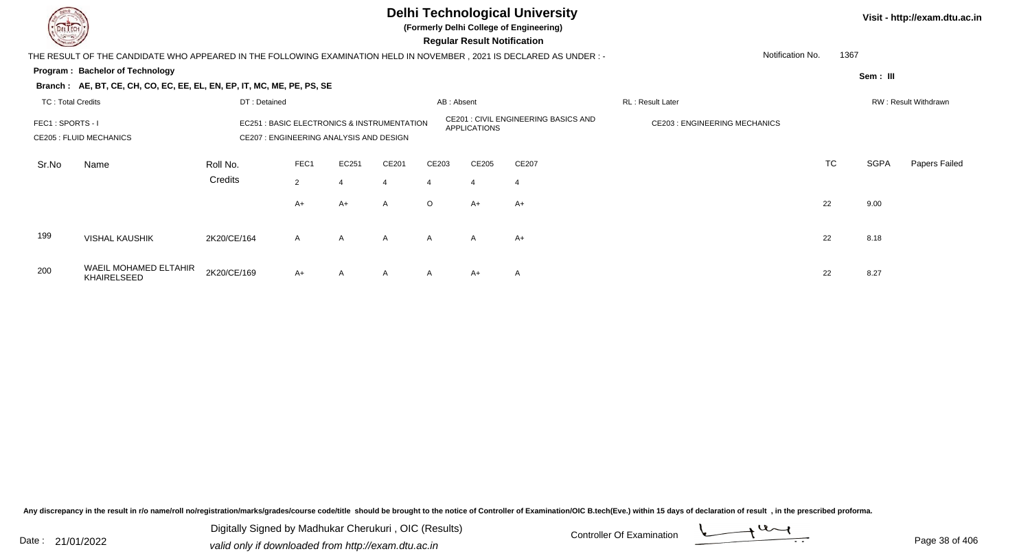

**(Formerly Delhi College of Engineering)**

 **Regular Result Notification**

| <b>Course Lines</b>      |                                                                                                                        |                                                                                        |              |                  |                     |                                             | Regular Result Notification         |       |                  |           |             |                      |
|--------------------------|------------------------------------------------------------------------------------------------------------------------|----------------------------------------------------------------------------------------|--------------|------------------|---------------------|---------------------------------------------|-------------------------------------|-------|------------------|-----------|-------------|----------------------|
|                          | THE RESULT OF THE CANDIDATE WHO APPEARED IN THE FOLLOWING EXAMINATION HELD IN NOVEMBER , 2021 IS DECLARED AS UNDER : - |                                                                                        |              |                  |                     |                                             |                                     |       | Notification No. | 1367      |             |                      |
|                          | Program: Bachelor of Technology                                                                                        |                                                                                        |              |                  |                     |                                             |                                     |       |                  |           | Sem: III    |                      |
|                          | Branch: AE, BT, CE, CH, CO, EC, EE, EL, EN, EP, IT, MC, ME, PE, PS, SE                                                 |                                                                                        |              |                  |                     |                                             |                                     |       |                  |           |             |                      |
| <b>TC: Total Credits</b> |                                                                                                                        | DT: Detained                                                                           |              |                  |                     | AB: Absent                                  |                                     |       | RL: Result Later |           |             | RW: Result Withdrawn |
| FEC1: SPORTS - I         | <b>CE205 : FLUID MECHANICS</b>                                                                                         | EC251 : BASIC ELECTRONICS & INSTRUMENTATION<br>CE207 : ENGINEERING ANALYSIS AND DESIGN |              |                  | <b>APPLICATIONS</b> | <b>CE201 : CIVIL ENGINEERING BASICS AND</b> | <b>CE203: ENGINEERING MECHANICS</b> |       |                  |           |             |                      |
| Sr.No                    | Name                                                                                                                   | Roll No.                                                                               | FEC1         | EC251            | CE201               | CE203                                       | CE205                               | CE207 |                  | <b>TC</b> | <b>SGPA</b> | Papers Failed        |
|                          |                                                                                                                        | Credits                                                                                | 2            | $\boldsymbol{4}$ | 4                   | 4                                           | $\overline{4}$                      | -4    |                  |           |             |                      |
|                          |                                                                                                                        |                                                                                        | $A+$         | A+               | $\mathsf{A}$        | $\circ$                                     | $A+$                                | $A+$  |                  | 22        | 9.00        |                      |
| 199                      | <b>VISHAL KAUSHIK</b>                                                                                                  | 2K20/CE/164                                                                            | $\mathsf{A}$ | A                | A                   | $\mathsf{A}$                                | $\mathsf{A}$                        | $A+$  |                  | 22        | 8.18        |                      |
| 200                      | WAEIL MOHAMED ELTAHIR<br><b>KHAIRELSEED</b>                                                                            | 2K20/CE/169                                                                            | $A+$         | $\mathsf{A}$     | A                   | $\mathsf{A}$                                | $A+$                                | A     |                  | 22        | 8.27        |                      |

Any discrepancy in the result in r/o name/roll no/registration/marks/grades/course code/title should be brought to the notice of Controller of Examination/OIC B.tech(Eve.) within 15 days of declaration of result, in the pr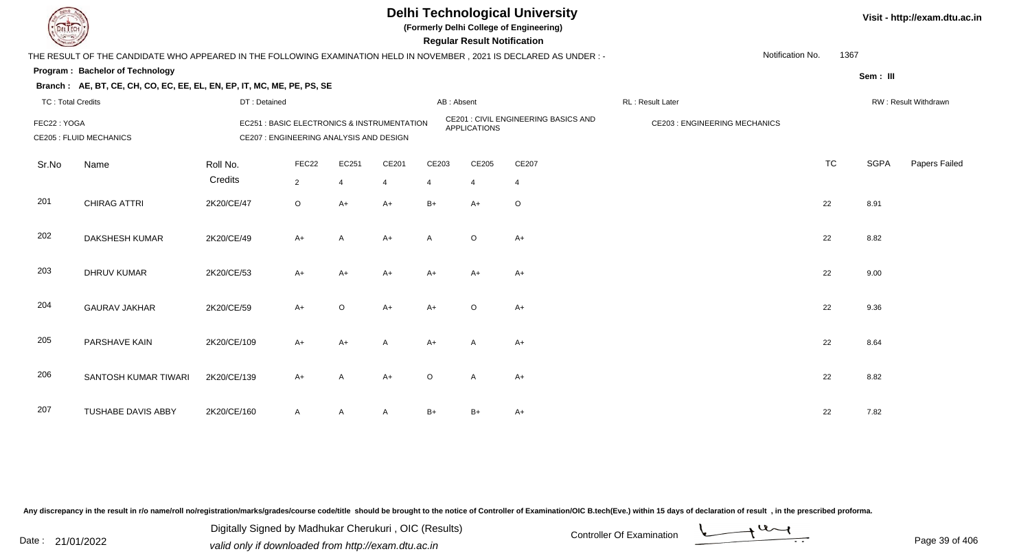

**(Formerly Delhi College of Engineering)**

 **Regular Result Notification**

| <b>Courses A</b>         |                                                                                                                      |                     |                                         |                         |                                                       |            | <b>Regular Result Notification</b> |                                      |                                     |                  |           |             |                      |
|--------------------------|----------------------------------------------------------------------------------------------------------------------|---------------------|-----------------------------------------|-------------------------|-------------------------------------------------------|------------|------------------------------------|--------------------------------------|-------------------------------------|------------------|-----------|-------------|----------------------|
|                          | THE RESULT OF THE CANDIDATE WHO APPEARED IN THE FOLLOWING EXAMINATION HELD IN NOVEMBER, 2021 IS DECLARED AS UNDER :- |                     |                                         |                         |                                                       |            |                                    |                                      |                                     | Notification No. | 1367      |             |                      |
|                          | Program: Bachelor of Technology                                                                                      |                     |                                         |                         |                                                       |            |                                    |                                      |                                     |                  |           | Sem: III    |                      |
|                          | Branch: AE, BT, CE, CH, CO, EC, EE, EL, EN, EP, IT, MC, ME, PE, PS, SE                                               |                     |                                         |                         |                                                       |            |                                    |                                      |                                     |                  |           |             |                      |
| <b>TC: Total Credits</b> |                                                                                                                      | DT: Detained        |                                         |                         |                                                       | AB: Absent |                                    |                                      | RL: Result Later                    |                  |           |             | RW: Result Withdrawn |
| FEC22: YOGA              | <b>CE205 : FLUID MECHANICS</b>                                                                                       |                     | CE207 : ENGINEERING ANALYSIS AND DESIGN |                         | <b>EC251: BASIC ELECTRONICS &amp; INSTRUMENTATION</b> |            | <b>APPLICATIONS</b>                | CE201 : CIVIL ENGINEERING BASICS AND | <b>CE203: ENGINEERING MECHANICS</b> |                  |           |             |                      |
| Sr.No                    | Name                                                                                                                 | Roll No.<br>Credits | FEC22<br>$\overline{2}$                 | EC251<br>$\overline{4}$ | CE201<br>$\overline{4}$                               | CE203<br>4 | CE205<br>$\overline{4}$            | CE207<br>4                           |                                     |                  | <b>TC</b> | <b>SGPA</b> | Papers Failed        |
| 201                      | <b>CHIRAG ATTRI</b>                                                                                                  | 2K20/CE/47          | $\circ$                                 | $A+$                    | $A+$                                                  | $B+$       | $A+$                               | $\circ$                              |                                     |                  | 22        | 8.91        |                      |
| 202                      | <b>DAKSHESH KUMAR</b>                                                                                                | 2K20/CE/49          | $A+$                                    | $\overline{A}$          | $A+$                                                  | A          | O                                  | $A+$                                 |                                     |                  | 22        | 8.82        |                      |
| 203                      | <b>DHRUV KUMAR</b>                                                                                                   | 2K20/CE/53          | $A+$                                    | $A+$                    | A+                                                    | A+         | $A+$                               | $A+$                                 |                                     |                  | 22        | 9.00        |                      |
| 204                      | <b>GAURAV JAKHAR</b>                                                                                                 | 2K20/CE/59          | $A+$                                    | $\circ$                 | $A+$                                                  | $A+$       | $\circ$                            | $A+$                                 |                                     |                  | 22        | 9.36        |                      |
| 205                      | PARSHAVE KAIN                                                                                                        | 2K20/CE/109         | $A+$                                    | $A+$                    | Α                                                     | $A+$       | A                                  | $A+$                                 |                                     |                  | 22        | 8.64        |                      |
| 206                      | SANTOSH KUMAR TIWARI                                                                                                 | 2K20/CE/139         | $A+$                                    | A                       | $A+$                                                  | $\circ$    | A                                  | $A+$                                 |                                     |                  | 22        | 8.82        |                      |
| 207                      | <b>TUSHABE DAVIS ABBY</b>                                                                                            | 2K20/CE/160         | $\mathsf{A}$                            | A                       | $\mathsf{A}$                                          | B+         | $B+$                               | A+                                   |                                     |                  | 22        | 7.82        |                      |

Any discrepancy in the result in r/o name/roll no/registration/marks/grades/course code/title should be brought to the notice of Controller of Examination/OIC B.tech(Eve.) within 15 days of declaration of result, in the pr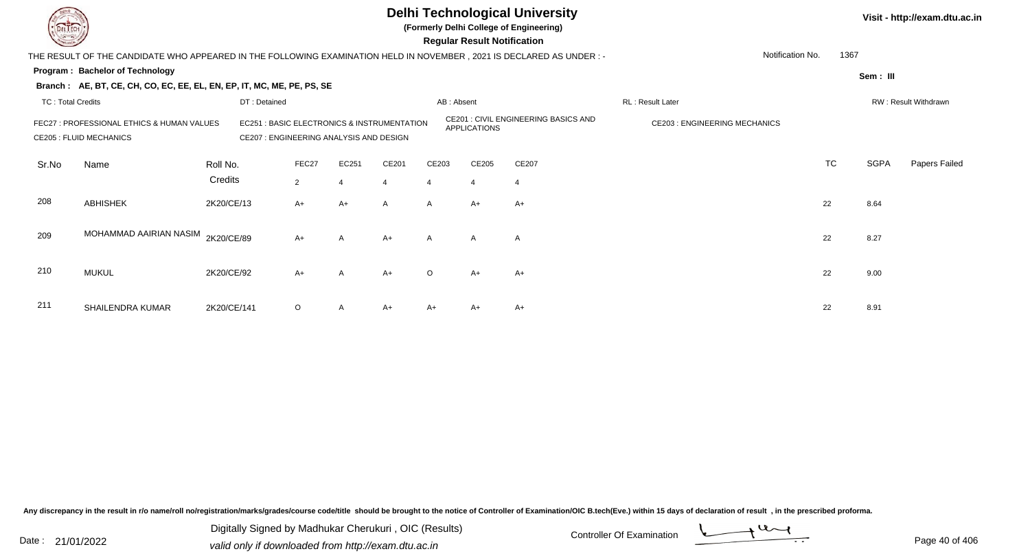

**(Formerly Delhi College of Engineering)**

 **Regular Result Notification**

| $\sim$            |                                                                                                                     |                                                                                                  |                |       |                     |                                      | neguiai nesuit notinoation          |       |                  |           |             |                      |
|-------------------|---------------------------------------------------------------------------------------------------------------------|--------------------------------------------------------------------------------------------------|----------------|-------|---------------------|--------------------------------------|-------------------------------------|-------|------------------|-----------|-------------|----------------------|
|                   | THE RESULT OF THE CANDIDATE WHO APPEARED IN THE FOLLOWING EXAMINATION HELD IN NOVEMBER, 2021 IS DECLARED AS UNDER:- |                                                                                                  |                |       |                     |                                      |                                     |       | Notification No. | 1367      |             |                      |
|                   | Program: Bachelor of Technology                                                                                     |                                                                                                  |                |       |                     |                                      |                                     |       |                  |           | Sem: III    |                      |
|                   | Branch: AE, BT, CE, CH, CO, EC, EE, EL, EN, EP, IT, MC, ME, PE, PS, SE                                              |                                                                                                  |                |       |                     |                                      |                                     |       |                  |           |             |                      |
| TC: Total Credits |                                                                                                                     | DT: Detained                                                                                     |                |       |                     | AB: Absent                           |                                     |       | RL: Result Later |           |             | RW: Result Withdrawn |
|                   | FEC27 : PROFESSIONAL ETHICS & HUMAN VALUES<br><b>CE205 : FLUID MECHANICS</b>                                        | <b>EC251: BASIC ELECTRONICS &amp; INSTRUMENTATION</b><br>CE207 : ENGINEERING ANALYSIS AND DESIGN |                |       | <b>APPLICATIONS</b> | CE201 : CIVIL ENGINEERING BASICS AND | <b>CE203: ENGINEERING MECHANICS</b> |       |                  |           |             |                      |
| Sr.No             | Name                                                                                                                | Roll No.                                                                                         | FEC27          | EC251 | CE201               | CE203                                | CE205                               | CE207 |                  | <b>TC</b> | <b>SGPA</b> | Papers Failed        |
|                   |                                                                                                                     | Credits                                                                                          | $\overline{2}$ | 4     | 4                   | $\overline{a}$                       | 4                                   | -4    |                  |           |             |                      |
| 208               | <b>ABHISHEK</b>                                                                                                     | 2K20/CE/13                                                                                       | $A+$           | $A+$  | $\mathsf{A}$        | $\mathsf{A}$                         | $A+$                                | $A+$  |                  | 22        | 8.64        |                      |
| 209               | MOHAMMAD AAIRIAN NASIM                                                                                              | 2K20/CE/89                                                                                       | $A+$           | A     | $A+$                | $\mathsf{A}$                         | $\mathsf{A}$                        | A     |                  | 22        | 8.27        |                      |
| 210               | <b>MUKUL</b>                                                                                                        | 2K20/CE/92                                                                                       | $A+$           | A     | $A+$                | $\circ$                              | $A+$                                | A+    |                  | 22        | 9.00        |                      |
| 211               | SHAILENDRA KUMAR                                                                                                    | 2K20/CE/141                                                                                      | $\circ$        | A     | $A+$                | A+                                   | A+                                  | A+    |                  | 22        | 8.91        |                      |

Any discrepancy in the result in r/o name/roll no/registration/marks/grades/course code/title should be brought to the notice of Controller of Examination/OIC B.tech(Eve.) within 15 days of declaration of result, in the pr

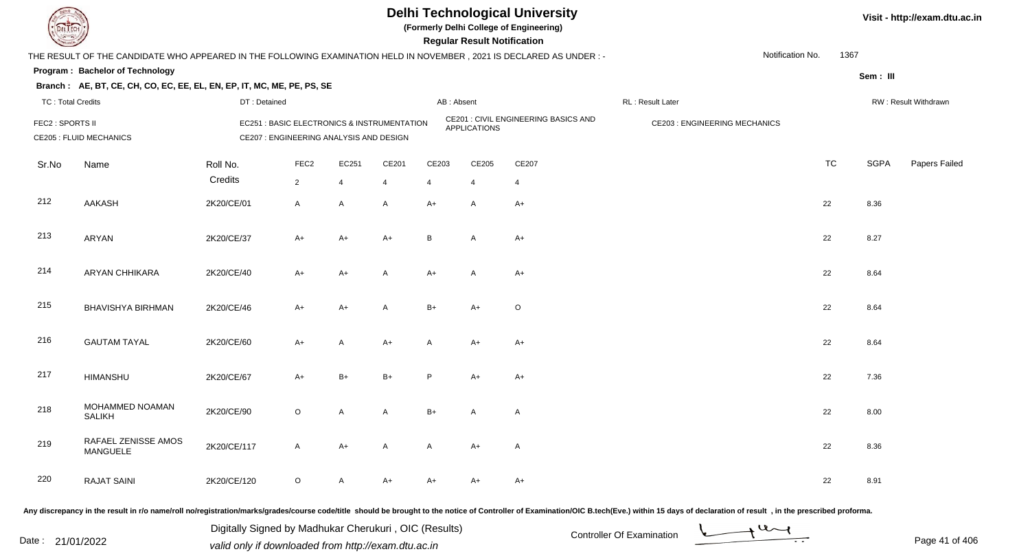

**(Formerly Delhi College of Engineering)**

**Regular Regular Results** 

| <b>County</b>            |                                                                                                                      |              |                                         |                |                                             |                | <b>Regular Result Notification</b> |                                      |                                     |           |             |                      |
|--------------------------|----------------------------------------------------------------------------------------------------------------------|--------------|-----------------------------------------|----------------|---------------------------------------------|----------------|------------------------------------|--------------------------------------|-------------------------------------|-----------|-------------|----------------------|
|                          | THE RESULT OF THE CANDIDATE WHO APPEARED IN THE FOLLOWING EXAMINATION HELD IN NOVEMBER, 2021 IS DECLARED AS UNDER :- |              |                                         |                |                                             |                |                                    |                                      | Notification No.                    | 1367      |             |                      |
|                          | Program: Bachelor of Technology                                                                                      |              |                                         |                |                                             |                |                                    |                                      |                                     |           | Sem: III    |                      |
|                          | Branch: AE, BT, CE, CH, CO, EC, EE, EL, EN, EP, IT, MC, ME, PE, PS, SE                                               |              |                                         |                |                                             |                |                                    |                                      |                                     |           |             |                      |
| <b>TC: Total Credits</b> |                                                                                                                      | DT: Detained |                                         |                |                                             | AB: Absent     |                                    |                                      | RL: Result Later                    |           |             | RW: Result Withdrawn |
| FEC2 : SPORTS II         | <b>CE205 : FLUID MECHANICS</b>                                                                                       |              | CE207 : ENGINEERING ANALYSIS AND DESIGN |                | EC251 : BASIC ELECTRONICS & INSTRUMENTATION |                | <b>APPLICATIONS</b>                | CE201 : CIVIL ENGINEERING BASICS AND | <b>CE203: ENGINEERING MECHANICS</b> |           |             |                      |
| Sr.No                    | Name                                                                                                                 | Roll No.     | FEC <sub>2</sub>                        | EC251          | CE201                                       | CE203          | CE205                              | CE207                                |                                     | <b>TC</b> | <b>SGPA</b> | Papers Failed        |
|                          |                                                                                                                      | Credits      | $\overline{2}$                          | $\overline{4}$ | $\overline{4}$                              | $\overline{4}$ | $\overline{4}$                     | $\overline{4}$                       |                                     |           |             |                      |
| 212                      | AAKASH                                                                                                               | 2K20/CE/01   | A                                       | $\mathsf{A}$   | $\mathsf{A}$                                | $A+$           | A                                  | $A+$                                 |                                     | 22        | 8.36        |                      |
| 213                      | ARYAN                                                                                                                | 2K20/CE/37   | $A+$                                    | $A+$           | $A+$                                        | B              | A                                  | $A+$                                 |                                     | 22        | 8.27        |                      |
| 214                      | <b>ARYAN CHHIKARA</b>                                                                                                | 2K20/CE/40   | $A+$                                    | $A+$           | $\mathsf{A}$                                | $A+$           | A                                  | $A+$                                 |                                     | 22        | 8.64        |                      |
| 215                      | <b>BHAVISHYA BIRHMAN</b>                                                                                             | 2K20/CE/46   | $A+$                                    | $A+$           | $\mathsf{A}$                                | $B+$           | $A+$                               | O                                    |                                     | 22        | 8.64        |                      |
| 216                      | <b>GAUTAM TAYAL</b>                                                                                                  | 2K20/CE/60   | $A+$                                    | Α              | $A+$                                        | A              | $A+$                               | A+                                   |                                     | 22        | 8.64        |                      |
| 217                      | <b>HIMANSHU</b>                                                                                                      | 2K20/CE/67   | $A+$                                    | $B+$           | $B+$                                        | P              | $A+$                               | A+                                   |                                     | 22        | 7.36        |                      |
| 218                      | MOHAMMED NOAMAN<br><b>SALIKH</b>                                                                                     | 2K20/CE/90   | $\circ$                                 | A              | A                                           | $B+$           | A                                  | A                                    |                                     | 22        | 8.00        |                      |
| 219                      | RAFAEL ZENISSE AMOS<br><b>MANGUELE</b>                                                                               | 2K20/CE/117  | A                                       | $A+$           | $\mathsf{A}$                                | A              | A+                                 | A                                    |                                     | 22        | 8.36        |                      |
| 220                      | <b>RAJAT SAINI</b>                                                                                                   | 2K20/CE/120  | $\circ$                                 | A              | A+                                          | A+             | A+                                 | A+                                   |                                     | 22        | 8.91        |                      |

Any discrepancy in the result in r/o name/roll no/registration/marks/grades/course code/title should be brought to the notice of Controller of Examination/OIC B.tech(Eve.) within 15 days of declaration of result, in the pr

Digitally Signed by Madhukar Cherukuri, OIC (Results)<br>Date : 21/01/2022 valid only if downloaded from http://oxam.dtu.ac.in Digitally Signed by Madhukar Cherukuri , OIC (Results)valid only if downloaded from http://exam.dtu.ac.in

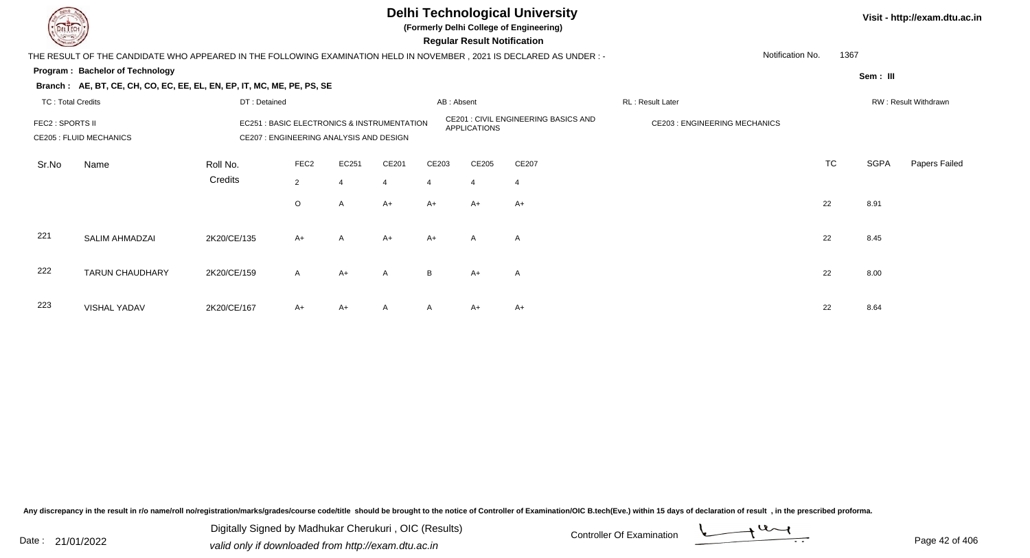

**(Formerly Delhi College of Engineering)**

 **Regular Result Notification**

| <b>Consultant Property</b> |                                                                                                                        |                                                                                        |                  |                |                |              | Regular Result Notification          |                                     |                  |      |             |                      |
|----------------------------|------------------------------------------------------------------------------------------------------------------------|----------------------------------------------------------------------------------------|------------------|----------------|----------------|--------------|--------------------------------------|-------------------------------------|------------------|------|-------------|----------------------|
|                            | THE RESULT OF THE CANDIDATE WHO APPEARED IN THE FOLLOWING EXAMINATION HELD IN NOVEMBER , 2021 IS DECLARED AS UNDER : - |                                                                                        |                  |                |                |              |                                      |                                     | Notification No. | 1367 |             |                      |
|                            | Program: Bachelor of Technology                                                                                        |                                                                                        |                  |                |                |              |                                      |                                     |                  |      | Sem: III    |                      |
|                            | Branch: AE, BT, CE, CH, CO, EC, EE, EL, EN, EP, IT, MC, ME, PE, PS, SE                                                 |                                                                                        |                  |                |                |              |                                      |                                     |                  |      |             |                      |
| <b>TC: Total Credits</b>   |                                                                                                                        | DT: Detained                                                                           |                  |                |                | AB: Absent   |                                      |                                     | RL: Result Later |      |             | RW: Result Withdrawn |
| <b>FEC2 : SPORTS II</b>    | <b>CE205 : FLUID MECHANICS</b>                                                                                         | EC251 : BASIC ELECTRONICS & INSTRUMENTATION<br>CE207 : ENGINEERING ANALYSIS AND DESIGN |                  |                |                | APPLICATIONS | CE201 : CIVIL ENGINEERING BASICS AND | <b>CE203: ENGINEERING MECHANICS</b> |                  |      |             |                      |
| Sr.No                      | Name                                                                                                                   | Roll No.                                                                               | FEC <sub>2</sub> | EC251          | CE201          | CE203        | CE205                                | CE207                               |                  | TC   | <b>SGPA</b> | Papers Failed        |
|                            |                                                                                                                        | Credits                                                                                | $\overline{2}$   | $\overline{4}$ | $\overline{4}$ | 4            | 4                                    | 4                                   |                  |      |             |                      |
|                            |                                                                                                                        |                                                                                        | $\circ$          | A              | $A+$           | A+           | $A+$                                 | A+                                  |                  | 22   | 8.91        |                      |
| 221                        | SALIM AHMADZAI                                                                                                         | 2K20/CE/135                                                                            | $A+$             | $\mathsf{A}$   | $A+$           | $A+$         | A                                    | A                                   |                  | 22   | 8.45        |                      |
| 222                        | <b>TARUN CHAUDHARY</b>                                                                                                 | 2K20/CE/159                                                                            | $\mathsf{A}$     | $A+$           | A              | B            | $A+$                                 | A                                   |                  | 22   | 8.00        |                      |
| 223                        | <b>VISHAL YADAV</b>                                                                                                    | 2K20/CE/167                                                                            | $A+$             | $A+$           | A              | A            | $A+$                                 | $A+$                                |                  | 22   | 8.64        |                      |

Any discrepancy in the result in r/o name/roll no/registration/marks/grades/course code/title should be brought to the notice of Controller of Examination/OIC B.tech(Eve.) within 15 days of declaration of result, in the pr

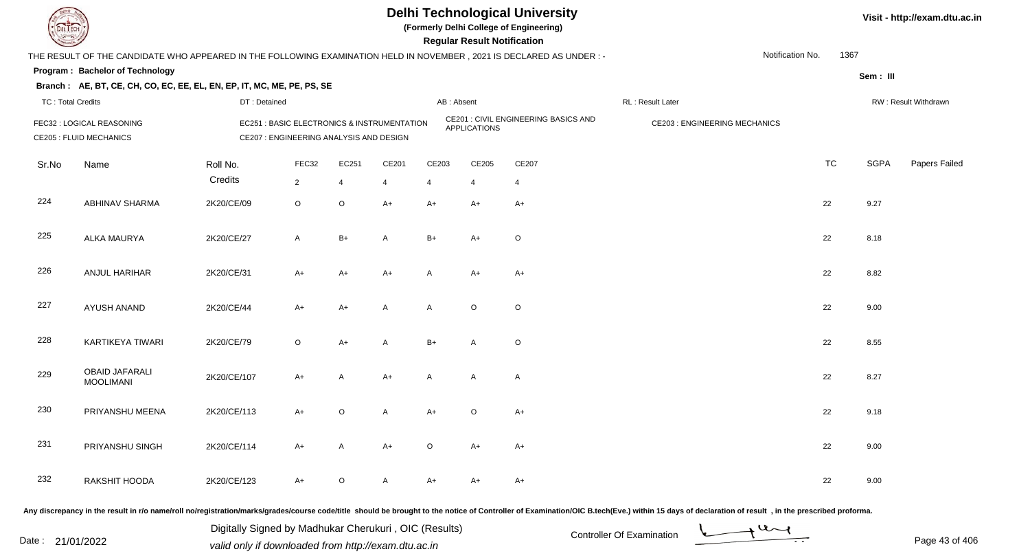

**(Formerly Delhi College of Engineering)**

**Regular Regular Results** 

| <b>Consultant Property</b> |                                                                                                                      |              |                                                                                        |                |                |         | <b>Regular Result Notification</b> |                                      |                                     |           |             |                      |
|----------------------------|----------------------------------------------------------------------------------------------------------------------|--------------|----------------------------------------------------------------------------------------|----------------|----------------|---------|------------------------------------|--------------------------------------|-------------------------------------|-----------|-------------|----------------------|
|                            | THE RESULT OF THE CANDIDATE WHO APPEARED IN THE FOLLOWING EXAMINATION HELD IN NOVEMBER, 2021 IS DECLARED AS UNDER :- |              |                                                                                        |                |                |         |                                    |                                      | Notification No.                    | 1367      |             |                      |
|                            | Program: Bachelor of Technology                                                                                      |              |                                                                                        |                |                |         |                                    |                                      |                                     |           | Sem: III    |                      |
|                            | Branch: AE, BT, CE, CH, CO, EC, EE, EL, EN, EP, IT, MC, ME, PE, PS, SE                                               |              |                                                                                        |                |                |         |                                    |                                      |                                     |           |             |                      |
| <b>TC: Total Credits</b>   |                                                                                                                      | DT: Detained |                                                                                        |                |                |         | AB: Absent                         |                                      | RL : Result Later                   |           |             | RW: Result Withdrawn |
|                            | FEC32 : LOGICAL REASONING<br><b>CE205 : FLUID MECHANICS</b>                                                          |              | EC251 : BASIC ELECTRONICS & INSTRUMENTATION<br>CE207 : ENGINEERING ANALYSIS AND DESIGN |                |                |         | <b>APPLICATIONS</b>                | CE201 : CIVIL ENGINEERING BASICS AND | <b>CE203: ENGINEERING MECHANICS</b> |           |             |                      |
| Sr.No                      | Name                                                                                                                 | Roll No.     | FEC32                                                                                  | EC251          | CE201          | CE203   | CE205                              | CE207                                |                                     | <b>TC</b> | <b>SGPA</b> | Papers Failed        |
|                            |                                                                                                                      | Credits      | $\overline{2}$                                                                         | $\overline{4}$ | $\overline{4}$ | 4       | 4                                  | $\overline{4}$                       |                                     |           |             |                      |
| 224                        | <b>ABHINAV SHARMA</b>                                                                                                | 2K20/CE/09   | $\mathsf O$                                                                            | $\circ$        | $A+$           | A+      | A+                                 | $A+$                                 |                                     | 22        | 9.27        |                      |
| 225                        | ALKA MAURYA                                                                                                          | 2K20/CE/27   | $\mathsf{A}$                                                                           | $B+$           | A              | $B+$    | $A+$                               | O                                    |                                     | 22        | 8.18        |                      |
| 226                        | ANJUL HARIHAR                                                                                                        | 2K20/CE/31   | $A+$                                                                                   | $A+$           | $A+$           | A       | $A+$                               | $A+$                                 |                                     | 22        | 8.82        |                      |
| 227                        | <b>AYUSH ANAND</b>                                                                                                   | 2K20/CE/44   | $A+$                                                                                   | A+             | $\mathsf{A}$   | A       | $\circ$                            | O                                    |                                     | 22        | 9.00        |                      |
| 228                        | KARTIKEYA TIWARI                                                                                                     | 2K20/CE/79   | $\circ$                                                                                | $A+$           | A              | $B+$    | A                                  | O                                    |                                     | 22        | 8.55        |                      |
| 229                        | <b>OBAID JAFARALI</b><br><b>MOOLIMANI</b>                                                                            | 2K20/CE/107  | $A+$                                                                                   | A              | $A+$           | A       | A                                  | A                                    |                                     | 22        | 8.27        |                      |
| 230                        | PRIYANSHU MEENA                                                                                                      | 2K20/CE/113  | $A+$                                                                                   | $\circ$        | A              | $A+$    | $\circ$                            | $A+$                                 |                                     | 22        | 9.18        |                      |
| 231                        | PRIYANSHU SINGH                                                                                                      | 2K20/CE/114  | $A+$                                                                                   | A              | $A+$           | $\circ$ | $A+$                               | A+                                   |                                     | 22        | 9.00        |                      |
| 232                        | RAKSHIT HOODA                                                                                                        | 2K20/CE/123  | $A+$                                                                                   | O              | $\mathsf{A}$   | A+      | A+                                 | A+                                   |                                     | 22        | 9.00        |                      |
|                            |                                                                                                                      |              |                                                                                        |                |                |         |                                    |                                      |                                     |           |             |                      |

Any discrepancy in the result in r/o name/roll no/registration/marks/grades/course code/title should be brought to the notice of Controller of Examination/OIC B.tech(Eve.) within 15 days of declaration of result, in the pr

Digitally Signed by Madhukar Cherukuri, OIC (Results)<br>Date : 21/01/2022 valid only if downloaded from http://oxam.dtu.ac.in Digitally Signed by Madhukar Cherukuri , OIC (Results)valid only if downloaded from http://exam.dtu.ac.in

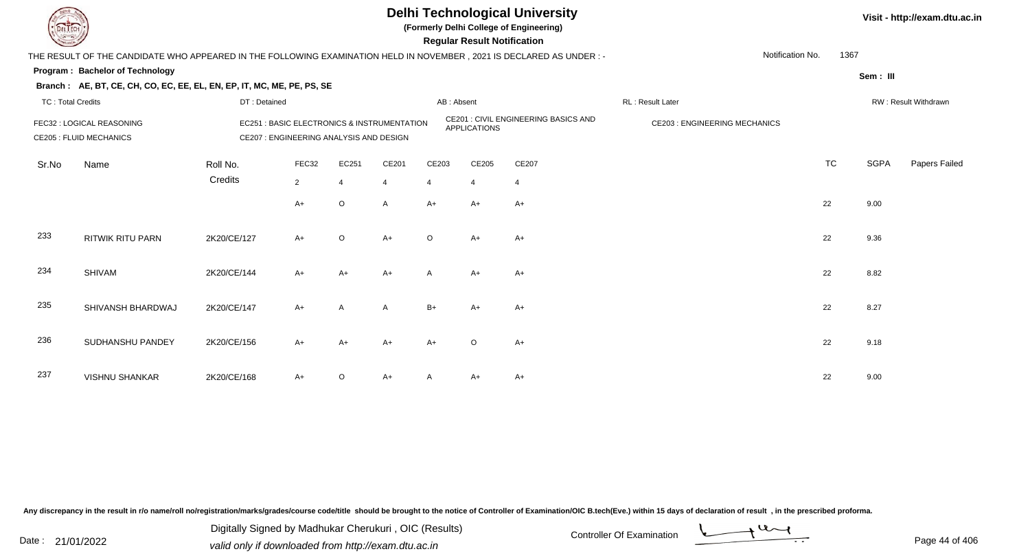

**(Formerly Delhi College of Engineering)**

 **Regular Result Notification**

| <b>Controller Comments</b> |                                                                                                                        |              |                                         |                |                                             |                | Regular Result Notification |                                      |                                     |                  |           |             |                      |
|----------------------------|------------------------------------------------------------------------------------------------------------------------|--------------|-----------------------------------------|----------------|---------------------------------------------|----------------|-----------------------------|--------------------------------------|-------------------------------------|------------------|-----------|-------------|----------------------|
|                            | THE RESULT OF THE CANDIDATE WHO APPEARED IN THE FOLLOWING EXAMINATION HELD IN NOVEMBER , 2021 IS DECLARED AS UNDER : - |              |                                         |                |                                             |                |                             |                                      |                                     | Notification No. | 1367      |             |                      |
|                            | Program: Bachelor of Technology                                                                                        |              |                                         |                |                                             |                |                             |                                      |                                     |                  |           | Sem: III    |                      |
|                            | Branch: AE, BT, CE, CH, CO, EC, EE, EL, EN, EP, IT, MC, ME, PE, PS, SE                                                 |              |                                         |                |                                             |                |                             |                                      |                                     |                  |           |             |                      |
| <b>TC: Total Credits</b>   |                                                                                                                        | DT: Detained |                                         |                |                                             | AB: Absent     |                             |                                      | RL: Result Later                    |                  |           |             | RW: Result Withdrawn |
|                            | FEC32 : LOGICAL REASONING<br><b>CE205 : FLUID MECHANICS</b>                                                            |              | CE207 : ENGINEERING ANALYSIS AND DESIGN |                | EC251 : BASIC ELECTRONICS & INSTRUMENTATION |                | <b>APPLICATIONS</b>         | CE201 : CIVIL ENGINEERING BASICS AND | <b>CE203: ENGINEERING MECHANICS</b> |                  |           |             |                      |
| Sr.No                      | Name                                                                                                                   | Roll No.     | FEC32                                   | EC251          | CE201                                       | CE203          | CE205                       | CE207                                |                                     |                  | <b>TC</b> | <b>SGPA</b> | Papers Failed        |
|                            |                                                                                                                        | Credits      | $\overline{2}$                          | $\overline{4}$ | $\overline{4}$                              | $\overline{4}$ | $\overline{4}$              | $\overline{4}$                       |                                     |                  |           |             |                      |
|                            |                                                                                                                        |              | $A+$                                    | $\circ$        | A                                           | $A+$           | $A+$                        | A+                                   |                                     | 22               |           | 9.00        |                      |
| 233                        | <b>RITWIK RITU PARN</b>                                                                                                | 2K20/CE/127  | $A+$                                    | $\circ$        | $A+$                                        | $\circ$        | $A+$                        | $A+$                                 |                                     | 22               |           | 9.36        |                      |
| 234                        | <b>SHIVAM</b>                                                                                                          | 2K20/CE/144  | $A+$                                    | $A+$           | $A+$                                        | $\mathsf{A}$   | $A+$                        | $A+$                                 |                                     | 22               |           | 8.82        |                      |
| 235                        | SHIVANSH BHARDWAJ                                                                                                      | 2K20/CE/147  | $A+$                                    | A              | A                                           | $B+$           | $A+$                        | A+                                   |                                     | 22               |           | 8.27        |                      |
| 236                        | SUDHANSHU PANDEY                                                                                                       | 2K20/CE/156  | $A+$                                    | $A+$           | $A+$                                        | $A+$           | $\circ$                     | A+                                   |                                     | 22               |           | 9.18        |                      |
| 237                        | <b>VISHNU SHANKAR</b>                                                                                                  | 2K20/CE/168  | $A+$                                    | $\circ$        | $A+$                                        |                | A+                          | A+                                   |                                     | 22               |           | 9.00        |                      |

Any discrepancy in the result in r/o name/roll no/registration/marks/grades/course code/title should be brought to the notice of Controller of Examination/OIC B.tech(Eve.) within 15 days of declaration of result, in the pr

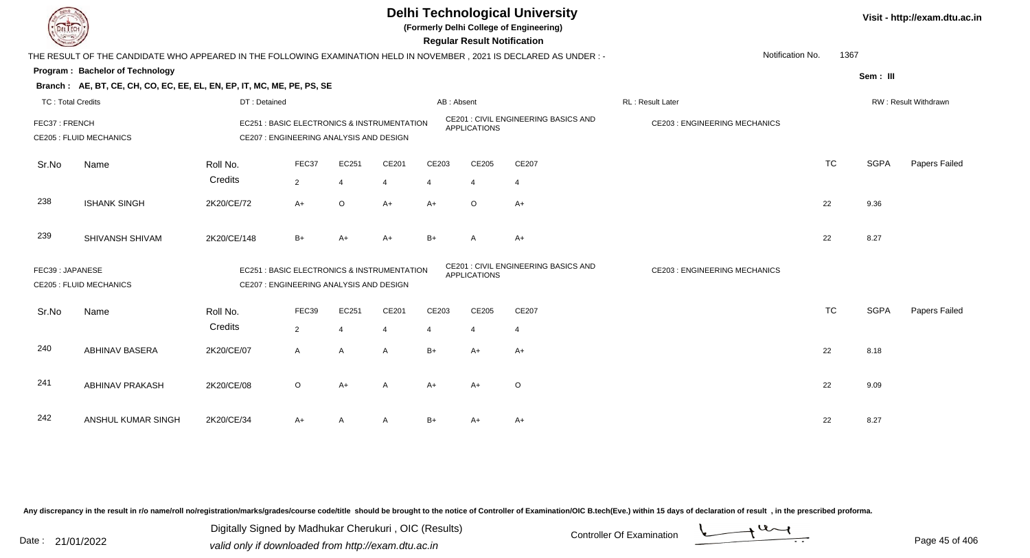

**(Formerly Delhi College of Engineering)**

 **Regular Result Notification**

| <b>Contract of the Contract of the Contract of the Contract of the Contract of The Contract of The Contract of The Contract of The Contract of The Contract of The Contract of The Contract of The Contract of The Contract of T</b> |                                                                                                                      |                                         |                |         |                                             |            | n <del>c</del> yular n <del>c</del> sult notification |                                             |                                     |           |             |                      |
|--------------------------------------------------------------------------------------------------------------------------------------------------------------------------------------------------------------------------------------|----------------------------------------------------------------------------------------------------------------------|-----------------------------------------|----------------|---------|---------------------------------------------|------------|-------------------------------------------------------|---------------------------------------------|-------------------------------------|-----------|-------------|----------------------|
|                                                                                                                                                                                                                                      | THE RESULT OF THE CANDIDATE WHO APPEARED IN THE FOLLOWING EXAMINATION HELD IN NOVEMBER, 2021 IS DECLARED AS UNDER :- |                                         |                |         |                                             |            |                                                       |                                             | Notification No.                    | 1367      |             |                      |
|                                                                                                                                                                                                                                      | Program: Bachelor of Technology                                                                                      |                                         |                |         |                                             |            |                                                       |                                             |                                     |           | Sem: III    |                      |
|                                                                                                                                                                                                                                      | Branch: AE, BT, CE, CH, CO, EC, EE, EL, EN, EP, IT, MC, ME, PE, PS, SE                                               |                                         |                |         |                                             |            |                                                       |                                             |                                     |           |             |                      |
| <b>TC: Total Credits</b>                                                                                                                                                                                                             |                                                                                                                      | DT: Detained                            |                |         |                                             | AB: Absent |                                                       |                                             | RL: Result Later                    |           |             | RW: Result Withdrawn |
| FEC37: FRENCH                                                                                                                                                                                                                        | <b>CE205 : FLUID MECHANICS</b>                                                                                       | CE207 : ENGINEERING ANALYSIS AND DESIGN |                |         | EC251 : BASIC ELECTRONICS & INSTRUMENTATION |            | <b>APPLICATIONS</b>                                   | <b>CE201 : CIVIL ENGINEERING BASICS AND</b> | <b>CE203: ENGINEERING MECHANICS</b> |           |             |                      |
|                                                                                                                                                                                                                                      |                                                                                                                      |                                         |                |         |                                             |            |                                                       |                                             |                                     |           |             |                      |
| Sr.No                                                                                                                                                                                                                                | Name                                                                                                                 | Roll No.                                | FEC37          | EC251   | CE201                                       | CE203      | CE205                                                 | CE207                                       |                                     | <b>TC</b> | <b>SGPA</b> | Papers Failed        |
|                                                                                                                                                                                                                                      |                                                                                                                      | Credits                                 | $\overline{2}$ | 4       | 4                                           |            | 4                                                     | 4                                           |                                     |           |             |                      |
| 238                                                                                                                                                                                                                                  | <b>ISHANK SINGH</b>                                                                                                  | 2K20/CE/72                              | $A+$           | $\circ$ | $A+$                                        | $A+$       | $\circ$                                               | $A+$                                        |                                     | 22        | 9.36        |                      |
| 239                                                                                                                                                                                                                                  | SHIVANSH SHIVAM                                                                                                      | 2K20/CE/148                             | $B+$           | $A+$    | $A+$                                        | $B+$       | A                                                     | $A+$                                        |                                     | 22        | 8.27        |                      |
| FEC39: JAPANESE                                                                                                                                                                                                                      | <b>CE205 : FLUID MECHANICS</b>                                                                                       | CE207 : ENGINEERING ANALYSIS AND DESIGN |                |         | EC251 : BASIC ELECTRONICS & INSTRUMENTATION |            | <b>APPLICATIONS</b>                                   | <b>CE201 : CIVIL ENGINEERING BASICS AND</b> | <b>CE203: ENGINEERING MECHANICS</b> |           |             |                      |
| Sr.No                                                                                                                                                                                                                                | Name                                                                                                                 | Roll No.                                | FEC39          | EC251   | CE201                                       | CE203      | CE205                                                 | CE207                                       |                                     | <b>TC</b> | <b>SGPA</b> | Papers Failed        |
|                                                                                                                                                                                                                                      |                                                                                                                      | Credits                                 | $\overline{2}$ | 4       | 4                                           |            | 4                                                     | 4                                           |                                     |           |             |                      |
| 240                                                                                                                                                                                                                                  | <b>ABHINAV BASERA</b>                                                                                                | 2K20/CE/07                              | $\mathsf{A}$   | A       | A                                           | $B+$       | $A+$                                                  | $A+$                                        |                                     | 22        | 8.18        |                      |
| 241                                                                                                                                                                                                                                  | <b>ABHINAV PRAKASH</b>                                                                                               | 2K20/CE/08                              | $\circ$        | $A+$    | A                                           | $A+$       | $A+$                                                  | $\circ$                                     |                                     | 22        | 9.09        |                      |
| 242                                                                                                                                                                                                                                  | ANSHUL KUMAR SINGH                                                                                                   | 2K20/CE/34                              | $A+$           | A       | A                                           | $B+$       | $A+$                                                  | $A+$                                        |                                     | 22        | 8.27        |                      |

Any discrepancy in the result in r/o name/roll no/registration/marks/grades/course code/title should be brought to the notice of Controller of Examination/OIC B.tech(Eve.) within 15 days of declaration of result, in the pr

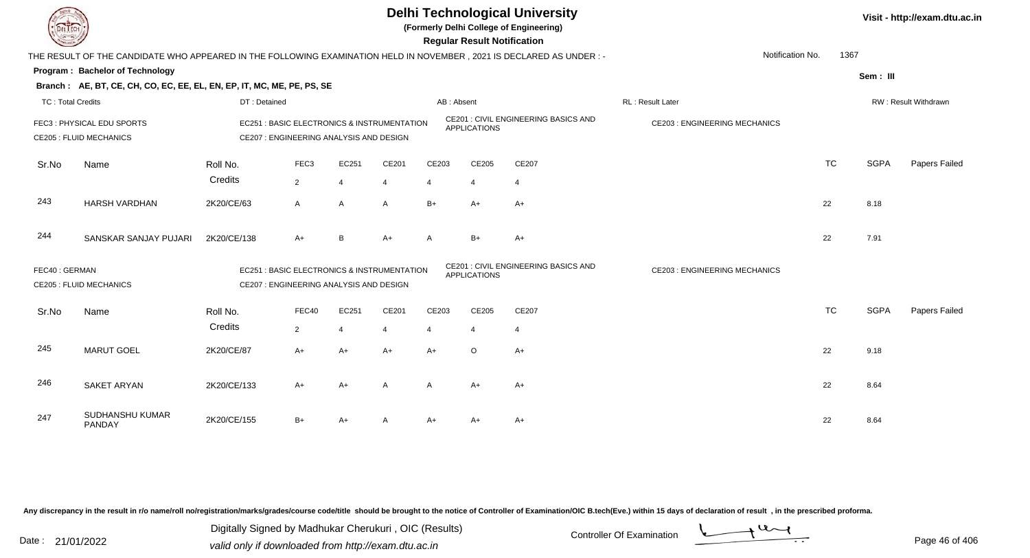

**(Formerly Delhi College of Engineering)**

 **Regular Result Notification**

| <b>Command</b>           |                                                                                                                       |                                         |                  |                |                                             |            | Regular Result Notification |                                             |                                     |           |             |                      |
|--------------------------|-----------------------------------------------------------------------------------------------------------------------|-----------------------------------------|------------------|----------------|---------------------------------------------|------------|-----------------------------|---------------------------------------------|-------------------------------------|-----------|-------------|----------------------|
|                          | THE RESULT OF THE CANDIDATE WHO APPEARED IN THE FOLLOWING EXAMINATION HELD IN NOVEMBER , 2021 IS DECLARED AS UNDER :- |                                         |                  |                |                                             |            |                             |                                             | Notification No.                    | 1367      |             |                      |
|                          | Program: Bachelor of Technology                                                                                       |                                         |                  |                |                                             |            |                             |                                             |                                     |           | Sem: III    |                      |
|                          | Branch: AE, BT, CE, CH, CO, EC, EE, EL, EN, EP, IT, MC, ME, PE, PS, SE                                                |                                         |                  |                |                                             |            |                             |                                             |                                     |           |             |                      |
| <b>TC: Total Credits</b> |                                                                                                                       | DT: Detained                            |                  |                |                                             | AB: Absent |                             |                                             | RL: Result Later                    |           |             | RW: Result Withdrawn |
|                          | FEC3: PHYSICAL EDU SPORTS<br><b>CE205 : FLUID MECHANICS</b>                                                           | CE207 : ENGINEERING ANALYSIS AND DESIGN |                  |                | EC251 : BASIC ELECTRONICS & INSTRUMENTATION |            | <b>APPLICATIONS</b>         | <b>CE201 : CIVIL ENGINEERING BASICS AND</b> | <b>CE203: ENGINEERING MECHANICS</b> |           |             |                      |
| Sr.No                    | Name                                                                                                                  | Roll No.                                | FEC <sub>3</sub> | EC251          | CE201                                       | CE203      | CE205                       | CE207                                       |                                     | <b>TC</b> | <b>SGPA</b> | Papers Failed        |
|                          |                                                                                                                       | Credits                                 | $\overline{2}$   | $\overline{4}$ | $\overline{4}$                              | 4          | 4                           | 4                                           |                                     |           |             |                      |
| 243                      | <b>HARSH VARDHAN</b>                                                                                                  | 2K20/CE/63                              | A                | $\mathsf{A}$   | A                                           | $B+$       | $A+$                        | $A+$                                        |                                     | 22        | 8.18        |                      |
| 244                      | SANSKAR SANJAY PUJARI                                                                                                 | 2K20/CE/138                             | $A+$             | B              | $A+$                                        | A          | $B+$                        | $A+$                                        |                                     | 22        | 7.91        |                      |
| FEC40: GERMAN            | <b>CE205 : FLUID MECHANICS</b>                                                                                        | CE207 : ENGINEERING ANALYSIS AND DESIGN |                  |                | EC251 : BASIC ELECTRONICS & INSTRUMENTATION |            | <b>APPLICATIONS</b>         | CE201 : CIVIL ENGINEERING BASICS AND        | <b>CE203: ENGINEERING MECHANICS</b> |           |             |                      |
| Sr.No                    | Name                                                                                                                  | Roll No.                                | FEC40            | EC251          | CE201                                       | CE203      | CE205                       | CE207                                       |                                     | <b>TC</b> | <b>SGPA</b> | Papers Failed        |
|                          |                                                                                                                       | Credits                                 | $\overline{2}$   | $\overline{4}$ | $\overline{4}$                              |            | 4                           | 4                                           |                                     |           |             |                      |
| 245                      | <b>MARUT GOEL</b>                                                                                                     | 2K20/CE/87                              | $A+$             | $A+$           | $A+$                                        | $A+$       | $\circ$                     | $A+$                                        |                                     | 22        | 9.18        |                      |
| 246                      | <b>SAKET ARYAN</b>                                                                                                    | 2K20/CE/133                             | $A+$             | $A+$           | A                                           | A          | $A+$                        | $A+$                                        |                                     | 22        | 8.64        |                      |
| 247                      | SUDHANSHU KUMAR<br>PANDAY                                                                                             | 2K20/CE/155                             | $B+$             | $A+$           | A                                           | $A+$       | $A+$                        | $A+$                                        |                                     | 22        | 8.64        |                      |

Any discrepancy in the result in r/o name/roll no/registration/marks/grades/course code/title should be brought to the notice of Controller of Examination/OIC B.tech(Eve.) within 15 days of declaration of result, in the pr

Date : 21/01/2022 Digital Digital of Microsofted Chemical Controller Of Examination Determination Page 46 of 40 Digitally Signed by Madhukar Cherukuri , OIC (Results)

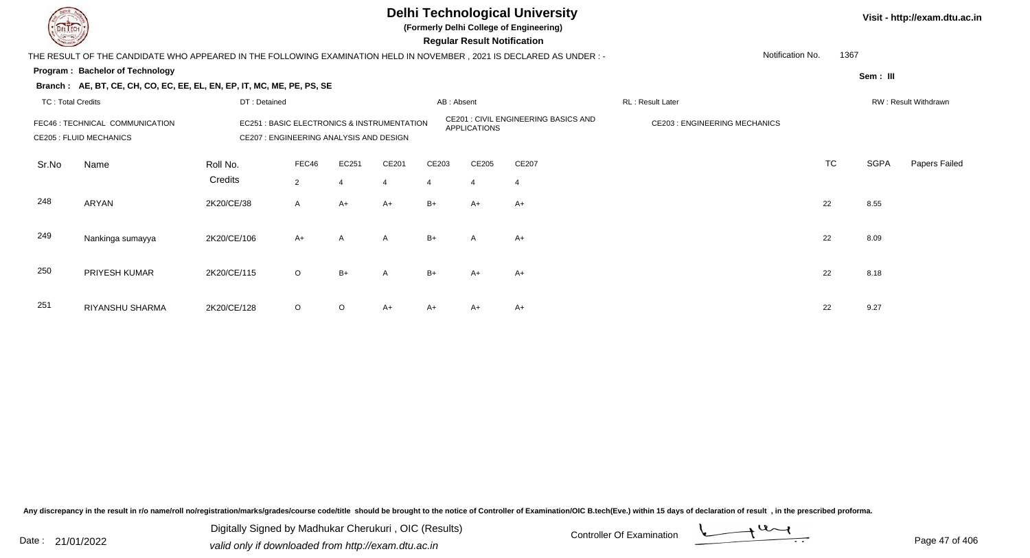

**(Formerly Delhi College of Engineering)**

 **Regular Result Notification**

| $\sim$                   |                                                                                                                                                                                                     |              |                |            |                         |            | <b>Regular Result Notification</b> |                                      |                                     |           |          |                      |
|--------------------------|-----------------------------------------------------------------------------------------------------------------------------------------------------------------------------------------------------|--------------|----------------|------------|-------------------------|------------|------------------------------------|--------------------------------------|-------------------------------------|-----------|----------|----------------------|
|                          | THE RESULT OF THE CANDIDATE WHO APPEARED IN THE FOLLOWING EXAMINATION HELD IN NOVEMBER , 2021 IS DECLARED AS UNDER :-                                                                               |              |                |            |                         |            |                                    |                                      | Notification No.                    | 1367      |          |                      |
|                          | Program: Bachelor of Technology                                                                                                                                                                     |              |                |            |                         |            |                                    |                                      |                                     |           | Sem: III |                      |
|                          | Branch: AE, BT, CE, CH, CO, EC, EE, EL, EN, EP, IT, MC, ME, PE, PS, SE                                                                                                                              |              |                |            |                         |            |                                    |                                      |                                     |           |          |                      |
| <b>TC: Total Credits</b> |                                                                                                                                                                                                     | DT: Detained |                |            |                         | AB: Absent |                                    |                                      | RL: Result Later                    |           |          | RW: Result Withdrawn |
|                          | EC251 : BASIC ELECTRONICS & INSTRUMENTATION<br>FEC46 : TECHNICAL COMMUNICATION<br>CE207 : ENGINEERING ANALYSIS AND DESIGN<br><b>CE205 : FLUID MECHANICS</b><br>FEC46<br>Roll No.<br>Name<br>Credits |              |                |            |                         |            | APPLICATIONS                       | CE201 : CIVIL ENGINEERING BASICS AND | <b>CE203: ENGINEERING MECHANICS</b> |           |          |                      |
| Sr.No                    |                                                                                                                                                                                                     |              | $\overline{2}$ | EC251<br>4 | CE201<br>$\overline{4}$ | CE203<br>4 | CE205<br>4                         | CE207<br>4                           |                                     | <b>TC</b> | SGPA     | Papers Failed        |
| 248                      | ARYAN                                                                                                                                                                                               | 2K20/CE/38   | $\mathsf{A}$   | A+         | $A+$                    | $B+$       | $A+$                               | $A+$                                 |                                     | 22        | 8.55     |                      |
| 249                      | Nankinga sumayya                                                                                                                                                                                    | 2K20/CE/106  | $A+$           | A          | A                       | $B+$       | A                                  | $A+$                                 |                                     | 22        | 8.09     |                      |
| 250                      | PRIYESH KUMAR                                                                                                                                                                                       | 2K20/CE/115  | $\circ$        | $B+$       | A                       | $B+$       | $A+$                               | $A+$                                 |                                     | 22        | 8.18     |                      |
| 251                      | RIYANSHU SHARMA                                                                                                                                                                                     | 2K20/CE/128  | $\circ$        | $\circ$    | $A+$                    | A+         | $A+$                               | $A+$                                 |                                     | 22        | 9.27     |                      |

Any discrepancy in the result in r/o name/roll no/registration/marks/grades/course code/title should be brought to the notice of Controller of Examination/OIC B.tech(Eve.) within 15 days of declaration of result, in the pr

Date : 21/01/2022 Digital Digital of Microsofted Chemical Controller Of Examination Determination Page 47 of 40 Digitally Signed by Madhukar Cherukuri , OIC (Results)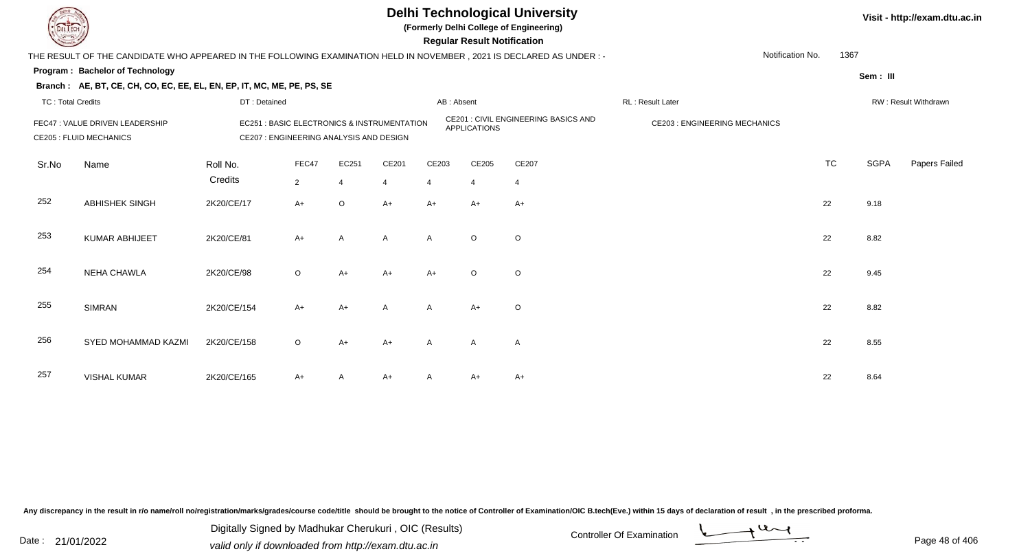

**(Formerly Delhi College of Engineering)**

 **Regular Result Notification**

| $\sim$                   |                                                                                                                     |              |                                         |                         |                                                       |              | neguiai nesuit notilitation |                                      |                                     |                  |           |             |                      |
|--------------------------|---------------------------------------------------------------------------------------------------------------------|--------------|-----------------------------------------|-------------------------|-------------------------------------------------------|--------------|-----------------------------|--------------------------------------|-------------------------------------|------------------|-----------|-------------|----------------------|
|                          | THE RESULT OF THE CANDIDATE WHO APPEARED IN THE FOLLOWING EXAMINATION HELD IN NOVEMBER, 2021 IS DECLARED AS UNDER:- |              |                                         |                         |                                                       |              |                             |                                      |                                     | Notification No. | 1367      |             |                      |
|                          | Program: Bachelor of Technology                                                                                     |              |                                         |                         |                                                       |              |                             |                                      |                                     |                  |           | Sem: III    |                      |
|                          | Branch: AE, BT, CE, CH, CO, EC, EE, EL, EN, EP, IT, MC, ME, PE, PS, SE                                              |              |                                         |                         |                                                       |              |                             |                                      |                                     |                  |           |             |                      |
| <b>TC: Total Credits</b> |                                                                                                                     | DT: Detained |                                         |                         |                                                       | AB: Absent   |                             |                                      | RL : Result Later                   |                  |           |             | RW: Result Withdrawn |
|                          | FEC47 : VALUE DRIVEN LEADERSHIP<br><b>CE205 : FLUID MECHANICS</b>                                                   |              | CE207 : ENGINEERING ANALYSIS AND DESIGN |                         | <b>EC251: BASIC ELECTRONICS &amp; INSTRUMENTATION</b> |              | <b>APPLICATIONS</b>         | CE201 : CIVIL ENGINEERING BASICS AND | <b>CE203: ENGINEERING MECHANICS</b> |                  |           |             |                      |
| Sr.No                    | Name                                                                                                                | Roll No.     | FEC47                                   | EC251                   | CE201                                                 | CE203        | CE205                       | CE207                                |                                     |                  | <b>TC</b> | <b>SGPA</b> | Papers Failed        |
|                          |                                                                                                                     | Credits      | $\overline{2}$                          | $\overline{\mathbf{A}}$ | $\overline{4}$                                        | 4            | $\overline{4}$              | $\overline{4}$                       |                                     |                  |           |             |                      |
| 252                      | <b>ABHISHEK SINGH</b>                                                                                               | 2K20/CE/17   | $A+$                                    | $\circ$                 | $A+$                                                  | $A+$         | $A+$                        | $A+$                                 |                                     |                  | 22        | 9.18        |                      |
| 253                      | <b>KUMAR ABHIJEET</b>                                                                                               | 2K20/CE/81   | $A+$                                    | A                       | $\mathsf{A}$                                          | A            | $\circ$                     | O                                    |                                     |                  | 22        | 8.82        |                      |
| 254                      | <b>NEHA CHAWLA</b>                                                                                                  | 2K20/CE/98   | $\circ$                                 | $A+$                    | $A+$                                                  | A+           | $\circ$                     | $\circ$                              |                                     |                  | 22        | 9.45        |                      |
| 255                      | <b>SIMRAN</b>                                                                                                       | 2K20/CE/154  | $A+$                                    | $A+$                    | $\mathsf{A}$                                          | A            | $A+$                        | O                                    |                                     |                  | 22        | 8.82        |                      |
| 256                      | SYED MOHAMMAD KAZMI                                                                                                 | 2K20/CE/158  | $\circ$                                 | A+                      | $A+$                                                  | A            | A                           | A                                    |                                     |                  | 22        | 8.55        |                      |
| 257                      | <b>VISHAL KUMAR</b>                                                                                                 | 2K20/CE/165  | $A+$                                    |                         | A+                                                    | $\mathsf{A}$ | A+                          | $A+$                                 |                                     |                  | 22        | 8.64        |                      |

Any discrepancy in the result in r/o name/roll no/registration/marks/grades/course code/title should be brought to the notice of Controller of Examination/OIC B.tech(Eve.) within 15 days of declaration of result, in the pr

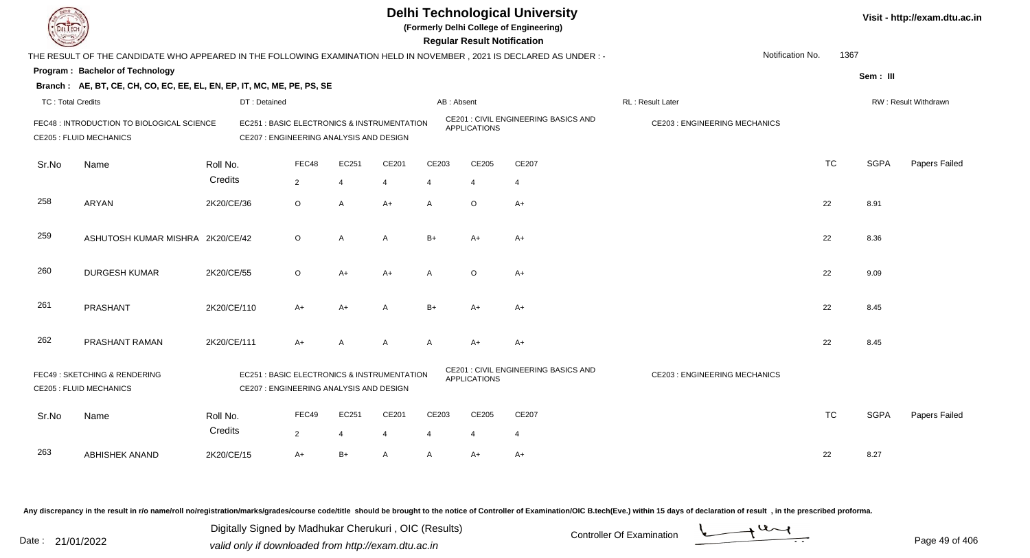**(Formerly Delhi College of Engineering)**

 **Regular Result Notification**

| <b>Country</b>           |                                                                                                                     |                     |                                                                                        |                         |                |                         |                         | <b>Regular Result Notification</b> |                                      |                                      |                  |           |             |                      |
|--------------------------|---------------------------------------------------------------------------------------------------------------------|---------------------|----------------------------------------------------------------------------------------|-------------------------|----------------|-------------------------|-------------------------|------------------------------------|--------------------------------------|--------------------------------------|------------------|-----------|-------------|----------------------|
|                          | THE RESULT OF THE CANDIDATE WHO APPEARED IN THE FOLLOWING EXAMINATION HELD IN NOVEMBER, 2021 IS DECLARED AS UNDER:- |                     |                                                                                        |                         |                |                         |                         |                                    |                                      |                                      | Notification No. | 1367      |             |                      |
|                          | Program: Bachelor of Technology                                                                                     |                     |                                                                                        |                         |                |                         |                         |                                    |                                      |                                      |                  |           | Sem: III    |                      |
|                          | Branch: AE, BT, CE, CH, CO, EC, EE, EL, EN, EP, IT, MC, ME, PE, PS, SE                                              |                     |                                                                                        |                         |                |                         |                         |                                    |                                      |                                      |                  |           |             |                      |
| <b>TC: Total Credits</b> |                                                                                                                     |                     | DT: Detained                                                                           |                         |                |                         | AB: Absent              |                                    |                                      | RL: Result Later                     |                  |           |             | RW: Result Withdrawn |
|                          | FEC48 : INTRODUCTION TO BIOLOGICAL SCIENCE<br><b>CE205 : FLUID MECHANICS</b>                                        |                     | EC251 : BASIC ELECTRONICS & INSTRUMENTATION<br>CE207 : ENGINEERING ANALYSIS AND DESIGN |                         |                |                         |                         | <b>APPLICATIONS</b>                | CE201 : CIVIL ENGINEERING BASICS AND | <b>CE203 : ENGINEERING MECHANICS</b> |                  |           |             |                      |
| Sr.No                    | Name                                                                                                                | Roll No.<br>Credits |                                                                                        | FEC48<br>$\overline{2}$ | EC251<br>4     | CE201<br>$\overline{4}$ | CE203<br>4              | CE205<br>$\overline{4}$            | CE207<br>$\overline{4}$              |                                      |                  | <b>TC</b> | <b>SGPA</b> | Papers Failed        |
| 258                      | ARYAN                                                                                                               | 2K20/CE/36          |                                                                                        | $\circ$                 | A              | $A+$                    | A                       | $\circ$                            | $A+$                                 |                                      |                  | 22        | 8.91        |                      |
| 259                      | ASHUTOSH KUMAR MISHRA 2K20/CE/42                                                                                    |                     |                                                                                        | $\circ$                 | $\overline{A}$ | A                       | $B+$                    | $A+$                               | $A+$                                 |                                      |                  | 22        | 8.36        |                      |
| 260                      | <b>DURGESH KUMAR</b>                                                                                                | 2K20/CE/55          |                                                                                        | $\circ$                 | $A+$           | $A+$                    | A                       | $\circ$                            | $A+$                                 |                                      |                  | 22        | 9.09        |                      |
| 261                      | PRASHANT                                                                                                            | 2K20/CE/110         |                                                                                        | $A+$                    | A+             | A                       | $B+$                    | A+                                 | A+                                   |                                      |                  | 22        | 8.45        |                      |
| 262                      | PRASHANT RAMAN                                                                                                      | 2K20/CE/111         |                                                                                        | $A+$                    | A              | A                       | $\mathsf{A}$            | $A+$                               | $A+$                                 |                                      |                  | 22        | 8.45        |                      |
|                          | FEC49: SKETCHING & RENDERING<br><b>CE205 : FLUID MECHANICS</b>                                                      |                     | EC251 : BASIC ELECTRONICS & INSTRUMENTATION<br>CE207 : ENGINEERING ANALYSIS AND DESIGN |                         |                |                         |                         | <b>APPLICATIONS</b>                | CE201 : CIVIL ENGINEERING BASICS AND | <b>CE203 : ENGINEERING MECHANICS</b> |                  |           |             |                      |
| Sr.No                    | Name                                                                                                                | Roll No.<br>Credits |                                                                                        | FEC49<br>$\overline{2}$ | EC251<br>4     | CE201<br>$\overline{4}$ | CE203<br>$\overline{4}$ | CE205<br>$\overline{4}$            | CE207<br>$\overline{4}$              |                                      |                  | <b>TC</b> | <b>SGPA</b> | Papers Failed        |
| 263                      | <b>ABHISHEK ANAND</b>                                                                                               | 2K20/CE/15          |                                                                                        | $A+$                    | $B+$           | A                       | A                       | $A+$                               | $A+$                                 |                                      |                  | 22        | 8.27        |                      |

Any discrepancy in the result in r/o name/roll no/registration/marks/grades/course code/title should be brought to the notice of Controller of Examination/OIC B.tech(Eve.) within 15 days of declaration of result, in the pr

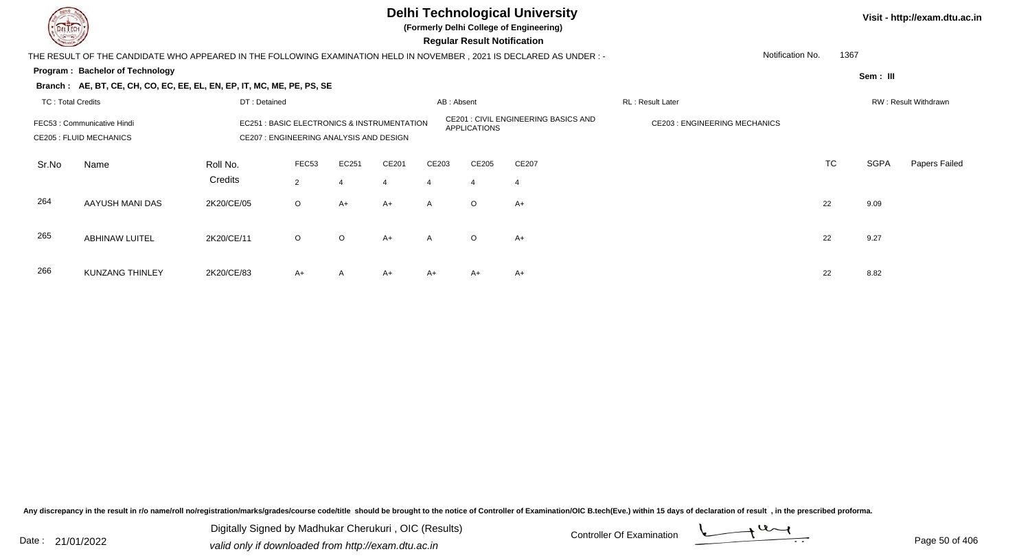

**(Formerly Delhi College of Engineering)**

 **Regular Result Notification**

| <b>Course Lines</b>                                                                                                                                              |                                                                                                                       |              |                   |         |                |              | Regular Result Notification |                                             |                                     |           |             |                      |
|------------------------------------------------------------------------------------------------------------------------------------------------------------------|-----------------------------------------------------------------------------------------------------------------------|--------------|-------------------|---------|----------------|--------------|-----------------------------|---------------------------------------------|-------------------------------------|-----------|-------------|----------------------|
|                                                                                                                                                                  | THE RESULT OF THE CANDIDATE WHO APPEARED IN THE FOLLOWING EXAMINATION HELD IN NOVEMBER, 2021 IS DECLARED AS UNDER : - |              |                   |         |                |              |                             |                                             | Notification No.                    | 1367      |             |                      |
|                                                                                                                                                                  | Program: Bachelor of Technology                                                                                       |              |                   |         |                |              |                             |                                             |                                     |           | Sem: III    |                      |
|                                                                                                                                                                  | Branch: AE, BT, CE, CH, CO, EC, EE, EL, EN, EP, IT, MC, ME, PE, PS, SE                                                |              |                   |         |                |              |                             |                                             |                                     |           |             |                      |
| TC: Total Credits                                                                                                                                                |                                                                                                                       | DT: Detained |                   |         |                | AB: Absent   |                             |                                             | RL: Result Later                    |           |             | RW: Result Withdrawn |
| <b>EC251: BASIC ELECTRONICS &amp; INSTRUMENTATION</b><br>FEC53: Communicative Hindi<br><b>CE205 : FLUID MECHANICS</b><br>CE207 : ENGINEERING ANALYSIS AND DESIGN |                                                                                                                       |              |                   |         |                |              | APPLICATIONS                | <b>CE201 : CIVIL ENGINEERING BASICS AND</b> | <b>CE203: ENGINEERING MECHANICS</b> |           |             |                      |
| Sr.No                                                                                                                                                            | Name                                                                                                                  | Roll No.     | FEC <sub>53</sub> | EC251   | CE201          | CE203        | CE205                       | CE207                                       |                                     | <b>TC</b> | <b>SGPA</b> | Papers Failed        |
|                                                                                                                                                                  |                                                                                                                       | Credits      | $\overline{2}$    |         | $\overline{4}$ | 4            | $\overline{4}$              |                                             |                                     |           |             |                      |
| 264                                                                                                                                                              | AAYUSH MANI DAS                                                                                                       | 2K20/CE/05   | $\circ$           | $A+$    | $A+$           | $\mathsf{A}$ | $\circ$                     | $A+$                                        |                                     | 22        | 9.09        |                      |
| 265                                                                                                                                                              | <b>ABHINAW LUITEL</b>                                                                                                 | 2K20/CE/11   | $\circ$           | $\circ$ | $A+$           | $\mathsf{A}$ | $\circ$                     | $A+$                                        |                                     | 22        | 9.27        |                      |
| 266                                                                                                                                                              | <b>KUNZANG THINLEY</b>                                                                                                | 2K20/CE/83   | $A+$              | A       | $A+$           | A+           | A+                          | A+                                          |                                     | 22        | 8.82        |                      |

2K20/CE/83 A+ <sup>A</sup> A+ A+ A+ A+ <sup>22</sup> 8.82

Any discrepancy in the result in r/o name/roll no/registration/marks/grades/course code/title should be brought to the notice of Controller of Examination/OIC B.tech(Eve.) within 15 days of declaration of result, in the pr

Date : 21/01/2022 Digital Digital of Microsofted Chemical Controller Of Examination Determination Page 50 of 40 Digitally Signed by Madhukar Cherukuri , OIC (Results)

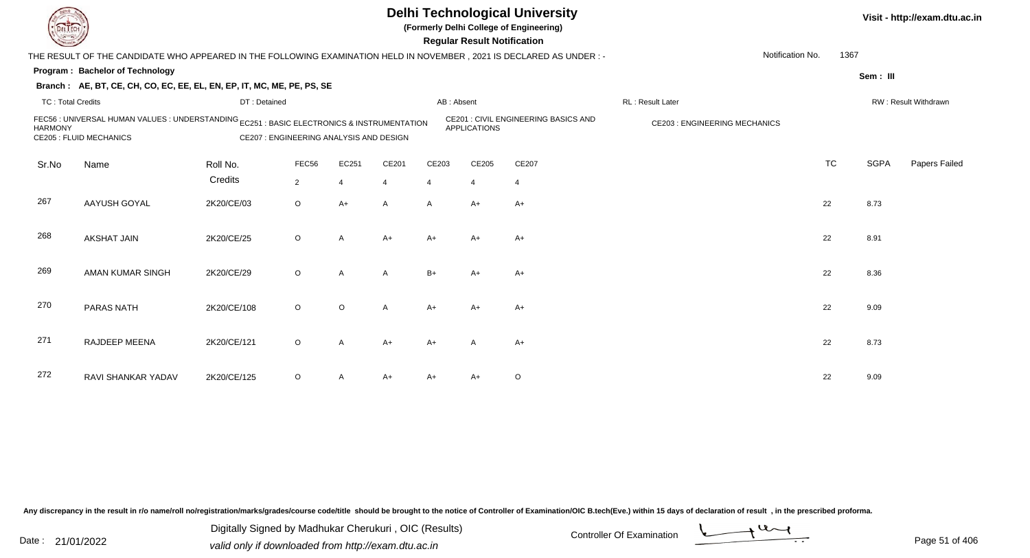

**(Formerly Delhi College of Engineering)**

 **Regular Result Notification**

**Visit - http://exam.dtu.ac.in**

| <b>Consumer /</b>        |                                                                                                                                                                         |              |                |              |                |              | <b>Regular Result Notification</b> |                                             |                                      |           |             |                      |
|--------------------------|-------------------------------------------------------------------------------------------------------------------------------------------------------------------------|--------------|----------------|--------------|----------------|--------------|------------------------------------|---------------------------------------------|--------------------------------------|-----------|-------------|----------------------|
|                          | THE RESULT OF THE CANDIDATE WHO APPEARED IN THE FOLLOWING EXAMINATION HELD IN NOVEMBER, 2021 IS DECLARED AS UNDER :-                                                    |              |                |              |                |              |                                    |                                             | Notification No.                     | 1367      |             |                      |
|                          | Program: Bachelor of Technology                                                                                                                                         |              |                |              |                |              |                                    |                                             |                                      |           | Sem: III    |                      |
|                          | Branch: AE, BT, CE, CH, CO, EC, EE, EL, EN, EP, IT, MC, ME, PE, PS, SE                                                                                                  |              |                |              |                |              |                                    |                                             |                                      |           |             |                      |
| <b>TC: Total Credits</b> |                                                                                                                                                                         | DT: Detained |                |              |                | AB: Absent   |                                    |                                             | RL: Result Later                     |           |             | RW: Result Withdrawn |
| <b>HARMONY</b>           | FEC56 : UNIVERSAL HUMAN VALUES : UNDERSTANDING EC251 : BASIC ELECTRONICS & INSTRUMENTATION<br><b>CE205 : FLUID MECHANICS</b><br>CE207 : ENGINEERING ANALYSIS AND DESIGN |              |                |              |                |              | <b>APPLICATIONS</b>                | <b>CE201 : CIVIL ENGINEERING BASICS AND</b> | <b>CE203 : ENGINEERING MECHANICS</b> |           |             |                      |
| Sr.No                    | Name                                                                                                                                                                    | Roll No.     | FEC56          | EC251        | CE201          | CE203        | CE205                              | CE207                                       |                                      | <b>TC</b> | <b>SGPA</b> | Papers Failed        |
|                          |                                                                                                                                                                         | Credits      | $\overline{2}$ | 4            | $\overline{4}$ | 4            | $\overline{4}$                     | $\overline{4}$                              |                                      |           |             |                      |
| 267                      | AAYUSH GOYAL                                                                                                                                                            | 2K20/CE/03   | $\circ$        | $A+$         | A              | $\mathsf{A}$ | $A+$                               | $A+$                                        |                                      | 22        | 8.73        |                      |
| 268                      | <b>AKSHAT JAIN</b>                                                                                                                                                      | 2K20/CE/25   | $\circ$        | A            | $A+$           | A+           | A+                                 | A+                                          |                                      | 22        | 8.91        |                      |
| 269                      | AMAN KUMAR SINGH                                                                                                                                                        | 2K20/CE/29   | $\circ$        | $\mathsf{A}$ | Α              | $B+$         | $A+$                               | $A+$                                        |                                      | 22        | 8.36        |                      |
| 270                      | <b>PARAS NATH</b>                                                                                                                                                       | 2K20/CE/108  | $\circ$        | $\circ$      | Α              | $A+$         | $A+$                               | $A+$                                        |                                      | 22        | 9.09        |                      |
| 271                      | RAJDEEP MEENA                                                                                                                                                           | 2K20/CE/121  | $\circ$        | A            | $A+$           | A+           | A                                  | $A+$                                        |                                      | 22        | 8.73        |                      |
| 272                      | RAVI SHANKAR YADAV                                                                                                                                                      | 2K20/CE/125  | $\circ$        |              | $A+$           | $A+$         | A+                                 | $\circ$                                     |                                      | 22        | 9.09        |                      |

Any discrepancy in the result in r/o name/roll no/registration/marks/grades/course code/title should be brought to the notice of Controller of Examination/OIC B.tech(Eve.) within 15 days of declaration of result, in the pr

Date : 21/01/2022 Digital Digital of Microsofted Chemical Controller Of Examination Determination Page 51 of 40 Digitally Signed by Madhukar Cherukuri , OIC (Results)

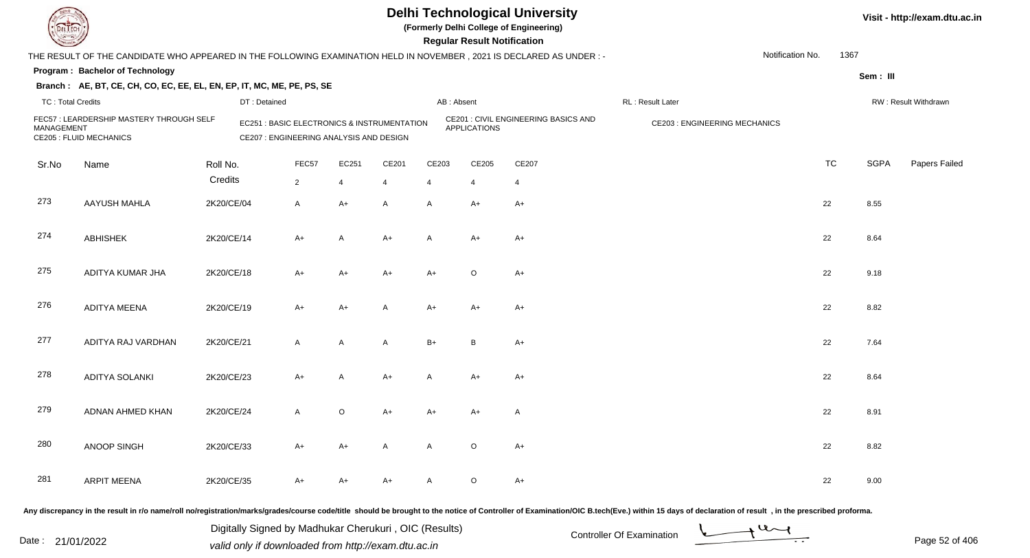

**(Formerly Delhi College of Engineering)**

| <b>Courses of the Courses of the United States</b> |                                                                                                                     |            |                                                                                                  |                |                |              | <b>Regular Result Notification</b> |                                      |                                     |           |             |                      |
|----------------------------------------------------|---------------------------------------------------------------------------------------------------------------------|------------|--------------------------------------------------------------------------------------------------|----------------|----------------|--------------|------------------------------------|--------------------------------------|-------------------------------------|-----------|-------------|----------------------|
|                                                    | THE RESULT OF THE CANDIDATE WHO APPEARED IN THE FOLLOWING EXAMINATION HELD IN NOVEMBER, 2021 IS DECLARED AS UNDER:- |            |                                                                                                  |                |                |              |                                    |                                      | Notification No.                    | 1367      |             |                      |
|                                                    | Program: Bachelor of Technology                                                                                     |            |                                                                                                  |                |                |              |                                    |                                      |                                     |           | Sem: III    |                      |
|                                                    | Branch: AE, BT, CE, CH, CO, EC, EE, EL, EN, EP, IT, MC, ME, PE, PS, SE                                              |            |                                                                                                  |                |                |              |                                    |                                      |                                     |           |             |                      |
| <b>TC: Total Credits</b>                           |                                                                                                                     |            | DT: Detained                                                                                     |                |                |              | AB: Absent                         |                                      | RL : Result Later                   |           |             | RW: Result Withdrawn |
| <b>MANAGEMENT</b>                                  | FEC57: LEARDERSHIP MASTERY THROUGH SELF<br><b>CE205 : FLUID MECHANICS</b>                                           |            | <b>EC251: BASIC ELECTRONICS &amp; INSTRUMENTATION</b><br>CE207 : ENGINEERING ANALYSIS AND DESIGN |                |                |              | <b>APPLICATIONS</b>                | CE201 : CIVIL ENGINEERING BASICS AND | <b>CE203: ENGINEERING MECHANICS</b> |           |             |                      |
| Sr.No                                              | Name                                                                                                                | Roll No.   | FEC57                                                                                            | EC251          | CE201          | CE203        | CE205                              | CE207                                |                                     | <b>TC</b> | <b>SGPA</b> | Papers Failed        |
|                                                    |                                                                                                                     | Credits    | $\overline{2}$                                                                                   | $\overline{4}$ | $\overline{4}$ | 4            | 4                                  | $\overline{4}$                       |                                     |           |             |                      |
| 273                                                | <b>AAYUSH MAHLA</b>                                                                                                 | 2K20/CE/04 | $\mathsf{A}$                                                                                     | $A+$           | $\mathsf{A}$   | A            | $A+$                               | $A+$                                 |                                     | 22        | 8.55        |                      |
| 274                                                | <b>ABHISHEK</b>                                                                                                     | 2K20/CE/14 | $A+$                                                                                             | $\overline{A}$ | $A+$           | $\mathsf{A}$ | $A+$                               | $A+$                                 |                                     | 22        | 8.64        |                      |
| 275                                                | ADITYA KUMAR JHA                                                                                                    | 2K20/CE/18 | $A+$                                                                                             | $A+$           | $A+$           | $A+$         | $\circ$                            | $A+$                                 |                                     | 22        | 9.18        |                      |
| 276                                                | <b>ADITYA MEENA</b>                                                                                                 | 2K20/CE/19 | $A+$                                                                                             | $A+$           | A              | $A+$         | $A+$                               | $A+$                                 |                                     | 22        | 8.82        |                      |
| 277                                                | ADITYA RAJ VARDHAN                                                                                                  | 2K20/CE/21 | $\mathsf{A}$                                                                                     | A              | A              | $B+$         | B                                  | $A+$                                 |                                     | 22        | 7.64        |                      |
| 278                                                | ADITYA SOLANKI                                                                                                      | 2K20/CE/23 | $A+$                                                                                             | A              | $A+$           | $\mathsf{A}$ | $A+$                               | $A+$                                 |                                     | 22        | 8.64        |                      |
| 279                                                | ADNAN AHMED KHAN                                                                                                    | 2K20/CE/24 | $\mathsf{A}$                                                                                     | $\circ$        | $A+$           | $A+$         | $A+$                               | A                                    |                                     | 22        | 8.91        |                      |
| 280                                                | ANOOP SINGH                                                                                                         | 2K20/CE/33 | $A+$                                                                                             | $A+$           | $\mathsf{A}$   | $\mathsf{A}$ | $\circ$                            | $A+$                                 |                                     | 22        | 8.82        |                      |
| 281                                                | <b>ARPIT MEENA</b>                                                                                                  | 2K20/CE/35 | $A+$                                                                                             | $A+$           | A+             | A            | $\circ$                            | A+                                   |                                     | 22        | 9.00        |                      |
|                                                    |                                                                                                                     |            |                                                                                                  |                |                |              |                                    |                                      |                                     |           |             |                      |

Any discrepancy in the result in r/o name/roll no/registration/marks/grades/course code/title should be brought to the notice of Controller of Examination/OIC B.tech(Eve.) within 15 days of declaration of result, in the pr

Date : 21/01/2022 Digital Digital of Microsofted Chemical Controller Of Examination Determination Page 52 of 40 Digitally Signed by Madhukar Cherukuri , OIC (Results)

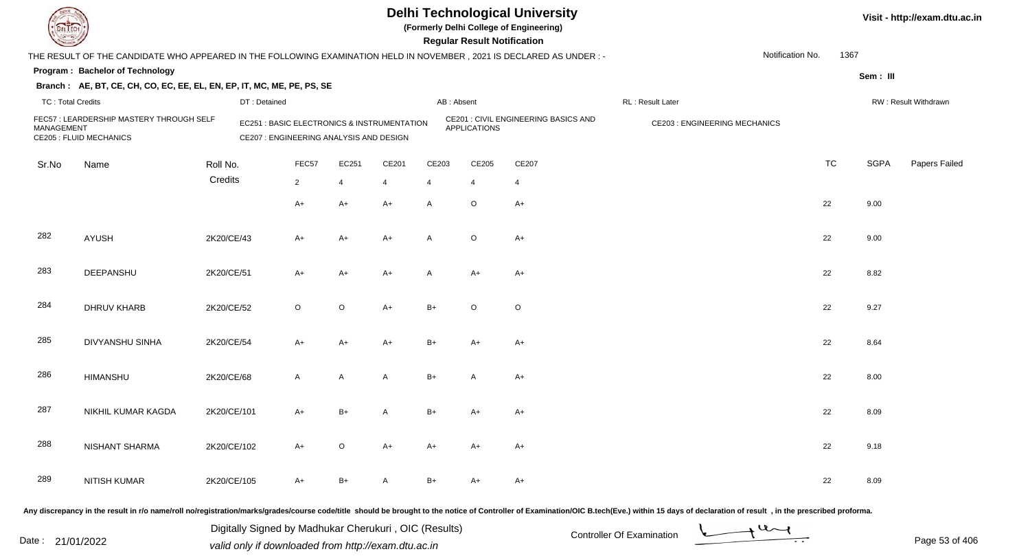

**(Formerly Delhi College of Engineering)**

**Visit - http://exam.dtu.ac.in**

| <b>Same of South Of Strains</b> |                                                                                                                       |              |                                                                                        |         |       |              | <b>Regular Result Notification</b> |                                      |                                                                                                                                                                                                                                |           |             |                      |
|---------------------------------|-----------------------------------------------------------------------------------------------------------------------|--------------|----------------------------------------------------------------------------------------|---------|-------|--------------|------------------------------------|--------------------------------------|--------------------------------------------------------------------------------------------------------------------------------------------------------------------------------------------------------------------------------|-----------|-------------|----------------------|
|                                 | THE RESULT OF THE CANDIDATE WHO APPEARED IN THE FOLLOWING EXAMINATION HELD IN NOVEMBER, 2021 IS DECLARED AS UNDER : - |              |                                                                                        |         |       |              |                                    |                                      | Notification No.                                                                                                                                                                                                               | 1367      |             |                      |
|                                 | Program: Bachelor of Technology                                                                                       |              |                                                                                        |         |       |              |                                    |                                      |                                                                                                                                                                                                                                |           | Sem: III    |                      |
|                                 | Branch: AE, BT, CE, CH, CO, EC, EE, EL, EN, EP, IT, MC, ME, PE, PS, SE                                                |              |                                                                                        |         |       |              |                                    |                                      |                                                                                                                                                                                                                                |           |             |                      |
| <b>TC: Total Credits</b>        |                                                                                                                       | DT: Detained |                                                                                        |         |       |              | AB: Absent                         |                                      | RL: Result Later                                                                                                                                                                                                               |           |             | RW: Result Withdrawn |
| MANAGEMENT                      | FEC57: LEARDERSHIP MASTERY THROUGH SELF<br><b>CE205 : FLUID MECHANICS</b>                                             |              | EC251 : BASIC ELECTRONICS & INSTRUMENTATION<br>CE207 : ENGINEERING ANALYSIS AND DESIGN |         |       |              | <b>APPLICATIONS</b>                | CE201 : CIVIL ENGINEERING BASICS AND | <b>CE203: ENGINEERING MECHANICS</b>                                                                                                                                                                                            |           |             |                      |
| Sr.No                           | Name                                                                                                                  | Roll No.     | FEC57                                                                                  | EC251   | CE201 | CE203        | CE205                              | CE207                                |                                                                                                                                                                                                                                | <b>TC</b> | <b>SGPA</b> | Papers Failed        |
|                                 |                                                                                                                       | Credits      | $\overline{2}$                                                                         | 4       | 4     | 4            | 4                                  | 4                                    |                                                                                                                                                                                                                                |           |             |                      |
|                                 |                                                                                                                       |              | $A+$                                                                                   | $A+$    | $A+$  | $\mathsf{A}$ | $\mathsf O$                        | $A+$                                 |                                                                                                                                                                                                                                | 22        | 9.00        |                      |
| 282                             | AYUSH                                                                                                                 | 2K20/CE/43   | A+                                                                                     | A+      | $A+$  | $\mathsf{A}$ | $\mathsf O$                        | $A+$                                 |                                                                                                                                                                                                                                | 22        | 9.00        |                      |
| 283                             | DEEPANSHU                                                                                                             | 2K20/CE/51   | A+                                                                                     | $A+$    | A+    | $\mathsf{A}$ | A+                                 | $A+$                                 |                                                                                                                                                                                                                                | 22        | 8.82        |                      |
| 284                             | <b>DHRUV KHARB</b>                                                                                                    | 2K20/CE/52   | $\circ$                                                                                | $\circ$ | A+    | $B+$         | $\circ$                            | $\circ$                              |                                                                                                                                                                                                                                | 22        | 9.27        |                      |
| 285                             | <b>DIVYANSHU SINHA</b>                                                                                                | 2K20/CE/54   | $A+$                                                                                   | $A+$    | $A+$  | $B+$         | $A+$                               | $A+$                                 |                                                                                                                                                                                                                                | 22        | 8.64        |                      |
| 286                             | HIMANSHU                                                                                                              | 2K20/CE/68   | $\mathsf{A}$                                                                           | A       | A     | $B+$         | A                                  | $A+$                                 |                                                                                                                                                                                                                                | 22        | 8.00        |                      |
| 287                             | NIKHIL KUMAR KAGDA                                                                                                    | 2K20/CE/101  | A+                                                                                     | $B+$    | A     | $B+$         | A+                                 | $A+$                                 |                                                                                                                                                                                                                                | 22        | 8.09        |                      |
| 288                             | <b>NISHANT SHARMA</b>                                                                                                 | 2K20/CE/102  | A+                                                                                     | $\circ$ | $A+$  | $A+$         | A+                                 | A+                                   |                                                                                                                                                                                                                                | 22        | 9.18        |                      |
| 289                             | NITISH KUMAR                                                                                                          | 2K20/CE/105  | A+                                                                                     | $B+$    | A     | B+           | A+                                 | $A+$                                 |                                                                                                                                                                                                                                | 22        | 8.09        |                      |
|                                 |                                                                                                                       |              |                                                                                        |         |       |              |                                    |                                      | Any discrepancy in the result in r/o name/roll no/registration/marks/grades/course code/title should be brought to the notice of Controller of Examination/OIC B.tech(Eve.) within 15 days of declaration of result , in the p |           |             |                      |

Date : 21/01/2022 Digital Digital of Microsofted Chemical Controller Of Examination Determination Page 53 of 40 Digitally Signed by Madhukar Cherukuri , OIC (Results)

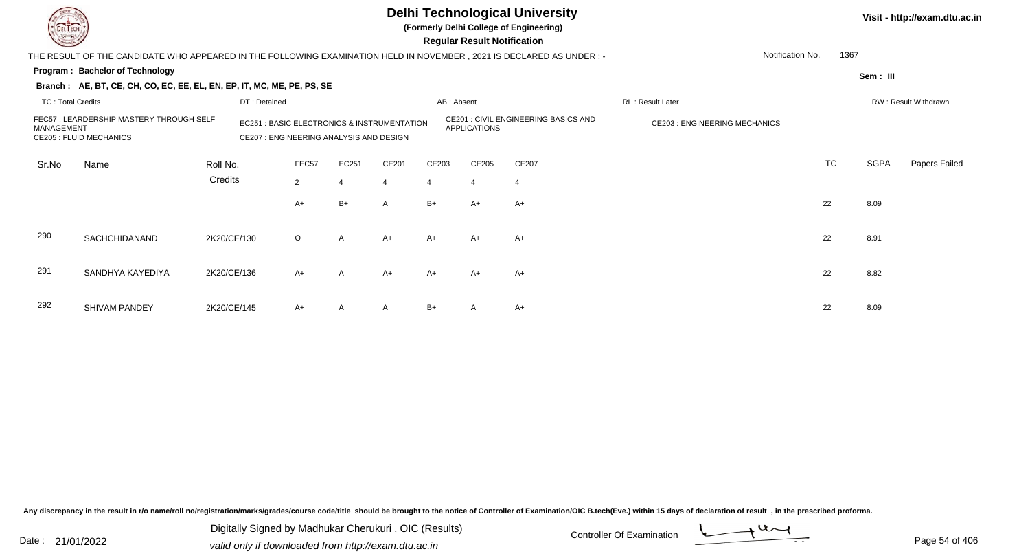

**(Formerly Delhi College of Engineering)**

 **Regular Result Notification**

**Visit - http://exam.dtu.ac.in**

| <b>Chasse I</b>                                                                                                                                                                              |                                                                                                                        |             |              |                |                |                |                | <b>Regular Result Notification</b> |                                      |                                     |                  |           |          |                      |
|----------------------------------------------------------------------------------------------------------------------------------------------------------------------------------------------|------------------------------------------------------------------------------------------------------------------------|-------------|--------------|----------------|----------------|----------------|----------------|------------------------------------|--------------------------------------|-------------------------------------|------------------|-----------|----------|----------------------|
|                                                                                                                                                                                              | THE RESULT OF THE CANDIDATE WHO APPEARED IN THE FOLLOWING EXAMINATION HELD IN NOVEMBER , 2021 IS DECLARED AS UNDER : - |             |              |                |                |                |                |                                    |                                      |                                     | Notification No. | 1367      |          |                      |
|                                                                                                                                                                                              | Program: Bachelor of Technology                                                                                        |             |              |                |                |                |                |                                    |                                      |                                     |                  |           | Sem: III |                      |
|                                                                                                                                                                                              | Branch: AE, BT, CE, CH, CO, EC, EE, EL, EN, EP, IT, MC, ME, PE, PS, SE                                                 |             |              |                |                |                |                |                                    |                                      |                                     |                  |           |          |                      |
| <b>TC: Total Credits</b>                                                                                                                                                                     |                                                                                                                        |             | DT: Detained |                |                |                | AB: Absent     |                                    |                                      | RL: Result Later                    |                  |           |          | RW: Result Withdrawn |
| FEC57 : LEARDERSHIP MASTERY THROUGH SELF<br><b>EC251: BASIC ELECTRONICS &amp; INSTRUMENTATION</b><br>MANAGEMENT<br><b>CE205 : FLUID MECHANICS</b><br>CE207 : ENGINEERING ANALYSIS AND DESIGN |                                                                                                                        |             |              |                |                |                |                | <b>APPLICATIONS</b>                | CE201 : CIVIL ENGINEERING BASICS AND | <b>CE203: ENGINEERING MECHANICS</b> |                  |           |          |                      |
| Sr.No                                                                                                                                                                                        | Name                                                                                                                   | Roll No.    |              | FEC57          | EC251          | CE201          | CE203          | CE205                              | CE207                                |                                     |                  | <b>TC</b> | SGPA     | Papers Failed        |
|                                                                                                                                                                                              |                                                                                                                        | Credits     |              | $\overline{2}$ | $\overline{4}$ | $\overline{4}$ | $\overline{4}$ | $\overline{4}$                     | $\overline{4}$                       |                                     |                  |           |          |                      |
|                                                                                                                                                                                              |                                                                                                                        |             |              | A+             | B+             | A              | B+             | $A+$                               | A+                                   |                                     |                  | 22        | 8.09     |                      |
| 290                                                                                                                                                                                          | SACHCHIDANAND                                                                                                          | 2K20/CE/130 |              | $\circ$        | A              | $A+$           | $A+$           | $A+$                               | $A+$                                 |                                     |                  | 22        | 8.91     |                      |
| 291                                                                                                                                                                                          | SANDHYA KAYEDIYA                                                                                                       | 2K20/CE/136 |              | $A+$           | $\mathsf{A}$   | $A+$           | $A+$           | $A+$                               | $A+$                                 |                                     |                  | 22        | 8.82     |                      |
| 292                                                                                                                                                                                          | SHIVAM PANDEY                                                                                                          | 2K20/CE/145 |              | $A+$           | A              | $\mathsf{A}$   | $B+$           | A                                  | $A+$                                 |                                     |                  | 22        | 8.09     |                      |

Any discrepancy in the result in r/o name/roll no/registration/marks/grades/course code/title should be brought to the notice of Controller of Examination/OIC B.tech(Eve.) within 15 days of declaration of result, in the pr

Date : 21/01/2022 Digital Digital of Microsofted Chemical Controller Of Examination Determination Page 54 of 40 Digitally Signed by Madhukar Cherukuri , OIC (Results)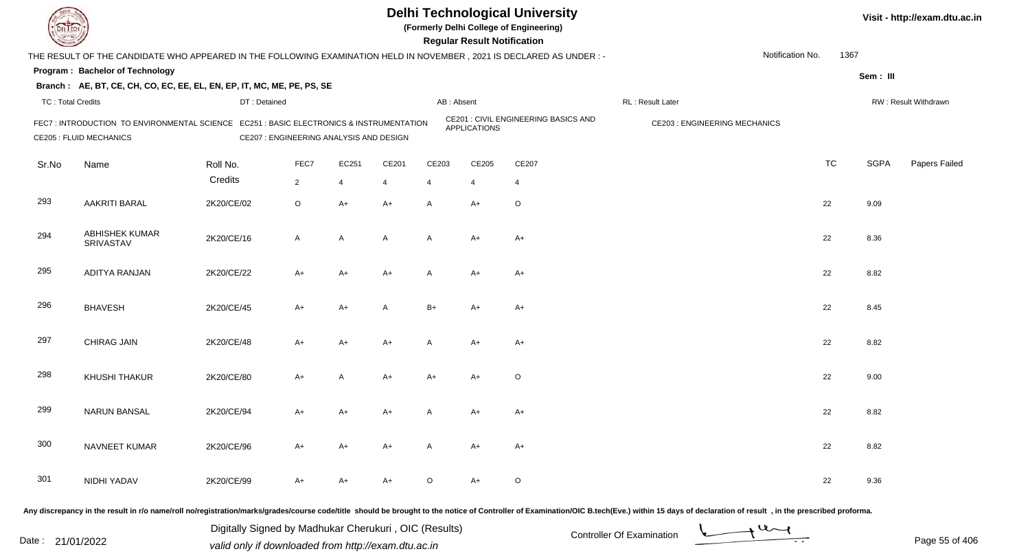**(Formerly Delhi College of Engineering)**

**Regular Regular Results Notification** 

| <b>Courses I</b>         |                                                                                                                          |              |                                         |                |                |                | <b>Regular Result Notification</b> |                                             |                                                                                                                                                                                                                                |                          |             |                      |
|--------------------------|--------------------------------------------------------------------------------------------------------------------------|--------------|-----------------------------------------|----------------|----------------|----------------|------------------------------------|---------------------------------------------|--------------------------------------------------------------------------------------------------------------------------------------------------------------------------------------------------------------------------------|--------------------------|-------------|----------------------|
|                          | THE RESULT OF THE CANDIDATE WHO APPEARED IN THE FOLLOWING EXAMINATION HELD IN NOVEMBER, 2021 IS DECLARED AS UNDER:-      |              |                                         |                |                |                |                                    |                                             |                                                                                                                                                                                                                                | Notification No.<br>1367 |             |                      |
|                          | <b>Program: Bachelor of Technology</b>                                                                                   |              |                                         |                |                |                |                                    |                                             |                                                                                                                                                                                                                                |                          | Sem: III    |                      |
|                          | Branch: AE, BT, CE, CH, CO, EC, EE, EL, EN, EP, IT, MC, ME, PE, PS, SE                                                   |              |                                         |                |                |                |                                    |                                             |                                                                                                                                                                                                                                |                          |             |                      |
| <b>TC: Total Credits</b> |                                                                                                                          | DT: Detained |                                         |                |                |                | AB: Absent                         |                                             | RL: Result Later                                                                                                                                                                                                               |                          |             | RW: Result Withdrawn |
|                          | FEC7: INTRODUCTION TO ENVIRONMENTAL SCIENCE EC251: BASIC ELECTRONICS & INSTRUMENTATION<br><b>CE205 : FLUID MECHANICS</b> |              | CE207 : ENGINEERING ANALYSIS AND DESIGN |                |                |                | <b>APPLICATIONS</b>                | <b>CE201 : CIVIL ENGINEERING BASICS AND</b> | <b>CE203: ENGINEERING MECHANICS</b>                                                                                                                                                                                            |                          |             |                      |
| Sr.No                    | Name                                                                                                                     | Roll No.     | FEC7                                    | EC251          | CE201          | CE203          | CE205                              | CE207                                       |                                                                                                                                                                                                                                | <b>TC</b>                | <b>SGPA</b> | Papers Failed        |
|                          |                                                                                                                          | Credits      | $\overline{2}$                          | $\overline{4}$ | $\overline{4}$ | $\overline{4}$ | $\overline{4}$                     | $\overline{4}$                              |                                                                                                                                                                                                                                |                          |             |                      |
| 293                      | <b>AAKRITI BARAL</b>                                                                                                     | 2K20/CE/02   | $\mathsf O$                             | $A+$           | A+             | A              | A+                                 | $\mathsf O$                                 |                                                                                                                                                                                                                                | 22                       | 9.09        |                      |
| 294                      | <b>ABHISHEK KUMAR</b><br>SRIVASTAV                                                                                       | 2K20/CE/16   | A                                       | A              | A              | A              | $A+$                               | $A+$                                        |                                                                                                                                                                                                                                | 22                       | 8.36        |                      |
| 295                      | ADITYA RANJAN                                                                                                            | 2K20/CE/22   | A+                                      | $A+$           | A+             | $\mathsf{A}$   | $A+$                               | $A+$                                        |                                                                                                                                                                                                                                | 22                       | 8.82        |                      |
| 296                      | <b>BHAVESH</b>                                                                                                           | 2K20/CE/45   | A+                                      | $A+$           | A              | $B+$           | A+                                 | A+                                          |                                                                                                                                                                                                                                | 22                       | 8.45        |                      |
| 297                      | CHIRAG JAIN                                                                                                              | 2K20/CE/48   | A+                                      | $A+$           | A+             | A              | A+                                 | $A+$                                        |                                                                                                                                                                                                                                | 22                       | 8.82        |                      |
| 298                      | <b>KHUSHI THAKUR</b>                                                                                                     | 2K20/CE/80   | $A+$                                    | A              | A+             | $A+$           | $A+$                               | $\circ$                                     |                                                                                                                                                                                                                                | 22                       | 9.00        |                      |
| 299                      | <b>NARUN BANSAL</b>                                                                                                      | 2K20/CE/94   | A+                                      | $A+$           | A+             | A              | $A+$                               | $A+$                                        |                                                                                                                                                                                                                                | 22                       | 8.82        |                      |
| 300                      | NAVNEET KUMAR                                                                                                            | 2K20/CE/96   | A+                                      | $A+$           | A+             | A              | A+                                 | $A+$                                        |                                                                                                                                                                                                                                | 22                       | 8.82        |                      |
| 301                      | NIDHI YADAV                                                                                                              | 2K20/CE/99   | A+                                      | $A+$           | A+             | $\mathsf O$    | $A+$                               | $\circ$                                     |                                                                                                                                                                                                                                | 22                       | 9.36        |                      |
|                          |                                                                                                                          |              |                                         |                |                |                |                                    |                                             | Any discrepancy in the result in r/o name/roll no/registration/marks/grades/course code/title should be brought to the notice of Controller of Examination/OIC B.tech(Eve.) within 15 days of declaration of result , in the p |                          |             |                      |

Date : 21/01/2022 Digital Digital of Microsofted Chemical Controller Of Examination Determination Page 55 of 40 Digitally Signed by Madhukar Cherukuri , OIC (Results)

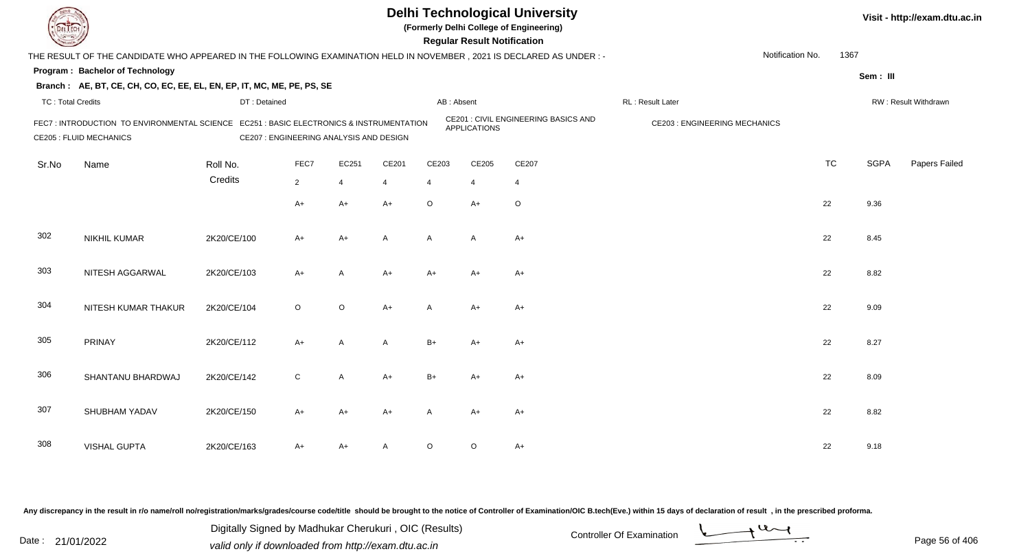**(Formerly Delhi College of Engineering)**

 **Regular Result Notification**

| <b>Course Lines</b>      |                                                                                                                          |              |                                         |                |                |              | Regular Result Notification |                                      |                                     |           |             |                      |
|--------------------------|--------------------------------------------------------------------------------------------------------------------------|--------------|-----------------------------------------|----------------|----------------|--------------|-----------------------------|--------------------------------------|-------------------------------------|-----------|-------------|----------------------|
|                          | THE RESULT OF THE CANDIDATE WHO APPEARED IN THE FOLLOWING EXAMINATION HELD IN NOVEMBER, 2021 IS DECLARED AS UNDER :-     |              |                                         |                |                |              |                             |                                      | Notification No.                    | 1367      |             |                      |
|                          | Program: Bachelor of Technology                                                                                          |              |                                         |                |                |              |                             |                                      |                                     |           | Sem: III    |                      |
|                          | Branch: AE, BT, CE, CH, CO, EC, EE, EL, EN, EP, IT, MC, ME, PE, PS, SE                                                   |              |                                         |                |                |              |                             |                                      |                                     |           |             |                      |
| <b>TC: Total Credits</b> |                                                                                                                          | DT: Detained |                                         |                |                | AB: Absent   |                             |                                      | RL: Result Later                    |           |             | RW: Result Withdrawn |
|                          | FEC7: INTRODUCTION TO ENVIRONMENTAL SCIENCE EC251: BASIC ELECTRONICS & INSTRUMENTATION<br><b>CE205 : FLUID MECHANICS</b> |              | CE207 : ENGINEERING ANALYSIS AND DESIGN |                |                |              | <b>APPLICATIONS</b>         | CE201 : CIVIL ENGINEERING BASICS AND | <b>CE203: ENGINEERING MECHANICS</b> |           |             |                      |
| Sr.No                    | Name                                                                                                                     | Roll No.     | FEC7                                    | EC251          | CE201          | CE203        | CE205                       | CE207                                |                                     | <b>TC</b> | <b>SGPA</b> | Papers Failed        |
|                          |                                                                                                                          | Credits      | $\overline{2}$                          | $\overline{4}$ | 4              | 4            | $\overline{4}$              | 4                                    |                                     |           |             |                      |
|                          |                                                                                                                          |              | $A+$                                    | A+             | $A+$           | $\circ$      | $A+$                        | $\circ$                              |                                     | 22        | 9.36        |                      |
| 302                      | <b>NIKHIL KUMAR</b>                                                                                                      | 2K20/CE/100  | $A+$                                    | A+             | $\overline{A}$ | $\mathsf{A}$ | $\mathsf{A}$                | $A+$                                 |                                     | 22        | 8.45        |                      |
| 303                      | NITESH AGGARWAL                                                                                                          | 2K20/CE/103  | $A+$                                    | A              | $A+$           | A+           | A+                          | A+                                   |                                     | 22        | 8.82        |                      |
| 304                      | NITESH KUMAR THAKUR                                                                                                      | 2K20/CE/104  | $\circ$                                 | $\circ$        | $A+$           | A            | $A+$                        | $A+$                                 |                                     | 22        | 9.09        |                      |
| 305                      | PRINAY                                                                                                                   | 2K20/CE/112  | $A+$                                    | $\mathsf{A}$   | A              | $B+$         | $A+$                        | $A+$                                 |                                     | 22        | 8.27        |                      |
| 306                      | SHANTANU BHARDWAJ                                                                                                        | 2K20/CE/142  | $\mathsf C$                             | $\mathsf{A}$   | $A+$           | $B+$         | A+                          | A+                                   |                                     | 22        | 8.09        |                      |
| 307                      | SHUBHAM YADAV                                                                                                            | 2K20/CE/150  | $A+$                                    | A+             | $A+$           | A            | A+                          | A+                                   |                                     | 22        | 8.82        |                      |
| 308                      | <b>VISHAL GUPTA</b>                                                                                                      | 2K20/CE/163  | $A+$                                    | A+             | A              | O            | O                           | A+                                   |                                     | 22        | 9.18        |                      |

Any discrepancy in the result in r/o name/roll no/registration/marks/grades/course code/title should be brought to the notice of Controller of Examination/OIC B.tech(Eve.) within 15 days of declaration of result, in the pr

Date : 21/01/2022 Digital Digital of Microsofted Chemical Controller Of Examination Determination Page 56 of 40 Digitally Signed by Madhukar Cherukuri , OIC (Results)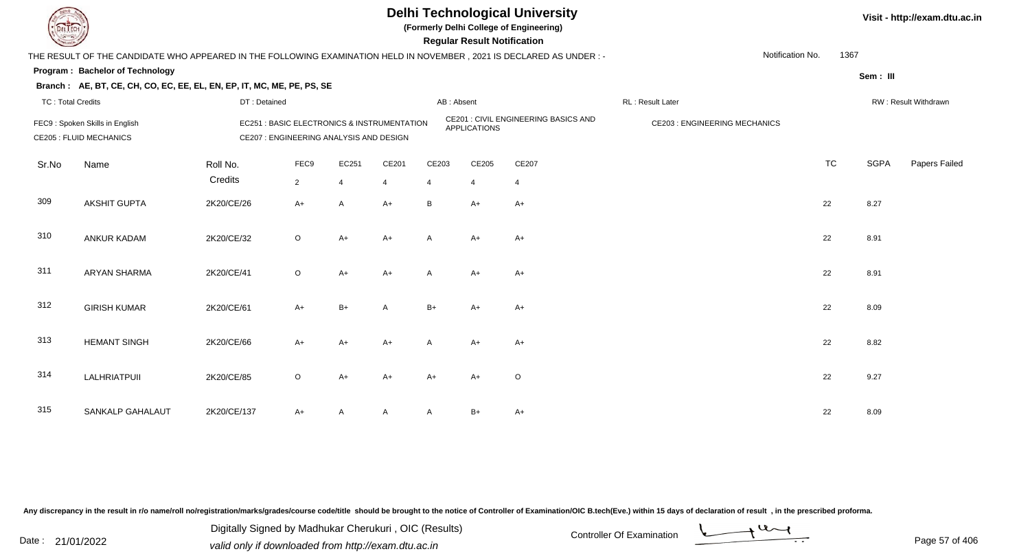

**(Formerly Delhi College of Engineering)**

 **Regular Result Notification**

| <b>Courses A</b>         |                                                                                                                                                                      |                     |                        |                         |                         |            | <b>Regular Result Notification</b> |                                            |                                     |                  |           |             |                      |
|--------------------------|----------------------------------------------------------------------------------------------------------------------------------------------------------------------|---------------------|------------------------|-------------------------|-------------------------|------------|------------------------------------|--------------------------------------------|-------------------------------------|------------------|-----------|-------------|----------------------|
|                          | THE RESULT OF THE CANDIDATE WHO APPEARED IN THE FOLLOWING EXAMINATION HELD IN NOVEMBER , 2021 IS DECLARED AS UNDER : -                                               |                     |                        |                         |                         |            |                                    |                                            |                                     | Notification No. | 1367      |             |                      |
|                          | Program: Bachelor of Technology                                                                                                                                      |                     |                        |                         |                         |            |                                    |                                            |                                     |                  |           | Sem: III    |                      |
|                          | Branch: AE, BT, CE, CH, CO, EC, EE, EL, EN, EP, IT, MC, ME, PE, PS, SE                                                                                               |                     |                        |                         |                         |            |                                    |                                            |                                     |                  |           |             |                      |
| <b>TC: Total Credits</b> |                                                                                                                                                                      | DT: Detained        |                        |                         |                         | AB: Absent |                                    |                                            | RL: Result Later                    |                  |           |             | RW: Result Withdrawn |
|                          | <b>EC251: BASIC ELECTRONICS &amp; INSTRUMENTATION</b><br>FEC9: Spoken Skills in English<br>CE207 : ENGINEERING ANALYSIS AND DESIGN<br><b>CE205 : FLUID MECHANICS</b> |                     |                        |                         |                         |            | <b>APPLICATIONS</b>                | <b>CE201: CIVIL ENGINEERING BASICS AND</b> | <b>CE203: ENGINEERING MECHANICS</b> |                  |           |             |                      |
| Sr.No                    | Name                                                                                                                                                                 | Roll No.<br>Credits | FEC9<br>$\overline{2}$ | EC251<br>$\overline{4}$ | CE201<br>$\overline{4}$ | CE203<br>4 | CE205<br>$\overline{4}$            | CE207<br>$\overline{4}$                    |                                     |                  | <b>TC</b> | <b>SGPA</b> | Papers Failed        |
| 309                      | <b>AKSHIT GUPTA</b>                                                                                                                                                  | 2K20/CE/26          | $A+$                   | $\overline{A}$          | $A+$                    | B          | $A+$                               | $A+$                                       |                                     |                  | 22        | 8.27        |                      |
| 310                      | <b>ANKUR KADAM</b>                                                                                                                                                   | 2K20/CE/32          | $\circ$                | $A+$                    | $A+$                    | A          | $A+$                               | $A+$                                       |                                     |                  | 22        | 8.91        |                      |
| 311                      | <b>ARYAN SHARMA</b>                                                                                                                                                  | 2K20/CE/41          | $\circ$                | $A+$                    | $A+$                    | A          | $A+$                               | $A+$                                       |                                     |                  | 22        | 8.91        |                      |
| 312                      | <b>GIRISH KUMAR</b>                                                                                                                                                  | 2K20/CE/61          | $A+$                   | $B+$                    | A                       | $B+$       | A+                                 | A+                                         |                                     |                  | 22        | 8.09        |                      |
| 313                      | <b>HEMANT SINGH</b>                                                                                                                                                  | 2K20/CE/66          | $A+$                   | $A+$                    | $A+$                    | A          | $A+$                               | A+                                         |                                     |                  | 22        | 8.82        |                      |
| 314                      | LALHRIATPUII                                                                                                                                                         | 2K20/CE/85          | $\circ$                | $A+$                    | $A+$                    | A+         | $A+$                               | O                                          |                                     |                  | 22        | 9.27        |                      |
| 315                      | SANKALP GAHALAUT                                                                                                                                                     | 2K20/CE/137         | $A+$                   | A                       | A                       | A          | $B+$                               | A+                                         |                                     |                  | 22        | 8.09        |                      |

Any discrepancy in the result in r/o name/roll no/registration/marks/grades/course code/title should be brought to the notice of Controller of Examination/OIC B.tech(Eve.) within 15 days of declaration of result, in the pr

Date : 21/01/2022 Digital Digital of Microsofted Chemical Controller Of Examination Determination Page 57 of 40 Digitally Signed by Madhukar Cherukuri , OIC (Results)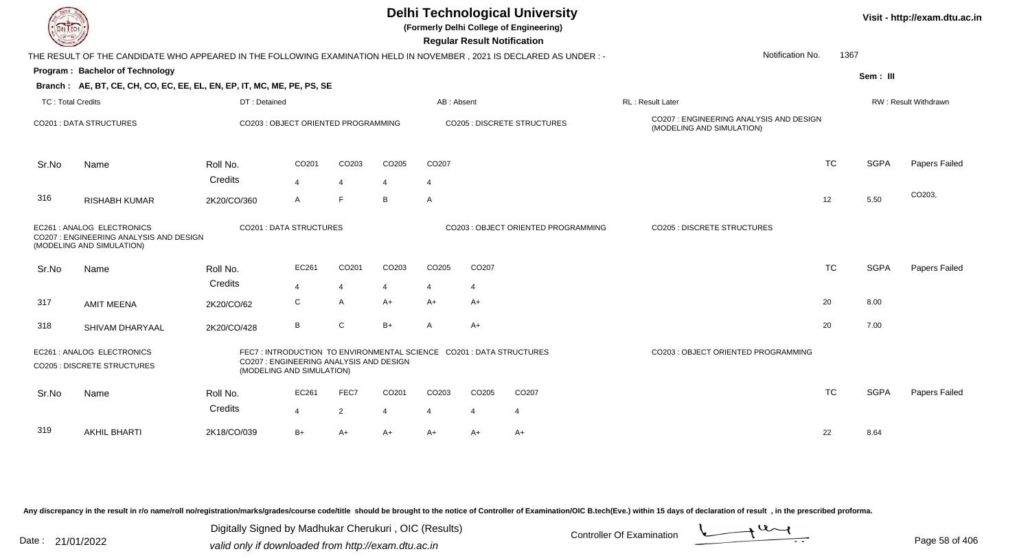| EL I ECH          |                                                                                                                      |                        |                                                                                                                                            |                     |                     |                         | <b>Regular Result Notification</b> | <b>Delhi Technological University</b><br>(Formerly Delhi College of Engineering) |                                                                      |           |             | Visit - http://exam.dtu.ac.in |
|-------------------|----------------------------------------------------------------------------------------------------------------------|------------------------|--------------------------------------------------------------------------------------------------------------------------------------------|---------------------|---------------------|-------------------------|------------------------------------|----------------------------------------------------------------------------------|----------------------------------------------------------------------|-----------|-------------|-------------------------------|
|                   | THE RESULT OF THE CANDIDATE WHO APPEARED IN THE FOLLOWING EXAMINATION HELD IN NOVEMBER, 2021 IS DECLARED AS UNDER :- |                        |                                                                                                                                            |                     |                     |                         |                                    |                                                                                  | Notification No.                                                     | 1367      |             |                               |
|                   | Program: Bachelor of Technology                                                                                      |                        |                                                                                                                                            |                     |                     |                         |                                    |                                                                                  |                                                                      |           | Sem: III    |                               |
|                   | Branch: AE, BT, CE, CH, CO, EC, EE, EL, EN, EP, IT, MC, ME, PE, PS, SE                                               |                        |                                                                                                                                            |                     |                     |                         |                                    |                                                                                  |                                                                      |           |             |                               |
| TC: Total Credits |                                                                                                                      | DT: Detained           |                                                                                                                                            |                     |                     | AB: Absent              |                                    |                                                                                  | <b>RL: Result Later</b>                                              |           |             | <b>RW: Result Withdrawn</b>   |
|                   | <b>CO201: DATA STRUCTURES</b>                                                                                        |                        | CO203 : OBJECT ORIENTED PROGRAMMING                                                                                                        |                     |                     |                         |                                    | <b>CO205 : DISCRETE STRUCTURES</b>                                               | CO207 : ENGINEERING ANALYSIS AND DESIGN<br>(MODELING AND SIMULATION) |           |             |                               |
| Sr.No             | Name                                                                                                                 | Roll No.               | CO201                                                                                                                                      | CO203               | CO205               | CO207                   |                                    |                                                                                  |                                                                      | <b>TC</b> | <b>SGPA</b> | Papers Failed                 |
| 316               | <b>RISHABH KUMAR</b>                                                                                                 | Credits<br>2K20/CO/360 | 4<br>A                                                                                                                                     | $\overline{4}$<br>F | $\overline{4}$<br>B | 4<br>A                  |                                    |                                                                                  |                                                                      | 12        | 5.50        | CO203,                        |
|                   | EC261 : ANALOG ELECTRONICS<br>CO207 : ENGINEERING ANALYSIS AND DESIGN<br>(MODELING AND SIMULATION)                   |                        | CO201 : DATA STRUCTURES                                                                                                                    |                     |                     |                         |                                    | CO203 : OBJECT ORIENTED PROGRAMMING                                              | <b>CO205 : DISCRETE STRUCTURES</b>                                   |           |             |                               |
| Sr.No             | Name                                                                                                                 | Roll No.               | EC261                                                                                                                                      | CO201               | CO203               | CO205                   | CO207                              |                                                                                  |                                                                      | <b>TC</b> | <b>SGPA</b> | Papers Failed                 |
|                   |                                                                                                                      | Credits                | 4                                                                                                                                          | $\overline{4}$      |                     | $\overline{\mathbf{4}}$ | 4                                  |                                                                                  |                                                                      |           |             |                               |
| 317               | <b>AMIT MEENA</b>                                                                                                    | 2K20/CO/62             | С                                                                                                                                          | A                   | $A+$                | $A+$                    | $A+$                               |                                                                                  |                                                                      | 20        | 8.00        |                               |
| 318               | SHIVAM DHARYAAL                                                                                                      | 2K20/CO/428            | В                                                                                                                                          | $\mathsf C$         | $B+$                | $\mathsf{A}$            | $A+$                               |                                                                                  |                                                                      | 20        | 7.00        |                               |
|                   | EC261 : ANALOG ELECTRONICS<br><b>CO205 : DISCRETE STRUCTURES</b>                                                     |                        | FEC7: INTRODUCTION TO ENVIRONMENTAL SCIENCE CO201: DATA STRUCTURES<br>CO207 : ENGINEERING ANALYSIS AND DESIGN<br>(MODELING AND SIMULATION) |                     |                     |                         |                                    |                                                                                  | CO203 : OBJECT ORIENTED PROGRAMMING                                  |           |             |                               |
| Sr.No             | Name                                                                                                                 | Roll No.               | EC261                                                                                                                                      | FEC7                | CO201               | CO203                   | CO205                              | CO <sub>207</sub>                                                                |                                                                      | <b>TC</b> | <b>SGPA</b> | Papers Failed                 |
|                   |                                                                                                                      | Credits                | 4                                                                                                                                          | $\overline{2}$      | 4                   | $\overline{4}$          | 4                                  | $\overline{4}$                                                                   |                                                                      |           |             |                               |
| 319               | <b>AKHIL BHARTI</b>                                                                                                  | 2K18/CO/039            | $B+$                                                                                                                                       | $A+$                | A+                  | $A+$                    | A+                                 | $A+$                                                                             |                                                                      | 22        | 8.64        |                               |

Any discrepancy in the result in r/o name/roll no/registration/marks/grades/course code/title should be brought to the notice of Controller of Examination/OIC B.tech(Eve.) within 15 days of declaration of result ,in the p

Digitally Signed by Madhukar Cherukuri, OIC (Results)<br>Date : 21/01/2022 valid only if downloaded from http://oxam.dtu.ac.in Digitally Signed by Madhukar Cherukuri , OIC (Results)valid only if downloaded from http://exam.dtu.ac.in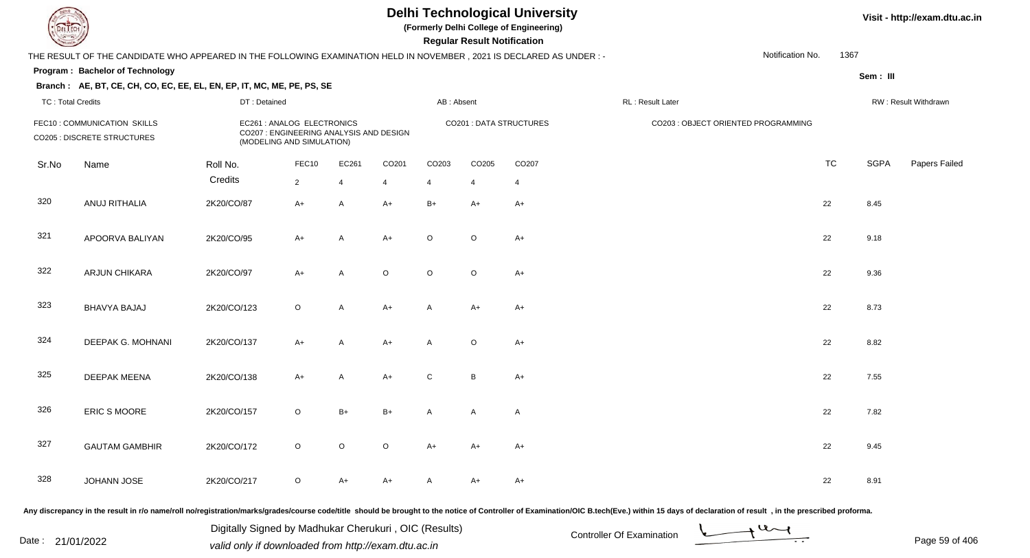**(Formerly Delhi College of Engineering)**

 **Regular Result Notification**

#### **Visit - http://exam.dtu.ac.in**

|                          | THE RESULT OF THE CANDIDATE WHO APPEARED IN THE FOLLOWING EXAMINATION HELD IN NOVEMBER, 2021 IS DECLARED AS UNDER :- |              |                                                                                                    |                |                |                |         |                         |                                     | Notification No. | 1367      |             |                      |
|--------------------------|----------------------------------------------------------------------------------------------------------------------|--------------|----------------------------------------------------------------------------------------------------|----------------|----------------|----------------|---------|-------------------------|-------------------------------------|------------------|-----------|-------------|----------------------|
|                          | Program: Bachelor of Technology                                                                                      |              |                                                                                                    |                |                |                |         |                         |                                     |                  |           | Sem: III    |                      |
| <b>TC: Total Credits</b> | Branch: AE, BT, CE, CH, CO, EC, EE, EL, EN, EP, IT, MC, ME, PE, PS, SE                                               | DT: Detained |                                                                                                    |                |                | AB: Absent     |         |                         | RL: Result Later                    |                  |           |             | RW: Result Withdrawn |
|                          | FEC10: COMMUNICATION SKILLS<br>CO205 : DISCRETE STRUCTURES                                                           |              | EC261 : ANALOG ELECTRONICS<br>CO207 : ENGINEERING ANALYSIS AND DESIGN<br>(MODELING AND SIMULATION) |                |                |                |         | CO201 : DATA STRUCTURES | CO203 : OBJECT ORIENTED PROGRAMMING |                  |           |             |                      |
| Sr.No                    | Name                                                                                                                 | Roll No.     | FEC10                                                                                              | EC261          | CO201          | CO203          | CO205   | CO207                   |                                     |                  | <b>TC</b> | <b>SGPA</b> | Papers Failec        |
|                          |                                                                                                                      | Credits      | $2^{\circ}$                                                                                        | $\overline{4}$ | $\overline{4}$ | $\overline{4}$ | 4       | $\overline{4}$          |                                     |                  |           |             |                      |
| 320                      | ANUJ RITHALIA                                                                                                        | 2K20/CO/87   | $A+$                                                                                               | A              | $A+$           | $B+$           | $A+$    | $A+$                    |                                     |                  | 22        | 8.45        |                      |
| 321                      | APOORVA BALIYAN                                                                                                      | 2K20/CO/95   | $A+$                                                                                               | A              | $A+$           | $\circ$        | $\circ$ | $A+$                    |                                     |                  | 22        | 9.18        |                      |
| 322                      | ARJUN CHIKARA                                                                                                        | 2K20/CO/97   | $A+$                                                                                               | A              | O              | O              | $\circ$ | $A+$                    |                                     |                  | 22        | 9.36        |                      |
| 323                      | BHAVYA BAJAJ                                                                                                         | 2K20/CO/123  | $\circ$                                                                                            | A              | $A+$           | Α              | $A+$    | $A+$                    |                                     |                  | 22        | 8.73        |                      |
| 324                      | DEEPAK G. MOHNANI                                                                                                    | 2K20/CO/137  | $A+$                                                                                               | A              | $A+$           | Α              | $\circ$ | $A+$                    |                                     |                  | 22        | 8.82        |                      |
| 325                      | <b>DEEPAK MEENA</b>                                                                                                  | 2K20/CO/138  | $A+$                                                                                               | A              | $A+$           | C              | B       | $A+$                    |                                     |                  | 22        | 7.55        |                      |
| 326                      | ERIC S MOORE                                                                                                         | 2K20/CO/157  | $\circ$                                                                                            | $B+$           | $B+$           | A              | A       | $\mathsf{A}$            |                                     |                  | 22        | 7.82        |                      |
| 327                      | <b>GAUTAM GAMBHIR</b>                                                                                                | 2K20/CO/172  | $\circ$                                                                                            | $\circ$        | $\mathsf O$    | $A+$           | $A+$    | $A+$                    |                                     |                  | 22        | 9.45        |                      |
| 328                      | JOHANN JOSE                                                                                                          | 2K20/CO/217  | $\circ$                                                                                            | A+             | A+             |                | A+      | $A+$                    |                                     |                  | 22        | 8.91        |                      |

Any discrepancy in the result in r/o name/roll no/registration/marks/grades/course code/title should be brought to the notice of Controller of Examination/OIC B.tech(Eve.) within 15 days of declaration of result, in the pr

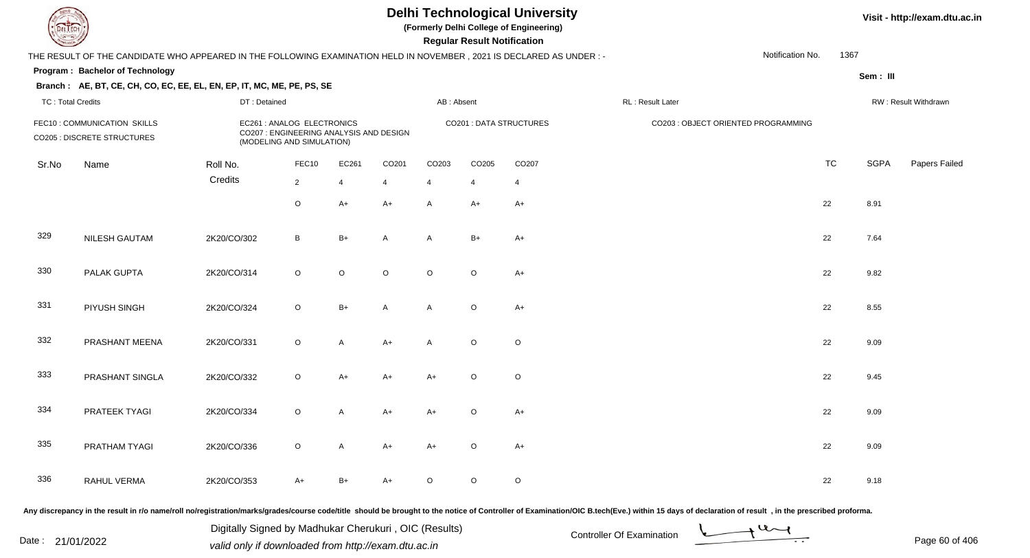**(Formerly Delhi College of Engineering)**

 **Regular Result Notification**

**Visit - http://exam.dtu.ac.in**

| <b>Course Lines</b>      |                                                                                                                      |              |                                                                                                    |                |                   |                | Regular Result Notification |                         |                                                                                                                                                                                                                                |           |             |                      |
|--------------------------|----------------------------------------------------------------------------------------------------------------------|--------------|----------------------------------------------------------------------------------------------------|----------------|-------------------|----------------|-----------------------------|-------------------------|--------------------------------------------------------------------------------------------------------------------------------------------------------------------------------------------------------------------------------|-----------|-------------|----------------------|
|                          | THE RESULT OF THE CANDIDATE WHO APPEARED IN THE FOLLOWING EXAMINATION HELD IN NOVEMBER, 2021 IS DECLARED AS UNDER :- |              |                                                                                                    |                |                   |                |                             |                         | Notification No.                                                                                                                                                                                                               | 1367      |             |                      |
|                          | Program: Bachelor of Technology                                                                                      |              |                                                                                                    |                |                   |                |                             |                         |                                                                                                                                                                                                                                |           | Sem: III    |                      |
|                          | Branch: AE, BT, CE, CH, CO, EC, EE, EL, EN, EP, IT, MC, ME, PE, PS, SE                                               |              |                                                                                                    |                |                   |                |                             |                         |                                                                                                                                                                                                                                |           |             |                      |
| <b>TC: Total Credits</b> |                                                                                                                      | DT: Detained |                                                                                                    |                |                   | AB: Absent     |                             |                         | RL: Result Later                                                                                                                                                                                                               |           |             | RW: Result Withdrawn |
|                          | FEC10: COMMUNICATION SKILLS<br>CO205 : DISCRETE STRUCTURES                                                           |              | EC261 : ANALOG ELECTRONICS<br>CO207 : ENGINEERING ANALYSIS AND DESIGN<br>(MODELING AND SIMULATION) |                |                   |                |                             | CO201 : DATA STRUCTURES | CO203 : OBJECT ORIENTED PROGRAMMING                                                                                                                                                                                            |           |             |                      |
| Sr.No                    | Name                                                                                                                 | Roll No.     | FEC10                                                                                              | EC261          | CO <sub>201</sub> | CO203          | CO205                       | CO207                   |                                                                                                                                                                                                                                | <b>TC</b> | <b>SGPA</b> | Papers Failed        |
|                          |                                                                                                                      | Credits      | $\sqrt{2}$                                                                                         | $\overline{4}$ | $\overline{4}$    | $\overline{4}$ | $\overline{4}$              | $\overline{4}$          |                                                                                                                                                                                                                                |           |             |                      |
|                          |                                                                                                                      |              | $\circ$                                                                                            | $A+$           | $A+$              | $\mathsf{A}$   | $A+$                        | $A+$                    |                                                                                                                                                                                                                                | 22        | 8.91        |                      |
| 329                      | NILESH GAUTAM                                                                                                        | 2K20/CO/302  | B                                                                                                  | $B+$           | $\overline{A}$    | A              | $B+$                        | $A+$                    |                                                                                                                                                                                                                                | 22        | 7.64        |                      |
| 330                      | PALAK GUPTA                                                                                                          | 2K20/CO/314  | $\circ$                                                                                            | $\circ$        | $\circ$           | $\circ$        | $\circ$                     | $A+$                    |                                                                                                                                                                                                                                | 22        | 9.82        |                      |
| 331                      | PIYUSH SINGH                                                                                                         | 2K20/CO/324  | $\circ$                                                                                            | $B+$           | $\overline{A}$    | $\overline{A}$ | $\circ$                     | $A+$                    |                                                                                                                                                                                                                                | 22        | 8.55        |                      |
| 332                      | PRASHANT MEENA                                                                                                       | 2K20/CO/331  | $\mathsf O$                                                                                        | $\overline{A}$ | $A+$              | $\overline{A}$ | $\circ$                     | $\circ$                 |                                                                                                                                                                                                                                | 22        | 9.09        |                      |
| 333                      | PRASHANT SINGLA                                                                                                      | 2K20/CO/332  | $\circ$                                                                                            | $A+$           | $A+$              | $A+$           | $\circ$                     | $\circ$                 |                                                                                                                                                                                                                                | 22        | 9.45        |                      |
| 334                      | PRATEEK TYAGI                                                                                                        | 2K20/CO/334  | $\circ$                                                                                            | $\overline{A}$ | $A+$              | $A+$           | $\mathsf O$                 | $A+$                    |                                                                                                                                                                                                                                | 22        | 9.09        |                      |
| 335                      | PRATHAM TYAGI                                                                                                        | 2K20/CO/336  | $\circ$                                                                                            | $\overline{A}$ | $A+$              | $A+$           | $\circ$                     | $A+$                    |                                                                                                                                                                                                                                | 22        | 9.09        |                      |
| 336                      | RAHUL VERMA                                                                                                          | 2K20/CO/353  | $A+$                                                                                               | $B+$           | $A+$              | $\circ$        | $\circ$                     | $\circ$                 |                                                                                                                                                                                                                                | 22        | 9.18        |                      |
|                          |                                                                                                                      |              |                                                                                                    |                |                   |                |                             |                         | Any discrepancy in the result in r/o name/roll no/registration/marks/grades/course code/title should be brought to the notice of Controller of Examination/OIC B.tech(Eve.) within 15 days of declaration of result , in the p |           |             |                      |

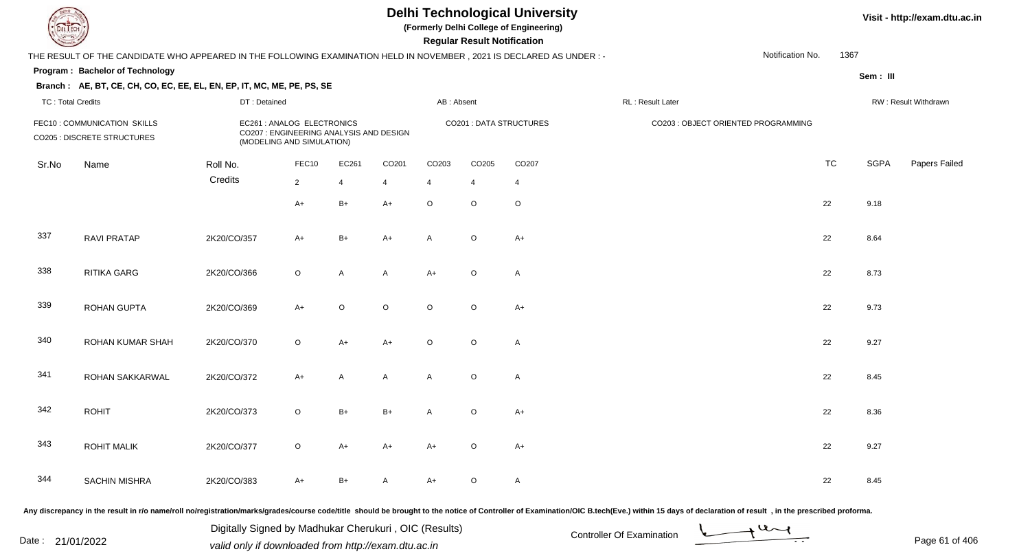**(Formerly Delhi College of Engineering)**

 **Regular Result Notification**

**Visit - http://exam.dtu.ac.in**

| <b>Course Lines</b> |                                                                                                                      |              |                                                                                                    |                |              |                | Regular Result Notification |                         |                                                                                                                                                                                                                                |                  |      |             |                      |
|---------------------|----------------------------------------------------------------------------------------------------------------------|--------------|----------------------------------------------------------------------------------------------------|----------------|--------------|----------------|-----------------------------|-------------------------|--------------------------------------------------------------------------------------------------------------------------------------------------------------------------------------------------------------------------------|------------------|------|-------------|----------------------|
|                     | THE RESULT OF THE CANDIDATE WHO APPEARED IN THE FOLLOWING EXAMINATION HELD IN NOVEMBER, 2021 IS DECLARED AS UNDER :- |              |                                                                                                    |                |              |                |                             |                         |                                                                                                                                                                                                                                | Notification No. | 1367 |             |                      |
|                     | Program: Bachelor of Technology                                                                                      |              |                                                                                                    |                |              |                |                             |                         |                                                                                                                                                                                                                                |                  |      | Sem: III    |                      |
|                     | Branch: AE, BT, CE, CH, CO, EC, EE, EL, EN, EP, IT, MC, ME, PE, PS, SE                                               |              |                                                                                                    |                |              |                |                             |                         |                                                                                                                                                                                                                                |                  |      |             |                      |
| TC: Total Credits   |                                                                                                                      | DT: Detained |                                                                                                    |                |              | AB: Absent     |                             |                         | RL: Result Later                                                                                                                                                                                                               |                  |      |             | RW: Result Withdrawn |
|                     | FEC10: COMMUNICATION SKILLS<br><b>CO205 : DISCRETE STRUCTURES</b>                                                    |              | EC261 : ANALOG ELECTRONICS<br>CO207 : ENGINEERING ANALYSIS AND DESIGN<br>(MODELING AND SIMULATION) |                |              |                |                             | CO201 : DATA STRUCTURES | CO203 : OBJECT ORIENTED PROGRAMMING                                                                                                                                                                                            |                  |      |             |                      |
| Sr.No               | Name                                                                                                                 | Roll No.     | FEC10                                                                                              | EC261          | CO201        | CO203          | CO205                       | CO207                   |                                                                                                                                                                                                                                | <b>TC</b>        |      | <b>SGPA</b> | Papers Failed        |
|                     |                                                                                                                      | Credits      | $\sqrt{2}$                                                                                         | $\overline{4}$ | 4            | 4              | $\overline{4}$              | $\overline{4}$          |                                                                                                                                                                                                                                |                  |      |             |                      |
|                     |                                                                                                                      |              | $A+$                                                                                               | $B+$           | $A+$         | $\mathsf O$    | $\circ$                     | $\circ$                 |                                                                                                                                                                                                                                | 22               |      | 9.18        |                      |
| 337                 | <b>RAVI PRATAP</b>                                                                                                   | 2K20/CO/357  | $A+$                                                                                               | $B+$           | $A+$         | A              | $\mathsf O$                 | $A+$                    |                                                                                                                                                                                                                                | 22               |      | 8.64        |                      |
| 338                 | <b>RITIKA GARG</b>                                                                                                   | 2K20/CO/366  | $\circ$                                                                                            | A              | $\mathsf{A}$ | $A+$           | $\circ$                     | $\mathsf{A}$            |                                                                                                                                                                                                                                | 22               |      | 8.73        |                      |
| 339                 | <b>ROHAN GUPTA</b>                                                                                                   | 2K20/CO/369  | $A+$                                                                                               | $\circ$        | $\mathsf O$  | $\circ$        | $\circ$                     | $A+$                    |                                                                                                                                                                                                                                | 22               |      | 9.73        |                      |
| 340                 | ROHAN KUMAR SHAH                                                                                                     | 2K20/CO/370  | $\circ$                                                                                            | $A+$           | $A+$         | $\circ$        | $\circ$                     | $\mathsf{A}$            |                                                                                                                                                                                                                                | 22               |      | 9.27        |                      |
| 341                 | ROHAN SAKKARWAL                                                                                                      | 2K20/CO/372  | $A+$                                                                                               | A              | A            | A              | $\circ$                     | $\mathsf{A}$            |                                                                                                                                                                                                                                | 22               |      | 8.45        |                      |
| 342                 | <b>ROHIT</b>                                                                                                         | 2K20/CO/373  | $\circ$                                                                                            | $B+$           | $B+$         | $\overline{A}$ | $\circ$                     | $A+$                    |                                                                                                                                                                                                                                | 22               |      | 8.36        |                      |
| 343                 | <b>ROHIT MALIK</b>                                                                                                   | 2K20/CO/377  | $\circ$                                                                                            | $A+$           | $A+$         | $A+$           | $\circ$                     | $A+$                    |                                                                                                                                                                                                                                | 22               |      | 9.27        |                      |
| 344                 | <b>SACHIN MISHRA</b>                                                                                                 | 2K20/CO/383  | A+                                                                                                 | $B+$           | A            | $A+$           | $\mathsf O$                 | $\mathsf A$             |                                                                                                                                                                                                                                | 22               |      | 8.45        |                      |
|                     |                                                                                                                      |              |                                                                                                    |                |              |                |                             |                         | Any discrepancy in the result in r/o name/roll no/registration/marks/grades/course code/title should be brought to the notice of Controller of Examination/OIC B.tech(Eve.) within 15 days of declaration of result , in the p |                  |      |             |                      |

Date : 21/01/2022 Digital Digital of Microsofted Chemical Controller Of Examination Determination Page 61 of 40 Digitally Signed by Madhukar Cherukuri , OIC (Results)

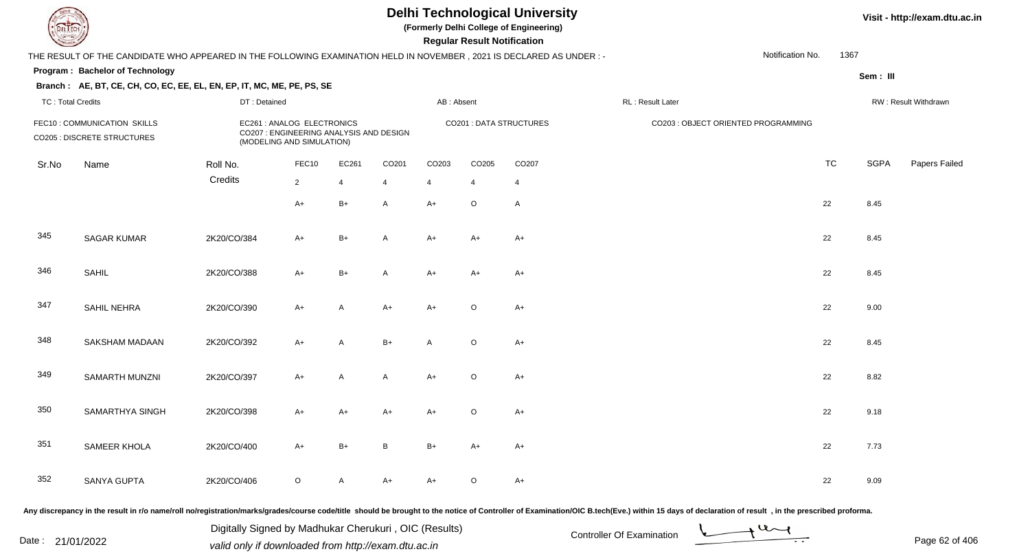**(Formerly Delhi College of Engineering)**

 **Regular Result Notification**

**Visit - http://exam.dtu.ac.in**

| $\sim$                   |                                                                                                                      |              |                                                                                                    |       |                |                | n <del>e</del> guiai n <del>e</del> suit notification |                                |                                                                                                                                                                                                                                |                          |             |                      |
|--------------------------|----------------------------------------------------------------------------------------------------------------------|--------------|----------------------------------------------------------------------------------------------------|-------|----------------|----------------|-------------------------------------------------------|--------------------------------|--------------------------------------------------------------------------------------------------------------------------------------------------------------------------------------------------------------------------------|--------------------------|-------------|----------------------|
|                          | THE RESULT OF THE CANDIDATE WHO APPEARED IN THE FOLLOWING EXAMINATION HELD IN NOVEMBER, 2021 IS DECLARED AS UNDER :- |              |                                                                                                    |       |                |                |                                                       |                                |                                                                                                                                                                                                                                | 1367<br>Notification No. |             |                      |
|                          | Program: Bachelor of Technology                                                                                      |              |                                                                                                    |       |                |                |                                                       |                                |                                                                                                                                                                                                                                |                          | Sem: III    |                      |
|                          | Branch: AE, BT, CE, CH, CO, EC, EE, EL, EN, EP, IT, MC, ME, PE, PS, SE                                               |              |                                                                                                    |       |                |                |                                                       |                                |                                                                                                                                                                                                                                |                          |             |                      |
| <b>TC: Total Credits</b> |                                                                                                                      | DT: Detained |                                                                                                    |       |                | AB: Absent     |                                                       |                                | RL: Result Later                                                                                                                                                                                                               |                          |             | RW: Result Withdrawn |
|                          | FEC10: COMMUNICATION SKILLS<br><b>CO205 : DISCRETE STRUCTURES</b>                                                    |              | EC261 : ANALOG ELECTRONICS<br>CO207 : ENGINEERING ANALYSIS AND DESIGN<br>(MODELING AND SIMULATION) |       |                |                |                                                       | <b>CO201 : DATA STRUCTURES</b> | CO203 : OBJECT ORIENTED PROGRAMMING                                                                                                                                                                                            |                          |             |                      |
| Sr.No                    | Name                                                                                                                 | Roll No.     | FEC10                                                                                              | EC261 | CO201          | CO203          | CO205                                                 | CO207                          |                                                                                                                                                                                                                                | <b>TC</b>                | <b>SGPA</b> | Papers Failed        |
|                          |                                                                                                                      | Credits      | $\overline{2}$                                                                                     | 4     | $\overline{4}$ | $\overline{4}$ | $\overline{4}$                                        | 4                              |                                                                                                                                                                                                                                |                          |             |                      |
|                          |                                                                                                                      |              | $A+$                                                                                               | $B+$  | $\mathsf{A}$   | $A+$           | $\circ$                                               | $\overline{A}$                 |                                                                                                                                                                                                                                | 22                       | 8.45        |                      |
| 345                      | <b>SAGAR KUMAR</b>                                                                                                   | 2K20/CO/384  | A+                                                                                                 | $B+$  | $\mathsf{A}$   | $A+$           | $A+$                                                  | $A+$                           |                                                                                                                                                                                                                                | 22                       | 8.45        |                      |
| 346                      | SAHIL                                                                                                                | 2K20/CO/388  | $A+$                                                                                               | $B+$  | $\mathsf{A}$   | $A+$           | $A+$                                                  | $A+$                           |                                                                                                                                                                                                                                | 22                       | 8.45        |                      |
| 347                      | SAHIL NEHRA                                                                                                          | 2K20/CO/390  | $A+$                                                                                               | A     | $A+$           | $A+$           | $\circ$                                               | $A+$                           |                                                                                                                                                                                                                                | 22                       | 9.00        |                      |
| 348                      | <b>SAKSHAM MADAAN</b>                                                                                                | 2K20/CO/392  | A+                                                                                                 | A     | $B+$           | A              | $\circ$                                               | $A+$                           |                                                                                                                                                                                                                                | 22                       | 8.45        |                      |
| 349                      | <b>SAMARTH MUNZNI</b>                                                                                                | 2K20/CO/397  | $A+$                                                                                               | A     | $\mathsf{A}$   | $A+$           | $\circ$                                               | $A+$                           |                                                                                                                                                                                                                                | 22                       | 8.82        |                      |
| 350                      | SAMARTHYA SINGH                                                                                                      | 2K20/CO/398  | $A+$                                                                                               | $A+$  | $A+$           | $A+$           | $\mathsf O$                                           | $A+$                           |                                                                                                                                                                                                                                | 22                       | 9.18        |                      |
| 351                      | SAMEER KHOLA                                                                                                         | 2K20/CO/400  | $A+$                                                                                               | $B+$  | B              | $B+$           | $A+$                                                  | $A+$                           |                                                                                                                                                                                                                                | 22                       | 7.73        |                      |
| 352                      | <b>SANYA GUPTA</b>                                                                                                   | 2K20/CO/406  | $\mathsf O$                                                                                        | A     | $A+$           | $A+$           | $\circ$                                               | $A+$                           |                                                                                                                                                                                                                                | 22                       | 9.09        |                      |
|                          |                                                                                                                      |              |                                                                                                    |       |                |                |                                                       |                                | Any discrepancy in the result in r/o name/roll no/registration/marks/grades/course code/title should be brought to the notice of Controller of Examination/OIC B.tech(Eve.) within 15 days of declaration of result, in the pr |                          |             |                      |

Any discrepancy in the result in r/o name/roll no/registration/marks/grades/course code/title should be brought to the notice of Controller of Examination/OIC B.tech(Eve.) within 15 days of declaration of result ,in the p

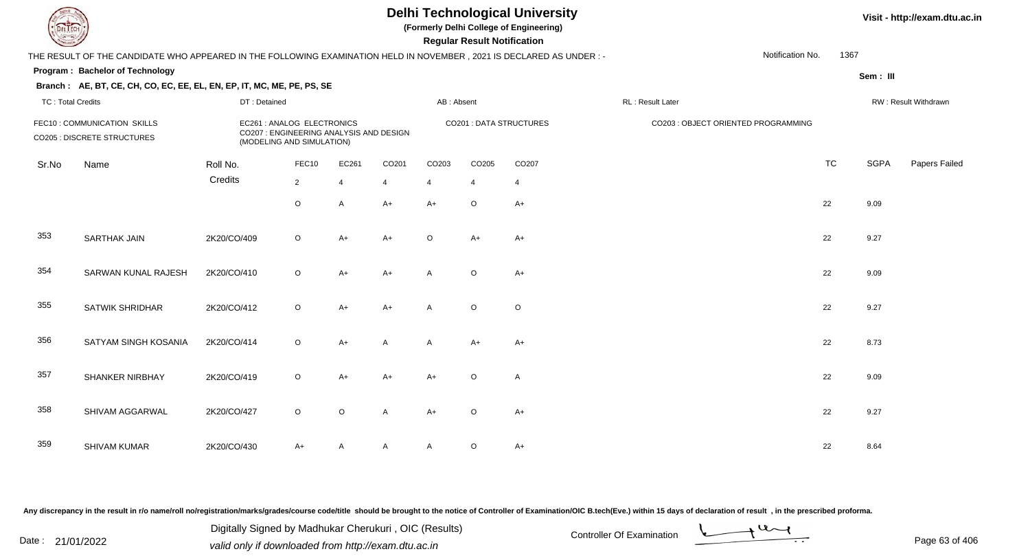**(Formerly Delhi College of Engineering)**

 **Regular Result Notification**

**Visit - http://exam.dtu.ac.in**

| <b>Controller Comments</b> |                                                                                                                      |              |                                                                                                    |                         |                |                | Regular Result Notification |                         |                                     |           |             |                      |
|----------------------------|----------------------------------------------------------------------------------------------------------------------|--------------|----------------------------------------------------------------------------------------------------|-------------------------|----------------|----------------|-----------------------------|-------------------------|-------------------------------------|-----------|-------------|----------------------|
|                            | THE RESULT OF THE CANDIDATE WHO APPEARED IN THE FOLLOWING EXAMINATION HELD IN NOVEMBER, 2021 IS DECLARED AS UNDER :- |              |                                                                                                    |                         |                |                |                             |                         | Notification No.                    | 1367      |             |                      |
|                            | Program: Bachelor of Technology                                                                                      |              |                                                                                                    |                         |                |                |                             |                         |                                     |           | Sem: III    |                      |
|                            | Branch: AE, BT, CE, CH, CO, EC, EE, EL, EN, EP, IT, MC, ME, PE, PS, SE                                               |              |                                                                                                    |                         |                |                |                             |                         |                                     |           |             |                      |
| <b>TC: Total Credits</b>   |                                                                                                                      | DT: Detained |                                                                                                    |                         |                | AB: Absent     |                             |                         | RL: Result Later                    |           |             | RW: Result Withdrawn |
|                            | FEC10: COMMUNICATION SKILLS<br><b>CO205 : DISCRETE STRUCTURES</b>                                                    |              | EC261 : ANALOG ELECTRONICS<br>CO207 : ENGINEERING ANALYSIS AND DESIGN<br>(MODELING AND SIMULATION) |                         |                |                |                             | CO201 : DATA STRUCTURES | CO203 : OBJECT ORIENTED PROGRAMMING |           |             |                      |
| Sr.No                      | Name                                                                                                                 | Roll No.     | FEC10                                                                                              | EC261                   | CO201          | CO203          | CO205                       | CO207                   |                                     | <b>TC</b> | <b>SGPA</b> | Papers Failed        |
|                            |                                                                                                                      | Credits      | $\overline{2}$                                                                                     | $\overline{\mathbf{A}}$ | $\overline{4}$ | $\overline{4}$ | $\overline{4}$              | $\overline{4}$          |                                     |           |             |                      |
|                            |                                                                                                                      |              | $\circ$                                                                                            | A                       | $A+$           | $A+$           | $\circ$                     | $A+$                    |                                     | 22        | 9.09        |                      |
| 353                        | <b>SARTHAK JAIN</b>                                                                                                  | 2K20/CO/409  | $\circ$                                                                                            | A+                      | $A+$           | $\circ$        | $A+$                        | A+                      |                                     | 22        | 9.27        |                      |
| 354                        | SARWAN KUNAL RAJESH                                                                                                  | 2K20/CO/410  | $\mathsf O$                                                                                        | $A+$                    | $A+$           | A              | $\circ$                     | $A+$                    |                                     | 22        | 9.09        |                      |
| 355                        | <b>SATWIK SHRIDHAR</b>                                                                                               | 2K20/CO/412  | $\circ$                                                                                            | $A+$                    | $A+$           | A              | $\circ$                     | $\circ$                 |                                     | 22        | 9.27        |                      |
| 356                        | SATYAM SINGH KOSANIA                                                                                                 | 2K20/CO/414  | $\circ$                                                                                            | A+                      | A              | A              | $A+$                        | $A+$                    |                                     | 22        | 8.73        |                      |
| 357                        | <b>SHANKER NIRBHAY</b>                                                                                               | 2K20/CO/419  | $\circ$                                                                                            | $A+$                    | $A+$           | $A+$           | $\circ$                     | A                       |                                     | 22        | 9.09        |                      |
| 358                        | SHIVAM AGGARWAL                                                                                                      | 2K20/CO/427  | $\circ$                                                                                            | $\circ$                 | A              | $A+$           | $\circ$                     | $A+$                    |                                     | 22        | 9.27        |                      |
| 359                        | <b>SHIVAM KUMAR</b>                                                                                                  | 2K20/CO/430  | $A+$                                                                                               | A                       | A              | A              | O                           | $A+$                    |                                     | 22        | 8.64        |                      |

Any discrepancy in the result in r/o name/roll no/registration/marks/grades/course code/title should be brought to the notice of Controller of Examination/OIC B.tech(Eve.) within 15 days of declaration of result, in the pr

Date : 21/01/2022 Digital Digital of Microsofted Chemical Controller Of Examination Determination Page 63 of 40 Digitally Signed by Madhukar Cherukuri , OIC (Results)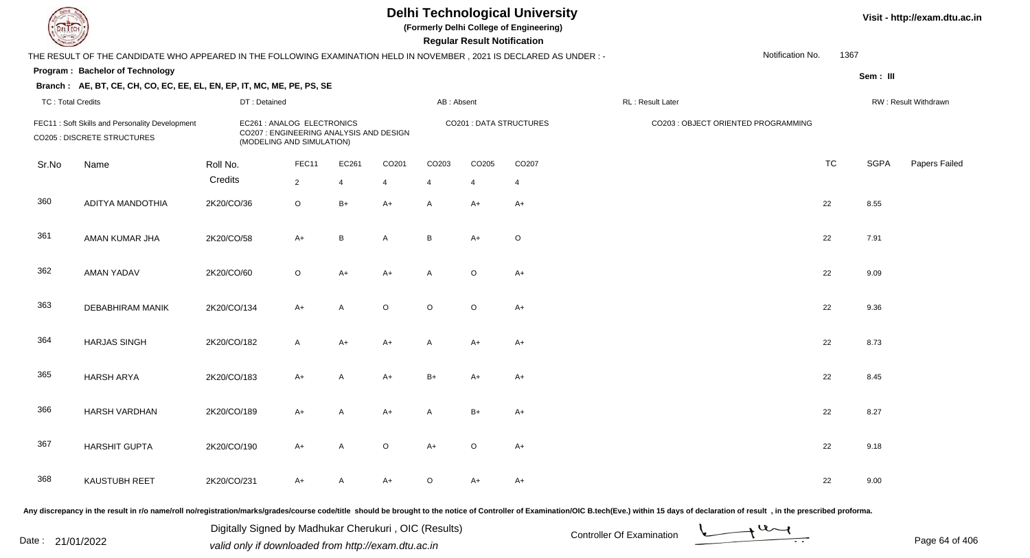**(Formerly Delhi College of Engineering)**

**Regular Regular Results Notification** 

**Visit - http://exam.dtu.ac.in**

| <b>County</b>            |                                                                                                                     |              |                                                                                                    |                |                   |                   | <b>Regular Result Notification</b> |                         |                   |                                     |           |             |                      |
|--------------------------|---------------------------------------------------------------------------------------------------------------------|--------------|----------------------------------------------------------------------------------------------------|----------------|-------------------|-------------------|------------------------------------|-------------------------|-------------------|-------------------------------------|-----------|-------------|----------------------|
|                          | THE RESULT OF THE CANDIDATE WHO APPEARED IN THE FOLLOWING EXAMINATION HELD IN NOVEMBER, 2021 IS DECLARED AS UNDER:- |              |                                                                                                    |                |                   |                   |                                    |                         |                   | Notification No.                    | 1367      |             |                      |
|                          | Program: Bachelor of Technology                                                                                     |              |                                                                                                    |                |                   |                   |                                    |                         |                   |                                     |           | Sem: III    |                      |
|                          | Branch: AE, BT, CE, CH, CO, EC, EE, EL, EN, EP, IT, MC, ME, PE, PS, SE                                              |              |                                                                                                    |                |                   |                   |                                    |                         |                   |                                     |           |             |                      |
| <b>TC: Total Credits</b> |                                                                                                                     | DT: Detained |                                                                                                    |                |                   | AB: Absent        |                                    |                         | RL : Result Later |                                     |           |             | RW: Result Withdrawn |
|                          | FEC11: Soft Skills and Personality Development<br>CO205 : DISCRETE STRUCTURES                                       |              | EC261 : ANALOG ELECTRONICS<br>CO207 : ENGINEERING ANALYSIS AND DESIGN<br>(MODELING AND SIMULATION) |                |                   |                   |                                    | CO201 : DATA STRUCTURES |                   | CO203 : OBJECT ORIENTED PROGRAMMING |           |             |                      |
| Sr.No                    | Name                                                                                                                | Roll No.     | FEC11                                                                                              | EC261          | CO <sub>201</sub> | CO <sub>203</sub> | CO205                              | CO207                   |                   |                                     | <b>TC</b> | <b>SGPA</b> | Papers Failed        |
|                          |                                                                                                                     | Credits      | $\overline{2}$                                                                                     | $\overline{4}$ | 4                 | $\overline{4}$    | $\overline{4}$                     | $\overline{4}$          |                   |                                     |           |             |                      |
| 360                      | ADITYA MANDOTHIA                                                                                                    | 2K20/CO/36   | $\circ$                                                                                            | $B+$           | $A+$              | A                 | $A+$                               | $A+$                    |                   |                                     | 22        | 8.55        |                      |
| 361                      | AMAN KUMAR JHA                                                                                                      | 2K20/CO/58   | $A+$                                                                                               | B              | $\overline{A}$    | B                 | $A+$                               | $\circ$                 |                   |                                     | 22        | 7.91        |                      |
| 362                      | <b>AMAN YADAV</b>                                                                                                   | 2K20/CO/60   | $\circ$                                                                                            | $A+$           | $A+$              | $\mathsf{A}$      | $\circ$                            | $A+$                    |                   |                                     | 22        | 9.09        |                      |
| 363                      | <b>DEBABHIRAM MANIK</b>                                                                                             | 2K20/CO/134  | $A+$                                                                                               | A              | $\circ$           | $\circ$           | $\circ$                            | $A+$                    |                   |                                     | 22        | 9.36        |                      |
| 364                      | <b>HARJAS SINGH</b>                                                                                                 | 2K20/CO/182  | $\mathsf{A}$                                                                                       | $A+$           | $A+$              | $\mathsf{A}$      | A+                                 | $A+$                    |                   |                                     | 22        | 8.73        |                      |
| 365                      | <b>HARSH ARYA</b>                                                                                                   | 2K20/CO/183  | $A+$                                                                                               | $\mathsf{A}$   | $A+$              | $B+$              | $A+$                               | $A+$                    |                   |                                     | 22        | 8.45        |                      |
| 366                      | <b>HARSH VARDHAN</b>                                                                                                | 2K20/CO/189  | $A+$                                                                                               | A              | $A+$              | A                 | $B+$                               | $A+$                    |                   |                                     | 22        | 8.27        |                      |
| 367                      | <b>HARSHIT GUPTA</b>                                                                                                | 2K20/CO/190  | $A+$                                                                                               | A              | $\circ$           | $A+$              | $\circ$                            | $A+$                    |                   |                                     | 22        | 9.18        |                      |
| 368                      | <b>KAUSTUBH REET</b>                                                                                                | 2K20/CO/231  | $A+$                                                                                               | A              | $A+$              | $\circ$           | A+                                 | $A+$                    |                   |                                     | 22        | 9.00        |                      |
|                          |                                                                                                                     |              |                                                                                                    |                |                   |                   |                                    |                         |                   |                                     |           |             |                      |

Any discrepancy in the result in r/o name/roll no/registration/marks/grades/course code/title should be brought to the notice of Controller of Examination/OIC B.tech(Eve.) within 15 days of declaration of result, in the pr

Digitally Signed by Madhukar Cherukuri, OIC (Results)<br>Date : 21/01/2022 volid only if douglooded from http://ovem dtu.co.in Digitally Signed by Madhukar Cherukuri , OIC (Results)valid only if downloaded from http://exam.dtu.ac.in

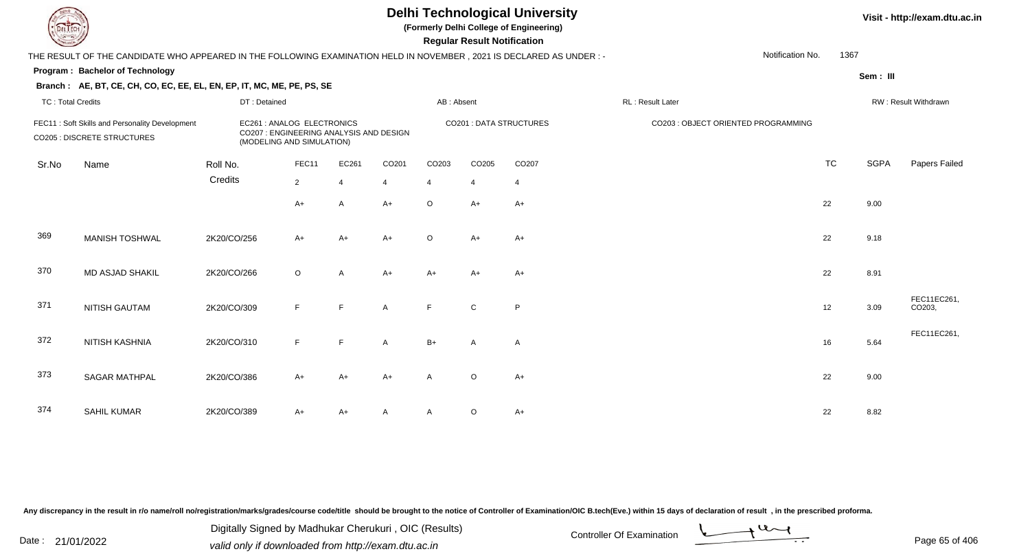**(Formerly Delhi College of Engineering)**

**Visit - http://exam.dtu.ac.in**

**Program : Bachelor of Technology Regular Result NotificationSem : III Branch : AE, BT, CE, CH, CO, EC, EE, EL, EN, EP, IT, MC, ME, PE, PS, SE**THE RESULT OF THE CANDIDATE WHO APPEARED IN THE FOLLOWING EXAMINATION HELD IN NOVEMBER , 2021 IS DECLARED AS UNDER : -TC : Total Credits DT : Detainedd AB : Absent RL : Result Later RW : Result Withdrawn Notification No. 1367Sr.NoName Roll No. **Credits** FEC11 : Soft Skills and Personality Development **EC261** : ANALOG ELECTRONICS CO201 : DATA STRUCTURES CO203 : OBJECT ORIENTED PROGRAMMINGCO205 : DISCRETE STRUCTURES CO207 : ENGINEERING ANALYSIS AND DESIGN (MODELING AND SIMULATION)FEC11 EC261 CO201 CO203 CO205 CO207 TCTC SGPA Papers Failed 22 4 4 4 4 4  $A+$  <sup>A</sup> $A + O$  A+ A+ <sup>22</sup> 9.00 369 MANISH TOSHWAL 2K20/CO/256 A+ A+ A+ <sup>O</sup>O A+ A+ 22 9.18 370 MD ASJAD SHAKIL 2K20/CO/266 <sup>O</sup>O A A+ A+ A+ A+ A+ 371 NITISH GAUTAM0 2K20/CO/309 F F A F C P<br>M 2K20/CO/309 F F A F C P 372 NITISH KASHNIAFEC11EC261,<br>A 2K20/CO/310 F F A B+ A A د A 16 5.64 FEC11EC261, 373 SAGAR MATHPAL 2K20/CO/386 A+ A+ A+ <sup>A</sup> <sup>O</sup> $A_{+}$  22 9.00 374 SAHIL KUMARR 2K20/CO/389 A+ A+ A A A O A+

Any discrepancy in the result in r/o name/roll no/registration/marks/grades/course code/title should be brought to the notice of Controller of Examination/OIC B.tech(Eve.) within 15 days of declaration of result , in the p

Date : 21/01/2022 Digital Digital of Microsofted Chemical Controller Of Examination Determination Page 65 of 40 Digitally Signed by Madhukar Cherukuri , OIC (Results)

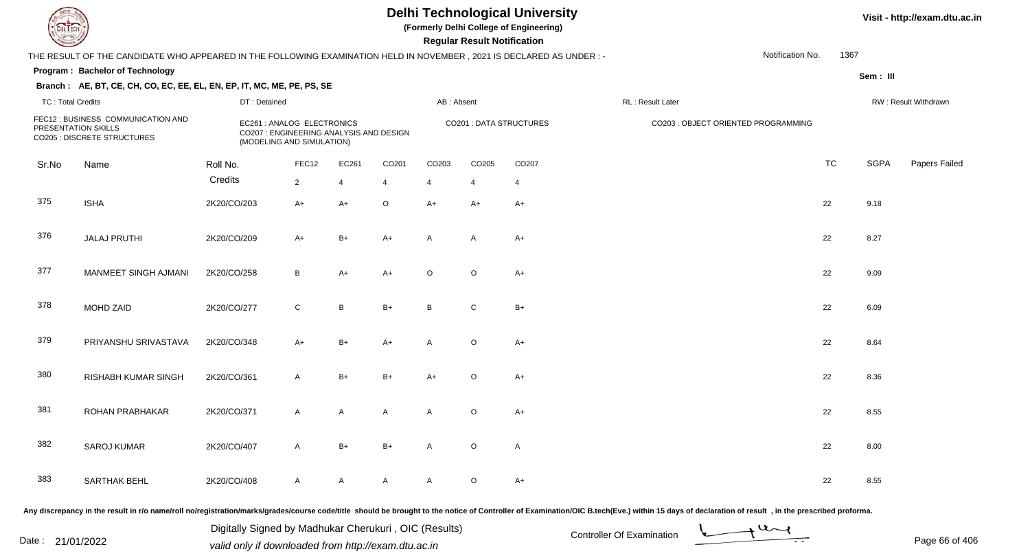**(Formerly Delhi College of Engineering)**

 **Regular Result Notification**

#### **Visit - http://exam.dtu.ac.in**

|                          | THE RESULT OF THE CANDIDATE WHO APPEARED IN THE FOLLOWING EXAMINATION HELD IN NOVEMBER, 2021 IS DECLARED AS UNDER : - |              |                                                                                                    |                |                |                |                |                         |                  | Notification No.                    | 1367      |                      |               |  |
|--------------------------|-----------------------------------------------------------------------------------------------------------------------|--------------|----------------------------------------------------------------------------------------------------|----------------|----------------|----------------|----------------|-------------------------|------------------|-------------------------------------|-----------|----------------------|---------------|--|
|                          | Program: Bachelor of Technology                                                                                       |              |                                                                                                    |                |                |                |                |                         |                  |                                     |           | Sem: III             |               |  |
| <b>TC: Total Credits</b> | Branch: AE, BT, CE, CH, CO, EC, EE, EL, EN, EP, IT, MC, ME, PE, PS, SE                                                | DT: Detained |                                                                                                    |                |                | AB: Absent     |                |                         | RL: Result Later |                                     |           | RW: Result Withdrawn |               |  |
|                          | FEC12 : BUSINESS COMMUNICATION AND<br>PRESENTATION SKILLS<br>CO205 : DISCRETE STRUCTURES                              |              | EC261 : ANALOG ELECTRONICS<br>CO207 : ENGINEERING ANALYSIS AND DESIGN<br>(MODELING AND SIMULATION) |                |                |                |                | CO201 : DATA STRUCTURES |                  | CO203 : OBJECT ORIENTED PROGRAMMING |           |                      |               |  |
| Sr.No                    | Name                                                                                                                  | Roll No.     | FEC12                                                                                              | EC261          | CO201          | CO203          | CO205          | CO207                   |                  |                                     | <b>TC</b> | <b>SGPA</b>          | Papers Failec |  |
|                          |                                                                                                                       | Credits      | $\overline{2}$                                                                                     | $\overline{4}$ | $\overline{4}$ | $\overline{4}$ | $\overline{4}$ | $\overline{4}$          |                  |                                     |           |                      |               |  |
| 375                      | <b>ISHA</b>                                                                                                           | 2K20/CO/203  | $A+$                                                                                               | $A+$           | $\circ$        | $A+$           | $A+$           | $A+$                    |                  |                                     | 22        | 9.18                 |               |  |
| 376                      | <b>JALAJ PRUTHI</b>                                                                                                   | 2K20/CO/209  | $A+$                                                                                               | $B+$           | $A+$           | A              | A              | A+                      |                  |                                     | 22        | 8.27                 |               |  |
| 377                      | MANMEET SINGH AJMANI                                                                                                  | 2K20/CO/258  | B                                                                                                  | $A+$           | $A+$           | $\circ$        | $\circ$        | $A+$                    |                  |                                     | 22        | 9.09                 |               |  |
| 378                      | MOHD ZAID                                                                                                             | 2K20/CO/277  | $\mathsf{C}$                                                                                       | B              | $B+$           | B              | $\mathsf{C}$   | $B+$                    |                  |                                     | 22        | 6.09                 |               |  |
| 379                      | PRIYANSHU SRIVASTAVA                                                                                                  | 2K20/CO/348  | A+                                                                                                 | $B+$           | $A+$           | $\mathsf{A}$   | $\circ$        | $A+$                    |                  |                                     | 22        | 8.64                 |               |  |
| 380                      | <b>RISHABH KUMAR SINGH</b>                                                                                            | 2K20/CO/361  | $\mathsf{A}$                                                                                       | $B+$           | $B+$           | $A+$           | $\circ$        | $A+$                    |                  |                                     | 22        | 8.36                 |               |  |
| 381                      | ROHAN PRABHAKAR                                                                                                       | 2K20/CO/371  | $\mathsf{A}$                                                                                       | $\mathsf{A}$   | $\mathsf{A}$   | $\mathsf{A}$   | $\circ$        | $A+$                    |                  |                                     | 22        | 8.55                 |               |  |
| 382                      | <b>SAROJ KUMAR</b>                                                                                                    | 2K20/CO/407  | $\mathsf{A}$                                                                                       | $B+$           | $B+$           | A              | $\mathsf O$    | A                       |                  |                                     | 22        | 8.00                 |               |  |
| 383                      | <b>SARTHAK BEHL</b>                                                                                                   | 2K20/CO/408  | $\mathsf{A}$                                                                                       | $\mathsf{A}$   | $\mathsf{A}$   | A              | $\circ$        | $A+$                    |                  |                                     | 22        | 8.55                 |               |  |
|                          |                                                                                                                       |              |                                                                                                    |                |                |                |                |                         |                  |                                     |           |                      |               |  |

Any discrepancy in the result in r/o name/roll no/registration/marks/grades/course code/title should be brought to the notice of Controller of Examination/OIC B.tech(Eve.) within 15 days of declaration of result, in the pr

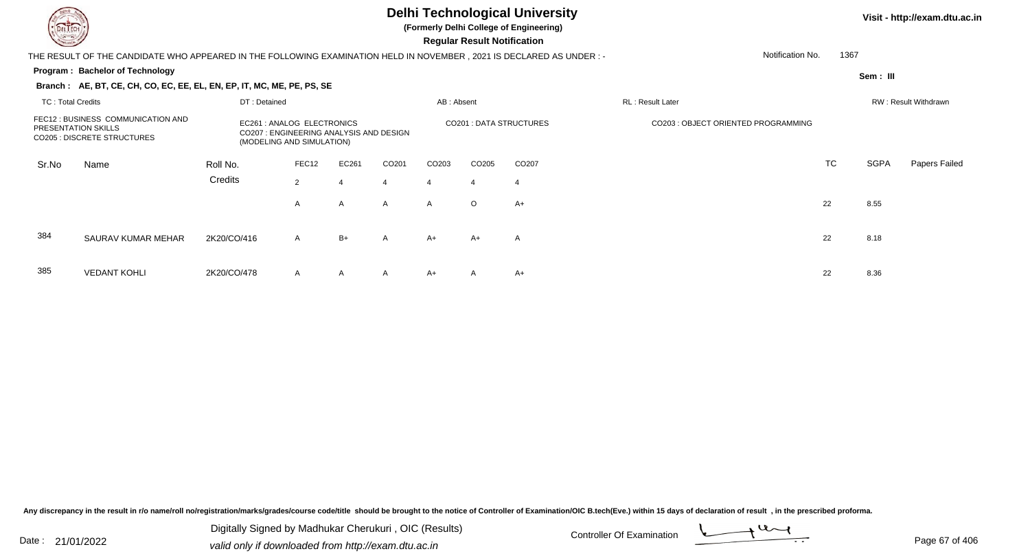**(Formerly Delhi College of Engineering)**

 **Regular Result Notification**

#### **Visit - http://exam.dtu.ac.in**

THE RESULT OF THE CANDIDATE WHO APPEARED IN THE FOLLOWING EXAMINATION HELD IN NOVEMBER , 2021 IS DECLARED AS UNDER : -Notification No.

#### **Program : Bachelor of Technology**

**Branch : AE, BT, CE, CH, CO, EC, EE, EL, EN, EP, IT, MC, ME, PE, PS, SE**

**Sem : III**

1367

|                                                                                                        | DT: Detained<br>TC: Total Credits |                                                         |                                         |              |              | AB: Absent   |                               |                                     | RL: Result Later |     | RW: Result Withdrawn |               |  |
|--------------------------------------------------------------------------------------------------------|-----------------------------------|---------------------------------------------------------|-----------------------------------------|--------------|--------------|--------------|-------------------------------|-------------------------------------|------------------|-----|----------------------|---------------|--|
| FEC12 : BUSINESS COMMUNICATION AND<br><b>PRESENTATION SKILLS</b><br><b>CO205 : DISCRETE STRUCTURES</b> |                                   | EC261 : ANALOG ELECTRONICS<br>(MODELING AND SIMULATION) | CO207 : ENGINEERING ANALYSIS AND DESIGN |              |              |              | <b>CO201: DATA STRUCTURES</b> | CO203 : OBJECT ORIENTED PROGRAMMING |                  |     |                      |               |  |
| Sr.No                                                                                                  | Name                              | Roll No.                                                | FEC12                                   | EC261        | CO201        | CO203        | CO <sub>205</sub>             | CO <sub>207</sub>                   |                  | TC. | SGPA                 | Papers Failed |  |
|                                                                                                        |                                   | Credits                                                 | 2                                       | -4           | 4            | 4            | 4                             | -4                                  |                  |     |                      |               |  |
|                                                                                                        |                                   |                                                         | $\mathsf{A}$                            | $\mathsf{A}$ | $\mathsf{A}$ | $\mathsf{A}$ | $\circ$                       | A+                                  |                  | 22  | 8.55                 |               |  |
| 384                                                                                                    | SAURAV KUMAR MEHAR                | 2K20/CO/416                                             | $\mathsf{A}$                            | $B+$         | $\mathsf{A}$ | A+           | $A+$                          | A                                   |                  | 22  | 8.18                 |               |  |
| 385                                                                                                    | <b>VEDANT KOHLI</b>               | 2K20/CO/478                                             | $\mathsf{A}$                            | $\mathsf{A}$ | $\mathsf{A}$ | A+           | $\mathsf{A}$                  | $A+$                                |                  | 22  | 8.36                 |               |  |

Any discrepancy in the result in r/o name/roll no/registration/marks/grades/course code/title should be brought to the notice of Controller of Examination/OIC B.tech(Eve.) within 15 days of declaration of result, in the pr

Date : 21/01/2022 Digital Digital of Microsofted Chemical Controller Of Examination Determination Page 67 of 40 Digitally Signed by Madhukar Cherukuri , OIC (Results)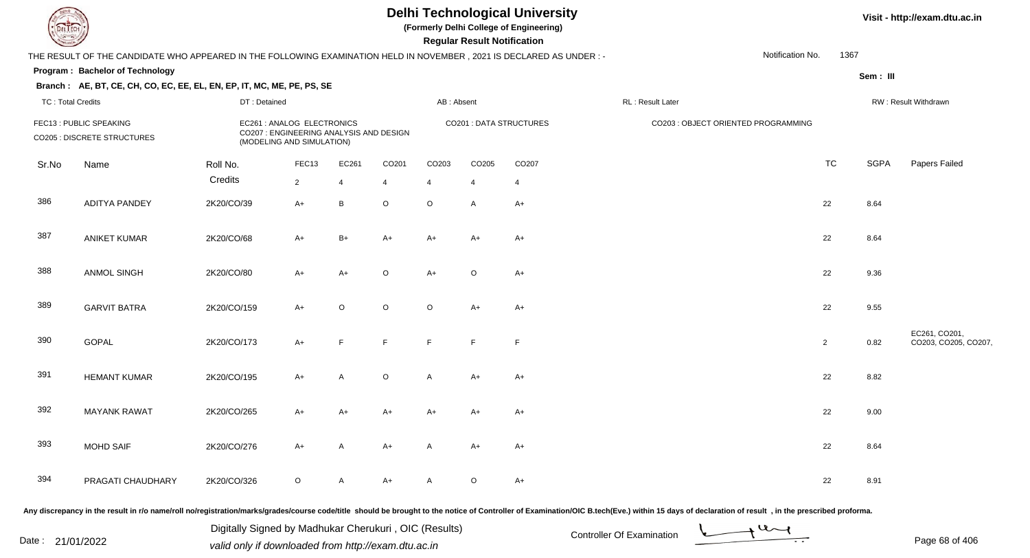**(Formerly Delhi College of Engineering)**

#### **Visit - http://exam.dtu.ac.in**

**Program : Bachelor of Technology Regular Result NotificationSem : III Branch : AE, BT, CE, CH, CO, EC, EE, EL, EN, EP, IT, MC, ME, PE, PS, SE**THE RESULT OF THE CANDIDATE WHO APPEARED IN THE FOLLOWING EXAMINATION HELD IN NOVEMBER , 2021 IS DECLARED AS UNDER : -TC : Total Credits DT : Detainedd AB : Absent RL : Result Later RW : Result Withdrawn Notification No. 1367Sr.NoName Roll No. **Credits** FEC13 : PUBLIC SPEAKING EC261 : ANALOG ELECTRONICS CO201 : DATA STRUCTURES CO203 : OBJECT ORIENTED PROGRAMMING CO205 : DISCRETE STRUCTURES CO207 : ENGINEERING ANALYSIS AND DESIGN (MODELING AND SIMULATION)FEC133 EC261 CO201 CO203 CO205 CO207 CO207 CO207 CO207 CO207 CO207 CO207 CO207 CO207 CO TC SGPA Papers Failed 22 4 4 4 4 4 386 ADITYA PANDEY 2K20/CO/39 A+ <sup>B</sup> <sup>O</sup> <sup>O</sup> <sup>A</sup> A+ <sup>22</sup> 8.64 387 ANIKET KUMARR 2K20/CO/68 A+ B+ A+ A+ A+ A+ A+ A+ C+ 22 8.64 388 ANMOL SINGH 2K20/CO/80 A+ A+ <sup>O</sup> A+ <sup>O</sup> A+ <sup>22</sup> 9.36 389 GARVIT BATRAA 2K20/CO/159 A+ O O O A+ A+ 390**GOPAL**  2K20/CO/173 A+ <sup>F</sup> <sup>F</sup> <sup>F</sup> <sup>F</sup> <sup>F</sup> <sup>2</sup> 0.82 EC261, CO201, CO203, CO205, CO207, 391 HEMANT KUMARR 2K20/CO/195 A+ A O A A+ A+ 392 MAYANK RAWAT 2K20/CO/265 A+ A+ A+ A+ A+ A+ <sup>22</sup> 9.00 393 MOHD SAIFF 2K20/CO/276 A+ A A+ A A+ A+ A+ A+ C+ 22 8.64 394 PRAGATI CHAUDHARYY 2K20/CO/326 O A A+ A O A+ <br>22 8.91

Any discrepancy in the result in r/o name/roll no/registration/marks/grades/course code/title should be brought to the notice of Controller of Examination/OIC B.tech(Eve.) within 15 days of declaration of result , in the p

Date : 21/01/2022 Digital Digital of Microsofted Chemical Controller Of Examination Determination Page 68 of 40

Digitally Signed by Madhukar Cherukuri , OIC (Results)

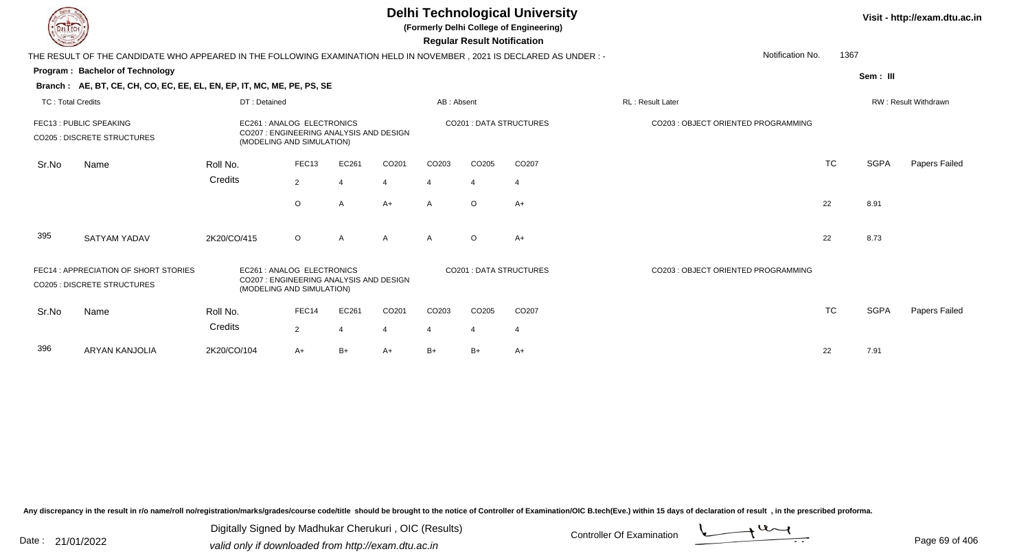| <b>DELTECH</b>           |                                                                                                                      |              |                                                                                                    |                          |       |            | <b>Regular Result Notification</b> | <b>Delhi Technological University</b><br>(Formerly Delhi College of Engineering) |                                     |           |             | Visit - http://exam.dtu.ac.in |
|--------------------------|----------------------------------------------------------------------------------------------------------------------|--------------|----------------------------------------------------------------------------------------------------|--------------------------|-------|------------|------------------------------------|----------------------------------------------------------------------------------|-------------------------------------|-----------|-------------|-------------------------------|
|                          | THE RESULT OF THE CANDIDATE WHO APPEARED IN THE FOLLOWING EXAMINATION HELD IN NOVEMBER, 2021 IS DECLARED AS UNDER :- |              |                                                                                                    |                          |       |            |                                    |                                                                                  | Notification No.                    | 1367      |             |                               |
|                          | Program: Bachelor of Technology                                                                                      |              |                                                                                                    |                          |       |            |                                    |                                                                                  |                                     |           | Sem: III    |                               |
|                          | Branch: AE, BT, CE, CH, CO, EC, EE, EL, EN, EP, IT, MC, ME, PE, PS, SE                                               |              |                                                                                                    |                          |       |            |                                    |                                                                                  |                                     |           |             |                               |
| <b>TC: Total Credits</b> |                                                                                                                      | DT: Detained |                                                                                                    |                          |       | AB: Absent |                                    |                                                                                  | <b>RL: Result Later</b>             |           |             | RW: Result Withdrawn          |
|                          | FEC13 : PUBLIC SPEAKING<br><b>CO205 : DISCRETE STRUCTURES</b>                                                        |              | EC261 : ANALOG ELECTRONICS<br>CO207 : ENGINEERING ANALYSIS AND DESIGN<br>(MODELING AND SIMULATION) |                          |       |            |                                    | CO201 : DATA STRUCTURES                                                          | CO203 : OBJECT ORIENTED PROGRAMMING |           |             |                               |
| Sr.No                    | Name                                                                                                                 | Roll No.     | FEC <sub>13</sub>                                                                                  | EC261                    | CO201 | CO203      | CO205                              | CO207                                                                            |                                     | TC        | <b>SGPA</b> | Papers Failed                 |
|                          |                                                                                                                      | Credits      | $\overline{2}$                                                                                     | $\overline{4}$           | 4     |            |                                    | $\overline{4}$                                                                   |                                     |           |             |                               |
|                          |                                                                                                                      |              | $\circ$                                                                                            | Α                        | $A+$  | A          | $\circ$                            | $A+$                                                                             |                                     | 22        | 8.91        |                               |
| 395                      | <b>SATYAM YADAV</b>                                                                                                  | 2K20/CO/415  | $\circ$                                                                                            | A                        | А     | A          | $\Omega$                           | $A+$                                                                             |                                     | 22        | 8.73        |                               |
|                          | FEC14 : APPRECIATION OF SHORT STORIES<br><b>CO205: DISCRETE STRUCTURES</b>                                           |              | EC261: ANALOG ELECTRONICS<br>CO207 : ENGINEERING ANALYSIS AND DESIGN<br>(MODELING AND SIMULATION)  |                          |       |            |                                    | CO201 : DATA STRUCTURES                                                          | CO203: OBJECT ORIENTED PROGRAMMING  |           |             |                               |
| Sr.No                    | Name                                                                                                                 | Roll No.     | FEC14                                                                                              | EC261                    | CO201 | CO203      | CO205                              | CO207                                                                            |                                     | <b>TC</b> | <b>SGPA</b> | Papers Failed                 |
|                          |                                                                                                                      | Credits      | $\overline{2}$                                                                                     | $\overline{\mathcal{A}}$ | 4     |            |                                    | 4                                                                                |                                     |           |             |                               |
| 396                      | <b>ARYAN KANJOLIA</b>                                                                                                | 2K20/CO/104  | A+                                                                                                 | $B+$                     | A+    | B+         | B+                                 | $A+$                                                                             |                                     | 22        | 7.91        |                               |

Any discrepancy in the result in r/o name/roll no/registration/marks/grades/course code/title should be brought to the notice of Controller of Examination/OIC B.tech(Eve.) within 15 days of declaration of result ,in the p

Digitally Signed by Madhukar Cherukuri, OIC (Results)<br>Date : 21/01/2022 valid only if downloaded from http://oxam.dtu.ac.in Digitally Signed by Madhukar Cherukuri , OIC (Results)valid only if downloaded from http://exam.dtu.ac.in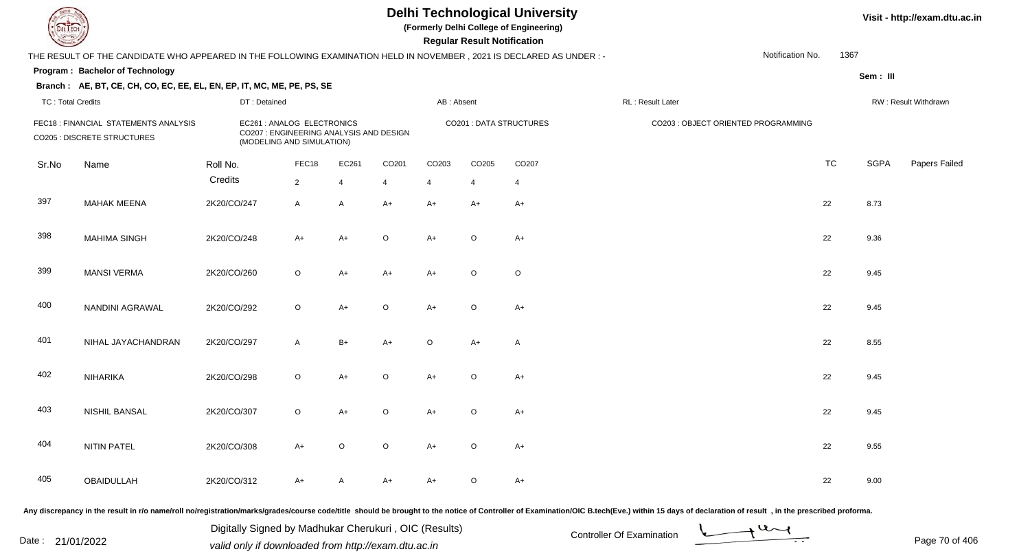**(Formerly Delhi College of Engineering)**

 **Regular Result Notification**

**Visit - http://exam.dtu.ac.in**

| <b>Courses A</b>         |                                                                                                                     |              |                                                                                                    |                         |                |                       | <b>Regular Result Notification</b> |                                |                   |                                     |           |             |                      |
|--------------------------|---------------------------------------------------------------------------------------------------------------------|--------------|----------------------------------------------------------------------------------------------------|-------------------------|----------------|-----------------------|------------------------------------|--------------------------------|-------------------|-------------------------------------|-----------|-------------|----------------------|
|                          | THE RESULT OF THE CANDIDATE WHO APPEARED IN THE FOLLOWING EXAMINATION HELD IN NOVEMBER, 2021 IS DECLARED AS UNDER:- |              |                                                                                                    |                         |                |                       |                                    |                                |                   | Notification No.                    | 1367      |             |                      |
|                          | Program: Bachelor of Technology                                                                                     |              |                                                                                                    |                         |                |                       |                                    |                                |                   |                                     |           | Sem: III    |                      |
|                          | Branch: AE, BT, CE, CH, CO, EC, EE, EL, EN, EP, IT, MC, ME, PE, PS, SE                                              |              |                                                                                                    |                         |                |                       |                                    |                                |                   |                                     |           |             |                      |
| <b>TC: Total Credits</b> |                                                                                                                     | DT: Detained |                                                                                                    |                         |                | AB: Absent            |                                    |                                | RL : Result Later |                                     |           |             | RW: Result Withdrawn |
|                          | FEC18 : FINANCIAL STATEMENTS ANALYSIS<br><b>CO205 : DISCRETE STRUCTURES</b>                                         |              | EC261 : ANALOG ELECTRONICS<br>CO207 : ENGINEERING ANALYSIS AND DESIGN<br>(MODELING AND SIMULATION) |                         |                |                       |                                    | <b>CO201 : DATA STRUCTURES</b> |                   | CO203 : OBJECT ORIENTED PROGRAMMING |           |             |                      |
| Sr.No                    | Name                                                                                                                | Roll No.     | FEC18                                                                                              | EC261                   | CO201          | CO203                 | CO205                              | CO207                          |                   |                                     | <b>TC</b> | <b>SGPA</b> | Papers Failed        |
|                          |                                                                                                                     | Credits      | $\overline{2}$                                                                                     | $\overline{\mathbf{A}}$ | $\overline{4}$ | $\boldsymbol{\Delta}$ | $\boldsymbol{\Delta}$              | $\overline{4}$                 |                   |                                     |           |             |                      |
| 397                      | <b>MAHAK MEENA</b>                                                                                                  | 2K20/CO/247  | $\mathsf{A}$                                                                                       | A                       | $A+$           | $A+$                  | $A+$                               | $A+$                           |                   |                                     | 22        | 8.73        |                      |
| 398                      | <b>MAHIMA SINGH</b>                                                                                                 | 2K20/CO/248  | $A+$                                                                                               | $A+$                    | $\circ$        | $A+$                  | $\circ$                            | $A+$                           |                   |                                     | 22        | 9.36        |                      |
| 399                      | <b>MANSI VERMA</b>                                                                                                  | 2K20/CO/260  | $\mathsf O$                                                                                        | A+                      | A+             | $A+$                  | $\circ$                            | $\circ$                        |                   |                                     | 22        | 9.45        |                      |
| 400                      | NANDINI AGRAWAL                                                                                                     | 2K20/CO/292  | $\circ$                                                                                            | $A+$                    | $\circ$        | $A+$                  | $\circ$                            | $A+$                           |                   |                                     | 22        | 9.45        |                      |
| 401                      | NIHAL JAYACHANDRAN                                                                                                  | 2K20/CO/297  | $\mathsf{A}$                                                                                       | $B+$                    | $A+$           | $\circ$               | $A+$                               | A                              |                   |                                     | 22        | 8.55        |                      |
| 402                      | <b>NIHARIKA</b>                                                                                                     | 2K20/CO/298  | $\circ$                                                                                            | $A+$                    | $\circ$        | $A+$                  | $\circ$                            | $A+$                           |                   |                                     | 22        | 9.45        |                      |
| 403                      | <b>NISHIL BANSAL</b>                                                                                                | 2K20/CO/307  | $\circ$                                                                                            | $A+$                    | $\circ$        | $A+$                  | $\circ$                            | $A+$                           |                   |                                     | 22        | 9.45        |                      |
| 404                      | <b>NITIN PATEL</b>                                                                                                  | 2K20/CO/308  | $A+$                                                                                               | $\circ$                 | $\circ$        | $A+$                  | $\circ$                            | $A+$                           |                   |                                     | 22        | 9.55        |                      |
| 405                      | OBAIDULLAH                                                                                                          | 2K20/CO/312  | $A+$                                                                                               | A                       | A+             | $A+$                  | $\circ$                            | $A+$                           |                   |                                     | 22        | 9.00        |                      |
|                          |                                                                                                                     |              |                                                                                                    |                         |                |                       |                                    |                                |                   |                                     |           |             |                      |

Any discrepancy in the result in r/o name/roll no/registration/marks/grades/course code/title should be brought to the notice of Controller of Examination/OIC B.tech(Eve.) within 15 days of declaration of result, in the pr

Date : 21/01/2022 Digital Digital of Microsofted Chemical Controller Of Examination Determination Page 70 of 40 Digitally Signed by Madhukar Cherukuri , OIC (Results)

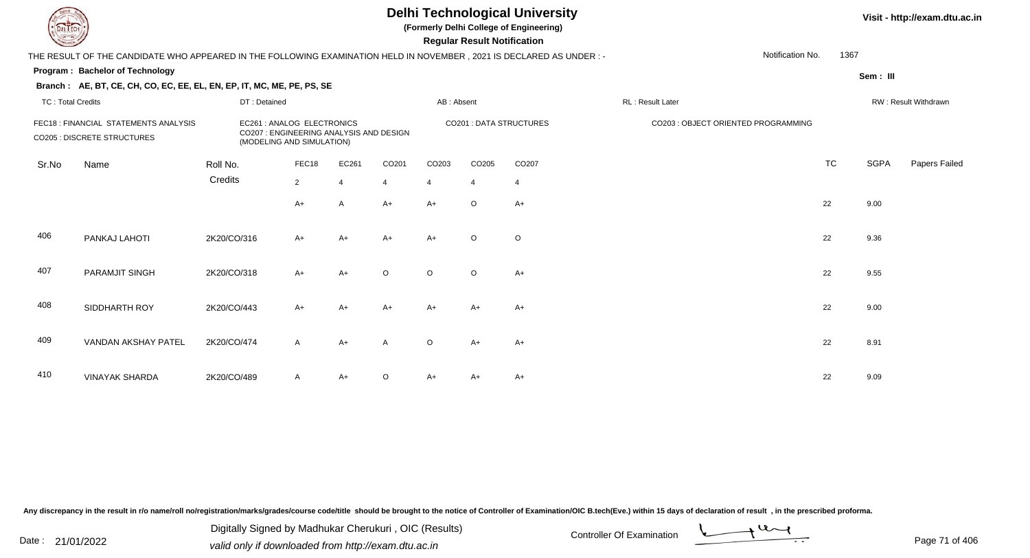**(Formerly Delhi College of Engineering)**

 **Regular Result Notification**

|                          | THE RESULT OF THE CANDIDATE WHO APPEARED IN THE FOLLOWING EXAMINATION HELD IN NOVEMBER , 2021 IS DECLARED AS UNDER :- |              |                                                                                                    |       |                |            |                |                         |                                     | Notification No. | 1367      |          |                      |
|--------------------------|-----------------------------------------------------------------------------------------------------------------------|--------------|----------------------------------------------------------------------------------------------------|-------|----------------|------------|----------------|-------------------------|-------------------------------------|------------------|-----------|----------|----------------------|
|                          | <b>Program: Bachelor of Technology</b>                                                                                |              |                                                                                                    |       |                |            |                |                         |                                     |                  |           | Sem: III |                      |
|                          | Branch: AE, BT, CE, CH, CO, EC, EE, EL, EN, EP, IT, MC, ME, PE, PS, SE                                                |              |                                                                                                    |       |                |            |                |                         |                                     |                  |           |          |                      |
| <b>TC: Total Credits</b> |                                                                                                                       | DT: Detained |                                                                                                    |       |                | AB: Absent |                |                         | RL: Result Later                    |                  |           |          | RW: Result Withdrawn |
|                          | FEC18 : FINANCIAL STATEMENTS ANALYSIS<br><b>CO205 : DISCRETE STRUCTURES</b>                                           |              | EC261 : ANALOG ELECTRONICS<br>CO207 : ENGINEERING ANALYSIS AND DESIGN<br>(MODELING AND SIMULATION) |       |                |            |                | CO201 : DATA STRUCTURES | CO203 : OBJECT ORIENTED PROGRAMMING |                  |           |          |                      |
| Sr.No                    | Name                                                                                                                  | Roll No.     | FEC18                                                                                              | EC261 | CO201          | CO203      | CO205          | CO207                   |                                     |                  | <b>TC</b> | SGPA     | Papers Failed        |
|                          |                                                                                                                       | Credits      | $\overline{2}$                                                                                     |       | $\overline{4}$ | 4          | $\overline{4}$ | $\overline{4}$          |                                     |                  |           |          |                      |
|                          |                                                                                                                       |              | $A+$                                                                                               | A     | $A+$           | $A+$       | $\circ$        | $A+$                    |                                     |                  | 22        | 9.00     |                      |
| 406                      | PANKAJ LAHOTI                                                                                                         | 2K20/CO/316  | $A+$                                                                                               | A+    | $A+$           | $A+$       | $\circ$        | $\circ$                 |                                     |                  | 22        | 9.36     |                      |
| 407                      | PARAMJIT SINGH                                                                                                        | 2K20/CO/318  | $A+$                                                                                               | $A+$  | $\circ$        | $\circ$    | $\circ$        | $A+$                    |                                     |                  | 22        | 9.55     |                      |
| 408                      | SIDDHARTH ROY                                                                                                         | 2K20/CO/443  | $A+$                                                                                               | A+    | $A+$           | $A+$       | A+             | $A+$                    |                                     |                  | 22        | 9.00     |                      |
| 409                      | VANDAN AKSHAY PATEL                                                                                                   | 2K20/CO/474  | $\mathsf{A}$                                                                                       | A+    | A              | $\circ$    | $A+$           | $A+$                    |                                     |                  | 22        | 8.91     |                      |
| 410                      | <b>VINAYAK SHARDA</b>                                                                                                 | 2K20/CO/489  | $\mathsf{A}$                                                                                       | A+    | $\circ$        | A+         | A+             | $A+$                    |                                     |                  | 22        | 9.09     |                      |

Any discrepancy in the result in r/o name/roll no/registration/marks/grades/course code/title should be brought to the notice of Controller of Examination/OIC B.tech(Eve.) within 15 days of declaration of result, in the pr

Date : 21/01/2022 Digital Digital of Microsofted Chemical Controller Of Examination Determination Page 71 of 40 Digitally Signed by Madhukar Cherukuri , OIC (Results)

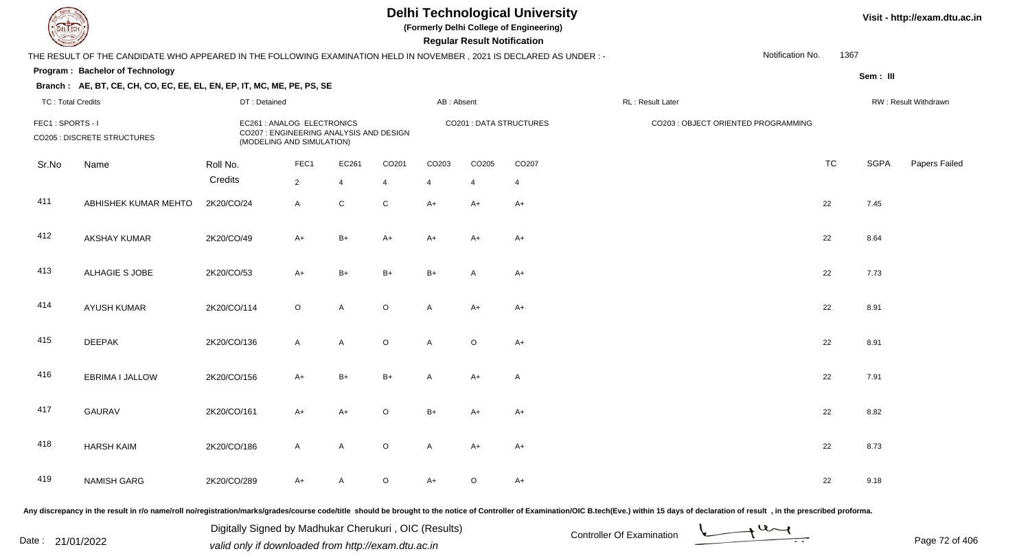**(Formerly Delhi College of Engineering)**

 **Regular Result Notification**

#### **Visit - http://exam.dtu.ac.in**

| Notification No.<br>THE RESULT OF THE CANDIDATE WHO APPEARED IN THE FOLLOWING EXAMINATION HELD IN NOVEMBER, 2021 IS DECLARED AS UNDER :- |                                 |                                                                                                    |                |                |                |                         |                |                  |                                     |  | 1367      |             |               |
|------------------------------------------------------------------------------------------------------------------------------------------|---------------------------------|----------------------------------------------------------------------------------------------------|----------------|----------------|----------------|-------------------------|----------------|------------------|-------------------------------------|--|-----------|-------------|---------------|
|                                                                                                                                          | Program: Bachelor of Technology |                                                                                                    |                |                |                |                         |                |                  |                                     |  |           | Sem : III   |               |
| Branch: AE, BT, CE, CH, CO, EC, EE, EL, EN, EP, IT, MC, ME, PE, PS, SE<br><b>TC: Total Credits</b><br>DT: Detained                       |                                 |                                                                                                    |                |                | AB: Absent     |                         |                | RL: Result Later | RW: Result Withdrawn                |  |           |             |               |
| FEC1: SPORTS - I<br><b>CO205 : DISCRETE STRUCTURES</b>                                                                                   |                                 | EC261 : ANALOG ELECTRONICS<br>CO207 : ENGINEERING ANALYSIS AND DESIGN<br>(MODELING AND SIMULATION) |                |                |                | CO201 : DATA STRUCTURES |                |                  | CO203 : OBJECT ORIENTED PROGRAMMING |  |           |             |               |
| Sr.No                                                                                                                                    | Name                            | Roll No.                                                                                           | FEC1           | EC261          | CO201          | CO203                   | CO205          | CO207            |                                     |  | <b>TC</b> | <b>SGPA</b> | Papers Failec |
|                                                                                                                                          |                                 | Credits                                                                                            | $\overline{2}$ | $\overline{4}$ | $\overline{4}$ | $\overline{4}$          | $\overline{4}$ | $\overline{4}$   |                                     |  |           |             |               |
| 411                                                                                                                                      | ABHISHEK KUMAR MEHTO            | 2K20/CO/24                                                                                         | $\mathsf{A}$   | $\mathsf C$    | $\mathbf C$    | $A+$                    | A+             | $A+$             |                                     |  | 22        | 7.45        |               |
| 412                                                                                                                                      | AKSHAY KUMAR                    | 2K20/CO/49                                                                                         | $A+$           | $B+$           | $A+$           | $A+$                    | A+             | $A+$             |                                     |  | 22        | 8.64        |               |
| 413                                                                                                                                      | ALHAGIE S JOBE                  | 2K20/CO/53                                                                                         | $A+$           | $B+$           | $B+$           | $B+$                    | Α              | $A+$             |                                     |  | 22        | 7.73        |               |
| 414                                                                                                                                      | <b>AYUSH KUMAR</b>              | 2K20/CO/114                                                                                        | $\circ$        | A              | $\circ$        | A                       | A+             | $A+$             |                                     |  | 22        | 8.91        |               |
| 415                                                                                                                                      | <b>DEEPAK</b>                   | 2K20/CO/136                                                                                        | $\mathsf{A}$   | A              | $\mathsf O$    | A                       | $\circ$        | $A+$             |                                     |  | 22        | 8.91        |               |
| 416                                                                                                                                      | EBRIMA I JALLOW                 | 2K20/CO/156                                                                                        | $A+$           | $B+$           | $B+$           | A                       | A+             | $\mathsf{A}$     |                                     |  | 22        | 7.91        |               |
| 417                                                                                                                                      | <b>GAURAV</b>                   | 2K20/CO/161                                                                                        | $A+$           | $A+$           | $\mathsf O$    | $B+$                    | A+             | $A+$             |                                     |  | 22        | 8.82        |               |
| 418                                                                                                                                      | <b>HARSH KAIM</b>               | 2K20/CO/186                                                                                        | $\mathsf{A}$   | A              | $\mathsf O$    | A                       | $A+$           | $A+$             |                                     |  | 22        | 8.73        |               |
| 419                                                                                                                                      | <b>NAMISH GARG</b>              | 2K20/CO/289                                                                                        | A+             | A              | $\mathsf O$    | $A+$                    | $\circ$        | $A+$             |                                     |  | 22        | 9.18        |               |

Any discrepancy in the result in r/o name/roll no/registration/marks/grades/course code/title should be brought to the notice of Controller of Examination/OIC B.tech(Eve.) within 15 days of declaration of result, in the pr

Date : 21/01/2022 Digital Digital of Microsofted Controller Of Examination Determination Page 72 of 40

Digitally Signed by Madhukar Cherukuri , OIC (Results)

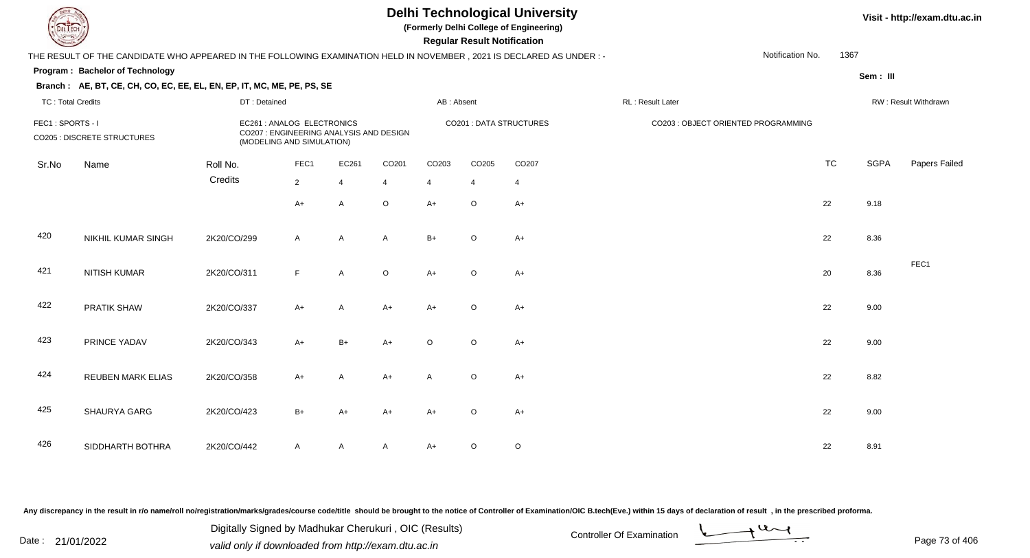**(Formerly Delhi College of Engineering)**

#### **Visit - http://exam.dtu.ac.in**

**Program : Bachelor of Technology Regular Result NotificationSem : III Branch : AE, BT, CE, CH, CO, EC, EE, EL, EN, EP, IT, MC, ME, PE, PS, SE**THE RESULT OF THE CANDIDATE WHO APPEARED IN THE FOLLOWING EXAMINATION HELD IN NOVEMBER , 2021 IS DECLARED AS UNDER : -TC : Total Credits DT : Detainedd AB : Absent RL : Result Later RW : Result Withdrawn Notification No. 1367Sr.NoName Roll No. **Credits** FEC1 : SPORTS - I EC261 : ANALOG ELECTRONICS CO201 : DATA STRUCTURES CO203 : OBJECT ORIENTED PROGRAMMINGCO205 : DISCRETE STRUCTURES CO207 : ENGINEERING ANALYSIS AND DESIGN (MODELING AND SIMULATION)FEC1 EC261 CO201 CO203 CO205 CO207 TCTC SGPA Papers Failed 22 4 4 4 4 4  $A+$  <sup>A</sup> <sup>O</sup> A+ <sup>O</sup> A+ <sup>22</sup> 9.18 420 NIKHIL KUMAR SINGHH 2K20/CO/299 A A A B+ O A+ 421 NITISH KUMARR 2K20/CO/311 F A O A+ O A+ FEC1422 PRATIK SHAWW 2K20/CO/337 A+ A A+ A+ O A+ <br>22 9.00 423 PRINCE YADAVV 2K20/CO/343 A+ B+ A+ O O A+ 22 9.00 424 REUBEN MARK ELIASS 2K20/CO/358 A+ A A+ A O A+ 425 SHAURYA GARG2K20/CO/423 B+ A+ A+ A+ <sup>O</sup> A+ <sup>22</sup> 9.00

A 2K20/CO/442 A A A A A+ O O

Any discrepancy in the result in r/o name/roll no/registration/marks/grades/course code/title should be brought to the notice of Controller of Examination/OIC B.tech(Eve.) within 15 days of declaration of result , in the p

SIDDHARTH BOTHRA

426

Date : 21/01/2022 Digital Digital of Microsofted Chemical Controller Of Examination Determination Page 73 of 40 Digitally Signed by Madhukar Cherukuri , OIC (Results)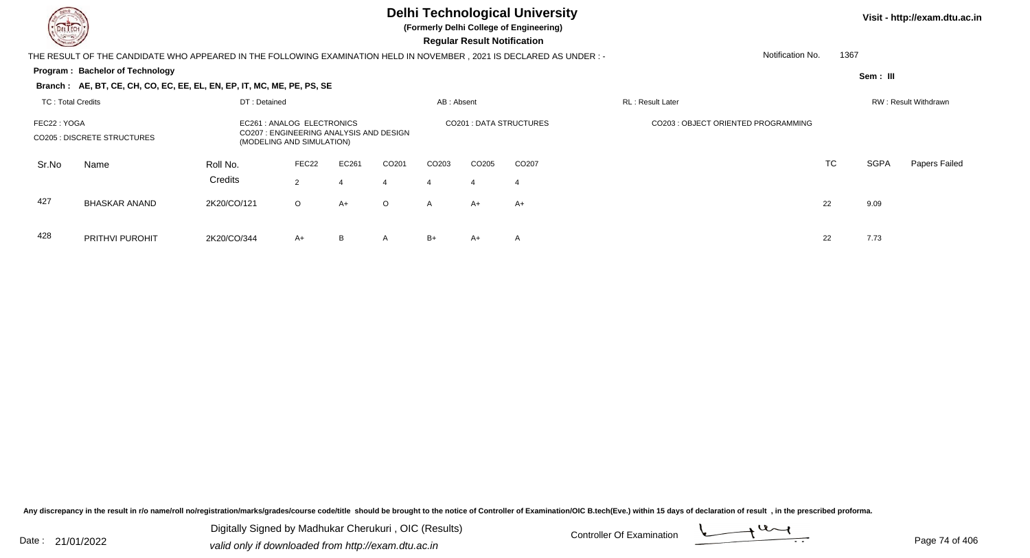

**(Formerly Delhi College of Engineering)**

 **Regular Result Notification**

**Visit - http://exam.dtu.ac.in**

**Program : Bachelor of Technology** THE RESULT OF THE CANDIDATE WHO APPEARED IN THE FOLLOWING EXAMINATION HELD IN NOVEMBER , 2021 IS DECLARED AS UNDER : -**Sem : III Branch : AE, BT, CE, CH, CO, EC, EE, EL, EN, EP, IT, MC, ME, PE, PS, SE**TC : Total Credits DT : Detainedd AB : Absent RL : Result Later RW : Result Withdrawn Notification No. 1367Sr.NoName Roll No. **Credits** FEC22 : YOGA EC261 : ANALOG ELECTRONICS CO201 : DATA STRUCTURES CO203 : OBJECT ORIENTED PROGRAMMINGCO205 : DISCRETE STRUCTURES CO207 : ENGINEERING ANALYSIS AND DESIGN (MODELING AND SIMULATION)FEC22 EC261 CO201 CO203 CO205 CO207 TCTC SGPA Papers Failed 22 4 4 4 4 4 427 BHASKAR ANANDD 2K20/CO/121 O A+ O A A+ A+  $+$  A+  $+$  A+  $+$  22 9.09

428 PRITHVI PUROHITT 2K20/CO/344 A+ B A B+ A+ A 22 7.73

Any discrepancy in the result in r/o name/roll no/registration/marks/grades/course code/title should be brought to the notice of Controller of Examination/OIC B.tech(Eve.) within 15 days of declaration of result , in the p

Date : 21/01/2022 Digital Digital of Microsofted Chemical Controller Of Examination Determination Page 74 of 40 Digitally Signed by Madhukar Cherukuri , OIC (Results)

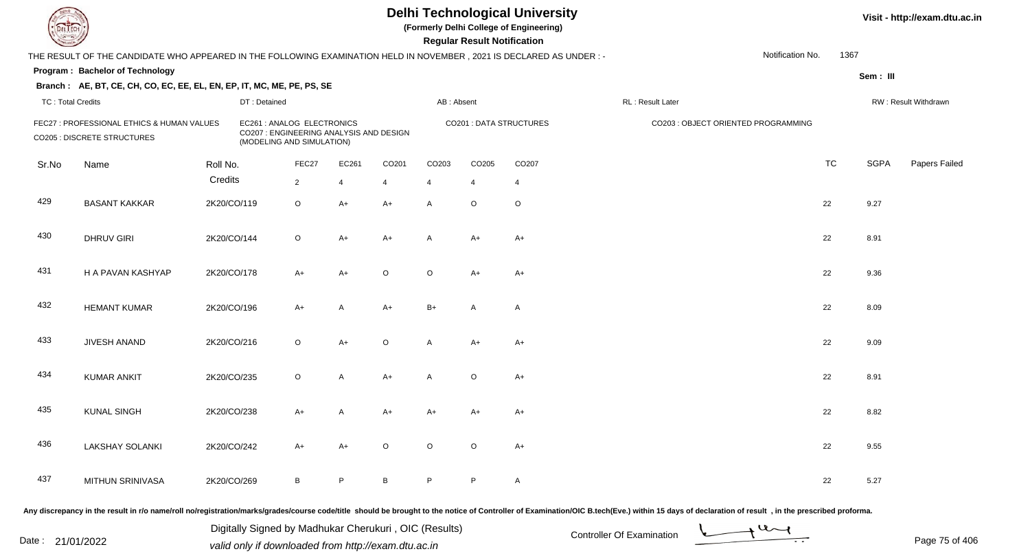**(Formerly Delhi College of Engineering)**

 **Regular Result Notification**

| $\sim$                   |                                                                                                                                                                                                                                |             |                                                                                                    |                |                |                |              | n <del>c</del> yuman n <del>c</del> sun noumcauom |                         |                   |                                     |                  |           |             |                      |
|--------------------------|--------------------------------------------------------------------------------------------------------------------------------------------------------------------------------------------------------------------------------|-------------|----------------------------------------------------------------------------------------------------|----------------|----------------|----------------|--------------|---------------------------------------------------|-------------------------|-------------------|-------------------------------------|------------------|-----------|-------------|----------------------|
|                          | THE RESULT OF THE CANDIDATE WHO APPEARED IN THE FOLLOWING EXAMINATION HELD IN NOVEMBER, 2021 IS DECLARED AS UNDER :-                                                                                                           |             |                                                                                                    |                |                |                |              |                                                   |                         |                   |                                     | Notification No. | 1367      |             |                      |
|                          | Program: Bachelor of Technology                                                                                                                                                                                                |             |                                                                                                    |                |                |                |              |                                                   |                         |                   |                                     |                  |           | Sem: III    |                      |
|                          | Branch: AE, BT, CE, CH, CO, EC, EE, EL, EN, EP, IT, MC, ME, PE, PS, SE                                                                                                                                                         |             |                                                                                                    |                |                |                |              |                                                   |                         |                   |                                     |                  |           |             |                      |
| <b>TC: Total Credits</b> |                                                                                                                                                                                                                                |             | DT: Detained                                                                                       |                |                |                | AB: Absent   |                                                   |                         | RL : Result Later |                                     |                  |           |             | RW: Result Withdrawn |
|                          | FEC27 : PROFESSIONAL ETHICS & HUMAN VALUES<br>CO205 : DISCRETE STRUCTURES                                                                                                                                                      |             | EC261 : ANALOG ELECTRONICS<br>CO207 : ENGINEERING ANALYSIS AND DESIGN<br>(MODELING AND SIMULATION) |                |                |                |              |                                                   | CO201 : DATA STRUCTURES |                   | CO203 : OBJECT ORIENTED PROGRAMMING |                  |           |             |                      |
| Sr.No                    | Name                                                                                                                                                                                                                           | Roll No.    |                                                                                                    | FEC27          | EC261          | CO201          | CO203        | CO205                                             | CO207                   |                   |                                     |                  | <b>TC</b> | <b>SGPA</b> | Papers Failed        |
|                          |                                                                                                                                                                                                                                | Credits     |                                                                                                    | $\overline{2}$ | $\overline{4}$ | $\overline{4}$ | 4            | $\overline{4}$                                    | $\overline{4}$          |                   |                                     |                  |           |             |                      |
| 429                      | <b>BASANT KAKKAR</b>                                                                                                                                                                                                           | 2K20/CO/119 |                                                                                                    | $\circ$        | $A+$           | $A+$           | A            | $\circ$                                           | $\circ$                 |                   |                                     |                  | 22        | 9.27        |                      |
| 430                      | <b>DHRUV GIRI</b>                                                                                                                                                                                                              | 2K20/CO/144 |                                                                                                    | $\circ$        | $A+$           | $A+$           | $\mathsf{A}$ | $A+$                                              | $A+$                    |                   |                                     |                  | 22        | 8.91        |                      |
| 431                      | H A PAVAN KASHYAP                                                                                                                                                                                                              | 2K20/CO/178 |                                                                                                    | $A+$           | $A+$           | $\circ$        | $\circ$      | $A+$                                              | $A+$                    |                   |                                     |                  | 22        | 9.36        |                      |
| 432                      | <b>HEMANT KUMAR</b>                                                                                                                                                                                                            | 2K20/CO/196 |                                                                                                    | $A+$           | $\mathsf{A}$   | $A+$           | $B+$         | A                                                 | A                       |                   |                                     |                  | 22        | 8.09        |                      |
| 433                      | JIVESH ANAND                                                                                                                                                                                                                   | 2K20/CO/216 |                                                                                                    | $\circ$        | $A+$           | $\circ$        | A            | $A+$                                              | $A+$                    |                   |                                     |                  | 22        | 9.09        |                      |
| 434                      | <b>KUMAR ANKIT</b>                                                                                                                                                                                                             | 2K20/CO/235 |                                                                                                    | $\circ$        | A              | $A+$           | A            | $\circ$                                           | $A+$                    |                   |                                     |                  | 22        | 8.91        |                      |
| 435                      | <b>KUNAL SINGH</b>                                                                                                                                                                                                             | 2K20/CO/238 |                                                                                                    | $A+$           | A              | $A+$           | $A+$         | $A+$                                              | $A+$                    |                   |                                     |                  | 22        | 8.82        |                      |
| 436                      | <b>LAKSHAY SOLANKI</b>                                                                                                                                                                                                         | 2K20/CO/242 |                                                                                                    | $A+$           | $A+$           | $\circ$        | $\circ$      | $\circ$                                           | $A+$                    |                   |                                     |                  | 22        | 9.55        |                      |
| 437                      | MITHUN SRINIVASA                                                                                                                                                                                                               | 2K20/CO/269 |                                                                                                    | $\, {\sf B}$   | P.             | B              | P            | $\mathsf{P}$                                      | A                       |                   |                                     |                  | 22        | 5.27        |                      |
|                          | andizero and in the special in the special includiodical constants for the contract of the contract of the second in the contract of Contraction (OD Deap (Fig. ) within 4E december of special in the proceding production of |             |                                                                                                    |                |                |                |              |                                                   |                         |                   |                                     |                  |           |             |                      |

Any discrepancy in the result in r/o name/roll no/registration/marks/grades/course code/title should be brought to the notice of Controller of Examination/OIC B.tech(Eve.) within 15 days of declaration of result ,in the p

Date : 21/01/2022 Digital Digital of Microsofted Chemical Controller Of Examination Determination Page 75 of 40 Digitally Signed by Madhukar Cherukuri , OIC (Results)

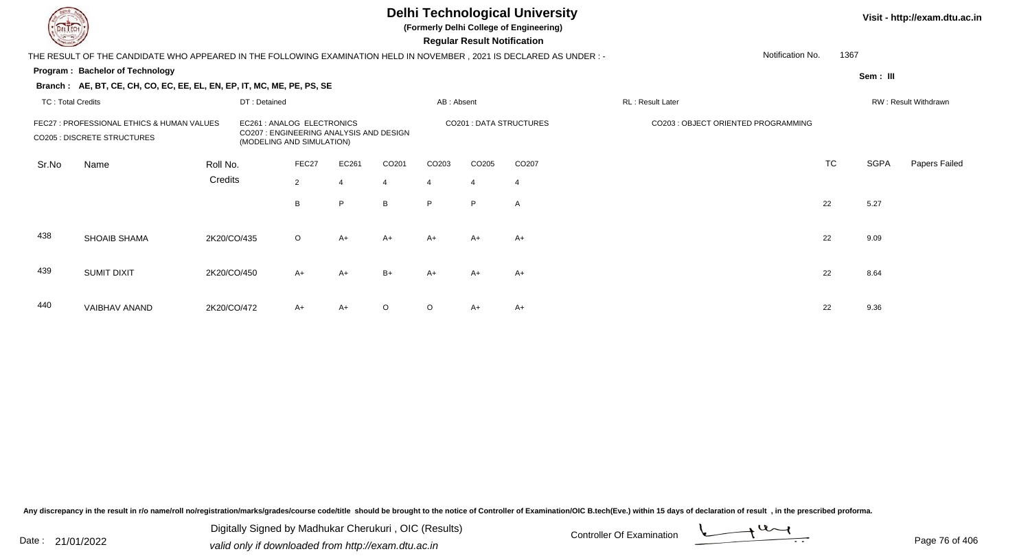**(Formerly Delhi College of Engineering)**

 **Regular Result Notification**

| $\overline{\phantom{a}}$                                                         |                                                                                                                      |             |                                                                                                   |             |       |         |                         | <b>Regular Result Notification</b> |                   |                                     |           |           |                      |
|----------------------------------------------------------------------------------|----------------------------------------------------------------------------------------------------------------------|-------------|---------------------------------------------------------------------------------------------------|-------------|-------|---------|-------------------------|------------------------------------|-------------------|-------------------------------------|-----------|-----------|----------------------|
|                                                                                  | THE RESULT OF THE CANDIDATE WHO APPEARED IN THE FOLLOWING EXAMINATION HELD IN NOVEMBER, 2021 IS DECLARED AS UNDER :- |             |                                                                                                   |             |       |         |                         |                                    |                   | Notification No.                    | 1367      |           |                      |
|                                                                                  | Program: Bachelor of Technology                                                                                      |             |                                                                                                   |             |       |         |                         |                                    |                   |                                     |           | Sem : III |                      |
|                                                                                  | Branch: AE, BT, CE, CH, CO, EC, EE, EL, EN, EP, IT, MC, ME, PE, PS, SE                                               |             |                                                                                                   |             |       |         |                         |                                    |                   |                                     |           |           |                      |
|                                                                                  | <b>TC: Total Credits</b><br>DT: Detained                                                                             |             |                                                                                                   |             |       |         | AB: Absent              |                                    |                   | RL: Result Later                    |           |           | RW: Result Withdrawn |
| FEC27 : PROFESSIONAL ETHICS & HUMAN VALUES<br><b>CO205 : DISCRETE STRUCTURES</b> |                                                                                                                      |             | EC261: ANALOG ELECTRONICS<br>CO207 : ENGINEERING ANALYSIS AND DESIGN<br>(MODELING AND SIMULATION) |             |       |         | CO201 : DATA STRUCTURES |                                    |                   | CO203 : OBJECT ORIENTED PROGRAMMING |           |           |                      |
| Sr.No                                                                            | Name                                                                                                                 | Roll No.    |                                                                                                   | FEC27       | EC261 | CO201   | CO203                   | CO205                              | CO <sub>207</sub> |                                     | <b>TC</b> | SGPA      | Papers Failed        |
|                                                                                  |                                                                                                                      | Credits     |                                                                                                   | $2^{\circ}$ |       | 4       | 4                       | 4                                  | 4                 |                                     |           |           |                      |
|                                                                                  |                                                                                                                      |             |                                                                                                   | B           | P     | B       | P                       | P                                  | A                 |                                     | 22        | 5.27      |                      |
| 438                                                                              | SHOAIB SHAMA                                                                                                         | 2K20/CO/435 |                                                                                                   | $\circ$     | $A+$  | $A+$    | $A+$                    | A+                                 | $A+$              |                                     | 22        | 9.09      |                      |
| 439                                                                              | <b>SUMIT DIXIT</b>                                                                                                   | 2K20/CO/450 |                                                                                                   | $A+$        | A+    | $B+$    | $A+$                    | $A+$                               | $A+$              |                                     | 22        | 8.64      |                      |
| 440                                                                              | VAIBHAV ANAND                                                                                                        | 2K20/CO/472 |                                                                                                   | $A+$        | A+    | $\circ$ | $\circ$                 | A+                                 | A+                |                                     | 22        | 9.36      |                      |

Any discrepancy in the result in r/o name/roll no/registration/marks/grades/course code/title should be brought to the notice of Controller of Examination/OIC B.tech(Eve.) within 15 days of declaration of result, in the pr

Date : 21/01/2022 Digital Digital of Microsofted Chemical Controller Of Examination Determination Page 76 of 40 Digitally Signed by Madhukar Cherukuri , OIC (Results)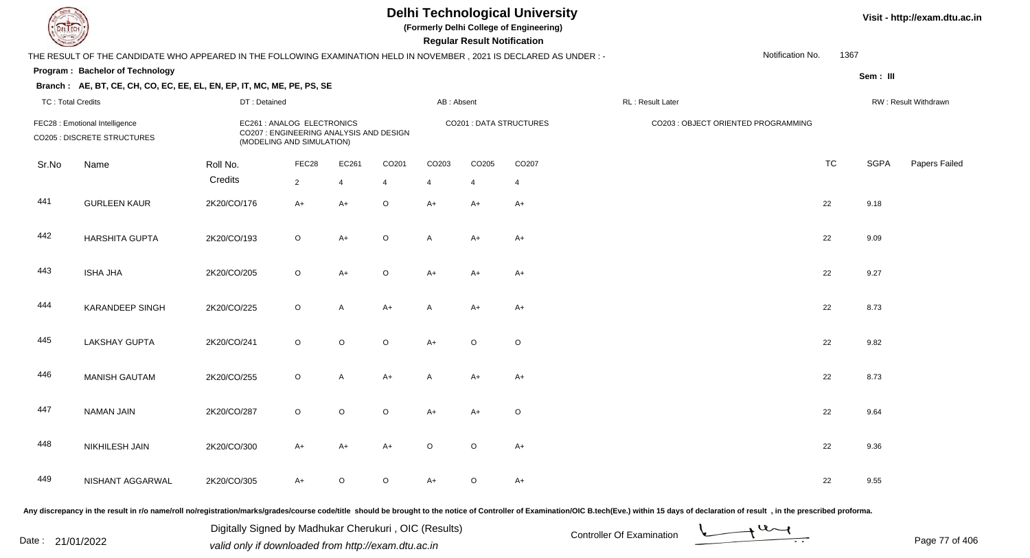**(Formerly Delhi College of Engineering)**

 **Regular Result Notification**

#### **Visit - http://exam.dtu.ac.in**

|                          | THE RESULT OF THE CANDIDATE WHO APPEARED IN THE FOLLOWING EXAMINATION HELD IN NOVEMBER, 2021 IS DECLARED AS UNDER :- |              |                                                                                                    |         |                |                |         |                                |                                     | Notification No. | 1367      |             |                      |
|--------------------------|----------------------------------------------------------------------------------------------------------------------|--------------|----------------------------------------------------------------------------------------------------|---------|----------------|----------------|---------|--------------------------------|-------------------------------------|------------------|-----------|-------------|----------------------|
|                          | Program: Bachelor of Technology<br>Branch: AE, BT, CE, CH, CO, EC, EE, EL, EN, EP, IT, MC, ME, PE, PS, SE            |              |                                                                                                    |         |                |                |         |                                |                                     |                  |           | Sem : III   |                      |
| <b>TC: Total Credits</b> |                                                                                                                      | DT: Detained |                                                                                                    |         |                | AB: Absent     |         |                                | RL: Result Later                    |                  |           |             | RW: Result Withdrawn |
|                          | FEC28 : Emotional Intelligence<br><b>CO205 : DISCRETE STRUCTURES</b>                                                 |              | EC261 : ANALOG ELECTRONICS<br>CO207 : ENGINEERING ANALYSIS AND DESIGN<br>(MODELING AND SIMULATION) |         |                |                |         | <b>CO201 : DATA STRUCTURES</b> | CO203 : OBJECT ORIENTED PROGRAMMING |                  |           |             |                      |
| Sr.No                    | Name                                                                                                                 | Roll No.     | FEC28                                                                                              | EC261   | CO201          | CO203          | CO205   | CO207                          |                                     |                  | <b>TC</b> | <b>SGPA</b> | Papers Failec        |
|                          |                                                                                                                      | Credits      | $\overline{2}$                                                                                     | 4       | $\overline{4}$ | $\overline{4}$ | 4       | $\overline{4}$                 |                                     |                  |           |             |                      |
| 441                      | <b>GURLEEN KAUR</b>                                                                                                  | 2K20/CO/176  | $A+$                                                                                               | $A+$    | $\mathsf O$    | $A+$           | A+      | $A+$                           |                                     |                  | 22        | 9.18        |                      |
| 442                      | <b>HARSHITA GUPTA</b>                                                                                                | 2K20/CO/193  | $\circ$                                                                                            | $A+$    | $\circ$        | A              | $A+$    | $A+$                           |                                     |                  | 22        | 9.09        |                      |
| 443                      | <b>ISHA JHA</b>                                                                                                      | 2K20/CO/205  | $\circ$                                                                                            | $A+$    | $\mathsf O$    | $A+$           | A+      | $A+$                           |                                     |                  | 22        | 9.27        |                      |
| 444                      | KARANDEEP SINGH                                                                                                      | 2K20/CO/225  | $\circ$                                                                                            | A       | $A+$           | Α              | A+      | $A+$                           |                                     |                  | 22        | 8.73        |                      |
| 445                      | <b>LAKSHAY GUPTA</b>                                                                                                 | 2K20/CO/241  | $\circ$                                                                                            | $\circ$ | $\mathsf O$    | $A+$           | $\circ$ | $\circ$                        |                                     |                  | 22        | 9.82        |                      |
| 446                      | <b>MANISH GAUTAM</b>                                                                                                 | 2K20/CO/255  | $\circ$                                                                                            | A       | $A+$           | A              | A+      | $A+$                           |                                     |                  | 22        | 8.73        |                      |
| 447                      | <b>NAMAN JAIN</b>                                                                                                    | 2K20/CO/287  | $\circ$                                                                                            | $\circ$ | $\circ$        | $A+$           | A+      | $\circ$                        |                                     |                  | 22        | 9.64        |                      |
| 448                      | NIKHILESH JAIN                                                                                                       | 2K20/CO/300  | $A+$                                                                                               | $A+$    | $A+$           | O              | $\circ$ | $A+$                           |                                     |                  | 22        | 9.36        |                      |
| 449                      | NISHANT AGGARWAL                                                                                                     | 2K20/CO/305  | $A+$                                                                                               | $\circ$ | $\mathsf O$    | $A+$           | $\circ$ | $A+$                           |                                     |                  | 22        | 9.55        |                      |

Any discrepancy in the result in r/o name/roll no/registration/marks/grades/course code/title should be brought to the notice of Controller of Examination/OIC B.tech(Eve.) within 15 days of declaration of result, in the pr

Date : 21/01/2022 Digital Digital of Microsofted Chemical Controller Of Examination Determination Page 77 of 40 Digitally Signed by Madhukar Cherukuri , OIC (Results)

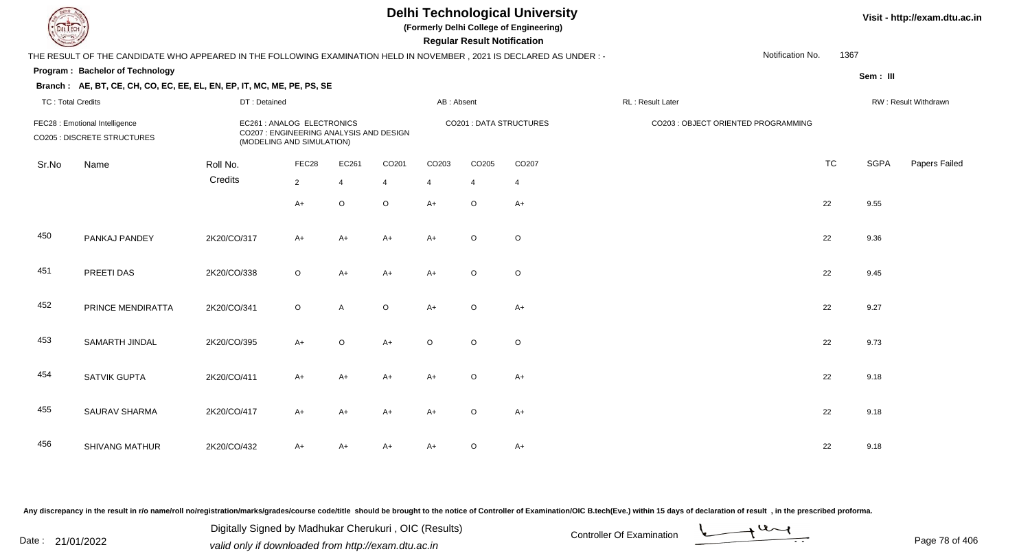**(Formerly Delhi College of Engineering)**

 **Regular Result Notification**

#### **Visit - http://exam.dtu.ac.in**

**Program : Bachelor of TechnologySem : III Branch : AE, BT, CE, CH, CO, EC, EE, EL, EN, EP, IT, MC, ME, PE, PS, SE**THE RESULT OF THE CANDIDATE WHO APPEARED IN THE FOLLOWING EXAMINATION HELD IN NOVEMBER , 2021 IS DECLARED AS UNDER : -TC : Total Credits DT : Detainedd AB : Absent RL : Result Later RW : Result Withdrawn Notification No. 1367Sr.NoName Roll No. **Credits** FEC28 : Emotional Intelligence EC261 : ANALOG ELECTRONICS CO201 : DATA STRUCTURES CO203 : OBJECT ORIENTED PROGRAMMINGCO205 : DISCRETE STRUCTURES CO207 : ENGINEERING ANALYSIS AND DESIGN (MODELING AND SIMULATION)FEC288 EC261 CO201 CO203 CO205 CO207 CO207 CO207 CO207 CO207 CO207 CO207 CO207 CO207 CO TC SGPA Papers Failed 22 4 4 4 4 4  $A+$  <sup>O</sup>O O A+ O A+  $22$  9.55 450 PANKAJ PANDEY 2K20/CO/317 A+ A+ A+ A+ <sup>O</sup> <sup>O</sup> <sup>22</sup> 9.36 451 PREETI DASS 2K20/CO/338 O A+ A+ A+ O O 452 PRINCE MENDIRATTAA 2K20/CO/341 O A O A+ O A+ 453 SAMARTH JINDAL 2K20/CO/395 A+ <sup>O</sup>O A+ O O O 22 9.73 454 SATVIK GUPTAA 2K20/CO/411 A+ A+ A+ A+ A+ O A+ 455 SAURAV SHARMAA 2K20/CO/417 A+ A+ A+ A+ A+ O A+ 456 SHIVANG MATHURR 2K20/CO/432 A+ A+ A+ A+ A+ O A+

Any discrepancy in the result in r/o name/roll no/registration/marks/grades/course code/title should be brought to the notice of Controller of Examination/OIC B.tech(Eve.) within 15 days of declaration of result , in the p

Date : 21/01/2022 Digital Digital of Microsofted Chemical Controller Of Examination Determination Page 78 of 40 Digitally Signed by Madhukar Cherukuri , OIC (Results)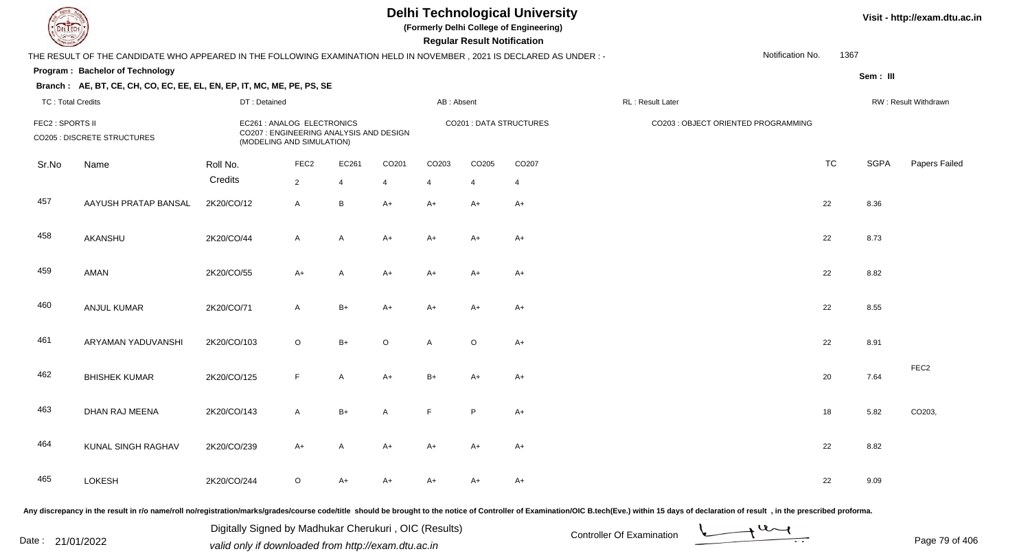**(Formerly Delhi College of Engineering)**

 **Regular Result Notification**

|                          | THE RESULT OF THE CANDIDATE WHO APPEARED IN THE FOLLOWING EXAMINATION HELD IN NOVEMBER, 2021 IS DECLARED AS UNDER :- |              |                                                                                                    |                 |              |                   |         |                         |                                                                                                                                                                                                                                | Notification No. | 1367 |             |                      |
|--------------------------|----------------------------------------------------------------------------------------------------------------------|--------------|----------------------------------------------------------------------------------------------------|-----------------|--------------|-------------------|---------|-------------------------|--------------------------------------------------------------------------------------------------------------------------------------------------------------------------------------------------------------------------------|------------------|------|-------------|----------------------|
|                          | Program: Bachelor of Technology                                                                                      |              |                                                                                                    |                 |              |                   |         |                         |                                                                                                                                                                                                                                |                  |      | Sem: III    |                      |
|                          | Branch: AE, BT, CE, CH, CO, EC, EE, EL, EN, EP, IT, MC, ME, PE, PS, SE                                               |              |                                                                                                    |                 |              |                   |         |                         |                                                                                                                                                                                                                                |                  |      |             |                      |
| <b>TC: Total Credits</b> |                                                                                                                      | DT: Detained |                                                                                                    |                 |              | AB: Absent        |         |                         | RL: Result Later                                                                                                                                                                                                               |                  |      |             | RW: Result Withdrawn |
|                          | FEC2 : SPORTS II<br>CO205 : DISCRETE STRUCTURES                                                                      |              | EC261 : ANALOG ELECTRONICS<br>CO207 : ENGINEERING ANALYSIS AND DESIGN<br>(MODELING AND SIMULATION) |                 |              |                   |         | CO201 : DATA STRUCTURES | CO203 : OBJECT ORIENTED PROGRAMMING                                                                                                                                                                                            |                  |      |             |                      |
| Sr.No                    | Name                                                                                                                 | Roll No.     | FEC <sub>2</sub>                                                                                   | EC261           | CO201        | CO <sub>203</sub> | CO205   | CO207                   |                                                                                                                                                                                                                                | <b>TC</b>        |      | <b>SGPA</b> | Papers Failed        |
|                          |                                                                                                                      | Credits      | $\overline{2}$                                                                                     | 4               | 4            | 4                 | 4       | 4                       |                                                                                                                                                                                                                                |                  |      |             |                      |
| 457                      | AAYUSH PRATAP BANSAL                                                                                                 | 2K20/CO/12   | $\mathsf{A}$                                                                                       | $\, {\bf B} \,$ | $A+$         | $A+$              | $A+$    | $A+$                    |                                                                                                                                                                                                                                | 22               |      | 8.36        |                      |
| 458                      | AKANSHU                                                                                                              | 2K20/CO/44   | $\mathsf{A}$                                                                                       | A               | $A+$         | $A+$              | $A+$    | $A+$                    |                                                                                                                                                                                                                                | 22               |      | 8.73        |                      |
| 459                      | <b>AMAN</b>                                                                                                          | 2K20/CO/55   | $A+$                                                                                               | A               | $A+$         | $A+$              | $A+$    | $A+$                    |                                                                                                                                                                                                                                | 22               |      | 8.82        |                      |
| 460                      | <b>ANJUL KUMAR</b>                                                                                                   | 2K20/CO/71   | A                                                                                                  | $B+$            | A+           | A+                | A+      | A+                      |                                                                                                                                                                                                                                | 22               |      | 8.55        |                      |
| 461                      | ARYAMAN YADUVANSHI                                                                                                   | 2K20/CO/103  | $\circ$                                                                                            | $B+$            | $\circ$      | A                 | $\circ$ | A+                      |                                                                                                                                                                                                                                | 22               |      | 8.91        |                      |
| 462                      | <b>BHISHEK KUMAR</b>                                                                                                 | 2K20/CO/125  | F                                                                                                  | A               | $A+$         | $B+$              | A+      | A+                      |                                                                                                                                                                                                                                | 20               |      | 7.64        | FEC <sub>2</sub>     |
| 463                      | DHAN RAJ MEENA                                                                                                       | 2K20/CO/143  | $\mathsf{A}$                                                                                       | $B+$            | $\mathsf{A}$ | F                 | P       | $A+$                    |                                                                                                                                                                                                                                | 18               |      | 5.82        | CO203,               |
| 464                      | KUNAL SINGH RAGHAV                                                                                                   | 2K20/CO/239  | $A+$                                                                                               | A               | $A+$         | $A+$              | $A+$    | $A+$                    |                                                                                                                                                                                                                                | 22               |      | 8.82        |                      |
| 465                      | LOKESH                                                                                                               | 2K20/CO/244  | $\mathsf O$                                                                                        | A+              | $A+$         | $A+$              | A+      | $A+$                    |                                                                                                                                                                                                                                | 22               |      | 9.09        |                      |
|                          |                                                                                                                      |              |                                                                                                    |                 |              |                   |         |                         | Any discrepancy in the result in r/o name/roll no/registration/marks/grades/course code/title should be brought to the notice of Controller of Examination/OIC B.tech(Eve.) within 15 days of declaration of result , in the p |                  |      |             |                      |

Date : 21/01/2022 Digital Digital of Microsofted Chemical Controller Of Examination Determination Page 79 of 40 Digitally Signed by Madhukar Cherukuri , OIC (Results)

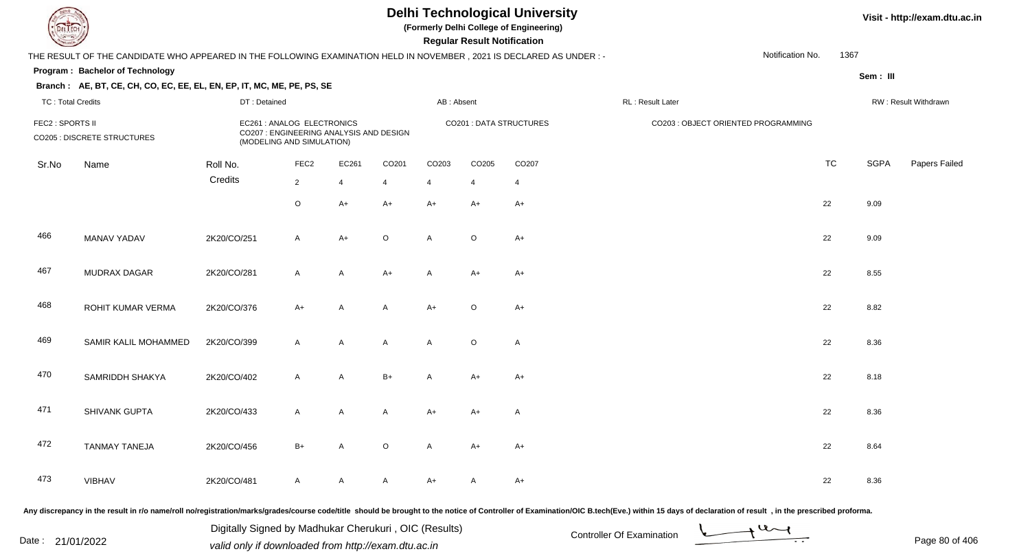**(Formerly Delhi College of Engineering)**

 **Regular Result Notification**

|                          | THE RESULT OF THE CANDIDATE WHO APPEARED IN THE FOLLOWING EXAMINATION HELD IN NOVEMBER, 2021 IS DECLARED AS UNDER :- |              |                                                                                                    |                |                   |                |                |                         |                                     | Notification No. | 1367      |             |                      |
|--------------------------|----------------------------------------------------------------------------------------------------------------------|--------------|----------------------------------------------------------------------------------------------------|----------------|-------------------|----------------|----------------|-------------------------|-------------------------------------|------------------|-----------|-------------|----------------------|
|                          | Program: Bachelor of Technology                                                                                      |              |                                                                                                    |                |                   |                |                |                         |                                     |                  |           | Sem : III   |                      |
|                          | Branch: AE, BT, CE, CH, CO, EC, EE, EL, EN, EP, IT, MC, ME, PE, PS, SE                                               |              |                                                                                                    |                |                   |                |                |                         |                                     |                  |           |             |                      |
| <b>TC: Total Credits</b> |                                                                                                                      | DT: Detained |                                                                                                    |                |                   | AB: Absent     |                |                         | RL: Result Later                    |                  |           |             | RW: Result Withdrawn |
| FEC2 : SPORTS II         | CO205 : DISCRETE STRUCTURES                                                                                          |              | EC261 : ANALOG ELECTRONICS<br>CO207 : ENGINEERING ANALYSIS AND DESIGN<br>(MODELING AND SIMULATION) |                |                   |                |                | CO201 : DATA STRUCTURES | CO203 : OBJECT ORIENTED PROGRAMMING |                  |           |             |                      |
| Sr.No                    | Name                                                                                                                 | Roll No.     | FEC <sub>2</sub>                                                                                   | EC261          | CO <sub>201</sub> | CO203          | CO205          | CO207                   |                                     |                  | <b>TC</b> | <b>SGPA</b> | Papers Failec        |
|                          |                                                                                                                      | Credits      | $2^{\circ}$                                                                                        | $\overline{4}$ | $\overline{4}$    | $\overline{4}$ | $\overline{4}$ | 4                       |                                     |                  |           |             |                      |
|                          |                                                                                                                      |              | $\circ$                                                                                            | $A+$           | $A+$              | $A+$           | $A+$           | $A+$                    |                                     |                  | 22        | 9.09        |                      |
| 466                      | MANAV YADAV                                                                                                          | 2K20/CO/251  | $\mathsf{A}$                                                                                       | $A+$           | $\mathsf O$       | A              | $\circ$        | $A+$                    |                                     |                  | 22        | 9.09        |                      |
| 467                      | MUDRAX DAGAR                                                                                                         | 2K20/CO/281  | $\mathsf{A}$                                                                                       | A              | $A+$              | A              | $A+$           | $A+$                    |                                     |                  | 22        | 8.55        |                      |
| 468                      | ROHIT KUMAR VERMA                                                                                                    | 2K20/CO/376  | $A+$                                                                                               | A              | A                 | $A+$           | $\circ$        | $A+$                    |                                     |                  | 22        | 8.82        |                      |
| 469                      | SAMIR KALIL MOHAMMED                                                                                                 | 2K20/CO/399  | $\mathsf{A}$                                                                                       | A              | $\mathsf{A}$      | A              | $\circ$        | $\mathsf{A}$            |                                     |                  | 22        | 8.36        |                      |
| 470                      | SAMRIDDH SHAKYA                                                                                                      | 2K20/CO/402  | $\mathsf{A}$                                                                                       | $\mathsf{A}$   | $B+$              | A              | $A+$           | $A+$                    |                                     |                  | 22        | 8.18        |                      |
| 471                      | SHIVANK GUPTA                                                                                                        | 2K20/CO/433  | $\mathsf{A}$                                                                                       | $\mathsf{A}$   | A                 | $A+$           | A+             | $\mathsf{A}$            |                                     |                  | 22        | 8.36        |                      |
| 472                      | <b>TANMAY TANEJA</b>                                                                                                 | 2K20/CO/456  | $B+$                                                                                               | A              | $\circ$           | A              | $A+$           | $A+$                    |                                     |                  | 22        | 8.64        |                      |
| 473                      | <b>VIBHAV</b>                                                                                                        | 2K20/CO/481  | $\mathsf{A}$                                                                                       | A              | A                 | $A+$           | A              | $A+$                    |                                     |                  | 22        | 8.36        |                      |
|                          |                                                                                                                      |              |                                                                                                    |                |                   |                |                |                         |                                     |                  |           |             |                      |

Any discrepancy in the result in r/o name/roll no/registration/marks/grades/course code/title should be brought to the notice of Controller of Examination/OIC B.tech(Eve.) within 15 days of declaration of result, in the pr

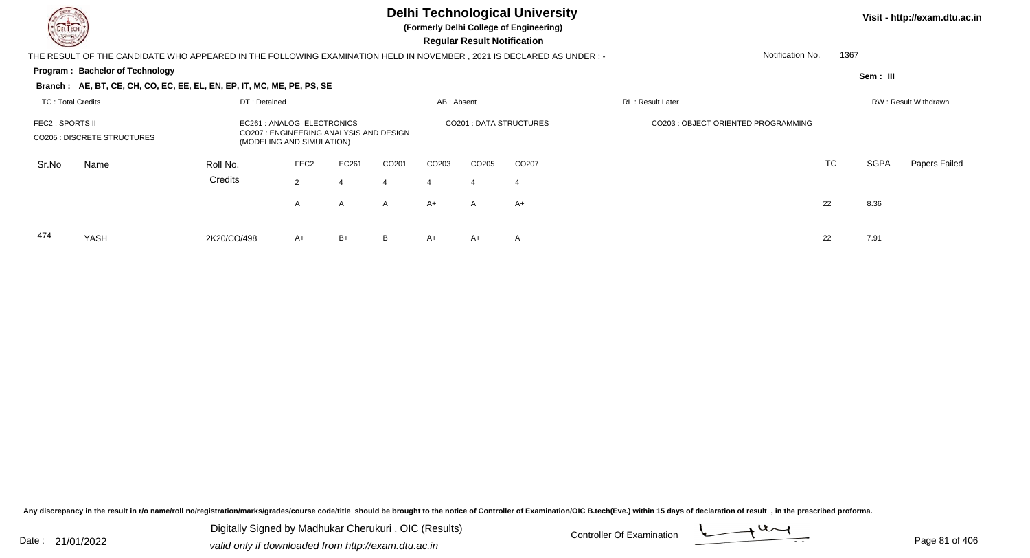474

YASH

# **Delhi Technological University**

**(Formerly Delhi College of Engineering)**

 **Regular Result Notification**

| $\sim$                                                 |                                                                                                                     |                                                                                                   |                  |       |              |            | <b>Regular Result Nothleation</b> |                               |                                     |           |          |                      |
|--------------------------------------------------------|---------------------------------------------------------------------------------------------------------------------|---------------------------------------------------------------------------------------------------|------------------|-------|--------------|------------|-----------------------------------|-------------------------------|-------------------------------------|-----------|----------|----------------------|
|                                                        | THE RESULT OF THE CANDIDATE WHO APPEARED IN THE FOLLOWING EXAMINATION HELD IN NOVEMBER, 2021 IS DECLARED AS UNDER:- |                                                                                                   |                  |       |              |            |                                   |                               | Notification No.                    |           | 1367     |                      |
|                                                        | <b>Program: Bachelor of Technology</b>                                                                              |                                                                                                   |                  |       |              |            |                                   |                               |                                     |           | Sem: III |                      |
|                                                        | Branch: AE, BT, CE, CH, CO, EC, EE, EL, EN, EP, IT, MC, ME, PE, PS, SE                                              |                                                                                                   |                  |       |              |            |                                   |                               |                                     |           |          |                      |
| DT: Detained<br>TC: Total Credits                      |                                                                                                                     |                                                                                                   |                  |       |              | AB: Absent |                                   |                               | RL: Result Later                    |           |          | RW: Result Withdrawn |
| FEC2 : SPORTS II<br><b>CO205 : DISCRETE STRUCTURES</b> |                                                                                                                     | EC261: ANALOG ELECTRONICS<br>CO207 : ENGINEERING ANALYSIS AND DESIGN<br>(MODELING AND SIMULATION) |                  |       |              |            |                                   | <b>CO201: DATA STRUCTURES</b> | CO203 : OBJECT ORIENTED PROGRAMMING |           |          |                      |
| Sr.No                                                  | Name                                                                                                                | Roll No.                                                                                          | FEC <sub>2</sub> | EC261 | CO201        | CO203      | CO <sub>205</sub>                 | CO <sub>207</sub>             |                                     | <b>TC</b> | SGPA     | Papers Failed        |
|                                                        |                                                                                                                     | Credits                                                                                           | 2                |       | 4            | 4          | 4                                 | -4                            |                                     |           |          |                      |
|                                                        |                                                                                                                     |                                                                                                   | A                | A     | $\mathsf{A}$ | A+         | A                                 | A+                            |                                     | 22        | 8.36     |                      |
|                                                        |                                                                                                                     |                                                                                                   |                  |       |              |            |                                   |                               |                                     |           |          |                      |

H 2K20/CO/498 A+ B+ B A+ A+ A 22 7.91

Any discrepancy in the result in r/o name/roll no/registration/marks/grades/course code/title should be brought to the notice of Controller of Examination/OIC B.tech(Eve.) within 15 days of declaration of result, in the pr

Date : 21/01/2022 Digital Digital of Microsofted Chemical Controller Of Examination Determination Page 81 of 40 Digitally Signed by Madhukar Cherukuri , OIC (Results)

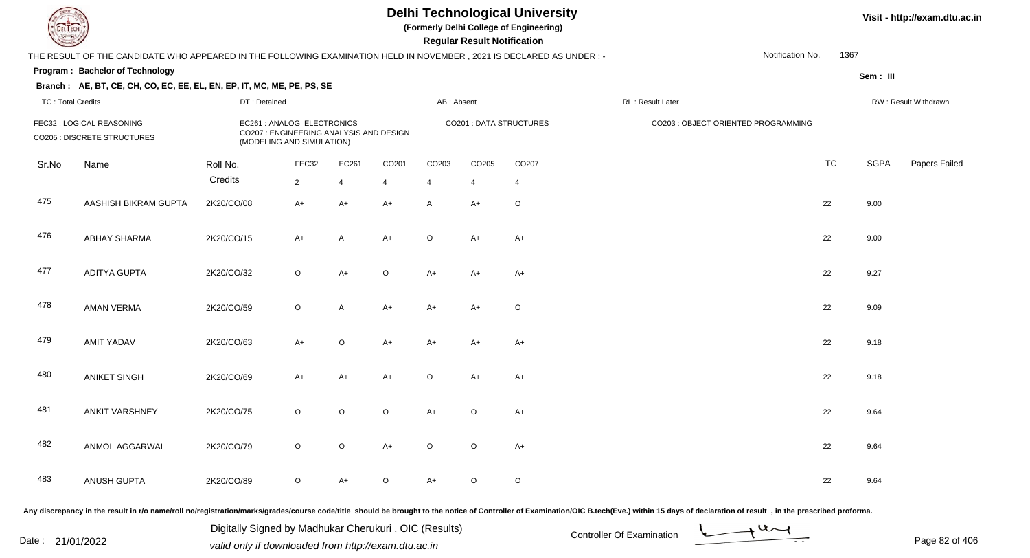**(Formerly Delhi College of Engineering)**

 **Regular Result Notification**

|                          | THE RESULT OF THE CANDIDATE WHO APPEARED IN THE FOLLOWING EXAMINATION HELD IN NOVEMBER, 2021 IS DECLARED AS UNDER :-                                                                                                           |                                                                                                    |                |              |                         |            |                |                |                  | Notification No.                    | 1367      |             |                      |
|--------------------------|--------------------------------------------------------------------------------------------------------------------------------------------------------------------------------------------------------------------------------|----------------------------------------------------------------------------------------------------|----------------|--------------|-------------------------|------------|----------------|----------------|------------------|-------------------------------------|-----------|-------------|----------------------|
|                          | Program: Bachelor of Technology                                                                                                                                                                                                |                                                                                                    |                |              |                         |            |                |                |                  |                                     |           | Sem: III    |                      |
|                          | Branch: AE, BT, CE, CH, CO, EC, EE, EL, EN, EP, IT, MC, ME, PE, PS, SE                                                                                                                                                         |                                                                                                    |                |              |                         |            |                |                |                  |                                     |           |             |                      |
| <b>TC: Total Credits</b> |                                                                                                                                                                                                                                | DT: Detained                                                                                       |                |              |                         | AB: Absent |                |                | RL: Result Later |                                     |           |             | RW: Result Withdrawn |
|                          | FEC32 : LOGICAL REASONING<br>CO205 : DISCRETE STRUCTURES                                                                                                                                                                       | EC261 : ANALOG ELECTRONICS<br>CO207 : ENGINEERING ANALYSIS AND DESIGN<br>(MODELING AND SIMULATION) |                |              | CO201 : DATA STRUCTURES |            |                |                |                  | CO203 : OBJECT ORIENTED PROGRAMMING |           |             |                      |
| Sr.No                    | Name                                                                                                                                                                                                                           | Roll No.                                                                                           | FEC32          | EC261        | CO201                   | CO203      | CO205          | CO207          |                  |                                     | <b>TC</b> | <b>SGPA</b> | Papers Failec        |
|                          |                                                                                                                                                                                                                                | Credits                                                                                            | $\overline{2}$ | 4            | $\overline{4}$          | 4          | $\overline{4}$ | $\overline{4}$ |                  |                                     |           |             |                      |
| 475                      | AASHISH BIKRAM GUPTA                                                                                                                                                                                                           | 2K20/CO/08                                                                                         | $A+$           | $A+$         | $A+$                    | A          | $A+$           | $\circ$        |                  |                                     | 22        | 9.00        |                      |
| 476                      | <b>ABHAY SHARMA</b>                                                                                                                                                                                                            | 2K20/CO/15                                                                                         | $A+$           | $\mathsf{A}$ | $A+$                    | $\circ$    | $A+$           | $A+$           |                  |                                     | 22        | 9.00        |                      |
| 477                      | <b>ADITYA GUPTA</b>                                                                                                                                                                                                            | 2K20/CO/32                                                                                         | $\circ$        | $A+$         | $\circ$                 | $A+$       | A+             | $A+$           |                  |                                     | 22        | 9.27        |                      |
| 478                      | <b>AMAN VERMA</b>                                                                                                                                                                                                              | 2K20/CO/59                                                                                         | $\circ$        | A            | $A+$                    | $A+$       | A+             | $\circ$        |                  |                                     | 22        | 9.09        |                      |
| 479                      | <b>AMIT YADAV</b>                                                                                                                                                                                                              | 2K20/CO/63                                                                                         | $A+$           | $\circ$      | $A+$                    | $A+$       | A+             | $A+$           |                  |                                     | 22        | 9.18        |                      |
| 480                      | <b>ANIKET SINGH</b>                                                                                                                                                                                                            | 2K20/CO/69                                                                                         | $A+$           | A+           | $A+$                    | O          | A+             | $A+$           |                  |                                     | 22        | 9.18        |                      |
| 481                      | <b>ANKIT VARSHNEY</b>                                                                                                                                                                                                          | 2K20/CO/75                                                                                         | $\circ$        | $\circ$      | $\circ$                 | $A+$       | $\circ$        | $A+$           |                  |                                     | 22        | 9.64        |                      |
| 482                      | ANMOL AGGARWAL                                                                                                                                                                                                                 | 2K20/CO/79                                                                                         | $\circ$        | $\circ$      | $A+$                    | $\circ$    | $\circ$        | $A+$           |                  |                                     | 22        | 9.64        |                      |
| 483                      | ANUSH GUPTA                                                                                                                                                                                                                    | 2K20/CO/89                                                                                         | $\circ$        | $A+$         | $\circ$                 | $A+$       | $\circ$        | $\circ$        |                  |                                     | 22        | 9.64        |                      |
|                          | ny disergance in the result in r/o name/rell ne/registration/marks/grades/course sodeltile, should be brought to the posice of Centraller of Examination/OIC B tosh(Eye) within 15 days of declaration of result in the prosec |                                                                                                    |                |              |                         |            |                |                |                  |                                     |           |             |                      |

Any discrepancy in the result in r/o name/roll no/registration/marks/grades/course code/title should be brought to the notice of Controller or

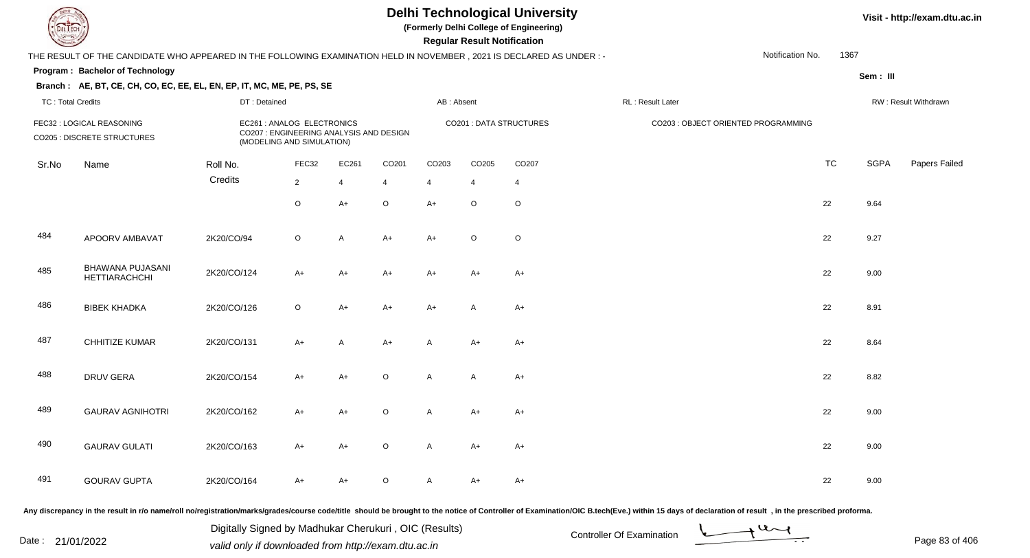**(Formerly Delhi College of Engineering)**

 **Regular Result Notification**

|                          | THE RESULT OF THE CANDIDATE WHO APPEARED IN THE FOLLOWING EXAMINATION HELD IN NOVEMBER, 2021 IS DECLARED AS UNDER :- |              |                                                                                                    |                |                |                                |              |                |                  |                                     | Notification No. | 1367     |                      |
|--------------------------|----------------------------------------------------------------------------------------------------------------------|--------------|----------------------------------------------------------------------------------------------------|----------------|----------------|--------------------------------|--------------|----------------|------------------|-------------------------------------|------------------|----------|----------------------|
|                          | Program: Bachelor of Technology                                                                                      |              |                                                                                                    |                |                |                                |              |                |                  |                                     |                  | Sem: III |                      |
|                          | Branch: AE, BT, CE, CH, CO, EC, EE, EL, EN, EP, IT, MC, ME, PE, PS, SE                                               |              |                                                                                                    |                |                |                                |              |                |                  |                                     |                  |          |                      |
| <b>TC: Total Credits</b> |                                                                                                                      | DT: Detained |                                                                                                    |                |                | AB: Absent                     |              |                | RL: Result Later |                                     |                  |          | RW: Result Withdrawn |
|                          | FEC32 : LOGICAL REASONING<br>CO205 : DISCRETE STRUCTURES                                                             |              | EC261 : ANALOG ELECTRONICS<br>CO207 : ENGINEERING ANALYSIS AND DESIGN<br>(MODELING AND SIMULATION) |                |                | <b>CO201 : DATA STRUCTURES</b> |              |                |                  | CO203 : OBJECT ORIENTED PROGRAMMING |                  |          |                      |
| Sr.No                    | Name                                                                                                                 | Roll No.     | FEC32                                                                                              | EC261          | CO201          | CO203                          | CO205        | CO207          |                  |                                     | <b>TC</b>        | SGPA     | Papers Failec        |
|                          |                                                                                                                      | Credits      | $\overline{2}$                                                                                     | $\overline{4}$ | $\overline{4}$ | 4                              | 4            | $\overline{4}$ |                  |                                     |                  |          |                      |
|                          |                                                                                                                      |              | $\circ$                                                                                            | $A+$           | $\mathsf O$    | $A+$                           | $\circ$      | $\circ$        |                  |                                     | 22               | 9.64     |                      |
| 484                      | APOORV AMBAVAT                                                                                                       | 2K20/CO/94   | $\circ$                                                                                            | A              | $A+$           | $A+$                           | $\circ$      | $\circ$        |                  |                                     | 22               | 9.27     |                      |
| 485                      | BHAWANA PUJASANI<br><b>HETTIARACHCHI</b>                                                                             | 2K20/CO/124  | $A+$                                                                                               | $A+$           | $A+$           | $A+$                           | $A+$         | $A+$           |                  |                                     | 22               | 9.00     |                      |
| 486                      | <b>BIBEK KHADKA</b>                                                                                                  | 2K20/CO/126  | $\circ$                                                                                            | $A+$           | $A+$           | $A+$                           | $\mathsf{A}$ | $A+$           |                  |                                     | 22               | 8.91     |                      |
| 487                      | CHHITIZE KUMAR                                                                                                       | 2K20/CO/131  | $A+$                                                                                               | A              | $A+$           | A                              | A+           | $A+$           |                  |                                     | 22               | 8.64     |                      |
| 488                      | <b>DRUV GERA</b>                                                                                                     | 2K20/CO/154  | $A+$                                                                                               | $A+$           | $\mathsf O$    | A                              | A            | $A+$           |                  |                                     | 22               | 8.82     |                      |
| 489                      | <b>GAURAV AGNIHOTRI</b>                                                                                              | 2K20/CO/162  | $A+$                                                                                               | $A+$           | $\mathsf O$    | A                              | $A+$         | $A+$           |                  |                                     | 22               | 9.00     |                      |
| 490                      | <b>GAURAV GULATI</b>                                                                                                 | 2K20/CO/163  | $A+$                                                                                               | A+             | $\circ$        | A                              | A+           | $A+$           |                  |                                     | 22               | 9.00     |                      |
| 491                      | <b>GOURAV GUPTA</b>                                                                                                  | 2K20/CO/164  | A+                                                                                                 | A+             | O              | A                              | A+           | A+             |                  |                                     | 22               | 9.00     |                      |
|                          |                                                                                                                      |              |                                                                                                    |                |                |                                |              |                |                  |                                     |                  |          |                      |

Any discrepancy in the result in r/o name/roll no/registration/marks/grades/course code/title should be brought to the notice of Controller of Examination/OIC B.tech(Eve.) within 15 days of declaration of result, in the pr

Date : 21/01/2022 Digital Digital of Microsofted Chemical Controller Of Examination Determination Page 83 of 40 Digitally Signed by Madhukar Cherukuri , OIC (Results)

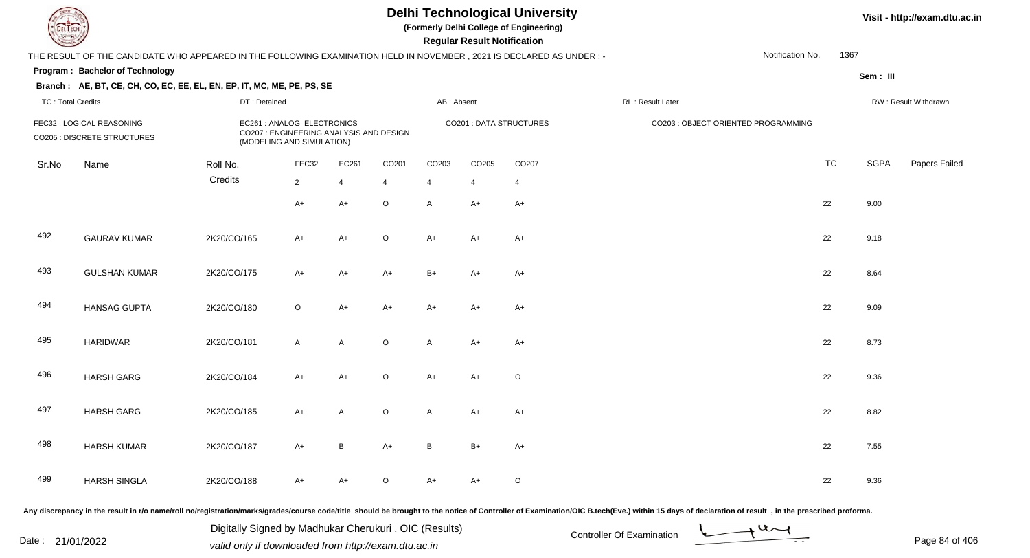**(Formerly Delhi College of Engineering)**

 **Regular Result Notification**

|                          | THE RESULT OF THE CANDIDATE WHO APPEARED IN THE FOLLOWING EXAMINATION HELD IN NOVEMBER, 2021 IS DECLARED AS UNDER :- |                                                                                                    |              |                |                   |                |                |                         |                                     | Notification No. | 1367      |             |                      |
|--------------------------|----------------------------------------------------------------------------------------------------------------------|----------------------------------------------------------------------------------------------------|--------------|----------------|-------------------|----------------|----------------|-------------------------|-------------------------------------|------------------|-----------|-------------|----------------------|
|                          | Program: Bachelor of Technology                                                                                      |                                                                                                    |              |                |                   |                |                |                         |                                     |                  |           | Sem : III   |                      |
|                          | Branch: AE, BT, CE, CH, CO, EC, EE, EL, EN, EP, IT, MC, ME, PE, PS, SE                                               |                                                                                                    |              |                |                   |                |                |                         |                                     |                  |           |             |                      |
| <b>TC: Total Credits</b> |                                                                                                                      | DT: Detained                                                                                       |              |                |                   | AB: Absent     |                |                         | RL: Result Later                    |                  |           |             | RW: Result Withdrawn |
|                          | FEC32 : LOGICAL REASONING<br>CO205 : DISCRETE STRUCTURES                                                             | EC261 : ANALOG ELECTRONICS<br>CO207 : ENGINEERING ANALYSIS AND DESIGN<br>(MODELING AND SIMULATION) |              |                |                   |                |                | CO201 : DATA STRUCTURES | CO203 : OBJECT ORIENTED PROGRAMMING |                  |           |             |                      |
| Sr.No                    | Name                                                                                                                 | Roll No.                                                                                           | FEC32        | EC261          | CO <sub>201</sub> | CO203          | CO205          | CO207                   |                                     |                  | <b>TC</b> | <b>SGPA</b> | Papers Failec        |
|                          |                                                                                                                      | Credits                                                                                            | $2^{\circ}$  | $\overline{4}$ | $\overline{4}$    | $\overline{4}$ | $\overline{4}$ | $\overline{4}$          |                                     |                  |           |             |                      |
|                          |                                                                                                                      |                                                                                                    | $A+$         | A+             | $\mathsf O$       | A              | $A+$           | $A+$                    |                                     |                  | 22        | 9.00        |                      |
| 492                      | <b>GAURAV KUMAR</b>                                                                                                  | 2K20/CO/165                                                                                        | $A+$         | $A+$           | $\mathsf O$       | $A+$           | A+             | $A+$                    |                                     |                  | 22        | 9.18        |                      |
| 493                      | <b>GULSHAN KUMAR</b>                                                                                                 | 2K20/CO/175                                                                                        | $A+$         | $A+$           | $A+$              | $B+$           | $A+$           | $A+$                    |                                     |                  | 22        | 8.64        |                      |
| 494                      | <b>HANSAG GUPTA</b>                                                                                                  | 2K20/CO/180                                                                                        | $\circ$      | $A+$           | $A+$              | $A+$           | $A+$           | $A+$                    |                                     |                  | 22        | 9.09        |                      |
| 495                      | <b>HARIDWAR</b>                                                                                                      | 2K20/CO/181                                                                                        | $\mathsf{A}$ | $\mathsf{A}$   | $\mathsf O$       | A              | $A+$           | $A+$                    |                                     |                  | 22        | 8.73        |                      |
| 496                      | <b>HARSH GARG</b>                                                                                                    | 2K20/CO/184                                                                                        | $A+$         | $A+$           | $\mathsf O$       | $A+$           | $A+$           | $\circ$                 |                                     |                  | 22        | 9.36        |                      |
| 497                      | <b>HARSH GARG</b>                                                                                                    | 2K20/CO/185                                                                                        | A+           | A              | $\mathsf O$       | A              | A+             | $A+$                    |                                     |                  | 22        | 8.82        |                      |
| 498                      | <b>HARSH KUMAR</b>                                                                                                   | 2K20/CO/187                                                                                        | $A+$         | B              | $A+$              | B              | $B+$           | $A+$                    |                                     |                  | 22        | 7.55        |                      |
| 499                      | <b>HARSH SINGLA</b>                                                                                                  | 2K20/CO/188                                                                                        | A+           | A+             | $\circ$           | $A+$           | A+             | $\circ$                 |                                     |                  | 22        | 9.36        |                      |
|                          |                                                                                                                      |                                                                                                    |              |                |                   |                |                |                         |                                     |                  |           |             |                      |

Any discrepancy in the result in r/o name/roll no/registration/marks/grades/course code/title should be brought to the notice of Controller of Examination/OIC B.tech(Eve.) within 15 days of declaration of result , in the p

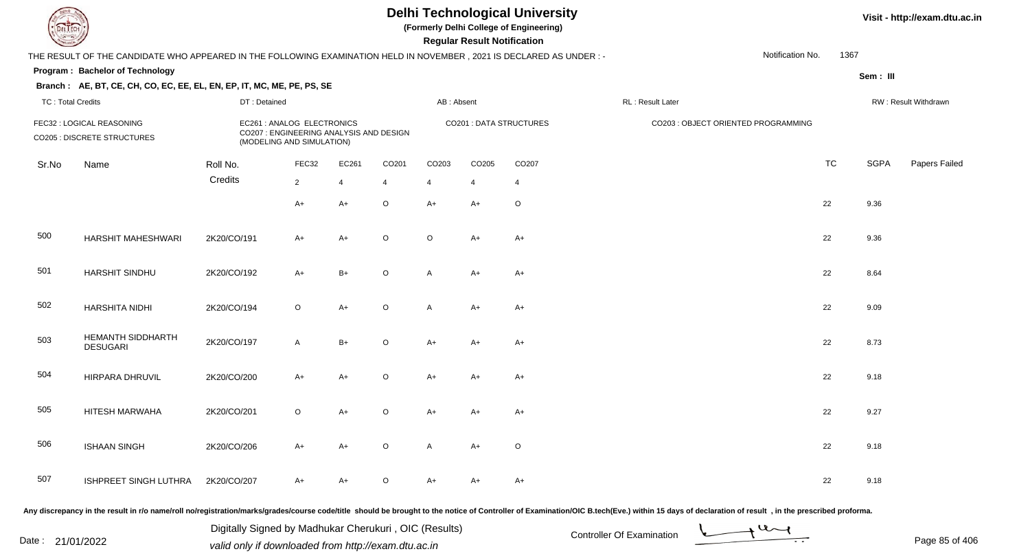**(Formerly Delhi College of Engineering)**

 **Regular Result Notification**

**Visit - http://exam.dtu.ac.in**

| $\sim$                   |                                                                                                                     |              |                                                                                                    |                |                |                         | Regular Result Notification |         |                  |                                     |           |             |                      |
|--------------------------|---------------------------------------------------------------------------------------------------------------------|--------------|----------------------------------------------------------------------------------------------------|----------------|----------------|-------------------------|-----------------------------|---------|------------------|-------------------------------------|-----------|-------------|----------------------|
|                          | THE RESULT OF THE CANDIDATE WHO APPEARED IN THE FOLLOWING EXAMINATION HELD IN NOVEMBER, 2021 IS DECLARED AS UNDER:- |              |                                                                                                    |                |                |                         |                             |         |                  | Notification No.                    | 1367      |             |                      |
|                          | <b>Program: Bachelor of Technology</b>                                                                              |              |                                                                                                    |                |                |                         |                             |         |                  |                                     |           | Sem: III    |                      |
|                          | Branch: AE, BT, CE, CH, CO, EC, EE, EL, EN, EP, IT, MC, ME, PE, PS, SE                                              |              |                                                                                                    |                |                |                         |                             |         |                  |                                     |           |             |                      |
| <b>TC: Total Credits</b> |                                                                                                                     | DT: Detained |                                                                                                    |                |                | AB: Absent              |                             |         | RL: Result Later |                                     |           |             | RW: Result Withdrawn |
|                          | FEC32 : LOGICAL REASONING<br><b>CO205 : DISCRETE STRUCTURES</b>                                                     |              | EC261 : ANALOG ELECTRONICS<br>CO207 : ENGINEERING ANALYSIS AND DESIGN<br>(MODELING AND SIMULATION) |                |                | CO201 : DATA STRUCTURES |                             |         |                  | CO203 : OBJECT ORIENTED PROGRAMMING |           |             |                      |
| Sr.No                    | Name                                                                                                                | Roll No.     | FEC32                                                                                              | EC261          | CO201          | CO203                   | CO205                       | CO207   |                  |                                     | <b>TC</b> | <b>SGPA</b> | Papers Failec        |
|                          |                                                                                                                     | Credits      | $\overline{2}$                                                                                     | $\overline{4}$ | $\overline{4}$ | 4                       | 4                           | 4       |                  |                                     |           |             |                      |
|                          |                                                                                                                     |              | $A+$                                                                                               | $A+$           | $\mathsf O$    | $A+$                    | $A+$                        | $\circ$ |                  |                                     | 22        | 9.36        |                      |
| 500                      | <b>HARSHIT MAHESHWARI</b>                                                                                           | 2K20/CO/191  | $A+$                                                                                               | $A+$           | $\circ$        | $\circ$                 | $A+$                        | $A+$    |                  |                                     | 22        | 9.36        |                      |
| 501                      | HARSHIT SINDHU                                                                                                      | 2K20/CO/192  | $A+$                                                                                               | $B+$           | $\mathsf O$    | A                       | $A+$                        | $A+$    |                  |                                     | 22        | 8.64        |                      |
| 502                      | <b>HARSHITA NIDHI</b>                                                                                               | 2K20/CO/194  | $\circ$                                                                                            | $A+$           | $\mathsf O$    | A                       | A+                          | $A+$    |                  |                                     | 22        | 9.09        |                      |
| 503                      | HEMANTH SIDDHARTH<br><b>DESUGARI</b>                                                                                | 2K20/CO/197  | $\mathsf{A}$                                                                                       | $B+$           | $\mathsf O$    | $A+$                    | $A+$                        | $A+$    |                  |                                     | 22        | 8.73        |                      |
| 504                      | HIRPARA DHRUVIL                                                                                                     | 2K20/CO/200  | $A+$                                                                                               | $A+$           | $\mathsf O$    | $A+$                    | $A+$                        | $A+$    |                  |                                     | 22        | 9.18        |                      |
| 505                      | HITESH MARWAHA                                                                                                      | 2K20/CO/201  | $\mathsf O$                                                                                        | $A+$           | $\mathsf O$    | $A+$                    | A+                          | $A+$    |                  |                                     | 22        | 9.27        |                      |
| 506                      | <b>ISHAAN SINGH</b>                                                                                                 | 2K20/CO/206  | $A+$                                                                                               | $A+$           | $\mathsf O$    | A                       | $A+$                        | $\circ$ |                  |                                     | 22        | 9.18        |                      |
| 507                      | ISHPREET SINGH LUTHRA                                                                                               | 2K20/CO/207  | A+                                                                                                 | A+             | $\mathsf O$    | $A+$                    | A+                          | $A+$    |                  |                                     | 22        | 9.18        |                      |

Any discrepancy in the result in r/o name/roll no/registration/marks/grades/course code/title should be brought to the notice of Controller of Examination/OIC B.tech(Eve.) within 15 days of declaration of result, in the pr

Date : 21/01/2022 Digital Digital of Microsofted Chemical Controller Of Examination Determination Page 85 of 40

Digitally Signed by Madhukar Cherukuri , OIC (Results)

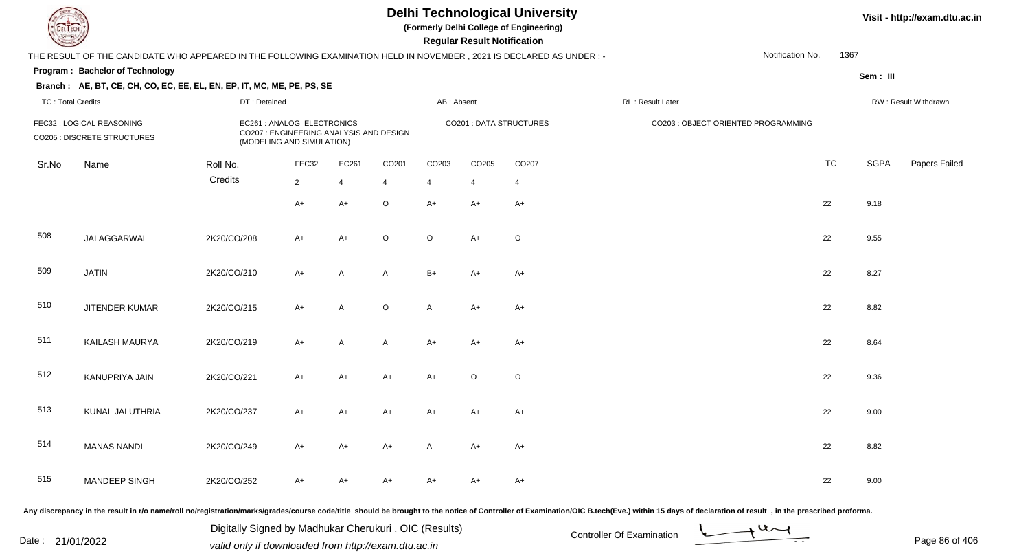**(Formerly Delhi College of Engineering)**

 **Regular Result Notification**

**Visit - http://exam.dtu.ac.in**

|                          | THE RESULT OF THE CANDIDATE WHO APPEARED IN THE FOLLOWING EXAMINATION HELD IN NOVEMBER , 2021 IS DECLARED AS UNDER :- |              |                                                                                                    |                |                |                |         |                         |                  | Notification No.                    | 1367      |             |                      |
|--------------------------|-----------------------------------------------------------------------------------------------------------------------|--------------|----------------------------------------------------------------------------------------------------|----------------|----------------|----------------|---------|-------------------------|------------------|-------------------------------------|-----------|-------------|----------------------|
|                          | Program: Bachelor of Technology                                                                                       |              |                                                                                                    |                |                |                |         |                         |                  |                                     |           | Sem : III   |                      |
|                          | Branch: AE, BT, CE, CH, CO, EC, EE, EL, EN, EP, IT, MC, ME, PE, PS, SE                                                |              |                                                                                                    |                |                |                |         |                         |                  |                                     |           |             |                      |
| <b>TC: Total Credits</b> |                                                                                                                       | DT: Detained |                                                                                                    |                |                | AB: Absent     |         |                         | RL: Result Later |                                     |           |             | RW: Result Withdrawn |
|                          | FEC32 : LOGICAL REASONING<br>CO205 : DISCRETE STRUCTURES                                                              |              | EC261 : ANALOG ELECTRONICS<br>CO207 : ENGINEERING ANALYSIS AND DESIGN<br>(MODELING AND SIMULATION) |                |                |                |         | CO201 : DATA STRUCTURES |                  | CO203 : OBJECT ORIENTED PROGRAMMING |           |             |                      |
| Sr.No                    | Name                                                                                                                  | Roll No.     | FEC32                                                                                              | EC261          | CO201          | CO203          | CO205   | CO207                   |                  |                                     | <b>TC</b> | <b>SGPA</b> | Papers Failec        |
|                          |                                                                                                                       | Credits      | $\overline{2}$                                                                                     | $\overline{4}$ | $\overline{4}$ | $\overline{4}$ | 4       | $\overline{4}$          |                  |                                     |           |             |                      |
|                          |                                                                                                                       |              | $A+$                                                                                               | $A+$           | $\mathsf O$    | $A+$           | A+      | $A+$                    |                  |                                     | 22        | 9.18        |                      |
| 508                      | <b>JAI AGGARWAL</b>                                                                                                   | 2K20/CO/208  | $A+$                                                                                               | $A+$           | $\mathsf O$    | $\circ$        | $A+$    | $\circ$                 |                  |                                     | 22        | 9.55        |                      |
| 509                      | <b>JATIN</b>                                                                                                          | 2K20/CO/210  | $A+$                                                                                               | $\mathsf{A}$   | A              | $B+$           | $A+$    | $A+$                    |                  |                                     | 22        | 8.27        |                      |
| 510                      | <b>JITENDER KUMAR</b>                                                                                                 | 2K20/CO/215  | $A+$                                                                                               | A              | $\mathsf O$    | A              | A+      | $A+$                    |                  |                                     | 22        | 8.82        |                      |
| 511                      | KAILASH MAURYA                                                                                                        | 2K20/CO/219  | $A+$                                                                                               | A              | A              | $A+$           | $A+$    | $A+$                    |                  |                                     | 22        | 8.64        |                      |
| 512                      | KANUPRIYA JAIN                                                                                                        | 2K20/CO/221  | $A+$                                                                                               | $A+$           | $A+$           | $A+$           | $\circ$ | $\circ$                 |                  |                                     | 22        | 9.36        |                      |
| 513                      | KUNAL JALUTHRIA                                                                                                       | 2K20/CO/237  | $A+$                                                                                               | $A+$           | $A+$           | $A+$           | $A+$    | $A+$                    |                  |                                     | 22        | 9.00        |                      |
| 514                      | <b>MANAS NANDI</b>                                                                                                    | 2K20/CO/249  | $A+$                                                                                               | A+             | $A+$           | A              | A+      | $A+$                    |                  |                                     | 22        | 8.82        |                      |
| 515                      | <b>MANDEEP SINGH</b>                                                                                                  | 2K20/CO/252  | $A+$                                                                                               | $A+$           | A+             | A+             | A+      | $A+$                    |                  |                                     | 22        | 9.00        |                      |
|                          |                                                                                                                       |              |                                                                                                    |                |                |                |         |                         |                  |                                     |           |             |                      |

Any discrepancy in the result in r/o name/roll no/registration/marks/grades/course code/title should be brought to the notice of Controller of Examination/OIC B.tech(Eve.) within 15 days of declaration of result, in the pr

Date : 21/01/2022 Digital Digital of Microsofted Chemical Controller Of Examination Determination Page 86 of 40 Digitally Signed by Madhukar Cherukuri , OIC (Results)

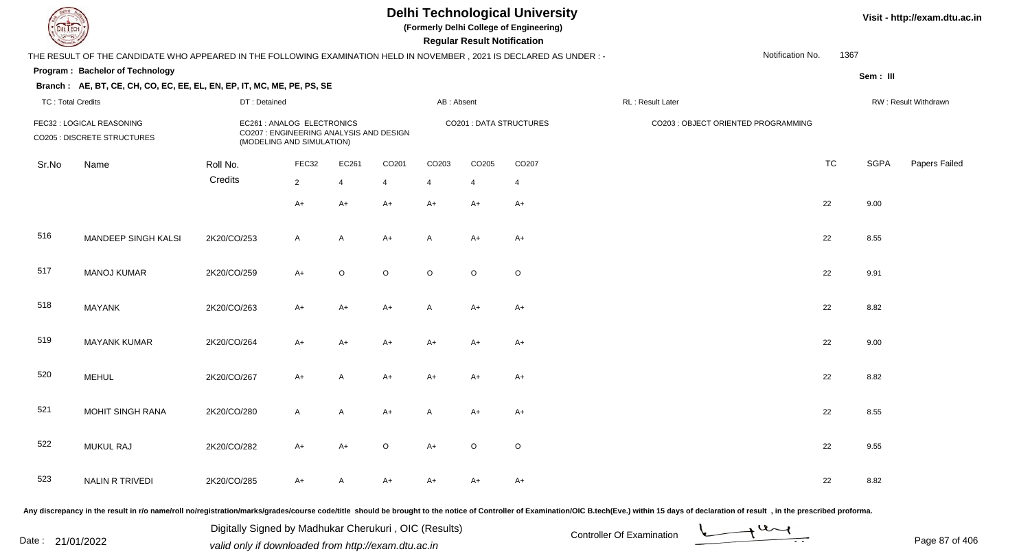**(Formerly Delhi College of Engineering)**

 **Regular Result Notification**

|                                                          | THE RESULT OF THE CANDIDATE WHO APPEARED IN THE FOLLOWING EXAMINATION HELD IN NOVEMBER, 2021 IS DECLARED AS UNDER :- |                                                                                                    |                |                |                |            |                |                         |                  | Notification No.                    | 1367      |                      |               |  |
|----------------------------------------------------------|----------------------------------------------------------------------------------------------------------------------|----------------------------------------------------------------------------------------------------|----------------|----------------|----------------|------------|----------------|-------------------------|------------------|-------------------------------------|-----------|----------------------|---------------|--|
|                                                          | Program: Bachelor of Technology                                                                                      |                                                                                                    |                |                |                |            |                |                         |                  |                                     |           | Sem: III             |               |  |
| <b>TC: Total Credits</b>                                 | Branch: AE, BT, CE, CH, CO, EC, EE, EL, EN, EP, IT, MC, ME, PE, PS, SE                                               | DT: Detained                                                                                       |                |                |                | AB: Absent |                |                         | RL: Result Later |                                     |           | RW: Result Withdrawn |               |  |
| FEC32 : LOGICAL REASONING<br>CO205 : DISCRETE STRUCTURES |                                                                                                                      | EC261 : ANALOG ELECTRONICS<br>CO207 : ENGINEERING ANALYSIS AND DESIGN<br>(MODELING AND SIMULATION) |                |                |                |            |                | CO201 : DATA STRUCTURES |                  | CO203 : OBJECT ORIENTED PROGRAMMING |           |                      |               |  |
| Sr.No                                                    | Name                                                                                                                 | Roll No.                                                                                           | FEC32          | EC261          | CO201          | CO203      | CO205          | CO207                   |                  |                                     | <b>TC</b> | <b>SGPA</b>          | Papers Failec |  |
|                                                          |                                                                                                                      | Credits                                                                                            | $\overline{2}$ | $\overline{4}$ | $\overline{4}$ | 4          | $\overline{4}$ | 4                       |                  |                                     |           |                      |               |  |
|                                                          |                                                                                                                      |                                                                                                    | $A+$           | $A+$           | $A+$           | $A+$       | $A+$           | $A+$                    |                  |                                     | 22        | 9.00                 |               |  |
| 516                                                      | MANDEEP SINGH KALSI                                                                                                  | 2K20/CO/253                                                                                        | $\mathsf{A}$   | A              | $A+$           | A          | A+             | $A+$                    |                  |                                     | 22        | 8.55                 |               |  |
| 517                                                      | <b>MANOJ KUMAR</b>                                                                                                   | 2K20/CO/259                                                                                        | $A+$           | $\circ$        | $\circ$        | $\circ$    | $\circ$        | $\circ$                 |                  |                                     | 22        | 9.91                 |               |  |
| 518                                                      | <b>MAYANK</b>                                                                                                        | 2K20/CO/263                                                                                        | $A+$           | $A+$           | $A+$           | A          | $A+$           | $A+$                    |                  |                                     | 22        | 8.82                 |               |  |
| 519                                                      | <b>MAYANK KUMAR</b>                                                                                                  | 2K20/CO/264                                                                                        | $A+$           | $A+$           | $A+$           | $A+$       | A+             | $A+$                    |                  |                                     | 22        | 9.00                 |               |  |
| 520                                                      | <b>MEHUL</b>                                                                                                         | 2K20/CO/267                                                                                        | $A+$           | A              | $A+$           | $A+$       | A+             | $A+$                    |                  |                                     | 22        | 8.82                 |               |  |
| 521                                                      | <b>MOHIT SINGH RANA</b>                                                                                              | 2K20/CO/280                                                                                        | $\mathsf{A}$   | A              | $A+$           | A          | A+             | $A+$                    |                  |                                     | 22        | 8.55                 |               |  |
| 522                                                      | <b>MUKUL RAJ</b>                                                                                                     | 2K20/CO/282                                                                                        | A+             | A+             | $\mathsf O$    | $A+$       | $\circ$        | $\circ$                 |                  |                                     | 22        | 9.55                 |               |  |
| 523                                                      | NALIN R TRIVEDI                                                                                                      | 2K20/CO/285                                                                                        | A+             | А              | A+             | A+         | A+             | A+                      |                  |                                     | 22        | 8.82                 |               |  |
|                                                          |                                                                                                                      |                                                                                                    |                |                |                |            |                |                         |                  |                                     |           |                      |               |  |

Any discrepancy in the result in r/o name/roll no/registration/marks/grades/course code/title should be brought to the notice of Controller of Examination/OIC B.tech(Eve.) within 15 days of declaration of result, in the pr

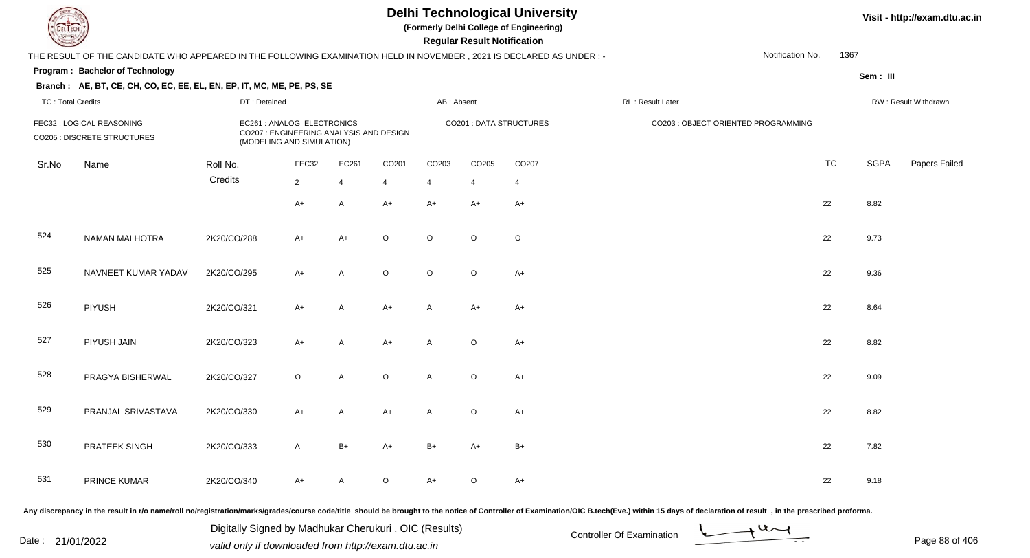**(Formerly Delhi College of Engineering)**

 **Regular Result Notification**

|                          | THE RESULT OF THE CANDIDATE WHO APPEARED IN THE FOLLOWING EXAMINATION HELD IN NOVEMBER, 2021 IS DECLARED AS UNDER : -                                                                                                          |              |                                                                                                    |                |                   |                   |                |                         |                  | Notification No.                    | 1367      |             |                      |
|--------------------------|--------------------------------------------------------------------------------------------------------------------------------------------------------------------------------------------------------------------------------|--------------|----------------------------------------------------------------------------------------------------|----------------|-------------------|-------------------|----------------|-------------------------|------------------|-------------------------------------|-----------|-------------|----------------------|
|                          | Program: Bachelor of Technology                                                                                                                                                                                                |              |                                                                                                    |                |                   |                   |                |                         |                  |                                     |           | Sem: III    |                      |
|                          | Branch: AE, BT, CE, CH, CO, EC, EE, EL, EN, EP, IT, MC, ME, PE, PS, SE                                                                                                                                                         |              |                                                                                                    |                |                   |                   |                |                         |                  |                                     |           |             |                      |
| <b>TC: Total Credits</b> |                                                                                                                                                                                                                                | DT: Detained |                                                                                                    |                |                   | AB: Absent        |                |                         | RL: Result Later |                                     |           |             | RW: Result Withdrawn |
|                          | FEC32 : LOGICAL REASONING<br><b>CO205 : DISCRETE STRUCTURES</b>                                                                                                                                                                |              | EC261 : ANALOG ELECTRONICS<br>CO207 : ENGINEERING ANALYSIS AND DESIGN<br>(MODELING AND SIMULATION) |                |                   |                   |                | CO201 : DATA STRUCTURES |                  | CO203 : OBJECT ORIENTED PROGRAMMING |           |             |                      |
| Sr.No                    | Name                                                                                                                                                                                                                           | Roll No.     | FEC32                                                                                              | EC261          | CO <sub>201</sub> | CO <sub>203</sub> | CO205          | CO207                   |                  |                                     | <b>TC</b> | <b>SGPA</b> | Papers Failed        |
|                          |                                                                                                                                                                                                                                | Credits      | $\overline{2}$                                                                                     | $\overline{4}$ | $\overline{4}$    | $\overline{4}$    | $\overline{4}$ | $\overline{4}$          |                  |                                     |           |             |                      |
|                          |                                                                                                                                                                                                                                |              | $A+$                                                                                               | $\overline{A}$ | $A+$              | $A+$              | $A+$           | $A+$                    |                  |                                     | 22        | 8.82        |                      |
| 524                      | <b>NAMAN MALHOTRA</b>                                                                                                                                                                                                          | 2K20/CO/288  | $A+$                                                                                               | $A+$           | $\circ$           | $\circ$           | $\circ$        | $\circ$                 |                  |                                     | 22        | 9.73        |                      |
| 525                      | NAVNEET KUMAR YADAV                                                                                                                                                                                                            | 2K20/CO/295  | $A+$                                                                                               | $\overline{A}$ | $\circ$           | $\circ$           | $\circ$        | $A+$                    |                  |                                     | 22        | 9.36        |                      |
| 526                      | PIYUSH                                                                                                                                                                                                                         | 2K20/CO/321  | A+                                                                                                 | A              | A+                | A                 | A+             | A+                      |                  |                                     | 22        | 8.64        |                      |
| 527                      | PIYUSH JAIN                                                                                                                                                                                                                    | 2K20/CO/323  | A+                                                                                                 | $\overline{A}$ | A+                | A                 | $\circ$        | A+                      |                  |                                     | 22        | 8.82        |                      |
| 528                      | PRAGYA BISHERWAL                                                                                                                                                                                                               | 2K20/CO/327  | $\circ$                                                                                            | $\overline{A}$ | $\circ$           | $\mathsf{A}$      | $\circ$        | $A+$                    |                  |                                     | 22        | 9.09        |                      |
| 529                      | PRANJAL SRIVASTAVA                                                                                                                                                                                                             | 2K20/CO/330  | $A+$                                                                                               | $\overline{A}$ | $A+$              | $\mathsf{A}$      | $\circ$        | $A+$                    |                  |                                     | 22        | 8.82        |                      |
| 530                      | PRATEEK SINGH                                                                                                                                                                                                                  | 2K20/CO/333  | $\mathsf{A}$                                                                                       | $B+$           | A+                | $B+$              | A+             | $B+$                    |                  |                                     | 22        | 7.82        |                      |
| 531                      | PRINCE KUMAR                                                                                                                                                                                                                   | 2K20/CO/340  | $A+$                                                                                               | $\mathsf{A}$   | $\circ$           | $A+$              | $\circ$        | $A+$                    |                  |                                     | 22        | 9.18        |                      |
|                          | Any discrepancy in the result in r/o name/roll no/registration/marks/grades/course code/title should be brought to the notice of Controller of Examination/OIC B.tech(Eve.) within 15 days of declaration of result , in the p |              |                                                                                                    |                |                   |                   |                |                         |                  |                                     |           |             |                      |

Date : 21/01/2022 Digital Digital of Microsofted Chemical Controller Of Examination Determination Page 88 of 40 Digitally Signed by Madhukar Cherukuri , OIC (Results)

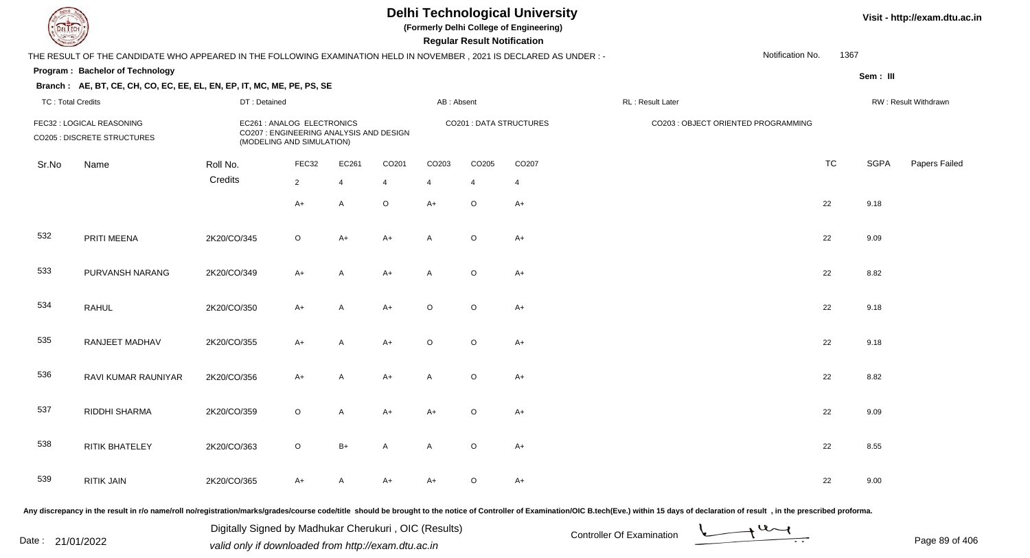**(Formerly Delhi College of Engineering)**

 **Regular Result Notification**

**Visit - http://exam.dtu.ac.in**

| $\sim$                                                   |                                                                                                                      |              |                                                                                                    |                |                |                                | n <del>c</del> yular n <del>c</del> sult notification |                |                  |                                     |           |             |                      |
|----------------------------------------------------------|----------------------------------------------------------------------------------------------------------------------|--------------|----------------------------------------------------------------------------------------------------|----------------|----------------|--------------------------------|-------------------------------------------------------|----------------|------------------|-------------------------------------|-----------|-------------|----------------------|
|                                                          | THE RESULT OF THE CANDIDATE WHO APPEARED IN THE FOLLOWING EXAMINATION HELD IN NOVEMBER, 2021 IS DECLARED AS UNDER :- |              |                                                                                                    |                |                |                                |                                                       |                |                  | Notification No.                    | 1367      |             |                      |
|                                                          | Program: Bachelor of Technology                                                                                      |              |                                                                                                    |                |                |                                |                                                       |                |                  |                                     |           | Sem: III    |                      |
|                                                          | Branch: AE, BT, CE, CH, CO, EC, EE, EL, EN, EP, IT, MC, ME, PE, PS, SE                                               |              |                                                                                                    |                |                |                                |                                                       |                |                  |                                     |           |             |                      |
| <b>TC: Total Credits</b>                                 |                                                                                                                      | DT: Detained |                                                                                                    |                |                | AB: Absent                     |                                                       |                | RL: Result Later |                                     |           |             | RW: Result Withdrawn |
| FEC32 : LOGICAL REASONING<br>CO205 : DISCRETE STRUCTURES |                                                                                                                      |              | EC261 : ANALOG ELECTRONICS<br>CO207 : ENGINEERING ANALYSIS AND DESIGN<br>(MODELING AND SIMULATION) |                |                | <b>CO201 : DATA STRUCTURES</b> |                                                       |                |                  | CO203 : OBJECT ORIENTED PROGRAMMING |           |             |                      |
| Sr.No                                                    | Name                                                                                                                 | Roll No.     | FEC32                                                                                              | EC261          | CO201          | CO203                          | CO205                                                 | CO207          |                  |                                     | <b>TC</b> | <b>SGPA</b> | Papers Failec        |
|                                                          |                                                                                                                      | Credits      | $\overline{2}$                                                                                     | $\overline{4}$ | $\overline{4}$ | $\overline{4}$                 | $\overline{4}$                                        | $\overline{4}$ |                  |                                     |           |             |                      |
|                                                          |                                                                                                                      |              | $A+$                                                                                               | A              | $\mathsf O$    | $A+$                           | $\circ$                                               | $A+$           |                  |                                     | 22        | 9.18        |                      |
| 532                                                      | PRITI MEENA                                                                                                          | 2K20/CO/345  | $\circ$                                                                                            | $A+$           | $A+$           | Α                              | $\circ$                                               | $A+$           |                  |                                     | 22        | 9.09        |                      |
| 533                                                      | PURVANSH NARANG                                                                                                      | 2K20/CO/349  | $A+$                                                                                               | A              | $A+$           | $\mathsf{A}$                   | $\circ$                                               | $A+$           |                  |                                     | 22        | 8.82        |                      |
| 534                                                      | <b>RAHUL</b>                                                                                                         | 2K20/CO/350  | $A+$                                                                                               | A              | $A+$           | $\circ$                        | $\circ$                                               | $A+$           |                  |                                     | 22        | 9.18        |                      |
| 535                                                      | RANJEET MADHAV                                                                                                       | 2K20/CO/355  | $A+$                                                                                               | $\mathsf{A}$   | $A+$           | $\circ$                        | $\circ$                                               | $A+$           |                  |                                     | 22        | 9.18        |                      |
| 536                                                      | RAVI KUMAR RAUNIYAR                                                                                                  | 2K20/CO/356  | $A+$                                                                                               | A              | $A+$           | A                              | $\circ$                                               | $A+$           |                  |                                     | 22        | 8.82        |                      |
| 537                                                      | RIDDHI SHARMA                                                                                                        | 2K20/CO/359  | $\circ$                                                                                            | A              | $A+$           | $A+$                           | $\circ$                                               | $A+$           |                  |                                     | 22        | 9.09        |                      |
| 538                                                      | RITIK BHATELEY                                                                                                       | 2K20/CO/363  | $\circ$                                                                                            | $B+$           | A              | A                              | $\circ$                                               | $A+$           |                  |                                     | 22        | 8.55        |                      |
| 539                                                      | <b>RITIK JAIN</b>                                                                                                    | 2K20/CO/365  | $A+$                                                                                               | A              | $A+$           | $A+$                           | $\circ$                                               | $A+$           |                  |                                     | 22        | 9.00        |                      |
|                                                          |                                                                                                                      |              |                                                                                                    |                |                |                                |                                                       |                |                  |                                     |           |             |                      |

Any discrepancy in the result in r/o name/roll no/registration/marks/grades/course code/title should be brought to the notice of Controller of Examination/OIC B.tech(Eve.) within 15 days of declaration of result , in the p

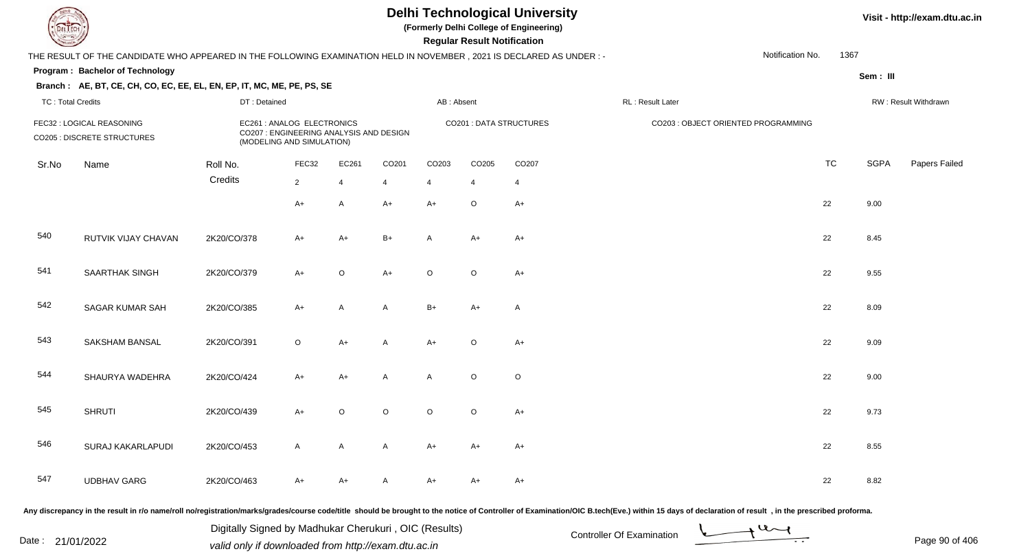**(Formerly Delhi College of Engineering)**

 **Regular Result Notification**

|                                                          | THE RESULT OF THE CANDIDATE WHO APPEARED IN THE FOLLOWING EXAMINATION HELD IN NOVEMBER, 2021 IS DECLARED AS UNDER :- |                                                         |                                         |                |                   |                         |                                     |                |                  | Notification No. | 1367      |             |                      |
|----------------------------------------------------------|----------------------------------------------------------------------------------------------------------------------|---------------------------------------------------------|-----------------------------------------|----------------|-------------------|-------------------------|-------------------------------------|----------------|------------------|------------------|-----------|-------------|----------------------|
|                                                          | <b>Program: Bachelor of Technology</b>                                                                               |                                                         |                                         |                |                   |                         |                                     |                |                  |                  |           | Sem: III    |                      |
|                                                          | Branch: AE, BT, CE, CH, CO, EC, EE, EL, EN, EP, IT, MC, ME, PE, PS, SE                                               |                                                         |                                         |                |                   |                         |                                     |                |                  |                  |           |             |                      |
| <b>TC: Total Credits</b>                                 |                                                                                                                      | DT: Detained                                            |                                         |                |                   | AB: Absent              |                                     |                | RL: Result Later |                  |           |             | RW: Result Withdrawn |
| FEC32 : LOGICAL REASONING<br>CO205 : DISCRETE STRUCTURES |                                                                                                                      | EC261 : ANALOG ELECTRONICS<br>(MODELING AND SIMULATION) | CO207 : ENGINEERING ANALYSIS AND DESIGN |                |                   | CO201 : DATA STRUCTURES | CO203 : OBJECT ORIENTED PROGRAMMING |                |                  |                  |           |             |                      |
| Sr.No                                                    | Name                                                                                                                 | Roll No.                                                | FEC32                                   | EC261          | CO <sub>201</sub> | CO203                   | CO205                               | CO207          |                  |                  | <b>TC</b> | <b>SGPA</b> | Papers Failec        |
|                                                          |                                                                                                                      | Credits                                                 | $2^{\circ}$                             | $\overline{4}$ | $\overline{4}$    | 4                       | 4                                   | $\overline{4}$ |                  |                  |           |             |                      |
|                                                          |                                                                                                                      |                                                         | $A+$                                    | $\mathsf{A}$   | $A+$              | $A+$                    | $\circ$                             | $A+$           |                  |                  | 22        | 9.00        |                      |
| 540                                                      | RUTVIK VIJAY CHAVAN                                                                                                  | 2K20/CO/378                                             | A+                                      | A+             | $B+$              | A                       | A+                                  | $A+$           |                  |                  | 22        | 8.45        |                      |
| 541                                                      | SAARTHAK SINGH                                                                                                       | 2K20/CO/379                                             | $A+$                                    | $\circ$        | $A+$              | $\circ$                 | $\circ$                             | $A+$           |                  |                  | 22        | 9.55        |                      |
| 542                                                      | <b>SAGAR KUMAR SAH</b>                                                                                               | 2K20/CO/385                                             | $A+$                                    | A              | A                 | $B+$                    | $A+$                                | $\mathsf{A}$   |                  |                  | 22        | 8.09        |                      |
| 543                                                      | SAKSHAM BANSAL                                                                                                       | 2K20/CO/391                                             | $\circ$                                 | $A+$           | $\mathsf{A}$      | $A+$                    | $\circ$                             | $A+$           |                  |                  | 22        | 9.09        |                      |
| 544                                                      | SHAURYA WADEHRA                                                                                                      | 2K20/CO/424                                             | $A+$                                    | $A+$           | A                 | A                       | $\circ$                             | $\circ$        |                  |                  | 22        | 9.00        |                      |
| 545                                                      | <b>SHRUTI</b>                                                                                                        | 2K20/CO/439                                             | $A+$                                    | $\circ$        | $\circ$           | $\circ$                 | $\circ$                             | $A+$           |                  |                  | 22        | 9.73        |                      |
| 546                                                      | SURAJ KAKARLAPUDI                                                                                                    | 2K20/CO/453                                             | $\mathsf{A}$                            | A              | A                 | $A+$                    | A+                                  | $A+$           |                  |                  | 22        | 8.55        |                      |
| 547                                                      | <b>UDBHAV GARG</b>                                                                                                   | 2K20/CO/463                                             | A+                                      | A+             | A                 | $A+$                    | A+                                  | A+             |                  |                  | 22        | 8.82        |                      |
|                                                          |                                                                                                                      |                                                         |                                         |                |                   |                         |                                     |                |                  |                  |           |             |                      |

Any discrepancy in the result in r/o name/roll no/registration/marks/grades/course code/title should be brought to the notice of Controller of Examination/OIC B.tech(Eve.) within 15 days of declaration of result, in the pr

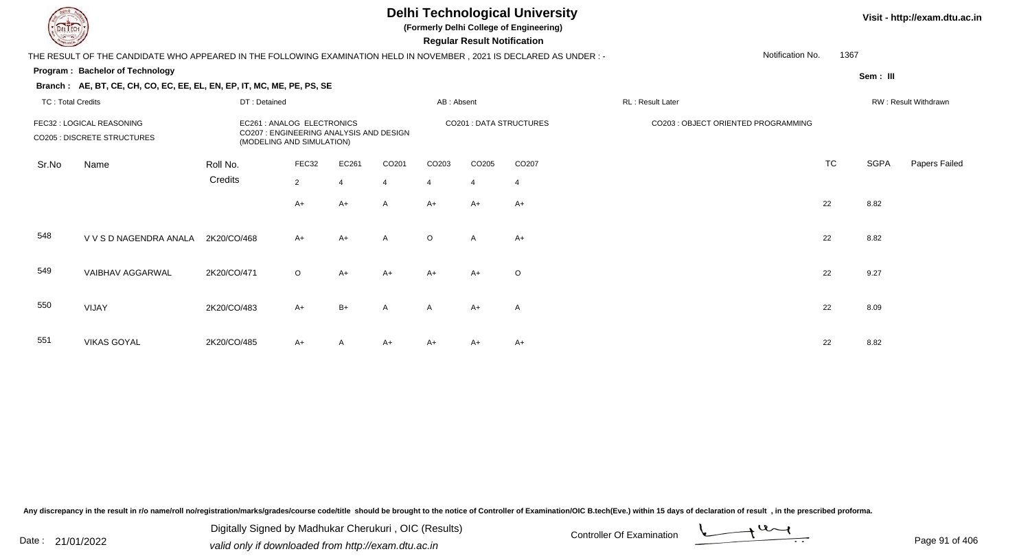**(Formerly Delhi College of Engineering)**

#### **Visit - http://exam.dtu.ac.in**

**Program : Bachelor of Technology Regular Result NotificationSem : III Branch : AE, BT, CE, CH, CO, EC, EE, EL, EN, EP, IT, MC, ME, PE, PS, SE**THE RESULT OF THE CANDIDATE WHO APPEARED IN THE FOLLOWING EXAMINATION HELD IN NOVEMBER , 2021 IS DECLARED AS UNDER : -TC : Total Credits DT : Detainedd AB : Absent RL : Result Later RW : Result Withdrawn Notification No. 1367Sr.NoName Roll No. **Credits** FEC32 : LOGICAL REASONING EC261 : ANALOG ELECTRONICS CO201 : DATA STRUCTURES CO203 : OBJECT ORIENTED PROGRAMMING CO205 : DISCRETE STRUCTURES CO207 : ENGINEERING ANALYSIS AND DESIGN (MODELING AND SIMULATION)FEC32 EC261 CO201 CO203 CO205 CO207 TCTC SGPA Papers Failed 22 4 4 4 4 4  $A+$ + A+ A A A+ A+ A+  $+$  A+  $+$  22 8.82 548 V V S D NAGENDRA ANALAA 2K20/CO/468 A+ A+ A O A A+ <br>A 2K20/CO/468 A+ A+ A O A A+ 549 VAIBHAV AGGARWAL 2K20/CO/471 <sup>O</sup> A+ A+ A+ A+ <sup>O</sup> <sup>22</sup> 9.27 550 VIJAY2K20/CO/483 A+ B+ <sup>A</sup> <sup>A</sup> A+ <sup>A</sup> <sup>22</sup> 8.09

551 VIKAS GOYALL 2K20/CO/485 A+ A A+ A+ A+ A+ A+ A+ C 22 8.82

Any discrepancy in the result in r/o name/roll no/registration/marks/grades/course code/title should be brought to the notice of Controller of Examination/OIC B.tech(Eve.) within 15 days of declaration of result , in the p

Date : 21/01/2022 Valid only if downloaded from http://exam.dtu.ac.in<br>valid only if downloaded from http://exam.dtu.ac.in Digitally Signed by Madhukar Cherukuri , OIC (Results)

Page 91 of 406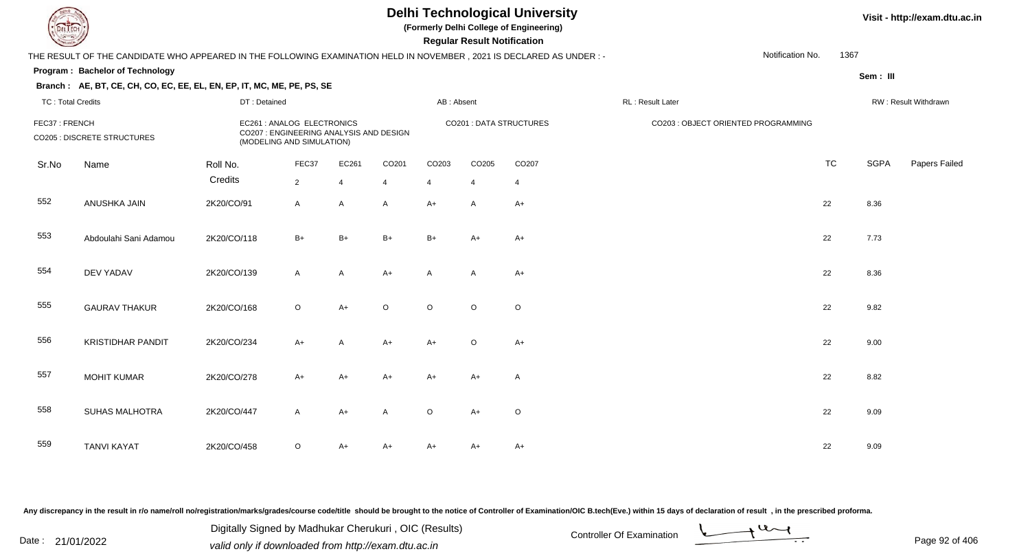**(Formerly Delhi College of Engineering)**

 **Regular Result Notification**

#### **Visit - http://exam.dtu.ac.in**

**Program : Bachelor of TechnologySem : III Branch : AE, BT, CE, CH, CO, EC, EE, EL, EN, EP, IT, MC, ME, PE, PS, SE**THE RESULT OF THE CANDIDATE WHO APPEARED IN THE FOLLOWING EXAMINATION HELD IN NOVEMBER , 2021 IS DECLARED AS UNDER : -TC : Total Credits DT : Detainedd AB : Absent RL : Result Later RW : Result Withdrawn Notification No. 1367Sr.NoName Roll No. **Credits** FEC37 : FRENCH EC261 : ANALOG ELECTRONICS CO201 : DATA STRUCTURES CO203 : OBJECT ORIENTED PROGRAMMINGCO205 : DISCRETE STRUCTURES CO207 : ENGINEERING ANALYSIS AND DESIGN (MODELING AND SIMULATION)FEC37 EC261 CO201 CO203 CO205 CO207 TCTC SGPA Papers Failed 22 4 4 4 4 4 552 ANUSHKA JAINN 2K20/CO/91 A A A A+ A A+ A C and a and a 22 8.36 553 Abdoulahi Sani Adamouu 2K20/CO/118 B+ B+ B+ B+ A+ A+ A+ 554 DEV YADAVV 2K20/CO/139 A A A+ A A A+ A A+ 22 8.36 555 GAURAV THAKURR 2K20/CO/168 O A+ O O O O O 22 9.82 556 KRISTIDHAR PANDIT 2K20/CO/234 A+ <sup>A</sup> A+ A+ <sup>O</sup> $A_{+}$  22 9.00 557 MOHIT KUMARR 2K20/CO/278 A+ A+ A+ A+ A+ A+ A+ A 22 8.82 558 SUHAS MALHOTRAA 2K20/CO/447 A A+ A O A+ O 559 TANVI KAYAT 2K20/CO/458 <sup>O</sup>A+ A+ A+ A+ A+ <sup>22</sup> 9.09

Any discrepancy in the result in r/o name/roll no/registration/marks/grades/course code/title should be brought to the notice of Controller of Examination/OIC B.tech(Eve.) within 15 days of declaration of result , in the p

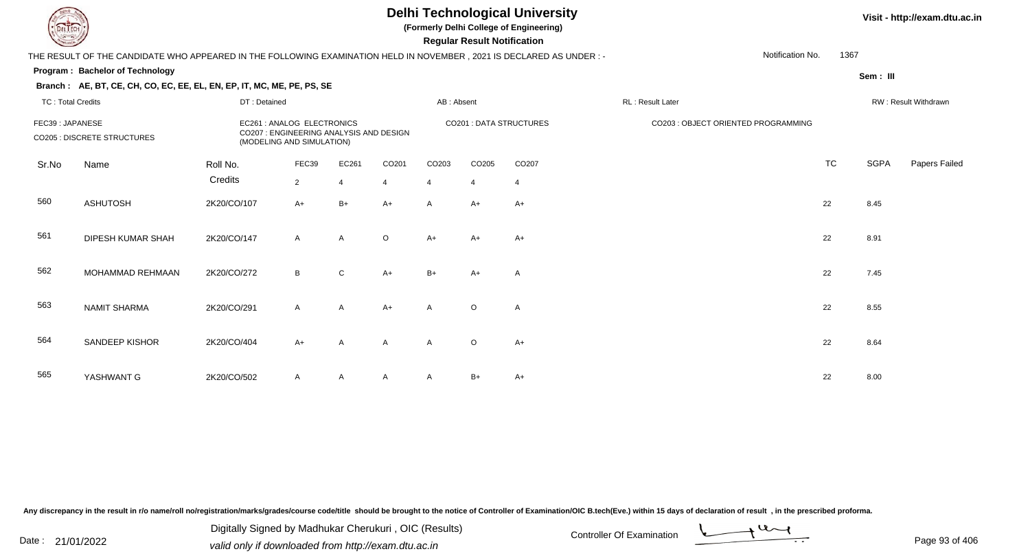**(Formerly Delhi College of Engineering)**

 **Regular Result Notification**

#### **Visit - http://exam.dtu.ac.in**

| <b>Courses I</b>         |                                                                                                                       |              |                                                                                                   |                |                |                | Regular Result Notification |                         |                                     |                  |             |                      |
|--------------------------|-----------------------------------------------------------------------------------------------------------------------|--------------|---------------------------------------------------------------------------------------------------|----------------|----------------|----------------|-----------------------------|-------------------------|-------------------------------------|------------------|-------------|----------------------|
|                          | THE RESULT OF THE CANDIDATE WHO APPEARED IN THE FOLLOWING EXAMINATION HELD IN NOVEMBER, 2021 IS DECLARED AS UNDER : - |              |                                                                                                   |                |                |                |                             |                         |                                     | Notification No. | 1367        |                      |
|                          | Program: Bachelor of Technology                                                                                       |              |                                                                                                   |                |                |                |                             |                         |                                     |                  | Sem: III    |                      |
|                          | Branch: AE, BT, CE, CH, CO, EC, EE, EL, EN, EP, IT, MC, ME, PE, PS, SE                                                |              |                                                                                                   |                |                |                |                             |                         |                                     |                  |             |                      |
| <b>TC: Total Credits</b> |                                                                                                                       | DT: Detained |                                                                                                   |                |                | AB: Absent     |                             |                         | RL: Result Later                    |                  |             | RW: Result Withdrawn |
| FEC39: JAPANESE          | <b>CO205 : DISCRETE STRUCTURES</b>                                                                                    |              | EC261 : ANALOG ELECTRONICS<br>CO207: ENGINEERING ANALYSIS AND DESIGN<br>(MODELING AND SIMULATION) |                |                |                |                             | CO201 : DATA STRUCTURES | CO203 : OBJECT ORIENTED PROGRAMMING |                  |             |                      |
| Sr.No                    | Name                                                                                                                  | Roll No.     | FEC39                                                                                             | EC261          | CO201          | CO203          | CO205                       | CO207                   |                                     | <b>TC</b>        | <b>SGPA</b> | Papers Failed        |
|                          |                                                                                                                       | Credits      | $\overline{2}$                                                                                    | $\Delta$       | $\overline{4}$ | $\overline{4}$ | $\overline{4}$              | $\overline{4}$          |                                     |                  |             |                      |
| 560                      | <b>ASHUTOSH</b>                                                                                                       | 2K20/CO/107  | $A+$                                                                                              | $B+$           | $A+$           | $\mathsf{A}$   | $A+$                        | $A+$                    |                                     | 22               | 8.45        |                      |
| 561                      | DIPESH KUMAR SHAH                                                                                                     | 2K20/CO/147  | $\mathsf{A}$                                                                                      | $\overline{A}$ | $\circ$        | $A+$           | A+                          | $A+$                    |                                     | 22               | 8.91        |                      |
| 562                      | MOHAMMAD REHMAAN                                                                                                      | 2K20/CO/272  | B                                                                                                 | $\mathbf{C}$   | $A+$           | $B+$           | A+                          | Α                       |                                     | 22               | 7.45        |                      |
| 563                      | <b>NAMIT SHARMA</b>                                                                                                   | 2K20/CO/291  | $\mathsf{A}$                                                                                      | $\overline{A}$ | $A+$           | $\mathsf{A}$   | $\circ$                     | Α                       |                                     | 22               | 8.55        |                      |
| 564                      | SANDEEP KISHOR                                                                                                        | 2K20/CO/404  | $A+$                                                                                              | $\overline{A}$ | $\mathsf{A}$   | $\mathsf{A}$   | $\circ$                     | $A+$                    |                                     | 22               | 8.64        |                      |
| 565                      | YASHWANT G                                                                                                            | 2K20/CO/502  | $\mathsf{A}$                                                                                      | $\mathsf{A}$   | $\mathsf{A}$   | A              | $B+$                        | A+                      |                                     | 22               | 8.00        |                      |

Any discrepancy in the result in r/o name/roll no/registration/marks/grades/course code/title should be brought to the notice of Controller of Examination/OIC B.tech(Eve.) within 15 days of declaration of result, in the pr

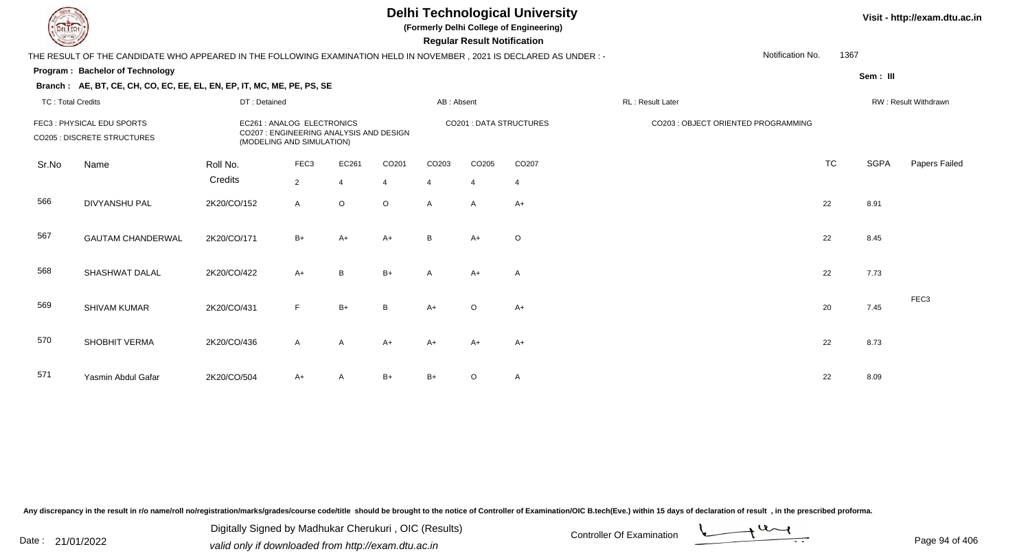**(Formerly Delhi College of Engineering)**

 **Regular Result Notification**

#### **Visit - http://exam.dtu.ac.in**

| <b>Courses A</b>         |                                                                                                                      |              |                                                         |                                         |                |                   | Regular Result Notification |                         |                                     |                  |           |                      |                  |
|--------------------------|----------------------------------------------------------------------------------------------------------------------|--------------|---------------------------------------------------------|-----------------------------------------|----------------|-------------------|-----------------------------|-------------------------|-------------------------------------|------------------|-----------|----------------------|------------------|
|                          | THE RESULT OF THE CANDIDATE WHO APPEARED IN THE FOLLOWING EXAMINATION HELD IN NOVEMBER, 2021 IS DECLARED AS UNDER :- |              |                                                         |                                         |                |                   |                             |                         |                                     | Notification No. | 1367      |                      |                  |
|                          | <b>Program: Bachelor of Technology</b>                                                                               |              |                                                         |                                         |                |                   |                             |                         |                                     |                  |           | Sem: III             |                  |
|                          | Branch: AE, BT, CE, CH, CO, EC, EE, EL, EN, EP, IT, MC, ME, PE, PS, SE                                               |              |                                                         |                                         |                |                   |                             |                         |                                     |                  |           |                      |                  |
| <b>TC: Total Credits</b> |                                                                                                                      | DT: Detained |                                                         |                                         | AB: Absent     |                   |                             | RL: Result Later        |                                     |                  |           | RW: Result Withdrawn |                  |
|                          | FEC3: PHYSICAL EDU SPORTS<br><b>CO205 : DISCRETE STRUCTURES</b>                                                      |              | EC261 : ANALOG ELECTRONICS<br>(MODELING AND SIMULATION) | CO207 : ENGINEERING ANALYSIS AND DESIGN |                |                   |                             | CO201 : DATA STRUCTURES | CO203 : OBJECT ORIENTED PROGRAMMING |                  |           |                      |                  |
| Sr.No                    | Name                                                                                                                 | Roll No.     | FEC <sub>3</sub>                                        | EC261                                   | CO201          | CO <sub>203</sub> | CO205                       | CO207                   |                                     |                  | <b>TC</b> | <b>SGPA</b>          | Papers Failec    |
|                          |                                                                                                                      | Credits      | $\overline{2}$                                          | $\overline{4}$                          | $\overline{4}$ | $\overline{4}$    | $\overline{4}$              | $\overline{4}$          |                                     |                  |           |                      |                  |
| 566                      | <b>DIVYANSHU PAL</b>                                                                                                 | 2K20/CO/152  | $\mathsf{A}$                                            | $\circ$                                 | $\circ$        | A                 | $\mathsf{A}$                | $A+$                    |                                     |                  | 22        | 8.91                 |                  |
| 567                      | <b>GAUTAM CHANDERWAL</b>                                                                                             | 2K20/CO/171  | $B+$                                                    | A+                                      | $A+$           | B                 | $A+$                        | $\circ$                 |                                     |                  | 22        | 8.45                 |                  |
| 568                      | SHASHWAT DALAL                                                                                                       | 2K20/CO/422  | $A+$                                                    | B                                       | $B+$           | A                 | $A+$                        | A                       |                                     |                  | 22        | 7.73                 |                  |
| 569                      | SHIVAM KUMAR                                                                                                         | 2K20/CO/431  | F                                                       | $B+$                                    | B              | $A+$              | $\circ$                     | $A+$                    |                                     |                  | 20        | 7.45                 | FEC <sub>3</sub> |
| 570                      | SHOBHIT VERMA                                                                                                        | 2K20/CO/436  | $\mathsf{A}$                                            | $\mathsf{A}$                            | $A+$           | $A+$              | $A+$                        | $A+$                    |                                     |                  | 22        | 8.73                 |                  |
| 571                      | Yasmin Abdul Gafar                                                                                                   | 2K20/CO/504  | $A+$                                                    |                                         | $B+$           | $B+$              | $\circ$                     | A                       |                                     |                  | 22        | 8.09                 |                  |
|                          |                                                                                                                      |              |                                                         |                                         |                |                   |                             |                         |                                     |                  |           |                      |                  |

Any discrepancy in the result in r/o name/roll no/registration/marks/grades/course code/title should be brought to the notice of Controller of Examination/OIC B.tech(Eve.) within 15 days of declaration of result, in the pr

Digitally Signed by Madhukar Cherukuri, OIC (Results)<br>Date : 21/01/2022 valid only if downloaded from http://ovem.dtu.co.in Digitally Signed by Madhukar Cherukuri , OIC (Results)valid only if downloaded from http://exam.dtu.ac.in

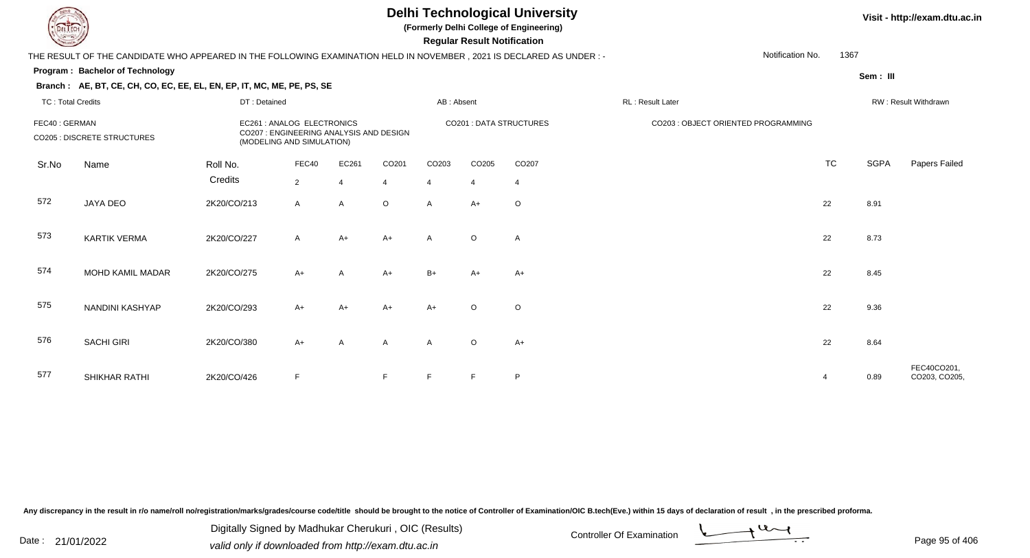**(Formerly Delhi College of Engineering)**

 **Regular Result Notification**

#### **Visit - http://exam.dtu.ac.in**

THE RESULT OF THE CANDIDATE WHO APPEARED IN THE FOLLOWING EXAMINATION HELD IN NOVEMBER , 2021 IS DECLARED AS UNDER : -Notification No.1367

#### **Program : Bachelor of Technology**

**Branch : AE, BT, CE, CH, CO, EC, EE, EL, EN, EP, IT, MC, ME, PE, PS, SE**

**Sem : III**

| TC: Total Credits                            |                     | DT: Detained                                                                                       |                         |                         |                         | AB: Absent              |                         |                         | RL: Result Later                    |                |      | RW: Result Withdrawn         |  |  |
|----------------------------------------------|---------------------|----------------------------------------------------------------------------------------------------|-------------------------|-------------------------|-------------------------|-------------------------|-------------------------|-------------------------|-------------------------------------|----------------|------|------------------------------|--|--|
| FEC40: GERMAN<br>CO205 : DISCRETE STRUCTURES |                     | EC261 : ANALOG ELECTRONICS<br>CO207 : ENGINEERING ANALYSIS AND DESIGN<br>(MODELING AND SIMULATION) |                         |                         |                         |                         |                         | CO201 : DATA STRUCTURES | CO203 : OBJECT ORIENTED PROGRAMMING |                |      |                              |  |  |
| Sr.No                                        | Name                | Roll No.<br>Credits                                                                                | FEC40<br>$\overline{2}$ | EC261<br>$\overline{4}$ | CO201<br>$\overline{4}$ | CO203<br>$\overline{4}$ | CO205<br>$\overline{4}$ | CO207<br>4              |                                     | TC             | SGPA | Papers Failed                |  |  |
| 572                                          | JAYA DEO            | 2K20/CO/213                                                                                        | A                       | $\mathsf{A}$            | $\circ$                 | $\mathsf{A}$            | $A+$                    | $\circ$                 |                                     | 22             | 8.91 |                              |  |  |
| 573                                          | <b>KARTIK VERMA</b> | 2K20/CO/227                                                                                        | Α                       | $A+$                    | $A+$                    | $\mathsf{A}$            | $\circ$                 | $\mathsf{A}$            |                                     | 22             | 8.73 |                              |  |  |
| 574                                          | MOHD KAMIL MADAR    | 2K20/CO/275                                                                                        | $A+$                    | $\overline{A}$          | $A+$                    | $B+$                    | $A+$                    | $A+$                    |                                     | 22             | 8.45 |                              |  |  |
| 575                                          | NANDINI KASHYAP     | 2K20/CO/293                                                                                        | $A+$                    | $A+$                    | $A+$                    | A+                      | $\circ$                 | $\circ$                 |                                     | 22             | 9.36 |                              |  |  |
| 576                                          | <b>SACHI GIRI</b>   | 2K20/CO/380                                                                                        | $A+$                    | $\overline{A}$          | $\mathsf{A}$            | $\mathsf{A}$            | $\circ$                 | $A+$                    |                                     | 22             | 8.64 |                              |  |  |
| 577                                          | SHIKHAR RATHI       | 2K20/CO/426                                                                                        | F                       |                         | F                       | F                       | F                       | P                       |                                     | $\overline{4}$ | 0.89 | FEC40CO201,<br>CO203, CO205, |  |  |

Any discrepancy in the result in r/o name/roll no/registration/marks/grades/course code/title should be brought to the notice of Controller of Examination/OIC B.tech(Eve.) within 15 days of declaration of result, in the pr

Date : 21/01/2022 Digital Digital of Microsofted Controller Of Examination Determination Page 95 of 40 Digitally Signed by Madhukar Cherukuri , OIC (Results)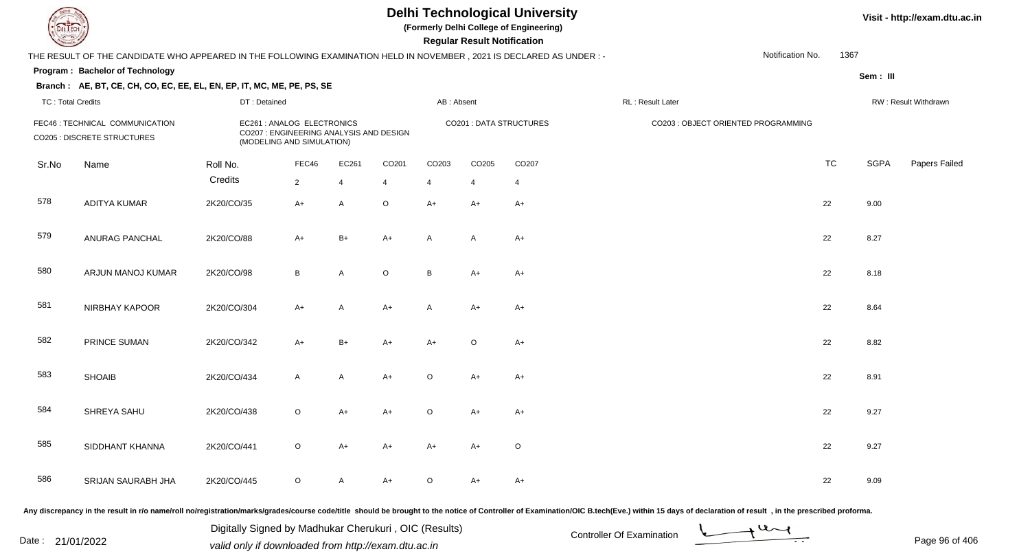**(Formerly Delhi College of Engineering)**

 **Regular Result Notification**

**Visit - http://exam.dtu.ac.in**

| <b>Courses and States of the United States</b> |                                                                                                                     |              |                                                                                                    |                |                |                               | <b>Regular Result Notification</b> |         |                                     |                          |             |                      |
|------------------------------------------------|---------------------------------------------------------------------------------------------------------------------|--------------|----------------------------------------------------------------------------------------------------|----------------|----------------|-------------------------------|------------------------------------|---------|-------------------------------------|--------------------------|-------------|----------------------|
|                                                | THE RESULT OF THE CANDIDATE WHO APPEARED IN THE FOLLOWING EXAMINATION HELD IN NOVEMBER, 2021 IS DECLARED AS UNDER:- |              |                                                                                                    |                |                |                               |                                    |         |                                     | Notification No.<br>1367 |             |                      |
|                                                | Program: Bachelor of Technology                                                                                     |              |                                                                                                    |                |                |                               |                                    |         |                                     |                          | Sem: III    |                      |
|                                                | Branch: AE, BT, CE, CH, CO, EC, EE, EL, EN, EP, IT, MC, ME, PE, PS, SE                                              |              |                                                                                                    |                |                |                               |                                    |         |                                     |                          |             |                      |
| <b>TC: Total Credits</b>                       |                                                                                                                     | DT: Detained |                                                                                                    |                |                | AB: Absent                    |                                    |         | RL: Result Later                    |                          |             | RW: Result Withdrawn |
|                                                | FEC46 : TECHNICAL COMMUNICATION<br>CO205 : DISCRETE STRUCTURES                                                      |              | EC261 : ANALOG ELECTRONICS<br>CO207 : ENGINEERING ANALYSIS AND DESIGN<br>(MODELING AND SIMULATION) |                |                | <b>CO201: DATA STRUCTURES</b> |                                    |         | CO203 : OBJECT ORIENTED PROGRAMMING |                          |             |                      |
| Sr.No                                          | Name                                                                                                                | Roll No.     | FEC46                                                                                              | EC261          | CO201          | CO203                         | CO205                              | CO207   |                                     | <b>TC</b>                | <b>SGPA</b> | Papers Failed        |
|                                                |                                                                                                                     | Credits      | $\overline{2}$                                                                                     | $\overline{4}$ | $\overline{4}$ | 4                             | 4                                  | 4       |                                     |                          |             |                      |
| 578                                            | <b>ADITYA KUMAR</b>                                                                                                 | 2K20/CO/35   | $A+$                                                                                               | A              | $\mathsf O$    | $A+$                          | $A+$                               | $A+$    |                                     | 22                       | 9.00        |                      |
| 579                                            | ANURAG PANCHAL                                                                                                      | 2K20/CO/88   | $A+$                                                                                               | $B+$           | $A+$           | A                             | A                                  | $A+$    |                                     | 22                       | 8.27        |                      |
| 580                                            | ARJUN MANOJ KUMAR                                                                                                   | 2K20/CO/98   | B                                                                                                  | A              | $\mathsf O$    | B                             | $A+$                               | $A+$    |                                     | 22                       | 8.18        |                      |
| 581                                            | NIRBHAY KAPOOR                                                                                                      | 2K20/CO/304  | $A+$                                                                                               | A              | $A+$           | A                             | A+                                 | $A+$    |                                     | 22                       | 8.64        |                      |
| 582                                            | PRINCE SUMAN                                                                                                        | 2K20/CO/342  | $A+$                                                                                               | $B+$           | $A+$           | $A+$                          | $\circ$                            | $A+$    |                                     | 22                       | 8.82        |                      |
| 583                                            | <b>SHOAIB</b>                                                                                                       | 2K20/CO/434  | $\mathsf{A}$                                                                                       | $\mathsf{A}$   | $A+$           | $\circ$                       | $A+$                               | $A+$    |                                     | 22                       | 8.91        |                      |
| 584                                            | SHREYA SAHU                                                                                                         | 2K20/CO/438  | $\circ$                                                                                            | $A+$           | $A+$           | $\circ$                       | $A+$                               | $A+$    |                                     | 22                       | 9.27        |                      |
| 585                                            | SIDDHANT KHANNA                                                                                                     | 2K20/CO/441  | $\circ$                                                                                            | $A+$           | $A+$           | $A+$                          | A+                                 | $\circ$ |                                     | 22                       | 9.27        |                      |
| 586                                            | SRIJAN SAURABH JHA                                                                                                  | 2K20/CO/445  | $\circ$                                                                                            | A              | $A+$           | $\circ$                       | $A+$                               | A+      |                                     | 22                       | 9.09        |                      |
|                                                |                                                                                                                     |              |                                                                                                    |                |                |                               |                                    |         |                                     |                          |             |                      |

Any discrepancy in the result in r/o name/roll no/registration/marks/grades/course code/title should be brought to the notice of Controller of Examination/OIC B.tech(Eve.) within 15 days of declaration of result , in the p

Date : 21/01/2022 Digital Digital of Microsofted Chemical Controller Of Examination Determination Page 96 of 40 Digitally Signed by Madhukar Cherukuri , OIC (Results)

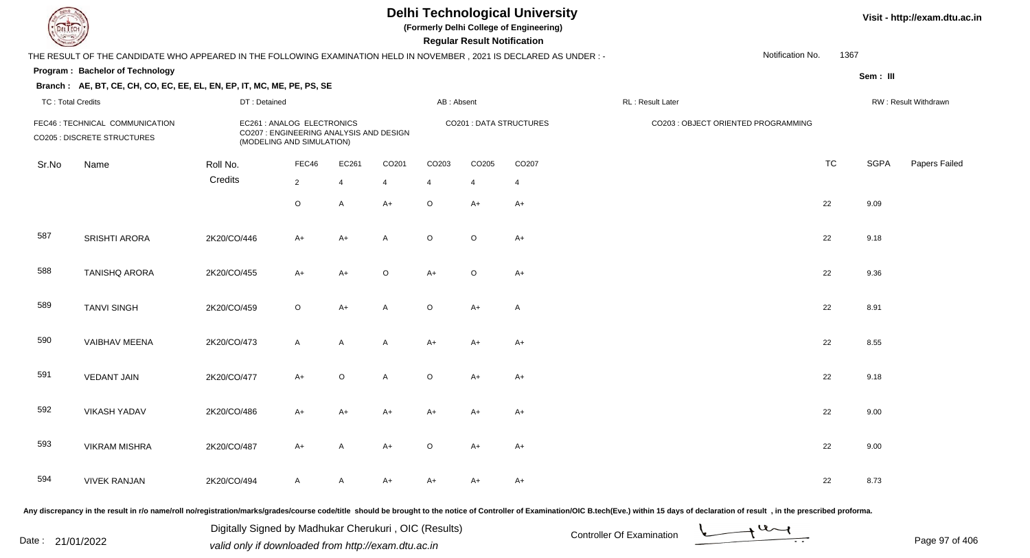**(Formerly Delhi College of Engineering)**

 **Regular Result Notification**

**Visit - http://exam.dtu.ac.in**

| <b>Country</b>           |                                                                                                                      |                                                                                                                  |                                                                                                    |                                   |                |            | <b>Regular Result Notification</b> |                               |                                                                                                                                                                                                                                |                                 |             |                      |
|--------------------------|----------------------------------------------------------------------------------------------------------------------|------------------------------------------------------------------------------------------------------------------|----------------------------------------------------------------------------------------------------|-----------------------------------|----------------|------------|------------------------------------|-------------------------------|--------------------------------------------------------------------------------------------------------------------------------------------------------------------------------------------------------------------------------|---------------------------------|-------------|----------------------|
|                          | THE RESULT OF THE CANDIDATE WHO APPEARED IN THE FOLLOWING EXAMINATION HELD IN NOVEMBER, 2021 IS DECLARED AS UNDER :- |                                                                                                                  |                                                                                                    |                                   |                |            |                                    |                               |                                                                                                                                                                                                                                | Notification No.<br>1367        |             |                      |
|                          | Program: Bachelor of Technology                                                                                      |                                                                                                                  |                                                                                                    |                                   |                |            |                                    |                               |                                                                                                                                                                                                                                |                                 | Sem: III    |                      |
|                          | Branch: AE, BT, CE, CH, CO, EC, EE, EL, EN, EP, IT, MC, ME, PE, PS, SE                                               |                                                                                                                  |                                                                                                    |                                   |                |            |                                    |                               |                                                                                                                                                                                                                                |                                 |             |                      |
| <b>TC: Total Credits</b> |                                                                                                                      | DT: Detained                                                                                                     |                                                                                                    |                                   |                | AB: Absent |                                    |                               | RL: Result Later                                                                                                                                                                                                               |                                 |             | RW: Result Withdrawn |
|                          | FEC46 : TECHNICAL COMMUNICATION<br><b>CO205 : DISCRETE STRUCTURES</b>                                                |                                                                                                                  | EC261 : ANALOG ELECTRONICS<br>CO207 : ENGINEERING ANALYSIS AND DESIGN<br>(MODELING AND SIMULATION) |                                   |                |            |                                    | <b>CO201: DATA STRUCTURES</b> | CO203 : OBJECT ORIENTED PROGRAMMING                                                                                                                                                                                            |                                 |             |                      |
| Sr.No                    | Name                                                                                                                 | Roll No.                                                                                                         | FEC46                                                                                              | EC261                             | CO201          | CO203      | CO205                              | CO207                         |                                                                                                                                                                                                                                | <b>TC</b>                       | <b>SGPA</b> | Papers Failed        |
|                          |                                                                                                                      | Credits                                                                                                          | $\overline{2}$                                                                                     | 4                                 | $\overline{4}$ | 4          | $\overline{4}$                     | $\overline{4}$                |                                                                                                                                                                                                                                |                                 |             |                      |
|                          |                                                                                                                      |                                                                                                                  | $\circ$                                                                                            | A                                 | $A+$           | $\circ$    | $A+$                               | $A+$                          |                                                                                                                                                                                                                                | 22                              | 9.09        |                      |
| 587                      | <b>SRISHTI ARORA</b>                                                                                                 | 2K20/CO/446                                                                                                      | $A+$                                                                                               | $A+$                              | A              | $\circ$    | $\circ$                            | $A+$                          |                                                                                                                                                                                                                                | 22                              | 9.18        |                      |
| 588                      | <b>TANISHQ ARORA</b>                                                                                                 | 2K20/CO/455                                                                                                      | $A+$                                                                                               | $A+$                              | $\mathsf O$    | $A+$       | $\circ$                            | $A+$                          |                                                                                                                                                                                                                                | 22                              | 9.36        |                      |
| 589                      | <b>TANVI SINGH</b>                                                                                                   | 2K20/CO/459                                                                                                      | $\mathsf O$                                                                                        | $A+$                              | A              | $\circ$    | A+                                 | A                             |                                                                                                                                                                                                                                | 22                              | 8.91        |                      |
| 590                      | <b>VAIBHAV MEENA</b>                                                                                                 | 2K20/CO/473                                                                                                      | $\mathsf{A}$                                                                                       | $\mathsf{A}$                      | $\mathsf{A}$   | $A+$       | $A+$                               | A+                            |                                                                                                                                                                                                                                | 22                              | 8.55        |                      |
| 591                      | <b>VEDANT JAIN</b>                                                                                                   | 2K20/CO/477                                                                                                      | $A+$                                                                                               | $\circ$                           | $\mathsf{A}$   | $\circ$    | $A+$                               | A+                            |                                                                                                                                                                                                                                | 22                              | 9.18        |                      |
| 592                      | <b>VIKASH YADAV</b>                                                                                                  | 2K20/CO/486                                                                                                      | $A+$                                                                                               | $A+$                              | $A+$           | $A+$       | $A+$                               | A+                            |                                                                                                                                                                                                                                | 22                              | 9.00        |                      |
| 593                      | <b>VIKRAM MISHRA</b>                                                                                                 | 2K20/CO/487                                                                                                      | $A+$                                                                                               | $\mathsf{A}$                      | $A+$           | $\circ$    | $A+$                               | $A+$                          |                                                                                                                                                                                                                                | 22                              | 9.00        |                      |
| 594                      | <b>VIVEK RANJAN</b>                                                                                                  | 2K20/CO/494                                                                                                      | $\mathsf{A}$                                                                                       | $\mathsf{A}$                      | $A+$           | $A+$       | $A+$                               | A+                            |                                                                                                                                                                                                                                | 22                              | 8.73        |                      |
|                          | and the state of the state of                                                                                        | in the second control of the second control of the second control of the second control of the second control of |                                                                                                    | the company's company's company's |                |            |                                    |                               | in the contract of the contract of the contract of the contract of the contract of the contract of the contract of the contract of the contract of the contract of the contract of the contract of the contract of the contrac | the contract of the contract of |             |                      |

Any discrepancy in the result in r/o name/roll no/registration/marks/grades/course code/title should be brought to the notice of Controller of Examination/OIC B.tech(Eve.) within 15 days of declaration of result , in the p

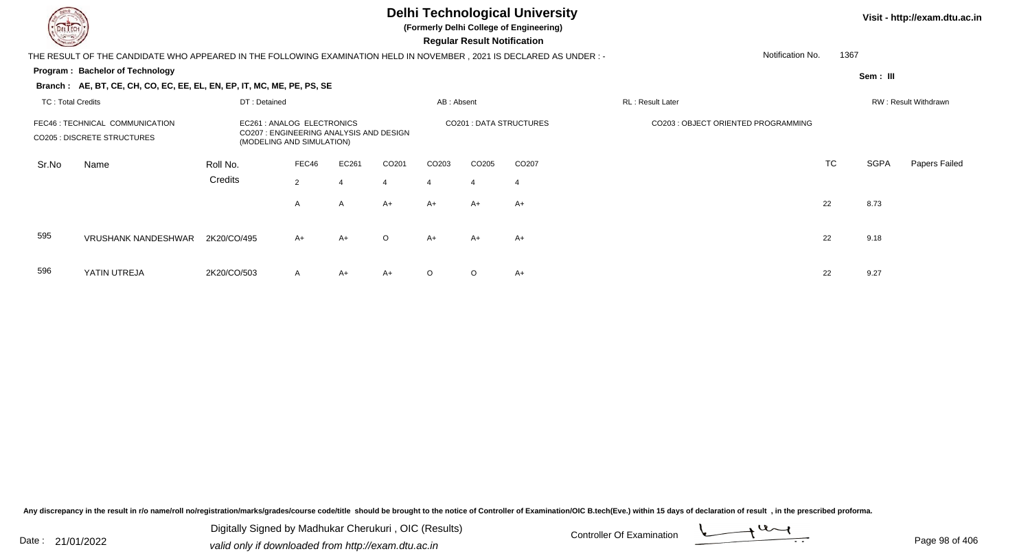596

YATIN UTREJA

# **Delhi Technological University**

**(Formerly Delhi College of Engineering)**

 **Regular Result Notification**

| $\overline{\phantom{0}}$                                             |                                                                                                                        |             |                                                                                                   |       |         |                   | <b>Regular Result Nothiodilon</b> |                        |                                    |                  |      |          |                      |
|----------------------------------------------------------------------|------------------------------------------------------------------------------------------------------------------------|-------------|---------------------------------------------------------------------------------------------------|-------|---------|-------------------|-----------------------------------|------------------------|------------------------------------|------------------|------|----------|----------------------|
|                                                                      | THE RESULT OF THE CANDIDATE WHO APPEARED IN THE FOLLOWING EXAMINATION HELD IN NOVEMBER , 2021 IS DECLARED AS UNDER : - |             |                                                                                                   |       |         |                   |                                   |                        |                                    | Notification No. | 1367 |          |                      |
|                                                                      | <b>Program: Bachelor of Technology</b>                                                                                 |             |                                                                                                   |       |         |                   |                                   |                        |                                    |                  |      | Sem: III |                      |
|                                                                      | Branch: AE, BT, CE, CH, CO, EC, EE, EL, EN, EP, IT, MC, ME, PE, PS, SE                                                 |             |                                                                                                   |       |         |                   |                                   |                        |                                    |                  |      |          |                      |
|                                                                      | DT: Detained<br><b>TC: Total Credits</b>                                                                               |             |                                                                                                   |       |         | AB: Absent        |                                   |                        | RL: Result Later                   |                  |      |          | RW: Result Withdrawn |
| FEC46 : TECHNICAL COMMUNICATION<br><b>CO205: DISCRETE STRUCTURES</b> |                                                                                                                        |             | EC261 : ANALOG ELECTRONICS<br>CO207: ENGINEERING ANALYSIS AND DESIGN<br>(MODELING AND SIMULATION) |       |         |                   |                                   | CO201: DATA STRUCTURES | CO203: OBJECT ORIENTED PROGRAMMING |                  |      |          |                      |
| Sr.No                                                                | Name                                                                                                                   | Roll No.    | FEC46                                                                                             | EC261 | CO201   | CO <sub>203</sub> | CO <sub>205</sub>                 | CO <sub>207</sub>      |                                    |                  | TC   | SGPA     | <b>Papers Failed</b> |
|                                                                      |                                                                                                                        | Credits     | $\overline{2}$                                                                                    |       | 4       | 4                 | $\overline{4}$                    | 4                      |                                    |                  |      |          |                      |
|                                                                      |                                                                                                                        |             | A                                                                                                 | A     | $A+$    | $A+$              | A+                                | $A+$                   |                                    |                  | 22   | 8.73     |                      |
| 595                                                                  | <b>VRUSHANK NANDESHWAR</b>                                                                                             | 2K20/CO/495 | $A+$                                                                                              | A+    | $\circ$ | A+                | A+                                | $A+$                   |                                    |                  | 22   | 9.18     |                      |

A 2K20/CO/503 A A+ A+ O O A+ 22 9.27

Any discrepancy in the result in r/o name/roll no/registration/marks/grades/course code/title should be brought to the notice of Controller of Examination/OIC B.tech(Eve.) within 15 days of declaration of result, in the pr

Date : 21/01/2022 Digital Digital of Microsofted Chemical Controller Of Examination Determination Page 98 of 40 Digitally Signed by Madhukar Cherukuri , OIC (Results)

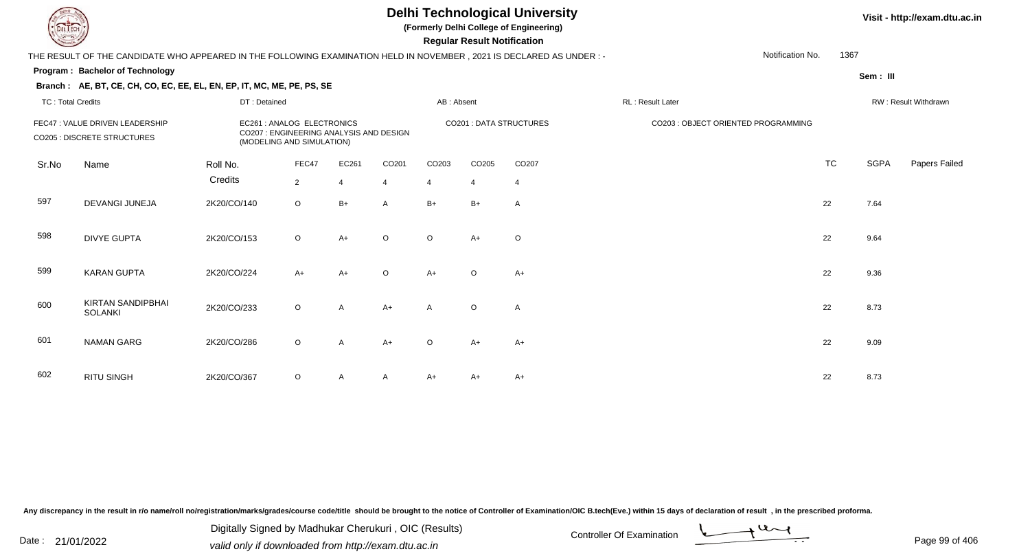**(Formerly Delhi College of Engineering)**

**Regular Regular Results Notification** 

#### **Visit - http://exam.dtu.ac.in**

| <b>Consultor of Charles</b> |                                                                                                                      |              |                                                                                                    |       |                |                   | <b>Regular Result Notification</b> |                               |                  |                                     |           |                      |               |
|-----------------------------|----------------------------------------------------------------------------------------------------------------------|--------------|----------------------------------------------------------------------------------------------------|-------|----------------|-------------------|------------------------------------|-------------------------------|------------------|-------------------------------------|-----------|----------------------|---------------|
|                             | THE RESULT OF THE CANDIDATE WHO APPEARED IN THE FOLLOWING EXAMINATION HELD IN NOVEMBER, 2021 IS DECLARED AS UNDER :- |              |                                                                                                    |       |                |                   |                                    |                               |                  | Notification No.                    | 1367      |                      |               |
|                             | Program: Bachelor of Technology                                                                                      |              |                                                                                                    |       |                |                   |                                    |                               |                  |                                     |           | Sem: III             |               |
|                             | Branch: AE, BT, CE, CH, CO, EC, EE, EL, EN, EP, IT, MC, ME, PE, PS, SE                                               |              |                                                                                                    |       |                |                   |                                    |                               |                  |                                     |           |                      |               |
| <b>TC: Total Credits</b>    |                                                                                                                      | DT: Detained |                                                                                                    |       |                | AB: Absent        |                                    |                               | RL: Result Later |                                     |           | RW: Result Withdrawn |               |
|                             | FEC47 : VALUE DRIVEN LEADERSHIP<br>CO205 : DISCRETE STRUCTURES                                                       |              | EC261 : ANALOG ELECTRONICS<br>CO207 : ENGINEERING ANALYSIS AND DESIGN<br>(MODELING AND SIMULATION) |       |                |                   |                                    | <b>CO201: DATA STRUCTURES</b> |                  | CO203 : OBJECT ORIENTED PROGRAMMING |           |                      |               |
| Sr.No                       | Name                                                                                                                 | Roll No.     | FEC47                                                                                              | EC261 | CO201          | CO <sub>203</sub> | CO <sub>205</sub>                  | CO207                         |                  |                                     | <b>TC</b> | <b>SGPA</b>          | Papers Failec |
|                             |                                                                                                                      | Credits      | $\overline{2}$                                                                                     | 4     | $\overline{4}$ | $\overline{4}$    | $\overline{4}$                     | $\overline{4}$                |                  |                                     |           |                      |               |
| 597                         | DEVANGI JUNEJA                                                                                                       | 2K20/CO/140  | $\circ$                                                                                            | $B+$  | A              | $B+$              | $B+$                               | A                             |                  |                                     | 22        | 7.64                 |               |
| 598                         | <b>DIVYE GUPTA</b>                                                                                                   | 2K20/CO/153  | $\circ$                                                                                            | $A+$  | $\circ$        | $\circ$           | $A+$                               | $\circ$                       |                  |                                     | 22        | 9.64                 |               |
| 599                         | <b>KARAN GUPTA</b>                                                                                                   | 2K20/CO/224  | $A+$                                                                                               | $A+$  | $\mathsf O$    | $A+$              | $\circ$                            | $A+$                          |                  |                                     | 22        | 9.36                 |               |
| 600                         | <b>KIRTAN SANDIPBHAI</b><br><b>SOLANKI</b>                                                                           | 2K20/CO/233  | $\circ$                                                                                            | A     | $A+$           | A                 | $\circ$                            | Α                             |                  |                                     | 22        | 8.73                 |               |
| 601                         | <b>NAMAN GARG</b>                                                                                                    | 2K20/CO/286  | $\circ$                                                                                            | A     | $A+$           | $\circ$           | $A+$                               | $A+$                          |                  |                                     | 22        | 9.09                 |               |
| 602                         | <b>RITU SINGH</b>                                                                                                    | 2K20/CO/367  | $\circ$                                                                                            | A     | Α              | A+                | A+                                 | $A+$                          |                  |                                     | 22        | 8.73                 |               |

Any discrepancy in the result in r/o name/roll no/registration/marks/grades/course code/title should be brought to the notice of Controller of Examination/OIC B.tech(Eve.) within 15 days of declaration of result, in the pr

Digitally Signed by Madhukar Cherukuri, OIC (Results)<br>Date : 21/01/2022 valid only if downloaded from http://oxam.dtu.ac.in Digitally Signed by Madhukar Cherukuri , OIC (Results)valid only if downloaded from http://exam.dtu.ac.in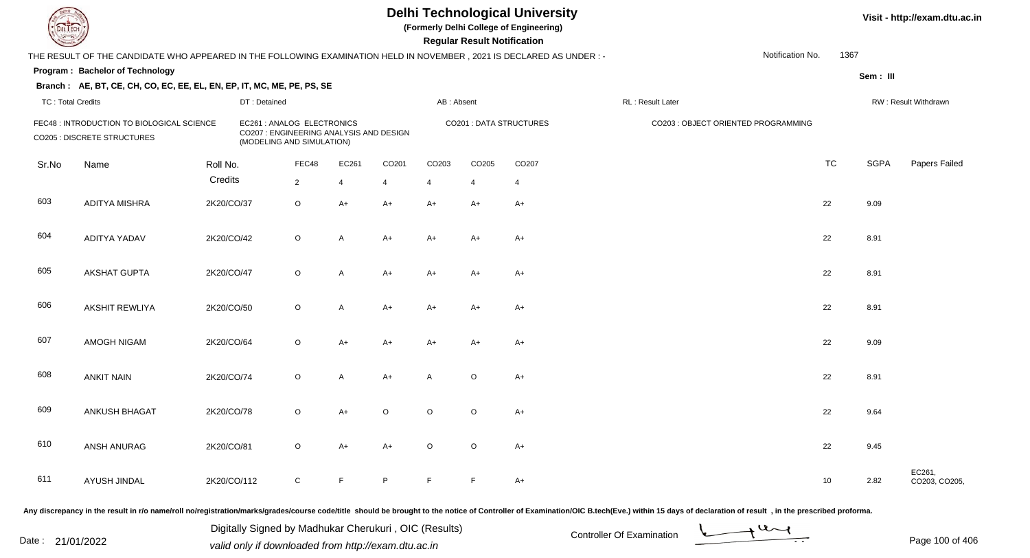**(Formerly Delhi College of Engineering)**

 **Regular Result Notification**

| $\sim$                   |                                                                                                                      |             |                                                                                                    |                |                |                |                | nggular ngsult nothlodilon |                               |                  |                                     |      |             |                         |
|--------------------------|----------------------------------------------------------------------------------------------------------------------|-------------|----------------------------------------------------------------------------------------------------|----------------|----------------|----------------|----------------|----------------------------|-------------------------------|------------------|-------------------------------------|------|-------------|-------------------------|
|                          | THE RESULT OF THE CANDIDATE WHO APPEARED IN THE FOLLOWING EXAMINATION HELD IN NOVEMBER, 2021 IS DECLARED AS UNDER :- |             |                                                                                                    |                |                |                |                |                            |                               |                  | Notification No.                    | 1367 |             |                         |
|                          | <b>Program: Bachelor of Technology</b>                                                                               |             |                                                                                                    |                |                |                |                |                            |                               |                  |                                     |      | Sem: III    |                         |
|                          | Branch: AE, BT, CE, CH, CO, EC, EE, EL, EN, EP, IT, MC, ME, PE, PS, SE                                               |             |                                                                                                    |                |                |                |                |                            |                               |                  |                                     |      |             |                         |
| <b>TC: Total Credits</b> |                                                                                                                      |             | DT: Detained                                                                                       |                |                |                | AB: Absent     |                            |                               | RL: Result Later |                                     |      |             | RW: Result Withdrawn    |
|                          | FEC48 : INTRODUCTION TO BIOLOGICAL SCIENCE<br><b>CO205 : DISCRETE STRUCTURES</b>                                     |             | EC261 : ANALOG ELECTRONICS<br>CO207 : ENGINEERING ANALYSIS AND DESIGN<br>(MODELING AND SIMULATION) |                |                |                |                |                            | <b>CO201: DATA STRUCTURES</b> |                  | CO203 : OBJECT ORIENTED PROGRAMMING |      |             |                         |
| Sr.No                    | Name                                                                                                                 | Roll No.    |                                                                                                    | FEC48          | EC261          | CO201          | CO203          | CO205                      | CO207                         |                  |                                     | TC   | <b>SGPA</b> | Papers Failed           |
|                          |                                                                                                                      | Credits     |                                                                                                    | $\overline{2}$ | $\overline{4}$ | $\overline{4}$ | $\overline{4}$ | $\overline{4}$             | $\overline{4}$                |                  |                                     |      |             |                         |
| 603                      | <b>ADITYA MISHRA</b>                                                                                                 | 2K20/CO/37  |                                                                                                    | O              | A+             | $A+$           | A+             | $A+$                       | A+                            |                  |                                     | 22   | 9.09        |                         |
| 604                      | <b>ADITYA YADAV</b>                                                                                                  | 2K20/CO/42  |                                                                                                    | $\circ$        | A              | $A+$           | A+             | $A+$                       | A+                            |                  |                                     | 22   | 8.91        |                         |
| 605                      | AKSHAT GUPTA                                                                                                         | 2K20/CO/47  |                                                                                                    | $\circ$        | A              | $A+$           | A+             | $A+$                       | A+                            |                  |                                     | 22   | 8.91        |                         |
| 606                      | <b>AKSHIT REWLIYA</b>                                                                                                | 2K20/CO/50  |                                                                                                    | $\mathsf O$    | Α              | $A+$           | A+             | $A+$                       | A+                            |                  |                                     | 22   | 8.91        |                         |
| 607                      | AMOGH NIGAM                                                                                                          | 2K20/CO/64  |                                                                                                    | $\circ$        | $A+$           | A+             | A+             | $A+$                       | A+                            |                  |                                     | 22   | 9.09        |                         |
| 608                      | <b>ANKIT NAIN</b>                                                                                                    | 2K20/CO/74  |                                                                                                    | O              | A              | $A+$           | A              | O                          | $A+$                          |                  |                                     | 22   | 8.91        |                         |
| 609                      | ANKUSH BHAGAT                                                                                                        | 2K20/CO/78  |                                                                                                    | $\circ$        | $A+$           | $\circ$        | $\circ$        | $\circ$                    | $A+$                          |                  |                                     | 22   | 9.64        |                         |
| 610                      | ANSH ANURAG                                                                                                          | 2K20/CO/81  |                                                                                                    | $\circ$        | $A+$           | $A+$           | $\circ$        | $\circ$                    | $A+$                          |                  |                                     | 22   | 9.45        |                         |
| 611                      | AYUSH JINDAL                                                                                                         | 2K20/CO/112 |                                                                                                    | $\mathsf C$    | F              | P              | E              | E                          | $A+$                          |                  |                                     | 10   | 2.82        | EC261,<br>CO203, CO205, |
|                          |                                                                                                                      |             |                                                                                                    |                |                |                |                |                            |                               |                  |                                     |      |             |                         |

Any discrepancy in the result in r/o name/roll no/registration/marks/grades/course code/title should be brought to the notice of Controller of Examination/OIC B.tech(Eve.) within 15 days of declaration of result, in the pr

Date : 21/01/2022 Digital Digital of Microsofted Chemical Controller Of Examination Determination Page 100 of 40 Digitally Signed by Madhukar Cherukuri , OIC (Results)



Page 100 of 406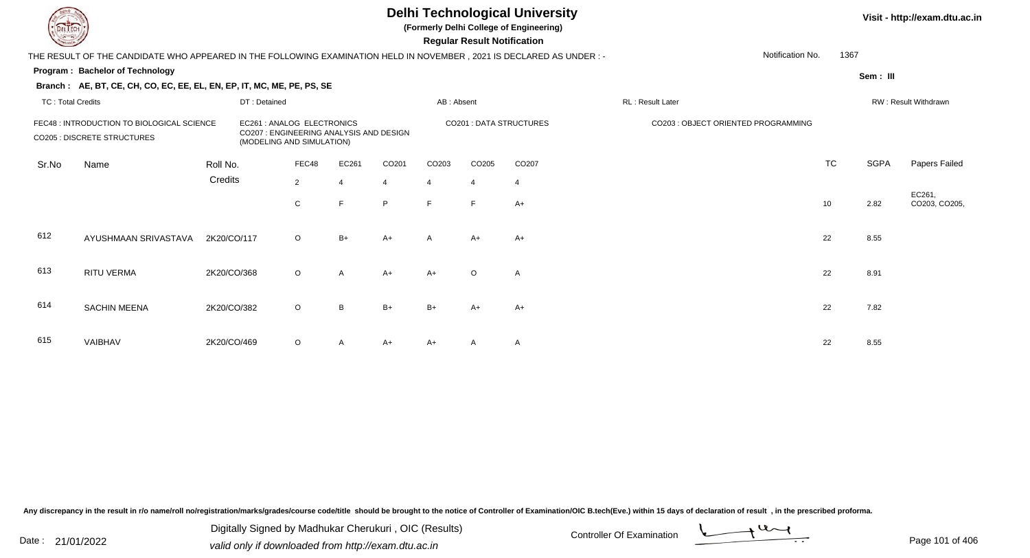**(Formerly Delhi College of Engineering)**

 **Regular Result Notification**

|                          | THE RESULT OF THE CANDIDATE WHO APPEARED IN THE FOLLOWING EXAMINATION HELD IN NOVEMBER , 2021 IS DECLARED AS UNDER :- |             |                                         |                                                         |              |                |            |                       |                               |                  | Notification No.                    | 1367      |             |                        |
|--------------------------|-----------------------------------------------------------------------------------------------------------------------|-------------|-----------------------------------------|---------------------------------------------------------|--------------|----------------|------------|-----------------------|-------------------------------|------------------|-------------------------------------|-----------|-------------|------------------------|
|                          | <b>Program: Bachelor of Technology</b>                                                                                |             |                                         |                                                         |              |                |            |                       |                               |                  |                                     |           | Sem : III   |                        |
|                          | Branch: AE, BT, CE, CH, CO, EC, EE, EL, EN, EP, IT, MC, ME, PE, PS, SE                                                |             |                                         |                                                         |              |                |            |                       |                               |                  |                                     |           |             |                        |
| <b>TC: Total Credits</b> |                                                                                                                       |             | DT: Detained                            |                                                         |              |                | AB: Absent |                       |                               | RL: Result Later |                                     |           |             | RW: Result Withdrawn   |
|                          | FEC48 : INTRODUCTION TO BIOLOGICAL SCIENCE<br>CO205 : DISCRETE STRUCTURES                                             |             | CO207 : ENGINEERING ANALYSIS AND DESIGN | EC261 : ANALOG ELECTRONICS<br>(MODELING AND SIMULATION) |              |                |            |                       | <b>CO201: DATA STRUCTURES</b> |                  | CO203 : OBJECT ORIENTED PROGRAMMING |           |             |                        |
| Sr.No                    | Name                                                                                                                  | Roll No.    |                                         | FEC48                                                   | EC261        | CO201          | CO203      | CO205                 | CO <sub>207</sub>             |                  |                                     | <b>TC</b> | <b>SGPA</b> | Papers Failed          |
|                          |                                                                                                                       | Credits     |                                         | $\overline{2}$                                          |              | $\overline{4}$ | 4          | $\boldsymbol{\Delta}$ | $\overline{4}$                |                  |                                     |           |             |                        |
|                          |                                                                                                                       |             |                                         | C                                                       | E            | P              | F          | F.                    | $A+$                          |                  |                                     | 10        | 2.82        | EC261,<br>CO203, CO205 |
| 612                      | AYUSHMAAN SRIVASTAVA                                                                                                  | 2K20/CO/117 |                                         | $\circ$                                                 | $B+$         | $A+$           | A          | $A+$                  | $A+$                          |                  |                                     | 22        | 8.55        |                        |
| 613                      | RITU VERMA                                                                                                            | 2K20/CO/368 |                                         | $\circ$                                                 | $\mathsf{A}$ | $A+$           | A+         | $\circ$               | A                             |                  |                                     | 22        | 8.91        |                        |
| 614                      | <b>SACHIN MEENA</b>                                                                                                   | 2K20/CO/382 |                                         | $\circ$                                                 | B            | $B+$           | $B+$       | $A+$                  | $A+$                          |                  |                                     | 22        | 7.82        |                        |
| 615                      | VAIBHAV                                                                                                               | 2K20/CO/469 |                                         | $\circ$                                                 | A            | $A+$           | $A+$       | A                     | A                             |                  |                                     | 22        | 8.55        |                        |

Any discrepancy in the result in r/o name/roll no/registration/marks/grades/course code/title should be brought to the notice of Controller of Examination/OIC B.tech(Eve.) within 15 days of declaration of result, in the pr

Date : 21/01/2022 Digital Digital of Microsofted Chemical Controller Of Examination Determination Page 101 of 40 Digitally Signed by Madhukar Cherukuri , OIC (Results)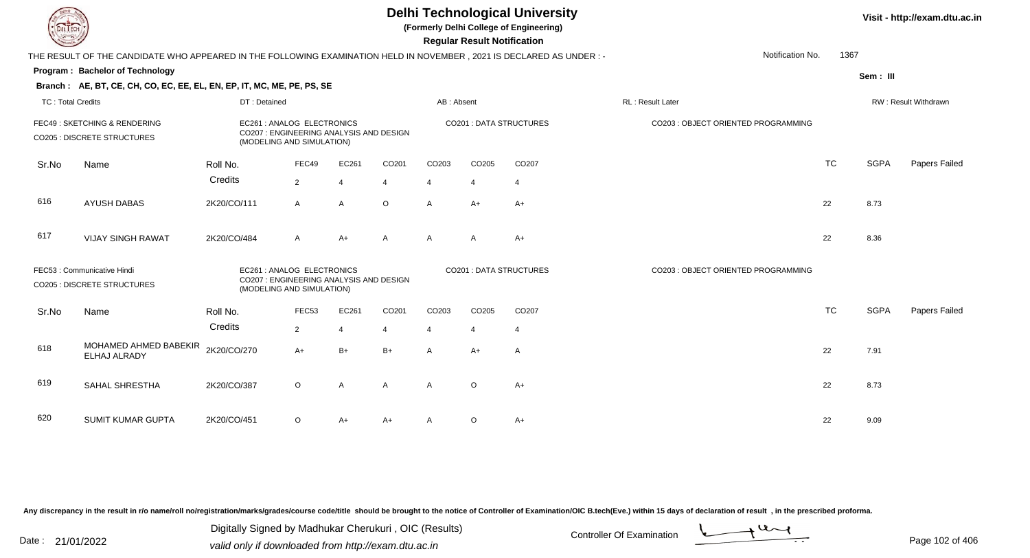**(Formerly Delhi College of Engineering)**

 **Regular Result Notification**

|                          | THE RESULT OF THE CANDIDATE WHO APPEARED IN THE FOLLOWING EXAMINATION HELD IN NOVEMBER, 2021 IS DECLARED AS UNDER:- |                                                                                                    |                |                |                |                       |                |                                | Notification No.                    | 1367      |             |                      |
|--------------------------|---------------------------------------------------------------------------------------------------------------------|----------------------------------------------------------------------------------------------------|----------------|----------------|----------------|-----------------------|----------------|--------------------------------|-------------------------------------|-----------|-------------|----------------------|
|                          | <b>Program: Bachelor of Technology</b>                                                                              |                                                                                                    |                |                |                |                       |                |                                |                                     |           | Sem: III    |                      |
|                          | Branch: AE, BT, CE, CH, CO, EC, EE, EL, EN, EP, IT, MC, ME, PE, PS, SE                                              |                                                                                                    |                |                |                |                       |                |                                |                                     |           |             |                      |
| <b>TC: Total Credits</b> |                                                                                                                     | DT: Detained                                                                                       |                |                |                | AB: Absent            |                |                                | RL: Result Later                    |           |             | RW: Result Withdrawn |
|                          | FEC49: SKETCHING & RENDERING<br><b>CO205 : DISCRETE STRUCTURES</b>                                                  | EC261 : ANALOG ELECTRONICS<br>CO207 : ENGINEERING ANALYSIS AND DESIGN<br>(MODELING AND SIMULATION) |                |                |                |                       |                | CO201 : DATA STRUCTURES        | CO203 : OBJECT ORIENTED PROGRAMMING |           |             |                      |
| Sr.No                    | Name                                                                                                                | Roll No.                                                                                           | FEC49          | EC261          | CO201          | CO203                 | CO205          | CO207                          |                                     | <b>TC</b> | <b>SGPA</b> | Papers Failed        |
|                          |                                                                                                                     | Credits                                                                                            | $\overline{2}$ | $\overline{4}$ | $\overline{4}$ | 4                     | $\overline{4}$ | $\overline{4}$                 |                                     |           |             |                      |
| 616                      | <b>AYUSH DABAS</b>                                                                                                  | 2K20/CO/111                                                                                        | $\mathsf{A}$   | $\mathsf{A}$   | $\circ$        | $\overline{A}$        | $A+$           | $A+$                           |                                     | 22        | 8.73        |                      |
| 617                      | <b>VIJAY SINGH RAWAT</b>                                                                                            | 2K20/CO/484                                                                                        | $\mathsf{A}$   | $A+$           | $\mathsf{A}$   | $\overline{A}$        | $\mathsf{A}$   | $A+$                           |                                     | 22        | 8.36        |                      |
|                          | FEC53: Communicative Hindi<br><b>CO205 : DISCRETE STRUCTURES</b>                                                    | EC261 : ANALOG ELECTRONICS<br>CO207: ENGINEERING ANALYSIS AND DESIGN<br>(MODELING AND SIMULATION)  |                |                |                |                       |                | <b>CO201 : DATA STRUCTURES</b> | CO203 : OBJECT ORIENTED PROGRAMMING |           |             |                      |
| Sr.No                    | Name                                                                                                                | Roll No.                                                                                           | FEC53          | EC261          | CO201          | CO203                 | CO205          | CO207                          |                                     | <b>TC</b> | <b>SGPA</b> | Papers Failed        |
|                          |                                                                                                                     | Credits                                                                                            | $\overline{2}$ | $\overline{4}$ | $\overline{4}$ | $\boldsymbol{\Delta}$ | $\overline{4}$ | $\overline{4}$                 |                                     |           |             |                      |
| 618                      | MOHAMED AHMED BABEKIR<br>ELHAJ ALRADY                                                                               | 2K20/CO/270                                                                                        | $A+$           | $B+$           | $B+$           | $\mathsf{A}$          | $A+$           | A                              |                                     | 22        | 7.91        |                      |
| 619                      | SAHAL SHRESTHA                                                                                                      | 2K20/CO/387                                                                                        | $\circ$        | $\mathsf{A}$   | $\overline{A}$ | $\overline{A}$        | $\circ$        | $A+$                           |                                     | 22        | 8.73        |                      |
| 620                      | SUMIT KUMAR GUPTA                                                                                                   | 2K20/CO/451                                                                                        | $\circ$        | A+             | A+             | A                     | $\circ$        | $A+$                           |                                     | 22        | 9.09        |                      |

Any discrepancy in the result in r/o name/roll no/registration/marks/grades/course code/title should be brought to the notice of Controller of Examination/OIC B.tech(Eve.) within 15 days of declaration of result, in the pr

Date : 21/01/2022 Digital Digital of Microsofted Chemical Controller Of Examination Determination Page 102 of 40 Digitally Signed by Madhukar Cherukuri , OIC (Results)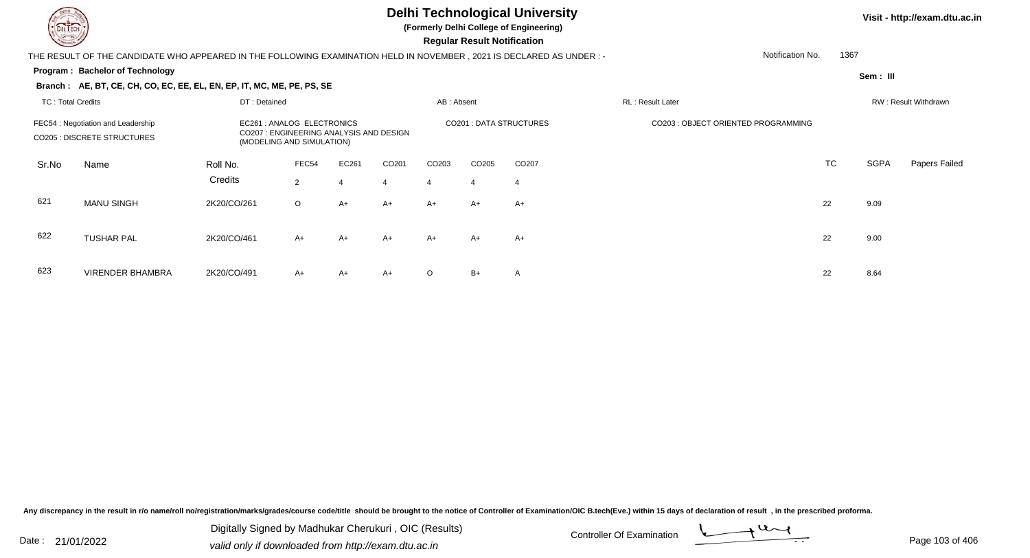

623

#### **Delhi Technological University**

**(Formerly Delhi College of Engineering)**

 **Regular Result Notification**

#### **Visit - http://exam.dtu.ac.in**

THE RESULT OF THE CANDIDATE WHO APPEARED IN THE FOLLOWING EXAMINATION HELD IN NOVEMBER , 2021 IS DECLARED AS UNDER : -

#### **Program : Bachelor of Technology**

VIRENDER BHAMBRA

Notification No.1367

**Sem : III**

|                   | Branch: AE, BT, CE, CH, CO, EC, EE, EL, EN, EP, IT, MC, ME, PE, PS, SE   |                     |                                                                                                  |            |                        |                        |                        |                         |                                     |           |             |                      |
|-------------------|--------------------------------------------------------------------------|---------------------|--------------------------------------------------------------------------------------------------|------------|------------------------|------------------------|------------------------|-------------------------|-------------------------------------|-----------|-------------|----------------------|
| TC: Total Credits |                                                                          | DT: Detained        |                                                                                                  |            |                        | AB: Absent             |                        |                         | <b>RL: Result Later</b>             |           |             | RW: Result Withdrawn |
|                   | FEC54 : Negotiation and Leadership<br><b>CO205 : DISCRETE STRUCTURES</b> |                     | EC261: ANALOG ELECTRONICS<br>CO207: ENGINEERING ANALYSIS AND DESIGN<br>(MODELING AND SIMULATION) |            |                        |                        |                        | CO201 : DATA STRUCTURES | CO203 : OBJECT ORIENTED PROGRAMMING |           |             |                      |
| Sr.No             | Name                                                                     | Roll No.<br>Credits | FEC54<br>$\overline{2}$                                                                          | EC261<br>4 | CO <sub>201</sub><br>4 | CO <sub>203</sub><br>4 | CO <sub>205</sub><br>4 | CO <sub>207</sub><br>4  |                                     | <b>TC</b> | <b>SGPA</b> | Papers Failed        |
| 621               | <b>MANU SINGH</b>                                                        | 2K20/CO/261         | $\circ$                                                                                          | A+         | $A+$                   | A+                     | $A+$                   | A+                      |                                     | 22        | 9.09        |                      |
| 622               | <b>TUSHAR PAL</b>                                                        | 2K20/CO/461         | $A+$                                                                                             | A+         | $A+$                   | A+                     | A+                     | A+                      |                                     | 22        | 9.00        |                      |

A 2K20/CO/491 A+ A+ A+ O B+ A 22 8.64

Any discrepancy in the result in r/o name/roll no/registration/marks/grades/course code/title should be brought to the notice of Controller of Examination/OIC B.tech(Eve.) within 15 days of declaration of result, in the pr

Date : 21/01/2022 Digital Digital of Microsofted Chemical Controller Of Examination Determination Page 103 of 40 Digitally Signed by Madhukar Cherukuri , OIC (Results)

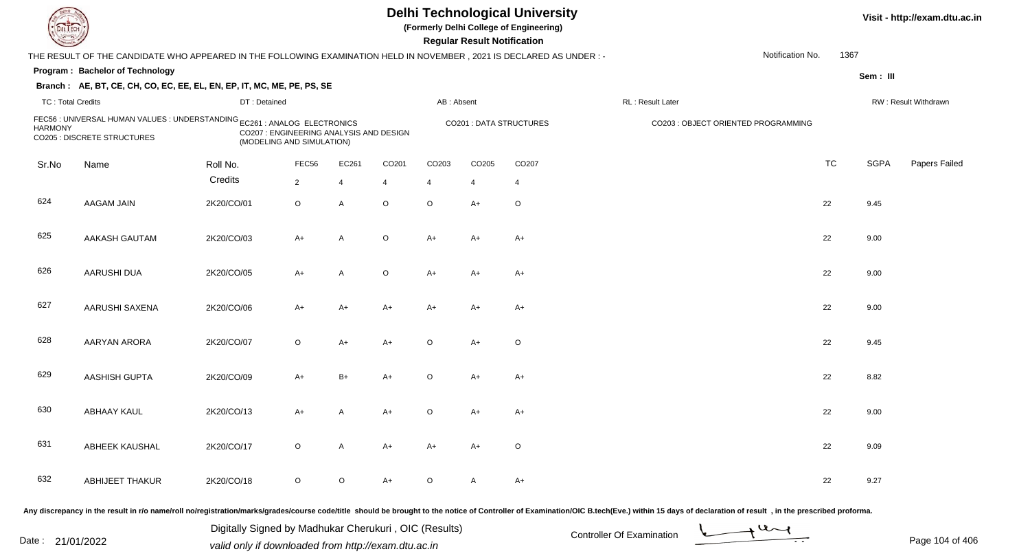| <b>DELTECH</b>           |                                                                                                                     |              |                                                                      |                |             |             | <b>Regular Result Notification</b> | <b>Delhi Technological University</b><br>(Formerly Delhi College of Engineering) |                                     |                  |             | Visit - http://exam.dtu.a |
|--------------------------|---------------------------------------------------------------------------------------------------------------------|--------------|----------------------------------------------------------------------|----------------|-------------|-------------|------------------------------------|----------------------------------------------------------------------------------|-------------------------------------|------------------|-------------|---------------------------|
|                          | THE RESULT OF THE CANDIDATE WHO APPEARED IN THE FOLLOWING EXAMINATION HELD IN NOVEMBER, 2021 IS DECLARED AS UNDER:- |              |                                                                      |                |             |             |                                    |                                                                                  |                                     | Notification No. | 1367        |                           |
|                          | Program: Bachelor of Technology                                                                                     |              |                                                                      |                |             |             |                                    |                                                                                  |                                     |                  | Sem: III    |                           |
|                          | Branch: AE, BT, CE, CH, CO, EC, EE, EL, EN, EP, IT, MC, ME, PE, PS, SE                                              |              |                                                                      |                |             |             |                                    |                                                                                  |                                     |                  |             |                           |
| <b>TC: Total Credits</b> |                                                                                                                     | DT: Detained |                                                                      |                |             | AB: Absent  |                                    |                                                                                  | RL: Result Later                    |                  |             | RW: Result Withdrawn      |
| <b>HARMONY</b>           | FEC56 : UNIVERSAL HUMAN VALUES : UNDERSTANDING EC261 : ANALOG ELECTRONICS<br>CO205 : DISCRETE STRUCTURES            |              | CO207 : ENGINEERING ANALYSIS AND DESIGN<br>(MODELING AND SIMULATION) |                |             |             |                                    | CO201 : DATA STRUCTURES                                                          | CO203 : OBJECT ORIENTED PROGRAMMING |                  |             |                           |
| Sr.No                    | Name                                                                                                                | Roll No.     | FEC56                                                                | EC261          | CO201       | CO203       | CO205                              | CO207                                                                            |                                     | <b>TC</b>        | <b>SGPA</b> | Papers Failed             |
|                          |                                                                                                                     | Credits      | $\overline{2}$                                                       | $\overline{4}$ | 4           | 4           | $\overline{4}$                     | 4                                                                                |                                     |                  |             |                           |
| 624                      | AAGAM JAIN                                                                                                          | 2K20/CO/01   | $\circ$                                                              | A              | $\circ$     | $\circ$     | $A+$                               | $\circ$                                                                          |                                     | 22               | 9.45        |                           |
| 625                      | <b>AAKASH GAUTAM</b>                                                                                                | 2K20/CO/03   | $A+$                                                                 | Α              | $\mathsf O$ | $A+$        | $A+$                               | $A+$                                                                             |                                     | 22               | 9.00        |                           |
| 626                      | AARUSHI DUA                                                                                                         | 2K20/CO/05   | $A+$                                                                 | A              | $\circ$     | $A+$        | $A+$                               | $A+$                                                                             |                                     | 22               | 9.00        |                           |
| 627                      | AARUSHI SAXENA                                                                                                      | 2K20/CO/06   | $A+$                                                                 | $A+$           | $A+$        | $A+$        | $A+$                               | $A+$                                                                             |                                     | 22               | 9.00        |                           |
| 628                      | <b>AARYAN ARORA</b>                                                                                                 | 2K20/CO/07   | $\circ$                                                              | $A+$           | $A+$        | $\mathsf O$ | $A+$                               | $\circ$                                                                          |                                     | 22               | 9.45        |                           |
| 629                      | <b>AASHISH GUPTA</b>                                                                                                | 2K20/CO/09   | A+                                                                   | $B+$           | $A+$        | $\circ$     | $A+$                               | $A+$                                                                             |                                     | 22               | 8.82        |                           |
| 630                      | <b>ABHAAY KAUL</b>                                                                                                  | 2K20/CO/13   | A+                                                                   | Α              | $A+$        | $\mathsf O$ | $A+$                               | $A+$                                                                             |                                     | 22               | 9.00        |                           |
| 631                      | ABHEEK KAUSHAL                                                                                                      | 2K20/CO/17   | $\mathsf O$                                                          | A              | $A+$        | $A+$        | $A+$                               | $\circ$                                                                          |                                     | 22               | 9.09        |                           |
| 632                      | <b>ABHIJEET THAKUR</b>                                                                                              | 2K20/CO/18   | $\mathsf O$                                                          | $\circ$        | A+          | $\mathsf O$ | A                                  | $A+$                                                                             |                                     | 22               | 9.27        |                           |

Any discrepancy in the result in r/o name/roll no/registration/marks/grades/course code/title should be brought to the notice of Controller of Examination/OIC B.tech(Eve.) within 15 days of declaration of result, in the pr

Digitally Signed by Madhukar Cherukuri, OIC (Results)<br>Date : 21/01/2022 valid only if downloaded from http://oxam.dtu.ac.in Digitally Signed by Madhukar Cherukuri , OIC (Results)valid only if downloaded from http://exam.dtu.ac.in



**Visit - http://exam.dtu.ac.in**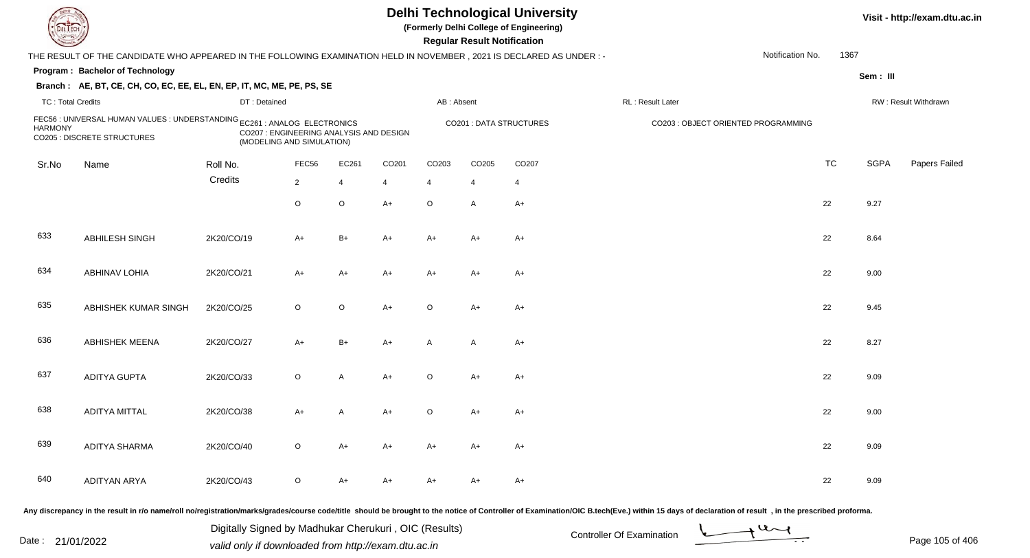| DEL ECH                  |                                                                                                                      |              |                                                                      |                |       |                | <b>Regular Result Notification</b> | <b>Delhi Technological University</b><br>(Formerly Delhi College of Engineering) |                                                                                                                                                                                                                                |                  |           |             | Visit - http://exam.dtu.ac.in |
|--------------------------|----------------------------------------------------------------------------------------------------------------------|--------------|----------------------------------------------------------------------|----------------|-------|----------------|------------------------------------|----------------------------------------------------------------------------------|--------------------------------------------------------------------------------------------------------------------------------------------------------------------------------------------------------------------------------|------------------|-----------|-------------|-------------------------------|
|                          | THE RESULT OF THE CANDIDATE WHO APPEARED IN THE FOLLOWING EXAMINATION HELD IN NOVEMBER, 2021 IS DECLARED AS UNDER :- |              |                                                                      |                |       |                |                                    |                                                                                  |                                                                                                                                                                                                                                | Notification No. | 1367      |             |                               |
|                          | Program: Bachelor of Technology                                                                                      |              |                                                                      |                |       |                |                                    |                                                                                  |                                                                                                                                                                                                                                |                  |           | Sem: III    |                               |
|                          | Branch: AE, BT, CE, CH, CO, EC, EE, EL, EN, EP, IT, MC, ME, PE, PS, SE                                               |              |                                                                      |                |       |                |                                    |                                                                                  |                                                                                                                                                                                                                                |                  |           |             |                               |
| <b>TC: Total Credits</b> |                                                                                                                      | DT: Detained |                                                                      |                |       | AB: Absent     |                                    |                                                                                  | RL: Result Later                                                                                                                                                                                                               |                  |           |             | RW: Result Withdrawn          |
| <b>HARMONY</b>           | FEC56 : UNIVERSAL HUMAN VALUES : UNDERSTANDING EC261 : ANALOG ELECTRONICS<br>CO205 : DISCRETE STRUCTURES             |              | CO207 : ENGINEERING ANALYSIS AND DESIGN<br>(MODELING AND SIMULATION) |                |       |                |                                    | <b>CO201: DATA STRUCTURES</b>                                                    | CO203 : OBJECT ORIENTED PROGRAMMING                                                                                                                                                                                            |                  |           |             |                               |
| Sr.No                    | Name                                                                                                                 | Roll No.     | FEC56                                                                | EC261          | CO201 | CO203          | CO205                              | CO207                                                                            |                                                                                                                                                                                                                                |                  | <b>TC</b> | <b>SGPA</b> | Papers Failed                 |
|                          |                                                                                                                      | Credits      | $\overline{2}$                                                       | 4              | 4     | $\overline{4}$ | 4                                  | 4                                                                                |                                                                                                                                                                                                                                |                  |           |             |                               |
|                          |                                                                                                                      |              | $\circ$                                                              | $\circ$        | $A+$  | $\circ$        | A                                  | $A+$                                                                             |                                                                                                                                                                                                                                |                  | 22        | 9.27        |                               |
| 633                      | ABHILESH SINGH                                                                                                       | 2K20/CO/19   | A+                                                                   | $B+$           | $A+$  | $A+$           | $A+$                               | $A+$                                                                             |                                                                                                                                                                                                                                |                  | 22        | 8.64        |                               |
| 634                      | <b>ABHINAV LOHIA</b>                                                                                                 | 2K20/CO/21   | $A+$                                                                 | $A+$           | $A+$  | A+             | A+                                 | $A+$                                                                             |                                                                                                                                                                                                                                |                  | 22        | 9.00        |                               |
| 635                      | ABHISHEK KUMAR SINGH                                                                                                 | 2K20/CO/25   | $\circ$                                                              | $\circ$        | $A+$  | $\circ$        | $A+$                               | $A+$                                                                             |                                                                                                                                                                                                                                |                  | 22        | 9.45        |                               |
| 636                      | <b>ABHISHEK MEENA</b>                                                                                                | 2K20/CO/27   | $A+$                                                                 | $B+$           | $A+$  | A              | $\overline{A}$                     | $A+$                                                                             |                                                                                                                                                                                                                                |                  | 22        | 8.27        |                               |
| 637                      | <b>ADITYA GUPTA</b>                                                                                                  | 2K20/CO/33   | $\circ$                                                              | A              | $A+$  | $\circ$        | $A+$                               | $A+$                                                                             |                                                                                                                                                                                                                                |                  | 22        | 9.09        |                               |
| 638                      | <b>ADITYA MITTAL</b>                                                                                                 | 2K20/CO/38   | A+                                                                   | $\overline{A}$ | A+    | O              | A+                                 | $A+$                                                                             |                                                                                                                                                                                                                                |                  | 22        | 9.00        |                               |
| 639                      | ADITYA SHARMA                                                                                                        | 2K20/CO/40   | $\circ$                                                              | A+             | A+    | A+             | A+                                 | A+                                                                               |                                                                                                                                                                                                                                |                  | 22        | 9.09        |                               |
| 640                      | <b>ADITYAN ARYA</b>                                                                                                  | 2K20/CO/43   | $\circ$                                                              | A+             | A+    | A+             | A+                                 | $A+$                                                                             |                                                                                                                                                                                                                                |                  | 22        | 9.09        |                               |
|                          |                                                                                                                      |              |                                                                      |                |       |                |                                    |                                                                                  | Any discrepancy in the result in r/o name/roll no/registration/marks/grades/course code/title should be brought to the notice of Controller of Examination/OIC B.tech(Eve.) within 15 days of declaration of result , in the p |                  |           |             |                               |

Date : 21/01/2022 Digital Digital of Microsofted Chemical Controller Of Examination Determination Page 105 of 40 Digitally Signed by Madhukar Cherukuri , OIC (Results)

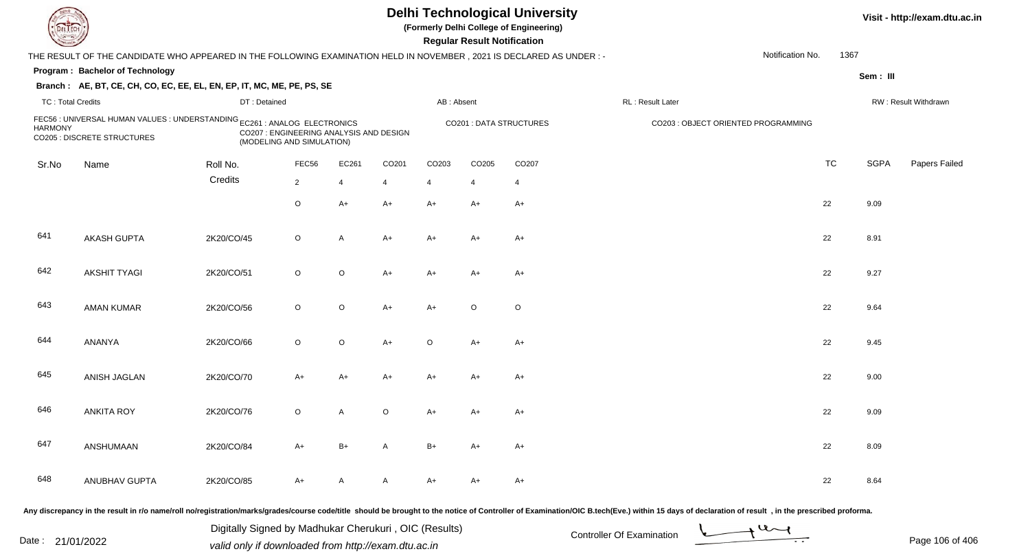| IL I ECH                 |                                                                                                                      |                                                                      |                |         |                          |                | <b>Regular Result Notification</b> | <b>Delhi Technological University</b><br>(Formerly Delhi College of Engineering) |                                                                                                                                                                                                                                |                  |           |             | Visit - http://exam.dtu.ac.in |
|--------------------------|----------------------------------------------------------------------------------------------------------------------|----------------------------------------------------------------------|----------------|---------|--------------------------|----------------|------------------------------------|----------------------------------------------------------------------------------|--------------------------------------------------------------------------------------------------------------------------------------------------------------------------------------------------------------------------------|------------------|-----------|-------------|-------------------------------|
|                          | THE RESULT OF THE CANDIDATE WHO APPEARED IN THE FOLLOWING EXAMINATION HELD IN NOVEMBER, 2021 IS DECLARED AS UNDER :- |                                                                      |                |         |                          |                |                                    |                                                                                  |                                                                                                                                                                                                                                | Notification No. | 1367      |             |                               |
|                          | <b>Program: Bachelor of Technology</b>                                                                               |                                                                      |                |         |                          |                |                                    |                                                                                  |                                                                                                                                                                                                                                |                  |           | Sem: III    |                               |
|                          | Branch: AE, BT, CE, CH, CO, EC, EE, EL, EN, EP, IT, MC, ME, PE, PS, SE                                               |                                                                      |                |         |                          |                |                                    |                                                                                  |                                                                                                                                                                                                                                |                  |           |             |                               |
| <b>TC: Total Credits</b> |                                                                                                                      | DT: Detained                                                         |                |         |                          | AB: Absent     |                                    |                                                                                  | RL : Result Later                                                                                                                                                                                                              |                  |           |             | RW: Result Withdrawn          |
| <b>HARMONY</b>           | FEC56 : UNIVERSAL HUMAN VALUES : UNDERSTANDING EC261 : ANALOG ELECTRONICS<br>CO205 : DISCRETE STRUCTURES             | CO207 : ENGINEERING ANALYSIS AND DESIGN<br>(MODELING AND SIMULATION) |                |         |                          |                | CO201 : DATA STRUCTURES            |                                                                                  | CO203 : OBJECT ORIENTED PROGRAMMING                                                                                                                                                                                            |                  |           |             |                               |
| Sr.No                    | Name                                                                                                                 | Roll No.                                                             | FEC56          | EC261   | CO201                    | CO203          | CO205                              | CO <sub>207</sub>                                                                |                                                                                                                                                                                                                                |                  | <b>TC</b> | <b>SGPA</b> | Papers Failed                 |
|                          |                                                                                                                      | Credits                                                              | $\overline{2}$ | 4       | $\overline{\mathcal{L}}$ | $\overline{4}$ | $\overline{4}$                     | $\overline{4}$                                                                   |                                                                                                                                                                                                                                |                  |           |             |                               |
|                          |                                                                                                                      |                                                                      | $\circ$        | $A+$    | $A+$                     | A+             | $A+$                               | $A+$                                                                             |                                                                                                                                                                                                                                |                  | 22        | 9.09        |                               |
| 641                      | <b>AKASH GUPTA</b>                                                                                                   | 2K20/CO/45                                                           | $\circ$        | A       | $A+$                     | A+             | A+                                 | $A+$                                                                             |                                                                                                                                                                                                                                |                  | 22        | 8.91        |                               |
| 642                      | <b>AKSHIT TYAGI</b>                                                                                                  | 2K20/CO/51                                                           | $\circ$        | $\circ$ | $A+$                     | A+             | A+                                 | $A+$                                                                             |                                                                                                                                                                                                                                |                  | 22        | 9.27        |                               |
| 643                      | <b>AMAN KUMAR</b>                                                                                                    | 2K20/CO/56                                                           | $\circ$        | $\circ$ | $A+$                     | $A+$           | $\circ$                            | $\circ$                                                                          |                                                                                                                                                                                                                                |                  | 22        | 9.64        |                               |
| 644                      | ANANYA                                                                                                               | 2K20/CO/66                                                           | $\circ$        | $\circ$ | $A+$                     | $\circ$        | A+                                 | $A+$                                                                             |                                                                                                                                                                                                                                |                  | 22        | 9.45        |                               |
| 645                      | ANISH JAGLAN                                                                                                         | 2K20/CO/70                                                           | $A+$           | $A+$    | A+                       | A+             | A+                                 | $A+$                                                                             |                                                                                                                                                                                                                                |                  | 22        | 9.00        |                               |
| 646                      | <b>ANKITA ROY</b>                                                                                                    | 2K20/CO/76                                                           | $\circ$        | A       | $\circ$                  | A+             | A+                                 | $A+$                                                                             |                                                                                                                                                                                                                                |                  | 22        | 9.09        |                               |
| 647                      | ANSHUMAAN                                                                                                            | 2K20/CO/84                                                           | A+             | B+      | A                        | B+             | A+                                 | A+                                                                               |                                                                                                                                                                                                                                |                  | 22        | 8.09        |                               |
| 648                      | ANUBHAV GUPTA                                                                                                        | 2K20/CO/85                                                           | A+             | A       | A                        | A+             | A+                                 | $A+$                                                                             |                                                                                                                                                                                                                                |                  | 22        | 8.64        |                               |
|                          |                                                                                                                      |                                                                      |                |         |                          |                |                                    |                                                                                  | ny discrepancy in the result in r/o name/roll no/registration/marks/grades/course code/title, should be brought to the notice of Controller of Examination/OIC B tech(Eye) within 15 days of declaration of result. in the pre |                  |           |             |                               |

Any discrepancy in the result in r/o name/roll no/registration/marks/grades/course code/title should be brought to the notice of Controller of Examination/OIC B.tech(Eve.) within 15 days of declaration of result ,in the p

Date : 21/01/2022 Digital Digital of Microsofted Chemical Controller Of Examination Determination Page 106 of 40 Digitally Signed by Madhukar Cherukuri , OIC (Results)

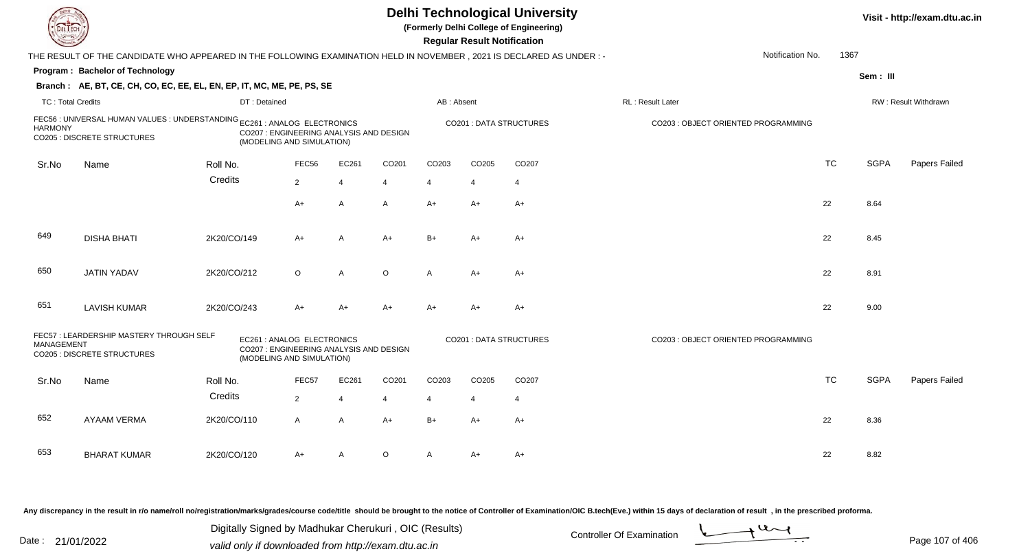|                          |                                                                                                                      |                                                                                                    |                |                |         |                | <b>Regular Result Notification</b> | <b>Delhi Technological University</b><br>(Formerly Delhi College of Engineering) |                                     |           |             | Visit - http://exam.dtu.ac.in |
|--------------------------|----------------------------------------------------------------------------------------------------------------------|----------------------------------------------------------------------------------------------------|----------------|----------------|---------|----------------|------------------------------------|----------------------------------------------------------------------------------|-------------------------------------|-----------|-------------|-------------------------------|
|                          | THE RESULT OF THE CANDIDATE WHO APPEARED IN THE FOLLOWING EXAMINATION HELD IN NOVEMBER, 2021 IS DECLARED AS UNDER :- |                                                                                                    |                |                |         |                |                                    |                                                                                  | Notification No.                    | 1367      |             |                               |
|                          | Program: Bachelor of Technology                                                                                      |                                                                                                    |                |                |         |                |                                    |                                                                                  |                                     |           | Sem: III    |                               |
|                          | Branch: AE, BT, CE, CH, CO, EC, EE, EL, EN, EP, IT, MC, ME, PE, PS, SE                                               |                                                                                                    |                |                |         |                |                                    |                                                                                  |                                     |           |             |                               |
| <b>TC: Total Credits</b> |                                                                                                                      | DT: Detained                                                                                       |                |                |         | AB: Absent     |                                    |                                                                                  | RL: Result Later                    |           |             | RW: Result Withdrawn          |
| <b>HARMONY</b>           | FEC56 : UNIVERSAL HUMAN VALUES : UNDERSTANDING EC261 : ANALOG ELECTRONICS<br>CO205 : DISCRETE STRUCTURES             | CO207 : ENGINEERING ANALYSIS AND DESIGN<br>(MODELING AND SIMULATION)                               |                |                |         |                |                                    | <b>CO201: DATA STRUCTURES</b>                                                    | CO203 : OBJECT ORIENTED PROGRAMMING |           |             |                               |
| Sr.No                    | Name                                                                                                                 | Roll No.                                                                                           | FEC56          | EC261          | CO201   | CO203          | CO205                              | CO <sub>207</sub>                                                                |                                     | <b>TC</b> | <b>SGPA</b> | Papers Failed                 |
|                          |                                                                                                                      | Credits                                                                                            | $\overline{2}$ | $\overline{4}$ | 4       | $\overline{4}$ | $\overline{4}$                     | $\overline{4}$                                                                   |                                     |           |             |                               |
|                          |                                                                                                                      |                                                                                                    | A+             | A              | A       | $A+$           | $A+$                               | $A+$                                                                             |                                     | 22        | 8.64        |                               |
| 649                      | <b>DISHA BHATI</b>                                                                                                   | 2K20/CO/149                                                                                        | A+             | $\overline{A}$ | $A+$    | $B+$           | A+                                 | $A+$                                                                             |                                     | 22        | 8.45        |                               |
| 650                      | <b>JATIN YADAV</b>                                                                                                   | 2K20/CO/212                                                                                        | $\circ$        | $\overline{A}$ | $\circ$ | $\mathsf{A}$   | $A+$                               | $A+$                                                                             |                                     | 22        | 8.91        |                               |
| 651                      | <b>LAVISH KUMAR</b>                                                                                                  | 2K20/CO/243                                                                                        | A+             | $A+$           | $A+$    | $A+$           | $A+$                               | $A+$                                                                             |                                     | 22        | 9.00        |                               |
| <b>MANAGEMENT</b>        | FEC57: LEARDERSHIP MASTERY THROUGH SELF<br><b>CO205 : DISCRETE STRUCTURES</b>                                        | EC261 : ANALOG ELECTRONICS<br>CO207 : ENGINEERING ANALYSIS AND DESIGN<br>(MODELING AND SIMULATION) |                |                |         |                |                                    | <b>CO201: DATA STRUCTURES</b>                                                    | CO203 : OBJECT ORIENTED PROGRAMMING |           |             |                               |
| Sr.No                    | Name                                                                                                                 | Roll No.                                                                                           | FEC57          | EC261          | CO201   | CO203          | CO205                              | CO <sub>207</sub>                                                                |                                     | <b>TC</b> | <b>SGPA</b> | Papers Failed                 |
|                          |                                                                                                                      | Credits                                                                                            | $\overline{2}$ | $\overline{4}$ | 4       | 4              | $\overline{4}$                     | $\overline{4}$                                                                   |                                     |           |             |                               |
| 652                      | <b>AYAAM VERMA</b>                                                                                                   | 2K20/CO/110                                                                                        | $\mathsf{A}$   | $\overline{A}$ | $A+$    | $B+$           | $A+$                               | $A+$                                                                             |                                     | 22        | 8.36        |                               |
| 653                      | <b>BHARAT KUMAR</b>                                                                                                  | 2K20/CO/120                                                                                        | A+             | A              | $\circ$ | A              | A+                                 | A+                                                                               |                                     | 22        | 8.82        |                               |

Any discrepancy in the result in r/o name/roll no/registration/marks/grades/course code/title should be brought to the notice of Controller of Examination/OIC B.tech(Eve.) within 15 days of declaration of result ,in the p

Digitally Signed by Madhukar Cherukuri, OIC (Results)<br>Date : 21/01/2022 valid only if downloaded from http://oxam.dtu.ac.in Digitally Signed by Madhukar Cherukuri , OIC (Results)valid only if downloaded from http://exam.dtu.ac.in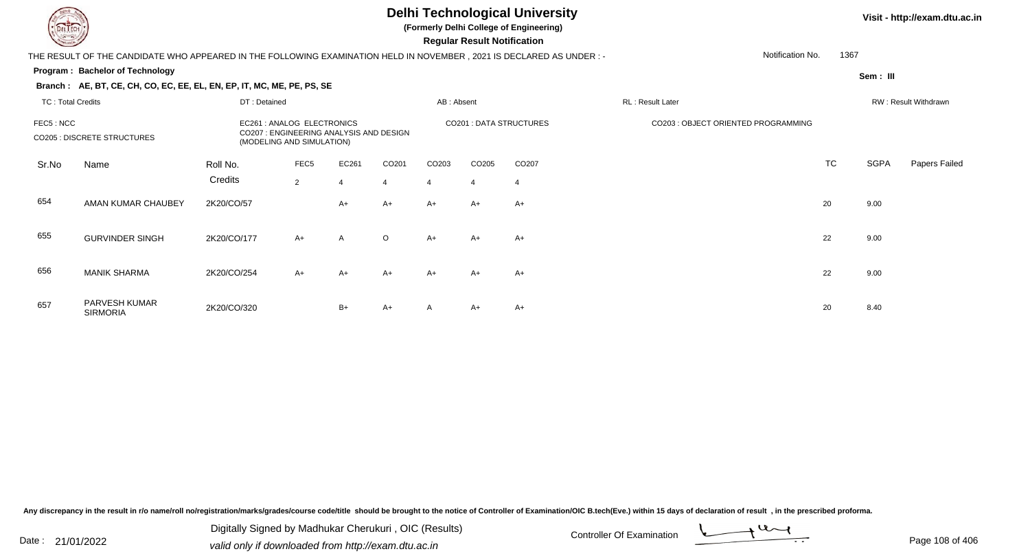**Branch : AE, BT, CE, CH, CO, EC, EE, EL, EN, EP, IT, MC, ME, PE, PS, SE**

#### **Delhi Technological University**

**(Formerly Delhi College of Engineering)**

 **Regular Result Notification**

#### **Visit - http://exam.dtu.ac.in**

**Program : Bachelor of Technology**THE RESULT OF THE CANDIDATE WHO APPEARED IN THE FOLLOWING EXAMINATION HELD IN NOVEMBER , 2021 IS DECLARED AS UNDER : -Notification No.

**Sem : III**

1367

#### TC : Total Credits DT : Detainedd AB : Absent RL : Result Later RW : Result Withdrawn Sr.NoName Roll No. **Credits** FEC5 : NCC EC261 : ANALOG ELECTRONICS CO201 : DATA STRUCTURES CO203 : OBJECT ORIENTED PROGRAMMINGCO205 : DISCRETE STRUCTURES CO207 : ENGINEERING ANALYSIS AND DESIGN (MODELING AND SIMULATION)FEC55 EC261 CO201 CO203 CO205 CO207 CO207 CO207 CO207 CO207 CO207 CO207 CO207 CO207 CO TC SGPA Papers Failed 22 4 4 4 4 4 654 AMAN KUMAR CHAUBEY 2K20/CO/57 A+ A+ A+ A+ A+ <sup>20</sup> 9.00 655 GURVINDER SINGH 2K20/CO/177 A+ <sup>A</sup> <sup>O</sup> A+ A+ A+ <sup>22</sup> 9.00 656 MANIK SHARMA 2K20/CO/254 A+ A+ A+ A+ A+ A+ <sup>22</sup> 9.00 PARVESH KUMARSIRMORIA657 2K20/CO/3200 B+  $A+ A+ A+ A+ A+ 20 8.40$

Any discrepancy in the result in r/o name/roll no/registration/marks/grades/course code/title should be brought to the notice of Controller of Examination/OIC B.tech(Eve.) within 15 days of declaration of result , in the p

Date : 21/01/2022 Digital Digital of Microsofted Chemical Controller Of Examination Determination Page 108 of 40 Digitally Signed by Madhukar Cherukuri , OIC (Results)

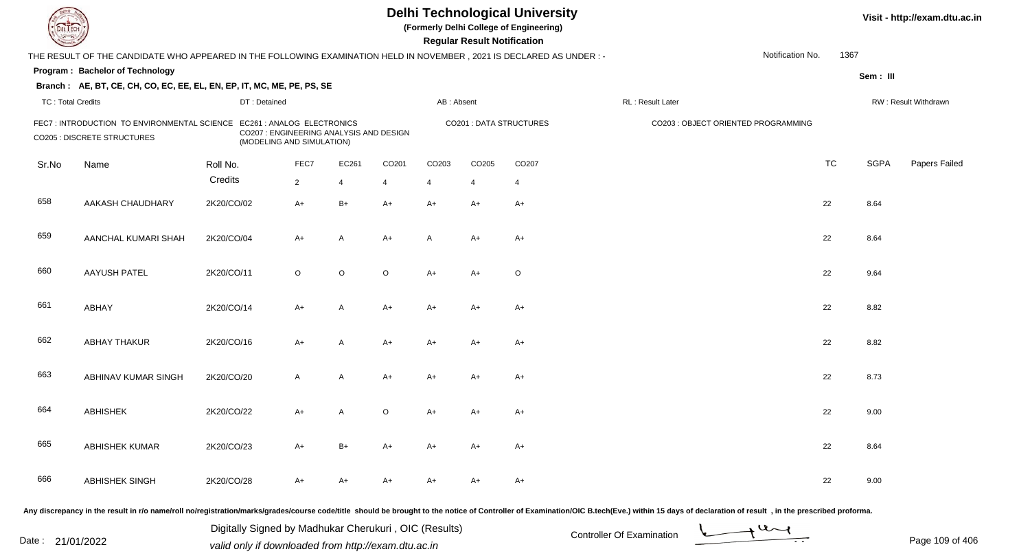| DEL ECH                  |                                                                                                                      |                                                                      |                |         |         |                | <b>Regular Result Notification</b> | <b>Delhi Technological University</b><br>(Formerly Delhi College of Engineering) |                                                                                                                                                                                                                                |                  |           |             | Visit - http://exam.dtu.ac.in |
|--------------------------|----------------------------------------------------------------------------------------------------------------------|----------------------------------------------------------------------|----------------|---------|---------|----------------|------------------------------------|----------------------------------------------------------------------------------|--------------------------------------------------------------------------------------------------------------------------------------------------------------------------------------------------------------------------------|------------------|-----------|-------------|-------------------------------|
|                          | THE RESULT OF THE CANDIDATE WHO APPEARED IN THE FOLLOWING EXAMINATION HELD IN NOVEMBER, 2021 IS DECLARED AS UNDER :- |                                                                      |                |         |         |                |                                    |                                                                                  |                                                                                                                                                                                                                                | Notification No. | 1367      |             |                               |
|                          | Program: Bachelor of Technology                                                                                      |                                                                      |                |         |         |                |                                    |                                                                                  |                                                                                                                                                                                                                                |                  |           | Sem: III    |                               |
|                          | Branch: AE, BT, CE, CH, CO, EC, EE, EL, EN, EP, IT, MC, ME, PE, PS, SE                                               |                                                                      |                |         |         |                |                                    |                                                                                  |                                                                                                                                                                                                                                |                  |           |             |                               |
| <b>TC: Total Credits</b> |                                                                                                                      | DT: Detained                                                         |                |         |         | AB: Absent     |                                    |                                                                                  | RL : Result Later                                                                                                                                                                                                              |                  |           |             | RW: Result Withdrawn          |
|                          | FEC7: INTRODUCTION TO ENVIRONMENTAL SCIENCE EC261: ANALOG ELECTRONICS<br><b>CO205 : DISCRETE STRUCTURES</b>          | CO207 : ENGINEERING ANALYSIS AND DESIGN<br>(MODELING AND SIMULATION) |                |         |         |                |                                    | <b>CO201: DATA STRUCTURES</b>                                                    | CO203 : OBJECT ORIENTED PROGRAMMING                                                                                                                                                                                            |                  |           |             |                               |
| Sr.No                    | Name                                                                                                                 | Roll No.                                                             | FEC7           | EC261   | CO201   | CO203          | CO205                              | CO207                                                                            |                                                                                                                                                                                                                                |                  | <b>TC</b> | <b>SGPA</b> | Papers Failed                 |
|                          |                                                                                                                      | Credits                                                              | $\overline{2}$ | 4       | 4       | $\overline{4}$ | 4                                  | 4                                                                                |                                                                                                                                                                                                                                |                  |           |             |                               |
| 658                      | AAKASH CHAUDHARY                                                                                                     | 2K20/CO/02                                                           | $A+$           | $B+$    | $A+$    | $A+$           | A+                                 | $A+$                                                                             |                                                                                                                                                                                                                                |                  | 22        | 8.64        |                               |
| 659                      | AANCHAL KUMARI SHAH                                                                                                  | 2K20/CO/04                                                           | $A+$           | A       | $A+$    | A              | A+                                 | $A+$                                                                             |                                                                                                                                                                                                                                |                  | 22        | 8.64        |                               |
| 660                      | <b>AAYUSH PATEL</b>                                                                                                  | 2K20/CO/11                                                           | $\circ$        | $\circ$ | $\circ$ | $A+$           | $A+$                               | $\circ$                                                                          |                                                                                                                                                                                                                                |                  | 22        | 9.64        |                               |
| 661                      | ABHAY                                                                                                                | 2K20/CO/14                                                           | $A+$           | A       | $A+$    | A+             | $A+$                               | $A+$                                                                             |                                                                                                                                                                                                                                |                  | 22        | 8.82        |                               |
| 662                      | <b>ABHAY THAKUR</b>                                                                                                  | 2K20/CO/16                                                           | $A+$           | A       | $A+$    | A+             | $A+$                               | $A+$                                                                             |                                                                                                                                                                                                                                |                  | 22        | 8.82        |                               |
| 663                      | ABHINAV KUMAR SINGH                                                                                                  | 2K20/CO/20                                                           | $\mathsf{A}$   | A       | $A+$    | A+             | $A+$                               | $A+$                                                                             |                                                                                                                                                                                                                                |                  | 22        | 8.73        |                               |
| 664                      | <b>ABHISHEK</b>                                                                                                      | 2K20/CO/22                                                           | $A+$           | A       | $\circ$ | A+             | A+                                 | $A+$                                                                             |                                                                                                                                                                                                                                |                  | 22        | 9.00        |                               |
| 665                      | <b>ABHISHEK KUMAR</b>                                                                                                | 2K20/CO/23                                                           | A+             | B+      | A+      | A+             | A+                                 | A+                                                                               |                                                                                                                                                                                                                                |                  | 22        | 8.64        |                               |
| 666                      | ABHISHEK SINGH                                                                                                       | 2K20/CO/28                                                           | A+             | A+      | A+      | A+             | A+                                 | $A+$                                                                             |                                                                                                                                                                                                                                |                  | 22        | 9.00        |                               |
|                          |                                                                                                                      |                                                                      |                |         |         |                |                                    |                                                                                  | Any discrepancy in the result in r/o name/roll no/registration/marks/grades/course code/title should be brought to the notice of Controller of Examination/OIC B.tech(Eve.) within 15 days of declaration of result , in the p |                  |           |             |                               |

Date : 21/01/2022 Valid only if downloaded from http://exam.dtu.ac.in<br>valid only if downloaded from http://exam.dtu.ac.in Digitally Signed by Madhukar Cherukuri , OIC (Results)

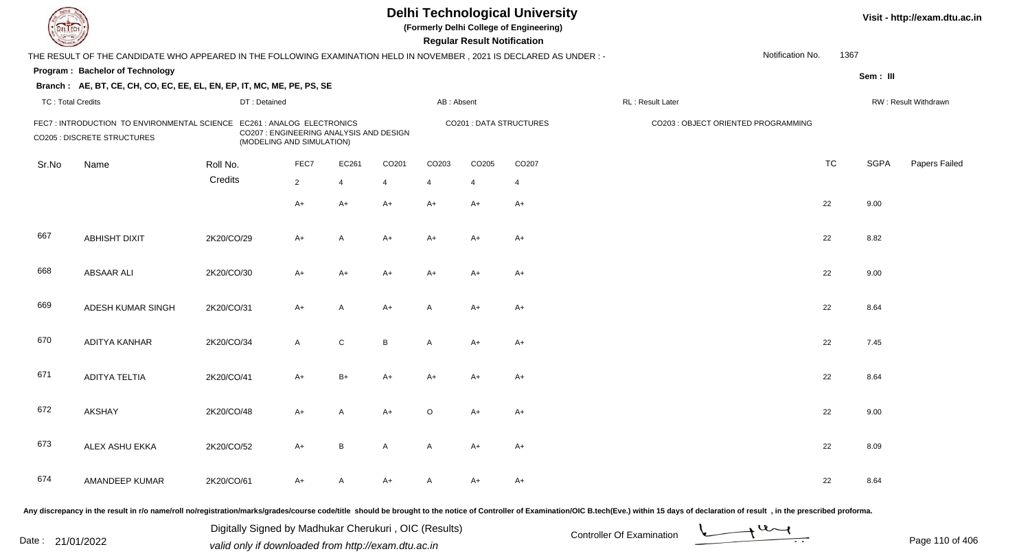| EL LECH                  |                                                                                                                        |              |                                                                                                    |                |       |            | <b>Regular Result Notification</b> | <b>Delhi Technological University</b><br>(Formerly Delhi College of Engineering) |                                     |                  |           |             | Visit - http://exam.dtu.ac.in |
|--------------------------|------------------------------------------------------------------------------------------------------------------------|--------------|----------------------------------------------------------------------------------------------------|----------------|-------|------------|------------------------------------|----------------------------------------------------------------------------------|-------------------------------------|------------------|-----------|-------------|-------------------------------|
|                          | THE RESULT OF THE CANDIDATE WHO APPEARED IN THE FOLLOWING EXAMINATION HELD IN NOVEMBER , 2021 IS DECLARED AS UNDER : - |              |                                                                                                    |                |       |            |                                    |                                                                                  |                                     | Notification No. | 1367      |             |                               |
|                          | Program: Bachelor of Technology                                                                                        |              |                                                                                                    |                |       |            |                                    |                                                                                  |                                     |                  |           | Sem: III    |                               |
|                          | Branch: AE, BT, CE, CH, CO, EC, EE, EL, EN, EP, IT, MC, ME, PE, PS, SE                                                 |              |                                                                                                    |                |       |            |                                    |                                                                                  |                                     |                  |           |             |                               |
| <b>TC: Total Credits</b> |                                                                                                                        | DT: Detained |                                                                                                    |                |       | AB: Absent |                                    |                                                                                  | RL : Result Later                   |                  |           |             | RW: Result Withdrawn          |
|                          | FEC7 : INTRODUCTION TO ENVIRONMENTAL SCIENCE<br>CO205 : DISCRETE STRUCTURES                                            |              | EC261 : ANALOG ELECTRONICS<br>CO207 : ENGINEERING ANALYSIS AND DESIGN<br>(MODELING AND SIMULATION) |                |       |            |                                    | <b>CO201: DATA STRUCTURES</b>                                                    | CO203 : OBJECT ORIENTED PROGRAMMING |                  |           |             |                               |
| Sr.No                    | Name                                                                                                                   | Roll No.     | FEC7                                                                                               | EC261          | CO201 | CO203      | CO205                              | CO207                                                                            |                                     |                  | <b>TC</b> | <b>SGPA</b> | Papers Failed                 |
|                          |                                                                                                                        | Credits      | $2^{\circ}$                                                                                        | $\overline{4}$ | 4     | 4          | $\overline{4}$                     | $\overline{4}$                                                                   |                                     |                  |           |             |                               |
|                          |                                                                                                                        |              | A+                                                                                                 | $A+$           | $A+$  | $A+$       | $A+$                               | $A+$                                                                             |                                     |                  | 22        | 9.00        |                               |
| 667                      | <b>ABHISHT DIXIT</b>                                                                                                   | 2K20/CO/29   | A+                                                                                                 | A              | $A+$  | A+         | A+                                 | $A+$                                                                             |                                     |                  | 22        | 8.82        |                               |
| 668                      | <b>ABSAAR ALI</b>                                                                                                      | 2K20/CO/30   | A+                                                                                                 | $A+$           | A+    | $A+$       | A+                                 | $A+$                                                                             |                                     |                  | 22        | 9.00        |                               |
| 669                      | ADESH KUMAR SINGH                                                                                                      | 2K20/CO/31   | $A+$                                                                                               | A              | $A+$  | A          | A+                                 | $A+$                                                                             |                                     |                  | 22        | 8.64        |                               |
| 670                      | ADITYA KANHAR                                                                                                          | 2K20/CO/34   | $\mathsf{A}$                                                                                       | ${\bf C}$      | B     | A          | A+                                 | $A+$                                                                             |                                     |                  | 22        | 7.45        |                               |
| 671                      | <b>ADITYA TELTIA</b>                                                                                                   | 2K20/CO/41   | $A+$                                                                                               | $B+$           | $A+$  | $A+$       | A+                                 | $A+$                                                                             |                                     |                  | 22        | 8.64        |                               |
| 672                      | <b>AKSHAY</b>                                                                                                          | 2K20/CO/48   | A+                                                                                                 | A              | $A+$  | $\circ$    | A+                                 | $A+$                                                                             |                                     |                  | 22        | 9.00        |                               |
| 673                      | ALEX ASHU EKKA                                                                                                         | 2K20/CO/52   | A+                                                                                                 | B              | A     | A          | A+                                 | A+                                                                               |                                     |                  | 22        | 8.09        |                               |
| 674                      | AMANDEEP KUMAR                                                                                                         | 2K20/CO/61   | A+                                                                                                 | A              | A+    | A          | A+                                 | $A+$                                                                             |                                     |                  | 22        | 8.64        |                               |
|                          |                                                                                                                        |              |                                                                                                    |                |       |            |                                    |                                                                                  |                                     |                  |           |             |                               |

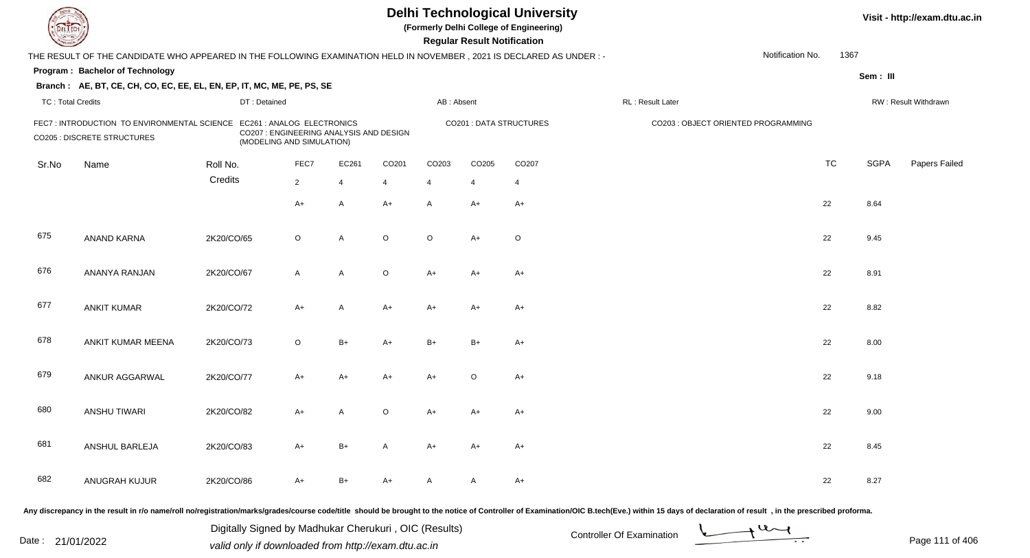| DEL TECH                 |                                                                                                                                                                                                                                |                                                       |                                                                      |                |         |                   | <b>Regular Result Notification</b> | <b>Delhi Technological University</b><br>(Formerly Delhi College of Engineering) |                           |                                     |                               |           |             | Visit - http://exam.dtu.ac.in |
|--------------------------|--------------------------------------------------------------------------------------------------------------------------------------------------------------------------------------------------------------------------------|-------------------------------------------------------|----------------------------------------------------------------------|----------------|---------|-------------------|------------------------------------|----------------------------------------------------------------------------------|---------------------------|-------------------------------------|-------------------------------|-----------|-------------|-------------------------------|
|                          | THE RESULT OF THE CANDIDATE WHO APPEARED IN THE FOLLOWING EXAMINATION HELD IN NOVEMBER, 2021 IS DECLARED AS UNDER : -                                                                                                          |                                                       |                                                                      |                |         |                   |                                    |                                                                                  |                           |                                     | Notification No.              | 1367      |             |                               |
|                          | Program: Bachelor of Technology                                                                                                                                                                                                |                                                       |                                                                      |                |         |                   |                                    |                                                                                  |                           |                                     |                               |           | Sem: III    |                               |
|                          | Branch: AE, BT, CE, CH, CO, EC, EE, EL, EN, EP, IT, MC, ME, PE, PS, SE                                                                                                                                                         |                                                       |                                                                      |                |         |                   |                                    |                                                                                  |                           |                                     |                               |           |             |                               |
| <b>TC: Total Credits</b> |                                                                                                                                                                                                                                | DT: Detained                                          |                                                                      |                |         | AB: Absent        |                                    |                                                                                  | RL: Result Later          |                                     |                               |           |             | RW: Result Withdrawn          |
|                          | FEC7: INTRODUCTION TO ENVIRONMENTAL SCIENCE EC261: ANALOG ELECTRONICS<br><b>CO205 : DISCRETE STRUCTURES</b>                                                                                                                    |                                                       | CO207 : ENGINEERING ANALYSIS AND DESIGN<br>(MODELING AND SIMULATION) |                |         |                   |                                    | CO201 : DATA STRUCTURES                                                          |                           | CO203 : OBJECT ORIENTED PROGRAMMING |                               |           |             |                               |
| Sr.No                    | Name                                                                                                                                                                                                                           | Roll No.                                              | FEC7                                                                 | EC261          | CO201   | CO <sub>203</sub> | CO205                              | CO <sub>207</sub>                                                                |                           |                                     |                               | <b>TC</b> | <b>SGPA</b> | Papers Failed                 |
|                          |                                                                                                                                                                                                                                | Credits                                               | $\overline{2}$                                                       | $\overline{4}$ | 4       | $\overline{4}$    | 4                                  | $\overline{4}$                                                                   |                           |                                     |                               |           |             |                               |
|                          |                                                                                                                                                                                                                                |                                                       | $A+$                                                                 | A              | $A+$    | A                 | $A+$                               | $A+$                                                                             |                           |                                     |                               | 22        | 8.64        |                               |
| 675                      | ANAND KARNA                                                                                                                                                                                                                    | 2K20/CO/65                                            | $\circ$                                                              | A              | $\circ$ | $\circ$           | $A+$                               | $\mathsf O$                                                                      |                           |                                     |                               | 22        | 9.45        |                               |
| 676                      | ANANYA RANJAN                                                                                                                                                                                                                  | 2K20/CO/67                                            | $\mathsf{A}$                                                         | A              | $\circ$ | A+                | $A+$                               | $A+$                                                                             |                           |                                     |                               | 22        | 8.91        |                               |
| 677                      | <b>ANKIT KUMAR</b>                                                                                                                                                                                                             | 2K20/CO/72                                            | $A+$                                                                 | A              | $A+$    | $A+$              | $A+$                               | $A+$                                                                             |                           |                                     |                               | 22        | 8.82        |                               |
| 678                      | ANKIT KUMAR MEENA                                                                                                                                                                                                              | 2K20/CO/73                                            | $\circ$                                                              | $B+$           | $A+$    | $B+$              | $B+$                               | $A+$                                                                             |                           |                                     |                               | 22        | 8.00        |                               |
| 679                      | ANKUR AGGARWAL                                                                                                                                                                                                                 | 2K20/CO/77                                            | $A+$                                                                 | A+             | $A+$    | A+                | $\circ$                            | $A+$                                                                             |                           |                                     |                               | 22        | 9.18        |                               |
| 680                      | <b>ANSHU TIWARI</b>                                                                                                                                                                                                            | 2K20/CO/82                                            | A+                                                                   | A              | O       | A+                | A+                                 | A+                                                                               |                           |                                     |                               | 22        | 9.00        |                               |
| 681                      | ANSHUL BARLEJA                                                                                                                                                                                                                 | 2K20/CO/83                                            | A+                                                                   | B+             | A       | A+                | A+                                 | A+                                                                               |                           |                                     |                               | 22        | 8.45        |                               |
| 682                      | ANUGRAH KUJUR                                                                                                                                                                                                                  | 2K20/CO/86                                            | $A+$                                                                 | $B+$           | $A+$    | A                 | A                                  | $A+$                                                                             |                           |                                     |                               | 22        | 8.27        |                               |
|                          | Any discrepancy in the result in r/o name/roll no/registration/marks/grades/course code/title should be brought to the notice of Controller of Examination/OIC B.tech(Eve.) within 15 days of declaration of result, in the pr |                                                       |                                                                      |                |         |                   |                                    |                                                                                  |                           |                                     |                               |           |             |                               |
|                          |                                                                                                                                                                                                                                | Digitally Signed by Madhukar Cherukuri, OIC (Results) |                                                                      |                |         |                   |                                    |                                                                                  | Controller Of Evemination |                                     | $\rightarrow$ 4 $\rightarrow$ |           |             |                               |

Date : 21/01/2022 Digital Digital of Microsofted Chemical Controller Of Examination Determination Page 111 of 40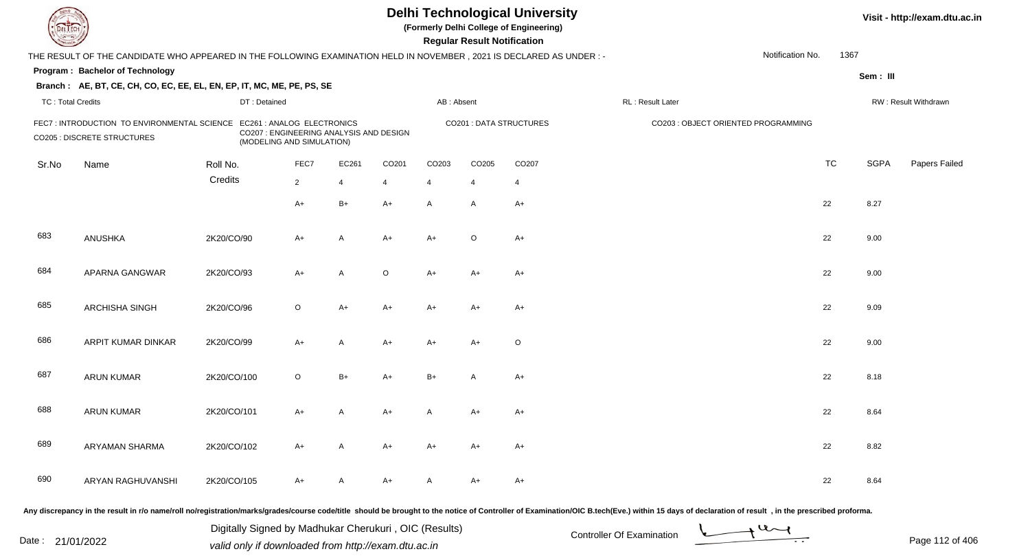| <b>DELTECH</b>           |                                                                                                                     |              |                                                                      |                |         |                   | <b>Regular Result Notification</b> | <b>Delhi Technological University</b><br>(Formerly Delhi College of Engineering) |                                                                                                                                                                                                                                |                  |           |             | Visit - http://exam.dtu.ac.in |
|--------------------------|---------------------------------------------------------------------------------------------------------------------|--------------|----------------------------------------------------------------------|----------------|---------|-------------------|------------------------------------|----------------------------------------------------------------------------------|--------------------------------------------------------------------------------------------------------------------------------------------------------------------------------------------------------------------------------|------------------|-----------|-------------|-------------------------------|
|                          | THE RESULT OF THE CANDIDATE WHO APPEARED IN THE FOLLOWING EXAMINATION HELD IN NOVEMBER, 2021 IS DECLARED AS UNDER:- |              |                                                                      |                |         |                   |                                    |                                                                                  |                                                                                                                                                                                                                                | Notification No. | 1367      |             |                               |
|                          | Program: Bachelor of Technology                                                                                     |              |                                                                      |                |         |                   |                                    |                                                                                  |                                                                                                                                                                                                                                |                  |           | Sem: III    |                               |
|                          | Branch: AE, BT, CE, CH, CO, EC, EE, EL, EN, EP, IT, MC, ME, PE, PS, SE                                              |              |                                                                      |                |         |                   |                                    |                                                                                  |                                                                                                                                                                                                                                |                  |           |             |                               |
| <b>TC: Total Credits</b> |                                                                                                                     | DT: Detained |                                                                      |                |         | AB: Absent        |                                    |                                                                                  | RL: Result Later                                                                                                                                                                                                               |                  |           |             | RW: Result Withdrawn          |
|                          | FEC7: INTRODUCTION TO ENVIRONMENTAL SCIENCE EC261: ANALOG ELECTRONICS<br><b>CO205 : DISCRETE STRUCTURES</b>         |              | CO207 : ENGINEERING ANALYSIS AND DESIGN<br>(MODELING AND SIMULATION) |                |         |                   |                                    | <b>CO201: DATA STRUCTURES</b>                                                    | CO203 : OBJECT ORIENTED PROGRAMMING                                                                                                                                                                                            |                  |           |             |                               |
| Sr.No                    | Name                                                                                                                | Roll No.     | FEC7                                                                 | EC261          | CO201   | CO <sub>203</sub> | CO205                              | CO <sub>207</sub>                                                                |                                                                                                                                                                                                                                |                  | <b>TC</b> | <b>SGPA</b> | Papers Failed                 |
|                          |                                                                                                                     | Credits      | $\overline{2}$                                                       | $\overline{4}$ | 4       | $\overline{4}$    | 4                                  | 4                                                                                |                                                                                                                                                                                                                                |                  |           |             |                               |
|                          |                                                                                                                     |              | $A+$                                                                 | $B+$           | $A+$    | A                 | $\mathsf{A}$                       | $A+$                                                                             |                                                                                                                                                                                                                                |                  | 22        | 8.27        |                               |
| 683                      | ANUSHKA                                                                                                             | 2K20/CO/90   | $A+$                                                                 | $\overline{A}$ | $A+$    | $A+$              | $\circ$                            | $A+$                                                                             |                                                                                                                                                                                                                                |                  | 22        | 9.00        |                               |
| 684                      | APARNA GANGWAR                                                                                                      | 2K20/CO/93   | $A+$                                                                 | A              | $\circ$ | $A+$              | $A+$                               | $A+$                                                                             |                                                                                                                                                                                                                                |                  | 22        | 9.00        |                               |
| 685                      | <b>ARCHISHA SINGH</b>                                                                                               | 2K20/CO/96   | $\circ$                                                              | $A+$           | $A+$    | A+                | $A+$                               | $A+$                                                                             |                                                                                                                                                                                                                                |                  | 22        | 9.09        |                               |
| 686                      | ARPIT KUMAR DINKAR                                                                                                  | 2K20/CO/99   | $A+$                                                                 | A              | $A+$    | A+                | $A+$                               | $\circ$                                                                          |                                                                                                                                                                                                                                |                  | 22        | 9.00        |                               |
| 687                      | <b>ARUN KUMAR</b>                                                                                                   | 2K20/CO/100  | $\circ$                                                              | $B+$           | $A+$    | $B+$              | A                                  | $A+$                                                                             |                                                                                                                                                                                                                                |                  | 22        | 8.18        |                               |
| 688                      | <b>ARUN KUMAR</b>                                                                                                   | 2K20/CO/101  | A+                                                                   | A              | A+      | A                 | A+                                 | $A+$                                                                             |                                                                                                                                                                                                                                |                  | 22        | 8.64        |                               |
| 689                      | ARYAMAN SHARMA                                                                                                      | 2K20/CO/102  | A+                                                                   | A              | A+      | A+                | A+                                 | A+                                                                               |                                                                                                                                                                                                                                |                  | 22        | 8.82        |                               |
| 690                      | ARYAN RAGHUVANSHI                                                                                                   | 2K20/CO/105  | A+                                                                   | A              | A+      | A                 | A+                                 | A+                                                                               |                                                                                                                                                                                                                                |                  | 22        | 8.64        |                               |
|                          |                                                                                                                     |              |                                                                      |                |         |                   |                                    |                                                                                  | Any discrepancy in the result in r/o name/roll no/registration/marks/grades/course code/title should be brought to the notice of Controller of Examination/OIC B.tech(Eve.) within 15 days of declaration of result , in the p |                  |           |             |                               |

Date : 21/01/2022 Digital Digital of Microsofted Chemical Controller Of Examination Determination Page 112 of 40 Digitally Signed by Madhukar Cherukuri , OIC (Results)

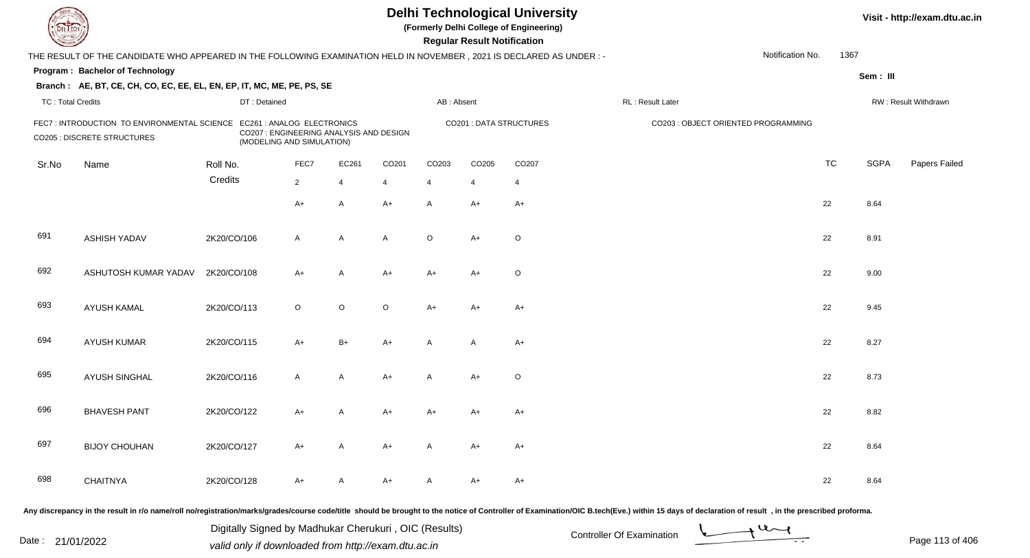| <b>DELTEC</b>            |                                                                                                                      |              |                                                                                                    |                |                   |                   | <b>Regular Result Notification</b> | <b>Delhi Technological University</b><br>(Formerly Delhi College of Engineering) |                                                                                                                                                                                                                                |                  |           |             | Visit - http://exam.dtu.ac.in |
|--------------------------|----------------------------------------------------------------------------------------------------------------------|--------------|----------------------------------------------------------------------------------------------------|----------------|-------------------|-------------------|------------------------------------|----------------------------------------------------------------------------------|--------------------------------------------------------------------------------------------------------------------------------------------------------------------------------------------------------------------------------|------------------|-----------|-------------|-------------------------------|
|                          | THE RESULT OF THE CANDIDATE WHO APPEARED IN THE FOLLOWING EXAMINATION HELD IN NOVEMBER, 2021 IS DECLARED AS UNDER :- |              |                                                                                                    |                |                   |                   |                                    |                                                                                  |                                                                                                                                                                                                                                | Notification No. | 1367      |             |                               |
|                          | Program: Bachelor of Technology                                                                                      |              |                                                                                                    |                |                   |                   |                                    |                                                                                  |                                                                                                                                                                                                                                |                  |           | Sem: III    |                               |
|                          | Branch: AE, BT, CE, CH, CO, EC, EE, EL, EN, EP, IT, MC, ME, PE, PS, SE                                               |              |                                                                                                    |                |                   |                   |                                    |                                                                                  |                                                                                                                                                                                                                                |                  |           |             |                               |
| <b>TC: Total Credits</b> |                                                                                                                      | DT: Detained |                                                                                                    |                |                   | AB: Absent        |                                    |                                                                                  | RL : Result Later                                                                                                                                                                                                              |                  |           |             | RW: Result Withdrawn          |
|                          | FEC7 : INTRODUCTION TO ENVIRONMENTAL SCIENCE<br><b>CO205 : DISCRETE STRUCTURES</b>                                   |              | EC261 : ANALOG ELECTRONICS<br>CO207 : ENGINEERING ANALYSIS AND DESIGN<br>(MODELING AND SIMULATION) |                |                   |                   |                                    | <b>CO201: DATA STRUCTURES</b>                                                    | CO203 : OBJECT ORIENTED PROGRAMMING                                                                                                                                                                                            |                  |           |             |                               |
| Sr.No                    | Name                                                                                                                 | Roll No.     | FEC7                                                                                               | EC261          | CO <sub>201</sub> | CO <sub>203</sub> | CO205                              | CO <sub>207</sub>                                                                |                                                                                                                                                                                                                                |                  | <b>TC</b> | <b>SGPA</b> | Papers Failed                 |
|                          |                                                                                                                      | Credits      | $\overline{2}$                                                                                     | $\overline{4}$ | 4                 | $\overline{4}$    | $\overline{4}$                     | $\overline{4}$                                                                   |                                                                                                                                                                                                                                |                  |           |             |                               |
|                          |                                                                                                                      |              | $A+$                                                                                               | A              | $A+$              | A                 | A+                                 | $A+$                                                                             |                                                                                                                                                                                                                                |                  | 22        | 8.64        |                               |
| 691                      | <b>ASHISH YADAV</b>                                                                                                  | 2K20/CO/106  | $\mathsf{A}$                                                                                       | A              | A                 | $\circ$           | $A+$                               | $\circ$                                                                          |                                                                                                                                                                                                                                |                  | 22        | 8.91        |                               |
| 692                      | ASHUTOSH KUMAR YADAV                                                                                                 | 2K20/CO/108  | $A+$                                                                                               | A              | $A+$              | $A+$              | $A+$                               | $\circ$                                                                          |                                                                                                                                                                                                                                |                  | 22        | 9.00        |                               |
| 693                      | <b>AYUSH KAMAL</b>                                                                                                   | 2K20/CO/113  | $\circ$                                                                                            | $\circ$        | $\circ$           | $A+$              | $A+$                               | $A+$                                                                             |                                                                                                                                                                                                                                |                  | 22        | 9.45        |                               |
| 694                      | <b>AYUSH KUMAR</b>                                                                                                   | 2K20/CO/115  | $A+$                                                                                               | $B+$           | $A+$              | A                 | $\overline{A}$                     | $A+$                                                                             |                                                                                                                                                                                                                                |                  | 22        | 8.27        |                               |
| 695                      | <b>AYUSH SINGHAL</b>                                                                                                 | 2K20/CO/116  | $\mathsf{A}$                                                                                       | A              | $A+$              | A                 | $A+$                               | $\circ$                                                                          |                                                                                                                                                                                                                                |                  | 22        | 8.73        |                               |
| 696                      | <b>BHAVESH PANT</b>                                                                                                  | 2K20/CO/122  | A+                                                                                                 | A              | A+                | A+                | A+                                 | $A+$                                                                             |                                                                                                                                                                                                                                |                  | 22        | 8.82        |                               |
| 697                      | <b>BIJOY CHOUHAN</b>                                                                                                 | 2K20/CO/127  | A+                                                                                                 | A              | A+                | A                 | A+                                 | $A+$                                                                             |                                                                                                                                                                                                                                |                  | 22        | 8.64        |                               |
| 698                      | <b>CHAITNYA</b>                                                                                                      | 2K20/CO/128  | $A+$                                                                                               | A              | A+                | A                 | A+                                 | $A+$                                                                             |                                                                                                                                                                                                                                |                  | 22        | 8.64        |                               |
|                          |                                                                                                                      |              |                                                                                                    |                |                   |                   |                                    |                                                                                  | Any discrepancy in the result in r/o name/roll no/registration/marks/grades/course code/title should be brought to the notice of Controller of Examination/OIC B.tech(Eve.) within 15 days of declaration of result , in the p |                  |           |             |                               |

Date : 21/01/2022 Digital Digital of Microsofted Chemical Controller Of Examination Determination Page 113 of 40 Digitally Signed by Madhukar Cherukuri , OIC (Results)

Page 113 of 406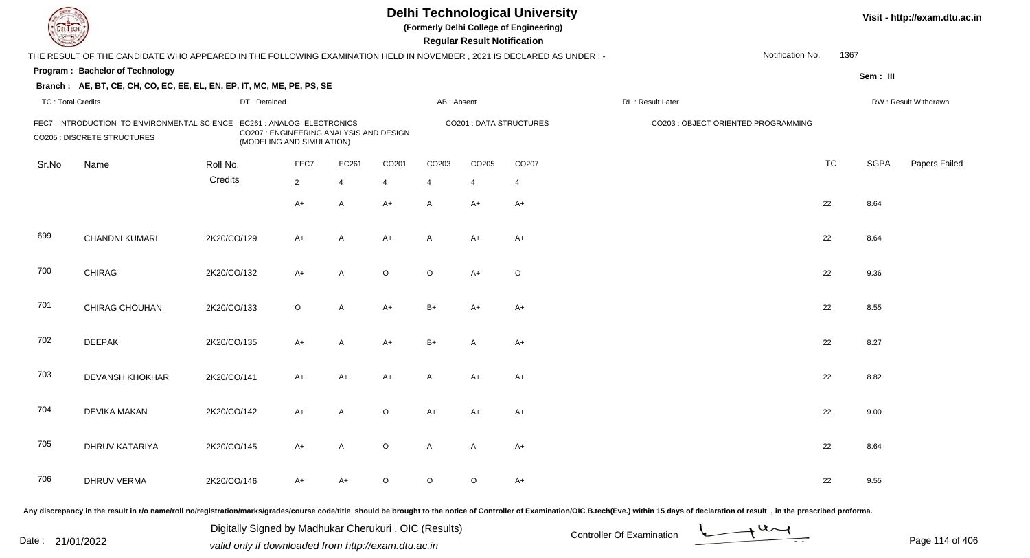| DEL TECH                 |                                                                                                                     |             |                                                                                                    |                |                   |                   | <b>Regular Result Notification</b> | <b>Delhi Technological University</b><br>(Formerly Delhi College of Engineering) |                                                                                                                                                                                                                                |                  |           |             | Visit - http://exam.dtu.ac.in |
|--------------------------|---------------------------------------------------------------------------------------------------------------------|-------------|----------------------------------------------------------------------------------------------------|----------------|-------------------|-------------------|------------------------------------|----------------------------------------------------------------------------------|--------------------------------------------------------------------------------------------------------------------------------------------------------------------------------------------------------------------------------|------------------|-----------|-------------|-------------------------------|
|                          | THE RESULT OF THE CANDIDATE WHO APPEARED IN THE FOLLOWING EXAMINATION HELD IN NOVEMBER, 2021 IS DECLARED AS UNDER:- |             |                                                                                                    |                |                   |                   |                                    |                                                                                  |                                                                                                                                                                                                                                | Notification No. | 1367      |             |                               |
|                          | Program: Bachelor of Technology                                                                                     |             |                                                                                                    |                |                   |                   |                                    |                                                                                  |                                                                                                                                                                                                                                |                  |           |             |                               |
|                          | Branch: AE, BT, CE, CH, CO, EC, EE, EL, EN, EP, IT, MC, ME, PE, PS, SE                                              |             |                                                                                                    |                |                   |                   |                                    |                                                                                  |                                                                                                                                                                                                                                |                  |           | Sem: III    |                               |
| <b>TC: Total Credits</b> |                                                                                                                     |             | DT: Detained                                                                                       |                |                   | AB: Absent        |                                    |                                                                                  | RL : Result Later                                                                                                                                                                                                              |                  |           |             | RW: Result Withdrawn          |
|                          | FEC7 : INTRODUCTION TO ENVIRONMENTAL SCIENCE<br><b>CO205 : DISCRETE STRUCTURES</b>                                  |             | EC261 : ANALOG ELECTRONICS<br>CO207 : ENGINEERING ANALYSIS AND DESIGN<br>(MODELING AND SIMULATION) |                |                   |                   |                                    | <b>CO201: DATA STRUCTURES</b>                                                    | CO203 : OBJECT ORIENTED PROGRAMMING                                                                                                                                                                                            |                  |           |             |                               |
| Sr.No                    | Name                                                                                                                | Roll No.    | FEC7                                                                                               | EC261          | CO <sub>201</sub> | CO <sub>203</sub> | CO205                              | CO <sub>207</sub>                                                                |                                                                                                                                                                                                                                |                  | <b>TC</b> | <b>SGPA</b> | Papers Failed                 |
|                          |                                                                                                                     | Credits     | $\overline{2}$                                                                                     | $\overline{4}$ | 4                 | $\overline{4}$    | $\overline{4}$                     | $\overline{4}$                                                                   |                                                                                                                                                                                                                                |                  |           |             |                               |
|                          |                                                                                                                     |             | $A+$                                                                                               | A              | $A+$              | A                 | A+                                 | $A+$                                                                             |                                                                                                                                                                                                                                |                  | 22        | 8.64        |                               |
| 699                      | CHANDNI KUMARI                                                                                                      | 2K20/CO/129 | $A+$                                                                                               | $\overline{A}$ | $A+$              | A                 | $A+$                               | $A+$                                                                             |                                                                                                                                                                                                                                |                  | 22        | 8.64        |                               |
| 700                      | <b>CHIRAG</b>                                                                                                       | 2K20/CO/132 | $A+$                                                                                               | A              | $\circ$           | $\circ$           | $A+$                               | $\circ$                                                                          |                                                                                                                                                                                                                                |                  | 22        | 9.36        |                               |
| 701                      | CHIRAG CHOUHAN                                                                                                      | 2K20/CO/133 | $\circ$                                                                                            | A              | $A+$              | $B+$              | $A+$                               | $A+$                                                                             |                                                                                                                                                                                                                                |                  | 22        | 8.55        |                               |
| 702                      | <b>DEEPAK</b>                                                                                                       | 2K20/CO/135 | $A+$                                                                                               | A              | $A+$              | $B+$              | A                                  | $A+$                                                                             |                                                                                                                                                                                                                                |                  | 22        | 8.27        |                               |
| 703                      | DEVANSH KHOKHAR                                                                                                     | 2K20/CO/141 | $A+$                                                                                               | A+             | $A+$              | A                 | $A+$                               | $A+$                                                                             |                                                                                                                                                                                                                                |                  | 22        | 8.82        |                               |
| 704                      | <b>DEVIKA MAKAN</b>                                                                                                 | 2K20/CO/142 | A+                                                                                                 | A              | $\circ$           | A+                | A+                                 | $A+$                                                                             |                                                                                                                                                                                                                                |                  | 22        | 9.00        |                               |
| 705                      | DHRUV KATARIYA                                                                                                      | 2K20/CO/145 | $A+$                                                                                               | A              | $\circ$           | A                 | A                                  | $A+$                                                                             |                                                                                                                                                                                                                                |                  | 22        | 8.64        |                               |
| 706                      | <b>DHRUV VERMA</b>                                                                                                  | 2K20/CO/146 | $A+$                                                                                               | A+             | $\circ$           | $\circ$           | $\circ$                            | $A+$                                                                             |                                                                                                                                                                                                                                |                  | 22        | 9.55        |                               |
|                          |                                                                                                                     |             |                                                                                                    |                |                   |                   |                                    |                                                                                  | Any discrepancy in the result in r/o name/roll no/registration/marks/grades/course code/title should be brought to the notice of Controller of Examination/OIC B.tech(Eve.) within 15 days of declaration of result , in the p |                  |           |             |                               |

Date : 21/01/2022 Digital Digital of United States of Controller Of Examination Determination Page 114 of 40 Digitally Signed by Madhukar Cherukuri , OIC (Results)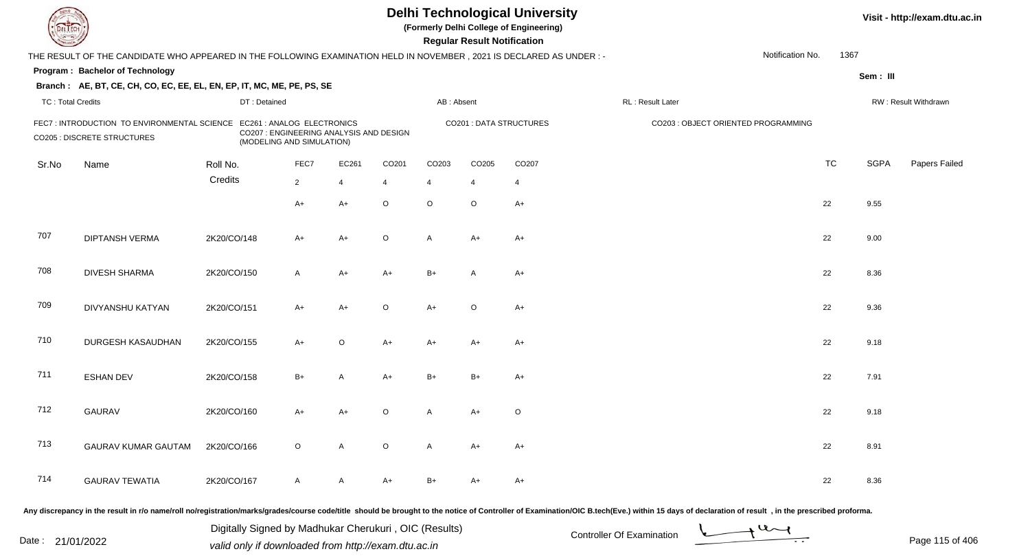| EL ECH                   |                                                                                                                      |              |                                                                                                    |                          |         |                | <b>Regular Result Notification</b> | <b>Delhi Technological University</b><br>(Formerly Delhi College of Engineering) |                                     |                  |           |             | Visit - http://exam.dtu.ac.in |
|--------------------------|----------------------------------------------------------------------------------------------------------------------|--------------|----------------------------------------------------------------------------------------------------|--------------------------|---------|----------------|------------------------------------|----------------------------------------------------------------------------------|-------------------------------------|------------------|-----------|-------------|-------------------------------|
|                          | THE RESULT OF THE CANDIDATE WHO APPEARED IN THE FOLLOWING EXAMINATION HELD IN NOVEMBER, 2021 IS DECLARED AS UNDER :- |              |                                                                                                    |                          |         |                |                                    |                                                                                  |                                     | Notification No. | 1367      |             |                               |
|                          | Program: Bachelor of Technology                                                                                      |              |                                                                                                    |                          |         |                |                                    |                                                                                  |                                     |                  |           | Sem: III    |                               |
|                          | Branch: AE, BT, CE, CH, CO, EC, EE, EL, EN, EP, IT, MC, ME, PE, PS, SE                                               |              |                                                                                                    |                          |         |                |                                    |                                                                                  |                                     |                  |           |             |                               |
| <b>TC: Total Credits</b> |                                                                                                                      | DT: Detained |                                                                                                    |                          |         | AB: Absent     |                                    |                                                                                  | RL : Result Later                   |                  |           |             | RW: Result Withdrawn          |
|                          | FEC7: INTRODUCTION TO ENVIRONMENTAL SCIENCE<br><b>CO205 : DISCRETE STRUCTURES</b>                                    |              | EC261 : ANALOG ELECTRONICS<br>CO207 : ENGINEERING ANALYSIS AND DESIGN<br>(MODELING AND SIMULATION) |                          |         |                |                                    | <b>CO201: DATA STRUCTURES</b>                                                    | CO203 : OBJECT ORIENTED PROGRAMMING |                  |           |             |                               |
| Sr.No                    | Name                                                                                                                 | Roll No.     | FEC7                                                                                               | EC261                    | CO201   | CO203          | CO205                              | CO207                                                                            |                                     |                  | <b>TC</b> | <b>SGPA</b> | Papers Failed                 |
|                          |                                                                                                                      | Credits      | $2^{\circ}$                                                                                        | $\overline{\mathcal{A}}$ | -4      | $\overline{4}$ | $\overline{4}$                     | $\overline{4}$                                                                   |                                     |                  |           |             |                               |
|                          |                                                                                                                      |              | A+                                                                                                 | $A+$                     | $\circ$ | $\circ$        | $\circ$                            | $A+$                                                                             |                                     |                  | 22        | 9.55        |                               |
| 707                      | <b>DIPTANSH VERMA</b>                                                                                                | 2K20/CO/148  | A+                                                                                                 | $A+$                     | $\circ$ | A              | $A+$                               | $A+$                                                                             |                                     |                  | 22        | 9.00        |                               |
| 708                      | <b>DIVESH SHARMA</b>                                                                                                 | 2K20/CO/150  | A                                                                                                  | $A+$                     | $A+$    | $B+$           | A                                  | $A+$                                                                             |                                     |                  | 22        | 8.36        |                               |
| 709                      | DIVYANSHU KATYAN                                                                                                     | 2K20/CO/151  | $A+$                                                                                               | $A+$                     | $\circ$ | $A+$           | $\circ$                            | $A+$                                                                             |                                     |                  | 22        | 9.36        |                               |
| 710                      | DURGESH KASAUDHAN                                                                                                    | 2K20/CO/155  | $A+$                                                                                               | $\circ$                  | $A+$    | $A+$           | $A+$                               | $A+$                                                                             |                                     |                  | 22        | 9.18        |                               |
| 711                      | <b>ESHAN DEV</b>                                                                                                     | 2K20/CO/158  | $B+$                                                                                               | A                        | $A+$    | $B+$           | $B+$                               | $A+$                                                                             |                                     |                  | 22        | 7.91        |                               |
| 712                      | <b>GAURAV</b>                                                                                                        | 2K20/CO/160  | A+                                                                                                 | $A+$                     | $\circ$ | A              | $A+$                               | $\circ$                                                                          |                                     |                  | 22        | 9.18        |                               |
| 713                      | <b>GAURAV KUMAR GAUTAM</b>                                                                                           | 2K20/CO/166  | $\circ$                                                                                            | A                        | $\circ$ | A              | A+                                 | A+                                                                               |                                     |                  | 22        | 8.91        |                               |
| 714                      | <b>GAURAV TEWATIA</b>                                                                                                | 2K20/CO/167  | A                                                                                                  | A                        | A+      | $B+$           | A+                                 | A+                                                                               |                                     |                  | 22        | 8.36        |                               |
|                          |                                                                                                                      |              |                                                                                                    |                          |         |                |                                    |                                                                                  |                                     |                  |           |             |                               |

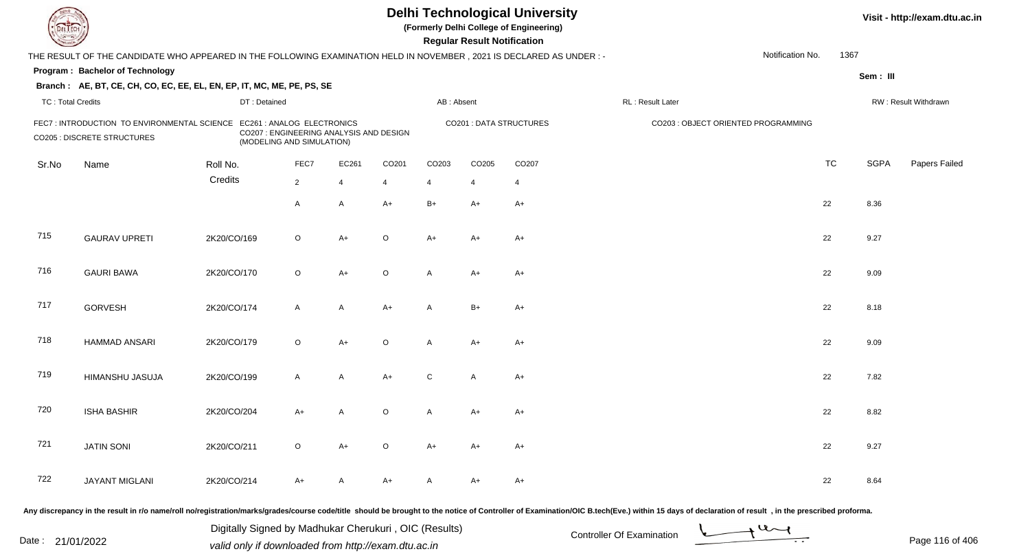| EL ECH                   |                                                                                                                        |              |                                                                                                    |                |         |            | <b>Regular Result Notification</b> | <b>Delhi Technological University</b><br>(Formerly Delhi College of Engineering) |                                     |                  |           |             | Visit - http://exam.dtu.ac.in |
|--------------------------|------------------------------------------------------------------------------------------------------------------------|--------------|----------------------------------------------------------------------------------------------------|----------------|---------|------------|------------------------------------|----------------------------------------------------------------------------------|-------------------------------------|------------------|-----------|-------------|-------------------------------|
|                          | THE RESULT OF THE CANDIDATE WHO APPEARED IN THE FOLLOWING EXAMINATION HELD IN NOVEMBER , 2021 IS DECLARED AS UNDER : - |              |                                                                                                    |                |         |            |                                    |                                                                                  |                                     | Notification No. | 1367      |             |                               |
|                          | Program: Bachelor of Technology                                                                                        |              |                                                                                                    |                |         |            |                                    |                                                                                  |                                     |                  |           | Sem: III    |                               |
|                          | Branch: AE, BT, CE, CH, CO, EC, EE, EL, EN, EP, IT, MC, ME, PE, PS, SE                                                 |              |                                                                                                    |                |         |            |                                    |                                                                                  |                                     |                  |           |             |                               |
| <b>TC: Total Credits</b> |                                                                                                                        | DT: Detained |                                                                                                    |                |         | AB: Absent |                                    |                                                                                  | RL : Result Later                   |                  |           |             | RW: Result Withdrawn          |
|                          | FEC7 : INTRODUCTION TO ENVIRONMENTAL SCIENCE<br><b>CO205 : DISCRETE STRUCTURES</b>                                     |              | EC261 : ANALOG ELECTRONICS<br>CO207 : ENGINEERING ANALYSIS AND DESIGN<br>(MODELING AND SIMULATION) |                |         |            |                                    | <b>CO201: DATA STRUCTURES</b>                                                    | CO203 : OBJECT ORIENTED PROGRAMMING |                  |           |             |                               |
| Sr.No                    | Name                                                                                                                   | Roll No.     | FEC7                                                                                               | EC261          | CO201   | CO203      | CO205                              | CO207                                                                            |                                     |                  | <b>TC</b> | <b>SGPA</b> | Papers Failed                 |
|                          |                                                                                                                        | Credits      | $2^{\circ}$                                                                                        | $\overline{4}$ | 4       | 4          | $\overline{4}$                     | $\overline{4}$                                                                   |                                     |                  |           |             |                               |
|                          |                                                                                                                        |              | A                                                                                                  | A              | $A+$    | $B+$       | $A+$                               | $A+$                                                                             |                                     |                  | 22        | 8.36        |                               |
| 715                      | <b>GAURAV UPRETI</b>                                                                                                   | 2K20/CO/169  | $\circ$                                                                                            | $A+$           | $\circ$ | A+         | A+                                 | $A+$                                                                             |                                     |                  | 22        | 9.27        |                               |
| 716                      | <b>GAURI BAWA</b>                                                                                                      | 2K20/CO/170  | $\circ$                                                                                            | $A+$           | $\circ$ | A          | $A+$                               | $A+$                                                                             |                                     |                  | 22        | 9.09        |                               |
| 717                      | <b>GORVESH</b>                                                                                                         | 2K20/CO/174  | A                                                                                                  | A              | $A+$    | A          | $B+$                               | $A+$                                                                             |                                     |                  | 22        | 8.18        |                               |
| 718                      | <b>HAMMAD ANSARI</b>                                                                                                   | 2K20/CO/179  | $\circ$                                                                                            | $A+$           | $\circ$ | A          | $A+$                               | $A+$                                                                             |                                     |                  | 22        | 9.09        |                               |
| 719                      | HIMANSHU JASUJA                                                                                                        | 2K20/CO/199  | $\mathsf{A}$                                                                                       | $\mathsf{A}$   | $A+$    | C          | A                                  | $A+$                                                                             |                                     |                  | 22        | 7.82        |                               |
| 720                      | <b>ISHA BASHIR</b>                                                                                                     | 2K20/CO/204  | A+                                                                                                 | A              | $\circ$ | A          | A+                                 | $A+$                                                                             |                                     |                  | 22        | 8.82        |                               |
| 721                      | <b>JATIN SONI</b>                                                                                                      | 2K20/CO/211  | $\circ$                                                                                            | $A+$           | $\circ$ | A+         | A+                                 | A+                                                                               |                                     |                  | 22        | 9.27        |                               |
| 722                      | JAYANT MIGLANI                                                                                                         | 2K20/CO/214  | A+                                                                                                 | A              | A+      | A          | A+                                 | $A+$                                                                             |                                     |                  | 22        | 8.64        |                               |
|                          |                                                                                                                        |              |                                                                                                    |                |         |            |                                    |                                                                                  |                                     |                  |           |             |                               |

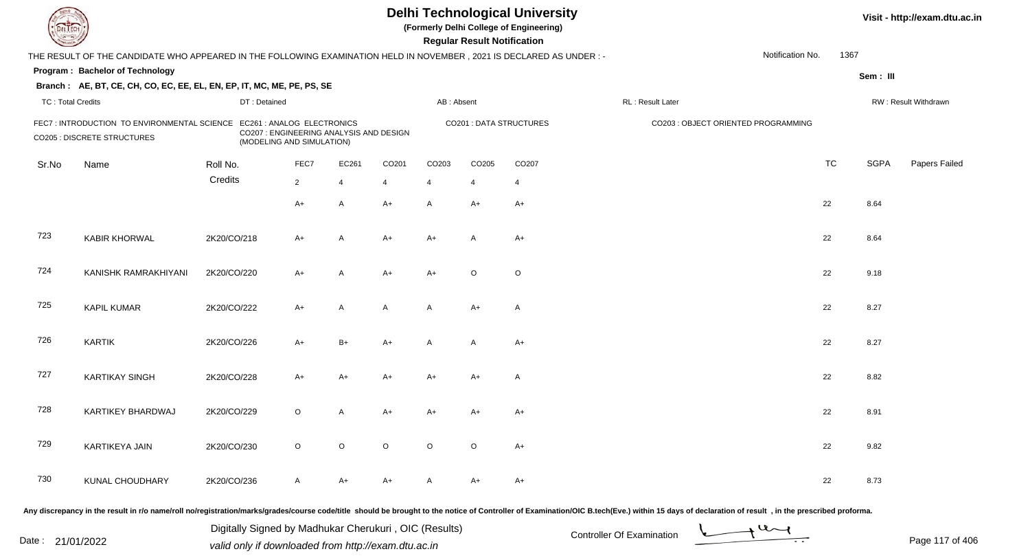| <b>DELTEC</b>            |                                                                                                                                                                                                                                |             |                                                                                                    |                |                |                   |                   | <b>Regular Result Notification</b> | <b>Delhi Technological University</b><br>(Formerly Delhi College of Engineering) |                   |                                     |           |             | Visit - http://exam.dtu.ac.in |
|--------------------------|--------------------------------------------------------------------------------------------------------------------------------------------------------------------------------------------------------------------------------|-------------|----------------------------------------------------------------------------------------------------|----------------|----------------|-------------------|-------------------|------------------------------------|----------------------------------------------------------------------------------|-------------------|-------------------------------------|-----------|-------------|-------------------------------|
|                          | THE RESULT OF THE CANDIDATE WHO APPEARED IN THE FOLLOWING EXAMINATION HELD IN NOVEMBER, 2021 IS DECLARED AS UNDER :-                                                                                                           |             |                                                                                                    |                |                |                   |                   |                                    |                                                                                  |                   | Notification No.                    | 1367      |             |                               |
|                          | Program: Bachelor of Technology                                                                                                                                                                                                |             |                                                                                                    |                |                |                   |                   |                                    |                                                                                  |                   |                                     |           | Sem: III    |                               |
|                          | Branch: AE, BT, CE, CH, CO, EC, EE, EL, EN, EP, IT, MC, ME, PE, PS, SE                                                                                                                                                         |             |                                                                                                    |                |                |                   |                   |                                    |                                                                                  |                   |                                     |           |             |                               |
| <b>TC: Total Credits</b> |                                                                                                                                                                                                                                |             | DT: Detained                                                                                       |                |                |                   | AB: Absent        |                                    |                                                                                  | RL : Result Later |                                     |           |             | RW: Result Withdrawn          |
|                          | FEC7 : INTRODUCTION TO ENVIRONMENTAL SCIENCE<br><b>CO205 : DISCRETE STRUCTURES</b>                                                                                                                                             |             | EC261 : ANALOG ELECTRONICS<br>CO207 : ENGINEERING ANALYSIS AND DESIGN<br>(MODELING AND SIMULATION) |                |                |                   |                   |                                    | <b>CO201: DATA STRUCTURES</b>                                                    |                   | CO203 : OBJECT ORIENTED PROGRAMMING |           |             |                               |
| Sr.No                    | Name                                                                                                                                                                                                                           | Roll No.    |                                                                                                    | FEC7           | EC261          | CO <sub>201</sub> | CO <sub>203</sub> | CO205                              | CO <sub>207</sub>                                                                |                   |                                     | <b>TC</b> | <b>SGPA</b> | Papers Failed                 |
|                          |                                                                                                                                                                                                                                | Credits     |                                                                                                    | $\overline{2}$ | $\overline{4}$ | 4                 | $\overline{4}$    | $\overline{4}$                     | $\overline{4}$                                                                   |                   |                                     |           |             |                               |
|                          |                                                                                                                                                                                                                                |             |                                                                                                    | $A+$           | A              | $A+$              | A                 | A+                                 | $A+$                                                                             |                   |                                     | 22        | 8.64        |                               |
| 723                      | <b>KABIR KHORWAL</b>                                                                                                                                                                                                           | 2K20/CO/218 |                                                                                                    | $A+$           | $\overline{A}$ | A+                | $A+$              | A                                  | $A+$                                                                             |                   |                                     | 22        | 8.64        |                               |
| 724                      | KANISHK RAMRAKHIYANI                                                                                                                                                                                                           | 2K20/CO/220 |                                                                                                    | $A+$           | A              | $A+$              | $A+$              | $\circ$                            | $\circ$                                                                          |                   |                                     | 22        | 9.18        |                               |
| 725                      | <b>KAPIL KUMAR</b>                                                                                                                                                                                                             | 2K20/CO/222 |                                                                                                    | $A+$           | A              | A                 | A                 | $A+$                               | $\mathsf{A}$                                                                     |                   |                                     | 22        | 8.27        |                               |
| 726                      | <b>KARTIK</b>                                                                                                                                                                                                                  | 2K20/CO/226 |                                                                                                    | $A+$           | $B+$           | $A+$              | A                 | $\overline{A}$                     | $A+$                                                                             |                   |                                     | 22        | 8.27        |                               |
| 727                      | <b>KARTIKAY SINGH</b>                                                                                                                                                                                                          | 2K20/CO/228 |                                                                                                    | $A+$           | $A+$           | $A+$              | A+                | $A+$                               | A                                                                                |                   |                                     | 22        | 8.82        |                               |
| 728                      | KARTIKEY BHARDWAJ                                                                                                                                                                                                              | 2K20/CO/229 |                                                                                                    | $\circ$        | A              | A+                | A+                | A+                                 | $A+$                                                                             |                   |                                     | 22        | 8.91        |                               |
| 729                      | KARTIKEYA JAIN                                                                                                                                                                                                                 | 2K20/CO/230 |                                                                                                    | $\circ$        | $\circ$        | $\circ$           | $\circ$           | $\circ$                            | $A+$                                                                             |                   |                                     | 22        | 9.82        |                               |
| 730                      | KUNAL CHOUDHARY                                                                                                                                                                                                                | 2K20/CO/236 |                                                                                                    | $\mathsf{A}$   | A+             | A+                | A                 | A+                                 | $A+$                                                                             |                   |                                     | 22        | 8.73        |                               |
|                          | Any discrepancy in the result in r/o name/roll no/registration/marks/grades/course code/title should be brought to the notice of Controller of Examination/OIC B.tech(Eve.) within 15 days of declaration of result , in the p |             |                                                                                                    |                |                |                   |                   |                                    |                                                                                  |                   |                                     |           |             |                               |

Date : 21/01/2022 Digital Digital of Microsofted Chemical Controller Of Examination Determination Page 117 of 40 Digitally Signed by Madhukar Cherukuri , OIC (Results)

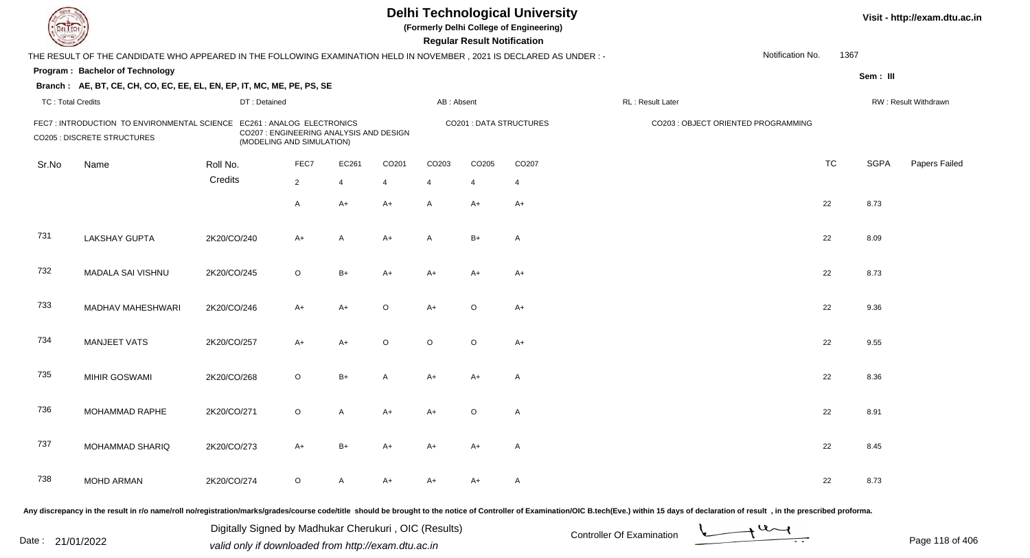| <b>DELTECH</b>           |                                                                                                                     |             |                                                                      |      |                |         |                   | <b>Regular Result Notification</b> | <b>Delhi Technological University</b><br>(Formerly Delhi College of Engineering) |                                                                                                                                                                                                                                |                  |           |             | Visit - http://exam.dtu.ac.in |
|--------------------------|---------------------------------------------------------------------------------------------------------------------|-------------|----------------------------------------------------------------------|------|----------------|---------|-------------------|------------------------------------|----------------------------------------------------------------------------------|--------------------------------------------------------------------------------------------------------------------------------------------------------------------------------------------------------------------------------|------------------|-----------|-------------|-------------------------------|
|                          | THE RESULT OF THE CANDIDATE WHO APPEARED IN THE FOLLOWING EXAMINATION HELD IN NOVEMBER, 2021 IS DECLARED AS UNDER:- |             |                                                                      |      |                |         |                   |                                    |                                                                                  |                                                                                                                                                                                                                                | Notification No. | 1367      |             |                               |
|                          | Program: Bachelor of Technology                                                                                     |             |                                                                      |      |                |         |                   |                                    |                                                                                  |                                                                                                                                                                                                                                |                  |           | Sem: III    |                               |
|                          | Branch: AE, BT, CE, CH, CO, EC, EE, EL, EN, EP, IT, MC, ME, PE, PS, SE                                              |             |                                                                      |      |                |         |                   |                                    |                                                                                  |                                                                                                                                                                                                                                |                  |           |             |                               |
| <b>TC: Total Credits</b> |                                                                                                                     |             | DT: Detained                                                         |      |                |         | AB: Absent        |                                    |                                                                                  | RL: Result Later                                                                                                                                                                                                               |                  |           |             | RW: Result Withdrawn          |
|                          | FEC7: INTRODUCTION TO ENVIRONMENTAL SCIENCE EC261: ANALOG ELECTRONICS<br><b>CO205 : DISCRETE STRUCTURES</b>         |             | CO207 : ENGINEERING ANALYSIS AND DESIGN<br>(MODELING AND SIMULATION) |      |                |         |                   |                                    | <b>CO201: DATA STRUCTURES</b>                                                    | CO203 : OBJECT ORIENTED PROGRAMMING                                                                                                                                                                                            |                  |           |             |                               |
| Sr.No                    | Name                                                                                                                | Roll No.    |                                                                      | FEC7 | EC261          | CO201   | CO <sub>203</sub> | CO <sub>205</sub>                  | CO <sub>207</sub>                                                                |                                                                                                                                                                                                                                |                  | <b>TC</b> | <b>SGPA</b> | Papers Failed                 |
|                          |                                                                                                                     | Credits     | $\overline{2}$                                                       |      | $\overline{4}$ | 4       | $\overline{4}$    | 4                                  | 4                                                                                |                                                                                                                                                                                                                                |                  |           |             |                               |
|                          |                                                                                                                     |             | $\mathsf{A}$                                                         |      | $A+$           | $A+$    | A                 | $A+$                               | $A+$                                                                             |                                                                                                                                                                                                                                |                  | 22        | 8.73        |                               |
| 731                      | <b>LAKSHAY GUPTA</b>                                                                                                | 2K20/CO/240 | $A+$                                                                 |      | A              | $A+$    | A                 | $B+$                               | A                                                                                |                                                                                                                                                                                                                                |                  | 22        | 8.09        |                               |
| 732                      | MADALA SAI VISHNU                                                                                                   | 2K20/CO/245 | $\circ$                                                              |      | $B+$           | $A+$    | $A+$              | $A+$                               | $A+$                                                                             |                                                                                                                                                                                                                                |                  | 22        | 8.73        |                               |
| 733                      | MADHAV MAHESHWARI                                                                                                   | 2K20/CO/246 | $A+$                                                                 |      | $A+$           | $\circ$ | $A+$              | $\circ$                            | $A+$                                                                             |                                                                                                                                                                                                                                |                  | 22        | 9.36        |                               |
| 734                      | <b>MANJEET VATS</b>                                                                                                 | 2K20/CO/257 | $A+$                                                                 |      | $A+$           | $\circ$ | $\circ$           | $\circ$                            | $A+$                                                                             |                                                                                                                                                                                                                                |                  | 22        | 9.55        |                               |
| 735                      | MIHIR GOSWAMI                                                                                                       | 2K20/CO/268 | $\circ$                                                              |      | $B+$           | A       | $A+$              | $A+$                               | $\mathsf{A}$                                                                     |                                                                                                                                                                                                                                |                  | 22        | 8.36        |                               |
| 736                      | MOHAMMAD RAPHE                                                                                                      | 2K20/CO/271 | $\circ$                                                              |      | A              | A+      | A+                | O                                  | $\mathsf{A}$                                                                     |                                                                                                                                                                                                                                |                  | 22        | 8.91        |                               |
| 737                      | MOHAMMAD SHARIQ                                                                                                     | 2K20/CO/273 | A+                                                                   |      | B+             | A+      | A+                | A+                                 | A                                                                                |                                                                                                                                                                                                                                |                  | 22        | 8.45        |                               |
| 738                      | <b>MOHD ARMAN</b>                                                                                                   | 2K20/CO/274 | $\circ$                                                              |      | A              | A+      | A+                | A+                                 | A                                                                                |                                                                                                                                                                                                                                |                  | 22        | 8.73        |                               |
|                          |                                                                                                                     |             |                                                                      |      |                |         |                   |                                    |                                                                                  | Any discrepancy in the result in r/o name/roll no/registration/marks/grades/course code/title should be brought to the notice of Controller of Examination/OIC B.tech(Eve.) within 15 days of declaration of result , in the p |                  |           |             |                               |

Date : 21/01/2022 Digital Digital of Microsofted Chemical Controller Of Examination Determination Page 118 of 40 Digitally Signed by Madhukar Cherukuri , OIC (Results)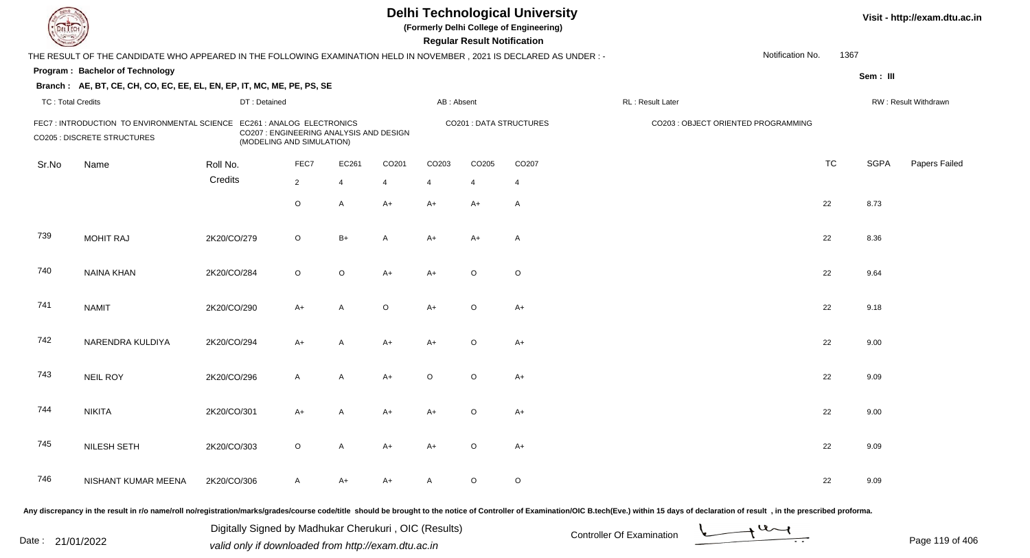| EL ECH                   |                                                                                                                        |              |                                                                                                    |                |         |            | <b>Regular Result Notification</b> | <b>Delhi Technological University</b><br>(Formerly Delhi College of Engineering) |                                     |                  |           |             | Visit - http://exam.dtu.ac.in |
|--------------------------|------------------------------------------------------------------------------------------------------------------------|--------------|----------------------------------------------------------------------------------------------------|----------------|---------|------------|------------------------------------|----------------------------------------------------------------------------------|-------------------------------------|------------------|-----------|-------------|-------------------------------|
|                          | THE RESULT OF THE CANDIDATE WHO APPEARED IN THE FOLLOWING EXAMINATION HELD IN NOVEMBER , 2021 IS DECLARED AS UNDER : - |              |                                                                                                    |                |         |            |                                    |                                                                                  |                                     | Notification No. | 1367      |             |                               |
|                          | Program: Bachelor of Technology                                                                                        |              |                                                                                                    |                |         |            |                                    |                                                                                  |                                     |                  |           | Sem: III    |                               |
|                          | Branch: AE, BT, CE, CH, CO, EC, EE, EL, EN, EP, IT, MC, ME, PE, PS, SE                                                 |              |                                                                                                    |                |         |            |                                    |                                                                                  |                                     |                  |           |             |                               |
| <b>TC: Total Credits</b> |                                                                                                                        | DT: Detained |                                                                                                    |                |         | AB: Absent |                                    |                                                                                  | RL : Result Later                   |                  |           |             | RW: Result Withdrawn          |
|                          | FEC7 : INTRODUCTION TO ENVIRONMENTAL SCIENCE<br><b>CO205 : DISCRETE STRUCTURES</b>                                     |              | EC261 : ANALOG ELECTRONICS<br>CO207 : ENGINEERING ANALYSIS AND DESIGN<br>(MODELING AND SIMULATION) |                |         |            |                                    | <b>CO201: DATA STRUCTURES</b>                                                    | CO203 : OBJECT ORIENTED PROGRAMMING |                  |           |             |                               |
| Sr.No                    | Name                                                                                                                   | Roll No.     | FEC7                                                                                               | EC261          | CO201   | CO203      | CO205                              | CO207                                                                            |                                     |                  | <b>TC</b> | <b>SGPA</b> | Papers Failed                 |
|                          |                                                                                                                        | Credits      | $\overline{2}$                                                                                     | $\overline{4}$ | 4       | 4          | $\overline{4}$                     | $\overline{4}$                                                                   |                                     |                  |           |             |                               |
|                          |                                                                                                                        |              | $\circ$                                                                                            | $\mathsf{A}$   | $A+$    | $A+$       | A+                                 | A                                                                                |                                     |                  | 22        | 8.73        |                               |
| 739                      | <b>MOHIT RAJ</b>                                                                                                       | 2K20/CO/279  | $\circ$                                                                                            | $B+$           | A       | $A+$       | $A+$                               | $\overline{A}$                                                                   |                                     |                  | 22        | 8.36        |                               |
| 740                      | NAINA KHAN                                                                                                             | 2K20/CO/284  | $\circ$                                                                                            | $\circ$        | $A+$    | $A+$       | $\circ$                            | $\circ$                                                                          |                                     |                  | 22        | 9.64        |                               |
| 741                      | <b>NAMIT</b>                                                                                                           | 2K20/CO/290  | $A+$                                                                                               | A              | $\circ$ | $A+$       | $\circ$                            | $A+$                                                                             |                                     |                  | 22        | 9.18        |                               |
| 742                      | NARENDRA KULDIYA                                                                                                       | 2K20/CO/294  | $A+$                                                                                               | A              | $A+$    | $A+$       | $\circ$                            | $A+$                                                                             |                                     |                  | 22        | 9.00        |                               |
| 743                      | <b>NEIL ROY</b>                                                                                                        | 2K20/CO/296  | $\mathsf{A}$                                                                                       | $\mathsf{A}$   | $A+$    | $\circ$    | $\circ$                            | $A+$                                                                             |                                     |                  | 22        | 9.09        |                               |
| 744                      | <b>NIKITA</b>                                                                                                          | 2K20/CO/301  | A+                                                                                                 | A              | $A+$    | A+         | $\circ$                            | $A+$                                                                             |                                     |                  | 22        | 9.00        |                               |
| 745                      | NILESH SETH                                                                                                            | 2K20/CO/303  | $\circ$                                                                                            | A              | A+      | A+         | $\circ$                            | A+                                                                               |                                     |                  | 22        | 9.09        |                               |
| 746                      | NISHANT KUMAR MEENA                                                                                                    | 2K20/CO/306  | A                                                                                                  | A+             | A+      | A          | $\circ$                            | $\circ$                                                                          |                                     |                  | 22        | 9.09        |                               |
|                          |                                                                                                                        |              |                                                                                                    |                |         |            |                                    |                                                                                  |                                     |                  |           |             |                               |

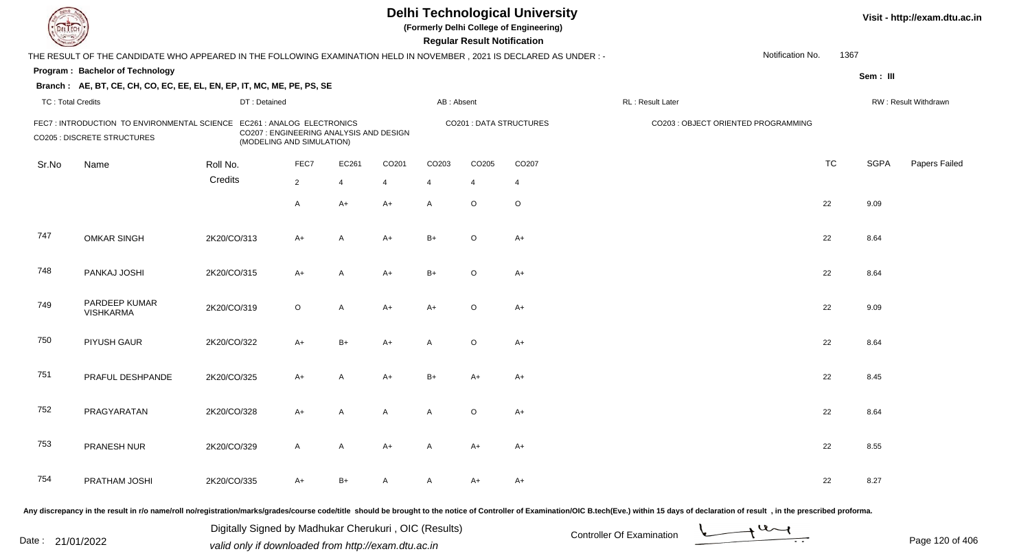| <b>DELTECH</b>           |                                                                                                                      |              |                                                                      |                |       |                | <b>Regular Result Notification</b> | <b>Delhi Technological University</b><br>(Formerly Delhi College of Engineering) |                                                                                                                                                                                                                                |                  |           |             | Visit - http://exam.dtu.ac.in |
|--------------------------|----------------------------------------------------------------------------------------------------------------------|--------------|----------------------------------------------------------------------|----------------|-------|----------------|------------------------------------|----------------------------------------------------------------------------------|--------------------------------------------------------------------------------------------------------------------------------------------------------------------------------------------------------------------------------|------------------|-----------|-------------|-------------------------------|
|                          | THE RESULT OF THE CANDIDATE WHO APPEARED IN THE FOLLOWING EXAMINATION HELD IN NOVEMBER, 2021 IS DECLARED AS UNDER :- |              |                                                                      |                |       |                |                                    |                                                                                  |                                                                                                                                                                                                                                | Notification No. | 1367      |             |                               |
|                          | Program: Bachelor of Technology                                                                                      |              |                                                                      |                |       |                |                                    |                                                                                  |                                                                                                                                                                                                                                |                  |           |             |                               |
|                          | Branch: AE, BT, CE, CH, CO, EC, EE, EL, EN, EP, IT, MC, ME, PE, PS, SE                                               |              |                                                                      |                |       |                |                                    |                                                                                  |                                                                                                                                                                                                                                |                  |           | Sem: III    |                               |
| <b>TC: Total Credits</b> |                                                                                                                      | DT: Detained |                                                                      |                |       | AB: Absent     |                                    |                                                                                  | RL: Result Later                                                                                                                                                                                                               |                  |           |             | RW: Result Withdrawn          |
|                          | FEC7: INTRODUCTION TO ENVIRONMENTAL SCIENCE EC261: ANALOG ELECTRONICS<br><b>CO205 : DISCRETE STRUCTURES</b>          |              | CO207 : ENGINEERING ANALYSIS AND DESIGN<br>(MODELING AND SIMULATION) |                |       |                |                                    | <b>CO201: DATA STRUCTURES</b>                                                    | CO203 : OBJECT ORIENTED PROGRAMMING                                                                                                                                                                                            |                  |           |             |                               |
| Sr.No                    | Name                                                                                                                 | Roll No.     | FEC7                                                                 | EC261          | CO201 | CO203          | CO <sub>205</sub>                  | CO <sub>207</sub>                                                                |                                                                                                                                                                                                                                |                  | <b>TC</b> | <b>SGPA</b> | Papers Failed                 |
|                          |                                                                                                                      | Credits      | $\overline{2}$                                                       | $\overline{4}$ | 4     | $\overline{4}$ | 4                                  | 4                                                                                |                                                                                                                                                                                                                                |                  |           |             |                               |
|                          |                                                                                                                      |              | $\mathsf{A}$                                                         | $A+$           | $A+$  | A              | $\circ$                            | $\circ$                                                                          |                                                                                                                                                                                                                                |                  | 22        | 9.09        |                               |
| 747                      | <b>OMKAR SINGH</b>                                                                                                   | 2K20/CO/313  | $A+$                                                                 | $\overline{A}$ | $A+$  | $B+$           | $\circ$                            | $A+$                                                                             |                                                                                                                                                                                                                                |                  | 22        | 8.64        |                               |
| 748                      | PANKAJ JOSHI                                                                                                         | 2K20/CO/315  | $A+$                                                                 | A              | $A+$  | $B+$           | $\circ$                            | $A+$                                                                             |                                                                                                                                                                                                                                |                  | 22        | 8.64        |                               |
| 749                      | PARDEEP KUMAR<br><b>VISHKARMA</b>                                                                                    | 2K20/CO/319  | $\circ$                                                              | A              | $A+$  | $A+$           | $\circ$                            | $A+$                                                                             |                                                                                                                                                                                                                                |                  | 22        | 9.09        |                               |
| 750                      | PIYUSH GAUR                                                                                                          | 2K20/CO/322  | $A+$                                                                 | $B+$           | $A+$  | A              | $\circ$                            | $A+$                                                                             |                                                                                                                                                                                                                                |                  | 22        | 8.64        |                               |
| 751                      | PRAFUL DESHPANDE                                                                                                     | 2K20/CO/325  | $A+$                                                                 | A              | $A+$  | $B+$           | A+                                 | $A+$                                                                             |                                                                                                                                                                                                                                |                  | 22        | 8.45        |                               |
| 752                      | PRAGYARATAN                                                                                                          | 2K20/CO/328  | $A+$                                                                 | A              | A     | A              | $\circ$                            | $A+$                                                                             |                                                                                                                                                                                                                                |                  | 22        | 8.64        |                               |
| 753                      | PRANESH NUR                                                                                                          | 2K20/CO/329  | A                                                                    | A              | A+    | A              | A+                                 | $A+$                                                                             |                                                                                                                                                                                                                                |                  | 22        | 8.55        |                               |
| 754                      | PRATHAM JOSHI                                                                                                        | 2K20/CO/335  | A+                                                                   | $B+$           | A     | A              | $A+$                               | A+                                                                               |                                                                                                                                                                                                                                |                  | 22        | 8.27        |                               |
|                          |                                                                                                                      |              |                                                                      |                |       |                |                                    |                                                                                  | Any discrepancy in the result in r/o name/roll no/registration/marks/grades/course code/title should be brought to the notice of Controller of Examination/OIC B.tech(Eve.) within 15 days of declaration of result , in the p |                  |           |             |                               |

Date : 21/01/2022 Digital Digital of Microsofted Chemical Controller Of Examination Determination Page 120 of 40 Digitally Signed by Madhukar Cherukuri , OIC (Results)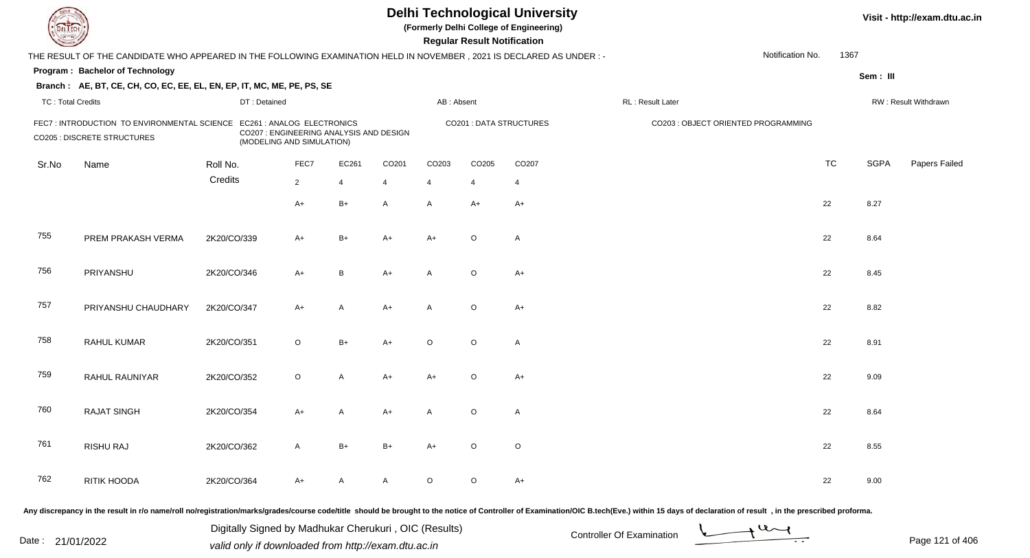| DEL TECH                 |                                                                                                                      |             |                                                                      |                |              |                   | <b>Regular Result Notification</b> | <b>Delhi Technological University</b><br>(Formerly Delhi College of Engineering) |                                                                                                                                                                                                                                |                  |           |             | Visit - http://exam.dtu.ac.in |
|--------------------------|----------------------------------------------------------------------------------------------------------------------|-------------|----------------------------------------------------------------------|----------------|--------------|-------------------|------------------------------------|----------------------------------------------------------------------------------|--------------------------------------------------------------------------------------------------------------------------------------------------------------------------------------------------------------------------------|------------------|-----------|-------------|-------------------------------|
|                          | THE RESULT OF THE CANDIDATE WHO APPEARED IN THE FOLLOWING EXAMINATION HELD IN NOVEMBER, 2021 IS DECLARED AS UNDER :- |             |                                                                      |                |              |                   |                                    |                                                                                  |                                                                                                                                                                                                                                | Notification No. | 1367      |             |                               |
|                          | Program: Bachelor of Technology                                                                                      |             |                                                                      |                |              |                   |                                    |                                                                                  |                                                                                                                                                                                                                                |                  |           | Sem: III    |                               |
|                          | Branch: AE, BT, CE, CH, CO, EC, EE, EL, EN, EP, IT, MC, ME, PE, PS, SE                                               |             |                                                                      |                |              |                   |                                    |                                                                                  |                                                                                                                                                                                                                                |                  |           |             |                               |
| <b>TC: Total Credits</b> |                                                                                                                      |             | DT: Detained                                                         |                |              | AB: Absent        |                                    |                                                                                  | RL: Result Later                                                                                                                                                                                                               |                  |           |             | RW: Result Withdrawn          |
|                          | FEC7: INTRODUCTION TO ENVIRONMENTAL SCIENCE EC261: ANALOG ELECTRONICS<br><b>CO205 : DISCRETE STRUCTURES</b>          |             | CO207 : ENGINEERING ANALYSIS AND DESIGN<br>(MODELING AND SIMULATION) |                |              |                   |                                    | <b>CO201: DATA STRUCTURES</b>                                                    | CO203 : OBJECT ORIENTED PROGRAMMING                                                                                                                                                                                            |                  |           |             |                               |
| Sr.No                    | Name                                                                                                                 | Roll No.    | FEC7                                                                 | EC261          | CO201        | CO <sub>203</sub> | CO205                              | CO <sub>207</sub>                                                                |                                                                                                                                                                                                                                |                  | <b>TC</b> | <b>SGPA</b> | Papers Failed                 |
|                          |                                                                                                                      | Credits     | $\overline{2}$                                                       | $\overline{4}$ | 4            | $\overline{4}$    | 4                                  | 4                                                                                |                                                                                                                                                                                                                                |                  |           |             |                               |
|                          |                                                                                                                      |             | $A+$                                                                 | $B+$           | $\mathsf{A}$ | A                 | $A+$                               | $A+$                                                                             |                                                                                                                                                                                                                                |                  | 22        | 8.27        |                               |
| 755                      | PREM PRAKASH VERMA                                                                                                   | 2K20/CO/339 | $A+$                                                                 | $B+$           | $A+$         | $A+$              | $\circ$                            | A                                                                                |                                                                                                                                                                                                                                |                  | 22        | 8.64        |                               |
| 756                      | PRIYANSHU                                                                                                            | 2K20/CO/346 | $A+$                                                                 | B              | $A+$         | A                 | $\circ$                            | $A+$                                                                             |                                                                                                                                                                                                                                |                  | 22        | 8.45        |                               |
| 757                      | PRIYANSHU CHAUDHARY                                                                                                  | 2K20/CO/347 | $A+$                                                                 | A              | $A+$         | A                 | $\circ$                            | $A+$                                                                             |                                                                                                                                                                                                                                |                  | 22        | 8.82        |                               |
| 758                      | RAHUL KUMAR                                                                                                          | 2K20/CO/351 | $\circ$                                                              | $B+$           | $A+$         | $\circ$           | $\circ$                            | $\mathsf{A}$                                                                     |                                                                                                                                                                                                                                |                  | 22        | 8.91        |                               |
| 759                      | RAHUL RAUNIYAR                                                                                                       | 2K20/CO/352 | $\circ$                                                              | A              | $A+$         | $A+$              | $\circ$                            | $A+$                                                                             |                                                                                                                                                                                                                                |                  | 22        | 9.09        |                               |
| 760                      | <b>RAJAT SINGH</b>                                                                                                   | 2K20/CO/354 | A+                                                                   | A              | A+           | A                 | $\circ$                            | $\mathsf{A}$                                                                     |                                                                                                                                                                                                                                |                  | 22        | 8.64        |                               |
| 761                      | RISHU RAJ                                                                                                            | 2K20/CO/362 | A                                                                    | B+             | B+           | A+                | $\circ$                            | $\circ$                                                                          |                                                                                                                                                                                                                                |                  | 22        | 8.55        |                               |
| 762                      | RITIK HOODA                                                                                                          | 2K20/CO/364 | A+                                                                   | A              | A            | $\circ$           | $\circ$                            | $A+$                                                                             |                                                                                                                                                                                                                                |                  | 22        | 9.00        |                               |
|                          |                                                                                                                      |             |                                                                      |                |              |                   |                                    |                                                                                  | Any discrepancy in the result in r/o name/roll no/registration/marks/grades/course code/title should be brought to the notice of Controller of Examination/OIC B.tech(Eve.) within 15 days of declaration of result , in the p |                  |           |             |                               |

Date : 21/01/2022 Digital Digital of Microsofted Chemical Controller Of Examination Determination Page 121 of 40 Digitally Signed by Madhukar Cherukuri , OIC (Results)

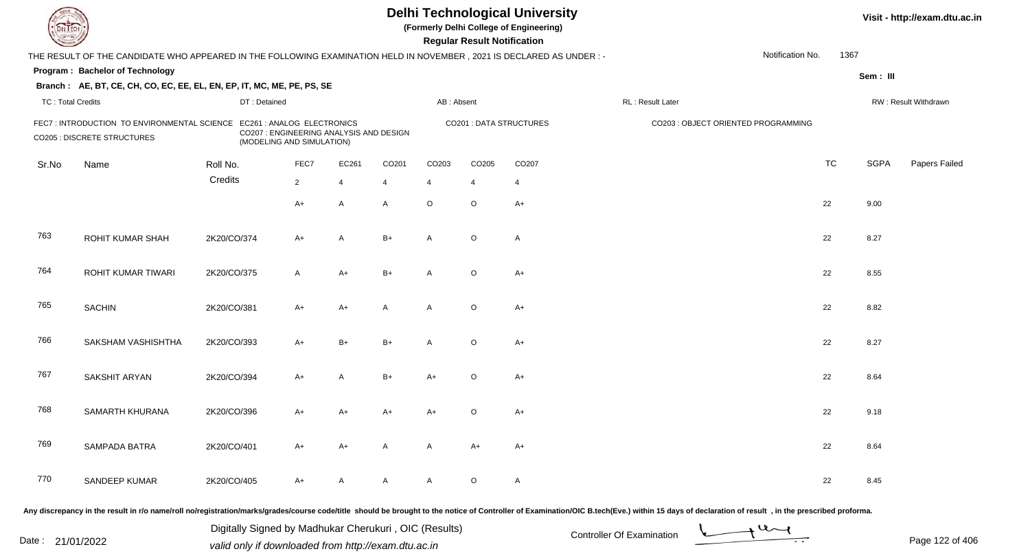| <b>DELTEC</b>            |                                                                                                                                                                                                                                |             |                                                                                                    |                |       |                   |                   | <b>Regular Result Notification</b> | <b>Delhi Technological University</b><br>(Formerly Delhi College of Engineering) |                   |                                     |           |             | Visit - http://exam.dtu.ac.in |
|--------------------------|--------------------------------------------------------------------------------------------------------------------------------------------------------------------------------------------------------------------------------|-------------|----------------------------------------------------------------------------------------------------|----------------|-------|-------------------|-------------------|------------------------------------|----------------------------------------------------------------------------------|-------------------|-------------------------------------|-----------|-------------|-------------------------------|
|                          | THE RESULT OF THE CANDIDATE WHO APPEARED IN THE FOLLOWING EXAMINATION HELD IN NOVEMBER, 2021 IS DECLARED AS UNDER :-                                                                                                           |             |                                                                                                    |                |       |                   |                   |                                    |                                                                                  |                   | Notification No.                    | 1367      |             |                               |
|                          | Program: Bachelor of Technology                                                                                                                                                                                                |             |                                                                                                    |                |       |                   |                   |                                    |                                                                                  |                   |                                     |           | Sem: III    |                               |
|                          | Branch: AE, BT, CE, CH, CO, EC, EE, EL, EN, EP, IT, MC, ME, PE, PS, SE                                                                                                                                                         |             |                                                                                                    |                |       |                   |                   |                                    |                                                                                  |                   |                                     |           |             |                               |
| <b>TC: Total Credits</b> |                                                                                                                                                                                                                                |             | DT: Detained                                                                                       |                |       |                   | AB: Absent        |                                    |                                                                                  | RL : Result Later |                                     |           |             | RW: Result Withdrawn          |
|                          | FEC7 : INTRODUCTION TO ENVIRONMENTAL SCIENCE<br><b>CO205 : DISCRETE STRUCTURES</b>                                                                                                                                             |             | EC261 : ANALOG ELECTRONICS<br>CO207 : ENGINEERING ANALYSIS AND DESIGN<br>(MODELING AND SIMULATION) |                |       |                   |                   |                                    | <b>CO201: DATA STRUCTURES</b>                                                    |                   | CO203 : OBJECT ORIENTED PROGRAMMING |           |             |                               |
| Sr.No                    | Name                                                                                                                                                                                                                           | Roll No.    | FEC7                                                                                               |                | EC261 | CO <sub>201</sub> | CO <sub>203</sub> | CO205                              | CO <sub>207</sub>                                                                |                   |                                     | <b>TC</b> | <b>SGPA</b> | Papers Failed                 |
|                          |                                                                                                                                                                                                                                | Credits     | $\overline{2}$                                                                                     | $\overline{4}$ |       | 4                 | $\overline{4}$    | 4                                  | $\overline{4}$                                                                   |                   |                                     |           |             |                               |
|                          |                                                                                                                                                                                                                                |             | $A+$                                                                                               | A              |       | $\mathsf{A}$      | $\circ$           | $\circ$                            | $A+$                                                                             |                   |                                     | 22        | 9.00        |                               |
| 763                      | <b>ROHIT KUMAR SHAH</b>                                                                                                                                                                                                        | 2K20/CO/374 | $A+$                                                                                               | A              |       | $B+$              | A                 | $\circ$                            | A                                                                                |                   |                                     | 22        | 8.27        |                               |
| 764                      | ROHIT KUMAR TIWARI                                                                                                                                                                                                             | 2K20/CO/375 | $\mathsf{A}$                                                                                       | $A+$           |       | $B+$              | A                 | $\circ$                            | $A+$                                                                             |                   |                                     | 22        | 8.55        |                               |
| 765                      | <b>SACHIN</b>                                                                                                                                                                                                                  | 2K20/CO/381 | $A+$                                                                                               | $A+$           |       | A                 | A                 | $\circ$                            | $A+$                                                                             |                   |                                     | 22        | 8.82        |                               |
| 766                      | SAKSHAM VASHISHTHA                                                                                                                                                                                                             | 2K20/CO/393 | $A+$                                                                                               | $B+$           |       | $B+$              | A                 | $\circ$                            | $A+$                                                                             |                   |                                     | 22        | 8.27        |                               |
| 767                      | SAKSHIT ARYAN                                                                                                                                                                                                                  | 2K20/CO/394 | $A+$                                                                                               | A              |       | $B+$              | A+                | $\circ$                            | $A+$                                                                             |                   |                                     | 22        | 8.64        |                               |
| 768                      | SAMARTH KHURANA                                                                                                                                                                                                                | 2K20/CO/396 | A+                                                                                                 | A+             |       | A+                | A+                | $\circ$                            | $A+$                                                                             |                   |                                     | 22        | 9.18        |                               |
| 769                      | SAMPADA BATRA                                                                                                                                                                                                                  | 2K20/CO/401 | A+                                                                                                 | A+             |       | A                 | A                 | A+                                 | $A+$                                                                             |                   |                                     | 22        | 8.64        |                               |
| 770                      | SANDEEP KUMAR                                                                                                                                                                                                                  | 2K20/CO/405 | $A+$                                                                                               | A              |       | A                 | A                 | $\circ$                            | $\mathsf{A}$                                                                     |                   |                                     | 22        | 8.45        |                               |
|                          | Any discrepancy in the result in r/o name/roll no/registration/marks/grades/course code/title should be brought to the notice of Controller of Examination/OIC B.tech(Eve.) within 15 days of declaration of result , in the p |             |                                                                                                    |                |       |                   |                   |                                    |                                                                                  |                   |                                     |           |             |                               |

Date : 21/01/2022 Digital Digital of Microsofted Chemical Controller Of Examination Determination Page 122 of 40 Digitally Signed by Madhukar Cherukuri , OIC (Results)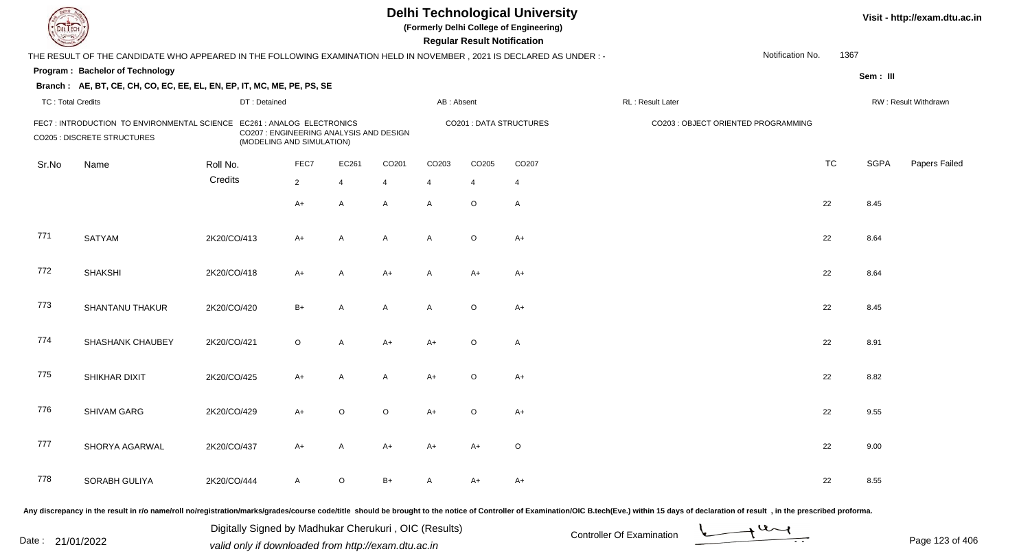| <b>DELTEC</b>            |                                                                                                                     |              |                                                                                                    |                |                   |                   | <b>Regular Result Notification</b> | <b>Delhi Technological University</b><br>(Formerly Delhi College of Engineering) |                                                                                                                                                                                                                                |                  |           |             | Visit - http://exam.dtu.ac.in |
|--------------------------|---------------------------------------------------------------------------------------------------------------------|--------------|----------------------------------------------------------------------------------------------------|----------------|-------------------|-------------------|------------------------------------|----------------------------------------------------------------------------------|--------------------------------------------------------------------------------------------------------------------------------------------------------------------------------------------------------------------------------|------------------|-----------|-------------|-------------------------------|
|                          | THE RESULT OF THE CANDIDATE WHO APPEARED IN THE FOLLOWING EXAMINATION HELD IN NOVEMBER, 2021 IS DECLARED AS UNDER:- |              |                                                                                                    |                |                   |                   |                                    |                                                                                  |                                                                                                                                                                                                                                | Notification No. | 1367      |             |                               |
|                          | Program: Bachelor of Technology                                                                                     |              |                                                                                                    |                |                   |                   |                                    |                                                                                  |                                                                                                                                                                                                                                |                  |           | Sem: III    |                               |
|                          | Branch: AE, BT, CE, CH, CO, EC, EE, EL, EN, EP, IT, MC, ME, PE, PS, SE                                              |              |                                                                                                    |                |                   |                   |                                    |                                                                                  |                                                                                                                                                                                                                                |                  |           |             |                               |
| <b>TC: Total Credits</b> |                                                                                                                     | DT: Detained |                                                                                                    |                |                   | AB: Absent        |                                    |                                                                                  | RL : Result Later                                                                                                                                                                                                              |                  |           |             | RW: Result Withdrawn          |
|                          | FEC7 : INTRODUCTION TO ENVIRONMENTAL SCIENCE<br><b>CO205 : DISCRETE STRUCTURES</b>                                  |              | EC261 : ANALOG ELECTRONICS<br>CO207 : ENGINEERING ANALYSIS AND DESIGN<br>(MODELING AND SIMULATION) |                |                   |                   |                                    | <b>CO201: DATA STRUCTURES</b>                                                    | CO203 : OBJECT ORIENTED PROGRAMMING                                                                                                                                                                                            |                  |           |             |                               |
| Sr.No                    | Name                                                                                                                | Roll No.     | FEC7                                                                                               | EC261          | CO <sub>201</sub> | CO <sub>203</sub> | CO205                              | CO <sub>207</sub>                                                                |                                                                                                                                                                                                                                |                  | <b>TC</b> | <b>SGPA</b> | Papers Failed                 |
|                          |                                                                                                                     | Credits      | $\overline{2}$                                                                                     | $\overline{4}$ | 4                 | $\overline{4}$    | $\overline{4}$                     | $\overline{4}$                                                                   |                                                                                                                                                                                                                                |                  |           |             |                               |
|                          |                                                                                                                     |              | $A+$                                                                                               | A              | $\mathsf{A}$      | A                 | $\circ$                            | $\mathsf{A}$                                                                     |                                                                                                                                                                                                                                |                  | 22        | 8.45        |                               |
| 771                      | <b>SATYAM</b>                                                                                                       | 2K20/CO/413  | $A+$                                                                                               | $\overline{A}$ | A                 | A                 | $\circ$                            | $A+$                                                                             |                                                                                                                                                                                                                                |                  | 22        | 8.64        |                               |
| 772                      | <b>SHAKSHI</b>                                                                                                      | 2K20/CO/418  | $A+$                                                                                               | A              | $A+$              | A                 | $A+$                               | $A+$                                                                             |                                                                                                                                                                                                                                |                  | 22        | 8.64        |                               |
| 773                      | <b>SHANTANU THAKUR</b>                                                                                              | 2K20/CO/420  | $B+$                                                                                               | A              | A                 | A                 | $\circ$                            | $A+$                                                                             |                                                                                                                                                                                                                                |                  | 22        | 8.45        |                               |
| 774                      | SHASHANK CHAUBEY                                                                                                    | 2K20/CO/421  | $\circ$                                                                                            | A              | $A+$              | $A+$              | $\circ$                            | $\mathsf{A}$                                                                     |                                                                                                                                                                                                                                |                  | 22        | 8.91        |                               |
| 775                      | SHIKHAR DIXIT                                                                                                       | 2K20/CO/425  | $A+$                                                                                               | A              | A                 | $A+$              | $\circ$                            | $A+$                                                                             |                                                                                                                                                                                                                                |                  | 22        | 8.82        |                               |
| 776                      | SHIVAM GARG                                                                                                         | 2K20/CO/429  | $A+$                                                                                               | $\circ$        | $\circ$           | A+                | $\circ$                            | $A+$                                                                             |                                                                                                                                                                                                                                |                  | 22        | 9.55        |                               |
| 777                      | SHORYA AGARWAL                                                                                                      | 2K20/CO/437  | A+                                                                                                 | A              | A+                | A+                | A+                                 | $\circ$                                                                          |                                                                                                                                                                                                                                |                  | 22        | 9.00        |                               |
| 778                      | SORABH GULIYA                                                                                                       | 2K20/CO/444  | A                                                                                                  | $\circ$        | $B+$              | A                 | A+                                 | A+                                                                               |                                                                                                                                                                                                                                |                  | 22        | 8.55        |                               |
|                          |                                                                                                                     |              |                                                                                                    |                |                   |                   |                                    |                                                                                  | Any discrepancy in the result in r/o name/roll no/registration/marks/grades/course code/title should be brought to the notice of Controller of Examination/OIC B.tech(Eve.) within 15 days of declaration of result , in the p |                  |           |             |                               |

Date : 21/01/2022 Digital Digital of Microsofted Chemical Controller Of Examination Determination Page 123 of 40 Digitally Signed by Madhukar Cherukuri , OIC (Results)

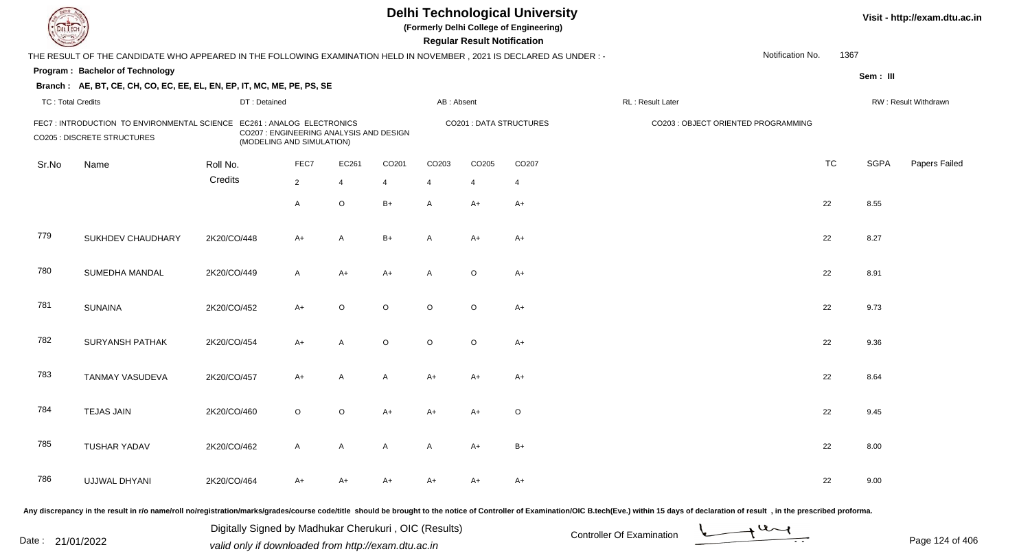| L'I ECH                  |                                                                                                                        |              |                                                                                                    |                |         |                   | <b>Regular Result Notification</b> | <b>Delhi Technological University</b><br>(Formerly Delhi College of Engineering) |                                                                                                                                                                                                                                |                  |           |             | Visit - http://exam.dtu.ac.in |
|--------------------------|------------------------------------------------------------------------------------------------------------------------|--------------|----------------------------------------------------------------------------------------------------|----------------|---------|-------------------|------------------------------------|----------------------------------------------------------------------------------|--------------------------------------------------------------------------------------------------------------------------------------------------------------------------------------------------------------------------------|------------------|-----------|-------------|-------------------------------|
|                          | THE RESULT OF THE CANDIDATE WHO APPEARED IN THE FOLLOWING EXAMINATION HELD IN NOVEMBER , 2021 IS DECLARED AS UNDER : - |              |                                                                                                    |                |         |                   |                                    |                                                                                  |                                                                                                                                                                                                                                | Notification No. | 1367      |             |                               |
|                          | Program: Bachelor of Technology                                                                                        |              |                                                                                                    |                |         |                   |                                    |                                                                                  |                                                                                                                                                                                                                                |                  |           | Sem: III    |                               |
|                          | Branch: AE, BT, CE, CH, CO, EC, EE, EL, EN, EP, IT, MC, ME, PE, PS, SE                                                 |              |                                                                                                    |                |         |                   |                                    |                                                                                  |                                                                                                                                                                                                                                |                  |           |             |                               |
| <b>TC: Total Credits</b> |                                                                                                                        | DT: Detained |                                                                                                    |                |         | AB: Absent        |                                    |                                                                                  | RL : Result Later                                                                                                                                                                                                              |                  |           |             | RW: Result Withdrawn          |
|                          | FEC7: INTRODUCTION TO ENVIRONMENTAL SCIENCE<br>CO205 : DISCRETE STRUCTURES                                             |              | EC261 : ANALOG ELECTRONICS<br>CO207 : ENGINEERING ANALYSIS AND DESIGN<br>(MODELING AND SIMULATION) |                |         |                   |                                    | <b>CO201 : DATA STRUCTURES</b>                                                   | CO203 : OBJECT ORIENTED PROGRAMMING                                                                                                                                                                                            |                  |           |             |                               |
| Sr.No                    | Name                                                                                                                   | Roll No.     | FEC7                                                                                               | EC261          | CO201   | CO <sub>203</sub> | CO205                              | CO <sub>207</sub>                                                                |                                                                                                                                                                                                                                |                  | <b>TC</b> | <b>SGPA</b> | Papers Failed                 |
|                          |                                                                                                                        | Credits      | $\overline{2}$                                                                                     | $\overline{4}$ |         | $\overline{4}$    | $\overline{4}$                     | $\overline{4}$                                                                   |                                                                                                                                                                                                                                |                  |           |             |                               |
|                          |                                                                                                                        |              | A                                                                                                  | $\circ$        | $B+$    | A                 | A+                                 | $A+$                                                                             |                                                                                                                                                                                                                                |                  | 22        | 8.55        |                               |
| 779                      | SUKHDEV CHAUDHARY                                                                                                      | 2K20/CO/448  | A+                                                                                                 | A              | $B+$    | A                 | A+                                 | $A+$                                                                             |                                                                                                                                                                                                                                |                  | 22        | 8.27        |                               |
| 780                      | SUMEDHA MANDAL                                                                                                         | 2K20/CO/449  | A                                                                                                  | $A+$           | $A+$    | A                 | $\circ$                            | $A+$                                                                             |                                                                                                                                                                                                                                |                  | 22        | 8.91        |                               |
| 781                      | <b>SUNAINA</b>                                                                                                         | 2K20/CO/452  | $A+$                                                                                               | $\circ$        | $\circ$ | $\circ$           | $\circ$                            | $A+$                                                                             |                                                                                                                                                                                                                                |                  | 22        | 9.73        |                               |
| 782                      | <b>SURYANSH PATHAK</b>                                                                                                 | 2K20/CO/454  | A+                                                                                                 | A              | $\circ$ | $\circ$           | $\circ$                            | $A+$                                                                             |                                                                                                                                                                                                                                |                  | 22        | 9.36        |                               |
| 783                      | TANMAY VASUDEVA                                                                                                        | 2K20/CO/457  | $A+$                                                                                               | A              | A       | A+                | A+                                 | $A+$                                                                             |                                                                                                                                                                                                                                |                  | 22        | 8.64        |                               |
| 784                      | <b>TEJAS JAIN</b>                                                                                                      | 2K20/CO/460  | $\circ$                                                                                            | $\circ$        | A+      | A+                | A+                                 | $\circ$                                                                          |                                                                                                                                                                                                                                |                  | 22        | 9.45        |                               |
| 785                      | <b>TUSHAR YADAV</b>                                                                                                    | 2K20/CO/462  | A                                                                                                  | A              | A       | A                 | A+                                 | B+                                                                               |                                                                                                                                                                                                                                |                  | 22        | 8.00        |                               |
| 786                      | UJJWAL DHYANI                                                                                                          | 2K20/CO/464  | A+                                                                                                 | A+             | A+      | A+                | A+                                 | A+                                                                               |                                                                                                                                                                                                                                |                  | 22        | 9.00        |                               |
|                          |                                                                                                                        |              |                                                                                                    |                |         |                   |                                    |                                                                                  | ny diseronancy in the result in r/e name/rell ne/registration/marks/arades/course code/title, should be brought to the notice of Controller of Examination/OIC B toch(Eye) within 15 days of declaration of result in the pros |                  |           |             |                               |

Any discrepancy in the result in r/o name/roll no/registration/marks/grades/course code/title should be brought to the notice of

Date : 21/01/2022 Digital Digital of Microsofted Chemical Controller Of Examination Determination Page 124 of 40 Digitally Signed by Madhukar Cherukuri , OIC (Results)

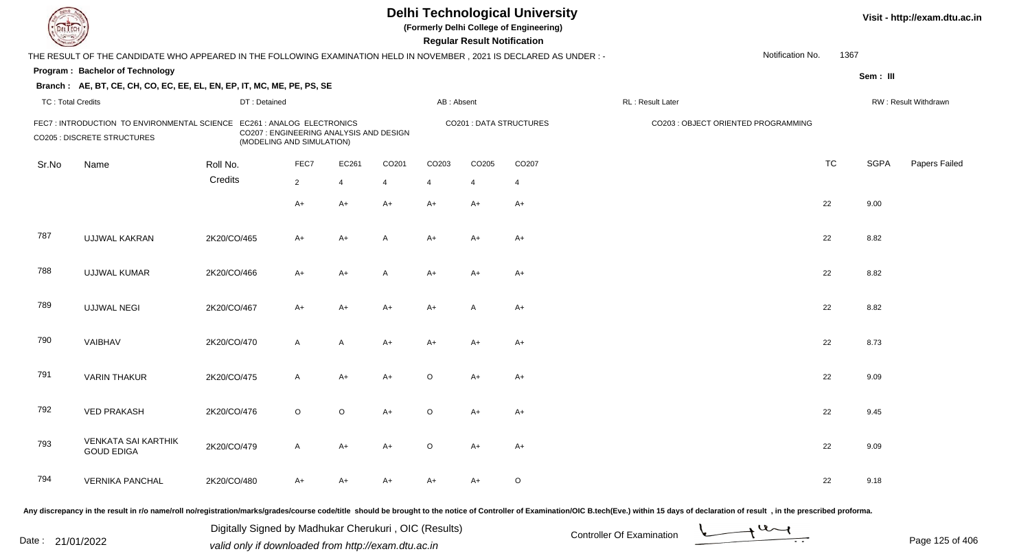|                          |                                                                                                                     |              |                                                                                                    |                |       |                | <b>Regular Result Notification</b> | <b>Delhi Technological University</b><br>(Formerly Delhi College of Engineering) |                                     |                  |           |             | Visit - http://exam.dtu.ac.in |
|--------------------------|---------------------------------------------------------------------------------------------------------------------|--------------|----------------------------------------------------------------------------------------------------|----------------|-------|----------------|------------------------------------|----------------------------------------------------------------------------------|-------------------------------------|------------------|-----------|-------------|-------------------------------|
|                          | THE RESULT OF THE CANDIDATE WHO APPEARED IN THE FOLLOWING EXAMINATION HELD IN NOVEMBER, 2021 IS DECLARED AS UNDER:- |              |                                                                                                    |                |       |                |                                    |                                                                                  |                                     | Notification No. | 1367      |             |                               |
|                          | Program: Bachelor of Technology                                                                                     |              |                                                                                                    |                |       |                |                                    |                                                                                  |                                     |                  |           | Sem: III    |                               |
|                          | Branch: AE, BT, CE, CH, CO, EC, EE, EL, EN, EP, IT, MC, ME, PE, PS, SE                                              |              |                                                                                                    |                |       |                |                                    |                                                                                  |                                     |                  |           |             |                               |
| <b>TC: Total Credits</b> |                                                                                                                     | DT: Detained |                                                                                                    |                |       | AB: Absent     |                                    |                                                                                  | RL : Result Later                   |                  |           |             | RW: Result Withdrawn          |
|                          | FEC7 : INTRODUCTION TO ENVIRONMENTAL SCIENCE<br>CO205 : DISCRETE STRUCTURES                                         |              | EC261 : ANALOG ELECTRONICS<br>CO207 : ENGINEERING ANALYSIS AND DESIGN<br>(MODELING AND SIMULATION) |                |       |                |                                    | <b>CO201: DATA STRUCTURES</b>                                                    | CO203 : OBJECT ORIENTED PROGRAMMING |                  |           |             |                               |
| Sr.No                    | Name                                                                                                                | Roll No.     | FEC7                                                                                               | EC261          | CO201 | CO203          | CO205                              | CO207                                                                            |                                     |                  | <b>TC</b> | <b>SGPA</b> | Papers Failed                 |
|                          |                                                                                                                     | Credits      | $\overline{2}$                                                                                     | $\overline{4}$ | 4     | $\overline{4}$ | $\overline{4}$                     | $\overline{4}$                                                                   |                                     |                  |           |             |                               |
|                          |                                                                                                                     |              | A+                                                                                                 | $A+$           | $A+$  | $A+$           | $A+$                               | $A+$                                                                             |                                     |                  | 22        | 9.00        |                               |
| 787                      | UJJWAL KAKRAN                                                                                                       | 2K20/CO/465  | A+                                                                                                 | $A+$           | A     | $A+$           | $A+$                               | $A+$                                                                             |                                     |                  | 22        | 8.82        |                               |
| 788                      | <b>UJJWAL KUMAR</b>                                                                                                 | 2K20/CO/466  | A+                                                                                                 | $A+$           | A     | $A+$           | A+                                 | A+                                                                               |                                     |                  | 22        | 8.82        |                               |
| 789                      | <b>UJJWAL NEGI</b>                                                                                                  | 2K20/CO/467  | A+                                                                                                 | $A+$           | $A+$  | $A+$           | A                                  | $A+$                                                                             |                                     |                  | 22        | 8.82        |                               |
| 790                      | VAIBHAV                                                                                                             | 2K20/CO/470  | $\mathsf{A}$                                                                                       | A              | $A+$  | A+             | A+                                 | $A+$                                                                             |                                     |                  | 22        | 8.73        |                               |
| 791                      | <b>VARIN THAKUR</b>                                                                                                 | 2K20/CO/475  | A                                                                                                  | $A+$           | $A+$  | $\circ$        | $A+$                               | $A+$                                                                             |                                     |                  | 22        | 9.09        |                               |
| 792                      | <b>VED PRAKASH</b>                                                                                                  | 2K20/CO/476  | $\circ$                                                                                            | $\circ$        | $A+$  | $\circ$        | A+                                 | A+                                                                               |                                     |                  | 22        | 9.45        |                               |
| 793                      | <b>VENKATA SAI KARTHIK</b><br><b>GOUD EDIGA</b>                                                                     | 2K20/CO/479  | A                                                                                                  | $A+$           | A+    | $\circ$        | A+                                 | $A+$                                                                             |                                     |                  | 22        | 9.09        |                               |
| 794                      | <b>VERNIKA PANCHAL</b>                                                                                              | 2K20/CO/480  | A+                                                                                                 | $A+$           | A+    | $A+$           | A+                                 | $\circ$                                                                          |                                     |                  | 22        | 9.18        |                               |

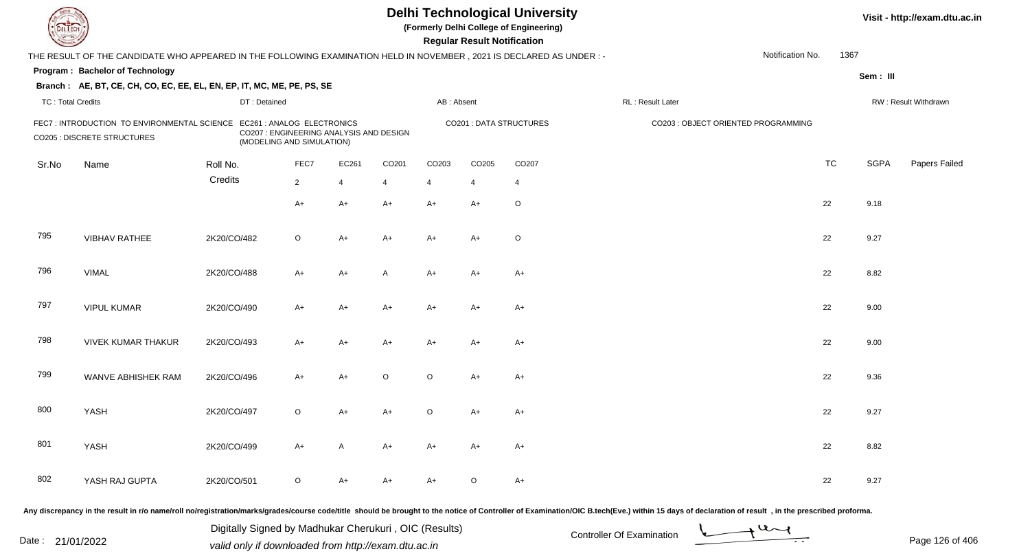| <b>DELTECH</b>           |                                                                                                                                                                                                                                |             |                                                                      |                |                |         |                | <b>Regular Result Notification</b> | <b>Delhi Technological University</b><br>(Formerly Delhi College of Engineering) |                                     |                  |           |             | Visit - http://exam.dtu.ac.in |
|--------------------------|--------------------------------------------------------------------------------------------------------------------------------------------------------------------------------------------------------------------------------|-------------|----------------------------------------------------------------------|----------------|----------------|---------|----------------|------------------------------------|----------------------------------------------------------------------------------|-------------------------------------|------------------|-----------|-------------|-------------------------------|
|                          | THE RESULT OF THE CANDIDATE WHO APPEARED IN THE FOLLOWING EXAMINATION HELD IN NOVEMBER, 2021 IS DECLARED AS UNDER:-                                                                                                            |             |                                                                      |                |                |         |                |                                    |                                                                                  |                                     | Notification No. | 1367      |             |                               |
|                          | Program: Bachelor of Technology                                                                                                                                                                                                |             |                                                                      |                |                |         |                |                                    |                                                                                  |                                     |                  |           | Sem: III    |                               |
|                          | Branch: AE, BT, CE, CH, CO, EC, EE, EL, EN, EP, IT, MC, ME, PE, PS, SE                                                                                                                                                         |             |                                                                      |                |                |         |                |                                    |                                                                                  |                                     |                  |           |             |                               |
| <b>TC: Total Credits</b> |                                                                                                                                                                                                                                |             | DT: Detained                                                         |                |                |         | AB: Absent     |                                    |                                                                                  | RL: Result Later                    |                  |           |             | RW: Result Withdrawn          |
|                          | FEC7: INTRODUCTION TO ENVIRONMENTAL SCIENCE EC261: ANALOG ELECTRONICS<br><b>CO205 : DISCRETE STRUCTURES</b>                                                                                                                    |             | CO207 : ENGINEERING ANALYSIS AND DESIGN<br>(MODELING AND SIMULATION) |                |                |         |                |                                    | <b>CO201: DATA STRUCTURES</b>                                                    | CO203 : OBJECT ORIENTED PROGRAMMING |                  |           |             |                               |
| Sr.No                    | Name                                                                                                                                                                                                                           | Roll No.    |                                                                      | FEC7           | EC261          | CO201   | CO203          | CO <sub>205</sub>                  | CO <sub>207</sub>                                                                |                                     |                  | <b>TC</b> | <b>SGPA</b> | Papers Failed                 |
|                          |                                                                                                                                                                                                                                | Credits     |                                                                      | $\overline{2}$ | $\overline{4}$ | 4       | $\overline{4}$ | 4                                  | 4                                                                                |                                     |                  |           |             |                               |
|                          |                                                                                                                                                                                                                                |             |                                                                      | $A+$           | $A+$           | $A+$    | $A+$           | $A+$                               | $\circ$                                                                          |                                     |                  | 22        | 9.18        |                               |
| 795                      | <b>VIBHAV RATHEE</b>                                                                                                                                                                                                           | 2K20/CO/482 |                                                                      | $\circ$        | A+             | $A+$    | $A+$           | $A+$                               | $\circ$                                                                          |                                     |                  | 22        | 9.27        |                               |
| 796                      | <b>VIMAL</b>                                                                                                                                                                                                                   | 2K20/CO/488 |                                                                      | $A+$           | A+             | A       | A+             | $A+$                               | $A+$                                                                             |                                     |                  | 22        | 8.82        |                               |
| 797                      | <b>VIPUL KUMAR</b>                                                                                                                                                                                                             | 2K20/CO/490 |                                                                      | $A+$           | $A+$           | $A+$    | A+             | $A+$                               | $A+$                                                                             |                                     |                  | 22        | 9.00        |                               |
| 798                      | <b>VIVEK KUMAR THAKUR</b>                                                                                                                                                                                                      | 2K20/CO/493 |                                                                      | $A+$           | $A+$           | $A+$    | A+             | $A+$                               | $A+$                                                                             |                                     |                  | 22        | 9.00        |                               |
| 799                      | WANVE ABHISHEK RAM                                                                                                                                                                                                             | 2K20/CO/496 |                                                                      | $A+$           | $A+$           | $\circ$ | $\circ$        | $A+$                               | $A+$                                                                             |                                     |                  | 22        | 9.36        |                               |
| 800                      | YASH                                                                                                                                                                                                                           | 2K20/CO/497 |                                                                      | $\circ$        | $A+$           | A+      | O              | A+                                 | $A+$                                                                             |                                     |                  | 22        | 9.27        |                               |
| 801                      | YASH                                                                                                                                                                                                                           | 2K20/CO/499 |                                                                      | A+             | A              | A+      | A+             | A+                                 | A+                                                                               |                                     |                  | 22        | 8.82        |                               |
| 802                      | YASH RAJ GUPTA                                                                                                                                                                                                                 | 2K20/CO/501 |                                                                      | $\circ$        | A+             | A+      | A+             | $\circ$                            | $A+$                                                                             |                                     |                  | 22        | 9.27        |                               |
|                          | Any discrepancy in the result in r/o name/roll no/registration/marks/grades/course code/title should be brought to the notice of Controller of Examination/OIC B.tech(Eve.) within 15 days of declaration of result , in the p |             |                                                                      |                |                |         |                |                                    |                                                                                  |                                     |                  |           |             |                               |

Date : 21/01/2022 Digital Digital of Microsofted Chemical Controller Of Examination Determination Page 126 of 40 Digitally Signed by Madhukar Cherukuri , OIC (Results)

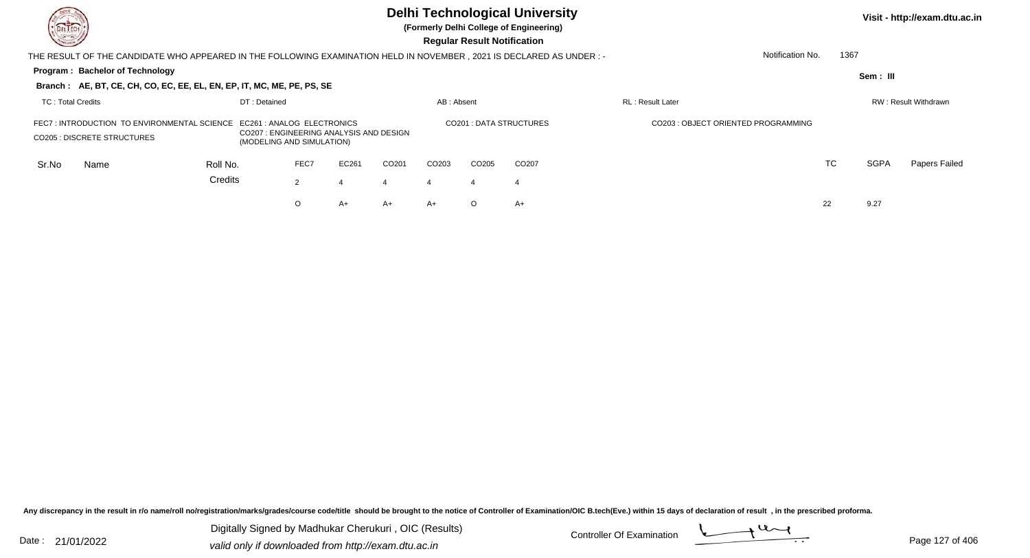| DEL TECH<br>$\sim$                                                                 |                                                                                                                       |                                        |              |                |       |                        |                                     | <b>Regular Result Notification</b> | <b>Delhi Technological University</b><br>(Formerly Delhi College of Engineering) |                          |                  |             | Visit - http://exam.dtu.ac.in |
|------------------------------------------------------------------------------------|-----------------------------------------------------------------------------------------------------------------------|----------------------------------------|--------------|----------------|-------|------------------------|-------------------------------------|------------------------------------|----------------------------------------------------------------------------------|--------------------------|------------------|-------------|-------------------------------|
|                                                                                    | THE RESULT OF THE CANDIDATE WHO APPEARED IN THE FOLLOWING EXAMINATION HELD IN NOVEMBER , 2021 IS DECLARED AS UNDER :- |                                        |              |                |       |                        |                                     |                                    |                                                                                  |                          | Notification No. | 1367        |                               |
|                                                                                    | <b>Program: Bachelor of Technology</b>                                                                                |                                        |              |                |       |                        |                                     |                                    |                                                                                  |                          |                  | Sem: III    |                               |
|                                                                                    | Branch: AE, BT, CE, CH, CO, EC, EE, EL, EN, EP, IT, MC, ME, PE, PS, SE                                                |                                        |              |                |       |                        |                                     |                                    |                                                                                  |                          |                  |             |                               |
| TC: Total Credits                                                                  |                                                                                                                       |                                        | DT: Detained |                |       |                        | AB: Absent                          |                                    |                                                                                  | <b>RL</b> : Result Later |                  |             | RW: Result Withdrawn          |
| FEC7 : INTRODUCTION TO ENVIRONMENTAL SCIENCE<br><b>CO205 : DISCRETE STRUCTURES</b> | EC261 : ANALOG ELECTRONICS<br>(MODELING AND SIMULATION)                                                               | CO207: ENGINEERING ANALYSIS AND DESIGN |              |                |       | CO201: DATA STRUCTURES | CO203 : OBJECT ORIENTED PROGRAMMING |                                    |                                                                                  |                          |                  |             |                               |
| Sr.No                                                                              | Name                                                                                                                  | Roll No.                               |              | FEC7           | EC261 | CO <sub>201</sub>      | CO <sub>203</sub>                   | CO <sub>205</sub>                  | CO <sub>207</sub>                                                                |                          | TC               | <b>SGPA</b> | Papers Failed                 |
|                                                                                    |                                                                                                                       | Credits                                |              | $\overline{2}$ |       |                        | $\overline{4}$                      | -4                                 | -4                                                                               |                          |                  |             |                               |
|                                                                                    |                                                                                                                       |                                        |              | O              | $A+$  | A+                     | $A+$                                | $\circ$                            | $A+$                                                                             |                          | 22               | 9.27        |                               |
|                                                                                    |                                                                                                                       |                                        |              |                |       |                        |                                     |                                    |                                                                                  |                          |                  |             |                               |

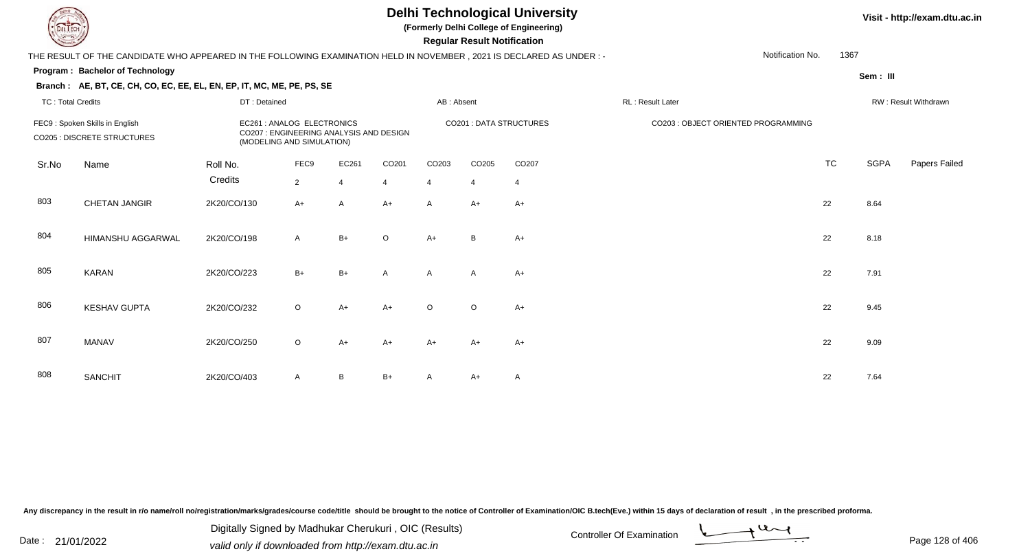## **Delhi Technological University**

**(Formerly Delhi College of Engineering)**

 **Regular Result Notification**

## **Visit - http://exam.dtu.ac.in**

| <b>Course I</b>          |                                                                                                                      |              |                                                                                                    |                |                |                | <b>Regular Result Notification</b> |                         |                                     |           |             |                      |
|--------------------------|----------------------------------------------------------------------------------------------------------------------|--------------|----------------------------------------------------------------------------------------------------|----------------|----------------|----------------|------------------------------------|-------------------------|-------------------------------------|-----------|-------------|----------------------|
|                          | THE RESULT OF THE CANDIDATE WHO APPEARED IN THE FOLLOWING EXAMINATION HELD IN NOVEMBER, 2021 IS DECLARED AS UNDER :- |              |                                                                                                    |                |                |                |                                    |                         | Notification No.                    | 1367      |             |                      |
|                          | Program: Bachelor of Technology                                                                                      |              |                                                                                                    |                |                |                |                                    |                         |                                     |           | Sem: III    |                      |
|                          | Branch: AE, BT, CE, CH, CO, EC, EE, EL, EN, EP, IT, MC, ME, PE, PS, SE                                               |              |                                                                                                    |                |                |                |                                    |                         |                                     |           |             |                      |
| <b>TC: Total Credits</b> |                                                                                                                      | DT: Detained |                                                                                                    |                |                | AB: Absent     |                                    |                         | RL: Result Later                    |           |             | RW: Result Withdrawn |
|                          | FEC9: Spoken Skills in English<br><b>CO205 : DISCRETE STRUCTURES</b>                                                 |              | EC261 : ANALOG ELECTRONICS<br>CO207 : ENGINEERING ANALYSIS AND DESIGN<br>(MODELING AND SIMULATION) |                |                |                |                                    | CO201 : DATA STRUCTURES | CO203 : OBJECT ORIENTED PROGRAMMING |           |             |                      |
| Sr.No                    | Name                                                                                                                 | Roll No.     | FEC9                                                                                               | EC261          | CO201          | CO203          | CO205                              | CO <sub>207</sub>       |                                     | <b>TC</b> | <b>SGPA</b> | Papers Failec        |
|                          |                                                                                                                      | Credits      | 2                                                                                                  | $\overline{4}$ | $\overline{4}$ | $\overline{4}$ | $\overline{4}$                     | $\overline{4}$          |                                     |           |             |                      |
| 803                      | <b>CHETAN JANGIR</b>                                                                                                 | 2K20/CO/130  | $A+$                                                                                               | $\overline{A}$ | $A+$           | $\overline{A}$ | $A+$                               | $A+$                    |                                     | 22        | 8.64        |                      |
| 804                      | HIMANSHU AGGARWAL                                                                                                    | 2K20/CO/198  | $\overline{A}$                                                                                     | $B+$           | $\circ$        | $A+$           | B                                  | $A+$                    |                                     | 22        | 8.18        |                      |
| 805                      | <b>KARAN</b>                                                                                                         | 2K20/CO/223  | $B+$                                                                                               | $B+$           | $\overline{A}$ | A              | $\mathsf{A}$                       | $A+$                    |                                     | 22        | 7.91        |                      |
| 806                      | <b>KESHAV GUPTA</b>                                                                                                  | 2K20/CO/232  | $\circ$                                                                                            | A+             | $A+$           | $\circ$        | $\circ$                            | $A+$                    |                                     | 22        | 9.45        |                      |
| 807                      | <b>MANAV</b>                                                                                                         | 2K20/CO/250  | $\circ$                                                                                            | $A+$           | $A+$           | $A+$           | $A+$                               | $A+$                    |                                     | 22        | 9.09        |                      |
| 808                      | <b>SANCHIT</b>                                                                                                       | 2K20/CO/403  | $\mathsf{A}$                                                                                       | B              | $B+$           | A              | A+                                 | $\mathsf{A}$            |                                     | 22        | 7.64        |                      |

Any discrepancy in the result in r/o name/roll no/registration/marks/grades/course code/title should be brought to the notice of Controller of Examination/OIC B.tech(Eve.) within 15 days of declaration of result, in the pr

Date : 21/01/2022 Digital Digital of Microsofted Chemical Controller Of Examination Determination Page 128 of 40 Digitally Signed by Madhukar Cherukuri , OIC (Results)

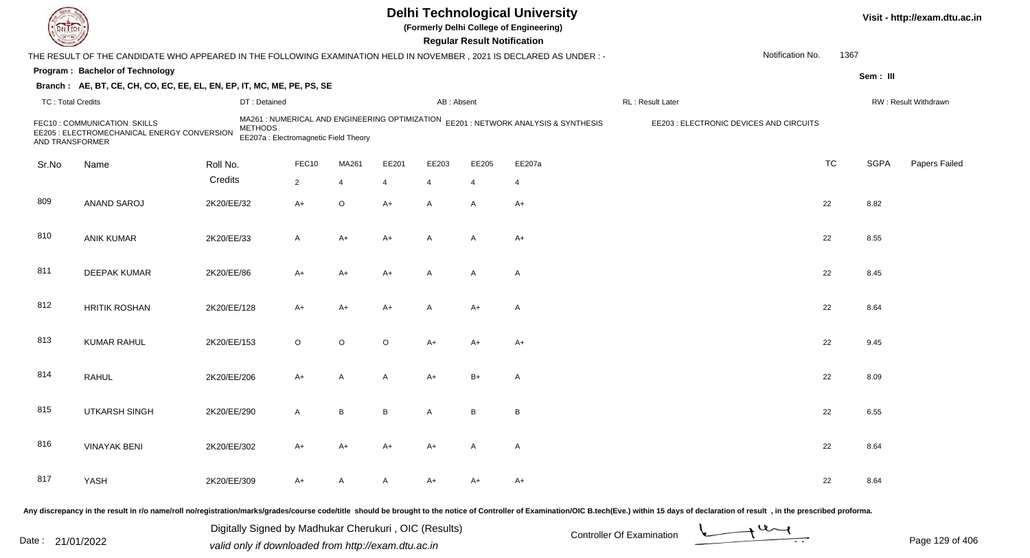|                          |                                                                                                                        |                |                                                                                         |         |         |                | <b>Regular Result Notification</b> | <b>Delhi Technological University</b><br>(Formerly Delhi College of Engineering) |                                         |                  |           |             | Visit - http://exam.dtu.ac.in |
|--------------------------|------------------------------------------------------------------------------------------------------------------------|----------------|-----------------------------------------------------------------------------------------|---------|---------|----------------|------------------------------------|----------------------------------------------------------------------------------|-----------------------------------------|------------------|-----------|-------------|-------------------------------|
|                          | THE RESULT OF THE CANDIDATE WHO APPEARED IN THE FOLLOWING EXAMINATION HELD IN NOVEMBER , 2021 IS DECLARED AS UNDER : - |                |                                                                                         |         |         |                |                                    |                                                                                  |                                         | Notification No. | 1367      |             |                               |
|                          | Program: Bachelor of Technology                                                                                        |                |                                                                                         |         |         |                |                                    |                                                                                  |                                         |                  |           | Sem: III    |                               |
|                          | Branch: AE, BT, CE, CH, CO, EC, EE, EL, EN, EP, IT, MC, ME, PE, PS, SE                                                 |                |                                                                                         |         |         |                |                                    |                                                                                  |                                         |                  |           |             |                               |
| <b>TC: Total Credits</b> |                                                                                                                        |                | DT: Detained                                                                            |         |         | AB: Absent     |                                    |                                                                                  | RL: Result Later                        |                  |           |             | RW: Result Withdrawn          |
| AND TRANSFORMER          | FEC10: COMMUNICATION SKILLS<br>EE205 : ELECTROMECHANICAL ENERGY CONVERSION                                             | <b>METHODS</b> | MA261 : NUMERICAL AND ENGINEERING OPTIMIZATION<br>EE207a : Electromagnetic Field Theory |         |         |                |                                    | EE201 : NETWORK ANALYSIS & SYNTHESIS                                             | EE203 : ELECTRONIC DEVICES AND CIRCUITS |                  |           |             |                               |
| Sr.No                    | Name                                                                                                                   | Roll No.       | FEC10                                                                                   | MA261   | EE201   | EE203          | EE205                              | EE207a                                                                           |                                         |                  | <b>TC</b> | <b>SGPA</b> | Papers Failed                 |
|                          |                                                                                                                        | Credits        | $\overline{2}$                                                                          | 4       | 4       | $\overline{4}$ | 4                                  | $\overline{4}$                                                                   |                                         |                  |           |             |                               |
| 809                      | ANAND SAROJ                                                                                                            | 2K20/EE/32     | $A+$                                                                                    | O       | $A+$    | A              | A                                  | $A+$                                                                             |                                         |                  | 22        | 8.82        |                               |
| 810                      | <b>ANIK KUMAR</b>                                                                                                      | 2K20/EE/33     | A                                                                                       | A+      | A+      | $\overline{A}$ | A                                  | A+                                                                               |                                         |                  | 22        | 8.55        |                               |
| 811                      | <b>DEEPAK KUMAR</b>                                                                                                    | 2K20/EE/86     | A+                                                                                      | A+      | A+      | $\overline{A}$ | A                                  | $\mathsf{A}$                                                                     |                                         |                  | 22        | 8.45        |                               |
| 812                      | <b>HRITIK ROSHAN</b>                                                                                                   | 2K20/EE/128    | $A+$                                                                                    | A+      | $A+$    | $\overline{A}$ | $A+$                               | $\mathsf{A}$                                                                     |                                         |                  | 22        | 8.64        |                               |
| 813                      | <b>KUMAR RAHUL</b>                                                                                                     | 2K20/EE/153    | $\circ$                                                                                 | $\circ$ | $\circ$ | $A+$           | $A+$                               | $A+$                                                                             |                                         |                  | 22        | 9.45        |                               |
| 814                      | <b>RAHUL</b>                                                                                                           | 2K20/EE/206    | A+                                                                                      | A       | A       | $A+$           | $B+$                               | $\mathsf{A}$                                                                     |                                         |                  | 22        | 8.09        |                               |
| 815                      | <b>UTKARSH SINGH</b>                                                                                                   | 2K20/EE/290    | A                                                                                       | В       | В       | A              | B                                  | B                                                                                |                                         |                  | 22        | 6.55        |                               |
| 816                      | <b>VINAYAK BENI</b>                                                                                                    | 2K20/EE/302    | A+                                                                                      | A+      | A+      | A+             | A                                  | A                                                                                |                                         |                  | 22        | 8.64        |                               |
| 817                      | YASH                                                                                                                   | 2K20/EE/309    | A+                                                                                      | A       | A       | A+             | A+                                 | A+                                                                               |                                         |                  | 22        | 8.64        |                               |
|                          |                                                                                                                        |                |                                                                                         |         |         |                |                                    | $\alpha$ etian of Cantrallor of Eventuation (OIC B took (Eve ) $\alpha$          |                                         |                  |           |             |                               |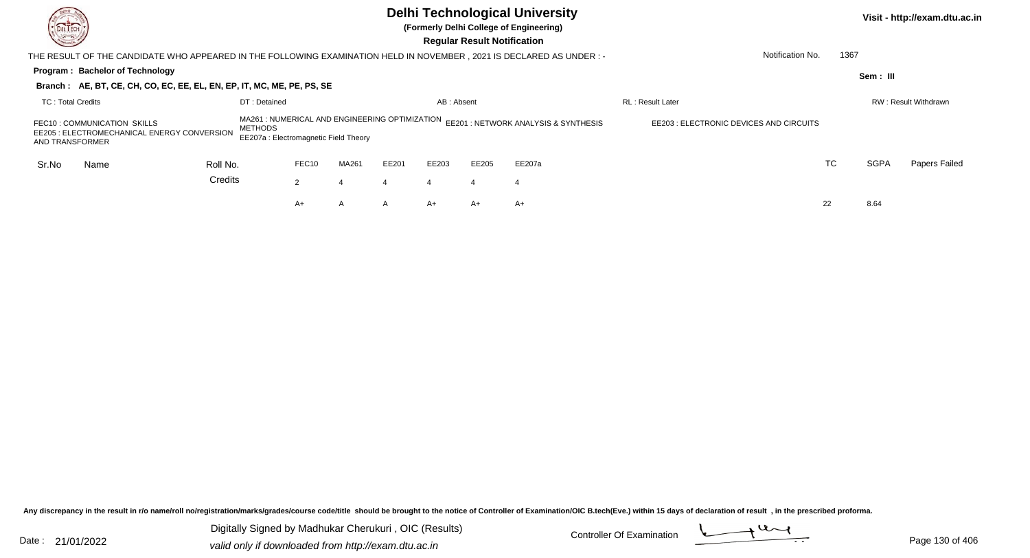| DEL TECH<br><u>Starting Company (Company)</u>  |                                                                                                                       |                                                                                                           |                         |       |                  | <b>Regular Result Notification</b> | <b>Delhi Technological University</b><br>(Formerly Delhi College of Engineering) |                                         |      |             | Visit - http://exam.dtu.ac.in |
|------------------------------------------------|-----------------------------------------------------------------------------------------------------------------------|-----------------------------------------------------------------------------------------------------------|-------------------------|-------|------------------|------------------------------------|----------------------------------------------------------------------------------|-----------------------------------------|------|-------------|-------------------------------|
|                                                | THE RESULT OF THE CANDIDATE WHO APPEARED IN THE FOLLOWING EXAMINATION HELD IN NOVEMBER , 2021 IS DECLARED AS UNDER :- |                                                                                                           |                         |       |                  |                                    |                                                                                  | Notification No.                        | 1367 |             |                               |
| Program: Bachelor of Technology                | Branch: AE, BT, CE, CH, CO, EC, EE, EL, EN, EP, IT, MC, ME, PE, PS, SE                                                |                                                                                                           |                         |       |                  |                                    |                                                                                  |                                         |      | Sem: III    |                               |
| <b>TC: Total Credits</b>                       |                                                                                                                       | DT: Detained                                                                                              | <b>RL: Result Later</b> |       |                  | RW: Result Withdrawn               |                                                                                  |                                         |      |             |                               |
| FEC10: COMMUNICATION SKILLS<br>AND TRANSFORMER | EE205 : ELECTROMECHANICAL ENERGY CONVERSION                                                                           | MA261 : NUMERICAL AND ENGINEERING OPTIMIZATION<br><b>METHODS</b><br>EE207a : Electromagnetic Field Theory |                         |       |                  |                                    | EE201 : NETWORK ANALYSIS & SYNTHESIS                                             | EE203 : ELECTRONIC DEVICES AND CIRCUITS |      |             |                               |
| Sr.No<br>Name                                  | Roll No.                                                                                                              | FEC10                                                                                                     | MA261                   | EE201 | EE203            | EE205                              | EE207a                                                                           |                                         | TC   | <b>SGPA</b> | Papers Failed                 |
|                                                | Credits                                                                                                               | 2                                                                                                         | 4                       |       | $\boldsymbol{4}$ | 4                                  | 4                                                                                |                                         |      |             |                               |
|                                                |                                                                                                                       | A+                                                                                                        | A                       | A     | $A+$             | A+                                 | A+                                                                               |                                         | 22   | 8.64        |                               |

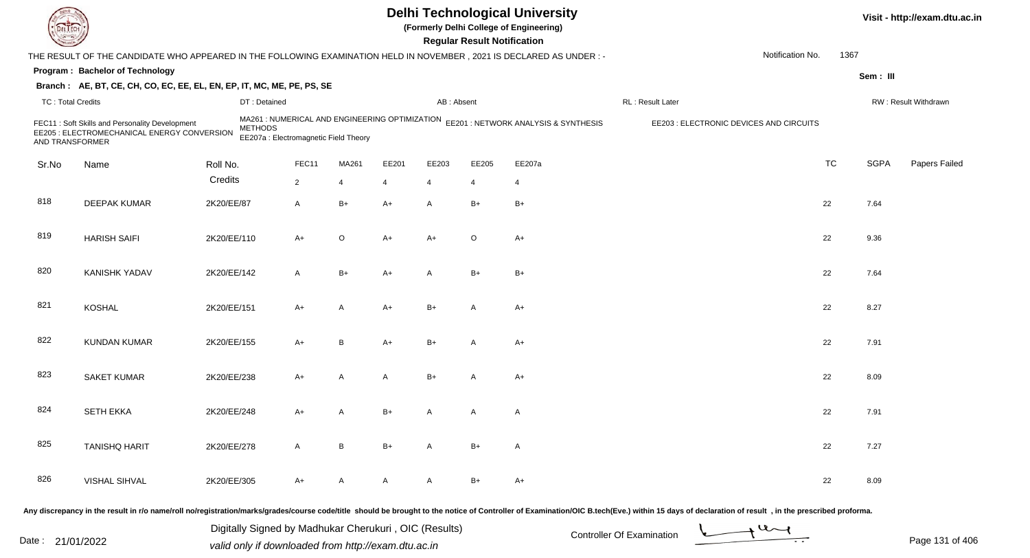| DEL TECI                 |                                                                                                                     |             |                                                         |                |                |                |                | <b>Regular Result Notification</b> | <b>Delhi Technological University</b><br>(Formerly Delhi College of Engineering)    |                                                                                                                                                                                                                                |                  |           |             | Visit - http://exam.dtu.ac.in |
|--------------------------|---------------------------------------------------------------------------------------------------------------------|-------------|---------------------------------------------------------|----------------|----------------|----------------|----------------|------------------------------------|-------------------------------------------------------------------------------------|--------------------------------------------------------------------------------------------------------------------------------------------------------------------------------------------------------------------------------|------------------|-----------|-------------|-------------------------------|
|                          | THE RESULT OF THE CANDIDATE WHO APPEARED IN THE FOLLOWING EXAMINATION HELD IN NOVEMBER, 2021 IS DECLARED AS UNDER:- |             |                                                         |                |                |                |                |                                    |                                                                                     |                                                                                                                                                                                                                                | Notification No. | 1367      |             |                               |
|                          | Program: Bachelor of Technology                                                                                     |             |                                                         |                |                |                |                |                                    |                                                                                     |                                                                                                                                                                                                                                |                  |           | Sem: III    |                               |
|                          | Branch: AE, BT, CE, CH, CO, EC, EE, EL, EN, EP, IT, MC, ME, PE, PS, SE                                              |             |                                                         |                |                |                |                |                                    |                                                                                     |                                                                                                                                                                                                                                |                  |           |             |                               |
| <b>TC: Total Credits</b> |                                                                                                                     |             | DT: Detained                                            |                |                |                | AB: Absent     |                                    |                                                                                     | RL: Result Later                                                                                                                                                                                                               |                  |           |             | RW: Result Withdrawn          |
| AND TRANSFORMER          | FEC11: Soft Skills and Personality Development<br>EE205 : ELECTROMECHANICAL ENERGY CONVERSION                       |             | <b>METHODS</b><br>EE207a : Electromagnetic Field Theory |                |                |                |                |                                    | MA261 : NUMERICAL AND ENGINEERING OPTIMIZATION EE201 : NETWORK ANALYSIS & SYNTHESIS | EE203 : ELECTRONIC DEVICES AND CIRCUITS                                                                                                                                                                                        |                  |           |             |                               |
| Sr.No                    | Name                                                                                                                | Roll No.    |                                                         | FEC11          | MA261          | EE201          | EE203          | EE205                              | EE207a                                                                              |                                                                                                                                                                                                                                |                  | <b>TC</b> | <b>SGPA</b> | Papers Failed                 |
|                          |                                                                                                                     | Credits     |                                                         | $\overline{2}$ | 4              | $\overline{4}$ | $\overline{4}$ | $\overline{4}$                     | $\overline{4}$                                                                      |                                                                                                                                                                                                                                |                  |           |             |                               |
| 818                      | <b>DEEPAK KUMAR</b>                                                                                                 | 2K20/EE/87  |                                                         | $\mathsf{A}$   | $B+$           | $A+$           | A              | $B+$                               | $B+$                                                                                |                                                                                                                                                                                                                                |                  | 22        | 7.64        |                               |
| 819                      | <b>HARISH SAIFI</b>                                                                                                 | 2K20/EE/110 |                                                         | $A+$           | $\circ$        | A+             | A+             | $\circ$                            | $A+$                                                                                |                                                                                                                                                                                                                                |                  | 22        | 9.36        |                               |
| 820                      | <b>KANISHK YADAV</b>                                                                                                | 2K20/EE/142 |                                                         | $\overline{A}$ | $B+$           | A+             | A              | $B+$                               | $B+$                                                                                |                                                                                                                                                                                                                                |                  | 22        | 7.64        |                               |
| 821                      | <b>KOSHAL</b>                                                                                                       | 2K20/EE/151 |                                                         | $A+$           | $\mathsf{A}$   | $A+$           | $B+$           | A                                  | $A+$                                                                                |                                                                                                                                                                                                                                |                  | 22        | 8.27        |                               |
| 822                      | <b>KUNDAN KUMAR</b>                                                                                                 | 2K20/EE/155 |                                                         | $A+$           | B              | A+             | $B+$           | A                                  | A+                                                                                  |                                                                                                                                                                                                                                |                  | 22        | 7.91        |                               |
| 823                      | <b>SAKET KUMAR</b>                                                                                                  | 2K20/EE/238 |                                                         | $A+$           | $\overline{A}$ | A              | $B+$           | A                                  | $A+$                                                                                |                                                                                                                                                                                                                                |                  | 22        | 8.09        |                               |
| 824                      | <b>SETH EKKA</b>                                                                                                    | 2K20/EE/248 |                                                         | $A+$           | A              | $B+$           | A              | A                                  | A                                                                                   |                                                                                                                                                                                                                                |                  | 22        | 7.91        |                               |
| 825                      | <b>TANISHQ HARIT</b>                                                                                                | 2K20/EE/278 |                                                         | $\mathsf{A}$   | B              | $B+$           | $\mathsf{A}$   | $B+$                               | A                                                                                   |                                                                                                                                                                                                                                |                  | 22        | 7.27        |                               |
| 826                      | <b>VISHAL SIHVAL</b>                                                                                                | 2K20/EE/305 |                                                         | $A+$           | A              | A              | $\mathsf{A}$   | $B+$                               | $A+$                                                                                |                                                                                                                                                                                                                                |                  | 22        | 8.09        |                               |
|                          |                                                                                                                     |             |                                                         |                |                |                |                |                                    |                                                                                     | Any discrepancy in the result in r/o name/roll no/registration/marks/grades/course code/title should be brought to the notice of Controller of Examination/OIC B.tech(Eve.) within 15 days of declaration of result , in the p |                  |           |             |                               |

Date : 21/01/2022 Digital Digital of Microsofted Chemical Controller Of Examination Determination Page 131 of 40 Digitally Signed by Madhukar Cherukuri , OIC (Results)

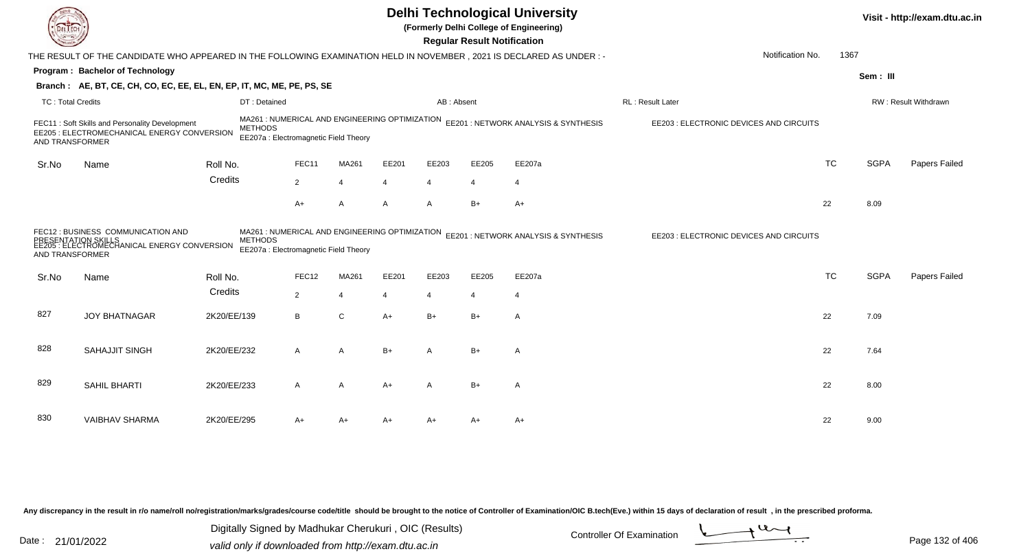|                          |                                                                                                                        |                |                                                                                         |                |                |                       | <b>Regular Result Notification</b> | <b>Delhi Technological University</b><br>(Formerly Delhi College of Engineering) |                                         |           |             | Visit - http://exam.dtu.ac.in |
|--------------------------|------------------------------------------------------------------------------------------------------------------------|----------------|-----------------------------------------------------------------------------------------|----------------|----------------|-----------------------|------------------------------------|----------------------------------------------------------------------------------|-----------------------------------------|-----------|-------------|-------------------------------|
|                          | THE RESULT OF THE CANDIDATE WHO APPEARED IN THE FOLLOWING EXAMINATION HELD IN NOVEMBER , 2021 IS DECLARED AS UNDER : - |                |                                                                                         |                |                |                       |                                    |                                                                                  | Notification No.                        | 1367      |             |                               |
|                          | Program: Bachelor of Technology                                                                                        |                |                                                                                         |                |                |                       |                                    |                                                                                  |                                         |           | Sem: III    |                               |
|                          | Branch: AE, BT, CE, CH, CO, EC, EE, EL, EN, EP, IT, MC, ME, PE, PS, SE                                                 |                |                                                                                         |                |                |                       |                                    |                                                                                  |                                         |           |             |                               |
| <b>TC: Total Credits</b> |                                                                                                                        |                | DT: Detained                                                                            |                |                | AB: Absent            |                                    |                                                                                  | RL: Result Later                        |           |             | RW: Result Withdrawn          |
| AND TRANSFORMER          | FEC11: Soft Skills and Personality Development<br>EE205 : ELECTROMECHANICAL ENERGY CONVERSION                          | <b>METHODS</b> | MA261 : NUMERICAL AND ENGINEERING OPTIMIZATION<br>EE207a : Electromagnetic Field Theory |                |                |                       |                                    | EE201 : NETWORK ANALYSIS & SYNTHESIS                                             | EE203 : ELECTRONIC DEVICES AND CIRCUITS |           |             |                               |
| Sr.No                    | Name                                                                                                                   | Roll No.       | FEC11                                                                                   | MA261          | EE201          | EE203                 | EE205                              | EE207a                                                                           |                                         | <b>TC</b> | <b>SGPA</b> | Papers Failed                 |
|                          |                                                                                                                        | Credits        | $\overline{2}$                                                                          | $\overline{4}$ | 4              | $\boldsymbol{\Delta}$ | $\overline{4}$                     | $\overline{4}$                                                                   |                                         |           |             |                               |
|                          |                                                                                                                        |                | A+                                                                                      | A              | A              | $\overline{A}$        | $B+$                               | $A+$                                                                             |                                         | 22        | 8.09        |                               |
| <b>AND TRANSFORMER</b>   | FEC12 : BUSINESS COMMUNICATION AND<br>YLATION SKILLS<br>ELECTROMECHANICAL ENERGY CONVERSION                            | <b>METHODS</b> | MA261 : NUMERICAL AND ENGINEERING OPTIMIZATION<br>EE207a : Electromagnetic Field Theory |                |                |                       |                                    | EE201 : NETWORK ANALYSIS & SYNTHESIS                                             | EE203 : ELECTRONIC DEVICES AND CIRCUITS |           |             |                               |
| Sr.No                    | Name                                                                                                                   | Roll No.       | FEC12                                                                                   | MA261          | EE201          | EE203                 | EE205                              | EE207a                                                                           |                                         | <b>TC</b> | <b>SGPA</b> | Papers Failed                 |
|                          |                                                                                                                        | Credits        | $\overline{2}$                                                                          | $\overline{4}$ | $\overline{4}$ | $\overline{4}$        | $\overline{4}$                     | 4                                                                                |                                         |           |             |                               |
| 827                      | <b>JOY BHATNAGAR</b>                                                                                                   | 2K20/EE/139    | B                                                                                       | $\mathsf C$    | $A+$           | $B+$                  | $B+$                               | A                                                                                |                                         | 22        | 7.09        |                               |
| 828                      | SAHAJJIT SINGH                                                                                                         | 2K20/EE/232    | A                                                                                       | A              | B+             | A                     | $B+$                               | A                                                                                |                                         | 22        | 7.64        |                               |
| 829                      | SAHIL BHARTI                                                                                                           | 2K20/EE/233    | A                                                                                       | A              | A+             | $\overline{A}$        | $B+$                               | $\mathsf{A}$                                                                     |                                         | 22        | 8.00        |                               |
| 830                      | <b>VAIBHAV SHARMA</b>                                                                                                  | 2K20/EE/295    | A+                                                                                      | A+             | A+             | A+                    | A+                                 | $A+$                                                                             |                                         | 22        | 9.00        |                               |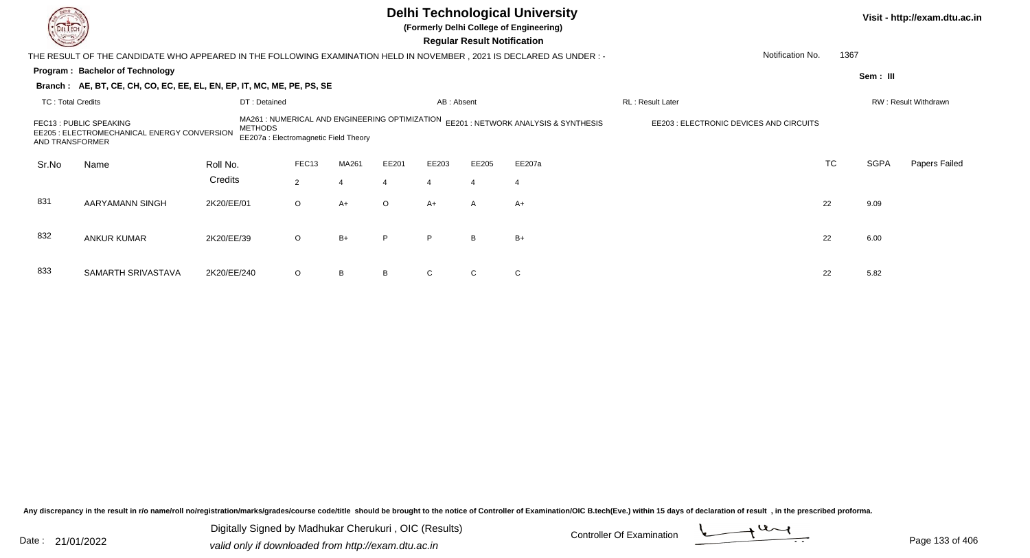|                                                                                                                                                                                                                                                                                        |                                                                                                                       |              |                |                |         |                | <b>Regular Result Notification</b> | <b>Delhi Technological University</b><br>(Formerly Delhi College of Engineering) |                  |           |             | Visit - http://exam.dtu.ac.in |
|----------------------------------------------------------------------------------------------------------------------------------------------------------------------------------------------------------------------------------------------------------------------------------------|-----------------------------------------------------------------------------------------------------------------------|--------------|----------------|----------------|---------|----------------|------------------------------------|----------------------------------------------------------------------------------|------------------|-----------|-------------|-------------------------------|
|                                                                                                                                                                                                                                                                                        | THE RESULT OF THE CANDIDATE WHO APPEARED IN THE FOLLOWING EXAMINATION HELD IN NOVEMBER , 2021 IS DECLARED AS UNDER :- |              |                |                |         |                |                                    |                                                                                  | Notification No. | 1367      |             |                               |
|                                                                                                                                                                                                                                                                                        | Program: Bachelor of Technology                                                                                       |              |                |                |         |                |                                    |                                                                                  |                  |           | Sem : III   |                               |
|                                                                                                                                                                                                                                                                                        | Branch: AE, BT, CE, CH, CO, EC, EE, EL, EN, EP, IT, MC, ME, PE, PS, SE                                                |              |                |                |         |                |                                    |                                                                                  |                  |           |             |                               |
| <b>TC: Total Credits</b>                                                                                                                                                                                                                                                               |                                                                                                                       | DT: Detained |                |                |         | AB: Absent     |                                    |                                                                                  | RL: Result Later |           |             | RW: Result Withdrawn          |
| MA261 : NUMERICAL AND ENGINEERING OPTIMIZATION EE201 : NETWORK ANALYSIS & SYNTHESIS<br>EE203 : ELECTRONIC DEVICES AND CIRCUITS<br>FEC13 : PUBLIC SPEAKING<br><b>METHODS</b><br>EE205 : ELECTROMECHANICAL ENERGY CONVERSION<br>EE207a : Electromagnetic Field Theory<br>AND TRANSFORMER |                                                                                                                       |              |                |                |         |                |                                    |                                                                                  |                  |           |             |                               |
| Sr.No                                                                                                                                                                                                                                                                                  | Name                                                                                                                  | Roll No.     | FEC13          | MA261          | EE201   | EE203          | EE205                              | EE207a                                                                           |                  | <b>TC</b> | <b>SGPA</b> | Papers Failed                 |
|                                                                                                                                                                                                                                                                                        |                                                                                                                       | Credits      | $\overline{2}$ | $\overline{4}$ |         | $\overline{4}$ | $\overline{4}$                     | $\overline{4}$                                                                   |                  |           |             |                               |
| 831                                                                                                                                                                                                                                                                                    | AARYAMANN SINGH                                                                                                       | 2K20/EE/01   | $\circ$        | $A+$           | $\circ$ | $A+$           | A                                  | $A+$                                                                             |                  | 22        | 9.09        |                               |
| 832                                                                                                                                                                                                                                                                                    | <b>ANKUR KUMAR</b>                                                                                                    | 2K20/EE/39   | $\circ$        | $B+$           | P       | P              | B                                  | $B+$                                                                             |                  | 22        | 6.00        |                               |
| 833                                                                                                                                                                                                                                                                                    | SAMARTH SRIVASTAVA                                                                                                    | 2K20/EE/240  | $\circ$        | B              |         |                |                                    | $\mathsf{C}$                                                                     |                  | 22        | 5.82        |                               |

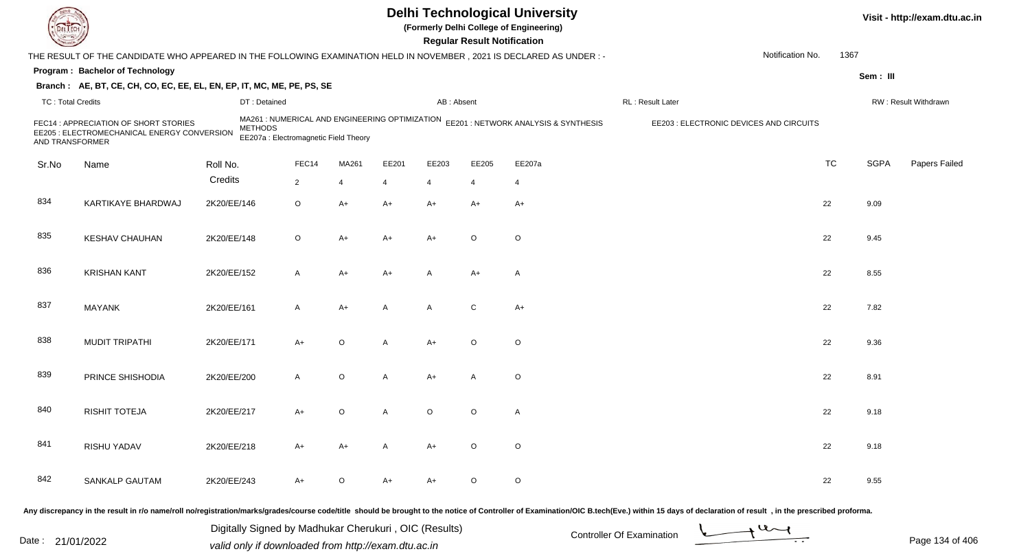| DEL TEC                  |                                                                                                                      |             |                                                         |                |         |                |            | <b>Regular Result Notification</b> | <b>Delhi Technological University</b><br>(Formerly Delhi College of Engineering)    |                                                                                                                                                                                                                                |                  |           |             | Visit - http://exam.dtu.ac.in |
|--------------------------|----------------------------------------------------------------------------------------------------------------------|-------------|---------------------------------------------------------|----------------|---------|----------------|------------|------------------------------------|-------------------------------------------------------------------------------------|--------------------------------------------------------------------------------------------------------------------------------------------------------------------------------------------------------------------------------|------------------|-----------|-------------|-------------------------------|
|                          | THE RESULT OF THE CANDIDATE WHO APPEARED IN THE FOLLOWING EXAMINATION HELD IN NOVEMBER, 2021 IS DECLARED AS UNDER: - |             |                                                         |                |         |                |            |                                    |                                                                                     |                                                                                                                                                                                                                                | Notification No. | 1367      |             |                               |
|                          | Program: Bachelor of Technology                                                                                      |             |                                                         |                |         |                |            |                                    |                                                                                     |                                                                                                                                                                                                                                |                  |           | Sem: III    |                               |
|                          | Branch: AE, BT, CE, CH, CO, EC, EE, EL, EN, EP, IT, MC, ME, PE, PS, SE                                               |             |                                                         |                |         |                |            |                                    |                                                                                     |                                                                                                                                                                                                                                |                  |           |             |                               |
| <b>TC: Total Credits</b> |                                                                                                                      |             | DT: Detained                                            |                |         |                | AB: Absent |                                    |                                                                                     | RL: Result Later                                                                                                                                                                                                               |                  |           |             | RW: Result Withdrawn          |
| AND TRANSFORMER          | FEC14 : APPRECIATION OF SHORT STORIES<br>EE205 : ELECTROMECHANICAL ENERGY CONVERSION                                 |             | <b>METHODS</b><br>EE207a : Electromagnetic Field Theory |                |         |                |            |                                    | MA261 : NUMERICAL AND ENGINEERING OPTIMIZATION EE201 : NETWORK ANALYSIS & SYNTHESIS | EE203 : ELECTRONIC DEVICES AND CIRCUITS                                                                                                                                                                                        |                  |           |             |                               |
| Sr.No                    | Name                                                                                                                 | Roll No.    |                                                         | FEC14          | MA261   | EE201          | EE203      | EE205                              | EE207a                                                                              |                                                                                                                                                                                                                                |                  | <b>TC</b> | <b>SGPA</b> | Papers Failed                 |
|                          |                                                                                                                      | Credits     |                                                         | $\overline{2}$ | 4       | $\overline{4}$ | 4          | $\overline{4}$                     | $\overline{4}$                                                                      |                                                                                                                                                                                                                                |                  |           |             |                               |
| 834                      | KARTIKAYE BHARDWAJ                                                                                                   | 2K20/EE/146 |                                                         | $\circ$        | $A+$    | $A+$           | $A+$       | $A+$                               | $A+$                                                                                |                                                                                                                                                                                                                                |                  | 22        | 9.09        |                               |
| 835                      | <b>KESHAV CHAUHAN</b>                                                                                                | 2K20/EE/148 |                                                         | $\circ$        | $A+$    | A+             | A+         | $\circ$                            | $\circ$                                                                             |                                                                                                                                                                                                                                |                  | 22        | 9.45        |                               |
| 836                      | <b>KRISHAN KANT</b>                                                                                                  | 2K20/EE/152 |                                                         | $\mathsf{A}$   | $A+$    | A+             | A          | $A+$                               | A                                                                                   |                                                                                                                                                                                                                                |                  | 22        | 8.55        |                               |
| 837                      | <b>MAYANK</b>                                                                                                        | 2K20/EE/161 |                                                         | $\mathsf{A}$   | $A+$    | A              | A          | C                                  | $A+$                                                                                |                                                                                                                                                                                                                                |                  | 22        | 7.82        |                               |
| 838                      | <b>MUDIT TRIPATHI</b>                                                                                                | 2K20/EE/171 |                                                         | $A+$           | $\circ$ | A              | A+         | $\circ$                            | $\circ$                                                                             |                                                                                                                                                                                                                                |                  | 22        | 9.36        |                               |
| 839                      | PRINCE SHISHODIA                                                                                                     | 2K20/EE/200 |                                                         | $\overline{A}$ | $\circ$ | $\mathsf{A}$   | A+         | A                                  | $\circ$                                                                             |                                                                                                                                                                                                                                |                  | 22        | 8.91        |                               |
| 840                      | <b>RISHIT TOTEJA</b>                                                                                                 | 2K20/EE/217 |                                                         | $A+$           | $\circ$ | A              | O          | O                                  | A                                                                                   |                                                                                                                                                                                                                                |                  | 22        | 9.18        |                               |
| 841                      | RISHU YADAV                                                                                                          | 2K20/EE/218 |                                                         | A+             | $A+$    | A              | A+         | $\circ$                            | $\circ$                                                                             |                                                                                                                                                                                                                                |                  | 22        | 9.18        |                               |
| 842                      | <b>SANKALP GAUTAM</b>                                                                                                | 2K20/EE/243 |                                                         | $A+$           | $\circ$ | A+             | A+         | $\circ$                            | $\circ$                                                                             |                                                                                                                                                                                                                                |                  | 22        | 9.55        |                               |
|                          |                                                                                                                      |             |                                                         |                |         |                |            |                                    |                                                                                     | Any discrepancy in the result in r/o name/roll no/registration/marks/grades/course code/title should be brought to the notice of Controller of Examination/OIC B.tech(Eve.) within 15 days of declaration of result , in the p |                  |           |             |                               |

Date : 21/01/2022 Digital Digital of Controller Of Examination Determination Date : 21/01/2022<br>valid only if downloaded from http://exam.dtu.ac.in Digitally Signed by Madhukar Cherukuri , OIC (Results)

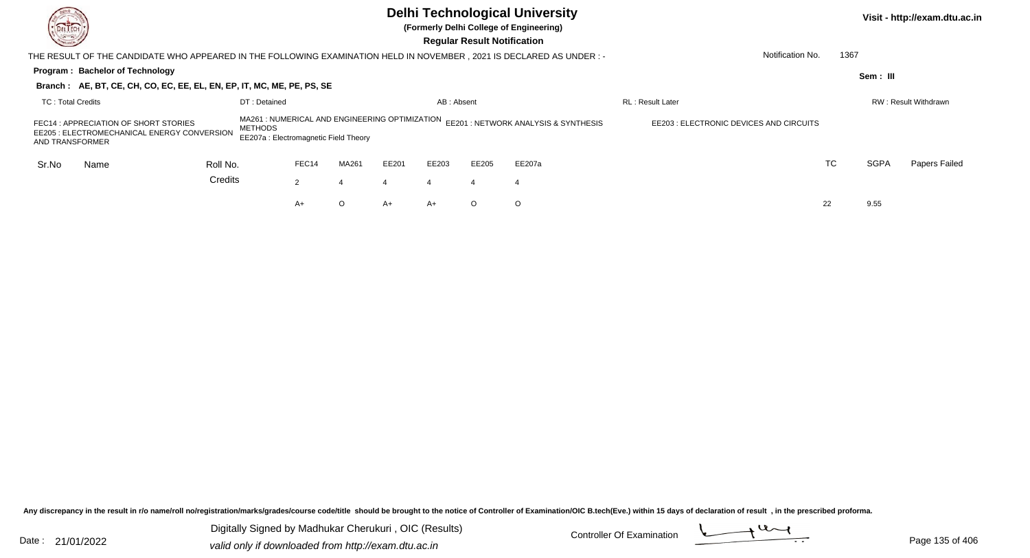| <b>Common</b>     |                                                                                                                       |                                                                                                          |              |                |         |       |            | <b>Regular Result Notification</b>   | <b>Delhi Technological University</b><br>(Formerly Delhi College of Engineering) |                          |      |             | Visit - http://exam.dtu.ac.in |
|-------------------|-----------------------------------------------------------------------------------------------------------------------|----------------------------------------------------------------------------------------------------------|--------------|----------------|---------|-------|------------|--------------------------------------|----------------------------------------------------------------------------------|--------------------------|------|-------------|-------------------------------|
|                   | THE RESULT OF THE CANDIDATE WHO APPEARED IN THE FOLLOWING EXAMINATION HELD IN NOVEMBER , 2021 IS DECLARED AS UNDER :- |                                                                                                          |              |                |         |       |            |                                      |                                                                                  | Notification No.         | 1367 |             |                               |
|                   | Program: Bachelor of Technology                                                                                       |                                                                                                          |              |                |         |       |            |                                      |                                                                                  |                          |      | Sem: III    |                               |
|                   | Branch: AE, BT, CE, CH, CO, EC, EE, EL, EN, EP, IT, MC, ME, PE, PS, SE                                                |                                                                                                          |              |                |         |       |            |                                      |                                                                                  |                          |      |             |                               |
| TC: Total Credits |                                                                                                                       |                                                                                                          | DT: Detained |                |         |       | AB: Absent |                                      |                                                                                  | <b>RL</b> : Result Later |      |             | RW: Result Withdrawn          |
| AND TRANSFORMER   | FEC14 : APPRECIATION OF SHORT STORIES<br>EE205 : ELECTROMECHANICAL ENERGY CONVERSION                                  | MA261 : NUMERICAL AND ENGINEERING OPTIMIZATION<br><b>METHODS</b><br>EE207a: Electromagnetic Field Theory |              |                |         |       |            | EE201 : NETWORK ANALYSIS & SYNTHESIS | EE203 : ELECTRONIC DEVICES AND CIRCUITS                                          |                          |      |             |                               |
| Sr.No             | Name                                                                                                                  | Roll No.                                                                                                 |              | FEC14          | MA261   | EE201 | EE203      | EE205                                | EE207a                                                                           |                          | TC   | <b>SGPA</b> | Papers Failed                 |
|                   |                                                                                                                       | Credits                                                                                                  |              | $\overline{2}$ | 4       |       | 4          |                                      | $\overline{4}$                                                                   |                          |      |             |                               |
|                   |                                                                                                                       |                                                                                                          |              | A+             | $\circ$ | A+    | $A+$       | $\circ$                              | $\circ$                                                                          |                          | 22   | 9.55        |                               |
|                   |                                                                                                                       |                                                                                                          |              |                |         |       |            |                                      |                                                                                  |                          |      |             |                               |

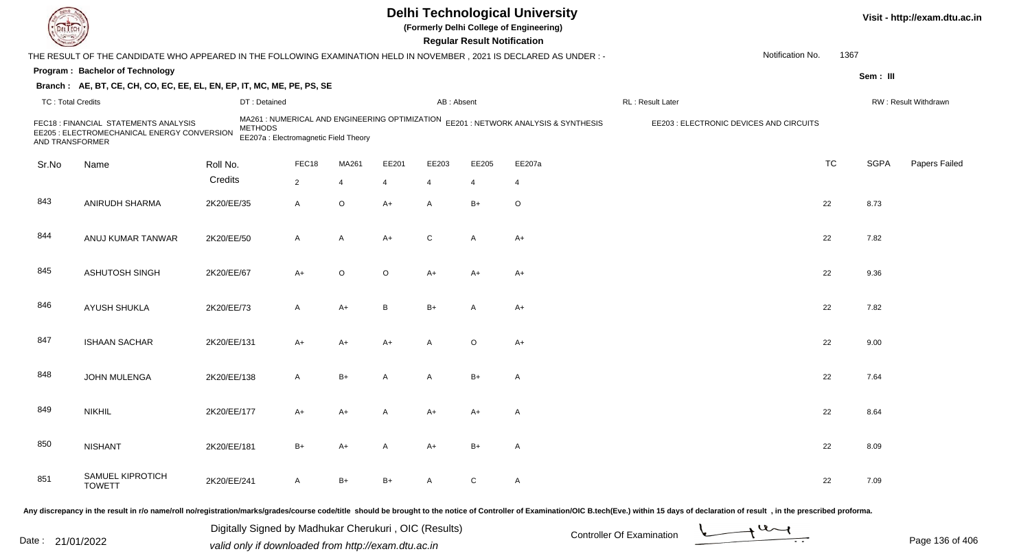|                          |                                                                                                                     |             |                                                                                                           |                |         |                | <b>Regular Result Notification</b> | <b>Delhi Technological University</b><br>(Formerly Delhi College of Engineering) |                                         |                  |           |             | Visit - http://exam.dtu.ac.in |
|--------------------------|---------------------------------------------------------------------------------------------------------------------|-------------|-----------------------------------------------------------------------------------------------------------|----------------|---------|----------------|------------------------------------|----------------------------------------------------------------------------------|-----------------------------------------|------------------|-----------|-------------|-------------------------------|
|                          | THE RESULT OF THE CANDIDATE WHO APPEARED IN THE FOLLOWING EXAMINATION HELD IN NOVEMBER, 2021 IS DECLARED AS UNDER:- |             |                                                                                                           |                |         |                |                                    |                                                                                  |                                         | Notification No. | 1367      |             |                               |
|                          | Program: Bachelor of Technology                                                                                     |             |                                                                                                           |                |         |                |                                    |                                                                                  |                                         |                  |           | Sem: III    |                               |
|                          | Branch: AE, BT, CE, CH, CO, EC, EE, EL, EN, EP, IT, MC, ME, PE, PS, SE                                              |             |                                                                                                           |                |         |                |                                    |                                                                                  |                                         |                  |           |             |                               |
| <b>TC: Total Credits</b> |                                                                                                                     |             | DT: Detained                                                                                              |                |         | AB: Absent     |                                    |                                                                                  | RL: Result Later                        |                  |           |             | RW: Result Withdrawn          |
| AND TRANSFORMER          | FEC18 : FINANCIAL STATEMENTS ANALYSIS<br>EE205 : ELECTROMECHANICAL ENERGY CONVERSION                                |             | MA261 : NUMERICAL AND ENGINEERING OPTIMIZATION<br><b>METHODS</b><br>EE207a : Electromagnetic Field Theory |                |         |                |                                    | EE201 : NETWORK ANALYSIS & SYNTHESIS                                             | EE203 : ELECTRONIC DEVICES AND CIRCUITS |                  |           |             |                               |
| Sr.No                    | Name                                                                                                                | Roll No.    | FEC18                                                                                                     | MA261          | EE201   | EE203          | EE205                              | EE207a                                                                           |                                         |                  | <b>TC</b> | <b>SGPA</b> | Papers Failed                 |
|                          |                                                                                                                     | Credits     | $\overline{2}$                                                                                            | $\overline{4}$ | 4       | $\overline{4}$ | 4                                  | 4                                                                                |                                         |                  |           |             |                               |
| 843                      | ANIRUDH SHARMA                                                                                                      | 2K20/EE/35  | A                                                                                                         | $\mathsf O$    | $A+$    | $\mathsf{A}$   | $B+$                               | $\circ$                                                                          |                                         |                  | 22        | 8.73        |                               |
| 844                      | ANUJ KUMAR TANWAR                                                                                                   | 2K20/EE/50  | A                                                                                                         | A              | A+      | C              | $\overline{A}$                     | $A+$                                                                             |                                         |                  | 22        | 7.82        |                               |
| 845                      | <b>ASHUTOSH SINGH</b>                                                                                               | 2K20/EE/67  | A+                                                                                                        | O              | $\circ$ | $A+$           | $A+$                               | A+                                                                               |                                         |                  | 22        | 9.36        |                               |
| 846                      | AYUSH SHUKLA                                                                                                        | 2K20/EE/73  | A                                                                                                         | A+             | B       | $B+$           | A                                  | $A+$                                                                             |                                         |                  | 22        | 7.82        |                               |
| 847                      | <b>ISHAAN SACHAR</b>                                                                                                | 2K20/EE/131 | A+                                                                                                        | A+             | A+      | A              | $\circ$                            | $A+$                                                                             |                                         |                  | 22        | 9.00        |                               |
| 848                      | JOHN MULENGA                                                                                                        | 2K20/EE/138 | A                                                                                                         | $B+$           | A       | A              | $B+$                               | $\mathsf{A}$                                                                     |                                         |                  | 22        | 7.64        |                               |
| 849                      | <b>NIKHIL</b>                                                                                                       | 2K20/EE/177 | A+                                                                                                        | A+             |         | A+             | A+                                 | A                                                                                |                                         |                  | 22        | 8.64        |                               |
| 850                      | <b>NISHANT</b>                                                                                                      | 2K20/EE/181 | $B+$                                                                                                      | A+             | A       | $A+$           | $B+$                               | $\mathsf{A}$                                                                     |                                         |                  | 22        | 8.09        |                               |
| 851                      | SAMUEL KIPROTICH<br><b>TOWETT</b>                                                                                   | 2K20/EE/241 | A                                                                                                         | $B+$           | B+      | $\mathsf{A}$   | $\mathsf{C}$                       | $\mathsf{A}$                                                                     |                                         |                  | 22        | 7.09        |                               |
|                          |                                                                                                                     |             |                                                                                                           |                |         |                |                                    |                                                                                  |                                         |                  |           |             |                               |

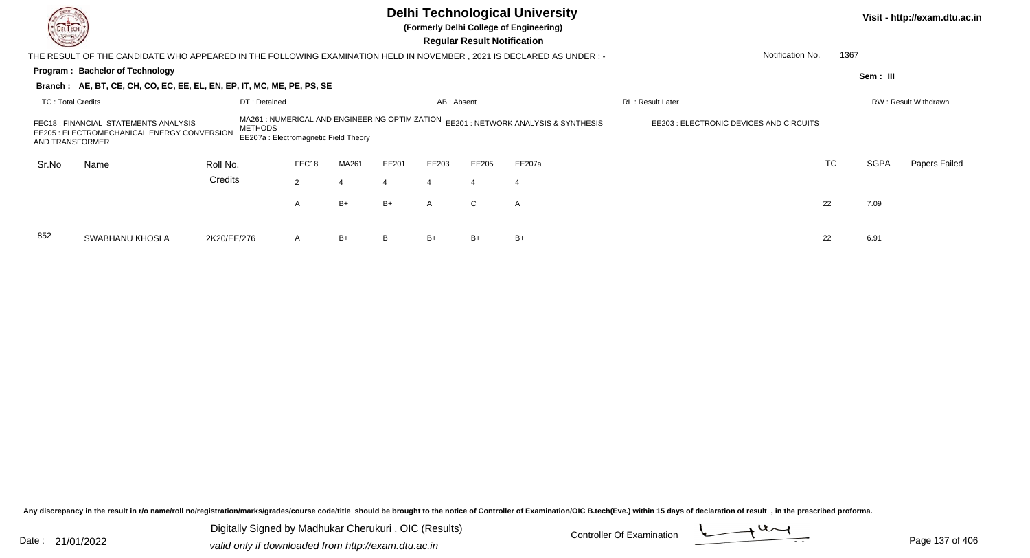| <b>Common</b>            |                                                                                                                                                                                                                                                                                                        |              |                |       |       |                       | <b>Regular Result Notification</b> | <b>Delhi Technological University</b><br>(Formerly Delhi College of Engineering) |                         |                  |             | Visit - http://exam.dtu.ac.in |
|--------------------------|--------------------------------------------------------------------------------------------------------------------------------------------------------------------------------------------------------------------------------------------------------------------------------------------------------|--------------|----------------|-------|-------|-----------------------|------------------------------------|----------------------------------------------------------------------------------|-------------------------|------------------|-------------|-------------------------------|
|                          | THE RESULT OF THE CANDIDATE WHO APPEARED IN THE FOLLOWING EXAMINATION HELD IN NOVEMBER , 2021 IS DECLARED AS UNDER :-                                                                                                                                                                                  |              |                |       |       |                       |                                    |                                                                                  |                         | Notification No. | 1367        |                               |
|                          | Program: Bachelor of Technology                                                                                                                                                                                                                                                                        |              |                |       |       |                       |                                    |                                                                                  |                         |                  | Sem: III    |                               |
|                          | Branch: AE, BT, CE, CH, CO, EC, EE, EL, EN, EP, IT, MC, ME, PE, PS, SE                                                                                                                                                                                                                                 |              |                |       |       |                       |                                    |                                                                                  |                         |                  |             |                               |
| <b>TC: Total Credits</b> |                                                                                                                                                                                                                                                                                                        | DT: Detained |                |       |       | AB: Absent            |                                    |                                                                                  | <b>RL: Result Later</b> |                  |             | RW: Result Withdrawn          |
|                          | MA261 : NUMERICAL AND ENGINEERING OPTIMIZATION<br>EE201 : NETWORK ANALYSIS & SYNTHESIS<br>EE203 : ELECTRONIC DEVICES AND CIRCUITS<br>FEC18 : FINANCIAL STATEMENTS ANALYSIS<br><b>METHODS</b><br>EE205 : ELECTROMECHANICAL ENERGY CONVERSION<br>EE207a: Electromagnetic Field Theory<br>AND TRANSFORMER |              |                |       |       |                       |                                    |                                                                                  |                         |                  |             |                               |
| Sr.No                    | Name                                                                                                                                                                                                                                                                                                   | Roll No.     | FEC18          | MA261 | EE201 | EE203                 | EE205                              | EE207a                                                                           |                         | <b>TC</b>        | <b>SGPA</b> | Papers Failed                 |
|                          |                                                                                                                                                                                                                                                                                                        | Credits      | $\overline{2}$ | 4     |       | $\boldsymbol{\Delta}$ | 4                                  | $\overline{4}$                                                                   |                         |                  |             |                               |
|                          |                                                                                                                                                                                                                                                                                                        |              | A              | $B+$  | B+    | $\mathsf{A}$          | $\mathsf{C}$                       | A                                                                                |                         | 22               | 7.09        |                               |
| 852                      | <b>SWABHANU KHOSLA</b>                                                                                                                                                                                                                                                                                 | 2K20/EE/276  | A              | $B+$  | В     | $B+$                  | B+                                 | $B+$                                                                             |                         | 22               | 6.91        |                               |

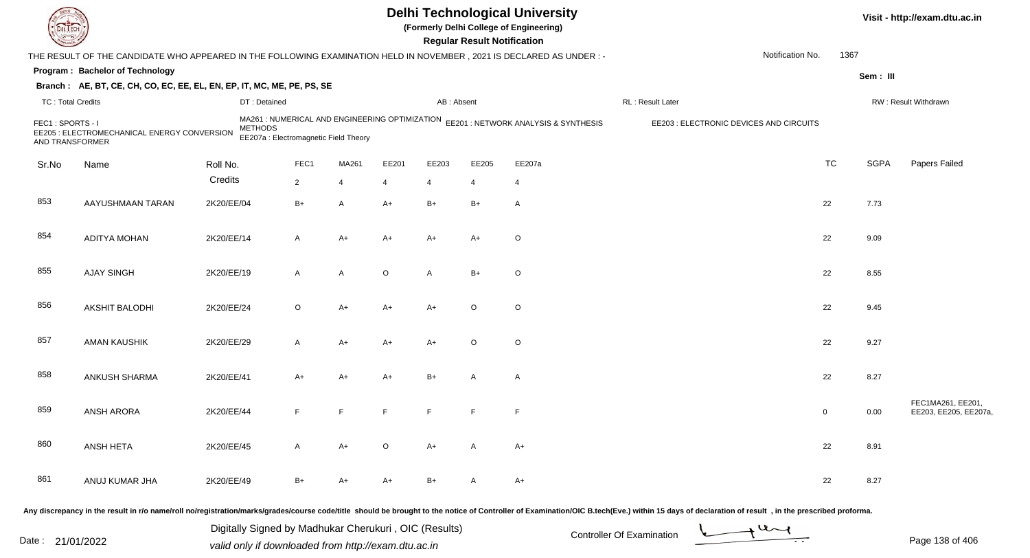| <b>DELTECH</b>                      |                                                                                                                                                                                                                                |                                                       |                                                                                         |                |                |                | <b>Regular Result Notification</b> | <b>Delhi Technological University</b><br>(Formerly Delhi College of Engineering) |                           |                                         |                          |             | Visit - http://exam.dtu.ac.in              |
|-------------------------------------|--------------------------------------------------------------------------------------------------------------------------------------------------------------------------------------------------------------------------------|-------------------------------------------------------|-----------------------------------------------------------------------------------------|----------------|----------------|----------------|------------------------------------|----------------------------------------------------------------------------------|---------------------------|-----------------------------------------|--------------------------|-------------|--------------------------------------------|
|                                     | THE RESULT OF THE CANDIDATE WHO APPEARED IN THE FOLLOWING EXAMINATION HELD IN NOVEMBER, 2021 IS DECLARED AS UNDER :-                                                                                                           |                                                       |                                                                                         |                |                |                |                                    |                                                                                  |                           |                                         | Notification No.<br>1367 |             |                                            |
|                                     | Program: Bachelor of Technology                                                                                                                                                                                                |                                                       |                                                                                         |                |                |                |                                    |                                                                                  |                           |                                         |                          | Sem: III    |                                            |
|                                     | Branch: AE, BT, CE, CH, CO, EC, EE, EL, EN, EP, IT, MC, ME, PE, PS, SE                                                                                                                                                         |                                                       |                                                                                         |                |                |                |                                    |                                                                                  |                           |                                         |                          |             |                                            |
| <b>TC: Total Credits</b>            |                                                                                                                                                                                                                                | DT: Detained                                          |                                                                                         |                |                | AB: Absent     |                                    |                                                                                  | RL: Result Later          |                                         |                          |             | RW: Result Withdrawn                       |
| FEC1: SPORTS - I<br>AND TRANSFORMER | EE205 : ELECTROMECHANICAL ENERGY CONVERSION                                                                                                                                                                                    | <b>METHODS</b>                                        | MA261 : NUMERICAL AND ENGINEERING OPTIMIZATION<br>EE207a : Electromagnetic Field Theory |                |                |                |                                    | EE201 : NETWORK ANALYSIS & SYNTHESIS                                             |                           | EE203 : ELECTRONIC DEVICES AND CIRCUITS |                          |             |                                            |
| Sr.No                               | Name                                                                                                                                                                                                                           | Roll No.                                              | FEC1                                                                                    | MA261          | EE201          | EE203          | EE205                              | EE207a                                                                           |                           |                                         | <b>TC</b>                | <b>SGPA</b> | Papers Failed                              |
|                                     |                                                                                                                                                                                                                                | Credits                                               | $\overline{2}$                                                                          | $\overline{4}$ | $\overline{4}$ | $\overline{4}$ | $\overline{4}$                     | $\overline{4}$                                                                   |                           |                                         |                          |             |                                            |
| 853                                 | AAYUSHMAAN TARAN                                                                                                                                                                                                               | 2K20/EE/04                                            | $B+$                                                                                    | A              | $A+$           | $B+$           | $B+$                               | $\mathsf{A}$                                                                     |                           |                                         | 22                       | 7.73        |                                            |
| 854                                 | <b>ADITYA MOHAN</b>                                                                                                                                                                                                            | 2K20/EE/14                                            | A                                                                                       | $A+$           | A+             | A+             | A+                                 | $\circ$                                                                          |                           |                                         | 22                       | 9.09        |                                            |
| 855                                 | <b>AJAY SINGH</b>                                                                                                                                                                                                              | 2K20/EE/19                                            | A                                                                                       | Α              | $\circ$        | $\overline{A}$ | $B+$                               | $\circ$                                                                          |                           |                                         | 22                       | 8.55        |                                            |
| 856                                 | <b>AKSHIT BALODHI</b>                                                                                                                                                                                                          | 2K20/EE/24                                            | $\circ$                                                                                 | $A+$           | A+             | $A+$           | $\circ$                            | $\circ$                                                                          |                           |                                         | 22                       | 9.45        |                                            |
| 857                                 | AMAN KAUSHIK                                                                                                                                                                                                                   | 2K20/EE/29                                            | A                                                                                       | $A+$           | A+             | $A+$           | $\circ$                            | $\circ$                                                                          |                           |                                         | 22                       | 9.27        |                                            |
| 858                                 | ANKUSH SHARMA                                                                                                                                                                                                                  | 2K20/EE/41                                            | A+                                                                                      | $A+$           | A+             | $B+$           | A                                  | A                                                                                |                           |                                         | 22                       | 8.27        |                                            |
| 859                                 | <b>ANSH ARORA</b>                                                                                                                                                                                                              | 2K20/EE/44                                            | F                                                                                       | E              | F              | E              | F                                  | F                                                                                |                           |                                         | $\overline{0}$           | 0.00        | FEC1MA261, EE201,<br>EE203, EE205, EE207a, |
| 860                                 | ANSH HETA                                                                                                                                                                                                                      | 2K20/EE/45                                            | A                                                                                       | A+             | $\circ$        | A+             | $\mathsf{A}$                       | A+                                                                               |                           |                                         | 22                       | 8.91        |                                            |
| 861                                 | ANUJ KUMAR JHA                                                                                                                                                                                                                 | 2K20/EE/49                                            | B+                                                                                      | A+             | A+             | $B+$           | A                                  | $A+$                                                                             |                           |                                         | 22                       | 8.27        |                                            |
|                                     | Any discrepancy in the result in r/o name/roll no/registration/marks/grades/course code/title should be brought to the notice of Controller of Examination/OIC B.tech(Eve.) within 15 days of declaration of result , in the p |                                                       |                                                                                         |                |                |                |                                    |                                                                                  |                           |                                         |                          |             |                                            |
|                                     |                                                                                                                                                                                                                                | Digitally Signed by Madhukar Cherukuri, OIC (Results) |                                                                                         |                |                |                |                                    |                                                                                  | Controller Of Examination | $u_{\sim l}$                            |                          |             |                                            |

Date : 21/01/2022 Digital Digital of Microsofted Chemical Controller Of Examination Determination Page 138 of 40

Page 138 of 406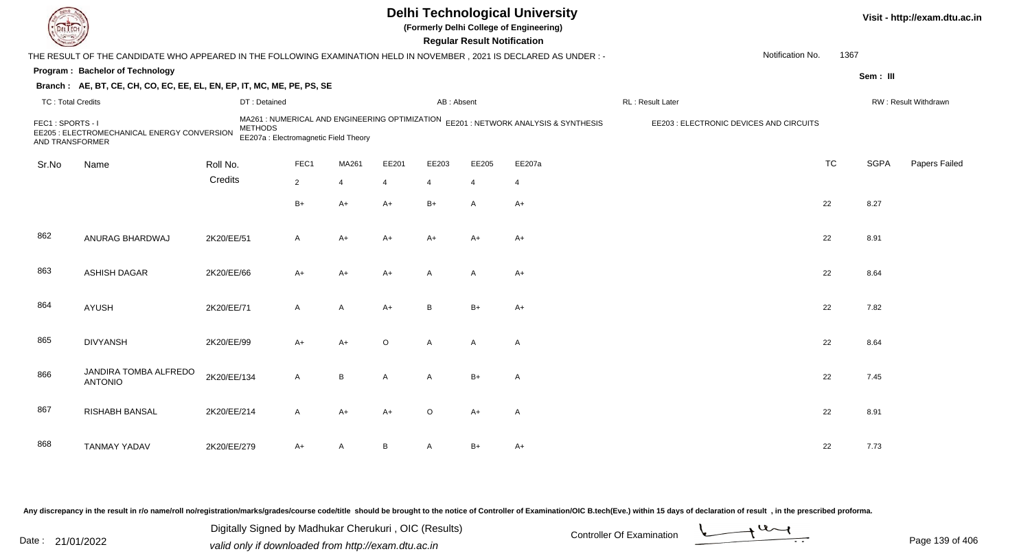|                                     |                                                                                                                      |                                                                                                           |                |                |         |                | <b>Regular Result Notification</b> | <b>Delhi Technological University</b><br>(Formerly Delhi College of Engineering) |                                         |                          |             | Visit - http://exam.dtu.ac.in |
|-------------------------------------|----------------------------------------------------------------------------------------------------------------------|-----------------------------------------------------------------------------------------------------------|----------------|----------------|---------|----------------|------------------------------------|----------------------------------------------------------------------------------|-----------------------------------------|--------------------------|-------------|-------------------------------|
|                                     | THE RESULT OF THE CANDIDATE WHO APPEARED IN THE FOLLOWING EXAMINATION HELD IN NOVEMBER, 2021 IS DECLARED AS UNDER :- |                                                                                                           |                |                |         |                |                                    |                                                                                  |                                         | Notification No.<br>1367 |             |                               |
|                                     | Program: Bachelor of Technology                                                                                      |                                                                                                           |                |                |         |                |                                    |                                                                                  |                                         |                          | Sem: III    |                               |
|                                     | Branch: AE, BT, CE, CH, CO, EC, EE, EL, EN, EP, IT, MC, ME, PE, PS, SE                                               |                                                                                                           |                |                |         |                |                                    |                                                                                  |                                         |                          |             |                               |
| <b>TC: Total Credits</b>            |                                                                                                                      | DT: Detained                                                                                              |                |                |         | AB: Absent     |                                    |                                                                                  | RL : Result Later                       |                          |             | RW: Result Withdrawn          |
| FEC1: SPORTS - I<br>AND TRANSFORMER | EE205 : ELECTROMECHANICAL ENERGY CONVERSION                                                                          | MA261 : NUMERICAL AND ENGINEERING OPTIMIZATION<br><b>METHODS</b><br>EE207a : Electromagnetic Field Theory |                |                |         |                |                                    | EE201: NETWORK ANALYSIS & SYNTHESIS                                              | EE203 : ELECTRONIC DEVICES AND CIRCUITS |                          |             |                               |
| Sr.No                               | Name                                                                                                                 | Roll No.                                                                                                  | FEC1           | MA261          | EE201   | EE203          | EE205                              | EE207a                                                                           |                                         | <b>TC</b>                | <b>SGPA</b> | Papers Failed                 |
|                                     |                                                                                                                      | Credits                                                                                                   | $\overline{2}$ | $\overline{4}$ | 4       | $\overline{4}$ | $\overline{4}$                     | 4                                                                                |                                         |                          |             |                               |
|                                     |                                                                                                                      |                                                                                                           | $B+$           | $A+$           | $A+$    | $B+$           | $\overline{A}$                     | $A+$                                                                             |                                         | 22                       | 8.27        |                               |
| 862                                 | ANURAG BHARDWAJ                                                                                                      | 2K20/EE/51                                                                                                | A              | $A+$           | A+      | $A+$           | $A+$                               | $A+$                                                                             |                                         | 22                       | 8.91        |                               |
| 863                                 | <b>ASHISH DAGAR</b>                                                                                                  | 2K20/EE/66                                                                                                | $A+$           | $A+$           | $A+$    | $\mathsf{A}$   | $\overline{A}$                     | $A+$                                                                             |                                         | 22                       | 8.64        |                               |
| 864                                 | AYUSH                                                                                                                | 2K20/EE/71                                                                                                | $\mathsf{A}$   | A              | $A+$    | B              | $B+$                               | $A+$                                                                             |                                         | 22                       | 7.82        |                               |
| 865                                 | <b>DIVYANSH</b>                                                                                                      | 2K20/EE/99                                                                                                | $A+$           | A+             | $\circ$ | $\mathsf{A}$   | $\overline{A}$                     | $\mathsf{A}$                                                                     |                                         | 22                       | 8.64        |                               |
| 866                                 | JANDIRA TOMBA ALFREDO<br><b>ANTONIO</b>                                                                              | 2K20/EE/134                                                                                               | A              | B              | A       | $\mathsf{A}$   | $B+$                               | $\mathsf{A}$                                                                     |                                         | 22                       | 7.45        |                               |
| 867                                 | <b>RISHABH BANSAL</b>                                                                                                | 2K20/EE/214                                                                                               | A              | A+             | A+      | $\circ$        | A+                                 | A                                                                                |                                         | 22                       | 8.91        |                               |
| 868                                 | <b>TANMAY YADAV</b>                                                                                                  | 2K20/EE/279                                                                                               | A+             | Α              | В       | A              | $B+$                               | $A+$                                                                             |                                         | 22                       | 7.73        |                               |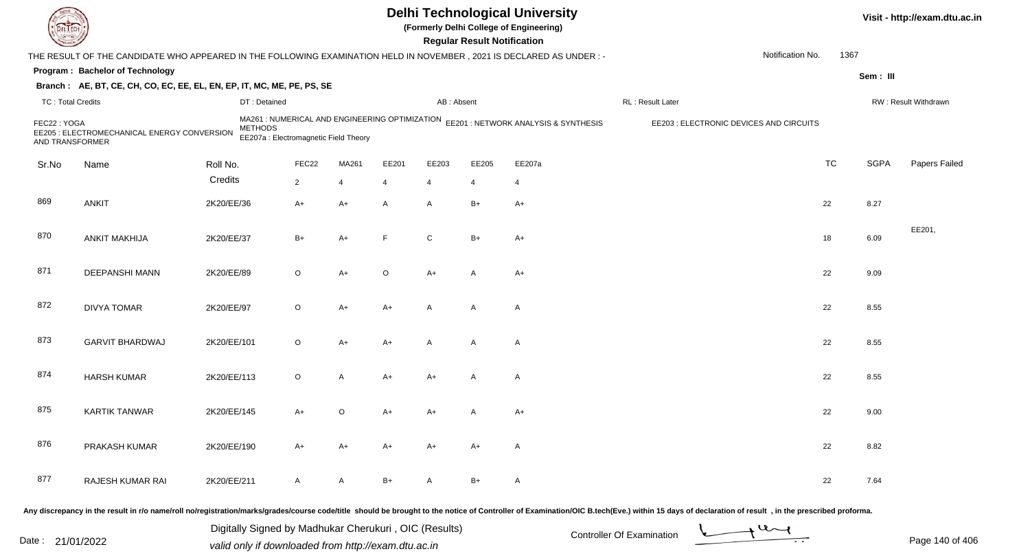| EL EC                          |                                                                                                                     |                |                                       |                |                |                | <b>Regular Result Notification</b> | <b>Delhi Technological University</b><br>(Formerly Delhi College of Engineering)    |                                                                                                                                                                                                                                |                  |           |             | Visit - http://exam.dtu.ac.in |
|--------------------------------|---------------------------------------------------------------------------------------------------------------------|----------------|---------------------------------------|----------------|----------------|----------------|------------------------------------|-------------------------------------------------------------------------------------|--------------------------------------------------------------------------------------------------------------------------------------------------------------------------------------------------------------------------------|------------------|-----------|-------------|-------------------------------|
|                                | THE RESULT OF THE CANDIDATE WHO APPEARED IN THE FOLLOWING EXAMINATION HELD IN NOVEMBER, 2021 IS DECLARED AS UNDER:- |                |                                       |                |                |                |                                    |                                                                                     |                                                                                                                                                                                                                                | Notification No. | 1367      |             |                               |
|                                | Program: Bachelor of Technology                                                                                     |                |                                       |                |                |                |                                    |                                                                                     |                                                                                                                                                                                                                                |                  |           | Sem: III    |                               |
|                                | Branch: AE, BT, CE, CH, CO, EC, EE, EL, EN, EP, IT, MC, ME, PE, PS, SE                                              |                |                                       |                |                |                |                                    |                                                                                     |                                                                                                                                                                                                                                |                  |           |             |                               |
| <b>TC: Total Credits</b>       |                                                                                                                     | DT: Detained   |                                       |                |                | AB: Absent     |                                    |                                                                                     | RL: Result Later                                                                                                                                                                                                               |                  |           |             | RW: Result Withdrawn          |
| FEC22: YOGA<br>AND TRANSFORMER | EE205 : ELECTROMECHANICAL ENERGY CONVERSION                                                                         | <b>METHODS</b> | EE207a : Electromagnetic Field Theory |                |                |                |                                    | MA261 : NUMERICAL AND ENGINEERING OPTIMIZATION EE201 : NETWORK ANALYSIS & SYNTHESIS | EE203 : ELECTRONIC DEVICES AND CIRCUITS                                                                                                                                                                                        |                  |           |             |                               |
| Sr.No                          | Name                                                                                                                | Roll No.       | FEC22                                 | MA261          | EE201          | EE203          | EE205                              | EE207a                                                                              |                                                                                                                                                                                                                                |                  | <b>TC</b> | <b>SGPA</b> | Papers Failed                 |
|                                |                                                                                                                     | Credits        | $\overline{2}$                        | $\overline{4}$ | $\overline{4}$ | $\overline{4}$ | $\overline{4}$                     | $\overline{4}$                                                                      |                                                                                                                                                                                                                                |                  |           |             |                               |
| 869                            | <b>ANKIT</b>                                                                                                        | 2K20/EE/36     | $A+$                                  | $A+$           | A              | A              | $B+$                               | $A+$                                                                                |                                                                                                                                                                                                                                |                  | 22        | 8.27        |                               |
| 870                            | <b>ANKIT MAKHIJA</b>                                                                                                | 2K20/EE/37     | $B+$                                  | $A+$           | F              | $\mathsf{C}$   | $B+$                               | $A+$                                                                                |                                                                                                                                                                                                                                |                  | 18        | 6.09        | EE201,                        |
| 871                            | <b>DEEPANSHI MANN</b>                                                                                               | 2K20/EE/89     | $\circ$                               | $A+$           | $\circ$        | A+             | A                                  | A+                                                                                  |                                                                                                                                                                                                                                |                  | 22        | 9.09        |                               |
| 872                            | <b>DIVYA TOMAR</b>                                                                                                  | 2K20/EE/97     | $\circ$                               | $A+$           | A+             | A              | $\mathsf{A}$                       | $\mathsf{A}$                                                                        |                                                                                                                                                                                                                                |                  | 22        | 8.55        |                               |
| 873                            | <b>GARVIT BHARDWAJ</b>                                                                                              | 2K20/EE/101    | $\circ$                               | $A+$           | $A+$           | A              | A                                  | $\mathsf{A}$                                                                        |                                                                                                                                                                                                                                |                  | 22        | 8.55        |                               |
| 874                            | <b>HARSH KUMAR</b>                                                                                                  | 2K20/EE/113    | $\circ$                               | $\overline{A}$ | A+             | A+             | A                                  | $\mathsf{A}$                                                                        |                                                                                                                                                                                                                                |                  | 22        | 8.55        |                               |
| 875                            | <b>KARTIK TANWAR</b>                                                                                                | 2K20/EE/145    | A+                                    | O              | A+             | A+             | А                                  | $A+$                                                                                |                                                                                                                                                                                                                                |                  | 22        | 9.00        |                               |
| 876                            | PRAKASH KUMAR                                                                                                       | 2K20/EE/190    | $A+$                                  | $A+$           | $A+$           | A+             | A+                                 | A                                                                                   |                                                                                                                                                                                                                                |                  | 22        | 8.82        |                               |
| 877                            | RAJESH KUMAR RAI                                                                                                    | 2K20/EE/211    | $\mathsf{A}$                          | $\mathsf{A}$   | $B+$           | A              | B+                                 | A                                                                                   |                                                                                                                                                                                                                                |                  | 22        | 7.64        |                               |
|                                |                                                                                                                     |                |                                       |                |                |                |                                    |                                                                                     | Any discrepancy in the result in r/o name/roll no/registration/marks/grades/course code/title should be brought to the notice of Controller of Examination/OIC B.tech(Eve.) within 15 days of declaration of result , in the p |                  |           |             |                               |

Date : 21/01/2022 Digital Digital of Microsofted Chemical Controller Of Examination Determination Page 140 of 40<br>Valid only if downloaded from http://exam.dtu.ac.in Digitally Signed by Madhukar Cherukuri , OIC (Results)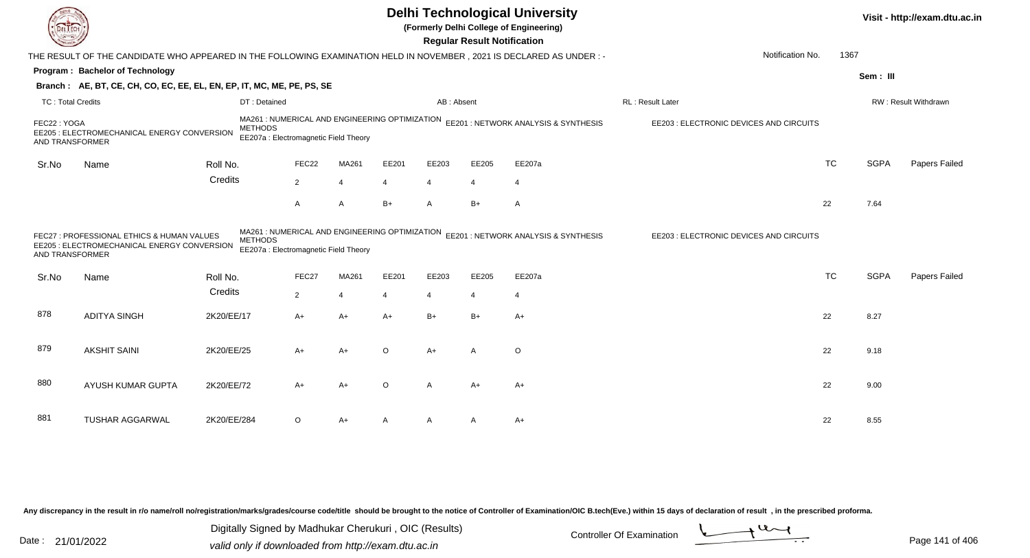|                                |                                                                                                                     |                |                                                                                         |                |         |                       | <b>Regular Result Notification</b> | <b>Delhi Technological University</b><br>(Formerly Delhi College of Engineering) |                                         |           |             | Visit - http://exam.dtu.ac.in |
|--------------------------------|---------------------------------------------------------------------------------------------------------------------|----------------|-----------------------------------------------------------------------------------------|----------------|---------|-----------------------|------------------------------------|----------------------------------------------------------------------------------|-----------------------------------------|-----------|-------------|-------------------------------|
|                                | THE RESULT OF THE CANDIDATE WHO APPEARED IN THE FOLLOWING EXAMINATION HELD IN NOVEMBER, 2021 IS DECLARED AS UNDER:- |                |                                                                                         |                |         |                       |                                    |                                                                                  | Notification No.                        | 1367      |             |                               |
|                                | Program: Bachelor of Technology                                                                                     |                |                                                                                         |                |         |                       |                                    |                                                                                  |                                         |           | Sem: III    |                               |
|                                | Branch: AE, BT, CE, CH, CO, EC, EE, EL, EN, EP, IT, MC, ME, PE, PS, SE                                              |                |                                                                                         |                |         |                       |                                    |                                                                                  |                                         |           |             |                               |
| <b>TC: Total Credits</b>       |                                                                                                                     | DT: Detained   |                                                                                         |                |         | AB: Absent            |                                    |                                                                                  | RL: Result Later                        |           |             | RW: Result Withdrawn          |
| FEC22: YOGA<br>AND TRANSFORMER | EE205 : ELECTROMECHANICAL ENERGY CONVERSION                                                                         | <b>METHODS</b> | MA261 : NUMERICAL AND ENGINEERING OPTIMIZATION<br>EE207a : Electromagnetic Field Theory |                |         |                       |                                    | EE201 : NETWORK ANALYSIS & SYNTHESIS                                             | EE203 : ELECTRONIC DEVICES AND CIRCUITS |           |             |                               |
| Sr.No                          | Name                                                                                                                | Roll No.       | FEC22                                                                                   | MA261          | EE201   | EE203                 | EE205                              | EE207a                                                                           |                                         | <b>TC</b> | <b>SGPA</b> | Papers Failed                 |
|                                |                                                                                                                     | Credits        | $\overline{2}$                                                                          | $\overline{4}$ | 4       | $\boldsymbol{\Delta}$ | $\overline{4}$                     | $\overline{4}$                                                                   |                                         |           |             |                               |
|                                |                                                                                                                     |                | A                                                                                       | Α              | B+      | $\overline{A}$        | $B+$                               | $\mathsf{A}$                                                                     |                                         | 22        | 7.64        |                               |
| AND TRANSFORMER                | FEC27 : PROFESSIONAL ETHICS & HUMAN VALUES<br>EE205 : ELECTROMECHANICAL ENERGY CONVERSION                           | <b>METHODS</b> | MA261 : NUMERICAL AND ENGINEERING OPTIMIZATION<br>EE207a : Electromagnetic Field Theory |                |         |                       |                                    | EE201 : NETWORK ANALYSIS & SYNTHESIS                                             | EE203 : ELECTRONIC DEVICES AND CIRCUITS |           |             |                               |
| Sr.No                          | Name                                                                                                                | Roll No.       | FEC27                                                                                   | MA261          | EE201   | EE203                 | EE205                              | EE207a                                                                           |                                         | <b>TC</b> | <b>SGPA</b> | Papers Failed                 |
|                                |                                                                                                                     | Credits        | $\overline{2}$                                                                          | $\overline{4}$ | 4       | $\overline{4}$        | $\overline{4}$                     | $\overline{4}$                                                                   |                                         |           |             |                               |
| 878                            | <b>ADITYA SINGH</b>                                                                                                 | 2K20/EE/17     | A+                                                                                      | A+             | A+      | $B+$                  | $B+$                               | $A+$                                                                             |                                         | 22        | 8.27        |                               |
| 879                            | <b>AKSHIT SAINI</b>                                                                                                 | 2K20/EE/25     | $A+$                                                                                    | $A+$           | O       | $A+$                  | $\overline{A}$                     | $\circ$                                                                          |                                         | 22        | 9.18        |                               |
| 880                            | AYUSH KUMAR GUPTA                                                                                                   | 2K20/EE/72     | $A+$                                                                                    | A+             | $\circ$ | $\overline{A}$        | $A+$                               | $A+$                                                                             |                                         | 22        | 9.00        |                               |
| 881                            | <b>TUSHAR AGGARWAL</b>                                                                                              | 2K20/EE/284    | $\circ$                                                                                 | A+             |         | A                     | A                                  | A+                                                                               |                                         | 22        | 8.55        |                               |

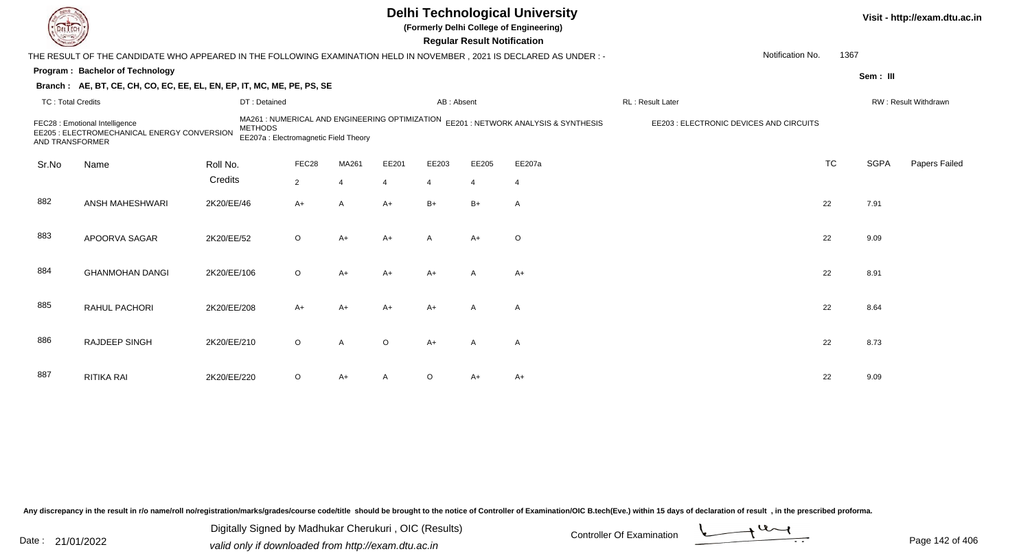|                          |                                                                                                                      |                |                                       |                |                |                | <b>Regular Result Notification</b> | <b>Delhi Technological University</b><br>(Formerly Delhi College of Engineering)    |                                         |           |             | Visit - http://exam.dtu.ac.in |
|--------------------------|----------------------------------------------------------------------------------------------------------------------|----------------|---------------------------------------|----------------|----------------|----------------|------------------------------------|-------------------------------------------------------------------------------------|-----------------------------------------|-----------|-------------|-------------------------------|
|                          | THE RESULT OF THE CANDIDATE WHO APPEARED IN THE FOLLOWING EXAMINATION HELD IN NOVEMBER, 2021 IS DECLARED AS UNDER :- |                |                                       |                |                |                |                                    |                                                                                     | Notification No.                        | 1367      |             |                               |
|                          | <b>Program: Bachelor of Technology</b>                                                                               |                |                                       |                |                |                |                                    |                                                                                     |                                         |           | Sem: III    |                               |
|                          | Branch: AE, BT, CE, CH, CO, EC, EE, EL, EN, EP, IT, MC, ME, PE, PS, SE                                               |                |                                       |                |                |                |                                    |                                                                                     |                                         |           |             |                               |
| <b>TC: Total Credits</b> |                                                                                                                      | DT: Detained   |                                       |                |                | AB: Absent     |                                    |                                                                                     | RL: Result Later                        |           |             | RW: Result Withdrawn          |
| AND TRANSFORMER          | FEC28 : Emotional Intelligence<br>EE205 : ELECTROMECHANICAL ENERGY CONVERSION                                        | <b>METHODS</b> | EE207a : Electromagnetic Field Theory |                |                |                |                                    | MA261 : NUMERICAL AND ENGINEERING OPTIMIZATION EE201 : NETWORK ANALYSIS & SYNTHESIS | EE203 : ELECTRONIC DEVICES AND CIRCUITS |           |             |                               |
| Sr.No                    | Name                                                                                                                 | Roll No.       | FEC28                                 | MA261          | EE201          | EE203          | EE205                              | EE207a                                                                              |                                         | <b>TC</b> | <b>SGPA</b> | Papers Failed                 |
|                          |                                                                                                                      | Credits        | $\overline{2}$                        | $\overline{4}$ | $\overline{4}$ | $\overline{4}$ | $\overline{4}$                     | $\overline{4}$                                                                      |                                         |           |             |                               |
| 882                      | ANSH MAHESHWARI                                                                                                      | 2K20/EE/46     | A+                                    | $\overline{A}$ | $A+$           | $B+$           | $B+$                               | $\overline{A}$                                                                      |                                         | 22        | 7.91        |                               |
| 883                      | APOORVA SAGAR                                                                                                        | 2K20/EE/52     | $\circ$                               | $A+$           | $A+$           | A              | $A+$                               | $\circ$                                                                             |                                         | 22        | 9.09        |                               |
| 884                      | <b>GHANMOHAN DANGI</b>                                                                                               | 2K20/EE/106    | $\circ$                               | $A+$           | $A+$           | $A+$           | A                                  | $A+$                                                                                |                                         | 22        | 8.91        |                               |
| 885                      | RAHUL PACHORI                                                                                                        | 2K20/EE/208    | A+                                    | $A+$           | $A+$           | $A+$           | A                                  | A                                                                                   |                                         | 22        | 8.64        |                               |
| 886                      | <b>RAJDEEP SINGH</b>                                                                                                 | 2K20/EE/210    | $\circ$                               | $\overline{A}$ | $\Omega$       | $A+$           | $\mathsf{A}$                       | $\overline{A}$                                                                      |                                         | 22        | 8.73        |                               |
| 887                      | <b>RITIKA RAI</b>                                                                                                    | 2K20/EE/220    | $\circ$                               | A+             |                | $\circ$        | A+                                 | $A+$                                                                                |                                         | 22        | 9.09        |                               |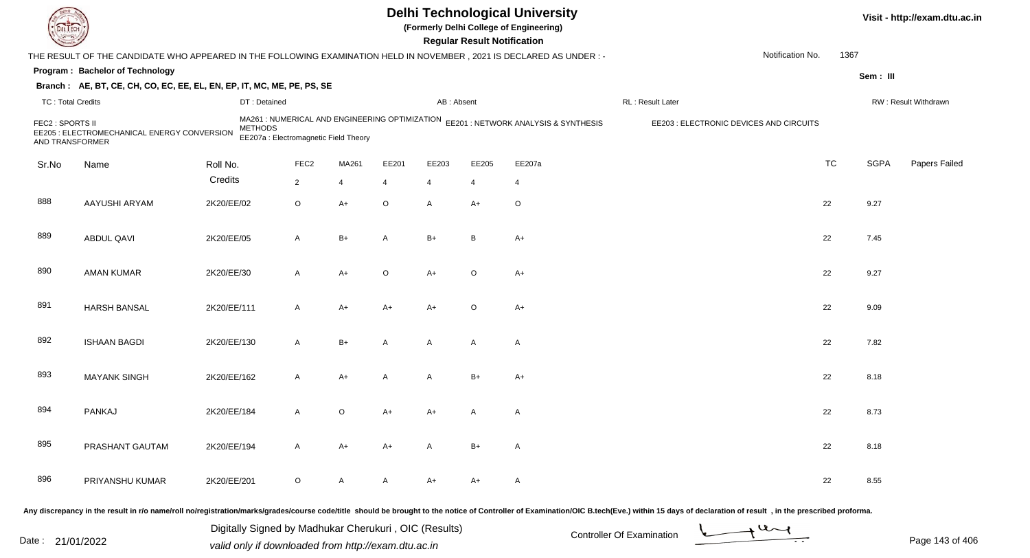|                                     |                                                                                                                     |                |                                                                                         |       |         |                | <b>Regular Result Notification</b> | <b>Delhi Technological University</b><br>(Formerly Delhi College of Engineering) |                                         |                  |           |             | Visit - http://exam.dtu.ac.in |
|-------------------------------------|---------------------------------------------------------------------------------------------------------------------|----------------|-----------------------------------------------------------------------------------------|-------|---------|----------------|------------------------------------|----------------------------------------------------------------------------------|-----------------------------------------|------------------|-----------|-------------|-------------------------------|
|                                     | THE RESULT OF THE CANDIDATE WHO APPEARED IN THE FOLLOWING EXAMINATION HELD IN NOVEMBER, 2021 IS DECLARED AS UNDER:- |                |                                                                                         |       |         |                |                                    |                                                                                  |                                         | Notification No. | 1367      |             |                               |
|                                     | Program: Bachelor of Technology                                                                                     |                |                                                                                         |       |         |                |                                    |                                                                                  |                                         |                  |           | Sem: III    |                               |
|                                     | Branch: AE, BT, CE, CH, CO, EC, EE, EL, EN, EP, IT, MC, ME, PE, PS, SE                                              |                |                                                                                         |       |         |                |                                    |                                                                                  |                                         |                  |           |             |                               |
| <b>TC: Total Credits</b>            |                                                                                                                     | DT: Detained   |                                                                                         |       |         | AB: Absent     |                                    |                                                                                  | RL: Result Later                        |                  |           |             | RW: Result Withdrawn          |
| FEC2 : SPORTS II<br>AND TRANSFORMER | EE205 : ELECTROMECHANICAL ENERGY CONVERSION                                                                         | <b>METHODS</b> | MA261 : NUMERICAL AND ENGINEERING OPTIMIZATION<br>EE207a : Electromagnetic Field Theory |       |         |                |                                    | EE201 : NETWORK ANALYSIS & SYNTHESIS                                             | EE203 : ELECTRONIC DEVICES AND CIRCUITS |                  |           |             |                               |
| Sr.No                               | Name                                                                                                                | Roll No.       | FEC <sub>2</sub>                                                                        | MA261 | EE201   | EE203          | EE205                              | EE207a                                                                           |                                         |                  | <b>TC</b> | <b>SGPA</b> | Papers Failed                 |
|                                     |                                                                                                                     | Credits        | $\overline{2}$                                                                          | 4     | 4       | $\overline{4}$ | 4                                  | 4                                                                                |                                         |                  |           |             |                               |
| 888                                 | AAYUSHI ARYAM                                                                                                       | 2K20/EE/02     | $\circ$                                                                                 | A+    | $\circ$ | $\mathsf{A}$   | $A+$                               | $\circ$                                                                          |                                         |                  | 22        | 9.27        |                               |
| 889                                 | ABDUL QAVI                                                                                                          | 2K20/EE/05     | A                                                                                       | B+    | Α       | $B+$           | B                                  | $A+$                                                                             |                                         |                  | 22        | 7.45        |                               |
| 890                                 | <b>AMAN KUMAR</b>                                                                                                   | 2K20/EE/30     | A                                                                                       | A+    | O       | $A+$           | $\circ$                            | $A+$                                                                             |                                         |                  | 22        | 9.27        |                               |
| 891                                 | <b>HARSH BANSAL</b>                                                                                                 | 2K20/EE/111    | A                                                                                       | A+    | A+      | $A+$           | $\circ$                            | $A+$                                                                             |                                         |                  | 22        | 9.09        |                               |
| 892                                 | <b>ISHAAN BAGDI</b>                                                                                                 | 2K20/EE/130    | A                                                                                       | $B+$  | A       | $\mathsf{A}$   | A                                  | A                                                                                |                                         |                  | 22        | 7.82        |                               |
| 893                                 | <b>MAYANK SINGH</b>                                                                                                 | 2K20/EE/162    | A                                                                                       | A+    | A       | A              | $B+$                               | $A+$                                                                             |                                         |                  | 22        | 8.18        |                               |
| 894                                 | PANKAJ                                                                                                              | 2K20/EE/184    | A                                                                                       | O     | A+      | A+             | A                                  | A                                                                                |                                         |                  | 22        | 8.73        |                               |
| 895                                 | PRASHANT GAUTAM                                                                                                     | 2K20/EE/194    | A                                                                                       | A+    | A+      | A              | $B+$                               | A                                                                                |                                         |                  | 22        | 8.18        |                               |
| 896                                 | PRIYANSHU KUMAR                                                                                                     | 2K20/EE/201    | $\circ$                                                                                 | A     | A       | A+             | A+                                 | $\mathsf{A}$                                                                     |                                         |                  | 22        | 8.55        |                               |
|                                     |                                                                                                                     |                |                                                                                         |       |         |                |                                    |                                                                                  |                                         |                  |           |             |                               |

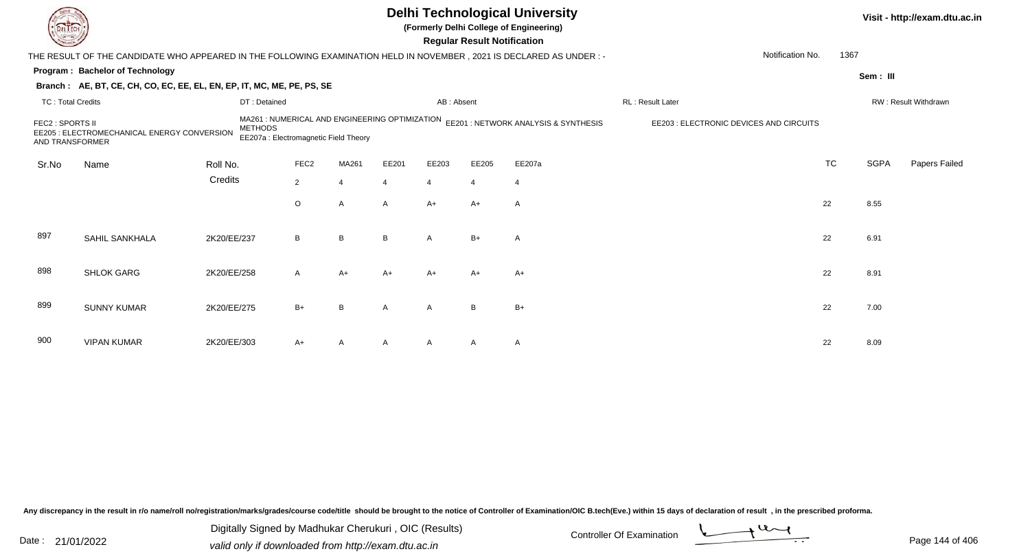|                                                                                                                                                                                                                                         |                                                                                                                        |             |                  |       |       |                | <b>Regular Result Notification</b>      | <b>Delhi Technological University</b><br>(Formerly Delhi College of Engineering) |                  |           | Visit - http://exam.dtu.ac.in |                      |  |
|-----------------------------------------------------------------------------------------------------------------------------------------------------------------------------------------------------------------------------------------|------------------------------------------------------------------------------------------------------------------------|-------------|------------------|-------|-------|----------------|-----------------------------------------|----------------------------------------------------------------------------------|------------------|-----------|-------------------------------|----------------------|--|
|                                                                                                                                                                                                                                         | THE RESULT OF THE CANDIDATE WHO APPEARED IN THE FOLLOWING EXAMINATION HELD IN NOVEMBER , 2021 IS DECLARED AS UNDER : - |             |                  |       |       |                |                                         |                                                                                  | Notification No. | 1367      |                               |                      |  |
|                                                                                                                                                                                                                                         | Program: Bachelor of Technology                                                                                        |             |                  |       |       |                |                                         |                                                                                  |                  |           |                               | Sem: III             |  |
|                                                                                                                                                                                                                                         | Branch: AE, BT, CE, CH, CO, EC, EE, EL, EN, EP, IT, MC, ME, PE, PS, SE                                                 |             |                  |       |       |                |                                         |                                                                                  |                  |           |                               |                      |  |
| <b>TC: Total Credits</b>                                                                                                                                                                                                                |                                                                                                                        |             | DT: Detained     |       |       | AB: Absent     |                                         |                                                                                  | RL: Result Later |           |                               | RW: Result Withdrawn |  |
| MA261 : NUMERICAL AND ENGINEERING OPTIMIZATION<br>EE201 : NETWORK ANALYSIS & SYNTHESIS<br>FEC2 : SPORTS II<br><b>METHODS</b><br>EE205 : ELECTROMECHANICAL ENERGY CONVERSION<br>EE207a : Electromagnetic Field Theory<br>AND TRANSFORMER |                                                                                                                        |             |                  |       |       |                | EE203 : ELECTRONIC DEVICES AND CIRCUITS |                                                                                  |                  |           |                               |                      |  |
| Sr.No                                                                                                                                                                                                                                   | Name                                                                                                                   | Roll No.    | FEC <sub>2</sub> | MA261 | EE201 | EE203          | EE205                                   | EE207a                                                                           |                  | <b>TC</b> | <b>SGPA</b>                   | Papers Failed        |  |
|                                                                                                                                                                                                                                         |                                                                                                                        | Credits     | $2^{\circ}$      | 4     | Δ     | $\overline{4}$ | $\Delta$                                | $\overline{4}$                                                                   |                  |           |                               |                      |  |
|                                                                                                                                                                                                                                         |                                                                                                                        |             | $\circ$          | A     | A     | $A+$           | $A+$                                    | $\mathsf{A}$                                                                     |                  | 22        | 8.55                          |                      |  |
| 897                                                                                                                                                                                                                                     | SAHIL SANKHALA                                                                                                         | 2K20/EE/237 | B                | B     | B     | $\overline{A}$ | $B+$                                    | A                                                                                |                  | 22        | 6.91                          |                      |  |
| 898                                                                                                                                                                                                                                     | <b>SHLOK GARG</b>                                                                                                      | 2K20/EE/258 | A                | A+    | A+    | A+             | $A+$                                    | $A+$                                                                             |                  | 22        | 8.91                          |                      |  |
| 899                                                                                                                                                                                                                                     | <b>SUNNY KUMAR</b>                                                                                                     | 2K20/EE/275 | $B+$             | B     | A     | $\overline{A}$ | B                                       | $B+$                                                                             |                  | 22        | 7.00                          |                      |  |
| 900                                                                                                                                                                                                                                     | <b>VIPAN KUMAR</b>                                                                                                     | 2K20/EE/303 | A+               | A     |       |                | A                                       | $\mathsf{A}$                                                                     |                  | 22        | 8.09                          |                      |  |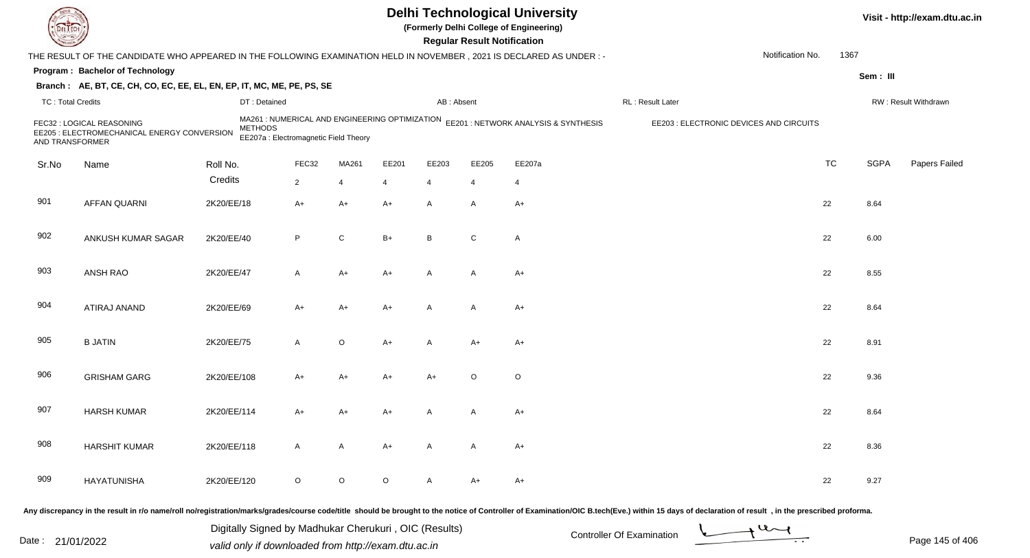| DEL TECH                 |                                                                                                                                                                                                                                |             |                                                         |                |                |                |              | <b>Regular Result Notification</b> | <b>Delhi Technological University</b><br>(Formerly Delhi College of Engineering)    |                   |                                         |                  |             | Visit - http://exam.dtu.ac.in |
|--------------------------|--------------------------------------------------------------------------------------------------------------------------------------------------------------------------------------------------------------------------------|-------------|---------------------------------------------------------|----------------|----------------|----------------|--------------|------------------------------------|-------------------------------------------------------------------------------------|-------------------|-----------------------------------------|------------------|-------------|-------------------------------|
|                          | THE RESULT OF THE CANDIDATE WHO APPEARED IN THE FOLLOWING EXAMINATION HELD IN NOVEMBER, 2021 IS DECLARED AS UNDER: -                                                                                                           |             |                                                         |                |                |                |              |                                    |                                                                                     |                   |                                         | Notification No. | 1367        |                               |
|                          | Program: Bachelor of Technology                                                                                                                                                                                                |             |                                                         |                |                |                |              |                                    |                                                                                     |                   |                                         |                  | Sem: III    |                               |
|                          | Branch: AE, BT, CE, CH, CO, EC, EE, EL, EN, EP, IT, MC, ME, PE, PS, SE                                                                                                                                                         |             |                                                         |                |                |                |              |                                    |                                                                                     |                   |                                         |                  |             |                               |
| <b>TC: Total Credits</b> |                                                                                                                                                                                                                                |             | DT: Detained                                            |                |                |                | AB: Absent   |                                    |                                                                                     | RL : Result Later |                                         |                  |             | RW: Result Withdrawn          |
| AND TRANSFORMER          | FEC32 : LOGICAL REASONING<br>EE205 : ELECTROMECHANICAL ENERGY CONVERSION                                                                                                                                                       |             | <b>METHODS</b><br>EE207a : Electromagnetic Field Theory |                |                |                |              |                                    | MA261 : NUMERICAL AND ENGINEERING OPTIMIZATION EE201 : NETWORK ANALYSIS & SYNTHESIS |                   | EE203 : ELECTRONIC DEVICES AND CIRCUITS |                  |             |                               |
| Sr.No                    | Name                                                                                                                                                                                                                           | Roll No.    |                                                         | FEC32          | MA261          | EE201          | EE203        | EE205                              | EE207a                                                                              |                   |                                         | <b>TC</b>        | <b>SGPA</b> | Papers Failed                 |
|                          |                                                                                                                                                                                                                                | Credits     |                                                         | $\overline{2}$ | $\overline{4}$ | $\overline{4}$ | 4            | 4                                  | $\overline{4}$                                                                      |                   |                                         |                  |             |                               |
| 901                      | <b>AFFAN QUARNI</b>                                                                                                                                                                                                            | 2K20/EE/18  |                                                         | $A+$           | $A+$           | $A+$           | A            | A                                  | $A+$                                                                                |                   |                                         | 22               | 8.64        |                               |
| 902                      | ANKUSH KUMAR SAGAR                                                                                                                                                                                                             | 2K20/EE/40  |                                                         | P              | $\mathsf{C}$   | $B+$           | B            | C                                  | A                                                                                   |                   |                                         | 22               | 6.00        |                               |
| 903                      | ANSH RAO                                                                                                                                                                                                                       | 2K20/EE/47  |                                                         | A              | $A+$           | $A+$           | $\mathsf{A}$ | A                                  | $A+$                                                                                |                   |                                         | 22               | 8.55        |                               |
| 904                      | ATIRAJ ANAND                                                                                                                                                                                                                   | 2K20/EE/69  |                                                         | A+             | A+             | $A+$           | A            | A                                  | $A+$                                                                                |                   |                                         | 22               | 8.64        |                               |
| 905                      | <b>B JATIN</b>                                                                                                                                                                                                                 | 2K20/EE/75  |                                                         | A              | $\circ$        | $A+$           | A            | $A+$                               | $A+$                                                                                |                   |                                         | 22               | 8.91        |                               |
| 906                      | <b>GRISHAM GARG</b>                                                                                                                                                                                                            | 2K20/EE/108 |                                                         | A+             | A+             | $A+$           | $A+$         | $\circ$                            | O                                                                                   |                   |                                         | 22               | 9.36        |                               |
| 907                      | <b>HARSH KUMAR</b>                                                                                                                                                                                                             | 2K20/EE/114 |                                                         | A+             | A+             | $A+$           | A            | A                                  | A+                                                                                  |                   |                                         | 22               | 8.64        |                               |
| 908                      | <b>HARSHIT KUMAR</b>                                                                                                                                                                                                           | 2K20/EE/118 |                                                         | A              | $\mathsf{A}$   | $A+$           | $\mathsf{A}$ | A                                  | $A+$                                                                                |                   |                                         | 22               | 8.36        |                               |
| 909                      | HAYATUNISHA                                                                                                                                                                                                                    | 2K20/EE/120 |                                                         | $\circ$        | $\circ$        | $\circ$        | $\mathsf{A}$ | A+                                 | A+                                                                                  |                   |                                         | 22               | 9.27        |                               |
|                          | Any discrepancy in the result in r/o name/roll no/registration/marks/grades/course code/title should be brought to the notice of Controller of Examination/OIC B.tech(Eve.) within 15 days of declaration of result , in the p |             |                                                         |                |                |                |              |                                    |                                                                                     |                   |                                         |                  |             |                               |

Date : 21/01/2022 Digital Digital of Microsofted Chemical Controller Of Examination Determination Page 145 of 40 Digitally Signed by Madhukar Cherukuri , OIC (Results)

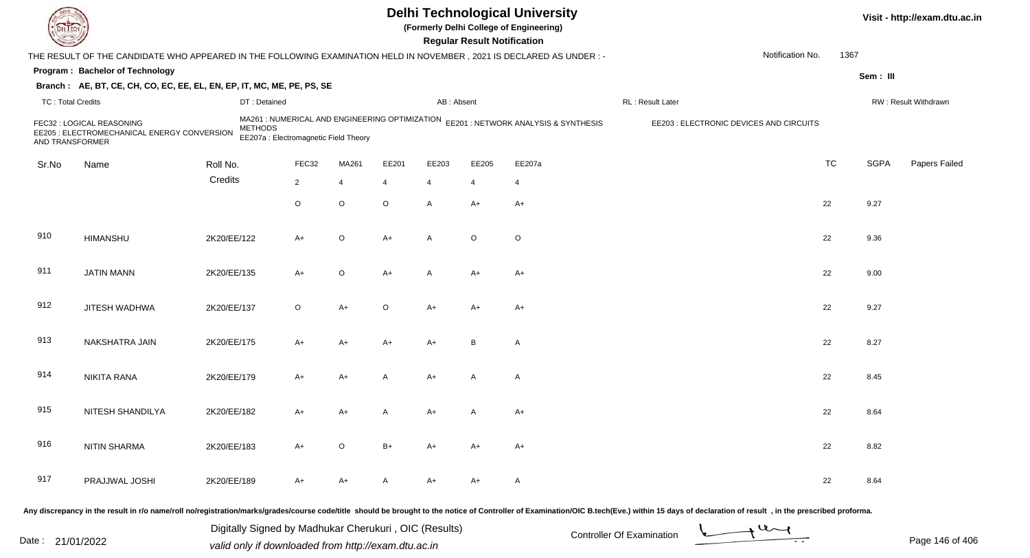| <b>DELTECT</b>    |                                                                                                                                                                                                                                |             |                                                         |                |                |                |                | <b>Regular Result Notification</b> | <b>Delhi Technological University</b><br>(Formerly Delhi College of Engineering)    |                                         |                  |           |             | Visit - http://exam.dtu.ac.in |
|-------------------|--------------------------------------------------------------------------------------------------------------------------------------------------------------------------------------------------------------------------------|-------------|---------------------------------------------------------|----------------|----------------|----------------|----------------|------------------------------------|-------------------------------------------------------------------------------------|-----------------------------------------|------------------|-----------|-------------|-------------------------------|
|                   | THE RESULT OF THE CANDIDATE WHO APPEARED IN THE FOLLOWING EXAMINATION HELD IN NOVEMBER, 2021 IS DECLARED AS UNDER: -                                                                                                           |             |                                                         |                |                |                |                |                                    |                                                                                     |                                         | Notification No. | 1367      |             |                               |
|                   | Program: Bachelor of Technology                                                                                                                                                                                                |             |                                                         |                |                |                |                |                                    |                                                                                     |                                         |                  |           | Sem: III    |                               |
|                   | Branch: AE, BT, CE, CH, CO, EC, EE, EL, EN, EP, IT, MC, ME, PE, PS, SE                                                                                                                                                         |             |                                                         |                |                |                |                |                                    |                                                                                     |                                         |                  |           |             |                               |
| TC: Total Credits |                                                                                                                                                                                                                                |             | DT: Detained                                            |                |                |                | AB: Absent     |                                    |                                                                                     | RL: Result Later                        |                  |           |             | RW: Result Withdrawn          |
| AND TRANSFORMER   | FEC32 : LOGICAL REASONING<br>EE205 : ELECTROMECHANICAL ENERGY CONVERSION                                                                                                                                                       |             | <b>METHODS</b><br>EE207a : Electromagnetic Field Theory |                |                |                |                |                                    | MA261 : NUMERICAL AND ENGINEERING OPTIMIZATION EE201 : NETWORK ANALYSIS & SYNTHESIS | EE203 : ELECTRONIC DEVICES AND CIRCUITS |                  |           |             |                               |
| Sr.No             | Name                                                                                                                                                                                                                           | Roll No.    |                                                         | FEC32          | MA261          | EE201          | EE203          | EE205                              | EE207a                                                                              |                                         |                  | <b>TC</b> | <b>SGPA</b> | Papers Failed                 |
|                   |                                                                                                                                                                                                                                | Credits     |                                                         | $\overline{2}$ | $\overline{4}$ | $\overline{4}$ | $\overline{4}$ | $\overline{4}$                     | $\overline{4}$                                                                      |                                         |                  |           |             |                               |
|                   |                                                                                                                                                                                                                                |             |                                                         | $\circ$        | $\circ$        | $\circ$        | $\mathsf{A}$   | $A+$                               | $A+$                                                                                |                                         |                  | 22        | 9.27        |                               |
| 910               | <b>HIMANSHU</b>                                                                                                                                                                                                                | 2K20/EE/122 |                                                         | $A+$           | $\circ$        | $A+$           | $\mathsf{A}$   | $\circ$                            | $\mathsf O$                                                                         |                                         |                  | 22        | 9.36        |                               |
| 911               | <b>JATIN MANN</b>                                                                                                                                                                                                              | 2K20/EE/135 |                                                         | A+             | $\circ$        | $A+$           | $\mathsf{A}$   | $A+$                               | $A+$                                                                                |                                         |                  | 22        | 9.00        |                               |
| 912               | JITESH WADHWA                                                                                                                                                                                                                  | 2K20/EE/137 |                                                         | $\circ$        | $A+$           | $\circ$        | A+             | A+                                 | A+                                                                                  |                                         |                  | 22        | 9.27        |                               |
| 913               | NAKSHATRA JAIN                                                                                                                                                                                                                 | 2K20/EE/175 |                                                         | A+             | A+             | $A+$           | $A+$           | B                                  | A                                                                                   |                                         |                  | 22        | 8.27        |                               |
| 914               | <b>NIKITA RANA</b>                                                                                                                                                                                                             | 2K20/EE/179 |                                                         | A+             | A+             | $\overline{A}$ | $A+$           | A                                  | A                                                                                   |                                         |                  | 22        | 8.45        |                               |
| 915               | NITESH SHANDILYA                                                                                                                                                                                                               | 2K20/EE/182 |                                                         | A+             | A+             | A              | A+             |                                    | $A+$                                                                                |                                         |                  | 22        | 8.64        |                               |
| 916               | <b>NITIN SHARMA</b>                                                                                                                                                                                                            | 2K20/EE/183 |                                                         | A+             | $\circ$        | $B+$           | A+             | A+                                 | A+                                                                                  |                                         |                  | 22        | 8.82        |                               |
| 917               | PRAJJWAL JOSHI                                                                                                                                                                                                                 | 2K20/EE/189 |                                                         | A+             | A+             | $\mathsf{A}$   | A+             | A+                                 | A                                                                                   |                                         |                  | 22        | 8.64        |                               |
|                   | Any discrepancy in the result in r/o name/roll no/registration/marks/grades/course code/title should be brought to the notice of Controller of Examination/OIC B.tech(Eve.) within 15 days of declaration of result , in the p |             |                                                         |                |                |                |                |                                    |                                                                                     |                                         |                  |           |             |                               |

Date : 21/01/2022 Digital Digital of Microsofted Chemical Controller Of Examination Determination Page 146 of 40 Digitally Signed by Madhukar Cherukuri , OIC (Results)

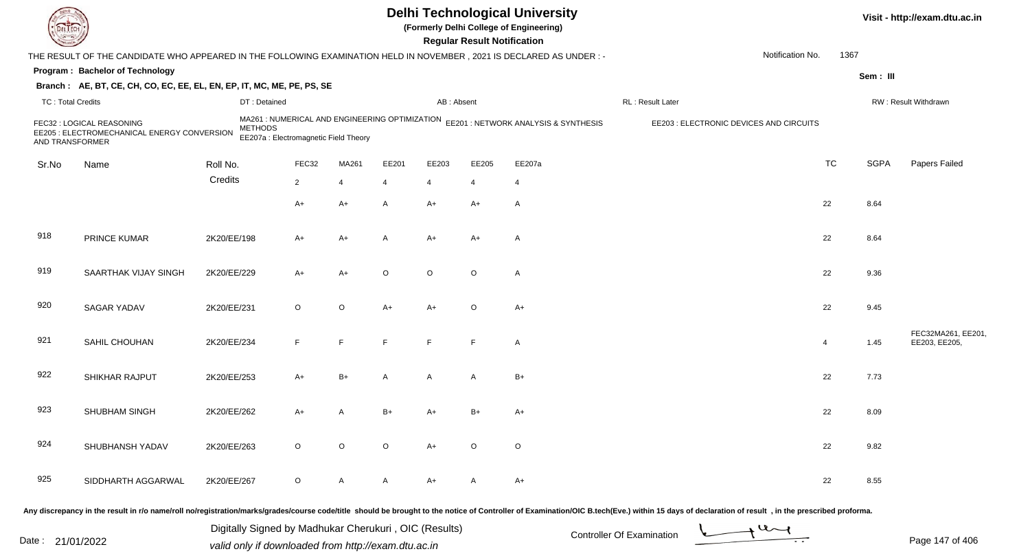| EL I ECH                 |                                                                                                                      |                |                                       |                |                |                | <b>Regular Result Notification</b> | <b>Delhi Technological University</b><br>(Formerly Delhi College of Engineering)    |                                         |                  |                |             | Visit - http://exam.dtu.ac.in       |
|--------------------------|----------------------------------------------------------------------------------------------------------------------|----------------|---------------------------------------|----------------|----------------|----------------|------------------------------------|-------------------------------------------------------------------------------------|-----------------------------------------|------------------|----------------|-------------|-------------------------------------|
|                          | THE RESULT OF THE CANDIDATE WHO APPEARED IN THE FOLLOWING EXAMINATION HELD IN NOVEMBER, 2021 IS DECLARED AS UNDER :- |                |                                       |                |                |                |                                    |                                                                                     |                                         | Notification No. | 1367           |             |                                     |
|                          | Program: Bachelor of Technology                                                                                      |                |                                       |                |                |                |                                    |                                                                                     |                                         |                  |                | Sem: III    |                                     |
|                          | Branch: AE, BT, CE, CH, CO, EC, EE, EL, EN, EP, IT, MC, ME, PE, PS, SE                                               |                |                                       |                |                |                |                                    |                                                                                     |                                         |                  |                |             |                                     |
| <b>TC: Total Credits</b> |                                                                                                                      | DT: Detained   |                                       |                |                | AB: Absent     |                                    |                                                                                     | RL: Result Later                        |                  |                |             | RW: Result Withdrawn                |
| AND TRANSFORMER          | FEC32 : LOGICAL REASONING<br>EE205 : ELECTROMECHANICAL ENERGY CONVERSION                                             | <b>METHODS</b> | EE207a : Electromagnetic Field Theory |                |                |                |                                    | MA261 : NUMERICAL AND ENGINEERING OPTIMIZATION EE201 : NETWORK ANALYSIS & SYNTHESIS | EE203 : ELECTRONIC DEVICES AND CIRCUITS |                  |                |             |                                     |
| Sr.No                    | Name                                                                                                                 | Roll No.       | FEC32                                 | MA261          | EE201          | EE203          | EE205                              | EE207a                                                                              |                                         |                  | <b>TC</b>      | <b>SGPA</b> | Papers Failed                       |
|                          |                                                                                                                      | Credits        | $\overline{2}$                        | $\overline{4}$ | $\overline{4}$ | $\overline{4}$ | $\overline{4}$                     | $\overline{4}$                                                                      |                                         |                  |                |             |                                     |
|                          |                                                                                                                      |                | $A+$                                  | $A+$           | $\overline{A}$ | $A+$           | $A+$                               | A                                                                                   |                                         |                  | 22             | 8.64        |                                     |
|                          |                                                                                                                      |                |                                       |                |                |                |                                    |                                                                                     |                                         |                  |                |             |                                     |
| 918                      | PRINCE KUMAR                                                                                                         | 2K20/EE/198    | $A+$                                  | $A+$           | A              | $A+$           | $A+$                               | A                                                                                   |                                         |                  | 22             | 8.64        |                                     |
| 919                      | SAARTHAK VIJAY SINGH                                                                                                 | 2K20/EE/229    | A+                                    | A+             | $\circ$        | $\circ$        | O                                  | A                                                                                   |                                         |                  | 22             | 9.36        |                                     |
| 920                      | <b>SAGAR YADAV</b>                                                                                                   | 2K20/EE/231    | $\circ$                               | $\circ$        | $A+$           | $A+$           | $\circ$                            | A+                                                                                  |                                         |                  | 22             | 9.45        |                                     |
| 921                      | SAHIL CHOUHAN                                                                                                        | 2K20/EE/234    | E                                     | F              | F              | E              | F                                  | A                                                                                   |                                         |                  | $\overline{4}$ | 1.45        | FEC32MA261, EE201,<br>EE203, EE205, |
| 922                      | SHIKHAR RAJPUT                                                                                                       | 2K20/EE/253    | $A+$                                  | $B+$           | A              | $\mathsf{A}$   | A                                  | $B+$                                                                                |                                         |                  | 22             | 7.73        |                                     |
| 923                      | SHUBHAM SINGH                                                                                                        | 2K20/EE/262    | A+                                    | A              | B+             | $A+$           | $B+$                               | A+                                                                                  |                                         |                  | 22             | 8.09        |                                     |
| 924                      | SHUBHANSH YADAV                                                                                                      | 2K20/EE/263    | $\circ$                               | $\circ$        | $\circ$        | $A+$           | $\circ$                            | $\circ$                                                                             |                                         |                  | 22             | 9.82        |                                     |
| 925                      | SIDDHARTH AGGARWAL                                                                                                   | 2K20/EE/267    | $\circ$                               | A              | $\mathsf{A}$   | $A+$           | A                                  | $A+$                                                                                |                                         |                  | 22             | 8.55        |                                     |
|                          |                                                                                                                      |                |                                       |                |                |                |                                    |                                                                                     |                                         |                  |                |             |                                     |

Digitally Signed by Madhukar Cherukuri, OIC (Results)<br>Date : 21/01/2022 variety only if downloaded from http://oxam.dtu.ac.in Digitally Signed by Madhukar Cherukuri , OIC (Results)valid only if downloaded from http://exam.dtu.ac.in

Page 147 of 406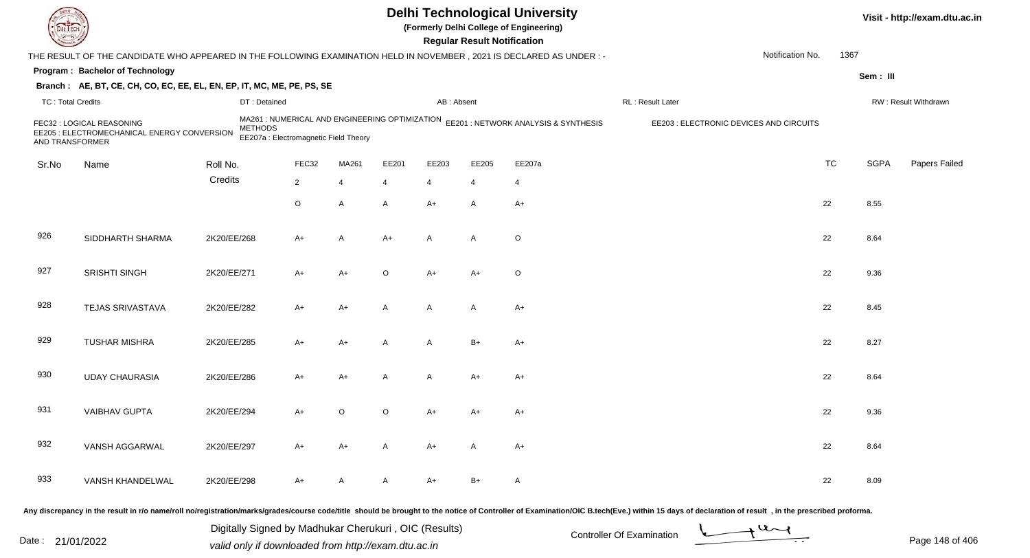|                          |                                                                                                                     |                |                                                                                         |       |       |                | <b>Regular Result Notification</b> | <b>Delhi Technological University</b><br>(Formerly Delhi College of Engineering)              |                  |                                         |           |             | Visit - http://exam.dtu.ac.in |
|--------------------------|---------------------------------------------------------------------------------------------------------------------|----------------|-----------------------------------------------------------------------------------------|-------|-------|----------------|------------------------------------|-----------------------------------------------------------------------------------------------|------------------|-----------------------------------------|-----------|-------------|-------------------------------|
|                          | THE RESULT OF THE CANDIDATE WHO APPEARED IN THE FOLLOWING EXAMINATION HELD IN NOVEMBER, 2021 IS DECLARED AS UNDER:- |                |                                                                                         |       |       |                |                                    |                                                                                               |                  | Notification No.                        | 1367      |             |                               |
|                          | Program: Bachelor of Technology                                                                                     |                |                                                                                         |       |       |                |                                    |                                                                                               |                  |                                         |           | Sem: III    |                               |
|                          | Branch: AE, BT, CE, CH, CO, EC, EE, EL, EN, EP, IT, MC, ME, PE, PS, SE                                              |                |                                                                                         |       |       |                |                                    |                                                                                               |                  |                                         |           |             |                               |
| <b>TC: Total Credits</b> |                                                                                                                     | DT: Detained   |                                                                                         |       |       | AB: Absent     |                                    |                                                                                               | RL: Result Later |                                         |           |             | RW: Result Withdrawn          |
| AND TRANSFORMER          | FEC32 : LOGICAL REASONING<br>EE205 : ELECTROMECHANICAL ENERGY CONVERSION                                            | <b>METHODS</b> | MA261 : NUMERICAL AND ENGINEERING OPTIMIZATION<br>EE207a : Electromagnetic Field Theory |       |       |                |                                    | EE201 : NETWORK ANALYSIS & SYNTHESIS                                                          |                  | EE203 : ELECTRONIC DEVICES AND CIRCUITS |           |             |                               |
| Sr.No                    | Name                                                                                                                | Roll No.       | FEC32                                                                                   | MA261 | EE201 | EE203          | EE205                              | EE207a                                                                                        |                  |                                         | <b>TC</b> | <b>SGPA</b> | Papers Failed                 |
|                          |                                                                                                                     | Credits        | $\overline{2}$                                                                          | 4     | 4     | $\overline{4}$ | $\overline{4}$                     | 4                                                                                             |                  |                                         |           |             |                               |
|                          |                                                                                                                     |                | $\circ$                                                                                 | Α     | A     | $A+$           | A                                  | $A+$                                                                                          |                  |                                         | 22        | 8.55        |                               |
| 926                      | SIDDHARTH SHARMA                                                                                                    | 2K20/EE/268    | A+                                                                                      | Α     | A+    | A              | A                                  | $\circ$                                                                                       |                  |                                         | 22        | 8.64        |                               |
| 927                      | SRISHTI SINGH                                                                                                       | 2K20/EE/271    | A+                                                                                      | A+    | O     | $A+$           | $A+$                               | $\circ$                                                                                       |                  |                                         | 22        | 9.36        |                               |
| 928                      | <b>TEJAS SRIVASTAVA</b>                                                                                             | 2K20/EE/282    | A+                                                                                      | A+    | A     | $\mathsf{A}$   | A                                  | $A+$                                                                                          |                  |                                         | 22        | 8.45        |                               |
| 929                      | <b>TUSHAR MISHRA</b>                                                                                                | 2K20/EE/285    | A+                                                                                      | A+    | A     | $\overline{A}$ | $B+$                               | $A+$                                                                                          |                  |                                         | 22        | 8.27        |                               |
| 930                      | <b>UDAY CHAURASIA</b>                                                                                               | 2K20/EE/286    | $A+$                                                                                    | A+    | A     | A              | $A+$                               | $A+$                                                                                          |                  |                                         | 22        | 8.64        |                               |
| 931                      | <b>VAIBHAV GUPTA</b>                                                                                                | 2K20/EE/294    | A+                                                                                      | O     | O     | A+             | A+                                 | A+                                                                                            |                  |                                         | 22        | 9.36        |                               |
| 932                      | VANSH AGGARWAL                                                                                                      | 2K20/EE/297    | A+                                                                                      | A+    | A     | A+             | A                                  | $A+$                                                                                          |                  |                                         | 22        | 8.64        |                               |
| 933                      | VANSH KHANDELWAL                                                                                                    | 2K20/EE/298    | A+                                                                                      | A     | A     | A+             | B+                                 | A                                                                                             |                  |                                         | 22        | 8.09        |                               |
|                          |                                                                                                                     |                | registration monicolaredecles use code kitle                                            |       |       |                |                                    | cheuld be breught te the netice of Centreller of Eveningtian (OIC B teab (Eve) within 45 days |                  |                                         |           |             |                               |

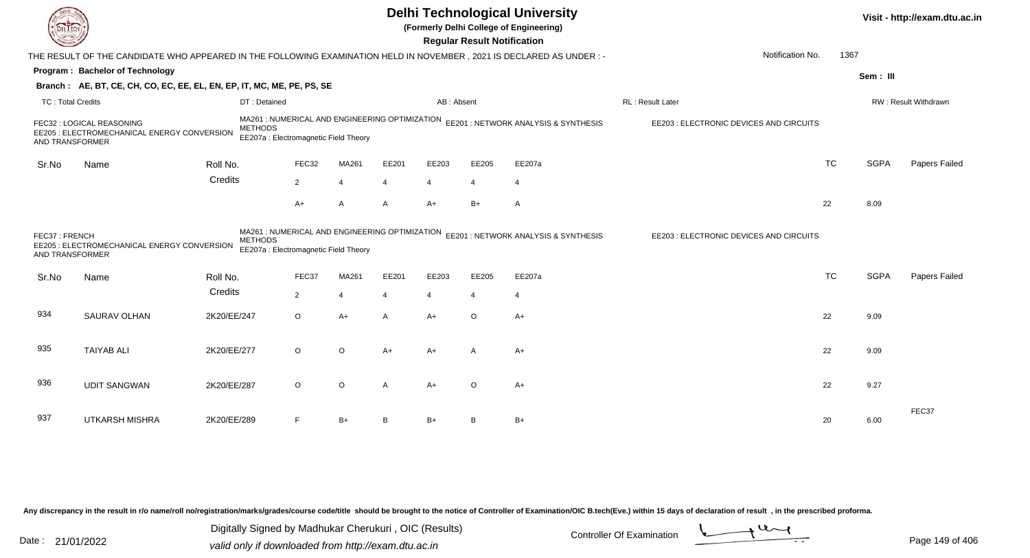| EL ECH                           |                                                                                                                      |                |                                                                                         |                       |                |                | <b>Regular Result Notification</b> | <b>Delhi Technological University</b><br>(Formerly Delhi College of Engineering) |                                         |           |             | Visit - http://exam.dtu.ac.in |
|----------------------------------|----------------------------------------------------------------------------------------------------------------------|----------------|-----------------------------------------------------------------------------------------|-----------------------|----------------|----------------|------------------------------------|----------------------------------------------------------------------------------|-----------------------------------------|-----------|-------------|-------------------------------|
|                                  | THE RESULT OF THE CANDIDATE WHO APPEARED IN THE FOLLOWING EXAMINATION HELD IN NOVEMBER, 2021 IS DECLARED AS UNDER :- |                |                                                                                         |                       |                |                |                                    |                                                                                  | Notification No.                        | 1367      |             |                               |
|                                  | Program: Bachelor of Technology                                                                                      |                |                                                                                         |                       |                |                |                                    |                                                                                  |                                         |           | Sem: III    |                               |
|                                  | Branch: AE, BT, CE, CH, CO, EC, EE, EL, EN, EP, IT, MC, ME, PE, PS, SE                                               |                |                                                                                         |                       |                |                |                                    |                                                                                  |                                         |           |             |                               |
| <b>TC: Total Credits</b>         |                                                                                                                      | DT: Detained   |                                                                                         |                       |                | AB: Absent     |                                    |                                                                                  | RL: Result Later                        |           |             | RW: Result Withdrawn          |
| AND TRANSFORMER                  | FEC32 : LOGICAL REASONING<br>EE205 : ELECTROMECHANICAL ENERGY CONVERSION                                             | <b>METHODS</b> | MA261 : NUMERICAL AND ENGINEERING OPTIMIZATION<br>EE207a : Electromagnetic Field Theory |                       |                |                |                                    | EE201 : NETWORK ANALYSIS & SYNTHESIS                                             | EE203 : ELECTRONIC DEVICES AND CIRCUITS |           |             |                               |
| Sr.No                            | Name                                                                                                                 | Roll No.       | FEC32                                                                                   | MA261                 | EE201          | EE203          | EE205                              | EE207a                                                                           |                                         | <b>TC</b> | <b>SGPA</b> | Papers Failed                 |
|                                  |                                                                                                                      | Credits        | $\overline{2}$                                                                          | $\overline{4}$        | 4              | $\overline{4}$ | $\overline{4}$                     | $\overline{4}$                                                                   |                                         |           |             |                               |
|                                  |                                                                                                                      |                | $A+$                                                                                    | A                     | A              | $A+$           | $B+$                               | $\mathsf{A}$                                                                     |                                         | 22        | 8.09        |                               |
| FEC37: FRENCH<br>AND TRANSFORMER | EE205 : ELECTROMECHANICAL ENERGY CONVERSION                                                                          | <b>METHODS</b> | MA261 : NUMERICAL AND ENGINEERING OPTIMIZATION<br>EE207a : Electromagnetic Field Theory |                       |                |                |                                    | EE201 : NETWORK ANALYSIS & SYNTHESIS                                             | EE203 : ELECTRONIC DEVICES AND CIRCUITS |           |             |                               |
| Sr.No                            | Name                                                                                                                 | Roll No.       | FEC37                                                                                   | MA261                 | EE201          | EE203          | EE205                              | EE207a                                                                           |                                         | <b>TC</b> | <b>SGPA</b> | <b>Papers Failed</b>          |
|                                  |                                                                                                                      | Credits        | $\overline{2}$                                                                          | $\boldsymbol{\Delta}$ | $\overline{4}$ | $\overline{4}$ | 4                                  | $\overline{4}$                                                                   |                                         |           |             |                               |
| 934                              | SAURAV OLHAN                                                                                                         | 2K20/EE/247    | $\circ$                                                                                 | $A+$                  | A              | $A+$           | $\circ$                            | $A+$                                                                             |                                         | 22        | 9.09        |                               |
| 935                              | <b>TAIYAB ALI</b>                                                                                                    | 2K20/EE/277    | $\circ$                                                                                 | O                     | A+             | $A+$           | A                                  | $A+$                                                                             |                                         | 22        | 9.09        |                               |
| 936                              | <b>UDIT SANGWAN</b>                                                                                                  | 2K20/EE/287    | $\circ$                                                                                 | O                     | A              | $A+$           | $\circ$                            | $A+$                                                                             |                                         | 22        | 9.27        |                               |
| 937                              | <b>UTKARSH MISHRA</b>                                                                                                | 2K20/EE/289    | F                                                                                       | $B+$                  | B              | $B+$           | в                                  | $B+$                                                                             |                                         | 20        | 6.00        | FEC37                         |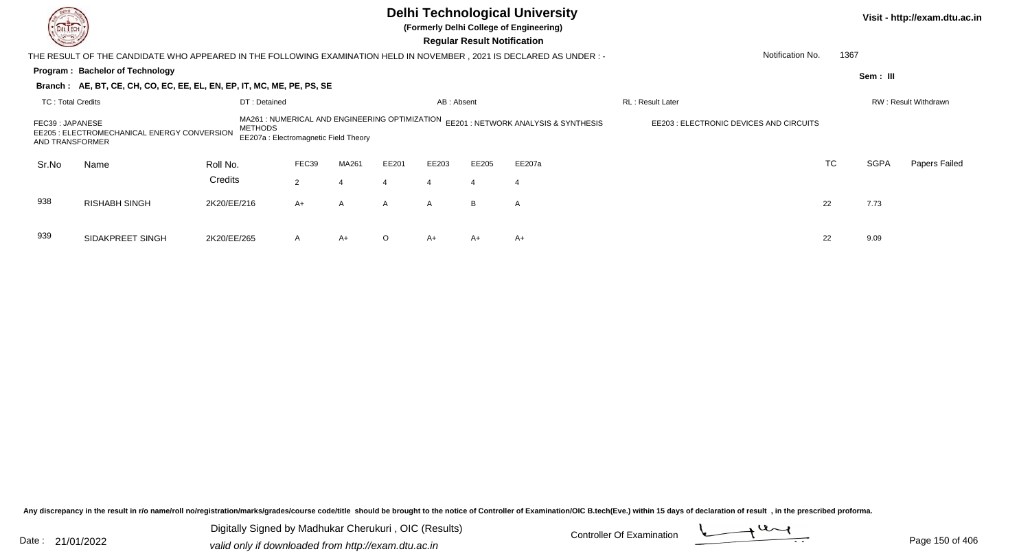| DEL TECH<br><b>Consulton</b>        |                                                                                                                       |                                         |                |                |          |                | <b>Regular Result Notification</b> | <b>Delhi Technological University</b><br>(Formerly Delhi College of Engineering) |                  |                          |             | Visit - http://exam.dtu.ac.in |
|-------------------------------------|-----------------------------------------------------------------------------------------------------------------------|-----------------------------------------|----------------|----------------|----------|----------------|------------------------------------|----------------------------------------------------------------------------------|------------------|--------------------------|-------------|-------------------------------|
|                                     | THE RESULT OF THE CANDIDATE WHO APPEARED IN THE FOLLOWING EXAMINATION HELD IN NOVEMBER , 2021 IS DECLARED AS UNDER :- |                                         |                |                |          |                |                                    |                                                                                  |                  | Notification No.<br>1367 |             |                               |
|                                     | Program: Bachelor of Technology                                                                                       |                                         |                |                |          |                |                                    |                                                                                  |                  |                          | Sem: III    |                               |
|                                     | Branch: AE, BT, CE, CH, CO, EC, EE, EL, EN, EP, IT, MC, ME, PE, PS, SE                                                |                                         |                |                |          |                |                                    |                                                                                  |                  |                          |             |                               |
| <b>TC: Total Credits</b>            |                                                                                                                       | DT: Detained                            |                |                |          | AB: Absent     |                                    |                                                                                  | RL: Result Later |                          |             | RW: Result Withdrawn          |
| FEC39 : JAPANESE<br>AND TRANSFORMER | EE205 : ELECTROMECHANICAL ENERGY CONVERSION                                                                           | EE203 : ELECTRONIC DEVICES AND CIRCUITS |                |                |          |                |                                    |                                                                                  |                  |                          |             |                               |
| Sr.No                               | Name                                                                                                                  | Roll No.                                | FEC39          | MA261          | EE201    | EE203          | EE205                              | EE207a                                                                           |                  | <b>TC</b>                | <b>SGPA</b> | Papers Failed                 |
|                                     |                                                                                                                       | Credits                                 | $\overline{2}$ |                | 4        | $\overline{4}$ | $\overline{4}$                     | $\overline{4}$                                                                   |                  |                          |             |                               |
| 938                                 | <b>RISHABH SINGH</b>                                                                                                  | 2K20/EE/216                             | $A+$           | $\overline{A}$ | A        | $\mathsf{A}$   | B                                  | A                                                                                |                  | 22                       | 7.73        |                               |
| 939                                 | SIDAKPREET SINGH                                                                                                      | 2K20/EE/265                             | A              | $A+$           | $\Omega$ | $A+$           | A+                                 | $A+$                                                                             |                  | 22                       | 9.09        |                               |

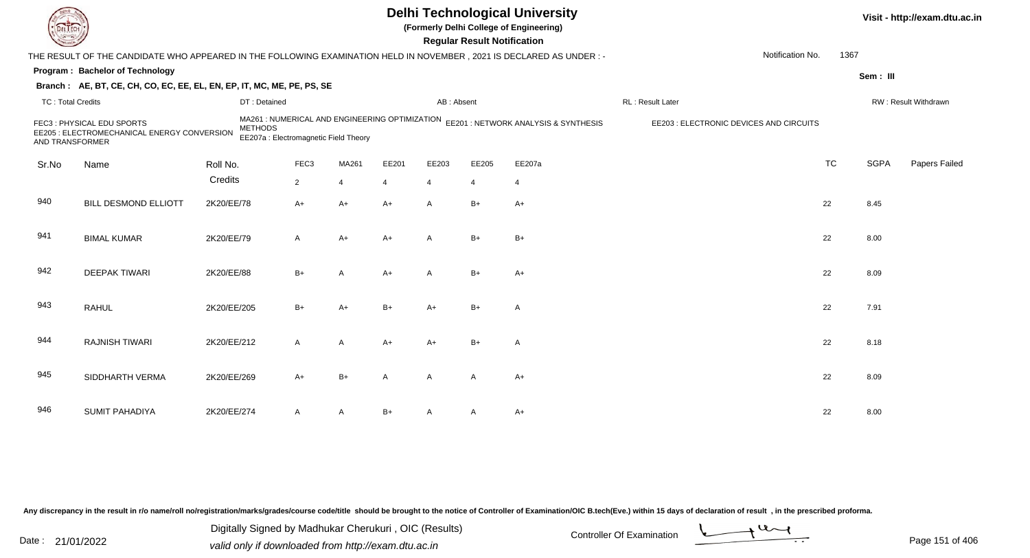|                          |                                                                                                                        |                                                         |                  |                |       |              | <b>Regular Result Notification</b> | <b>Delhi Technological University</b><br>(Formerly Delhi College of Engineering)    |                                         |           |             | Visit - http://exam.dtu.ac.in |
|--------------------------|------------------------------------------------------------------------------------------------------------------------|---------------------------------------------------------|------------------|----------------|-------|--------------|------------------------------------|-------------------------------------------------------------------------------------|-----------------------------------------|-----------|-------------|-------------------------------|
|                          | THE RESULT OF THE CANDIDATE WHO APPEARED IN THE FOLLOWING EXAMINATION HELD IN NOVEMBER , 2021 IS DECLARED AS UNDER : - |                                                         |                  |                |       |              |                                    |                                                                                     | Notification No.                        | 1367      |             |                               |
|                          | Program: Bachelor of Technology                                                                                        |                                                         |                  |                |       |              |                                    |                                                                                     |                                         |           | Sem: III    |                               |
|                          | Branch: AE, BT, CE, CH, CO, EC, EE, EL, EN, EP, IT, MC, ME, PE, PS, SE                                                 |                                                         |                  |                |       |              |                                    |                                                                                     |                                         |           |             |                               |
| <b>TC: Total Credits</b> |                                                                                                                        | DT: Detained                                            |                  |                |       | AB: Absent   |                                    |                                                                                     | RL : Result Later                       |           |             | RW: Result Withdrawn          |
| AND TRANSFORMER          | FEC3: PHYSICAL EDU SPORTS<br>EE205 : ELECTROMECHANICAL ENERGY CONVERSION                                               | <b>METHODS</b><br>EE207a : Electromagnetic Field Theory |                  |                |       |              |                                    | MA261 : NUMERICAL AND ENGINEERING OPTIMIZATION EE201 : NETWORK ANALYSIS & SYNTHESIS | EE203 : ELECTRONIC DEVICES AND CIRCUITS |           |             |                               |
| Sr.No                    | Name                                                                                                                   | Roll No.                                                | FEC <sub>3</sub> | MA261          | EE201 | EE203        | EE205                              | EE207a                                                                              |                                         | <b>TC</b> | <b>SGPA</b> | Papers Failed                 |
|                          |                                                                                                                        | Credits                                                 | $\overline{2}$   | $\overline{4}$ | 4     | 4            | $\overline{4}$                     | $\overline{4}$                                                                      |                                         |           |             |                               |
| 940                      | <b>BILL DESMOND ELLIOTT</b>                                                                                            | 2K20/EE/78                                              | $A+$             | $A+$           | $A+$  | $\mathsf{A}$ | $B+$                               | $A+$                                                                                |                                         | 22        | 8.45        |                               |
| 941                      | <b>BIMAL KUMAR</b>                                                                                                     | 2K20/EE/79                                              | A                | $A+$           | $A+$  | $\mathsf{A}$ | $B+$                               | $B+$                                                                                |                                         | 22        | 8.00        |                               |
| 942                      | <b>DEEPAK TIWARI</b>                                                                                                   | 2K20/EE/88                                              | $B+$             | $\overline{A}$ | $A+$  | $\mathsf{A}$ | $B+$                               | $A+$                                                                                |                                         | 22        | 8.09        |                               |
| 943                      | <b>RAHUL</b>                                                                                                           | 2K20/EE/205                                             | $B+$             | $A+$           | $B+$  | $A+$         | $B+$                               | $\overline{A}$                                                                      |                                         | 22        | 7.91        |                               |
| 944                      | <b>RAJNISH TIWARI</b>                                                                                                  | 2K20/EE/212                                             | A                | A              | $A+$  | $A+$         | $B+$                               | $\overline{A}$                                                                      |                                         | 22        | 8.18        |                               |
| 945                      | SIDDHARTH VERMA                                                                                                        | 2K20/EE/269                                             | $A+$             | $B+$           | A     | $\mathsf{A}$ | A                                  | $A+$                                                                                |                                         | 22        | 8.09        |                               |
| 946                      | <b>SUMIT PAHADIYA</b>                                                                                                  | 2K20/EE/274                                             | A                | A              | $B+$  |              | A                                  | A+                                                                                  |                                         | 22        | 8.00        |                               |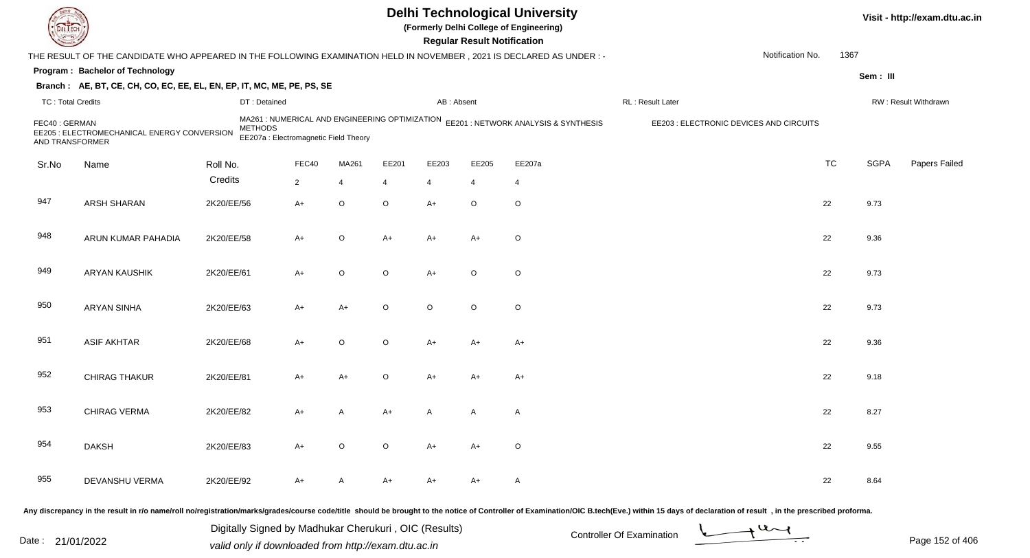|                                  |                                                                                                                     |                |                                                                                         |             |         |                | <b>Regular Result Notification</b> | <b>Delhi Technological University</b><br>(Formerly Delhi College of Engineering) |                                         |                  |           |             | Visit - http://exam.dtu.ac.in |
|----------------------------------|---------------------------------------------------------------------------------------------------------------------|----------------|-----------------------------------------------------------------------------------------|-------------|---------|----------------|------------------------------------|----------------------------------------------------------------------------------|-----------------------------------------|------------------|-----------|-------------|-------------------------------|
|                                  | THE RESULT OF THE CANDIDATE WHO APPEARED IN THE FOLLOWING EXAMINATION HELD IN NOVEMBER, 2021 IS DECLARED AS UNDER:- |                |                                                                                         |             |         |                |                                    |                                                                                  |                                         | Notification No. | 1367      |             |                               |
|                                  | Program: Bachelor of Technology                                                                                     |                |                                                                                         |             |         |                |                                    |                                                                                  |                                         |                  |           | Sem: III    |                               |
|                                  | Branch: AE, BT, CE, CH, CO, EC, EE, EL, EN, EP, IT, MC, ME, PE, PS, SE                                              |                |                                                                                         |             |         |                |                                    |                                                                                  |                                         |                  |           |             |                               |
| <b>TC: Total Credits</b>         |                                                                                                                     | DT: Detained   |                                                                                         |             |         | AB: Absent     |                                    |                                                                                  | RL: Result Later                        |                  |           |             | RW: Result Withdrawn          |
| FEC40: GERMAN<br>AND TRANSFORMER | EE205 : ELECTROMECHANICAL ENERGY CONVERSION                                                                         | <b>METHODS</b> | MA261 : NUMERICAL AND ENGINEERING OPTIMIZATION<br>EE207a : Electromagnetic Field Theory |             |         |                |                                    | EE201 : NETWORK ANALYSIS & SYNTHESIS                                             | EE203 : ELECTRONIC DEVICES AND CIRCUITS |                  |           |             |                               |
| Sr.No                            | Name                                                                                                                | Roll No.       | FEC40                                                                                   | MA261       | EE201   | EE203          | EE205                              | EE207a                                                                           |                                         |                  | <b>TC</b> | <b>SGPA</b> | Papers Failed                 |
|                                  |                                                                                                                     | Credits        | $\overline{2}$                                                                          | 4           | 4       | $\overline{4}$ | $\overline{4}$                     | 4                                                                                |                                         |                  |           |             |                               |
| 947                              | ARSH SHARAN                                                                                                         | 2K20/EE/56     | $A+$                                                                                    | $\mathsf O$ | $\circ$ | $A+$           | $\circ$                            | $\mathsf O$                                                                      |                                         |                  | 22        | 9.73        |                               |
| 948                              | ARUN KUMAR PAHADIA                                                                                                  | 2K20/EE/58     | A+                                                                                      | O           | A+      | $A+$           | $A+$                               | $\circ$                                                                          |                                         |                  | 22        | 9.36        |                               |
| 949                              | <b>ARYAN KAUSHIK</b>                                                                                                | 2K20/EE/61     | A+                                                                                      | $\mathsf O$ | O       | $A+$           | $\circ$                            | $\circ$                                                                          |                                         |                  | 22        | 9.73        |                               |
| 950                              | <b>ARYAN SINHA</b>                                                                                                  | 2K20/EE/63     | $A+$                                                                                    | A+          | O       | $\circ$        | $\circ$                            | $\circ$                                                                          |                                         |                  | 22        | 9.73        |                               |
| 951                              | <b>ASIF AKHTAR</b>                                                                                                  | 2K20/EE/68     | $A+$                                                                                    | O           | $\circ$ | $A+$           | $A+$                               | $A+$                                                                             |                                         |                  | 22        | 9.36        |                               |
| 952                              | CHIRAG THAKUR                                                                                                       | 2K20/EE/81     | $A+$                                                                                    | $A+$        | $\circ$ | $A+$           | $A+$                               | $A+$                                                                             |                                         |                  | 22        | 9.18        |                               |
| 953                              | <b>CHIRAG VERMA</b>                                                                                                 | 2K20/EE/82     | A+                                                                                      | A           | A+      | A              | A                                  | A                                                                                |                                         |                  | 22        | 8.27        |                               |
| 954                              | <b>DAKSH</b>                                                                                                        | 2K20/EE/83     | $A+$                                                                                    | $\circ$     | $\circ$ | $A+$           | $A+$                               | $\circ$                                                                          |                                         |                  | 22        | 9.55        |                               |
| 955                              | DEVANSHU VERMA                                                                                                      | 2K20/EE/92     | A+                                                                                      | A           | A+      | A+             | A+                                 | $\mathsf{A}$                                                                     |                                         |                  | 22        | 8.64        |                               |
|                                  |                                                                                                                     |                |                                                                                         |             |         |                |                                    |                                                                                  |                                         |                  |           |             |                               |

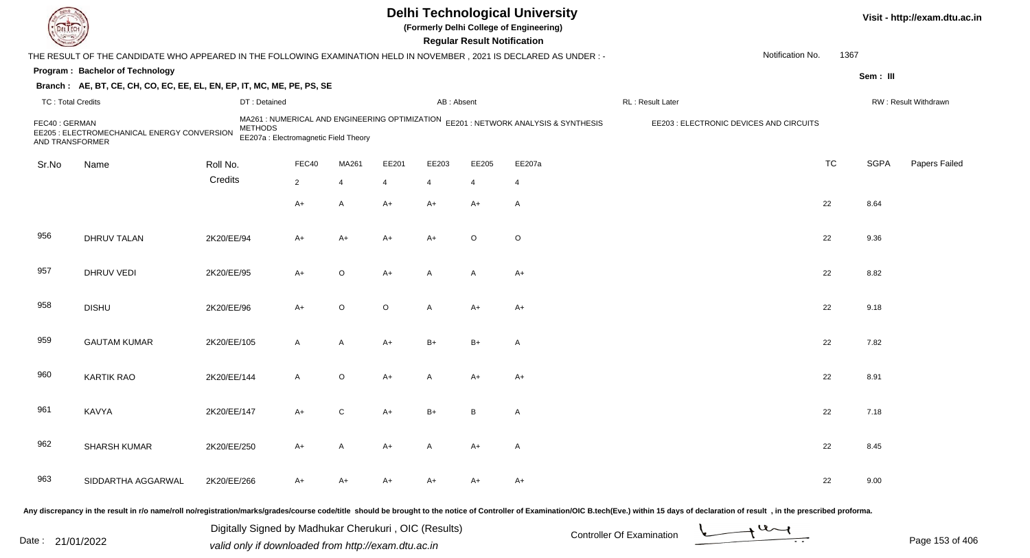|                                  |                                                                                                                      |                |                                                                                         |             |         |                | <b>Regular Result Notification</b> | <b>Delhi Technological University</b><br>(Formerly Delhi College of Engineering) |                                         |                  |           |             | Visit - http://exam.dtu.ac.in |
|----------------------------------|----------------------------------------------------------------------------------------------------------------------|----------------|-----------------------------------------------------------------------------------------|-------------|---------|----------------|------------------------------------|----------------------------------------------------------------------------------|-----------------------------------------|------------------|-----------|-------------|-------------------------------|
|                                  | THE RESULT OF THE CANDIDATE WHO APPEARED IN THE FOLLOWING EXAMINATION HELD IN NOVEMBER, 2021 IS DECLARED AS UNDER :- |                |                                                                                         |             |         |                |                                    |                                                                                  |                                         | Notification No. | 1367      |             |                               |
|                                  | Program: Bachelor of Technology                                                                                      |                |                                                                                         |             |         |                |                                    |                                                                                  |                                         |                  |           | Sem: III    |                               |
|                                  | Branch: AE, BT, CE, CH, CO, EC, EE, EL, EN, EP, IT, MC, ME, PE, PS, SE                                               |                |                                                                                         |             |         |                |                                    |                                                                                  |                                         |                  |           |             |                               |
| <b>TC: Total Credits</b>         |                                                                                                                      | DT: Detained   |                                                                                         |             |         | AB: Absent     |                                    |                                                                                  | RL: Result Later                        |                  |           |             | RW: Result Withdrawn          |
| FEC40: GERMAN<br>AND TRANSFORMER | EE205 : ELECTROMECHANICAL ENERGY CONVERSION                                                                          | <b>METHODS</b> | MA261 : NUMERICAL AND ENGINEERING OPTIMIZATION<br>EE207a : Electromagnetic Field Theory |             |         |                |                                    | EE201 : NETWORK ANALYSIS & SYNTHESIS                                             | EE203 : ELECTRONIC DEVICES AND CIRCUITS |                  |           |             |                               |
| Sr.No                            | Name                                                                                                                 | Roll No.       | FEC40                                                                                   | MA261       | EE201   | EE203          | EE205                              | EE207a                                                                           |                                         |                  | <b>TC</b> | <b>SGPA</b> | Papers Failed                 |
|                                  |                                                                                                                      | Credits        | $\overline{2}$                                                                          | 4           | 4       | 4              | 4                                  | 4                                                                                |                                         |                  |           |             |                               |
|                                  |                                                                                                                      |                | $A+$                                                                                    | A           | $A+$    | $A+$           | $A+$                               | $\mathsf{A}$                                                                     |                                         |                  | 22        | 8.64        |                               |
| 956                              | <b>DHRUV TALAN</b>                                                                                                   | 2K20/EE/94     | A+                                                                                      | A+          | A+      | $A+$           | $\circ$                            | $\circ$                                                                          |                                         |                  | 22        | 9.36        |                               |
| 957                              | DHRUV VEDI                                                                                                           | 2K20/EE/95     | A+                                                                                      | O           | A+      | $\overline{A}$ | $\mathsf{A}$                       | $A+$                                                                             |                                         |                  | 22        | 8.82        |                               |
| 958                              | <b>DISHU</b>                                                                                                         | 2K20/EE/96     | $A+$                                                                                    | $\mathsf O$ | $\circ$ | $\mathsf{A}$   | $A+$                               | $A+$                                                                             |                                         |                  | 22        | 9.18        |                               |
| 959                              | <b>GAUTAM KUMAR</b>                                                                                                  | 2K20/EE/105    | A                                                                                       | A           | A+      | $B+$           | $B+$                               | $\mathsf{A}$                                                                     |                                         |                  | 22        | 7.82        |                               |
| 960                              | <b>KARTIK RAO</b>                                                                                                    | 2K20/EE/144    | A                                                                                       | O           | A+      | A              | $A+$                               | $A+$                                                                             |                                         |                  | 22        | 8.91        |                               |
| 961                              | KAVYA                                                                                                                | 2K20/EE/147    | A+                                                                                      | С           | A+      | $B+$           | B                                  | A                                                                                |                                         |                  | 22        | 7.18        |                               |
| 962                              | SHARSH KUMAR                                                                                                         | 2K20/EE/250    | $A+$                                                                                    | A           | A+      | A              | $A+$                               | A                                                                                |                                         |                  | 22        | 8.45        |                               |
| 963                              | SIDDARTHA AGGARWAL                                                                                                   | 2K20/EE/266    | A+                                                                                      | A+          | A+      | A+             | A+                                 | $A+$                                                                             |                                         |                  | 22        | 9.00        |                               |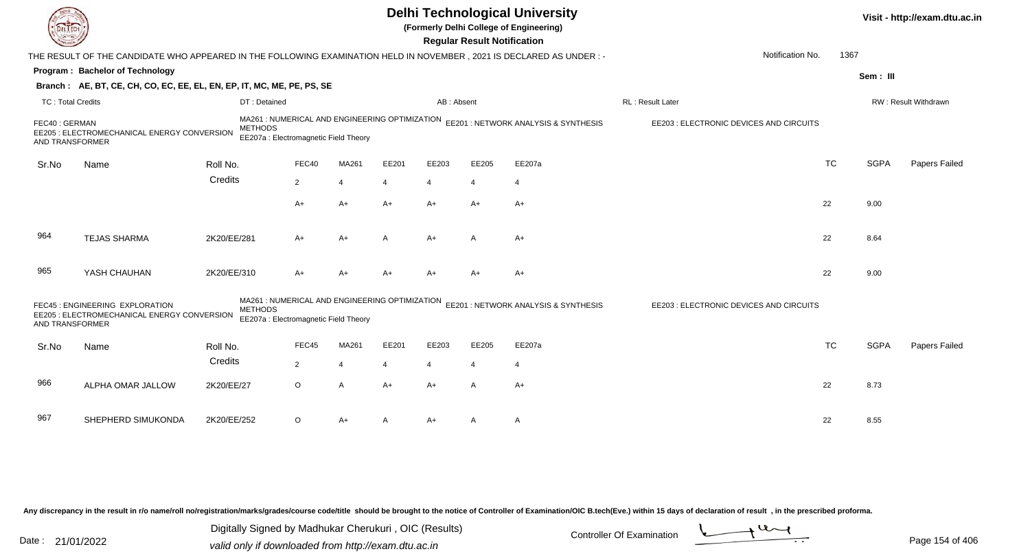|                                  |                                                                                                                      |                                                                                                           |                |                |                |                | <b>Regular Result Notification</b> | <b>Delhi Technological University</b><br>(Formerly Delhi College of Engineering)    |                                         |           |             | Visit - http://exam.dtu.ac.in |
|----------------------------------|----------------------------------------------------------------------------------------------------------------------|-----------------------------------------------------------------------------------------------------------|----------------|----------------|----------------|----------------|------------------------------------|-------------------------------------------------------------------------------------|-----------------------------------------|-----------|-------------|-------------------------------|
|                                  | THE RESULT OF THE CANDIDATE WHO APPEARED IN THE FOLLOWING EXAMINATION HELD IN NOVEMBER, 2021 IS DECLARED AS UNDER :- |                                                                                                           |                |                |                |                |                                    |                                                                                     | Notification No.                        | 1367      |             |                               |
|                                  | Program: Bachelor of Technology                                                                                      |                                                                                                           |                |                |                |                |                                    |                                                                                     |                                         |           | Sem: III    |                               |
|                                  | Branch: AE, BT, CE, CH, CO, EC, EE, EL, EN, EP, IT, MC, ME, PE, PS, SE                                               |                                                                                                           |                |                |                |                |                                    |                                                                                     |                                         |           |             |                               |
| <b>TC: Total Credits</b>         |                                                                                                                      | DT: Detained                                                                                              |                |                |                | AB: Absent     |                                    |                                                                                     | RL : Result Later                       |           |             | RW: Result Withdrawn          |
| FEC40: GERMAN<br>AND TRANSFORMER | EE205 : ELECTROMECHANICAL ENERGY CONVERSION                                                                          | <b>METHODS</b><br>EE207a : Electromagnetic Field Theory                                                   |                |                |                |                |                                    | MA261 : NUMERICAL AND ENGINEERING OPTIMIZATION EE201 : NETWORK ANALYSIS & SYNTHESIS | EE203 : ELECTRONIC DEVICES AND CIRCUITS |           |             |                               |
| Sr.No                            | Name                                                                                                                 | Roll No.                                                                                                  | FEC40          | MA261          | EE201          | EE203          | EE205                              | EE207a                                                                              |                                         | <b>TC</b> | <b>SGPA</b> | Papers Failed                 |
|                                  |                                                                                                                      | Credits                                                                                                   | $\overline{2}$ | $\overline{4}$ | 4              | 4              | $\overline{4}$                     | $\overline{4}$                                                                      |                                         |           |             |                               |
|                                  |                                                                                                                      |                                                                                                           | A+             | $A+$           | $A+$           | $A+$           | $A+$                               | $A+$                                                                                |                                         | 22        | 9.00        |                               |
| 964                              | <b>TEJAS SHARMA</b>                                                                                                  | 2K20/EE/281                                                                                               | A+             | $A+$           | A              | $A+$           | A                                  | A+                                                                                  |                                         | 22        | 8.64        |                               |
| 965                              | YASH CHAUHAN                                                                                                         | 2K20/EE/310                                                                                               | A+             | $A+$           | $A+$           | $A+$           | $A+$                               | $A+$                                                                                |                                         | 22        | 9.00        |                               |
| AND TRANSFORMER                  | FEC45 : ENGINEERING EXPLORATION<br>EE205 : ELECTROMECHANICAL ENERGY CONVERSION                                       | MA261 : NUMERICAL AND ENGINEERING OPTIMIZATION<br><b>METHODS</b><br>EE207a : Electromagnetic Field Theory |                |                |                |                |                                    | EE201: NETWORK ANALYSIS & SYNTHESIS                                                 | EE203 : ELECTRONIC DEVICES AND CIRCUITS |           |             |                               |
| Sr.No                            | Name                                                                                                                 | Roll No.                                                                                                  | FEC45          | MA261          | EE201          | EE203          | EE205                              | EE207a                                                                              |                                         | <b>TC</b> | <b>SGPA</b> | Papers Failed                 |
|                                  |                                                                                                                      | Credits                                                                                                   | $\overline{2}$ | $\overline{4}$ | $\overline{4}$ | $\overline{4}$ | $\overline{4}$                     | $\overline{4}$                                                                      |                                         |           |             |                               |
| 966                              | ALPHA OMAR JALLOW                                                                                                    | 2K20/EE/27                                                                                                | $\circ$        | $\overline{A}$ | $A+$           | $A+$           | A                                  | $A+$                                                                                |                                         | 22        | 8.73        |                               |
| 967                              | SHEPHERD SIMUKONDA                                                                                                   | 2K20/EE/252                                                                                               | $\circ$        | A+             | A              | A+             | A                                  | A                                                                                   |                                         | 22        | 8.55        |                               |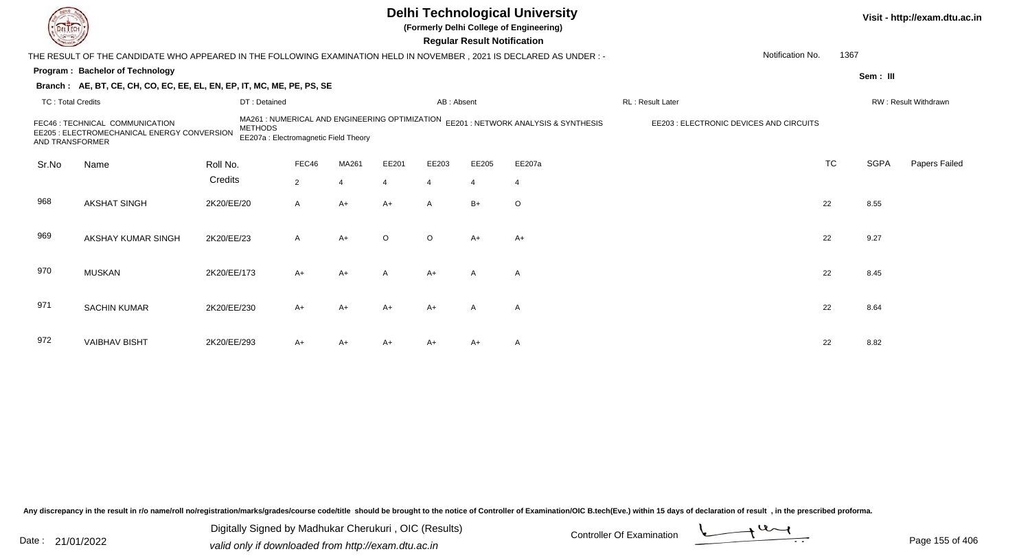|                          |                                                                                                                        |                |                                                                                         |                       |         |                | <b>Regular Result Notification</b> | <b>Delhi Technological University</b><br>(Formerly Delhi College of Engineering) |                                         |           |             | Visit - http://exam.dtu.ac.in |
|--------------------------|------------------------------------------------------------------------------------------------------------------------|----------------|-----------------------------------------------------------------------------------------|-----------------------|---------|----------------|------------------------------------|----------------------------------------------------------------------------------|-----------------------------------------|-----------|-------------|-------------------------------|
|                          | THE RESULT OF THE CANDIDATE WHO APPEARED IN THE FOLLOWING EXAMINATION HELD IN NOVEMBER , 2021 IS DECLARED AS UNDER : - |                |                                                                                         |                       |         |                |                                    |                                                                                  | Notification No.                        | 1367      |             |                               |
|                          | Program: Bachelor of Technology                                                                                        |                |                                                                                         |                       |         |                |                                    |                                                                                  |                                         |           | Sem: III    |                               |
|                          | Branch: AE, BT, CE, CH, CO, EC, EE, EL, EN, EP, IT, MC, ME, PE, PS, SE                                                 |                |                                                                                         |                       |         |                |                                    |                                                                                  |                                         |           |             |                               |
| <b>TC: Total Credits</b> |                                                                                                                        | DT: Detained   |                                                                                         |                       |         | AB: Absent     |                                    |                                                                                  | <b>RL: Result Later</b>                 |           |             | RW: Result Withdrawn          |
| AND TRANSFORMER          | FEC46 : TECHNICAL COMMUNICATION<br>EE205 : ELECTROMECHANICAL ENERGY CONVERSION                                         | <b>METHODS</b> | MA261 : NUMERICAL AND ENGINEERING OPTIMIZATION<br>EE207a : Electromagnetic Field Theory |                       |         |                |                                    | EE201 : NETWORK ANALYSIS & SYNTHESIS                                             | EE203 : ELECTRONIC DEVICES AND CIRCUITS |           |             |                               |
| Sr.No                    | Name                                                                                                                   | Roll No.       | FEC46                                                                                   | MA261                 | EE201   | EE203          | EE205                              | EE207a                                                                           |                                         | <b>TC</b> | <b>SGPA</b> | Papers Failed                 |
|                          |                                                                                                                        | Credits        | $\overline{2}$                                                                          | $\boldsymbol{\Delta}$ |         | $\overline{4}$ | $\overline{4}$                     | $\overline{4}$                                                                   |                                         |           |             |                               |
| 968                      | <b>AKSHAT SINGH</b>                                                                                                    | 2K20/EE/20     | A                                                                                       | $A+$                  | $A+$    | $\mathsf{A}$   | $B+$                               | $\circ$                                                                          |                                         | 22        | 8.55        |                               |
| 969                      | AKSHAY KUMAR SINGH                                                                                                     | 2K20/EE/23     | A                                                                                       | $A+$                  | $\circ$ | $\circ$        | $A+$                               | $A+$                                                                             |                                         | 22        | 9.27        |                               |
| 970                      | <b>MUSKAN</b>                                                                                                          | 2K20/EE/173    | $A+$                                                                                    | $A+$                  | A       | $A+$           | $\mathsf{A}$                       | A                                                                                |                                         | 22        | 8.45        |                               |
| 971                      | <b>SACHIN KUMAR</b>                                                                                                    | 2K20/EE/230    | $A+$                                                                                    | A+                    | A+      | $A+$           | A                                  | $\mathsf{A}$                                                                     |                                         | 22        | 8.64        |                               |
| 972                      | <b>VAIBHAV BISHT</b>                                                                                                   | 2K20/EE/293    | A+                                                                                      | A+                    | A+      | A+             | $A+$                               | $\mathsf{A}$                                                                     |                                         | 22        | 8.82        |                               |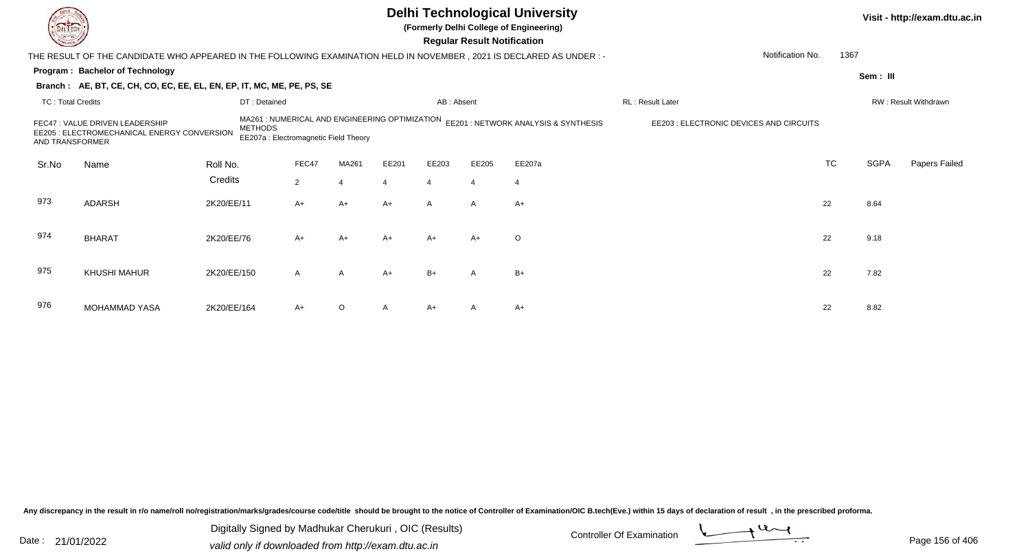|                          |                                                                                                                      |                |                                                                                         |                |                |                | <b>Regular Result Notification</b> | <b>Delhi Technological University</b><br>(Formerly Delhi College of Engineering) |                                         |           |             | Visit - http://exam.dtu.ac.in |
|--------------------------|----------------------------------------------------------------------------------------------------------------------|----------------|-----------------------------------------------------------------------------------------|----------------|----------------|----------------|------------------------------------|----------------------------------------------------------------------------------|-----------------------------------------|-----------|-------------|-------------------------------|
|                          | THE RESULT OF THE CANDIDATE WHO APPEARED IN THE FOLLOWING EXAMINATION HELD IN NOVEMBER, 2021 IS DECLARED AS UNDER :- |                |                                                                                         |                |                |                |                                    |                                                                                  | Notification No.                        | 1367      |             |                               |
|                          | Program: Bachelor of Technology                                                                                      |                |                                                                                         |                |                |                |                                    |                                                                                  |                                         |           | Sem: III    |                               |
|                          | Branch: AE, BT, CE, CH, CO, EC, EE, EL, EN, EP, IT, MC, ME, PE, PS, SE                                               |                |                                                                                         |                |                |                |                                    |                                                                                  |                                         |           |             |                               |
| <b>TC: Total Credits</b> |                                                                                                                      | DT: Detained   |                                                                                         |                |                | AB: Absent     |                                    |                                                                                  | RL: Result Later                        |           |             | RW: Result Withdrawn          |
| <b>AND TRANSFORMER</b>   | FEC47 : VALUE DRIVEN LEADERSHIP<br>EE205 : ELECTROMECHANICAL ENERGY CONVERSION                                       | <b>METHODS</b> | MA261 : NUMERICAL AND ENGINEERING OPTIMIZATION<br>EE207a : Electromagnetic Field Theory |                |                |                |                                    | EE201 : NETWORK ANALYSIS & SYNTHESIS                                             | EE203 : ELECTRONIC DEVICES AND CIRCUITS |           |             |                               |
| Sr.No                    | Name                                                                                                                 | Roll No.       | FEC47                                                                                   | MA261          | EE201          | EE203          | EE205                              | EE207a                                                                           |                                         | <b>TC</b> | <b>SGPA</b> | Papers Failed                 |
|                          |                                                                                                                      | Credits        | $\overline{2}$                                                                          |                | $\overline{4}$ | $\overline{4}$ | $\overline{4}$                     | $\overline{4}$                                                                   |                                         |           |             |                               |
| 973                      | <b>ADARSH</b>                                                                                                        | 2K20/EE/11     | $A+$                                                                                    | $A+$           | $A+$           | $\mathsf{A}$   | $\mathsf{A}$                       | $A+$                                                                             |                                         | 22        | 8.64        |                               |
| 974                      | <b>BHARAT</b>                                                                                                        | 2K20/EE/76     | $A+$                                                                                    | $A+$           | $A+$           | $A+$           | $A+$                               | $\circ$                                                                          |                                         | 22        | 9.18        |                               |
| 975                      | <b>KHUSHI MAHUR</b>                                                                                                  | 2K20/EE/150    | $\mathsf{A}$                                                                            | $\overline{A}$ | $A+$           | $B+$           | A                                  | $B+$                                                                             |                                         | 22        | 7.82        |                               |
| 976                      | <b>MOHAMMAD YASA</b>                                                                                                 | 2K20/EE/164    | A+                                                                                      | O              |                | $A+$           |                                    | $A+$                                                                             |                                         | 22        | 8.82        |                               |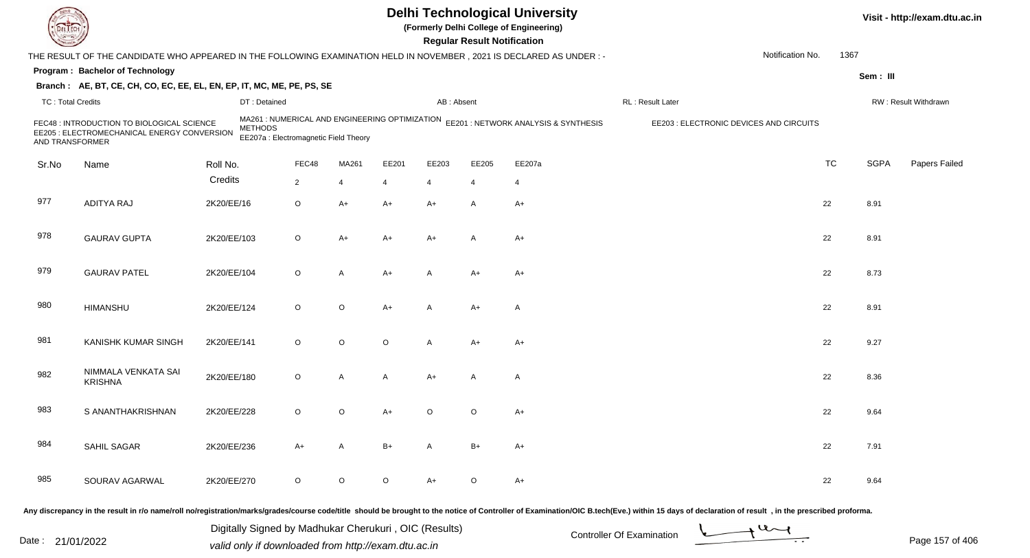|                          |                                                                                                                        |             |                                                                                                           |                |             |         |                | <b>Regular Result Notification</b> | <b>Delhi Technological University</b><br>(Formerly Delhi College of Engineering) |                  |                                         |           |             | Visit - http://exam.dtu.ac.in |
|--------------------------|------------------------------------------------------------------------------------------------------------------------|-------------|-----------------------------------------------------------------------------------------------------------|----------------|-------------|---------|----------------|------------------------------------|----------------------------------------------------------------------------------|------------------|-----------------------------------------|-----------|-------------|-------------------------------|
|                          | THE RESULT OF THE CANDIDATE WHO APPEARED IN THE FOLLOWING EXAMINATION HELD IN NOVEMBER , 2021 IS DECLARED AS UNDER : - |             |                                                                                                           |                |             |         |                |                                    |                                                                                  |                  | Notification No.                        | 1367      |             |                               |
|                          | Program: Bachelor of Technology                                                                                        |             |                                                                                                           |                |             |         |                |                                    |                                                                                  |                  |                                         |           | Sem: III    |                               |
|                          | Branch: AE, BT, CE, CH, CO, EC, EE, EL, EN, EP, IT, MC, ME, PE, PS, SE                                                 |             |                                                                                                           |                |             |         |                |                                    |                                                                                  |                  |                                         |           |             |                               |
| <b>TC: Total Credits</b> |                                                                                                                        |             | DT: Detained                                                                                              |                |             |         | AB: Absent     |                                    |                                                                                  | RL: Result Later |                                         |           |             | RW: Result Withdrawn          |
| AND TRANSFORMER          | FEC48 : INTRODUCTION TO BIOLOGICAL SCIENCE<br>EE205 : ELECTROMECHANICAL ENERGY CONVERSION                              |             | MA261 : NUMERICAL AND ENGINEERING OPTIMIZATION<br><b>METHODS</b><br>EE207a : Electromagnetic Field Theory |                |             |         |                |                                    | EE201 : NETWORK ANALYSIS & SYNTHESIS                                             |                  | EE203 : ELECTRONIC DEVICES AND CIRCUITS |           |             |                               |
| Sr.No                    | Name                                                                                                                   | Roll No.    |                                                                                                           | FEC48          | MA261       | EE201   | EE203          | EE205                              | EE207a                                                                           |                  |                                         | <b>TC</b> | <b>SGPA</b> | Papers Failed                 |
|                          |                                                                                                                        | Credits     |                                                                                                           | $\overline{2}$ | 4           | 4       | $\overline{4}$ | 4                                  | $\overline{4}$                                                                   |                  |                                         |           |             |                               |
| 977                      | <b>ADITYA RAJ</b>                                                                                                      | 2K20/EE/16  |                                                                                                           | O              | A+          | A+      | $A+$           | A                                  | $A+$                                                                             |                  |                                         | 22        | 8.91        |                               |
| 978                      | <b>GAURAV GUPTA</b>                                                                                                    | 2K20/EE/103 |                                                                                                           | O              | A+          | A+      | $A+$           | A                                  | A+                                                                               |                  |                                         | 22        | 8.91        |                               |
| 979                      | <b>GAURAV PATEL</b>                                                                                                    | 2K20/EE/104 |                                                                                                           | O              | A           | A+      | $\overline{A}$ | $A+$                               | $A+$                                                                             |                  |                                         | 22        | 8.73        |                               |
| 980                      | <b>HIMANSHU</b>                                                                                                        | 2K20/EE/124 |                                                                                                           | O              | O           | $A+$    | $\overline{A}$ | $A+$                               | $\mathsf{A}$                                                                     |                  |                                         | 22        | 8.91        |                               |
| 981                      | <b>KANISHK KUMAR SINGH</b>                                                                                             | 2K20/EE/141 |                                                                                                           | $\circ$        | $\circ$     | $\circ$ | $\mathsf{A}$   | $A+$                               | $A+$                                                                             |                  |                                         | 22        | 9.27        |                               |
| 982                      | NIMMALA VENKATA SAI<br><b>KRISHNA</b>                                                                                  | 2K20/EE/180 |                                                                                                           | O              | A           | A       | $A+$           | A                                  | $\mathsf{A}$                                                                     |                  |                                         | 22        | 8.36        |                               |
| 983                      | S ANANTHAKRISHNAN                                                                                                      | 2K20/EE/228 |                                                                                                           | O              | O           | A+      | O              | $\circ$                            | $A+$                                                                             |                  |                                         | 22        | 9.64        |                               |
| 984                      | SAHIL SAGAR                                                                                                            | 2K20/EE/236 |                                                                                                           | $A+$           | A           | B+      | $\mathsf{A}$   | $B+$                               | A+                                                                               |                  |                                         | 22        | 7.91        |                               |
| 985                      | SOURAV AGARWAL                                                                                                         | 2K20/EE/270 |                                                                                                           | $\circ$        | $\mathsf O$ | $\circ$ | $A+$           | $\circ$                            | $A+$                                                                             |                  |                                         | 22        | 9.64        |                               |
|                          |                                                                                                                        |             |                                                                                                           |                |             |         |                |                                    |                                                                                  |                  |                                         |           |             |                               |

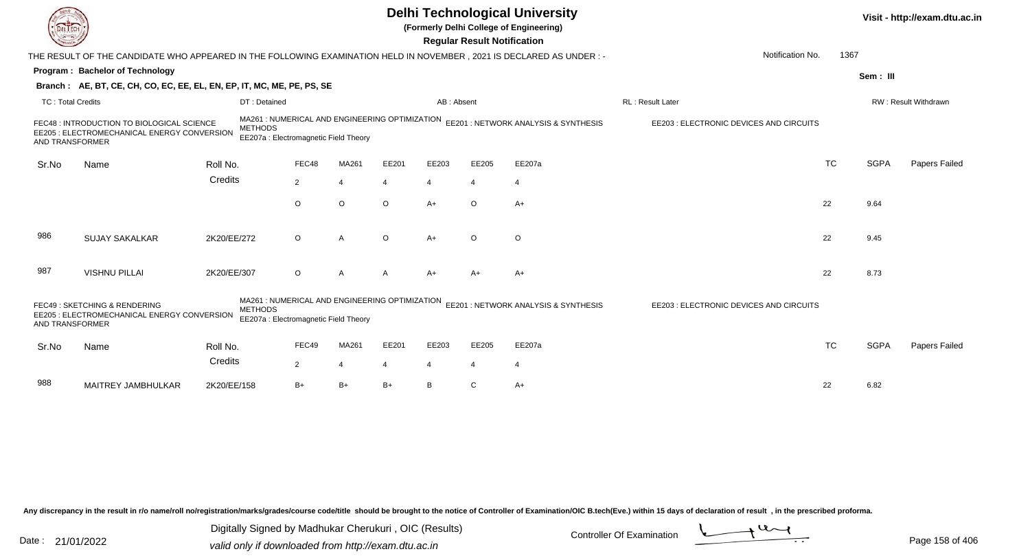|                          |                                                                                                                        |                |                                                                                         |         |         |                | <b>Regular Result Notification</b> | <b>Delhi Technological University</b><br>(Formerly Delhi College of Engineering) |                                         |           |             | Visit - http://exam.dtu.ac.in |
|--------------------------|------------------------------------------------------------------------------------------------------------------------|----------------|-----------------------------------------------------------------------------------------|---------|---------|----------------|------------------------------------|----------------------------------------------------------------------------------|-----------------------------------------|-----------|-------------|-------------------------------|
|                          | THE RESULT OF THE CANDIDATE WHO APPEARED IN THE FOLLOWING EXAMINATION HELD IN NOVEMBER , 2021 IS DECLARED AS UNDER : - |                |                                                                                         |         |         |                |                                    |                                                                                  | Notification No.                        | 1367      |             |                               |
|                          | <b>Program: Bachelor of Technology</b>                                                                                 |                |                                                                                         |         |         |                |                                    |                                                                                  |                                         |           | Sem: III    |                               |
|                          | Branch: AE, BT, CE, CH, CO, EC, EE, EL, EN, EP, IT, MC, ME, PE, PS, SE                                                 |                |                                                                                         |         |         |                |                                    |                                                                                  |                                         |           |             |                               |
| <b>TC: Total Credits</b> |                                                                                                                        | DT: Detained   |                                                                                         |         |         | AB: Absent     |                                    |                                                                                  | RL: Result Later                        |           |             | RW: Result Withdrawn          |
| AND TRANSFORMER          | FEC48 : INTRODUCTION TO BIOLOGICAL SCIENCE<br>EE205 : ELECTROMECHANICAL ENERGY CONVERSION                              | <b>METHODS</b> | MA261: NUMERICAL AND ENGINEERING OPTIMIZATION<br>EE207a : Electromagnetic Field Theory  |         |         |                |                                    | EE201: NETWORK ANALYSIS & SYNTHESIS                                              | EE203 : ELECTRONIC DEVICES AND CIRCUITS |           |             |                               |
| Sr.No                    | Name                                                                                                                   | Roll No.       | FEC48                                                                                   | MA261   | EE201   | EE203          | EE205                              | EE207a                                                                           |                                         | <b>TC</b> | <b>SGPA</b> | Papers Failed                 |
|                          |                                                                                                                        | Credits        | $\overline{2}$                                                                          | 4       | 4       | $\overline{4}$ | $\overline{4}$                     | 4                                                                                |                                         |           |             |                               |
|                          |                                                                                                                        |                | $\circ$                                                                                 | $\circ$ | $\circ$ | $A+$           | $\circ$                            | $A+$                                                                             |                                         | 22        | 9.64        |                               |
| 986                      | <b>SUJAY SAKALKAR</b>                                                                                                  | 2K20/EE/272    | $\circ$                                                                                 | A       | $\circ$ | $A+$           | $\Omega$                           | $\circ$                                                                          |                                         | 22        | 9.45        |                               |
| 987                      | <b>VISHNU PILLAI</b>                                                                                                   | 2K20/EE/307    | O                                                                                       | A       |         | $A+$           | $A+$                               | A+                                                                               |                                         | 22        | 8.73        |                               |
| AND TRANSFORMER          | FEC49: SKETCHING & RENDERING<br>EE205 : ELECTROMECHANICAL ENERGY CONVERSION                                            | <b>METHODS</b> | MA261 : NUMERICAL AND ENGINEERING OPTIMIZATION<br>EE207a : Electromagnetic Field Theory |         |         |                |                                    | EE201 : NETWORK ANALYSIS & SYNTHESIS                                             | EE203 : ELECTRONIC DEVICES AND CIRCUITS |           |             |                               |
| Sr.No                    | Name                                                                                                                   | Roll No.       | FEC49                                                                                   | MA261   | EE201   | EE203          | EE205                              | EE207a                                                                           |                                         | <b>TC</b> | <b>SGPA</b> | Papers Failed                 |
|                          |                                                                                                                        | Credits        | $\overline{2}$                                                                          | 4       |         | 4              | 4                                  | $\overline{4}$                                                                   |                                         |           |             |                               |
| 988                      | MAITREY JAMBHULKAR                                                                                                     | 2K20/EE/158    | $B+$                                                                                    | $B+$    | B+      | B              |                                    | $A+$                                                                             |                                         | 22        | 6.82        |                               |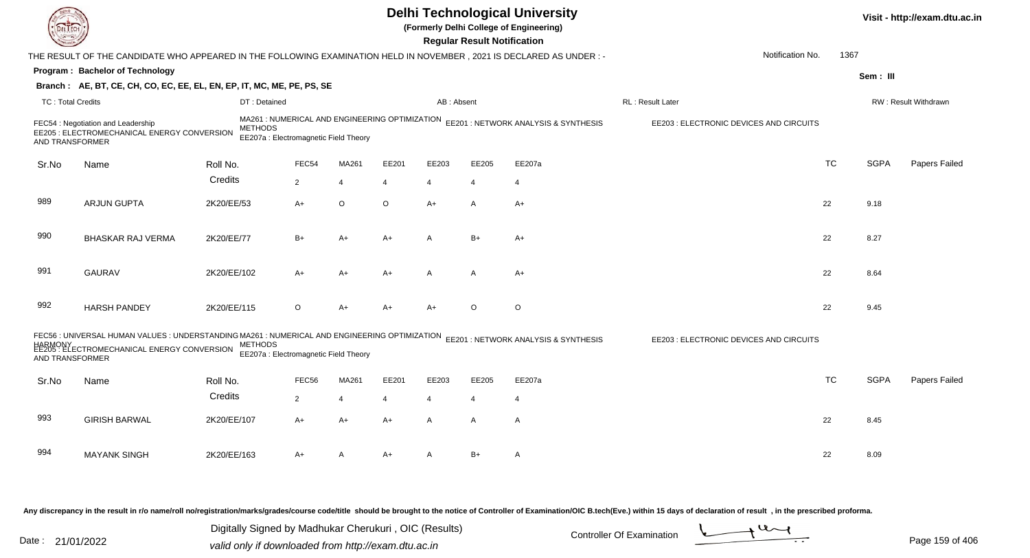|                          |                                                                                                                                                         |                |                                                                                         |                |       |                | <b>Regular Result Notification</b> | <b>Delhi Technological University</b><br>(Formerly Delhi College of Engineering) |                                         |           |             | Visit - http://exam.dtu.ac.in |
|--------------------------|---------------------------------------------------------------------------------------------------------------------------------------------------------|----------------|-----------------------------------------------------------------------------------------|----------------|-------|----------------|------------------------------------|----------------------------------------------------------------------------------|-----------------------------------------|-----------|-------------|-------------------------------|
|                          | THE RESULT OF THE CANDIDATE WHO APPEARED IN THE FOLLOWING EXAMINATION HELD IN NOVEMBER, 2021 IS DECLARED AS UNDER :-                                    |                |                                                                                         |                |       |                |                                    |                                                                                  | Notification No.                        | 1367      |             |                               |
|                          | Program: Bachelor of Technology                                                                                                                         |                |                                                                                         |                |       |                |                                    |                                                                                  |                                         |           | Sem: III    |                               |
|                          | Branch: AE, BT, CE, CH, CO, EC, EE, EL, EN, EP, IT, MC, ME, PE, PS, SE                                                                                  |                |                                                                                         |                |       |                |                                    |                                                                                  |                                         |           |             |                               |
| <b>TC: Total Credits</b> |                                                                                                                                                         | DT: Detained   |                                                                                         |                |       | AB: Absent     |                                    |                                                                                  | RL: Result Later                        |           |             | RW: Result Withdrawn          |
| AND TRANSFORMER          | FEC54 : Negotiation and Leadership<br>EE205 : ELECTROMECHANICAL ENERGY CONVERSION                                                                       | <b>METHODS</b> | MA261 : NUMERICAL AND ENGINEERING OPTIMIZATION<br>EE207a : Electromagnetic Field Theory |                |       |                |                                    | EE201 : NETWORK ANALYSIS & SYNTHESIS                                             | EE203 : ELECTRONIC DEVICES AND CIRCUITS |           |             |                               |
| Sr.No                    | Name                                                                                                                                                    | Roll No.       | FEC54                                                                                   | MA261          | EE201 | EE203          | EE205                              | EE207a                                                                           |                                         | <b>TC</b> | <b>SGPA</b> | Papers Failed                 |
|                          |                                                                                                                                                         | Credits        | $\overline{2}$                                                                          | $\overline{4}$ | 4     | $\overline{4}$ | $\overline{4}$                     | $\overline{4}$                                                                   |                                         |           |             |                               |
| 989                      | <b>ARJUN GUPTA</b>                                                                                                                                      | 2K20/EE/53     | $A+$                                                                                    | O              | O     | $A+$           | A                                  | $A+$                                                                             |                                         | 22        | 9.18        |                               |
| 990                      | <b>BHASKAR RAJ VERMA</b>                                                                                                                                | 2K20/EE/77     | $B+$                                                                                    | $A+$           | A+    | A              | $B+$                               | $A+$                                                                             |                                         | 22        | 8.27        |                               |
| 991                      | <b>GAURAV</b>                                                                                                                                           | 2K20/EE/102    | A+                                                                                      | A+             | A+    | $\overline{A}$ | $\mathsf{A}$                       | $A+$                                                                             |                                         | 22        | 8.64        |                               |
| 992                      | <b>HARSH PANDEY</b>                                                                                                                                     | 2K20/EE/115    | $\circ$                                                                                 | $A+$           | A+    | $A+$           | $\circ$                            | $\circ$                                                                          |                                         | 22        | 9.45        |                               |
| AND TRANSFORMER          | FEC56 : UNIVERSAL HUMAN VALUES : UNDERSTANDING MA261 : NUMERICAL AND ENGINEERING OPTIMIZATION<br>HARMONY<br>EE205 : ELECTROMECHANICAL ENERGY CONVERSION | <b>METHODS</b> | EE207a : Electromagnetic Field Theory                                                   |                |       |                |                                    | EE201 : NETWORK ANALYSIS & SYNTHESIS                                             | EE203 : ELECTRONIC DEVICES AND CIRCUITS |           |             |                               |
| Sr.No                    | Name                                                                                                                                                    | Roll No.       | FEC56                                                                                   | MA261          | EE201 | EE203          | EE205                              | EE207a                                                                           |                                         | <b>TC</b> | <b>SGPA</b> | Papers Failed                 |
|                          |                                                                                                                                                         | Credits        | $\overline{2}$                                                                          | $\overline{4}$ | 4     | $\overline{4}$ | $\overline{4}$                     | $\overline{4}$                                                                   |                                         |           |             |                               |
|                          |                                                                                                                                                         |                |                                                                                         |                |       |                |                                    |                                                                                  |                                         |           |             |                               |
| 993                      | <b>GIRISH BARWAL</b>                                                                                                                                    | 2K20/EE/107    | A+                                                                                      | A+             | A+    | $\mathsf{A}$   | A                                  | $\mathsf{A}$                                                                     |                                         | 22        | 8.45        |                               |
| 994                      | <b>MAYANK SINGH</b>                                                                                                                                     | 2K20/EE/163    | A+                                                                                      | A              | A+    | A              | $B+$                               | A                                                                                |                                         | 22        | 8.09        |                               |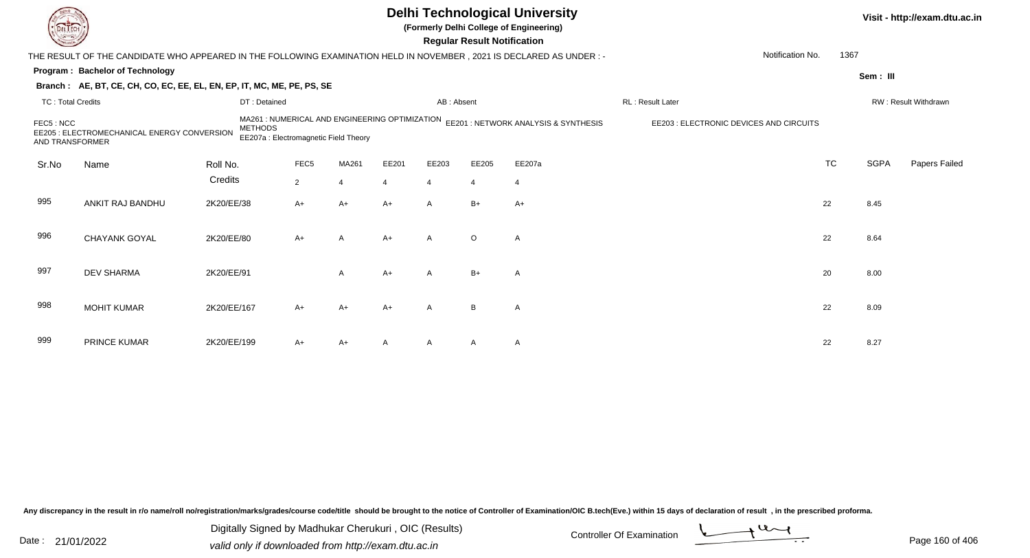|                              |                                                                                                                        |                |                                                                                         |       |       |                | <b>Regular Result Notification</b> | <b>Delhi Technological University</b><br>(Formerly Delhi College of Engineering) |                                         |           |             | Visit - http://exam.dtu.ac.in |
|------------------------------|------------------------------------------------------------------------------------------------------------------------|----------------|-----------------------------------------------------------------------------------------|-------|-------|----------------|------------------------------------|----------------------------------------------------------------------------------|-----------------------------------------|-----------|-------------|-------------------------------|
|                              | THE RESULT OF THE CANDIDATE WHO APPEARED IN THE FOLLOWING EXAMINATION HELD IN NOVEMBER , 2021 IS DECLARED AS UNDER : - |                |                                                                                         |       |       |                |                                    |                                                                                  | Notification No.                        | 1367      |             |                               |
|                              | Program: Bachelor of Technology                                                                                        |                |                                                                                         |       |       |                |                                    |                                                                                  |                                         |           | Sem: III    |                               |
|                              | Branch: AE, BT, CE, CH, CO, EC, EE, EL, EN, EP, IT, MC, ME, PE, PS, SE                                                 |                |                                                                                         |       |       |                |                                    |                                                                                  |                                         |           |             |                               |
| <b>TC: Total Credits</b>     |                                                                                                                        | DT: Detained   |                                                                                         |       |       | AB: Absent     |                                    |                                                                                  | RL: Result Later                        |           |             | RW: Result Withdrawn          |
| FEC5: NCC<br>AND TRANSFORMER | EE205 : ELECTROMECHANICAL ENERGY CONVERSION                                                                            | <b>METHODS</b> | MA261 : NUMERICAL AND ENGINEERING OPTIMIZATION<br>EE207a : Electromagnetic Field Theory |       |       |                |                                    | EE201 : NETWORK ANALYSIS & SYNTHESIS                                             | EE203 : ELECTRONIC DEVICES AND CIRCUITS |           |             |                               |
| Sr.No                        | Name                                                                                                                   | Roll No.       | FEC <sub>5</sub>                                                                        | MA261 | EE201 | EE203          | EE205                              | EE207a                                                                           |                                         | <b>TC</b> | <b>SGPA</b> | Papers Failed                 |
|                              |                                                                                                                        | Credits        | $\overline{2}$                                                                          | 4     |       | $\overline{4}$ | $\overline{4}$                     | $\overline{4}$                                                                   |                                         |           |             |                               |
| 995                          | ANKIT RAJ BANDHU                                                                                                       | 2K20/EE/38     | A+                                                                                      | $A+$  | A+    | $\mathsf{A}$   | $B+$                               | $A+$                                                                             |                                         | 22        | 8.45        |                               |
| 996                          | <b>CHAYANK GOYAL</b>                                                                                                   | 2K20/EE/80     | $A+$                                                                                    | A     | $A+$  | $\overline{A}$ | $\circ$                            | A                                                                                |                                         | 22        | 8.64        |                               |
| 997                          | <b>DEV SHARMA</b>                                                                                                      | 2K20/EE/91     |                                                                                         | A     | $A+$  | $\mathsf{A}$   | $B+$                               | $\mathsf{A}$                                                                     |                                         | 20        | 8.00        |                               |
| 998                          | <b>MOHIT KUMAR</b>                                                                                                     | 2K20/EE/167    | $A+$                                                                                    | $A+$  | A+    | $\overline{A}$ | B                                  | A                                                                                |                                         | 22        | 8.09        |                               |
| 999                          | <b>PRINCE KUMAR</b>                                                                                                    | 2K20/EE/199    | A+                                                                                      | $A+$  |       |                | A                                  | $\mathsf{A}$                                                                     |                                         | 22        | 8.27        |                               |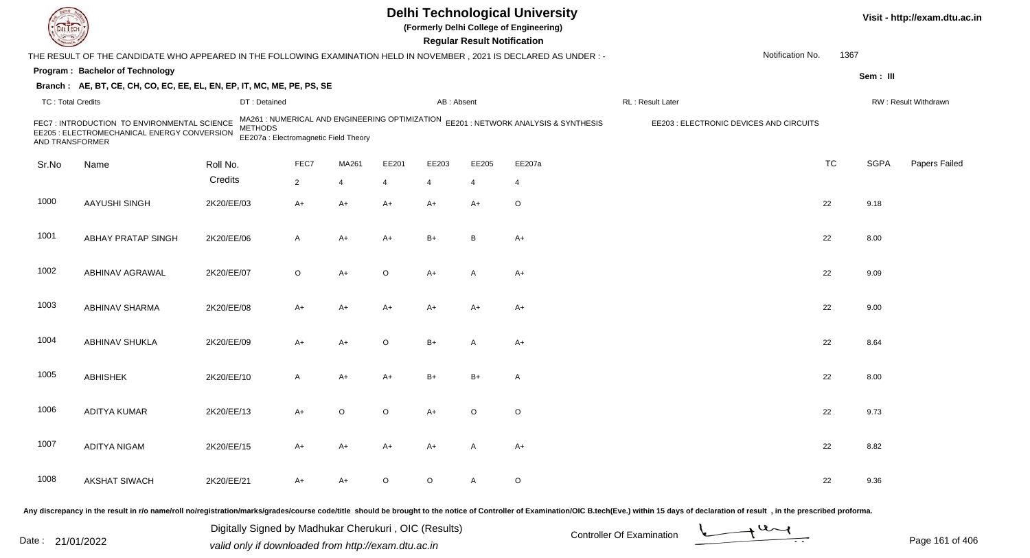| <b>DELTECT</b>           |                                                                                                                                                                                                                                |            |                                                         |                |                |                |                | <b>Regular Result Notification</b> | <b>Delhi Technological University</b><br>(Formerly Delhi College of Engineering)    |                  |                                         |                  |           |             | Visit - http://exam.dtu.ac.in |
|--------------------------|--------------------------------------------------------------------------------------------------------------------------------------------------------------------------------------------------------------------------------|------------|---------------------------------------------------------|----------------|----------------|----------------|----------------|------------------------------------|-------------------------------------------------------------------------------------|------------------|-----------------------------------------|------------------|-----------|-------------|-------------------------------|
|                          | THE RESULT OF THE CANDIDATE WHO APPEARED IN THE FOLLOWING EXAMINATION HELD IN NOVEMBER, 2021 IS DECLARED AS UNDER: -                                                                                                           |            |                                                         |                |                |                |                |                                    |                                                                                     |                  |                                         | Notification No. | 1367      |             |                               |
|                          | Program: Bachelor of Technology                                                                                                                                                                                                |            |                                                         |                |                |                |                |                                    |                                                                                     |                  |                                         |                  |           | Sem: III    |                               |
|                          | Branch: AE, BT, CE, CH, CO, EC, EE, EL, EN, EP, IT, MC, ME, PE, PS, SE                                                                                                                                                         |            |                                                         |                |                |                |                |                                    |                                                                                     |                  |                                         |                  |           |             |                               |
| <b>TC: Total Credits</b> |                                                                                                                                                                                                                                |            | DT: Detained                                            |                |                |                | AB: Absent     |                                    |                                                                                     | RL: Result Later |                                         |                  |           |             | RW: Result Withdrawn          |
| AND TRANSFORMER          | FEC7: INTRODUCTION TO ENVIRONMENTAL SCIENCE<br>EE205 : ELECTROMECHANICAL ENERGY CONVERSION                                                                                                                                     |            | <b>METHODS</b><br>EE207a : Electromagnetic Field Theory |                |                |                |                |                                    | MA261 : NUMERICAL AND ENGINEERING OPTIMIZATION EE201 : NETWORK ANALYSIS & SYNTHESIS |                  | EE203 : ELECTRONIC DEVICES AND CIRCUITS |                  |           |             |                               |
| Sr.No                    | Name                                                                                                                                                                                                                           | Roll No.   |                                                         | FEC7           | MA261          | EE201          | EE203          | EE205                              | EE207a                                                                              |                  |                                         |                  | <b>TC</b> | <b>SGPA</b> | Papers Failed                 |
|                          |                                                                                                                                                                                                                                | Credits    |                                                         | $\overline{2}$ | $\overline{4}$ | $\overline{4}$ | $\overline{4}$ | 4                                  | $\overline{4}$                                                                      |                  |                                         |                  |           |             |                               |
| 1000                     | AAYUSHI SINGH                                                                                                                                                                                                                  | 2K20/EE/03 |                                                         | $A+$           | A+             | $A+$           | $A+$           | $A+$                               | O                                                                                   |                  |                                         |                  | 22        | 9.18        |                               |
| 1001                     | <b>ABHAY PRATAP SINGH</b>                                                                                                                                                                                                      | 2K20/EE/06 |                                                         | A              | A+             | $A+$           | $B+$           | B                                  | $A+$                                                                                |                  |                                         |                  | 22        | 8.00        |                               |
| 1002                     | <b>ABHINAV AGRAWAL</b>                                                                                                                                                                                                         | 2K20/EE/07 |                                                         | O              | A+             | $\circ$        | $A+$           | A                                  | $A+$                                                                                |                  |                                         |                  | 22        | 9.09        |                               |
| 1003                     | ABHINAV SHARMA                                                                                                                                                                                                                 | 2K20/EE/08 |                                                         | A+             | A+             | $A+$           | $A+$           | $A+$                               | $A+$                                                                                |                  |                                         |                  | 22        | 9.00        |                               |
| 1004                     | ABHINAV SHUKLA                                                                                                                                                                                                                 | 2K20/EE/09 |                                                         | A+             | A+             | $\circ$        | $B+$           | A                                  | $A+$                                                                                |                  |                                         |                  | 22        | 8.64        |                               |
| 1005                     | <b>ABHISHEK</b>                                                                                                                                                                                                                | 2K20/EE/10 |                                                         | A              | A+             | $A+$           | $B+$           | $B+$                               | Α                                                                                   |                  |                                         |                  | 22        | 8.00        |                               |
| 1006                     | ADITYA KUMAR                                                                                                                                                                                                                   | 2K20/EE/13 |                                                         | A+             | $\circ$        | $\circ$        | A+             | $\circ$                            | $\mathsf O$                                                                         |                  |                                         |                  | 22        | 9.73        |                               |
| 1007                     | <b>ADITYA NIGAM</b>                                                                                                                                                                                                            | 2K20/EE/15 |                                                         | A+             | A+             | $A+$           | A+             | A                                  | A+                                                                                  |                  |                                         |                  | 22        | 8.82        |                               |
| 1008                     | <b>AKSHAT SIWACH</b>                                                                                                                                                                                                           | 2K20/EE/21 |                                                         | A+             | A+             | $\circ$        | $\circ$        | A                                  | $\mathsf O$                                                                         |                  |                                         |                  | 22        | 9.36        |                               |
|                          | Any discrepancy in the result in r/o name/roll no/registration/marks/grades/course code/title should be brought to the notice of Controller of Examination/OIC B.tech(Eve.) within 15 days of declaration of result , in the p |            |                                                         |                |                |                |                |                                    |                                                                                     |                  |                                         |                  |           |             |                               |

Date : 21/01/2022 Digital Digital of Microsofted Controller Of Examination Determination Page 161 of 40 Digitally Signed by Madhukar Cherukuri , OIC (Results)

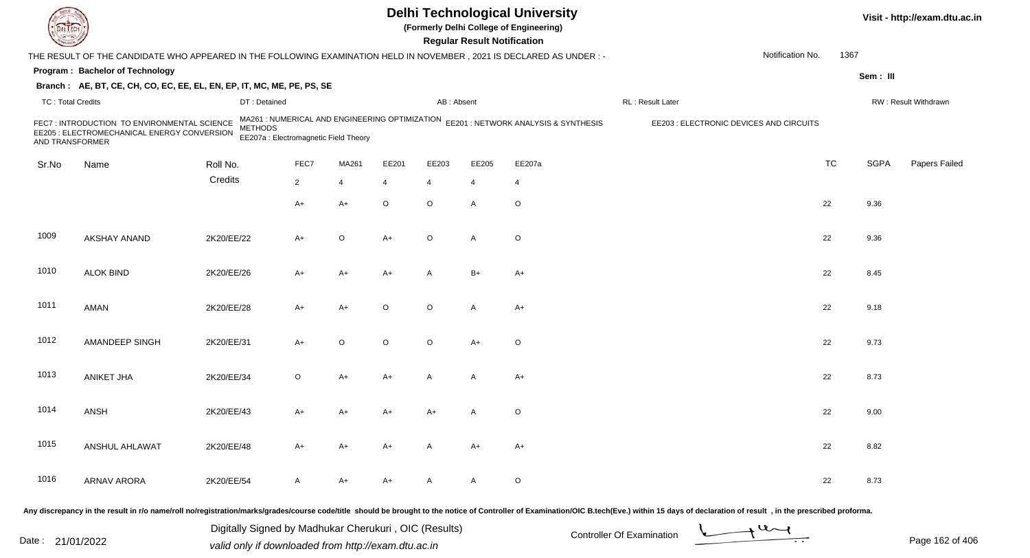| <b>DELTECT</b>           |                                                                                                                                                                                                                                |            |                                                         |                |                |                |            | <b>Regular Result Notification</b> | <b>Delhi Technological University</b><br>(Formerly Delhi College of Engineering)    |                   |                                         |           |             | Visit - http://exam.dtu.ac.in |
|--------------------------|--------------------------------------------------------------------------------------------------------------------------------------------------------------------------------------------------------------------------------|------------|---------------------------------------------------------|----------------|----------------|----------------|------------|------------------------------------|-------------------------------------------------------------------------------------|-------------------|-----------------------------------------|-----------|-------------|-------------------------------|
|                          | THE RESULT OF THE CANDIDATE WHO APPEARED IN THE FOLLOWING EXAMINATION HELD IN NOVEMBER, 2021 IS DECLARED AS UNDER :-                                                                                                           |            |                                                         |                |                |                |            |                                    |                                                                                     |                   | Notification No.                        | 1367      |             |                               |
|                          | Program: Bachelor of Technology                                                                                                                                                                                                |            |                                                         |                |                |                |            |                                    |                                                                                     |                   |                                         |           | Sem: III    |                               |
|                          | Branch: AE, BT, CE, CH, CO, EC, EE, EL, EN, EP, IT, MC, ME, PE, PS, SE                                                                                                                                                         |            |                                                         |                |                |                |            |                                    |                                                                                     |                   |                                         |           |             |                               |
| <b>TC: Total Credits</b> |                                                                                                                                                                                                                                |            | DT: Detained                                            |                |                |                | AB: Absent |                                    |                                                                                     | RL : Result Later |                                         |           |             | RW: Result Withdrawn          |
| AND TRANSFORMER          | FEC7: INTRODUCTION TO ENVIRONMENTAL SCIENCE<br>EE205 : ELECTROMECHANICAL ENERGY CONVERSION                                                                                                                                     |            | <b>METHODS</b><br>EE207a : Electromagnetic Field Theory |                |                |                |            |                                    | MA261 : NUMERICAL AND ENGINEERING OPTIMIZATION EE201 : NETWORK ANALYSIS & SYNTHESIS |                   | EE203 : ELECTRONIC DEVICES AND CIRCUITS |           |             |                               |
| Sr.No                    | Name                                                                                                                                                                                                                           | Roll No.   |                                                         | FEC7           | MA261          | EE201          | EE203      | EE205                              | EE207a                                                                              |                   |                                         | <b>TC</b> | <b>SGPA</b> | Papers Failed                 |
|                          |                                                                                                                                                                                                                                | Credits    |                                                         | $\overline{2}$ | $\overline{4}$ | $\overline{4}$ | 4          | 4                                  | $\overline{4}$                                                                      |                   |                                         |           |             |                               |
|                          |                                                                                                                                                                                                                                |            |                                                         | $A+$           | $A+$           | $\circ$        | $\circ$    | A                                  | $\mathsf O$                                                                         |                   |                                         | 22        | 9.36        |                               |
| 1009                     | <b>AKSHAY ANAND</b>                                                                                                                                                                                                            | 2K20/EE/22 |                                                         | A+             | $\circ$        | $A+$           | $\circ$    | A                                  | O                                                                                   |                   |                                         | 22        | 9.36        |                               |
| 1010                     | <b>ALOK BIND</b>                                                                                                                                                                                                               | 2K20/EE/26 |                                                         | A+             | A+             | $A+$           | A          | $B+$                               | $A+$                                                                                |                   |                                         | 22        | 8.45        |                               |
| 1011                     | AMAN                                                                                                                                                                                                                           | 2K20/EE/28 |                                                         | A+             | $A+$           | $\circ$        | $\circ$    | A                                  | $A+$                                                                                |                   |                                         | 22        | 9.18        |                               |
| 1012                     | AMANDEEP SINGH                                                                                                                                                                                                                 | 2K20/EE/31 |                                                         | $A+$           | $\circ$        | $\circ$        | $\circ$    | $A+$                               | O                                                                                   |                   |                                         | 22        | 9.73        |                               |
| 1013                     | <b>ANIKET JHA</b>                                                                                                                                                                                                              | 2K20/EE/34 |                                                         | O              | A+             | $A+$           | A          | A                                  | $A+$                                                                                |                   |                                         | 22        | 8.73        |                               |
| 1014                     | ANSH                                                                                                                                                                                                                           | 2K20/EE/43 |                                                         | A+             | A+             | $A+$           | A+         | A                                  | $\mathsf O$                                                                         |                   |                                         | 22        | 9.00        |                               |
| 1015                     | ANSHUL AHLAWAT                                                                                                                                                                                                                 | 2K20/EE/48 |                                                         | A+             | A+             | $A+$           | A          | $A+$                               | A+                                                                                  |                   |                                         | 22        | 8.82        |                               |
| 1016                     | <b>ARNAV ARORA</b>                                                                                                                                                                                                             | 2K20/EE/54 |                                                         | A              | A+             | $A+$           | A          | A                                  | $\mathsf O$                                                                         |                   |                                         | 22        | 8.73        |                               |
|                          | Any discrepancy in the result in r/o name/roll no/registration/marks/grades/course code/title should be brought to the notice of Controller of Examination/OIC B.tech(Eve.) within 15 days of declaration of result , in the p |            |                                                         |                |                |                |            |                                    |                                                                                     |                   |                                         |           |             |                               |

Date : 21/01/2022 Digital Digital of Microsofted Chemical Controller Of Examination Determination Page 162 of 40 Digitally Signed by Madhukar Cherukuri , OIC (Results)

Page 162 of 406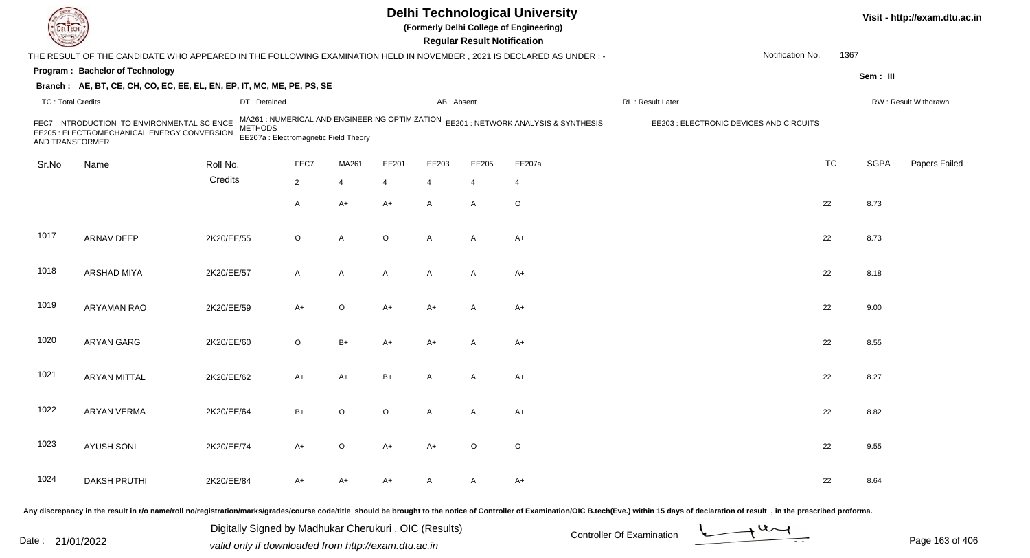|                          |                                                                                                                     |                                                                                                           |                |             |         |                | <b>Regular Result Notification</b> | <b>Delhi Technological University</b><br>(Formerly Delhi College of Engineering) |                                                                                                                                                                   |                  |           |             | Visit - http://exam.dtu.ac.in |
|--------------------------|---------------------------------------------------------------------------------------------------------------------|-----------------------------------------------------------------------------------------------------------|----------------|-------------|---------|----------------|------------------------------------|----------------------------------------------------------------------------------|-------------------------------------------------------------------------------------------------------------------------------------------------------------------|------------------|-----------|-------------|-------------------------------|
|                          | THE RESULT OF THE CANDIDATE WHO APPEARED IN THE FOLLOWING EXAMINATION HELD IN NOVEMBER, 2021 IS DECLARED AS UNDER:- |                                                                                                           |                |             |         |                |                                    |                                                                                  |                                                                                                                                                                   | Notification No. | 1367      |             |                               |
|                          | Program: Bachelor of Technology                                                                                     |                                                                                                           |                |             |         |                |                                    |                                                                                  |                                                                                                                                                                   |                  |           | Sem: III    |                               |
|                          | Branch: AE, BT, CE, CH, CO, EC, EE, EL, EN, EP, IT, MC, ME, PE, PS, SE                                              |                                                                                                           |                |             |         |                |                                    |                                                                                  |                                                                                                                                                                   |                  |           |             |                               |
| <b>TC: Total Credits</b> |                                                                                                                     | DT: Detained                                                                                              |                |             |         | AB: Absent     |                                    |                                                                                  | RL: Result Later                                                                                                                                                  |                  |           |             | RW: Result Withdrawn          |
| AND TRANSFORMER          | FEC7 : INTRODUCTION TO ENVIRONMENTAL SCIENCE<br>EE205 : ELECTROMECHANICAL ENERGY CONVERSION                         | MA261 : NUMERICAL AND ENGINEERING OPTIMIZATION<br><b>METHODS</b><br>EE207a : Electromagnetic Field Theory |                |             |         |                |                                    | EE201 : NETWORK ANALYSIS & SYNTHESIS                                             | EE203 : ELECTRONIC DEVICES AND CIRCUITS                                                                                                                           |                  |           |             |                               |
| Sr.No                    | Name                                                                                                                | Roll No.                                                                                                  | FEC7           | MA261       | EE201   | EE203          | EE205                              | EE207a                                                                           |                                                                                                                                                                   |                  | <b>TC</b> | <b>SGPA</b> | Papers Failed                 |
|                          |                                                                                                                     | Credits                                                                                                   | $\overline{2}$ | 4           | 4       | $\overline{4}$ | 4                                  | 4                                                                                |                                                                                                                                                                   |                  |           |             |                               |
|                          |                                                                                                                     |                                                                                                           | A              | A+          | A+      | $\mathsf{A}$   | A                                  | $\circ$                                                                          |                                                                                                                                                                   |                  | 22        | 8.73        |                               |
| 1017                     | ARNAV DEEP                                                                                                          | 2K20/EE/55                                                                                                | O              | A           | $\circ$ | $\overline{A}$ | A                                  | $A+$                                                                             |                                                                                                                                                                   |                  | 22        | 8.73        |                               |
| 1018                     | <b>ARSHAD MIYA</b>                                                                                                  | 2K20/EE/57                                                                                                | A              | A           | A       | $\mathsf{A}$   | A                                  | $A+$                                                                             |                                                                                                                                                                   |                  | 22        | 8.18        |                               |
| 1019                     | <b>ARYAMAN RAO</b>                                                                                                  | 2K20/EE/59                                                                                                | A+             | $\mathsf O$ | A+      | A+             | A                                  | $A+$                                                                             |                                                                                                                                                                   |                  | 22        | 9.00        |                               |
| 1020                     | ARYAN GARG                                                                                                          | 2K20/EE/60                                                                                                | O              | $B+$        | A+      | A+             | A                                  | $A+$                                                                             |                                                                                                                                                                   |                  | 22        | 8.55        |                               |
| 1021                     | <b>ARYAN MITTAL</b>                                                                                                 | 2K20/EE/62                                                                                                | A+             | A+          | B+      | А              | A                                  | $A+$                                                                             |                                                                                                                                                                   |                  | 22        | 8.27        |                               |
| 1022                     | <b>ARYAN VERMA</b>                                                                                                  | 2K20/EE/64                                                                                                | B+             | O           | O       | A              | A                                  | $A+$                                                                             |                                                                                                                                                                   |                  | 22        | 8.82        |                               |
| 1023                     | <b>AYUSH SONI</b>                                                                                                   | 2K20/EE/74                                                                                                | A+             | O           | A+      | A+             | $\circ$                            | O                                                                                |                                                                                                                                                                   |                  | 22        | 9.55        |                               |
| 1024                     | <b>DAKSH PRUTHI</b>                                                                                                 | 2K20/EE/84                                                                                                | A+             | A+          | A+      | A              | A                                  | $A+$                                                                             |                                                                                                                                                                   |                  | 22        | 8.64        |                               |
|                          |                                                                                                                     |                                                                                                           |                |             |         |                |                                    |                                                                                  | residentian marialmentaclearuse aadeliite, shauld he husuuki ia iha natios of Cantuellar of Evamination (OIC B teah/Eva) within 15 days of decleration of requisi |                  |           |             |                               |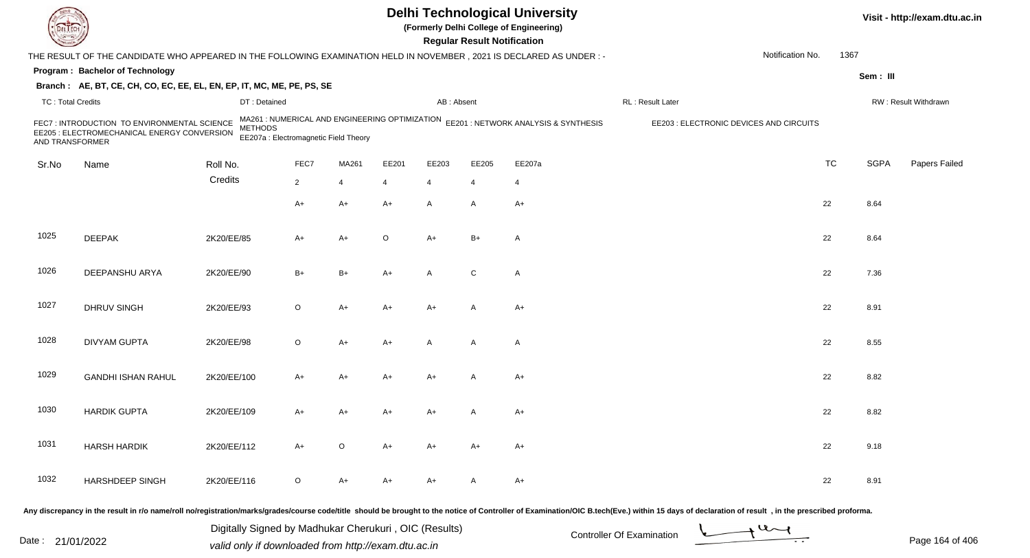|                          |                                                                                                                     |                                                                                                           |                |             |       |                | <b>Regular Result Notification</b> | <b>Delhi Technological University</b><br>(Formerly Delhi College of Engineering) |                                         |                  |           |             | Visit - http://exam.dtu.ac.in |
|--------------------------|---------------------------------------------------------------------------------------------------------------------|-----------------------------------------------------------------------------------------------------------|----------------|-------------|-------|----------------|------------------------------------|----------------------------------------------------------------------------------|-----------------------------------------|------------------|-----------|-------------|-------------------------------|
|                          | THE RESULT OF THE CANDIDATE WHO APPEARED IN THE FOLLOWING EXAMINATION HELD IN NOVEMBER, 2021 IS DECLARED AS UNDER:- |                                                                                                           |                |             |       |                |                                    |                                                                                  |                                         | Notification No. | 1367      |             |                               |
|                          | Program: Bachelor of Technology                                                                                     |                                                                                                           |                |             |       |                |                                    |                                                                                  |                                         |                  |           | Sem: III    |                               |
|                          | Branch: AE, BT, CE, CH, CO, EC, EE, EL, EN, EP, IT, MC, ME, PE, PS, SE                                              |                                                                                                           |                |             |       |                |                                    |                                                                                  |                                         |                  |           |             |                               |
| <b>TC: Total Credits</b> |                                                                                                                     | DT: Detained                                                                                              |                |             |       | AB: Absent     |                                    |                                                                                  | RL: Result Later                        |                  |           |             | RW: Result Withdrawn          |
| AND TRANSFORMER          | FEC7 : INTRODUCTION TO ENVIRONMENTAL SCIENCE<br>EE205 : ELECTROMECHANICAL ENERGY CONVERSION                         | MA261 : NUMERICAL AND ENGINEERING OPTIMIZATION<br><b>METHODS</b><br>EE207a : Electromagnetic Field Theory |                |             |       |                |                                    | EE201 : NETWORK ANALYSIS & SYNTHESIS                                             | EE203 : ELECTRONIC DEVICES AND CIRCUITS |                  |           |             |                               |
| Sr.No                    | Name                                                                                                                | Roll No.                                                                                                  | FEC7           | MA261       | EE201 | EE203          | EE205                              | EE207a                                                                           |                                         |                  | <b>TC</b> | <b>SGPA</b> | Papers Failed                 |
|                          |                                                                                                                     | Credits                                                                                                   | $\overline{2}$ | 4           | 4     | $\overline{4}$ | 4                                  | 4                                                                                |                                         |                  |           |             |                               |
|                          |                                                                                                                     |                                                                                                           | A+             | A+          | A+    | $\mathsf{A}$   | A                                  | $A+$                                                                             |                                         |                  | 22        | 8.64        |                               |
| 1025                     | <b>DEEPAK</b>                                                                                                       | 2K20/EE/85                                                                                                | A+             | $A+$        | O     | $A+$           | $B+$                               | $\mathsf{A}$                                                                     |                                         |                  | 22        | 8.64        |                               |
| 1026                     | DEEPANSHU ARYA                                                                                                      | 2K20/EE/90                                                                                                | $B+$           | $B+$        | A+    | A              | C                                  | $\mathsf{A}$                                                                     |                                         |                  | 22        | 7.36        |                               |
| 1027                     | <b>DHRUV SINGH</b>                                                                                                  | 2K20/EE/93                                                                                                | O              | A+          | A+    | A+             | A                                  | $A+$                                                                             |                                         |                  | 22        | 8.91        |                               |
| 1028                     | <b>DIVYAM GUPTA</b>                                                                                                 | 2K20/EE/98                                                                                                | O              | A+          | A+    | $\mathsf{A}$   | A                                  | $\mathsf{A}$                                                                     |                                         |                  | 22        | 8.55        |                               |
| 1029                     | <b>GANDHI ISHAN RAHUL</b>                                                                                           | 2K20/EE/100                                                                                               | A+             | A+          | A+    | A+             |                                    | $A+$                                                                             |                                         |                  | 22        | 8.82        |                               |
| 1030                     | <b>HARDIK GUPTA</b>                                                                                                 | 2K20/EE/109                                                                                               | A+             | A+          | A+    | A+             |                                    | $A+$                                                                             |                                         |                  | 22        | 8.82        |                               |
| 1031                     | <b>HARSH HARDIK</b>                                                                                                 | 2K20/EE/112                                                                                               | $A+$           | $\mathsf O$ | A+    | A+             | A+                                 | A+                                                                               |                                         |                  | 22        | 9.18        |                               |
| 1032                     | HARSHDEEP SINGH                                                                                                     | 2K20/EE/116                                                                                               | O              | A+          | A+    | A+             | A                                  | A+                                                                               |                                         |                  | 22        | 8.91        |                               |
|                          |                                                                                                                     |                                                                                                           |                |             |       |                |                                    |                                                                                  |                                         |                  |           |             |                               |

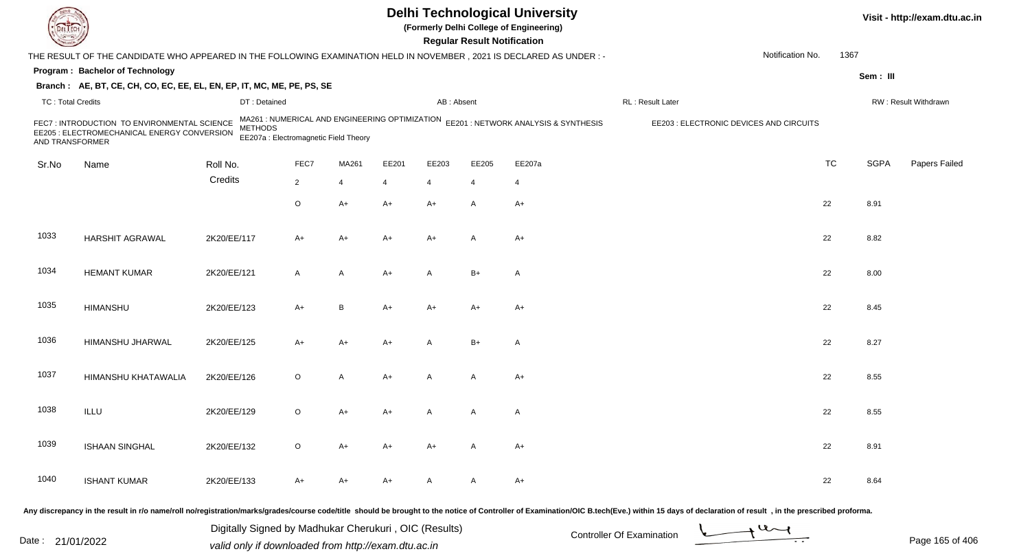| <b>DELTECT</b>           |                                                                                                                                                                                                                                |             |                                                         |                |                |                |            | <b>Regular Result Notification</b> | <b>Delhi Technological University</b><br>(Formerly Delhi College of Engineering)    |                                         |                  |           |             | Visit - http://exam.dtu.ac.in |
|--------------------------|--------------------------------------------------------------------------------------------------------------------------------------------------------------------------------------------------------------------------------|-------------|---------------------------------------------------------|----------------|----------------|----------------|------------|------------------------------------|-------------------------------------------------------------------------------------|-----------------------------------------|------------------|-----------|-------------|-------------------------------|
|                          | THE RESULT OF THE CANDIDATE WHO APPEARED IN THE FOLLOWING EXAMINATION HELD IN NOVEMBER, 2021 IS DECLARED AS UNDER:-                                                                                                            |             |                                                         |                |                |                |            |                                    |                                                                                     |                                         | Notification No. | 1367      |             |                               |
|                          | Program: Bachelor of Technology                                                                                                                                                                                                |             |                                                         |                |                |                |            |                                    |                                                                                     |                                         |                  |           | Sem: III    |                               |
|                          | Branch: AE, BT, CE, CH, CO, EC, EE, EL, EN, EP, IT, MC, ME, PE, PS, SE                                                                                                                                                         |             |                                                         |                |                |                |            |                                    |                                                                                     |                                         |                  |           |             |                               |
| <b>TC: Total Credits</b> |                                                                                                                                                                                                                                |             | DT: Detained                                            |                |                |                | AB: Absent |                                    |                                                                                     | RL : Result Later                       |                  |           |             | RW: Result Withdrawn          |
| AND TRANSFORMER          | FEC7: INTRODUCTION TO ENVIRONMENTAL SCIENCE<br>EE205 : ELECTROMECHANICAL ENERGY CONVERSION                                                                                                                                     |             | <b>METHODS</b><br>EE207a : Electromagnetic Field Theory |                |                |                |            |                                    | MA261 : NUMERICAL AND ENGINEERING OPTIMIZATION EE201 : NETWORK ANALYSIS & SYNTHESIS | EE203 : ELECTRONIC DEVICES AND CIRCUITS |                  |           |             |                               |
| Sr.No                    | Name                                                                                                                                                                                                                           | Roll No.    |                                                         | FEC7           | MA261          | EE201          | EE203      | EE205                              | EE207a                                                                              |                                         |                  | <b>TC</b> | <b>SGPA</b> | Papers Failed                 |
|                          |                                                                                                                                                                                                                                | Credits     |                                                         | $\overline{2}$ | $\overline{4}$ | $\overline{4}$ | 4          | 4                                  | $\overline{4}$                                                                      |                                         |                  |           |             |                               |
|                          |                                                                                                                                                                                                                                |             |                                                         | O              | A+             | $A+$           | $A+$       | A                                  | $A+$                                                                                |                                         |                  | 22        | 8.91        |                               |
| 1033                     | <b>HARSHIT AGRAWAL</b>                                                                                                                                                                                                         | 2K20/EE/117 |                                                         | A+             | A+             | $A+$           | $A+$       | A                                  | $A+$                                                                                |                                         |                  | 22        | 8.82        |                               |
| 1034                     | <b>HEMANT KUMAR</b>                                                                                                                                                                                                            | 2K20/EE/121 |                                                         | A              | A              | $A+$           | A          | $B+$                               | A                                                                                   |                                         |                  | 22        | 8.00        |                               |
| 1035                     | <b>HIMANSHU</b>                                                                                                                                                                                                                | 2K20/EE/123 |                                                         | A+             | B              | $A+$           | $A+$       | $A+$                               | $A+$                                                                                |                                         |                  | 22        | 8.45        |                               |
| 1036                     | HIMANSHU JHARWAL                                                                                                                                                                                                               | 2K20/EE/125 |                                                         | A+             | A+             | $A+$           | A          | $B+$                               | A                                                                                   |                                         |                  | 22        | 8.27        |                               |
| 1037                     | HIMANSHU KHATAWALIA                                                                                                                                                                                                            | 2K20/EE/126 |                                                         | O              | A              | $A+$           | A          | A                                  | $A+$                                                                                |                                         |                  | 22        | 8.55        |                               |
| 1038                     | ILLU                                                                                                                                                                                                                           | 2K20/EE/129 |                                                         | O              | A+             | $A+$           | A          | A                                  | Α                                                                                   |                                         |                  | 22        | 8.55        |                               |
| 1039                     | <b>ISHAAN SINGHAL</b>                                                                                                                                                                                                          | 2K20/EE/132 |                                                         | $\circ$        | $A+$           | $A+$           | A+         | A                                  | A+                                                                                  |                                         |                  | 22        | 8.91        |                               |
| 1040                     | <b>ISHANT KUMAR</b>                                                                                                                                                                                                            | 2K20/EE/133 |                                                         | A+             | A+             | $A+$           | A          | A                                  | $A+$                                                                                |                                         |                  | 22        | 8.64        |                               |
|                          | Any discrepancy in the result in r/o name/roll no/registration/marks/grades/course code/title should be brought to the notice of Controller of Examination/OIC B.tech(Eve.) within 15 days of declaration of result , in the p |             |                                                         |                |                |                |            |                                    |                                                                                     |                                         |                  |           |             |                               |

Digitally Signed by Madhukar Cherukuri, OIC (Results)<br>Date : 21/01/2022 valid only if downloaded from http://exam.dtu.ac.in Digitally Signed by Madhukar Cherukuri , OIC (Results) valid only if downloaded from http://exam.dtu.ac.in

Page 165 of 406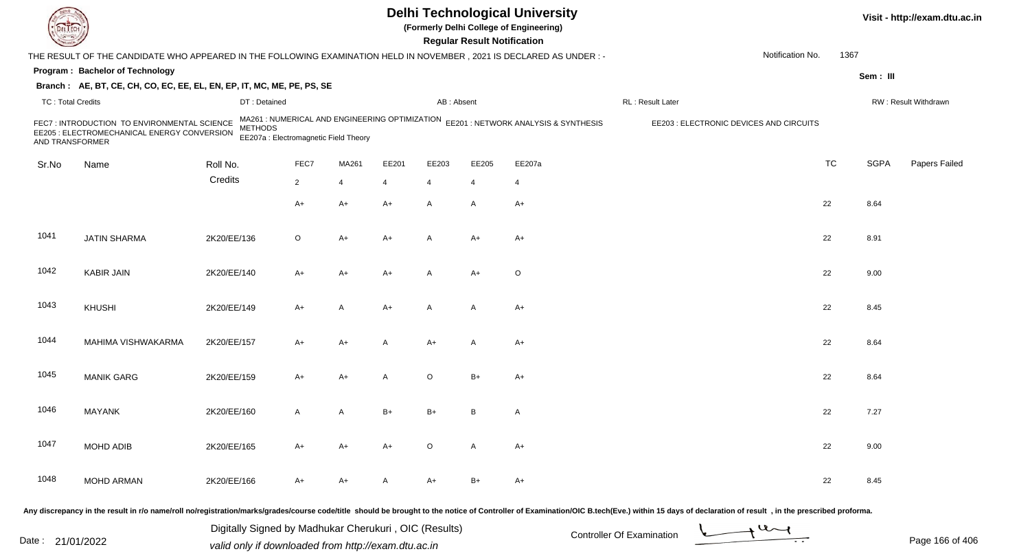|                          |                                                                                                                      |                |                                                                                         |       |       |                | <b>Regular Result Notification</b> | <b>Delhi Technological University</b><br>(Formerly Delhi College of Engineering) |                                         |                  |           |             | Visit - http://exam.dtu.ac.in |
|--------------------------|----------------------------------------------------------------------------------------------------------------------|----------------|-----------------------------------------------------------------------------------------|-------|-------|----------------|------------------------------------|----------------------------------------------------------------------------------|-----------------------------------------|------------------|-----------|-------------|-------------------------------|
|                          | THE RESULT OF THE CANDIDATE WHO APPEARED IN THE FOLLOWING EXAMINATION HELD IN NOVEMBER, 2021 IS DECLARED AS UNDER :- |                |                                                                                         |       |       |                |                                    |                                                                                  |                                         | Notification No. | 1367      |             |                               |
|                          | Program: Bachelor of Technology                                                                                      |                |                                                                                         |       |       |                |                                    |                                                                                  |                                         |                  |           | Sem: III    |                               |
|                          | Branch: AE, BT, CE, CH, CO, EC, EE, EL, EN, EP, IT, MC, ME, PE, PS, SE                                               |                |                                                                                         |       |       |                |                                    |                                                                                  |                                         |                  |           |             |                               |
| <b>TC: Total Credits</b> |                                                                                                                      | DT: Detained   |                                                                                         |       |       | AB: Absent     |                                    |                                                                                  | RL: Result Later                        |                  |           |             | RW: Result Withdrawn          |
| AND TRANSFORMER          | FEC7 : INTRODUCTION TO ENVIRONMENTAL SCIENCE<br>EE205 : ELECTROMECHANICAL ENERGY CONVERSION                          | <b>METHODS</b> | MA261 : NUMERICAL AND ENGINEERING OPTIMIZATION<br>EE207a : Electromagnetic Field Theory |       |       |                |                                    | EE201 : NETWORK ANALYSIS & SYNTHESIS                                             | EE203 : ELECTRONIC DEVICES AND CIRCUITS |                  |           |             |                               |
| Sr.No                    | Name                                                                                                                 | Roll No.       | FEC7                                                                                    | MA261 | EE201 | EE203          | EE205                              | EE207a                                                                           |                                         |                  | <b>TC</b> | <b>SGPA</b> | Papers Failed                 |
|                          |                                                                                                                      | Credits        | $\overline{2}$                                                                          | 4     | 4     | $\overline{4}$ | 4                                  | 4                                                                                |                                         |                  |           |             |                               |
|                          |                                                                                                                      |                | A+                                                                                      |       |       | $\mathsf{A}$   |                                    |                                                                                  |                                         |                  | 22        | 8.64        |                               |
|                          |                                                                                                                      |                |                                                                                         | A+    | A+    |                | A                                  | $A+$                                                                             |                                         |                  |           |             |                               |
| 1041                     | <b>JATIN SHARMA</b>                                                                                                  | 2K20/EE/136    | O                                                                                       | A+    | A+    | $\overline{A}$ | $A+$                               | $A+$                                                                             |                                         |                  | 22        | 8.91        |                               |
| 1042                     | <b>KABIR JAIN</b>                                                                                                    | 2K20/EE/140    | A+                                                                                      | A+    | A+    | A              | $A+$                               | $\circ$                                                                          |                                         |                  | 22        | 9.00        |                               |
| 1043                     | KHUSHI                                                                                                               | 2K20/EE/149    | A+                                                                                      | A     | A+    | A              | A                                  | $A+$                                                                             |                                         |                  | 22        | 8.45        |                               |
| 1044                     | MAHIMA VISHWAKARMA                                                                                                   | 2K20/EE/157    | A+                                                                                      | A+    | A     | $A+$           | A                                  | $A+$                                                                             |                                         |                  | 22        | 8.64        |                               |
| 1045                     | <b>MANIK GARG</b>                                                                                                    | 2K20/EE/159    | A+                                                                                      | A+    | A     | $\circ$        | $B+$                               | $A+$                                                                             |                                         |                  | 22        | 8.64        |                               |
| 1046                     | <b>MAYANK</b>                                                                                                        | 2K20/EE/160    | Α                                                                                       | A     | B+    | $B+$           | B                                  | A                                                                                |                                         |                  | 22        | 7.27        |                               |
| 1047                     | MOHD ADIB                                                                                                            | 2K20/EE/165    | $A+$                                                                                    | A+    | A+    | $\circ$        | A                                  | $A+$                                                                             |                                         |                  | 22        | 9.00        |                               |
| 1048                     | <b>MOHD ARMAN</b>                                                                                                    | 2K20/EE/166    | A+                                                                                      | A+    | A     | $A+$           | B+                                 | A+                                                                               |                                         |                  | 22        | 8.45        |                               |
|                          |                                                                                                                      |                |                                                                                         |       |       |                |                                    |                                                                                  |                                         |                  |           |             |                               |

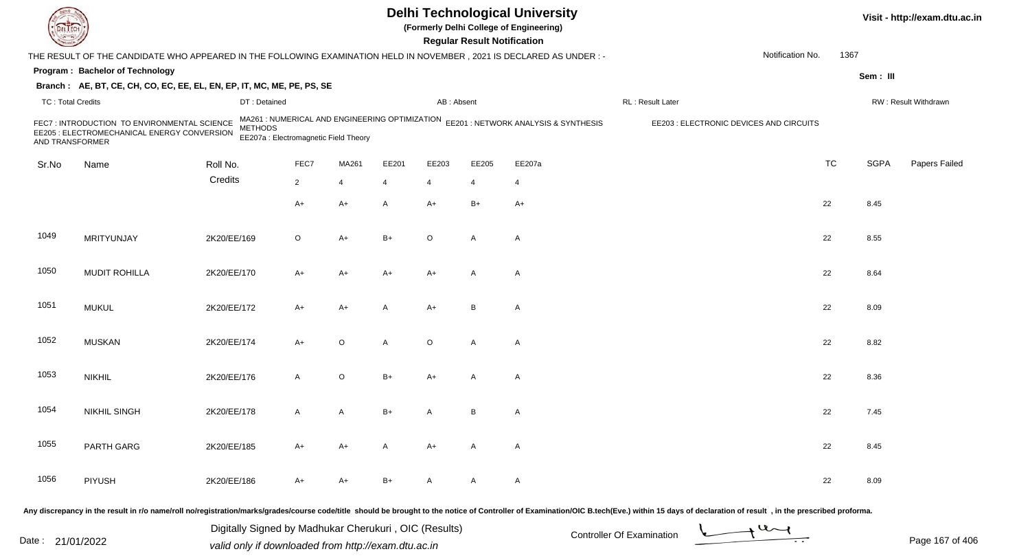|                          |                                                                                                                     |                |                                                                                         |         |       |                | <b>Regular Result Notification</b> | <b>Delhi Technological University</b><br>(Formerly Delhi College of Engineering) |                                                                                                                                                                                                                                |                  |           |             | Visit - http://exam.dtu.ac.in |
|--------------------------|---------------------------------------------------------------------------------------------------------------------|----------------|-----------------------------------------------------------------------------------------|---------|-------|----------------|------------------------------------|----------------------------------------------------------------------------------|--------------------------------------------------------------------------------------------------------------------------------------------------------------------------------------------------------------------------------|------------------|-----------|-------------|-------------------------------|
|                          | THE RESULT OF THE CANDIDATE WHO APPEARED IN THE FOLLOWING EXAMINATION HELD IN NOVEMBER, 2021 IS DECLARED AS UNDER:- |                |                                                                                         |         |       |                |                                    |                                                                                  |                                                                                                                                                                                                                                | Notification No. | 1367      |             |                               |
|                          | Program: Bachelor of Technology                                                                                     |                |                                                                                         |         |       |                |                                    |                                                                                  |                                                                                                                                                                                                                                |                  |           | Sem: III    |                               |
|                          | Branch: AE, BT, CE, CH, CO, EC, EE, EL, EN, EP, IT, MC, ME, PE, PS, SE                                              |                |                                                                                         |         |       |                |                                    |                                                                                  |                                                                                                                                                                                                                                |                  |           |             |                               |
| <b>TC: Total Credits</b> |                                                                                                                     | DT: Detained   |                                                                                         |         |       | AB: Absent     |                                    |                                                                                  | RL: Result Later                                                                                                                                                                                                               |                  |           |             | RW: Result Withdrawn          |
| AND TRANSFORMER          | FEC7 : INTRODUCTION TO ENVIRONMENTAL SCIENCE<br>EE205 : ELECTROMECHANICAL ENERGY CONVERSION                         | <b>METHODS</b> | MA261 : NUMERICAL AND ENGINEERING OPTIMIZATION<br>EE207a : Electromagnetic Field Theory |         |       |                |                                    | EE201 : NETWORK ANALYSIS & SYNTHESIS                                             | EE203 : ELECTRONIC DEVICES AND CIRCUITS                                                                                                                                                                                        |                  |           |             |                               |
| Sr.No                    | Name                                                                                                                | Roll No.       | FEC7                                                                                    | MA261   | EE201 | EE203          | EE205                              | EE207a                                                                           |                                                                                                                                                                                                                                |                  | <b>TC</b> | <b>SGPA</b> | Papers Failed                 |
|                          |                                                                                                                     | Credits        | $\overline{2}$                                                                          | 4       | 4     | $\overline{4}$ | 4                                  | 4                                                                                |                                                                                                                                                                                                                                |                  |           |             |                               |
|                          |                                                                                                                     |                | A+                                                                                      | A+      | A     | A+             | $B+$                               | $A+$                                                                             |                                                                                                                                                                                                                                |                  | 22        | 8.45        |                               |
| 1049                     | MRITYUNJAY                                                                                                          | 2K20/EE/169    | O                                                                                       | $A+$    | B+    | $\circ$        | A                                  | $\mathsf{A}$                                                                     |                                                                                                                                                                                                                                |                  | 22        | 8.55        |                               |
| 1050                     | <b>MUDIT ROHILLA</b>                                                                                                | 2K20/EE/170    | A+                                                                                      | A+      | A+    | A+             | A                                  | $\mathsf{A}$                                                                     |                                                                                                                                                                                                                                |                  | 22        | 8.64        |                               |
| 1051                     | <b>MUKUL</b>                                                                                                        | 2K20/EE/172    | A+                                                                                      | A+      | Α     | A+             | B                                  | A                                                                                |                                                                                                                                                                                                                                |                  | 22        | 8.09        |                               |
| 1052                     | <b>MUSKAN</b>                                                                                                       | 2K20/EE/174    | A+                                                                                      | $\circ$ | A     | $\circ$        | A                                  | $\mathsf{A}$                                                                     |                                                                                                                                                                                                                                |                  | 22        | 8.82        |                               |
| 1053                     | <b>NIKHIL</b>                                                                                                       | 2K20/EE/176    | A                                                                                       | O       | B+    | A+             | A                                  | A                                                                                |                                                                                                                                                                                                                                |                  | 22        | 8.36        |                               |
| 1054                     | <b>NIKHIL SINGH</b>                                                                                                 | 2K20/EE/178    | A                                                                                       | A       | B+    | А              | В                                  | A                                                                                |                                                                                                                                                                                                                                |                  | 22        | 7.45        |                               |
| 1055                     | PARTH GARG                                                                                                          | 2K20/EE/185    | A+                                                                                      | A+      | A     | A+             | A                                  | A                                                                                |                                                                                                                                                                                                                                |                  | 22        | 8.45        |                               |
| 1056                     | <b>PIYUSH</b>                                                                                                       | 2K20/EE/186    | A+                                                                                      | A+      | B+    | A              | A                                  | A                                                                                |                                                                                                                                                                                                                                |                  | 22        | 8.09        |                               |
|                          |                                                                                                                     |                |                                                                                         |         |       |                |                                    |                                                                                  | ny discrepancy in the result in r/o name/roll no/registration/marks/grades/course code/title, should be brought to the notice of Controller of Examination/OIC B tech(Eye) within 15 days of declaration of result in the pres |                  |           |             |                               |

Any discrepancy in the result in r/o name/roll no/registration/marks/grades/course code/title should be brought to

Date : 21/01/2022 Digital Digital of Microsofted Chemical Controller Of Examination Determination Page 167 of 40 Digitally Signed by Madhukar Cherukuri , OIC (Results)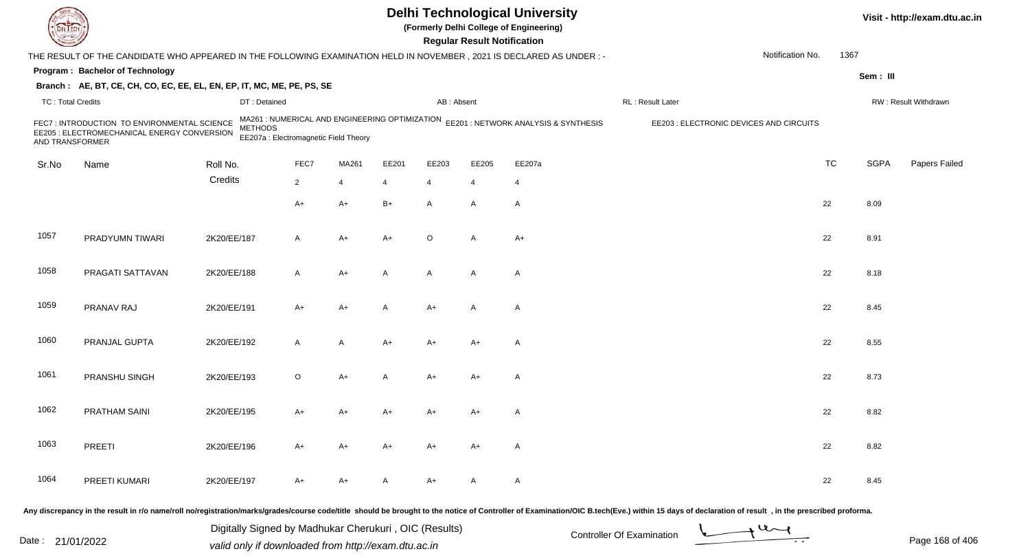|                          |                                                                                                                      |                |                                                                                         |       |       |                | <b>Regular Result Notification</b> | <b>Delhi Technological University</b><br>(Formerly Delhi College of Engineering) |                                         |                  |           |             | Visit - http://exam.dtu.ac.in |
|--------------------------|----------------------------------------------------------------------------------------------------------------------|----------------|-----------------------------------------------------------------------------------------|-------|-------|----------------|------------------------------------|----------------------------------------------------------------------------------|-----------------------------------------|------------------|-----------|-------------|-------------------------------|
|                          | THE RESULT OF THE CANDIDATE WHO APPEARED IN THE FOLLOWING EXAMINATION HELD IN NOVEMBER, 2021 IS DECLARED AS UNDER :- |                |                                                                                         |       |       |                |                                    |                                                                                  |                                         | Notification No. | 1367      |             |                               |
|                          | Program: Bachelor of Technology                                                                                      |                |                                                                                         |       |       |                |                                    |                                                                                  |                                         |                  |           | Sem: III    |                               |
|                          | Branch: AE, BT, CE, CH, CO, EC, EE, EL, EN, EP, IT, MC, ME, PE, PS, SE                                               |                |                                                                                         |       |       |                |                                    |                                                                                  |                                         |                  |           |             |                               |
| <b>TC: Total Credits</b> |                                                                                                                      | DT: Detained   |                                                                                         |       |       | AB: Absent     |                                    |                                                                                  | RL: Result Later                        |                  |           |             | RW: Result Withdrawn          |
| AND TRANSFORMER          | FEC7 : INTRODUCTION TO ENVIRONMENTAL SCIENCE<br>EE205 : ELECTROMECHANICAL ENERGY CONVERSION                          | <b>METHODS</b> | MA261 : NUMERICAL AND ENGINEERING OPTIMIZATION<br>EE207a : Electromagnetic Field Theory |       |       |                |                                    | EE201 : NETWORK ANALYSIS & SYNTHESIS                                             | EE203 : ELECTRONIC DEVICES AND CIRCUITS |                  |           |             |                               |
| Sr.No                    | Name                                                                                                                 | Roll No.       | FEC7                                                                                    | MA261 | EE201 | EE203          | EE205                              | EE207a                                                                           |                                         |                  | <b>TC</b> | <b>SGPA</b> | Papers Failed                 |
|                          |                                                                                                                      | Credits        | $\overline{2}$                                                                          | 4     | 4     | $\overline{4}$ | 4                                  | 4                                                                                |                                         |                  |           |             |                               |
|                          |                                                                                                                      |                | A+                                                                                      | A+    | $B+$  | $\mathsf{A}$   | A                                  | $\mathsf{A}$                                                                     |                                         |                  | 22        | 8.09        |                               |
|                          |                                                                                                                      |                |                                                                                         |       |       |                |                                    |                                                                                  |                                         |                  |           |             |                               |
| 1057                     | PRADYUMN TIWARI                                                                                                      | 2K20/EE/187    | A                                                                                       | A+    | A+    | $\circ$        | A                                  | $A+$                                                                             |                                         |                  | 22        | 8.91        |                               |
|                          |                                                                                                                      |                |                                                                                         |       |       |                |                                    |                                                                                  |                                         |                  |           |             |                               |
| 1058                     | PRAGATI SATTAVAN                                                                                                     | 2K20/EE/188    | A                                                                                       | $A+$  | A     | $\mathsf{A}$   | A                                  | $\mathsf{A}$                                                                     |                                         |                  | 22        | 8.18        |                               |
| 1059                     | PRANAV RAJ                                                                                                           | 2K20/EE/191    | A+                                                                                      | A+    | Α     | A+             | A                                  | A                                                                                |                                         |                  | 22        | 8.45        |                               |
|                          |                                                                                                                      |                |                                                                                         |       |       |                |                                    |                                                                                  |                                         |                  |           |             |                               |
| 1060                     | PRANJAL GUPTA                                                                                                        | 2K20/EE/192    | A                                                                                       | A     | A+    | A+             | $A+$                               | A                                                                                |                                         |                  | 22        | 8.55        |                               |
|                          |                                                                                                                      |                |                                                                                         |       |       |                |                                    |                                                                                  |                                         |                  |           |             |                               |
| 1061                     | PRANSHU SINGH                                                                                                        | 2K20/EE/193    | $\circ$                                                                                 | A+    | A     | $A+$           | $A+$                               | A                                                                                |                                         |                  | 22        | 8.73        |                               |
|                          |                                                                                                                      |                |                                                                                         |       |       |                |                                    |                                                                                  |                                         |                  |           |             |                               |
| 1062                     | PRATHAM SAINI                                                                                                        | 2K20/EE/195    | A+                                                                                      | A+    | A+    | A+             | A+                                 | A                                                                                |                                         |                  | 22        | 8.82        |                               |
|                          |                                                                                                                      |                |                                                                                         |       |       |                |                                    |                                                                                  |                                         |                  |           |             |                               |
| 1063                     | PREETI                                                                                                               | 2K20/EE/196    | A+                                                                                      | A+    | A+    | A+             | A+                                 | A                                                                                |                                         |                  | 22        | 8.82        |                               |
|                          |                                                                                                                      |                |                                                                                         |       |       |                |                                    |                                                                                  |                                         |                  |           |             |                               |
| 1064                     | PREETI KUMARI                                                                                                        | 2K20/EE/197    | A+                                                                                      | A+    | A     | A+             | A                                  | $\mathsf{A}$                                                                     |                                         |                  | 22        | 8.45        |                               |
|                          |                                                                                                                      |                |                                                                                         |       |       |                |                                    |                                                                                  |                                         |                  |           |             |                               |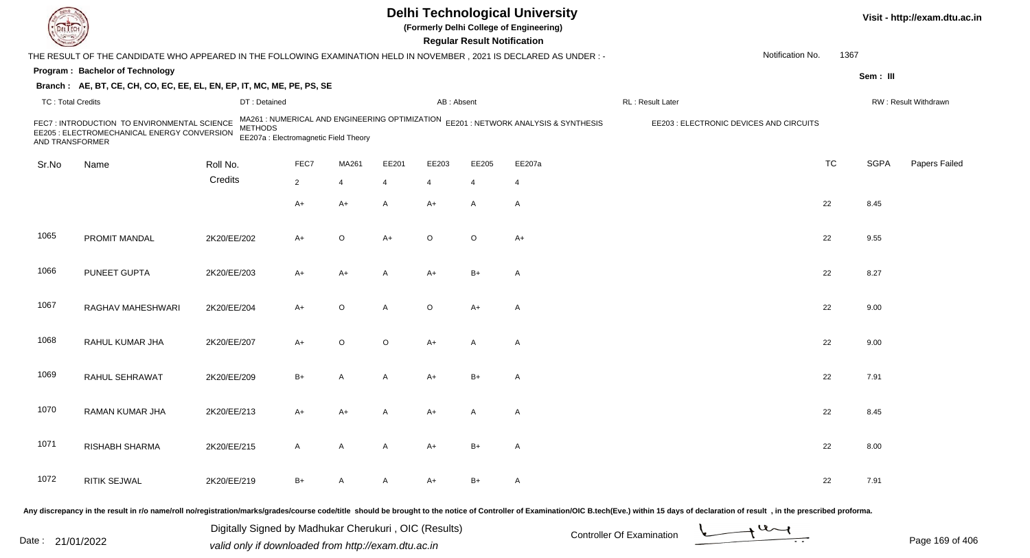|                          |                                                                                                                     |                |                                                                                         |              |         |                | <b>Regular Result Notification</b> | <b>Delhi Technological University</b><br>(Formerly Delhi College of Engineering) |                                         |                  |           |             | Visit - http://exam.dtu.ac.in |
|--------------------------|---------------------------------------------------------------------------------------------------------------------|----------------|-----------------------------------------------------------------------------------------|--------------|---------|----------------|------------------------------------|----------------------------------------------------------------------------------|-----------------------------------------|------------------|-----------|-------------|-------------------------------|
|                          | THE RESULT OF THE CANDIDATE WHO APPEARED IN THE FOLLOWING EXAMINATION HELD IN NOVEMBER, 2021 IS DECLARED AS UNDER:- |                |                                                                                         |              |         |                |                                    |                                                                                  |                                         | Notification No. | 1367      |             |                               |
|                          | Program: Bachelor of Technology                                                                                     |                |                                                                                         |              |         |                |                                    |                                                                                  |                                         |                  |           | Sem: III    |                               |
|                          | Branch: AE, BT, CE, CH, CO, EC, EE, EL, EN, EP, IT, MC, ME, PE, PS, SE                                              |                |                                                                                         |              |         |                |                                    |                                                                                  |                                         |                  |           |             |                               |
| <b>TC: Total Credits</b> |                                                                                                                     | DT: Detained   |                                                                                         |              |         | AB: Absent     |                                    |                                                                                  | RL: Result Later                        |                  |           |             | RW: Result Withdrawn          |
| AND TRANSFORMER          | FEC7 : INTRODUCTION TO ENVIRONMENTAL SCIENCE<br>EE205 : ELECTROMECHANICAL ENERGY CONVERSION                         | <b>METHODS</b> | MA261 : NUMERICAL AND ENGINEERING OPTIMIZATION<br>EE207a : Electromagnetic Field Theory |              |         |                |                                    | EE201 : NETWORK ANALYSIS & SYNTHESIS                                             | EE203 : ELECTRONIC DEVICES AND CIRCUITS |                  |           |             |                               |
| Sr.No                    | Name                                                                                                                | Roll No.       | FEC7                                                                                    | MA261        | EE201   | EE203          | EE205                              | EE207a                                                                           |                                         |                  | <b>TC</b> | <b>SGPA</b> | Papers Failed                 |
|                          |                                                                                                                     | Credits        | $\overline{2}$                                                                          | 4            | 4       | $\overline{4}$ | 4                                  | 4                                                                                |                                         |                  |           |             |                               |
|                          |                                                                                                                     |                |                                                                                         |              |         | $A+$           |                                    |                                                                                  |                                         |                  |           |             |                               |
|                          |                                                                                                                     |                | A+                                                                                      | A+           | A       |                | A                                  | $\mathsf{A}$                                                                     |                                         |                  | 22        | 8.45        |                               |
| 1065                     | PROMIT MANDAL                                                                                                       | 2K20/EE/202    | A+                                                                                      | O            | $A+$    | $\circ$        | $\circ$                            | $A+$                                                                             |                                         |                  | 22        | 9.55        |                               |
| 1066                     | PUNEET GUPTA                                                                                                        | 2K20/EE/203    | A+                                                                                      | A+           | A       | A+             | $B+$                               | $\mathsf{A}$                                                                     |                                         |                  | 22        | 8.27        |                               |
| 1067                     | RAGHAV MAHESHWARI                                                                                                   | 2K20/EE/204    | A+                                                                                      | $\mathsf O$  | A       | $\circ$        | $A+$                               | A                                                                                |                                         |                  | 22        | 9.00        |                               |
| 1068                     | RAHUL KUMAR JHA                                                                                                     | 2K20/EE/207    | A+                                                                                      | O            | $\circ$ | $A+$           | A                                  | $\mathsf{A}$                                                                     |                                         |                  | 22        | 9.00        |                               |
| 1069                     | RAHUL SEHRAWAT                                                                                                      | 2K20/EE/209    | $B+$                                                                                    | A            | A       | A+             | $B+$                               | A                                                                                |                                         |                  | 22        | 7.91        |                               |
| 1070                     | RAMAN KUMAR JHA                                                                                                     | 2K20/EE/213    | A+                                                                                      | A+           |         | A+             | A                                  | A                                                                                |                                         |                  | 22        | 8.45        |                               |
| 1071                     | RISHABH SHARMA                                                                                                      | 2K20/EE/215    | A                                                                                       | $\mathsf{A}$ | A       | $A+$           | $B+$                               | $\mathsf{A}$                                                                     |                                         |                  | 22        | 8.00        |                               |
| 1072                     | RITIK SEJWAL                                                                                                        | 2K20/EE/219    | $B+$                                                                                    | A            | A       | $A+$           | $B+$                               | $\mathsf{A}$                                                                     |                                         |                  | 22        | 7.91        |                               |
|                          |                                                                                                                     |                |                                                                                         |              |         |                |                                    |                                                                                  |                                         |                  |           |             |                               |

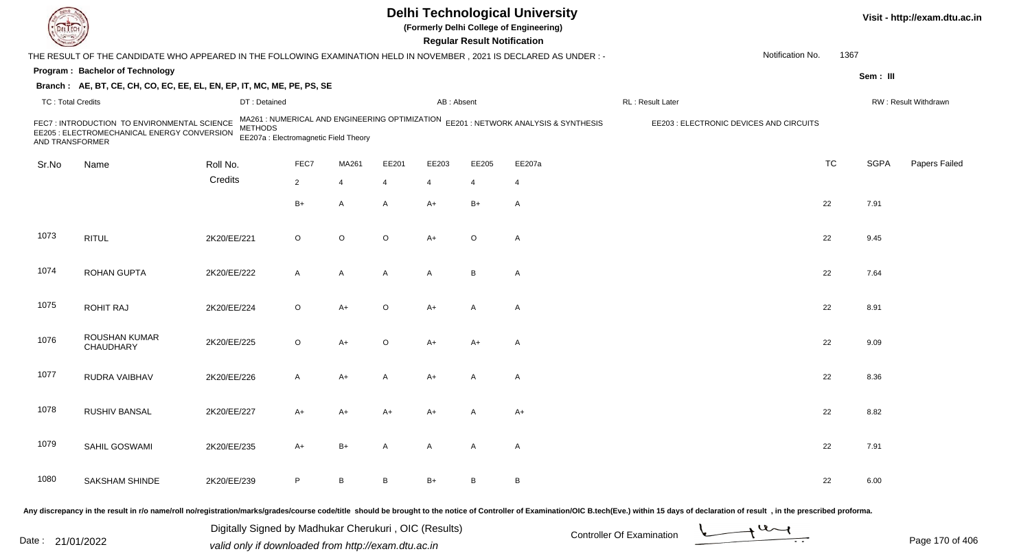| <b>DELTECT</b>           |                                                                                                                      |             |                                                         |                |                |              | <b>Regular Result Notification</b> | <b>Delhi Technological University</b><br>(Formerly Delhi College of Engineering)    |                                                                                                                                                                                                                                |                  |             | Visit - http://exam.dtu.ac.in |
|--------------------------|----------------------------------------------------------------------------------------------------------------------|-------------|---------------------------------------------------------|----------------|----------------|--------------|------------------------------------|-------------------------------------------------------------------------------------|--------------------------------------------------------------------------------------------------------------------------------------------------------------------------------------------------------------------------------|------------------|-------------|-------------------------------|
|                          | THE RESULT OF THE CANDIDATE WHO APPEARED IN THE FOLLOWING EXAMINATION HELD IN NOVEMBER, 2021 IS DECLARED AS UNDER :- |             |                                                         |                |                |              |                                    |                                                                                     |                                                                                                                                                                                                                                | Notification No. | 1367        |                               |
|                          | Program: Bachelor of Technology                                                                                      |             |                                                         |                |                |              |                                    |                                                                                     |                                                                                                                                                                                                                                |                  | Sem: III    |                               |
|                          | Branch: AE, BT, CE, CH, CO, EC, EE, EL, EN, EP, IT, MC, ME, PE, PS, SE                                               |             |                                                         |                |                |              |                                    |                                                                                     |                                                                                                                                                                                                                                |                  |             |                               |
| <b>TC: Total Credits</b> |                                                                                                                      |             | DT: Detained                                            |                |                | AB: Absent   |                                    |                                                                                     | RL : Result Later                                                                                                                                                                                                              |                  |             | RW: Result Withdrawn          |
| AND TRANSFORMER          | FEC7: INTRODUCTION TO ENVIRONMENTAL SCIENCE<br>EE205 : ELECTROMECHANICAL ENERGY CONVERSION                           |             | <b>METHODS</b><br>EE207a : Electromagnetic Field Theory |                |                |              |                                    | MA261 : NUMERICAL AND ENGINEERING OPTIMIZATION EE201 : NETWORK ANALYSIS & SYNTHESIS | EE203 : ELECTRONIC DEVICES AND CIRCUITS                                                                                                                                                                                        |                  |             |                               |
| Sr.No                    | Name                                                                                                                 | Roll No.    | FEC7                                                    | MA261          | EE201          | EE203        | EE205                              | EE207a                                                                              |                                                                                                                                                                                                                                | <b>TC</b>        | <b>SGPA</b> | Papers Failed                 |
|                          |                                                                                                                      | Credits     | $\overline{2}$                                          | $\overline{4}$ | $\overline{4}$ | 4            | 4                                  | $\overline{4}$                                                                      |                                                                                                                                                                                                                                |                  |             |                               |
|                          |                                                                                                                      |             | $B+$                                                    | A              | A              | $A+$         | $B+$                               | Α                                                                                   |                                                                                                                                                                                                                                | 22               | 7.91        |                               |
| 1073                     | <b>RITUL</b>                                                                                                         | 2K20/EE/221 | $\circ$                                                 | $\circ$        | $\circ$        | $A+$         | $\circ$                            | A                                                                                   |                                                                                                                                                                                                                                | 22               | 9.45        |                               |
| 1074                     | <b>ROHAN GUPTA</b>                                                                                                   | 2K20/EE/222 | A                                                       | A              | A              | A            | B                                  | A                                                                                   |                                                                                                                                                                                                                                | 22               | 7.64        |                               |
| 1075                     | <b>ROHIT RAJ</b>                                                                                                     | 2K20/EE/224 | $\circ$                                                 | A+             | $\circ$        | $A+$         | A                                  | A                                                                                   |                                                                                                                                                                                                                                | 22               | 8.91        |                               |
| 1076                     | ROUSHAN KUMAR<br>CHAUDHARY                                                                                           | 2K20/EE/225 | O                                                       | $A+$           | $\circ$        | $A+$         | $A+$                               | A                                                                                   |                                                                                                                                                                                                                                | 22               | 9.09        |                               |
| 1077                     | RUDRA VAIBHAV                                                                                                        | 2K20/EE/226 | A                                                       | A+             | A              | $A+$         | A                                  | Α                                                                                   |                                                                                                                                                                                                                                | 22               | 8.36        |                               |
| 1078                     | RUSHIV BANSAL                                                                                                        | 2K20/EE/227 | A+                                                      | A+             | $A+$           | A+           |                                    | A+                                                                                  |                                                                                                                                                                                                                                | 22               | 8.82        |                               |
| 1079                     | SAHIL GOSWAMI                                                                                                        | 2K20/EE/235 | A+                                                      | $B+$           | A              | $\mathsf{A}$ | A                                  | A                                                                                   |                                                                                                                                                                                                                                | 22               | 7.91        |                               |
| 1080                     | <b>SAKSHAM SHINDE</b>                                                                                                | 2K20/EE/239 | P                                                       | $\mathsf B$    | B              | B+           | B                                  | B                                                                                   |                                                                                                                                                                                                                                | 22               | 6.00        |                               |
|                          |                                                                                                                      |             |                                                         |                |                |              |                                    |                                                                                     | Any discrepancy in the result in r/o name/roll no/registration/marks/grades/course code/title should be brought to the notice of Controller of Examination/OIC B.tech(Eve.) within 15 days of declaration of result , in the p |                  |             |                               |

Date : 21/01/2022 Digital Digital of Microsofted Chemical Controller Of Examination Determination Page 170 of 40 Digitally Signed by Madhukar Cherukuri , OIC (Results)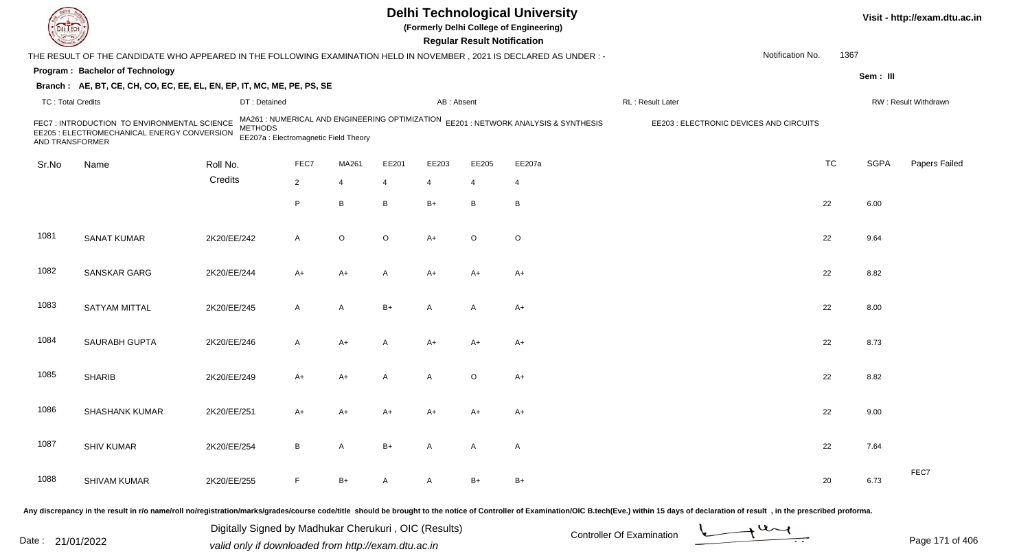|                          |                                                                                                                      |                |                                                                                         |              |         |                | <b>Regular Result Notification</b> | <b>Delhi Technological University</b><br>(Formerly Delhi College of Engineering) |                                         |                  |           |             | Visit - http://exam.dtu.ac.in |
|--------------------------|----------------------------------------------------------------------------------------------------------------------|----------------|-----------------------------------------------------------------------------------------|--------------|---------|----------------|------------------------------------|----------------------------------------------------------------------------------|-----------------------------------------|------------------|-----------|-------------|-------------------------------|
|                          | THE RESULT OF THE CANDIDATE WHO APPEARED IN THE FOLLOWING EXAMINATION HELD IN NOVEMBER, 2021 IS DECLARED AS UNDER :- |                |                                                                                         |              |         |                |                                    |                                                                                  |                                         | Notification No. | 1367      |             |                               |
|                          | Program: Bachelor of Technology                                                                                      |                |                                                                                         |              |         |                |                                    |                                                                                  |                                         |                  |           | Sem: III    |                               |
|                          | Branch: AE, BT, CE, CH, CO, EC, EE, EL, EN, EP, IT, MC, ME, PE, PS, SE                                               |                |                                                                                         |              |         |                |                                    |                                                                                  |                                         |                  |           |             |                               |
| <b>TC: Total Credits</b> |                                                                                                                      | DT: Detained   |                                                                                         |              |         | AB: Absent     |                                    |                                                                                  | RL: Result Later                        |                  |           |             | RW: Result Withdrawn          |
| AND TRANSFORMER          | FEC7 : INTRODUCTION TO ENVIRONMENTAL SCIENCE<br>EE205 : ELECTROMECHANICAL ENERGY CONVERSION                          | <b>METHODS</b> | MA261 : NUMERICAL AND ENGINEERING OPTIMIZATION<br>EE207a : Electromagnetic Field Theory |              |         |                |                                    | EE201 : NETWORK ANALYSIS & SYNTHESIS                                             | EE203 : ELECTRONIC DEVICES AND CIRCUITS |                  |           |             |                               |
| Sr.No                    | Name                                                                                                                 | Roll No.       | FEC7                                                                                    | MA261        | EE201   | EE203          | EE205                              | EE207a                                                                           |                                         |                  | <b>TC</b> | <b>SGPA</b> | Papers Failed                 |
|                          |                                                                                                                      | Credits        | $\overline{2}$                                                                          | 4            | 4       | $\overline{4}$ | 4                                  | $\overline{4}$                                                                   |                                         |                  |           |             |                               |
|                          |                                                                                                                      |                | P                                                                                       | B            | B       | $B+$           | B                                  | B                                                                                |                                         |                  | 22        | 6.00        |                               |
| 1081                     | <b>SANAT KUMAR</b>                                                                                                   | 2K20/EE/242    | A                                                                                       | O            | $\circ$ | $A+$           | $\circ$                            | $\circ$                                                                          |                                         |                  | 22        | 9.64        |                               |
| 1082                     | SANSKAR GARG                                                                                                         | 2K20/EE/244    | A+                                                                                      | A+           | A       | A+             | $A+$                               | A+                                                                               |                                         |                  | 22        | 8.82        |                               |
| 1083                     | SATYAM MITTAL                                                                                                        | 2K20/EE/245    | A                                                                                       | A            | $B+$    | A              | A                                  | $A+$                                                                             |                                         |                  | 22        | 8.00        |                               |
| 1084                     | SAURABH GUPTA                                                                                                        | 2K20/EE/246    | A                                                                                       | A+           | A       | $A+$           | $A+$                               | $A+$                                                                             |                                         |                  | 22        | 8.73        |                               |
| 1085                     | <b>SHARIB</b>                                                                                                        | 2K20/EE/249    | A+                                                                                      | A+           | A       | A              | $\circ$                            | $A+$                                                                             |                                         |                  | 22        | 8.82        |                               |
| 1086                     | <b>SHASHANK KUMAR</b>                                                                                                | 2K20/EE/251    | A+                                                                                      | A+           | A+      | A+             | A+                                 | $A+$                                                                             |                                         |                  | 22        | 9.00        |                               |
| 1087                     | <b>SHIV KUMAR</b>                                                                                                    | 2K20/EE/254    | B                                                                                       | $\mathsf{A}$ | B+      | $\mathsf{A}$   | A                                  | A                                                                                |                                         |                  | 22        | 7.64        |                               |
| 1088                     | SHIVAM KUMAR                                                                                                         | 2K20/EE/255    | F.                                                                                      | $B+$         | A       | $\mathsf{A}$   | B+                                 | $B+$                                                                             |                                         |                  | 20        | 6.73        | FEC7                          |
|                          |                                                                                                                      |                |                                                                                         |              |         |                |                                    |                                                                                  |                                         |                  |           |             |                               |

Digitally Signed by Madhukar Cherukuri, OIC (Results)<br>Date : 21/01/2022 valid only if downloaded from http://exam.dtu.ac.in Digitally Signed by Madhukar Cherukuri , OIC (Results)valid only if downloaded from http://exam.dtu.ac.in



Page 171 of 406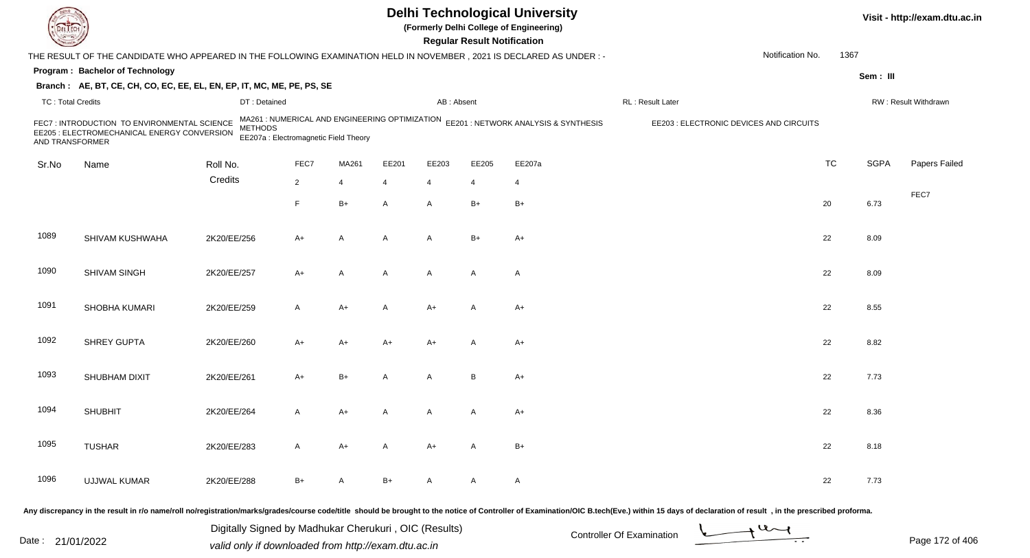|                          |                                                                                                                      |                                                                                                           |                |       |       |                | <b>Regular Result Notification</b> | <b>Delhi Technological University</b><br>(Formerly Delhi College of Engineering) |                                         |                  |           |             | Visit - http://exam.dtu.ac.in |
|--------------------------|----------------------------------------------------------------------------------------------------------------------|-----------------------------------------------------------------------------------------------------------|----------------|-------|-------|----------------|------------------------------------|----------------------------------------------------------------------------------|-----------------------------------------|------------------|-----------|-------------|-------------------------------|
|                          | THE RESULT OF THE CANDIDATE WHO APPEARED IN THE FOLLOWING EXAMINATION HELD IN NOVEMBER, 2021 IS DECLARED AS UNDER :- |                                                                                                           |                |       |       |                |                                    |                                                                                  |                                         | Notification No. | 1367      |             |                               |
|                          | Program: Bachelor of Technology                                                                                      |                                                                                                           |                |       |       |                |                                    |                                                                                  |                                         |                  |           | Sem: III    |                               |
|                          | Branch: AE, BT, CE, CH, CO, EC, EE, EL, EN, EP, IT, MC, ME, PE, PS, SE                                               |                                                                                                           |                |       |       |                |                                    |                                                                                  |                                         |                  |           |             |                               |
| <b>TC: Total Credits</b> |                                                                                                                      | DT: Detained                                                                                              |                |       |       | AB: Absent     |                                    |                                                                                  | RL: Result Later                        |                  |           |             | RW: Result Withdrawn          |
| AND TRANSFORMER          | FEC7 : INTRODUCTION TO ENVIRONMENTAL SCIENCE<br>EE205 : ELECTROMECHANICAL ENERGY CONVERSION                          | MA261 : NUMERICAL AND ENGINEERING OPTIMIZATION<br><b>METHODS</b><br>EE207a : Electromagnetic Field Theory |                |       |       |                |                                    | EE201 : NETWORK ANALYSIS & SYNTHESIS                                             | EE203 : ELECTRONIC DEVICES AND CIRCUITS |                  |           |             |                               |
| Sr.No                    | Name                                                                                                                 | Roll No.                                                                                                  | FEC7           | MA261 | EE201 | EE203          | EE205                              | EE207a                                                                           |                                         |                  | <b>TC</b> | <b>SGPA</b> | Papers Failed                 |
|                          |                                                                                                                      | Credits                                                                                                   | $\overline{2}$ | 4     | 4     | $\overline{4}$ | 4                                  | 4                                                                                |                                         |                  |           |             |                               |
|                          |                                                                                                                      |                                                                                                           | F.             | B+    | A     | $\mathsf{A}$   | $B+$                               | $B+$                                                                             |                                         |                  | 20        | 6.73        | FEC7                          |
| 1089                     | SHIVAM KUSHWAHA                                                                                                      | 2K20/EE/256                                                                                               | A+             | Α     | Α     | $\overline{A}$ | $B+$                               | $A+$                                                                             |                                         |                  | 22        | 8.09        |                               |
| 1090                     | SHIVAM SINGH                                                                                                         | 2K20/EE/257                                                                                               | A+             | A     | A     | $\mathsf{A}$   | A                                  | $\mathsf{A}$                                                                     |                                         |                  | 22        | 8.09        |                               |
| 1091                     | SHOBHA KUMARI                                                                                                        | 2K20/EE/259                                                                                               | A              | A+    | A     | $A+$           | A                                  | $A+$                                                                             |                                         |                  | 22        | 8.55        |                               |
| 1092                     | <b>SHREY GUPTA</b>                                                                                                   | 2K20/EE/260                                                                                               | A+             | A+    | A+    | A+             | A                                  | $A+$                                                                             |                                         |                  | 22        | 8.82        |                               |
| 1093                     | SHUBHAM DIXIT                                                                                                        | 2K20/EE/261                                                                                               | $A+$           | $B+$  | A     | A              | B                                  | $A+$                                                                             |                                         |                  | 22        | 7.73        |                               |
| 1094                     | <b>SHUBHIT</b>                                                                                                       | 2K20/EE/264                                                                                               | A              | A+    |       | A              | A                                  | A+                                                                               |                                         |                  | 22        | 8.36        |                               |
| 1095                     | <b>TUSHAR</b>                                                                                                        | 2K20/EE/283                                                                                               | A              | $A+$  | A     | $A+$           | A                                  | $B+$                                                                             |                                         |                  | 22        | 8.18        |                               |
| 1096                     | UJJWAL KUMAR                                                                                                         | 2K20/EE/288                                                                                               | $B+$           | A     | B+    | $\mathsf{A}$   | A                                  | $\mathsf{A}$                                                                     |                                         |                  | 22        | 7.73        |                               |
|                          |                                                                                                                      |                                                                                                           |                |       |       |                |                                    |                                                                                  |                                         |                  |           |             |                               |

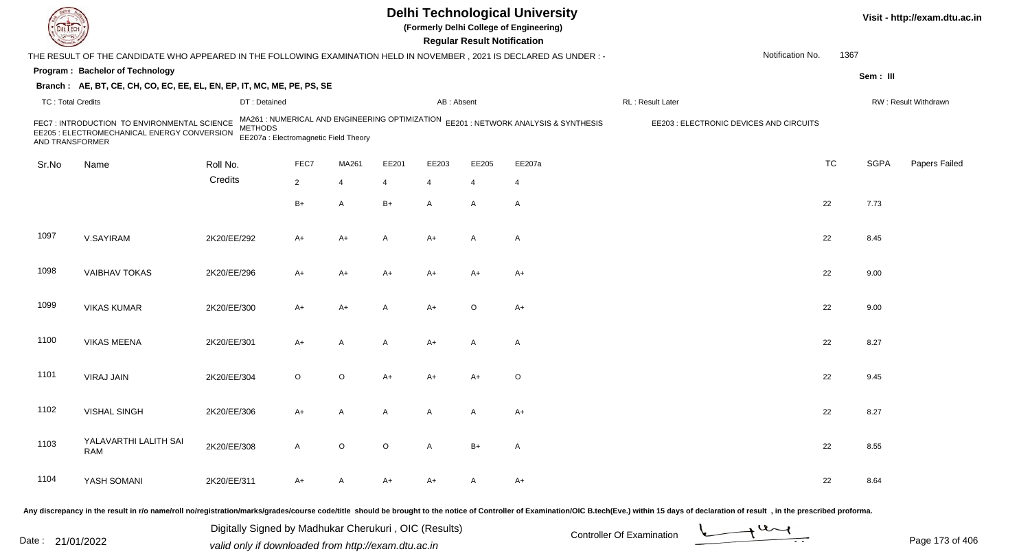|                          |                                                                                                                     |                |                                                                                         |             |         |                | <b>Regular Result Notification</b> | <b>Delhi Technological University</b><br>(Formerly Delhi College of Engineering) |                                         |                  |           |             | Visit - http://exam.dtu.ac.in |
|--------------------------|---------------------------------------------------------------------------------------------------------------------|----------------|-----------------------------------------------------------------------------------------|-------------|---------|----------------|------------------------------------|----------------------------------------------------------------------------------|-----------------------------------------|------------------|-----------|-------------|-------------------------------|
|                          | THE RESULT OF THE CANDIDATE WHO APPEARED IN THE FOLLOWING EXAMINATION HELD IN NOVEMBER, 2021 IS DECLARED AS UNDER:- |                |                                                                                         |             |         |                |                                    |                                                                                  |                                         | Notification No. | 1367      |             |                               |
|                          | Program: Bachelor of Technology                                                                                     |                |                                                                                         |             |         |                |                                    |                                                                                  |                                         |                  |           | Sem: III    |                               |
|                          | Branch: AE, BT, CE, CH, CO, EC, EE, EL, EN, EP, IT, MC, ME, PE, PS, SE                                              |                |                                                                                         |             |         |                |                                    |                                                                                  |                                         |                  |           |             |                               |
| <b>TC: Total Credits</b> |                                                                                                                     | DT: Detained   |                                                                                         |             |         | AB: Absent     |                                    |                                                                                  | RL: Result Later                        |                  |           |             | RW: Result Withdrawn          |
| AND TRANSFORMER          | FEC7 : INTRODUCTION TO ENVIRONMENTAL SCIENCE<br>EE205 : ELECTROMECHANICAL ENERGY CONVERSION                         | <b>METHODS</b> | MA261 : NUMERICAL AND ENGINEERING OPTIMIZATION<br>EE207a : Electromagnetic Field Theory |             |         |                |                                    | EE201 : NETWORK ANALYSIS & SYNTHESIS                                             | EE203 : ELECTRONIC DEVICES AND CIRCUITS |                  |           |             |                               |
| Sr.No                    | Name                                                                                                                | Roll No.       | FEC7                                                                                    | MA261       | EE201   | EE203          | EE205                              | EE207a                                                                           |                                         |                  | <b>TC</b> | <b>SGPA</b> | Papers Failed                 |
|                          |                                                                                                                     | Credits        | $\overline{2}$                                                                          | 4           | 4       | $\overline{4}$ | $\overline{4}$                     | 4                                                                                |                                         |                  |           |             |                               |
|                          |                                                                                                                     |                | $B+$                                                                                    | A           | B+      | $\mathsf{A}$   | A                                  | $\mathsf{A}$                                                                     |                                         |                  | 22        | 7.73        |                               |
| 1097                     | V.SAYIRAM                                                                                                           | 2K20/EE/292    | A+                                                                                      | A+          | Α       | A+             | A                                  | $\mathsf{A}$                                                                     |                                         |                  | 22        | 8.45        |                               |
| 1098                     | <b>VAIBHAV TOKAS</b>                                                                                                | 2K20/EE/296    | A+                                                                                      | A+          | A+      | $A+$           | $A+$                               | A+                                                                               |                                         |                  | 22        | 9.00        |                               |
| 1099                     | <b>VIKAS KUMAR</b>                                                                                                  | 2K20/EE/300    | A+                                                                                      | A+          | A       | $A+$           | $\circ$                            | $A+$                                                                             |                                         |                  | 22        | 9.00        |                               |
| 1100                     | <b>VIKAS MEENA</b>                                                                                                  | 2K20/EE/301    | A+                                                                                      | Α           | A       | $A+$           | A                                  | A                                                                                |                                         |                  | 22        | 8.27        |                               |
| 1101                     | <b>VIRAJ JAIN</b>                                                                                                   | 2K20/EE/304    | $\circ$                                                                                 | O           | A+      | A+             | $A+$                               | O                                                                                |                                         |                  | 22        | 9.45        |                               |
| 1102                     | <b>VISHAL SINGH</b>                                                                                                 | 2K20/EE/306    | A+                                                                                      | Α           | A       | A              | A                                  | $A+$                                                                             |                                         |                  | 22        | 8.27        |                               |
| 1103                     | YALAVARTHI LALITH SAI<br>RAM                                                                                        | 2K20/EE/308    | $\mathsf{A}$                                                                            | $\mathsf O$ | $\circ$ | $\mathsf{A}$   | $B+$                               | A                                                                                |                                         |                  | 22        | 8.55        |                               |
| 1104                     | YASH SOMANI                                                                                                         | 2K20/EE/311    | A+                                                                                      | A           | A+      | $A+$           | A                                  | $A+$                                                                             |                                         |                  | 22        | 8.64        |                               |

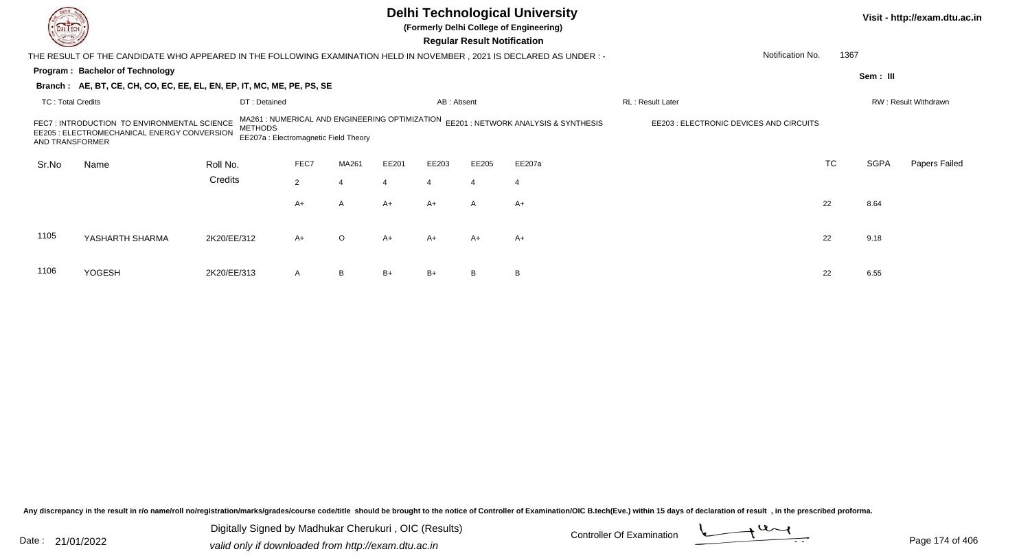|                                                                                                                                                                                                                                                                                                               |                                                                        | <b>Delhi Technological University</b><br>(Formerly Delhi College of Engineering)<br><b>Regular Result Notification</b><br>Notification No.<br>THE RESULT OF THE CANDIDATE WHO APPEARED IN THE FOLLOWING EXAMINATION HELD IN NOVEMBER , 2021 IS DECLARED AS UNDER :- |             |                |       |                |       |                |                  |           |             |                      |  |  |  |
|---------------------------------------------------------------------------------------------------------------------------------------------------------------------------------------------------------------------------------------------------------------------------------------------------------------|------------------------------------------------------------------------|---------------------------------------------------------------------------------------------------------------------------------------------------------------------------------------------------------------------------------------------------------------------|-------------|----------------|-------|----------------|-------|----------------|------------------|-----------|-------------|----------------------|--|--|--|
|                                                                                                                                                                                                                                                                                                               |                                                                        |                                                                                                                                                                                                                                                                     |             |                |       |                |       |                |                  | 1367      |             |                      |  |  |  |
|                                                                                                                                                                                                                                                                                                               | Program: Bachelor of Technology                                        |                                                                                                                                                                                                                                                                     |             |                |       |                |       |                |                  |           | Sem: III    |                      |  |  |  |
|                                                                                                                                                                                                                                                                                                               | Branch: AE, BT, CE, CH, CO, EC, EE, EL, EN, EP, IT, MC, ME, PE, PS, SE |                                                                                                                                                                                                                                                                     |             |                |       |                |       |                |                  |           |             |                      |  |  |  |
| <b>TC: Total Credits</b>                                                                                                                                                                                                                                                                                      |                                                                        | DT: Detained                                                                                                                                                                                                                                                        |             |                |       | AB: Absent     |       |                | RL: Result Later |           |             | RW: Result Withdrawn |  |  |  |
| MA261 : NUMERICAL AND ENGINEERING OPTIMIZATION<br>EE201 : NETWORK ANALYSIS & SYNTHESIS<br>FEC7: INTRODUCTION TO ENVIRONMENTAL SCIENCE<br>EE203 : ELECTRONIC DEVICES AND CIRCUITS<br><b>METHODS</b><br>EE205 : ELECTROMECHANICAL ENERGY CONVERSION<br>EE207a : Electromagnetic Field Theory<br>AND TRANSFORMER |                                                                        |                                                                                                                                                                                                                                                                     |             |                |       |                |       |                |                  |           |             |                      |  |  |  |
| Sr.No                                                                                                                                                                                                                                                                                                         | Name                                                                   | Roll No.                                                                                                                                                                                                                                                            | FEC7        | MA261          | EE201 | EE203          | EE205 | EE207a         |                  | <b>TC</b> | <b>SGPA</b> | Papers Failed        |  |  |  |
|                                                                                                                                                                                                                                                                                                               |                                                                        | Credits                                                                                                                                                                                                                                                             | $2^{\circ}$ | $\overline{4}$ |       | $\overline{4}$ |       | $\overline{4}$ |                  |           |             |                      |  |  |  |
|                                                                                                                                                                                                                                                                                                               |                                                                        |                                                                                                                                                                                                                                                                     | A+          | A              | A+    | $A+$           | A     | A+             |                  | 22        | 8.64        |                      |  |  |  |
| 1105                                                                                                                                                                                                                                                                                                          | YASHARTH SHARMA                                                        | 2K20/EE/312                                                                                                                                                                                                                                                         | $A+$        | $\circ$        | A+    | A+             | $A+$  | $A+$           |                  | 22        | 9.18        |                      |  |  |  |
| 1106                                                                                                                                                                                                                                                                                                          | <b>YOGESH</b>                                                          | 2K20/EE/313                                                                                                                                                                                                                                                         | A           | B              | $B+$  | $B+$           |       | B              |                  | 22        | 6.55        |                      |  |  |  |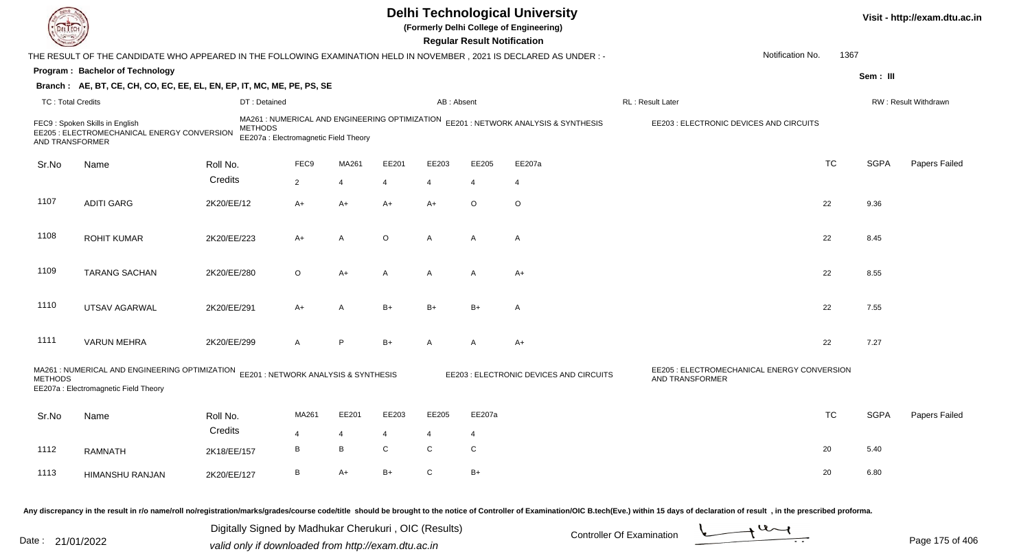| DEL ECH                  |                                                                                                                              |             |                                                         |                |         |           | <b>Regular Result Notification</b> | <b>Delhi Technological University</b><br>(Formerly Delhi College of Engineering)    |                                                                                                                                                                                                                                                                                              |           |             | Visit - http://exam.dtu.ac.in |
|--------------------------|------------------------------------------------------------------------------------------------------------------------------|-------------|---------------------------------------------------------|----------------|---------|-----------|------------------------------------|-------------------------------------------------------------------------------------|----------------------------------------------------------------------------------------------------------------------------------------------------------------------------------------------------------------------------------------------------------------------------------------------|-----------|-------------|-------------------------------|
|                          | THE RESULT OF THE CANDIDATE WHO APPEARED IN THE FOLLOWING EXAMINATION HELD IN NOVEMBER, 2021 IS DECLARED AS UNDER:-          |             |                                                         |                |         |           |                                    |                                                                                     | Notification No.                                                                                                                                                                                                                                                                             | 1367      |             |                               |
|                          | Program: Bachelor of Technology                                                                                              |             |                                                         |                |         |           |                                    |                                                                                     |                                                                                                                                                                                                                                                                                              |           | Sem: III    |                               |
|                          | Branch: AE, BT, CE, CH, CO, EC, EE, EL, EN, EP, IT, MC, ME, PE, PS, SE                                                       |             |                                                         |                |         |           |                                    |                                                                                     |                                                                                                                                                                                                                                                                                              |           |             |                               |
| <b>TC: Total Credits</b> |                                                                                                                              |             | DT: Detained                                            |                |         |           | AB: Absent                         |                                                                                     | RL : Result Later                                                                                                                                                                                                                                                                            |           |             | RW: Result Withdrawn          |
| AND TRANSFORMER          | FEC9: Spoken Skills in English<br>EE205 : ELECTROMECHANICAL ENERGY CONVERSION                                                |             | <b>METHODS</b><br>EE207a : Electromagnetic Field Theory |                |         |           |                                    | MA261 : NUMERICAL AND ENGINEERING OPTIMIZATION EE201 : NETWORK ANALYSIS & SYNTHESIS | EE203 : ELECTRONIC DEVICES AND CIRCUITS                                                                                                                                                                                                                                                      |           |             |                               |
| Sr.No                    | Name                                                                                                                         | Roll No.    | FEC9                                                    | MA261          | EE201   | EE203     | EE205                              | EE207a                                                                              |                                                                                                                                                                                                                                                                                              | <b>TC</b> | <b>SGPA</b> | Papers Failed                 |
|                          |                                                                                                                              | Credits     | $\overline{2}$                                          | $\overline{4}$ | 4       | 4         | 4                                  | $\overline{4}$                                                                      |                                                                                                                                                                                                                                                                                              |           |             |                               |
|                          |                                                                                                                              |             |                                                         |                |         |           |                                    |                                                                                     |                                                                                                                                                                                                                                                                                              |           |             |                               |
| 1107                     | <b>ADITI GARG</b>                                                                                                            | 2K20/EE/12  | A+                                                      | A+             | $A+$    | $A+$      | $\circ$                            | O                                                                                   |                                                                                                                                                                                                                                                                                              | 22        | 9.36        |                               |
| 1108                     | <b>ROHIT KUMAR</b>                                                                                                           | 2K20/EE/223 | A+                                                      | A              | $\circ$ | A         | A                                  | A                                                                                   |                                                                                                                                                                                                                                                                                              | 22        | 8.45        |                               |
| 1109                     | <b>TARANG SACHAN</b>                                                                                                         | 2K20/EE/280 | $\circ$                                                 | A+             | A       | A         | A                                  | $A+$                                                                                |                                                                                                                                                                                                                                                                                              | 22        | 8.55        |                               |
| 1110                     | UTSAV AGARWAL                                                                                                                | 2K20/EE/291 | A+                                                      | A              | $B+$    | B+        | $B+$                               | A                                                                                   |                                                                                                                                                                                                                                                                                              | 22        | 7.55        |                               |
| 1111                     | <b>VARUN MEHRA</b>                                                                                                           | 2K20/EE/299 | A                                                       | P.             | $B+$    | A         | A                                  | $A+$                                                                                |                                                                                                                                                                                                                                                                                              | 22        | 7.27        |                               |
| <b>METHODS</b>           | MA261 : NUMERICAL AND ENGINEERING OPTIMIZATION EE201 : NETWORK ANALYSIS & SYNTHESIS<br>EE207a : Electromagnetic Field Theory |             |                                                         |                |         |           |                                    | EE203 : ELECTRONIC DEVICES AND CIRCUITS                                             | EE205 : ELECTROMECHANICAL ENERGY CONVERSION<br>AND TRANSFORMER                                                                                                                                                                                                                               |           |             |                               |
| Sr.No                    | Name                                                                                                                         | Roll No.    | MA261                                                   | EE201          | EE203   | EE205     | EE207a                             |                                                                                     |                                                                                                                                                                                                                                                                                              | TC        | <b>SGPA</b> | Papers Failed                 |
|                          |                                                                                                                              | Credits     |                                                         |                |         |           | 4                                  |                                                                                     |                                                                                                                                                                                                                                                                                              |           |             |                               |
| 1112                     | <b>RAMNATH</b>                                                                                                               | 2K18/EE/157 | В                                                       | В              | C       | ${\bf C}$ | ${\bf C}$                          |                                                                                     |                                                                                                                                                                                                                                                                                              | 20        | 5.40        |                               |
| 1113                     | HIMANSHU RANJAN                                                                                                              | 2K20/EE/127 | В                                                       | A+             | $B+$    | ${\rm C}$ | $B+$                               |                                                                                     |                                                                                                                                                                                                                                                                                              | 20        | 6.80        |                               |
|                          |                                                                                                                              |             | Digitally Signed by Madhukar Cherukuri, OIC (Results)   |                |         |           |                                    |                                                                                     | Any discrepancy in the result in r/o name/roll no/registration/marks/grades/course code/title should be brought to the notice of Controller of Examination/OIC B.tech(Eve.) within 15 days of declaration of result, in the pr<br>$\rightarrow$ U $\rightarrow$<br>Controller Of Examination |           |             |                               |

Date : 21/01/2022 Digital Digital of Microsofted Chemical Controller Of Examination Determination Page 175 of 40

Page 175 of 406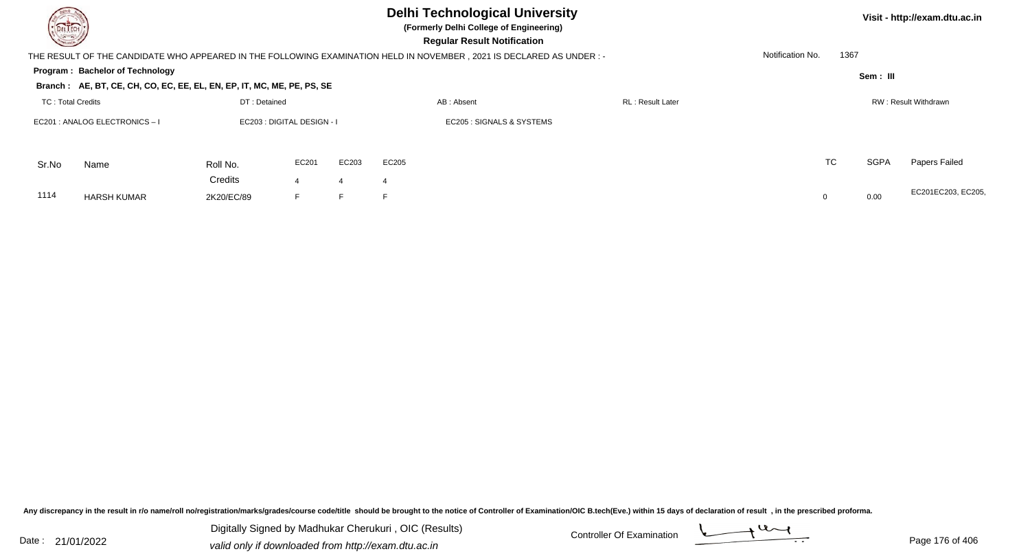| <b>Delhi Technological University</b><br>Visit - http://exam.dtu.ac.in<br>DELTECH<br>(Formerly Delhi College of Engineering)<br><b>Regular Result Notification</b><br>1367<br>Notification No.<br>THE RESULT OF THE CANDIDATE WHO APPEARED IN THE FOLLOWING EXAMINATION HELD IN NOVEMBER, 2021 IS DECLARED AS UNDER :- |                                                                        |                       |                      |       |                      |                           |  |  |           |             |                    |  |  |
|------------------------------------------------------------------------------------------------------------------------------------------------------------------------------------------------------------------------------------------------------------------------------------------------------------------------|------------------------------------------------------------------------|-----------------------|----------------------|-------|----------------------|---------------------------|--|--|-----------|-------------|--------------------|--|--|
|                                                                                                                                                                                                                                                                                                                        |                                                                        |                       |                      |       |                      |                           |  |  |           |             |                    |  |  |
|                                                                                                                                                                                                                                                                                                                        | Program: Bachelor of Technology                                        |                       |                      |       |                      |                           |  |  |           | Sem: III    |                    |  |  |
|                                                                                                                                                                                                                                                                                                                        | Branch: AE, BT, CE, CH, CO, EC, EE, EL, EN, EP, IT, MC, ME, PE, PS, SE |                       |                      |       |                      |                           |  |  |           |             |                    |  |  |
| <b>TC: Total Credits</b>                                                                                                                                                                                                                                                                                               |                                                                        |                       |                      |       | RW: Result Withdrawn |                           |  |  |           |             |                    |  |  |
| DT: Detained<br>EC201 : ANALOG ELECTRONICS-I<br>EC203 : DIGITAL DESIGN - I                                                                                                                                                                                                                                             |                                                                        |                       |                      |       |                      | EC205 : SIGNALS & SYSTEMS |  |  |           |             |                    |  |  |
| Sr.No                                                                                                                                                                                                                                                                                                                  | Name                                                                   | Roll No.              | EC201                | EC203 | EC205                |                           |  |  | <b>TC</b> | <b>SGPA</b> | Papers Failed      |  |  |
| 1114                                                                                                                                                                                                                                                                                                                   | <b>HARSH KUMAR</b>                                                     | Credits<br>2K20/EC/89 | $\overline{4}$<br>F. | 4     | E                    |                           |  |  |           | 0.00        | EC201EC203, EC205, |  |  |

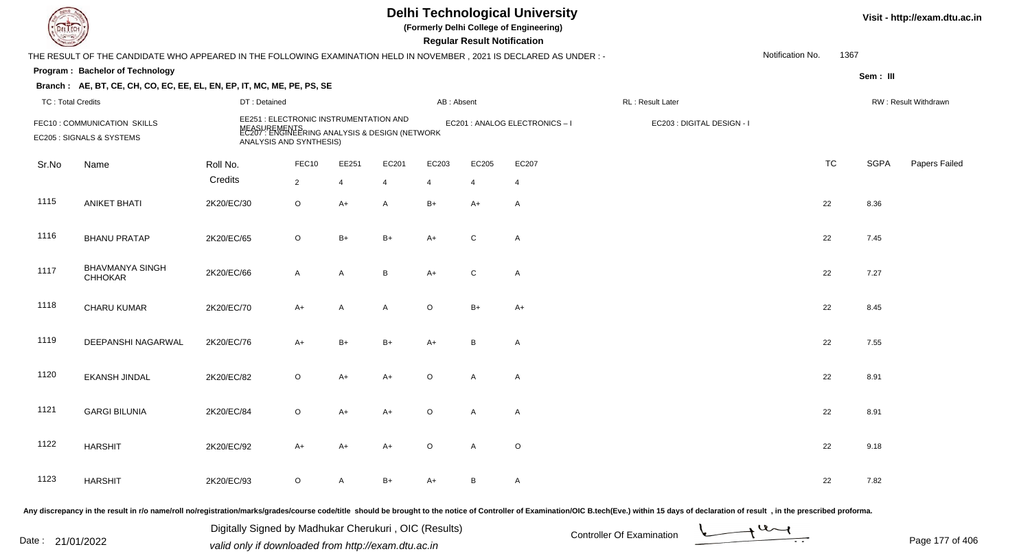|                          |                                                                                                                      |                                                                                                                                     |                |                |       |            | <b>Regular Result Notification</b> | <b>Delhi Technological University</b><br>(Formerly Delhi College of Engineering) |                            |                  |           |             | Visit - http://exam.dtu.ac.in |
|--------------------------|----------------------------------------------------------------------------------------------------------------------|-------------------------------------------------------------------------------------------------------------------------------------|----------------|----------------|-------|------------|------------------------------------|----------------------------------------------------------------------------------|----------------------------|------------------|-----------|-------------|-------------------------------|
|                          | THE RESULT OF THE CANDIDATE WHO APPEARED IN THE FOLLOWING EXAMINATION HELD IN NOVEMBER, 2021 IS DECLARED AS UNDER :- |                                                                                                                                     |                |                |       |            |                                    |                                                                                  |                            | Notification No. | 1367      |             |                               |
|                          | Program: Bachelor of Technology                                                                                      |                                                                                                                                     |                |                |       |            |                                    |                                                                                  |                            |                  |           | Sem : III   |                               |
|                          | Branch: AE, BT, CE, CH, CO, EC, EE, EL, EN, EP, IT, MC, ME, PE, PS, SE                                               |                                                                                                                                     |                |                |       |            |                                    |                                                                                  |                            |                  |           |             |                               |
| <b>TC: Total Credits</b> |                                                                                                                      | DT: Detained                                                                                                                        |                |                |       | AB: Absent |                                    |                                                                                  | RL: Result Later           |                  |           |             | RW: Result Withdrawn          |
|                          | FEC10: COMMUNICATION SKILLS<br>EC205 : SIGNALS & SYSTEMS                                                             | EE251 : ELECTRONIC INSTRUMENTATION AND<br>MEASUREMENTS<br>EC207 : ENGINEERING ANALYSIS & DESIGN (NETWORK<br>ANALYSIS AND SYNTHESIS) |                |                |       |            |                                    | EC201 : ANALOG ELECTRONICS-I                                                     | EC203 : DIGITAL DESIGN - I |                  |           |             |                               |
| Sr.No                    | Name                                                                                                                 | Roll No.                                                                                                                            | FEC10          | EE251          | EC201 | EC203      | EC205                              | EC207                                                                            |                            |                  | <b>TC</b> | <b>SGPA</b> | Papers Failed                 |
|                          |                                                                                                                      | Credits                                                                                                                             | $\overline{2}$ | $\overline{4}$ | 4     | 4          | 4                                  | $\overline{4}$                                                                   |                            |                  |           |             |                               |
| 1115                     | <b>ANIKET BHATI</b>                                                                                                  | 2K20/EC/30                                                                                                                          | $\mathsf O$    | $A+$           | A     | $B+$       | A+                                 | $\mathsf{A}$                                                                     |                            | 22               |           | 8.36        |                               |
| 1116                     | <b>BHANU PRATAP</b>                                                                                                  | 2K20/EC/65                                                                                                                          | $\circ$        | $B+$           | $B+$  | $A+$       | $\mathsf{C}$                       | $\mathsf{A}$                                                                     |                            | 22               |           | 7.45        |                               |
| 1117                     | <b>BHAVMANYA SINGH</b><br><b>CHHOKAR</b>                                                                             | 2K20/EC/66                                                                                                                          | $\mathsf{A}$   | A              | B     | $A+$       | $\mathsf{C}$                       | $\mathsf{A}$                                                                     |                            | 22               |           | 7.27        |                               |
| 1118                     | CHARU KUMAR                                                                                                          | 2K20/EC/70                                                                                                                          | $A+$           | A              | A     | $\circ$    | $B+$                               | $A+$                                                                             |                            | 22               |           | 8.45        |                               |
| 1119                     | DEEPANSHI NAGARWAL                                                                                                   | 2K20/EC/76                                                                                                                          | $A+$           | $B+$           | $B+$  | $A+$       | B                                  | A                                                                                |                            | 22               |           | 7.55        |                               |
| 1120                     | <b>EKANSH JINDAL</b>                                                                                                 | 2K20/EC/82                                                                                                                          | $\circ$        | $A+$           | A+    | $\circ$    | A                                  | Α                                                                                |                            | 22               |           | 8.91        |                               |
| 1121                     | <b>GARGI BILUNIA</b>                                                                                                 | 2K20/EC/84                                                                                                                          | O              | $A+$           | A+    | $\Omega$   | A                                  | A                                                                                |                            | 22               |           | 8.91        |                               |
| 1122                     | <b>HARSHIT</b>                                                                                                       | 2K20/EC/92                                                                                                                          | A+             | $A+$           | A+    | $\circ$    | $\mathsf{A}$                       | $\circ$                                                                          |                            | 22               |           | 9.18        |                               |
| 1123                     | <b>HARSHIT</b>                                                                                                       | 2K20/EC/93                                                                                                                          | $\circ$        | A              | B+    | A+         | B                                  | $\mathsf{A}$                                                                     |                            | 22               |           | 7.82        |                               |
|                          |                                                                                                                      |                                                                                                                                     |                |                |       |            |                                    |                                                                                  |                            |                  |           |             |                               |

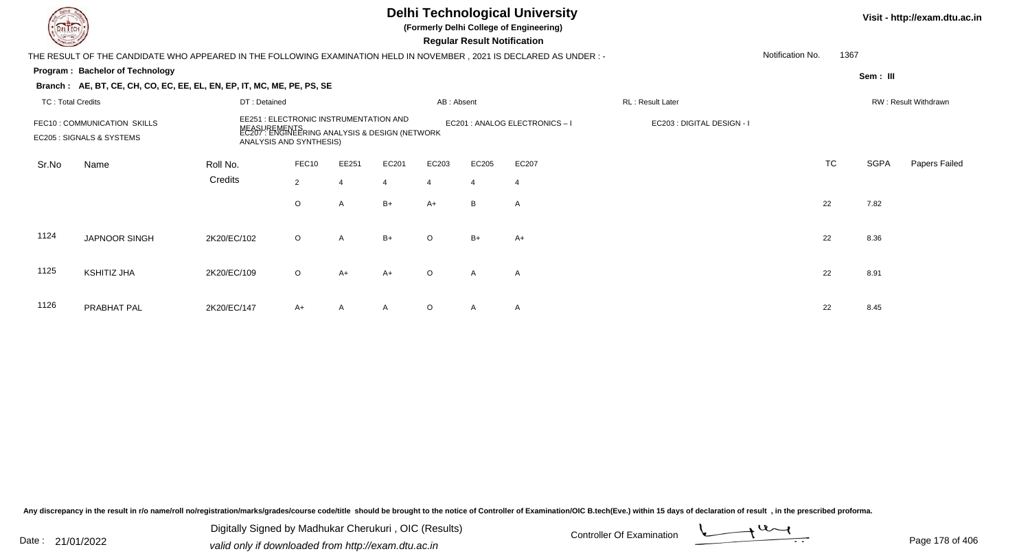|                          |                                                                                                                        |              |                                                                                                                           |                |       |                |                                    | Visit - http://exam.dtu.ac.in  |                            |                  |           |             |                      |
|--------------------------|------------------------------------------------------------------------------------------------------------------------|--------------|---------------------------------------------------------------------------------------------------------------------------|----------------|-------|----------------|------------------------------------|--------------------------------|----------------------------|------------------|-----------|-------------|----------------------|
|                          | THE RESULT OF THE CANDIDATE WHO APPEARED IN THE FOLLOWING EXAMINATION HELD IN NOVEMBER , 2021 IS DECLARED AS UNDER : - |              |                                                                                                                           |                |       |                | <b>Regular Result Notification</b> |                                |                            | Notification No. | 1367      |             |                      |
|                          | Program: Bachelor of Technology                                                                                        |              |                                                                                                                           |                |       |                |                                    |                                |                            |                  |           | Sem: III    |                      |
|                          | Branch: AE, BT, CE, CH, CO, EC, EE, EL, EN, EP, IT, MC, ME, PE, PS, SE                                                 |              |                                                                                                                           |                |       |                |                                    |                                |                            |                  |           |             |                      |
| <b>TC: Total Credits</b> |                                                                                                                        | DT: Detained |                                                                                                                           |                |       | AB: Absent     |                                    |                                | RL: Result Later           |                  |           |             | RW: Result Withdrawn |
|                          | FEC10: COMMUNICATION SKILLS<br>EC205 : SIGNALS & SYSTEMS                                                               | NEASY        | EE251 : ELECTRONIC INSTRUMENTATION AND<br>JREMENTS<br>: ENGINEERING ANALYSIS & DESIGN (NETWORK<br>ANALYSIS AND SYNTHESIS) |                |       |                |                                    | EC201 : ANALOG ELECTRONICS - I | EC203 : DIGITAL DESIGN - I |                  |           |             |                      |
| Sr.No                    | Name                                                                                                                   | Roll No.     | FEC10                                                                                                                     | EE251          | EC201 | EC203          | EC205                              | EC207                          |                            |                  | <b>TC</b> | <b>SGPA</b> | Papers Failed        |
|                          |                                                                                                                        | Credits      | $\overline{2}$                                                                                                            | $\overline{4}$ | 4     | $\overline{4}$ | $\overline{4}$                     | $\overline{4}$                 |                            |                  |           |             |                      |
|                          |                                                                                                                        |              | O                                                                                                                         | A              | $B+$  | $A+$           | B                                  | $\mathsf{A}$                   |                            |                  | 22        | 7.82        |                      |
| 1124                     | JAPNOOR SINGH                                                                                                          | 2K20/EC/102  | $\circ$                                                                                                                   | A              | $B+$  | $\Omega$       | $B+$                               | $A+$                           |                            |                  | 22        | 8.36        |                      |
| 1125                     | KSHITIZ JHA                                                                                                            | 2K20/EC/109  | $\circ$                                                                                                                   | $A+$           | A+    | $\Omega$       | $\overline{A}$                     | A                              |                            |                  | 22        | 8.91        |                      |
| 1126                     | PRABHAT PAL                                                                                                            | 2K20/EC/147  | A+                                                                                                                        | A              |       | $\circ$        | A                                  | $\mathsf{A}$                   |                            |                  | 22        | 8.45        |                      |

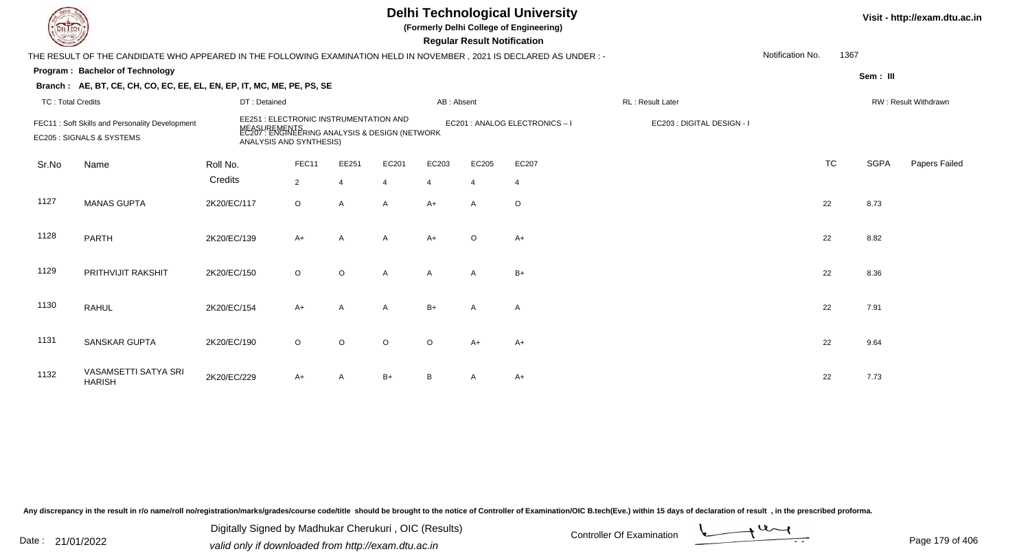## **Delhi Technological University**

**(Formerly Delhi College of Engineering)**

 **Regular Result Notification**

| $\sim$                   |                                                                                                                      |              |                                                                                                                                     |         |                |            | <b>Regular Result Rothloution</b> |                              |                            |                  |           |             |                      |
|--------------------------|----------------------------------------------------------------------------------------------------------------------|--------------|-------------------------------------------------------------------------------------------------------------------------------------|---------|----------------|------------|-----------------------------------|------------------------------|----------------------------|------------------|-----------|-------------|----------------------|
|                          | THE RESULT OF THE CANDIDATE WHO APPEARED IN THE FOLLOWING EXAMINATION HELD IN NOVEMBER, 2021 IS DECLARED AS UNDER :- |              |                                                                                                                                     |         |                |            |                                   |                              |                            | Notification No. | 1367      |             |                      |
|                          | <b>Program: Bachelor of Technology</b>                                                                               |              |                                                                                                                                     |         |                |            |                                   |                              |                            |                  |           | Sem: III    |                      |
|                          | Branch: AE, BT, CE, CH, CO, EC, EE, EL, EN, EP, IT, MC, ME, PE, PS, SE                                               |              |                                                                                                                                     |         |                |            |                                   |                              |                            |                  |           |             |                      |
| <b>TC: Total Credits</b> |                                                                                                                      | DT: Detained |                                                                                                                                     |         |                | AB: Absent |                                   |                              | RL: Result Later           |                  |           |             | RW: Result Withdrawn |
|                          | FEC11: Soft Skills and Personality Development<br>EC205 : SIGNALS & SYSTEMS                                          |              | EE251 : ELECTRONIC INSTRUMENTATION AND<br>MEASUREMENTS<br>EC207 : ENGINEERING ANALYSIS & DESIGN (NETWORK<br>ANALYSIS AND SYNTHESIS) |         |                |            |                                   | EC201 : ANALOG ELECTRONICS-I | EC203 : DIGITAL DESIGN - I |                  |           |             |                      |
| Sr.No                    | Name                                                                                                                 | Roll No.     | FEC11                                                                                                                               | EE251   | EC201          | EC203      | EC205                             | EC207                        |                            |                  | <b>TC</b> | <b>SGPA</b> | Papers Failed        |
|                          |                                                                                                                      | Credits      | $\overline{2}$                                                                                                                      |         | $\overline{4}$ | 4          | $\overline{4}$                    | $\overline{4}$               |                            |                  |           |             |                      |
| 1127                     | <b>MANAS GUPTA</b>                                                                                                   | 2K20/EC/117  | $\circ$                                                                                                                             | A       | $\mathsf{A}$   | $A+$       | A                                 | O                            |                            |                  | 22        | 8.73        |                      |
| 1128                     | <b>PARTH</b>                                                                                                         | 2K20/EC/139  | $A+$                                                                                                                                | A       | $\mathsf{A}$   | $A+$       | $\circ$                           | $A+$                         |                            |                  | 22        | 8.82        |                      |
| 1129                     | PRITHVIJIT RAKSHIT                                                                                                   | 2K20/EC/150  | $\circ$                                                                                                                             | $\circ$ | A              | A          | $\mathsf{A}$                      | $B+$                         |                            |                  | 22        | 8.36        |                      |
| 1130                     | <b>RAHUL</b>                                                                                                         | 2K20/EC/154  | $A+$                                                                                                                                | A       | A              | $B+$       | A                                 | Α                            |                            |                  | 22        | 7.91        |                      |
| 1131                     | <b>SANSKAR GUPTA</b>                                                                                                 | 2K20/EC/190  | $\circ$                                                                                                                             | $\circ$ | $\circ$        | O          | $A+$                              | $A+$                         |                            |                  | 22        | 9.64        |                      |
| 1132                     | VASAMSETTI SATYA SRI<br><b>HARISH</b>                                                                                | 2K20/EC/229  | $A+$                                                                                                                                | A       | $B+$           | В          | A                                 | A+                           |                            |                  | 22        | 7.73        |                      |

Any discrepancy in the result in r/o name/roll no/registration/marks/grades/course code/title should be brought to the notice of Controller of Examination/OIC B.tech(Eve.) within 15 days of declaration of result, in the pr

Date : 21/01/2022 Digital Digital of Microsofted Chemical Controller Of Examination Determination Page 179 of 40 Digitally Signed by Madhukar Cherukuri , OIC (Results)

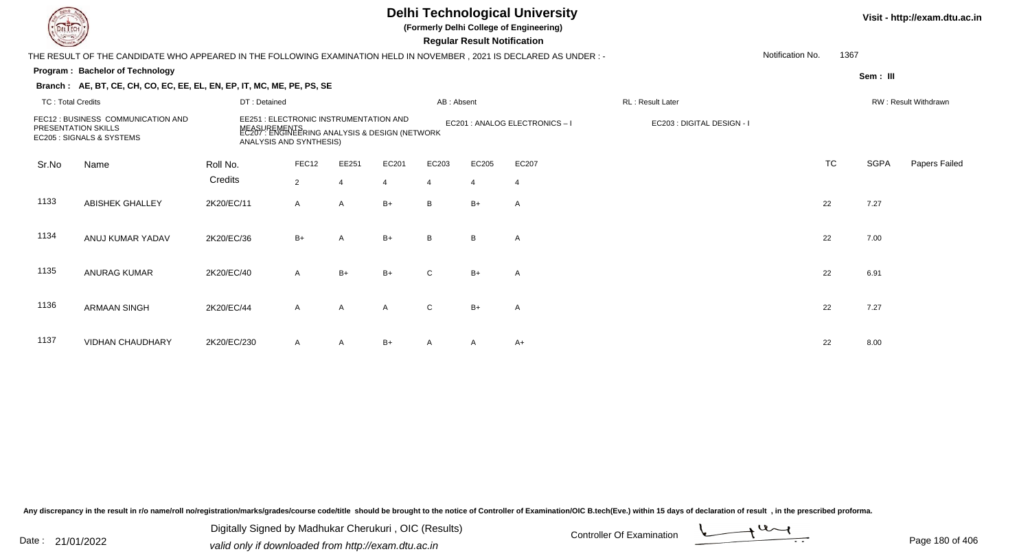| <b>DELTECH</b>                                                                                                      |                        | <b>Delhi Technological University</b><br>(Formerly Delhi College of Engineering)<br><b>Regular Result Notification</b> |                                                                                                  |       |            |                |                            |                  |                  |  |           | Visit - http://exam.d |                             |  |
|---------------------------------------------------------------------------------------------------------------------|------------------------|------------------------------------------------------------------------------------------------------------------------|--------------------------------------------------------------------------------------------------|-------|------------|----------------|----------------------------|------------------|------------------|--|-----------|-----------------------|-----------------------------|--|
| THE RESULT OF THE CANDIDATE WHO APPEARED IN THE FOLLOWING EXAMINATION HELD IN NOVEMBER, 2021 IS DECLARED AS UNDER:- |                        |                                                                                                                        |                                                                                                  |       |            |                |                            | Notification No. | 1367             |  |           |                       |                             |  |
| <b>Program: Bachelor of Technology</b>                                                                              |                        |                                                                                                                        |                                                                                                  |       |            |                |                            |                  |                  |  | Sem : III |                       |                             |  |
| Branch: AE, BT, CE, CH, CO, EC, EE, EL, EN, EP, IT, MC, ME, PE, PS, SE                                              |                        |                                                                                                                        |                                                                                                  |       |            |                |                            |                  |                  |  |           |                       |                             |  |
| <b>TC: Total Credits</b>                                                                                            |                        | DT: Detained                                                                                                           |                                                                                                  |       | AB: Absent |                |                            |                  | RL: Result Later |  |           |                       | <b>RW: Result Withdrawr</b> |  |
| FEC12 : BUSINESS COMMUNICATION AND<br>PRESENTATION SKILLS<br>EC205 : SIGNALS & SYSTEMS                              |                        | EE251 : ELECTRONIC INSTRUMENTATION AND<br>ANALYSIS AND SYNTHESIS)                                                      | EC201 : ANALOG ELECTRONICS - I<br>MEASUREMENTS<br>EC207 : ENGINEERING ANALYSIS & DESIGN (NETWORK |       |            |                | EC203 : DIGITAL DESIGN - I |                  |                  |  |           |                       |                             |  |
| Sr.No                                                                                                               | Name                   | Roll No.                                                                                                               | FEC12                                                                                            | EE251 | EC201      | EC203          | EC205                      | EC207            |                  |  | <b>TC</b> | SGPA                  | Papers Fa                   |  |
|                                                                                                                     |                        | Credits                                                                                                                | $\overline{2}$                                                                                   | 4     | -4         | $\overline{4}$ | $\overline{4}$             | $\overline{4}$   |                  |  |           |                       |                             |  |
| 1133                                                                                                                | <b>ABISHEK GHALLEY</b> | 2K20/EC/11                                                                                                             | $\mathsf{A}$                                                                                     | A     | $B+$       | B              | $B+$                       | A                |                  |  | 22        | 7.27                  |                             |  |
| 1134                                                                                                                | ANUJ KUMAR YADAV       | 2K20/EC/36                                                                                                             | $B+$                                                                                             | A     | $B+$       | B              | B                          | A                |                  |  | 22        | 7.00                  |                             |  |
| 1135                                                                                                                | <b>ANURAG KUMAR</b>    | 2K20/EC/40                                                                                                             | A                                                                                                | B+    | $B+$       |                | $B+$                       | A                |                  |  | 22        | 6.91                  |                             |  |

1136 ARMAAN SINGHH 2K20/EC/44 A A A C B+ A 22 7.27 1137 VIDHAN CHAUDHARYY 2K20/EC/230 A A B+ A A A+

Any discrepancy in the result in r/o name/roll no/registration/marks/grades/course code/title should be brought to the notice of Controller of Examination/OIC B.tech(Eve.) within 15 days of declaration of result, in the pr

Digitally Signed by Madhukar Cherukuri, OIC (Results)<br>Date : 21/01/2022 volid only if douglooded from http://ovem dtu.co.in Digitally Signed by Madhukar Cherukuri , OIC (Results)valid only if downloaded from http://exam.dtu.ac.in



TC SGPA Papers Failed

**Visit - http://exam.dtu.ac.in**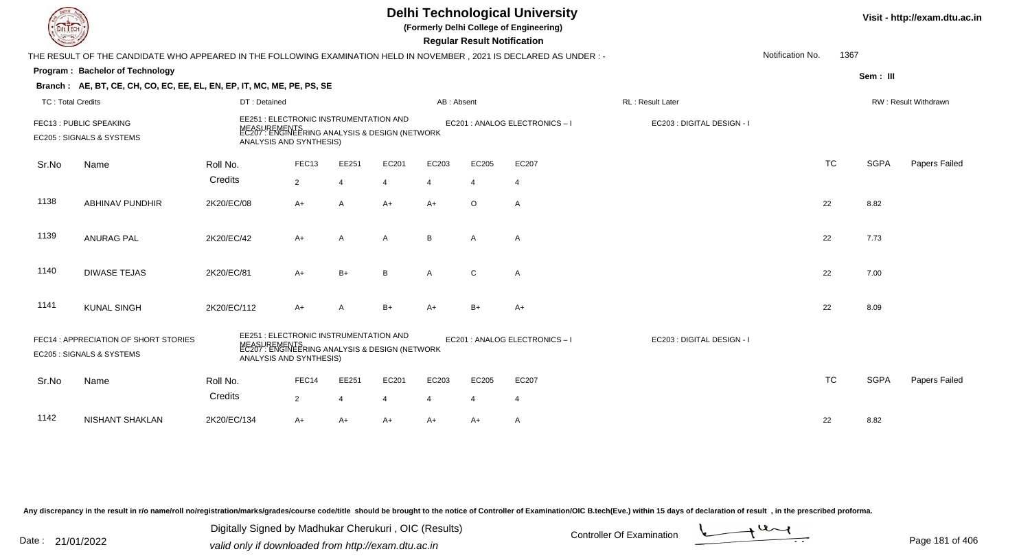|                                                                                                                                                                                                                                                                          |                                                                                                                      |                                                                                                                                     |                |                |                |                | <b>Regular Result Notification</b> | <b>Delhi Technological University</b><br>(Formerly Delhi College of Engineering) |                            |                  |           |             | Visit - http://exam.dtu.ac.in |
|--------------------------------------------------------------------------------------------------------------------------------------------------------------------------------------------------------------------------------------------------------------------------|----------------------------------------------------------------------------------------------------------------------|-------------------------------------------------------------------------------------------------------------------------------------|----------------|----------------|----------------|----------------|------------------------------------|----------------------------------------------------------------------------------|----------------------------|------------------|-----------|-------------|-------------------------------|
|                                                                                                                                                                                                                                                                          | THE RESULT OF THE CANDIDATE WHO APPEARED IN THE FOLLOWING EXAMINATION HELD IN NOVEMBER, 2021 IS DECLARED AS UNDER :- |                                                                                                                                     |                |                |                |                |                                    |                                                                                  |                            | Notification No. | 1367      |             |                               |
|                                                                                                                                                                                                                                                                          | Program: Bachelor of Technology                                                                                      |                                                                                                                                     |                |                |                |                |                                    |                                                                                  |                            |                  |           | Sem: III    |                               |
|                                                                                                                                                                                                                                                                          | Branch: AE, BT, CE, CH, CO, EC, EE, EL, EN, EP, IT, MC, ME, PE, PS, SE                                               |                                                                                                                                     |                |                |                |                |                                    |                                                                                  |                            |                  |           |             |                               |
| TC: Total Credits                                                                                                                                                                                                                                                        |                                                                                                                      | DT: Detained                                                                                                                        |                |                |                | AB: Absent     |                                    |                                                                                  | <b>RL: Result Later</b>    |                  |           |             | <b>RW: Result Withdrawn</b>   |
|                                                                                                                                                                                                                                                                          | FEC13 : PUBLIC SPEAKING<br>EC205 : SIGNALS & SYSTEMS                                                                 | EE251 : ELECTRONIC INSTRUMENTATION AND<br>MEASUREMENTS<br>EC207 : ENGINEERING ANALYSIS & DESIGN (NETWORK<br>ANALYSIS AND SYNTHESIS) |                |                |                |                |                                    | EC201 : ANALOG ELECTRONICS-I                                                     | EC203 : DIGITAL DESIGN - I |                  |           |             |                               |
| Sr.No                                                                                                                                                                                                                                                                    | Name                                                                                                                 | Roll No.                                                                                                                            | FEC13          | EE251          | EC201          | EC203          | EC205                              | EC207                                                                            |                            |                  | <b>TC</b> | <b>SGPA</b> | Papers Failed                 |
|                                                                                                                                                                                                                                                                          |                                                                                                                      | Credits                                                                                                                             | $\overline{2}$ | $\overline{4}$ | $\overline{4}$ | $\overline{4}$ | $\overline{4}$                     | $\overline{4}$                                                                   |                            |                  |           |             |                               |
| 1138                                                                                                                                                                                                                                                                     | <b>ABHINAV PUNDHIR</b>                                                                                               | 2K20/EC/08                                                                                                                          | A+             | $\overline{A}$ | $A+$           | $A+$           | $\circ$                            | Α                                                                                |                            |                  | 22        | 8.82        |                               |
| 1139                                                                                                                                                                                                                                                                     | <b>ANURAG PAL</b>                                                                                                    | 2K20/EC/42                                                                                                                          | $A+$           | $\overline{A}$ | $\mathsf{A}$   | B              | $\mathsf{A}$                       | $\overline{A}$                                                                   |                            |                  | 22        | 7.73        |                               |
| 1140                                                                                                                                                                                                                                                                     | <b>DIWASE TEJAS</b>                                                                                                  | 2K20/EC/81                                                                                                                          | $A+$           | $B+$           | B              | $\mathsf{A}$   | $\mathsf{C}$                       | $\overline{A}$                                                                   |                            |                  | 22        | 7.00        |                               |
| 1141                                                                                                                                                                                                                                                                     | <b>KUNAL SINGH</b>                                                                                                   | 2K20/EC/112                                                                                                                         | A+             | $\overline{A}$ | $B+$           | $A+$           | $B+$                               | $A+$                                                                             |                            |                  | 22        | 8.09        |                               |
| EE251 : ELECTRONIC INSTRUMENTATION AND<br>FEC14: APPRECIATION OF SHORT STORIES<br>EC201 : ANALOG ELECTRONICS - I<br>EC203 : DIGITAL DESIGN - I<br>MEASUREMENTS<br>EC207 : ENGINEERING ANALYSIS & DESIGN (NETWORK<br>EC205 : SIGNALS & SYSTEMS<br>ANALYSIS AND SYNTHESIS) |                                                                                                                      |                                                                                                                                     |                |                |                |                |                                    |                                                                                  |                            |                  |           |             |                               |
| Sr.No                                                                                                                                                                                                                                                                    | Name                                                                                                                 | Roll No.                                                                                                                            | FEC14          | EE251          | EC201          | EC203          | EC205                              | EC207                                                                            |                            |                  | <b>TC</b> | <b>SGPA</b> | Papers Failed                 |
|                                                                                                                                                                                                                                                                          |                                                                                                                      | Credits                                                                                                                             | $\overline{2}$ | $\overline{4}$ | $\overline{4}$ | $\overline{4}$ | $\overline{4}$                     | $\overline{4}$                                                                   |                            |                  |           |             |                               |
| 1142                                                                                                                                                                                                                                                                     | <b>NISHANT SHAKLAN</b>                                                                                               | 2K20/EC/134                                                                                                                         | A+             | $A+$           | $A+$           | A+             | A+                                 | $\mathsf{A}$                                                                     |                            |                  | 22        | 8.82        |                               |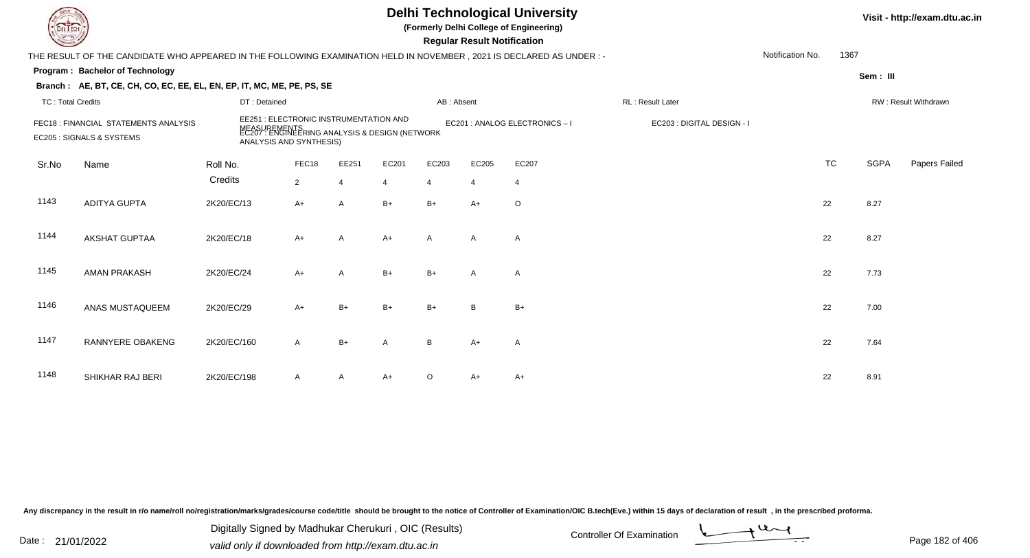# **Delhi Technological University**

**(Formerly Delhi College of Engineering)**

 **Regular Result Notification**

| $\sim$                   |                                                                                                                        |                                                                                           |                                        |              |                |            | <b>Regular Result Rothrodtion</b> |                                |                            |                  |           |             |                      |
|--------------------------|------------------------------------------------------------------------------------------------------------------------|-------------------------------------------------------------------------------------------|----------------------------------------|--------------|----------------|------------|-----------------------------------|--------------------------------|----------------------------|------------------|-----------|-------------|----------------------|
|                          | THE RESULT OF THE CANDIDATE WHO APPEARED IN THE FOLLOWING EXAMINATION HELD IN NOVEMBER , 2021 IS DECLARED AS UNDER : - |                                                                                           |                                        |              |                |            |                                   |                                |                            | Notification No. | 1367      |             |                      |
|                          | Program: Bachelor of Technology                                                                                        |                                                                                           |                                        |              |                |            |                                   |                                |                            |                  |           | Sem: III    |                      |
|                          | Branch: AE, BT, CE, CH, CO, EC, EE, EL, EN, EP, IT, MC, ME, PE, PS, SE                                                 |                                                                                           |                                        |              |                |            |                                   |                                |                            |                  |           |             |                      |
| <b>TC: Total Credits</b> |                                                                                                                        | DT: Detained                                                                              |                                        |              |                | AB: Absent |                                   |                                | RL: Result Later           |                  |           |             | RW: Result Withdrawn |
|                          | FEC18 : FINANCIAL STATEMENTS ANALYSIS<br>EC205 : SIGNALS & SYSTEMS                                                     | MEASUREMENTS<br>EC207 : ENGINEERING ANALYSIS & DESIGN (NETWORK<br>ANALYSIS AND SYNTHESIS) | EE251 : ELECTRONIC INSTRUMENTATION AND |              |                |            |                                   | EC201 : ANALOG ELECTRONICS - I | EC203 : DIGITAL DESIGN - I |                  |           |             |                      |
| Sr.No                    | Name                                                                                                                   | Roll No.                                                                                  | FEC18                                  | EE251        | EC201          | EC203      | EC205                             | EC207                          |                            |                  | <b>TC</b> | <b>SGPA</b> | Papers Failed        |
|                          |                                                                                                                        | Credits                                                                                   | $\overline{2}$                         | 4            | $\overline{4}$ | 4          | $\overline{4}$                    | $\overline{4}$                 |                            |                  |           |             |                      |
| 1143                     | <b>ADITYA GUPTA</b>                                                                                                    | 2K20/EC/13                                                                                | $A+$                                   | A            | $B+$           | $B+$       | $A+$                              | $\circ$                        |                            |                  | 22        | 8.27        |                      |
| 1144                     | AKSHAT GUPTAA                                                                                                          | 2K20/EC/18                                                                                | $A+$                                   | A            | $A+$           | A          | A                                 | A                              |                            |                  | 22        | 8.27        |                      |
| 1145                     | <b>AMAN PRAKASH</b>                                                                                                    | 2K20/EC/24                                                                                | $A+$                                   | $\mathsf{A}$ | $B+$           | $B+$       | $\mathsf{A}$                      | A                              |                            |                  | 22        | 7.73        |                      |
| 1146                     | ANAS MUSTAQUEEM                                                                                                        | 2K20/EC/29                                                                                | $A+$                                   | $B+$         | $B+$           | $B+$       | B                                 | $B+$                           |                            |                  | 22        | 7.00        |                      |
| 1147                     | RANNYERE OBAKENG                                                                                                       | 2K20/EC/160                                                                               | $\mathsf{A}$                           | $B+$         | Α              | B          | $A+$                              | A                              |                            |                  | 22        | 7.64        |                      |
| 1148                     | SHIKHAR RAJ BERI                                                                                                       | 2K20/EC/198                                                                               | $\mathsf{A}$                           | A            | $A+$           | O          | A+                                | A+                             |                            |                  | 22        | 8.91        |                      |

Any discrepancy in the result in r/o name/roll no/registration/marks/grades/course code/title should be brought to the notice of Controller of Examination/OIC B.tech(Eve.) within 15 days of declaration of result, in the pr

Date : 21/01/2022 Digital Digital of Microsofted Chemical Controller Of Examination Determination Page 182 of 40 Digitally Signed by Madhukar Cherukuri , OIC (Results)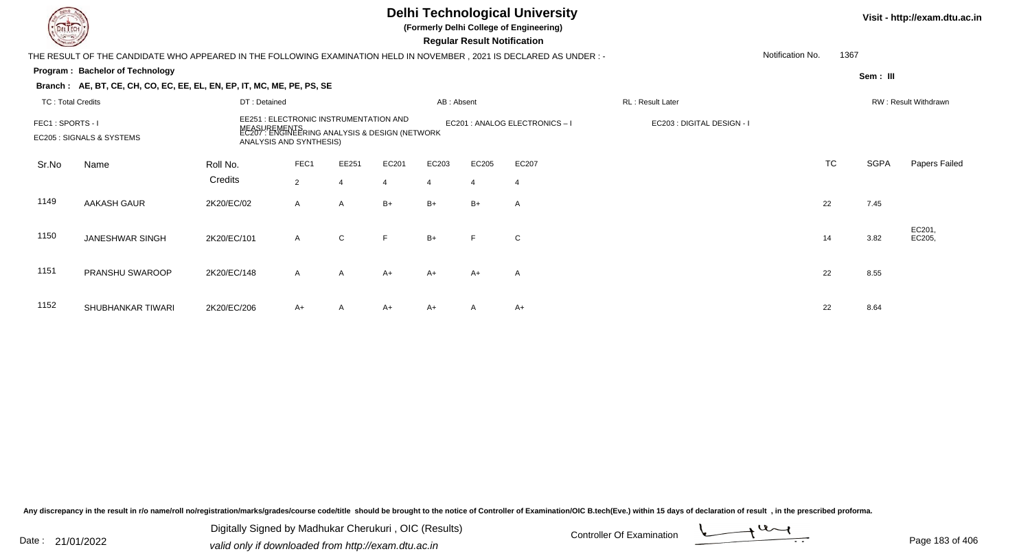|                          |                                                                                                                        |              |                                                                                                                              |                |       | Visit - http://exam.dtu.ac.in |                                    |                                |                            |                  |           |             |                      |
|--------------------------|------------------------------------------------------------------------------------------------------------------------|--------------|------------------------------------------------------------------------------------------------------------------------------|----------------|-------|-------------------------------|------------------------------------|--------------------------------|----------------------------|------------------|-----------|-------------|----------------------|
|                          | THE RESULT OF THE CANDIDATE WHO APPEARED IN THE FOLLOWING EXAMINATION HELD IN NOVEMBER , 2021 IS DECLARED AS UNDER : - |              |                                                                                                                              |                |       |                               | <b>Regular Result Notification</b> |                                |                            | Notification No. | 1367      |             |                      |
|                          | Program: Bachelor of Technology                                                                                        |              |                                                                                                                              |                |       |                               |                                    |                                |                            |                  |           | Sem: III    |                      |
|                          | Branch: AE, BT, CE, CH, CO, EC, EE, EL, EN, EP, IT, MC, ME, PE, PS, SE                                                 |              |                                                                                                                              |                |       |                               |                                    |                                |                            |                  |           |             |                      |
| <b>TC: Total Credits</b> |                                                                                                                        | DT: Detained |                                                                                                                              |                |       | AB: Absent                    |                                    |                                | RL: Result Later           |                  |           |             | RW: Result Withdrawn |
| FEC1: SPORTS - I         | EC205 : SIGNALS & SYSTEMS                                                                                              |              | EE251 : ELECTRONIC INSTRUMENTATION AND<br>:UREMENTS<br>7 : ENGINEERING ANALYSIS & DESIGN (NETWORK<br>ANALYSIS AND SYNTHESIS) |                |       |                               |                                    | EC201 : ANALOG ELECTRONICS - I | EC203 : DIGITAL DESIGN - I |                  |           |             |                      |
| Sr.No                    | Name                                                                                                                   | Roll No.     | FEC1                                                                                                                         | EE251          | EC201 | EC203                         | EC205                              | EC207                          |                            |                  | <b>TC</b> | <b>SGPA</b> | Papers Failed        |
|                          |                                                                                                                        | Credits      | $\overline{2}$                                                                                                               | $\overline{4}$ |       | $\overline{4}$                | $\overline{4}$                     | $\overline{4}$                 |                            |                  |           |             |                      |
| 1149                     | AAKASH GAUR                                                                                                            | 2K20/EC/02   | $\mathsf{A}$                                                                                                                 | $\mathsf{A}$   | $B+$  | $B+$                          | $B+$                               | A                              |                            |                  | 22        | 7.45        |                      |
| 1150                     | <b>JANESHWAR SINGH</b>                                                                                                 | 2K20/EC/101  | $\mathsf{A}$                                                                                                                 | $\mathsf{C}$   | F     | $B+$                          |                                    | $\mathbf C$                    |                            |                  | 14        | 3.82        | EC201,<br>EC205,     |
| 1151                     | PRANSHU SWAROOP                                                                                                        | 2K20/EC/148  | $\mathsf{A}$                                                                                                                 | $\mathsf{A}$   | $A+$  | $A+$                          | A+                                 | A                              |                            |                  | 22        | 8.55        |                      |
| 1152                     | SHUBHANKAR TIWARI                                                                                                      | 2K20/EC/206  | A+                                                                                                                           | A              | A+    | $A+$                          | A                                  | $A+$                           |                            |                  | 22        | 8.64        |                      |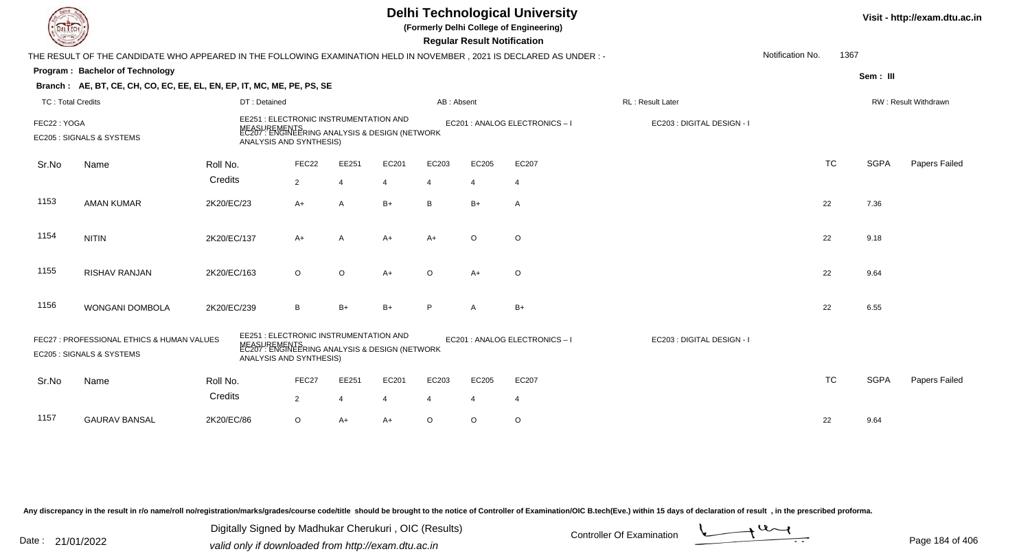|                                                                                                                                                                                                                                                                               |                                                                                                                      |                                                                                                                                     |                | Visit - http://exam.dtu.ac.in |                |                |                |                              |                            |                  |           |             |                             |
|-------------------------------------------------------------------------------------------------------------------------------------------------------------------------------------------------------------------------------------------------------------------------------|----------------------------------------------------------------------------------------------------------------------|-------------------------------------------------------------------------------------------------------------------------------------|----------------|-------------------------------|----------------|----------------|----------------|------------------------------|----------------------------|------------------|-----------|-------------|-----------------------------|
|                                                                                                                                                                                                                                                                               | THE RESULT OF THE CANDIDATE WHO APPEARED IN THE FOLLOWING EXAMINATION HELD IN NOVEMBER, 2021 IS DECLARED AS UNDER :- |                                                                                                                                     |                |                               |                |                |                |                              |                            | Notification No. | 1367      |             |                             |
|                                                                                                                                                                                                                                                                               | Program: Bachelor of Technology                                                                                      |                                                                                                                                     |                |                               |                |                |                |                              |                            |                  |           | Sem: III    |                             |
|                                                                                                                                                                                                                                                                               | Branch: AE, BT, CE, CH, CO, EC, EE, EL, EN, EP, IT, MC, ME, PE, PS, SE                                               |                                                                                                                                     |                |                               |                |                |                |                              |                            |                  |           |             |                             |
| TC: Total Credits                                                                                                                                                                                                                                                             |                                                                                                                      | DT: Detained                                                                                                                        |                |                               |                | AB: Absent     |                |                              | <b>RL: Result Later</b>    |                  |           |             | <b>RW: Result Withdrawn</b> |
| FEC22: YOGA                                                                                                                                                                                                                                                                   | EC205 : SIGNALS & SYSTEMS                                                                                            | EE251 : ELECTRONIC INSTRUMENTATION AND<br>MEASUREMENTS<br>EC207 : ENGINEERING ANALYSIS & DESIGN (NETWORK<br>ANALYSIS AND SYNTHESIS) |                |                               |                |                |                | EC201 : ANALOG ELECTRONICS-I | EC203 : DIGITAL DESIGN - I |                  |           |             |                             |
| Sr.No                                                                                                                                                                                                                                                                         | Name                                                                                                                 | Roll No.                                                                                                                            | FEC22          | EE251                         | EC201          | EC203          | EC205          | EC207                        |                            |                  | <b>TC</b> | <b>SGPA</b> | Papers Failed               |
|                                                                                                                                                                                                                                                                               |                                                                                                                      | Credits                                                                                                                             | $\overline{2}$ | $\overline{4}$                | 4              | $\overline{4}$ | $\overline{4}$ | $\overline{4}$               |                            |                  |           |             |                             |
| 1153                                                                                                                                                                                                                                                                          | <b>AMAN KUMAR</b>                                                                                                    | 2K20/EC/23                                                                                                                          | A+             | $\overline{A}$                | $B+$           | B              | $B+$           | Α                            |                            |                  | 22        | 7.36        |                             |
| 1154                                                                                                                                                                                                                                                                          | <b>NITIN</b>                                                                                                         | 2K20/EC/137                                                                                                                         | $A+$           | $\overline{A}$                | $A+$           | $A+$           | $\circ$        | $\circ$                      |                            |                  | 22        | 9.18        |                             |
| 1155                                                                                                                                                                                                                                                                          | RISHAV RANJAN                                                                                                        | 2K20/EC/163                                                                                                                         | $\circ$        | $\circ$                       | $A+$           | $\circ$        | $A+$           | $\circ$                      |                            |                  | 22        | 9.64        |                             |
| 1156                                                                                                                                                                                                                                                                          | WONGANI DOMBOLA                                                                                                      | 2K20/EC/239                                                                                                                         | B              | $B+$                          | $B+$           | P              | A              | $B+$                         |                            |                  | 22        | 6.55        |                             |
| EE251 : ELECTRONIC INSTRUMENTATION AND<br>FEC27: PROFESSIONAL ETHICS & HUMAN VALUES<br>EC201 : ANALOG ELECTRONICS - I<br>EC203 : DIGITAL DESIGN - I<br>MEASUREMENTS<br>EC207 : ENGINEERING ANALYSIS & DESIGN (NETWORK<br>EC205 : SIGNALS & SYSTEMS<br>ANALYSIS AND SYNTHESIS) |                                                                                                                      |                                                                                                                                     |                |                               |                |                |                |                              |                            |                  |           |             |                             |
| Sr.No                                                                                                                                                                                                                                                                         | Name                                                                                                                 | Roll No.                                                                                                                            | FEC27          | EE251                         | EC201          | EC203          | EC205          | EC207                        |                            |                  | <b>TC</b> | <b>SGPA</b> | Papers Failed               |
|                                                                                                                                                                                                                                                                               |                                                                                                                      | Credits                                                                                                                             | $\overline{2}$ | $\overline{4}$                | $\overline{4}$ | $\overline{4}$ | $\overline{4}$ | $\overline{4}$               |                            |                  |           |             |                             |
| 1157                                                                                                                                                                                                                                                                          | <b>GAURAV BANSAL</b>                                                                                                 | 2K20/EC/86                                                                                                                          | $\circ$        | $A+$                          | $A+$           | $\circ$        | $\circ$        | $\circ$                      |                            |                  | 22        | 9.64        |                             |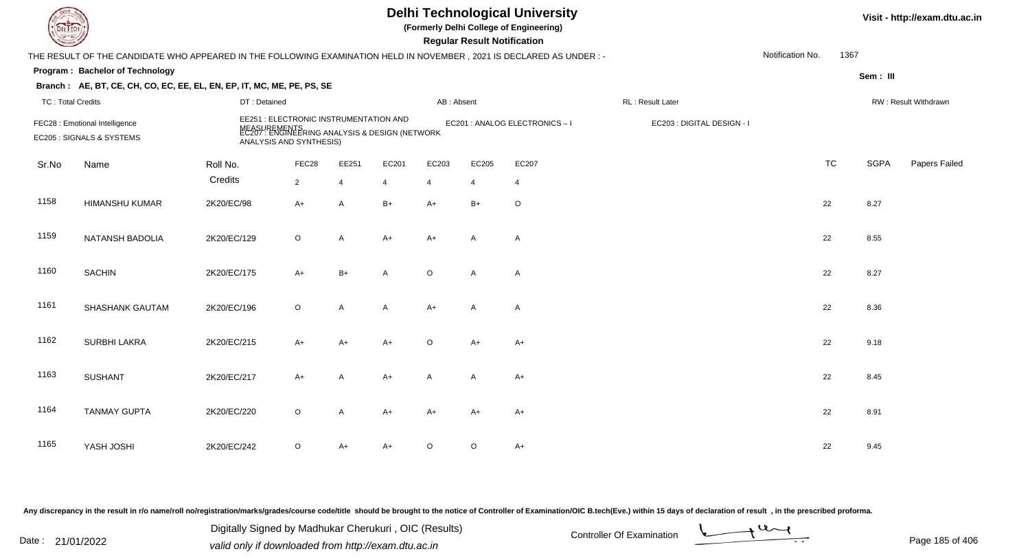| EL ECH                   |                                                                                                                      |              |                                                                                                                                     |                |                |                | <b>Regular Result Notification</b> | <b>Delhi Technological University</b><br>(Formerly Delhi College of Engineering) |                            |                  |           |             | Visit - http://exam.dtu.ac.in |
|--------------------------|----------------------------------------------------------------------------------------------------------------------|--------------|-------------------------------------------------------------------------------------------------------------------------------------|----------------|----------------|----------------|------------------------------------|----------------------------------------------------------------------------------|----------------------------|------------------|-----------|-------------|-------------------------------|
|                          | THE RESULT OF THE CANDIDATE WHO APPEARED IN THE FOLLOWING EXAMINATION HELD IN NOVEMBER, 2021 IS DECLARED AS UNDER :- |              |                                                                                                                                     |                |                |                |                                    |                                                                                  |                            | Notification No. | 1367      |             |                               |
|                          | Program: Bachelor of Technology                                                                                      |              |                                                                                                                                     |                |                |                |                                    |                                                                                  |                            |                  |           | Sem: III    |                               |
|                          | Branch: AE, BT, CE, CH, CO, EC, EE, EL, EN, EP, IT, MC, ME, PE, PS, SE                                               |              |                                                                                                                                     |                |                |                |                                    |                                                                                  |                            |                  |           |             |                               |
| <b>TC: Total Credits</b> |                                                                                                                      | DT: Detained |                                                                                                                                     |                |                | AB: Absent     |                                    |                                                                                  | RL: Result Later           |                  |           |             | RW: Result Withdrawn          |
|                          | FEC28 : Emotional Intelligence<br>EC205 : SIGNALS & SYSTEMS                                                          |              | EE251 : ELECTRONIC INSTRUMENTATION AND<br>MEASUREMENTS<br>EC207 : ENGINEERING ANALYSIS & DESIGN (NETWORK<br>ANALYSIS AND SYNTHESIS) |                |                |                |                                    | EC201 : ANALOG ELECTRONICS-I                                                     | EC203 : DIGITAL DESIGN - I |                  |           |             |                               |
| Sr.No                    | Name                                                                                                                 | Roll No.     | FEC28                                                                                                                               | EE251          | EC201          | EC203          | EC205                              | EC207                                                                            |                            |                  | <b>TC</b> | <b>SGPA</b> | Papers Failed                 |
|                          |                                                                                                                      | Credits      | $\overline{2}$                                                                                                                      | $\overline{4}$ | $\overline{4}$ | $\overline{4}$ | 4                                  | $\overline{4}$                                                                   |                            |                  |           |             |                               |
| 1158                     | <b>HIMANSHU KUMAR</b>                                                                                                | 2K20/EC/98   | $A+$                                                                                                                                | A              | $B+$           | $A+$           | $B+$                               | $\circ$                                                                          |                            |                  | 22        | 8.27        |                               |
| 1159                     | NATANSH BADOLIA                                                                                                      | 2K20/EC/129  | O                                                                                                                                   | A              | $A+$           | $A+$           | A                                  | $\mathsf{A}$                                                                     |                            |                  | 22        | 8.55        |                               |
| 1160                     | <b>SACHIN</b>                                                                                                        | 2K20/EC/175  | $A+$                                                                                                                                | $B+$           | A              | $\circ$        | A                                  | A                                                                                |                            |                  | 22        | 8.27        |                               |
| 1161                     | SHASHANK GAUTAM                                                                                                      | 2K20/EC/196  | $\circ$                                                                                                                             | A              | A              | $A+$           | $\mathsf{A}$                       | $\mathsf{A}$                                                                     |                            |                  | 22        | 8.36        |                               |
| 1162                     | <b>SURBHI LAKRA</b>                                                                                                  | 2K20/EC/215  | $A+$                                                                                                                                | $A+$           | A+             | $\circ$        | $A+$                               | $A+$                                                                             |                            |                  | 22        | 9.18        |                               |
| 1163                     | <b>SUSHANT</b>                                                                                                       | 2K20/EC/217  | $A+$                                                                                                                                | A              | A+             | $\mathsf{A}$   | A                                  | $A+$                                                                             |                            |                  | 22        | 8.45        |                               |
| 1164                     | <b>TANMAY GUPTA</b>                                                                                                  | 2K20/EC/220  | $\circ$                                                                                                                             | A              | A+             | $A+$           | A+                                 | A+                                                                               |                            |                  | 22        | 8.91        |                               |
| 1165                     | YASH JOSHI                                                                                                           | 2K20/EC/242  | O                                                                                                                                   | $A+$           | A+             | $\circ$        | $\circ$                            | A+                                                                               |                            |                  | 22        | 9.45        |                               |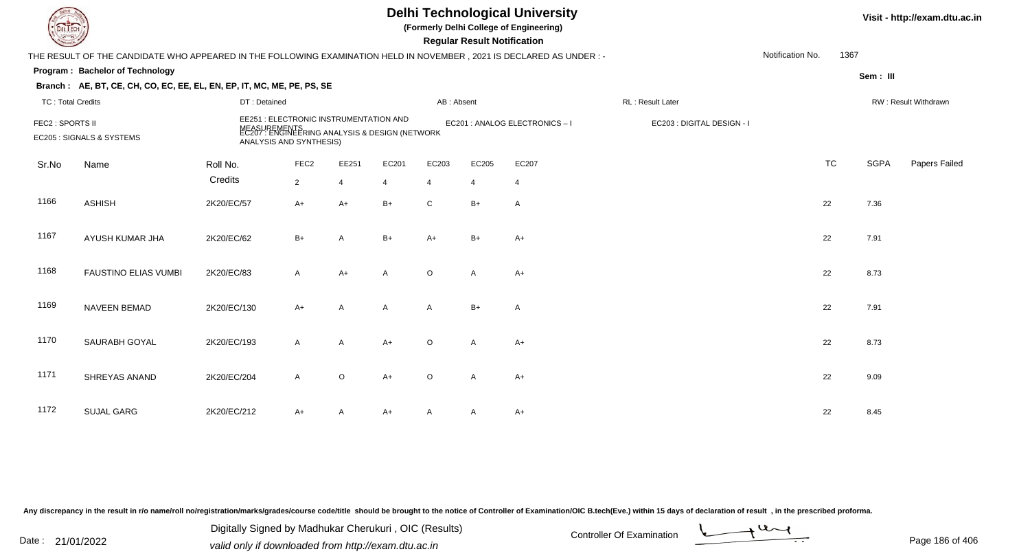| EL ECH                   |                                                                                                                      |                                                                   |                  |                | Visit - http://exam.dtu.ac.in                                  |                |                                    |                              |                            |                  |           |             |                      |
|--------------------------|----------------------------------------------------------------------------------------------------------------------|-------------------------------------------------------------------|------------------|----------------|----------------------------------------------------------------|----------------|------------------------------------|------------------------------|----------------------------|------------------|-----------|-------------|----------------------|
|                          | THE RESULT OF THE CANDIDATE WHO APPEARED IN THE FOLLOWING EXAMINATION HELD IN NOVEMBER, 2021 IS DECLARED AS UNDER :- |                                                                   |                  |                |                                                                |                | <b>Regular Result Notification</b> |                              |                            | Notification No. | 1367      |             |                      |
|                          | Program: Bachelor of Technology                                                                                      |                                                                   |                  |                |                                                                |                |                                    |                              |                            |                  |           |             |                      |
|                          | Branch: AE, BT, CE, CH, CO, EC, EE, EL, EN, EP, IT, MC, ME, PE, PS, SE                                               |                                                                   |                  |                |                                                                |                |                                    |                              |                            |                  |           | Sem: III    |                      |
| <b>TC: Total Credits</b> |                                                                                                                      | DT: Detained                                                      |                  |                |                                                                | AB: Absent     |                                    |                              | RL : Result Later          |                  |           |             | RW: Result Withdrawn |
| FEC2 : SPORTS II         | EC205 : SIGNALS & SYSTEMS                                                                                            | EE251 : ELECTRONIC INSTRUMENTATION AND<br>ANALYSIS AND SYNTHESIS) |                  |                | MEASUREMENTS<br>EC207 : ENGINEERING ANALYSIS & DESIGN (NETWORK |                |                                    | EC201 : ANALOG ELECTRONICS-I | EC203 : DIGITAL DESIGN - I |                  |           |             |                      |
| Sr.No                    | Name                                                                                                                 | Roll No.                                                          | FEC <sub>2</sub> | EE251          | EC201                                                          | EC203          | EC205                              | EC207                        |                            |                  | <b>TC</b> | <b>SGPA</b> | Papers Failed        |
|                          |                                                                                                                      | Credits                                                           | $\overline{2}$   | $\overline{4}$ | $\overline{4}$                                                 | $\overline{4}$ | $\overline{4}$                     | $\overline{4}$               |                            |                  |           |             |                      |
| 1166                     | <b>ASHISH</b>                                                                                                        | 2K20/EC/57                                                        | $A+$             | $A+$           | $B+$                                                           | $\mathsf{C}$   | $B+$                               | $\overline{A}$               |                            |                  | 22        | 7.36        |                      |
| 1167                     | AYUSH KUMAR JHA                                                                                                      | 2K20/EC/62                                                        | $B+$             | $\overline{A}$ | $B+$                                                           | $A+$           | $B+$                               | $A+$                         |                            |                  | 22        | 7.91        |                      |
| 1168                     | <b>FAUSTINO ELIAS VUMBI</b>                                                                                          | 2K20/EC/83                                                        | $\mathsf{A}$     | $A+$           | $\mathsf{A}$                                                   | $\circ$        | $\mathsf{A}$                       | $A+$                         |                            |                  | 22        | 8.73        |                      |
| 1169                     | NAVEEN BEMAD                                                                                                         | 2K20/EC/130                                                       | $A+$             | A              | $\mathsf{A}$                                                   | $\mathsf{A}$   | $B+$                               | $\overline{A}$               |                            |                  | 22        | 7.91        |                      |
| 1170                     | SAURABH GOYAL                                                                                                        | 2K20/EC/193                                                       | $\mathsf{A}$     | $\mathsf{A}$   | $A+$                                                           | $\circ$        | $\mathsf{A}$                       | $A+$                         |                            |                  | 22        | 8.73        |                      |
| 1171                     | SHREYAS ANAND                                                                                                        | 2K20/EC/204                                                       | $\mathsf{A}$     | $\circ$        | $A+$                                                           | $\circ$        | A                                  | $A+$                         |                            |                  | 22        | 9.09        |                      |
| 1172                     | <b>SUJAL GARG</b>                                                                                                    | 2K20/EC/212                                                       | A+               | A              | A+                                                             | A              | A                                  | $A+$                         |                            |                  | 22        | 8.45        |                      |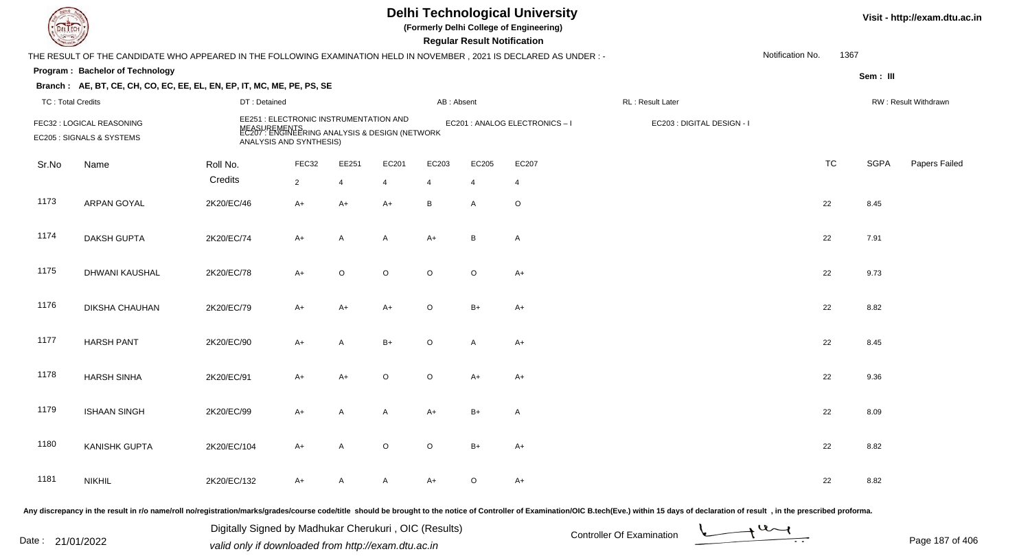| IL I ECH                 |                                                                                                                      |                                                                                                                                     |                |                |                |            | <b>Regular Result Notification</b> | <b>Delhi Technological University</b><br>(Formerly Delhi College of Engineering) |                            |                  |      |             | Visit - http://exam.dtu.ac.in |
|--------------------------|----------------------------------------------------------------------------------------------------------------------|-------------------------------------------------------------------------------------------------------------------------------------|----------------|----------------|----------------|------------|------------------------------------|----------------------------------------------------------------------------------|----------------------------|------------------|------|-------------|-------------------------------|
|                          | THE RESULT OF THE CANDIDATE WHO APPEARED IN THE FOLLOWING EXAMINATION HELD IN NOVEMBER, 2021 IS DECLARED AS UNDER :- |                                                                                                                                     |                |                |                |            |                                    |                                                                                  |                            | Notification No. | 1367 |             |                               |
|                          | Program: Bachelor of Technology                                                                                      |                                                                                                                                     |                |                |                |            |                                    |                                                                                  |                            |                  |      | Sem: III    |                               |
|                          | Branch: AE, BT, CE, CH, CO, EC, EE, EL, EN, EP, IT, MC, ME, PE, PS, SE                                               |                                                                                                                                     |                |                |                |            |                                    |                                                                                  |                            |                  |      |             |                               |
| <b>TC: Total Credits</b> |                                                                                                                      | DT: Detained                                                                                                                        |                |                |                | AB: Absent |                                    |                                                                                  | RL: Result Later           |                  |      |             | RW: Result Withdrawn          |
|                          | FEC32 : LOGICAL REASONING<br>EC205 : SIGNALS & SYSTEMS                                                               | EE251 : ELECTRONIC INSTRUMENTATION AND<br>MEASUREMENTS<br>EC207 : ENGINEERING ANALYSIS & DESIGN (NETWORK<br>ANALYSIS AND SYNTHESIS) |                |                |                |            |                                    | EC201 : ANALOG ELECTRONICS-I                                                     | EC203 : DIGITAL DESIGN - I |                  |      |             |                               |
| Sr.No                    | Name                                                                                                                 | Roll No.                                                                                                                            | FEC32          | EE251          | EC201          | EC203      | EC205                              | EC207                                                                            |                            | <b>TC</b>        |      | <b>SGPA</b> | Papers Failed                 |
|                          |                                                                                                                      | Credits                                                                                                                             | $\overline{2}$ | $\overline{4}$ | $\overline{4}$ | 4          | $\overline{4}$                     | $\overline{4}$                                                                   |                            |                  |      |             |                               |
| 1173                     | ARPAN GOYAL                                                                                                          | 2K20/EC/46                                                                                                                          | A+             | $A+$           | $A+$           | B          | A                                  | $\circ$                                                                          |                            | 22               |      | 8.45        |                               |
| 1174                     | DAKSH GUPTA                                                                                                          | 2K20/EC/74                                                                                                                          | $A+$           | A              | A              | $A+$       | B                                  | $\mathsf{A}$                                                                     |                            | 22               |      | 7.91        |                               |
| 1175                     | DHWANI KAUSHAL                                                                                                       | 2K20/EC/78                                                                                                                          | $A+$           | $\mathsf O$    | $\circ$        | $\circ$    | $\circ$                            | A+                                                                               |                            | 22               |      | 9.73        |                               |
| 1176                     | DIKSHA CHAUHAN                                                                                                       | 2K20/EC/79                                                                                                                          | $A+$           | $A+$           | $A+$           | $\circ$    | $B+$                               | $A+$                                                                             |                            | 22               |      | 8.82        |                               |
| 1177                     | <b>HARSH PANT</b>                                                                                                    | 2K20/EC/90                                                                                                                          | $A+$           | A              | $B+$           | $\circ$    | A                                  | $A+$                                                                             |                            | 22               |      | 8.45        |                               |
| 1178                     | <b>HARSH SINHA</b>                                                                                                   | 2K20/EC/91                                                                                                                          | A+             | $A+$           | O              | $\circ$    | A+                                 | $A+$                                                                             |                            | 22               |      | 9.36        |                               |
| 1179                     | <b>ISHAAN SINGH</b>                                                                                                  | 2K20/EC/99                                                                                                                          | A+             | Α              | A              | $A+$       | B+                                 | Α                                                                                |                            | 22               |      | 8.09        |                               |
| 1180                     | <b>KANISHK GUPTA</b>                                                                                                 | 2K20/EC/104                                                                                                                         | A+             | $\mathsf{A}$   | $\circ$        | $\circ$    | $B+$                               | A+                                                                               |                            | 22               |      | 8.82        |                               |
| 1181                     | <b>NIKHIL</b>                                                                                                        | 2K20/EC/132                                                                                                                         | A+             | A              | A              | A+         | $\circ$                            | $A+$                                                                             |                            | 22               |      | 8.82        |                               |
|                          |                                                                                                                      |                                                                                                                                     |                |                |                |            |                                    |                                                                                  |                            |                  |      |             |                               |

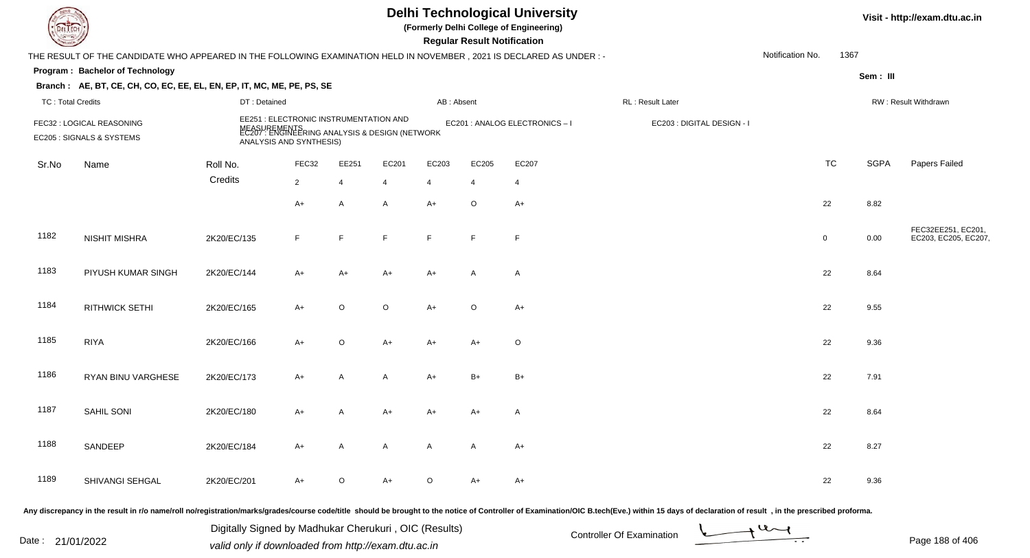| DEL ECH                  |                                                                                                                     |              |                                                                   |                |                                                                |                | <b>Regular Result Notification</b> | <b>Delhi Technological University</b><br>(Formerly Delhi College of Engineering) |                            |                  |             |             | Visit - http://exam.dtu.ac.in              |
|--------------------------|---------------------------------------------------------------------------------------------------------------------|--------------|-------------------------------------------------------------------|----------------|----------------------------------------------------------------|----------------|------------------------------------|----------------------------------------------------------------------------------|----------------------------|------------------|-------------|-------------|--------------------------------------------|
|                          | THE RESULT OF THE CANDIDATE WHO APPEARED IN THE FOLLOWING EXAMINATION HELD IN NOVEMBER, 2021 IS DECLARED AS UNDER:- |              |                                                                   |                |                                                                |                |                                    |                                                                                  |                            | Notification No. | 1367        |             |                                            |
|                          | Program: Bachelor of Technology                                                                                     |              |                                                                   |                |                                                                |                |                                    |                                                                                  |                            |                  |             | Sem: III    |                                            |
|                          | Branch: AE, BT, CE, CH, CO, EC, EE, EL, EN, EP, IT, MC, ME, PE, PS, SE                                              |              |                                                                   |                |                                                                |                |                                    |                                                                                  |                            |                  |             |             |                                            |
| <b>TC: Total Credits</b> |                                                                                                                     | DT: Detained |                                                                   |                |                                                                | AB: Absent     |                                    |                                                                                  | RL: Result Later           |                  |             |             | RW: Result Withdrawn                       |
|                          | FEC32 : LOGICAL REASONING<br>EC205 : SIGNALS & SYSTEMS                                                              |              | EE251 : ELECTRONIC INSTRUMENTATION AND<br>ANALYSIS AND SYNTHESIS) |                | MEASUREMENTS<br>EC207 : ENGINEERING ANALYSIS & DESIGN (NETWORK |                |                                    | EC201 : ANALOG ELECTRONICS - I                                                   | EC203 : DIGITAL DESIGN - I |                  |             |             |                                            |
| Sr.No                    | Name                                                                                                                | Roll No.     | FEC32                                                             | EE251          | EC201                                                          | EC203          | EC205                              | EC207                                                                            |                            |                  | <b>TC</b>   | <b>SGPA</b> | Papers Failed                              |
|                          |                                                                                                                     | Credits      | $\overline{2}$                                                    | $\overline{4}$ | $\overline{4}$                                                 | $\overline{4}$ | $\overline{4}$                     | -4                                                                               |                            |                  |             |             |                                            |
|                          |                                                                                                                     |              | $A+$                                                              | $\mathsf{A}$   | $\mathsf{A}$                                                   | $A+$           | $\mathsf O$                        | $A+$                                                                             |                            |                  | 22          | 8.82        |                                            |
| 1182                     | <b>NISHIT MISHRA</b>                                                                                                | 2K20/EC/135  | F                                                                 | F              | F                                                              | F.             | F                                  | F                                                                                |                            |                  | $\mathbf 0$ | 0.00        | FEC32EE251, EC201,<br>EC203, EC205, EC207, |
| 1183                     | PIYUSH KUMAR SINGH                                                                                                  | 2K20/EC/144  | A+                                                                | $A+$           | $A+$                                                           | A+             | $\mathsf{A}$                       | A                                                                                |                            |                  | 22          | 8.64        |                                            |
| 1184                     | <b>RITHWICK SETHI</b>                                                                                               | 2K20/EC/165  | $A+$                                                              | $\circ$        | $\circ$                                                        | $A+$           | $\mathsf O$                        | $A+$                                                                             |                            |                  | 22          | 9.55        |                                            |
| 1185                     | <b>RIYA</b>                                                                                                         | 2K20/EC/166  | A+                                                                | $\mathsf O$    | $A+$                                                           | A+             | $A+$                               | $\circ$                                                                          |                            |                  | 22          | 9.36        |                                            |
| 1186                     | RYAN BINU VARGHESE                                                                                                  | 2K20/EC/173  | A+                                                                | $\overline{A}$ | A                                                              | A+             | $B+$                               | $B+$                                                                             |                            |                  | 22          | 7.91        |                                            |
| 1187                     | SAHIL SONI                                                                                                          | 2K20/EC/180  | A+                                                                | A              | A+                                                             | A+             | A+                                 | A                                                                                |                            |                  | 22          | 8.64        |                                            |
| 1188                     | SANDEEP                                                                                                             | 2K20/EC/184  | $A+$                                                              | A              | A                                                              | A              | $\mathsf{A}$                       | $A+$                                                                             |                            |                  | 22          | 8.27        |                                            |
| 1189                     | SHIVANGI SEHGAL                                                                                                     | 2K20/EC/201  | A+                                                                | $\circ$        | A+                                                             | O              | $A+$                               | A+                                                                               |                            |                  | 22          | 9.36        |                                            |
|                          |                                                                                                                     |              |                                                                   |                |                                                                |                |                                    |                                                                                  |                            |                  |             |             |                                            |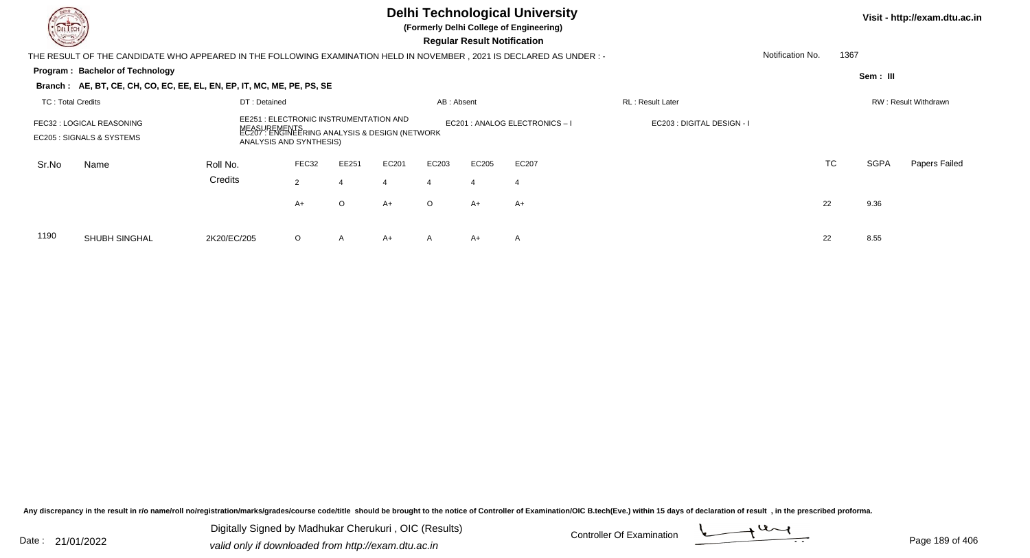| DEL TECH<br><b>Common</b> |                                                                                                                       |                  |                                                                                                                                     |              |       |                      | Visit - http://exam.dtu.ac.in      |                              |                            |                  |           |             |               |
|---------------------------|-----------------------------------------------------------------------------------------------------------------------|------------------|-------------------------------------------------------------------------------------------------------------------------------------|--------------|-------|----------------------|------------------------------------|------------------------------|----------------------------|------------------|-----------|-------------|---------------|
|                           | THE RESULT OF THE CANDIDATE WHO APPEARED IN THE FOLLOWING EXAMINATION HELD IN NOVEMBER , 2021 IS DECLARED AS UNDER :- |                  |                                                                                                                                     |              |       |                      | <b>Regular Result Notification</b> |                              |                            | Notification No. | 1367      |             |               |
|                           | Program: Bachelor of Technology                                                                                       |                  |                                                                                                                                     |              |       |                      |                                    |                              |                            |                  |           | Sem: III    |               |
|                           | Branch: AE, BT, CE, CH, CO, EC, EE, EL, EN, EP, IT, MC, ME, PE, PS, SE                                                |                  |                                                                                                                                     |              |       |                      |                                    |                              |                            |                  |           |             |               |
| <b>TC: Total Credits</b>  |                                                                                                                       | RL: Result Later |                                                                                                                                     |              |       | RW: Result Withdrawn |                                    |                              |                            |                  |           |             |               |
|                           | FEC32 : LOGICAL REASONING<br>EC205 : SIGNALS & SYSTEMS                                                                |                  | EE251 : ELECTRONIC INSTRUMENTATION AND<br>MEASUREMENTS<br>EC207 : ENGINEERING ANALYSIS & DESIGN (NETWORK<br>ANALYSIS AND SYNTHESIS) |              |       |                      |                                    | EC201 : ANALOG ELECTRONICS-I | EC203 : DIGITAL DESIGN - I |                  |           |             |               |
| Sr.No                     | Name                                                                                                                  | Roll No.         | FEC32                                                                                                                               | EE251        | EC201 | EC203                | EC205                              | EC207                        |                            |                  | <b>TC</b> | <b>SGPA</b> | Papers Failed |
|                           |                                                                                                                       | Credits          | 2                                                                                                                                   |              |       | $\overline{4}$       | $\overline{4}$                     | $\overline{4}$               |                            |                  |           |             |               |
|                           |                                                                                                                       |                  | A+                                                                                                                                  | O            | $A+$  | $\circ$              | A+                                 | $A+$                         |                            |                  | 22        | 9.36        |               |
| 1190                      | <b>SHUBH SINGHAL</b>                                                                                                  | 2K20/EC/205      | $\circ$                                                                                                                             | $\mathsf{A}$ | A+    | $\mathsf{A}$         | A+                                 | A                            |                            |                  | 22        | 8.55        |               |

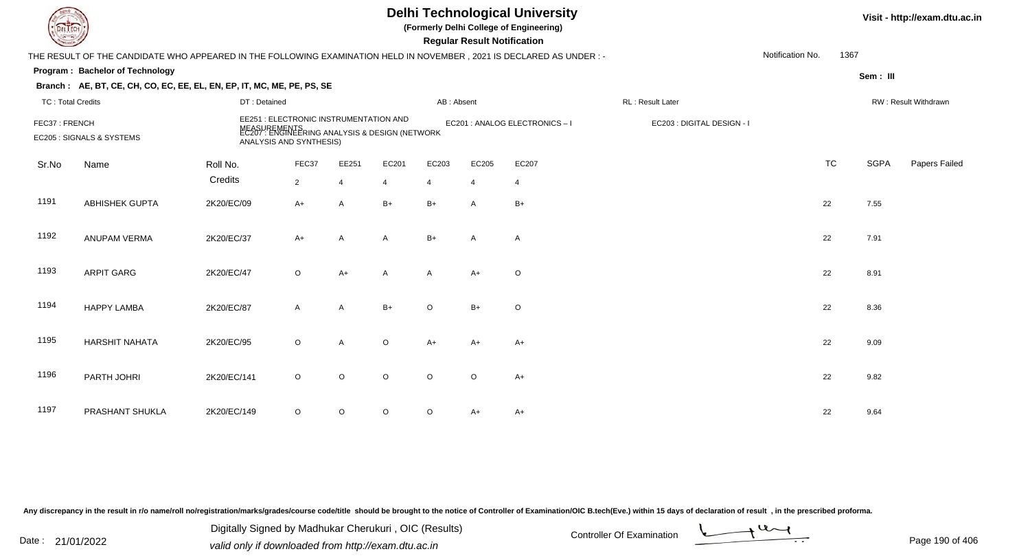| EL ECH                   |                                                                                                                      |              |                                                                                                                                     |                |              |                | <b>Regular Result Notification</b> | <b>Delhi Technological University</b><br>(Formerly Delhi College of Engineering) |                            |                  |           |             | Visit - http://exam.dtu.ac.in |
|--------------------------|----------------------------------------------------------------------------------------------------------------------|--------------|-------------------------------------------------------------------------------------------------------------------------------------|----------------|--------------|----------------|------------------------------------|----------------------------------------------------------------------------------|----------------------------|------------------|-----------|-------------|-------------------------------|
|                          | THE RESULT OF THE CANDIDATE WHO APPEARED IN THE FOLLOWING EXAMINATION HELD IN NOVEMBER, 2021 IS DECLARED AS UNDER :- |              |                                                                                                                                     |                |              |                |                                    |                                                                                  |                            | Notification No. | 1367      |             |                               |
|                          | Program: Bachelor of Technology                                                                                      |              |                                                                                                                                     |                |              |                |                                    |                                                                                  |                            |                  |           | Sem: III    |                               |
|                          | Branch: AE, BT, CE, CH, CO, EC, EE, EL, EN, EP, IT, MC, ME, PE, PS, SE                                               |              |                                                                                                                                     |                |              |                |                                    |                                                                                  |                            |                  |           |             |                               |
| <b>TC: Total Credits</b> |                                                                                                                      | DT: Detained |                                                                                                                                     |                |              | AB: Absent     |                                    |                                                                                  | RL: Result Later           |                  |           |             | RW: Result Withdrawn          |
| FEC37: FRENCH            | EC205 : SIGNALS & SYSTEMS                                                                                            |              | EE251 : ELECTRONIC INSTRUMENTATION AND<br>MEASUREMENTS<br>EC207 : ENGINEERING ANALYSIS & DESIGN (NETWORK<br>ANALYSIS AND SYNTHESIS) |                |              |                |                                    | EC201 : ANALOG ELECTRONICS-I                                                     | EC203 : DIGITAL DESIGN - I |                  |           |             |                               |
| Sr.No                    | Name                                                                                                                 | Roll No.     | FEC37                                                                                                                               | EE251          | EC201        | EC203          | EC205                              | EC207                                                                            |                            |                  | <b>TC</b> | <b>SGPA</b> | Papers Failed                 |
|                          |                                                                                                                      | Credits      | $\overline{2}$                                                                                                                      | $\overline{4}$ | 4            | $\overline{4}$ | $\overline{4}$                     | $\overline{4}$                                                                   |                            |                  |           |             |                               |
| 1191                     | ABHISHEK GUPTA                                                                                                       | 2K20/EC/09   | A+                                                                                                                                  | A              | $B+$         | $B+$           | A                                  | $B+$                                                                             |                            |                  | 22        | 7.55        |                               |
| 1192                     | <b>ANUPAM VERMA</b>                                                                                                  | 2K20/EC/37   | $A+$                                                                                                                                | A              | A            | $B+$           | $\mathsf{A}$                       | $\mathsf{A}$                                                                     |                            |                  | 22        | 7.91        |                               |
| 1193                     | <b>ARPIT GARG</b>                                                                                                    | 2K20/EC/47   | $\circ$                                                                                                                             | $A+$           | $\mathsf{A}$ | $\mathsf{A}$   | $A+$                               | $\circ$                                                                          |                            |                  | 22        | 8.91        |                               |
| 1194                     | <b>HAPPY LAMBA</b>                                                                                                   | 2K20/EC/87   | $\mathsf{A}$                                                                                                                        | A              | $B+$         | $\circ$        | $B+$                               | $\circ$                                                                          |                            |                  | 22        | 8.36        |                               |
| 1195                     | HARSHIT NAHATA                                                                                                       | 2K20/EC/95   | $\circ$                                                                                                                             | A              | $\circ$      | $A+$           | $A+$                               | $A+$                                                                             |                            |                  | 22        | 9.09        |                               |
| 1196                     | PARTH JOHRI                                                                                                          | 2K20/EC/141  | $\circ$                                                                                                                             | $\circ$        | $\circ$      | $\Omega$       | $\circ$                            | $A+$                                                                             |                            |                  | 22        | 9.82        |                               |
| 1197                     | PRASHANT SHUKLA                                                                                                      | 2K20/EC/149  | $\circ$                                                                                                                             | $\circ$        | O            | $\circ$        | A+                                 | A+                                                                               |                            |                  | 22        | 9.64        |                               |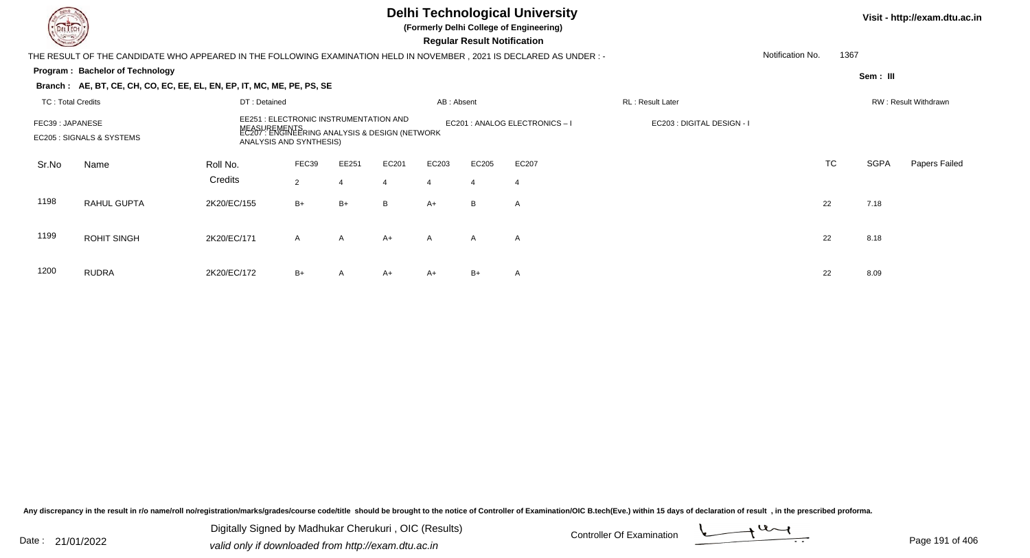### **Delhi Technological University**

**(Formerly Delhi College of Engineering)**

 **Regular Result Notification**

#### **Visit - http://exam.dtu.ac.in**

**Program : Bachelor of TechnologySem : III Branch : AE, BT, CE, CH, CO, EC, EE, EL, EN, EP, IT, MC, ME, PE, PS, SE**THE RESULT OF THE CANDIDATE WHO APPEARED IN THE FOLLOWING EXAMINATION HELD IN NOVEMBER , 2021 IS DECLARED AS UNDER : -TC : Total Credits DT : Detainedd AB : Absent RL : Result Later RW : Result Withdrawn Notification No. 1367Sr.NoName Roll No. **Credits** FEC39 : JAPANESE EE251 : ELECTRONIC INSTRUMENTATION AND MEASUREMENTS EC201 : ANALOG ELECTRONICS – I EC203 : DIGITAL DESIGN - I EC205 : SIGNALS & SYSTEMS EC207 : ENGINEERING ANALYSIS & DESIGN (NETWORK ANALYSIS AND SYNTHESIS)FEC399 EE251 EC201 EC203 EC205 EC207 EC207 EXAMPLE EXAMPLE TO TO TC SGPA Papers Failed 22 4 4 4 4 4 1198 RAHUL GUPTAA 2K20/EC/155 B+ B+ B A+ B A 22 7.18 1199 ROHIT SINGHH 2K20/EC/171 A A A+ A A A A C 1200 RUDRAA 2K20/EC/172 B+ A A+ A+ B+ A <br>

Any discrepancy in the result in r/o name/roll no/registration/marks/grades/course code/title should be brought to the notice of Controller of Examination/OIC B.tech(Eve.) within 15 days of declaration of result , in the p

Date : 21/01/2022 Digital Digital of Microsofted Chemical Controller Of Examination Determination Page 191 of 40 Digitally Signed by Madhukar Cherukuri , OIC (Results)

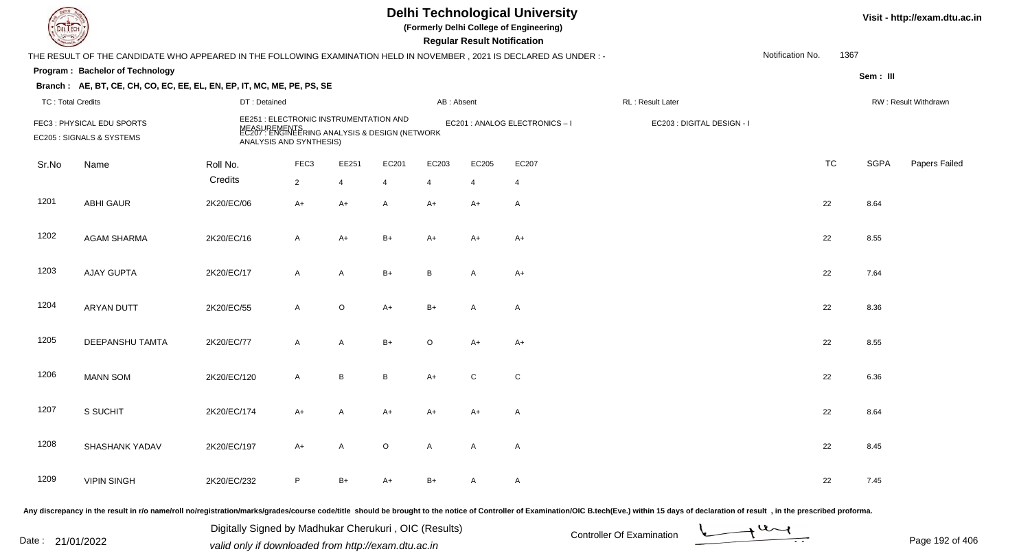| EL ECH                   |                                                                                                                      |                                                                                                                                     |                  |                |         |                | <b>Regular Result Notification</b> | <b>Delhi Technological University</b><br>(Formerly Delhi College of Engineering) |                            |                  |           | Visit - http://exam.dtu.ac.in |                      |
|--------------------------|----------------------------------------------------------------------------------------------------------------------|-------------------------------------------------------------------------------------------------------------------------------------|------------------|----------------|---------|----------------|------------------------------------|----------------------------------------------------------------------------------|----------------------------|------------------|-----------|-------------------------------|----------------------|
|                          | THE RESULT OF THE CANDIDATE WHO APPEARED IN THE FOLLOWING EXAMINATION HELD IN NOVEMBER, 2021 IS DECLARED AS UNDER :- |                                                                                                                                     |                  |                |         |                |                                    |                                                                                  |                            | Notification No. | 1367      |                               |                      |
|                          | Program: Bachelor of Technology                                                                                      |                                                                                                                                     |                  |                |         |                |                                    |                                                                                  |                            |                  |           | Sem: III                      |                      |
|                          | Branch: AE, BT, CE, CH, CO, EC, EE, EL, EN, EP, IT, MC, ME, PE, PS, SE                                               |                                                                                                                                     |                  |                |         |                |                                    |                                                                                  |                            |                  |           |                               |                      |
| <b>TC: Total Credits</b> |                                                                                                                      | DT: Detained                                                                                                                        |                  |                |         | AB: Absent     |                                    |                                                                                  | RL: Result Later           |                  |           |                               | RW: Result Withdrawn |
|                          | FEC3: PHYSICAL EDU SPORTS<br>EC205 : SIGNALS & SYSTEMS                                                               | EE251 : ELECTRONIC INSTRUMENTATION AND<br>MEASUREMENTS<br>EC207 : ENGINEERING ANALYSIS & DESIGN (NETWORK<br>ANALYSIS AND SYNTHESIS) |                  |                |         |                |                                    | EC201 : ANALOG ELECTRONICS-I                                                     | EC203 : DIGITAL DESIGN - I |                  |           |                               |                      |
| Sr.No                    | Name                                                                                                                 | Roll No.                                                                                                                            | FEC <sub>3</sub> | EE251          | EC201   | EC203          | EC205                              | EC207                                                                            |                            |                  | <b>TC</b> | <b>SGPA</b>                   | Papers Failed        |
|                          |                                                                                                                      | Credits                                                                                                                             | $2^{\circ}$      | $\overline{4}$ | 4       | $\overline{4}$ | 4                                  | $\overline{4}$                                                                   |                            |                  |           |                               |                      |
| 1201                     | <b>ABHI GAUR</b>                                                                                                     | 2K20/EC/06                                                                                                                          | A+               | $A+$           | A       | $A+$           | A+                                 | A                                                                                |                            | 22               |           | 8.64                          |                      |
| 1202                     | <b>AGAM SHARMA</b>                                                                                                   | 2K20/EC/16                                                                                                                          | $\mathsf{A}$     | $A+$           | $B+$    | $A+$           | A+                                 | $A+$                                                                             |                            | 22               |           | 8.55                          |                      |
| 1203                     | <b>AJAY GUPTA</b>                                                                                                    | 2K20/EC/17                                                                                                                          | A                | A              | $B+$    | B              | $\mathsf{A}$                       | A+                                                                               |                            | 22               |           | 7.64                          |                      |
| 1204                     | <b>ARYAN DUTT</b>                                                                                                    | 2K20/EC/55                                                                                                                          | $\mathsf{A}$     | $\mathsf O$    | $A+$    | $B+$           | A                                  | Α                                                                                |                            | 22               |           | 8.36                          |                      |
| 1205                     | DEEPANSHU TAMTA                                                                                                      | 2K20/EC/77                                                                                                                          | A                | A              | $B+$    | $\circ$        | $A+$                               | A+                                                                               |                            | 22               |           | 8.55                          |                      |
| 1206                     | <b>MANN SOM</b>                                                                                                      | 2K20/EC/120                                                                                                                         | A                | $\, {\bf B}$   | B       | $A+$           | $\mathsf{C}$                       | ${\rm C}$                                                                        |                            | 22               |           | 6.36                          |                      |
| 1207                     | S SUCHIT                                                                                                             | 2K20/EC/174                                                                                                                         | A+               | A              | A+      | A+             | A+                                 | Α                                                                                |                            | 22               |           | 8.64                          |                      |
| 1208                     | SHASHANK YADAV                                                                                                       | 2K20/EC/197                                                                                                                         | A+               | $\mathsf{A}$   | $\circ$ | $\mathsf{A}$   | A                                  | A                                                                                |                            | 22               |           | 8.45                          |                      |
| 1209                     | <b>VIPIN SINGH</b>                                                                                                   | 2K20/EC/232                                                                                                                         | P.               | $B+$           | A+      | B+             | A                                  | $\mathsf{A}$                                                                     |                            | 22               |           | 7.45                          |                      |
|                          |                                                                                                                      |                                                                                                                                     |                  |                |         |                |                                    |                                                                                  |                            |                  |           |                               |                      |

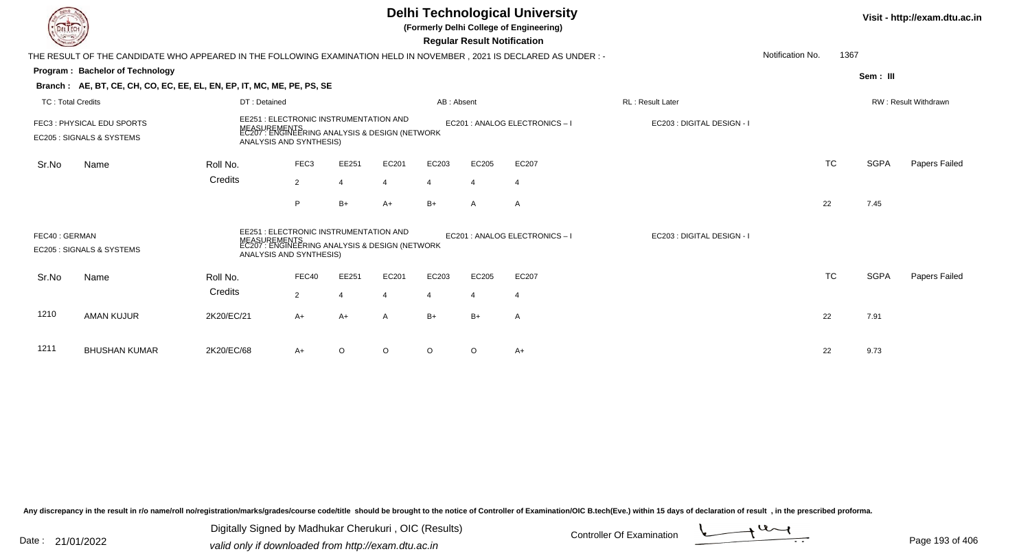|                          |                                                                                                                                                                                                                                         |              |                  |                |       |                | <b>Regular Result Notification</b> | <b>Delhi Technological University</b><br>(Formerly Delhi College of Engineering) |                            |                  |           |             | Visit - http://exam.dtu.ac.in |
|--------------------------|-----------------------------------------------------------------------------------------------------------------------------------------------------------------------------------------------------------------------------------------|--------------|------------------|----------------|-------|----------------|------------------------------------|----------------------------------------------------------------------------------|----------------------------|------------------|-----------|-------------|-------------------------------|
|                          | THE RESULT OF THE CANDIDATE WHO APPEARED IN THE FOLLOWING EXAMINATION HELD IN NOVEMBER , 2021 IS DECLARED AS UNDER : -                                                                                                                  |              |                  |                |       |                |                                    |                                                                                  |                            | Notification No. | 1367      |             |                               |
|                          | Program: Bachelor of Technology                                                                                                                                                                                                         |              |                  |                |       |                |                                    |                                                                                  |                            |                  |           | Sem: III    |                               |
|                          | Branch: AE, BT, CE, CH, CO, EC, EE, EL, EN, EP, IT, MC, ME, PE, PS, SE                                                                                                                                                                  |              |                  |                |       |                |                                    |                                                                                  |                            |                  |           |             |                               |
| <b>TC: Total Credits</b> |                                                                                                                                                                                                                                         | DT: Detained |                  |                |       | AB: Absent     |                                    |                                                                                  | <b>RL: Result Later</b>    |                  |           |             | RW: Result Withdrawn          |
|                          | EE251 : ELECTRONIC INSTRUMENTATION AND<br>FEC3: PHYSICAL EDU SPORTS<br>MEASUREMENTS<br>EC207 : ENGINEERING ANALYSIS & DESIGN (NETWORK<br>EC205 : SIGNALS & SYSTEMS<br>ANALYSIS AND SYNTHESIS)                                           |              |                  |                |       |                |                                    | EC201 : ANALOG ELECTRONICS - I                                                   | EC203 : DIGITAL DESIGN - I |                  |           |             |                               |
| Sr.No                    | Name                                                                                                                                                                                                                                    | Roll No.     | FEC <sub>3</sub> | EE251          | EC201 | EC203          | EC205                              | EC207                                                                            |                            |                  | <b>TC</b> | <b>SGPA</b> | Papers Failed                 |
|                          |                                                                                                                                                                                                                                         | Credits      | $\overline{2}$   | $\overline{4}$ | 4     | 4              |                                    | 4                                                                                |                            |                  |           |             |                               |
|                          |                                                                                                                                                                                                                                         |              | P                | $B+$           | A+    | $B+$           | A                                  | A                                                                                |                            |                  | 22        | 7.45        |                               |
|                          | EE251 : ELECTRONIC INSTRUMENTATION AND<br>EC201 : ANALOG ELECTRONICS - I<br>FEC40: GERMAN<br>EC203 : DIGITAL DESIGN - I<br>JREMENTS<br>: ENGINEERING ANALYSIS & DESIGN (NETWORK<br>EC205 : SIGNALS & SYSTEMS<br>ANALYSIS AND SYNTHESIS) |              |                  |                |       |                |                                    |                                                                                  |                            |                  |           |             |                               |
| Sr.No                    | Name                                                                                                                                                                                                                                    | Roll No.     | FEC40            | EE251          | EC201 | EC203          | EC205                              | EC207                                                                            |                            |                  | <b>TC</b> | <b>SGPA</b> | Papers Failed                 |
|                          |                                                                                                                                                                                                                                         | Credits      | $\overline{2}$   | $\overline{4}$ |       | $\overline{4}$ | 4                                  | $\overline{4}$                                                                   |                            |                  |           |             |                               |
| 1210                     | <b>AMAN KUJUR</b>                                                                                                                                                                                                                       | 2K20/EC/21   | $A+$             | $A+$           | A     | $B+$           | $B+$                               | A                                                                                |                            |                  | 22        | 7.91        |                               |
| 1211                     | <b>BHUSHAN KUMAR</b>                                                                                                                                                                                                                    | 2K20/EC/68   | A+               | O              | O     | $\circ$        | $\circ$                            | $A+$                                                                             |                            |                  | 22        | 9.73        |                               |

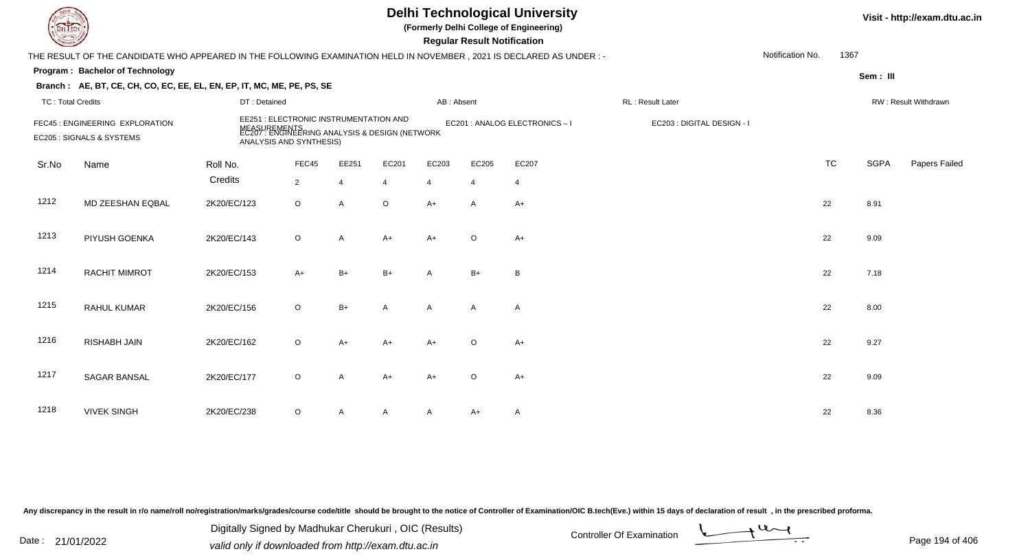| L LECH                   |                                                                                                                      |                     |                                                                                                                                     |                         |                         |                         | <b>Regular Result Notification</b> | <b>Delhi Technological University</b><br>(Formerly Delhi College of Engineering) |                            |                  |           | Visit - http://exam.dtu.ac.in |                      |
|--------------------------|----------------------------------------------------------------------------------------------------------------------|---------------------|-------------------------------------------------------------------------------------------------------------------------------------|-------------------------|-------------------------|-------------------------|------------------------------------|----------------------------------------------------------------------------------|----------------------------|------------------|-----------|-------------------------------|----------------------|
|                          | THE RESULT OF THE CANDIDATE WHO APPEARED IN THE FOLLOWING EXAMINATION HELD IN NOVEMBER, 2021 IS DECLARED AS UNDER :- |                     |                                                                                                                                     |                         |                         |                         |                                    |                                                                                  |                            | Notification No. | 1367      |                               |                      |
|                          | Program: Bachelor of Technology<br>Branch: AE, BT, CE, CH, CO, EC, EE, EL, EN, EP, IT, MC, ME, PE, PS, SE            |                     |                                                                                                                                     |                         |                         |                         |                                    |                                                                                  |                            |                  |           | Sem: III                      |                      |
| <b>TC: Total Credits</b> |                                                                                                                      | DT: Detained        |                                                                                                                                     |                         |                         | AB: Absent              |                                    |                                                                                  | RL: Result Later           |                  |           |                               | RW: Result Withdrawn |
|                          | FEC45 : ENGINEERING EXPLORATION<br>EC205 : SIGNALS & SYSTEMS                                                         |                     | EE251 : ELECTRONIC INSTRUMENTATION AND<br>MEASUREMENTS<br>EC207 : ENGINEERING ANALYSIS & DESIGN (NETWORK<br>ANALYSIS AND SYNTHESIS) |                         |                         |                         |                                    | EC201 : ANALOG ELECTRONICS-I                                                     | EC203 : DIGITAL DESIGN - I |                  |           |                               |                      |
| Sr.No                    | Name                                                                                                                 | Roll No.<br>Credits | FEC45<br>$\overline{2}$                                                                                                             | EE251<br>$\overline{4}$ | EC201<br>$\overline{4}$ | EC203<br>$\overline{4}$ | EC205<br>$\overline{4}$            | EC207<br>$\overline{4}$                                                          |                            |                  | <b>TC</b> | <b>SGPA</b>                   | Papers Failed        |
| 1212                     | MD ZEESHAN EQBAL                                                                                                     | 2K20/EC/123         | $\circ$                                                                                                                             | A                       | $\circ$                 | $A+$                    | A                                  | $A+$                                                                             |                            |                  | 22        | 8.91                          |                      |
| 1213                     | PIYUSH GOENKA                                                                                                        | 2K20/EC/143         | $\circ$                                                                                                                             | A                       | $A+$                    | $A+$                    | $\circ$                            | $A+$                                                                             |                            |                  | 22        | 9.09                          |                      |
| 1214                     | <b>RACHIT MIMROT</b>                                                                                                 | 2K20/EC/153         | $A+$                                                                                                                                | $B+$                    | $B+$                    | A                       | $B+$                               | B                                                                                |                            |                  | 22        | 7.18                          |                      |
| 1215                     | RAHUL KUMAR                                                                                                          | 2K20/EC/156         | $\circ$                                                                                                                             | $B+$                    | A                       | $\mathsf{A}$            | A                                  | $\mathsf{A}$                                                                     |                            |                  | 22        | 8.00                          |                      |
| 1216                     | <b>RISHABH JAIN</b>                                                                                                  | 2K20/EC/162         | $\circ$                                                                                                                             | $A+$                    | A+                      | $A+$                    | $\circ$                            | $A+$                                                                             |                            |                  | 22        | 9.27                          |                      |
| 1217                     | SAGAR BANSAL                                                                                                         | 2K20/EC/177         | O                                                                                                                                   | A                       | A+                      | $A+$                    | $\circ$                            | $A+$                                                                             |                            |                  | 22        | 9.09                          |                      |
| 1218                     | <b>VIVEK SINGH</b>                                                                                                   | 2K20/EC/238         | O                                                                                                                                   | A                       | A                       | A                       | A+                                 | A                                                                                |                            |                  | 22        | 8.36                          |                      |

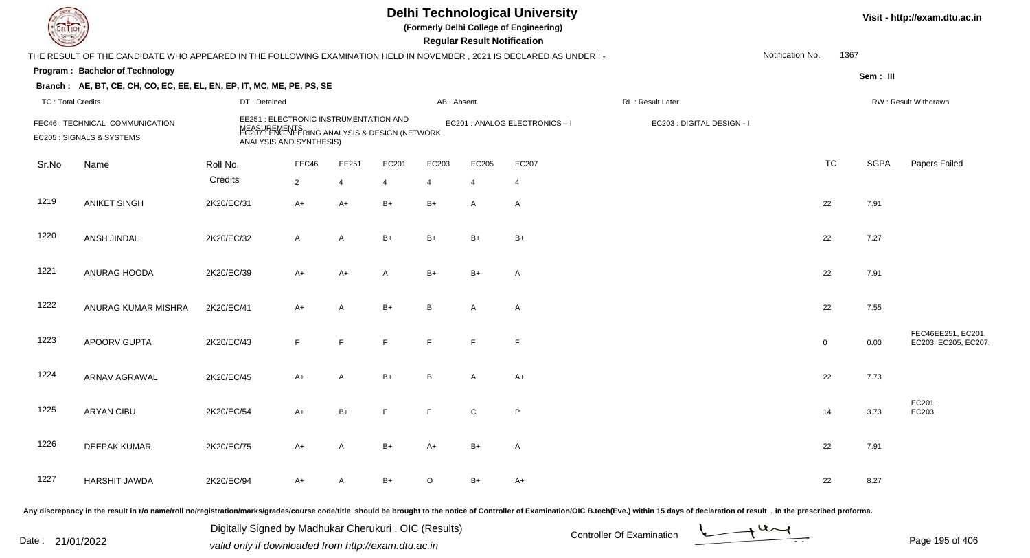| DEL TECH                 |                                                                                                                      |                                                                                                                                     |                |                |                | Visit - http://exam.dtu.ac.in |                                    |                              |                                                                                                                                                                                                                                |                  |              |             |                                           |
|--------------------------|----------------------------------------------------------------------------------------------------------------------|-------------------------------------------------------------------------------------------------------------------------------------|----------------|----------------|----------------|-------------------------------|------------------------------------|------------------------------|--------------------------------------------------------------------------------------------------------------------------------------------------------------------------------------------------------------------------------|------------------|--------------|-------------|-------------------------------------------|
|                          | THE RESULT OF THE CANDIDATE WHO APPEARED IN THE FOLLOWING EXAMINATION HELD IN NOVEMBER, 2021 IS DECLARED AS UNDER :- |                                                                                                                                     |                |                |                |                               | <b>Regular Result Notification</b> |                              |                                                                                                                                                                                                                                | Notification No. | 1367         |             |                                           |
|                          | Program: Bachelor of Technology                                                                                      |                                                                                                                                     |                |                |                |                               |                                    |                              |                                                                                                                                                                                                                                |                  |              | Sem: III    |                                           |
|                          | Branch: AE, BT, CE, CH, CO, EC, EE, EL, EN, EP, IT, MC, ME, PE, PS, SE                                               |                                                                                                                                     |                |                |                |                               |                                    |                              |                                                                                                                                                                                                                                |                  |              |             |                                           |
| <b>TC: Total Credits</b> |                                                                                                                      | DT: Detained                                                                                                                        |                |                |                | AB: Absent                    |                                    |                              | RL: Result Later                                                                                                                                                                                                               |                  |              |             | RW: Result Withdrawn                      |
|                          | FEC46 : TECHNICAL COMMUNICATION<br>EC205 : SIGNALS & SYSTEMS                                                         | EE251 : ELECTRONIC INSTRUMENTATION AND<br>MEASUREMENTS<br>EC207 : ENGINEERING ANALYSIS & DESIGN (NETWORK<br>ANALYSIS AND SYNTHESIS) |                |                |                |                               |                                    | EC201 : ANALOG ELECTRONICS-I | EC203 : DIGITAL DESIGN - I                                                                                                                                                                                                     |                  |              |             |                                           |
| Sr.No                    | Name                                                                                                                 | Roll No.                                                                                                                            | FEC46          | EE251          | EC201          | EC203                         | EC205                              | EC207                        |                                                                                                                                                                                                                                |                  | <b>TC</b>    | <b>SGPA</b> | Papers Failed                             |
|                          |                                                                                                                      | Credits                                                                                                                             | $\overline{2}$ | $\overline{4}$ | 4              | 4                             | $\overline{4}$                     | $\overline{4}$               |                                                                                                                                                                                                                                |                  |              |             |                                           |
| 1219                     | <b>ANIKET SINGH</b>                                                                                                  | 2K20/EC/31                                                                                                                          | $A+$           | $A+$           | $B+$           | $B+$                          | A                                  | $\overline{A}$               |                                                                                                                                                                                                                                |                  | 22           | 7.91        |                                           |
| 1220                     | ANSH JINDAL                                                                                                          | 2K20/EC/32                                                                                                                          | $\mathsf{A}$   | A              | $B+$           | $B+$                          | $B+$                               | $B+$                         |                                                                                                                                                                                                                                |                  | 22           | 7.27        |                                           |
| 1221                     | ANURAG HOODA                                                                                                         | 2K20/EC/39                                                                                                                          | $A+$           | $A+$           | $\overline{A}$ | $B+$                          | $B+$                               | $\overline{A}$               |                                                                                                                                                                                                                                |                  | 22           | 7.91        |                                           |
| 1222                     | ANURAG KUMAR MISHRA                                                                                                  | 2K20/EC/41                                                                                                                          | $A+$           | A              | $B+$           | B                             | A                                  | $\overline{A}$               |                                                                                                                                                                                                                                |                  | 22           | 7.55        |                                           |
| 1223                     | APOORV GUPTA                                                                                                         | 2K20/EC/43                                                                                                                          | F.             | F.             | F.             | E                             | F                                  | $\mathsf{F}$                 |                                                                                                                                                                                                                                |                  | $\mathbf{0}$ | 0.00        | FEC46EE251, EC201,<br>EC203, EC205, EC207 |
| 1224                     | <b>ARNAV AGRAWAL</b>                                                                                                 | 2K20/EC/45                                                                                                                          | $A+$           | A              | $B+$           | B.                            | A                                  | $A+$                         |                                                                                                                                                                                                                                |                  | 22           | 7.73        |                                           |
| 1225                     | <b>ARYAN CIBU</b>                                                                                                    | 2K20/EC/54                                                                                                                          | A+             | $B+$           | F              | F                             | C                                  | P                            |                                                                                                                                                                                                                                |                  | 14           | 3.73        | EC201,<br>EC203,                          |
| 1226                     | <b>DEEPAK KUMAR</b>                                                                                                  | 2K20/EC/75                                                                                                                          | $A+$           | A              | $B+$           | $A+$                          | $B+$                               | $\mathsf{A}$                 |                                                                                                                                                                                                                                |                  | 22           | 7.91        |                                           |
| 1227                     | <b>HARSHIT JAWDA</b>                                                                                                 | 2K20/EC/94                                                                                                                          | A+             | A              | B+             | $\circ$                       | $B+$                               | $A+$                         |                                                                                                                                                                                                                                |                  | 22           | 8.27        |                                           |
|                          |                                                                                                                      |                                                                                                                                     |                |                |                |                               |                                    |                              | Any discrepancy in the result in r/o name/roll no/registration/marks/grades/course code/title should be brought to the notice of Controller of Examination/OIC B.tech(Eve.) within 15 days of declaration of result , in the p |                  |              |             |                                           |

Date : 21/01/2022 Digital Digital of Microsofted Chemical Controller Of Examination Determination Page 195 of 40 Digitally Signed by Madhukar Cherukuri , OIC (Results)

Page 195 of 406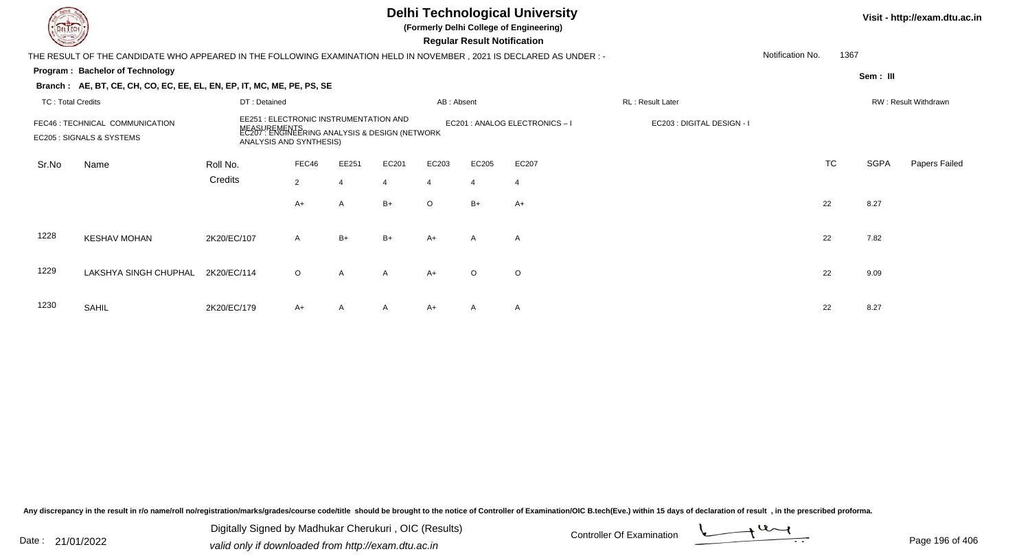|                          | <b>Delhi Technological University</b><br>(Formerly Delhi College of Engineering)<br><b>Regular Result Notification</b> |              |                                                                                                                           |                |       |                |                |                                |                            |                  |           | Visit - http://exam.dtu.ac.in |                      |  |
|--------------------------|------------------------------------------------------------------------------------------------------------------------|--------------|---------------------------------------------------------------------------------------------------------------------------|----------------|-------|----------------|----------------|--------------------------------|----------------------------|------------------|-----------|-------------------------------|----------------------|--|
|                          | THE RESULT OF THE CANDIDATE WHO APPEARED IN THE FOLLOWING EXAMINATION HELD IN NOVEMBER , 2021 IS DECLARED AS UNDER : - |              |                                                                                                                           |                |       |                |                |                                |                            | Notification No. | 1367      |                               |                      |  |
|                          | Program: Bachelor of Technology                                                                                        |              |                                                                                                                           |                |       |                |                |                                |                            |                  |           | Sem: III                      |                      |  |
|                          | Branch: AE, BT, CE, CH, CO, EC, EE, EL, EN, EP, IT, MC, ME, PE, PS, SE                                                 |              |                                                                                                                           |                |       |                |                |                                |                            |                  |           |                               |                      |  |
| <b>TC: Total Credits</b> |                                                                                                                        | DT: Detained |                                                                                                                           |                |       | AB: Absent     |                |                                | RL: Result Later           |                  |           |                               | RW: Result Withdrawn |  |
|                          | FEC46 : TECHNICAL COMMUNICATION<br>EC205 : SIGNALS & SYSTEMS                                                           | NEASU        | EE251 : ELECTRONIC INSTRUMENTATION AND<br>JREMENTS<br>: ENGINEERING ANALYSIS & DESIGN (NETWORK<br>ANALYSIS AND SYNTHESIS) |                |       |                |                | EC201 : ANALOG ELECTRONICS - I | EC203 : DIGITAL DESIGN - I |                  |           |                               |                      |  |
| Sr.No                    | Name                                                                                                                   | Roll No.     | FEC46                                                                                                                     | EE251          | EC201 | EC203          | EC205          | EC207                          |                            |                  | <b>TC</b> | <b>SGPA</b>                   | Papers Failed        |  |
|                          |                                                                                                                        | Credits      | $\overline{2}$                                                                                                            | $\overline{4}$ | 4     | $\overline{4}$ | $\overline{4}$ | $\overline{4}$                 |                            |                  |           |                               |                      |  |
|                          |                                                                                                                        |              | $A+$                                                                                                                      | $\mathsf{A}$   | $B+$  | $\circ$        | $B+$           | $A+$                           |                            |                  | 22        | 8.27                          |                      |  |
| 1228                     | <b>KESHAV MOHAN</b>                                                                                                    | 2K20/EC/107  | A                                                                                                                         | $B+$           | $B+$  | $A+$           | $\mathsf{A}$   | $\mathsf{A}$                   |                            |                  | 22        | 7.82                          |                      |  |
| 1229                     | LAKSHYA SINGH CHUPHAL                                                                                                  | 2K20/EC/114  | $\circ$                                                                                                                   | $\mathsf{A}$   | A     | $A+$           | $\circ$        | $\circ$                        |                            |                  | 22        | 9.09                          |                      |  |
| 1230                     | SAHIL                                                                                                                  | 2K20/EC/179  | A+                                                                                                                        | $\mathsf{A}$   | A     | $A+$           | A              | A                              |                            |                  | 22        | 8.27                          |                      |  |

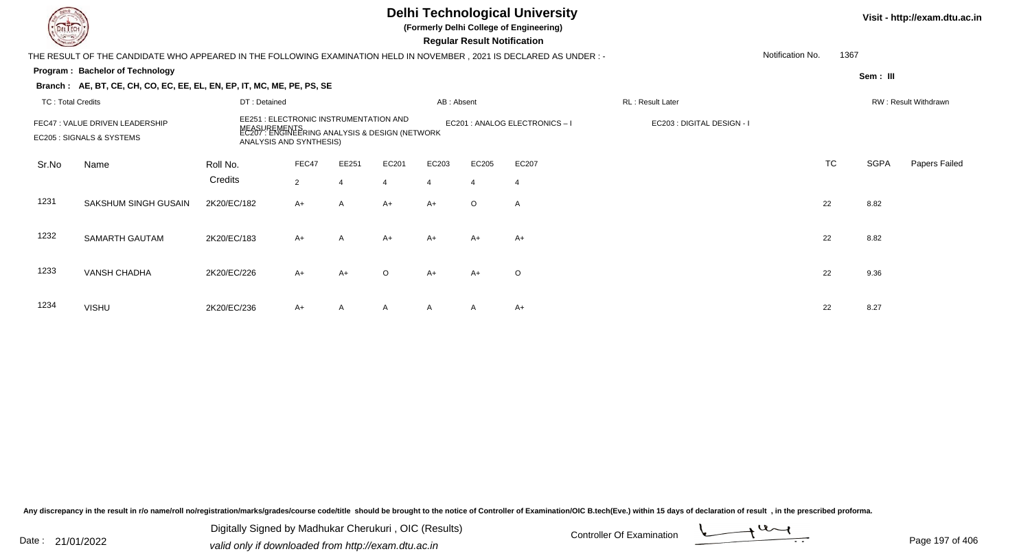### **Delhi Technological University**

**(Formerly Delhi College of Engineering)**

 **Regular Result Notification**

#### **Visit - http://exam.dtu.ac.in**

**Program : Bachelor of TechnologySem : III Branch : AE, BT, CE, CH, CO, EC, EE, EL, EN, EP, IT, MC, ME, PE, PS, SE**THE RESULT OF THE CANDIDATE WHO APPEARED IN THE FOLLOWING EXAMINATION HELD IN NOVEMBER , 2021 IS DECLARED AS UNDER : -TC : Total Credits DT : Detainedd AB : Absent RL : Result Later RW : Result Withdrawn Notification No. 1367Sr.NoName Roll No. **Credits** FEC47 : VALUE DRIVEN LEADERSHIP EE251 : ELECTRONIC INSTRUMENTATION AND MEASUREMENTS EC201 : ANALOG ELECTRONICS – I EC203 : DIGITAL DESIGN - I EC205 : SIGNALS & SYSTEMS EC207 : ENGINEERING ANALYSIS & DESIGN (NETWORK ANALYSIS AND SYNTHESIS) FEC47 EE251 EC201 EC203 EC205 EC207 TCTC SGPA Papers Failed 22 4 4 4 4 4 1231 SAKSHUM SINGH GUSAINN 2K20/EC/182 A+ A A+ A+ O A 1232 SAMARTH GAUTAMM 2K20/EC/183 A+ A A+ A+ A+ A+ A+ A+ C 22 8.82 1233 VANSH CHADHAA 2K20/EC/226 A+ A+ O A+ A+ O 22 9.36 1234 VISHUU 2K20/EC/236 A+ A A A A A A+ 22 8.27

Any discrepancy in the result in r/o name/roll no/registration/marks/grades/course code/title should be brought to the notice of Controller of Examination/OIC B.tech(Eve.) within 15 days of declaration of result , in the p

Date : 21/01/2022 Digital Digital of Microsofted Chemical Controller Of Examination Determination Page 197 of 40 Digitally Signed by Madhukar Cherukuri , OIC (Results)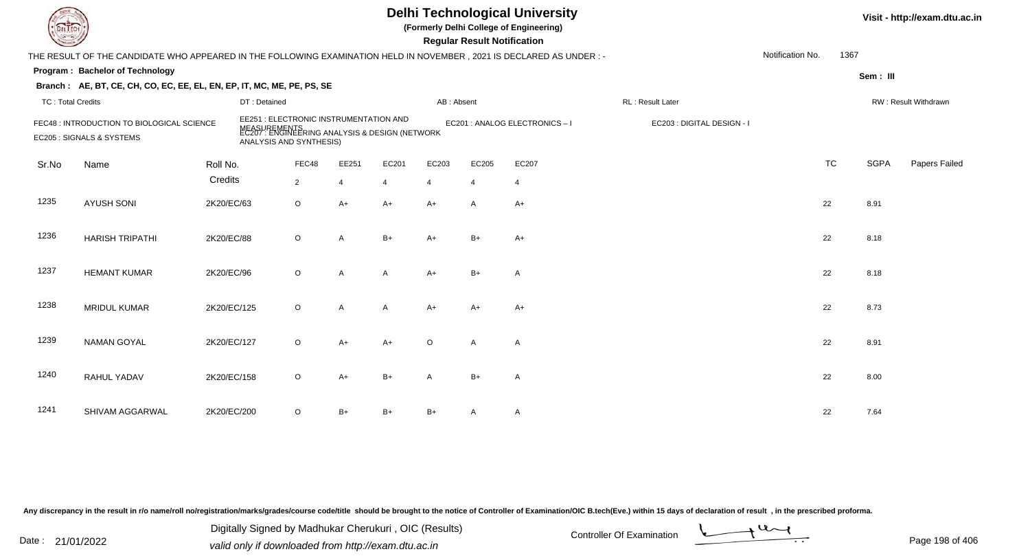# **Delhi Technological University**

**(Formerly Delhi College of Engineering)**

 **Regular Result Notification**

| $\sim$                   |                                                                                                                      |             |                                                                                                                                           |                |       |                |            | Regular Result Notification |                              |                            |                  |           |             |                      |
|--------------------------|----------------------------------------------------------------------------------------------------------------------|-------------|-------------------------------------------------------------------------------------------------------------------------------------------|----------------|-------|----------------|------------|-----------------------------|------------------------------|----------------------------|------------------|-----------|-------------|----------------------|
|                          | THE RESULT OF THE CANDIDATE WHO APPEARED IN THE FOLLOWING EXAMINATION HELD IN NOVEMBER, 2021 IS DECLARED AS UNDER :- |             |                                                                                                                                           |                |       |                |            |                             |                              |                            | Notification No. | 1367      |             |                      |
|                          | Program: Bachelor of Technology                                                                                      |             |                                                                                                                                           |                |       |                |            |                             |                              |                            |                  |           | Sem: III    |                      |
|                          | Branch: AE, BT, CE, CH, CO, EC, EE, EL, EN, EP, IT, MC, ME, PE, PS, SE                                               |             |                                                                                                                                           |                |       |                |            |                             |                              |                            |                  |           |             |                      |
| <b>TC: Total Credits</b> |                                                                                                                      |             | DT: Detained                                                                                                                              |                |       |                | AB: Absent |                             |                              | RL: Result Later           |                  |           |             | RW: Result Withdrawn |
|                          | FEC48 : INTRODUCTION TO BIOLOGICAL SCIENCE<br>EC205 : SIGNALS & SYSTEMS                                              |             | <b>EE251: ELECTRONIC INSTRUMENTATION AND</b><br>MEASUREMENTS<br>EC207 : ENGINEERING ANALYSIS & DESIGN (NETWORK<br>ANALYSIS AND SYNTHESIS) |                |       |                |            |                             | EC201 : ANALOG ELECTRONICS-I | EC203 : DIGITAL DESIGN - I |                  |           |             |                      |
| Sr.No                    | Name                                                                                                                 | Roll No.    |                                                                                                                                           | FEC48          | EE251 | EC201          | EC203      | EC205                       | EC207                        |                            |                  | <b>TC</b> | <b>SGPA</b> | Papers Failec        |
|                          |                                                                                                                      | Credits     |                                                                                                                                           | $\overline{2}$ | 4     | $\overline{4}$ | 4          | $\overline{4}$              | 4                            |                            |                  |           |             |                      |
| 1235                     | <b>AYUSH SONI</b>                                                                                                    | 2K20/EC/63  |                                                                                                                                           | $\circ$        | $A+$  | $A+$           | $A+$       | A                           | $A+$                         |                            |                  | 22        | 8.91        |                      |
| 1236                     | <b>HARISH TRIPATHI</b>                                                                                               | 2K20/EC/88  |                                                                                                                                           | $\circ$        | A     | $B+$           | $A+$       | $B+$                        | $A+$                         |                            |                  | 22        | 8.18        |                      |
| 1237                     | <b>HEMANT KUMAR</b>                                                                                                  | 2K20/EC/96  |                                                                                                                                           | $\circ$        | A     | A              | $A+$       | $B+$                        | A                            |                            |                  | 22        | 8.18        |                      |
| 1238                     | <b>MRIDUL KUMAR</b>                                                                                                  | 2K20/EC/125 |                                                                                                                                           | $\circ$        | A     | A              | $A+$       | A+                          | $A+$                         |                            |                  | 22        | 8.73        |                      |
| 1239                     | <b>NAMAN GOYAL</b>                                                                                                   | 2K20/EC/127 |                                                                                                                                           | $\circ$        | A+    | $A+$           | O          | Α                           | Α                            |                            |                  | 22        | 8.91        |                      |
| 1240                     | RAHUL YADAV                                                                                                          | 2K20/EC/158 |                                                                                                                                           | $\circ$        | $A+$  | $B+$           | A          | $B+$                        | Α                            |                            |                  | 22        | 8.00        |                      |
| 1241                     | SHIVAM AGGARWAL                                                                                                      | 2K20/EC/200 |                                                                                                                                           | $\circ$        | $B+$  | $B+$           | $B+$       | A                           | Α                            |                            |                  | 22        | 7.64        |                      |

Any discrepancy in the result in r/o name/roll no/registration/marks/grades/course code/title should be brought to the notice of Controller of Examination/OIC B.tech(Eve.) within 15 days of declaration of result, in the pr

Date : 21/01/2022 Digital Digital of Microsofted Chemical Controller Of Examination Determination Page 198 of 40 Digitally Signed by Madhukar Cherukuri , OIC (Results)

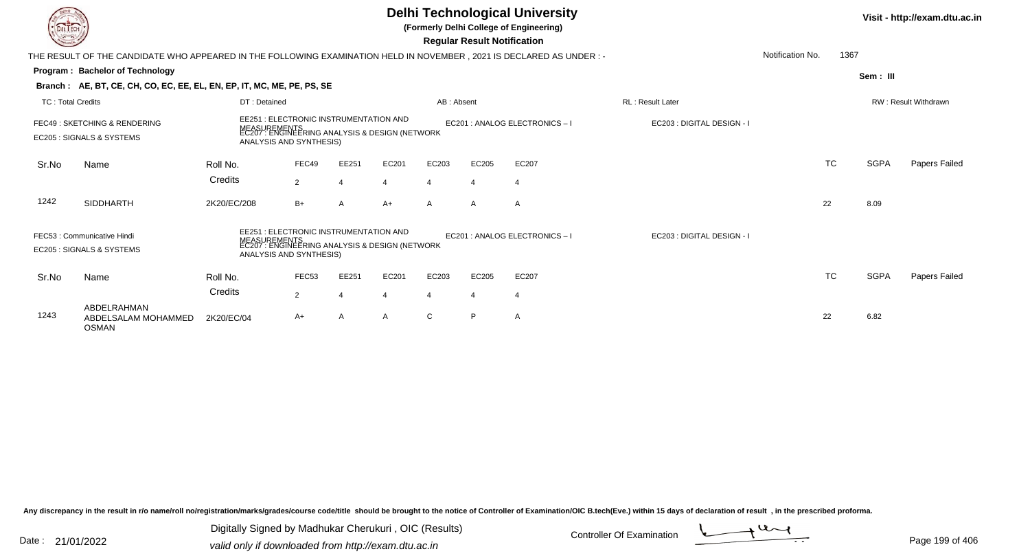| <b>DELTECH</b>           |                                                                                                                      |              |                                                                                                                                           |                |                |                |                         | <b>Delhi Technological University</b><br>(Formerly Delhi College of Engineering)<br><b>Regular Result Notification</b> |                            |                  |             | Visit - http://exam.dtu.ac.in |
|--------------------------|----------------------------------------------------------------------------------------------------------------------|--------------|-------------------------------------------------------------------------------------------------------------------------------------------|----------------|----------------|----------------|-------------------------|------------------------------------------------------------------------------------------------------------------------|----------------------------|------------------|-------------|-------------------------------|
|                          | THE RESULT OF THE CANDIDATE WHO APPEARED IN THE FOLLOWING EXAMINATION HELD IN NOVEMBER, 2021 IS DECLARED AS UNDER :- |              |                                                                                                                                           |                |                |                |                         |                                                                                                                        |                            | Notification No. | 1367        |                               |
|                          | Program: Bachelor of Technology                                                                                      |              |                                                                                                                                           |                |                |                |                         |                                                                                                                        |                            |                  | Sem: III    |                               |
|                          | Branch: AE, BT, CE, CH, CO, EC, EE, EL, EN, EP, IT, MC, ME, PE, PS, SE                                               |              |                                                                                                                                           |                |                |                |                         |                                                                                                                        |                            |                  |             |                               |
| <b>TC: Total Credits</b> |                                                                                                                      | DT: Detained |                                                                                                                                           |                |                | AB: Absent     |                         |                                                                                                                        | <b>RL</b> : Result Later   |                  |             | <b>RW: Result Withdrawn</b>   |
|                          | FEC49: SKETCHING & RENDERING<br>EC205 : SIGNALS & SYSTEMS                                                            |              | <b>EE251: ELECTRONIC INSTRUMENTATION AND</b><br>MEASUREMENTS<br>EC207 : ENGINEERING ANALYSIS & DESIGN (NETWORK<br>ANALYSIS AND SYNTHESIS) |                |                |                |                         | EC201 : ANALOG ELECTRONICS - I                                                                                         | EC203 : DIGITAL DESIGN - I |                  |             |                               |
| Sr.No                    | Name                                                                                                                 | Roll No.     | FEC49                                                                                                                                     | EE251          | EC201          | EC203          | EC205                   | EC207                                                                                                                  |                            | <b>TC</b>        | <b>SGPA</b> | Papers Failed                 |
|                          |                                                                                                                      | Credits      | 2                                                                                                                                         | $\overline{4}$ | $\overline{4}$ | $\overline{4}$ | $\overline{\mathbf{4}}$ | $\overline{4}$                                                                                                         |                            |                  |             |                               |
| 1242                     | <b>SIDDHARTH</b>                                                                                                     | 2K20/EC/208  | $B+$                                                                                                                                      | A              | $A+$           | $\mathsf{A}$   | A                       | A                                                                                                                      |                            | 22               | 8.09        |                               |
|                          | FEC53 : Communicative Hindi<br>EC205 : SIGNALS & SYSTEMS                                                             |              | EE251 : ELECTRONIC INSTRUMENTATION AND<br>MEASUREMENTS<br>EC207 : ENGINEERING ANALYSIS & DESIGN (NETWORK<br>ANALYSIS AND SYNTHESIS)       |                |                |                |                         | EC201 : ANALOG ELECTRONICS-I                                                                                           | EC203 : DIGITAL DESIGN - I |                  |             |                               |
| Sr.No                    | Name                                                                                                                 | Roll No.     | FEC <sub>53</sub>                                                                                                                         | EE251          | EC201          | EC203          | EC205                   | EC207                                                                                                                  |                            | <b>TC</b>        | <b>SGPA</b> | <b>Papers Failed</b>          |
|                          |                                                                                                                      | Credits      | $\overline{2}$                                                                                                                            | 4              | 4              | $\overline{4}$ | 4                       | $\overline{4}$                                                                                                         |                            |                  |             |                               |
| 1243                     | ABDELRAHMAN<br>ABDELSALAM MOHAMMED<br><b>OSMAN</b>                                                                   | 2K20/EC/04   | A+                                                                                                                                        | A              | A              | C              | P                       | $\mathsf{A}$                                                                                                           |                            | 22               | 6.82        |                               |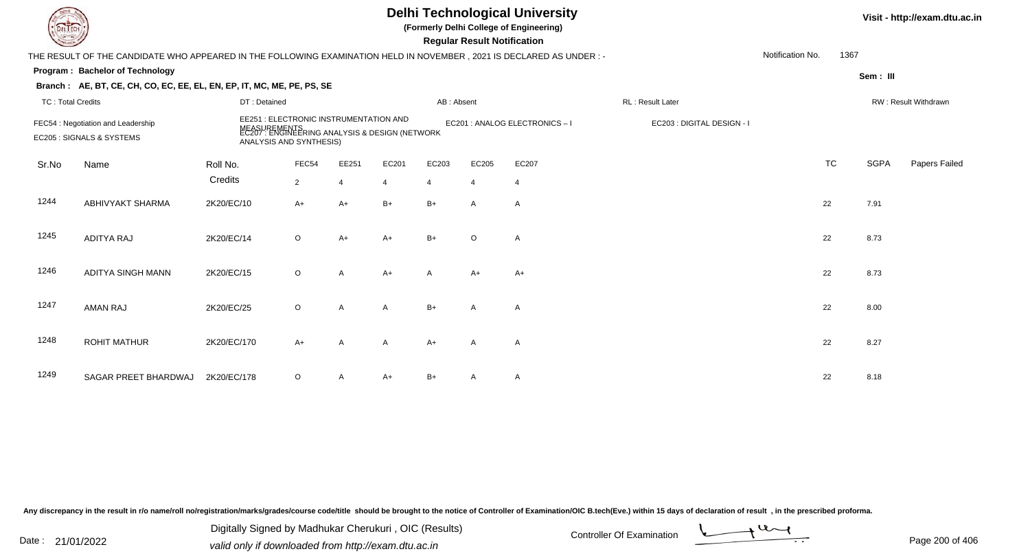|                          |                                                                                                                                                                                                                                     |              |                |                | Visit - http://exam.dtu.ac.in |                |                |                                |                            |                  |           |             |                      |
|--------------------------|-------------------------------------------------------------------------------------------------------------------------------------------------------------------------------------------------------------------------------------|--------------|----------------|----------------|-------------------------------|----------------|----------------|--------------------------------|----------------------------|------------------|-----------|-------------|----------------------|
|                          | THE RESULT OF THE CANDIDATE WHO APPEARED IN THE FOLLOWING EXAMINATION HELD IN NOVEMBER, 2021 IS DECLARED AS UNDER :-                                                                                                                |              |                |                |                               |                |                |                                |                            | Notification No. | 1367      |             |                      |
|                          | Program: Bachelor of Technology                                                                                                                                                                                                     |              |                |                |                               |                |                |                                |                            |                  |           | Sem: III    |                      |
|                          | Branch: AE, BT, CE, CH, CO, EC, EE, EL, EN, EP, IT, MC, ME, PE, PS, SE                                                                                                                                                              |              |                |                |                               |                |                |                                |                            |                  |           |             |                      |
| <b>TC: Total Credits</b> |                                                                                                                                                                                                                                     | DT: Detained |                |                |                               | AB: Absent     |                |                                | RL: Result Later           |                  |           |             | RW: Result Withdrawn |
|                          | EE251 : ELECTRONIC INSTRUMENTATION AND<br>FEC54 : Negotiation and Leadership<br>MEASUREMENTS<br>EC207 : ENGINEERING ANALYSIS & DESIGN (NETWORK<br>EC205 : SIGNALS & SYSTEMS<br>ANALYSIS AND SYNTHESIS)<br>FEC54<br>Roll No.<br>Name |              |                |                |                               |                |                | EC201 : ANALOG ELECTRONICS - I | EC203 : DIGITAL DESIGN - I |                  |           |             |                      |
| Sr.No                    |                                                                                                                                                                                                                                     |              |                | EE251          | EC201                         | EC203          | EC205          | EC207                          |                            |                  | <b>TC</b> | <b>SGPA</b> | Papers Failed        |
|                          |                                                                                                                                                                                                                                     | Credits      | $\overline{2}$ | $\overline{4}$ | $\overline{4}$                | $\overline{4}$ | $\overline{4}$ | $\overline{4}$                 |                            |                  |           |             |                      |
| 1244                     | <b>ABHIVYAKT SHARMA</b>                                                                                                                                                                                                             | 2K20/EC/10   | $A+$           | $A+$           | $B+$                          | $B+$           | $\mathsf{A}$   | A                              |                            |                  | 22        | 7.91        |                      |
| 1245                     | <b>ADITYA RAJ</b>                                                                                                                                                                                                                   | 2K20/EC/14   | $\circ$        | $A+$           | A+                            | $B+$           | $\circ$        | $\mathsf{A}$                   |                            |                  | 22        | 8.73        |                      |
| 1246                     | ADITYA SINGH MANN                                                                                                                                                                                                                   | 2K20/EC/15   | $\circ$        | $\mathsf{A}$   | $A+$                          | A              | A+             | $A+$                           |                            |                  | 22        | 8.73        |                      |
| 1247                     | <b>AMAN RAJ</b>                                                                                                                                                                                                                     | 2K20/EC/25   | $\circ$        | A              | A                             | $B+$           | A              | A                              |                            |                  | 22        | 8.00        |                      |
| 1248                     | <b>ROHIT MATHUR</b>                                                                                                                                                                                                                 | 2K20/EC/170  | $A+$           | Α              | A                             | $A+$           | $\mathsf{A}$   | $\mathsf{A}$                   |                            |                  | 22        | 8.27        |                      |
| 1249                     | SAGAR PREET BHARDWAJ                                                                                                                                                                                                                | 2K20/EC/178  | O              | A              | A+                            | B+             | A              | A                              |                            |                  | 22        | 8.18        |                      |

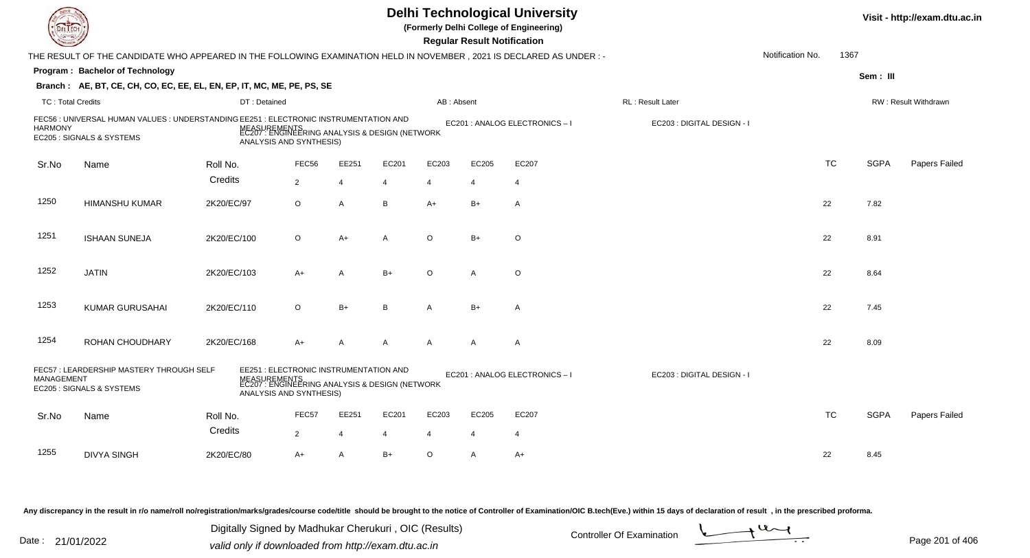|                          | <b>Delhi Technological University</b><br>(Formerly Delhi College of Engineering)<br><b>Regular Result Notification</b> |                                                                                                                                     |                |                |                |                       |                       |                              |                            |                  |           |             | Visit - http://exam.dtu.ac.in |
|--------------------------|------------------------------------------------------------------------------------------------------------------------|-------------------------------------------------------------------------------------------------------------------------------------|----------------|----------------|----------------|-----------------------|-----------------------|------------------------------|----------------------------|------------------|-----------|-------------|-------------------------------|
|                          | THE RESULT OF THE CANDIDATE WHO APPEARED IN THE FOLLOWING EXAMINATION HELD IN NOVEMBER, 2021 IS DECLARED AS UNDER :-   |                                                                                                                                     |                |                |                |                       |                       |                              |                            | Notification No. | 1367      |             |                               |
|                          | <b>Program: Bachelor of Technology</b>                                                                                 |                                                                                                                                     |                |                |                |                       |                       |                              |                            |                  |           | Sem: III    |                               |
|                          | Branch: AE, BT, CE, CH, CO, EC, EE, EL, EN, EP, IT, MC, ME, PE, PS, SE                                                 |                                                                                                                                     |                |                |                |                       |                       |                              |                            |                  |           |             |                               |
| <b>TC: Total Credits</b> |                                                                                                                        | DT: Detained                                                                                                                        |                |                |                | AB: Absent            |                       |                              | RL : Result Later          |                  |           |             | RW: Result Withdrawn          |
| <b>HARMONY</b>           | FEC56 : UNIVERSAL HUMAN VALUES : UNDERSTANDING EE251 : ELECTRONIC INSTRUMENTATION AND<br>EC205 : SIGNALS & SYSTEMS     | MEASUREMENTS<br>EC207 : ENGINEERING ANALYSIS & DESIGN (NETWORK<br>ANALYSIS AND SYNTHESIS)                                           |                |                |                |                       |                       | EC201 : ANALOG ELECTRONICS-I | EC203 : DIGITAL DESIGN - I |                  |           |             |                               |
| Sr.No                    | Name                                                                                                                   | Roll No.                                                                                                                            | FEC56          | EE251          | EC201          | EC203                 | EC205                 | EC207                        |                            |                  | <b>TC</b> | <b>SGPA</b> | Papers Failed                 |
|                          |                                                                                                                        | Credits                                                                                                                             | $\overline{2}$ | $\overline{4}$ | $\overline{4}$ | 4                     | $\overline{4}$        | $\overline{4}$               |                            |                  |           |             |                               |
| 1250                     | <b>HIMANSHU KUMAR</b>                                                                                                  | 2K20/EC/97                                                                                                                          | $\circ$        | $\overline{A}$ | B              | $A+$                  | $B+$                  | $\overline{A}$               |                            |                  | 22        | 7.82        |                               |
| 1251                     | <b>ISHAAN SUNEJA</b>                                                                                                   | 2K20/EC/100                                                                                                                         | $\circ$        | $A+$           | A              | $\Omega$              | $B+$                  | $\circ$                      |                            |                  | 22        | 8.91        |                               |
| 1252                     | <b>JATIN</b>                                                                                                           | 2K20/EC/103                                                                                                                         | A+             | A              | $B+$           | $\circ$               | A                     | $\circ$                      |                            |                  | 22        | 8.64        |                               |
| 1253                     | <b>KUMAR GURUSAHAI</b>                                                                                                 | 2K20/EC/110                                                                                                                         | $\circ$        | $B+$           | B              | $\mathsf{A}$          | $B+$                  | $\overline{A}$               |                            |                  | 22        | 7.45        |                               |
| 1254                     | ROHAN CHOUDHARY                                                                                                        | 2K20/EC/168                                                                                                                         | $A+$           | $\mathsf{A}$   | $\mathsf{A}$   | $\mathsf{A}$          | A                     | $\overline{A}$               |                            |                  | 22        | 8.09        |                               |
| <b>MANAGEMENT</b>        | FEC57: LEARDERSHIP MASTERY THROUGH SELF<br>EC205 : SIGNALS & SYSTEMS                                                   | EE251 : ELECTRONIC INSTRUMENTATION AND<br>MEASUREMENTS<br>EC207 : ENGINEERING ANALYSIS & DESIGN (NETWORK<br>ANALYSIS AND SYNTHESIS) |                |                |                |                       |                       | EC201 : ANALOG ELECTRONICS-I | EC203 : DIGITAL DESIGN - I |                  |           |             |                               |
| Sr.No                    | Name                                                                                                                   | Roll No.<br>Credits                                                                                                                 | FEC57          | EE251          | EC201          | EC203                 | EC205                 | EC207                        |                            |                  | <b>TC</b> | <b>SGPA</b> | Papers Failed                 |
|                          |                                                                                                                        |                                                                                                                                     | $\overline{2}$ | 4              |                | $\boldsymbol{\Delta}$ | $\boldsymbol{\Delta}$ | $\overline{4}$               |                            |                  |           |             |                               |
| 1255                     | <b>DIVYA SINGH</b>                                                                                                     | 2K20/EC/80                                                                                                                          | $A+$           | $\overline{A}$ | $B+$           | $\circ$               | A                     | $A+$                         |                            |                  | 22        | 8.45        |                               |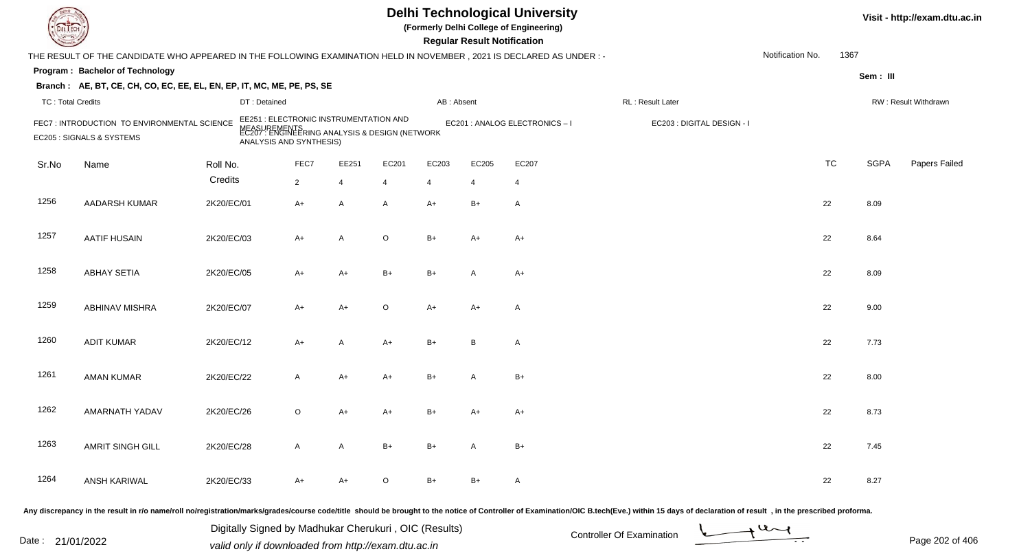|                          |                                                                                                                      |              |                                                                                                                                     |                |         |                | <b>Regular Result Notification</b> | <b>Delhi Technological University</b><br>(Formerly Delhi College of Engineering) |                            |                  |      | Visit - http://exam.dtu.ac.in |                      |
|--------------------------|----------------------------------------------------------------------------------------------------------------------|--------------|-------------------------------------------------------------------------------------------------------------------------------------|----------------|---------|----------------|------------------------------------|----------------------------------------------------------------------------------|----------------------------|------------------|------|-------------------------------|----------------------|
|                          | THE RESULT OF THE CANDIDATE WHO APPEARED IN THE FOLLOWING EXAMINATION HELD IN NOVEMBER, 2021 IS DECLARED AS UNDER :- |              |                                                                                                                                     |                |         |                |                                    |                                                                                  |                            | Notification No. | 1367 |                               |                      |
|                          | Program: Bachelor of Technology                                                                                      |              |                                                                                                                                     |                |         |                |                                    |                                                                                  |                            |                  |      | Sem: III                      |                      |
|                          | Branch: AE, BT, CE, CH, CO, EC, EE, EL, EN, EP, IT, MC, ME, PE, PS, SE                                               |              |                                                                                                                                     |                |         |                |                                    |                                                                                  |                            |                  |      |                               |                      |
| <b>TC: Total Credits</b> |                                                                                                                      | DT: Detained |                                                                                                                                     |                |         | AB: Absent     |                                    |                                                                                  | RL: Result Later           |                  |      |                               | RW: Result Withdrawn |
|                          | FEC7: INTRODUCTION TO ENVIRONMENTAL SCIENCE<br>EC205 : SIGNALS & SYSTEMS                                             |              | EE251 : ELECTRONIC INSTRUMENTATION AND<br>MEASUREMENTS<br>EC207 : ENGINEERING ANALYSIS & DESIGN (NETWORK<br>ANALYSIS AND SYNTHESIS) |                |         |                |                                    | EC201 : ANALOG ELECTRONICS-I                                                     | EC203 : DIGITAL DESIGN - I |                  |      |                               |                      |
| Sr.No                    | Name                                                                                                                 | Roll No.     | FEC7                                                                                                                                | EE251          | EC201   | EC203          | EC205                              | EC207                                                                            |                            | <b>TC</b>        |      | <b>SGPA</b>                   | Papers Failed        |
|                          |                                                                                                                      | Credits      | $\overline{2}$                                                                                                                      | $\overline{4}$ | 4       | $\overline{4}$ | 4                                  | $\overline{4}$                                                                   |                            |                  |      |                               |                      |
| 1256                     | AADARSH KUMAR                                                                                                        | 2K20/EC/01   | A+                                                                                                                                  | A              | A       | $A+$           | $B+$                               | $\mathsf{A}$                                                                     |                            | 22               |      | 8.09                          |                      |
| 1257                     | <b>AATIF HUSAIN</b>                                                                                                  | 2K20/EC/03   | $A+$                                                                                                                                | A              | $\circ$ | $B+$           | A+                                 | $A+$                                                                             |                            | 22               |      | 8.64                          |                      |
| 1258                     | <b>ABHAY SETIA</b>                                                                                                   | 2K20/EC/05   | A+                                                                                                                                  | $A+$           | B+      | $B+$           | A                                  | A+                                                                               |                            | 22               |      | 8.09                          |                      |
| 1259                     | <b>ABHINAV MISHRA</b>                                                                                                | 2K20/EC/07   | A+                                                                                                                                  | $A+$           | $\circ$ | $A+$           | A+                                 | A                                                                                |                            | 22               |      | 9.00                          |                      |
| 1260                     | <b>ADIT KUMAR</b>                                                                                                    | 2K20/EC/12   | A+                                                                                                                                  | A              | $A+$    | $B+$           | B                                  | A                                                                                |                            | 22               |      | 7.73                          |                      |
| 1261                     | <b>AMAN KUMAR</b>                                                                                                    | 2K20/EC/22   | A                                                                                                                                   | $A+$           | A+      | $B+$           | A                                  | $B+$                                                                             |                            | 22               |      | 8.00                          |                      |
| 1262                     | AMARNATH YADAV                                                                                                       | 2K20/EC/26   | O                                                                                                                                   | $A+$           | A+      | B+             | A+                                 | A+                                                                               |                            | 22               |      | 8.73                          |                      |
| 1263                     | AMRIT SINGH GILL                                                                                                     | 2K20/EC/28   | A                                                                                                                                   | A              | $B+$    | $B+$           | A                                  | $B+$                                                                             |                            | 22               |      | 7.45                          |                      |
| 1264                     | ANSH KARIWAL                                                                                                         | 2K20/EC/33   | A+                                                                                                                                  | A+             | $\circ$ | $B+$           | $B+$                               | $\mathsf{A}$                                                                     |                            | 22               |      | 8.27                          |                      |
|                          |                                                                                                                      |              |                                                                                                                                     |                |         |                |                                    |                                                                                  |                            |                  |      |                               |                      |

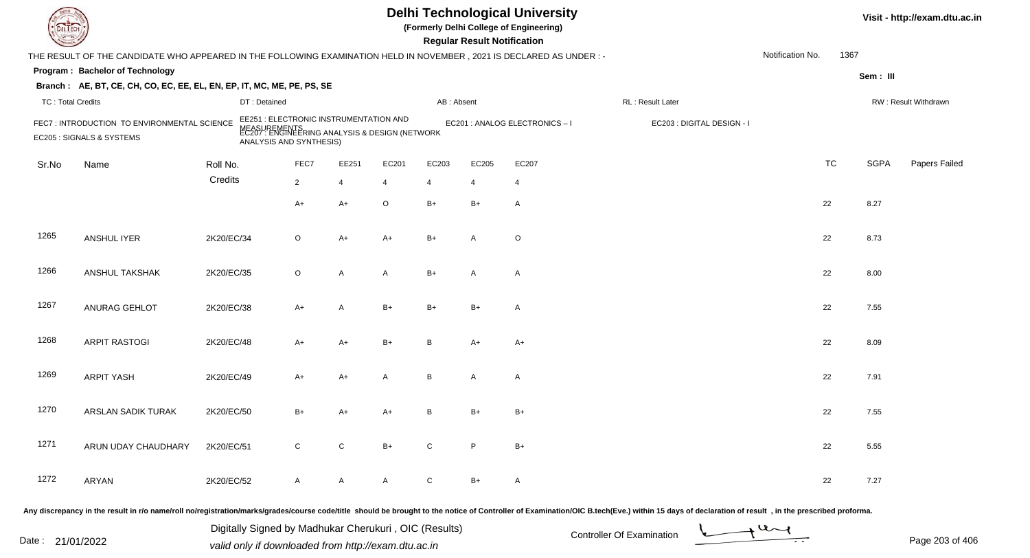| <b>DELTEC</b>            |                                                                                                                     |            |                                                                                                                                     |                |              |                |                | <b>Regular Result Notification</b> | <b>Delhi Technological University</b><br>(Formerly Delhi College of Engineering) |                                                                                                                                                                                                                                |                  |           |             | Visit - http://exam.dtu.ac.in |
|--------------------------|---------------------------------------------------------------------------------------------------------------------|------------|-------------------------------------------------------------------------------------------------------------------------------------|----------------|--------------|----------------|----------------|------------------------------------|----------------------------------------------------------------------------------|--------------------------------------------------------------------------------------------------------------------------------------------------------------------------------------------------------------------------------|------------------|-----------|-------------|-------------------------------|
|                          | THE RESULT OF THE CANDIDATE WHO APPEARED IN THE FOLLOWING EXAMINATION HELD IN NOVEMBER, 2021 IS DECLARED AS UNDER:- |            |                                                                                                                                     |                |              |                |                |                                    |                                                                                  |                                                                                                                                                                                                                                | Notification No. | 1367      |             |                               |
|                          | Program: Bachelor of Technology                                                                                     |            |                                                                                                                                     |                |              |                |                |                                    |                                                                                  |                                                                                                                                                                                                                                |                  |           | Sem: III    |                               |
|                          | Branch: AE, BT, CE, CH, CO, EC, EE, EL, EN, EP, IT, MC, ME, PE, PS, SE                                              |            |                                                                                                                                     |                |              |                |                |                                    |                                                                                  |                                                                                                                                                                                                                                |                  |           |             |                               |
| <b>TC: Total Credits</b> |                                                                                                                     |            | DT: Detained                                                                                                                        |                |              |                | AB: Absent     |                                    |                                                                                  | RL: Result Later                                                                                                                                                                                                               |                  |           |             | RW: Result Withdrawn          |
|                          | FEC7: INTRODUCTION TO ENVIRONMENTAL SCIENCE<br>EC205 : SIGNALS & SYSTEMS                                            |            | EE251 : ELECTRONIC INSTRUMENTATION AND<br>MEASUREMENTS<br>EC207 : ENGINEERING ANALYSIS & DESIGN (NETWORK<br>ANALYSIS AND SYNTHESIS) |                |              |                |                |                                    | EC201 : ANALOG ELECTRONICS - I                                                   | EC203 : DIGITAL DESIGN - I                                                                                                                                                                                                     |                  |           |             |                               |
| Sr.No                    | Name                                                                                                                | Roll No.   |                                                                                                                                     | FEC7           | EE251        | EC201          | EC203          | EC205                              | EC207                                                                            |                                                                                                                                                                                                                                |                  | <b>TC</b> | <b>SGPA</b> | Papers Failed                 |
|                          |                                                                                                                     | Credits    |                                                                                                                                     | $\overline{2}$ | 4            | $\overline{4}$ | $\overline{4}$ | 4                                  | $\overline{4}$                                                                   |                                                                                                                                                                                                                                |                  |           |             |                               |
|                          |                                                                                                                     |            |                                                                                                                                     | $A+$           | $A+$         | $\circ$        | $B+$           | $B+$                               | $\mathsf{A}$                                                                     |                                                                                                                                                                                                                                |                  | 22        | 8.27        |                               |
| 1265                     | <b>ANSHUL IYER</b>                                                                                                  | 2K20/EC/34 |                                                                                                                                     | $\circ$        | $A+$         | A+             | $B+$           | A                                  | $\circ$                                                                          |                                                                                                                                                                                                                                |                  | 22        | 8.73        |                               |
| 1266                     | ANSHUL TAKSHAK                                                                                                      | 2K20/EC/35 |                                                                                                                                     | $\circ$        | $\mathsf{A}$ | A              | $B+$           | $\overline{A}$                     | $\mathsf{A}$                                                                     |                                                                                                                                                                                                                                |                  | 22        | 8.00        |                               |
| 1267                     | ANURAG GEHLOT                                                                                                       | 2K20/EC/38 |                                                                                                                                     | $A+$           | A            | $B+$           | $B+$           | $B+$                               | $\mathsf{A}$                                                                     |                                                                                                                                                                                                                                |                  | 22        | 7.55        |                               |
| 1268                     | <b>ARPIT RASTOGI</b>                                                                                                | 2K20/EC/48 |                                                                                                                                     | $A+$           | $A+$         | $B+$           | B              | $A+$                               | $A+$                                                                             |                                                                                                                                                                                                                                |                  | 22        | 8.09        |                               |
| 1269                     | <b>ARPIT YASH</b>                                                                                                   | 2K20/EC/49 |                                                                                                                                     | $A+$           | $A+$         | A              | В              | A                                  | $\mathsf{A}$                                                                     |                                                                                                                                                                                                                                |                  | 22        | 7.91        |                               |
| 1270                     | ARSLAN SADIK TURAK                                                                                                  | 2K20/EC/50 |                                                                                                                                     | B+             | A+           | A+             | B              | B+                                 | $B+$                                                                             |                                                                                                                                                                                                                                |                  | 22        | 7.55        |                               |
| 1271                     | ARUN UDAY CHAUDHARY                                                                                                 | 2K20/EC/51 |                                                                                                                                     | $\mathsf{C}$   | ${\rm C}$    | $B+$           | $\mathsf{C}$   | P                                  | $B+$                                                                             |                                                                                                                                                                                                                                |                  | 22        | 5.55        |                               |
| 1272                     | ARYAN                                                                                                               | 2K20/EC/52 |                                                                                                                                     | $\mathsf{A}$   | $\mathsf{A}$ | A              | ${\bf C}$      | $B+$                               | A                                                                                |                                                                                                                                                                                                                                |                  | 22        | 7.27        |                               |
|                          |                                                                                                                     |            |                                                                                                                                     |                |              |                |                |                                    |                                                                                  | Any discrepancy in the result in r/o name/roll no/registration/marks/grades/course code/title should be brought to the notice of Controller of Examination/OIC B.tech(Eve.) within 15 days of declaration of result, in the pr |                  |           |             |                               |

Date : 21/01/2022 Digital Digital of Microsofted Chemical Controller Of Examination Determination Page 203 of 40 Digitally Signed by Madhukar Cherukuri , OIC (Results)

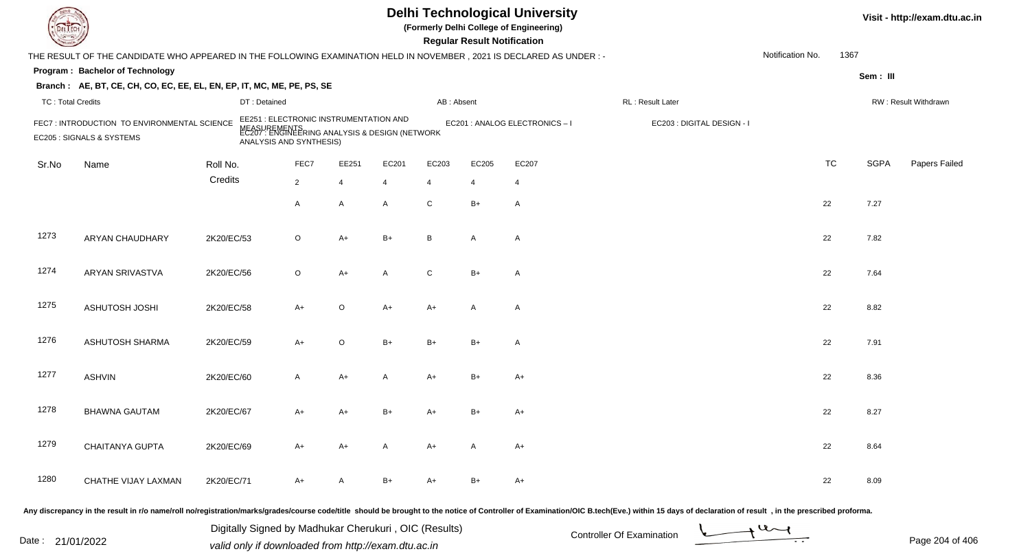|                          |                                                                                                                     |            |                                                                                                                                     |                |                |              |                | <b>Regular Result Notification</b> | <b>Delhi Technological University</b><br>(Formerly Delhi College of Engineering) |                            |                  |           |             | Visit - http://exam.dtu.ac.in |
|--------------------------|---------------------------------------------------------------------------------------------------------------------|------------|-------------------------------------------------------------------------------------------------------------------------------------|----------------|----------------|--------------|----------------|------------------------------------|----------------------------------------------------------------------------------|----------------------------|------------------|-----------|-------------|-------------------------------|
|                          | THE RESULT OF THE CANDIDATE WHO APPEARED IN THE FOLLOWING EXAMINATION HELD IN NOVEMBER, 2021 IS DECLARED AS UNDER:- |            |                                                                                                                                     |                |                |              |                |                                    |                                                                                  |                            | Notification No. | 1367      |             |                               |
|                          | Program: Bachelor of Technology                                                                                     |            |                                                                                                                                     |                |                |              |                |                                    |                                                                                  |                            |                  |           | Sem: III    |                               |
|                          | Branch: AE, BT, CE, CH, CO, EC, EE, EL, EN, EP, IT, MC, ME, PE, PS, SE                                              |            |                                                                                                                                     |                |                |              |                |                                    |                                                                                  |                            |                  |           |             |                               |
| <b>TC: Total Credits</b> |                                                                                                                     |            | DT: Detained                                                                                                                        |                |                |              | AB: Absent     |                                    |                                                                                  | RL: Result Later           |                  |           |             | RW: Result Withdrawn          |
|                          | FEC7: INTRODUCTION TO ENVIRONMENTAL SCIENCE<br>EC205 : SIGNALS & SYSTEMS                                            |            | EE251 : ELECTRONIC INSTRUMENTATION AND<br>MEASUREMENTS<br>EC207 : ENGINEERING ANALYSIS & DESIGN (NETWORK<br>ANALYSIS AND SYNTHESIS) |                |                |              |                |                                    | EC201 : ANALOG ELECTRONICS-I                                                     | EC203 : DIGITAL DESIGN - I |                  |           |             |                               |
| Sr.No                    | Name                                                                                                                | Roll No.   |                                                                                                                                     | FEC7           | EE251          | EC201        | EC203          | EC205                              | EC207                                                                            |                            |                  | <b>TC</b> | <b>SGPA</b> | Papers Failed                 |
|                          |                                                                                                                     | Credits    |                                                                                                                                     | $\overline{2}$ | $\overline{4}$ | 4            | $\overline{4}$ | $\overline{4}$                     | $\overline{4}$                                                                   |                            |                  |           |             |                               |
|                          |                                                                                                                     |            |                                                                                                                                     | A              | A              | $\mathsf{A}$ | C              | $B+$                               | $\overline{A}$                                                                   |                            | 22               |           | 7.27        |                               |
| 1273                     | ARYAN CHAUDHARY                                                                                                     | 2K20/EC/53 |                                                                                                                                     | $\circ$        | A+             | $B+$         | B              | A                                  | $\overline{A}$                                                                   |                            | 22               |           | 7.82        |                               |
| 1274                     | <b>ARYAN SRIVASTVA</b>                                                                                              | 2K20/EC/56 |                                                                                                                                     | $\circ$        | $A+$           | A            | C              | $B+$                               | $\overline{A}$                                                                   |                            | 22               |           | 7.64        |                               |
| 1275                     | ASHUTOSH JOSHI                                                                                                      | 2K20/EC/58 |                                                                                                                                     | $A+$           | $\circ$        | $A+$         | $A+$           | A                                  | $\overline{A}$                                                                   |                            | 22               |           | 8.82        |                               |
| 1276                     | <b>ASHUTOSH SHARMA</b>                                                                                              | 2K20/EC/59 |                                                                                                                                     | $A+$           | $\circ$        | $B+$         | $B+$           | $B+$                               | $\overline{A}$                                                                   |                            | 22               |           | 7.91        |                               |
| 1277                     | <b>ASHVIN</b>                                                                                                       | 2K20/EC/60 |                                                                                                                                     | A              | $A+$           | A            | $A+$           | $B+$                               | $A+$                                                                             |                            | 22               |           | 8.36        |                               |
| 1278                     | <b>BHAWNA GAUTAM</b>                                                                                                | 2K20/EC/67 |                                                                                                                                     | A+             | $A+$           | B+           | A+             | $B+$                               | $A+$                                                                             |                            | 22               |           | 8.27        |                               |
| 1279                     | CHAITANYA GUPTA                                                                                                     | 2K20/EC/69 |                                                                                                                                     | A+             | A+             | A            | A+             | A                                  | A+                                                                               |                            | 22               |           | 8.64        |                               |
| 1280                     | CHATHE VIJAY LAXMAN                                                                                                 | 2K20/EC/71 |                                                                                                                                     | A+             | A              | B+           | A+             | B+                                 | A+                                                                               |                            | 22               |           | 8.09        |                               |
|                          |                                                                                                                     |            |                                                                                                                                     |                |                |              |                |                                    |                                                                                  |                            |                  |           |             |                               |

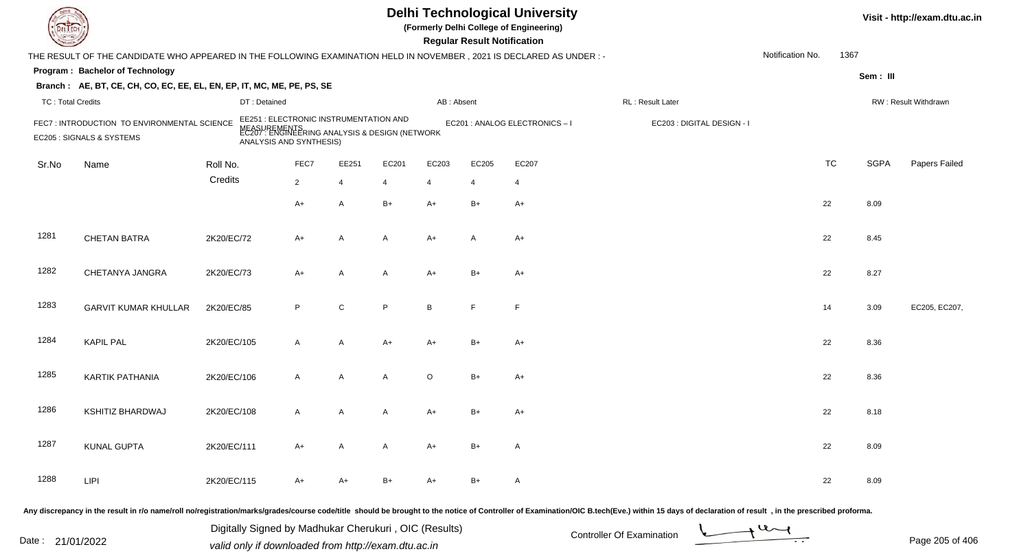| DEL TEC                  |                                                                                                                                                                                                                                |                                                       |                                                                                                                                     |                |                |                | <b>Regular Result Notification</b> | <b>Delhi Technological University</b><br>(Formerly Delhi College of Engineering) |                           |                            |                  |           |             | Visit - http://exam.dtu.ac.in |
|--------------------------|--------------------------------------------------------------------------------------------------------------------------------------------------------------------------------------------------------------------------------|-------------------------------------------------------|-------------------------------------------------------------------------------------------------------------------------------------|----------------|----------------|----------------|------------------------------------|----------------------------------------------------------------------------------|---------------------------|----------------------------|------------------|-----------|-------------|-------------------------------|
|                          | THE RESULT OF THE CANDIDATE WHO APPEARED IN THE FOLLOWING EXAMINATION HELD IN NOVEMBER, 2021 IS DECLARED AS UNDER :-                                                                                                           |                                                       |                                                                                                                                     |                |                |                |                                    |                                                                                  |                           |                            | Notification No. | 1367      |             |                               |
|                          | Program: Bachelor of Technology                                                                                                                                                                                                |                                                       |                                                                                                                                     |                |                |                |                                    |                                                                                  |                           |                            |                  |           | Sem: III    |                               |
|                          | Branch: AE, BT, CE, CH, CO, EC, EE, EL, EN, EP, IT, MC, ME, PE, PS, SE                                                                                                                                                         |                                                       |                                                                                                                                     |                |                |                |                                    |                                                                                  |                           |                            |                  |           |             |                               |
| <b>TC: Total Credits</b> |                                                                                                                                                                                                                                | DT: Detained                                          |                                                                                                                                     |                |                | AB: Absent     |                                    |                                                                                  | RL: Result Later          |                            |                  |           |             | RW: Result Withdrawn          |
|                          | FEC7: INTRODUCTION TO ENVIRONMENTAL SCIENCE<br>EC205 : SIGNALS & SYSTEMS                                                                                                                                                       |                                                       | EE251 : ELECTRONIC INSTRUMENTATION AND<br>MEASUREMENTS<br>EC207 : ENGINEERING ANALYSIS & DESIGN (NETWORK<br>ANALYSIS AND SYNTHESIS) |                |                |                |                                    | EC201 : ANALOG ELECTRONICS - I                                                   |                           | EC203 : DIGITAL DESIGN - I |                  |           |             |                               |
| Sr.No                    | Name                                                                                                                                                                                                                           | Roll No.                                              | FEC7                                                                                                                                | EE251          | EC201          | EC203          | EC205                              | EC207                                                                            |                           |                            |                  | <b>TC</b> | <b>SGPA</b> | Papers Failed                 |
|                          |                                                                                                                                                                                                                                | Credits                                               | $\overline{2}$                                                                                                                      | $\overline{4}$ | $\overline{4}$ | $\overline{4}$ | 4                                  | 4                                                                                |                           |                            |                  |           |             |                               |
|                          |                                                                                                                                                                                                                                |                                                       | $A+$                                                                                                                                | A              | $B+$           | $A+$           | $B+$                               | $A+$                                                                             |                           |                            |                  | 22        | 8.09        |                               |
| 1281                     | <b>CHETAN BATRA</b>                                                                                                                                                                                                            | 2K20/EC/72                                            | $A+$                                                                                                                                | A              | A              | A+             | A                                  | $A+$                                                                             |                           |                            |                  | 22        | 8.45        |                               |
| 1282                     | CHETANYA JANGRA                                                                                                                                                                                                                | 2K20/EC/73                                            | $A+$                                                                                                                                | A              | A              | $A+$           | $B+$                               | $A+$                                                                             |                           |                            |                  | 22        | 8.27        |                               |
| 1283                     | <b>GARVIT KUMAR KHULLAR</b>                                                                                                                                                                                                    | 2K20/EC/85                                            | P                                                                                                                                   | $\mathbf C$    | P              | B              | E                                  | F.                                                                               |                           |                            |                  | 14        | 3.09        | EC205, EC207,                 |
| 1284                     | <b>KAPIL PAL</b>                                                                                                                                                                                                               | 2K20/EC/105                                           | $\overline{A}$                                                                                                                      | $\overline{A}$ | $A+$           | $A+$           | $B+$                               | $A+$                                                                             |                           |                            |                  | 22        | 8.36        |                               |
| 1285                     | <b>KARTIK PATHANIA</b>                                                                                                                                                                                                         | 2K20/EC/106                                           | $\overline{A}$                                                                                                                      | A              | $\mathsf{A}$   | $\circ$        | $B+$                               | $A+$                                                                             |                           |                            |                  | 22        | 8.36        |                               |
| 1286                     | <b>KSHITIZ BHARDWAJ</b>                                                                                                                                                                                                        | 2K20/EC/108                                           | $\mathsf{A}$                                                                                                                        | A              | A              | A+             | B+                                 | $A+$                                                                             |                           |                            |                  | 22        | 8.18        |                               |
| 1287                     | <b>KUNAL GUPTA</b>                                                                                                                                                                                                             | 2K20/EC/111                                           | A+                                                                                                                                  | $\mathsf{A}$   | A              | A+             | B+                                 | A                                                                                |                           |                            |                  | 22        | 8.09        |                               |
| 1288                     | <b>LIPI</b>                                                                                                                                                                                                                    | 2K20/EC/115                                           | A+                                                                                                                                  | A+             | $B+$           | A+             | $B+$                               | A                                                                                |                           |                            |                  | 22        | 8.09        |                               |
|                          | Any discrepancy in the result in r/o name/roll no/registration/marks/grades/course code/title should be brought to the notice of Controller of Examination/OIC B.tech(Eve.) within 15 days of declaration of result , in the p |                                                       |                                                                                                                                     |                |                |                |                                    |                                                                                  |                           |                            |                  |           |             |                               |
|                          |                                                                                                                                                                                                                                | Digitally Signed by Madhukar Cherukuri, OIC (Results) |                                                                                                                                     |                |                |                |                                    |                                                                                  | Controller Of Evamination |                            | $u_{\sim}$       |           |             |                               |

Date : 21/01/2022 Digital Digital of Microsofted Chemical Controller Of Examination Determination Page 205 of 40

Page 205 of 406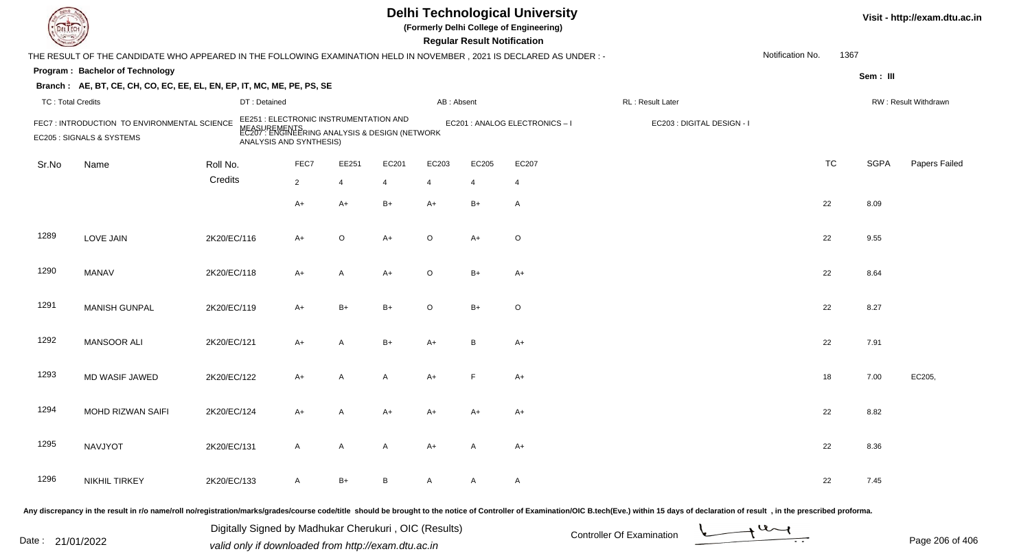| DEL TECI                 |                                                                                                                      |             |                                                                                                                                     |                |                |                |                | <b>Regular Result Notification</b> | <b>Delhi Technological University</b><br>(Formerly Delhi College of Engineering) |                                                                                                                                                                                                                                |                  |           |             | Visit - http://exam.dtu.ac.in |
|--------------------------|----------------------------------------------------------------------------------------------------------------------|-------------|-------------------------------------------------------------------------------------------------------------------------------------|----------------|----------------|----------------|----------------|------------------------------------|----------------------------------------------------------------------------------|--------------------------------------------------------------------------------------------------------------------------------------------------------------------------------------------------------------------------------|------------------|-----------|-------------|-------------------------------|
|                          | THE RESULT OF THE CANDIDATE WHO APPEARED IN THE FOLLOWING EXAMINATION HELD IN NOVEMBER, 2021 IS DECLARED AS UNDER :- |             |                                                                                                                                     |                |                |                |                |                                    |                                                                                  |                                                                                                                                                                                                                                | Notification No. | 1367      |             |                               |
|                          | Program: Bachelor of Technology                                                                                      |             |                                                                                                                                     |                |                |                |                |                                    |                                                                                  |                                                                                                                                                                                                                                |                  |           | Sem: III    |                               |
|                          | Branch: AE, BT, CE, CH, CO, EC, EE, EL, EN, EP, IT, MC, ME, PE, PS, SE                                               |             |                                                                                                                                     |                |                |                |                |                                    |                                                                                  |                                                                                                                                                                                                                                |                  |           |             |                               |
| <b>TC: Total Credits</b> |                                                                                                                      |             | DT: Detained                                                                                                                        |                |                |                | AB: Absent     |                                    |                                                                                  | RL: Result Later                                                                                                                                                                                                               |                  |           |             | RW: Result Withdrawn          |
|                          | FEC7: INTRODUCTION TO ENVIRONMENTAL SCIENCE<br>EC205 : SIGNALS & SYSTEMS                                             |             | EE251 : ELECTRONIC INSTRUMENTATION AND<br>MEASUREMENTS<br>EC207 : ENGINEERING ANALYSIS & DESIGN (NETWORK<br>ANALYSIS AND SYNTHESIS) |                |                |                |                |                                    | EC201 : ANALOG ELECTRONICS - I                                                   | EC203 : DIGITAL DESIGN - I                                                                                                                                                                                                     |                  |           |             |                               |
| Sr.No                    | Name                                                                                                                 | Roll No.    |                                                                                                                                     | FEC7           | EE251          | EC201          | EC203          | EC205                              | EC207                                                                            |                                                                                                                                                                                                                                |                  | <b>TC</b> | <b>SGPA</b> | Papers Failed                 |
|                          |                                                                                                                      | Credits     |                                                                                                                                     | $\overline{2}$ | $\overline{4}$ | $\overline{4}$ | $\overline{4}$ | $\overline{4}$                     | 4                                                                                |                                                                                                                                                                                                                                |                  |           |             |                               |
|                          |                                                                                                                      |             |                                                                                                                                     | $A+$           | $A+$           | $B+$           | $A+$           | $B+$                               | $\mathsf{A}$                                                                     |                                                                                                                                                                                                                                |                  | 22        | 8.09        |                               |
| 1289                     | <b>LOVE JAIN</b>                                                                                                     | 2K20/EC/116 |                                                                                                                                     | $A+$           | $\circ$        | $A+$           | $\circ$        | $A+$                               | $\circ$                                                                          |                                                                                                                                                                                                                                |                  | 22        | 9.55        |                               |
| 1290                     | <b>MANAV</b>                                                                                                         | 2K20/EC/118 |                                                                                                                                     | $A+$           | A              | $A+$           | $\circ$        | $B+$                               | $A+$                                                                             |                                                                                                                                                                                                                                |                  | 22        | 8.64        |                               |
| 1291                     | <b>MANISH GUNPAL</b>                                                                                                 | 2K20/EC/119 |                                                                                                                                     | $A+$           | $B+$           | B+             | $\circ$        | $B+$                               | $\circ$                                                                          |                                                                                                                                                                                                                                |                  | 22        | 8.27        |                               |
| 1292                     | <b>MANSOOR ALI</b>                                                                                                   | 2K20/EC/121 |                                                                                                                                     | $A+$           | A              | $B+$           | A+             | $\overline{B}$                     | $A+$                                                                             |                                                                                                                                                                                                                                |                  | 22        | 7.91        |                               |
| 1293                     | MD WASIF JAWED                                                                                                       | 2K20/EC/122 |                                                                                                                                     | $A+$           | A              | A              | $A+$           | F                                  | $A+$                                                                             |                                                                                                                                                                                                                                |                  | 18        | 7.00        | EC205,                        |
| 1294                     | MOHD RIZWAN SAIFI                                                                                                    | 2K20/EC/124 |                                                                                                                                     | $A+$           | A              | A+             | A+             | A+                                 | $A+$                                                                             |                                                                                                                                                                                                                                |                  | 22        | 8.82        |                               |
| 1295                     | NAVJYOT                                                                                                              | 2K20/EC/131 |                                                                                                                                     | $\mathsf{A}$   | A              | A              | A+             | A                                  | $A+$                                                                             |                                                                                                                                                                                                                                |                  | 22        | 8.36        |                               |
| 1296                     | NIKHIL TIRKEY                                                                                                        | 2K20/EC/133 |                                                                                                                                     | $\mathsf{A}$   | $B+$           | B              | A              | A                                  | A                                                                                |                                                                                                                                                                                                                                |                  | 22        | 7.45        |                               |
|                          |                                                                                                                      |             |                                                                                                                                     |                |                |                |                |                                    |                                                                                  | Any discrepancy in the result in r/o name/roll no/registration/marks/grades/course code/title should be brought to the notice of Controller of Examination/OIC B.tech(Eve.) within 15 days of declaration of result , in the p |                  |           |             |                               |

Date : 21/01/2022 Digital Digital of Microsofted Chemical Controller Of Examination Determination Page 206 of 40 Digitally Signed by Madhukar Cherukuri , OIC (Results)

Page 206 of 406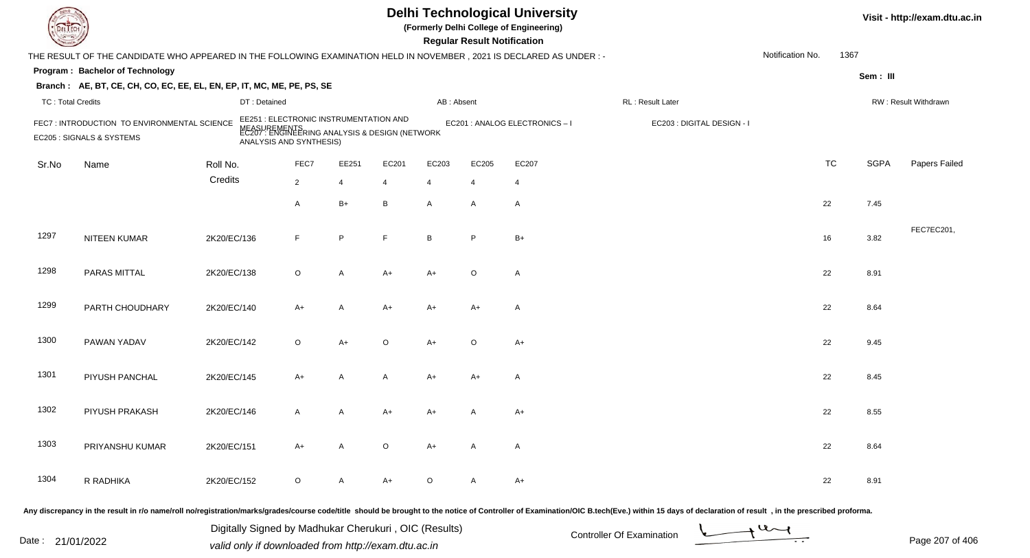| DEL EC                   |                                                                                                                      |             |                                                                                                                                     |                |                |                | <b>Regular Result Notification</b> | <b>Delhi Technological University</b><br>(Formerly Delhi College of Engineering) |                                                                                                                                                                                                                                |                  |           |             | Visit - http://exam.dtu.ac.in |
|--------------------------|----------------------------------------------------------------------------------------------------------------------|-------------|-------------------------------------------------------------------------------------------------------------------------------------|----------------|----------------|----------------|------------------------------------|----------------------------------------------------------------------------------|--------------------------------------------------------------------------------------------------------------------------------------------------------------------------------------------------------------------------------|------------------|-----------|-------------|-------------------------------|
|                          | THE RESULT OF THE CANDIDATE WHO APPEARED IN THE FOLLOWING EXAMINATION HELD IN NOVEMBER, 2021 IS DECLARED AS UNDER :- |             |                                                                                                                                     |                |                |                |                                    |                                                                                  |                                                                                                                                                                                                                                | Notification No. | 1367      |             |                               |
|                          | Program: Bachelor of Technology                                                                                      |             |                                                                                                                                     |                |                |                |                                    |                                                                                  |                                                                                                                                                                                                                                |                  |           | Sem: III    |                               |
|                          | Branch: AE, BT, CE, CH, CO, EC, EE, EL, EN, EP, IT, MC, ME, PE, PS, SE                                               |             |                                                                                                                                     |                |                |                |                                    |                                                                                  |                                                                                                                                                                                                                                |                  |           |             |                               |
| <b>TC: Total Credits</b> |                                                                                                                      |             | DT: Detained                                                                                                                        |                |                |                | AB: Absent                         |                                                                                  | RL : Result Later                                                                                                                                                                                                              |                  |           |             | RW: Result Withdrawn          |
|                          | FEC7: INTRODUCTION TO ENVIRONMENTAL SCIENCE<br>EC205 : SIGNALS & SYSTEMS                                             |             | EE251 : ELECTRONIC INSTRUMENTATION AND<br>MEASUREMENTS<br>EC207 : ENGINEERING ANALYSIS & DESIGN (NETWORK<br>ANALYSIS AND SYNTHESIS) |                |                |                |                                    | EC201 : ANALOG ELECTRONICS - I                                                   | EC203 : DIGITAL DESIGN - I                                                                                                                                                                                                     |                  |           |             |                               |
| Sr.No                    | Name                                                                                                                 | Roll No.    | FEC7                                                                                                                                | EE251          | EC201          | EC203          | EC205                              | EC207                                                                            |                                                                                                                                                                                                                                |                  | <b>TC</b> | <b>SGPA</b> | Papers Failed                 |
|                          |                                                                                                                      | Credits     | $\overline{2}$                                                                                                                      | 4              | $\overline{4}$ | $\overline{4}$ | 4                                  | 4                                                                                |                                                                                                                                                                                                                                |                  |           |             |                               |
|                          |                                                                                                                      |             | A                                                                                                                                   | $B+$           | B              | A              | $\mathsf{A}$                       | $\mathsf{A}$                                                                     |                                                                                                                                                                                                                                |                  | 22        | 7.45        |                               |
| 1297                     | NITEEN KUMAR                                                                                                         | 2K20/EC/136 | F                                                                                                                                   | P              | F.             | B              | P                                  | $B+$                                                                             |                                                                                                                                                                                                                                |                  | 16        | 3.82        | FEC7EC201,                    |
| 1298                     | PARAS MITTAL                                                                                                         | 2K20/EC/138 | $\circ$                                                                                                                             | A              | $A+$           | $A+$           | $\circ$                            | $\mathsf{A}$                                                                     |                                                                                                                                                                                                                                |                  | 22        | 8.91        |                               |
| 1299                     | PARTH CHOUDHARY                                                                                                      | 2K20/EC/140 | $A+$                                                                                                                                | A              | A+             | A+             | $A+$                               | $\mathsf{A}$                                                                     |                                                                                                                                                                                                                                |                  | 22        | 8.64        |                               |
| 1300                     | PAWAN YADAV                                                                                                          | 2K20/EC/142 | $\circ$                                                                                                                             | $A+$           | $\circ$        | $A+$           | $\circ$                            | $A+$                                                                             |                                                                                                                                                                                                                                |                  | 22        | 9.45        |                               |
| 1301                     | PIYUSH PANCHAL                                                                                                       | 2K20/EC/145 | $A+$                                                                                                                                | $\overline{A}$ | A              | A+             | $A+$                               | A                                                                                |                                                                                                                                                                                                                                |                  | 22        | 8.45        |                               |
| 1302                     | PIYUSH PRAKASH                                                                                                       | 2K20/EC/146 | $\mathsf{A}$                                                                                                                        | A              | A+             | A+             |                                    | $A+$                                                                             |                                                                                                                                                                                                                                |                  | 22        | 8.55        |                               |
| 1303                     | PRIYANSHU KUMAR                                                                                                      | 2K20/EC/151 | $A+$                                                                                                                                | $\mathsf{A}$   | $\circ$        | $A+$           | $\mathsf{A}$                       | A                                                                                |                                                                                                                                                                                                                                |                  | 22        | 8.64        |                               |
| 1304                     | R RADHIKA                                                                                                            | 2K20/EC/152 | $\circ$                                                                                                                             | A              | A+             | $\circ$        | A                                  | $A+$                                                                             |                                                                                                                                                                                                                                |                  | 22        | 8.91        |                               |
|                          |                                                                                                                      |             |                                                                                                                                     |                |                |                |                                    |                                                                                  | Any discrepancy in the result in r/o name/roll no/registration/marks/grades/course code/title should be brought to the notice of Controller of Examination/OIC B.tech(Eve.) within 15 days of declaration of result , in the p |                  |           |             |                               |

Date : 21/01/2022 Digital Digital of Microsofted Chemical Controller Of Examination Determination Page 207 of 40 Digitally Signed by Madhukar Cherukuri , OIC (Results)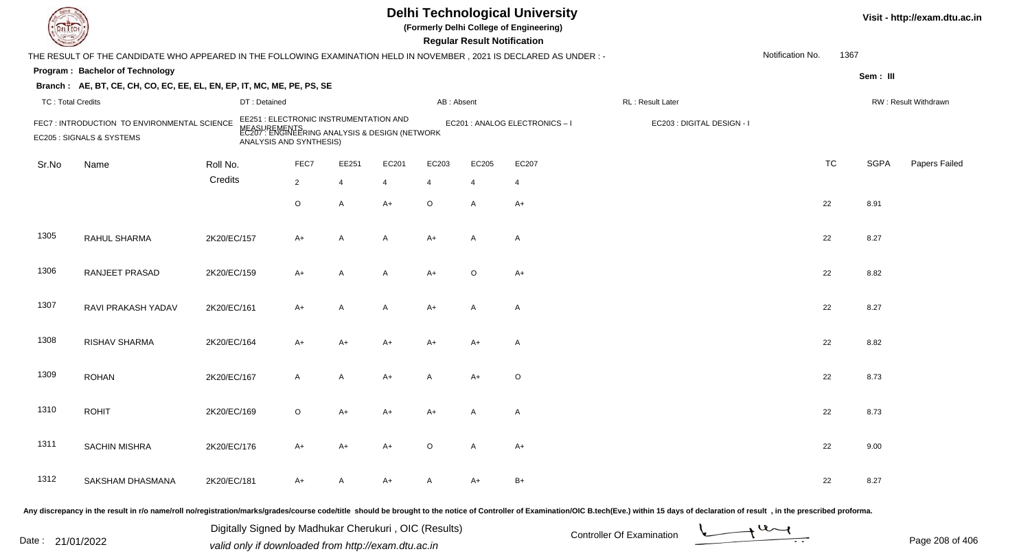|                          |                                                                                                                     |                                                                            |                |       |                                                      |                | <b>Regular Result Notification</b> | <b>Delhi Technological University</b><br>(Formerly Delhi College of Engineering) |                            |                  |           |             | Visit - http://exam.dtu.ac.in |
|--------------------------|---------------------------------------------------------------------------------------------------------------------|----------------------------------------------------------------------------|----------------|-------|------------------------------------------------------|----------------|------------------------------------|----------------------------------------------------------------------------------|----------------------------|------------------|-----------|-------------|-------------------------------|
|                          | THE RESULT OF THE CANDIDATE WHO APPEARED IN THE FOLLOWING EXAMINATION HELD IN NOVEMBER, 2021 IS DECLARED AS UNDER:- |                                                                            |                |       |                                                      |                |                                    |                                                                                  |                            | Notification No. | 1367      |             |                               |
|                          | Program: Bachelor of Technology                                                                                     |                                                                            |                |       |                                                      |                |                                    |                                                                                  |                            |                  |           | Sem: III    |                               |
|                          | Branch: AE, BT, CE, CH, CO, EC, EE, EL, EN, EP, IT, MC, ME, PE, PS, SE                                              |                                                                            |                |       |                                                      |                |                                    |                                                                                  |                            |                  |           |             |                               |
| <b>TC: Total Credits</b> |                                                                                                                     | DT: Detained                                                               |                |       |                                                      | AB: Absent     |                                    |                                                                                  | RL : Result Later          |                  |           |             | RW: Result Withdrawn          |
|                          | FEC7: INTRODUCTION TO ENVIRONMENTAL SCIENCE<br>EC205 : SIGNALS & SYSTEMS                                            | EE251 : ELECTRONIC INSTRUMENTATION AND<br>NEASU<br>ANALYSIS AND SYNTHESIS) |                |       | IREMENTS<br>: ENGINEERING ANALYSIS & DESIGN (NETWORK |                |                                    | EC201 : ANALOG ELECTRONICS-I                                                     | EC203 : DIGITAL DESIGN - I |                  |           |             |                               |
| Sr.No                    | Name                                                                                                                | Roll No.                                                                   | FEC7           | EE251 | EC201                                                | EC203          | EC205                              | EC207                                                                            |                            |                  | <b>TC</b> | <b>SGPA</b> | Papers Failed                 |
|                          |                                                                                                                     | Credits                                                                    | $\overline{2}$ | 4     | 4                                                    | $\overline{4}$ | $\overline{4}$                     | $\overline{4}$                                                                   |                            |                  |           |             |                               |
|                          |                                                                                                                     |                                                                            | O              | A     | $A+$                                                 | $\circ$        | A                                  | $A+$                                                                             |                            |                  | 22        | 8.91        |                               |
| 1305                     | RAHUL SHARMA                                                                                                        | 2K20/EC/157                                                                | $A+$           | A     | A                                                    | $A+$           | A                                  | $\overline{A}$                                                                   |                            |                  | 22        | 8.27        |                               |
| 1306                     | RANJEET PRASAD                                                                                                      | 2K20/EC/159                                                                | $A+$           | A     | A                                                    | $A+$           | $\circ$                            | $A+$                                                                             |                            |                  | 22        | 8.82        |                               |
| 1307                     | RAVI PRAKASH YADAV                                                                                                  | 2K20/EC/161                                                                | $A+$           | A     | A                                                    | $A+$           | A                                  | $\overline{A}$                                                                   |                            |                  | 22        | 8.27        |                               |
| 1308                     | RISHAV SHARMA                                                                                                       | 2K20/EC/164                                                                | $A+$           | $A+$  | $A+$                                                 | A+             | $A+$                               | $\overline{A}$                                                                   |                            |                  | 22        | 8.82        |                               |
| 1309                     | <b>ROHAN</b>                                                                                                        | 2K20/EC/167                                                                | A              | A     | $A+$                                                 | A              | $A+$                               | $\circ$                                                                          |                            |                  | 22        | 8.73        |                               |
| 1310                     | <b>ROHIT</b>                                                                                                        | 2K20/EC/169                                                                | $\circ$        | $A+$  | A+                                                   | $A+$           | A                                  | $\mathsf{A}$                                                                     |                            |                  | 22        | 8.73        |                               |
| 1311                     | SACHIN MISHRA                                                                                                       | 2K20/EC/176                                                                | $A+$           | $A+$  | A+                                                   | $\circ$        | A                                  | $A+$                                                                             |                            |                  | 22        | 9.00        |                               |
| 1312                     | SAKSHAM DHASMANA                                                                                                    | 2K20/EC/181                                                                | A+             | A     | A+                                                   | A              | A+                                 | $B+$                                                                             |                            |                  | 22        | 8.27        |                               |
|                          |                                                                                                                     |                                                                            |                |       |                                                      |                |                                    |                                                                                  |                            |                  |           |             |                               |

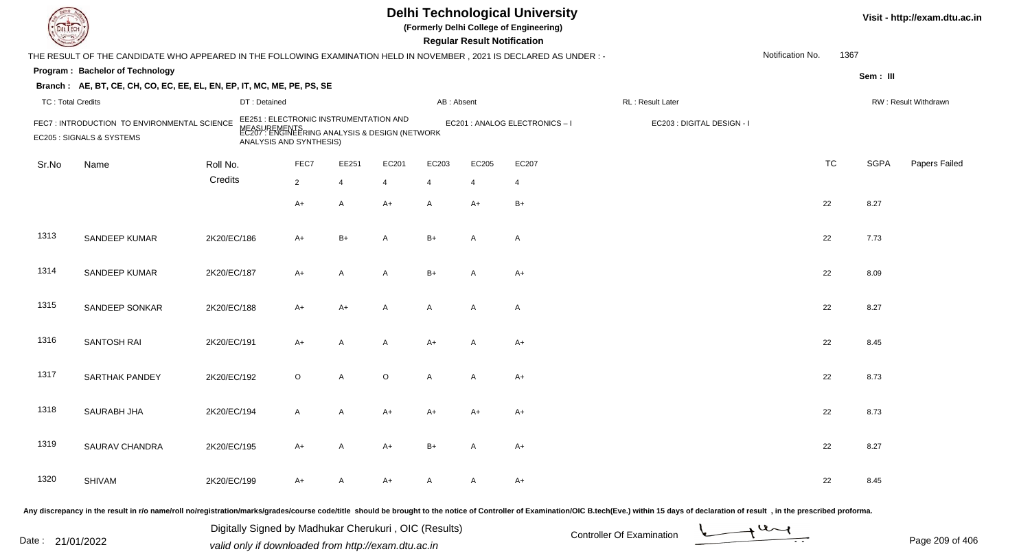| <b>DELTEC</b>            |                                                                                                                     |              |                                                                                                                                     |                |                |            | <b>Regular Result Notification</b> | <b>Delhi Technological University</b><br>(Formerly Delhi College of Engineering) |                                                                                                                                                                                                                                |                  |           |             | Visit - http://exam.dtu.ac.in |
|--------------------------|---------------------------------------------------------------------------------------------------------------------|--------------|-------------------------------------------------------------------------------------------------------------------------------------|----------------|----------------|------------|------------------------------------|----------------------------------------------------------------------------------|--------------------------------------------------------------------------------------------------------------------------------------------------------------------------------------------------------------------------------|------------------|-----------|-------------|-------------------------------|
|                          | THE RESULT OF THE CANDIDATE WHO APPEARED IN THE FOLLOWING EXAMINATION HELD IN NOVEMBER, 2021 IS DECLARED AS UNDER:- |              |                                                                                                                                     |                |                |            |                                    |                                                                                  |                                                                                                                                                                                                                                | Notification No. | 1367      |             |                               |
|                          | Program: Bachelor of Technology                                                                                     |              |                                                                                                                                     |                |                |            |                                    |                                                                                  |                                                                                                                                                                                                                                |                  |           | Sem: III    |                               |
|                          | Branch: AE, BT, CE, CH, CO, EC, EE, EL, EN, EP, IT, MC, ME, PE, PS, SE                                              |              |                                                                                                                                     |                |                |            |                                    |                                                                                  |                                                                                                                                                                                                                                |                  |           |             |                               |
| <b>TC: Total Credits</b> |                                                                                                                     | DT: Detained |                                                                                                                                     |                |                | AB: Absent |                                    |                                                                                  | RL : Result Later                                                                                                                                                                                                              |                  |           |             | RW: Result Withdrawn          |
|                          | FEC7: INTRODUCTION TO ENVIRONMENTAL SCIENCE<br>EC205 : SIGNALS & SYSTEMS                                            |              | EE251 : ELECTRONIC INSTRUMENTATION AND<br>MEASUREMENTS<br>EC207 : ENGINEERING ANALYSIS & DESIGN (NETWORK<br>ANALYSIS AND SYNTHESIS) |                |                |            |                                    | EC201 : ANALOG ELECTRONICS - I                                                   | EC203 : DIGITAL DESIGN - I                                                                                                                                                                                                     |                  |           |             |                               |
| Sr.No                    | Name                                                                                                                | Roll No.     | FEC7                                                                                                                                | EE251          | EC201          | EC203      | EC205                              | EC207                                                                            |                                                                                                                                                                                                                                |                  | <b>TC</b> | <b>SGPA</b> | Papers Failed                 |
|                          |                                                                                                                     | Credits      | $\overline{2}$                                                                                                                      | $\overline{4}$ | $\overline{4}$ | 4          |                                    | $\overline{4}$                                                                   |                                                                                                                                                                                                                                |                  |           |             |                               |
|                          |                                                                                                                     |              | $A+$                                                                                                                                | $\mathsf{A}$   | $A+$           | A          | A+                                 | $B+$                                                                             |                                                                                                                                                                                                                                |                  | 22        | 8.27        |                               |
| 1313                     | SANDEEP KUMAR                                                                                                       | 2K20/EC/186  | $A+$                                                                                                                                | $B+$           | A              | $B+$       | A                                  | $\mathsf{A}$                                                                     |                                                                                                                                                                                                                                |                  | 22        | 7.73        |                               |
| 1314                     | SANDEEP KUMAR                                                                                                       | 2K20/EC/187  | $A+$                                                                                                                                | A              | A              | $B+$       | $\overline{A}$                     | $A+$                                                                             |                                                                                                                                                                                                                                |                  | 22        | 8.09        |                               |
| 1315                     | SANDEEP SONKAR                                                                                                      | 2K20/EC/188  | $A+$                                                                                                                                | $A+$           | A              | A          | $\mathsf{A}$                       | $\mathsf{A}$                                                                     |                                                                                                                                                                                                                                |                  | 22        | 8.27        |                               |
| 1316                     | SANTOSH RAI                                                                                                         | 2K20/EC/191  | $A+$                                                                                                                                | $\overline{A}$ | A              | A+         | A                                  | $A+$                                                                             |                                                                                                                                                                                                                                |                  | 22        | 8.45        |                               |
| 1317                     | SARTHAK PANDEY                                                                                                      | 2K20/EC/192  | $\circ$                                                                                                                             | A              | $\circ$        | A          | A                                  | $A+$                                                                             |                                                                                                                                                                                                                                |                  | 22        | 8.73        |                               |
| 1318                     | <b>SAURABH JHA</b>                                                                                                  | 2K20/EC/194  | $\mathsf{A}$                                                                                                                        | A              | A+             | A+         | A+                                 | $A+$                                                                             |                                                                                                                                                                                                                                |                  | 22        | 8.73        |                               |
| 1319                     | SAURAV CHANDRA                                                                                                      | 2K20/EC/195  | A+                                                                                                                                  | $\mathsf{A}$   | A+             | B+         | A                                  | $A+$                                                                             |                                                                                                                                                                                                                                |                  | 22        | 8.27        |                               |
| 1320                     | SHIVAM                                                                                                              | 2K20/EC/199  | $A+$                                                                                                                                | A              | A+             | A          | A                                  | $A+$                                                                             |                                                                                                                                                                                                                                |                  | 22        | 8.45        |                               |
|                          |                                                                                                                     |              |                                                                                                                                     |                |                |            |                                    |                                                                                  | Any discrepancy in the result in r/o name/roll no/registration/marks/grades/course code/title should be brought to the notice of Controller of Examination/OIC B.tech(Eve.) within 15 days of declaration of result , in the p |                  |           |             |                               |

Date : 21/01/2022 Valid only if downloaded from http://exam.dtu.ac.in<br>valid only if downloaded from http://exam.dtu.ac.in Digitally Signed by Madhukar Cherukuri , OIC (Results)

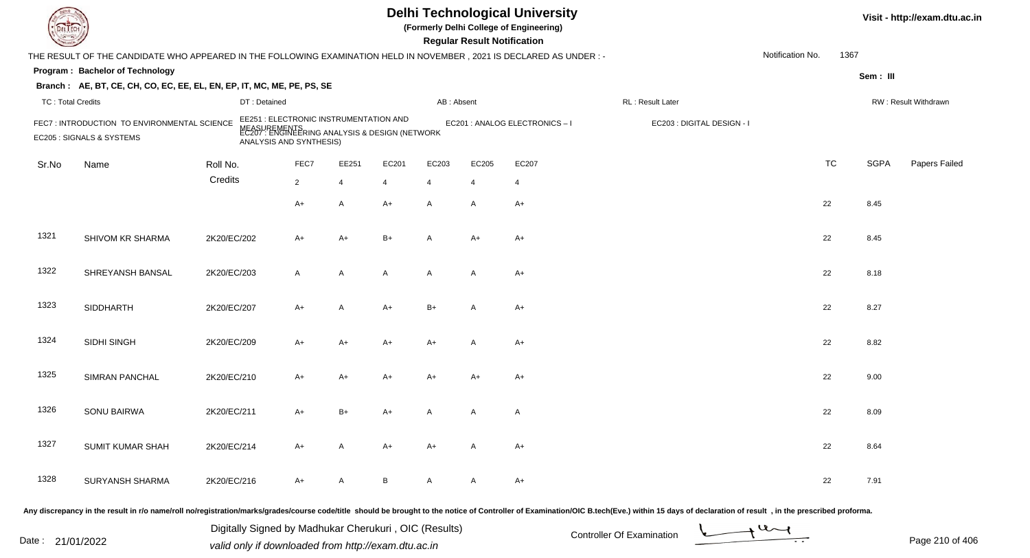| DEL TECI                 |                                                                                                                     |             |                                                                                                                                     |                |                |              | <b>Regular Result Notification</b> | <b>Delhi Technological University</b><br>(Formerly Delhi College of Engineering) |                                                                                                                                                                                                                                |                  |           |             | Visit - http://exam.dtu.ac.in |
|--------------------------|---------------------------------------------------------------------------------------------------------------------|-------------|-------------------------------------------------------------------------------------------------------------------------------------|----------------|----------------|--------------|------------------------------------|----------------------------------------------------------------------------------|--------------------------------------------------------------------------------------------------------------------------------------------------------------------------------------------------------------------------------|------------------|-----------|-------------|-------------------------------|
|                          | THE RESULT OF THE CANDIDATE WHO APPEARED IN THE FOLLOWING EXAMINATION HELD IN NOVEMBER, 2021 IS DECLARED AS UNDER:- |             |                                                                                                                                     |                |                |              |                                    |                                                                                  |                                                                                                                                                                                                                                | Notification No. | 1367      |             |                               |
|                          | Program: Bachelor of Technology                                                                                     |             |                                                                                                                                     |                |                |              |                                    |                                                                                  |                                                                                                                                                                                                                                |                  |           | Sem: III    |                               |
|                          | Branch: AE, BT, CE, CH, CO, EC, EE, EL, EN, EP, IT, MC, ME, PE, PS, SE                                              |             |                                                                                                                                     |                |                |              |                                    |                                                                                  |                                                                                                                                                                                                                                |                  |           |             |                               |
| <b>TC: Total Credits</b> |                                                                                                                     |             | DT: Detained                                                                                                                        |                |                | AB: Absent   |                                    |                                                                                  | RL: Result Later                                                                                                                                                                                                               |                  |           |             | RW: Result Withdrawn          |
|                          | FEC7: INTRODUCTION TO ENVIRONMENTAL SCIENCE<br>EC205 : SIGNALS & SYSTEMS                                            |             | EE251 : ELECTRONIC INSTRUMENTATION AND<br>MEASUREMENTS<br>EC207 : ENGINEERING ANALYSIS & DESIGN (NETWORK<br>ANALYSIS AND SYNTHESIS) |                |                |              |                                    | EC201 : ANALOG ELECTRONICS - I                                                   | EC203 : DIGITAL DESIGN - I                                                                                                                                                                                                     |                  |           |             |                               |
| Sr.No                    | Name                                                                                                                | Roll No.    | FEC7                                                                                                                                | EE251          | EC201          | EC203        | EC205                              | EC207                                                                            |                                                                                                                                                                                                                                |                  | <b>TC</b> | <b>SGPA</b> | Papers Failed                 |
|                          |                                                                                                                     | Credits     | $\overline{2}$                                                                                                                      | $\overline{4}$ | $\overline{4}$ | 4            | $\overline{4}$                     | $\overline{4}$                                                                   |                                                                                                                                                                                                                                |                  |           |             |                               |
|                          |                                                                                                                     |             | $A+$                                                                                                                                | $\mathsf{A}$   | $A+$           | A            | A                                  | $A+$                                                                             |                                                                                                                                                                                                                                |                  | 22        | 8.45        |                               |
| 1321                     | SHIVOM KR SHARMA                                                                                                    | 2K20/EC/202 | $A+$                                                                                                                                | $A+$           | $B+$           | $\mathsf{A}$ | $A+$                               | $A+$                                                                             |                                                                                                                                                                                                                                |                  | 22        | 8.45        |                               |
| 1322                     | SHREYANSH BANSAL                                                                                                    | 2K20/EC/203 | $\mathsf{A}$                                                                                                                        | $\mathsf{A}$   | A              | A            | A                                  | $A+$                                                                             |                                                                                                                                                                                                                                |                  | 22        | 8.18        |                               |
| 1323                     | <b>SIDDHARTH</b>                                                                                                    | 2K20/EC/207 | $A+$                                                                                                                                | $\mathsf{A}$   | $A+$           | $B+$         | $\overline{A}$                     | $A+$                                                                             |                                                                                                                                                                                                                                |                  | 22        | 8.27        |                               |
| 1324                     | SIDHI SINGH                                                                                                         | 2K20/EC/209 | $A+$                                                                                                                                | $A+$           | A+             | A+           | A                                  | $A+$                                                                             |                                                                                                                                                                                                                                |                  | 22        | 8.82        |                               |
| 1325                     | <b>SIMRAN PANCHAL</b>                                                                                               | 2K20/EC/210 | $A+$                                                                                                                                | $A+$           | A+             | A+           | $A+$                               | $A+$                                                                             |                                                                                                                                                                                                                                |                  | 22        | 9.00        |                               |
| 1326                     | SONU BAIRWA                                                                                                         | 2K20/EC/211 | A+                                                                                                                                  | $B+$           | A+             | A            | A                                  | A                                                                                |                                                                                                                                                                                                                                |                  | 22        | 8.09        |                               |
| 1327                     | SUMIT KUMAR SHAH                                                                                                    | 2K20/EC/214 | A+                                                                                                                                  | $\mathsf{A}$   | A+             | A+           | A                                  | $A+$                                                                             |                                                                                                                                                                                                                                |                  | 22        | 8.64        |                               |
| 1328                     | <b>SURYANSH SHARMA</b>                                                                                              | 2K20/EC/216 | $A+$                                                                                                                                | A              | B              | A            | A                                  | $A+$                                                                             |                                                                                                                                                                                                                                |                  | 22        | 7.91        |                               |
|                          |                                                                                                                     |             |                                                                                                                                     |                |                |              |                                    |                                                                                  | Any discrepancy in the result in r/o name/roll no/registration/marks/grades/course code/title should be brought to the notice of Controller of Examination/OIC B.tech(Eve.) within 15 days of declaration of result , in the p |                  |           |             |                               |

Date : 21/01/2022 Digital Digital of Microsofted Chemical Controller Of Examination Determination Page 210 of 40 Digitally Signed by Madhukar Cherukuri , OIC (Results)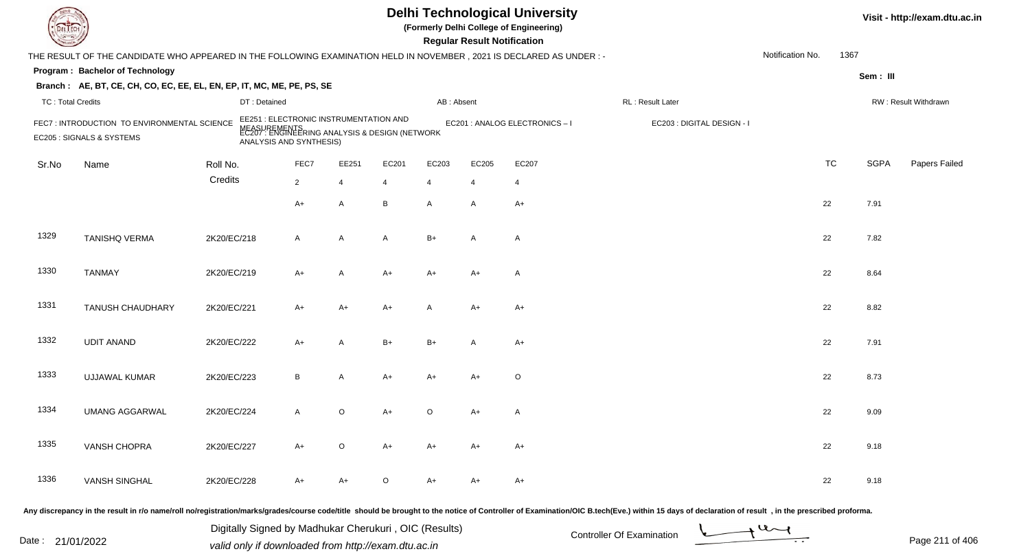| <b>DELTEC</b>            |                                                                                                                     |             |                                                                                                                                     |                |                |                |                         | <b>Regular Result Notification</b> | <b>Delhi Technological University</b><br>(Formerly Delhi College of Engineering) |                                                                                                                                                                                                                                |                  |           |             | Visit - http://exam.dtu.ac.in |
|--------------------------|---------------------------------------------------------------------------------------------------------------------|-------------|-------------------------------------------------------------------------------------------------------------------------------------|----------------|----------------|----------------|-------------------------|------------------------------------|----------------------------------------------------------------------------------|--------------------------------------------------------------------------------------------------------------------------------------------------------------------------------------------------------------------------------|------------------|-----------|-------------|-------------------------------|
|                          | THE RESULT OF THE CANDIDATE WHO APPEARED IN THE FOLLOWING EXAMINATION HELD IN NOVEMBER, 2021 IS DECLARED AS UNDER:- |             |                                                                                                                                     |                |                |                |                         |                                    |                                                                                  |                                                                                                                                                                                                                                | Notification No. | 1367      |             |                               |
|                          | Program: Bachelor of Technology                                                                                     |             |                                                                                                                                     |                |                |                |                         |                                    |                                                                                  |                                                                                                                                                                                                                                |                  |           | Sem: III    |                               |
|                          | Branch: AE, BT, CE, CH, CO, EC, EE, EL, EN, EP, IT, MC, ME, PE, PS, SE                                              |             |                                                                                                                                     |                |                |                |                         |                                    |                                                                                  |                                                                                                                                                                                                                                |                  |           |             |                               |
| <b>TC: Total Credits</b> |                                                                                                                     |             | DT: Detained                                                                                                                        |                |                |                | AB: Absent              |                                    |                                                                                  | RL : Result Later                                                                                                                                                                                                              |                  |           |             | RW: Result Withdrawn          |
|                          | FEC7: INTRODUCTION TO ENVIRONMENTAL SCIENCE<br>EC205 : SIGNALS & SYSTEMS                                            |             | EE251 : ELECTRONIC INSTRUMENTATION AND<br>MEASUREMENTS<br>EC207 : ENGINEERING ANALYSIS & DESIGN (NETWORK<br>ANALYSIS AND SYNTHESIS) |                |                |                |                         |                                    | EC201 : ANALOG ELECTRONICS - I                                                   | EC203 : DIGITAL DESIGN - I                                                                                                                                                                                                     |                  |           |             |                               |
| Sr.No                    | Name                                                                                                                | Roll No.    |                                                                                                                                     | FEC7           | EE251          | EC201          | EC203                   | EC205                              | EC207                                                                            |                                                                                                                                                                                                                                |                  | <b>TC</b> | <b>SGPA</b> | Papers Failed                 |
|                          |                                                                                                                     | Credits     |                                                                                                                                     | $\overline{2}$ | $\overline{4}$ | $\overline{4}$ | $\overline{\mathbf{4}}$ |                                    | $\overline{4}$                                                                   |                                                                                                                                                                                                                                |                  |           |             |                               |
|                          |                                                                                                                     |             |                                                                                                                                     | $A+$           | $\mathsf{A}$   | B              | A                       | A                                  | $A+$                                                                             |                                                                                                                                                                                                                                |                  | 22        | 7.91        |                               |
| 1329                     | <b>TANISHQ VERMA</b>                                                                                                | 2K20/EC/218 |                                                                                                                                     | $\mathsf{A}$   | $\mathsf{A}$   | A              | $B+$                    | $\overline{A}$                     | $\mathsf{A}$                                                                     |                                                                                                                                                                                                                                |                  | 22        | 7.82        |                               |
| 1330                     | <b>TANMAY</b>                                                                                                       | 2K20/EC/219 |                                                                                                                                     | $A+$           | $\mathsf{A}$   | $A+$           | A+                      | $A+$                               | $\mathsf{A}$                                                                     |                                                                                                                                                                                                                                |                  | 22        | 8.64        |                               |
| 1331                     | <b>TANUSH CHAUDHARY</b>                                                                                             | 2K20/EC/221 |                                                                                                                                     | $A+$           | $A+$           | $A+$           | A                       | A+                                 | $A+$                                                                             |                                                                                                                                                                                                                                |                  | 22        | 8.82        |                               |
| 1332                     | <b>UDIT ANAND</b>                                                                                                   | 2K20/EC/222 |                                                                                                                                     | $A+$           | $\overline{A}$ | $B+$           | $B+$                    | A                                  | $A+$                                                                             |                                                                                                                                                                                                                                |                  | 22        | 7.91        |                               |
| 1333                     | <b>UJJAWAL KUMAR</b>                                                                                                | 2K20/EC/223 |                                                                                                                                     | B              | Α              | A+             | A+                      | $A+$                               | $\circ$                                                                          |                                                                                                                                                                                                                                |                  | 22        | 8.73        |                               |
| 1334                     | <b>UMANG AGGARWAL</b>                                                                                               | 2K20/EC/224 |                                                                                                                                     | A              | $\circ$        | A+             | O                       | A+                                 | A                                                                                |                                                                                                                                                                                                                                |                  | 22        | 9.09        |                               |
| 1335                     | VANSH CHOPRA                                                                                                        | 2K20/EC/227 |                                                                                                                                     | $A+$           | $\circ$        | $A+$           | A+                      | A+                                 | A+                                                                               |                                                                                                                                                                                                                                |                  | 22        | 9.18        |                               |
| 1336                     | <b>VANSH SINGHAL</b>                                                                                                | 2K20/EC/228 |                                                                                                                                     | $A+$           | A+             | O              | A+                      | A+                                 | $A+$                                                                             |                                                                                                                                                                                                                                |                  | 22        | 9.18        |                               |
|                          |                                                                                                                     |             |                                                                                                                                     |                |                |                |                         |                                    |                                                                                  | Any discrepancy in the result in r/o name/roll no/registration/marks/grades/course code/title should be brought to the notice of Controller of Examination/OIC B.tech(Eve.) within 15 days of declaration of result , in the p |                  |           |             |                               |

Date : 21/01/2022 Digital Digital of Microsofted Chemical Controller Of Examination Determination Page 211 of 40 Digitally Signed by Madhukar Cherukuri , OIC (Results)

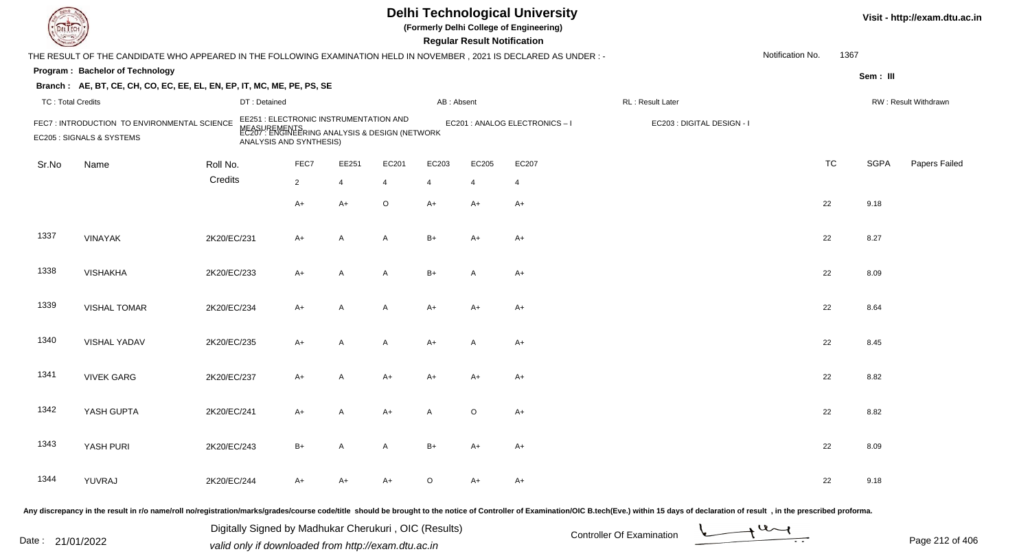| DEL TECI                 |                                                                                                                      |             |              |                                                                   |                |                                                                |                | <b>Regular Result Notification</b> | <b>Delhi Technological University</b><br>(Formerly Delhi College of Engineering) |                                                                                                                                                                                                                                |                  |           |             | Visit - http://exam.dtu.ac.in |
|--------------------------|----------------------------------------------------------------------------------------------------------------------|-------------|--------------|-------------------------------------------------------------------|----------------|----------------------------------------------------------------|----------------|------------------------------------|----------------------------------------------------------------------------------|--------------------------------------------------------------------------------------------------------------------------------------------------------------------------------------------------------------------------------|------------------|-----------|-------------|-------------------------------|
|                          | THE RESULT OF THE CANDIDATE WHO APPEARED IN THE FOLLOWING EXAMINATION HELD IN NOVEMBER, 2021 IS DECLARED AS UNDER :- |             |              |                                                                   |                |                                                                |                |                                    |                                                                                  |                                                                                                                                                                                                                                | Notification No. | 1367      |             |                               |
|                          | Program: Bachelor of Technology                                                                                      |             |              |                                                                   |                |                                                                |                |                                    |                                                                                  |                                                                                                                                                                                                                                |                  |           | Sem: III    |                               |
|                          | Branch: AE, BT, CE, CH, CO, EC, EE, EL, EN, EP, IT, MC, ME, PE, PS, SE                                               |             |              |                                                                   |                |                                                                |                |                                    |                                                                                  |                                                                                                                                                                                                                                |                  |           |             |                               |
| <b>TC: Total Credits</b> |                                                                                                                      |             | DT: Detained |                                                                   |                |                                                                | AB: Absent     |                                    |                                                                                  | RL : Result Later                                                                                                                                                                                                              |                  |           |             | RW: Result Withdrawn          |
|                          | FEC7: INTRODUCTION TO ENVIRONMENTAL SCIENCE<br>EC205 : SIGNALS & SYSTEMS                                             |             |              | EE251 : ELECTRONIC INSTRUMENTATION AND<br>ANALYSIS AND SYNTHESIS) |                | MEASUREMENTS<br>EC207 : ENGINEERING ANALYSIS & DESIGN (NETWORK |                |                                    | EC201 : ANALOG ELECTRONICS - I                                                   | EC203 : DIGITAL DESIGN - I                                                                                                                                                                                                     |                  |           |             |                               |
| Sr.No                    | Name                                                                                                                 | Roll No.    |              | FEC7                                                              | EE251          | EC201                                                          | EC203          | EC205                              | EC207                                                                            |                                                                                                                                                                                                                                |                  | <b>TC</b> | <b>SGPA</b> | Papers Failed                 |
|                          |                                                                                                                      | Credits     |              | $\overline{2}$                                                    | $\overline{4}$ | $\overline{4}$                                                 | $\overline{4}$ | $\overline{4}$                     | 4                                                                                |                                                                                                                                                                                                                                |                  |           |             |                               |
|                          |                                                                                                                      |             |              | $A+$                                                              | $A+$           | $\circ$                                                        | $A+$           | $A+$                               | $A+$                                                                             |                                                                                                                                                                                                                                |                  | 22        | 9.18        |                               |
| 1337                     | <b>VINAYAK</b>                                                                                                       | 2K20/EC/231 |              | $A+$                                                              | A              | A                                                              | $B+$           | $A+$                               | $A+$                                                                             |                                                                                                                                                                                                                                |                  | 22        | 8.27        |                               |
| 1338                     | <b>VISHAKHA</b>                                                                                                      | 2K20/EC/233 |              | $A+$                                                              | A              | A                                                              | $B+$           | $\overline{A}$                     | $A+$                                                                             |                                                                                                                                                                                                                                |                  | 22        | 8.09        |                               |
| 1339                     | <b>VISHAL TOMAR</b>                                                                                                  | 2K20/EC/234 |              | $A+$                                                              | $\overline{A}$ | A                                                              | $A+$           | $A+$                               | $A+$                                                                             |                                                                                                                                                                                                                                |                  | 22        | 8.64        |                               |
| 1340                     | VISHAL YADAV                                                                                                         | 2K20/EC/235 |              | $A+$                                                              | A              | A                                                              | A+             | A                                  | $A+$                                                                             |                                                                                                                                                                                                                                |                  | 22        | 8.45        |                               |
| 1341                     | <b>VIVEK GARG</b>                                                                                                    | 2K20/EC/237 |              | $A+$                                                              | A              | $A+$                                                           | A+             | A+                                 | $A+$                                                                             |                                                                                                                                                                                                                                |                  | 22        | 8.82        |                               |
| 1342                     | YASH GUPTA                                                                                                           | 2K20/EC/241 |              | $A+$                                                              | A              | A+                                                             | Α              | $\circ$                            | $A+$                                                                             |                                                                                                                                                                                                                                |                  | 22        | 8.82        |                               |
| 1343                     | YASH PURI                                                                                                            | 2K20/EC/243 |              | $B+$                                                              | A              | A                                                              | $B+$           | A+                                 | $A+$                                                                             |                                                                                                                                                                                                                                |                  | 22        | 8.09        |                               |
| 1344                     | YUVRAJ                                                                                                               | 2K20/EC/244 |              | $A+$                                                              | A+             | A+                                                             | $\circ$        | $A+$                               | $A+$                                                                             |                                                                                                                                                                                                                                |                  | 22        | 9.18        |                               |
|                          |                                                                                                                      |             |              |                                                                   |                |                                                                |                |                                    |                                                                                  | Any discrepancy in the result in r/o name/roll no/registration/marks/grades/course code/title should be brought to the notice of Controller of Examination/OIC B.tech(Eve.) within 15 days of declaration of result , in the p |                  |           |             |                               |

Date : 21/01/2022 Digital Digital of Microsofted Chemical Controller Of Examination Determination Page 212 of 40 Digitally Signed by Madhukar Cherukuri , OIC (Results)

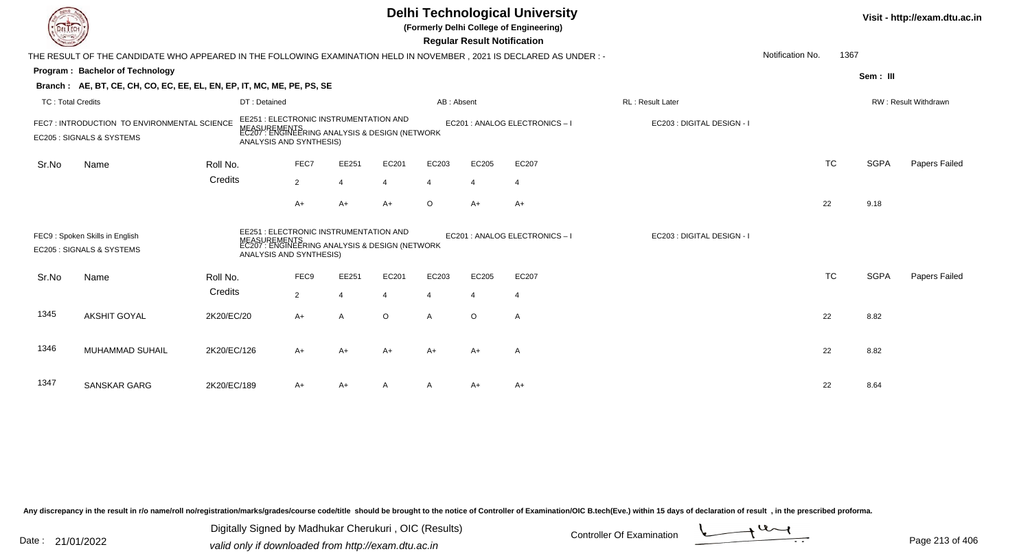| <b>LIECH</b>      |                                                                                                                        |             |                                                                                                                                     |                |                |                |                | <b>Regular Result Notification</b> | <b>Delhi Technological University</b><br>(Formerly Delhi College of Engineering) |                            |                  |           |             | Visit - http://exam.dtu.ac.in |
|-------------------|------------------------------------------------------------------------------------------------------------------------|-------------|-------------------------------------------------------------------------------------------------------------------------------------|----------------|----------------|----------------|----------------|------------------------------------|----------------------------------------------------------------------------------|----------------------------|------------------|-----------|-------------|-------------------------------|
|                   | THE RESULT OF THE CANDIDATE WHO APPEARED IN THE FOLLOWING EXAMINATION HELD IN NOVEMBER , 2021 IS DECLARED AS UNDER : - |             |                                                                                                                                     |                |                |                |                |                                    |                                                                                  |                            | Notification No. | 1367      |             |                               |
|                   | Program: Bachelor of Technology                                                                                        |             |                                                                                                                                     |                |                |                |                |                                    |                                                                                  |                            |                  |           | Sem: III    |                               |
|                   | Branch: AE, BT, CE, CH, CO, EC, EE, EL, EN, EP, IT, MC, ME, PE, PS, SE                                                 |             |                                                                                                                                     |                |                |                |                |                                    |                                                                                  |                            |                  |           |             |                               |
| TC: Total Credits |                                                                                                                        |             | DT: Detained                                                                                                                        |                |                |                | AB: Absent     |                                    |                                                                                  | <b>RL: Result Later</b>    |                  |           |             | RW: Result Withdrawn          |
|                   | FEC7: INTRODUCTION TO ENVIRONMENTAL SCIENCE<br>EC205 : SIGNALS & SYSTEMS                                               |             | EE251 : ELECTRONIC INSTRUMENTATION AND<br>MEASUREMENTS<br>EC207 : ENGINEERING ANALYSIS & DESIGN (NETWORK<br>ANALYSIS AND SYNTHESIS) |                |                |                |                |                                    | EC201 : ANALOG ELECTRONICS-I                                                     | EC203 : DIGITAL DESIGN - I |                  |           |             |                               |
| Sr.No             | Name                                                                                                                   | Roll No.    |                                                                                                                                     | FEC7           | EE251          | EC201          | EC203          | EC205                              | EC207                                                                            |                            |                  | <b>TC</b> | <b>SGPA</b> | Papers Failed                 |
|                   |                                                                                                                        | Credits     |                                                                                                                                     | $\overline{2}$ | $\overline{4}$ | $\overline{4}$ | 4              | $\overline{4}$                     | $\overline{4}$                                                                   |                            |                  |           |             |                               |
|                   |                                                                                                                        |             |                                                                                                                                     | A+             | $A+$           | $A+$           | $\circ$        | $A+$                               | $A+$                                                                             |                            |                  | 22        | 9.18        |                               |
|                   | FEC9: Spoken Skills in English<br>EC205 : SIGNALS & SYSTEMS                                                            |             | EE251 : ELECTRONIC INSTRUMENTATION AND<br>MEASUREMENTS<br>EC207 : ENGINEERING ANALYSIS & DESIGN (NETWORK<br>ANALYSIS AND SYNTHESIS) |                |                |                |                |                                    | EC201 : ANALOG ELECTRONICS - I                                                   | EC203 : DIGITAL DESIGN - I |                  |           |             |                               |
| Sr.No             | Name                                                                                                                   | Roll No.    |                                                                                                                                     | FEC9           | EE251          | EC201          | EC203          | EC205                              | EC207                                                                            |                            |                  | <b>TC</b> | <b>SGPA</b> | Papers Failed                 |
|                   |                                                                                                                        | Credits     |                                                                                                                                     | $\overline{2}$ | 4              |                | $\overline{4}$ | $\overline{4}$                     | $\overline{4}$                                                                   |                            |                  |           |             |                               |
| 1345              | <b>AKSHIT GOYAL</b>                                                                                                    | 2K20/EC/20  |                                                                                                                                     | $A+$           | $\overline{A}$ | $\circ$        | $\mathsf{A}$   | $\circ$                            | A                                                                                |                            |                  | 22        | 8.82        |                               |
| 1346              | <b>MUHAMMAD SUHAIL</b>                                                                                                 | 2K20/EC/126 |                                                                                                                                     | A+             | A+             | $A+$           | A+             | A+                                 | A                                                                                |                            |                  | 22        | 8.82        |                               |
| 1347              | SANSKAR GARG                                                                                                           | 2K20/EC/189 |                                                                                                                                     | A+             | $A+$           |                |                | A+                                 | $A+$                                                                             |                            |                  | 22        | 8.64        |                               |

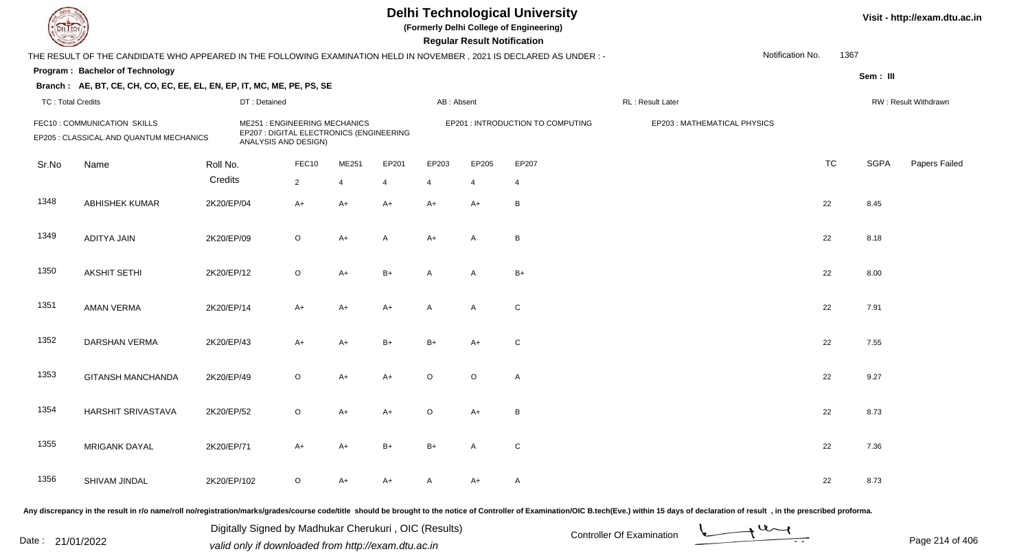## **Delhi Technological University**

**(Formerly Delhi College of Engineering)**

**Regular Regular Results Notification** 

| <b>Courses A</b>                                                        |                                                                                                                     |             |                                                                                                         |  |                         |                |            | <b>Regular Result Notification</b> |                                   |                  |                              |  |                  |           |             |                      |
|-------------------------------------------------------------------------|---------------------------------------------------------------------------------------------------------------------|-------------|---------------------------------------------------------------------------------------------------------|--|-------------------------|----------------|------------|------------------------------------|-----------------------------------|------------------|------------------------------|--|------------------|-----------|-------------|----------------------|
|                                                                         | THE RESULT OF THE CANDIDATE WHO APPEARED IN THE FOLLOWING EXAMINATION HELD IN NOVEMBER, 2021 IS DECLARED AS UNDER:- |             |                                                                                                         |  |                         |                |            |                                    |                                   |                  |                              |  | Notification No. | 1367      |             |                      |
|                                                                         | Program: Bachelor of Technology                                                                                     |             |                                                                                                         |  |                         |                |            |                                    |                                   |                  |                              |  |                  |           | Sem: III    |                      |
|                                                                         | Branch: AE, BT, CE, CH, CO, EC, EE, EL, EN, EP, IT, MC, ME, PE, PS, SE                                              |             |                                                                                                         |  |                         |                |            |                                    |                                   |                  |                              |  |                  |           |             |                      |
|                                                                         | <b>TC: Total Credits</b><br>DT: Detained                                                                            |             |                                                                                                         |  |                         |                | AB: Absent |                                    |                                   | RL: Result Later |                              |  |                  |           |             | RW: Result Withdrawn |
| FEC10 : COMMUNICATION SKILLS<br>EP205 : CLASSICAL AND QUANTUM MECHANICS |                                                                                                                     |             | <b>ME251: ENGINEERING MECHANICS</b><br>EP207 : DIGITAL ELECTRONICS (ENGINEERING<br>ANALYSIS AND DESIGN) |  |                         |                |            |                                    | EP201 : INTRODUCTION TO COMPUTING |                  | EP203 : MATHEMATICAL PHYSICS |  |                  |           |             |                      |
| Sr.No                                                                   | Name                                                                                                                | Roll No.    | FEC10                                                                                                   |  | ME251                   | EP201          | EP203      | EP205                              | EP207                             |                  |                              |  |                  | <b>TC</b> | <b>SGPA</b> | Papers Failed        |
|                                                                         |                                                                                                                     | Credits     | $\overline{2}$                                                                                          |  | $\overline{\mathbf{A}}$ | $\overline{4}$ | 4          | $\overline{4}$                     | $\overline{4}$                    |                  |                              |  |                  |           |             |                      |
| 1348                                                                    | <b>ABHISHEK KUMAR</b>                                                                                               | 2K20/EP/04  | $A+$                                                                                                    |  | $A+$                    | $A+$           | $A+$       | $A+$                               | B                                 |                  |                              |  |                  | 22        | 8.45        |                      |
| 1349                                                                    | ADITYA JAIN                                                                                                         | 2K20/EP/09  | $\mathsf O$                                                                                             |  | $A+$                    | A              | $A+$       | A                                  | В                                 |                  |                              |  |                  | 22        | 8.18        |                      |
| 1350                                                                    | <b>AKSHIT SETHI</b>                                                                                                 | 2K20/EP/12  | $\circ$                                                                                                 |  | $A+$                    | $B+$           | A          | A                                  | $B+$                              |                  |                              |  |                  | 22        | 8.00        |                      |
| 1351                                                                    | <b>AMAN VERMA</b>                                                                                                   | 2K20/EP/14  | $A+$                                                                                                    |  | $A+$                    | $A+$           | A          | A                                  | $\mathbf C$                       |                  |                              |  |                  | 22        | 7.91        |                      |
| 1352                                                                    | <b>DARSHAN VERMA</b>                                                                                                | 2K20/EP/43  | $A+$                                                                                                    |  | $A+$                    | $B+$           | $B+$       | $A+$                               | C                                 |                  |                              |  |                  | 22        | 7.55        |                      |
| 1353                                                                    | <b>GITANSH MANCHANDA</b>                                                                                            | 2K20/EP/49  | $\circ$                                                                                                 |  | $A+$                    | $A+$           | $\circ$    | $\circ$                            | A                                 |                  |                              |  |                  | 22        | 9.27        |                      |
| 1354                                                                    | HARSHIT SRIVASTAVA                                                                                                  | 2K20/EP/52  | $\circ$                                                                                                 |  | A+                      | $A+$           | $\circ$    | $A+$                               | B                                 |                  |                              |  |                  | 22        | 8.73        |                      |
| 1355                                                                    | <b>MRIGANK DAYAL</b>                                                                                                | 2K20/EP/71  | $A+$                                                                                                    |  | $A+$                    | $B+$           | $B+$       | A                                  | C                                 |                  |                              |  |                  | 22        | 7.36        |                      |
| 1356                                                                    | SHIVAM JINDAL                                                                                                       | 2K20/EP/102 | $\circ$                                                                                                 |  | A+                      | A+             | A          | $A+$                               | Α                                 |                  |                              |  |                  | 22        | 8.73        |                      |
|                                                                         |                                                                                                                     |             |                                                                                                         |  |                         |                |            |                                    |                                   |                  |                              |  |                  |           |             |                      |

Any discrepancy in the result in r/o name/roll no/registration/marks/grades/course code/title should be brought to the notice of Controller of Examination/OIC B.tech(Eve.) within 15 days of declaration of result, in the pr

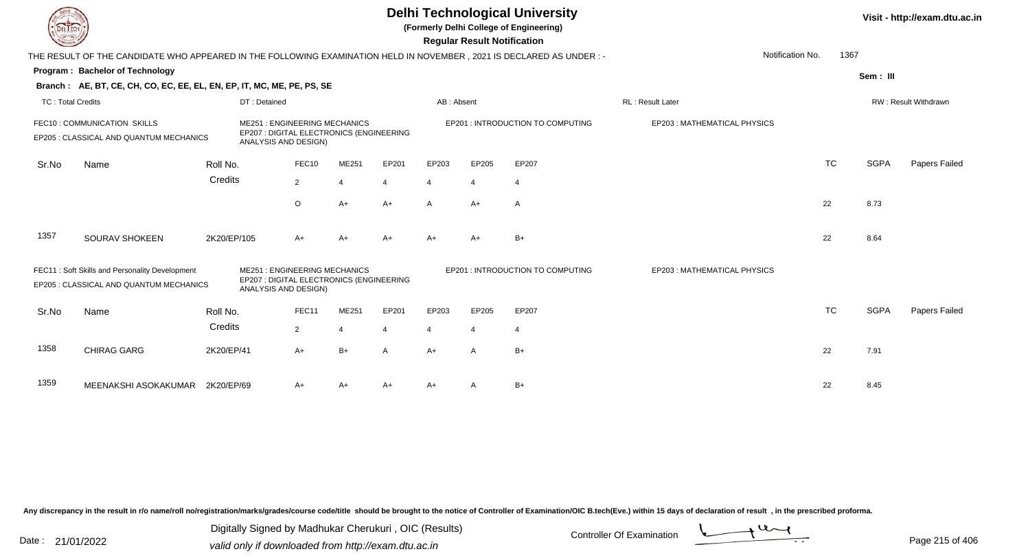|                                                                        |                                                                                                                      |             |                                                                                                         |                |                         |       |                                   | <b>Regular Result Notification</b> | <b>Delhi Technological University</b><br>(Formerly Delhi College of Engineering) |                                          |           |             | Visit - http://exam.dtu.ac.in |
|------------------------------------------------------------------------|----------------------------------------------------------------------------------------------------------------------|-------------|---------------------------------------------------------------------------------------------------------|----------------|-------------------------|-------|-----------------------------------|------------------------------------|----------------------------------------------------------------------------------|------------------------------------------|-----------|-------------|-------------------------------|
|                                                                        | THE RESULT OF THE CANDIDATE WHO APPEARED IN THE FOLLOWING EXAMINATION HELD IN NOVEMBER, 2021 IS DECLARED AS UNDER :- |             |                                                                                                         |                |                         |       |                                   |                                    |                                                                                  | Notification No.                         | 1367      |             |                               |
|                                                                        | <b>Program: Bachelor of Technology</b>                                                                               |             |                                                                                                         |                |                         |       |                                   |                                    |                                                                                  |                                          |           | Sem: III    |                               |
|                                                                        | Branch: AE, BT, CE, CH, CO, EC, EE, EL, EN, EP, IT, MC, ME, PE, PS, SE                                               |             |                                                                                                         |                |                         |       |                                   |                                    |                                                                                  |                                          |           |             |                               |
| <b>TC: Total Credits</b>                                               |                                                                                                                      |             | DT: Detained                                                                                            |                |                         |       | AB: Absent                        |                                    |                                                                                  | RL: Result Later<br>RW: Result Withdrawn |           |             |                               |
| FEC10: COMMUNICATION SKILLS<br>EP205 : CLASSICAL AND QUANTUM MECHANICS |                                                                                                                      |             | <b>ME251: ENGINEERING MECHANICS</b><br>EP207 : DIGITAL ELECTRONICS (ENGINEERING<br>ANALYSIS AND DESIGN) |                |                         |       | EP201 : INTRODUCTION TO COMPUTING | EP203: MATHEMATICAL PHYSICS        |                                                                                  |                                          |           |             |                               |
| Sr.No                                                                  | Name                                                                                                                 | Roll No.    |                                                                                                         | FEC10          | ME251                   | EP201 | EP203                             | EP205                              | EP207                                                                            |                                          | <b>TC</b> | <b>SGPA</b> | Papers Failed                 |
|                                                                        |                                                                                                                      | Credits     |                                                                                                         | $\overline{2}$ | 4                       | 4     | $\overline{4}$                    | 4                                  | $\overline{4}$                                                                   |                                          |           |             |                               |
|                                                                        |                                                                                                                      |             |                                                                                                         | $\circ$        | $A+$                    | $A+$  | $\mathsf{A}$                      | $A+$                               | A                                                                                |                                          | 22        | 8.73        |                               |
| 1357                                                                   | <b>SOURAV SHOKEEN</b>                                                                                                | 2K20/EP/105 |                                                                                                         | A+             | A+                      | A+    | $A+$                              | $A+$                               | $B+$                                                                             |                                          | 22        | 8.64        |                               |
|                                                                        | FEC11: Soft Skills and Personality Development<br>EP205 : CLASSICAL AND QUANTUM MECHANICS                            |             | <b>ME251: ENGINEERING MECHANICS</b><br>EP207 : DIGITAL ELECTRONICS (ENGINEERING<br>ANALYSIS AND DESIGN) |                |                         |       |                                   |                                    | EP201 : INTRODUCTION TO COMPUTING                                                | EP203: MATHEMATICAL PHYSICS              |           |             |                               |
| Sr.No                                                                  | Name                                                                                                                 | Roll No.    |                                                                                                         | FEC11          | ME251                   | EP201 | EP203                             | EP205                              | EP207                                                                            |                                          | <b>TC</b> | <b>SGPA</b> | Papers Failed                 |
|                                                                        |                                                                                                                      | Credits     |                                                                                                         | $\overline{2}$ | $\overline{\mathbf{A}}$ |       | $\overline{4}$                    | 4                                  | $\overline{4}$                                                                   |                                          |           |             |                               |
| 1358                                                                   | <b>CHIRAG GARG</b>                                                                                                   | 2K20/EP/41  |                                                                                                         | $A+$           | $B+$                    | A     | $A+$                              | $\mathsf{A}$                       | $B+$                                                                             |                                          | 22        | 7.91        |                               |
| 1359                                                                   | MEENAKSHI ASOKAKUMAR 2K20/EP/69                                                                                      |             |                                                                                                         | A+             | A+                      | A+    | A+                                |                                    | $B+$                                                                             |                                          | 22        | 8.45        |                               |

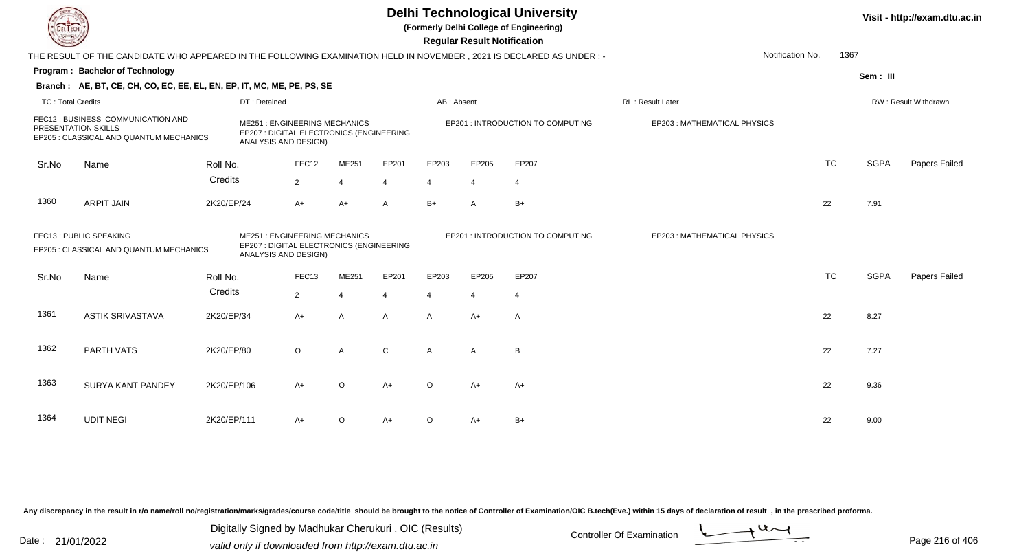|                                                                                                      |                                                                                                                        |              |                                                                                                         |                |                          |                | <b>Regular Result Notification</b> | <b>Delhi Technological University</b><br>(Formerly Delhi College of Engineering) |                             |           |                      | Visit - http://exam.dtu.ac.in |
|------------------------------------------------------------------------------------------------------|------------------------------------------------------------------------------------------------------------------------|--------------|---------------------------------------------------------------------------------------------------------|----------------|--------------------------|----------------|------------------------------------|----------------------------------------------------------------------------------|-----------------------------|-----------|----------------------|-------------------------------|
|                                                                                                      | THE RESULT OF THE CANDIDATE WHO APPEARED IN THE FOLLOWING EXAMINATION HELD IN NOVEMBER , 2021 IS DECLARED AS UNDER : - |              |                                                                                                         |                |                          |                |                                    |                                                                                  | Notification No.            | 1367      |                      |                               |
|                                                                                                      | Program: Bachelor of Technology                                                                                        |              |                                                                                                         |                |                          |                |                                    |                                                                                  |                             |           | Sem: III             |                               |
|                                                                                                      | Branch: AE, BT, CE, CH, CO, EC, EE, EL, EN, EP, IT, MC, ME, PE, PS, SE                                                 |              |                                                                                                         |                |                          |                |                                    |                                                                                  |                             |           |                      |                               |
| <b>TC: Total Credits</b>                                                                             |                                                                                                                        | DT: Detained |                                                                                                         |                | AB: Absent               |                |                                    | RL: Result Later                                                                 |                             |           | RW: Result Withdrawn |                               |
| FEC12 : BUSINESS COMMUNICATION AND<br>PRESENTATION SKILLS<br>EP205 : CLASSICAL AND QUANTUM MECHANICS |                                                                                                                        |              | <b>ME251: ENGINEERING MECHANICS</b><br>EP207 : DIGITAL ELECTRONICS (ENGINEERING<br>ANALYSIS AND DESIGN) |                |                          |                |                                    | EP201 : INTRODUCTION TO COMPUTING                                                | EP203: MATHEMATICAL PHYSICS |           |                      |                               |
| Sr.No                                                                                                | Name                                                                                                                   | Roll No.     | FEC12                                                                                                   | ME251          | EP201                    | EP203          | EP205                              | EP207                                                                            |                             | <b>TC</b> | <b>SGPA</b>          | Papers Failed                 |
|                                                                                                      |                                                                                                                        | Credits      | 2                                                                                                       | $\overline{4}$ | $\boldsymbol{\varDelta}$ | 4              | $\overline{4}$                     | $\overline{4}$                                                                   |                             |           |                      |                               |
| 1360                                                                                                 | <b>ARPIT JAIN</b>                                                                                                      | 2K20/EP/24   | $A+$                                                                                                    | $A+$           | A                        | $B+$           | $\mathsf{A}$                       | $B+$                                                                             |                             | 22        | 7.91                 |                               |
|                                                                                                      | FEC13 : PUBLIC SPEAKING<br>EP205 : CLASSICAL AND QUANTUM MECHANICS                                                     |              | <b>ME251: ENGINEERING MECHANICS</b><br>EP207 : DIGITAL ELECTRONICS (ENGINEERING<br>ANALYSIS AND DESIGN) |                |                          |                |                                    | EP201 : INTRODUCTION TO COMPUTING                                                | EP203: MATHEMATICAL PHYSICS |           |                      |                               |
| Sr.No                                                                                                | Name                                                                                                                   | Roll No.     | FEC13                                                                                                   | ME251          | EP201                    | EP203          | EP205                              | EP207                                                                            |                             | <b>TC</b> | <b>SGPA</b>          | Papers Failed                 |
|                                                                                                      |                                                                                                                        | Credits      | $\overline{2}$                                                                                          | $\overline{4}$ | $\overline{4}$           | $\overline{4}$ | $\overline{4}$                     | $\overline{4}$                                                                   |                             |           |                      |                               |
| 1361                                                                                                 | <b>ASTIK SRIVASTAVA</b>                                                                                                | 2K20/EP/34   | A+                                                                                                      | $\overline{A}$ | A                        | A              | $A+$                               | A                                                                                |                             | 22        | 8.27                 |                               |
| 1362                                                                                                 | PARTH VATS                                                                                                             | 2K20/EP/80   | $\circ$                                                                                                 | $\overline{A}$ | $\mathsf C$              | $\mathsf{A}$   | A                                  | $\overline{B}$                                                                   |                             | 22        | 7.27                 |                               |
| 1363                                                                                                 | <b>SURYA KANT PANDEY</b>                                                                                               | 2K20/EP/106  | $A+$                                                                                                    | $\circ$        | $A+$                     | $\Omega$       | $A+$                               | $A+$                                                                             |                             | 22        | 9.36                 |                               |
| 1364                                                                                                 | <b>UDIT NEGI</b>                                                                                                       | 2K20/EP/111  | A+                                                                                                      | $\circ$        | $A+$                     | $\Omega$       | A+                                 | $B+$                                                                             |                             | 22        | 9.00                 |                               |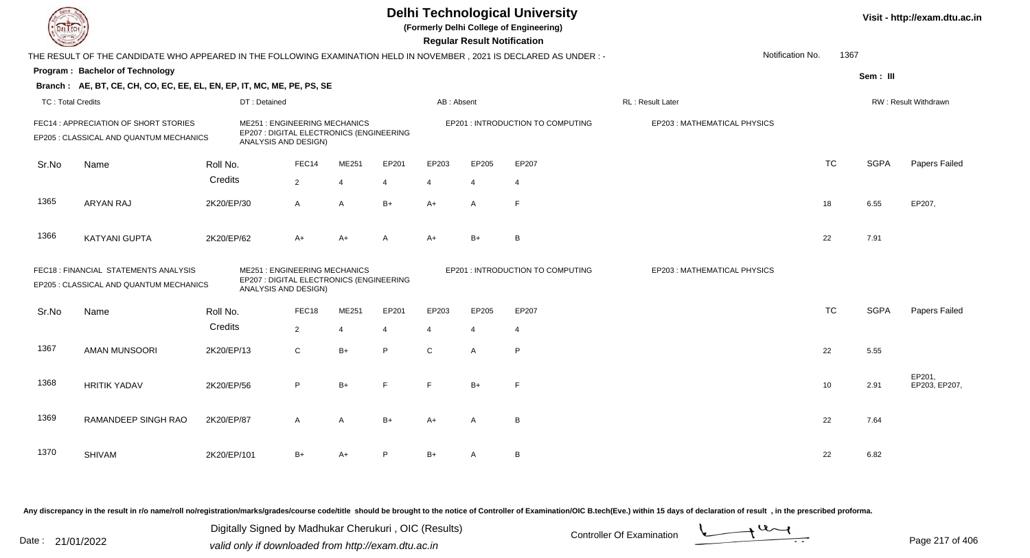**(Formerly Delhi College of Engineering)**

 **Regular Result Notification**

|                          | THE RESULT OF THE CANDIDATE WHO APPEARED IN THE FOLLOWING EXAMINATION HELD IN NOVEMBER, 2021 IS DECLARED AS UNDER :- |             |                                                                                                         |                |                |             |                |                                   | Notification No.            | 1367      |             |                         |
|--------------------------|----------------------------------------------------------------------------------------------------------------------|-------------|---------------------------------------------------------------------------------------------------------|----------------|----------------|-------------|----------------|-----------------------------------|-----------------------------|-----------|-------------|-------------------------|
|                          | Program: Bachelor of Technology                                                                                      |             |                                                                                                         |                |                |             |                |                                   |                             |           | Sem: III    |                         |
|                          | Branch: AE, BT, CE, CH, CO, EC, EE, EL, EN, EP, IT, MC, ME, PE, PS, SE                                               |             |                                                                                                         |                |                |             |                |                                   |                             |           |             |                         |
| <b>TC: Total Credits</b> |                                                                                                                      |             | DT: Detained                                                                                            |                |                | AB: Absent  |                |                                   | RL : Result Later           |           |             | RW: Result Withdrawn    |
|                          | FEC14 : APPRECIATION OF SHORT STORIES<br>EP205 : CLASSICAL AND QUANTUM MECHANICS                                     |             | <b>ME251: ENGINEERING MECHANICS</b><br>EP207 : DIGITAL ELECTRONICS (ENGINEERING<br>ANALYSIS AND DESIGN) |                |                |             |                | EP201 : INTRODUCTION TO COMPUTING | EP203: MATHEMATICAL PHYSICS |           |             |                         |
| Sr.No                    | Name                                                                                                                 | Roll No.    | FEC14                                                                                                   | ME251          | EP201          | EP203       | EP205          | EP207                             |                             | <b>TC</b> | <b>SGPA</b> | Papers Failed           |
|                          |                                                                                                                      | Credits     | $\overline{2}$                                                                                          | 4              | $\overline{4}$ | 4           | 4              | $\overline{4}$                    |                             |           |             |                         |
| 1365                     | <b>ARYAN RAJ</b>                                                                                                     | 2K20/EP/30  | $\mathsf{A}$                                                                                            | $\overline{A}$ | $B+$           | A+          | A              | F                                 |                             | 18        | 6.55        | EP207,                  |
| 1366                     | <b>KATYANI GUPTA</b>                                                                                                 | 2K20/EP/62  | $A+$                                                                                                    | $A+$           | Α              | A+          | $B+$           | B                                 |                             | 22        | 7.91        |                         |
|                          | FEC18 : FINANCIAL STATEMENTS ANALYSIS<br>EP205 : CLASSICAL AND QUANTUM MECHANICS                                     |             | <b>ME251: ENGINEERING MECHANICS</b><br>EP207 : DIGITAL ELECTRONICS (ENGINEERING<br>ANALYSIS AND DESIGN) |                |                |             |                | EP201 : INTRODUCTION TO COMPUTING | EP203: MATHEMATICAL PHYSICS |           |             |                         |
| Sr.No                    | Name                                                                                                                 | Roll No.    | FEC18                                                                                                   | ME251          | EP201          | EP203       | EP205          | EP207                             |                             | <b>TC</b> | <b>SGPA</b> | Papers Failed           |
|                          |                                                                                                                      | Credits     | $\overline{2}$                                                                                          | 4              | $\overline{4}$ | 4           | $\overline{4}$ | $\overline{4}$                    |                             |           |             |                         |
| 1367                     | <b>AMAN MUNSOORI</b>                                                                                                 | 2K20/EP/13  | $\mathsf{C}$                                                                                            | $B+$           | P              | $\mathbf C$ | A              | P                                 |                             | 22        | 5.55        |                         |
| 1368                     | <b>HRITIK YADAV</b>                                                                                                  | 2K20/EP/56  | P                                                                                                       | $B+$           | F              | F.          | $B+$           | E                                 |                             | 10        | 2.91        | EP201,<br>EP203, EP207, |
| 1369                     | RAMANDEEP SINGH RAO                                                                                                  | 2K20/EP/87  | A                                                                                                       | $\overline{A}$ | $B+$           | A+          | A              | B                                 |                             | 22        | 7.64        |                         |
| 1370                     | <b>SHIVAM</b>                                                                                                        | 2K20/EP/101 | $B+$                                                                                                    | A+             | P              | B+          | A              | В                                 |                             | 22        | 6.82        |                         |

Any discrepancy in the result in r/o name/roll no/registration/marks/grades/course code/title should be brought to the notice of Controller of Examination/OIC B.tech(Eve.) within 15 days of declaration of result, in the pr

Date : 21/01/2022 Digital Digital of Microsofted Chemical Controller Of Examination Determination Page 217 of 40 Digitally Signed by Madhukar Cherukuri , OIC (Results)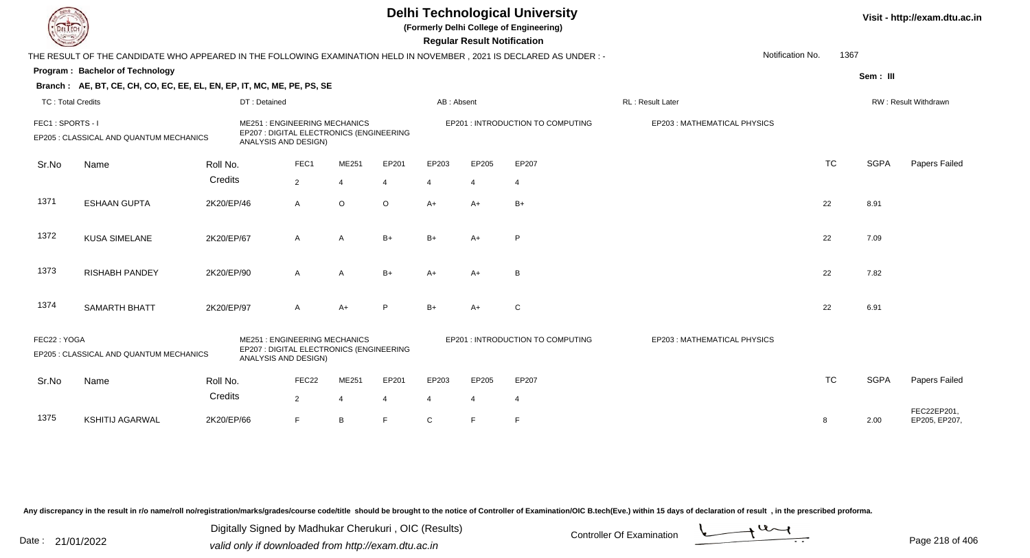**(Formerly Delhi College of Engineering)**

 **Regular Result Notification**

| <b>Course Le</b>  |                                                                                                                      |            |                                                                                                         |                |                |                |                          | Regular Result Notification |                                   |                             |                  |           |             |                              |
|-------------------|----------------------------------------------------------------------------------------------------------------------|------------|---------------------------------------------------------------------------------------------------------|----------------|----------------|----------------|--------------------------|-----------------------------|-----------------------------------|-----------------------------|------------------|-----------|-------------|------------------------------|
|                   | THE RESULT OF THE CANDIDATE WHO APPEARED IN THE FOLLOWING EXAMINATION HELD IN NOVEMBER, 2021 IS DECLARED AS UNDER :- |            |                                                                                                         |                |                |                |                          |                             |                                   |                             | Notification No. | 1367      |             |                              |
|                   | Program: Bachelor of Technology                                                                                      |            |                                                                                                         |                |                |                |                          |                             |                                   |                             |                  |           | Sem: III    |                              |
|                   | Branch: AE, BT, CE, CH, CO, EC, EE, EL, EN, EP, IT, MC, ME, PE, PS, SE                                               |            |                                                                                                         |                |                |                |                          |                             |                                   |                             |                  |           |             |                              |
| TC: Total Credits |                                                                                                                      |            | DT: Detained                                                                                            |                |                |                | AB: Absent               |                             |                                   | <b>RL: Result Later</b>     |                  |           |             | RW: Result Withdrawn         |
| FEC1: SPORTS - I  | EP205 : CLASSICAL AND QUANTUM MECHANICS                                                                              |            | <b>ME251: ENGINEERING MECHANICS</b><br>EP207 : DIGITAL ELECTRONICS (ENGINEERING<br>ANALYSIS AND DESIGN) |                |                |                |                          |                             | EP201 : INTRODUCTION TO COMPUTING | EP203: MATHEMATICAL PHYSICS |                  |           |             |                              |
| Sr.No             | Name                                                                                                                 | Roll No.   |                                                                                                         | FEC1           | ME251          | EP201          | EP203                    | EP205                       | EP207                             |                             |                  | <b>TC</b> | <b>SGPA</b> | Papers Failed                |
|                   |                                                                                                                      | Credits    |                                                                                                         | $\overline{2}$ | $\Delta$       | $\overline{4}$ | $\boldsymbol{\varDelta}$ | $\overline{4}$              | 4                                 |                             |                  |           |             |                              |
| 1371              | <b>ESHAAN GUPTA</b>                                                                                                  | 2K20/EP/46 |                                                                                                         | $\mathsf{A}$   | $\circ$        | $\circ$        | $A+$                     | $A+$                        | $B+$                              |                             |                  | 22        | 8.91        |                              |
| 1372              | <b>KUSA SIMELANE</b>                                                                                                 | 2K20/EP/67 |                                                                                                         | $\mathsf{A}$   | $\mathsf{A}$   | $B+$           | $B+$                     | $A+$                        | P                                 |                             |                  | 22        | 7.09        |                              |
| 1373              | <b>RISHABH PANDEY</b>                                                                                                | 2K20/EP/90 |                                                                                                         | A              | A              | $B+$           | $A+$                     | $A+$                        | B                                 |                             |                  | 22        | 7.82        |                              |
| 1374              | <b>SAMARTH BHATT</b>                                                                                                 | 2K20/EP/97 |                                                                                                         | $\mathsf{A}$   | $A+$           | P              | $B+$                     | $A+$                        | C                                 |                             |                  | 22        | 6.91        |                              |
| FEC22: YOGA       | EP205 : CLASSICAL AND QUANTUM MECHANICS                                                                              |            | <b>ME251: ENGINEERING MECHANICS</b><br>EP207 : DIGITAL ELECTRONICS (ENGINEERING<br>ANALYSIS AND DESIGN) |                |                |                |                          |                             | EP201 : INTRODUCTION TO COMPUTING | EP203: MATHEMATICAL PHYSICS |                  |           |             |                              |
| Sr.No             | Name                                                                                                                 | Roll No.   |                                                                                                         | FEC22          | ME251          | EP201          | EP203                    | EP205                       | EP207                             |                             |                  | <b>TC</b> | <b>SGPA</b> | Papers Failed                |
|                   |                                                                                                                      | Credits    |                                                                                                         | $\overline{2}$ | $\overline{4}$ | $\overline{4}$ | 4                        | $\overline{4}$              | 4                                 |                             |                  |           |             |                              |
| 1375              | <b>KSHITIJ AGARWAL</b>                                                                                               | 2K20/EP/66 |                                                                                                         | F.             | B              | F.             | $\mathsf C$              | E                           | F                                 |                             |                  | 8         | 2.00        | FEC22EP201,<br>EP205, EP207, |

Any discrepancy in the result in r/o name/roll no/registration/marks/grades/course code/title should be brought to the notice of Controller of Examination/OIC B.tech(Eve.) within 15 days of declaration of result, in the pr

Date : 21/01/2022 Digital Digital of Microsofted Chemical Controller Of Examination Determination Page 218 of 40 Digitally Signed by Madhukar Cherukuri , OIC (Results)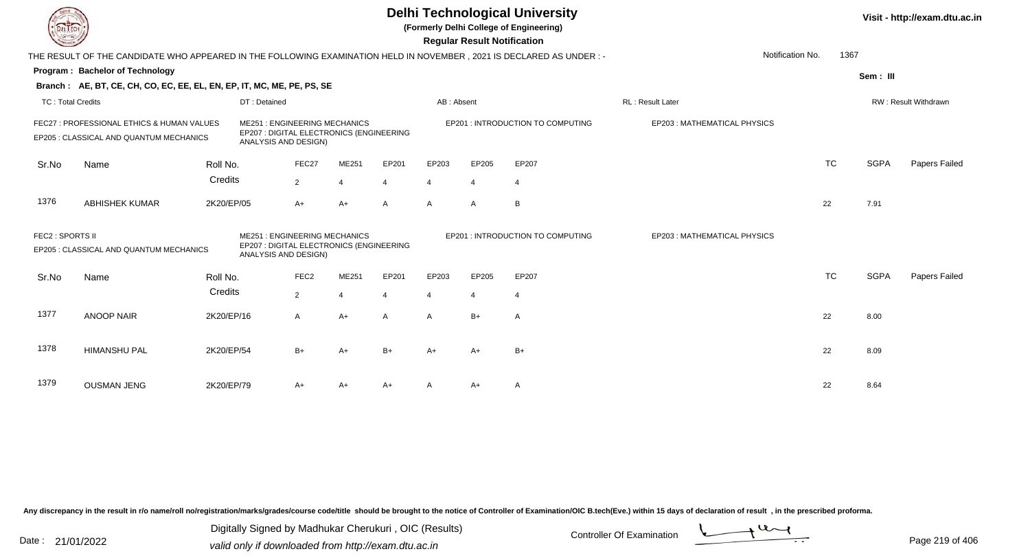| EL ECH                   |                                                                                                                        |            |                                                                                                         |                  |                |       |                | <b>Regular Result Notification</b> | <b>Delhi Technological University</b><br>(Formerly Delhi College of Engineering) |                             |                          |             | Visit - http://exam.dtu.ac.in |
|--------------------------|------------------------------------------------------------------------------------------------------------------------|------------|---------------------------------------------------------------------------------------------------------|------------------|----------------|-------|----------------|------------------------------------|----------------------------------------------------------------------------------|-----------------------------|--------------------------|-------------|-------------------------------|
|                          | THE RESULT OF THE CANDIDATE WHO APPEARED IN THE FOLLOWING EXAMINATION HELD IN NOVEMBER , 2021 IS DECLARED AS UNDER : - |            |                                                                                                         |                  |                |       |                |                                    |                                                                                  |                             | Notification No.<br>1367 |             |                               |
|                          | Program: Bachelor of Technology                                                                                        |            |                                                                                                         |                  |                |       |                |                                    |                                                                                  |                             |                          | Sem: III    |                               |
|                          | Branch: AE, BT, CE, CH, CO, EC, EE, EL, EN, EP, IT, MC, ME, PE, PS, SE                                                 |            |                                                                                                         |                  |                |       |                |                                    |                                                                                  |                             |                          |             |                               |
| <b>TC: Total Credits</b> |                                                                                                                        |            | DT: Detained                                                                                            |                  |                |       | AB: Absent     |                                    |                                                                                  | RL: Result Later            |                          |             | RW: Result Withdrawn          |
|                          | FEC27 : PROFESSIONAL ETHICS & HUMAN VALUES<br>EP205 : CLASSICAL AND QUANTUM MECHANICS                                  |            | <b>ME251: ENGINEERING MECHANICS</b><br>EP207 : DIGITAL ELECTRONICS (ENGINEERING<br>ANALYSIS AND DESIGN) |                  |                |       |                |                                    | EP201 : INTRODUCTION TO COMPUTING                                                | EP203: MATHEMATICAL PHYSICS |                          |             |                               |
| Sr.No                    | Name                                                                                                                   | Roll No.   |                                                                                                         | FEC27            | ME251          | EP201 | EP203          | EP205                              | EP207                                                                            |                             | <b>TC</b>                | <b>SGPA</b> | Papers Failed                 |
|                          |                                                                                                                        | Credits    |                                                                                                         | $\overline{2}$   | $\overline{4}$ | 4     | $\overline{4}$ | $\overline{4}$                     | $\overline{4}$                                                                   |                             |                          |             |                               |
| 1376                     | <b>ABHISHEK KUMAR</b>                                                                                                  | 2K20/EP/05 |                                                                                                         | $A+$             | $A+$           | A     | $\mathsf{A}$   | $\mathsf{A}$                       | B                                                                                |                             | 22                       | 7.91        |                               |
| FEC2 : SPORTS II         | EP205 : CLASSICAL AND QUANTUM MECHANICS                                                                                |            | <b>ME251: ENGINEERING MECHANICS</b><br>EP207 : DIGITAL ELECTRONICS (ENGINEERING<br>ANALYSIS AND DESIGN) |                  |                |       |                |                                    | EP201 : INTRODUCTION TO COMPUTING                                                | EP203: MATHEMATICAL PHYSICS |                          |             |                               |
| Sr.No                    | Name                                                                                                                   | Roll No.   |                                                                                                         | FEC <sub>2</sub> | ME251          | EP201 | EP203          | EP205                              | EP207                                                                            |                             | <b>TC</b>                | <b>SGPA</b> | Papers Failed                 |
|                          |                                                                                                                        | Credits    |                                                                                                         | $\overline{2}$   | $\overline{4}$ |       | $\overline{4}$ | 4                                  | $\overline{4}$                                                                   |                             |                          |             |                               |
| 1377                     | <b>ANOOP NAIR</b>                                                                                                      | 2K20/EP/16 |                                                                                                         | A                | $A+$           | A     | $\mathsf{A}$   | $B+$                               | $\overline{A}$                                                                   |                             | 22                       | 8.00        |                               |
| 1378                     | <b>HIMANSHU PAL</b>                                                                                                    | 2K20/EP/54 |                                                                                                         | $B+$             | $A+$           | $B+$  | A+             | A+                                 | $B+$                                                                             |                             | 22                       | 8.09        |                               |
| 1379                     | <b>OUSMAN JENG</b>                                                                                                     | 2K20/EP/79 |                                                                                                         | A+               | A+             | $A+$  |                | A+                                 | Α                                                                                |                             | 22                       | 8.64        |                               |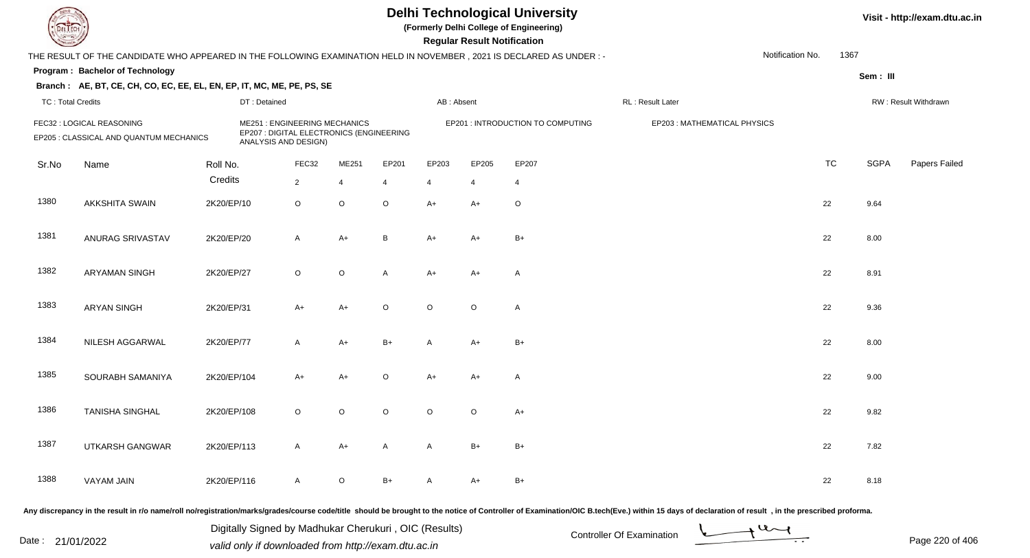**(Formerly Delhi College of Engineering)**

**Regular Regular Results Notification** 

| <b>County</b>            |                                                                                                                      |             |                                                                                                         |                |                         |                         |            | <b>Regular Result Notification</b> |                                   |                             |                  |           |             |                      |
|--------------------------|----------------------------------------------------------------------------------------------------------------------|-------------|---------------------------------------------------------------------------------------------------------|----------------|-------------------------|-------------------------|------------|------------------------------------|-----------------------------------|-----------------------------|------------------|-----------|-------------|----------------------|
|                          | THE RESULT OF THE CANDIDATE WHO APPEARED IN THE FOLLOWING EXAMINATION HELD IN NOVEMBER, 2021 IS DECLARED AS UNDER :- |             |                                                                                                         |                |                         |                         |            |                                    |                                   |                             | Notification No. | 1367      |             |                      |
|                          | <b>Program: Bachelor of Technology</b>                                                                               |             |                                                                                                         |                |                         |                         |            |                                    |                                   |                             |                  |           | Sem: III    |                      |
|                          | Branch: AE, BT, CE, CH, CO, EC, EE, EL, EN, EP, IT, MC, ME, PE, PS, SE                                               |             |                                                                                                         |                |                         |                         |            |                                    |                                   |                             |                  |           |             |                      |
| <b>TC: Total Credits</b> |                                                                                                                      |             | DT: Detained                                                                                            |                |                         |                         | AB: Absent |                                    |                                   | RL: Result Later            |                  |           |             | RW: Result Withdrawn |
|                          | FEC32 : LOGICAL REASONING<br>EP205 : CLASSICAL AND QUANTUM MECHANICS                                                 |             | <b>ME251: ENGINEERING MECHANICS</b><br>EP207 : DIGITAL ELECTRONICS (ENGINEERING<br>ANALYSIS AND DESIGN) |                |                         |                         |            |                                    | EP201 : INTRODUCTION TO COMPUTING | EP203: MATHEMATICAL PHYSICS |                  |           |             |                      |
| Sr.No                    | Name                                                                                                                 | Roll No.    |                                                                                                         | FEC32          | ME251                   | EP201                   | EP203      | EP205                              | EP207                             |                             |                  | <b>TC</b> | <b>SGPA</b> | Papers Failed        |
|                          |                                                                                                                      | Credits     |                                                                                                         | $\overline{2}$ | $\overline{\mathbf{4}}$ | $\overline{\mathbf{4}}$ | 4          | $\boldsymbol{\Delta}$              | $\overline{4}$                    |                             |                  |           |             |                      |
| 1380                     | <b>AKKSHITA SWAIN</b>                                                                                                | 2K20/EP/10  |                                                                                                         | $\circ$        | $\circ$                 | $\circ$                 | A+         | $A+$                               | $\circ$                           |                             |                  | 22        | 9.64        |                      |
| 1381                     | ANURAG SRIVASTAV                                                                                                     | 2K20/EP/20  |                                                                                                         | $\mathsf{A}$   | $A+$                    | $\, {\bf B}$            | A+         | A+                                 | $B+$                              |                             |                  | 22        | 8.00        |                      |
| 1382                     | <b>ARYAMAN SINGH</b>                                                                                                 | 2K20/EP/27  |                                                                                                         | $\circ$        | $\circ$                 | A                       | $A+$       | $A+$                               | A                                 |                             |                  | 22        | 8.91        |                      |
| 1383                     | <b>ARYAN SINGH</b>                                                                                                   | 2K20/EP/31  |                                                                                                         | $A+$           | $A+$                    | $\circ$                 | $\circ$    | $\circ$                            | A                                 |                             |                  | 22        | 9.36        |                      |
| 1384                     | NILESH AGGARWAL                                                                                                      | 2K20/EP/77  |                                                                                                         | $\mathsf{A}$   | $A+$                    | $B+$                    | A          | $A+$                               | $B+$                              |                             |                  | 22        | 8.00        |                      |
| 1385                     | SOURABH SAMANIYA                                                                                                     | 2K20/EP/104 |                                                                                                         | $A+$           | $A+$                    | $\mathsf O$             | $A+$       | $A+$                               | A                                 |                             |                  | 22        | 9.00        |                      |
| 1386                     | <b>TANISHA SINGHAL</b>                                                                                               | 2K20/EP/108 |                                                                                                         | $\circ$        | $\circ$                 | $\circ$                 | $\circ$    | $\circ$                            | $A+$                              |                             |                  | 22        | 9.82        |                      |
| 1387                     | UTKARSH GANGWAR                                                                                                      | 2K20/EP/113 |                                                                                                         | $\mathsf{A}$   | $A+$                    | A                       | A          | $B+$                               | $B+$                              |                             |                  | 22        | 7.82        |                      |
| 1388                     | <b>VAYAM JAIN</b>                                                                                                    | 2K20/EP/116 |                                                                                                         | $\mathsf{A}$   | $\circ$                 | $B+$                    | A          | A+                                 | $B+$                              |                             |                  | 22        | 8.18        |                      |
|                          |                                                                                                                      |             |                                                                                                         |                |                         |                         |            |                                    |                                   |                             |                  |           |             |                      |

Any discrepancy in the result in r/o name/roll no/registration/marks/grades/course code/title should be brought to the notice of Controller of Examination/OIC B.tech(Eve.) within 15 days of declaration of result, in the pr

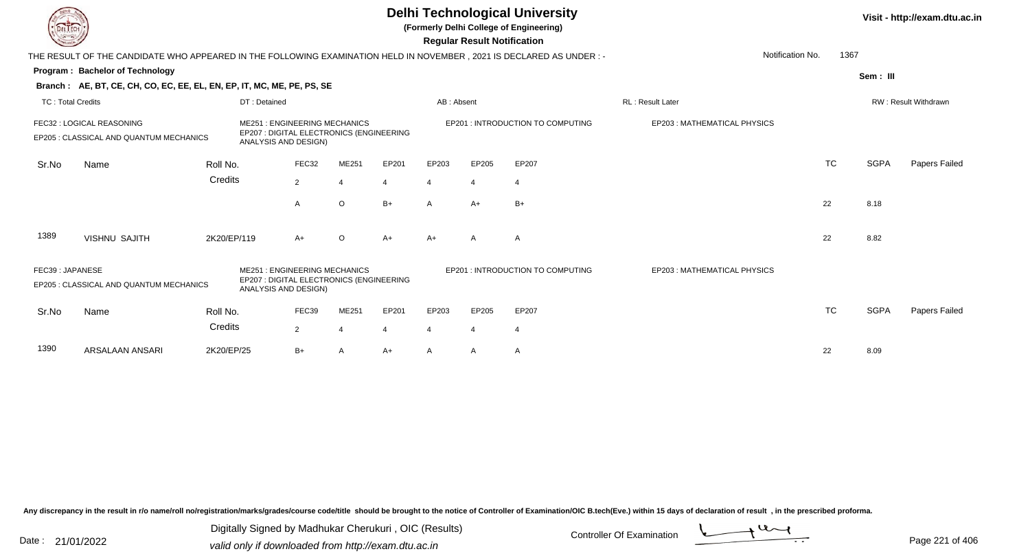|                          |                                                                                                                     |             |                                                                                                         |                |         |       |                | <b>Regular Result Notification</b> | <b>Delhi Technological University</b><br>(Formerly Delhi College of Engineering) |                             |           |             | Visit - http://exam.dtu.ac.in |
|--------------------------|---------------------------------------------------------------------------------------------------------------------|-------------|---------------------------------------------------------------------------------------------------------|----------------|---------|-------|----------------|------------------------------------|----------------------------------------------------------------------------------|-----------------------------|-----------|-------------|-------------------------------|
|                          | THE RESULT OF THE CANDIDATE WHO APPEARED IN THE FOLLOWING EXAMINATION HELD IN NOVEMBER, 2021 IS DECLARED AS UNDER:- |             |                                                                                                         |                |         |       |                |                                    |                                                                                  | Notification No.            | 1367      |             |                               |
|                          | Program: Bachelor of Technology                                                                                     |             |                                                                                                         |                |         |       |                |                                    |                                                                                  |                             |           | Sem: III    |                               |
|                          | Branch: AE, BT, CE, CH, CO, EC, EE, EL, EN, EP, IT, MC, ME, PE, PS, SE                                              |             |                                                                                                         |                |         |       |                |                                    |                                                                                  |                             |           |             |                               |
| <b>TC: Total Credits</b> |                                                                                                                     |             | DT: Detained                                                                                            |                |         |       | AB: Absent     |                                    |                                                                                  | RL : Result Later           |           |             | RW: Result Withdrawn          |
|                          | FEC32 : LOGICAL REASONING<br>EP205 : CLASSICAL AND QUANTUM MECHANICS                                                |             | <b>ME251: ENGINEERING MECHANICS</b><br>EP207 : DIGITAL ELECTRONICS (ENGINEERING<br>ANALYSIS AND DESIGN) |                |         |       |                |                                    | EP201: INTRODUCTION TO COMPUTING                                                 | EP203: MATHEMATICAL PHYSICS |           |             |                               |
| Sr.No                    | Name                                                                                                                | Roll No.    |                                                                                                         | FEC32          | ME251   | EP201 | EP203          | EP205                              | EP207                                                                            |                             | <b>TC</b> | <b>SGPA</b> | <b>Papers Failed</b>          |
|                          |                                                                                                                     | Credits     |                                                                                                         | $\overline{2}$ | 4       | 4     | 4              | $\overline{4}$                     | $\overline{4}$                                                                   |                             |           |             |                               |
|                          |                                                                                                                     |             |                                                                                                         | A              | $\circ$ | $B+$  | $\mathsf{A}$   | $A+$                               | $B+$                                                                             |                             | 22        | 8.18        |                               |
| 1389                     | <b>VISHNU SAJITH</b>                                                                                                | 2K20/EP/119 |                                                                                                         | $A+$           | $\circ$ | $A+$  | $A+$           | A                                  | A                                                                                |                             | 22        | 8.82        |                               |
| FEC39: JAPANESE          | EP205 : CLASSICAL AND QUANTUM MECHANICS                                                                             |             | <b>ME251: ENGINEERING MECHANICS</b><br>EP207 : DIGITAL ELECTRONICS (ENGINEERING<br>ANALYSIS AND DESIGN) |                |         |       |                |                                    | EP201 : INTRODUCTION TO COMPUTING                                                | EP203: MATHEMATICAL PHYSICS |           |             |                               |
| Sr.No                    | Name                                                                                                                | Roll No.    |                                                                                                         | FEC39          | ME251   | EP201 | EP203          | EP205                              | EP207                                                                            |                             | <b>TC</b> | <b>SGPA</b> | <b>Papers Failed</b>          |
|                          |                                                                                                                     | Credits     |                                                                                                         | 2              |         |       | $\overline{4}$ | $\overline{4}$                     | $\overline{4}$                                                                   |                             |           |             |                               |
| 1390                     | ARSALAAN ANSARI                                                                                                     | 2K20/EP/25  |                                                                                                         | B+             | A       | A+    | A              | A                                  | A                                                                                |                             | 22        | 8.09        |                               |

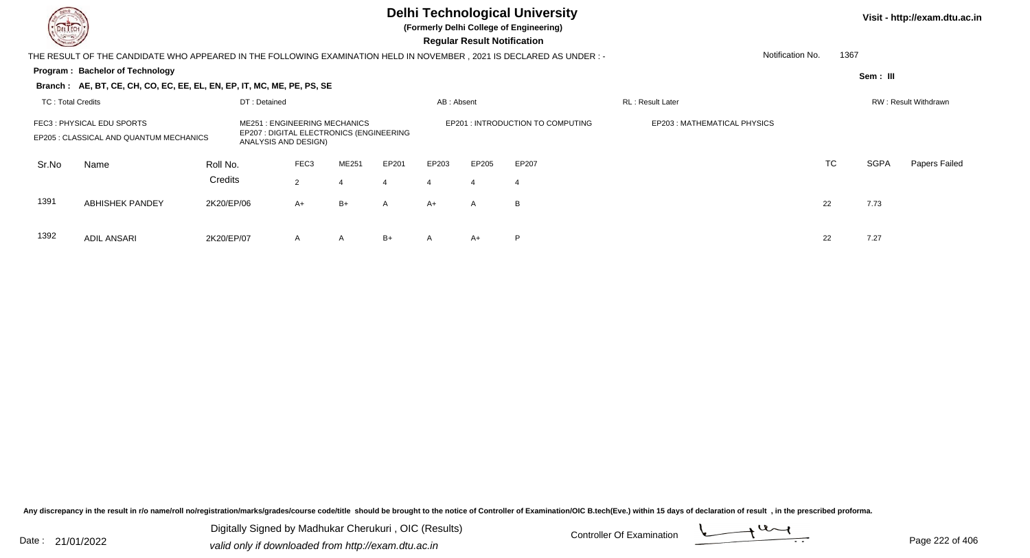

**(Formerly Delhi College of Engineering)**

 **Regular Result Notification**

| <b>Courses Lines</b>     |                                                                                                                     |            |                                                             |                  |                                          |              |            | Regular Result Notification |                                   |                              |           |          |                      |
|--------------------------|---------------------------------------------------------------------------------------------------------------------|------------|-------------------------------------------------------------|------------------|------------------------------------------|--------------|------------|-----------------------------|-----------------------------------|------------------------------|-----------|----------|----------------------|
|                          | THE RESULT OF THE CANDIDATE WHO APPEARED IN THE FOLLOWING EXAMINATION HELD IN NOVEMBER, 2021 IS DECLARED AS UNDER:- |            |                                                             |                  |                                          |              |            |                             |                                   | Notification No.             |           | 1367     |                      |
|                          | Program: Bachelor of Technology                                                                                     |            |                                                             |                  |                                          |              |            |                             |                                   |                              |           | Sem: III |                      |
|                          | Branch: AE, BT, CE, CH, CO, EC, EE, EL, EN, EP, IT, MC, ME, PE, PS, SE                                              |            |                                                             |                  |                                          |              |            |                             |                                   |                              |           |          |                      |
| <b>TC: Total Credits</b> |                                                                                                                     |            | DT: Detained                                                |                  |                                          |              | AB: Absent |                             |                                   | RL: Result Later             |           |          | RW: Result Withdrawn |
|                          | FEC3: PHYSICAL EDU SPORTS<br>EP205 : CLASSICAL AND QUANTUM MECHANICS                                                |            | <b>ME251: ENGINEERING MECHANICS</b><br>ANALYSIS AND DESIGN) |                  | EP207 : DIGITAL ELECTRONICS (ENGINEERING |              |            |                             | EP201 : INTRODUCTION TO COMPUTING | EP203 : MATHEMATICAL PHYSICS |           |          |                      |
| Sr.No                    | Name                                                                                                                | Roll No.   |                                                             | FEC <sub>3</sub> | ME251                                    | EP201        | EP203      | EP205                       | EP207                             |                              | <b>TC</b> | SGPA     | Papers Failed        |
|                          |                                                                                                                     | Credits    |                                                             | $\overline{2}$   |                                          |              |            |                             |                                   |                              |           |          |                      |
| 1391                     | <b>ABHISHEK PANDEY</b>                                                                                              | 2K20/EP/06 |                                                             | $A+$             | B+                                       | $\mathsf{A}$ | A+         | A                           | B                                 |                              | 22        | 7.73     |                      |
| 1392                     | <b>ADIL ANSARI</b>                                                                                                  | 2K20/EP/07 |                                                             | $\mathsf{A}$     | A                                        | $B+$         | A          | $A+$                        | P                                 |                              | 22        | 7.27     |                      |

Any discrepancy in the result in r/o name/roll no/registration/marks/grades/course code/title should be brought to the notice of Controller of Examination/OIC B.tech(Eve.) within 15 days of declaration of result, in the pr

Date : 21/01/2022 Digital Digital of Microsofted Chemical Controller Of Examination Determination Page 222 of 40 Digitally Signed by Madhukar Cherukuri , OIC (Results)

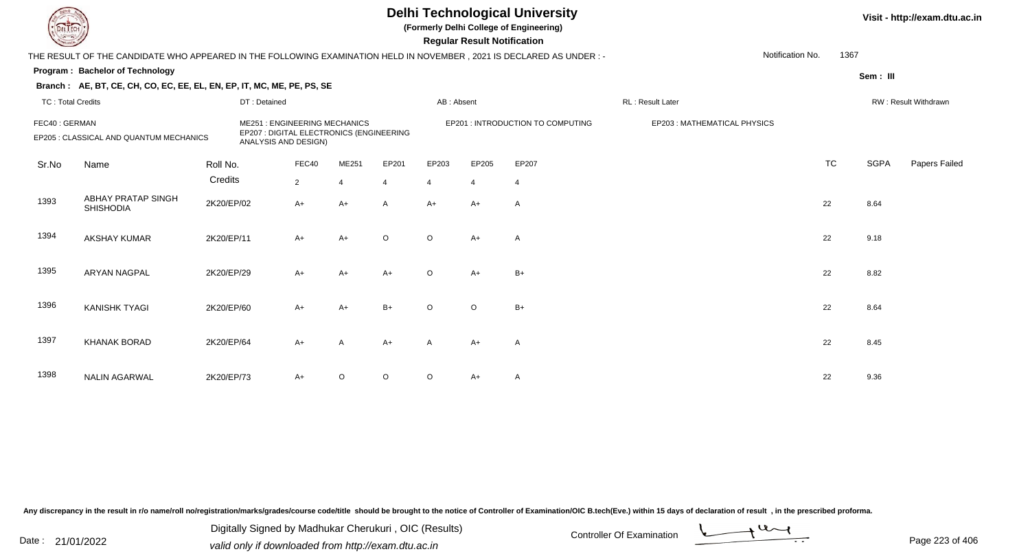**(Formerly Delhi College of Engineering)**

 **Regular Result Notification**

| $\overline{\phantom{0}}$ |                                                                                                                       |            |                                                                                                         |                |                         |                |            | <b>Regular Result Notification</b> |                                   |                  |                             |                  |           |             |                      |
|--------------------------|-----------------------------------------------------------------------------------------------------------------------|------------|---------------------------------------------------------------------------------------------------------|----------------|-------------------------|----------------|------------|------------------------------------|-----------------------------------|------------------|-----------------------------|------------------|-----------|-------------|----------------------|
|                          | THE RESULT OF THE CANDIDATE WHO APPEARED IN THE FOLLOWING EXAMINATION HELD IN NOVEMBER , 2021 IS DECLARED AS UNDER :- |            |                                                                                                         |                |                         |                |            |                                    |                                   |                  |                             | Notification No. | 1367      |             |                      |
|                          | Program: Bachelor of Technology                                                                                       |            |                                                                                                         |                |                         |                |            |                                    |                                   |                  |                             |                  |           | Sem: III    |                      |
|                          | Branch: AE, BT, CE, CH, CO, EC, EE, EL, EN, EP, IT, MC, ME, PE, PS, SE                                                |            |                                                                                                         |                |                         |                |            |                                    |                                   |                  |                             |                  |           |             |                      |
| <b>TC: Total Credits</b> |                                                                                                                       |            | DT: Detained                                                                                            |                |                         |                | AB: Absent |                                    |                                   | RL: Result Later |                             |                  |           |             | RW: Result Withdrawn |
| FEC40: GERMAN            | EP205 : CLASSICAL AND QUANTUM MECHANICS                                                                               |            | <b>ME251: ENGINEERING MECHANICS</b><br>EP207 : DIGITAL ELECTRONICS (ENGINEERING<br>ANALYSIS AND DESIGN) |                |                         |                |            |                                    | EP201 : INTRODUCTION TO COMPUTING |                  | EP203: MATHEMATICAL PHYSICS |                  |           |             |                      |
| Sr.No                    | Name                                                                                                                  | Roll No.   |                                                                                                         | FEC40          | ME251                   | EP201          | EP203      | EP205                              | EP207                             |                  |                             |                  | <b>TC</b> | <b>SGPA</b> | Papers Failed        |
|                          |                                                                                                                       | Credits    |                                                                                                         | $\overline{2}$ | $\overline{\mathbf{4}}$ | $\overline{4}$ | 4          | $\overline{4}$                     | $\overline{4}$                    |                  |                             |                  |           |             |                      |
| 1393                     | <b>ABHAY PRATAP SINGH</b><br><b>SHISHODIA</b>                                                                         | 2K20/EP/02 |                                                                                                         | $A+$           | A+                      | $\mathsf{A}$   | $A+$       | $A+$                               | Α                                 |                  |                             | 22               |           | 8.64        |                      |
| 1394                     | <b>AKSHAY KUMAR</b>                                                                                                   | 2K20/EP/11 |                                                                                                         | $A+$           | $A+$                    | $\circ$        | $\circ$    | $A+$                               | A                                 |                  |                             | 22               |           | 9.18        |                      |
| 1395                     | <b>ARYAN NAGPAL</b>                                                                                                   | 2K20/EP/29 |                                                                                                         | $A+$           | $A+$                    | $A+$           | $\circ$    | $A+$                               | $B+$                              |                  |                             | 22               |           | 8.82        |                      |
| 1396                     | <b>KANISHK TYAGI</b>                                                                                                  | 2K20/EP/60 |                                                                                                         | $A+$           | $A+$                    | $B+$           | $\circ$    | $\circ$                            | $B+$                              |                  |                             | 22               |           | 8.64        |                      |
| 1397                     | <b>KHANAK BORAD</b>                                                                                                   | 2K20/EP/64 |                                                                                                         | $A+$           | $\overline{A}$          | $A+$           | A          | A+                                 | A                                 |                  |                             | 22               |           | 8.45        |                      |
| 1398                     | <b>NALIN AGARWAL</b>                                                                                                  | 2K20/EP/73 |                                                                                                         | $A+$           | $\circ$                 | $\mathsf O$    | $\circ$    | A+                                 | A                                 |                  |                             | 22               |           | 9.36        |                      |

Any discrepancy in the result in r/o name/roll no/registration/marks/grades/course code/title should be brought to the notice of Controller of Examination/OIC B.tech(Eve.) within 15 days of declaration of result, in the pr

Date : 21/01/2022 Digital Digital of Microsofted Chemical Controller Of Examination Determination Page 223 of 40 Digitally Signed by Madhukar Cherukuri , OIC (Results)

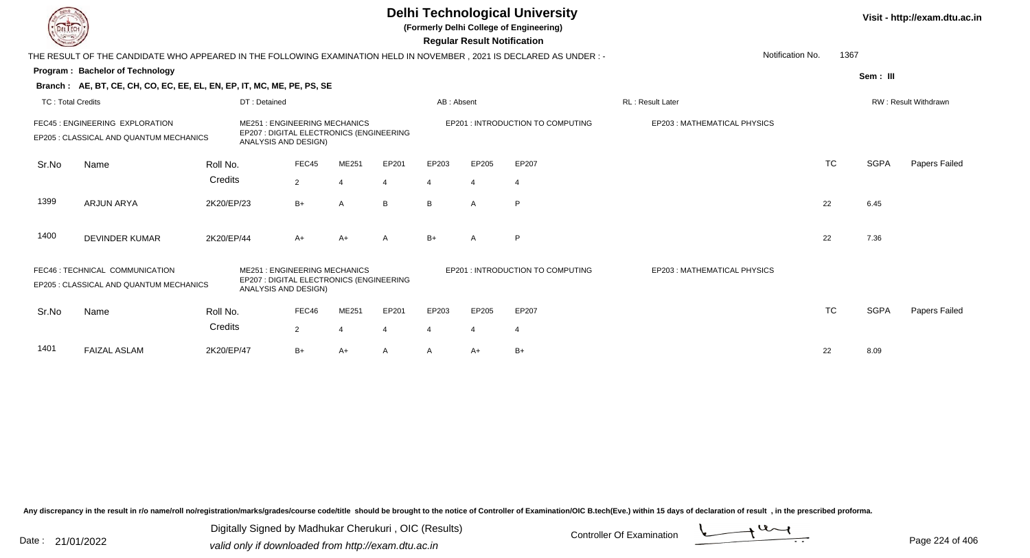**(Formerly Delhi College of Engineering)**

 **Regular Result Notification**

| <b>Courses I</b>         |                                                                                                                     |                                                                                                                              |                                                                                                         |       |              |            | Regular Result Notification |                                   |                             |           |             |                      |
|--------------------------|---------------------------------------------------------------------------------------------------------------------|------------------------------------------------------------------------------------------------------------------------------|---------------------------------------------------------------------------------------------------------|-------|--------------|------------|-----------------------------|-----------------------------------|-----------------------------|-----------|-------------|----------------------|
|                          | THE RESULT OF THE CANDIDATE WHO APPEARED IN THE FOLLOWING EXAMINATION HELD IN NOVEMBER, 2021 IS DECLARED AS UNDER:- |                                                                                                                              |                                                                                                         |       |              |            |                             |                                   | Notification No.            | 1367      |             |                      |
|                          | <b>Program: Bachelor of Technology</b>                                                                              |                                                                                                                              |                                                                                                         |       |              |            |                             |                                   |                             |           | Sem: III    |                      |
|                          | Branch: AE, BT, CE, CH, CO, EC, EE, EL, EN, EP, IT, MC, ME, PE, PS, SE                                              |                                                                                                                              |                                                                                                         |       |              |            |                             |                                   |                             |           |             |                      |
| <b>TC: Total Credits</b> |                                                                                                                     |                                                                                                                              | DT: Detained                                                                                            |       |              | AB: Absent |                             |                                   | <b>RL: Result Later</b>     |           |             | RW: Result Withdrawn |
|                          | FEC45 : ENGINEERING EXPLORATION<br>EP205 : CLASSICAL AND QUANTUM MECHANICS                                          | <b>ME251: ENGINEERING MECHANICS</b><br>EP207 : DIGITAL ELECTRONICS (ENGINEERING<br>ANALYSIS AND DESIGN)<br>FEC45<br>Roll No. |                                                                                                         |       |              |            |                             | EP201 : INTRODUCTION TO COMPUTING | EP203: MATHEMATICAL PHYSICS |           |             |                      |
| Sr.No                    | Name                                                                                                                |                                                                                                                              |                                                                                                         | ME251 | EP201        | EP203      | EP205                       | EP207                             |                             | <b>TC</b> | <b>SGPA</b> | Papers Failed        |
|                          |                                                                                                                     | Credits                                                                                                                      | $\overline{2}$                                                                                          |       | 4            |            | $\overline{4}$              | 4                                 |                             |           |             |                      |
| 1399                     | <b>ARJUN ARYA</b>                                                                                                   | 2K20/EP/23                                                                                                                   | $B+$                                                                                                    | A     | B            | B          | A                           | P                                 |                             | 22        | 6.45        |                      |
| 1400                     | <b>DEVINDER KUMAR</b>                                                                                               | 2K20/EP/44                                                                                                                   | $A+$                                                                                                    | $A+$  | $\mathsf{A}$ | $B+$       | $\overline{A}$              | P                                 |                             | 22        | 7.36        |                      |
|                          | FEC46: TECHNICAL COMMUNICATION<br>EP205 : CLASSICAL AND QUANTUM MECHANICS                                           |                                                                                                                              | <b>ME251: ENGINEERING MECHANICS</b><br>EP207 : DIGITAL ELECTRONICS (ENGINEERING<br>ANALYSIS AND DESIGN) |       |              |            |                             | EP201: INTRODUCTION TO COMPUTING  | EP203: MATHEMATICAL PHYSICS |           |             |                      |
| Sr.No                    | Name                                                                                                                | Roll No.                                                                                                                     | FEC46                                                                                                   | ME251 | EP201        | EP203      | EP205                       | EP207                             |                             | <b>TC</b> | SGPA        | Papers Failed        |
|                          |                                                                                                                     | Credits                                                                                                                      | $\overline{2}$                                                                                          |       |              |            | 4                           |                                   |                             |           |             |                      |
| 1401                     | <b>FAIZAL ASLAM</b>                                                                                                 | 2K20/EP/47                                                                                                                   | $B+$                                                                                                    | A+    | Α            | A          | $A+$                        | $B+$                              |                             | 22        | 8.09        |                      |

Any discrepancy in the result in r/o name/roll no/registration/marks/grades/course code/title should be brought to the notice of Controller of Examination/OIC B.tech(Eve.) within 15 days of declaration of result, in the pr

Date : 21/01/2022 Digital Digital of Microsofted Chemical Controller Of Examination Determination Page 224 of 40 Digitally Signed by Madhukar Cherukuri , OIC (Results)

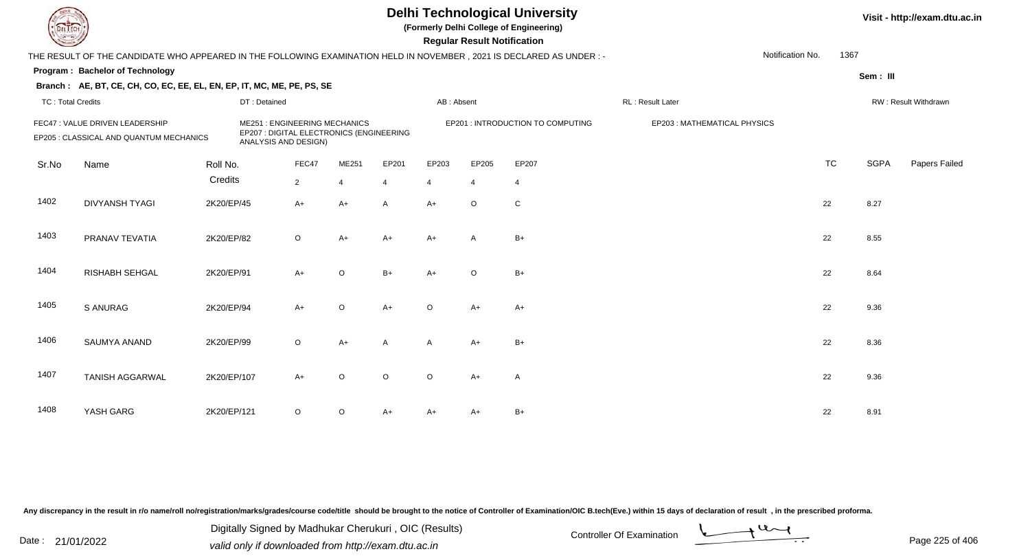**(Formerly Delhi College of Engineering)**

 **Regular Result Notification**

| $\sim$                   |                                                                                                                       |              |                                                                                                         |         |                |                | <b>Regular Result Notification</b> |                                   |                             |                  |           |             |                      |
|--------------------------|-----------------------------------------------------------------------------------------------------------------------|--------------|---------------------------------------------------------------------------------------------------------|---------|----------------|----------------|------------------------------------|-----------------------------------|-----------------------------|------------------|-----------|-------------|----------------------|
|                          | THE RESULT OF THE CANDIDATE WHO APPEARED IN THE FOLLOWING EXAMINATION HELD IN NOVEMBER , 2021 IS DECLARED AS UNDER :- |              |                                                                                                         |         |                |                |                                    |                                   |                             | Notification No. | 1367      |             |                      |
|                          | Program: Bachelor of Technology                                                                                       |              |                                                                                                         |         |                |                |                                    |                                   |                             |                  |           | Sem: III    |                      |
|                          | Branch: AE, BT, CE, CH, CO, EC, EE, EL, EN, EP, IT, MC, ME, PE, PS, SE                                                |              |                                                                                                         |         |                |                |                                    |                                   |                             |                  |           |             |                      |
| <b>TC: Total Credits</b> |                                                                                                                       | DT: Detained |                                                                                                         |         |                | AB: Absent     |                                    |                                   | <b>RL: Result Later</b>     |                  |           |             | RW: Result Withdrawn |
|                          | FEC47 : VALUE DRIVEN LEADERSHIP<br>EP205 : CLASSICAL AND QUANTUM MECHANICS                                            |              | <b>ME251: ENGINEERING MECHANICS</b><br>EP207 : DIGITAL ELECTRONICS (ENGINEERING<br>ANALYSIS AND DESIGN) |         |                |                |                                    | EP201 : INTRODUCTION TO COMPUTING | EP203: MATHEMATICAL PHYSICS |                  |           |             |                      |
| Sr.No                    | Name                                                                                                                  | Roll No.     | FEC47                                                                                                   | ME251   | EP201          | EP203          | EP205                              | EP207                             |                             |                  | <b>TC</b> | <b>SGPA</b> | Papers Failed        |
|                          |                                                                                                                       | Credits      | $\overline{2}$                                                                                          | 4       | $\overline{4}$ | $\overline{4}$ | $\overline{4}$                     | 4                                 |                             |                  |           |             |                      |
| 1402                     | <b>DIVYANSH TYAGI</b>                                                                                                 | 2K20/EP/45   | $A+$                                                                                                    | A+      | A              | $A+$           | $\circ$                            | $\mathsf C$                       |                             |                  | 22        | 8.27        |                      |
| 1403                     | PRANAV TEVATIA                                                                                                        | 2K20/EP/82   | $\circ$                                                                                                 | $A+$    | $A+$           | $A+$           | A                                  | $B+$                              |                             |                  | 22        | 8.55        |                      |
| 1404                     | RISHABH SEHGAL                                                                                                        | 2K20/EP/91   | $A+$                                                                                                    | O       | $B+$           | $A+$           | $\circ$                            | $B+$                              |                             |                  | 22        | 8.64        |                      |
| 1405                     | <b>S ANURAG</b>                                                                                                       | 2K20/EP/94   | $A+$                                                                                                    | $\circ$ | $A+$           | O              | A+                                 | $A+$                              |                             |                  | 22        | 9.36        |                      |
| 1406                     | SAUMYA ANAND                                                                                                          | 2K20/EP/99   | $\circ$                                                                                                 | A+      | A              | A              | $A+$                               | $B+$                              |                             |                  | 22        | 8.36        |                      |
| 1407                     | <b>TANISH AGGARWAL</b>                                                                                                | 2K20/EP/107  | $A+$                                                                                                    | $\circ$ | $\circ$        | O              | A+                                 | A                                 |                             |                  | 22        | 9.36        |                      |
| 1408                     | YASH GARG                                                                                                             | 2K20/EP/121  | $\circ$                                                                                                 | $\circ$ | $A+$           | A+             | A+                                 | $B+$                              |                             |                  | 22        | 8.91        |                      |

Any discrepancy in the result in r/o name/roll no/registration/marks/grades/course code/title should be brought to the notice of Controller of Examination/OIC B.tech(Eve.) within 15 days of declaration of result, in the pr

Date : 21/01/2022 Digital Digital of Microsofted Chemical Controller Of Examination Determination Page 225 of 40 Digitally Signed by Madhukar Cherukuri , OIC (Results)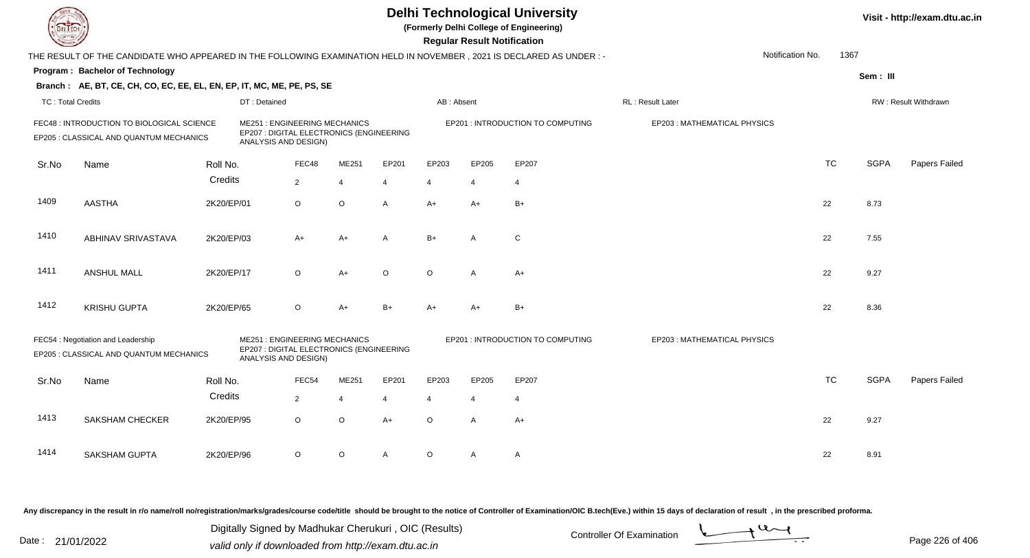|                          |                                                                                                                      |            |                                                                                                         |                                                                                                         |                | <b>Delhi Technological University</b><br>(Formerly Delhi College of Engineering)<br><b>Regular Result Notification</b> |            |                |                                   |                             |                  |           | Visit - http://exam.dtu.ac.in |                      |  |
|--------------------------|----------------------------------------------------------------------------------------------------------------------|------------|---------------------------------------------------------------------------------------------------------|---------------------------------------------------------------------------------------------------------|----------------|------------------------------------------------------------------------------------------------------------------------|------------|----------------|-----------------------------------|-----------------------------|------------------|-----------|-------------------------------|----------------------|--|
|                          | THE RESULT OF THE CANDIDATE WHO APPEARED IN THE FOLLOWING EXAMINATION HELD IN NOVEMBER, 2021 IS DECLARED AS UNDER :- |            |                                                                                                         |                                                                                                         |                |                                                                                                                        |            |                |                                   |                             | Notification No. | 1367      |                               |                      |  |
|                          | Program: Bachelor of Technology                                                                                      |            |                                                                                                         |                                                                                                         |                |                                                                                                                        |            |                |                                   |                             |                  |           | Sem: III                      |                      |  |
|                          | Branch: AE, BT, CE, CH, CO, EC, EE, EL, EN, EP, IT, MC, ME, PE, PS, SE                                               |            |                                                                                                         |                                                                                                         |                |                                                                                                                        |            |                |                                   |                             |                  |           |                               |                      |  |
| <b>TC: Total Credits</b> |                                                                                                                      |            | DT: Detained                                                                                            |                                                                                                         |                |                                                                                                                        | AB: Absent |                |                                   | RL: Result Later            |                  |           |                               | RW: Result Withdrawn |  |
|                          | FEC48 : INTRODUCTION TO BIOLOGICAL SCIENCE<br>EP205 : CLASSICAL AND QUANTUM MECHANICS                                |            |                                                                                                         | <b>ME251: ENGINEERING MECHANICS</b><br>EP207 : DIGITAL ELECTRONICS (ENGINEERING<br>ANALYSIS AND DESIGN) |                |                                                                                                                        |            |                | EP201 : INTRODUCTION TO COMPUTING | EP203: MATHEMATICAL PHYSICS |                  |           |                               |                      |  |
| Sr.No                    | Name                                                                                                                 | Roll No.   |                                                                                                         | FEC48                                                                                                   | ME251          | EP201                                                                                                                  | EP203      | EP205          | EP207                             |                             |                  | <b>TC</b> | <b>SGPA</b>                   | Papers Failed        |  |
|                          |                                                                                                                      | Credits    |                                                                                                         | $\overline{2}$                                                                                          | $\overline{4}$ | 4                                                                                                                      | 4          | $\overline{4}$ | $\overline{4}$                    |                             |                  |           |                               |                      |  |
| 1409                     | <b>AASTHA</b>                                                                                                        | 2K20/EP/01 |                                                                                                         | O                                                                                                       | $\circ$        | $\mathsf{A}$                                                                                                           | $A+$       | $A+$           | $B+$                              |                             |                  | 22        | 8.73                          |                      |  |
| 1410                     | ABHINAV SRIVASTAVA                                                                                                   | 2K20/EP/03 |                                                                                                         | $A+$                                                                                                    | $A+$           | A                                                                                                                      | $B+$       | A              | C                                 |                             |                  | 22        | 7.55                          |                      |  |
| 1411                     | <b>ANSHUL MALL</b>                                                                                                   | 2K20/EP/17 |                                                                                                         | $\circ$                                                                                                 | $A+$           | $\circ$                                                                                                                | $\Omega$   | $\mathsf{A}$   | $A+$                              |                             |                  | 22        | 9.27                          |                      |  |
| 1412                     | <b>KRISHU GUPTA</b>                                                                                                  | 2K20/EP/65 |                                                                                                         | $\circ$                                                                                                 | $A+$           | $B+$                                                                                                                   | $A+$       | $A+$           | $B+$                              |                             |                  | 22        | 8.36                          |                      |  |
|                          | FEC54 : Negotiation and Leadership<br>EP205 : CLASSICAL AND QUANTUM MECHANICS                                        |            | <b>ME251: ENGINEERING MECHANICS</b><br>EP207 : DIGITAL ELECTRONICS (ENGINEERING<br>ANALYSIS AND DESIGN) |                                                                                                         |                |                                                                                                                        |            |                | EP201 : INTRODUCTION TO COMPUTING | EP203: MATHEMATICAL PHYSICS |                  |           |                               |                      |  |
| Sr.No                    | Name                                                                                                                 | Roll No.   |                                                                                                         | FEC54                                                                                                   | ME251          | EP201                                                                                                                  | EP203      | EP205          | EP207                             |                             |                  | <b>TC</b> | <b>SGPA</b>                   | Papers Failed        |  |
|                          |                                                                                                                      | Credits    |                                                                                                         | $\overline{2}$                                                                                          | $\overline{4}$ | $\overline{4}$                                                                                                         | 4          | $\overline{4}$ | $\overline{4}$                    |                             |                  |           |                               |                      |  |
| 1413                     | <b>SAKSHAM CHECKER</b>                                                                                               | 2K20/EP/95 |                                                                                                         | O                                                                                                       | $\mathsf O$    | $A+$                                                                                                                   | $\Omega$   | A              | $A+$                              |                             |                  | 22        | 9.27                          |                      |  |
| 1414                     | <b>SAKSHAM GUPTA</b>                                                                                                 | 2K20/EP/96 |                                                                                                         | O                                                                                                       | $\circ$        | A                                                                                                                      | $\circ$    | A              | Α                                 |                             |                  | 22        | 8.91                          |                      |  |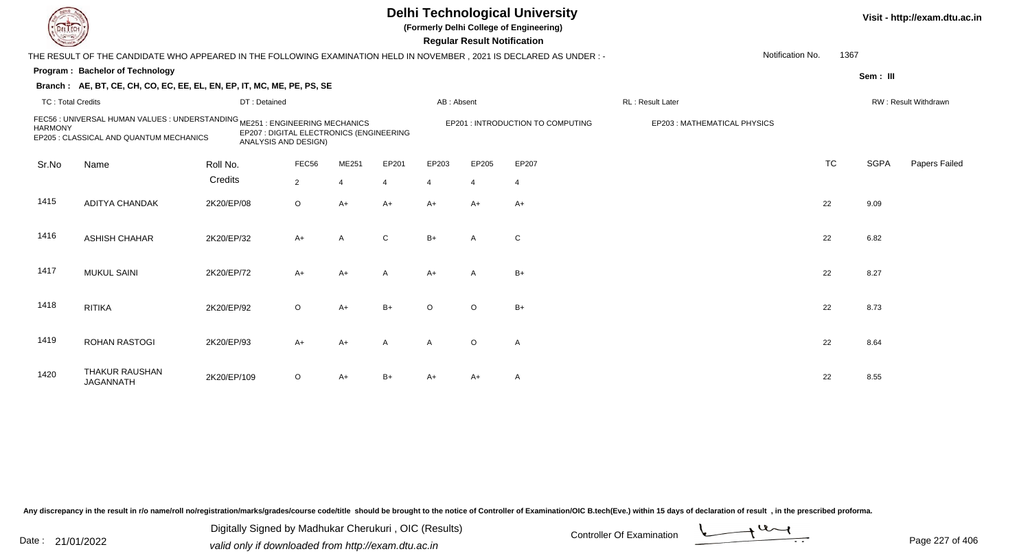**(Formerly Delhi College of Engineering)**

 **Regular Result Notification**

| <b>Controller A</b>      |                                                                                                                         |              |                                                                  |       |                |                | Regular Result Notification |                                   |                             |           |             |                      |
|--------------------------|-------------------------------------------------------------------------------------------------------------------------|--------------|------------------------------------------------------------------|-------|----------------|----------------|-----------------------------|-----------------------------------|-----------------------------|-----------|-------------|----------------------|
|                          | THE RESULT OF THE CANDIDATE WHO APPEARED IN THE FOLLOWING EXAMINATION HELD IN NOVEMBER, 2021 IS DECLARED AS UNDER :-    |              |                                                                  |       |                |                |                             |                                   | Notification No.            | 1367      |             |                      |
|                          | Program: Bachelor of Technology                                                                                         |              |                                                                  |       |                |                |                             |                                   |                             |           | Sem: III    |                      |
|                          | Branch: AE, BT, CE, CH, CO, EC, EE, EL, EN, EP, IT, MC, ME, PE, PS, SE                                                  |              |                                                                  |       |                |                |                             |                                   |                             |           |             |                      |
| <b>TC: Total Credits</b> |                                                                                                                         | DT: Detained |                                                                  |       |                | AB: Absent     |                             |                                   | RL: Result Later            |           |             | RW: Result Withdrawn |
| <b>HARMONY</b>           | FEC56 : UNIVERSAL HUMAN VALUES : UNDERSTANDING ME251 : ENGINEERING MECHANICS<br>EP205 : CLASSICAL AND QUANTUM MECHANICS |              | EP207 : DIGITAL ELECTRONICS (ENGINEERING<br>ANALYSIS AND DESIGN) |       |                |                |                             | EP201 : INTRODUCTION TO COMPUTING | EP203: MATHEMATICAL PHYSICS |           |             |                      |
| Sr.No                    | Name                                                                                                                    | Roll No.     | FEC56                                                            | ME251 | EP201          | EP203          | EP205                       | EP207                             |                             | <b>TC</b> | <b>SGPA</b> | Papers Failed        |
|                          |                                                                                                                         | Credits      | $\overline{2}$                                                   |       | $\overline{4}$ | $\overline{4}$ | $\overline{4}$              | $\overline{4}$                    |                             |           |             |                      |
| 1415                     | <b>ADITYA CHANDAK</b>                                                                                                   | 2K20/EP/08   | $\circ$                                                          | $A+$  | $A+$           | $A+$           | $A+$                        | $A+$                              |                             | 22        | 9.09        |                      |
| 1416                     | <b>ASHISH CHAHAR</b>                                                                                                    | 2K20/EP/32   | $A+$                                                             | A     | $\mathbf C$    | $B+$           | A                           | C                                 |                             | 22        | 6.82        |                      |
| 1417                     | <b>MUKUL SAINI</b>                                                                                                      | 2K20/EP/72   | $A+$                                                             | $A+$  | $\overline{A}$ | $A+$           | $\mathsf{A}$                | $B+$                              |                             | 22        | 8.27        |                      |
| 1418                     | <b>RITIKA</b>                                                                                                           | 2K20/EP/92   | $\circ$                                                          | $A+$  | $B+$           | $\circ$        | $\circ$                     | $B+$                              |                             | 22        | 8.73        |                      |
| 1419                     | <b>ROHAN RASTOGI</b>                                                                                                    | 2K20/EP/93   | $A+$                                                             | $A+$  | $\overline{A}$ | $\mathsf{A}$   | $\circ$                     | A                                 |                             | 22        | 8.64        |                      |
| 1420                     | <b>THAKUR RAUSHAN</b><br><b>JAGANNATH</b>                                                                               | 2K20/EP/109  | $\circ$                                                          | A+    | $B+$           | A+             | A+                          | A                                 |                             | 22        | 8.55        |                      |

Any discrepancy in the result in r/o name/roll no/registration/marks/grades/course code/title should be brought to the notice of Controller of Examination/OIC B.tech(Eve.) within 15 days of declaration of result, in the pr

Date : 21/01/2022 Digital Digital of Microsofted Chemical Controller Of Examination Determination Page 227 of 40 Digitally Signed by Madhukar Cherukuri , OIC (Results)

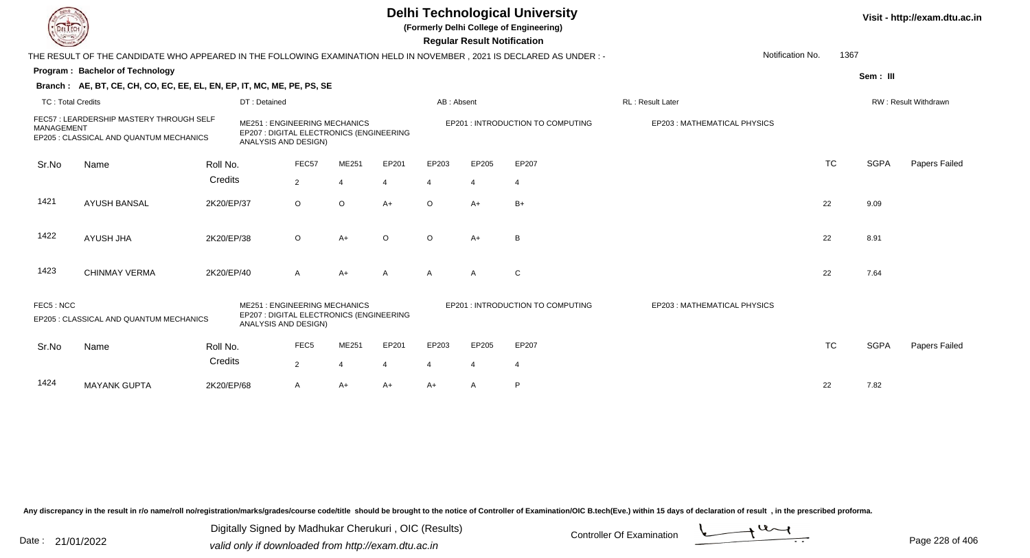**(Formerly Delhi College of Engineering)**

 **Regular Result Notification**

| <b>Courses A</b>         |                                                                                                                      |            |                                                             |                  |                                          |                |                | <b>Regular Result Notification</b> |                                   |                              |                  |           |             |                      |
|--------------------------|----------------------------------------------------------------------------------------------------------------------|------------|-------------------------------------------------------------|------------------|------------------------------------------|----------------|----------------|------------------------------------|-----------------------------------|------------------------------|------------------|-----------|-------------|----------------------|
|                          | THE RESULT OF THE CANDIDATE WHO APPEARED IN THE FOLLOWING EXAMINATION HELD IN NOVEMBER, 2021 IS DECLARED AS UNDER :- |            |                                                             |                  |                                          |                |                |                                    |                                   |                              | Notification No. | 1367      |             |                      |
|                          | Program: Bachelor of Technology                                                                                      |            |                                                             |                  |                                          |                |                |                                    |                                   |                              |                  |           | Sem: III    |                      |
|                          | Branch: AE, BT, CE, CH, CO, EC, EE, EL, EN, EP, IT, MC, ME, PE, PS, SE                                               |            |                                                             |                  |                                          |                |                |                                    |                                   |                              |                  |           |             |                      |
| <b>TC: Total Credits</b> |                                                                                                                      |            | DT: Detained                                                |                  |                                          |                | AB: Absent     |                                    |                                   | RL: Result Later             |                  |           |             | RW: Result Withdrawn |
| <b>MANAGEMENT</b>        | FEC57: LEARDERSHIP MASTERY THROUGH SELF<br>EP205 : CLASSICAL AND QUANTUM MECHANICS                                   |            | <b>ME251: ENGINEERING MECHANICS</b><br>ANALYSIS AND DESIGN) |                  | EP207 : DIGITAL ELECTRONICS (ENGINEERING |                |                |                                    | EP201 : INTRODUCTION TO COMPUTING | EP203 : MATHEMATICAL PHYSICS |                  |           |             |                      |
| Sr.No                    | Name                                                                                                                 | Roll No.   |                                                             | FEC57            | ME251                                    | EP201          | EP203          | EP205                              | EP207                             |                              |                  | <b>TC</b> | <b>SGPA</b> | Papers Failed        |
|                          |                                                                                                                      | Credits    |                                                             | $\overline{2}$   |                                          | 4              |                | $\overline{4}$                     |                                   |                              |                  |           |             |                      |
| 1421                     | <b>AYUSH BANSAL</b>                                                                                                  | 2K20/EP/37 |                                                             | $\circ$          | $\circ$                                  | $A+$           | $\circ$        | $A+$                               | $B+$                              |                              |                  | 22        | 9.09        |                      |
| 1422                     | <b>AYUSH JHA</b>                                                                                                     | 2K20/EP/38 |                                                             | $\circ$          | $A+$                                     | $\circ$        | $\circ$        | $A+$                               | B                                 |                              |                  | 22        | 8.91        |                      |
| 1423                     | <b>CHINMAY VERMA</b>                                                                                                 | 2K20/EP/40 |                                                             | $\mathsf{A}$     | $A+$                                     | $\overline{A}$ | A              | A                                  | C                                 |                              |                  | 22        | 7.64        |                      |
| FEC5: NCC                | EP205 : CLASSICAL AND QUANTUM MECHANICS                                                                              |            | <b>ME251: ENGINEERING MECHANICS</b><br>ANALYSIS AND DESIGN) |                  | EP207 : DIGITAL ELECTRONICS (ENGINEERING |                |                |                                    | EP201 : INTRODUCTION TO COMPUTING | EP203: MATHEMATICAL PHYSICS  |                  |           |             |                      |
| Sr.No                    | Name                                                                                                                 | Roll No.   |                                                             | FEC <sub>5</sub> | ME251                                    | EP201          | EP203          | EP205                              | EP207                             |                              |                  | <b>TC</b> | <b>SGPA</b> | Papers Failed        |
|                          |                                                                                                                      | Credits    |                                                             | 2                | $\boldsymbol{\varDelta}$                 | $\overline{4}$ | $\overline{4}$ | $\overline{4}$                     | -4                                |                              |                  |           |             |                      |
| 1424                     | <b>MAYANK GUPTA</b>                                                                                                  | 2K20/EP/68 |                                                             | A                | $A+$                                     | $A+$           | A+             | $\mathsf{A}$                       | P                                 |                              |                  | 22        | 7.82        |                      |

Any discrepancy in the result in r/o name/roll no/registration/marks/grades/course code/title should be brought to the notice of Controller of Examination/OIC B.tech(Eve.) within 15 days of declaration of result, in the pr

Date : 21/01/2022 Digital Digital of Microsofted Chemical Controller Of Examination Determination Page 228 of 40 Digitally Signed by Madhukar Cherukuri , OIC (Results)

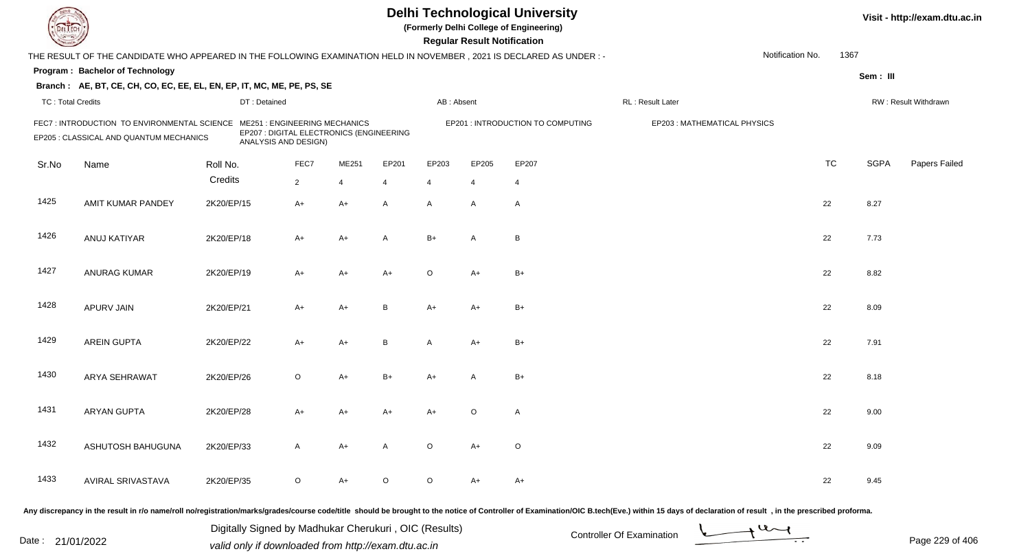|                          |                                                                                                                     |              |                                                                                                         |                |         |                | <b>Regular Result Notification</b> | <b>Delhi Technological University</b><br>(Formerly Delhi College of Engineering) |                                                                                                                                                                                                                                |                  |           |             | Visit - http://exam.dtu.ac.in |
|--------------------------|---------------------------------------------------------------------------------------------------------------------|--------------|---------------------------------------------------------------------------------------------------------|----------------|---------|----------------|------------------------------------|----------------------------------------------------------------------------------|--------------------------------------------------------------------------------------------------------------------------------------------------------------------------------------------------------------------------------|------------------|-----------|-------------|-------------------------------|
|                          | THE RESULT OF THE CANDIDATE WHO APPEARED IN THE FOLLOWING EXAMINATION HELD IN NOVEMBER, 2021 IS DECLARED AS UNDER:- |              |                                                                                                         |                |         |                |                                    |                                                                                  |                                                                                                                                                                                                                                | Notification No. | 1367      |             |                               |
|                          | Program: Bachelor of Technology                                                                                     |              |                                                                                                         |                |         |                |                                    |                                                                                  |                                                                                                                                                                                                                                |                  |           | Sem: III    |                               |
|                          | Branch: AE, BT, CE, CH, CO, EC, EE, EL, EN, EP, IT, MC, ME, PE, PS, SE                                              |              |                                                                                                         |                |         |                |                                    |                                                                                  |                                                                                                                                                                                                                                |                  |           |             |                               |
| <b>TC: Total Credits</b> |                                                                                                                     | DT: Detained |                                                                                                         |                |         | AB: Absent     |                                    |                                                                                  | RL: Result Later                                                                                                                                                                                                               |                  |           |             | RW: Result Withdrawn          |
|                          | FEC7 : INTRODUCTION TO ENVIRONMENTAL SCIENCE<br>EP205 : CLASSICAL AND QUANTUM MECHANICS                             |              | <b>ME251: ENGINEERING MECHANICS</b><br>EP207 : DIGITAL ELECTRONICS (ENGINEERING<br>ANALYSIS AND DESIGN) |                |         |                |                                    | EP201 : INTRODUCTION TO COMPUTING                                                | EP203: MATHEMATICAL PHYSICS                                                                                                                                                                                                    |                  |           |             |                               |
| Sr.No                    | Name                                                                                                                | Roll No.     | FEC7                                                                                                    | ME251          | EP201   | EP203          | EP205                              | EP207                                                                            |                                                                                                                                                                                                                                |                  | <b>TC</b> | <b>SGPA</b> | <b>Papers Failed</b>          |
|                          |                                                                                                                     | Credits      | $\overline{2}$                                                                                          | $\overline{4}$ | 4       | $\overline{4}$ | $\overline{4}$                     | $\overline{4}$                                                                   |                                                                                                                                                                                                                                |                  |           |             |                               |
| 1425                     | AMIT KUMAR PANDEY                                                                                                   | 2K20/EP/15   | $A+$                                                                                                    | $A+$           | A       | $\mathsf{A}$   | $\mathsf{A}$                       | $\overline{A}$                                                                   |                                                                                                                                                                                                                                |                  | 22        | 8.27        |                               |
| 1426                     | ANUJ KATIYAR                                                                                                        | 2K20/EP/18   | A+                                                                                                      | $A+$           | A       | $B+$           | $\mathsf{A}$                       | $\, {\sf B}$                                                                     |                                                                                                                                                                                                                                |                  | 22        | 7.73        |                               |
| 1427                     | <b>ANURAG KUMAR</b>                                                                                                 | 2K20/EP/19   | A+                                                                                                      | $A+$           | $A+$    | $\circ$        | $A+$                               | $B+$                                                                             |                                                                                                                                                                                                                                |                  | 22        | 8.82        |                               |
| 1428                     | <b>APURV JAIN</b>                                                                                                   | 2K20/EP/21   | $A+$                                                                                                    | $A+$           | B       | A+             | $A+$                               | $B+$                                                                             |                                                                                                                                                                                                                                |                  | 22        | 8.09        |                               |
| 1429                     | <b>AREIN GUPTA</b>                                                                                                  | 2K20/EP/22   | $A+$                                                                                                    | $A+$           | B       | A              | A+                                 | $B+$                                                                             |                                                                                                                                                                                                                                |                  | 22        | 7.91        |                               |
| 1430                     | <b>ARYA SEHRAWAT</b>                                                                                                | 2K20/EP/26   | $\circ$                                                                                                 | $A+$           | $B+$    | A+             | $\mathsf{A}$                       | $B+$                                                                             |                                                                                                                                                                                                                                |                  | 22        | 8.18        |                               |
| 1431                     | <b>ARYAN GUPTA</b>                                                                                                  | 2K20/EP/28   | A+                                                                                                      | A+             | A+      | A+             | O                                  | $\mathsf{A}$                                                                     |                                                                                                                                                                                                                                |                  | 22        | 9.00        |                               |
| 1432                     | ASHUTOSH BAHUGUNA                                                                                                   | 2K20/EP/33   | A                                                                                                       | A+             | A       | $\circ$        | A+                                 | $\circ$                                                                          |                                                                                                                                                                                                                                |                  | 22        | 9.09        |                               |
| 1433                     | <b>AVIRAL SRIVASTAVA</b>                                                                                            | 2K20/EP/35   | $\circ$                                                                                                 | A+             | $\circ$ | $\circ$        | A+                                 | $A+$                                                                             |                                                                                                                                                                                                                                |                  | 22        | 9.45        |                               |
|                          |                                                                                                                     |              |                                                                                                         |                |         |                |                                    |                                                                                  | ny dioarananay in the result in rie namelrell neiregistration imarical mechanical production exactive condition channel be brought to the nation of Controllar of Cromination (OIC B tooh(Eye) within 15 days of deeleration o |                  |           |             |                               |

Any discrepancy in the result in r/o name/roll no/registration/marks/grades/course code/title should be brought to the notice of

Date : 21/01/2022 Digital Digital of Microsofted Chemical Controller Of Examination Controller Of Examination Page 229 of 40 Digitally Signed by Madhukar Cherukuri , OIC (Results)

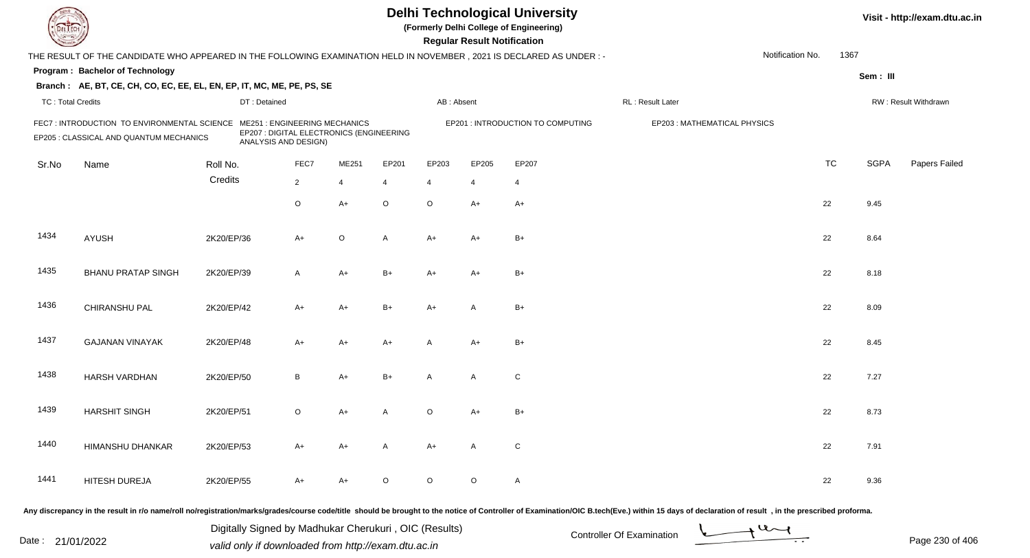| DEL EC                   |                                                                                                                      |            |                      |                                                                                 |                |                |                | <b>Regular Result Notification</b> | <b>Delhi Technological University</b><br>(Formerly Delhi College of Engineering) |                                                                                                                                                                                                                                |                  |           |             | Visit - http://exam.dtu.ac.in |
|--------------------------|----------------------------------------------------------------------------------------------------------------------|------------|----------------------|---------------------------------------------------------------------------------|----------------|----------------|----------------|------------------------------------|----------------------------------------------------------------------------------|--------------------------------------------------------------------------------------------------------------------------------------------------------------------------------------------------------------------------------|------------------|-----------|-------------|-------------------------------|
|                          | THE RESULT OF THE CANDIDATE WHO APPEARED IN THE FOLLOWING EXAMINATION HELD IN NOVEMBER, 2021 IS DECLARED AS UNDER: - |            |                      |                                                                                 |                |                |                |                                    |                                                                                  |                                                                                                                                                                                                                                | Notification No. | 1367      |             |                               |
|                          | Program: Bachelor of Technology                                                                                      |            |                      |                                                                                 |                |                |                |                                    |                                                                                  |                                                                                                                                                                                                                                |                  |           | Sem: III    |                               |
|                          | Branch: AE, BT, CE, CH, CO, EC, EE, EL, EN, EP, IT, MC, ME, PE, PS, SE                                               |            |                      |                                                                                 |                |                |                |                                    |                                                                                  |                                                                                                                                                                                                                                |                  |           |             |                               |
| <b>TC: Total Credits</b> |                                                                                                                      |            | DT: Detained         |                                                                                 |                |                | AB: Absent     |                                    |                                                                                  | RL: Result Later                                                                                                                                                                                                               |                  |           |             | RW: Result Withdrawn          |
|                          | FEC7: INTRODUCTION TO ENVIRONMENTAL SCIENCE<br>EP205 : CLASSICAL AND QUANTUM MECHANICS                               |            | ANALYSIS AND DESIGN) | <b>ME251: ENGINEERING MECHANICS</b><br>EP207 : DIGITAL ELECTRONICS (ENGINEERING |                |                |                |                                    | EP201 : INTRODUCTION TO COMPUTING                                                | EP203: MATHEMATICAL PHYSICS                                                                                                                                                                                                    |                  |           |             |                               |
| Sr.No                    | Name                                                                                                                 | Roll No.   |                      | FEC7                                                                            | ME251          | EP201          | EP203          | EP205                              | EP207                                                                            |                                                                                                                                                                                                                                |                  | <b>TC</b> | <b>SGPA</b> | Papers Failed                 |
|                          |                                                                                                                      | Credits    |                      | $\overline{2}$                                                                  | $\overline{4}$ | $\overline{4}$ | $\overline{4}$ | $\overline{4}$                     | $\overline{4}$                                                                   |                                                                                                                                                                                                                                |                  |           |             |                               |
|                          |                                                                                                                      |            |                      | $\circ$                                                                         | $A+$           | $\circ$        | $\mathsf O$    | $A+$                               | $A+$                                                                             |                                                                                                                                                                                                                                |                  | 22        | 9.45        |                               |
| 1434                     | <b>AYUSH</b>                                                                                                         | 2K20/EP/36 |                      | $A+$                                                                            | $\circ$        | A              | A+             | A+                                 | $B+$                                                                             |                                                                                                                                                                                                                                |                  | 22        | 8.64        |                               |
| 1435                     | <b>BHANU PRATAP SINGH</b>                                                                                            | 2K20/EP/39 |                      | $\overline{A}$                                                                  | $A+$           | $B+$           | A+             | $A+$                               | $B+$                                                                             |                                                                                                                                                                                                                                |                  | 22        | 8.18        |                               |
| 1436                     | CHIRANSHU PAL                                                                                                        | 2K20/EP/42 |                      | $A+$                                                                            | $A+$           | $B+$           | A+             | $\overline{A}$                     | $B+$                                                                             |                                                                                                                                                                                                                                |                  | 22        | 8.09        |                               |
| 1437                     | <b>GAJANAN VINAYAK</b>                                                                                               | 2K20/EP/48 |                      | $A+$                                                                            | $A+$           | $A+$           | A              | $A+$                               | $B+$                                                                             |                                                                                                                                                                                                                                |                  | 22        | 8.45        |                               |
| 1438                     | <b>HARSH VARDHAN</b>                                                                                                 | 2K20/EP/50 |                      | B                                                                               | $A+$           | $B+$           | A              | A                                  | ${\bf C}$                                                                        |                                                                                                                                                                                                                                |                  | 22        | 7.27        |                               |
| 1439                     | <b>HARSHIT SINGH</b>                                                                                                 | 2K20/EP/51 |                      | $\circ$                                                                         | A+             | A              | O              | A+                                 | $B+$                                                                             |                                                                                                                                                                                                                                |                  | 22        | 8.73        |                               |
| 1440                     | HIMANSHU DHANKAR                                                                                                     | 2K20/EP/53 |                      | A+                                                                              | $A+$           | A              | $A+$           | A                                  | ${\bf C}$                                                                        |                                                                                                                                                                                                                                |                  | 22        | 7.91        |                               |
| 1441                     | HITESH DUREJA                                                                                                        | 2K20/EP/55 |                      | A+                                                                              | A+             | $\circ$        | $\circ$        | $\circ$                            | $\mathsf{A}$                                                                     |                                                                                                                                                                                                                                |                  | 22        | 9.36        |                               |
|                          |                                                                                                                      |            |                      |                                                                                 |                |                |                |                                    |                                                                                  | Any discrepancy in the result in r/o name/roll no/registration/marks/grades/course code/title should be brought to the notice of Controller of Examination/OIC B.tech(Eve.) within 15 days of declaration of result , in the p |                  |           |             |                               |

Date : 21/01/2022 Digital Digital of Microsofted Chemical Controller Of Examination Determination Page 230 of 40 Digitally Signed by Madhukar Cherukuri , OIC (Results)

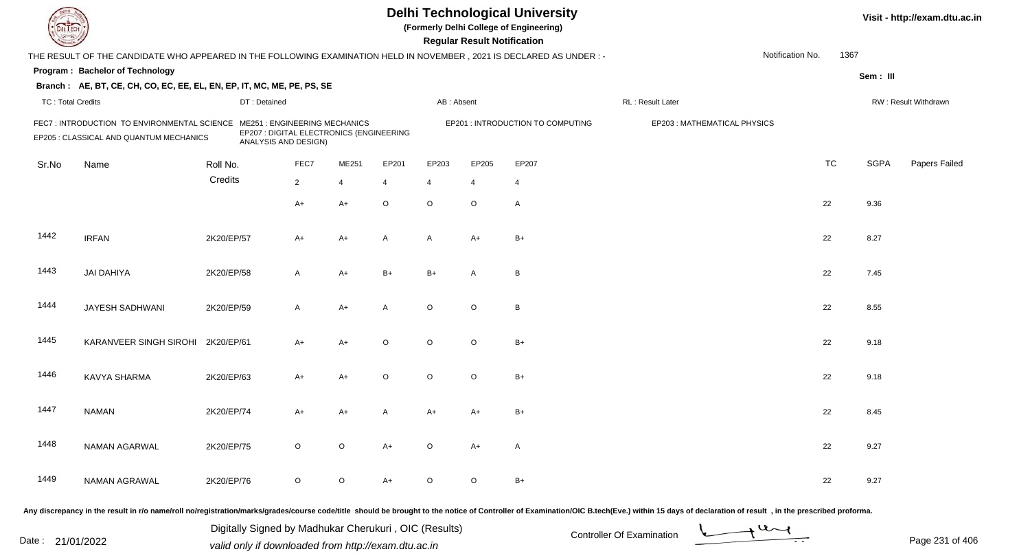| EL EC                    |                                                                                                                     |            |                                                             |                |                                          |                |                | <b>Regular Result Notification</b> | <b>Delhi Technological University</b><br>(Formerly Delhi College of Engineering) |                                                                                                                                                                                                                                |                  |           |             | Visit - http://exam.dtu.ac.in |
|--------------------------|---------------------------------------------------------------------------------------------------------------------|------------|-------------------------------------------------------------|----------------|------------------------------------------|----------------|----------------|------------------------------------|----------------------------------------------------------------------------------|--------------------------------------------------------------------------------------------------------------------------------------------------------------------------------------------------------------------------------|------------------|-----------|-------------|-------------------------------|
|                          | THE RESULT OF THE CANDIDATE WHO APPEARED IN THE FOLLOWING EXAMINATION HELD IN NOVEMBER, 2021 IS DECLARED AS UNDER:- |            |                                                             |                |                                          |                |                |                                    |                                                                                  |                                                                                                                                                                                                                                | Notification No. | 1367      |             |                               |
|                          | Program: Bachelor of Technology                                                                                     |            |                                                             |                |                                          |                |                |                                    |                                                                                  |                                                                                                                                                                                                                                |                  |           | Sem: III    |                               |
|                          | Branch: AE, BT, CE, CH, CO, EC, EE, EL, EN, EP, IT, MC, ME, PE, PS, SE                                              |            |                                                             |                |                                          |                |                |                                    |                                                                                  |                                                                                                                                                                                                                                |                  |           |             |                               |
| <b>TC: Total Credits</b> |                                                                                                                     |            | DT: Detained                                                |                |                                          |                | AB: Absent     |                                    |                                                                                  | RL: Result Later                                                                                                                                                                                                               |                  |           |             | RW: Result Withdrawn          |
|                          | FEC7: INTRODUCTION TO ENVIRONMENTAL SCIENCE<br>EP205 : CLASSICAL AND QUANTUM MECHANICS                              |            | <b>ME251: ENGINEERING MECHANICS</b><br>ANALYSIS AND DESIGN) |                | EP207 : DIGITAL ELECTRONICS (ENGINEERING |                |                |                                    | EP201 : INTRODUCTION TO COMPUTING                                                | EP203: MATHEMATICAL PHYSICS                                                                                                                                                                                                    |                  |           |             |                               |
| Sr.No                    | Name                                                                                                                | Roll No.   |                                                             | FEC7           | ME251                                    | EP201          | EP203          | EP205                              | EP207                                                                            |                                                                                                                                                                                                                                |                  | <b>TC</b> | <b>SGPA</b> | Papers Failed                 |
|                          |                                                                                                                     | Credits    |                                                             | $\overline{2}$ | $\overline{4}$                           | $\overline{4}$ | $\overline{4}$ | $\overline{4}$                     | $\overline{4}$                                                                   |                                                                                                                                                                                                                                |                  |           |             |                               |
|                          |                                                                                                                     |            |                                                             | $A+$           | $A+$                                     | $\circ$        | $\circ$        | $\circ$                            | A                                                                                |                                                                                                                                                                                                                                |                  | 22        | 9.36        |                               |
| 1442                     | <b>IRFAN</b>                                                                                                        | 2K20/EP/57 |                                                             | $A+$           | $A+$                                     | A              | A              | $A+$                               | $B+$                                                                             |                                                                                                                                                                                                                                |                  | 22        | 8.27        |                               |
| 1443                     | <b>JAI DAHIYA</b>                                                                                                   | 2K20/EP/58 |                                                             | $\mathsf{A}$   | $A+$                                     | $B+$           | $B+$           | A                                  | B                                                                                |                                                                                                                                                                                                                                |                  | 22        | 7.45        |                               |
| 1444                     | JAYESH SADHWANI                                                                                                     | 2K20/EP/59 |                                                             | $\overline{A}$ | $A+$                                     | A              | $\circ$        | $\circ$                            | B                                                                                |                                                                                                                                                                                                                                |                  | 22        | 8.55        |                               |
| 1445                     | KARANVEER SINGH SIROHI                                                                                              | 2K20/EP/61 |                                                             | $A+$           | $A+$                                     | $\circ$        | $\circ$        | $\circ$                            | $B+$                                                                             |                                                                                                                                                                                                                                |                  | 22        | 9.18        |                               |
| 1446                     | KAVYA SHARMA                                                                                                        | 2K20/EP/63 |                                                             | $A+$           | $A+$                                     | $\circ$        | $\circ$        | $\circ$                            | $B+$                                                                             |                                                                                                                                                                                                                                |                  | 22        | 9.18        |                               |
| 1447                     | <b>NAMAN</b>                                                                                                        | 2K20/EP/74 |                                                             | $A+$           | A+                                       |                | A+             | A+                                 | $B+$                                                                             |                                                                                                                                                                                                                                |                  | 22        | 8.45        |                               |
| 1448                     | NAMAN AGARWAL                                                                                                       | 2K20/EP/75 |                                                             | $\circ$        | $\circ$                                  | $A+$           | $\circ$        | A+                                 | A                                                                                |                                                                                                                                                                                                                                |                  | 22        | 9.27        |                               |
| 1449                     | NAMAN AGRAWAL                                                                                                       | 2K20/EP/76 |                                                             | $\circ$        | $\circ$                                  | $A+$           | $\circ$        | $\circ$                            | $B+$                                                                             |                                                                                                                                                                                                                                |                  | 22        | 9.27        |                               |
|                          |                                                                                                                     |            |                                                             |                |                                          |                |                |                                    |                                                                                  | Any discrepancy in the result in r/o name/roll no/registration/marks/grades/course code/title should be brought to the notice of Controller of Examination/OIC B.tech(Eve.) within 15 days of declaration of result , in the p |                  |           |             |                               |

Date : 21/01/2022 Digital Digital of Microsofted Chemical Controller Of Examination Determination Page 231 of 40 Digitally Signed by Madhukar Cherukuri , OIC (Results)

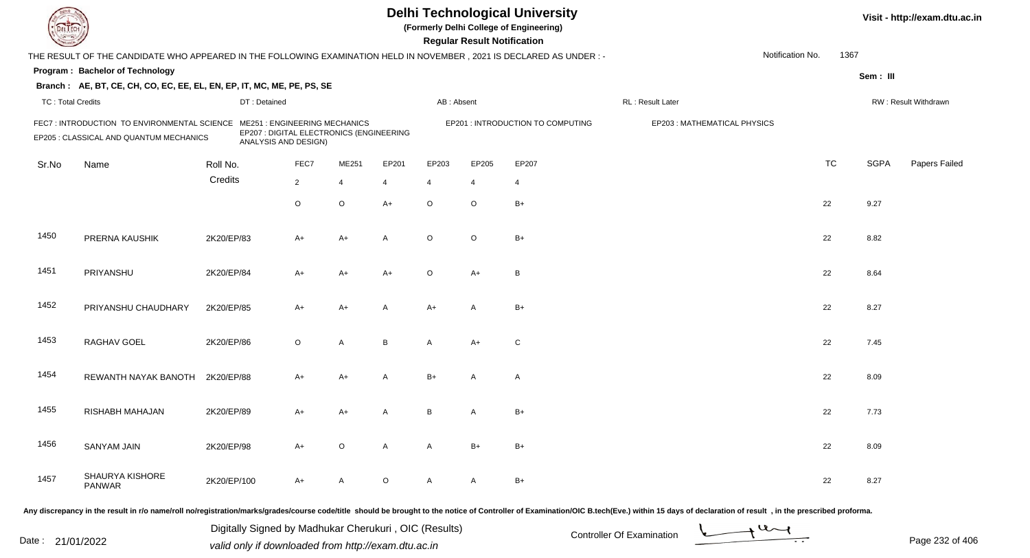|                          |                                                                                                                      |             |                                                                                                         |                |                |         |                | <b>Regular Result Notification</b> | <b>Delhi Technological University</b><br>(Formerly Delhi College of Engineering) |                              |                  |           |             | Visit - http://exam.dtu.ac.in |
|--------------------------|----------------------------------------------------------------------------------------------------------------------|-------------|---------------------------------------------------------------------------------------------------------|----------------|----------------|---------|----------------|------------------------------------|----------------------------------------------------------------------------------|------------------------------|------------------|-----------|-------------|-------------------------------|
|                          | THE RESULT OF THE CANDIDATE WHO APPEARED IN THE FOLLOWING EXAMINATION HELD IN NOVEMBER, 2021 IS DECLARED AS UNDER :- |             |                                                                                                         |                |                |         |                |                                    |                                                                                  |                              | Notification No. | 1367      |             |                               |
|                          | Program: Bachelor of Technology                                                                                      |             |                                                                                                         |                |                |         |                |                                    |                                                                                  |                              |                  |           | Sem: III    |                               |
|                          | Branch: AE, BT, CE, CH, CO, EC, EE, EL, EN, EP, IT, MC, ME, PE, PS, SE                                               |             |                                                                                                         |                |                |         |                |                                    |                                                                                  |                              |                  |           |             |                               |
| <b>TC: Total Credits</b> |                                                                                                                      |             | DT: Detained                                                                                            |                |                |         | AB: Absent     |                                    |                                                                                  | RL: Result Later             |                  |           |             | RW: Result Withdrawn          |
|                          | FEC7 : INTRODUCTION TO ENVIRONMENTAL SCIENCE<br>EP205 : CLASSICAL AND QUANTUM MECHANICS                              |             | <b>ME251: ENGINEERING MECHANICS</b><br>EP207 : DIGITAL ELECTRONICS (ENGINEERING<br>ANALYSIS AND DESIGN) |                |                |         |                |                                    | EP201 : INTRODUCTION TO COMPUTING                                                | EP203 : MATHEMATICAL PHYSICS |                  |           |             |                               |
| Sr.No                    | Name                                                                                                                 | Roll No.    |                                                                                                         | FEC7           | ME251          | EP201   | EP203          | EP205                              | EP207                                                                            |                              |                  | <b>TC</b> | <b>SGPA</b> | Papers Failed                 |
|                          |                                                                                                                      | Credits     |                                                                                                         | $\overline{2}$ | $\overline{4}$ | 4       | $\overline{4}$ | $\overline{4}$                     | $\overline{4}$                                                                   |                              |                  |           |             |                               |
|                          |                                                                                                                      |             |                                                                                                         | $\circ$        | $\mathsf O$    | $A+$    | $\circ$        | $\circ$                            | $B+$                                                                             |                              |                  | 22        | 9.27        |                               |
| 1450                     | PRERNA KAUSHIK                                                                                                       | 2K20/EP/83  |                                                                                                         | $A+$           | $A+$           | A       | $\circ$        | $\circ$                            | $B+$                                                                             |                              |                  | 22        | 8.82        |                               |
| 1451                     | PRIYANSHU                                                                                                            | 2K20/EP/84  |                                                                                                         | A+             | $A+$           | $A+$    | $\circ$        | $A+$                               | B                                                                                |                              |                  | 22        | 8.64        |                               |
| 1452                     | PRIYANSHU CHAUDHARY                                                                                                  | 2K20/EP/85  |                                                                                                         | A+             | $A+$           | A       | $A+$           | A                                  | $B+$                                                                             |                              |                  | 22        | 8.27        |                               |
| 1453                     | RAGHAV GOEL                                                                                                          | 2K20/EP/86  |                                                                                                         | $\circ$        | A              | B       | A              | $A+$                               | $\mathsf{C}$                                                                     |                              |                  | 22        | 7.45        |                               |
| 1454                     | REWANTH NAYAK BANOTH                                                                                                 | 2K20/EP/88  |                                                                                                         | A+             | $A+$           | A       | $B+$           | A                                  | A                                                                                |                              |                  | 22        | 8.09        |                               |
| 1455                     | RISHABH MAHAJAN                                                                                                      | 2K20/EP/89  |                                                                                                         | A+             | A+             | A       | B              | A                                  | $B+$                                                                             |                              |                  | 22        | 7.73        |                               |
| 1456                     | SANYAM JAIN                                                                                                          | 2K20/EP/98  |                                                                                                         | $A+$           | $\circ$        | A       | $\mathsf{A}$   | $B+$                               | $B+$                                                                             |                              |                  | 22        | 8.09        |                               |
| 1457                     | SHAURYA KISHORE<br>PANWAR                                                                                            | 2K20/EP/100 |                                                                                                         | A+             | $\mathsf{A}$   | $\circ$ | A              | A                                  | $B+$                                                                             |                              |                  | 22        | 8.27        |                               |
|                          |                                                                                                                      |             |                                                                                                         |                |                |         |                |                                    |                                                                                  |                              |                  |           |             |                               |

Page 232 of 406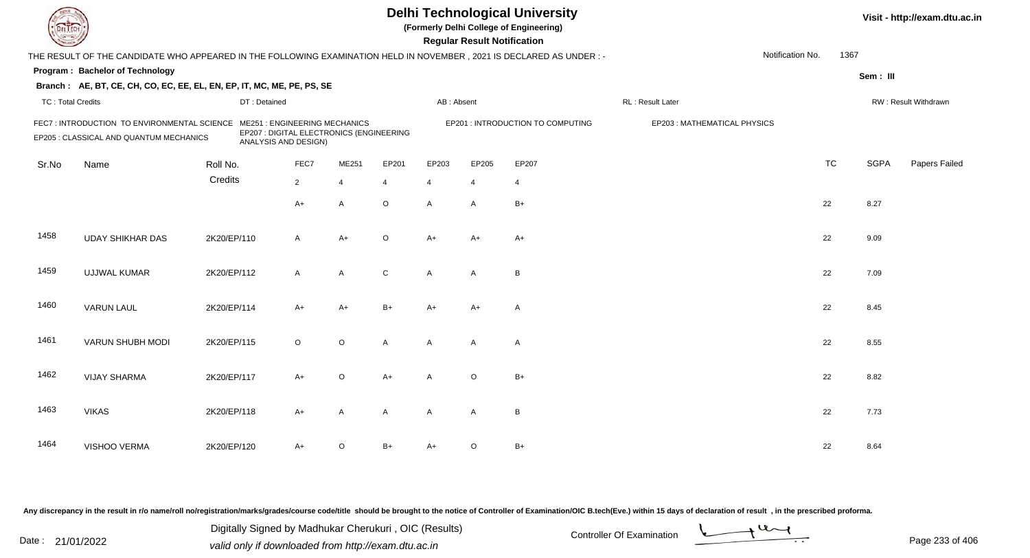|                          |                                                                                                                      |             |                                                                                                         |                |                |                |                | <b>Regular Result Notification</b> | <b>Delhi Technological University</b><br>(Formerly Delhi College of Engineering) |                             |                  |           |             | Visit - http://exam.dtu.ac.in |
|--------------------------|----------------------------------------------------------------------------------------------------------------------|-------------|---------------------------------------------------------------------------------------------------------|----------------|----------------|----------------|----------------|------------------------------------|----------------------------------------------------------------------------------|-----------------------------|------------------|-----------|-------------|-------------------------------|
|                          | THE RESULT OF THE CANDIDATE WHO APPEARED IN THE FOLLOWING EXAMINATION HELD IN NOVEMBER, 2021 IS DECLARED AS UNDER :- |             |                                                                                                         |                |                |                |                |                                    |                                                                                  |                             | Notification No. | 1367      |             |                               |
|                          | Program: Bachelor of Technology                                                                                      |             |                                                                                                         |                |                |                |                |                                    |                                                                                  |                             |                  |           | Sem: III    |                               |
|                          | Branch: AE, BT, CE, CH, CO, EC, EE, EL, EN, EP, IT, MC, ME, PE, PS, SE                                               |             |                                                                                                         |                |                |                |                |                                    |                                                                                  |                             |                  |           |             |                               |
| <b>TC: Total Credits</b> |                                                                                                                      |             | DT: Detained                                                                                            |                |                |                | AB: Absent     |                                    |                                                                                  | RL : Result Later           |                  |           |             | RW: Result Withdrawn          |
|                          | FEC7 : INTRODUCTION TO ENVIRONMENTAL SCIENCE<br>EP205 : CLASSICAL AND QUANTUM MECHANICS                              |             | <b>ME251: ENGINEERING MECHANICS</b><br>EP207 : DIGITAL ELECTRONICS (ENGINEERING<br>ANALYSIS AND DESIGN) |                |                |                |                |                                    | EP201 : INTRODUCTION TO COMPUTING                                                | EP203: MATHEMATICAL PHYSICS |                  |           |             |                               |
| Sr.No                    | Name                                                                                                                 | Roll No.    |                                                                                                         | FEC7           | ME251          | EP201          | EP203          | EP205                              | EP207                                                                            |                             |                  | <b>TC</b> | <b>SGPA</b> | Papers Failed                 |
|                          |                                                                                                                      | Credits     |                                                                                                         | $\overline{2}$ | $\overline{4}$ | $\overline{4}$ | $\overline{4}$ | $\overline{4}$                     | $\overline{4}$                                                                   |                             |                  |           |             |                               |
|                          |                                                                                                                      |             |                                                                                                         | $A+$           | $\overline{A}$ | $\circ$        | $\overline{A}$ | $\mathsf{A}$                       | $B+$                                                                             |                             |                  | 22        | 8.27        |                               |
| 1458                     | <b>UDAY SHIKHAR DAS</b>                                                                                              | 2K20/EP/110 |                                                                                                         | $\mathsf{A}$   | $A+$           | $\circ$        | $A+$           | $A+$                               | $A+$                                                                             |                             |                  | 22        | 9.09        |                               |
| 1459                     | <b>UJJWAL KUMAR</b>                                                                                                  | 2K20/EP/112 |                                                                                                         | $\mathsf{A}$   | $\mathsf{A}$   | $\mathsf{C}$   | A              | A                                  | $\overline{B}$                                                                   |                             |                  | 22        | 7.09        |                               |
| 1460                     | <b>VARUN LAUL</b>                                                                                                    | 2K20/EP/114 |                                                                                                         | $A+$           | $A+$           | $B+$           | $A+$           | $A+$                               | $\overline{\mathsf{A}}$                                                          |                             |                  | 22        | 8.45        |                               |
| 1461                     | VARUN SHUBH MODI                                                                                                     | 2K20/EP/115 |                                                                                                         | $\circ$        | $\mathsf O$    | A              | A              | A                                  | $\overline{A}$                                                                   |                             |                  | 22        | 8.55        |                               |
| 1462                     | <b>VIJAY SHARMA</b>                                                                                                  | 2K20/EP/117 |                                                                                                         | $A+$           | $\circ$        | $A+$           | $\mathsf{A}$   | $\mathsf O$                        | $B+$                                                                             |                             |                  | 22        | 8.82        |                               |
| 1463                     | <b>VIKAS</b>                                                                                                         | 2K20/EP/118 |                                                                                                         | $A+$           | A              | A              | $\mathsf{A}$   | A                                  | $\overline{B}$                                                                   |                             |                  | 22        | 7.73        |                               |
| 1464                     | VISHOO VERMA                                                                                                         | 2K20/EP/120 |                                                                                                         | A+             | $\circ$        | B+             | $A+$           | $\circ$                            | $B+$                                                                             |                             |                  | 22        | 8.64        |                               |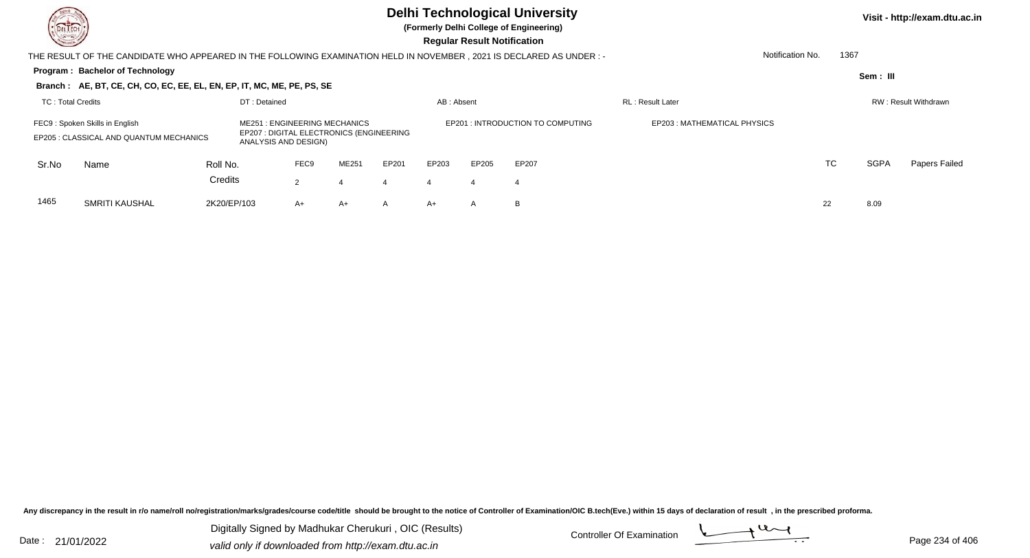

**(Formerly Delhi College of Engineering)**

**Regular Regular Results** 

| <b>Chassen /</b>  |                                                                                                                     |             |                                                                                                         |                      |              |              |            | <b>Regular Result Notification</b> |                                  |                             |                  |      |             |                             |
|-------------------|---------------------------------------------------------------------------------------------------------------------|-------------|---------------------------------------------------------------------------------------------------------|----------------------|--------------|--------------|------------|------------------------------------|----------------------------------|-----------------------------|------------------|------|-------------|-----------------------------|
|                   | THE RESULT OF THE CANDIDATE WHO APPEARED IN THE FOLLOWING EXAMINATION HELD IN NOVEMBER, 2021 IS DECLARED AS UNDER:- |             |                                                                                                         |                      |              |              |            |                                    |                                  |                             | Notification No. | 1367 |             |                             |
|                   | <b>Program: Bachelor of Technology</b>                                                                              |             |                                                                                                         |                      |              |              |            |                                    |                                  |                             |                  |      | Sem: III    |                             |
|                   | Branch: AE, BT, CE, CH, CO, EC, EE, EL, EN, EP, IT, MC, ME, PE, PS, SE                                              |             |                                                                                                         |                      |              |              |            |                                    |                                  |                             |                  |      |             |                             |
| TC: Total Credits |                                                                                                                     |             | DT: Detained                                                                                            |                      |              |              | AB: Absent |                                    |                                  | <b>RL</b> : Result Later    |                  |      |             | <b>RW: Result Withdrawn</b> |
|                   | FEC9: Spoken Skills in English<br>EP205 : CLASSICAL AND QUANTUM MECHANICS                                           |             | <b>ME251: ENGINEERING MECHANICS</b><br>EP207 : DIGITAL ELECTRONICS (ENGINEERING<br>ANALYSIS AND DESIGN) |                      |              |              |            |                                    | EP201: INTRODUCTION TO COMPUTING | EP203: MATHEMATICAL PHYSICS |                  |      |             |                             |
| Sr.No             | Name                                                                                                                | Roll No.    |                                                                                                         | FEC <sub>9</sub>     | <b>ME251</b> | EP201        | EP203      | EP205                              | EP207                            |                             |                  | TC   | <b>SGPA</b> | Papers Failed               |
|                   |                                                                                                                     | Credits     |                                                                                                         | $\mathbf{2}^{\circ}$ | 4            | 4            | 4          | 4                                  | 4                                |                             |                  |      |             |                             |
| 1465              | SMRITI KAUSHAL                                                                                                      | 2K20/EP/103 |                                                                                                         | $A+$                 | A+           | $\mathsf{A}$ | $A+$       | $\mathsf{A}$                       | B                                |                             | 22               |      | 8.09        |                             |

Any discrepancy in the result in r/o name/roll no/registration/marks/grades/course code/title should be brought to the notice of Controller of Examination/OIC B.tech(Eve.) within 15 days of declaration of result, in the pr

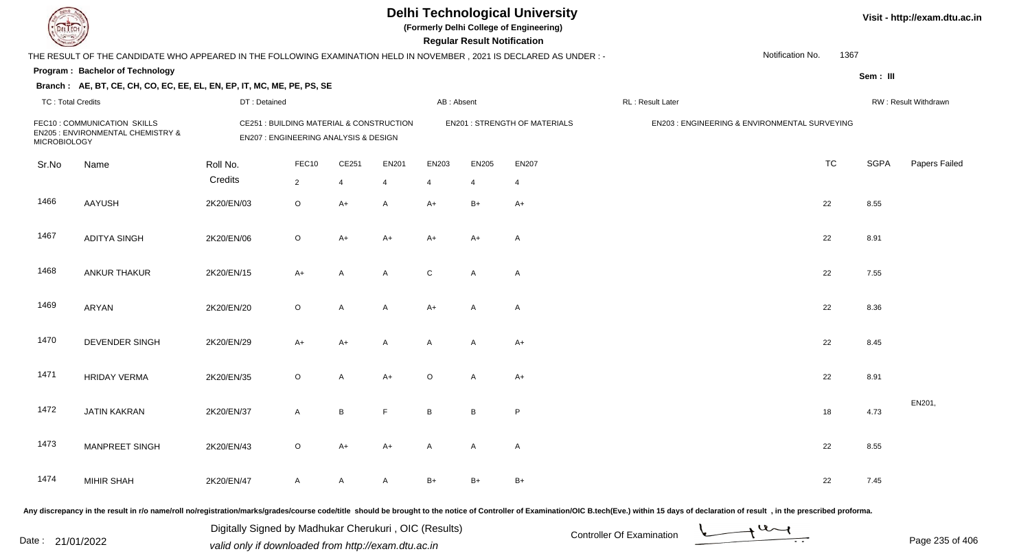**(Formerly Delhi College of Engineering)**

 **Regular Result Notification**

|                          | THE RESULT OF THE CANDIDATE WHO APPEARED IN THE FOLLOWING EXAMINATION HELD IN NOVEMBER, 2021 IS DECLARED AS UNDER :- |              |                                                                                   |       |                |                 |                |                                      |                  | Notification No.                              | 1367        |                      |
|--------------------------|----------------------------------------------------------------------------------------------------------------------|--------------|-----------------------------------------------------------------------------------|-------|----------------|-----------------|----------------|--------------------------------------|------------------|-----------------------------------------------|-------------|----------------------|
|                          | Program: Bachelor of Technology                                                                                      |              |                                                                                   |       |                |                 |                |                                      |                  |                                               | Sem: III    |                      |
| <b>TC: Total Credits</b> | Branch: AE, BT, CE, CH, CO, EC, EE, EL, EN, EP, IT, MC, ME, PE, PS, SE                                               | DT: Detained |                                                                                   |       |                | AB: Absent      |                |                                      | RL: Result Later |                                               |             | RW: Result Withdrawn |
| <b>MICROBIOLOGY</b>      | FEC10: COMMUNICATION SKILLS<br>EN205 : ENVIRONMENTAL CHEMISTRY &                                                     |              | CE251 : BUILDING MATERIAL & CONSTRUCTION<br>EN207 : ENGINEERING ANALYSIS & DESIGN |       |                |                 |                | <b>EN201 : STRENGTH OF MATERIALS</b> |                  | EN203 : ENGINEERING & ENVIRONMENTAL SURVEYING |             |                      |
| Sr.No                    | Name                                                                                                                 | Roll No.     | FEC10                                                                             | CE251 | EN201          | EN203           | <b>EN205</b>   | EN207                                |                  | <b>TC</b>                                     | <b>SGPA</b> | Papers Failec        |
|                          |                                                                                                                      | Credits      | $\overline{2}$                                                                    | 4     | $\overline{4}$ | $\overline{4}$  | $\overline{4}$ | 4                                    |                  |                                               |             |                      |
| 1466                     | <b>AAYUSH</b>                                                                                                        | 2K20/EN/03   | $\circ$                                                                           | $A+$  | A              | $A+$            | $B+$           | $A+$                                 |                  | 22                                            | 8.55        |                      |
| 1467                     | <b>ADITYA SINGH</b>                                                                                                  | 2K20/EN/06   | $\circ$                                                                           | $A+$  | $A+$           | $A+$            | $A+$           | $\mathsf{A}$                         |                  | 22                                            | 8.91        |                      |
| 1468                     | ANKUR THAKUR                                                                                                         | 2K20/EN/15   | $A+$                                                                              | A     | A              | C               | A              | $\mathsf{A}$                         |                  | 22                                            | 7.55        |                      |
| 1469                     | ARYAN                                                                                                                | 2K20/EN/20   | $\circ$                                                                           | A     | A              | $A+$            | $\mathsf{A}$   | $\mathsf{A}$                         |                  | 22                                            | 8.36        |                      |
| 1470                     | DEVENDER SINGH                                                                                                       | 2K20/EN/29   | A+                                                                                | A+    | A              | A               | A              | $A+$                                 |                  | 22                                            | 8.45        |                      |
| 1471                     | <b>HRIDAY VERMA</b>                                                                                                  | 2K20/EN/35   | $\circ$                                                                           | A     | $A+$           | $\circ$         | A              | $A+$                                 |                  | 22                                            | 8.91        |                      |
| 1472                     | <b>JATIN KAKRAN</b>                                                                                                  | 2K20/EN/37   | $\mathsf{A}$                                                                      | В     | F.             | $\, {\bf B} \,$ | $\, {\bf B}$   | P                                    |                  | $18$                                          | 4.73        | EN201,               |
| 1473                     | <b>MANPREET SINGH</b>                                                                                                | 2K20/EN/43   | $\circ$                                                                           | A+    | $A+$           | Α               | A              | $\mathsf{A}$                         |                  | 22                                            | 8.55        |                      |
| 1474                     | <b>MIHIR SHAH</b>                                                                                                    | 2K20/EN/47   | $\mathsf{A}$                                                                      | A     | A              | $B+$            | $B+$           | B+                                   |                  | 22                                            | 7.45        |                      |

Any discrepancy in the result in r/o name/roll no/registration/marks/grades/course code/title should be brought to the notice of Controller of Examination/OIC B.tech(Eve.) within 15 days of declaration of result, in the pr

Date : 21/01/2022 Digital Digital of Microsofted Chemical Controller Of Examination Determination Page 235 of 40 Digitally Signed by Madhukar Cherukuri , OIC (Results)

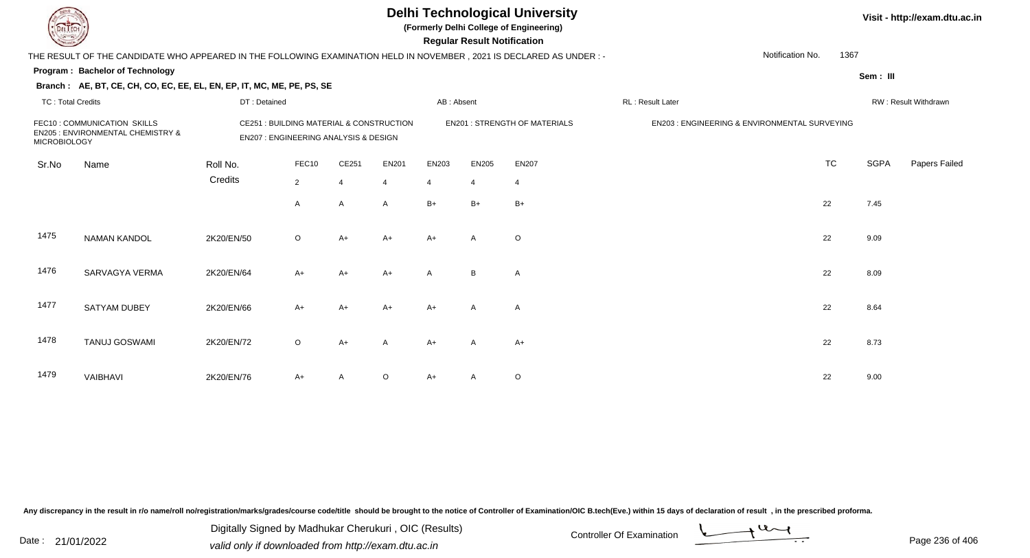|                          |                                                                                                                     |              |                                                                                             |                |                |                  | <b>Regular Result Notification</b> | <b>Delhi Technological University</b><br>(Formerly Delhi College of Engineering) |                                               |           |             | Visit - http://exam.dtu.ac.in |
|--------------------------|---------------------------------------------------------------------------------------------------------------------|--------------|---------------------------------------------------------------------------------------------|----------------|----------------|------------------|------------------------------------|----------------------------------------------------------------------------------|-----------------------------------------------|-----------|-------------|-------------------------------|
|                          | THE RESULT OF THE CANDIDATE WHO APPEARED IN THE FOLLOWING EXAMINATION HELD IN NOVEMBER, 2021 IS DECLARED AS UNDER:- |              |                                                                                             |                |                |                  |                                    |                                                                                  | Notification No.                              | 1367      |             |                               |
|                          | Program: Bachelor of Technology                                                                                     |              |                                                                                             |                |                |                  |                                    |                                                                                  |                                               |           | Sem: III    |                               |
|                          | Branch: AE, BT, CE, CH, CO, EC, EE, EL, EN, EP, IT, MC, ME, PE, PS, SE                                              |              |                                                                                             |                |                |                  |                                    |                                                                                  |                                               |           |             |                               |
| <b>TC: Total Credits</b> |                                                                                                                     | DT: Detained |                                                                                             |                |                | AB: Absent       |                                    |                                                                                  | RL: Result Later                              |           |             | RW: Result Withdrawn          |
| <b>MICROBIOLOGY</b>      | FEC10: COMMUNICATION SKILLS<br>EN205 : ENVIRONMENTAL CHEMISTRY &                                                    |              | CE251 : BUILDING MATERIAL & CONSTRUCTION<br><b>EN207: ENGINEERING ANALYSIS &amp; DESIGN</b> |                |                |                  |                                    | <b>EN201: STRENGTH OF MATERIALS</b>                                              | EN203 : ENGINEERING & ENVIRONMENTAL SURVEYING |           |             |                               |
| Sr.No                    | Name                                                                                                                | Roll No.     | FEC10                                                                                       | CE251          | <b>EN201</b>   | EN203            | <b>EN205</b>                       | <b>EN207</b>                                                                     |                                               | <b>TC</b> | <b>SGPA</b> | Papers Failed                 |
|                          |                                                                                                                     | Credits      | $\overline{2}$                                                                              | $\overline{4}$ |                | $\boldsymbol{4}$ | $\overline{4}$                     | $\overline{4}$                                                                   |                                               |           |             |                               |
|                          |                                                                                                                     |              | A                                                                                           | A              | $\overline{A}$ | $B+$             | $B+$                               | $B+$                                                                             | 22                                            |           | 7.45        |                               |
| 1475                     | <b>NAMAN KANDOL</b>                                                                                                 | 2K20/EN/50   | $\circ$                                                                                     | $A+$           | $A+$           | $A+$             | $\overline{A}$                     | $\circ$                                                                          | 22                                            |           | 9.09        |                               |
| 1476                     | SARVAGYA VERMA                                                                                                      | 2K20/EN/64   | $A+$                                                                                        | $A+$           | A+             | A                | B                                  | A                                                                                | 22                                            |           | 8.09        |                               |
| 1477                     | <b>SATYAM DUBEY</b>                                                                                                 | 2K20/EN/66   | $A+$                                                                                        | A+             | A+             | $A+$             | A                                  | A                                                                                | 22                                            |           | 8.64        |                               |
| 1478                     | <b>TANUJ GOSWAMI</b>                                                                                                | 2K20/EN/72   | $\circ$                                                                                     | $A+$           | A              | $A+$             | A                                  | $A+$                                                                             | 22                                            |           | 8.73        |                               |
| 1479                     | VAIBHAVI                                                                                                            | 2K20/EN/76   | A+                                                                                          | A              | O              | A+               | A                                  | $\mathsf O$                                                                      | 22                                            |           | 9.00        |                               |

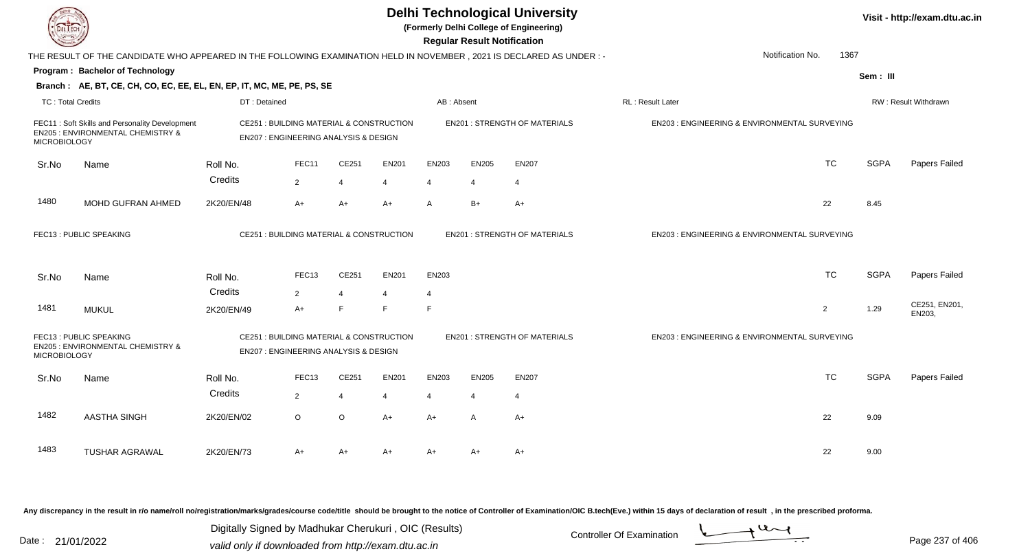| EL ECH                   |                                                                                                                      |                                                                                             |                      |                     |              |                | <b>Regular Result Notification</b> | <b>Delhi Technological University</b><br>(Formerly Delhi College of Engineering) |                                               |                          |             | Visit - http://exam.dtu.ac.in |
|--------------------------|----------------------------------------------------------------------------------------------------------------------|---------------------------------------------------------------------------------------------|----------------------|---------------------|--------------|----------------|------------------------------------|----------------------------------------------------------------------------------|-----------------------------------------------|--------------------------|-------------|-------------------------------|
|                          | THE RESULT OF THE CANDIDATE WHO APPEARED IN THE FOLLOWING EXAMINATION HELD IN NOVEMBER, 2021 IS DECLARED AS UNDER :- |                                                                                             |                      |                     |              |                |                                    |                                                                                  |                                               | Notification No.<br>1367 |             |                               |
|                          | Program: Bachelor of Technology                                                                                      |                                                                                             |                      |                     |              |                |                                    |                                                                                  |                                               |                          | Sem: III    |                               |
|                          | Branch: AE, BT, CE, CH, CO, EC, EE, EL, EN, EP, IT, MC, ME, PE, PS, SE                                               |                                                                                             |                      |                     |              |                |                                    |                                                                                  |                                               |                          |             |                               |
| <b>TC: Total Credits</b> |                                                                                                                      | DT: Detained                                                                                |                      |                     |              | AB: Absent     |                                    |                                                                                  | RL : Result Later                             |                          |             | <b>RW: Result Withdrawn</b>   |
| <b>MICROBIOLOGY</b>      | FEC11: Soft Skills and Personality Development<br><b>EN205 : ENVIRONMENTAL CHEMISTRY &amp;</b>                       | CE251 : BUILDING MATERIAL & CONSTRUCTION<br><b>EN207: ENGINEERING ANALYSIS &amp; DESIGN</b> |                      |                     |              |                |                                    | <b>EN201: STRENGTH OF MATERIALS</b>                                              | EN203 : ENGINEERING & ENVIRONMENTAL SURVEYING |                          |             |                               |
| Sr.No                    | Name                                                                                                                 | Roll No.                                                                                    | FEC11                | CE251               | <b>EN201</b> | EN203          | <b>EN205</b>                       | <b>EN207</b>                                                                     |                                               | <b>TC</b>                | <b>SGPA</b> | Papers Failed                 |
|                          |                                                                                                                      | Credits                                                                                     | 2                    | $\overline{4}$      | 4            | $\overline{4}$ | 4                                  | $\overline{4}$                                                                   |                                               |                          |             |                               |
| 1480                     | MOHD GUFRAN AHMED                                                                                                    | 2K20/EN/48                                                                                  | $A+$                 | $A+$                | $A+$         | $\mathsf{A}$   | $B+$                               | $A+$                                                                             |                                               | 22                       | 8.45        |                               |
|                          | FEC13: PUBLIC SPEAKING                                                                                               | CE251 : BUILDING MATERIAL & CONSTRUCTION                                                    |                      |                     |              |                |                                    | <b>EN201: STRENGTH OF MATERIALS</b>                                              | EN203 : ENGINEERING & ENVIRONMENTAL SURVEYING |                          |             |                               |
| Sr.No                    | Name                                                                                                                 | Roll No.                                                                                    | FEC <sub>13</sub>    | CE251               | <b>EN201</b> | EN203          |                                    |                                                                                  |                                               | <b>TC</b>                | <b>SGPA</b> | Papers Failed                 |
| 1481                     | <b>MUKUL</b>                                                                                                         | Credits<br>2K20/EN/49                                                                       | $\overline{2}$<br>A+ | $\overline{4}$<br>F | E            | 4<br>E         |                                    |                                                                                  |                                               | 2                        | 1.29        | CE251, EN201,<br>EN203.       |
| <b>MICROBIOLOGY</b>      | FEC13: PUBLIC SPEAKING<br>EN205 : ENVIRONMENTAL CHEMISTRY &                                                          | CE251 : BUILDING MATERIAL & CONSTRUCTION<br>EN207 : ENGINEERING ANALYSIS & DESIGN           |                      |                     |              |                |                                    | <b>EN201 : STRENGTH OF MATERIALS</b>                                             | EN203 : ENGINEERING & ENVIRONMENTAL SURVEYING |                          |             |                               |
| Sr.No                    | Name                                                                                                                 | Roll No.                                                                                    | FEC <sub>13</sub>    | CE251               | <b>EN201</b> | EN203          | <b>EN205</b>                       | <b>EN207</b>                                                                     |                                               | <b>TC</b>                | <b>SGPA</b> | Papers Failed                 |
|                          |                                                                                                                      | Credits                                                                                     | 2                    | 4                   | 4            | 4              | $\overline{4}$                     | $\overline{4}$                                                                   |                                               |                          |             |                               |
| 1482                     | AASTHA SINGH                                                                                                         | 2K20/EN/02                                                                                  | $\circ$              | $\circ$             | $A+$         | $A+$           | $\overline{A}$                     | $A+$                                                                             |                                               | 22                       | 9.09        |                               |
| 1483                     | <b>TUSHAR AGRAWAL</b>                                                                                                | 2K20/EN/73                                                                                  | A+                   | $A+$                | $A+$         | $A+$           | A+                                 | A+                                                                               |                                               | 22                       | 9.00        |                               |

Digitally Signed by Madhukar Cherukuri, OIC (Results)<br>Date : 21/01/2022 valid only if downloaded from http://oxam.dtu.ac.in Digitally Signed by Madhukar Cherukuri , OIC (Results)valid only if downloaded from http://exam.dtu.ac.in

Page 237 of 406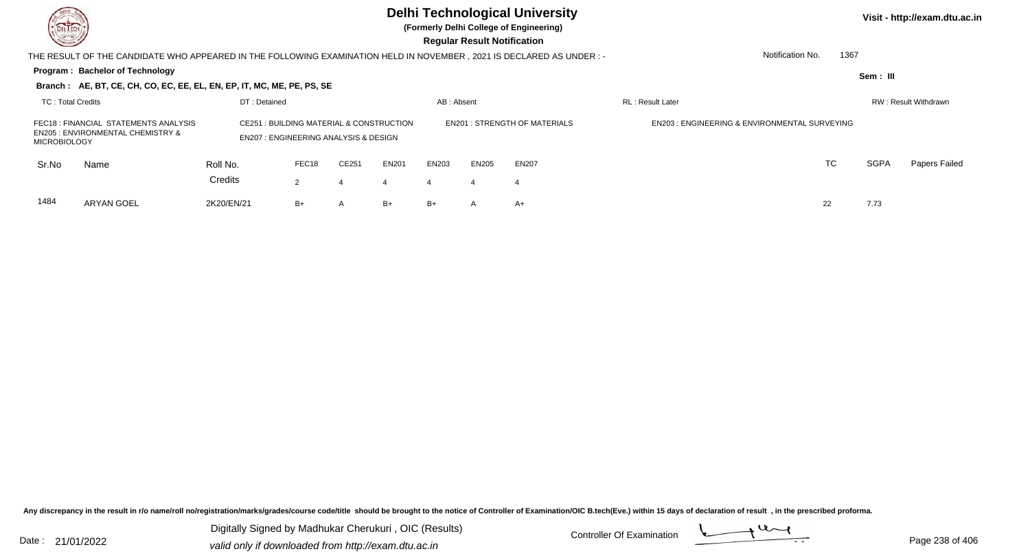**(Formerly Delhi College of Engineering)**

| <b>County</b>       |                                                                                                                     |                                                                                                        |                |                |              |            | <b>Regular Result Notification</b> |                                     |                                                          |                          |          |                      |
|---------------------|---------------------------------------------------------------------------------------------------------------------|--------------------------------------------------------------------------------------------------------|----------------|----------------|--------------|------------|------------------------------------|-------------------------------------|----------------------------------------------------------|--------------------------|----------|----------------------|
|                     | THE RESULT OF THE CANDIDATE WHO APPEARED IN THE FOLLOWING EXAMINATION HELD IN NOVEMBER, 2021 IS DECLARED AS UNDER:- |                                                                                                        |                |                |              |            |                                    |                                     |                                                          | 1367<br>Notification No. |          |                      |
|                     | Program: Bachelor of Technology                                                                                     |                                                                                                        |                |                |              |            |                                    |                                     |                                                          |                          | Sem: III |                      |
|                     | Branch: AE, BT, CE, CH, CO, EC, EE, EL, EN, EP, IT, MC, ME, PE, PS, SE                                              |                                                                                                        |                |                |              |            |                                    |                                     |                                                          |                          |          |                      |
| TC: Total Credits   |                                                                                                                     | DT: Detained                                                                                           |                |                |              | AB: Absent |                                    |                                     | <b>RL: Result Later</b>                                  |                          |          | RW: Result Withdrawn |
| <b>MICROBIOLOGY</b> | FEC18 : FINANCIAL STATEMENTS ANALYSIS<br><b>EN205 : ENVIRONMENTAL CHEMISTRY &amp;</b>                               | <b>CE251 : BUILDING MATERIAL &amp; CONSTRUCTION</b><br><b>EN207: ENGINEERING ANALYSIS &amp; DESIGN</b> |                |                |              |            |                                    | <b>EN201: STRENGTH OF MATERIALS</b> | <b>EN203 : ENGINEERING &amp; ENVIRONMENTAL SURVEYING</b> |                          |          |                      |
| Sr.No               | Name                                                                                                                | Roll No.                                                                                               | FEC18          | CE251          | <b>EN201</b> | EN203      | <b>EN205</b>                       | <b>EN207</b>                        |                                                          | TC                       | SGPA     | Papers Failed        |
|                     |                                                                                                                     | Credits                                                                                                | $\overline{2}$ | 4              | 4            | 4          |                                    |                                     |                                                          |                          |          |                      |
| 1484                | ARYAN GOEL                                                                                                          | 2K20/EN/21                                                                                             | B+             | $\overline{A}$ | $B+$         | $B+$       | A                                  | A+                                  |                                                          | 22                       | 7.73     |                      |

Any discrepancy in the result in r/o name/roll no/registration/marks/grades/course code/title should be brought to the notice of Controller of Examination/OIC B.tech(Eve.) within 15 days of declaration of result, in the pr

Digitally Signed by Madhukar Cherukuri, OIC (Results)<br>Date : 21/01/2022 Controller Of Examination Digitally Signed by Madhukar Cherukuri , OIC (Results)valid only if downloaded from http://exam.dtu.ac.in

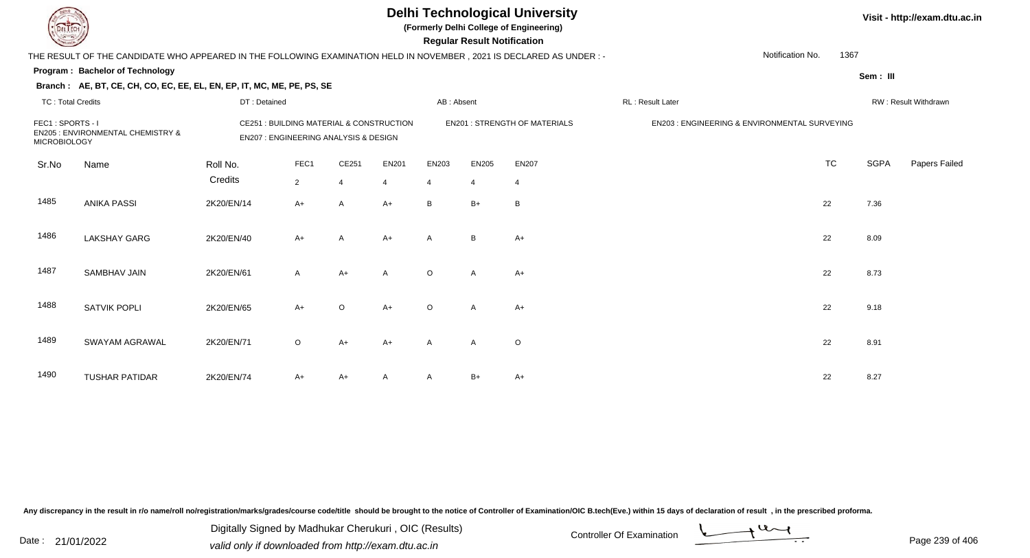**(Formerly Delhi College of Engineering)**

| <b>Courses I</b>                        |                                                                                                                     |              |                                                                                   |                |                |            | <b>Regular Result Notification</b> |                                     |                         |                                               |             |                      |
|-----------------------------------------|---------------------------------------------------------------------------------------------------------------------|--------------|-----------------------------------------------------------------------------------|----------------|----------------|------------|------------------------------------|-------------------------------------|-------------------------|-----------------------------------------------|-------------|----------------------|
|                                         | THE RESULT OF THE CANDIDATE WHO APPEARED IN THE FOLLOWING EXAMINATION HELD IN NOVEMBER, 2021 IS DECLARED AS UNDER:- |              |                                                                                   |                |                |            |                                    |                                     |                         | Notification No.<br>1367                      |             |                      |
|                                         | <b>Program: Bachelor of Technology</b>                                                                              |              |                                                                                   |                |                |            |                                    |                                     |                         |                                               | Sem: III    |                      |
|                                         | Branch: AE, BT, CE, CH, CO, EC, EE, EL, EN, EP, IT, MC, ME, PE, PS, SE                                              |              |                                                                                   |                |                |            |                                    |                                     |                         |                                               |             |                      |
| <b>TC: Total Credits</b>                |                                                                                                                     | DT: Detained |                                                                                   |                |                | AB: Absent |                                    |                                     | <b>RL: Result Later</b> |                                               |             | RW: Result Withdrawn |
| FEC1: SPORTS - I<br><b>MICROBIOLOGY</b> | <b>EN205 : ENVIRONMENTAL CHEMISTRY &amp;</b>                                                                        |              | CE251 : BUILDING MATERIAL & CONSTRUCTION<br>EN207 : ENGINEERING ANALYSIS & DESIGN |                |                |            |                                    | <b>EN201: STRENGTH OF MATERIALS</b> |                         | EN203 : ENGINEERING & ENVIRONMENTAL SURVEYING |             |                      |
| Sr.No                                   | Name                                                                                                                | Roll No.     | FEC1                                                                              | CE251          | EN201          | EN203      | EN205                              | <b>EN207</b>                        |                         | <b>TC</b>                                     | <b>SGPA</b> | Papers Failed        |
|                                         |                                                                                                                     | Credits      | $\overline{2}$                                                                    | $\overline{4}$ | $\overline{4}$ | 4          | $\overline{4}$                     | 4                                   |                         |                                               |             |                      |
| 1485                                    | <b>ANIKA PASSI</b>                                                                                                  | 2K20/EN/14   | $A+$                                                                              | A              | $A+$           | B          | $B+$                               | B                                   |                         | 22                                            | 7.36        |                      |
| 1486                                    | <b>LAKSHAY GARG</b>                                                                                                 | 2K20/EN/40   | $A+$                                                                              | A              | $A+$           | A          | B                                  | $A+$                                |                         | 22                                            | 8.09        |                      |
| 1487                                    | <b>SAMBHAV JAIN</b>                                                                                                 | 2K20/EN/61   | $\mathsf{A}$                                                                      | $A+$           | $\mathsf{A}$   | $\circ$    | Α                                  | $A+$                                |                         | 22                                            | 8.73        |                      |
| 1488                                    | <b>SATVIK POPLI</b>                                                                                                 | 2K20/EN/65   | $A+$                                                                              | $\circ$        | $A+$           | $\circ$    | A                                  | $A+$                                |                         | 22                                            | 9.18        |                      |
| 1489                                    | SWAYAM AGRAWAL                                                                                                      | 2K20/EN/71   | $\circ$                                                                           | $A+$           | $A+$           | A          | A                                  | O                                   |                         | 22                                            | 8.91        |                      |
| 1490                                    | <b>TUSHAR PATIDAR</b>                                                                                               | 2K20/EN/74   | $A+$                                                                              | A+             | Α              | A          | B+                                 | $A+$                                |                         | 22                                            | 8.27        |                      |

Any discrepancy in the result in r/o name/roll no/registration/marks/grades/course code/title should be brought to the notice of Controller of Examination/OIC B.tech(Eve.) within 15 days of declaration of result, in the pr

Digitally Signed by Madhukar Cherukuri, OIC (Results)<br>Date : 21/01/2022 Controller Of Examination Digitally Signed by Madhukar Cherukuri , OIC (Results)valid only if downloaded from http://exam.dtu.ac.in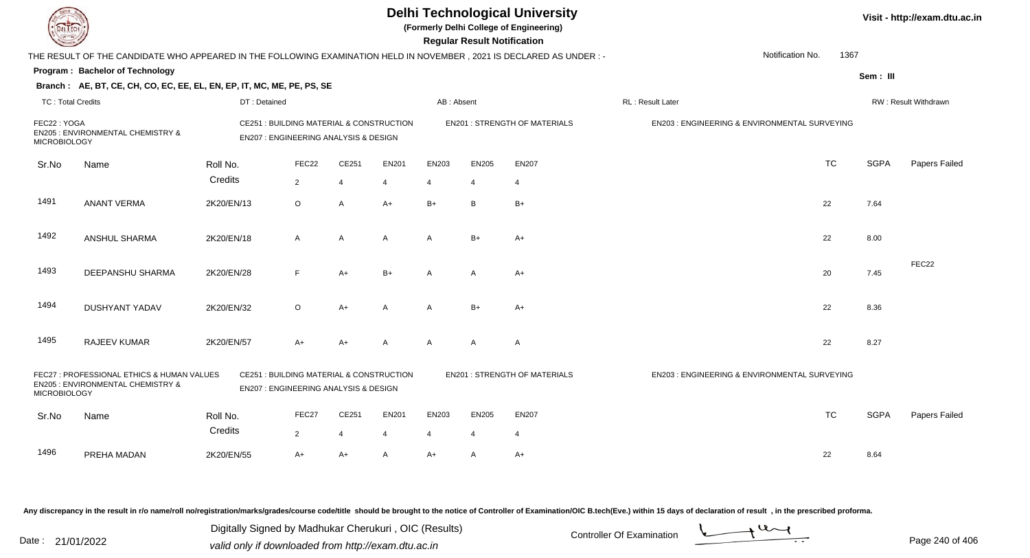|                                    |                                                                                                                        |                                                                                             |                |                |              |                | <b>Regular Result Notification</b> | <b>Delhi Technological University</b><br>(Formerly Delhi College of Engineering) |                                                         |                          |             | Visit - http://exam.dtu.ac.in |
|------------------------------------|------------------------------------------------------------------------------------------------------------------------|---------------------------------------------------------------------------------------------|----------------|----------------|--------------|----------------|------------------------------------|----------------------------------------------------------------------------------|---------------------------------------------------------|--------------------------|-------------|-------------------------------|
|                                    | THE RESULT OF THE CANDIDATE WHO APPEARED IN THE FOLLOWING EXAMINATION HELD IN NOVEMBER , 2021 IS DECLARED AS UNDER : - |                                                                                             |                |                |              |                |                                    |                                                                                  |                                                         | Notification No.<br>1367 |             |                               |
|                                    | Program: Bachelor of Technology                                                                                        |                                                                                             |                |                |              |                |                                    |                                                                                  |                                                         |                          | Sem: III    |                               |
|                                    | Branch: AE, BT, CE, CH, CO, EC, EE, EL, EN, EP, IT, MC, ME, PE, PS, SE                                                 |                                                                                             |                |                |              |                |                                    |                                                                                  |                                                         |                          |             |                               |
| <b>TC: Total Credits</b>           |                                                                                                                        | DT: Detained                                                                                |                |                |              | AB: Absent     |                                    |                                                                                  | RL: Result Later                                        |                          |             | RW: Result Withdrawn          |
| FEC22: YOGA<br><b>MICROBIOLOGY</b> | <b>EN205: ENVIRONMENTAL CHEMISTRY &amp;</b>                                                                            | CE251 : BUILDING MATERIAL & CONSTRUCTION<br>EN207 : ENGINEERING ANALYSIS & DESIGN           |                |                |              |                |                                    | <b>EN201: STRENGTH OF MATERIALS</b>                                              | EN203 : ENGINEERING & ENVIRONMENTAL SURVEYING           |                          |             |                               |
| Sr.No                              | Name                                                                                                                   | Roll No.                                                                                    | FEC22          | CE251          | <b>EN201</b> | EN203          | <b>EN205</b>                       | <b>EN207</b>                                                                     |                                                         | <b>TC</b>                | <b>SGPA</b> | Papers Failed                 |
|                                    |                                                                                                                        | Credits                                                                                     | $\overline{2}$ | $\overline{4}$ | 4            | 4              | $\overline{4}$                     | $\overline{4}$                                                                   |                                                         |                          |             |                               |
| 1491                               | <b>ANANT VERMA</b>                                                                                                     | 2K20/EN/13                                                                                  | $\circ$        | $\overline{A}$ | $A+$         | $B+$           | B                                  | $B+$                                                                             |                                                         | 22                       | 7.64        |                               |
| 1492                               | ANSHUL SHARMA                                                                                                          | 2K20/EN/18                                                                                  | $\mathsf{A}$   | $\overline{A}$ | $\mathsf{A}$ | $\mathsf{A}$   | $B+$                               | $A+$                                                                             |                                                         | 22                       | 8.00        |                               |
| 1493                               | DEEPANSHU SHARMA                                                                                                       | 2K20/EN/28                                                                                  | E              | $A+$           | $B+$         | $\mathsf{A}$   | A                                  | A+                                                                               |                                                         | 20                       | 7.45        | FEC22                         |
| 1494                               | <b>DUSHYANT YADAV</b>                                                                                                  | 2K20/EN/32                                                                                  | $\circ$        | $A+$           | A            | $\mathsf{A}$   | $B+$                               | $A+$                                                                             |                                                         | 22                       | 8.36        |                               |
| 1495                               | RAJEEV KUMAR                                                                                                           | 2K20/EN/57                                                                                  | $A+$           | $A+$           | A            | A              | A                                  | $\overline{A}$                                                                   |                                                         | 22                       | 8.27        |                               |
| <b>MICROBIOLOGY</b>                | FEC27 : PROFESSIONAL ETHICS & HUMAN VALUES<br>EN205 : ENVIRONMENTAL CHEMISTRY &                                        | CE251 : BUILDING MATERIAL & CONSTRUCTION<br><b>EN207: ENGINEERING ANALYSIS &amp; DESIGN</b> |                |                |              |                |                                    | <b>EN201 : STRENGTH OF MATERIALS</b>                                             | <b>EN203: ENGINEERING &amp; ENVIRONMENTAL SURVEYING</b> |                          |             |                               |
| Sr.No                              | Name                                                                                                                   | Roll No.                                                                                    | FEC27          | CE251          | <b>EN201</b> | EN203          | <b>EN205</b>                       | <b>EN207</b>                                                                     |                                                         | <b>TC</b>                | <b>SGPA</b> | Papers Failed                 |
|                                    |                                                                                                                        | Credits                                                                                     | $\overline{2}$ | $\overline{4}$ | 4            | $\overline{4}$ | $\overline{4}$                     | $\overline{4}$                                                                   |                                                         |                          |             |                               |
| 1496                               | PREHA MADAN                                                                                                            | 2K20/EN/55                                                                                  | A+             | $A+$           | A            | $A+$           | A                                  | $A+$                                                                             |                                                         | 22                       | 8.64        |                               |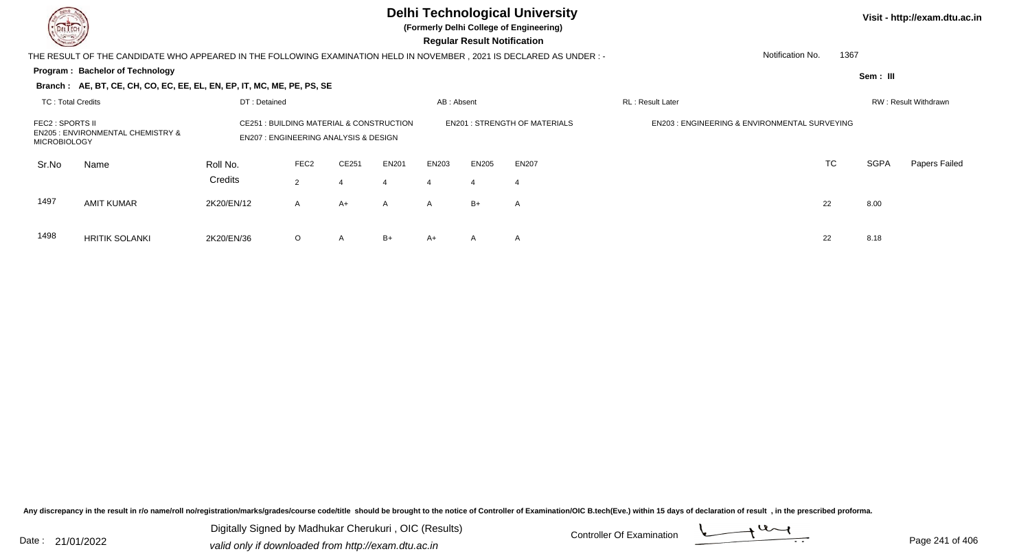**(Formerly Delhi College of Engineering)**

 **Regular Result Notification**

|                                         | THE RESULT OF THE CANDIDATE WHO APPEARED IN THE FOLLOWING EXAMINATION HELD IN NOVEMBER, 2021 IS DECLARED AS UNDER :- |                                                                                                |                  |              |                                     |              |              |                                                         |                  | Notification No. | 1367     |                      |
|-----------------------------------------|----------------------------------------------------------------------------------------------------------------------|------------------------------------------------------------------------------------------------|------------------|--------------|-------------------------------------|--------------|--------------|---------------------------------------------------------|------------------|------------------|----------|----------------------|
|                                         | <b>Program: Bachelor of Technology</b>                                                                               |                                                                                                |                  |              |                                     |              |              |                                                         |                  |                  | Sem: III |                      |
|                                         | Branch: AE, BT, CE, CH, CO, EC, EE, EL, EN, EP, IT, MC, ME, PE, PS, SE                                               |                                                                                                |                  |              |                                     |              |              |                                                         |                  |                  |          |                      |
| TC: Total Credits                       |                                                                                                                      | DT: Detained                                                                                   |                  |              |                                     | AB: Absent   |              |                                                         | RL: Result Later |                  |          | RW: Result Withdrawn |
| FEC2 : SPORTS II<br><b>MICROBIOLOGY</b> | <b>EN205 : ENVIRONMENTAL CHEMISTRY &amp;</b>                                                                         | : BUILDING MATERIAL & CONSTRUCTION<br>CE251<br><b>EN207: ENGINEERING ANALYSIS &amp; DESIGN</b> |                  |              | <b>EN201: STRENGTH OF MATERIALS</b> |              |              | <b>EN203: ENGINEERING &amp; ENVIRONMENTAL SURVEYING</b> |                  |                  |          |                      |
| Sr.No                                   | Name                                                                                                                 | Roll No.                                                                                       | FEC <sub>2</sub> | CE251        | <b>EN201</b>                        | EN203        | EN205        | <b>EN207</b>                                            |                  | TC               | SGPA     | <b>Papers Failed</b> |
|                                         |                                                                                                                      | Credits                                                                                        | 2                |              | 4                                   | 4            | 4            |                                                         |                  |                  |          |                      |
| 1497                                    | <b>AMIT KUMAR</b>                                                                                                    | 2K20/EN/12                                                                                     | $\mathsf{A}$     | $A+$         | $\mathsf{A}$                        | $\mathsf{A}$ | $B+$         | A                                                       |                  | 22               | 8.00     |                      |
| 1498                                    | <b>HRITIK SOLANKI</b>                                                                                                | 2K20/EN/36                                                                                     | $\circ$          | $\mathsf{A}$ | $B+$                                | A+           | $\mathsf{A}$ | A                                                       |                  | 22               | 8.18     |                      |

Any discrepancy in the result in r/o name/roll no/registration/marks/grades/course code/title should be brought to the notice of Controller of Examination/OIC B.tech(Eve.) within 15 days of declaration of result, in the pr

Date : 21/01/2022 Digital Digital of Controller Of Examination Determination Date : 21/01/2022 valid only if downloaded from http://exam.dtu.ac.in Digitally Signed by Madhukar Cherukuri , OIC (Results)

6 O

O A B+ A+ A A <br>
22 8.18

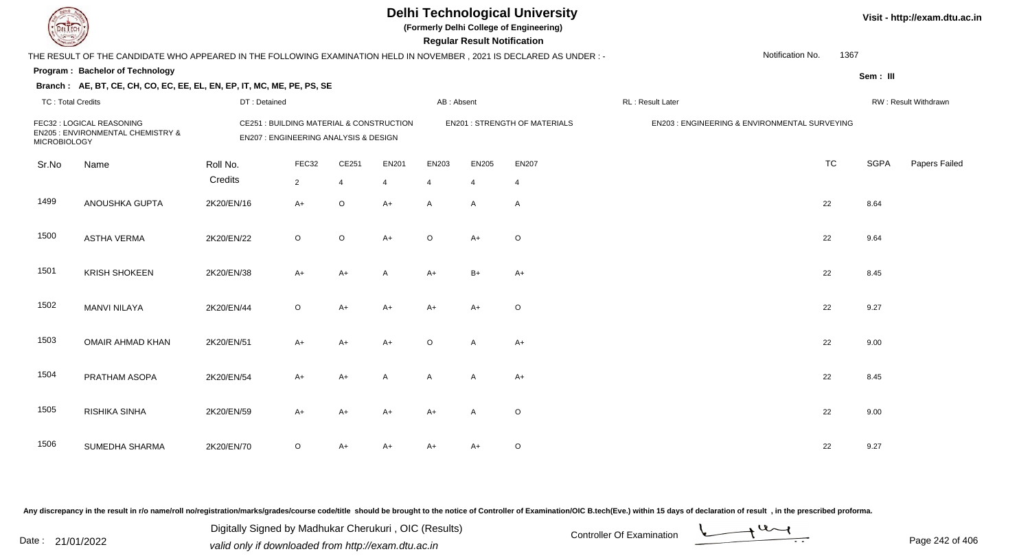**(Formerly Delhi College of Engineering)**

 **Regular Result Notification**

|                          | THE RESULT OF THE CANDIDATE WHO APPEARED IN THE FOLLOWING EXAMINATION HELD IN NOVEMBER, 2021 IS DECLARED AS UNDER :- |                     |                                                                                   |                         |                         |                         |                   |                                      |                  | Notification No.                              | 1367 |             |                      |
|--------------------------|----------------------------------------------------------------------------------------------------------------------|---------------------|-----------------------------------------------------------------------------------|-------------------------|-------------------------|-------------------------|-------------------|--------------------------------------|------------------|-----------------------------------------------|------|-------------|----------------------|
|                          | <b>Program: Bachelor of Technology</b>                                                                               |                     |                                                                                   |                         |                         |                         |                   |                                      |                  |                                               |      | Sem: III    |                      |
|                          | Branch: AE, BT, CE, CH, CO, EC, EE, EL, EN, EP, IT, MC, ME, PE, PS, SE                                               |                     |                                                                                   |                         |                         |                         |                   |                                      |                  |                                               |      |             |                      |
| <b>TC: Total Credits</b> |                                                                                                                      | DT: Detained        |                                                                                   |                         |                         | AB: Absent              |                   |                                      | RL: Result Later |                                               |      |             | RW: Result Withdrawn |
| <b>MICROBIOLOGY</b>      | FEC32 : LOGICAL REASONING<br>EN205 : ENVIRONMENTAL CHEMISTRY &                                                       |                     | CE251 : BUILDING MATERIAL & CONSTRUCTION<br>EN207 : ENGINEERING ANALYSIS & DESIGN |                         |                         |                         |                   | <b>EN201 : STRENGTH OF MATERIALS</b> |                  | EN203 : ENGINEERING & ENVIRONMENTAL SURVEYING |      |             |                      |
| Sr.No                    | Name                                                                                                                 | Roll No.<br>Credits | FEC32<br>$\overline{2}$                                                           | CE251<br>$\overline{4}$ | EN201<br>$\overline{4}$ | EN203<br>$\overline{4}$ | <b>EN205</b><br>4 | <b>EN207</b><br>$\overline{4}$       |                  | <b>TC</b>                                     |      | <b>SGPA</b> | Papers Failec        |
| 1499                     | ANOUSHKA GUPTA                                                                                                       | 2K20/EN/16          | $A+$                                                                              | $\circ$                 | $A+$                    | A                       | A                 | $\mathsf{A}$                         |                  | 22                                            |      | 8.64        |                      |
| 1500                     | ASTHA VERMA                                                                                                          | 2K20/EN/22          | $\circ$                                                                           | O                       | $A+$                    | $\circ$                 | A+                | $\circ$                              |                  | 22                                            |      | 9.64        |                      |
| 1501                     | <b>KRISH SHOKEEN</b>                                                                                                 | 2K20/EN/38          | $A+$                                                                              | $A+$                    | A                       | $A+$                    | $B+$              | $A+$                                 |                  | 22                                            |      | 8.45        |                      |
| 1502                     | <b>MANVI NILAYA</b>                                                                                                  | 2K20/EN/44          | $\circ$                                                                           | $A+$                    | $A+$                    | $A+$                    | $A+$              | $\circ$                              |                  | 22                                            |      | 9.27        |                      |
| 1503                     | OMAIR AHMAD KHAN                                                                                                     | 2K20/EN/51          | $A+$                                                                              | A+                      | $A+$                    | $\circ$                 | A                 | $A+$                                 |                  | 22                                            |      | 9.00        |                      |
| 1504                     | PRATHAM ASOPA                                                                                                        | 2K20/EN/54          | $A+$                                                                              | A+                      | A                       | Α                       | Α                 | $A+$                                 |                  | 22                                            |      | 8.45        |                      |
| 1505                     | RISHIKA SINHA                                                                                                        | 2K20/EN/59          | $A+$                                                                              | A+                      | A+                      | $A+$                    | Α                 | $\circ$                              |                  | 22                                            |      | 9.00        |                      |
| 1506                     | SUMEDHA SHARMA                                                                                                       | 2K20/EN/70          | $\circ$                                                                           | A+                      | A+                      | A+                      | $A+$              | $\circ$                              |                  | 22                                            |      | 9.27        |                      |

Any discrepancy in the result in r/o name/roll no/registration/marks/grades/course code/title should be brought to the notice of Controller of Examination/OIC B.tech(Eve.) within 15 days of declaration of result, in the pr

Date : 21/01/2022 Digital Digital of Microsofted Chemical Controller Of Examination Determination Page 242 of 40 Digitally Signed by Madhukar Cherukuri , OIC (Results)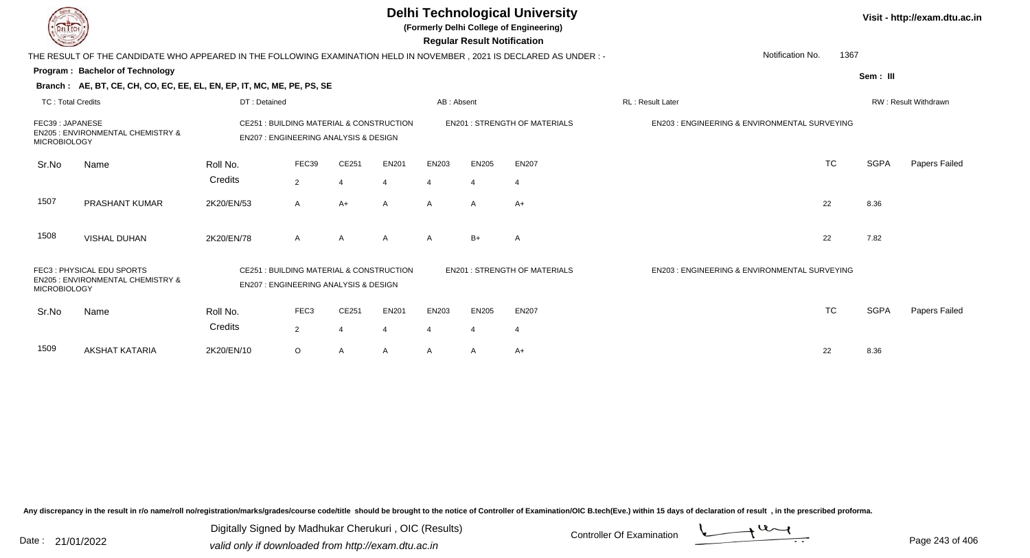|                                        |                                                                                                                                            |                                                                                             |                |                |                |                       | <b>Regular Result Notification</b> | <b>Delhi Technological University</b><br>(Formerly Delhi College of Engineering) |                                                         |           |             | Visit - http://exam.dtu.ac.in |
|----------------------------------------|--------------------------------------------------------------------------------------------------------------------------------------------|---------------------------------------------------------------------------------------------|----------------|----------------|----------------|-----------------------|------------------------------------|----------------------------------------------------------------------------------|---------------------------------------------------------|-----------|-------------|-------------------------------|
|                                        | THE RESULT OF THE CANDIDATE WHO APPEARED IN THE FOLLOWING EXAMINATION HELD IN NOVEMBER, 2021 IS DECLARED AS UNDER :-                       |                                                                                             |                |                |                |                       |                                    |                                                                                  | Notification No.                                        | 1367      |             |                               |
|                                        | Program: Bachelor of Technology                                                                                                            |                                                                                             |                |                |                |                       |                                    |                                                                                  |                                                         |           | Sem: III    |                               |
|                                        | Branch: AE, BT, CE, CH, CO, EC, EE, EL, EN, EP, IT, MC, ME, PE, PS, SE                                                                     |                                                                                             |                |                |                |                       |                                    |                                                                                  |                                                         |           |             |                               |
| <b>TC: Total Credits</b>               |                                                                                                                                            | DT: Detained                                                                                |                |                |                | AB: Absent            |                                    |                                                                                  | RL: Result Later                                        |           |             | RW: Result Withdrawn          |
| FEC39: JAPANESE<br><b>MICROBIOLOGY</b> | CE251 : BUILDING MATERIAL & CONSTRUCTION<br><b>EN205: ENVIRONMENTAL CHEMISTRY &amp;</b><br><b>EN207: ENGINEERING ANALYSIS &amp; DESIGN</b> |                                                                                             |                |                |                |                       |                                    | <b>EN201: STRENGTH OF MATERIALS</b>                                              | <b>EN203: ENGINEERING &amp; ENVIRONMENTAL SURVEYING</b> |           |             |                               |
| Sr.No                                  | Name                                                                                                                                       | Roll No.                                                                                    | FEC39          | CE251          | <b>EN201</b>   | EN203                 | <b>EN205</b>                       | <b>EN207</b>                                                                     |                                                         | <b>TC</b> | <b>SGPA</b> | Papers Failed                 |
|                                        |                                                                                                                                            | Credits                                                                                     | $\overline{2}$ | 4              | $\overline{4}$ |                       |                                    | 4                                                                                |                                                         |           |             |                               |
| 1507                                   | <b>PRASHANT KUMAR</b>                                                                                                                      | 2K20/EN/53                                                                                  | $\overline{A}$ | $A+$           | $\mathsf{A}$   | $\mathsf{A}$          | A                                  | $A+$                                                                             |                                                         | 22        | 8.36        |                               |
| 1508                                   | <b>VISHAL DUHAN</b>                                                                                                                        | 2K20/EN/78                                                                                  | $\overline{A}$ | A              | A              | A                     | $B+$                               | $\mathsf{A}$                                                                     |                                                         | 22        | 7.82        |                               |
| <b>MICROBIOLOGY</b>                    | FEC3: PHYSICAL EDU SPORTS<br><b>EN205: ENVIRONMENTAL CHEMISTRY &amp;</b>                                                                   | CE251 : BUILDING MATERIAL & CONSTRUCTION<br><b>EN207: ENGINEERING ANALYSIS &amp; DESIGN</b> |                |                |                |                       |                                    | <b>EN201 : STRENGTH OF MATERIALS</b>                                             | EN203 : ENGINEERING & ENVIRONMENTAL SURVEYING           |           |             |                               |
| Sr.No                                  | Name                                                                                                                                       | Roll No.                                                                                    | FEC3           | CE251          | <b>EN201</b>   | EN203                 | <b>EN205</b>                       | <b>EN207</b>                                                                     |                                                         | <b>TC</b> | <b>SGPA</b> | Papers Failed                 |
|                                        |                                                                                                                                            | Credits                                                                                     | 2              | $\overline{4}$ | 4              | $\boldsymbol{\Delta}$ | 4                                  | $\overline{4}$                                                                   |                                                         |           |             |                               |
| 1509                                   | AKSHAT KATARIA                                                                                                                             | 2K20/EN/10                                                                                  | $\circ$        | A              | A              | A                     | A                                  | $A+$                                                                             |                                                         | 22        | 8.36        |                               |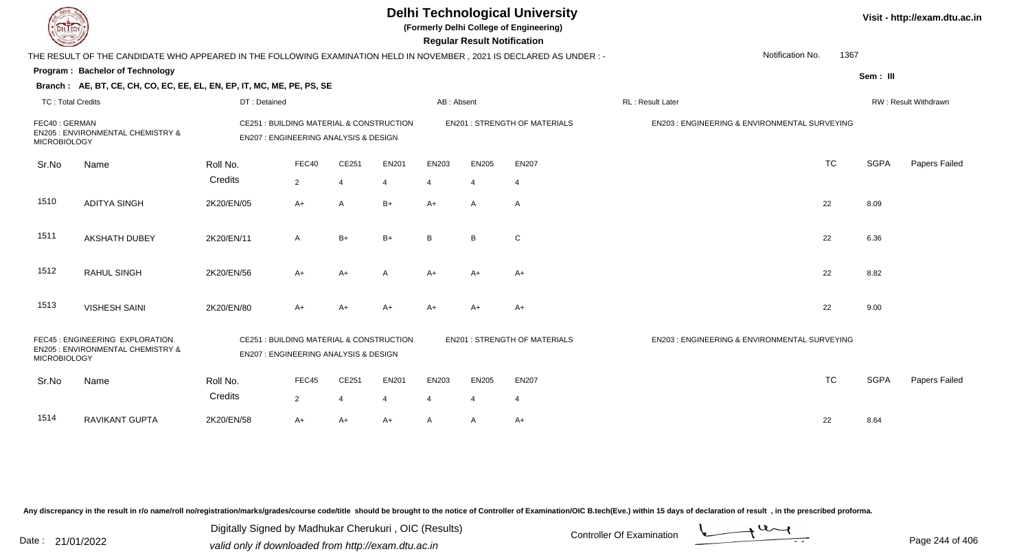|                                      |                                                                                                                      |                     |                                                                                   |                |       | <b>Delhi Technological University</b><br>(Formerly Delhi College of Engineering)<br><b>Regular Result Notification</b> |                | Visit - http://exam.dtu.ac.in        |                                               |           |             |                      |
|--------------------------------------|----------------------------------------------------------------------------------------------------------------------|---------------------|-----------------------------------------------------------------------------------|----------------|-------|------------------------------------------------------------------------------------------------------------------------|----------------|--------------------------------------|-----------------------------------------------|-----------|-------------|----------------------|
|                                      | THE RESULT OF THE CANDIDATE WHO APPEARED IN THE FOLLOWING EXAMINATION HELD IN NOVEMBER, 2021 IS DECLARED AS UNDER :- |                     |                                                                                   |                |       |                                                                                                                        |                |                                      | Notification No.                              | 1367      |             |                      |
|                                      | Program: Bachelor of Technology                                                                                      |                     |                                                                                   |                |       |                                                                                                                        |                |                                      |                                               |           | Sem: III    |                      |
|                                      | Branch: AE, BT, CE, CH, CO, EC, EE, EL, EN, EP, IT, MC, ME, PE, PS, SE                                               |                     |                                                                                   |                |       |                                                                                                                        |                |                                      |                                               |           |             |                      |
| TC: Total Credits                    |                                                                                                                      | DT: Detained        |                                                                                   |                |       | AB: Absent                                                                                                             |                |                                      | <b>RL: Result Later</b>                       |           |             | RW: Result Withdrawn |
| FEC40: GERMAN<br><b>MICROBIOLOGY</b> | EN205 : ENVIRONMENTAL CHEMISTRY &                                                                                    |                     | CE251 : BUILDING MATERIAL & CONSTRUCTION<br>EN207 : ENGINEERING ANALYSIS & DESIGN |                |       |                                                                                                                        |                | <b>EN201 : STRENGTH OF MATERIALS</b> | EN203 : ENGINEERING & ENVIRONMENTAL SURVEYING |           |             |                      |
| Sr.No                                | Name                                                                                                                 | Roll No.            | FEC40                                                                             | CE251          | EN201 | EN203                                                                                                                  | <b>EN205</b>   | <b>EN207</b>                         |                                               | <b>TC</b> | <b>SGPA</b> | Papers Failed        |
|                                      |                                                                                                                      | Credits             | $\overline{2}$                                                                    | $\overline{4}$ | 4     | $\boldsymbol{\Delta}$                                                                                                  | 4              | $\overline{4}$                       |                                               |           |             |                      |
| 1510                                 | <b>ADITYA SINGH</b>                                                                                                  | 2K20/EN/05          | $A+$                                                                              | A              | $B+$  | $A+$                                                                                                                   | $\mathsf{A}$   | A                                    |                                               | 22        | 8.09        |                      |
| 1511                                 | <b>AKSHATH DUBEY</b>                                                                                                 | 2K20/EN/11          | A                                                                                 | $B+$           | B+    | B <sub>1</sub>                                                                                                         | B.             | C                                    |                                               | 22        | 6.36        |                      |
| 1512                                 | <b>RAHUL SINGH</b>                                                                                                   | 2K20/EN/56          | A+                                                                                | A+             | Α     | A+                                                                                                                     | $A+$           | $A+$                                 |                                               | 22        | 8.82        |                      |
| 1513                                 | <b>VISHESH SAINI</b>                                                                                                 | 2K20/EN/80          | A+                                                                                | A+             | A+    | $A+$                                                                                                                   | $A+$           | $A+$                                 |                                               | 22        | 9.00        |                      |
| <b>MICROBIOLOGY</b>                  | FEC45 : ENGINEERING EXPLORATION<br>EN205 : ENVIRONMENTAL CHEMISTRY &                                                 |                     | CE251 : BUILDING MATERIAL & CONSTRUCTION<br>EN207 : ENGINEERING ANALYSIS & DESIGN |                |       |                                                                                                                        |                | <b>EN201 : STRENGTH OF MATERIALS</b> | EN203 : ENGINEERING & ENVIRONMENTAL SURVEYING |           |             |                      |
| Sr.No                                | Name                                                                                                                 | Roll No.<br>Credits | FEC45                                                                             | CE251          | EN201 | EN203                                                                                                                  | <b>EN205</b>   | <b>EN207</b>                         |                                               | <b>TC</b> | <b>SGPA</b> | Papers Failed        |
|                                      |                                                                                                                      |                     | $\overline{2}$                                                                    | 4              | 4     | $\overline{4}$                                                                                                         | $\overline{4}$ | 4                                    |                                               |           |             |                      |
| 1514                                 | RAVIKANT GUPTA                                                                                                       | 2K20/EN/58          | A+                                                                                | $A+$           | A+    | $\mathsf{A}$                                                                                                           | A              | $A+$                                 |                                               | 22        | 8.64        |                      |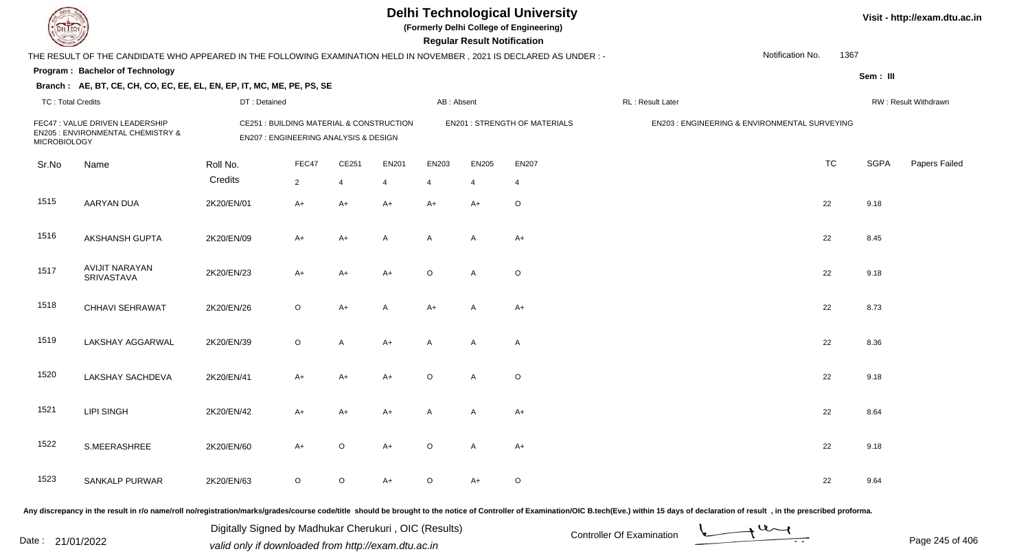**(Formerly Delhi College of Engineering)**

**Regular Regular Results Notification** 

| <b>Course of Second Service</b> |                                                                                                                      |              |                                                                                             |                |                |            | <b>Regular Result Notification</b> |                                      |                   |                                               |                              |
|---------------------------------|----------------------------------------------------------------------------------------------------------------------|--------------|---------------------------------------------------------------------------------------------|----------------|----------------|------------|------------------------------------|--------------------------------------|-------------------|-----------------------------------------------|------------------------------|
|                                 | THE RESULT OF THE CANDIDATE WHO APPEARED IN THE FOLLOWING EXAMINATION HELD IN NOVEMBER, 2021 IS DECLARED AS UNDER :- |              |                                                                                             |                |                |            |                                    |                                      |                   | Notification No.<br>1367                      |                              |
|                                 | Program: Bachelor of Technology                                                                                      |              |                                                                                             |                |                |            |                                    |                                      |                   |                                               | Sem: III                     |
|                                 | Branch: AE, BT, CE, CH, CO, EC, EE, EL, EN, EP, IT, MC, ME, PE, PS, SE                                               |              |                                                                                             |                |                |            |                                    |                                      |                   |                                               |                              |
| <b>TC: Total Credits</b>        |                                                                                                                      | DT: Detained |                                                                                             |                |                | AB: Absent |                                    |                                      | RL : Result Later |                                               | RW: Result Withdrawn         |
| <b>MICROBIOLOGY</b>             | FEC47 : VALUE DRIVEN LEADERSHIP<br>EN205 : ENVIRONMENTAL CHEMISTRY &                                                 |              | <b>CE251: BUILDING MATERIAL &amp; CONSTRUCTION</b><br>EN207 : ENGINEERING ANALYSIS & DESIGN |                |                |            |                                    | <b>EN201 : STRENGTH OF MATERIALS</b> |                   | EN203 : ENGINEERING & ENVIRONMENTAL SURVEYING |                              |
| Sr.No                           | Name                                                                                                                 | Roll No.     | FEC47                                                                                       | CE251          | <b>EN201</b>   | EN203      | <b>EN205</b>                       | <b>EN207</b>                         |                   | <b>TC</b>                                     | <b>SGPA</b><br>Papers Failed |
|                                 |                                                                                                                      | Credits      | $\overline{2}$                                                                              | $\overline{4}$ | $\overline{4}$ | 4          | $\overline{4}$                     | 4                                    |                   |                                               |                              |
| 1515                            | <b>AARYAN DUA</b>                                                                                                    | 2K20/EN/01   | $A+$                                                                                        | $A+$           | $A+$           | $A+$       | $A+$                               | $\circ$                              |                   | 22                                            | 9.18                         |
| 1516                            | AKSHANSH GUPTA                                                                                                       | 2K20/EN/09   | $A+$                                                                                        | $A+$           | A              | Α          | A                                  | $A+$                                 |                   | 22                                            | 8.45                         |
| 1517                            | <b>AVIJIT NARAYAN</b><br><b>SRIVASTAVA</b>                                                                           | 2K20/EN/23   | $A+$                                                                                        | $A+$           | $A+$           | $\circ$    | A                                  | $\mathsf O$                          |                   | 22                                            | 9.18                         |
| 1518                            | <b>CHHAVI SEHRAWAT</b>                                                                                               | 2K20/EN/26   | $\circ$                                                                                     | $A+$           | A              | $A+$       | A                                  | $A+$                                 |                   | 22                                            | 8.73                         |
| 1519                            | LAKSHAY AGGARWAL                                                                                                     | 2K20/EN/39   | $\circ$                                                                                     | A              | $A+$           | A          | A                                  | $\mathsf{A}$                         |                   | 22                                            | 8.36                         |
| 1520                            | <b>LAKSHAY SACHDEVA</b>                                                                                              | 2K20/EN/41   | $A+$                                                                                        | $A+$           | $A+$           | $\circ$    | A                                  | $\mathsf O$                          |                   | 22                                            | 9.18                         |
| 1521                            | LIPI SINGH                                                                                                           | 2K20/EN/42   | $A+$                                                                                        | $A+$           | $A+$           | Α          | A                                  | $A+$                                 |                   | 22                                            | 8.64                         |
| 1522                            | S.MEERASHREE                                                                                                         | 2K20/EN/60   | $A+$                                                                                        | O              | $A+$           | $\circ$    | A                                  | $A+$                                 |                   | 22                                            | 9.18                         |
| 1523                            | <b>SANKALP PURWAR</b>                                                                                                | 2K20/EN/63   | $\circ$                                                                                     | $\circ$        | A+             | $\circ$    | A+                                 | $\circ$                              |                   | 22                                            | 9.64                         |
|                                 |                                                                                                                      |              |                                                                                             |                |                |            |                                    |                                      |                   |                                               |                              |

Any discrepancy in the result in r/o name/roll no/registration/marks/grades/course code/title should be brought to the notice of Controller of Examination/OIC B.tech(Eve.) within 15 days of declaration of result, in the pr

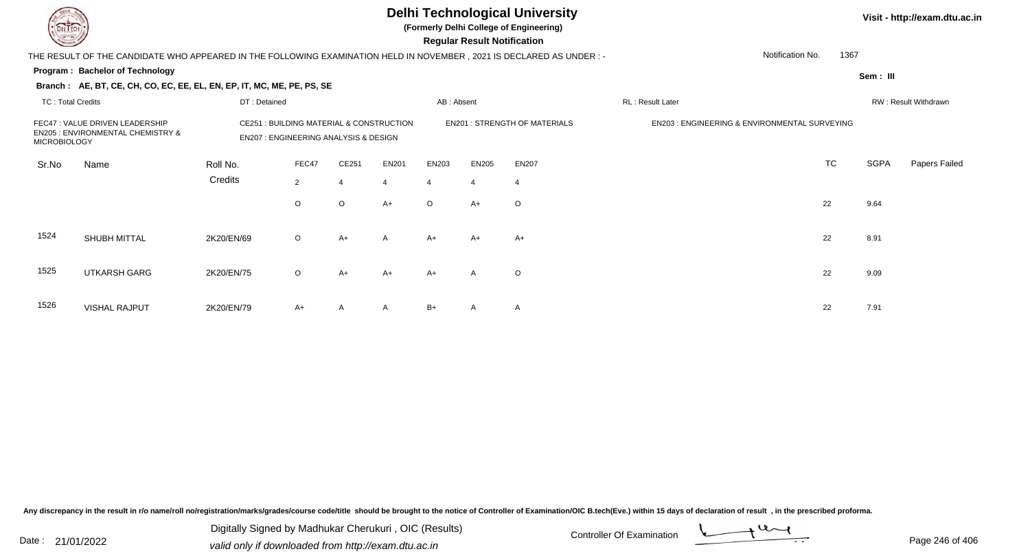**(Formerly Delhi College of Engineering)**

 **Regular Result Notification**

| <b>Courses A</b>    |                                                                                                                     |                                                                                   |                |                                      |                |            | Regular Result Notification |                                               |                  |                          |             |                      |
|---------------------|---------------------------------------------------------------------------------------------------------------------|-----------------------------------------------------------------------------------|----------------|--------------------------------------|----------------|------------|-----------------------------|-----------------------------------------------|------------------|--------------------------|-------------|----------------------|
|                     | THE RESULT OF THE CANDIDATE WHO APPEARED IN THE FOLLOWING EXAMINATION HELD IN NOVEMBER, 2021 IS DECLARED AS UNDER:- |                                                                                   |                |                                      |                |            |                             |                                               |                  | 1367<br>Notification No. |             |                      |
|                     | Program: Bachelor of Technology                                                                                     |                                                                                   |                |                                      |                |            |                             |                                               |                  |                          | Sem: III    |                      |
|                     | Branch: AE, BT, CE, CH, CO, EC, EE, EL, EN, EP, IT, MC, ME, PE, PS, SE                                              |                                                                                   |                |                                      |                |            |                             |                                               |                  |                          |             |                      |
| TC: Total Credits   |                                                                                                                     | DT: Detained                                                                      |                |                                      |                | AB: Absent |                             |                                               | RL: Result Later |                          |             | RW: Result Withdrawn |
| <b>MICROBIOLOGY</b> | FEC47 : VALUE DRIVEN LEADERSHIP<br><b>EN205 : ENVIRONMENTAL CHEMISTRY &amp;</b>                                     | CE251 : BUILDING MATERIAL & CONSTRUCTION<br>EN207 : ENGINEERING ANALYSIS & DESIGN |                | <b>EN201 : STRENGTH OF MATERIALS</b> |                |            |                             | EN203 : ENGINEERING & ENVIRONMENTAL SURVEYING |                  |                          |             |                      |
| Sr.No               | Name                                                                                                                | Roll No.                                                                          | FEC47          | CE251                                | <b>EN201</b>   | EN203      | EN205                       | <b>EN207</b>                                  |                  | <b>TC</b>                | <b>SGPA</b> | Papers Failed        |
|                     |                                                                                                                     | Credits                                                                           | $\overline{2}$ |                                      | $\overline{4}$ | 4          | $\overline{4}$              |                                               |                  |                          |             |                      |
|                     |                                                                                                                     |                                                                                   | $\circ$        | $\circ$                              | $A+$           | $\circ$    | $A+$                        | $\circ$                                       |                  | 22                       | 9.64        |                      |
| 1524                | SHUBH MITTAL                                                                                                        | 2K20/EN/69                                                                        | $\circ$        | $A+$                                 | $\mathsf{A}$   | $A+$       | $A+$                        | A+                                            |                  | 22                       | 8.91        |                      |
| 1525                | <b>UTKARSH GARG</b>                                                                                                 | 2K20/EN/75                                                                        | $\circ$        | $A+$                                 | $A+$           | $A+$       | $\mathsf{A}$                | $\circ$                                       |                  | 22                       | 9.09        |                      |
| 1526                | <b>VISHAL RAJPUT</b>                                                                                                | 2K20/EN/79                                                                        | $A+$           | A                                    | $\mathsf{A}$   | $B+$       | $\mathsf{A}$                | A                                             |                  | 22                       | 7.91        |                      |

Any discrepancy in the result in r/o name/roll no/registration/marks/grades/course code/title should be brought to the notice of Controller of Examination/OIC B.tech(Eve.) within 15 days of declaration of result, in the pr

Date : 21/01/2022 Digital Digital of Microsofted Chemical Controller Of Examination Determination Page 246 of 40 Digitally Signed by Madhukar Cherukuri , OIC (Results)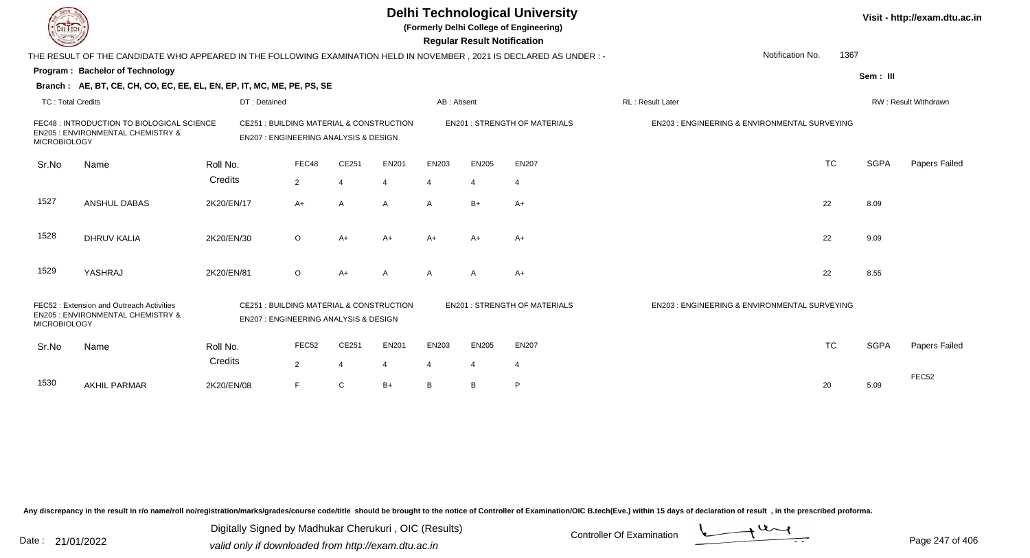|                          |                                                                                                                        |            |                                                                                            |                |                  |              | <b>Regular Result Notification</b> |                | <b>Delhi Technological University</b><br>(Formerly Delhi College of Engineering) |                                                         |                          |             | Visit - http://exam.dtu.ac.in |
|--------------------------|------------------------------------------------------------------------------------------------------------------------|------------|--------------------------------------------------------------------------------------------|----------------|------------------|--------------|------------------------------------|----------------|----------------------------------------------------------------------------------|---------------------------------------------------------|--------------------------|-------------|-------------------------------|
|                          | THE RESULT OF THE CANDIDATE WHO APPEARED IN THE FOLLOWING EXAMINATION HELD IN NOVEMBER , 2021 IS DECLARED AS UNDER : - |            |                                                                                            |                |                  |              |                                    |                |                                                                                  |                                                         | 1367<br>Notification No. |             |                               |
|                          | <b>Program: Bachelor of Technology</b>                                                                                 |            |                                                                                            |                |                  |              |                                    |                |                                                                                  |                                                         |                          | Sem: III    |                               |
|                          | Branch: AE, BT, CE, CH, CO, EC, EE, EL, EN, EP, IT, MC, ME, PE, PS, SE                                                 |            |                                                                                            |                |                  |              |                                    |                |                                                                                  |                                                         |                          |             |                               |
| <b>TC: Total Credits</b> |                                                                                                                        |            | DT: Detained                                                                               |                |                  |              | AB: Absent                         |                |                                                                                  | RL: Result Later                                        |                          |             | RW: Result Withdrawn          |
| <b>MICROBIOLOGY</b>      | FEC48 : INTRODUCTION TO BIOLOGICAL SCIENCE<br>EN205 : ENVIRONMENTAL CHEMISTRY &                                        |            | CE251: BUILDING MATERIAL & CONSTRUCTION<br><b>EN207: ENGINEERING ANALYSIS &amp; DESIGN</b> |                |                  |              |                                    |                | <b>EN201 : STRENGTH OF MATERIALS</b>                                             | EN203 : ENGINEERING & ENVIRONMENTAL SURVEYING           |                          |             |                               |
| Sr.No                    | Name                                                                                                                   | Roll No.   |                                                                                            | FEC48          | CE251            | <b>EN201</b> | EN203                              | <b>EN205</b>   | <b>EN207</b>                                                                     |                                                         | <b>TC</b>                | <b>SGPA</b> | Papers Failed                 |
|                          |                                                                                                                        | Credits    |                                                                                            | $\overline{2}$ | $\boldsymbol{4}$ | 4            | 4                                  | $\overline{4}$ | $\overline{4}$                                                                   |                                                         |                          |             |                               |
| 1527                     | ANSHUL DABAS                                                                                                           | 2K20/EN/17 |                                                                                            | A+             | A                | A            | $\mathsf{A}$                       | $B+$           | $A+$                                                                             |                                                         | 22                       | 8.09        |                               |
| 1528                     | <b>DHRUV KALIA</b>                                                                                                     | 2K20/EN/30 |                                                                                            | $\circ$        | $A+$             | $A+$         | $A+$                               | $A+$           | $A+$                                                                             |                                                         | 22                       | 9.09        |                               |
| 1529                     | YASHRAJ                                                                                                                | 2K20/EN/81 |                                                                                            | $\circ$        | $A+$             | A            | A                                  | A              | $A+$                                                                             |                                                         | 22                       | 8.55        |                               |
| <b>MICROBIOLOGY</b>      | FEC52: Extension and Outreach Activities<br>EN205 : ENVIRONMENTAL CHEMISTRY &                                          |            | CE251: BUILDING MATERIAL & CONSTRUCTION<br><b>EN207: ENGINEERING ANALYSIS &amp; DESIGN</b> |                |                  |              |                                    |                | <b>EN201: STRENGTH OF MATERIALS</b>                                              | <b>EN203: ENGINEERING &amp; ENVIRONMENTAL SURVEYING</b> |                          |             |                               |
| Sr.No                    | Name                                                                                                                   | Roll No.   |                                                                                            | FEC52          | CE251            | <b>EN201</b> | EN203                              | <b>EN205</b>   | <b>EN207</b>                                                                     |                                                         | <b>TC</b>                | <b>SGPA</b> | <b>Papers Failed</b>          |
|                          |                                                                                                                        | Credits    |                                                                                            | $\overline{2}$ | $\overline{4}$   | 4            | $\overline{4}$                     | $\overline{4}$ | $\overline{4}$                                                                   |                                                         |                          |             |                               |
| 1530                     | <b>AKHIL PARMAR</b>                                                                                                    | 2K20/EN/08 |                                                                                            | F.             | C                | $B+$         | B                                  | B              | P                                                                                |                                                         | 20                       | 5.09        | FEC52                         |

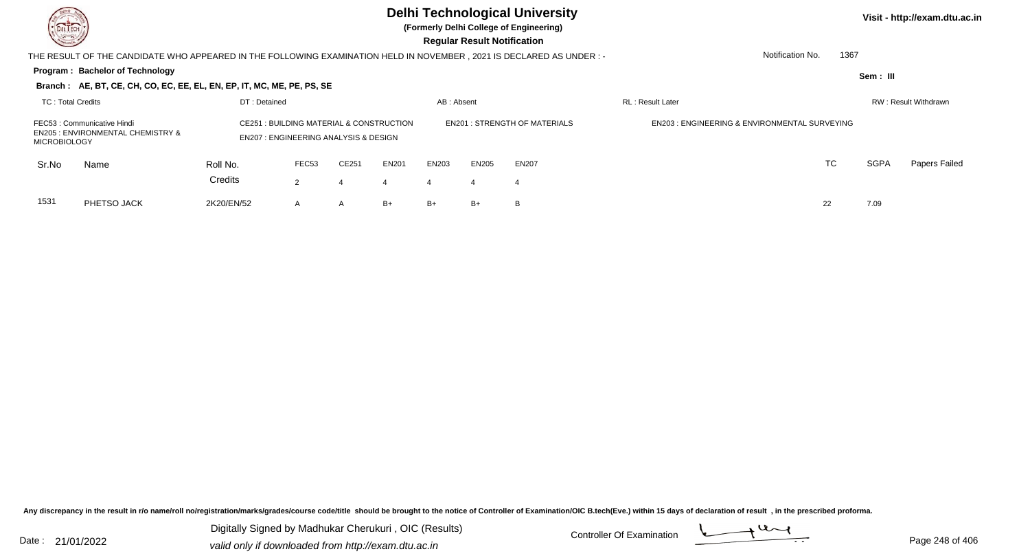**(Formerly Delhi College of Engineering)**

 **Regular Result Notification**

| $\sim$                                                                                             |                                                                                                                     |                     |                                                                                                       |       |              |                          | <b>Regular Result Nothleation</b> |                                     |                                                         |           |             |                      |
|----------------------------------------------------------------------------------------------------|---------------------------------------------------------------------------------------------------------------------|---------------------|-------------------------------------------------------------------------------------------------------|-------|--------------|--------------------------|-----------------------------------|-------------------------------------|---------------------------------------------------------|-----------|-------------|----------------------|
|                                                                                                    | THE RESULT OF THE CANDIDATE WHO APPEARED IN THE FOLLOWING EXAMINATION HELD IN NOVEMBER, 2021 IS DECLARED AS UNDER:- |                     |                                                                                                       |       |              | Notification No.<br>1367 |                                   |                                     |                                                         |           |             |                      |
|                                                                                                    | <b>Program: Bachelor of Technology</b>                                                                              |                     |                                                                                                       |       |              |                          |                                   |                                     |                                                         |           | Sem: III    |                      |
|                                                                                                    | Branch: AE, BT, CE, CH, CO, EC, EE, EL, EN, EP, IT, MC, ME, PE, PS, SE                                              |                     |                                                                                                       |       |              |                          |                                   |                                     |                                                         |           |             |                      |
| TC: Total Credits                                                                                  |                                                                                                                     | DT: Detained        |                                                                                                       |       |              | AB: Absent               |                                   |                                     | <b>RL</b> : Result Later                                |           |             | RW: Result Withdrawn |
| FEC53 : Communicative Hindi<br><b>EN205 : ENVIRONMENTAL CHEMISTRY &amp;</b><br><b>MICROBIOLOGY</b> |                                                                                                                     |                     | <b>CE251: BUILDING MATERIAL &amp; CONSTRUCTION</b><br><b>EN207: ENGINEERING ANALYSIS &amp; DESIGN</b> |       |              |                          |                                   | <b>EN201: STRENGTH OF MATERIALS</b> | <b>EN203: ENGINEERING &amp; ENVIRONMENTAL SURVEYING</b> |           |             |                      |
| Sr.No                                                                                              | Name                                                                                                                | Roll No.<br>Credits | FEC53                                                                                                 | CE251 | <b>EN201</b> | EN203                    | EN205                             | <b>EN207</b>                        |                                                         | <b>TC</b> | <b>SGPA</b> | Papers Failed        |
|                                                                                                    |                                                                                                                     |                     | 2                                                                                                     |       |              |                          |                                   |                                     |                                                         |           |             |                      |
| 1531                                                                                               | PHETSO JACK                                                                                                         | 2K20/EN/52          | A                                                                                                     | A     | B+           | B+                       | B+                                | B                                   |                                                         | 22        | 7.09        |                      |

Any discrepancy in the result in r/o name/roll no/registration/marks/grades/course code/title should be brought to the notice of Controller of Examination/OIC B.tech(Eve.) within 15 days of declaration of result, in the pr

Date : 21/01/2022 Digital Digital of Microsofted Chemical Controller Of Examination Determination Page 248 of 40 Digitally Signed by Madhukar Cherukuri , OIC (Results)

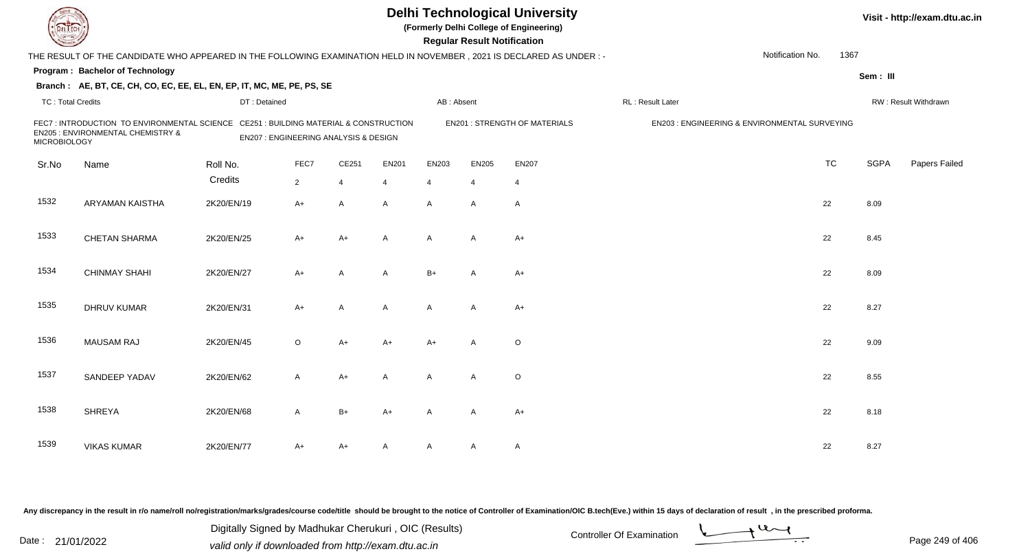| EL ECH                   |                                                                                                                          |                                       |                |                |                | <b>Delhi Technological University</b><br>(Formerly Delhi College of Engineering)<br><b>Regular Result Notification</b> |                | Visit - http://exam.dtu.ac.in        |                                               |                  |      |             |                      |
|--------------------------|--------------------------------------------------------------------------------------------------------------------------|---------------------------------------|----------------|----------------|----------------|------------------------------------------------------------------------------------------------------------------------|----------------|--------------------------------------|-----------------------------------------------|------------------|------|-------------|----------------------|
|                          | THE RESULT OF THE CANDIDATE WHO APPEARED IN THE FOLLOWING EXAMINATION HELD IN NOVEMBER, 2021 IS DECLARED AS UNDER :-     |                                       |                |                |                |                                                                                                                        |                |                                      |                                               | Notification No. | 1367 |             |                      |
|                          | Program: Bachelor of Technology                                                                                          |                                       |                |                |                |                                                                                                                        |                |                                      |                                               |                  |      | Sem: III    |                      |
|                          | Branch: AE, BT, CE, CH, CO, EC, EE, EL, EN, EP, IT, MC, ME, PE, PS, SE                                                   |                                       |                |                |                |                                                                                                                        |                |                                      |                                               |                  |      |             |                      |
| <b>TC: Total Credits</b> |                                                                                                                          | DT: Detained                          |                |                |                | AB: Absent                                                                                                             |                |                                      | RL : Result Later                             |                  |      |             | RW: Result Withdrawn |
| <b>MICROBIOLOGY</b>      | FEC7: INTRODUCTION TO ENVIRONMENTAL SCIENCE CE251: BUILDING MATERIAL & CONSTRUCTION<br>EN205 : ENVIRONMENTAL CHEMISTRY & | EN207 : ENGINEERING ANALYSIS & DESIGN |                |                |                |                                                                                                                        |                | <b>EN201 : STRENGTH OF MATERIALS</b> | EN203 : ENGINEERING & ENVIRONMENTAL SURVEYING |                  |      |             |                      |
| Sr.No                    | Name                                                                                                                     | Roll No.                              | FEC7           | CE251          | <b>EN201</b>   | EN203                                                                                                                  | <b>EN205</b>   | <b>EN207</b>                         |                                               | <b>TC</b>        |      | <b>SGPA</b> | Papers Failed        |
|                          |                                                                                                                          | Credits                               | $\overline{2}$ | $\overline{4}$ | $\overline{4}$ | $\overline{4}$                                                                                                         | $\overline{4}$ | $\overline{4}$                       |                                               |                  |      |             |                      |
| 1532                     | ARYAMAN KAISTHA                                                                                                          | 2K20/EN/19                            | $A+$           | A              | A              | $\mathsf{A}$                                                                                                           | A              | $\overline{A}$                       |                                               | 22               |      | 8.09        |                      |
| 1533                     | <b>CHETAN SHARMA</b>                                                                                                     | 2K20/EN/25                            | $A+$           | $A+$           | $\mathsf{A}$   | $\mathsf{A}$                                                                                                           | A              | $A+$                                 |                                               | 22               |      | 8.45        |                      |
| 1534                     | <b>CHINMAY SHAHI</b>                                                                                                     | 2K20/EN/27                            | $A+$           | A              | A              | $B+$                                                                                                                   | A              | $A+$                                 |                                               | 22               |      | 8.09        |                      |
| 1535                     | DHRUV KUMAR                                                                                                              | 2K20/EN/31                            | $A+$           | A              | A              | A                                                                                                                      | $\mathsf{A}$   | $A+$                                 |                                               | 22               |      | 8.27        |                      |
| 1536                     | <b>MAUSAM RAJ</b>                                                                                                        | 2K20/EN/45                            | $\circ$        | $A+$           | $A+$           | $A+$                                                                                                                   | $\mathsf{A}$   | $\mathsf O$                          |                                               | 22               |      | 9.09        |                      |
| 1537                     | SANDEEP YADAV                                                                                                            | 2K20/EN/62                            | $\mathsf{A}$   | $A+$           | $\mathsf{A}$   | $\mathsf{A}$                                                                                                           | A              | $\circ$                              |                                               | 22               |      | 8.55        |                      |
| 1538                     | <b>SHREYA</b>                                                                                                            | 2K20/EN/68                            | A              | $B+$           | $A+$           | A                                                                                                                      | A              | $A+$                                 |                                               | 22               |      | 8.18        |                      |
| 1539                     | <b>VIKAS KUMAR</b>                                                                                                       | 2K20/EN/77                            | A+             | A+             | A              | A                                                                                                                      | A              | $\mathsf{A}$                         |                                               | 22               |      | 8.27        |                      |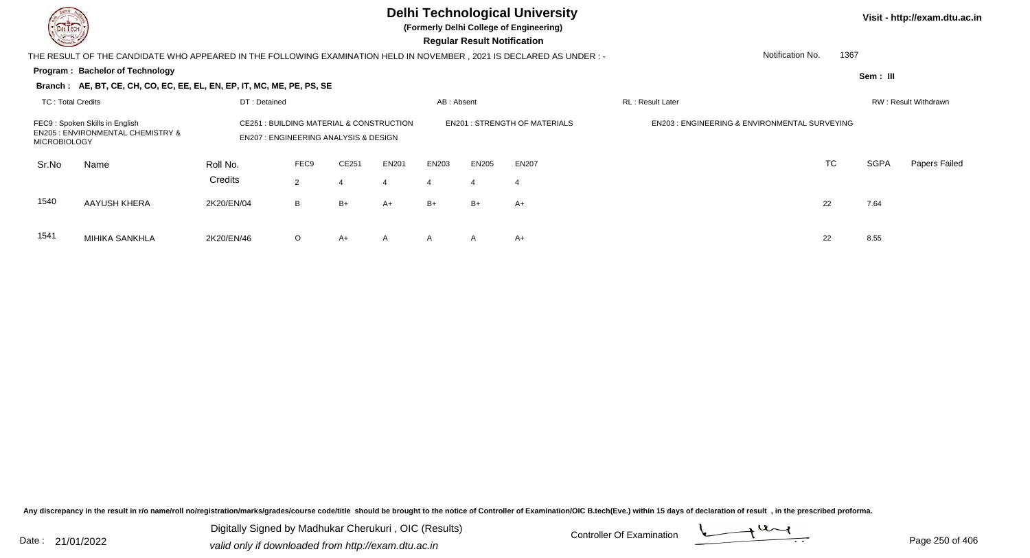MIHIKA SANKHLA

## **Delhi Technological University**

**(Formerly Delhi College of Engineering)**

 **Regular Result Notification**

| $\overline{\phantom{a}}$                                                                              |                                                                                                                     |                     |                                                                                             |       |                   |       |                                     |                                                         |  |                  |                      |             |                      |
|-------------------------------------------------------------------------------------------------------|---------------------------------------------------------------------------------------------------------------------|---------------------|---------------------------------------------------------------------------------------------|-------|-------------------|-------|-------------------------------------|---------------------------------------------------------|--|------------------|----------------------|-------------|----------------------|
|                                                                                                       | THE RESULT OF THE CANDIDATE WHO APPEARED IN THE FOLLOWING EXAMINATION HELD IN NOVEMBER, 2021 IS DECLARED AS UNDER:- |                     |                                                                                             |       |                   |       |                                     |                                                         |  | Notification No. | 1367                 |             |                      |
|                                                                                                       | Program: Bachelor of Technology                                                                                     |                     |                                                                                             |       |                   |       |                                     |                                                         |  |                  |                      | Sem: III    |                      |
|                                                                                                       | Branch: AE, BT, CE, CH, CO, EC, EE, EL, EN, EP, IT, MC, ME, PE, PS, SE                                              |                     |                                                                                             |       |                   |       |                                     |                                                         |  |                  |                      |             |                      |
| <b>TC: Total Credits</b><br>DT: Detained                                                              |                                                                                                                     |                     |                                                                                             |       | AB: Absent        |       |                                     | RL: Result Later                                        |  |                  | RW: Result Withdrawn |             |                      |
| FEC9: Spoken Skills in English<br><b>EN205 : ENVIRONMENTAL CHEMISTRY &amp;</b><br><b>MICROBIOLOGY</b> |                                                                                                                     |                     | CE251 : BUILDING MATERIAL & CONSTRUCTION<br><b>EN207: ENGINEERING ANALYSIS &amp; DESIGN</b> |       |                   |       | <b>EN201: STRENGTH OF MATERIALS</b> | <b>EN203: ENGINEERING &amp; ENVIRONMENTAL SURVEYING</b> |  |                  |                      |             |                      |
| Sr.No                                                                                                 | Name                                                                                                                | Roll No.<br>Credits | FEC9<br>2                                                                                   | CE251 | <b>EN201</b><br>4 | EN203 | <b>EN205</b>                        | EN207                                                   |  | <b>TC</b>        |                      | <b>SGPA</b> | <b>Papers Failed</b> |
| 1540                                                                                                  | AAYUSH KHERA                                                                                                        | 2K20/EN/04          | B                                                                                           | B+    | $A+$              | $B+$  | $B+$                                | $A+$                                                    |  | 22               |                      | 7.64        |                      |
| 1541                                                                                                  | MIHIKA SANKHI A                                                                                                     | 2K20/EN/AB          | $\cap$                                                                                      | △ㅗ    | $\Delta$          | Δ.    | Δ                                   | ∆⊥                                                      |  | つつ               |                      | 855         |                      |

A 2K20/EN/46 O A+ A A A A A+

Any discrepancy in the result in r/o name/roll no/registration/marks/grades/course code/title should be brought to the notice of Controller of Examination/OIC B.tech(Eve.) within 15 days of declaration of result, in the pr

Date : 21/01/2022 Digital Digital of Microsofted Chemical Controller Of Examination Determination Page 250 of 40 Digitally Signed by Madhukar Cherukuri , OIC (Results)

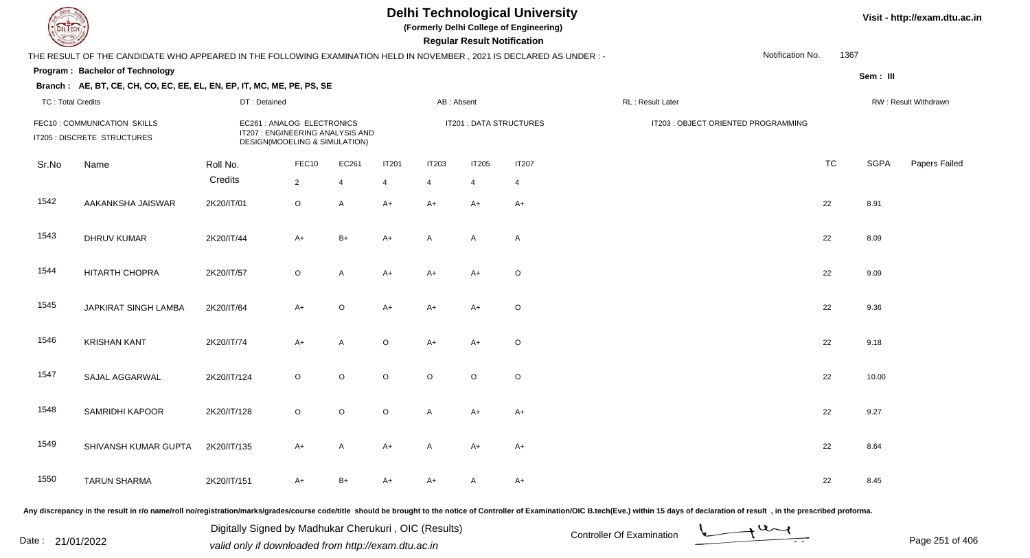**(Formerly Delhi College of Engineering)**

 **Regular Result Notification**

#### **Visit - http://exam.dtu.ac.in**

|       | THE RESULT OF THE CANDIDATE WHO APPEARED IN THE FOLLOWING EXAMINATION HELD IN NOVEMBER, 2021 IS DECLARED AS UNDER:- |                                                                                                 |                |              |                |                |                |                         |                                     | Notification No. | 1367      |             |                      |
|-------|---------------------------------------------------------------------------------------------------------------------|-------------------------------------------------------------------------------------------------|----------------|--------------|----------------|----------------|----------------|-------------------------|-------------------------------------|------------------|-----------|-------------|----------------------|
|       | Program: Bachelor of Technology<br>Branch: AE, BT, CE, CH, CO, EC, EE, EL, EN, EP, IT, MC, ME, PE, PS, SE           |                                                                                                 |                |              |                |                |                |                         |                                     |                  |           | Sem: III    |                      |
|       | <b>TC: Total Credits</b><br>DT: Detained                                                                            |                                                                                                 |                |              |                | AB: Absent     |                |                         | RL: Result Later                    |                  |           |             | RW: Result Withdrawn |
|       | FEC10: COMMUNICATION SKILLS<br>IT205 : DISCRETE STRUCTURES                                                          | EC261 : ANALOG ELECTRONICS<br>IT207 : ENGINEERING ANALYSIS AND<br>DESIGN(MODELING & SIMULATION) |                |              |                |                |                | IT201 : DATA STRUCTURES | IT203 : OBJECT ORIENTED PROGRAMMING |                  |           |             |                      |
| Sr.No | Name                                                                                                                | Roll No.                                                                                        | FEC10          | EC261        | <b>IT201</b>   | <b>IT203</b>   | <b>IT205</b>   | <b>IT207</b>            |                                     |                  | <b>TC</b> | <b>SGPA</b> | Papers Failec        |
|       |                                                                                                                     | Credits                                                                                         | $\overline{2}$ | 4            | $\overline{4}$ | $\overline{4}$ | $\overline{4}$ | 4                       |                                     |                  |           |             |                      |
| 1542  | AAKANKSHA JAISWAR                                                                                                   | 2K20/IT/01                                                                                      | $\mathsf O$    | $\mathsf{A}$ | $A+$           | $A+$           | $A+$           | $A+$                    |                                     |                  | 22        | 8.91        |                      |
| 1543  | <b>DHRUV KUMAR</b>                                                                                                  | 2K20/IT/44                                                                                      | $A+$           | $B+$         | $A+$           | A              | A              | A                       |                                     |                  | 22        | 8.09        |                      |
| 1544  | <b>HITARTH CHOPRA</b>                                                                                               | 2K20/IT/57                                                                                      | $\circ$        | $\mathsf{A}$ | $A+$           | $A+$           | $A+$           | $\circ$                 |                                     |                  | 22        | 9.09        |                      |
| 1545  | JAPKIRAT SINGH LAMBA                                                                                                | 2K20/IT/64                                                                                      | $A+$           | $\circ$      | $A+$           | $A+$           | $A+$           | $\circ$                 |                                     |                  | 22        | 9.36        |                      |
| 1546  | <b>KRISHAN KANT</b>                                                                                                 | 2K20/IT/74                                                                                      | $A+$           | $\mathsf{A}$ | $\circ$        | $A+$           | $A+$           | $\circ$                 |                                     |                  | 22        | 9.18        |                      |
| 1547  | SAJAL AGGARWAL                                                                                                      | 2K20/IT/124                                                                                     | $\circ$        | $\circ$      | $\circ$        | $\circ$        | $\circ$        | $\circ$                 |                                     |                  | 22        | 10.00       |                      |
| 1548  | SAMRIDHI KAPOOR                                                                                                     | 2K20/IT/128                                                                                     | $\mathsf O$    | $\circ$      | $\mathsf O$    | $\mathsf A$    | $A+$           | $A+$                    |                                     |                  | 22        | 9.27        |                      |
| 1549  | SHIVANSH KUMAR GUPTA                                                                                                | 2K20/IT/135                                                                                     | $A+$           | $\mathsf{A}$ | $A+$           | A              | $A+$           | $A+$                    |                                     |                  | 22        | 8.64        |                      |
| 1550  | <b>TARUN SHARMA</b>                                                                                                 | 2K20/IT/151                                                                                     | $A+$           | $B+$         | $A+$           | $A+$           | A              | $A+$                    |                                     |                  | 22        | 8.45        |                      |

Any discrepancy in the result in r/o name/roll no/registration/marks/grades/course code/title should be brought to the notice of Controller of Examination/OIC B.tech(Eve.) within 15 days of declaration of result, in the pr

Date : 21/01/2022 Digital Digital of Microsofted Chemical Controller Of Examination Determination Page 251 of 40 Digitally Signed by Madhukar Cherukuri , OIC (Results)

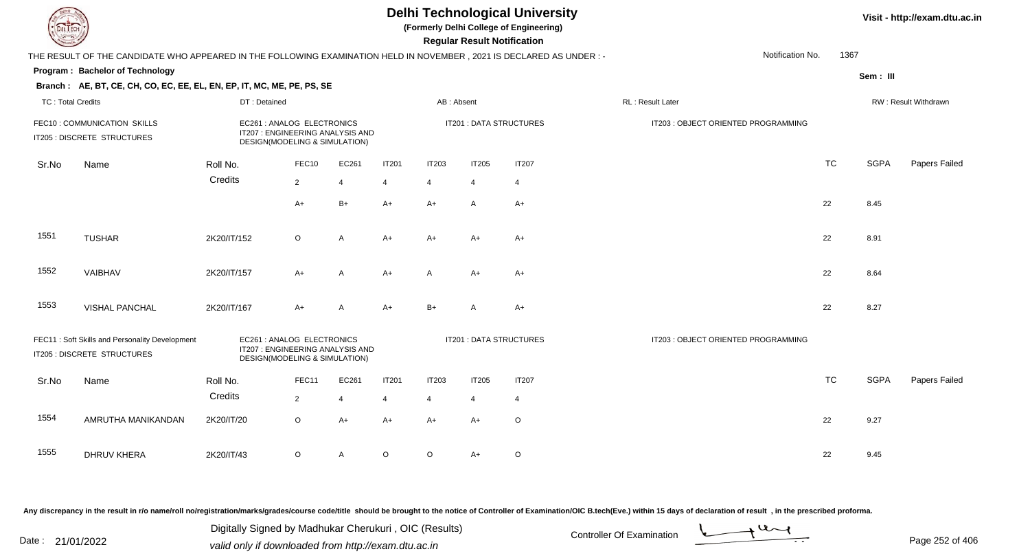**(Formerly Delhi College of Engineering)**

 **Regular Result Notification**

| THE RESULT OF THE CANDIDATE WHO APPEARED IN THE FOLLOWING EXAMINATION HELD IN NOVEMBER, 2021 IS DECLARED AS UNDER :-                                                             |                                                                        |             |                                                                                                 |                |                         |                         |                                     |                | Notification No.<br>1367            |           |             |                      |  |
|----------------------------------------------------------------------------------------------------------------------------------------------------------------------------------|------------------------------------------------------------------------|-------------|-------------------------------------------------------------------------------------------------|----------------|-------------------------|-------------------------|-------------------------------------|----------------|-------------------------------------|-----------|-------------|----------------------|--|
|                                                                                                                                                                                  | Program: Bachelor of Technology                                        |             |                                                                                                 |                |                         |                         |                                     |                |                                     |           | Sem: III    |                      |  |
|                                                                                                                                                                                  | Branch: AE, BT, CE, CH, CO, EC, EE, EL, EN, EP, IT, MC, ME, PE, PS, SE |             |                                                                                                 |                |                         |                         |                                     |                |                                     |           |             |                      |  |
|                                                                                                                                                                                  | <b>TC: Total Credits</b><br>DT: Detained                               |             |                                                                                                 |                |                         | AB: Absent              |                                     |                | RL: Result Later                    |           |             | RW: Result Withdrawn |  |
|                                                                                                                                                                                  | FEC10: COMMUNICATION SKILLS<br>IT205 : DISCRETE STRUCTURES             |             | EC261 : ANALOG ELECTRONICS<br>IT207 : ENGINEERING ANALYSIS AND<br>DESIGN(MODELING & SIMULATION) |                |                         | IT201 : DATA STRUCTURES |                                     |                | IT203 : OBJECT ORIENTED PROGRAMMING |           |             |                      |  |
| Sr.No                                                                                                                                                                            | Name                                                                   | Roll No.    | FEC10                                                                                           | EC261          | <b>IT201</b>            | <b>IT203</b>            | <b>IT205</b>                        | <b>IT207</b>   |                                     | <b>TC</b> | <b>SGPA</b> | Papers Failed        |  |
|                                                                                                                                                                                  |                                                                        | Credits     | $\overline{2}$                                                                                  | $\overline{4}$ | 4                       | $\overline{4}$          | 4                                   | $\overline{4}$ |                                     |           |             |                      |  |
|                                                                                                                                                                                  |                                                                        |             | $A+$                                                                                            | $B+$           | $A+$                    | $A+$                    | A                                   | $A+$           |                                     | 22        | 8.45        |                      |  |
| 1551                                                                                                                                                                             | <b>TUSHAR</b>                                                          | 2K20/IT/152 | $\circ$                                                                                         | $\overline{A}$ | $A+$                    | $A+$                    | $A+$                                | $A+$           |                                     | 22        | 8.91        |                      |  |
| 1552                                                                                                                                                                             | VAIBHAV                                                                | 2K20/IT/157 | $A+$                                                                                            | A              | $A+$                    | A                       | A+                                  | $A+$           |                                     | 22        | 8.64        |                      |  |
| 1553                                                                                                                                                                             | <b>VISHAL PANCHAL</b>                                                  | 2K20/IT/167 | $A+$                                                                                            | $\mathsf{A}$   | $A+$                    | $B+$                    | A                                   | $A+$           |                                     | 22        | 8.27        |                      |  |
| FEC11: Soft Skills and Personality Development<br>EC261 : ANALOG ELECTRONICS<br>IT207 : ENGINEERING ANALYSIS AND<br>IT205 : DISCRETE STRUCTURES<br>DESIGN(MODELING & SIMULATION) |                                                                        |             |                                                                                                 |                | IT201 : DATA STRUCTURES |                         | IT203 : OBJECT ORIENTED PROGRAMMING |                |                                     |           |             |                      |  |
| Sr.No                                                                                                                                                                            | Name                                                                   | Roll No.    | FEC11                                                                                           | EC261          | <b>IT201</b>            | <b>IT203</b>            | <b>IT205</b>                        | <b>IT207</b>   |                                     | <b>TC</b> | <b>SGPA</b> | Papers Failed        |  |
|                                                                                                                                                                                  |                                                                        | Credits     | 2                                                                                               | $\overline{4}$ | $\overline{4}$          | $\overline{4}$          | 4                                   | $\overline{4}$ |                                     |           |             |                      |  |
| 1554                                                                                                                                                                             | AMRUTHA MANIKANDAN                                                     | 2K20/IT/20  | $\circ$                                                                                         | $A+$           | $A+$                    | $A+$                    | $A+$                                | $\mathsf O$    |                                     | 22        | 9.27        |                      |  |
| 1555                                                                                                                                                                             | <b>DHRUV KHERA</b>                                                     | 2K20/IT/43  | $\circ$                                                                                         | Α              | O                       | O                       | A+                                  | $\mathsf O$    |                                     | 22        | 9.45        |                      |  |

Any discrepancy in the result in r/o name/roll no/registration/marks/grades/course code/title should be brought to the notice of Controller of Examination/OIC B.tech(Eve.) within 15 days of declaration of result, in the pr

Date : 21/01/2022 Digital Digital of Microsofted Chemical Controller Of Examination Determination Page 252 of 40 Digitally Signed by Madhukar Cherukuri , OIC (Results)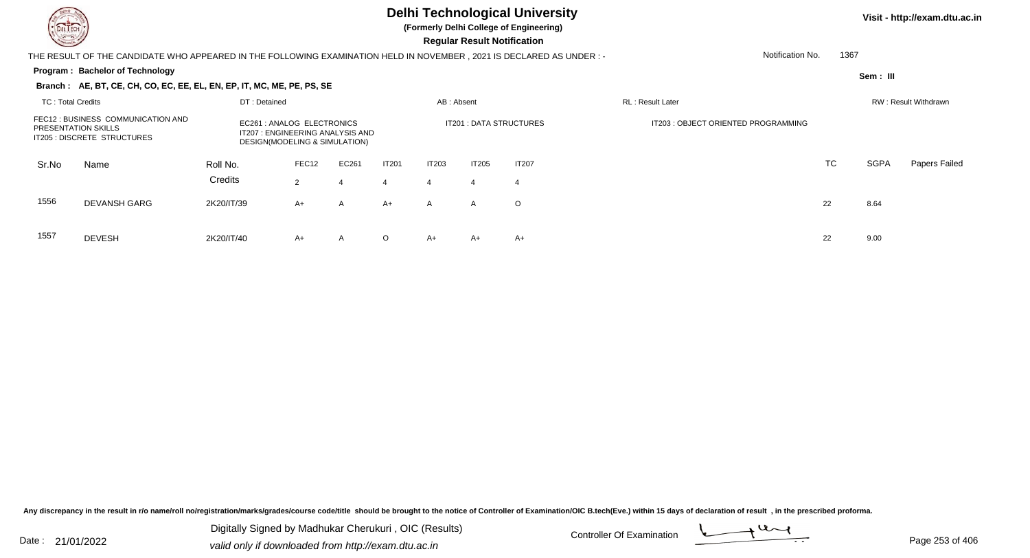

**(Formerly Delhi College of Engineering)**

 **Regular Result Notification**

### THE RESULT OF THE CANDIDATE WHO APPEARED IN THE FOLLOWING EXAMINATION HELD IN NOVEMBER , 2021 IS DECLARED AS UNDER : -

#### **Program : Bachelor of Technology**

Notification No.1367

**Sem : III**

### **Branch : AE, BT, CE, CH, CO, EC, EE, EL, EN, EP, IT, MC, ME, PE, PS, SE**

| TC: Total Credits          |                                                                   |                                                                                                | DT: Detained |            |                   |                   | AB: Absent              |                    | <b>RL</b> : Result Later            |    |      | RW: Result Withdrawn |  |  |  |
|----------------------------|-------------------------------------------------------------------|------------------------------------------------------------------------------------------------|--------------|------------|-------------------|-------------------|-------------------------|--------------------|-------------------------------------|----|------|----------------------|--|--|--|
| <b>PRESENTATION SKILLS</b> | FEC12 : BUSINESS COMMUNICATION AND<br>IT205 : DISCRETE STRUCTURES | EC261: ANALOG ELECTRONICS<br>IT207 : ENGINEERING ANALYSIS AND<br>DESIGN(MODELING & SIMULATION) |              |            |                   |                   | IT201 : DATA STRUCTURES |                    | IT203 : OBJECT ORIENTED PROGRAMMING |    |      |                      |  |  |  |
| Sr.No                      | Name                                                              | Roll No.<br>Credits                                                                            | FEC12<br>2   | EC261<br>4 | <b>IT201</b><br>4 | <b>IT203</b><br>4 | IT205                   | <b>IT207</b><br>-4 |                                     | TC | SGPA | Papers Failed        |  |  |  |
| 1556                       | <b>DEVANSH GARG</b>                                               | 2K20/IT/39                                                                                     | $A+$         | A          | $A+$              | $\mathsf{A}$      | A                       | $\circ$            |                                     | 22 | 8.64 |                      |  |  |  |
| 1557                       | <b>DEVESH</b>                                                     | 2K20/IT/40                                                                                     | A+           | A          | $\circ$           | A+                | $A+$                    | $A+$               |                                     | 22 | 9.00 |                      |  |  |  |

Any discrepancy in the result in r/o name/roll no/registration/marks/grades/course code/title should be brought to the notice of Controller of Examination/OIC B.tech(Eve.) within 15 days of declaration of result, in the pr

Date : 21/01/2022 Digital Digital of Microsofted Chemical Controller Of Examination Determination Page 253 of 40 Digitally Signed by Madhukar Cherukuri , OIC (Results)

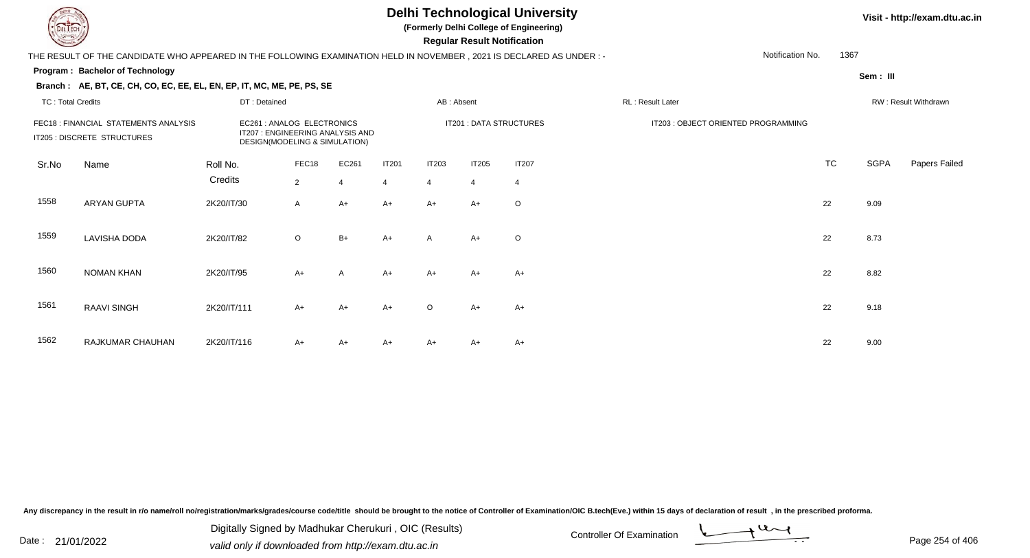**(Formerly Delhi College of Engineering)**

 **Regular Result Notification**

#### **Visit - http://exam.dtu.ac.in**

THE RESULT OF THE CANDIDATE WHO APPEARED IN THE FOLLOWING EXAMINATION HELD IN NOVEMBER , 2021 IS DECLARED AS UNDER : -

#### **Program : Bachelor of Technology**

**Branch : AE, BT, CE, CH, CO, EC, EE, EL, EN, EP, IT, MC, ME, PE, PS, SE**

**Sem : III**

1367

Notification No.

| <b>TC: Total Credits</b><br>FEC18 : FINANCIAL STATEMENTS ANALYSIS<br>IT205 : DISCRETE STRUCTURES |                    | DT: Detained                                                                                    |                         |                         |                                | AB: Absent                     |                                |                                | RL: Result Later                    |           | RW: Result Withdrawn |               |  |
|--------------------------------------------------------------------------------------------------|--------------------|-------------------------------------------------------------------------------------------------|-------------------------|-------------------------|--------------------------------|--------------------------------|--------------------------------|--------------------------------|-------------------------------------|-----------|----------------------|---------------|--|
|                                                                                                  |                    | EC261 : ANALOG ELECTRONICS<br>IT207 : ENGINEERING ANALYSIS AND<br>DESIGN(MODELING & SIMULATION) |                         |                         |                                | IT201 : DATA STRUCTURES        |                                |                                | IT203 : OBJECT ORIENTED PROGRAMMING |           |                      |               |  |
| Sr.No                                                                                            | Name               | Roll No.<br>Credits                                                                             | FEC18<br>$\overline{2}$ | EC261<br>$\overline{4}$ | <b>IT201</b><br>$\overline{4}$ | <b>IT203</b><br>$\overline{4}$ | <b>IT205</b><br>$\overline{4}$ | <b>IT207</b><br>$\overline{4}$ |                                     | <b>TC</b> | <b>SGPA</b>          | Papers Failed |  |
| 1558                                                                                             | <b>ARYAN GUPTA</b> | 2K20/IT/30                                                                                      | $\mathsf{A}$            | $A+$                    | $A+$                           | $A+$                           | $A+$                           | $\circ$                        |                                     | 22        | 9.09                 |               |  |
| 1559                                                                                             | LAVISHA DODA       | 2K20/IT/82                                                                                      | $\circ$                 | $B+$                    | $A+$                           | $\mathsf{A}$                   | $A+$                           | $\circ$                        |                                     | 22        | 8.73                 |               |  |
| 1560                                                                                             | NOMAN KHAN         | 2K20/IT/95                                                                                      | $A+$                    | $\mathsf{A}$            | $A+$                           | $A+$                           | $A+$                           | $A+$                           |                                     | 22        | 8.82                 |               |  |
| 1561                                                                                             | <b>RAAVI SINGH</b> | 2K20/IT/111                                                                                     | $A+$                    | $A+$                    | $A+$                           | $\circ$                        | $A+$                           | $A+$                           |                                     | 22        | 9.18                 |               |  |
| 1562                                                                                             | RAJKUMAR CHAUHAN   | 2K20/IT/116                                                                                     | $A+$                    | $A+$                    | $A+$                           | A+                             | $A+$                           | $A+$                           |                                     | 22        | 9.00                 |               |  |

Any discrepancy in the result in r/o name/roll no/registration/marks/grades/course code/title should be brought to the notice of Controller of Examination/OIC B.tech(Eve.) within 15 days of declaration of result, in the pr

Date : 21/01/2022 Digital Digital of Microsofted Chemical Controller Of Examination Determination Page 254 of 40 Digitally Signed by Madhukar Cherukuri , OIC (Results)

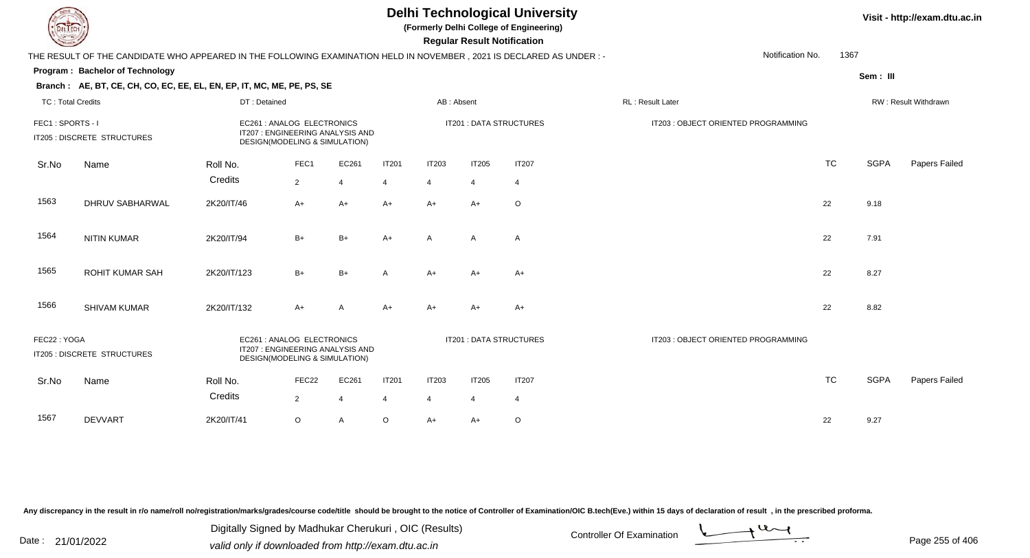**(Formerly Delhi College of Engineering)**

 **Regular Result Notification**

|                                                                                                                                               | THE RESULT OF THE CANDIDATE WHO APPEARED IN THE FOLLOWING EXAMINATION HELD IN NOVEMBER, 2021 IS DECLARED AS UNDER :- |                                                                                                |                |                |              |                         |                                     |                | Notification No.                    | 1367      |                      |               |  |
|-----------------------------------------------------------------------------------------------------------------------------------------------|----------------------------------------------------------------------------------------------------------------------|------------------------------------------------------------------------------------------------|----------------|----------------|--------------|-------------------------|-------------------------------------|----------------|-------------------------------------|-----------|----------------------|---------------|--|
|                                                                                                                                               | Program: Bachelor of Technology                                                                                      |                                                                                                |                |                |              |                         |                                     |                |                                     |           | Sem: III             |               |  |
|                                                                                                                                               | Branch: AE, BT, CE, CH, CO, EC, EE, EL, EN, EP, IT, MC, ME, PE, PS, SE                                               |                                                                                                |                |                |              |                         |                                     |                |                                     |           |                      |               |  |
| <b>TC: Total Credits</b>                                                                                                                      |                                                                                                                      | DT: Detained                                                                                   |                |                |              | AB: Absent              |                                     |                | RL: Result Later                    |           | RW: Result Withdrawn |               |  |
| FEC1: SPORTS - I                                                                                                                              | IT205 : DISCRETE STRUCTURES                                                                                          | EC261 : ANALOG ELECTRONICS<br>IT207: ENGINEERING ANALYSIS AND<br>DESIGN(MODELING & SIMULATION) |                |                |              |                         | <b>IT201 : DATA STRUCTURES</b>      |                | IT203 : OBJECT ORIENTED PROGRAMMING |           |                      |               |  |
| Sr.No                                                                                                                                         | Name                                                                                                                 | Roll No.                                                                                       | FEC1           | EC261          | <b>IT201</b> | <b>IT203</b>            | <b>IT205</b>                        | <b>IT207</b>   |                                     | <b>TC</b> | <b>SGPA</b>          | Papers Failed |  |
|                                                                                                                                               |                                                                                                                      | Credits                                                                                        | $\overline{2}$ | $\overline{4}$ | 4            | $\overline{4}$          | $\overline{4}$                      | $\overline{4}$ |                                     |           |                      |               |  |
| 1563                                                                                                                                          | <b>DHRUV SABHARWAL</b>                                                                                               | 2K20/IT/46                                                                                     | $A+$           | $A+$           | $A+$         | $A+$                    | $A+$                                | $\circ$        |                                     | 22        | 9.18                 |               |  |
| 1564                                                                                                                                          | <b>NITIN KUMAR</b>                                                                                                   | 2K20/IT/94                                                                                     | $B+$           | $B+$           | $A+$         | $\mathsf{A}$            | $\overline{A}$                      | $\overline{A}$ |                                     | 22        | 7.91                 |               |  |
| 1565                                                                                                                                          | <b>ROHIT KUMAR SAH</b>                                                                                               | 2K20/IT/123                                                                                    | $B+$           | $B+$           | A            | $A+$                    | $A+$                                | $A+$           |                                     | 22        | 8.27                 |               |  |
| 1566                                                                                                                                          | <b>SHIVAM KUMAR</b>                                                                                                  | 2K20/IT/132                                                                                    | $A+$           | A              | $A+$         | $A+$                    | $A+$                                | $A+$           |                                     | 22        | 8.82                 |               |  |
| FEC22: YOGA<br>EC261 : ANALOG ELECTRONICS<br>IT207 : ENGINEERING ANALYSIS AND<br>IT205 : DISCRETE STRUCTURES<br>DESIGN(MODELING & SIMULATION) |                                                                                                                      |                                                                                                |                |                |              | IT201 : DATA STRUCTURES | IT203 : OBJECT ORIENTED PROGRAMMING |                |                                     |           |                      |               |  |
| Sr.No                                                                                                                                         | Name                                                                                                                 | Roll No.                                                                                       | FEC22          | EC261          | <b>IT201</b> | <b>IT203</b>            | <b>IT205</b>                        | <b>IT207</b>   |                                     | <b>TC</b> | <b>SGPA</b>          | Papers Failed |  |
|                                                                                                                                               |                                                                                                                      | Credits                                                                                        | $\overline{2}$ | $\overline{4}$ | 4            | $\overline{4}$          | $\overline{4}$                      | $\overline{4}$ |                                     |           |                      |               |  |
| 1567                                                                                                                                          | <b>DEVVART</b>                                                                                                       | 2K20/IT/41                                                                                     | $\circ$        | $\mathsf{A}$   | $\circ$      | A+                      | A+                                  | $\circ$        |                                     | 22        | 9.27                 |               |  |

Any discrepancy in the result in r/o name/roll no/registration/marks/grades/course code/title should be brought to the notice of Controller of Examination/OIC B.tech(Eve.) within 15 days of declaration of result, in the pr

Date : 21/01/2022 Digital Digital of Microsofted Chemical Controller Of Examination Determination Page 255 of 40 Digitally Signed by Madhukar Cherukuri , OIC (Results)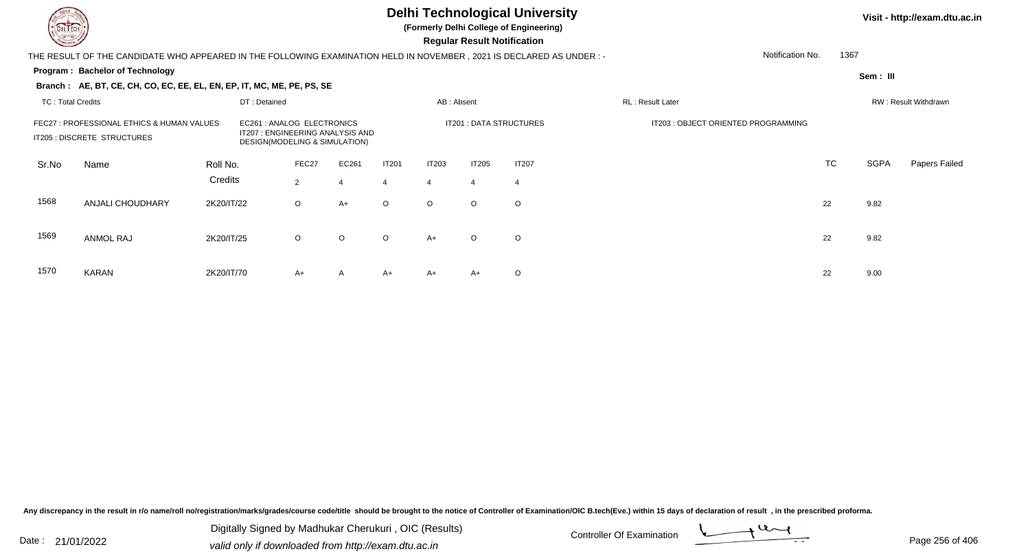**(Formerly Delhi College of Engineering)**

 **Regular Result Notification**

#### **Visit - http://exam.dtu.ac.in**

THE RESULT OF THE CANDIDATE WHO APPEARED IN THE FOLLOWING EXAMINATION HELD IN NOVEMBER , 2021 IS DECLARED AS UNDER : -

#### **Program : Bachelor of Technology**

**Branch : AE, BT, CE, CH, CO, EC, EE, EL, EN, EP, IT, MC, ME, PE, PS, SE**

**Sem : III**

1367

Notification No.

#### TC : Total Credits DT : Detainedd AB : Absent RL : Result Later RW : Result Withdrawn Sr.NoName Roll No. **Credits** FEC27 : PROFESSIONAL ETHICS & HUMAN VALUES EC261 : ANALOG ELECTRONICS IT201 : DATA STRUCTURES IT203 : OBJECT ORIENTED PROGRAMMINGIT205 : DISCRETE STRUCTURESDESIGN(MODELING & SIMULATION) FEC27 EC261 IT201 IT203 IT205 IT207 TCTC SGPA Papers Failed 22 4 4 4 4 4 1568 ANJALI CHOUDHARY 2K20/IT/22 <sup>O</sup> A+ <sup>O</sup> <sup>O</sup> <sup>O</sup> <sup>O</sup> <sup>22</sup> 9.82 1569 ANMOL RAJ 2K20/IT/255 O O O O A+ O O 22 9.82 1570 KARANN 2K20/IT/70 A+ A A+ A+ A+ O 22 9.00

Any discrepancy in the result in r/o name/roll no/registration/marks/grades/course code/title should be brought to the notice of Controller of Examination/OIC B.tech(Eve.) within 15 days of declaration of result , in the p

Date : 21/01/2022 Digital Digital of Microsofted Chemical Controller Of Examination Determination Page 256 of 40 Digitally Signed by Madhukar Cherukuri , OIC (Results)

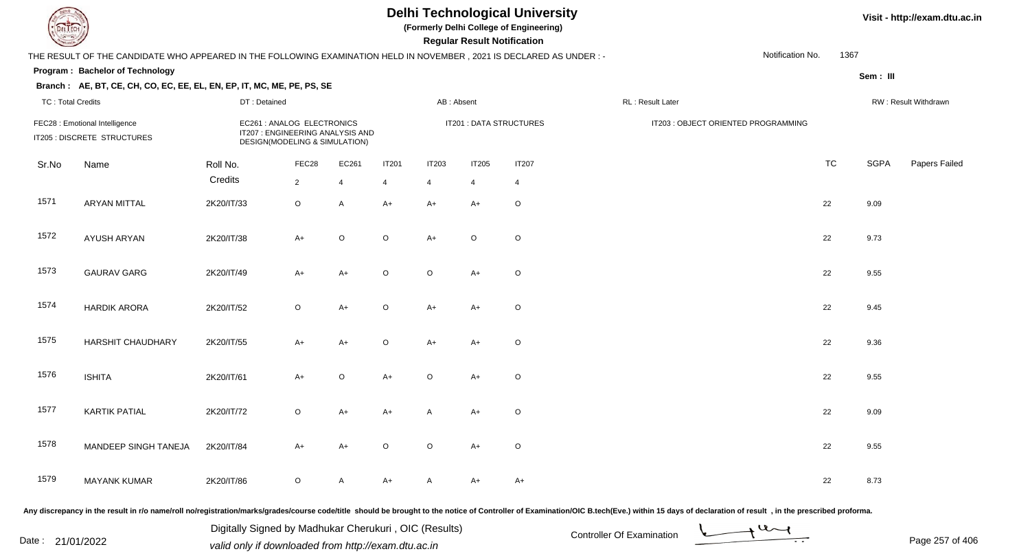**(Formerly Delhi College of Engineering)**

 **Regular Result Notification**

### **Visit - http://exam.dtu.ac.in**

|                          | THE RESULT OF THE CANDIDATE WHO APPEARED IN THE FOLLOWING EXAMINATION HELD IN NOVEMBER, 2021 IS DECLARED AS UNDER :- |                                                                                                 |                |                |                |                         |                |                |                                     | Notification No. | 1367      |             |                      |
|--------------------------|----------------------------------------------------------------------------------------------------------------------|-------------------------------------------------------------------------------------------------|----------------|----------------|----------------|-------------------------|----------------|----------------|-------------------------------------|------------------|-----------|-------------|----------------------|
|                          | Program: Bachelor of Technology                                                                                      |                                                                                                 |                |                |                |                         |                |                |                                     |                  |           | Sem: III    |                      |
| <b>TC: Total Credits</b> | Branch: AE, BT, CE, CH, CO, EC, EE, EL, EN, EP, IT, MC, ME, PE, PS, SE                                               | DT: Detained                                                                                    |                |                |                | AB: Absent              |                |                | RL: Result Later                    |                  |           |             | RW: Result Withdrawn |
|                          | FEC28 : Emotional Intelligence<br>IT205 : DISCRETE STRUCTURES                                                        | EC261 : ANALOG ELECTRONICS<br>IT207 : ENGINEERING ANALYSIS AND<br>DESIGN(MODELING & SIMULATION) |                |                |                | IT201 : DATA STRUCTURES |                |                | IT203 : OBJECT ORIENTED PROGRAMMING |                  |           |             |                      |
| Sr.No                    | Name                                                                                                                 | Roll No.                                                                                        | FEC28          | EC261          | <b>IT201</b>   | <b>IT203</b>            | <b>IT205</b>   | <b>IT207</b>   |                                     |                  | <b>TC</b> | <b>SGPA</b> | Papers Failed        |
|                          |                                                                                                                      | Credits                                                                                         | $\overline{2}$ | $\overline{4}$ | $\overline{4}$ | $\overline{4}$          | $\overline{4}$ | $\overline{4}$ |                                     |                  |           |             |                      |
| 1571                     | <b>ARYAN MITTAL</b>                                                                                                  | 2K20/IT/33                                                                                      | $\circ$        | A              | $A+$           | $A+$                    | $A+$           | $\circ$        |                                     |                  | 22        | 9.09        |                      |
| 1572                     | AYUSH ARYAN                                                                                                          | 2K20/IT/38                                                                                      | $A+$           | $\circ$        | $\mathsf O$    | $A+$                    | $\mathsf O$    | $\circ$        |                                     |                  | 22        | 9.73        |                      |
| 1573                     | <b>GAURAV GARG</b>                                                                                                   | 2K20/IT/49                                                                                      | $A+$           | $A+$           | $\circ$        | $\circ$                 | $A+$           | $\circ$        |                                     |                  | 22        | 9.55        |                      |
| 1574                     | <b>HARDIK ARORA</b>                                                                                                  | 2K20/IT/52                                                                                      | $\circ$        | A+             | $\circ$        | $A+$                    | $A+$           | $\circ$        |                                     |                  | 22        | 9.45        |                      |
| 1575                     | <b>HARSHIT CHAUDHARY</b>                                                                                             | 2K20/IT/55                                                                                      | $A+$           | $A+$           | $\circ$        | $A+$                    | $A+$           | $\circ$        |                                     |                  | 22        | 9.36        |                      |
| 1576                     | <b>ISHITA</b>                                                                                                        | 2K20/IT/61                                                                                      | $A+$           | O              | $A+$           | $\circ$                 | $A+$           | $\circ$        |                                     |                  | 22        | 9.55        |                      |
| 1577                     | <b>KARTIK PATIAL</b>                                                                                                 | 2K20/IT/72                                                                                      | $\circ$        | A+             | $A+$           | A                       | $A+$           | $\mathsf O$    |                                     |                  | 22        | 9.09        |                      |
| 1578                     | MANDEEP SINGH TANEJA                                                                                                 | 2K20/IT/84                                                                                      | $A+$           | $A+$           | $\circ$        | $\circ$                 | $A+$           | $\circ$        |                                     |                  | 22        | 9.55        |                      |
| 1579                     | <b>MAYANK KUMAR</b>                                                                                                  | 2K20/IT/86                                                                                      | $\mathsf O$    | A              | $A+$           | $\mathsf{A}$            | $A+$           | $A+$           |                                     |                  | 22        | 8.73        |                      |

Any discrepancy in the result in r/o name/roll no/registration/marks/grades/course code/title should be brought to the notice of Controller of Examination/OIC B.tech(Eve.) within 15 days of declaration of result, in the pr

Date : 21/01/2022 Digital Digital of Microsofted Chemical Controller Of Examination Determination Page 257 of 40 Digitally Signed by Madhukar Cherukuri , OIC (Results)

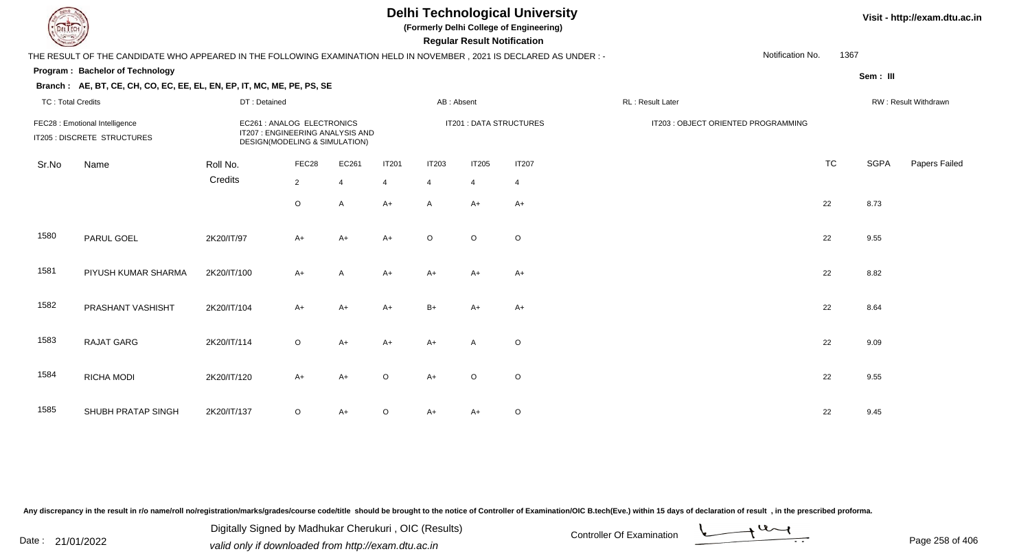**(Formerly Delhi College of Engineering)**

 **Regular Result Notification**

#### **Visit - http://exam.dtu.ac.in**

THE RESULT OF THE CANDIDATE WHO APPEARED IN THE FOLLOWING EXAMINATION HELD IN NOVEMBER , 2021 IS DECLARED AS UNDER : -Notification No.

#### **Program : Bachelor of Technology**

**Branch : AE, BT, CE, CH, CO, EC, EE, EL, EN, EP, IT, MC, ME, PE, PS, SE**

**Sem : III**

1367

| <b>TC: Total Credits</b><br>FEC28 : Emotional Intelligence<br>IT205 : DISCRETE STRUCTURES |                     | DT: Detained                                                                                    |                         |                         |                                | AB: Absent                     |                                |                         | RL: Result Later                    |           | RW: Result Withdrawn |               |  |
|-------------------------------------------------------------------------------------------|---------------------|-------------------------------------------------------------------------------------------------|-------------------------|-------------------------|--------------------------------|--------------------------------|--------------------------------|-------------------------|-------------------------------------|-----------|----------------------|---------------|--|
|                                                                                           |                     | EC261 : ANALOG ELECTRONICS<br>IT207 : ENGINEERING ANALYSIS AND<br>DESIGN(MODELING & SIMULATION) |                         |                         |                                |                                |                                | IT201 : DATA STRUCTURES | IT203 : OBJECT ORIENTED PROGRAMMING |           |                      |               |  |
| Sr.No                                                                                     | Name                | Roll No.<br>Credits                                                                             | FEC28<br>$\overline{2}$ | EC261<br>$\overline{4}$ | <b>IT201</b><br>$\overline{4}$ | <b>IT203</b><br>$\overline{4}$ | <b>IT205</b><br>$\overline{4}$ | IT207<br>$\overline{4}$ |                                     | <b>TC</b> | SGPA                 | Papers Failed |  |
|                                                                                           |                     |                                                                                                 | $\mathsf O$             | A                       | $A+$                           | $\mathsf{A}$                   | $A+$                           | $A+$                    |                                     | 22        | 8.73                 |               |  |
| 1580                                                                                      | PARUL GOEL          | 2K20/IT/97                                                                                      | $A+$                    | $A+$                    | $A+$                           | $\circ$                        | $\circ$                        | $\circ$                 |                                     | 22        | 9.55                 |               |  |
| 1581                                                                                      | PIYUSH KUMAR SHARMA | 2K20/IT/100                                                                                     | $A+$                    | A                       | $A+$                           | $A+$                           | A+                             | $A+$                    |                                     | 22        | 8.82                 |               |  |
| 1582                                                                                      | PRASHANT VASHISHT   | 2K20/IT/104                                                                                     | $A+$                    | $A+$                    | $A+$                           | $B+$                           | $A+$                           | $A+$                    |                                     | 22        | 8.64                 |               |  |
| 1583                                                                                      | <b>RAJAT GARG</b>   | 2K20/IT/114                                                                                     | $\circ$                 | $A+$                    | $A+$                           | $A+$                           | $\mathsf{A}$                   | $\circ$                 |                                     | 22        | 9.09                 |               |  |
| 1584                                                                                      | RICHA MODI          | 2K20/IT/120                                                                                     | $A+$                    | $A+$                    | $\circ$                        | $A+$                           | $\circ$                        | $\mathsf O$             |                                     | 22        | 9.55                 |               |  |
| 1585                                                                                      | SHUBH PRATAP SINGH  | 2K20/IT/137                                                                                     | $\circ$                 | A+                      | $\circ$                        | $A+$                           | A+                             | O                       |                                     | 22        | 9.45                 |               |  |

Any discrepancy in the result in r/o name/roll no/registration/marks/grades/course code/title should be brought to the notice of Controller of Examination/OIC B.tech(Eve.) within 15 days of declaration of result, in the pr

Date : 21/01/2022 Digital Digital of Microsofted Chemical Controller Of Examination Determination Page 258 of 40 Digitally Signed by Madhukar Cherukuri , OIC (Results)

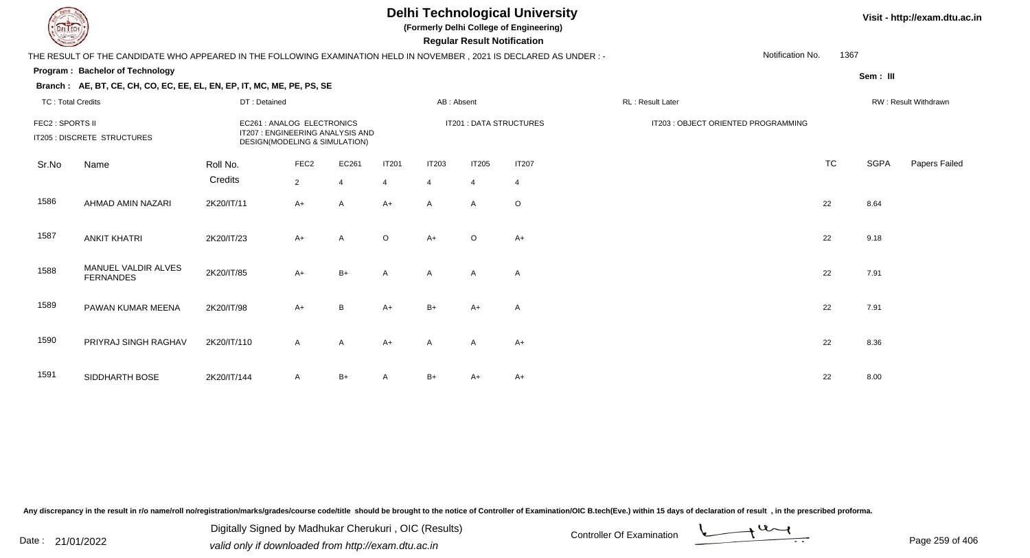TC : Total Credits

### **Delhi Technological University**

**(Formerly Delhi College of Engineering)**

 **Regular Result Notification**

#### **Visit - http://exam.dtu.ac.in**

THE RESULT OF THE CANDIDATE WHO APPEARED IN THE FOLLOWING EXAMINATION HELD IN NOVEMBER , 2021 IS DECLARED AS UNDER : -

#### **Program : Bachelor of Technology**

**Branch : AE, BT, CE, CH, CO, EC, EE, EL, EN, EP, IT, MC, ME, PE, PS, SE**

DT : Detained

**Sem : III**

1367

Notification No.

| TC: Total Credits<br>FEC2 : SPORTS II<br>IT205 : DISCRETE STRUCTURES |                                         | DT: Detained                                                                                    |                                    |            | AB : Absent             |                   |                                | RL : Result Later       |                                     | RW : Result Withdrawn |             |                      |
|----------------------------------------------------------------------|-----------------------------------------|-------------------------------------------------------------------------------------------------|------------------------------------|------------|-------------------------|-------------------|--------------------------------|-------------------------|-------------------------------------|-----------------------|-------------|----------------------|
|                                                                      |                                         | EC261 : ANALOG ELECTRONICS<br>IT207 : ENGINEERING ANALYSIS AND<br>DESIGN(MODELING & SIMULATION) |                                    |            |                         |                   |                                | IT201 : DATA STRUCTURES | IT203 : OBJECT ORIENTED PROGRAMMING |                       |             |                      |
| Sr.No                                                                | Name                                    | Roll No.<br>Credits                                                                             | FEC <sub>2</sub><br>$\overline{2}$ | EC261<br>4 | IT201<br>$\overline{4}$ | <b>IT203</b><br>4 | <b>IT205</b><br>$\overline{4}$ | IT207<br>$\overline{4}$ |                                     | <b>TC</b>             | <b>SGPA</b> | <b>Papers Failed</b> |
| 1586                                                                 | AHMAD AMIN NAZARI                       | 2K20/IT/11                                                                                      | $A+$                               | A          | $A+$                    | $\mathsf{A}$      | $\mathsf{A}$                   | $\circ$                 |                                     | 22                    | 8.64        |                      |
| 1587                                                                 | <b>ANKIT KHATRI</b>                     | 2K20/IT/23                                                                                      | $A+$                               | A          | $\circ$                 | $A+$              | $\circ$                        | $A+$                    |                                     | 22                    | 9.18        |                      |
| 1588                                                                 | MANUEL VALDIR ALVES<br><b>FERNANDES</b> | 2K20/IT/85                                                                                      | $A+$                               | $B+$       | $\mathsf{A}$            | $\mathsf{A}$      | $\mathsf{A}$                   | A                       |                                     | 22                    | 7.91        |                      |
| 1589                                                                 | PAWAN KUMAR MEENA                       | 2K20/IT/98                                                                                      | $A+$                               | B          | $A+$                    | $B+$              | $A+$                           | $\mathsf{A}$            |                                     | 22                    | 7.91        |                      |
| 1590                                                                 | PRIYRAJ SINGH RAGHAV                    | 2K20/IT/110                                                                                     | $\mathsf{A}$                       | A          | $A+$                    | $\mathsf{A}$      | $\mathsf{A}$                   | $A+$                    |                                     | 22                    | 8.36        |                      |
| 1591                                                                 | SIDDHARTH BOSE                          | 2K20/IT/144                                                                                     | A                                  | $B+$       | A                       | $B+$              | $A+$                           | $A+$                    |                                     | 22                    | 8.00        |                      |

Any discrepancy in the result in r/o name/roll no/registration/marks/grades/course code/title should be brought to the notice of Controller of Examination/OIC B.tech(Eve.) within 15 days of declaration of result, in the pr

Date : 21/01/2022 Digital Digital of Microsofted Chemical Controller Of Examination Determination Page 259 of 40 Digitally Signed by Madhukar Cherukuri , OIC (Results)

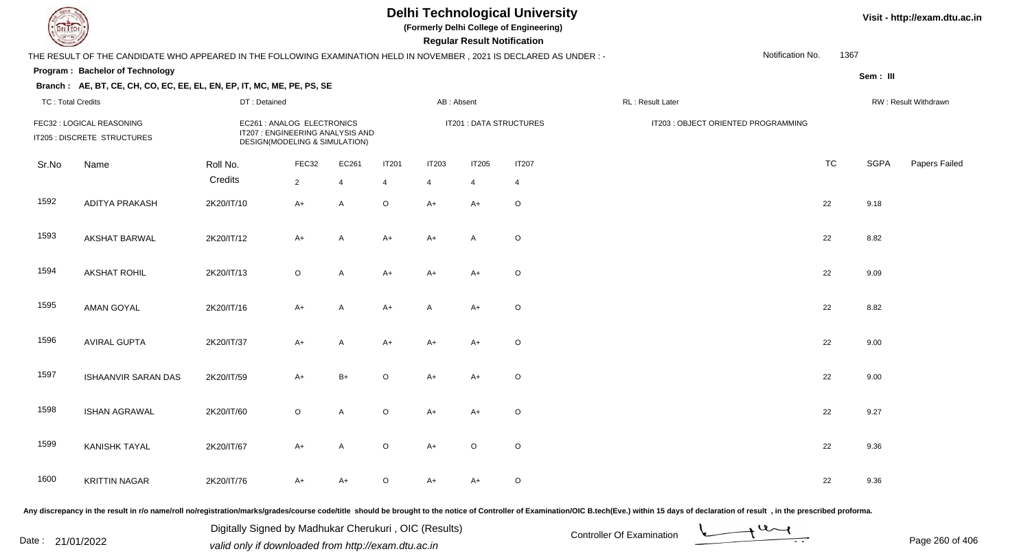**(Formerly Delhi College of Engineering)**

 **Regular Result Notification**

### **Visit - http://exam.dtu.ac.in**

|                          | THE RESULT OF THE CANDIDATE WHO APPEARED IN THE FOLLOWING EXAMINATION HELD IN NOVEMBER, 2021 IS DECLARED AS UNDER :- |                     |                                                                                                 |                     |                           |                        |                        |                         |                                     | Notification No. | 1367 |                      |               |  |
|--------------------------|----------------------------------------------------------------------------------------------------------------------|---------------------|-------------------------------------------------------------------------------------------------|---------------------|---------------------------|------------------------|------------------------|-------------------------|-------------------------------------|------------------|------|----------------------|---------------|--|
|                          | Program: Bachelor of Technology                                                                                      |                     |                                                                                                 |                     |                           |                        |                        |                         |                                     |                  |      | Sem: III             |               |  |
| <b>TC: Total Credits</b> | Branch: AE, BT, CE, CH, CO, EC, EE, EL, EN, EP, IT, MC, ME, PE, PS, SE                                               | DT: Detained        |                                                                                                 |                     |                           |                        | AB: Absent             |                         | RL: Result Later                    |                  |      | RW: Result Withdrawn |               |  |
|                          | FEC32 : LOGICAL REASONING<br>IT205 : DISCRETE STRUCTURES                                                             |                     | EC261 : ANALOG ELECTRONICS<br>IT207 : ENGINEERING ANALYSIS AND<br>DESIGN(MODELING & SIMULATION) |                     |                           |                        |                        | IT201 : DATA STRUCTURES | IT203 : OBJECT ORIENTED PROGRAMMING |                  |      |                      |               |  |
| Sr.No                    | Name                                                                                                                 | Roll No.<br>Credits | FEC32                                                                                           | EC261               | <b>IT201</b>              | <b>IT203</b>           | <b>IT205</b>           | <b>IT207</b>            |                                     |                  | TC   | SGPA                 | Papers Failec |  |
| 1592                     | ADITYA PRAKASH                                                                                                       | 2K20/IT/10          | $\overline{2}$<br>$A+$                                                                          | $\overline{4}$<br>A | $\overline{4}$<br>$\circ$ | $\overline{4}$<br>$A+$ | $\overline{4}$<br>$A+$ | 4<br>$\circ$            |                                     |                  | 22   | 9.18                 |               |  |
| 1593                     | <b>AKSHAT BARWAL</b>                                                                                                 | 2K20/IT/12          | $A+$                                                                                            | A                   | $A+$                      | $A+$                   | A                      | $\mathsf O$             |                                     |                  | 22   | 8.82                 |               |  |
| 1594                     | AKSHAT ROHIL                                                                                                         | 2K20/IT/13          | $\circ$                                                                                         | A                   | $A+$                      | $A+$                   | $A+$                   | $\mathsf O$             |                                     |                  | 22   | 9.09                 |               |  |
| 1595                     | <b>AMAN GOYAL</b>                                                                                                    | 2K20/IT/16          | $A+$                                                                                            | A                   | $A+$                      | A                      | $A+$                   | $\circ$                 |                                     |                  | 22   | 8.82                 |               |  |
| 1596                     | <b>AVIRAL GUPTA</b>                                                                                                  | 2K20/IT/37          | $A+$                                                                                            | A                   | $A+$                      | $A+$                   | $A+$                   | $\mathsf O$             |                                     |                  | 22   | 9.00                 |               |  |
| 1597                     | ISHAANVIR SARAN DAS                                                                                                  | 2K20/IT/59          | $A+$                                                                                            | $B+$                | $\circ$                   | $A+$                   | $A+$                   | $\mathsf O$             |                                     |                  | 22   | 9.00                 |               |  |
| 1598                     | <b>ISHAN AGRAWAL</b>                                                                                                 | 2K20/IT/60          | $\circ$                                                                                         | A                   | $\mathsf O$               | $A+$                   | $A+$                   | $\circ$                 |                                     |                  | 22   | 9.27                 |               |  |
| 1599                     | <b>KANISHK TAYAL</b>                                                                                                 | 2K20/IT/67          | $A+$                                                                                            | A                   | $\circ$                   | $A+$                   | $\mathsf O$            | $\mathsf O$             |                                     |                  | 22   | 9.36                 |               |  |
| 1600                     | <b>KRITTIN NAGAR</b>                                                                                                 | 2K20/IT/76          | $A+$                                                                                            | $A+$                | $\circ$                   | $A+$                   | $A+$                   | $\circ$                 |                                     |                  | 22   | 9.36                 |               |  |

Any discrepancy in the result in r/o name/roll no/registration/marks/grades/course code/title should be brought to the notice of Controller of Examination/OIC B.tech(Eve.) within 15 days of declaration of result, in the pr

Date : 21/01/2022 Digital Digital of Microsofted Chemical Controller Of Examination Determination Page 260 of 40 Digitally Signed by Madhukar Cherukuri , OIC (Results)

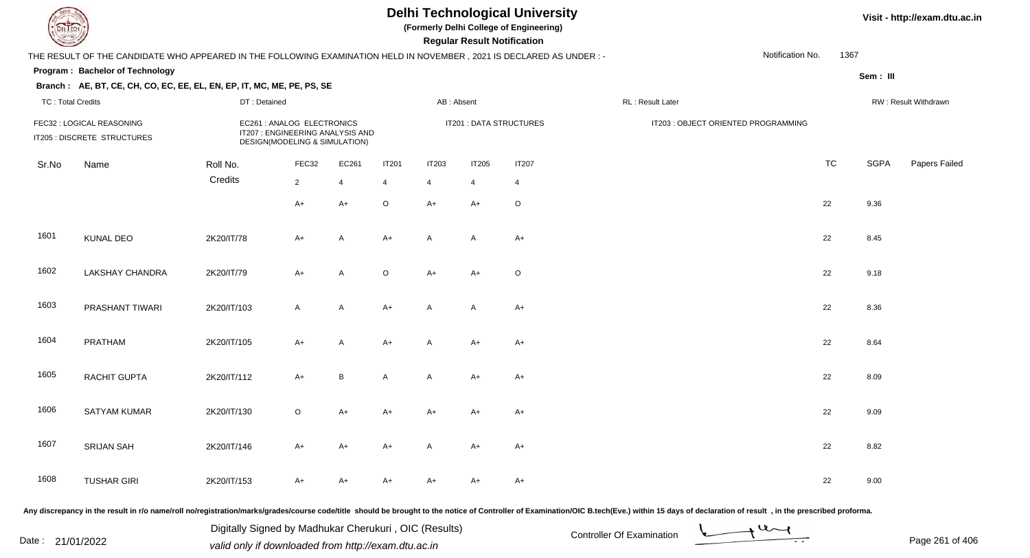**(Formerly Delhi College of Engineering)**

 **Regular Result Notification**

|                          | THE RESULT OF THE CANDIDATE WHO APPEARED IN THE FOLLOWING EXAMINATION HELD IN NOVEMBER, 2021 IS DECLARED AS UNDER :-                                        |              | Notification No.<br>1367 |                        |                               |                         |                                     |                               |                   |  |           |             |                      |
|--------------------------|-------------------------------------------------------------------------------------------------------------------------------------------------------------|--------------|--------------------------|------------------------|-------------------------------|-------------------------|-------------------------------------|-------------------------------|-------------------|--|-----------|-------------|----------------------|
|                          | Program: Bachelor of Technology                                                                                                                             |              |                          |                        |                               |                         |                                     |                               |                   |  |           | Sem: III    |                      |
| <b>TC: Total Credits</b> | Branch: AE, BT, CE, CH, CO, EC, EE, EL, EN, EP, IT, MC, ME, PE, PS, SE                                                                                      | DT: Detained |                          |                        |                               | AB: Absent              |                                     |                               | RL : Result Later |  |           |             | RW: Result Withdrawn |
|                          | EC261 : ANALOG ELECTRONICS<br>FEC32 : LOGICAL REASONING<br>IT207 : ENGINEERING ANALYSIS AND<br>IT205 : DISCRETE STRUCTURES<br>DESIGN(MODELING & SIMULATION) |              |                          |                        |                               | IT201 : DATA STRUCTURES | IT203 : OBJECT ORIENTED PROGRAMMING |                               |                   |  |           |             |                      |
| Sr.No                    | Name                                                                                                                                                        | Roll No.     | FEC32                    | EC261                  | <b>IT201</b>                  | <b>IT203</b>            | <b>IT205</b>                        | <b>IT207</b>                  |                   |  | <b>TC</b> | <b>SGPA</b> | Papers Failed        |
|                          |                                                                                                                                                             | Credits      | $\overline{2}$<br>$A+$   | $\overline{4}$<br>$A+$ | $\overline{4}$<br>$\mathsf O$ | $\overline{4}$<br>$A+$  | $\overline{4}$<br>$A+$              | $\overline{4}$<br>$\mathsf O$ |                   |  | 22        | 9.36        |                      |
| 1601                     | <b>KUNAL DEO</b>                                                                                                                                            | 2K20/IT/78   | A+                       | Α                      | $A+$                          | $\mathsf{A}$            | $\mathsf{A}$                        | $A+$                          |                   |  | 22        | 8.45        |                      |
| 1602                     | <b>LAKSHAY CHANDRA</b>                                                                                                                                      | 2K20/IT/79   | A+                       | A                      | $\mathsf O$                   | $A+$                    | $A+$                                | $\mathsf O$                   |                   |  | 22        | 9.18        |                      |
| 1603                     | PRASHANT TIWARI                                                                                                                                             | 2K20/IT/103  | $\mathsf{A}$             | A                      | $A+$                          | $\mathsf{A}$            | $\mathsf{A}$                        | $A+$                          |                   |  | 22        | 8.36        |                      |
| 1604                     | PRATHAM                                                                                                                                                     | 2K20/IT/105  | A+                       | A                      | $A+$                          | $\mathsf{A}$            | A+                                  | $A+$                          |                   |  | 22        | 8.64        |                      |
| 1605                     | RACHIT GUPTA                                                                                                                                                | 2K20/IT/112  | $A+$                     | B                      | $\mathsf{A}$                  | $\mathsf{A}$            | $A+$                                | $A+$                          |                   |  | 22        | 8.09        |                      |
| 1606                     | <b>SATYAM KUMAR</b>                                                                                                                                         | 2K20/IT/130  | $\circ$                  | $A+$                   | $A+$                          | $A+$                    | $A+$                                | $A+$                          |                   |  | 22        | 9.09        |                      |
| 1607<br>1608             | <b>SRIJAN SAH</b>                                                                                                                                           | 2K20/IT/146  | A+                       | $A+$                   | $A+$                          | A                       | $A+$                                | $A+$                          |                   |  | 22        | 8.82        |                      |
|                          | <b>TUSHAR GIRI</b>                                                                                                                                          | 2K20/IT/153  | A+                       | A+                     | A+                            | $A+$                    | $A+$                                | A+                            |                   |  | 22        | 9.00        |                      |

Any discrepancy in the result in r/o name/roll no/registration/marks/grades/course code/title should be brought to the notice of Controller of Examination/OIC B.tech(Eve.) within 15 days of declaration of result, in the pr

Date : 21/01/2022 Digital Digital of Microsofted Chemical Controller Of Examination Determination Page 261 of 40 Digitally Signed by Madhukar Cherukuri , OIC (Results)

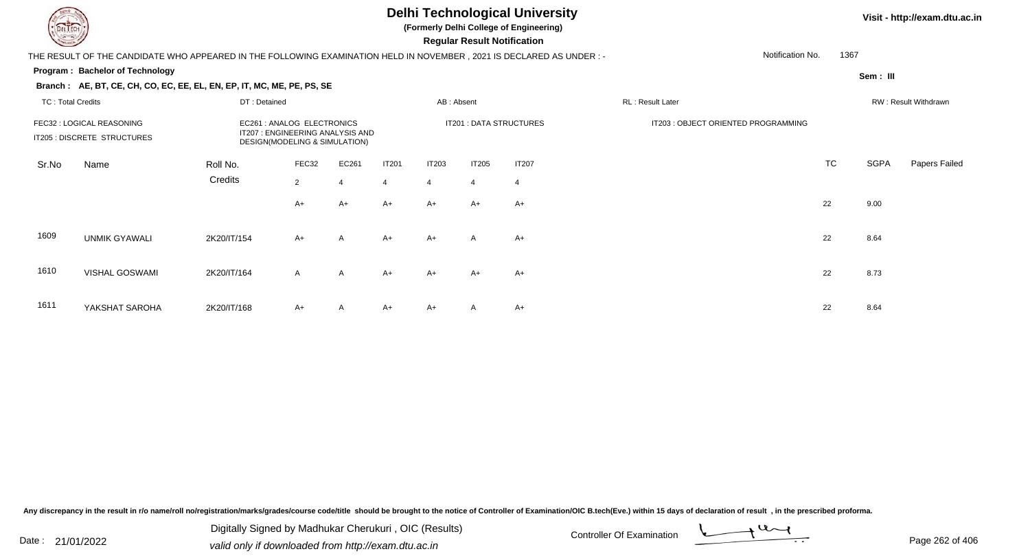**(Formerly Delhi College of Engineering)**

 **Regular Result Notification**

#### **Visit - http://exam.dtu.ac.in**

THE RESULT OF THE CANDIDATE WHO APPEARED IN THE FOLLOWING EXAMINATION HELD IN NOVEMBER , 2021 IS DECLARED AS UNDER : -

#### **Program : Bachelor of Technology**

**Branch : AE, BT, CE, CH, CO, EC, EE, EL, EN, EP, IT, MC, ME, PE, PS, SE**

**Sem : III**

1367

Notification No.

#### TC : Total Credits DT : Detainedd AB : Absent RL : Result Later RW : Result Withdrawn Sr.NoName Roll No. **Credits** FEC32 : LOGICAL REASONING EC261 : ANALOG ELECTRONICS IT201 : DATA STRUCTURES IT203 : OBJECT ORIENTED PROGRAMMING IT205 : DISCRETE STRUCTURESDESIGN(MODELING & SIMULATION) FEC322 EC261 IT201 IT203 IT205 IT207 20 CHA CONTENTING TO TO TC SGPA Papers Failed 22 4 4 4 4 4  $A+$  A+ A+ A+ A+ A+ <sup>22</sup> 9.00 1609 UNMIK GYAWALI 2K20/IT/154 A+ <sup>A</sup> A+ A+ <sup>A</sup> A+ <sup>22</sup> 8.64 1610 VISHAL GOSWAMI 2K20/IT/164 <sup>A</sup> <sup>A</sup> A+ A+ A+ A+ <sup>22</sup> 8.73 1611 YAKSHAT SAROHAA 2K20/IT/168 A+ A A+ A+ A+ A A+ A+ A 22 8.64

Any discrepancy in the result in r/o name/roll no/registration/marks/grades/course code/title should be brought to the notice of Controller of Examination/OIC B.tech(Eve.) within 15 days of declaration of result , in the p

Date : 21/01/2022 Digital Digital of Microsofted Chemical Controller Of Examination Determination Page 262 of 40 Digitally Signed by Madhukar Cherukuri , OIC (Results)

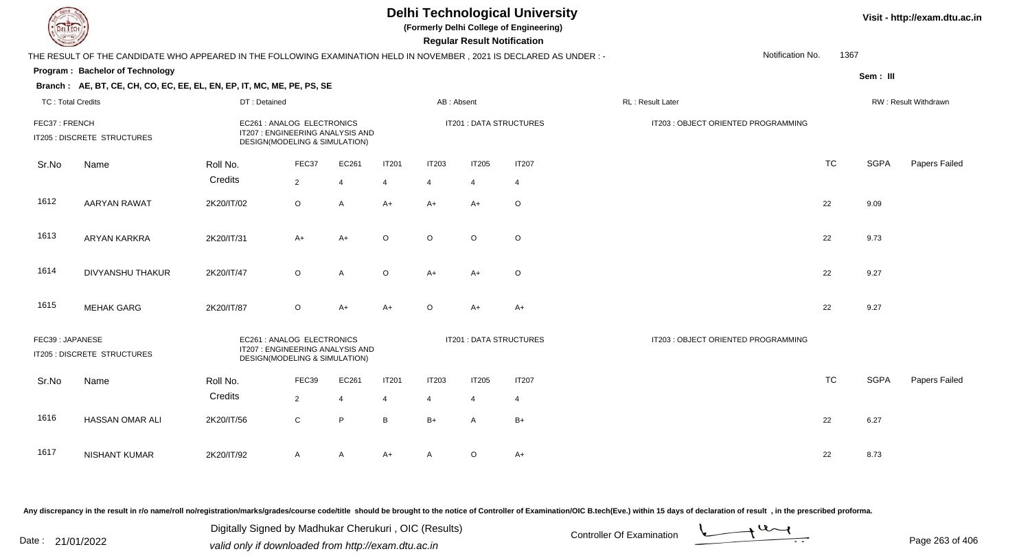**(Formerly Delhi College of Engineering)**

 **Regular Result Notification**

|                          | THE RESULT OF THE CANDIDATE WHO APPEARED IN THE FOLLOWING EXAMINATION HELD IN NOVEMBER, 2021 IS DECLARED AS UNDER:-                               |                                                                                                 |                |                         | Notification No.<br>1367 |                |                                     |                         |                                     |           |                      |               |  |
|--------------------------|---------------------------------------------------------------------------------------------------------------------------------------------------|-------------------------------------------------------------------------------------------------|----------------|-------------------------|--------------------------|----------------|-------------------------------------|-------------------------|-------------------------------------|-----------|----------------------|---------------|--|
|                          | Program: Bachelor of Technology                                                                                                                   |                                                                                                 |                |                         |                          |                |                                     |                         |                                     |           | Sem: III             |               |  |
|                          | Branch: AE, BT, CE, CH, CO, EC, EE, EL, EN, EP, IT, MC, ME, PE, PS, SE                                                                            |                                                                                                 |                |                         |                          |                |                                     |                         |                                     |           |                      |               |  |
| <b>TC: Total Credits</b> |                                                                                                                                                   | DT: Detained                                                                                    |                |                         |                          | AB: Absent     |                                     |                         | RL: Result Later                    |           | RW: Result Withdrawn |               |  |
| FEC37: FRENCH            | IT205 : DISCRETE STRUCTURES                                                                                                                       | EC261 : ANALOG ELECTRONICS<br>IT207 : ENGINEERING ANALYSIS AND<br>DESIGN(MODELING & SIMULATION) |                |                         |                          |                |                                     | IT201 : DATA STRUCTURES | IT203 : OBJECT ORIENTED PROGRAMMING |           |                      |               |  |
| Sr.No                    | Name                                                                                                                                              | Roll No.                                                                                        | FEC37          | EC261                   | <b>IT201</b>             | <b>IT203</b>   | <b>IT205</b>                        | <b>IT207</b>            |                                     | <b>TC</b> | <b>SGPA</b>          | Papers Failed |  |
|                          |                                                                                                                                                   | Credits                                                                                         | $\overline{2}$ | $\overline{4}$          | $\overline{4}$           | $\overline{4}$ | $\overline{4}$                      | 4                       |                                     |           |                      |               |  |
| 1612                     | <b>AARYAN RAWAT</b>                                                                                                                               | 2K20/IT/02                                                                                      | $\circ$        | $\mathsf{A}$            | $A+$                     | $A+$           | $A+$                                | $\circ$                 |                                     | 22        | 9.09                 |               |  |
| 1613                     | ARYAN KARKRA                                                                                                                                      | 2K20/IT/31                                                                                      | $A+$           | $A+$                    | $\circ$                  | $\circ$        | $\circ$                             | $\circ$                 |                                     | 22        | 9.73                 |               |  |
| 1614                     | <b>DIVYANSHU THAKUR</b>                                                                                                                           | 2K20/IT/47                                                                                      | $\circ$        | A                       | $\circ$                  | $A+$           | $A+$                                | $\circ$                 |                                     | 22        | 9.27                 |               |  |
| 1615                     | <b>MEHAK GARG</b>                                                                                                                                 | 2K20/IT/87                                                                                      | $\circ$        | A+                      | $A+$                     | $\circ$        | $A+$                                | $A+$                    |                                     | 22        | 9.27                 |               |  |
|                          | EC261 : ANALOG ELECTRONICS<br>FEC39: JAPANESE<br>IT207 : ENGINEERING ANALYSIS AND<br>IT205 : DISCRETE STRUCTURES<br>DESIGN(MODELING & SIMULATION) |                                                                                                 |                | IT201 : DATA STRUCTURES |                          |                | IT203 : OBJECT ORIENTED PROGRAMMING |                         |                                     |           |                      |               |  |
| Sr.No                    | Name                                                                                                                                              | Roll No.                                                                                        | FEC39          | EC261                   | <b>IT201</b>             | <b>IT203</b>   | <b>IT205</b>                        | <b>IT207</b>            |                                     | <b>TC</b> | <b>SGPA</b>          | Papers Failed |  |
|                          |                                                                                                                                                   | Credits                                                                                         | $\overline{2}$ | $\overline{4}$          | $\overline{4}$           | $\overline{4}$ | $\overline{4}$                      | $\overline{4}$          |                                     |           |                      |               |  |
| 1616                     | HASSAN OMAR ALI                                                                                                                                   | 2K20/IT/56                                                                                      | $\mathsf C$    | P                       | $\mathsf B$              | $B+$           | $\overline{A}$                      | $B+$                    |                                     | 22        | 6.27                 |               |  |
| 1617                     | <b>NISHANT KUMAR</b>                                                                                                                              | 2K20/IT/92                                                                                      | A              | A                       | A+                       | $\mathsf{A}$   | $\circ$                             | $A+$                    |                                     | 22        | 8.73                 |               |  |

Any discrepancy in the result in r/o name/roll no/registration/marks/grades/course code/title should be brought to the notice of Controller of Examination/OIC B.tech(Eve.) within 15 days of declaration of result, in the pr

Date : 21/01/2022 Digital Digital of Microsofted Chemical Controller Of Examination Determination Page 263 of 40 Digitally Signed by Madhukar Cherukuri , OIC (Results)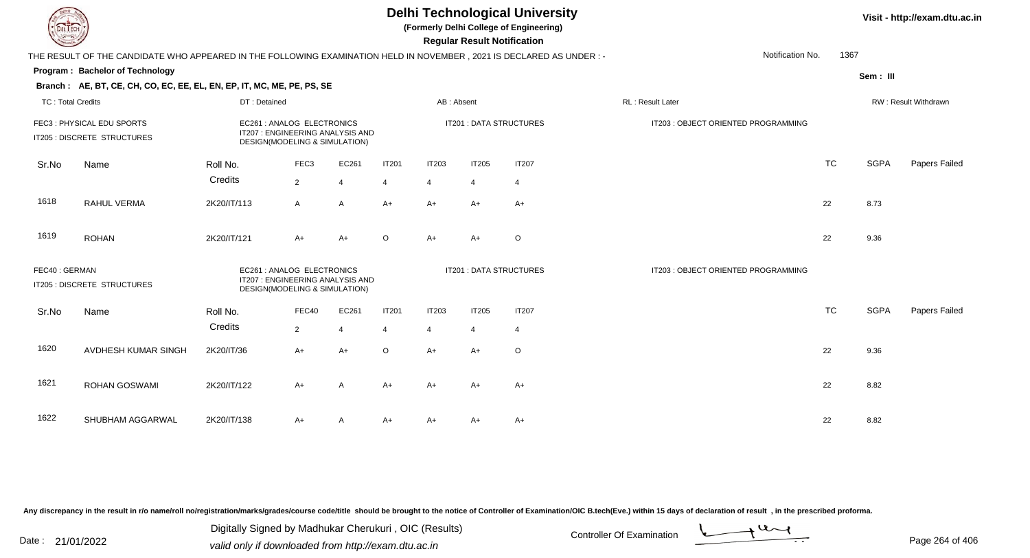**(Formerly Delhi College of Engineering)**

 **Regular Result Notification**

|       | THE RESULT OF THE CANDIDATE WHO APPEARED IN THE FOLLOWING EXAMINATION HELD IN NOVEMBER, 2021 IS DECLARED AS UNDER :-                           |                                                             |                       |                                 | Notification No.<br>1367       |                                |                                     |                                |                                     |           |             |               |
|-------|------------------------------------------------------------------------------------------------------------------------------------------------|-------------------------------------------------------------|-----------------------|---------------------------------|--------------------------------|--------------------------------|-------------------------------------|--------------------------------|-------------------------------------|-----------|-------------|---------------|
|       | Program: Bachelor of Technology                                                                                                                |                                                             |                       |                                 |                                |                                |                                     |                                |                                     |           | Sem: III    |               |
|       | Branch: AE, BT, CE, CH, CO, EC, EE, EL, EN, EP, IT, MC, ME, PE, PS, SE                                                                         |                                                             |                       |                                 |                                |                                |                                     |                                |                                     |           |             |               |
|       | <b>TC: Total Credits</b><br>DT: Detained                                                                                                       |                                                             |                       | AB: Absent                      |                                |                                | <b>RL: Result Later</b>             |                                | RW: Result Withdrawn                |           |             |               |
|       | FEC3: PHYSICAL EDU SPORTS<br>IT205 : DISCRETE STRUCTURES                                                                                       | EC261 : ANALOG ELECTRONICS<br>DESIGN(MODELING & SIMULATION) |                       | IT207: ENGINEERING ANALYSIS AND |                                |                                |                                     | IT201 : DATA STRUCTURES        | IT203 : OBJECT ORIENTED PROGRAMMING |           |             |               |
| Sr.No | Name                                                                                                                                           | Roll No.<br>Credits                                         | FEC <sub>3</sub><br>2 | EC261<br>$\overline{4}$         | <b>IT201</b><br>$\overline{4}$ | <b>IT203</b><br>$\overline{4}$ | <b>IT205</b><br>$\overline{4}$      | <b>IT207</b><br>$\overline{4}$ |                                     | <b>TC</b> | <b>SGPA</b> | Papers Failed |
| 1618  | RAHUL VERMA                                                                                                                                    | 2K20/IT/113                                                 | $\overline{A}$        | $\mathsf{A}$                    | $A+$                           | $A+$                           | A+                                  | $A+$                           |                                     | 22        | 8.73        |               |
| 1619  | <b>ROHAN</b>                                                                                                                                   | 2K20/IT/121                                                 | $A+$                  | $A+$                            | $\circ$                        | A+                             | $A+$                                | $\circ$                        |                                     | 22        | 9.36        |               |
|       | FEC40: GERMAN<br>EC261 : ANALOG ELECTRONICS<br>IT207: ENGINEERING ANALYSIS AND<br>IT205 : DISCRETE STRUCTURES<br>DESIGN(MODELING & SIMULATION) |                                                             |                       | IT201 : DATA STRUCTURES         |                                |                                | IT203 : OBJECT ORIENTED PROGRAMMING |                                |                                     |           |             |               |
| Sr.No | Name                                                                                                                                           | Roll No.                                                    | FEC40                 | EC261                           | <b>IT201</b>                   | <b>IT203</b>                   | IT205                               | <b>IT207</b>                   |                                     | <b>TC</b> | <b>SGPA</b> | Papers Failed |
|       |                                                                                                                                                | Credits                                                     | 2                     | $\Delta$                        | $\overline{4}$                 | $\overline{4}$                 | $\overline{4}$                      | 4                              |                                     |           |             |               |
| 1620  | AVDHESH KUMAR SINGH                                                                                                                            | 2K20/IT/36                                                  | $A+$                  | $A+$                            | $\circ$                        | $A+$                           | A+                                  | O                              |                                     | 22        | 9.36        |               |
| 1621  | ROHAN GOSWAMI                                                                                                                                  | 2K20/IT/122                                                 | $A+$                  | $\overline{A}$                  | $A+$                           | $A+$                           | $A+$                                | $A+$                           |                                     | 22        | 8.82        |               |
| 1622  | SHUBHAM AGGARWAL                                                                                                                               | 2K20/IT/138                                                 | $A+$                  | A                               | A+                             | A+                             | A+                                  | A+                             |                                     | 22        | 8.82        |               |

Any discrepancy in the result in r/o name/roll no/registration/marks/grades/course code/title should be brought to the notice of Controller of Examination/OIC B.tech(Eve.) within 15 days of declaration of result, in the pr

Date : 21/01/2022 Digital Digital of Microsofted Chemical Controller Of Examination Determination Page 264 of 40 Digitally Signed by Madhukar Cherukuri , OIC (Results)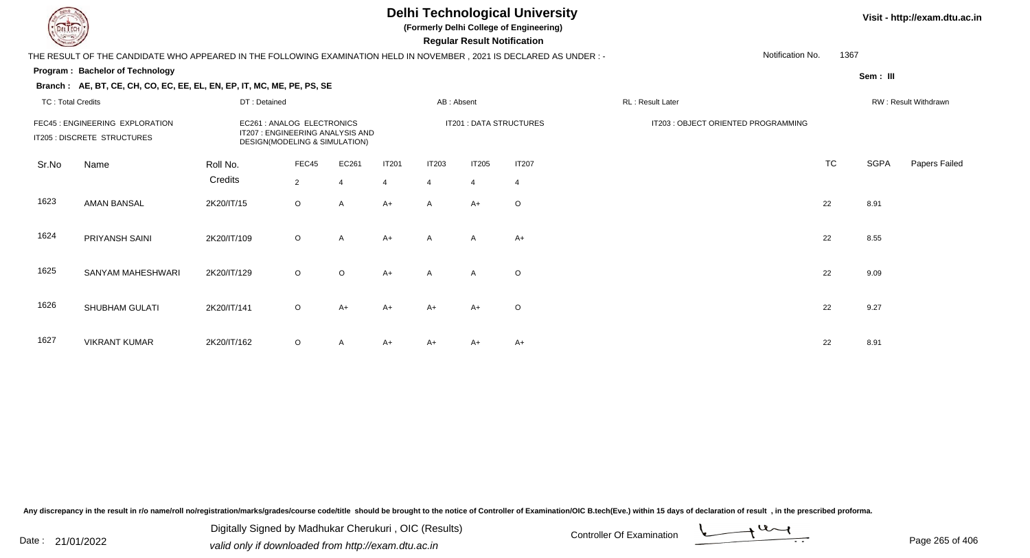1624

1625

PRIYANSH SAINI 2K20/IT/109

SANYAM MAHESHWARI 2K20/IT/129

### **Delhi Technological University**

**(Formerly Delhi College of Engineering)**

 **Regular Result Notification**

#### **Program : Bachelor of TechnologySem : III Branch : AE, BT, CE, CH, CO, EC, EE, EL, EN, EP, IT, MC, ME, PE, PS, SE**THE RESULT OF THE CANDIDATE WHO APPEARED IN THE FOLLOWING EXAMINATION HELD IN NOVEMBER , 2021 IS DECLARED AS UNDER : -TC : Total Credits DT : Detainedd AB : Absent RL : Result Later RW : Result Withdrawn Notification No. 1367Sr.NoName Roll No. **Credits** FEC45 : ENGINEERING EXPLORATION EC261 : ANALOG ELECTRONICS IT201 : DATA STRUCTURES IT203 : OBJECT ORIENTED PROGRAMMINGIT205 : DISCRETE STRUCTURESDESIGN(MODELING & SIMULATION) FEC455 EC261 IT201 IT203 IT205 IT207 1T207 1T207 1T207 1TC TC SGPA Papers Failed 22 4 4 4 4 4 1623 AMAN BANSAL 2K20/IT/15 <sup>O</sup>O A A+ A A+ O

1626SHUBHAM GULATI 2K20/IT/141 1 O A+ A+ A+ A+ <sup>O</sup> <sup>22</sup> 9.27 1627 VIKRANT KUMARR 2K20/IT/162 O A A+ A+ A+ A+ A+ C C C C 22 8.91

Any discrepancy in the result in r/o name/roll no/registration/marks/grades/course code/title should be brought to the notice of Controller of Examination/OIC B.tech(Eve.) within 15 days of declaration of result , in the p

Date : 21/01/2022 Digital Digital of Microsofted Chemical Controller Of Examination Determination Page 265 of 40 Digitally Signed by Madhukar Cherukuri , OIC (Results)

9 O

9 O

O A A+ A A A+  $A$  A+  $A$  a  $A$  a  $A$  a  $A$  a  $A$  a  $A$  a  $A$  a  $A$  a  $A$  a  $A$  a  $A$  a  $A$  a  $A$  a  $A$  a  $A$  a  $A$  a  $A$  a  $A$  a  $A$  a  $A$  a  $A$  a  $A$  a  $A$  a  $A$  a  $A$  a  $A$  a  $A$  a  $A$  a  $A$  a  $A$  a  $A$  a  $A$  a  $A$  a  $A$ 

O O A+ A A O 22 9.09

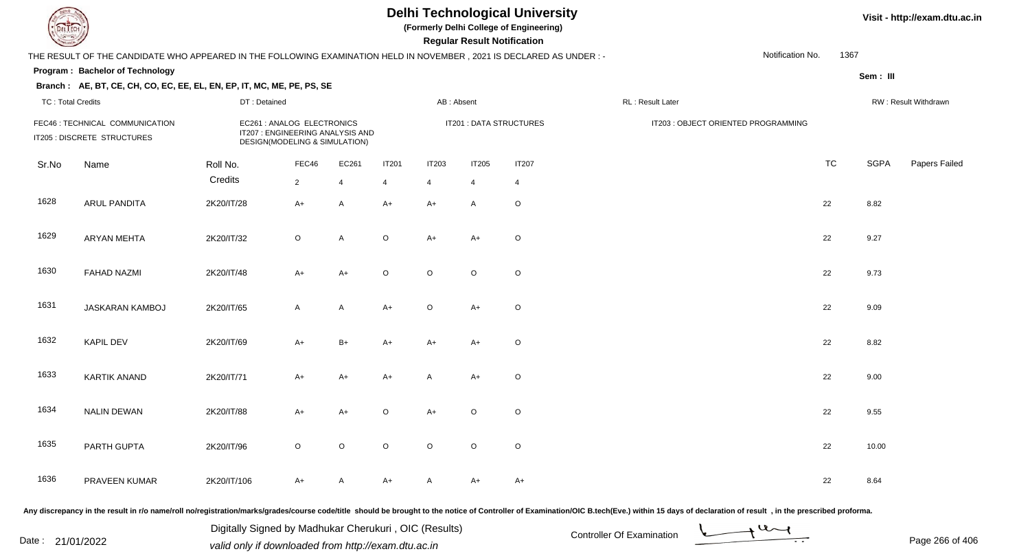**(Formerly Delhi College of Engineering)**

 **Regular Result Notification**

### **Visit - http://exam.dtu.ac.in**

|       | THE RESULT OF THE CANDIDATE WHO APPEARED IN THE FOLLOWING EXAMINATION HELD IN NOVEMBER, 2021 IS DECLARED AS UNDER:- |             |                                                                                                 |                |                |                |                |                         |                                     | Notification No.     | 1367        |               |
|-------|---------------------------------------------------------------------------------------------------------------------|-------------|-------------------------------------------------------------------------------------------------|----------------|----------------|----------------|----------------|-------------------------|-------------------------------------|----------------------|-------------|---------------|
|       | Program: Bachelor of Technology                                                                                     |             |                                                                                                 |                |                |                |                |                         |                                     |                      | Sem: III    |               |
|       | Branch: AE, BT, CE, CH, CO, EC, EE, EL, EN, EP, IT, MC, ME, PE, PS, SE                                              |             |                                                                                                 |                |                |                |                |                         |                                     |                      |             |               |
|       | <b>TC: Total Credits</b><br>DT: Detained                                                                            |             |                                                                                                 |                |                | AB: Absent     |                | RL: Result Later        |                                     | RW: Result Withdrawn |             |               |
|       | FEC46 : TECHNICAL COMMUNICATION<br>IT205 : DISCRETE STRUCTURES                                                      |             | EC261 : ANALOG ELECTRONICS<br>IT207 : ENGINEERING ANALYSIS AND<br>DESIGN(MODELING & SIMULATION) |                |                |                |                | IT201 : DATA STRUCTURES | IT203 : OBJECT ORIENTED PROGRAMMING |                      |             |               |
| Sr.No | Name                                                                                                                | Roll No.    | FEC46                                                                                           | EC261          | <b>IT201</b>   | <b>IT203</b>   | <b>IT205</b>   | <b>IT207</b>            |                                     | <b>TC</b>            | <b>SGPA</b> | Papers Failed |
|       |                                                                                                                     | Credits     | $\overline{2}$                                                                                  | $\overline{4}$ | $\overline{4}$ | $\overline{4}$ | $\overline{4}$ | $\overline{4}$          |                                     |                      |             |               |
| 1628  | <b>ARUL PANDITA</b>                                                                                                 | 2K20/IT/28  | $A+$                                                                                            | A              | $A+$           | $A+$           | $\mathsf{A}$   | $\circ$                 |                                     | 22                   | 8.82        |               |
| 1629  | <b>ARYAN MEHTA</b>                                                                                                  | 2K20/IT/32  | $\circ$                                                                                         | $\mathsf{A}$   | $\circ$        | $A+$           | $A+$           | $\circ$                 |                                     | 22                   | 9.27        |               |
| 1630  | <b>FAHAD NAZMI</b>                                                                                                  | 2K20/IT/48  | $A+$                                                                                            | $A+$           | $\circ$        | $\circ$        | $\circ$        | $\circ$                 |                                     | 22                   | 9.73        |               |
| 1631  | JASKARAN KAMBOJ                                                                                                     | 2K20/IT/65  | $\mathsf{A}$                                                                                    | $\mathsf{A}$   | $A+$           | $\mathsf O$    | $A+$           | $\circ$                 |                                     | 22                   | 9.09        |               |
| 1632  | KAPIL DEV                                                                                                           | 2K20/IT/69  | $A+$                                                                                            | $B+$           | $A+$           | $A+$           | $A+$           | $\circ$                 |                                     | 22                   | 8.82        |               |
| 1633  | <b>KARTIK ANAND</b>                                                                                                 | 2K20/IT/71  | $A+$                                                                                            | $A+$           | $A+$           | $\mathsf{A}$   | $A+$           | $\circ$                 |                                     | 22                   | 9.00        |               |
| 1634  | <b>NALIN DEWAN</b>                                                                                                  | 2K20/IT/88  | $A+$                                                                                            | $A+$           | $\circ$        | $A+$           | $\circ$        | $\circ$                 |                                     | 22                   | 9.55        |               |
| 1635  | PARTH GUPTA                                                                                                         | 2K20/IT/96  | $\circ$                                                                                         | $\circ$        | $\circ$        | $\mathsf O$    | $\circ$        | $\mathsf O$             |                                     | 22                   | 10.00       |               |
| 1636  | PRAVEEN KUMAR                                                                                                       | 2K20/IT/106 | A+                                                                                              | A              | A+             | $\mathsf{A}$   | $A+$           | $A+$                    |                                     | 22                   | 8.64        |               |

Any discrepancy in the result in r/o name/roll no/registration/marks/grades/course code/title should be brought to the notice of Controller of Examination/OIC B.tech(Eve.) within 15 days of declaration of result, in the pr

Date : 21/01/2022 Digital Digital of Microsofted Chemical Controller Of Examination Determination Page 266 of 40 Digitally Signed by Madhukar Cherukuri , OIC (Results)

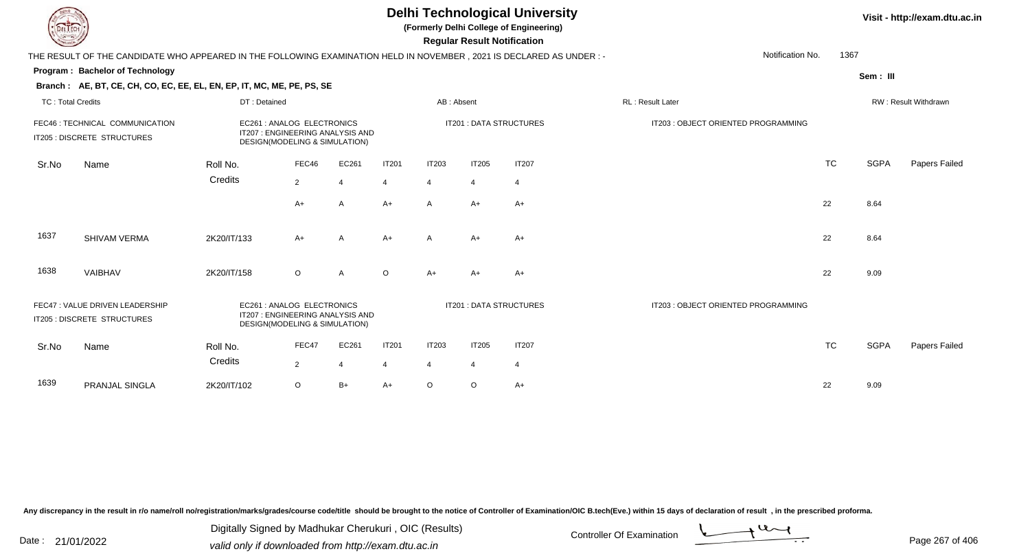| <b>Delhi Technological University</b><br>Visit - http://exam.dtu.a<br>(Formerly Delhi College of Engineering)<br>EL ECH<br><b>Regular Result Notification</b> |                                                                                                                        |              |                                                                                                 |       |                |                |                |                         |                                     |           |             |                      |
|---------------------------------------------------------------------------------------------------------------------------------------------------------------|------------------------------------------------------------------------------------------------------------------------|--------------|-------------------------------------------------------------------------------------------------|-------|----------------|----------------|----------------|-------------------------|-------------------------------------|-----------|-------------|----------------------|
|                                                                                                                                                               | THE RESULT OF THE CANDIDATE WHO APPEARED IN THE FOLLOWING EXAMINATION HELD IN NOVEMBER , 2021 IS DECLARED AS UNDER : - |              |                                                                                                 |       |                |                |                |                         | Notification No.                    | 1367      |             |                      |
|                                                                                                                                                               | Program: Bachelor of Technology                                                                                        |              |                                                                                                 |       |                |                |                |                         |                                     |           | Sem: III    |                      |
|                                                                                                                                                               | Branch: AE, BT, CE, CH, CO, EC, EE, EL, EN, EP, IT, MC, ME, PE, PS, SE                                                 |              |                                                                                                 |       |                |                |                |                         |                                     |           |             |                      |
| <b>TC: Total Credits</b>                                                                                                                                      |                                                                                                                        | DT: Detained |                                                                                                 |       |                |                | AB: Absent     |                         | RL: Result Later                    |           |             | RW: Result Withdrawn |
|                                                                                                                                                               | FEC46 : TECHNICAL COMMUNICATION<br>IT205 : DISCRETE STRUCTURES                                                         |              | EC261 : ANALOG ELECTRONICS<br>IT207 : ENGINEERING ANALYSIS AND<br>DESIGN(MODELING & SIMULATION) |       |                |                |                | IT201 : DATA STRUCTURES | IT203 : OBJECT ORIENTED PROGRAMMING |           |             |                      |
| Sr.No                                                                                                                                                         | Name                                                                                                                   | Roll No.     | FEC46                                                                                           | EC261 | <b>IT201</b>   | <b>IT203</b>   | <b>IT205</b>   | <b>IT207</b>            |                                     | <b>TC</b> | <b>SGPA</b> | Papers Failed        |
|                                                                                                                                                               |                                                                                                                        | Credits      | $\overline{2}$                                                                                  |       | 4              | 4              | 4              | 4                       |                                     |           |             |                      |
|                                                                                                                                                               |                                                                                                                        |              | $A+$                                                                                            | A     | $A+$           | $\mathsf{A}$   | $A+$           | $A+$                    |                                     | 22        | 8.64        |                      |
| 1637                                                                                                                                                          | SHIVAM VERMA                                                                                                           | 2K20/IT/133  | $A+$                                                                                            | A     | $A+$           | $\mathsf{A}$   | $A+$           | $A+$                    |                                     | 22        | 8.64        |                      |
| 1638                                                                                                                                                          | VAIBHAV                                                                                                                | 2K20/IT/158  | $\circ$                                                                                         | A     | $\circ$        | $A+$           | A+             | A+                      |                                     | 22        | 9.09        |                      |
|                                                                                                                                                               | FEC47: VALUE DRIVEN LEADERSHIP<br>IT205 : DISCRETE STRUCTURES                                                          |              | EC261 : ANALOG ELECTRONICS<br>IT207: ENGINEERING ANALYSIS AND<br>DESIGN(MODELING & SIMULATION)  |       |                |                |                | IT201 : DATA STRUCTURES | IT203 : OBJECT ORIENTED PROGRAMMING |           |             |                      |
| Sr.No                                                                                                                                                         | Name                                                                                                                   | Roll No.     | FEC47                                                                                           | EC261 | IT201          | <b>IT203</b>   | <b>IT205</b>   | <b>IT207</b>            |                                     | <b>TC</b> | <b>SGPA</b> | Papers Failed        |
|                                                                                                                                                               |                                                                                                                        | Credits      | $\overline{2}$                                                                                  |       | $\overline{4}$ | $\overline{4}$ | $\overline{4}$ | 4                       |                                     |           |             |                      |
| 1639                                                                                                                                                          | PRANJAL SINGLA                                                                                                         | 2K20/IT/102  | $\circ$                                                                                         | $B+$  | $A+$           | $\circ$        | O              | A+                      |                                     | 22        | 9.09        |                      |

Digitally Signed by Madhukar Cherukuri, OIC (Results)<br>Date : 21/01/2022 valid only if downloaded from http://oxam.dtu.ac.in Digitally Signed by Madhukar Cherukuri , OIC (Results)valid only if downloaded from http://exam.dtu.ac.in



**Visit - http://exam.dtu.ac.in**

一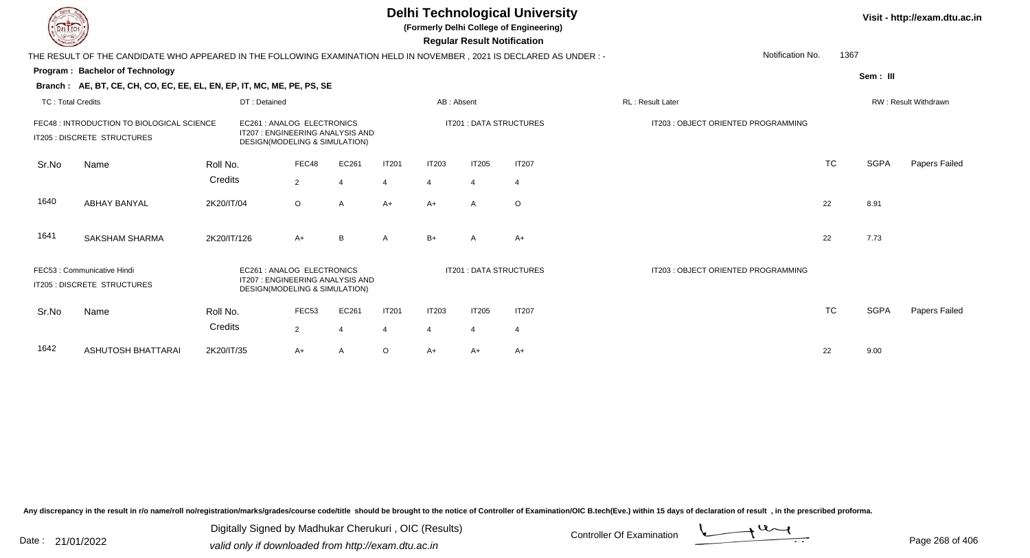**(Formerly Delhi College of Engineering)**

 **Regular Result Notification**

|                          | THE RESULT OF THE CANDIDATE WHO APPEARED IN THE FOLLOWING EXAMINATION HELD IN NOVEMBER, 2021 IS DECLARED AS UNDER: - | Notification No. | 1367                                                                                           |       |                |              |                |                                |                                    |           |             |                      |
|--------------------------|----------------------------------------------------------------------------------------------------------------------|------------------|------------------------------------------------------------------------------------------------|-------|----------------|--------------|----------------|--------------------------------|------------------------------------|-----------|-------------|----------------------|
|                          | <b>Program: Bachelor of Technology</b>                                                                               |                  |                                                                                                |       |                |              |                |                                |                                    |           | Sem: III    |                      |
|                          | Branch: AE, BT, CE, CH, CO, EC, EE, EL, EN, EP, IT, MC, ME, PE, PS, SE                                               |                  |                                                                                                |       |                |              |                |                                |                                    |           |             |                      |
| <b>TC: Total Credits</b> |                                                                                                                      | DT: Detained     |                                                                                                |       |                | AB: Absent   |                |                                | RL: Result Later                   |           |             | RW: Result Withdrawn |
|                          | FEC48 : INTRODUCTION TO BIOLOGICAL SCIENCE<br>IT205 : DISCRETE STRUCTURES                                            |                  | EC261: ANALOG ELECTRONICS<br>IT207 : ENGINEERING ANALYSIS AND<br>DESIGN(MODELING & SIMULATION) |       |                |              |                | <b>IT201: DATA STRUCTURES</b>  | IT203: OBJECT ORIENTED PROGRAMMING |           |             |                      |
| Sr.No                    | Name                                                                                                                 | Roll No.         | FEC48                                                                                          | EC261 | <b>IT201</b>   | <b>IT203</b> | <b>IT205</b>   | <b>IT207</b>                   |                                    | <b>TC</b> | <b>SGPA</b> | <b>Papers Failed</b> |
|                          |                                                                                                                      | Credits          | $\overline{2}$                                                                                 | 4     | $\overline{4}$ | 4            | $\overline{4}$ | $\overline{4}$                 |                                    |           |             |                      |
| 1640                     | <b>ABHAY BANYAL</b>                                                                                                  | 2K20/IT/04       | $\circ$                                                                                        | A     | $A+$           | $A+$         | $\mathsf{A}$   | $\circ$                        |                                    | 22        | 8.91        |                      |
| 1641                     | <b>SAKSHAM SHARMA</b>                                                                                                | 2K20/IT/126      | $A+$                                                                                           | B     | A              | $B+$         | $\mathsf{A}$   | $A+$                           |                                    | 22        | 7.73        |                      |
|                          | FEC53 : Communicative Hindi<br>IT205 : DISCRETE STRUCTURES                                                           |                  | EC261: ANALOG ELECTRONICS<br>IT207 : ENGINEERING ANALYSIS AND<br>DESIGN(MODELING & SIMULATION) |       |                |              |                | <b>IT201 : DATA STRUCTURES</b> | IT203: OBJECT ORIENTED PROGRAMMING |           |             |                      |
| Sr.No                    | Name                                                                                                                 | Roll No.         | FEC53                                                                                          | EC261 | <b>IT201</b>   | <b>IT203</b> | <b>IT205</b>   | <b>IT207</b>                   |                                    | <b>TC</b> | <b>SGPA</b> | <b>Papers Failed</b> |
|                          |                                                                                                                      | Credits          | $\overline{2}$                                                                                 |       | $\overline{4}$ | 4            | $\overline{4}$ | $\overline{4}$                 |                                    |           |             |                      |
| 1642                     | ASHUTOSH BHATTARAI                                                                                                   | 2K20/IT/35       | $A+$                                                                                           |       | $\circ$        | A+           | $A+$           | A+                             |                                    | 22        | 9.00        |                      |

Any discrepancy in the result in r/o name/roll no/registration/marks/grades/course code/title should be brought to the notice of Controller of Examination/OIC B.tech(Eve.) within 15 days of declaration of result, in the pr

Date : 21/01/2022 Digital Digital of Microsofted Chemical Controller Of Examination Determination Page 268 of 40 Digitally Signed by Madhukar Cherukuri , OIC (Results)

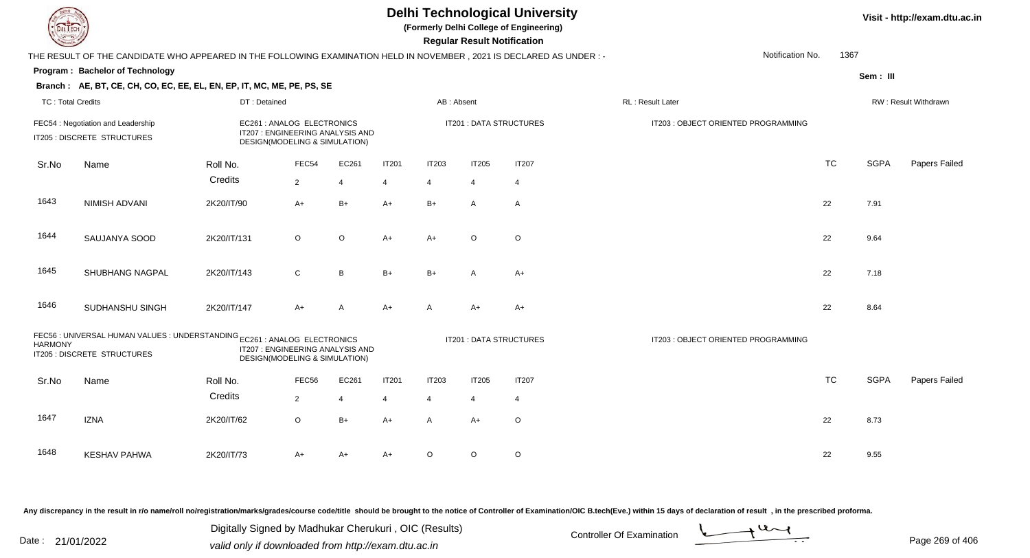**(Formerly Delhi College of Engineering)**

 **Regular Result Notification**

|                          | THE RESULT OF THE CANDIDATE WHO APPEARED IN THE FOLLOWING EXAMINATION HELD IN NOVEMBER, 2021 IS DECLARED AS UNDER :-                                                          |                                                                                                 |                |                |                         | Notification No.<br>1367 |                         |              |                                     |           |             |                      |
|--------------------------|-------------------------------------------------------------------------------------------------------------------------------------------------------------------------------|-------------------------------------------------------------------------------------------------|----------------|----------------|-------------------------|--------------------------|-------------------------|--------------|-------------------------------------|-----------|-------------|----------------------|
|                          | Program: Bachelor of Technology                                                                                                                                               |                                                                                                 |                |                |                         |                          |                         |              |                                     |           | Sem: III    |                      |
|                          | Branch: AE, BT, CE, CH, CO, EC, EE, EL, EN, EP, IT, MC, ME, PE, PS, SE                                                                                                        |                                                                                                 |                |                |                         |                          |                         |              |                                     |           |             |                      |
| <b>TC: Total Credits</b> |                                                                                                                                                                               | DT: Detained                                                                                    |                |                |                         | AB: Absent               |                         |              | RL : Result Later                   |           |             | RW: Result Withdrawn |
|                          | FEC54 : Negotiation and Leadership<br>IT205 : DISCRETE STRUCTURES                                                                                                             | EC261 : ANALOG ELECTRONICS<br>IT207 : ENGINEERING ANALYSIS AND<br>DESIGN(MODELING & SIMULATION) |                |                |                         |                          | IT201 : DATA STRUCTURES |              | IT203 : OBJECT ORIENTED PROGRAMMING |           |             |                      |
| Sr.No                    | Name                                                                                                                                                                          | Roll No.                                                                                        | FEC54          | EC261          | <b>IT201</b>            | <b>IT203</b>             | <b>IT205</b>            | <b>IT207</b> |                                     | <b>TC</b> | <b>SGPA</b> | Papers Failed        |
|                          |                                                                                                                                                                               | Credits                                                                                         | $\overline{2}$ | $\overline{4}$ | $\overline{4}$          | 4                        | 4                       | 4            |                                     |           |             |                      |
| 1643                     | NIMISH ADVANI                                                                                                                                                                 | 2K20/IT/90                                                                                      | $A+$           | $B+$           | $A+$                    | $B+$                     | A                       | A            |                                     | 22        | 7.91        |                      |
| 1644                     | SAUJANYA SOOD                                                                                                                                                                 | 2K20/IT/131                                                                                     | $\circ$        | $\circ$        | $A+$                    | $A+$                     | $\circ$                 | $\mathsf O$  |                                     | 22        | 9.64        |                      |
| 1645                     | <b>SHUBHANG NAGPAL</b>                                                                                                                                                        | 2K20/IT/143                                                                                     | $\mathsf{C}$   | B              | $B+$                    | $B+$                     | A                       | $A+$         |                                     | 22        | 7.18        |                      |
| 1646                     | SUDHANSHU SINGH                                                                                                                                                               | 2K20/IT/147                                                                                     | $A+$           | $\mathsf{A}$   | $A+$                    | $\mathsf{A}$             | $A+$                    | $A+$         |                                     | 22        | 8.64        |                      |
| <b>HARMONY</b>           | FEC56 : UNIVERSAL HUMAN VALUES : UNDERSTANDING EC261 : ANALOG ELECTRONICS<br>IT207 : ENGINEERING ANALYSIS AND<br>IT205 : DISCRETE STRUCTURES<br>DESIGN(MODELING & SIMULATION) |                                                                                                 |                |                | IT201 : DATA STRUCTURES |                          |                         |              | IT203 : OBJECT ORIENTED PROGRAMMING |           |             |                      |
| Sr.No                    | Name                                                                                                                                                                          | Roll No.                                                                                        | FEC56          | EC261          | <b>IT201</b>            | <b>IT203</b>             | <b>IT205</b>            | <b>IT207</b> |                                     | <b>TC</b> | <b>SGPA</b> | Papers Failed        |
|                          |                                                                                                                                                                               | Credits                                                                                         | $\overline{2}$ | $\overline{4}$ | $\overline{4}$          | $\overline{4}$           | 4                       | 4            |                                     |           |             |                      |
| 1647                     | <b>IZNA</b>                                                                                                                                                                   | 2K20/IT/62                                                                                      | $\circ$        | $B+$           | $A+$                    | A                        | $A+$                    | $\circ$      |                                     | 22        | 8.73        |                      |
| 1648                     | <b>KESHAV PAHWA</b>                                                                                                                                                           | 2K20/IT/73                                                                                      | A+             | A+             | $A+$                    | $\circ$                  | O                       | $\mathsf O$  |                                     | 22        | 9.55        |                      |

Any discrepancy in the result in r/o name/roll no/registration/marks/grades/course code/title should be brought to the notice of Controller of Examination/OIC B.tech(Eve.) within 15 days of declaration of result, in the pr

Date : 21/01/2022 Digital Digital of Microsofted Chemical Controller Of Examination Determination Page 269 of 40 Digitally Signed by Madhukar Cherukuri , OIC (Results)

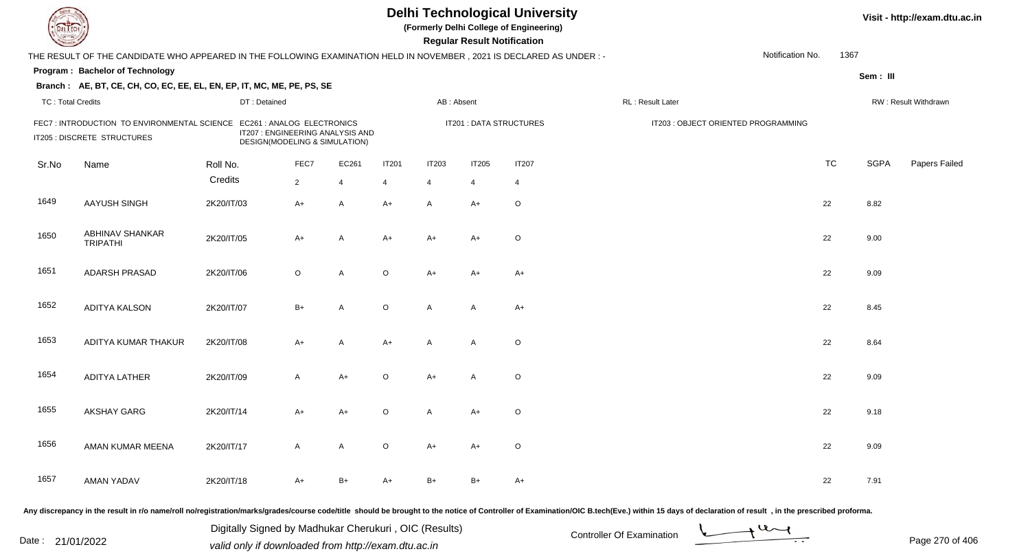| L I ECH                  |                                                                                                                      |              |                |                                                                   |              |                | <b>Regular Result Notification</b> | <b>Delhi Technological University</b><br>(Formerly Delhi College of Engineering) |                                     |                  |           | Visit - http://exam.dtu.ac.in |                      |
|--------------------------|----------------------------------------------------------------------------------------------------------------------|--------------|----------------|-------------------------------------------------------------------|--------------|----------------|------------------------------------|----------------------------------------------------------------------------------|-------------------------------------|------------------|-----------|-------------------------------|----------------------|
|                          | THE RESULT OF THE CANDIDATE WHO APPEARED IN THE FOLLOWING EXAMINATION HELD IN NOVEMBER, 2021 IS DECLARED AS UNDER :- |              |                |                                                                   |              |                |                                    |                                                                                  |                                     | Notification No. | 1367      |                               |                      |
|                          | Program: Bachelor of Technology                                                                                      |              |                |                                                                   |              |                |                                    |                                                                                  |                                     |                  |           | Sem: III                      |                      |
|                          | Branch: AE, BT, CE, CH, CO, EC, EE, EL, EN, EP, IT, MC, ME, PE, PS, SE                                               |              |                |                                                                   |              |                |                                    |                                                                                  |                                     |                  |           |                               |                      |
| <b>TC: Total Credits</b> |                                                                                                                      | DT: Detained |                |                                                                   |              | AB: Absent     |                                    |                                                                                  | RL: Result Later                    |                  |           |                               | RW: Result Withdrawn |
|                          | FEC7: INTRODUCTION TO ENVIRONMENTAL SCIENCE EC261 : ANALOG ELECTRONICS<br>IT205 : DISCRETE STRUCTURES                |              |                | IT207 : ENGINEERING ANALYSIS AND<br>DESIGN(MODELING & SIMULATION) |              |                |                                    | <b>IT201 : DATA STRUCTURES</b>                                                   | IT203 : OBJECT ORIENTED PROGRAMMING |                  |           |                               |                      |
| Sr.No                    | Name                                                                                                                 | Roll No.     | FEC7           | EC261                                                             | <b>IT201</b> | <b>IT203</b>   | <b>IT205</b>                       | <b>IT207</b>                                                                     |                                     |                  | <b>TC</b> | <b>SGPA</b>                   | Papers Failed        |
|                          |                                                                                                                      | Credits      | $\overline{2}$ | $\overline{4}$                                                    | 4            | $\overline{4}$ | $\overline{4}$                     | $\overline{4}$                                                                   |                                     |                  |           |                               |                      |
| 1649                     | AAYUSH SINGH                                                                                                         | 2K20/IT/03   | A+             | A                                                                 | $A+$         | $\mathsf{A}$   | $A+$                               | $\circ$                                                                          |                                     |                  | 22        | 8.82                          |                      |
| 1650                     | ABHINAV SHANKAR<br><b>TRIPATHI</b>                                                                                   | 2K20/IT/05   | A+             | A                                                                 | $A+$         | $A+$           | A+                                 | $\circ$                                                                          |                                     |                  | 22        | 9.00                          |                      |
| 1651                     | <b>ADARSH PRASAD</b>                                                                                                 | 2K20/IT/06   | $\circ$        | A                                                                 | $\circ$      | $A+$           | A+                                 | A+                                                                               |                                     |                  | 22        | 9.09                          |                      |
| 1652                     | <b>ADITYA KALSON</b>                                                                                                 | 2K20/IT/07   | $B+$           | A                                                                 | $\circ$      | $\mathsf{A}$   | A                                  | $A+$                                                                             |                                     |                  | 22        | 8.45                          |                      |
| 1653                     | ADITYA KUMAR THAKUR                                                                                                  | 2K20/IT/08   | A+             | Α                                                                 | A+           | $\mathsf{A}$   | $\mathsf{A}$                       | $\mathsf O$                                                                      |                                     |                  | 22        | 8.64                          |                      |
| 1654                     | ADITYA LATHER                                                                                                        | 2K20/IT/09   | $\mathsf{A}$   | $A+$                                                              | $\circ$      | $A+$           | $\mathsf{A}$                       | $\circ$                                                                          |                                     |                  | 22        | 9.09                          |                      |
| 1655                     | <b>AKSHAY GARG</b>                                                                                                   | 2K20/IT/14   | A+             | A+                                                                | $\circ$      | A              | A+                                 | $\circ$                                                                          |                                     |                  | 22        | 9.18                          |                      |
| 1656                     | AMAN KUMAR MEENA                                                                                                     | 2K20/IT/17   | A              | A                                                                 | $\circ$      | $A+$           | A+                                 | $\circ$                                                                          |                                     |                  | 22        | 9.09                          |                      |
| 1657                     | <b>AMAN YADAV</b>                                                                                                    | 2K20/IT/18   | A+             | $B+$                                                              | A+           | B+             | $B+$                               | A+                                                                               |                                     |                  | 22        | 7.91                          |                      |
|                          |                                                                                                                      |              |                |                                                                   |              |                |                                    |                                                                                  |                                     |                  |           |                               |                      |

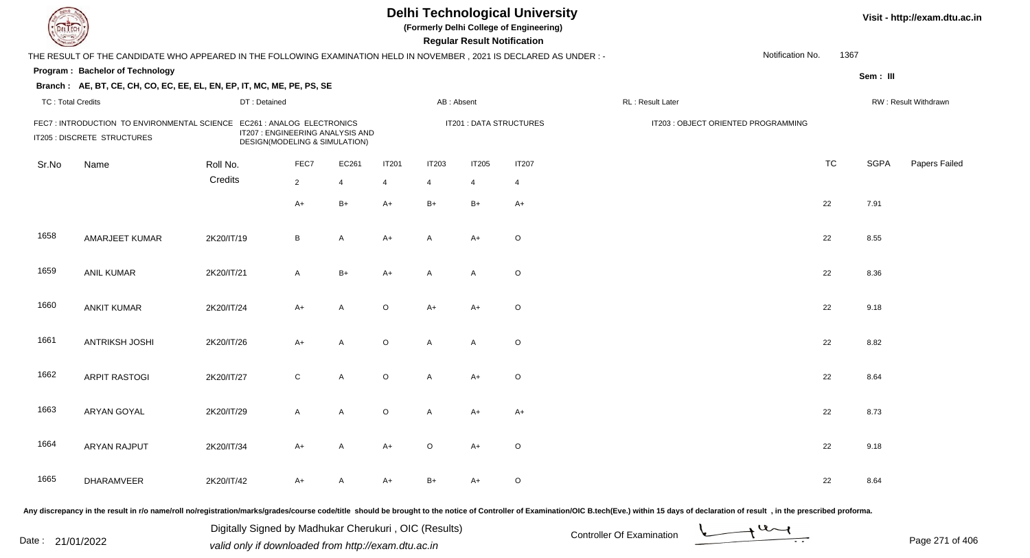| DEL TECH                 |                                                                                                                       |              |                                                                   |                |              |                | <b>Regular Result Notification</b> | <b>Delhi Technological University</b><br>(Formerly Delhi College of Engineering) |                                                                                                                                                                                                                                |                  |           |             | Visit - http://exam.dtu.ac.in |
|--------------------------|-----------------------------------------------------------------------------------------------------------------------|--------------|-------------------------------------------------------------------|----------------|--------------|----------------|------------------------------------|----------------------------------------------------------------------------------|--------------------------------------------------------------------------------------------------------------------------------------------------------------------------------------------------------------------------------|------------------|-----------|-------------|-------------------------------|
|                          | THE RESULT OF THE CANDIDATE WHO APPEARED IN THE FOLLOWING EXAMINATION HELD IN NOVEMBER, 2021 IS DECLARED AS UNDER : - |              |                                                                   |                |              |                |                                    |                                                                                  |                                                                                                                                                                                                                                | Notification No. | 1367      |             |                               |
|                          | Program: Bachelor of Technology                                                                                       |              |                                                                   |                |              |                |                                    |                                                                                  |                                                                                                                                                                                                                                |                  |           | Sem: III    |                               |
|                          | Branch: AE, BT, CE, CH, CO, EC, EE, EL, EN, EP, IT, MC, ME, PE, PS, SE                                                |              |                                                                   |                |              |                |                                    |                                                                                  |                                                                                                                                                                                                                                |                  |           |             |                               |
| <b>TC: Total Credits</b> |                                                                                                                       | DT: Detained |                                                                   |                |              | AB: Absent     |                                    |                                                                                  | RL : Result Later                                                                                                                                                                                                              |                  |           |             | RW: Result Withdrawn          |
|                          | FEC7: INTRODUCTION TO ENVIRONMENTAL SCIENCE EC261: ANALOG ELECTRONICS<br>IT205 : DISCRETE STRUCTURES                  |              | IT207 : ENGINEERING ANALYSIS AND<br>DESIGN(MODELING & SIMULATION) |                |              |                | IT201 : DATA STRUCTURES            |                                                                                  | IT203 : OBJECT ORIENTED PROGRAMMING                                                                                                                                                                                            |                  |           |             |                               |
| Sr.No                    | Name                                                                                                                  | Roll No.     | FEC7                                                              | EC261          | <b>IT201</b> | <b>IT203</b>   | <b>IT205</b>                       | <b>IT207</b>                                                                     |                                                                                                                                                                                                                                |                  | <b>TC</b> | <b>SGPA</b> | Papers Failed                 |
|                          |                                                                                                                       | Credits      | $\overline{2}$                                                    | $\overline{4}$ | 4            | $\overline{4}$ | 4                                  | $\overline{4}$                                                                   |                                                                                                                                                                                                                                |                  |           |             |                               |
|                          |                                                                                                                       |              | $A+$                                                              | $B+$           | $A+$         | $B+$           | $B+$                               | $A+$                                                                             |                                                                                                                                                                                                                                |                  | 22        | 7.91        |                               |
| 1658                     | AMARJEET KUMAR                                                                                                        | 2K20/IT/19   | B                                                                 | A              | $A+$         | A              | $A+$                               | $\circ$                                                                          |                                                                                                                                                                                                                                |                  | 22        | 8.55        |                               |
| 1659                     | <b>ANIL KUMAR</b>                                                                                                     | 2K20/IT/21   | $\mathsf{A}$                                                      | $B+$           | $A+$         | A              | A                                  | $\circ$                                                                          |                                                                                                                                                                                                                                |                  | 22        | 8.36        |                               |
| 1660                     | <b>ANKIT KUMAR</b>                                                                                                    | 2K20/IT/24   | $A+$                                                              | A              | $\circ$      | $A+$           | A+                                 | $\circ$                                                                          |                                                                                                                                                                                                                                |                  | 22        | 9.18        |                               |
| 1661                     | <b>ANTRIKSH JOSHI</b>                                                                                                 | 2K20/IT/26   | $A+$                                                              | A              | $\circ$      | A              | A                                  | $\mathsf O$                                                                      |                                                                                                                                                                                                                                |                  | 22        | 8.82        |                               |
| 1662                     | <b>ARPIT RASTOGI</b>                                                                                                  | 2K20/IT/27   | $\mathsf{C}$                                                      | A              | $\circ$      | A              | $A+$                               | $\circ$                                                                          |                                                                                                                                                                                                                                |                  | 22        | 8.64        |                               |
| 1663                     | <b>ARYAN GOYAL</b>                                                                                                    | 2K20/IT/29   | A                                                                 | A              | $\circ$      | A              | A+                                 | A+                                                                               |                                                                                                                                                                                                                                |                  | 22        | 8.73        |                               |
| 1664                     | ARYAN RAJPUT                                                                                                          | 2K20/IT/34   | A+                                                                | A              | A+           | O              | A+                                 | $\circ$                                                                          |                                                                                                                                                                                                                                |                  | 22        | 9.18        |                               |
| 1665                     | DHARAMVEER                                                                                                            | 2K20/IT/42   | A+                                                                | A              | A+           | $B+$           | A+                                 | $\circ$                                                                          |                                                                                                                                                                                                                                |                  | 22        | 8.64        |                               |
|                          |                                                                                                                       |              |                                                                   |                |              |                |                                    |                                                                                  | Any discrepancy in the result in r/o name/roll no/registration/marks/grades/course code/title should be brought to the notice of Controller of Examination/OIC B.tech(Eve.) within 15 days of declaration of result , in the p |                  |           |             |                               |

Date : 21/01/2022 Digital Digital of Microsofted Chemical Controller Of Examination Determination Page 271 of 40 Digitally Signed by Madhukar Cherukuri , OIC (Results)

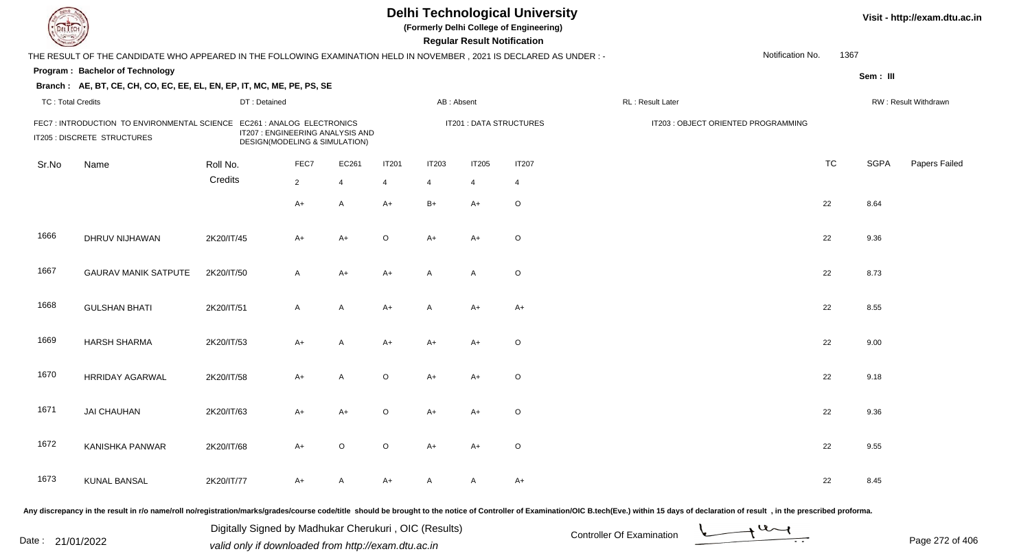| EL ECH                   |                                                                                                                      |              |                                                                   |                |                |              | <b>Regular Result Notification</b> | <b>Delhi Technological University</b><br>(Formerly Delhi College of Engineering) |                                     |                  |           |             | Visit - http://exam.dtu.ac.in |
|--------------------------|----------------------------------------------------------------------------------------------------------------------|--------------|-------------------------------------------------------------------|----------------|----------------|--------------|------------------------------------|----------------------------------------------------------------------------------|-------------------------------------|------------------|-----------|-------------|-------------------------------|
|                          | THE RESULT OF THE CANDIDATE WHO APPEARED IN THE FOLLOWING EXAMINATION HELD IN NOVEMBER, 2021 IS DECLARED AS UNDER :- |              |                                                                   |                |                |              |                                    |                                                                                  |                                     | Notification No. | 1367      |             |                               |
|                          | Program: Bachelor of Technology                                                                                      |              |                                                                   |                |                |              |                                    |                                                                                  |                                     |                  |           | Sem: III    |                               |
|                          | Branch: AE, BT, CE, CH, CO, EC, EE, EL, EN, EP, IT, MC, ME, PE, PS, SE                                               |              |                                                                   |                |                |              |                                    |                                                                                  |                                     |                  |           |             |                               |
| <b>TC: Total Credits</b> |                                                                                                                      | DT: Detained |                                                                   |                |                | AB: Absent   |                                    |                                                                                  | RL : Result Later                   |                  |           |             | RW: Result Withdrawn          |
|                          | FEC7: INTRODUCTION TO ENVIRONMENTAL SCIENCE EC261 : ANALOG ELECTRONICS<br>IT205 : DISCRETE STRUCTURES                |              | IT207 : ENGINEERING ANALYSIS AND<br>DESIGN(MODELING & SIMULATION) |                |                |              |                                    | IT201 : DATA STRUCTURES                                                          | IT203 : OBJECT ORIENTED PROGRAMMING |                  |           |             |                               |
| Sr.No                    | Name                                                                                                                 | Roll No.     | FEC7                                                              | EC261          | <b>IT201</b>   | <b>IT203</b> | <b>IT205</b>                       | <b>IT207</b>                                                                     |                                     |                  | <b>TC</b> | <b>SGPA</b> | Papers Failed                 |
|                          |                                                                                                                      | Credits      | $\overline{2}$                                                    | $\overline{4}$ | $\overline{4}$ | 4            | $\overline{4}$                     | $\overline{4}$                                                                   |                                     |                  |           |             |                               |
|                          |                                                                                                                      |              | A+                                                                | A              | $A+$           | $B+$         | A+                                 | $\circ$                                                                          |                                     |                  | 22        | 8.64        |                               |
| 1666                     | DHRUV NIJHAWAN                                                                                                       | 2K20/IT/45   | A+                                                                | $A+$           | $\circ$        | $A+$         | A+                                 | $\circ$                                                                          |                                     |                  | 22        | 9.36        |                               |
| 1667                     | <b>GAURAV MANIK SATPUTE</b>                                                                                          | 2K20/IT/50   | A                                                                 | $A+$           | $A+$           | A            | A                                  | $\mathsf O$                                                                      |                                     |                  | 22        | 8.73        |                               |
| 1668                     | <b>GULSHAN BHATI</b>                                                                                                 | 2K20/IT/51   | $\mathsf{A}$                                                      | A              | $A+$           | $\mathsf{A}$ | A+                                 | A+                                                                               |                                     |                  | 22        | 8.55        |                               |
| 1669                     | <b>HARSH SHARMA</b>                                                                                                  | 2K20/IT/53   | A+                                                                | A              | A+             | $A+$         | A+                                 | $\mathsf O$                                                                      |                                     |                  | 22        | 9.00        |                               |
| 1670                     | <b>HRRIDAY AGARWAL</b>                                                                                               | 2K20/IT/58   | $A+$                                                              | A              | $\circ$        | $A+$         | A+                                 | $\circ$                                                                          |                                     |                  | 22        | 9.18        |                               |
| 1671                     | <b>JAI CHAUHAN</b>                                                                                                   | 2K20/IT/63   | A+                                                                | A+             | $\Omega$       | A+           | A+                                 | $\circ$                                                                          |                                     |                  | 22        | 9.36        |                               |
| 1672                     | KANISHKA PANWAR                                                                                                      | 2K20/IT/68   | A+                                                                | $\circ$        | $\circ$        | A+           | A+                                 | $\circ$                                                                          |                                     |                  | 22        | 9.55        |                               |
| 1673                     | <b>KUNAL BANSAL</b>                                                                                                  | 2K20/IT/77   | A+                                                                | A              | A+             | A            | A                                  | $A+$                                                                             |                                     |                  | 22        | 8.45        |                               |
|                          |                                                                                                                      |              |                                                                   |                |                |              |                                    |                                                                                  |                                     |                  |           |             |                               |

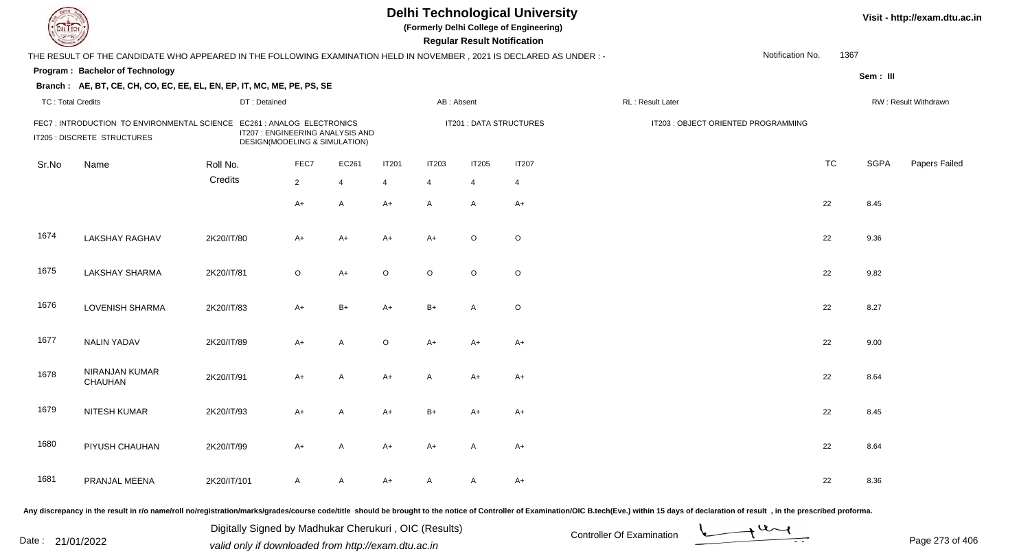| EL ECH                   |                                                                                                                      |              |                                                                                                 |                |                |              | <b>Regular Result Notification</b> | <b>Delhi Technological University</b><br>(Formerly Delhi College of Engineering) |                                     |                  |      |             | Visit - http://exam.dtu.ac.in |
|--------------------------|----------------------------------------------------------------------------------------------------------------------|--------------|-------------------------------------------------------------------------------------------------|----------------|----------------|--------------|------------------------------------|----------------------------------------------------------------------------------|-------------------------------------|------------------|------|-------------|-------------------------------|
|                          | THE RESULT OF THE CANDIDATE WHO APPEARED IN THE FOLLOWING EXAMINATION HELD IN NOVEMBER, 2021 IS DECLARED AS UNDER :- |              |                                                                                                 |                |                |              |                                    |                                                                                  |                                     | Notification No. | 1367 |             |                               |
|                          | Program: Bachelor of Technology                                                                                      |              |                                                                                                 |                |                |              |                                    |                                                                                  |                                     |                  |      | Sem : III   |                               |
|                          | Branch: AE, BT, CE, CH, CO, EC, EE, EL, EN, EP, IT, MC, ME, PE, PS, SE                                               |              |                                                                                                 |                |                |              |                                    |                                                                                  |                                     |                  |      |             |                               |
| <b>TC: Total Credits</b> |                                                                                                                      | DT: Detained |                                                                                                 |                |                | AB: Absent   |                                    |                                                                                  | <b>RL: Result Later</b>             |                  |      |             | RW: Result Withdrawn          |
|                          | FEC7: INTRODUCTION TO ENVIRONMENTAL SCIENCE<br>IT205 : DISCRETE STRUCTURES                                           |              | EC261 : ANALOG ELECTRONICS<br>IT207 : ENGINEERING ANALYSIS AND<br>DESIGN(MODELING & SIMULATION) |                |                |              |                                    | <b>IT201 : DATA STRUCTURES</b>                                                   | IT203 : OBJECT ORIENTED PROGRAMMING |                  |      |             |                               |
| Sr.No                    | Name                                                                                                                 | Roll No.     | FEC7                                                                                            | EC261          | <b>IT201</b>   | <b>IT203</b> | IT205                              | <b>IT207</b>                                                                     |                                     | <b>TC</b>        |      | <b>SGPA</b> | Papers Failed                 |
|                          |                                                                                                                      | Credits      | $2^{\circ}$                                                                                     | $\overline{4}$ | $\overline{4}$ | 4            | $\overline{4}$                     | $\overline{4}$                                                                   |                                     |                  |      |             |                               |
|                          |                                                                                                                      |              | A+                                                                                              | A              | $A+$           | $\mathsf{A}$ | A                                  | $A+$                                                                             |                                     | 22               |      | 8.45        |                               |
| 1674                     | <b>LAKSHAY RAGHAV</b>                                                                                                | 2K20/IT/80   | A+                                                                                              | $A+$           | $A+$           | $A+$         | $\circ$                            | $\mathsf O$                                                                      |                                     | 22               |      | 9.36        |                               |
| 1675                     | <b>LAKSHAY SHARMA</b>                                                                                                | 2K20/IT/81   | $\circ$                                                                                         | $A+$           | $\circ$        | $\circ$      | $\circ$                            | $\mathsf O$                                                                      |                                     | 22               |      | 9.82        |                               |
| 1676                     | <b>LOVENISH SHARMA</b>                                                                                               | 2K20/IT/83   | $A+$                                                                                            | $B+$           | A+             | $B+$         | A                                  | $\mathsf O$                                                                      |                                     | 22               |      | 8.27        |                               |
| 1677                     | <b>NALIN YADAV</b>                                                                                                   | 2K20/IT/89   | A+                                                                                              | Α              | $\mathsf O$    | $A+$         | $A+$                               | $A+$                                                                             |                                     | 22               |      | 9.00        |                               |
| 1678                     | NIRANJAN KUMAR<br>CHAUHAN                                                                                            | 2K20/IT/91   | $A+$                                                                                            | A              | $A+$           | $\mathsf{A}$ | $A+$                               | $A+$                                                                             |                                     | 22               |      | 8.64        |                               |
| 1679                     | NITESH KUMAR                                                                                                         | 2K20/IT/93   | $A+$                                                                                            | A              | A+             | $B+$         | A+                                 | $A+$                                                                             |                                     | 22               |      | 8.45        |                               |
| 1680                     | PIYUSH CHAUHAN                                                                                                       | 2K20/IT/99   | A+                                                                                              | A              | $A+$           | $A+$         | A                                  | $A+$                                                                             |                                     | 22               |      | 8.64        |                               |
| 1681                     | PRANJAL MEENA                                                                                                        | 2K20/IT/101  | A                                                                                               | A              | A+             | A            | A                                  | A+                                                                               |                                     | 22               |      | 8.36        |                               |

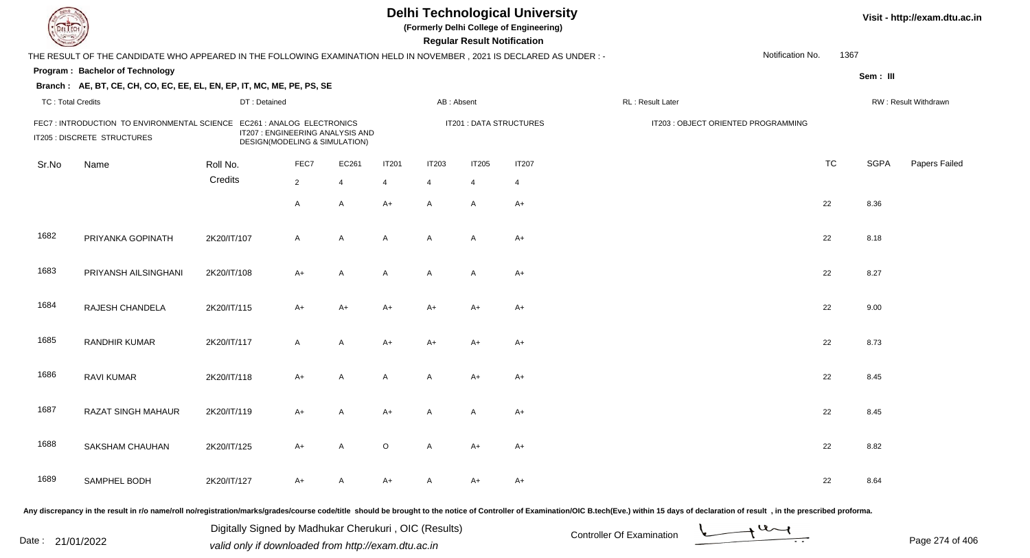| el I ech                 |                                                                                                                      |              |                                                                   |                |                |                | <b>Regular Result Notification</b> | <b>Delhi Technological University</b><br>(Formerly Delhi College of Engineering) |                                     |                  |           | Visit - http://exam.dtu.ac.in |                      |
|--------------------------|----------------------------------------------------------------------------------------------------------------------|--------------|-------------------------------------------------------------------|----------------|----------------|----------------|------------------------------------|----------------------------------------------------------------------------------|-------------------------------------|------------------|-----------|-------------------------------|----------------------|
|                          | THE RESULT OF THE CANDIDATE WHO APPEARED IN THE FOLLOWING EXAMINATION HELD IN NOVEMBER, 2021 IS DECLARED AS UNDER :- |              |                                                                   |                |                |                |                                    |                                                                                  |                                     | Notification No. | 1367      |                               |                      |
|                          | Program: Bachelor of Technology                                                                                      |              |                                                                   |                |                |                |                                    |                                                                                  |                                     |                  |           | Sem: III                      |                      |
|                          | Branch: AE, BT, CE, CH, CO, EC, EE, EL, EN, EP, IT, MC, ME, PE, PS, SE                                               |              |                                                                   |                |                |                |                                    |                                                                                  |                                     |                  |           |                               |                      |
| <b>TC: Total Credits</b> |                                                                                                                      | DT: Detained |                                                                   |                |                | AB: Absent     |                                    |                                                                                  | RL : Result Later                   |                  |           |                               | RW: Result Withdrawn |
|                          | FEC7: INTRODUCTION TO ENVIRONMENTAL SCIENCE EC261: ANALOG ELECTRONICS<br>IT205 : DISCRETE STRUCTURES                 |              | IT207 : ENGINEERING ANALYSIS AND<br>DESIGN(MODELING & SIMULATION) |                |                |                | IT201 : DATA STRUCTURES            |                                                                                  | IT203 : OBJECT ORIENTED PROGRAMMING |                  |           |                               |                      |
| Sr.No                    | Name                                                                                                                 | Roll No.     | FEC7                                                              | EC261          | <b>IT201</b>   | <b>IT203</b>   | <b>IT205</b>                       | <b>IT207</b>                                                                     |                                     |                  | <b>TC</b> | <b>SGPA</b>                   | Papers Failed        |
|                          |                                                                                                                      | Credits      | $\overline{2}$                                                    | $\overline{4}$ | $\overline{4}$ | $\overline{4}$ | 4                                  | $\overline{4}$                                                                   |                                     |                  |           |                               |                      |
|                          |                                                                                                                      |              | A                                                                 | $\mathsf{A}$   | $A+$           | $\mathsf{A}$   | A                                  | A+                                                                               |                                     |                  | 22        | 8.36                          |                      |
| 1682                     | PRIYANKA GOPINATH                                                                                                    | 2K20/IT/107  | A                                                                 | A              | A              | $\mathsf{A}$   | A                                  | A+                                                                               |                                     |                  | 22        | 8.18                          |                      |
| 1683                     | PRIYANSH AILSINGHANI                                                                                                 | 2K20/IT/108  | A+                                                                | A              | A              | $\mathsf{A}$   | A                                  | $A+$                                                                             |                                     |                  | 22        | 8.27                          |                      |
| 1684                     | RAJESH CHANDELA                                                                                                      | 2K20/IT/115  | A+                                                                | A+             | A+             | $A+$           | A+                                 | A+                                                                               |                                     |                  | 22        | 9.00                          |                      |
| 1685                     | <b>RANDHIR KUMAR</b>                                                                                                 | 2K20/IT/117  | $\mathsf{A}$                                                      | A              | A+             | $A+$           | A+                                 | $A+$                                                                             |                                     |                  | 22        | 8.73                          |                      |
| 1686                     | <b>RAVI KUMAR</b>                                                                                                    | 2K20/IT/118  | $A+$                                                              | $\mathsf{A}$   | A              | A              | A+                                 | A+                                                                               |                                     |                  | 22        | 8.45                          |                      |
| 1687                     | <b>RAZAT SINGH MAHAUR</b>                                                                                            | 2K20/IT/119  | A+                                                                | Α              | A+             | A              | A                                  | A+                                                                               |                                     |                  | 22        | 8.45                          |                      |
| 1688                     | SAKSHAM CHAUHAN                                                                                                      | 2K20/IT/125  | A+                                                                | A              | $\circ$        | A              | A+                                 | A+                                                                               |                                     |                  | 22        | 8.82                          |                      |
| 1689                     | SAMPHEL BODH                                                                                                         | 2K20/IT/127  | A+                                                                | A              | A+             | A              | A+                                 | A+                                                                               |                                     |                  | 22        | 8.64                          |                      |
|                          |                                                                                                                      |              |                                                                   |                |                |                |                                    |                                                                                  |                                     |                  |           |                               |                      |

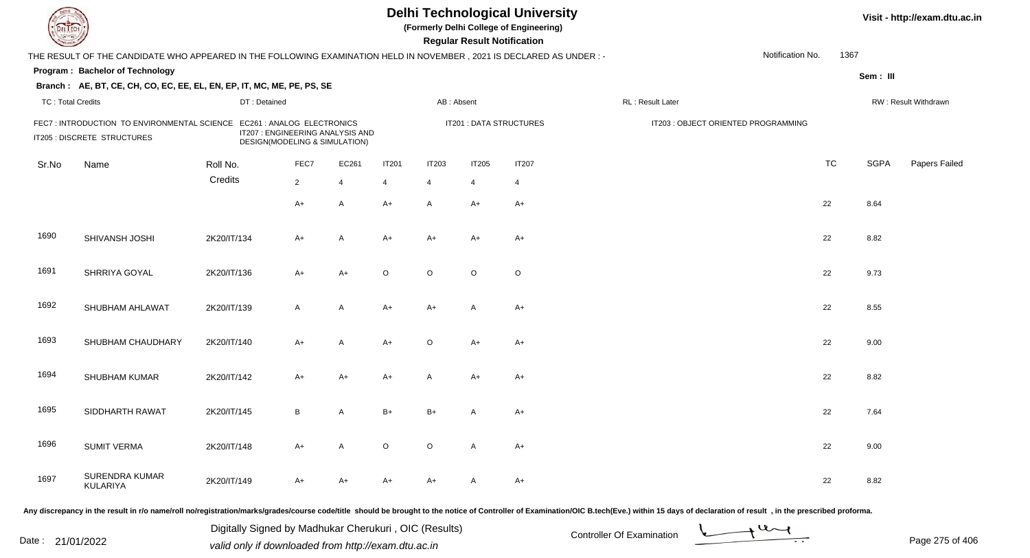|                          |                                                                                                                      |              |                                                                                                 |                |                          |              | <b>Regular Result Notification</b> | <b>Delhi Technological University</b><br>(Formerly Delhi College of Engineering) |                                     |                  |           |             | Visit - http://exam.dtu.ac.in |
|--------------------------|----------------------------------------------------------------------------------------------------------------------|--------------|-------------------------------------------------------------------------------------------------|----------------|--------------------------|--------------|------------------------------------|----------------------------------------------------------------------------------|-------------------------------------|------------------|-----------|-------------|-------------------------------|
|                          | THE RESULT OF THE CANDIDATE WHO APPEARED IN THE FOLLOWING EXAMINATION HELD IN NOVEMBER, 2021 IS DECLARED AS UNDER :- |              |                                                                                                 |                |                          |              |                                    |                                                                                  |                                     | Notification No. | 1367      |             |                               |
|                          | Program: Bachelor of Technology                                                                                      |              |                                                                                                 |                |                          |              |                                    |                                                                                  |                                     |                  |           | Sem: III    |                               |
|                          | Branch: AE, BT, CE, CH, CO, EC, EE, EL, EN, EP, IT, MC, ME, PE, PS, SE                                               |              |                                                                                                 |                |                          |              |                                    |                                                                                  |                                     |                  |           |             |                               |
| <b>TC: Total Credits</b> |                                                                                                                      | DT: Detained |                                                                                                 |                |                          | AB: Absent   |                                    |                                                                                  | RL: Result Later                    |                  |           |             | RW: Result Withdrawn          |
|                          | FEC7: INTRODUCTION TO ENVIRONMENTAL SCIENCE<br>IT205 : DISCRETE STRUCTURES                                           |              | EC261 : ANALOG ELECTRONICS<br>IT207 : ENGINEERING ANALYSIS AND<br>DESIGN(MODELING & SIMULATION) |                |                          |              |                                    | IT201 : DATA STRUCTURES                                                          | IT203 : OBJECT ORIENTED PROGRAMMING |                  |           |             |                               |
| Sr.No                    | Name                                                                                                                 | Roll No.     | FEC7                                                                                            | EC261          | <b>IT201</b>             | <b>IT203</b> | <b>IT205</b>                       | <b>IT207</b>                                                                     |                                     |                  | <b>TC</b> | <b>SGPA</b> | Papers Failed                 |
|                          |                                                                                                                      | Credits      | $2^{\circ}$                                                                                     | $\overline{4}$ | $\boldsymbol{\varDelta}$ | 4            | $\overline{4}$                     | $\overline{4}$                                                                   |                                     |                  |           |             |                               |
|                          |                                                                                                                      |              | A+                                                                                              | A              | $A+$                     | $\mathsf{A}$ | $A+$                               | $A+$                                                                             |                                     |                  | 22        | 8.64        |                               |
| 1690                     | SHIVANSH JOSHI                                                                                                       | 2K20/IT/134  | A+                                                                                              | A              | A+                       | $A+$         | A+                                 | A+                                                                               |                                     |                  | 22        | 8.82        |                               |
| 1691                     | SHRRIYA GOYAL                                                                                                        | 2K20/IT/136  | A+                                                                                              | $A+$           | $\circ$                  | $\circ$      | $\circ$                            | $\circ$                                                                          |                                     |                  | 22        | 9.73        |                               |
| 1692                     | SHUBHAM AHLAWAT                                                                                                      | 2K20/IT/139  | A                                                                                               | A              | $A+$                     | $A+$         | A                                  | A+                                                                               |                                     |                  | 22        | 8.55        |                               |
| 1693                     | SHUBHAM CHAUDHARY                                                                                                    | 2K20/IT/140  | $A+$                                                                                            | A              | A+                       | $\circ$      | A+                                 | A+                                                                               |                                     |                  | 22        | 9.00        |                               |
| 1694                     | SHUBHAM KUMAR                                                                                                        | 2K20/IT/142  | $A+$                                                                                            | $A+$           | A+                       | A            | A+                                 | $A+$                                                                             |                                     |                  | 22        | 8.82        |                               |
| 1695                     | SIDDHARTH RAWAT                                                                                                      | 2K20/IT/145  | B                                                                                               | A              | $B+$                     | B+           | A                                  | A+                                                                               |                                     |                  | 22        | 7.64        |                               |
| 1696                     | <b>SUMIT VERMA</b>                                                                                                   | 2K20/IT/148  | A+                                                                                              | A              | $\circ$                  | $\circ$      | A                                  | A+                                                                               |                                     |                  | 22        | 9.00        |                               |
| 1697                     | <b>SURENDRA KUMAR</b><br>KULARIYA                                                                                    | 2K20/IT/149  | A+                                                                                              | A+             | A+                       | A+           | A                                  | A+                                                                               |                                     |                  | 22        | 8.82        |                               |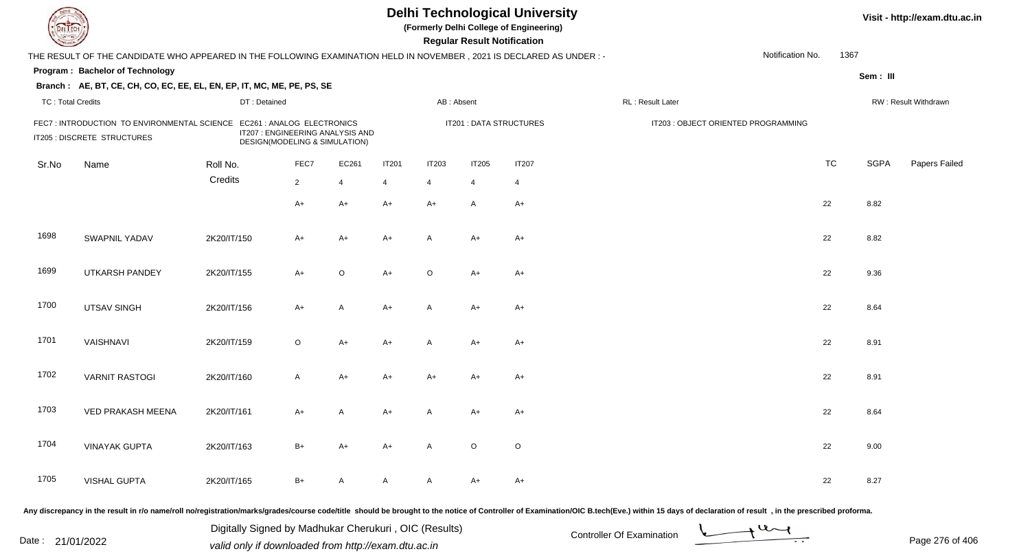| DEL TECH                 |                                                                                                                                                                                                                                |                                                       |                                                                   |                | <b>Delhi Technological University</b><br>(Formerly Delhi College of Engineering)<br><b>Regular Result Notification</b> |                |              |                         |                           |                                     |                  |           |             | Visit - http://exam.dtu.ac.in |  |  |
|--------------------------|--------------------------------------------------------------------------------------------------------------------------------------------------------------------------------------------------------------------------------|-------------------------------------------------------|-------------------------------------------------------------------|----------------|------------------------------------------------------------------------------------------------------------------------|----------------|--------------|-------------------------|---------------------------|-------------------------------------|------------------|-----------|-------------|-------------------------------|--|--|
|                          | THE RESULT OF THE CANDIDATE WHO APPEARED IN THE FOLLOWING EXAMINATION HELD IN NOVEMBER, 2021 IS DECLARED AS UNDER : -                                                                                                          |                                                       |                                                                   |                |                                                                                                                        |                |              |                         |                           |                                     | Notification No. | 1367      |             |                               |  |  |
|                          | Program: Bachelor of Technology                                                                                                                                                                                                |                                                       |                                                                   |                |                                                                                                                        |                |              |                         |                           |                                     |                  |           | Sem: III    |                               |  |  |
|                          | Branch: AE, BT, CE, CH, CO, EC, EE, EL, EN, EP, IT, MC, ME, PE, PS, SE                                                                                                                                                         |                                                       |                                                                   |                |                                                                                                                        |                |              |                         |                           |                                     |                  |           |             |                               |  |  |
| <b>TC: Total Credits</b> |                                                                                                                                                                                                                                | DT: Detained                                          |                                                                   |                |                                                                                                                        | AB: Absent     |              |                         | RL : Result Later         |                                     |                  |           |             | RW: Result Withdrawn          |  |  |
|                          | FEC7: INTRODUCTION TO ENVIRONMENTAL SCIENCE EC261 : ANALOG ELECTRONICS<br>IT205 : DISCRETE STRUCTURES                                                                                                                          |                                                       | IT207 : ENGINEERING ANALYSIS AND<br>DESIGN(MODELING & SIMULATION) |                |                                                                                                                        |                |              | IT201 : DATA STRUCTURES |                           | IT203 : OBJECT ORIENTED PROGRAMMING |                  |           |             |                               |  |  |
| Sr.No                    | Name                                                                                                                                                                                                                           | Roll No.                                              | FEC7                                                              | EC261          | <b>IT201</b>                                                                                                           | <b>IT203</b>   | <b>IT205</b> | <b>IT207</b>            |                           |                                     |                  | <b>TC</b> | <b>SGPA</b> | Papers Failed                 |  |  |
|                          |                                                                                                                                                                                                                                | Credits                                               | $\overline{2}$                                                    | $\overline{4}$ | $\overline{4}$                                                                                                         | $\overline{4}$ | 4            | $\overline{4}$          |                           |                                     |                  |           |             |                               |  |  |
|                          |                                                                                                                                                                                                                                |                                                       | $A+$                                                              | A+             | $A+$                                                                                                                   | $A+$           | A            | $A+$                    |                           |                                     |                  | 22        | 8.82        |                               |  |  |
| 1698                     | <b>SWAPNIL YADAV</b>                                                                                                                                                                                                           | 2K20/IT/150                                           | $A+$                                                              | A+             | $A+$                                                                                                                   | A              | $A+$         | $A+$                    |                           |                                     |                  | 22        | 8.82        |                               |  |  |
| 1699                     | <b>UTKARSH PANDEY</b>                                                                                                                                                                                                          | 2K20/IT/155                                           | $A+$                                                              | $\circ$        | $A+$                                                                                                                   | $\circ$        | $A+$         | $A+$                    |                           |                                     |                  | 22        | 9.36        |                               |  |  |
| 1700                     | <b>UTSAV SINGH</b>                                                                                                                                                                                                             | 2K20/IT/156                                           | $A+$                                                              | A              | $A+$                                                                                                                   | A              | A+           | $A+$                    |                           |                                     |                  | 22        | 8.64        |                               |  |  |
| 1701                     | VAISHNAVI                                                                                                                                                                                                                      | 2K20/IT/159                                           | $\circ$                                                           | A+             | $A+$                                                                                                                   | A              | A+           | $A+$                    |                           |                                     |                  | 22        | 8.91        |                               |  |  |
| 1702                     | <b>VARNIT RASTOGI</b>                                                                                                                                                                                                          | 2K20/IT/160                                           | $\mathsf{A}$                                                      | A+             | $A+$                                                                                                                   | $A+$           | $A+$         | $A+$                    |                           |                                     |                  | 22        | 8.91        |                               |  |  |
| 1703                     | VED PRAKASH MEENA                                                                                                                                                                                                              | 2K20/IT/161                                           | A+                                                                | A              | $A+$                                                                                                                   | A              | A+           | A+                      |                           |                                     |                  | 22        | 8.64        |                               |  |  |
| 1704                     | <b>VINAYAK GUPTA</b>                                                                                                                                                                                                           | 2K20/IT/163                                           | B+                                                                | A+             | A+                                                                                                                     | A              | $\circ$      | $\circ$                 |                           |                                     |                  | 22        | 9.00        |                               |  |  |
| 1705                     | <b>VISHAL GUPTA</b>                                                                                                                                                                                                            | 2K20/IT/165                                           | B+                                                                | $\mathsf{A}$   | A                                                                                                                      | A              | A+           | $A+$                    |                           |                                     |                  | 22        | 8.27        |                               |  |  |
|                          | Any discrepancy in the result in r/o name/roll no/registration/marks/grades/course code/title should be brought to the notice of Controller of Examination/OIC B.tech(Eve.) within 15 days of declaration of result , in the p |                                                       |                                                                   |                |                                                                                                                        |                |              |                         |                           |                                     |                  |           |             |                               |  |  |
|                          |                                                                                                                                                                                                                                | Digitally Signed by Madhukar Cherukuri, OIC (Results) |                                                                   |                |                                                                                                                        |                |              |                         | Controller Of Evemination |                                     | $\overline{u}$   |           |             |                               |  |  |

Date : 21/01/2022 Digital Digital of Microsofted Chemical Controller Of Examination Determination Page 276 of 40

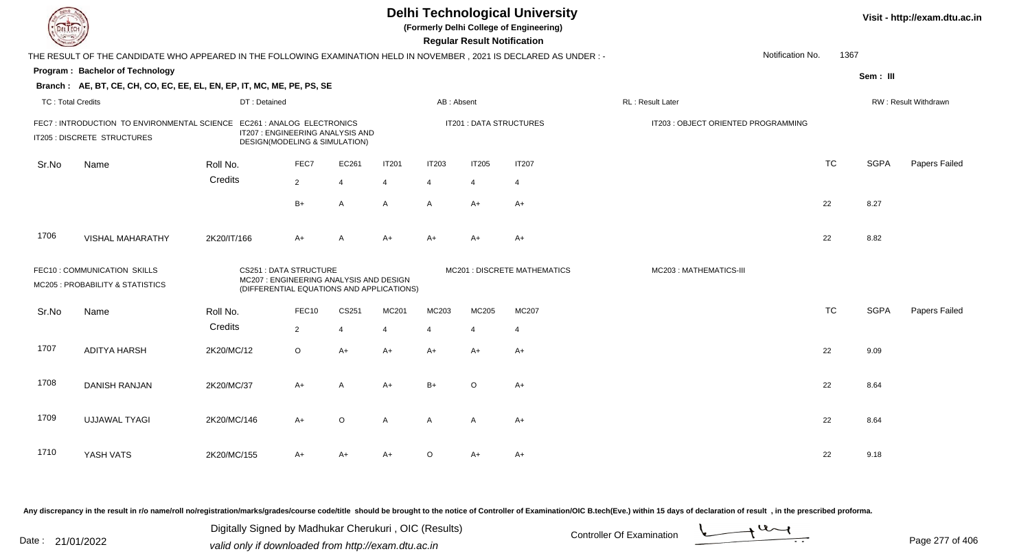| DEL ECH                  |                                                                                                                      |              |                                                                                                                      |                |              |                | <b>Delhi Technological University</b><br>(Formerly Delhi College of Engineering)<br><b>Regular Result Notification</b> |                              |                                     | Visit - http://exam.dtu.ac.in |             |                      |
|--------------------------|----------------------------------------------------------------------------------------------------------------------|--------------|----------------------------------------------------------------------------------------------------------------------|----------------|--------------|----------------|------------------------------------------------------------------------------------------------------------------------|------------------------------|-------------------------------------|-------------------------------|-------------|----------------------|
|                          | THE RESULT OF THE CANDIDATE WHO APPEARED IN THE FOLLOWING EXAMINATION HELD IN NOVEMBER, 2021 IS DECLARED AS UNDER :- |              |                                                                                                                      |                |              |                |                                                                                                                        |                              |                                     | Notification No.              | 1367        |                      |
|                          | Program: Bachelor of Technology                                                                                      |              |                                                                                                                      |                |              |                |                                                                                                                        |                              |                                     |                               | Sem: III    |                      |
|                          | Branch: AE, BT, CE, CH, CO, EC, EE, EL, EN, EP, IT, MC, ME, PE, PS, SE                                               |              |                                                                                                                      |                |              |                |                                                                                                                        |                              |                                     |                               |             |                      |
| <b>TC: Total Credits</b> |                                                                                                                      | DT: Detained |                                                                                                                      |                |              | AB: Absent     |                                                                                                                        |                              | RL: Result Later                    |                               |             | RW: Result Withdrawn |
|                          | FEC7: INTRODUCTION TO ENVIRONMENTAL SCIENCE EC261: ANALOG ELECTRONICS<br>IT205 : DISCRETE STRUCTURES                 |              | IT207 : ENGINEERING ANALYSIS AND<br>DESIGN(MODELING & SIMULATION)                                                    |                |              |                |                                                                                                                        | IT201 : DATA STRUCTURES      | IT203 : OBJECT ORIENTED PROGRAMMING |                               |             |                      |
| Sr.No                    | Name                                                                                                                 | Roll No.     | FEC7                                                                                                                 | EC261          | <b>IT201</b> | <b>IT203</b>   | <b>IT205</b>                                                                                                           | <b>IT207</b>                 |                                     | <b>TC</b>                     | <b>SGPA</b> | Papers Failed        |
|                          |                                                                                                                      | Credits      | $\overline{2}$                                                                                                       | $\overline{4}$ | 4            | $\overline{4}$ | 4                                                                                                                      | $\overline{4}$               |                                     |                               |             |                      |
|                          |                                                                                                                      |              | $B+$                                                                                                                 | A              | A            | A              | $A+$                                                                                                                   | $A+$                         |                                     | 22                            | 8.27        |                      |
| 1706                     | <b>VISHAL MAHARATHY</b>                                                                                              | 2K20/IT/166  | $A+$                                                                                                                 | $\overline{A}$ | $A+$         | $A+$           | A+                                                                                                                     | $A+$                         |                                     | 22                            | 8.82        |                      |
|                          | FEC10: COMMUNICATION SKILLS<br>MC205 : PROBABILITY & STATISTICS                                                      |              | <b>CS251: DATA STRUCTURE</b><br>MC207 : ENGINEERING ANALYSIS AND DESIGN<br>(DIFFERENTIAL EQUATIONS AND APPLICATIONS) |                |              |                |                                                                                                                        | MC201 : DISCRETE MATHEMATICS | MC203: MATHEMATICS-III              |                               |             |                      |
| Sr.No                    | Name                                                                                                                 | Roll No.     | FEC10                                                                                                                | CS251          | MC201        | MC203          | MC205                                                                                                                  | MC207                        |                                     | <b>TC</b>                     | <b>SGPA</b> | Papers Failed        |
|                          |                                                                                                                      | Credits      | $\overline{2}$                                                                                                       | $\overline{4}$ | 4            | $\overline{4}$ | $\overline{4}$                                                                                                         | $\overline{4}$               |                                     |                               |             |                      |
| 1707                     | <b>ADITYA HARSH</b>                                                                                                  | 2K20/MC/12   | $\circ$                                                                                                              | $A+$           | $A+$         | A+             | $A+$                                                                                                                   | $A+$                         |                                     | 22                            | 9.09        |                      |
| 1708                     | <b>DANISH RANJAN</b>                                                                                                 | 2K20/MC/37   | $A+$                                                                                                                 | A              | $A+$         | $B+$           | $\circ$                                                                                                                | $A+$                         |                                     | 22                            | 8.64        |                      |
| 1709                     | <b>UJJAWAL TYAGI</b>                                                                                                 | 2K20/MC/146  | $A+$                                                                                                                 | $\circ$        | A            | A              | A                                                                                                                      | $A+$                         |                                     | 22                            | 8.64        |                      |
| 1710                     | YASH VATS                                                                                                            | 2K20/MC/155  | A+                                                                                                                   | A+             | $A+$         | O              | A+                                                                                                                     | A+                           |                                     | 22                            | 9.18        |                      |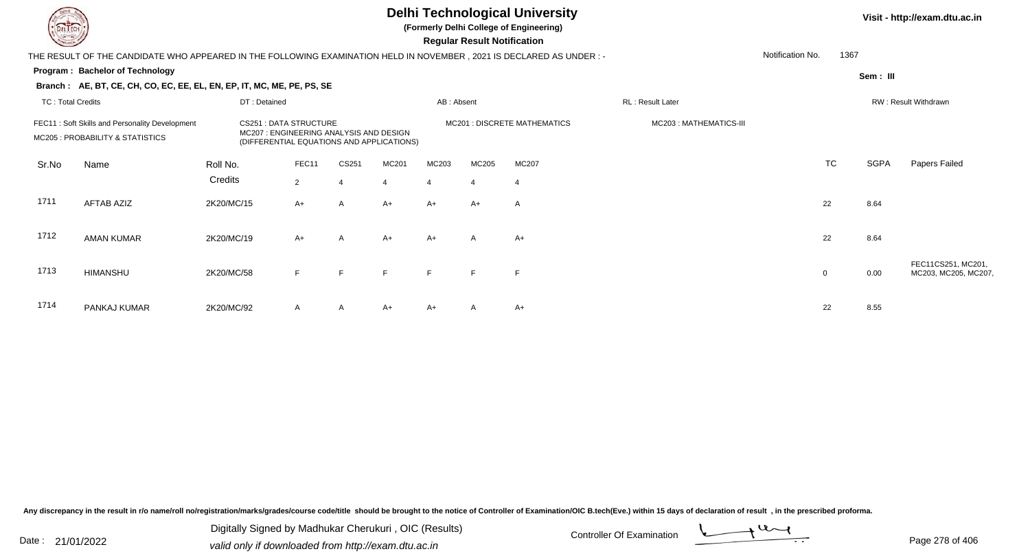**(Formerly Delhi College of Engineering)**

 **Regular Result Notification**

|                                                                                                                                                                                                            | Notification No.<br>1367<br>THE RESULT OF THE CANDIDATE WHO APPEARED IN THE FOLLOWING EXAMINATION HELD IN NOVEMBER , 2021 IS DECLARED AS UNDER : - |              |                |       |                |            |                |                                     |                  |             |           |             |                                            |
|------------------------------------------------------------------------------------------------------------------------------------------------------------------------------------------------------------|----------------------------------------------------------------------------------------------------------------------------------------------------|--------------|----------------|-------|----------------|------------|----------------|-------------------------------------|------------------|-------------|-----------|-------------|--------------------------------------------|
|                                                                                                                                                                                                            | Program: Bachelor of Technology                                                                                                                    |              |                |       |                |            |                |                                     |                  |             |           | Sem: III    |                                            |
|                                                                                                                                                                                                            | Branch: AE, BT, CE, CH, CO, EC, EE, EL, EN, EP, IT, MC, ME, PE, PS, SE                                                                             |              |                |       |                |            |                |                                     |                  |             |           |             |                                            |
| <b>TC: Total Credits</b>                                                                                                                                                                                   |                                                                                                                                                    | DT: Detained |                |       |                | AB: Absent |                |                                     | RL: Result Later |             |           |             | RW: Result Withdrawn                       |
| <b>CS251 : DATA STRUCTURE</b><br>FEC11: Soft Skills and Personality Development<br>MC207: ENGINEERING ANALYSIS AND DESIGN<br>MC205 : PROBABILITY & STATISTICS<br>(DIFFERENTIAL EQUATIONS AND APPLICATIONS) |                                                                                                                                                    |              |                |       |                |            |                | <b>MC201 : DISCRETE MATHEMATICS</b> |                  |             |           |             |                                            |
| Sr.No                                                                                                                                                                                                      | Name                                                                                                                                               | Roll No.     | FEC11          | CS251 | MC201          | MC203      | MC205          | MC207                               |                  |             | <b>TC</b> | <b>SGPA</b> | Papers Failed                              |
|                                                                                                                                                                                                            |                                                                                                                                                    | Credits      | $\overline{2}$ | 4     | $\overline{4}$ |            | $\overline{4}$ | $\overline{4}$                      |                  |             |           |             |                                            |
| 1711                                                                                                                                                                                                       | <b>AFTAB AZIZ</b>                                                                                                                                  | 2K20/MC/15   | $A+$           | A     | $A+$           | $A+$       | $A+$           | $\overline{A}$                      |                  |             | 22        | 8.64        |                                            |
| 1712                                                                                                                                                                                                       | <b>AMAN KUMAR</b>                                                                                                                                  | 2K20/MC/19   | $A+$           | A     | $A+$           | $A+$       | $\mathsf{A}$   | $A+$                                |                  |             | 22        | 8.64        |                                            |
| 1713                                                                                                                                                                                                       | <b>HIMANSHU</b>                                                                                                                                    | 2K20/MC/58   | F              | F     | F              | F          | F              | F                                   |                  | $\mathbf 0$ |           | 0.00        | FEC11CS251, MC201,<br>MC203, MC205, MC207, |
| 1714                                                                                                                                                                                                       | PANKAJ KUMAR                                                                                                                                       | 2K20/MC/92   | A              | A     | $A+$           | A+         | $\mathsf{A}$   | $A+$                                |                  |             | 22        | 8.55        |                                            |

Any discrepancy in the result in r/o name/roll no/registration/marks/grades/course code/title should be brought to the notice of Controller of Examination/OIC B.tech(Eve.) within 15 days of declaration of result, in the pr

Date : 21/01/2022 Digital Digital of Microsofted Chemical Controller Of Examination Determination Page 278 of 40 Digitally Signed by Madhukar Cherukuri , OIC (Results)

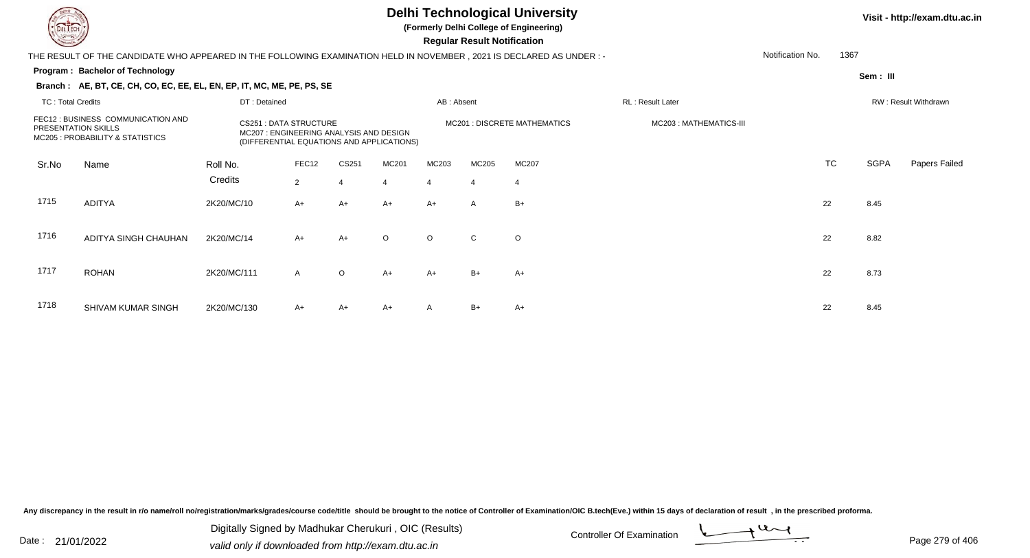**(Formerly Delhi College of Engineering)**

 **Regular Result Notification**

#### **Visit - http://exam.dtu.ac.in**

**Program : Bachelor of TechnologySem : III Branch : AE, BT, CE, CH, CO, EC, EE, EL, EN, EP, IT, MC, ME, PE, PS, SE**THE RESULT OF THE CANDIDATE WHO APPEARED IN THE FOLLOWING EXAMINATION HELD IN NOVEMBER , 2021 IS DECLARED AS UNDER : -TC : Total Credits DT : Detainedd AB : Absent RL : Result Later RW : Result Withdrawn Notification No. 1367Sr.NoName Roll No. **Credits** FEC12 : BUSINESS COMMUNICATION ANDPRESENTATION SKILLSCS251 : DATA STRUCTURE MODESIGN MC201 : DISCRETE MATHEMATICS MODES MC203 : MATHEMATICS-III<br>MC207 : ENGINEERING ANALYSIS AND DESIGN MC205 : PROBABILITY & STATISTICS(DIFFERENTIAL EQUATIONS AND APPLICATIONS) FEC122 CS251 MC201 MC203 MC205 MC207 2010 MC207 TC TC SGPA Papers Failed 22 4 4 4 4 4 1715 ADITYAA 2K20/MC/10 A+ A+ A+ A+ A+ A B+ 1716 ADITYA SINGH CHAUHANN 2K20/MC/14 A+ A+ O O C O 1717 ROHANN 2K20/MC/111 A O A+ A+ B+ A+ A+ C 22 8.73 1718 SHIVAM KUMAR SINGHH 2K20/MC/130 A+ A+ A+ A B+ A+ A+ A B+ A+

Any discrepancy in the result in r/o name/roll no/registration/marks/grades/course code/title should be brought to the notice of Controller of Examination/OIC B.tech(Eve.) within 15 days of declaration of result , in the p

Date : 21/01/2022 Digital Digital of Microsofted Chemical Controller Of Examination Determination Page 279 of 40 Digitally Signed by Madhukar Cherukuri , OIC (Results)

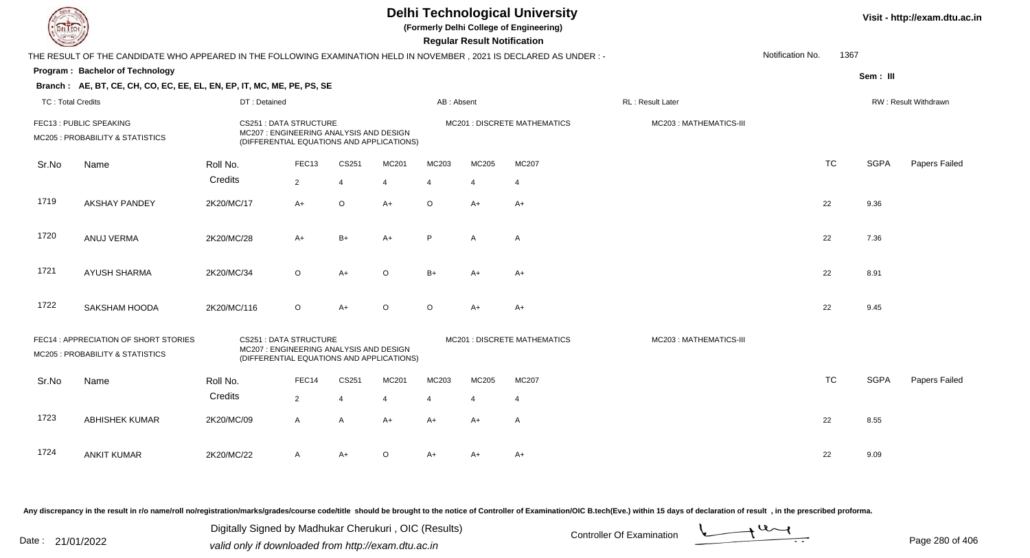|                          |                                                                                                                     |                                                                                                                      |                   |                | <b>Delhi Technological University</b><br>(Formerly Delhi College of Engineering)<br><b>Regular Result Notification</b> |                | Visit - http://exam.dtu.ac.in |                                     |                        |                  |           |             |                      |
|--------------------------|---------------------------------------------------------------------------------------------------------------------|----------------------------------------------------------------------------------------------------------------------|-------------------|----------------|------------------------------------------------------------------------------------------------------------------------|----------------|-------------------------------|-------------------------------------|------------------------|------------------|-----------|-------------|----------------------|
|                          | THE RESULT OF THE CANDIDATE WHO APPEARED IN THE FOLLOWING EXAMINATION HELD IN NOVEMBER, 2021 IS DECLARED AS UNDER:- |                                                                                                                      |                   |                |                                                                                                                        |                |                               |                                     |                        | Notification No. | 1367      |             |                      |
|                          | Program: Bachelor of Technology                                                                                     |                                                                                                                      |                   |                |                                                                                                                        |                |                               |                                     |                        |                  |           | Sem: III    |                      |
|                          | Branch: AE, BT, CE, CH, CO, EC, EE, EL, EN, EP, IT, MC, ME, PE, PS, SE                                              |                                                                                                                      |                   |                |                                                                                                                        |                |                               |                                     |                        |                  |           |             |                      |
| <b>TC: Total Credits</b> |                                                                                                                     | DT: Detained                                                                                                         |                   |                |                                                                                                                        | AB: Absent     |                               |                                     | RL: Result Later       |                  |           |             | RW: Result Withdrawn |
|                          | FEC13 : PUBLIC SPEAKING<br>MC205 : PROBABILITY & STATISTICS                                                         | <b>CS251: DATA STRUCTURE</b><br>MC207: ENGINEERING ANALYSIS AND DESIGN<br>(DIFFERENTIAL EQUATIONS AND APPLICATIONS)  |                   |                |                                                                                                                        |                |                               | <b>MC201: DISCRETE MATHEMATICS</b>  | MC203: MATHEMATICS-III |                  |           |             |                      |
| Sr.No                    | Name                                                                                                                | Roll No.                                                                                                             | FEC <sub>13</sub> | CS251          | MC201                                                                                                                  | MC203          | MC205                         | MC207                               |                        |                  | <b>TC</b> | <b>SGPA</b> | Papers Failed        |
|                          |                                                                                                                     | Credits                                                                                                              | $\overline{2}$    | $\overline{4}$ | $\overline{4}$                                                                                                         | $\overline{4}$ | $\overline{4}$                | $\overline{4}$                      |                        |                  |           |             |                      |
| 1719                     | <b>AKSHAY PANDEY</b>                                                                                                | 2K20/MC/17                                                                                                           | $A+$              | $\circ$        | $A+$                                                                                                                   | $\circ$        | $A+$                          | $A+$                                |                        |                  | 22        | 9.36        |                      |
| 1720                     | ANUJ VERMA                                                                                                          | 2K20/MC/28                                                                                                           | $A+$              | $B+$           | $A+$                                                                                                                   | P              | $\mathsf{A}$                  | $\overline{A}$                      |                        |                  | 22        | 7.36        |                      |
| 1721                     | AYUSH SHARMA                                                                                                        | 2K20/MC/34                                                                                                           | $\circ$           | $A+$           | $\circ$                                                                                                                | $B+$           | A+                            | $A+$                                |                        |                  | 22        | 8.91        |                      |
| 1722                     | SAKSHAM HOODA                                                                                                       | 2K20/MC/116                                                                                                          | $\circ$           | $A+$           | $\Omega$                                                                                                               | $\circ$        | $A+$                          | $A+$                                |                        |                  | 22        | 9.45        |                      |
|                          | FEC14: APPRECIATION OF SHORT STORIES<br>MC205 : PROBABILITY & STATISTICS                                            | <b>CS251: DATA STRUCTURE</b><br>MC207 : ENGINEERING ANALYSIS AND DESIGN<br>(DIFFERENTIAL EQUATIONS AND APPLICATIONS) |                   |                |                                                                                                                        |                |                               | <b>MC201 : DISCRETE MATHEMATICS</b> | MC203: MATHEMATICS-III |                  |           |             |                      |
| Sr.No                    | Name                                                                                                                | Roll No.                                                                                                             | FEC14             | CS251          | MC201                                                                                                                  | MC203          | MC205                         | MC207                               |                        |                  | <b>TC</b> | <b>SGPA</b> | Papers Failed        |
|                          |                                                                                                                     | Credits                                                                                                              | $\overline{2}$    | 4              | 4                                                                                                                      | $\overline{4}$ | 4                             | $\overline{4}$                      |                        |                  |           |             |                      |
| 1723                     | <b>ABHISHEK KUMAR</b>                                                                                               | 2K20/MC/09                                                                                                           | A                 | $\overline{A}$ | $A+$                                                                                                                   | $A+$           | A+                            | Α                                   |                        |                  | 22        | 8.55        |                      |
| 1724                     | <b>ANKIT KUMAR</b>                                                                                                  | 2K20/MC/22                                                                                                           | A                 | $A+$           | $\circ$                                                                                                                | A+             | A+                            | $A+$                                |                        |                  | 22        | 9.09        |                      |

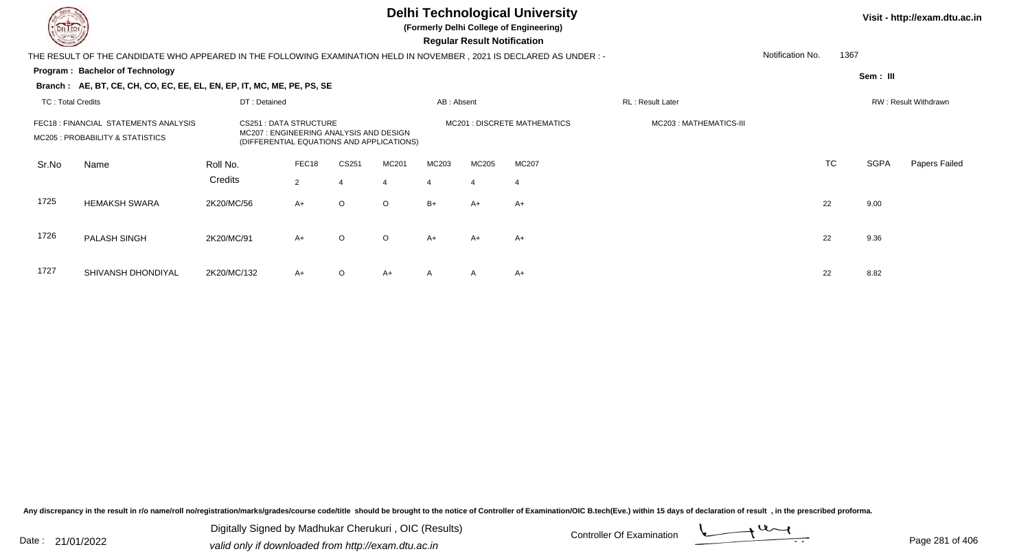

**(Formerly Delhi College of Engineering)**

 **Regular Result Notification**

| <b>Controller Comments</b> |                                                                                                                     |              |                                                                         |         |                                           |            | Regular Result Notification |                              |                        |                  |           |             |                      |
|----------------------------|---------------------------------------------------------------------------------------------------------------------|--------------|-------------------------------------------------------------------------|---------|-------------------------------------------|------------|-----------------------------|------------------------------|------------------------|------------------|-----------|-------------|----------------------|
|                            | THE RESULT OF THE CANDIDATE WHO APPEARED IN THE FOLLOWING EXAMINATION HELD IN NOVEMBER, 2021 IS DECLARED AS UNDER:- |              |                                                                         |         |                                           |            |                             |                              |                        | Notification No. | 1367      |             |                      |
|                            | Program: Bachelor of Technology                                                                                     |              |                                                                         |         |                                           |            |                             |                              |                        |                  |           | Sem: III    |                      |
|                            | Branch: AE, BT, CE, CH, CO, EC, EE, EL, EN, EP, IT, MC, ME, PE, PS, SE                                              |              |                                                                         |         |                                           |            |                             |                              |                        |                  |           |             |                      |
| <b>TC: Total Credits</b>   |                                                                                                                     | DT: Detained |                                                                         |         |                                           | AB: Absent |                             |                              | RL: Result Later       |                  |           |             | RW: Result Withdrawn |
|                            | FEC18: FINANCIAL STATEMENTS ANALYSIS<br>MC205 : PROBABILITY & STATISTICS                                            |              | <b>CS251 : DATA STRUCTURE</b><br>MC207: ENGINEERING ANALYSIS AND DESIGN |         | (DIFFERENTIAL EQUATIONS AND APPLICATIONS) |            |                             | MC201 : DISCRETE MATHEMATICS | MC203: MATHEMATICS-III |                  |           |             |                      |
| Sr.No                      | Name                                                                                                                | Roll No.     | FEC18                                                                   | CS251   | MC201                                     | MC203      | MC205                       | MC207                        |                        |                  | <b>TC</b> | <b>SGPA</b> | Papers Failed        |
|                            |                                                                                                                     | Credits      | $\overline{2}$                                                          |         | $\overline{4}$                            |            | $\overline{4}$              | 4                            |                        |                  |           |             |                      |
| 1725                       | <b>HEMAKSH SWARA</b>                                                                                                | 2K20/MC/56   | $A+$                                                                    | $\circ$ | $\circ$                                   | $B+$       | A+                          | A+                           |                        | 22               |           | 9.00        |                      |
| 1726                       | <b>PALASH SINGH</b>                                                                                                 | 2K20/MC/91   | $A+$                                                                    | $\circ$ | $\circ$                                   | $A+$       | A+                          | A+                           |                        | 22               |           | 9.36        |                      |
| 1727                       | SHIVANSH DHONDIYAL                                                                                                  | 2K20/MC/132  | $A+$                                                                    | $\circ$ | $A+$                                      | A          | $\mathsf{A}$                | A+                           |                        | 22               |           | 8.82        |                      |

Any discrepancy in the result in r/o name/roll no/registration/marks/grades/course code/title should be brought to the notice of Controller of Examination/OIC B.tech(Eve.) within 15 days of declaration of result, in the pr

Date : 21/01/2022 Digital Digital of Microsofted Chemical Controller Of Examination Determination Page 281 of 40 Digitally Signed by Madhukar Cherukuri , OIC (Results)

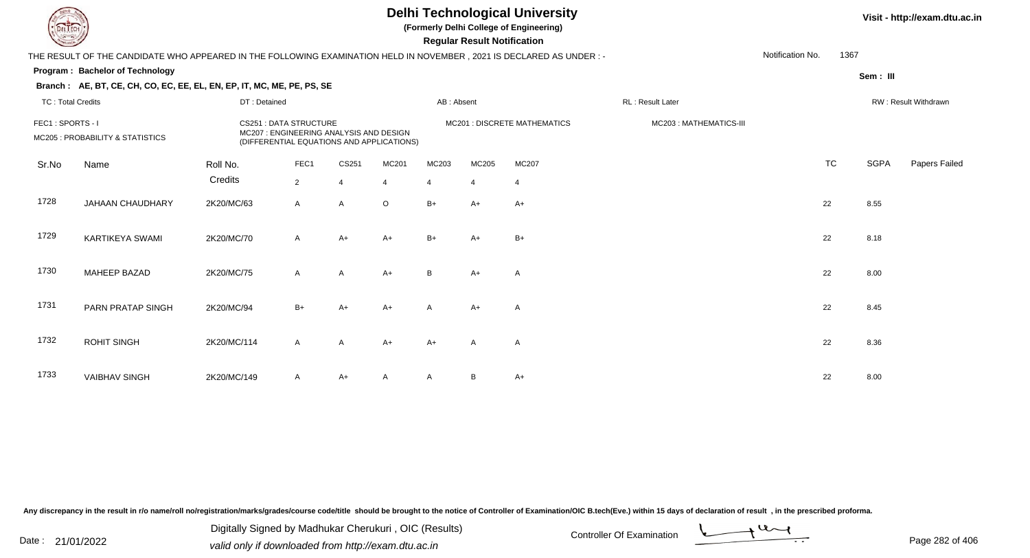**(Formerly Delhi College of Engineering)**

 **Regular Result Notification**

| $\sim$                   |                                                                                                                      |              |                                                                                                                      |                         |                |            | nggular ngsult notihlation |                              |                        |                  |           |             |                      |
|--------------------------|----------------------------------------------------------------------------------------------------------------------|--------------|----------------------------------------------------------------------------------------------------------------------|-------------------------|----------------|------------|----------------------------|------------------------------|------------------------|------------------|-----------|-------------|----------------------|
|                          | THE RESULT OF THE CANDIDATE WHO APPEARED IN THE FOLLOWING EXAMINATION HELD IN NOVEMBER, 2021 IS DECLARED AS UNDER :- |              |                                                                                                                      |                         |                |            |                            |                              |                        | Notification No. | 1367      |             |                      |
|                          | Program: Bachelor of Technology                                                                                      |              |                                                                                                                      |                         |                |            |                            |                              |                        |                  |           | Sem : III   |                      |
|                          | Branch: AE, BT, CE, CH, CO, EC, EE, EL, EN, EP, IT, MC, ME, PE, PS, SE                                               |              |                                                                                                                      |                         |                |            |                            |                              |                        |                  |           |             |                      |
| <b>TC: Total Credits</b> |                                                                                                                      | DT: Detained |                                                                                                                      |                         |                | AB: Absent |                            |                              | RL: Result Later       |                  |           |             | RW: Result Withdrawn |
| FEC1: SPORTS - I         | MC205 : PROBABILITY & STATISTICS                                                                                     |              | <b>CS251: DATA STRUCTURE</b><br>MC207 : ENGINEERING ANALYSIS AND DESIGN<br>(DIFFERENTIAL EQUATIONS AND APPLICATIONS) |                         |                |            |                            | MC201 : DISCRETE MATHEMATICS | MC203: MATHEMATICS-III |                  |           |             |                      |
| Sr.No                    | Name                                                                                                                 | Roll No.     | FEC1                                                                                                                 | CS251                   | MC201          | MC203      | MC205                      | MC207                        |                        |                  | <b>TC</b> | <b>SGPA</b> | Papers Failed        |
|                          |                                                                                                                      | Credits      | $\overline{2}$                                                                                                       | $\overline{\mathbf{A}}$ | $\overline{4}$ | 4          | $\overline{4}$             | $\overline{4}$               |                        |                  |           |             |                      |
| 1728                     | JAHAAN CHAUDHARY                                                                                                     | 2K20/MC/63   | $\mathsf{A}$                                                                                                         | $\mathsf{A}$            | $\circ$        | $B+$       | $A+$                       | $A+$                         |                        |                  | 22        | 8.55        |                      |
| 1729                     | <b>KARTIKEYA SWAMI</b>                                                                                               | 2K20/MC/70   | $\mathsf{A}$                                                                                                         | $A+$                    | $A+$           | $B+$       | $A+$                       | $B+$                         |                        |                  | 22        | 8.18        |                      |
| 1730                     | <b>MAHEEP BAZAD</b>                                                                                                  | 2K20/MC/75   | $\mathsf{A}$                                                                                                         | $\mathsf{A}$            | $A+$           | B          | $A+$                       | Α                            |                        |                  | 22        | 8.00        |                      |
| 1731                     | PARN PRATAP SINGH                                                                                                    | 2K20/MC/94   | $B+$                                                                                                                 | A+                      | $A+$           | A          | $A+$                       | A                            |                        |                  | 22        | 8.45        |                      |
| 1732                     | <b>ROHIT SINGH</b>                                                                                                   | 2K20/MC/114  | $\mathsf{A}$                                                                                                         | A                       | $A+$           | $A+$       | A                          | Α                            |                        |                  | 22        | 8.36        |                      |
| 1733                     | <b>VAIBHAV SINGH</b>                                                                                                 | 2K20/MC/149  | $\mathsf{A}$                                                                                                         | A+                      | A              | A          | B                          | A+                           |                        |                  | 22        | 8.00        |                      |

Any discrepancy in the result in r/o name/roll no/registration/marks/grades/course code/title should be brought to the notice of Controller of Examination/OIC B.tech(Eve.) within 15 days of declaration of result, in the pr

Date : 21/01/2022 Digital Digital of Microsofted Chemical Controller Of Examination Determination Page 282 of 40 Digitally Signed by Madhukar Cherukuri , OIC (Results)

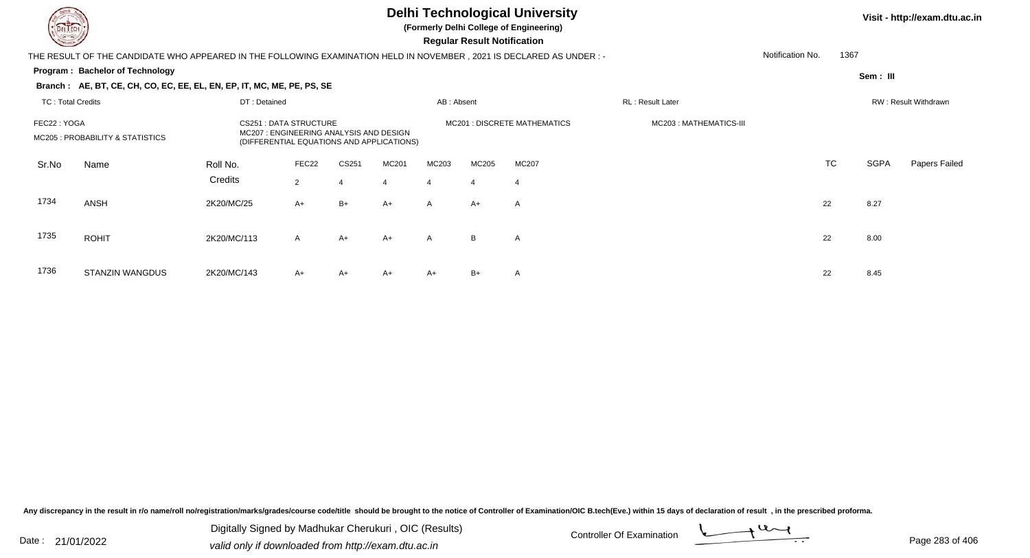

**(Formerly Delhi College of Engineering)**

 **Regular Result Notification**

| <b>Course Line</b>       |                                                                                                                      |                                                                                                               |                |       |                |              | Regular Result Notification |                              |                         |                  |      |             |                      |
|--------------------------|----------------------------------------------------------------------------------------------------------------------|---------------------------------------------------------------------------------------------------------------|----------------|-------|----------------|--------------|-----------------------------|------------------------------|-------------------------|------------------|------|-------------|----------------------|
|                          | THE RESULT OF THE CANDIDATE WHO APPEARED IN THE FOLLOWING EXAMINATION HELD IN NOVEMBER, 2021 IS DECLARED AS UNDER :- |                                                                                                               |                |       |                |              |                             |                              |                         | Notification No. | 1367 |             |                      |
|                          | <b>Program: Bachelor of Technology</b>                                                                               |                                                                                                               |                |       |                |              |                             |                              |                         |                  |      | Sem : III   |                      |
|                          | Branch: AE, BT, CE, CH, CO, EC, EE, EL, EN, EP, IT, MC, ME, PE, PS, SE                                               |                                                                                                               |                |       |                |              |                             |                              |                         |                  |      |             |                      |
| <b>TC: Total Credits</b> |                                                                                                                      | DT: Detained                                                                                                  |                |       |                | AB: Absent   |                             |                              | RL: Result Later        |                  |      |             | RW: Result Withdrawn |
| FEC22: YOGA              | MC205 : PROBABILITY & STATISTICS                                                                                     | CS251 : DATA STRUCTURE<br>MC207: ENGINEERING ANALYSIS AND DESIGN<br>(DIFFERENTIAL EQUATIONS AND APPLICATIONS) |                |       |                |              |                             | MC201 : DISCRETE MATHEMATICS | MC203 : MATHEMATICS-III |                  |      |             |                      |
| Sr.No                    | Name                                                                                                                 | Roll No.                                                                                                      | FEC22          | CS251 | MC201          | MC203        | MC205                       | <b>MC207</b>                 |                         |                  | TC   | <b>SGPA</b> | Papers Failed        |
|                          |                                                                                                                      | Credits                                                                                                       | $\overline{2}$ | 4     | $\overline{4}$ | 4            | $\overline{4}$              | $\overline{4}$               |                         |                  |      |             |                      |
| 1734                     | <b>ANSH</b>                                                                                                          | 2K20/MC/25                                                                                                    | $A+$           | $B+$  | $A+$           | $\mathsf{A}$ | $A+$                        | A                            |                         | 22               |      | 8.27        |                      |
| 1735                     | <b>ROHIT</b>                                                                                                         | 2K20/MC/113                                                                                                   | $\mathsf{A}$   | $A+$  | $A+$           | $\mathsf{A}$ | B                           | A                            |                         | 22               |      | 8.00        |                      |
| 1736                     | <b>STANZIN WANGDUS</b>                                                                                               | 2K20/MC/143                                                                                                   | $A+$           | A+    | $A+$           | $A+$         | $B+$                        | Α                            |                         | 22               |      | 8.45        |                      |

Any discrepancy in the result in r/o name/roll no/registration/marks/grades/course code/title should be brought to the notice of Controller of Examination/OIC B.tech(Eve.) within 15 days of declaration of result, in the pr

Date : 21/01/2022 Digital Digital of Microsofted Chemical Controller Of Examination Determination Page 283 of 40 Digitally Signed by Madhukar Cherukuri , OIC (Results)

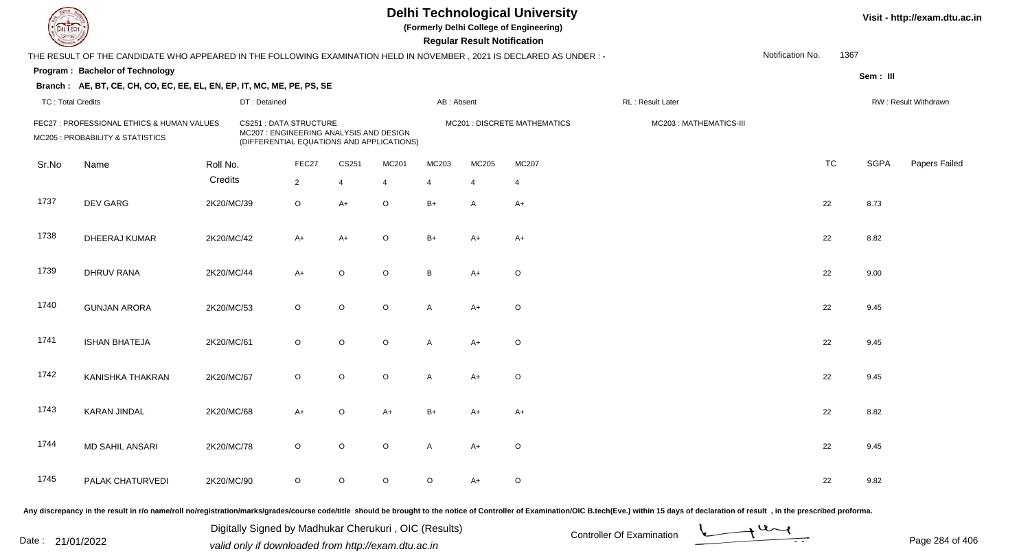**(Formerly Delhi College of Engineering)**

**Regular Regular Results Notification** 

| <b>Consulton Party</b>   |                                                                                                                      |            |                                                                                                                      |                |         |                         |                | <b>Regular Result Notification</b> |                              |                        |                  |           |             |                      |
|--------------------------|----------------------------------------------------------------------------------------------------------------------|------------|----------------------------------------------------------------------------------------------------------------------|----------------|---------|-------------------------|----------------|------------------------------------|------------------------------|------------------------|------------------|-----------|-------------|----------------------|
|                          | THE RESULT OF THE CANDIDATE WHO APPEARED IN THE FOLLOWING EXAMINATION HELD IN NOVEMBER, 2021 IS DECLARED AS UNDER :- |            |                                                                                                                      |                |         |                         |                |                                    |                              |                        | Notification No. | 1367      |             |                      |
|                          | Program: Bachelor of Technology                                                                                      |            |                                                                                                                      |                |         |                         |                |                                    |                              |                        |                  |           | Sem: III    |                      |
|                          | Branch: AE, BT, CE, CH, CO, EC, EE, EL, EN, EP, IT, MC, ME, PE, PS, SE                                               |            |                                                                                                                      |                |         |                         |                |                                    |                              |                        |                  |           |             |                      |
| <b>TC: Total Credits</b> |                                                                                                                      |            | DT: Detained                                                                                                         |                |         |                         | AB: Absent     |                                    |                              | RL : Result Later      |                  |           |             | RW: Result Withdrawn |
|                          | FEC27 : PROFESSIONAL ETHICS & HUMAN VALUES<br>MC205 : PROBABILITY & STATISTICS                                       |            | <b>CS251: DATA STRUCTURE</b><br>MC207 : ENGINEERING ANALYSIS AND DESIGN<br>(DIFFERENTIAL EQUATIONS AND APPLICATIONS) |                |         |                         |                |                                    | MC201 : DISCRETE MATHEMATICS | MC203: MATHEMATICS-III |                  |           |             |                      |
| Sr.No                    | Name                                                                                                                 | Roll No.   |                                                                                                                      | FEC27          | CS251   | MC201                   | MC203          | MC205                              | MC207                        |                        |                  | <b>TC</b> | <b>SGPA</b> | Papers Failed        |
|                          |                                                                                                                      | Credits    |                                                                                                                      | $\overline{2}$ | 4       | $\overline{\mathbf{4}}$ | $\overline{4}$ | $\overline{4}$                     | $\overline{4}$               |                        |                  |           |             |                      |
| 1737                     | DEV GARG                                                                                                             | 2K20/MC/39 |                                                                                                                      | $\circ$        | $A+$    | $\circ$                 | $B+$           | A                                  | $A+$                         |                        |                  | 22        | 8.73        |                      |
| 1738                     | DHEERAJ KUMAR                                                                                                        | 2K20/MC/42 |                                                                                                                      | $A+$           | $A+$    | $\mathsf O$             | $B+$           | $A+$                               | $A+$                         |                        |                  | 22        | 8.82        |                      |
| 1739                     | <b>DHRUV RANA</b>                                                                                                    | 2K20/MC/44 |                                                                                                                      | $A+$           | $\circ$ | $\mathsf O$             | B              | $A+$                               | $\circ$                      |                        |                  | 22        | 9.00        |                      |
| 1740                     | <b>GUNJAN ARORA</b>                                                                                                  | 2K20/MC/53 |                                                                                                                      | $\circ$        | $\circ$ | $\circ$                 | A              | $A+$                               | O                            |                        |                  | 22        | 9.45        |                      |
| 1741                     | <b>ISHAN BHATEJA</b>                                                                                                 | 2K20/MC/61 |                                                                                                                      | $\circ$        | $\circ$ | $\mathsf O$             | A              | $A+$                               | $\circ$                      |                        |                  | 22        | 9.45        |                      |
| 1742                     | KANISHKA THAKRAN                                                                                                     | 2K20/MC/67 |                                                                                                                      | $\circ$        | $\circ$ | $\mathsf O$             | A              | $A+$                               | $\mathsf O$                  |                        |                  | 22        | 9.45        |                      |
| 1743                     | <b>KARAN JINDAL</b>                                                                                                  | 2K20/MC/68 |                                                                                                                      | $A+$           | $\circ$ | $A+$                    | $B+$           | A+                                 | A+                           |                        |                  | 22        | 8.82        |                      |
| 1744                     | <b>MD SAHIL ANSARI</b>                                                                                               | 2K20/MC/78 |                                                                                                                      | $\circ$        | $\circ$ | $\mathsf O$             | $\mathsf{A}$   | $A+$                               | O                            |                        |                  | 22        | 9.45        |                      |
| 1745                     | PALAK CHATURVEDI                                                                                                     | 2K20/MC/90 |                                                                                                                      | $\circ$        | $\circ$ | $\circ$                 | $\circ$        | A+                                 | O                            |                        |                  | 22        | 9.82        |                      |
|                          |                                                                                                                      |            |                                                                                                                      |                |         |                         |                |                                    |                              |                        |                  |           |             |                      |

Any discrepancy in the result in r/o name/roll no/registration/marks/grades/course code/title should be brought to the notice of Controller of Examination/OIC B.tech(Eve.) within 15 days of declaration of result, in the pr

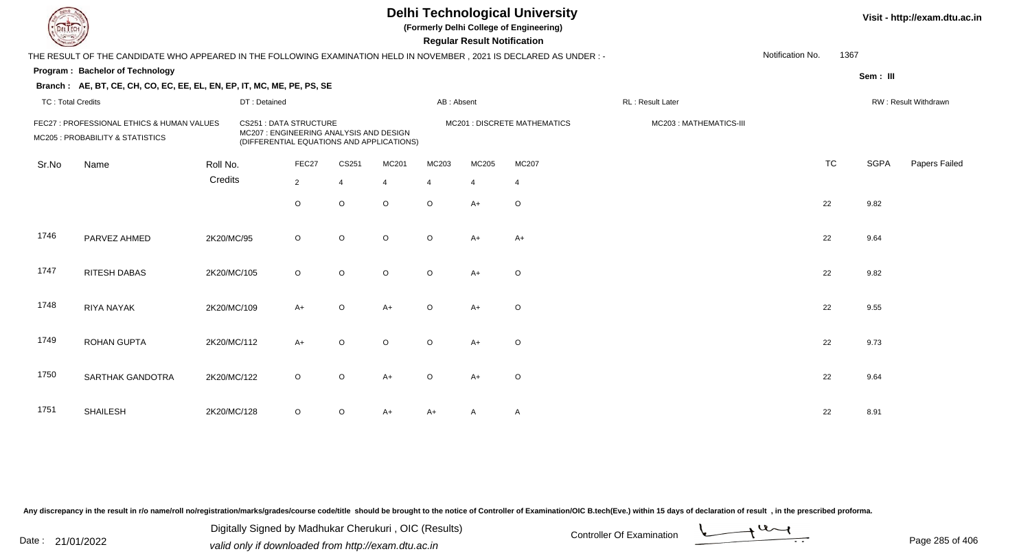| L'I ECH                                                                        |                                                                                                                      |             |                                                                                                                     |                |             |         |            | <b>Regular Result Notification</b> | <b>Delhi Technological University</b><br>(Formerly Delhi College of Engineering) | Visit - http://exam.dtu.ac.in |                  |           |             |                      |
|--------------------------------------------------------------------------------|----------------------------------------------------------------------------------------------------------------------|-------------|---------------------------------------------------------------------------------------------------------------------|----------------|-------------|---------|------------|------------------------------------|----------------------------------------------------------------------------------|-------------------------------|------------------|-----------|-------------|----------------------|
|                                                                                | THE RESULT OF THE CANDIDATE WHO APPEARED IN THE FOLLOWING EXAMINATION HELD IN NOVEMBER, 2021 IS DECLARED AS UNDER :- |             |                                                                                                                     |                |             |         |            |                                    |                                                                                  |                               | Notification No. | 1367      |             |                      |
|                                                                                | <b>Program: Bachelor of Technology</b>                                                                               |             |                                                                                                                     |                |             |         |            |                                    |                                                                                  |                               |                  |           | Sem: III    |                      |
|                                                                                | Branch: AE, BT, CE, CH, CO, EC, EE, EL, EN, EP, IT, MC, ME, PE, PS, SE                                               |             |                                                                                                                     |                |             |         |            |                                    |                                                                                  |                               |                  |           |             |                      |
| <b>TC: Total Credits</b>                                                       |                                                                                                                      |             | DT: Detained                                                                                                        |                |             |         | AB: Absent |                                    |                                                                                  | RL: Result Later              |                  |           |             | RW: Result Withdrawn |
| FEC27 : PROFESSIONAL ETHICS & HUMAN VALUES<br>MC205 : PROBABILITY & STATISTICS |                                                                                                                      |             | <b>CS251: DATA STRUCTURE</b><br>MC207: ENGINEERING ANALYSIS AND DESIGN<br>(DIFFERENTIAL EQUATIONS AND APPLICATIONS) |                |             |         |            |                                    | <b>MC201 : DISCRETE MATHEMATICS</b>                                              | MC203: MATHEMATICS-III        |                  |           |             |                      |
| Sr.No                                                                          | Name                                                                                                                 | Roll No.    |                                                                                                                     | FEC27          | CS251       | MC201   | MC203      | MC205                              | MC207                                                                            |                               |                  | <b>TC</b> | <b>SGPA</b> | Papers Failed        |
|                                                                                |                                                                                                                      | Credits     |                                                                                                                     | $\overline{2}$ | 4           | 4       | 4          | $\overline{4}$                     | $\overline{4}$                                                                   |                               |                  |           |             |                      |
|                                                                                |                                                                                                                      |             |                                                                                                                     | $\circ$        | $\mathsf O$ | $\circ$ | $\circ$    | $A+$                               | $\circ$                                                                          |                               |                  | 22        | 9.82        |                      |
| 1746                                                                           | PARVEZ AHMED                                                                                                         | 2K20/MC/95  |                                                                                                                     | $\circ$        | $\circ$     | $\circ$ | $\circ$    | $A+$                               | $A+$                                                                             |                               |                  | 22        | 9.64        |                      |
| 1747                                                                           | <b>RITESH DABAS</b>                                                                                                  | 2K20/MC/105 |                                                                                                                     | $\circ$        | $\circ$     | $\circ$ | $\circ$    | $A+$                               | $\circ$                                                                          |                               |                  | 22        | 9.82        |                      |
| 1748                                                                           | <b>RIYA NAYAK</b>                                                                                                    | 2K20/MC/109 |                                                                                                                     | $A+$           | $\circ$     | $A+$    | $\Omega$   | $A+$                               | $\circ$                                                                          |                               |                  | 22        | 9.55        |                      |
| 1749                                                                           | <b>ROHAN GUPTA</b>                                                                                                   | 2K20/MC/112 |                                                                                                                     | $A+$           | $\mathsf O$ | $\circ$ | $\circ$    | A+                                 | $\circ$                                                                          |                               |                  | 22        | 9.73        |                      |
| 1750                                                                           | SARTHAK GANDOTRA                                                                                                     | 2K20/MC/122 |                                                                                                                     | $\circ$        | $\mathsf O$ | $A+$    | $\Omega$   | $A+$                               | $\mathsf O$                                                                      |                               |                  | 22        | 9.64        |                      |
| 1751                                                                           | <b>SHAILESH</b>                                                                                                      | 2K20/MC/128 |                                                                                                                     | O              | $\circ$     | A+      | A+         | A                                  | A                                                                                |                               |                  | 22        | 8.91        |                      |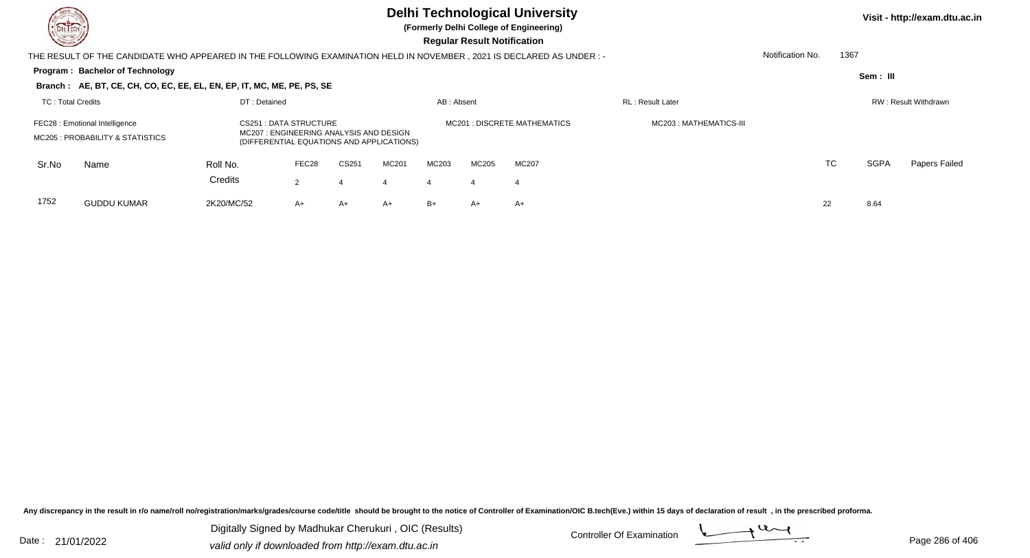

**(Formerly Delhi College of Engineering)**

| <b>Consultor of Personal Property</b>                              |                                                                                                                        |                                                                                                               |       |       |       |                              |       | <b>Regular Result Notification</b> |                          |                  |           |                      |               |  |
|--------------------------------------------------------------------|------------------------------------------------------------------------------------------------------------------------|---------------------------------------------------------------------------------------------------------------|-------|-------|-------|------------------------------|-------|------------------------------------|--------------------------|------------------|-----------|----------------------|---------------|--|
|                                                                    | THE RESULT OF THE CANDIDATE WHO APPEARED IN THE FOLLOWING EXAMINATION HELD IN NOVEMBER , 2021 IS DECLARED AS UNDER : - |                                                                                                               |       |       |       |                              |       |                                    |                          | Notification No. | 1367      |                      |               |  |
|                                                                    | Program: Bachelor of Technology                                                                                        |                                                                                                               |       |       |       |                              |       |                                    |                          |                  |           | Sem : III            |               |  |
|                                                                    | Branch: AE, BT, CE, CH, CO, EC, EE, EL, EN, EP, IT, MC, ME, PE, PS, SE                                                 |                                                                                                               |       |       |       |                              |       |                                    |                          |                  |           |                      |               |  |
| TC: Total Credits                                                  |                                                                                                                        | DT: Detained                                                                                                  |       |       |       | AB: Absent                   |       |                                    | <b>RL</b> : Result Later |                  |           | RW: Result Withdrawn |               |  |
| FEC28 : Emotional Intelligence<br>MC205 : PROBABILITY & STATISTICS |                                                                                                                        | CS251 : DATA STRUCTURE<br>MC207: ENGINEERING ANALYSIS AND DESIGN<br>(DIFFERENTIAL EQUATIONS AND APPLICATIONS) |       |       |       | MC201 : DISCRETE MATHEMATICS |       |                                    | MC203 : MATHEMATICS-III  |                  |           |                      |               |  |
| Sr.No                                                              | Name                                                                                                                   | Roll No.                                                                                                      | FEC28 | CS251 | MC201 | MC203                        | MC205 | MC207                              |                          |                  | <b>TC</b> | <b>SGPA</b>          | Papers Failed |  |
|                                                                    |                                                                                                                        | Credits                                                                                                       | 2     | 4     | 4     | 4                            | 4     | 4                                  |                          |                  |           |                      |               |  |
| 1752                                                               | <b>GUDDU KUMAR</b>                                                                                                     | 2K20/MC/52                                                                                                    | $A+$  | $A+$  | $A+$  | $B+$                         | $A+$  | $A+$                               |                          | 22               |           | 8.64                 |               |  |

Any discrepancy in the result in r/o name/roll no/registration/marks/grades/course code/title should be brought to the notice of Controller of Examination/OIC B.tech(Eve.) within 15 days of declaration of result, in the pr

Date : 21/01/2022 Digital Digital of Microsofted Chemical Controller Of Examination Determination Page 286 of 40 Digitally Signed by Madhukar Cherukuri , OIC (Results)

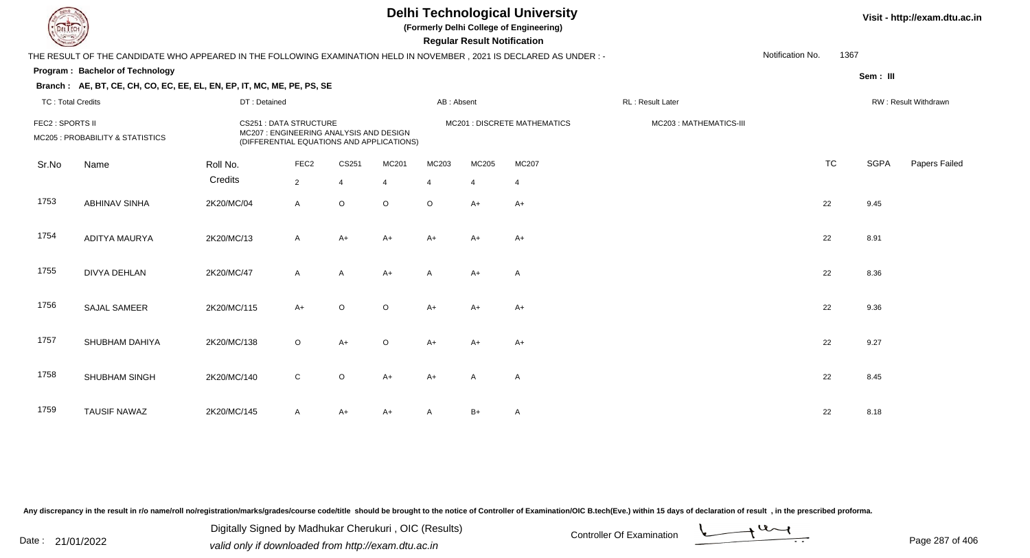**(Formerly Delhi College of Engineering)**

 **Regular Result Notification**

| <b>Course Line</b>                                   |                                                                                                                     |                                                                                                                      |                  |                |                              |                | Regular Result Notification |              |                        |                  |           |             |                      |
|------------------------------------------------------|---------------------------------------------------------------------------------------------------------------------|----------------------------------------------------------------------------------------------------------------------|------------------|----------------|------------------------------|----------------|-----------------------------|--------------|------------------------|------------------|-----------|-------------|----------------------|
|                                                      | THE RESULT OF THE CANDIDATE WHO APPEARED IN THE FOLLOWING EXAMINATION HELD IN NOVEMBER, 2021 IS DECLARED AS UNDER:- |                                                                                                                      |                  |                |                              |                |                             |              |                        | Notification No. | 1367      |             |                      |
|                                                      | Program: Bachelor of Technology                                                                                     |                                                                                                                      |                  |                |                              |                |                             |              |                        |                  |           | Sem: III    |                      |
|                                                      | Branch: AE, BT, CE, CH, CO, EC, EE, EL, EN, EP, IT, MC, ME, PE, PS, SE                                              |                                                                                                                      |                  |                |                              |                |                             |              |                        |                  |           |             |                      |
| <b>TC: Total Credits</b>                             |                                                                                                                     | DT: Detained                                                                                                         |                  |                |                              | AB: Absent     |                             |              | RL: Result Later       |                  |           |             | RW: Result Withdrawn |
| FEC2 : SPORTS II<br>MC205 : PROBABILITY & STATISTICS |                                                                                                                     | <b>CS251: DATA STRUCTURE</b><br>MC207 : ENGINEERING ANALYSIS AND DESIGN<br>(DIFFERENTIAL EQUATIONS AND APPLICATIONS) |                  |                | MC201 : DISCRETE MATHEMATICS |                |                             |              | MC203: MATHEMATICS-III |                  |           |             |                      |
| Sr.No                                                | Name                                                                                                                | Roll No.                                                                                                             | FEC <sub>2</sub> | CS251          | MC201                        | MC203          | MC205                       | MC207        |                        |                  | <b>TC</b> | <b>SGPA</b> | Papers Failed        |
|                                                      |                                                                                                                     | Credits                                                                                                              | $\overline{2}$   | $\overline{4}$ | $\overline{4}$               | $\overline{4}$ | 4                           | 4            |                        |                  |           |             |                      |
| 1753                                                 | <b>ABHINAV SINHA</b>                                                                                                | 2K20/MC/04                                                                                                           | $\mathsf{A}$     | O              | $\circ$                      | $\circ$        | $A+$                        | $A+$         |                        |                  | 22        | 9.45        |                      |
| 1754                                                 | <b>ADITYA MAURYA</b>                                                                                                | 2K20/MC/13                                                                                                           | $\mathsf{A}$     | $A+$           | $A+$                         | $A+$           | A+                          | $A+$         |                        |                  | 22        | 8.91        |                      |
| 1755                                                 | <b>DIVYA DEHLAN</b>                                                                                                 | 2K20/MC/47                                                                                                           | $\mathsf{A}$     | A              | $A+$                         | A              | A+                          | $\mathsf{A}$ |                        |                  | 22        | 8.36        |                      |
| 1756                                                 | <b>SAJAL SAMEER</b>                                                                                                 | 2K20/MC/115                                                                                                          | $A+$             | $\circ$        | $\circ$                      | $A+$           | A+                          | $A+$         |                        |                  | 22        | 9.36        |                      |
| 1757                                                 | SHUBHAM DAHIYA                                                                                                      | 2K20/MC/138                                                                                                          | $\circ$          | $A+$           | $\circ$                      | $A+$           | $A+$                        | $A+$         |                        |                  | 22        | 9.27        |                      |
| 1758                                                 | <b>SHUBHAM SINGH</b>                                                                                                | 2K20/MC/140                                                                                                          | $\mathbf C$      | $\circ$        | $A+$                         | $A+$           | A                           | $\mathsf{A}$ |                        |                  | 22        | 8.45        |                      |
| 1759                                                 | <b>TAUSIF NAWAZ</b>                                                                                                 | 2K20/MC/145                                                                                                          | A                | A+             | $A+$                         | A              | $B+$                        | A            |                        |                  | 22        | 8.18        |                      |

Any discrepancy in the result in r/o name/roll no/registration/marks/grades/course code/title should be brought to the notice of Controller of Examination/OIC B.tech(Eve.) within 15 days of declaration of result, in the pr

Date : 21/01/2022 Digital Digital of Microsofted Chemical Controller Of Examination Controller Of Examination Page 287 of 40 Digitally Signed by Madhukar Cherukuri , OIC (Results)

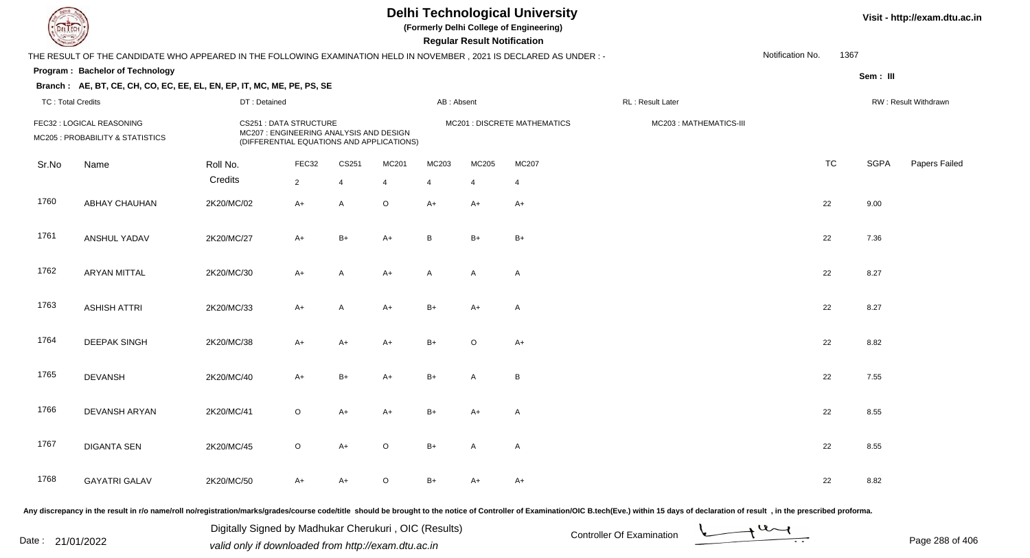**(Formerly Delhi College of Engineering)**

 **Regular Result Notification**

| <b>Course Lines</b>                                           |                                                                                                                      |                                                                                                                |                |                |             |              | Regular Result Notification |                                    |                        |                  |           |             |                      |
|---------------------------------------------------------------|----------------------------------------------------------------------------------------------------------------------|----------------------------------------------------------------------------------------------------------------|----------------|----------------|-------------|--------------|-----------------------------|------------------------------------|------------------------|------------------|-----------|-------------|----------------------|
|                                                               | THE RESULT OF THE CANDIDATE WHO APPEARED IN THE FOLLOWING EXAMINATION HELD IN NOVEMBER, 2021 IS DECLARED AS UNDER :- |                                                                                                                |                |                |             |              |                             |                                    |                        | Notification No. | 1367      |             |                      |
|                                                               | Program: Bachelor of Technology                                                                                      |                                                                                                                |                |                |             |              |                             |                                    |                        |                  |           | Sem: III    |                      |
|                                                               | Branch: AE, BT, CE, CH, CO, EC, EE, EL, EN, EP, IT, MC, ME, PE, PS, SE                                               |                                                                                                                |                |                |             |              |                             |                                    |                        |                  |           |             |                      |
| <b>TC: Total Credits</b>                                      |                                                                                                                      | DT: Detained                                                                                                   |                |                |             | AB: Absent   |                             |                                    | RL: Result Later       |                  |           |             | RW: Result Withdrawn |
| FEC32 : LOGICAL REASONING<br>MC205 : PROBABILITY & STATISTICS |                                                                                                                      | CS251 : DATA STRUCTURE<br>MC207 : ENGINEERING ANALYSIS AND DESIGN<br>(DIFFERENTIAL EQUATIONS AND APPLICATIONS) |                |                |             |              |                             | <b>MC201: DISCRETE MATHEMATICS</b> | MC203: MATHEMATICS-III |                  |           |             |                      |
| Sr.No                                                         | Name                                                                                                                 | Roll No.                                                                                                       | FEC32          | CS251          | MC201       | MC203        | MC205                       | <b>MC207</b>                       |                        |                  | <b>TC</b> | <b>SGPA</b> | Papers Failec        |
|                                                               |                                                                                                                      | Credits                                                                                                        | $\overline{2}$ | $\overline{4}$ | 4           | 4            | $\overline{4}$              | $\overline{4}$                     |                        |                  |           |             |                      |
| 1760                                                          | ABHAY CHAUHAN                                                                                                        | 2K20/MC/02                                                                                                     | $A+$           | $\mathsf{A}$   | $\mathsf O$ | $A+$         | $A+$                        | $A+$                               |                        | 22               |           | 9.00        |                      |
| 1761                                                          | ANSHUL YADAV                                                                                                         | 2K20/MC/27                                                                                                     | $A+$           | $B+$           | $A+$        | B            | $B+$                        | $B+$                               |                        | 22               |           | 7.36        |                      |
| 1762                                                          | <b>ARYAN MITTAL</b>                                                                                                  | 2K20/MC/30                                                                                                     | $A+$           | A              | A+          | $\mathsf{A}$ | $\mathsf{A}$                | A                                  |                        | 22               |           | 8.27        |                      |
| 1763                                                          | <b>ASHISH ATTRI</b>                                                                                                  | 2K20/MC/33                                                                                                     | $A+$           | A              | $A+$        | $B+$         | $A+$                        | A                                  |                        | 22               |           | 8.27        |                      |
| 1764                                                          | <b>DEEPAK SINGH</b>                                                                                                  | 2K20/MC/38                                                                                                     | $A+$           | $A+$           | $A+$        | $B+$         | $\circ$                     | $A+$                               |                        | 22               |           | 8.82        |                      |
| 1765                                                          | <b>DEVANSH</b>                                                                                                       | 2K20/MC/40                                                                                                     | $A+$           | $B+$           | $A+$        | $B+$         | $\mathsf{A}$                | B                                  |                        | 22               |           | 7.55        |                      |
| 1766                                                          | DEVANSH ARYAN                                                                                                        | 2K20/MC/41                                                                                                     | $\mathsf O$    | $A+$           | $A+$        | $B+$         | $A+$                        | A                                  |                        | 22               |           | 8.55        |                      |
| 1767                                                          | <b>DIGANTA SEN</b>                                                                                                   | 2K20/MC/45                                                                                                     | $\mathsf O$    | $A+$           | $\mathsf O$ | $B+$         | $\mathsf{A}$                | A                                  |                        | 22               |           | 8.55        |                      |
| 1768                                                          | <b>GAYATRI GALAV</b>                                                                                                 | 2K20/MC/50                                                                                                     | A+             | A+             | O           | $B+$         | A+                          | $A+$                               |                        | 22               |           | 8.82        |                      |
|                                                               |                                                                                                                      |                                                                                                                |                |                |             |              |                             |                                    |                        |                  |           |             |                      |

Any discrepancy in the result in r/o name/roll no/registration/marks/grades/course code/title should be brought to the notice of Controller of Examination/OIC B.tech(Eve.) within 15 days of declaration of result, in the pr

Date : 21/01/2022 Digital Digital of Microsofted Chemical Controller Of Examination Determination Page 288 of 40 Digitally Signed by Madhukar Cherukuri , OIC (Results)

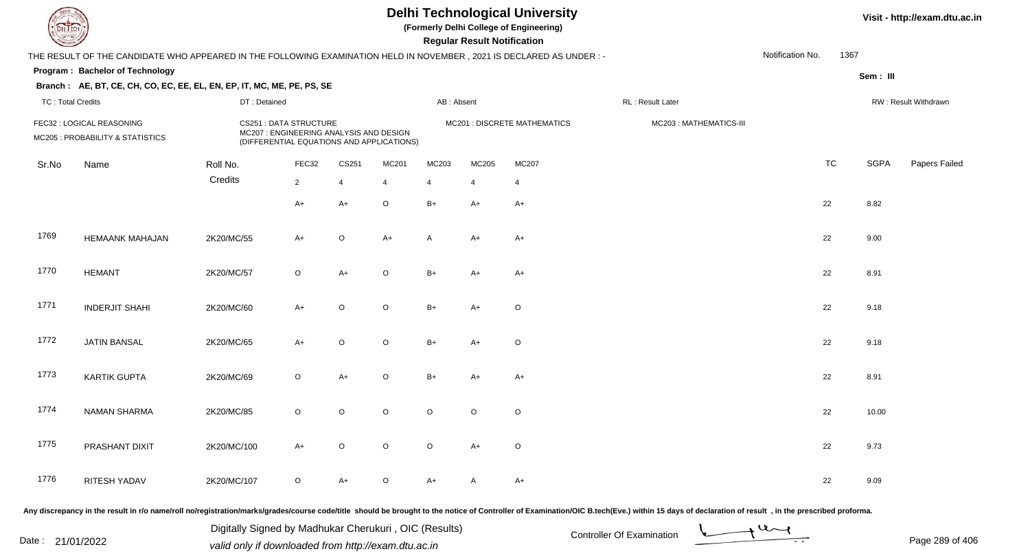## **Delhi Technological University**

**(Formerly Delhi College of Engineering)**

 **Regular Result Notification**

| <b>Courses A</b>         |                                                                                                                      |              |                                                                                                                       |                |                |                | Regular Result Notification |                              |                        |                  |           |             |                      |
|--------------------------|----------------------------------------------------------------------------------------------------------------------|--------------|-----------------------------------------------------------------------------------------------------------------------|----------------|----------------|----------------|-----------------------------|------------------------------|------------------------|------------------|-----------|-------------|----------------------|
|                          | THE RESULT OF THE CANDIDATE WHO APPEARED IN THE FOLLOWING EXAMINATION HELD IN NOVEMBER, 2021 IS DECLARED AS UNDER :- |              |                                                                                                                       |                |                |                |                             |                              |                        | Notification No. | 1367      |             |                      |
|                          | Program: Bachelor of Technology                                                                                      |              |                                                                                                                       |                |                |                |                             |                              |                        |                  |           | Sem: III    |                      |
|                          | Branch: AE, BT, CE, CH, CO, EC, EE, EL, EN, EP, IT, MC, ME, PE, PS, SE                                               |              |                                                                                                                       |                |                |                |                             |                              |                        |                  |           |             |                      |
| <b>TC: Total Credits</b> |                                                                                                                      | DT: Detained |                                                                                                                       |                |                | AB: Absent     |                             |                              | RL: Result Later       |                  |           |             | RW: Result Withdrawn |
|                          | FEC32 : LOGICAL REASONING<br>MC205 : PROBABILITY & STATISTICS                                                        |              | <b>CS251 : DATA STRUCTURE</b><br>MC207 : ENGINEERING ANALYSIS AND DESIGN<br>(DIFFERENTIAL EQUATIONS AND APPLICATIONS) |                |                |                |                             | MC201 : DISCRETE MATHEMATICS | MC203: MATHEMATICS-III |                  |           |             |                      |
| Sr.No                    | Name                                                                                                                 | Roll No.     | FEC32                                                                                                                 | CS251          | MC201          | MC203          | MC205                       | <b>MC207</b>                 |                        |                  | <b>TC</b> | <b>SGPA</b> | Papers Failed        |
|                          |                                                                                                                      | Credits      | $\overline{2}$                                                                                                        | $\overline{4}$ | $\overline{4}$ | $\overline{4}$ | 4                           | 4                            |                        |                  |           |             |                      |
|                          |                                                                                                                      |              | $A+$                                                                                                                  | $A+$           | $\mathsf O$    | $B+$           | A+                          | $A+$                         |                        |                  | 22        | 8.82        |                      |
| 1769                     | <b>HEMAANK MAHAJAN</b>                                                                                               | 2K20/MC/55   | A+                                                                                                                    | $\circ$        | $A+$           | A              | A+                          | $A+$                         |                        |                  | 22        | 9.00        |                      |
| 1770                     | <b>HEMANT</b>                                                                                                        | 2K20/MC/57   | $\mathsf O$                                                                                                           | $A+$           | $\mathsf O$    | $B+$           | A+                          | $A+$                         |                        |                  | 22        | 8.91        |                      |
| 1771                     | <b>INDERJIT SHAHI</b>                                                                                                | 2K20/MC/60   | $A+$                                                                                                                  | O              | $\mathsf O$    | $B+$           | $A+$                        | $\circ$                      |                        |                  | 22        | 9.18        |                      |
| 1772                     | <b>JATIN BANSAL</b>                                                                                                  | 2K20/MC/65   | A+                                                                                                                    | $\circ$        | $\mathsf O$    | $B+$           | $A+$                        | $\circ$                      |                        |                  | 22        | 9.18        |                      |
| 1773                     | <b>KARTIK GUPTA</b>                                                                                                  | 2K20/MC/69   | $\circ$                                                                                                               | $A+$           | $\mathsf O$    | $B+$           | A+                          | $A+$                         |                        |                  | 22        | 8.91        |                      |
| 1774                     | <b>NAMAN SHARMA</b>                                                                                                  | 2K20/MC/85   | $\circ$                                                                                                               | $\circ$        | $\circ$        | $\circ$        | $\circ$                     | $\circ$                      |                        |                  | 22        | 10.00       |                      |
| 1775                     | PRASHANT DIXIT                                                                                                       | 2K20/MC/100  | $A+$                                                                                                                  | $\circ$        | $\circ$        | $\circ$        | $A+$                        | $\circ$                      |                        |                  | 22        | 9.73        |                      |
| 1776                     | <b>RITESH YADAV</b>                                                                                                  | 2K20/MC/107  | $\mathsf O$                                                                                                           | $A+$           | $\circ$        | $A+$           | A                           | $A+$                         |                        |                  | 22        | 9.09        |                      |
|                          |                                                                                                                      |              |                                                                                                                       |                |                |                |                             |                              |                        |                  |           |             |                      |

Any discrepancy in the result in r/o name/roll no/registration/marks/grades/course code/title should be brought to the notice of Controller of Examination/OIC B.tech(Eve.) within 15 days of declaration of result, in the pr

Date : 21/01/2022 Digital Digital of Microsofted Chemical Controller Of Examination Determination Page 289 of 40 Digitally Signed by Madhukar Cherukuri , OIC (Results)

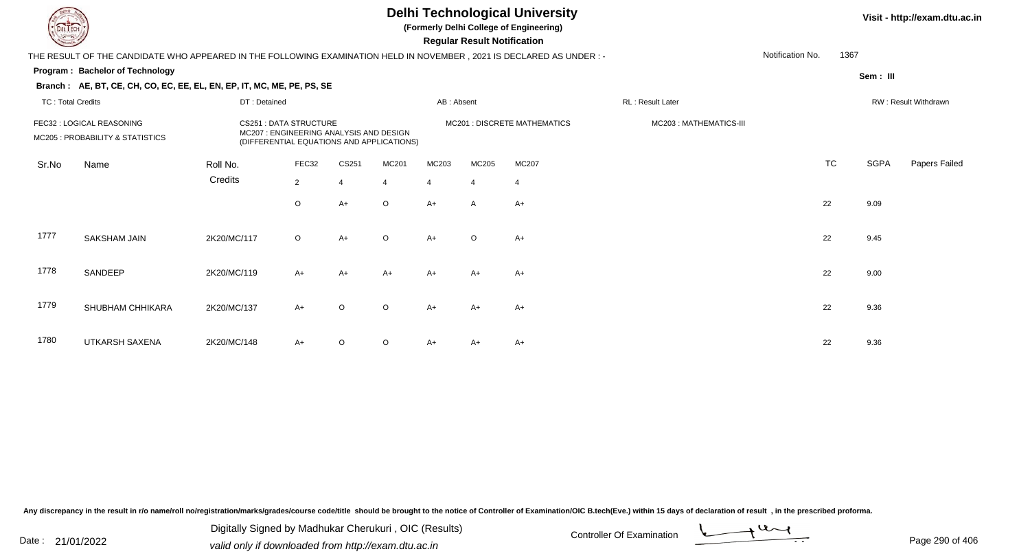## **Delhi Technological University**

**(Formerly Delhi College of Engineering)**

 **Regular Result Notification**

#### **Visit - http://exam.dtu.ac.in**

|                          | THE RESULT OF THE CANDIDATE WHO APPEARED IN THE FOLLOWING EXAMINATION HELD IN NOVEMBER , 2021 IS DECLARED AS UNDER : - |              |                                                                                                                     |          |                |                |                |                              |                        | Notification No. | 1367      |             |                      |
|--------------------------|------------------------------------------------------------------------------------------------------------------------|--------------|---------------------------------------------------------------------------------------------------------------------|----------|----------------|----------------|----------------|------------------------------|------------------------|------------------|-----------|-------------|----------------------|
|                          | <b>Program: Bachelor of Technology</b>                                                                                 |              |                                                                                                                     |          |                |                |                |                              |                        |                  |           |             |                      |
|                          | Branch: AE, BT, CE, CH, CO, EC, EE, EL, EN, EP, IT, MC, ME, PE, PS, SE                                                 |              |                                                                                                                     |          |                |                |                |                              |                        |                  |           | Sem : III   |                      |
| <b>TC: Total Credits</b> |                                                                                                                        | DT: Detained |                                                                                                                     |          |                | AB: Absent     |                |                              | RL: Result Later       |                  |           |             | RW: Result Withdrawn |
|                          | FEC32 : LOGICAL REASONING<br>MC205 : PROBABILITY & STATISTICS                                                          |              | <b>CS251: DATA STRUCTURE</b><br>MC207: ENGINEERING ANALYSIS AND DESIGN<br>(DIFFERENTIAL EQUATIONS AND APPLICATIONS) |          |                |                |                | MC201 : DISCRETE MATHEMATICS | MC203: MATHEMATICS-III |                  |           |             |                      |
| Sr.No                    | Name                                                                                                                   | Roll No.     | FEC32                                                                                                               | CS251    | MC201          | MC203          | MC205          | MC207                        |                        |                  | <b>TC</b> | <b>SGPA</b> | Papers Failed        |
|                          |                                                                                                                        | Credits      | $\overline{2}$                                                                                                      | $\Delta$ | $\overline{4}$ | $\overline{4}$ | $\overline{4}$ | 4                            |                        |                  |           |             |                      |
|                          |                                                                                                                        |              | $\circ$                                                                                                             | $A+$     | $\circ$        | $A+$           | A              | $A+$                         |                        |                  | 22        | 9.09        |                      |
| 1777                     | SAKSHAM JAIN                                                                                                           | 2K20/MC/117  | $\circ$                                                                                                             | $A+$     | $\circ$        | $A+$           | $\circ$        | $A+$                         |                        |                  | 22        | 9.45        |                      |
| 1778                     | SANDEEP                                                                                                                | 2K20/MC/119  | $A+$                                                                                                                | $A+$     | $A+$           | $A+$           | $A+$           | $A+$                         |                        |                  | 22        | 9.00        |                      |
| 1779                     | SHUBHAM CHHIKARA                                                                                                       | 2K20/MC/137  | $A+$                                                                                                                | $\circ$  | $\circ$        | $A+$           | $A+$           | $A+$                         |                        |                  | 22        | 9.36        |                      |
| 1780                     | UTKARSH SAXENA                                                                                                         | 2K20/MC/148  | $A+$                                                                                                                | $\Omega$ | $\circ$        | A+             | A+             | $A+$                         |                        |                  | 22        | 9.36        |                      |

Any discrepancy in the result in r/o name/roll no/registration/marks/grades/course code/title should be brought to the notice of Controller of Examination/OIC B.tech(Eve.) within 15 days of declaration of result, in the pr

Date : 21/01/2022 Digital Digital of Microsofted Chemical Controller Of Examination Determination Page 290 of 40 Digitally Signed by Madhukar Cherukuri , OIC (Results)

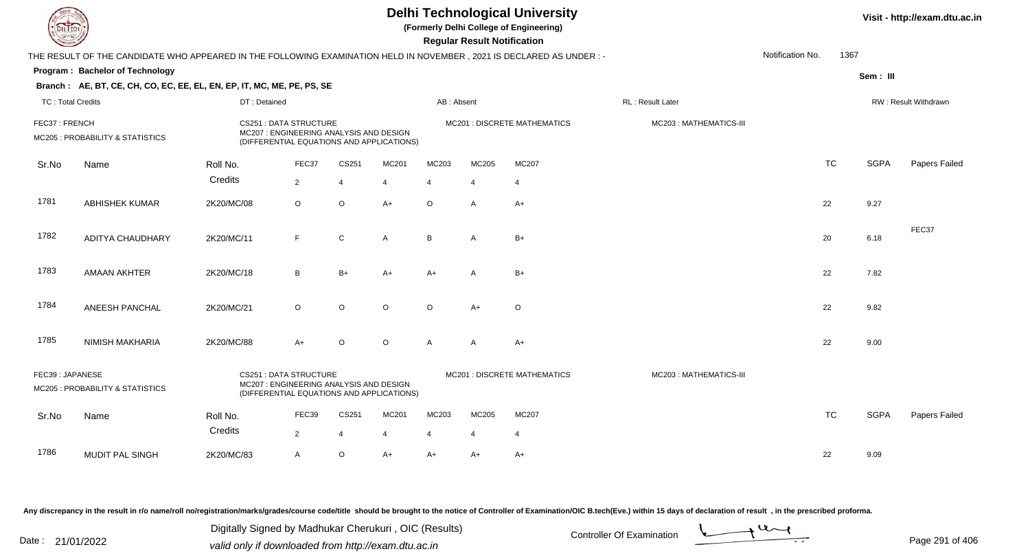|                          |                                                                                                                      |              |                                                                                                                      |                |                |                         | <b>Regular Result Notification</b> | <b>Delhi Technological University</b><br>(Formerly Delhi College of Engineering) |                        |                  |           |             | Visit - http://exam.dtu.ac.in |
|--------------------------|----------------------------------------------------------------------------------------------------------------------|--------------|----------------------------------------------------------------------------------------------------------------------|----------------|----------------|-------------------------|------------------------------------|----------------------------------------------------------------------------------|------------------------|------------------|-----------|-------------|-------------------------------|
|                          | THE RESULT OF THE CANDIDATE WHO APPEARED IN THE FOLLOWING EXAMINATION HELD IN NOVEMBER, 2021 IS DECLARED AS UNDER :- |              |                                                                                                                      |                |                |                         |                                    |                                                                                  |                        | Notification No. | 1367      |             |                               |
|                          | Program: Bachelor of Technology                                                                                      |              |                                                                                                                      |                |                |                         |                                    |                                                                                  |                        |                  |           | Sem: III    |                               |
|                          | Branch: AE, BT, CE, CH, CO, EC, EE, EL, EN, EP, IT, MC, ME, PE, PS, SE                                               |              |                                                                                                                      |                |                |                         |                                    |                                                                                  |                        |                  |           |             |                               |
| <b>TC: Total Credits</b> |                                                                                                                      | DT: Detained |                                                                                                                      |                |                | AB: Absent              |                                    |                                                                                  | RL: Result Later       |                  |           |             | RW: Result Withdrawn          |
| FEC37: FRENCH            | MC205 : PROBABILITY & STATISTICS                                                                                     |              | <b>CS251: DATA STRUCTURE</b><br>MC207 : ENGINEERING ANALYSIS AND DESIGN<br>(DIFFERENTIAL EQUATIONS AND APPLICATIONS) |                |                |                         |                                    | <b>MC201 : DISCRETE MATHEMATICS</b>                                              | MC203: MATHEMATICS-III |                  |           |             |                               |
| Sr.No                    | Name                                                                                                                 | Roll No.     | FEC37                                                                                                                | CS251          | MC201          | MC203                   | MC205                              | MC207                                                                            |                        |                  | <b>TC</b> | <b>SGPA</b> | Papers Failed                 |
|                          |                                                                                                                      | Credits      | $\overline{2}$                                                                                                       | $\overline{4}$ | $\overline{4}$ | $\overline{\mathbf{A}}$ | $\boldsymbol{\Delta}$              | $\overline{4}$                                                                   |                        |                  |           |             |                               |
| 1781                     | <b>ABHISHEK KUMAR</b>                                                                                                | 2K20/MC/08   | $\circ$                                                                                                              | $\circ$        | $A+$           | $\circ$                 | A                                  | $A+$                                                                             |                        |                  | 22        | 9.27        |                               |
| 1782                     | ADITYA CHAUDHARY                                                                                                     | 2K20/MC/11   | F                                                                                                                    | ${\bf C}$      | $\mathsf{A}$   | B                       | $\mathsf{A}$                       | $B+$                                                                             |                        |                  | 20        | 6.18        | FEC37                         |
| 1783                     | <b>AMAAN AKHTER</b>                                                                                                  | 2K20/MC/18   | B                                                                                                                    | $B+$           | $A+$           | $A+$                    | A                                  | $B+$                                                                             |                        |                  | 22        | 7.82        |                               |
| 1784                     | <b>ANEESH PANCHAL</b>                                                                                                | 2K20/MC/21   | $\circ$                                                                                                              | $\circ$        | $\Omega$       | $\circ$                 | $A+$                               | $\circ$                                                                          |                        |                  | 22        | 9.82        |                               |
| 1785                     | <b>NIMISH MAKHARIA</b>                                                                                               | 2K20/MC/88   | $A+$                                                                                                                 | $\circ$        | $\circ$        | $\mathsf{A}$            | $\mathsf{A}$                       | $A+$                                                                             |                        |                  | 22        | 9.00        |                               |
| FEC39: JAPANESE          | MC205 : PROBABILITY & STATISTICS                                                                                     |              | <b>CS251: DATA STRUCTURE</b><br>MC207 : ENGINEERING ANALYSIS AND DESIGN<br>(DIFFERENTIAL EQUATIONS AND APPLICATIONS) |                |                |                         |                                    | <b>MC201 : DISCRETE MATHEMATICS</b>                                              | MC203: MATHEMATICS-III |                  |           |             |                               |
| Sr.No                    | Name                                                                                                                 | Roll No.     | FEC39                                                                                                                | CS251          | MC201          | MC203                   | MC205                              | <b>MC207</b>                                                                     |                        |                  | <b>TC</b> | <b>SGPA</b> | <b>Papers Failed</b>          |
|                          |                                                                                                                      | Credits      | $\overline{2}$                                                                                                       | $\overline{4}$ |                | $\boldsymbol{\Delta}$   | $\overline{4}$                     | $\overline{4}$                                                                   |                        |                  |           |             |                               |
| 1786                     | MUDIT PAL SINGH                                                                                                      | 2K20/MC/83   | A                                                                                                                    | $\mathsf O$    | $A+$           | $A+$                    | A+                                 | $A+$                                                                             |                        |                  | 22        | 9.09        |                               |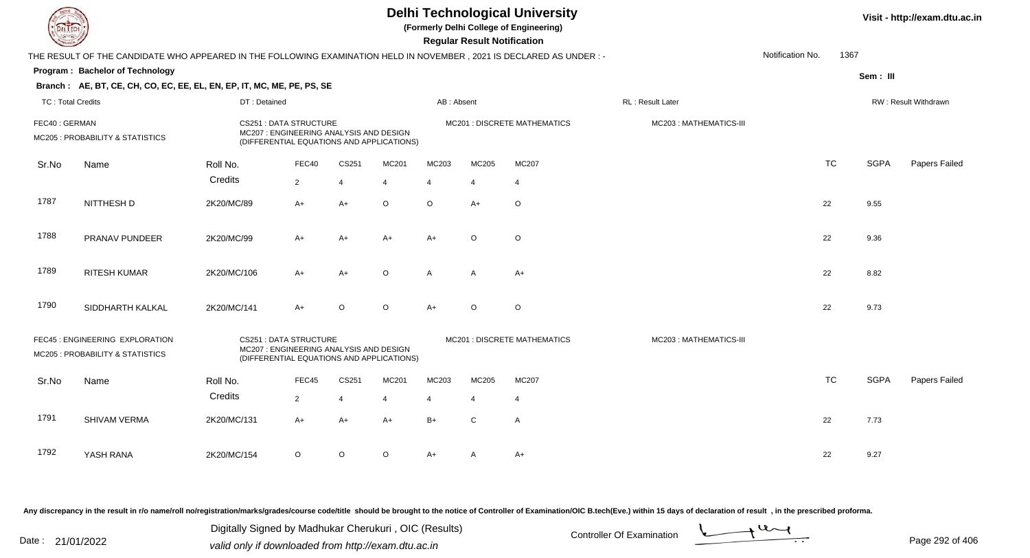|                          |                                                                                                                     |              |                                                                                                                      |                |         |                | <b>Regular Result Notification</b> | <b>Delhi Technological University</b><br>(Formerly Delhi College of Engineering) |                        |                  |           |             | Visit - http://exam.dtu.ac.in |
|--------------------------|---------------------------------------------------------------------------------------------------------------------|--------------|----------------------------------------------------------------------------------------------------------------------|----------------|---------|----------------|------------------------------------|----------------------------------------------------------------------------------|------------------------|------------------|-----------|-------------|-------------------------------|
|                          | THE RESULT OF THE CANDIDATE WHO APPEARED IN THE FOLLOWING EXAMINATION HELD IN NOVEMBER, 2021 IS DECLARED AS UNDER:- |              |                                                                                                                      |                |         |                |                                    |                                                                                  |                        | Notification No. | 1367      |             |                               |
|                          | Program: Bachelor of Technology                                                                                     |              |                                                                                                                      |                |         |                |                                    |                                                                                  |                        |                  |           | Sem: III    |                               |
|                          | Branch: AE, BT, CE, CH, CO, EC, EE, EL, EN, EP, IT, MC, ME, PE, PS, SE                                              |              |                                                                                                                      |                |         |                |                                    |                                                                                  |                        |                  |           |             |                               |
| <b>TC: Total Credits</b> |                                                                                                                     | DT: Detained |                                                                                                                      |                |         | AB: Absent     |                                    |                                                                                  | RL: Result Later       |                  |           |             | RW: Result Withdrawn          |
| FEC40: GERMAN            | MC205 : PROBABILITY & STATISTICS                                                                                    |              | <b>CS251: DATA STRUCTURE</b><br>MC207 : ENGINEERING ANALYSIS AND DESIGN<br>(DIFFERENTIAL EQUATIONS AND APPLICATIONS) |                |         |                |                                    | MC201 : DISCRETE MATHEMATICS                                                     | MC203: MATHEMATICS-III |                  |           |             |                               |
| Sr.No                    | Name                                                                                                                | Roll No.     | FEC40                                                                                                                | CS251          | MC201   | MC203          | MC205                              | MC207                                                                            |                        |                  | <b>TC</b> | <b>SGPA</b> | Papers Failed                 |
|                          |                                                                                                                     | Credits      | $\overline{2}$                                                                                                       | $\overline{4}$ | 4       | $\overline{4}$ | $\overline{4}$                     | $\overline{4}$                                                                   |                        |                  |           |             |                               |
| 1787                     | NITTHESH D                                                                                                          | 2K20/MC/89   | A+                                                                                                                   | $A+$           | O       | $\circ$        | $A+$                               | $\circ$                                                                          |                        |                  | 22        | 9.55        |                               |
| 1788                     | PRANAV PUNDEER                                                                                                      | 2K20/MC/99   | $A+$                                                                                                                 | $A+$           | $A+$    | $A+$           | $\circ$                            | $\circ$                                                                          |                        |                  | 22        | 9.36        |                               |
| 1789                     | <b>RITESH KUMAR</b>                                                                                                 | 2K20/MC/106  | A+                                                                                                                   | A+             | $\circ$ | $\mathsf{A}$   | $\mathsf{A}$                       | $A+$                                                                             |                        |                  | 22        | 8.82        |                               |
| 1790                     | SIDDHARTH KALKAL                                                                                                    | 2K20/MC/141  | $A+$                                                                                                                 | $\circ$        | $\circ$ | $A+$           | $\circ$                            | $\circ$                                                                          |                        |                  | 22        | 9.73        |                               |
|                          | FEC45 : ENGINEERING EXPLORATION<br>MC205 : PROBABILITY & STATISTICS                                                 |              | <b>CS251: DATA STRUCTURE</b><br>MC207: ENGINEERING ANALYSIS AND DESIGN<br>(DIFFERENTIAL EQUATIONS AND APPLICATIONS)  |                |         |                |                                    | MC201 : DISCRETE MATHEMATICS                                                     | MC203: MATHEMATICS-III |                  |           |             |                               |
| Sr.No                    | Name                                                                                                                | Roll No.     | FEC45                                                                                                                | CS251          | MC201   | MC203          | MC205                              | MC207                                                                            |                        |                  | <b>TC</b> | <b>SGPA</b> | Papers Failed                 |
|                          |                                                                                                                     | Credits      | $\overline{2}$                                                                                                       | $\overline{4}$ | 4       | $\overline{4}$ | $\overline{4}$                     | $\overline{4}$                                                                   |                        |                  |           |             |                               |
| 1791                     | SHIVAM VERMA                                                                                                        | 2K20/MC/131  | A+                                                                                                                   | A+             | A+      | $B+$           | C                                  | $\mathsf{A}$                                                                     |                        |                  | 22        | 7.73        |                               |
| 1792                     | YASH RANA                                                                                                           | 2K20/MC/154  | O                                                                                                                    | O              | O       | A+             | A                                  | A+                                                                               |                        |                  | 22        | 9.27        |                               |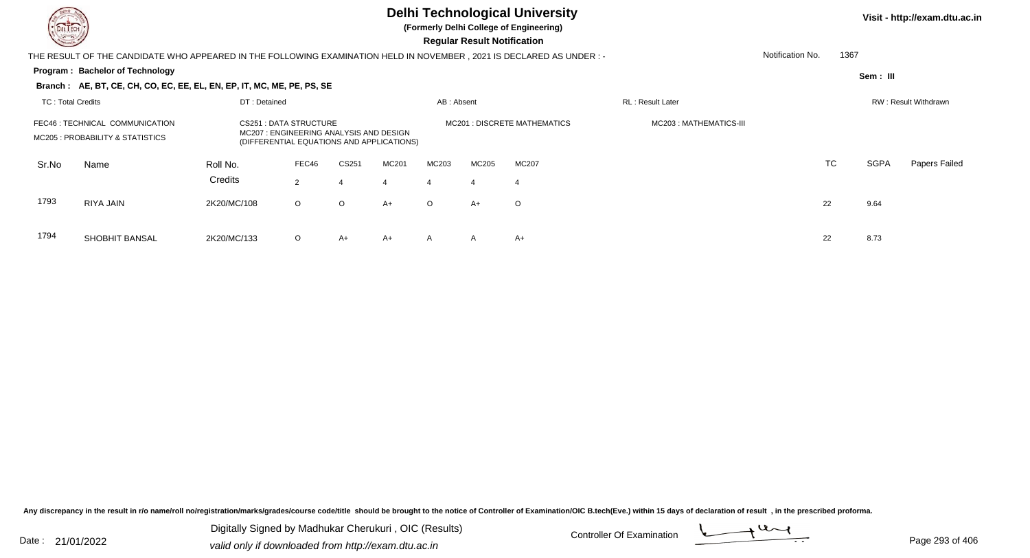

# **Delhi Technological University**

**(Formerly Delhi College of Engineering)**

 **Regular Result Notification**

| <b>Course /</b>          |                                                                                                                     |              |                                                                                                               |         |       |              | Regular Result Notification |                              |                        |                  |           |             |                      |
|--------------------------|---------------------------------------------------------------------------------------------------------------------|--------------|---------------------------------------------------------------------------------------------------------------|---------|-------|--------------|-----------------------------|------------------------------|------------------------|------------------|-----------|-------------|----------------------|
|                          | THE RESULT OF THE CANDIDATE WHO APPEARED IN THE FOLLOWING EXAMINATION HELD IN NOVEMBER, 2021 IS DECLARED AS UNDER:- |              |                                                                                                               |         |       |              |                             |                              |                        | Notification No. | 1367      |             |                      |
|                          | <b>Program: Bachelor of Technology</b>                                                                              |              |                                                                                                               |         |       |              |                             |                              |                        |                  |           | Sem: III    |                      |
|                          | Branch: AE, BT, CE, CH, CO, EC, EE, EL, EN, EP, IT, MC, ME, PE, PS, SE                                              |              |                                                                                                               |         |       |              |                             |                              |                        |                  |           |             |                      |
| <b>TC: Total Credits</b> |                                                                                                                     | DT: Detained |                                                                                                               |         |       | AB: Absent   |                             |                              | RL: Result Later       |                  |           |             | RW: Result Withdrawn |
|                          | FEC46 : TECHNICAL COMMUNICATION<br>MC205 : PROBABILITY & STATISTICS                                                 |              | CS251 : DATA STRUCTURE<br>MC207: ENGINEERING ANALYSIS AND DESIGN<br>(DIFFERENTIAL EQUATIONS AND APPLICATIONS) |         |       |              |                             | MC201 : DISCRETE MATHEMATICS | MC203: MATHEMATICS-III |                  |           |             |                      |
| Sr.No                    | Name                                                                                                                | Roll No.     | FEC46                                                                                                         | CS251   | MC201 | MC203        | MC205                       | MC207                        |                        |                  | <b>TC</b> | <b>SGPA</b> | Papers Failed        |
|                          |                                                                                                                     | Credits      | 2                                                                                                             |         | 4     | 4            | 4                           | 4                            |                        |                  |           |             |                      |
| 1793                     | RIYA JAIN                                                                                                           | 2K20/MC/108  | $\circ$                                                                                                       | $\circ$ | $A+$  | $\circ$      | $A+$                        | $\circ$                      |                        | 22               |           | 9.64        |                      |
| 1794                     | <b>SHOBHIT BANSAL</b>                                                                                               | 2K20/MC/133  | $\circ$                                                                                                       | A+      | $A+$  | $\mathsf{A}$ | $\mathsf{A}$                | $A+$                         |                        | 22               |           | 8.73        |                      |

Any discrepancy in the result in r/o name/roll no/registration/marks/grades/course code/title should be brought to the notice of Controller of Examination/OIC B.tech(Eve.) within 15 days of declaration of result, in the pr

Date : 21/01/2022 Digital Digital of Microsofted Chemical Controller Of Examination Determination Page 293 of 40 Digitally Signed by Madhukar Cherukuri , OIC (Results)

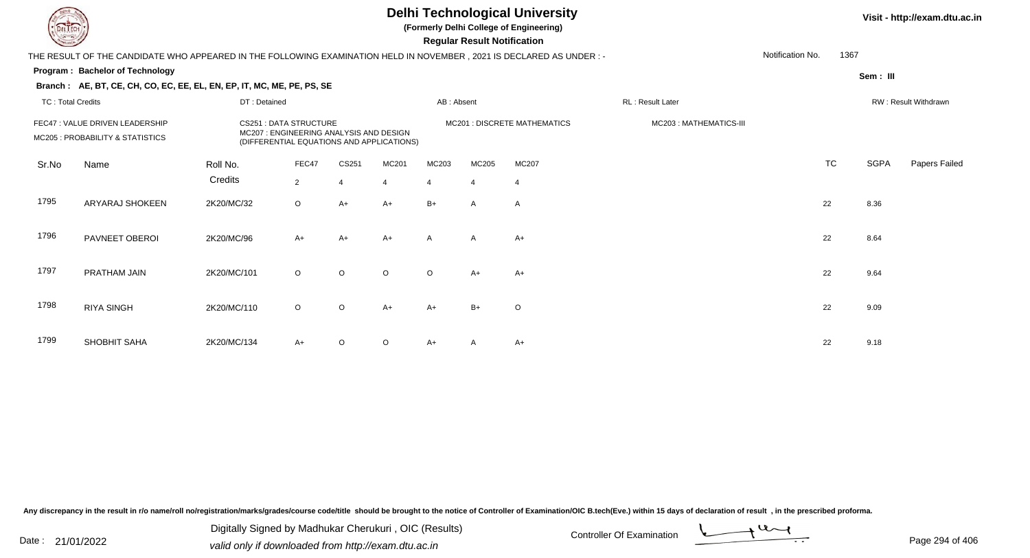## **Delhi Technological University**

**(Formerly Delhi College of Engineering)**

 **Regular Result Notification**

| $\overline{\phantom{0}}$ |                                                                                                                     |                                                                        |                                           |                |                |              |                |                              |                        |                  |           |             |                      |
|--------------------------|---------------------------------------------------------------------------------------------------------------------|------------------------------------------------------------------------|-------------------------------------------|----------------|----------------|--------------|----------------|------------------------------|------------------------|------------------|-----------|-------------|----------------------|
|                          | THE RESULT OF THE CANDIDATE WHO APPEARED IN THE FOLLOWING EXAMINATION HELD IN NOVEMBER, 2021 IS DECLARED AS UNDER:- |                                                                        |                                           |                |                |              |                |                              |                        | Notification No. | 1367      |             |                      |
|                          | Program: Bachelor of Technology                                                                                     |                                                                        |                                           |                |                |              |                |                              |                        |                  |           | Sem: III    |                      |
|                          | Branch: AE, BT, CE, CH, CO, EC, EE, EL, EN, EP, IT, MC, ME, PE, PS, SE                                              |                                                                        |                                           |                |                |              |                |                              |                        |                  |           |             |                      |
| <b>TC: Total Credits</b> |                                                                                                                     | DT: Detained                                                           |                                           |                |                | AB: Absent   |                |                              | RL: Result Later       |                  |           |             | RW: Result Withdrawn |
|                          | FEC47 : VALUE DRIVEN LEADERSHIP<br>MC205 : PROBABILITY & STATISTICS                                                 | <b>CS251: DATA STRUCTURE</b><br>MC207: ENGINEERING ANALYSIS AND DESIGN | (DIFFERENTIAL EQUATIONS AND APPLICATIONS) |                |                |              |                | MC201 : DISCRETE MATHEMATICS | MC203: MATHEMATICS-III |                  |           |             |                      |
| Sr.No                    | Name                                                                                                                | Roll No.                                                               | FEC47                                     | CS251          | MC201          | MC203        | MC205          | MC207                        |                        |                  | <b>TC</b> | <b>SGPA</b> | Papers Failed        |
|                          |                                                                                                                     | Credits                                                                | $\overline{2}$                            | $\overline{4}$ | $\overline{4}$ | 4            | $\overline{4}$ | -4                           |                        |                  |           |             |                      |
| 1795                     | ARYARAJ SHOKEEN                                                                                                     | 2K20/MC/32                                                             | $\circ$                                   | $A+$           | $A+$           | $B+$         | $\mathsf{A}$   | A                            |                        |                  | 22        | 8.36        |                      |
| 1796                     | PAVNEET OBEROI                                                                                                      | 2K20/MC/96                                                             | $A+$                                      | A+             | $A+$           | $\mathsf{A}$ | $\mathsf{A}$   | A+                           |                        |                  | 22        | 8.64        |                      |
| 1797                     | PRATHAM JAIN                                                                                                        | 2K20/MC/101                                                            | $\circ$                                   | $\circ$        | $\circ$        | $\circ$      | $A+$           | $A+$                         |                        |                  | 22        | 9.64        |                      |
| 1798                     | <b>RIYA SINGH</b>                                                                                                   | 2K20/MC/110                                                            | $\circ$                                   | $\circ$        | $A+$           | $A+$         | $B+$           | $\circ$                      |                        |                  | 22        | 9.09        |                      |
| 1799                     | SHOBHIT SAHA                                                                                                        | 2K20/MC/134                                                            | $A+$                                      | $\circ$        | $\circ$        | A+           | A              | A+                           |                        |                  | 22        | 9.18        |                      |

Any discrepancy in the result in r/o name/roll no/registration/marks/grades/course code/title should be brought to the notice of Controller of Examination/OIC B.tech(Eve.) within 15 days of declaration of result, in the pr

Date : 21/01/2022 Valid only if downloaded from http://exam.dtu.ac.in<br>valid only if downloaded from http://exam.dtu.ac.in Digitally Signed by Madhukar Cherukuri , OIC (Results)

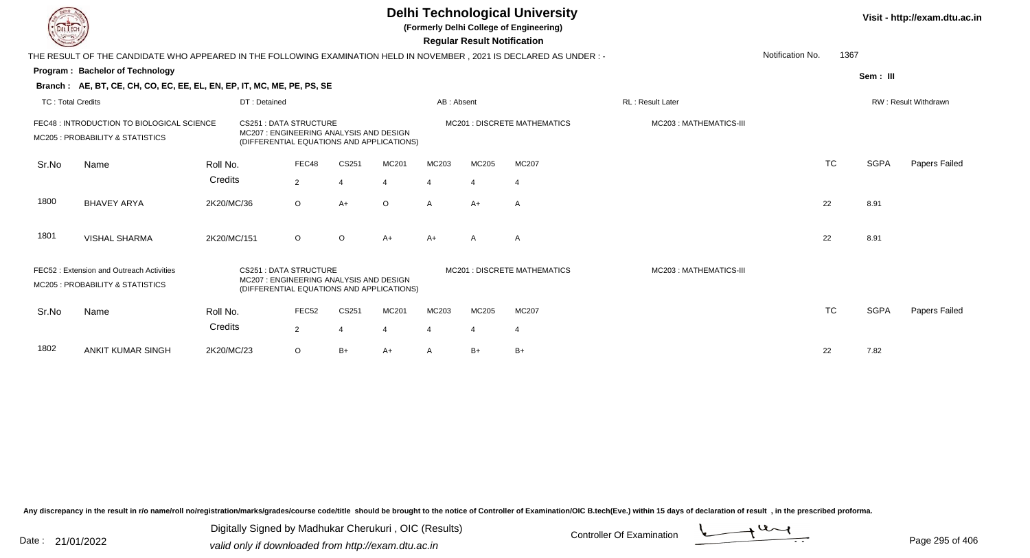|                          |                                                                                                                       |             |                                                                                                                      |                |                       |         |                       | <b>Regular Result Notification</b> | <b>Delhi Technological University</b><br>(Formerly Delhi College of Engineering) |                          |                  |           |             | Visit - http://exam.dtu.ac.in |
|--------------------------|-----------------------------------------------------------------------------------------------------------------------|-------------|----------------------------------------------------------------------------------------------------------------------|----------------|-----------------------|---------|-----------------------|------------------------------------|----------------------------------------------------------------------------------|--------------------------|------------------|-----------|-------------|-------------------------------|
|                          | THE RESULT OF THE CANDIDATE WHO APPEARED IN THE FOLLOWING EXAMINATION HELD IN NOVEMBER , 2021 IS DECLARED AS UNDER :- |             |                                                                                                                      |                |                       |         |                       |                                    |                                                                                  |                          | Notification No. | 1367      |             |                               |
|                          | Program: Bachelor of Technology                                                                                       |             |                                                                                                                      |                |                       |         |                       |                                    |                                                                                  |                          |                  |           | Sem: III    |                               |
|                          | Branch: AE, BT, CE, CH, CO, EC, EE, EL, EN, EP, IT, MC, ME, PE, PS, SE                                                |             |                                                                                                                      |                |                       |         |                       |                                    |                                                                                  |                          |                  |           |             |                               |
| <b>TC: Total Credits</b> |                                                                                                                       |             | DT: Detained                                                                                                         |                |                       |         | AB: Absent            |                                    |                                                                                  | <b>RL</b> : Result Later |                  |           |             | <b>RW: Result Withdrawn</b>   |
|                          | FEC48 : INTRODUCTION TO BIOLOGICAL SCIENCE<br>MC205 : PROBABILITY & STATISTICS                                        |             | <b>CS251: DATA STRUCTURE</b><br>MC207: ENGINEERING ANALYSIS AND DESIGN<br>(DIFFERENTIAL EQUATIONS AND APPLICATIONS)  |                |                       |         |                       |                                    | <b>MC201: DISCRETE MATHEMATICS</b>                                               | MC203: MATHEMATICS-III   |                  |           |             |                               |
| Sr.No                    | Name                                                                                                                  | Roll No.    |                                                                                                                      | FEC48          | CS251                 | MC201   | MC203                 | MC205                              | MC207                                                                            |                          |                  | <b>TC</b> | <b>SGPA</b> | Papers Failed                 |
|                          |                                                                                                                       | Credits     |                                                                                                                      | $\overline{2}$ | $\boldsymbol{\Delta}$ |         |                       | $\boldsymbol{\Delta}$              | $\overline{4}$                                                                   |                          |                  |           |             |                               |
| 1800                     | <b>BHAVEY ARYA</b>                                                                                                    | 2K20/MC/36  |                                                                                                                      | $\circ$        | $A+$                  | $\circ$ | $\mathsf{A}$          | $A+$                               | A                                                                                |                          |                  | 22        | 8.91        |                               |
| 1801                     | <b>VISHAL SHARMA</b>                                                                                                  | 2K20/MC/151 |                                                                                                                      | $\circ$        | $\circ$               | $A+$    | $A+$                  | A                                  | A                                                                                |                          |                  | 22        | 8.91        |                               |
|                          | FEC52: Extension and Outreach Activities<br>MC205 : PROBABILITY & STATISTICS                                          |             | <b>CS251: DATA STRUCTURE</b><br>MC207 : ENGINEERING ANALYSIS AND DESIGN<br>(DIFFERENTIAL EQUATIONS AND APPLICATIONS) |                |                       |         |                       |                                    | <b>MC201 : DISCRETE MATHEMATICS</b>                                              | MC203: MATHEMATICS-III   |                  |           |             |                               |
| Sr.No                    | Name                                                                                                                  | Roll No.    |                                                                                                                      | FEC52          | CS251                 | MC201   | MC203                 | MC205                              | MC207                                                                            |                          |                  | <b>TC</b> | <b>SGPA</b> | Papers Failed                 |
|                          |                                                                                                                       | Credits     |                                                                                                                      | $\overline{2}$ | $\overline{4}$        |         | $\boldsymbol{\Delta}$ | $\overline{4}$                     | $\overline{4}$                                                                   |                          |                  |           |             |                               |
| 1802                     | <b>ANKIT KUMAR SINGH</b>                                                                                              | 2K20/MC/23  |                                                                                                                      | $\circ$        | $B+$                  | A+      | A                     | $B+$                               | $B+$                                                                             |                          |                  | 22        | 7.82        |                               |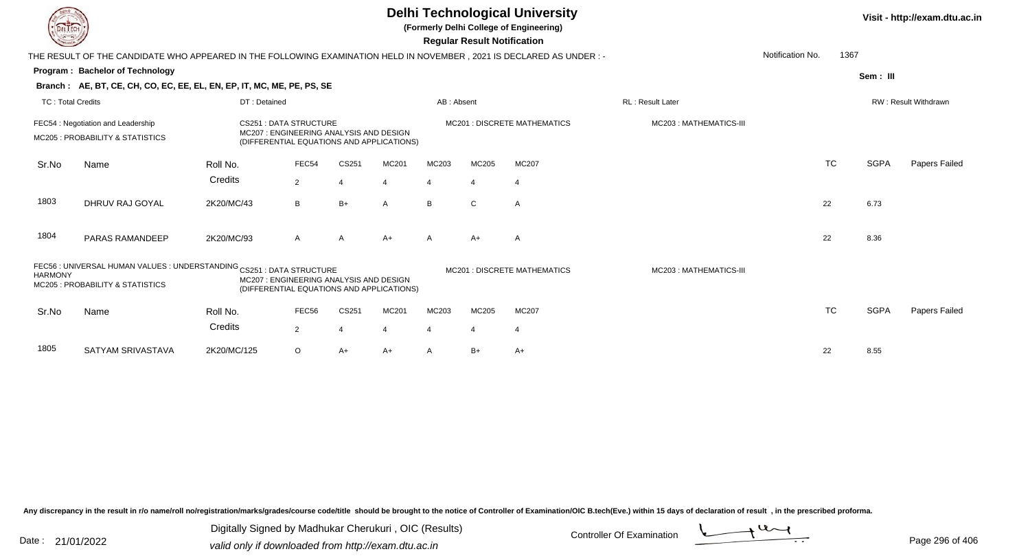|                          |                                                                                                                      |              |                                                                                                                     |                |       | <b>Delhi Technological University</b><br>(Formerly Delhi College of Engineering)<br><b>Regular Result Notification</b> |                | Visit - http://exam.dtu.ac.in       |                        |                  |           |             |                      |
|--------------------------|----------------------------------------------------------------------------------------------------------------------|--------------|---------------------------------------------------------------------------------------------------------------------|----------------|-------|------------------------------------------------------------------------------------------------------------------------|----------------|-------------------------------------|------------------------|------------------|-----------|-------------|----------------------|
|                          | THE RESULT OF THE CANDIDATE WHO APPEARED IN THE FOLLOWING EXAMINATION HELD IN NOVEMBER, 2021 IS DECLARED AS UNDER :- |              |                                                                                                                     |                |       |                                                                                                                        |                |                                     |                        | Notification No. | 1367      |             |                      |
|                          | Program: Bachelor of Technology                                                                                      |              |                                                                                                                     |                |       |                                                                                                                        |                |                                     |                        |                  |           | Sem: III    |                      |
|                          | Branch: AE, BT, CE, CH, CO, EC, EE, EL, EN, EP, IT, MC, ME, PE, PS, SE                                               |              |                                                                                                                     |                |       |                                                                                                                        |                |                                     |                        |                  |           |             |                      |
| <b>TC: Total Credits</b> |                                                                                                                      | DT: Detained |                                                                                                                     |                |       | AB: Absent                                                                                                             |                |                                     | RL: Result Later       |                  |           |             | RW: Result Withdrawn |
|                          | FEC54: Negotiation and Leadership<br>MC205: PROBABILITY & STATISTICS                                                 |              | <b>CS251: DATA STRUCTURE</b><br>MC207: ENGINEERING ANALYSIS AND DESIGN<br>(DIFFERENTIAL EQUATIONS AND APPLICATIONS) |                |       |                                                                                                                        |                | <b>MC201: DISCRETE MATHEMATICS</b>  | MC203: MATHEMATICS-III |                  |           |             |                      |
| Sr.No                    | Name                                                                                                                 | Roll No.     | FEC54                                                                                                               | CS251          | MC201 | MC203                                                                                                                  | MC205          | MC207                               |                        |                  | <b>TC</b> | <b>SGPA</b> | Papers Failed        |
|                          |                                                                                                                      | Credits      | $\overline{2}$                                                                                                      |                |       | 4                                                                                                                      | 4              | $\overline{4}$                      |                        |                  |           |             |                      |
| 1803                     | DHRUV RAJ GOYAL                                                                                                      | 2K20/MC/43   | B                                                                                                                   | $B+$           | A     | B                                                                                                                      | $\mathbf{C}$   | A                                   |                        | 22               |           | 6.73        |                      |
| 1804                     | PARAS RAMANDEEP                                                                                                      | 2K20/MC/93   | A                                                                                                                   | A              | $A+$  | A                                                                                                                      | $A+$           | A                                   |                        | 22               |           | 8.36        |                      |
| <b>HARMONY</b>           | FEC56 : UNIVERSAL HUMAN VALUES : UNDERSTANDING CS251 : DATA STRUCTURE<br>MC205 : PROBABILITY & STATISTICS            |              | MC207 : ENGINEERING ANALYSIS AND DESIGN<br>(DIFFERENTIAL EQUATIONS AND APPLICATIONS)                                |                |       |                                                                                                                        |                | <b>MC201 : DISCRETE MATHEMATICS</b> | MC203: MATHEMATICS-III |                  |           |             |                      |
| Sr.No                    | Name                                                                                                                 | Roll No.     | FEC56                                                                                                               | CS251          | MC201 | MC203                                                                                                                  | MC205          | MC207                               |                        |                  | <b>TC</b> | <b>SGPA</b> | Papers Failed        |
|                          |                                                                                                                      | Credits      | $\overline{2}$                                                                                                      | $\overline{4}$ |       |                                                                                                                        | $\overline{4}$ | $\overline{4}$                      |                        |                  |           |             |                      |
| 1805                     | SATYAM SRIVASTAVA                                                                                                    | 2K20/MC/125  | $\circ$                                                                                                             | $A+$           | A+    | A                                                                                                                      | $B+$           | $A+$                                |                        | 22               |           | 8.55        |                      |

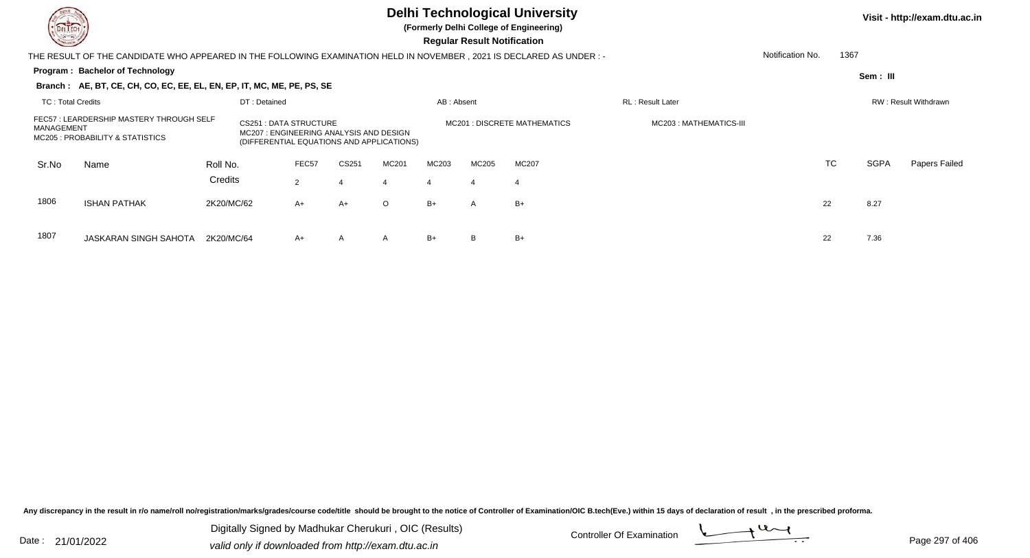## **Delhi Technological University**

**(Formerly Delhi College of Engineering)**

 **Regular Result Notification**

| <b>Courses A</b>         |                                                                                                                     |            |                                                                                                                     |                |       |         |            | Regular Result Notification |                                    |                          |                  |           |             |                             |
|--------------------------|---------------------------------------------------------------------------------------------------------------------|------------|---------------------------------------------------------------------------------------------------------------------|----------------|-------|---------|------------|-----------------------------|------------------------------------|--------------------------|------------------|-----------|-------------|-----------------------------|
|                          | THE RESULT OF THE CANDIDATE WHO APPEARED IN THE FOLLOWING EXAMINATION HELD IN NOVEMBER, 2021 IS DECLARED AS UNDER:- |            |                                                                                                                     |                |       |         |            |                             |                                    |                          | Notification No. | 1367      |             |                             |
|                          | Program: Bachelor of Technology                                                                                     |            |                                                                                                                     |                |       |         |            |                             |                                    |                          |                  |           | Sem: III    |                             |
|                          | Branch: AE, BT, CE, CH, CO, EC, EE, EL, EN, EP, IT, MC, ME, PE, PS, SE                                              |            |                                                                                                                     |                |       |         |            |                             |                                    |                          |                  |           |             |                             |
| <b>TC: Total Credits</b> |                                                                                                                     |            | DT: Detained                                                                                                        |                |       |         | AB: Absent |                             |                                    | <b>RL</b> : Result Later |                  |           |             | <b>RW: Result Withdrawn</b> |
| MANAGEMENT               | FEC57 : LEARDERSHIP MASTERY THROUGH SELF<br>MC205 : PROBABILITY & STATISTICS                                        |            | <b>CS251: DATA STRUCTURE</b><br>MC207: ENGINEERING ANALYSIS AND DESIGN<br>(DIFFERENTIAL EQUATIONS AND APPLICATIONS) |                |       |         |            |                             | <b>MC201: DISCRETE MATHEMATICS</b> | MC203: MATHEMATICS-III   |                  |           |             |                             |
| Sr.No                    | Name                                                                                                                | Roll No.   |                                                                                                                     | FEC57          | CS251 | MC201   | MC203      | MC205                       | <b>MC207</b>                       |                          |                  | <b>TC</b> | <b>SGPA</b> | Papers Failed               |
|                          |                                                                                                                     | Credits    |                                                                                                                     | $\overline{2}$ |       |         | 4          |                             | 4                                  |                          |                  |           |             |                             |
| 1806                     | <b>ISHAN PATHAK</b>                                                                                                 | 2K20/MC/62 |                                                                                                                     | $A+$           | A+    | $\circ$ | $B+$       | $\mathsf{A}$                | $B+$                               |                          | 22               |           | 8.27        |                             |
| 1807                     | JASKARAN SINGH SAHOTA                                                                                               | 2K20/MC/64 |                                                                                                                     | $A+$           | A     | A       | $B+$       |                             | $B+$                               |                          | 22               |           | 7.36        |                             |

Any discrepancy in the result in r/o name/roll no/registration/marks/grades/course code/title should be brought to the notice of Controller of Examination/OIC B.tech(Eve.) within 15 days of declaration of result, in the pr

Date : 21/01/2022 Digital Digital of Microsofted Chemical Controller Of Examination Determination Page 297 of 40 Digitally Signed by Madhukar Cherukuri , OIC (Results)

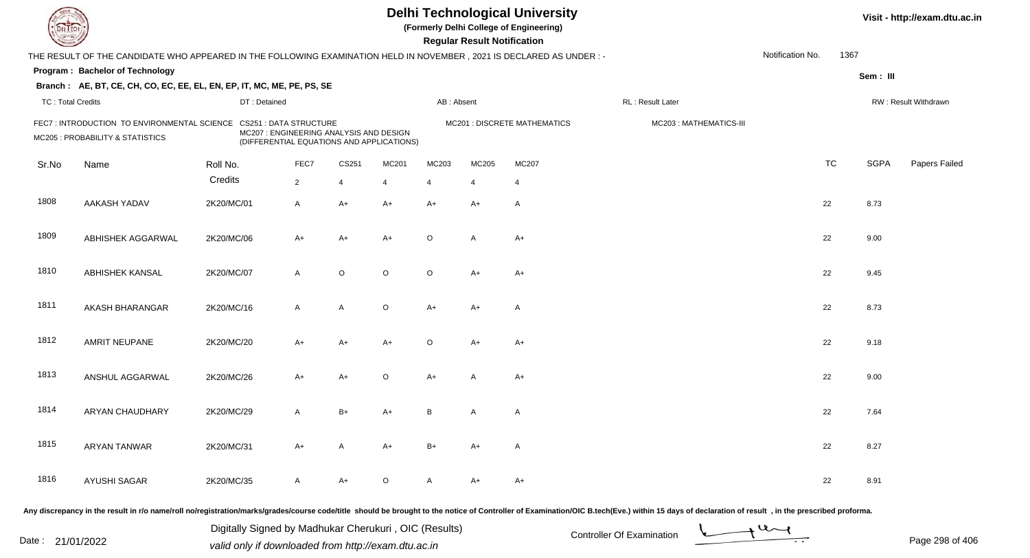| DEL TEC                  |                                                                                                                      |              |                                                                                                                |             |         |                | <b>Regular Result Notification</b> | <b>Delhi Technological University</b><br>(Formerly Delhi College of Engineering) |                                                                                                                                                                                                                                |                  |           |             | Visit - http://exam.dtu.ac.in |
|--------------------------|----------------------------------------------------------------------------------------------------------------------|--------------|----------------------------------------------------------------------------------------------------------------|-------------|---------|----------------|------------------------------------|----------------------------------------------------------------------------------|--------------------------------------------------------------------------------------------------------------------------------------------------------------------------------------------------------------------------------|------------------|-----------|-------------|-------------------------------|
|                          | THE RESULT OF THE CANDIDATE WHO APPEARED IN THE FOLLOWING EXAMINATION HELD IN NOVEMBER, 2021 IS DECLARED AS UNDER :- |              |                                                                                                                |             |         |                |                                    |                                                                                  |                                                                                                                                                                                                                                | Notification No. | 1367      |             |                               |
|                          | Program: Bachelor of Technology                                                                                      |              |                                                                                                                |             |         |                |                                    |                                                                                  |                                                                                                                                                                                                                                |                  |           | Sem: III    |                               |
|                          | Branch: AE, BT, CE, CH, CO, EC, EE, EL, EN, EP, IT, MC, ME, PE, PS, SE                                               |              |                                                                                                                |             |         |                |                                    |                                                                                  |                                                                                                                                                                                                                                |                  |           |             |                               |
| <b>TC: Total Credits</b> |                                                                                                                      | DT: Detained |                                                                                                                |             |         | AB: Absent     |                                    |                                                                                  | RL : Result Later                                                                                                                                                                                                              |                  |           |             | RW: Result Withdrawn          |
|                          | FEC7: INTRODUCTION TO ENVIRONMENTAL SCIENCE<br>MC205 : PROBABILITY & STATISTICS                                      |              | CS251 : DATA STRUCTURE<br>MC207 : ENGINEERING ANALYSIS AND DESIGN<br>(DIFFERENTIAL EQUATIONS AND APPLICATIONS) |             |         |                |                                    | MC201 : DISCRETE MATHEMATICS                                                     | MC203: MATHEMATICS-III                                                                                                                                                                                                         |                  |           |             |                               |
| Sr.No                    | Name                                                                                                                 | Roll No.     | FEC7                                                                                                           | CS251       | MC201   | MC203          | MC205                              | MC207                                                                            |                                                                                                                                                                                                                                |                  | <b>TC</b> | <b>SGPA</b> | Papers Failed                 |
|                          |                                                                                                                      | Credits      | $\overline{2}$                                                                                                 | 4           | 4       | $\overline{4}$ | 4                                  | 4                                                                                |                                                                                                                                                                                                                                |                  |           |             |                               |
| 1808                     | <b>AAKASH YADAV</b>                                                                                                  | 2K20/MC/01   | $\mathsf{A}$                                                                                                   | $A+$        | $A+$    | $A+$           | $A+$                               | $\mathsf{A}$                                                                     |                                                                                                                                                                                                                                |                  | 22        | 8.73        |                               |
| 1809                     | ABHISHEK AGGARWAL                                                                                                    | 2K20/MC/06   | $A+$                                                                                                           | $A+$        | $A+$    | $\circ$        | $\overline{A}$                     | $A+$                                                                             |                                                                                                                                                                                                                                |                  | 22        | 9.00        |                               |
| 1810                     | <b>ABHISHEK KANSAL</b>                                                                                               | 2K20/MC/07   | $\mathsf{A}$                                                                                                   | $\mathsf O$ | $\circ$ | $\circ$        | $A+$                               | $A+$                                                                             |                                                                                                                                                                                                                                |                  | 22        | 9.45        |                               |
| 1811                     | AKASH BHARANGAR                                                                                                      | 2K20/MC/16   | $\mathsf{A}$                                                                                                   | Α           | $\circ$ | $A+$           | $A+$                               | $\mathsf{A}$                                                                     |                                                                                                                                                                                                                                |                  | 22        | 8.73        |                               |
| 1812                     | AMRIT NEUPANE                                                                                                        | 2K20/MC/20   | $A+$                                                                                                           | $A+$        | $A+$    | O              | $A+$                               | $A+$                                                                             |                                                                                                                                                                                                                                |                  | 22        | 9.18        |                               |
| 1813                     | ANSHUL AGGARWAL                                                                                                      | 2K20/MC/26   | $A+$                                                                                                           | $A+$        | $\circ$ | A+             |                                    | $A+$                                                                             |                                                                                                                                                                                                                                |                  | 22        | 9.00        |                               |
| 1814                     | ARYAN CHAUDHARY                                                                                                      | 2K20/MC/29   | A                                                                                                              | $B+$        | A+      | B              | A                                  | A                                                                                |                                                                                                                                                                                                                                |                  | 22        | 7.64        |                               |
| 1815                     | <b>ARYAN TANWAR</b>                                                                                                  | 2K20/MC/31   | $A+$                                                                                                           | Α           | A+      | $B+$           | $A+$                               | A                                                                                |                                                                                                                                                                                                                                |                  | 22        | 8.27        |                               |
| 1816                     | <b>AYUSHI SAGAR</b>                                                                                                  | 2K20/MC/35   | A                                                                                                              | A+          | $\circ$ | A              | $A+$                               | $A+$                                                                             |                                                                                                                                                                                                                                |                  | 22        | 8.91        |                               |
|                          |                                                                                                                      |              |                                                                                                                |             |         |                |                                    |                                                                                  | Any discrepancy in the result in r/o name/roll no/registration/marks/grades/course code/title should be brought to the notice of Controller of Examination/OIC B.tech(Eve.) within 15 days of declaration of result , in the p |                  |           |             |                               |

Date : 21/01/2022 Digital Digital of Microsofted Chemical Controller Of Examination Determination Page 298 of 40 Digitally Signed by Madhukar Cherukuri , OIC (Results)

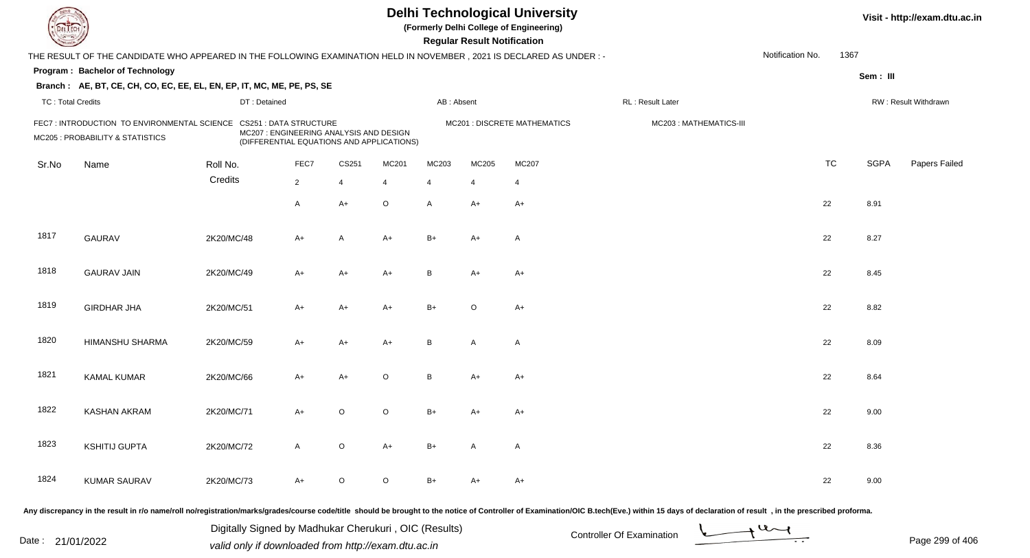| DEL TECI                 |                                                                                                                      |              |                                                                                                                       |                |                |                | <b>Regular Result Notification</b> | <b>Delhi Technological University</b><br>(Formerly Delhi College of Engineering) |                                                                                                                                                                                                                                |                  |           |             | Visit - http://exam.dtu.ac.in |
|--------------------------|----------------------------------------------------------------------------------------------------------------------|--------------|-----------------------------------------------------------------------------------------------------------------------|----------------|----------------|----------------|------------------------------------|----------------------------------------------------------------------------------|--------------------------------------------------------------------------------------------------------------------------------------------------------------------------------------------------------------------------------|------------------|-----------|-------------|-------------------------------|
|                          | THE RESULT OF THE CANDIDATE WHO APPEARED IN THE FOLLOWING EXAMINATION HELD IN NOVEMBER, 2021 IS DECLARED AS UNDER :- |              |                                                                                                                       |                |                |                |                                    |                                                                                  |                                                                                                                                                                                                                                | Notification No. | 1367      |             |                               |
|                          | Program: Bachelor of Technology                                                                                      |              |                                                                                                                       |                |                |                |                                    |                                                                                  |                                                                                                                                                                                                                                |                  |           | Sem: III    |                               |
|                          | Branch: AE, BT, CE, CH, CO, EC, EE, EL, EN, EP, IT, MC, ME, PE, PS, SE                                               |              |                                                                                                                       |                |                |                |                                    |                                                                                  |                                                                                                                                                                                                                                |                  |           |             |                               |
| <b>TC: Total Credits</b> |                                                                                                                      | DT: Detained |                                                                                                                       |                |                | AB: Absent     |                                    |                                                                                  | RL: Result Later                                                                                                                                                                                                               |                  |           |             | RW: Result Withdrawn          |
|                          | FEC7: INTRODUCTION TO ENVIRONMENTAL SCIENCE<br>MC205 : PROBABILITY & STATISTICS                                      |              | <b>CS251 : DATA STRUCTURE</b><br>MC207 : ENGINEERING ANALYSIS AND DESIGN<br>(DIFFERENTIAL EQUATIONS AND APPLICATIONS) |                |                |                |                                    | MC201 : DISCRETE MATHEMATICS                                                     | MC203: MATHEMATICS-III                                                                                                                                                                                                         |                  |           |             |                               |
| Sr.No                    | Name                                                                                                                 | Roll No.     | FEC7                                                                                                                  | CS251          | MC201          | MC203          | MC205                              | MC207                                                                            |                                                                                                                                                                                                                                |                  | <b>TC</b> | <b>SGPA</b> | Papers Failed                 |
|                          |                                                                                                                      | Credits      | $\overline{2}$                                                                                                        | $\overline{4}$ | $\overline{4}$ | $\overline{4}$ | $\overline{4}$                     | 4                                                                                |                                                                                                                                                                                                                                |                  |           |             |                               |
|                          |                                                                                                                      |              | A                                                                                                                     | $A+$           | $\circ$        | A              | $A+$                               | $A+$                                                                             |                                                                                                                                                                                                                                |                  | 22        | 8.91        |                               |
| 1817                     | <b>GAURAV</b>                                                                                                        | 2K20/MC/48   | $A+$                                                                                                                  | A              | $A+$           | $B+$           | $A+$                               | $\mathsf{A}$                                                                     |                                                                                                                                                                                                                                |                  | 22        | 8.27        |                               |
| 1818                     | <b>GAURAV JAIN</b>                                                                                                   | 2K20/MC/49   | $A+$                                                                                                                  | $A+$           | $A+$           | B              | $A+$                               | $A+$                                                                             |                                                                                                                                                                                                                                |                  | 22        | 8.45        |                               |
| 1819                     | <b>GIRDHAR JHA</b>                                                                                                   | 2K20/MC/51   | $A+$                                                                                                                  | $A+$           | $A+$           | $B+$           | $\circ$                            | $A+$                                                                             |                                                                                                                                                                                                                                |                  | 22        | 8.82        |                               |
| 1820                     | HIMANSHU SHARMA                                                                                                      | 2K20/MC/59   | $A+$                                                                                                                  | $A+$           | $A+$           | B              | $\overline{A}$                     | A                                                                                |                                                                                                                                                                                                                                |                  | 22        | 8.09        |                               |
| 1821                     | <b>KAMAL KUMAR</b>                                                                                                   | 2K20/MC/66   | $A+$                                                                                                                  | $A+$           | $\circ$        | B              | $A+$                               | $A+$                                                                             |                                                                                                                                                                                                                                |                  | 22        | 8.64        |                               |
| 1822                     | KASHAN AKRAM                                                                                                         | 2K20/MC/71   | $A+$                                                                                                                  | O              | $\circ$        | $B+$           | A+                                 | $A+$                                                                             |                                                                                                                                                                                                                                |                  | 22        | 9.00        |                               |
| 1823                     | <b>KSHITIJ GUPTA</b>                                                                                                 | 2K20/MC/72   | $\mathsf{A}$                                                                                                          | $\circ$        | A+             | $B+$           | A                                  | A                                                                                |                                                                                                                                                                                                                                |                  | 22        | 8.36        |                               |
| 1824                     | <b>KUMAR SAURAV</b>                                                                                                  | 2K20/MC/73   | $A+$                                                                                                                  | $\circ$        | $\circ$        | $B+$           | A+                                 | $A+$                                                                             |                                                                                                                                                                                                                                |                  | 22        | 9.00        |                               |
|                          |                                                                                                                      |              |                                                                                                                       |                |                |                |                                    |                                                                                  | Any discrepancy in the result in r/o name/roll no/registration/marks/grades/course code/title should be brought to the notice of Controller of Examination/OIC B.tech(Eve.) within 15 days of declaration of result , in the p |                  |           |             |                               |

Date : 21/01/2022 Digital Digital of Microsofted Chemical Controller Of Examination Determination Page 299 of 40 Digitally Signed by Madhukar Cherukuri , OIC (Results)

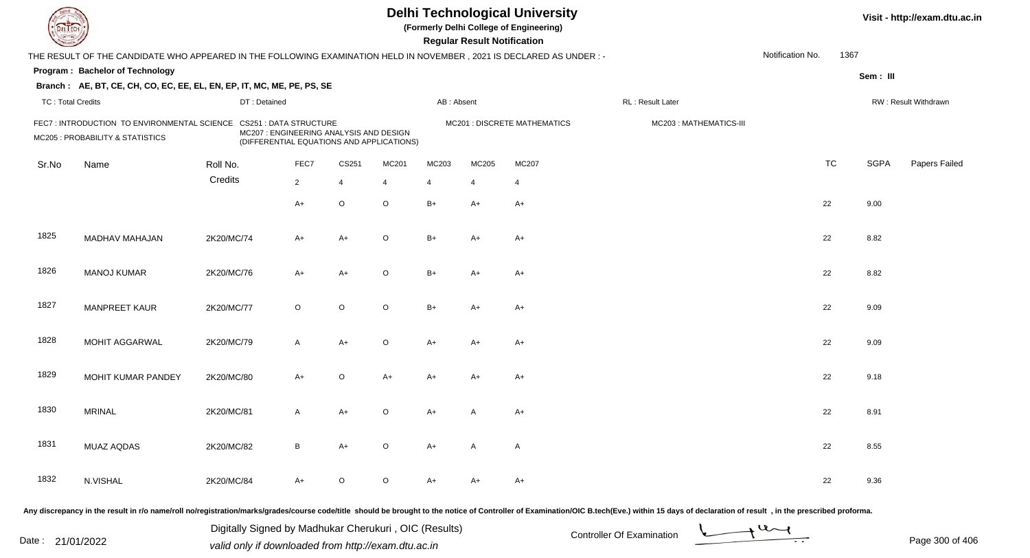| DEL TECI                 |                                                                                                                      |            |                                                                                                                       |                |                |                | <b>Regular Result Notification</b> | <b>Delhi Technological University</b><br>(Formerly Delhi College of Engineering) |                                                                                                                                                                                                                                |                  |           |             | Visit - http://exam.dtu.ac.in |
|--------------------------|----------------------------------------------------------------------------------------------------------------------|------------|-----------------------------------------------------------------------------------------------------------------------|----------------|----------------|----------------|------------------------------------|----------------------------------------------------------------------------------|--------------------------------------------------------------------------------------------------------------------------------------------------------------------------------------------------------------------------------|------------------|-----------|-------------|-------------------------------|
|                          | THE RESULT OF THE CANDIDATE WHO APPEARED IN THE FOLLOWING EXAMINATION HELD IN NOVEMBER, 2021 IS DECLARED AS UNDER :- |            |                                                                                                                       |                |                |                |                                    |                                                                                  |                                                                                                                                                                                                                                | Notification No. | 1367      |             |                               |
|                          | Program: Bachelor of Technology                                                                                      |            |                                                                                                                       |                |                |                |                                    |                                                                                  |                                                                                                                                                                                                                                |                  |           | Sem: III    |                               |
|                          | Branch: AE, BT, CE, CH, CO, EC, EE, EL, EN, EP, IT, MC, ME, PE, PS, SE                                               |            |                                                                                                                       |                |                |                |                                    |                                                                                  |                                                                                                                                                                                                                                |                  |           |             |                               |
| <b>TC: Total Credits</b> |                                                                                                                      |            | DT: Detained                                                                                                          |                |                | AB: Absent     |                                    |                                                                                  | RL: Result Later                                                                                                                                                                                                               |                  |           |             | RW: Result Withdrawn          |
|                          | FEC7: INTRODUCTION TO ENVIRONMENTAL SCIENCE<br>MC205 : PROBABILITY & STATISTICS                                      |            | <b>CS251 : DATA STRUCTURE</b><br>MC207 : ENGINEERING ANALYSIS AND DESIGN<br>(DIFFERENTIAL EQUATIONS AND APPLICATIONS) |                |                |                |                                    | MC201 : DISCRETE MATHEMATICS                                                     | MC203: MATHEMATICS-III                                                                                                                                                                                                         |                  |           |             |                               |
| Sr.No                    | Name                                                                                                                 | Roll No.   | FEC7                                                                                                                  | CS251          | MC201          | MC203          | MC205                              | MC207                                                                            |                                                                                                                                                                                                                                |                  | <b>TC</b> | <b>SGPA</b> | Papers Failed                 |
|                          |                                                                                                                      | Credits    | $\overline{2}$                                                                                                        | $\overline{4}$ | $\overline{4}$ | $\overline{4}$ | 4                                  | $\overline{4}$                                                                   |                                                                                                                                                                                                                                |                  |           |             |                               |
|                          |                                                                                                                      |            | $A+$                                                                                                                  | $\circ$        | $\circ$        | $B+$           | $A+$                               | $A+$                                                                             |                                                                                                                                                                                                                                |                  | 22        | 9.00        |                               |
| 1825                     | MADHAV MAHAJAN                                                                                                       | 2K20/MC/74 | $A+$                                                                                                                  | A+             | $\circ$        | $B+$           | $A+$                               | $A+$                                                                             |                                                                                                                                                                                                                                |                  | 22        | 8.82        |                               |
| 1826                     | <b>MANOJ KUMAR</b>                                                                                                   | 2K20/MC/76 | $A+$                                                                                                                  | $A+$           | $\circ$        | $B+$           | $A+$                               | $A+$                                                                             |                                                                                                                                                                                                                                |                  | 22        | 8.82        |                               |
| 1827                     | <b>MANPREET KAUR</b>                                                                                                 | 2K20/MC/77 | $\circ$                                                                                                               | $\circ$        | $\circ$        | $B+$           | $A+$                               | $A+$                                                                             |                                                                                                                                                                                                                                |                  | 22        | 9.09        |                               |
| 1828                     | <b>MOHIT AGGARWAL</b>                                                                                                | 2K20/MC/79 | $\mathsf{A}$                                                                                                          | $A+$           | $\circ$        | $A+$           | $A+$                               | $A+$                                                                             |                                                                                                                                                                                                                                |                  | 22        | 9.09        |                               |
| 1829                     | MOHIT KUMAR PANDEY                                                                                                   | 2K20/MC/80 | $A+$                                                                                                                  | $\circ$        | $A+$           | $A+$           | A+                                 | $A+$                                                                             |                                                                                                                                                                                                                                |                  | 22        | 9.18        |                               |
| 1830                     | <b>MRINAL</b>                                                                                                        | 2K20/MC/81 | A                                                                                                                     | $A+$           | $\circ$        | A+             |                                    | $A+$                                                                             |                                                                                                                                                                                                                                |                  | 22        | 8.91        |                               |
| 1831                     | MUAZ AQDAS                                                                                                           | 2K20/MC/82 | B                                                                                                                     | A+             | $\circ$        | A+             | A                                  | A                                                                                |                                                                                                                                                                                                                                |                  | 22        | 8.55        |                               |
| 1832                     | N.VISHAL                                                                                                             | 2K20/MC/84 | $A+$                                                                                                                  | $\circ$        | $\circ$        | A+             | A+                                 | $A+$                                                                             |                                                                                                                                                                                                                                |                  | 22        | 9.36        |                               |
|                          |                                                                                                                      |            |                                                                                                                       |                |                |                |                                    |                                                                                  | Any discrepancy in the result in r/o name/roll no/registration/marks/grades/course code/title should be brought to the notice of Controller of Examination/OIC B.tech(Eve.) within 15 days of declaration of result , in the p |                  |           |             |                               |

Date : 21/01/2022 Digital Digital of Microsofted Chemical Controller Of Examination Determination Page 300 of 40 Digitally Signed by Madhukar Cherukuri , OIC (Results)

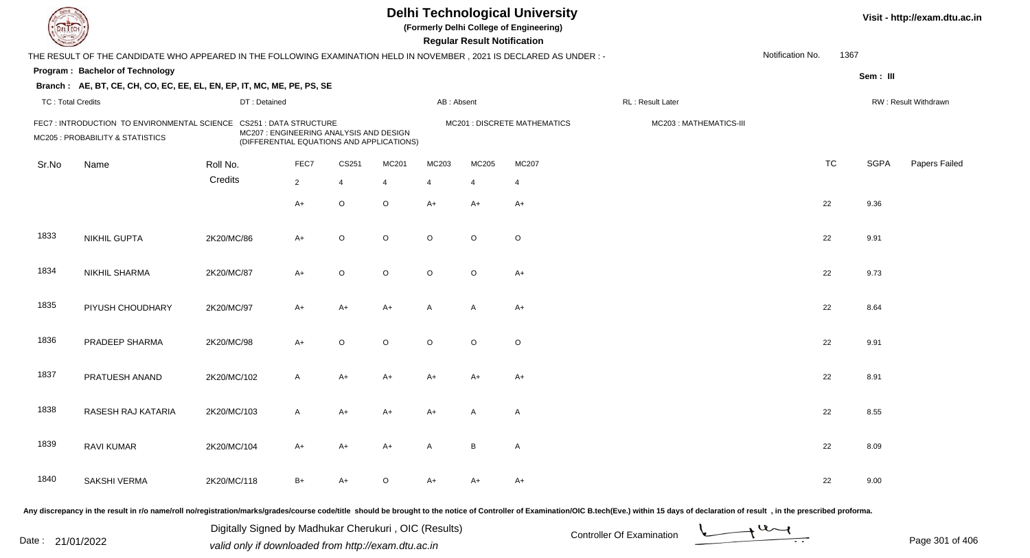| DEL TECI                 |                                                                                                                      |              |                                                                                                                       |                |                |                | <b>Regular Result Notification</b> | <b>Delhi Technological University</b><br>(Formerly Delhi College of Engineering) |                                                                                                                                                                                                                                |                  |           |             | Visit - http://exam.dtu.ac.in |
|--------------------------|----------------------------------------------------------------------------------------------------------------------|--------------|-----------------------------------------------------------------------------------------------------------------------|----------------|----------------|----------------|------------------------------------|----------------------------------------------------------------------------------|--------------------------------------------------------------------------------------------------------------------------------------------------------------------------------------------------------------------------------|------------------|-----------|-------------|-------------------------------|
|                          | THE RESULT OF THE CANDIDATE WHO APPEARED IN THE FOLLOWING EXAMINATION HELD IN NOVEMBER, 2021 IS DECLARED AS UNDER :- |              |                                                                                                                       |                |                |                |                                    |                                                                                  |                                                                                                                                                                                                                                | Notification No. | 1367      |             |                               |
|                          | Program: Bachelor of Technology                                                                                      |              |                                                                                                                       |                |                |                |                                    |                                                                                  |                                                                                                                                                                                                                                |                  |           | Sem: III    |                               |
|                          | Branch: AE, BT, CE, CH, CO, EC, EE, EL, EN, EP, IT, MC, ME, PE, PS, SE                                               |              |                                                                                                                       |                |                |                |                                    |                                                                                  |                                                                                                                                                                                                                                |                  |           |             |                               |
| <b>TC: Total Credits</b> |                                                                                                                      | DT: Detained |                                                                                                                       |                |                | AB: Absent     |                                    |                                                                                  | RL: Result Later                                                                                                                                                                                                               |                  |           |             | RW: Result Withdrawn          |
|                          | FEC7: INTRODUCTION TO ENVIRONMENTAL SCIENCE<br>MC205 : PROBABILITY & STATISTICS                                      |              | <b>CS251 : DATA STRUCTURE</b><br>MC207 : ENGINEERING ANALYSIS AND DESIGN<br>(DIFFERENTIAL EQUATIONS AND APPLICATIONS) |                |                |                |                                    | MC201 : DISCRETE MATHEMATICS                                                     | MC203: MATHEMATICS-III                                                                                                                                                                                                         |                  |           |             |                               |
| Sr.No                    | Name                                                                                                                 | Roll No.     | FEC7                                                                                                                  | CS251          | MC201          | MC203          | MC205                              | MC207                                                                            |                                                                                                                                                                                                                                |                  | <b>TC</b> | <b>SGPA</b> | Papers Failed                 |
|                          |                                                                                                                      | Credits      | $\overline{2}$                                                                                                        | $\overline{4}$ | $\overline{4}$ | $\overline{4}$ | 4                                  | $\overline{4}$                                                                   |                                                                                                                                                                                                                                |                  |           |             |                               |
|                          |                                                                                                                      |              | $A+$                                                                                                                  | $\circ$        | $\circ$        | $A+$           | $A+$                               | $A+$                                                                             |                                                                                                                                                                                                                                |                  | 22        | 9.36        |                               |
| 1833                     | <b>NIKHIL GUPTA</b>                                                                                                  | 2K20/MC/86   | $A+$                                                                                                                  | $\circ$        | $\circ$        | $\circ$        | $\circ$                            | $\circ$                                                                          |                                                                                                                                                                                                                                |                  | 22        | 9.91        |                               |
| 1834                     | <b>NIKHIL SHARMA</b>                                                                                                 | 2K20/MC/87   | $A+$                                                                                                                  | $\circ$        | $\circ$        | $\circ$        | $\circ$                            | $A+$                                                                             |                                                                                                                                                                                                                                |                  | 22        | 9.73        |                               |
| 1835                     | PIYUSH CHOUDHARY                                                                                                     | 2K20/MC/97   | $A+$                                                                                                                  | $A+$           | $A+$           | A              | A                                  | $A+$                                                                             |                                                                                                                                                                                                                                |                  | 22        | 8.64        |                               |
| 1836                     | PRADEEP SHARMA                                                                                                       | 2K20/MC/98   | $A+$                                                                                                                  | $\circ$        | $\circ$        | $\circ$        | $\circ$                            | $\circ$                                                                          |                                                                                                                                                                                                                                |                  | 22        | 9.91        |                               |
| 1837                     | PRATUESH ANAND                                                                                                       | 2K20/MC/102  | $\mathsf{A}$                                                                                                          | A+             | $A+$           | $A+$           | A+                                 | $A+$                                                                             |                                                                                                                                                                                                                                |                  | 22        | 8.91        |                               |
| 1838                     | RASESH RAJ KATARIA                                                                                                   | 2K20/MC/103  | A                                                                                                                     | A+             | A+             | A+             |                                    | A                                                                                |                                                                                                                                                                                                                                |                  | 22        | 8.55        |                               |
| 1839                     | <b>RAVI KUMAR</b>                                                                                                    | 2K20/MC/104  | A+                                                                                                                    | $A+$           | A+             | A              | B                                  | A                                                                                |                                                                                                                                                                                                                                |                  | 22        | 8.09        |                               |
| 1840                     | SAKSHI VERMA                                                                                                         | 2K20/MC/118  | $B+$                                                                                                                  | A+             | $\circ$        | A+             | A+                                 | $A+$                                                                             |                                                                                                                                                                                                                                |                  | 22        | 9.00        |                               |
|                          |                                                                                                                      |              |                                                                                                                       |                |                |                |                                    |                                                                                  | Any discrepancy in the result in r/o name/roll no/registration/marks/grades/course code/title should be brought to the notice of Controller of Examination/OIC B.tech(Eve.) within 15 days of declaration of result , in the p |                  |           |             |                               |

Date : 21/01/2022 Digital Digital of Microsofted Chemical Controller Of Examination Determination Page 301 of 40 Digitally Signed by Madhukar Cherukuri , OIC (Results)

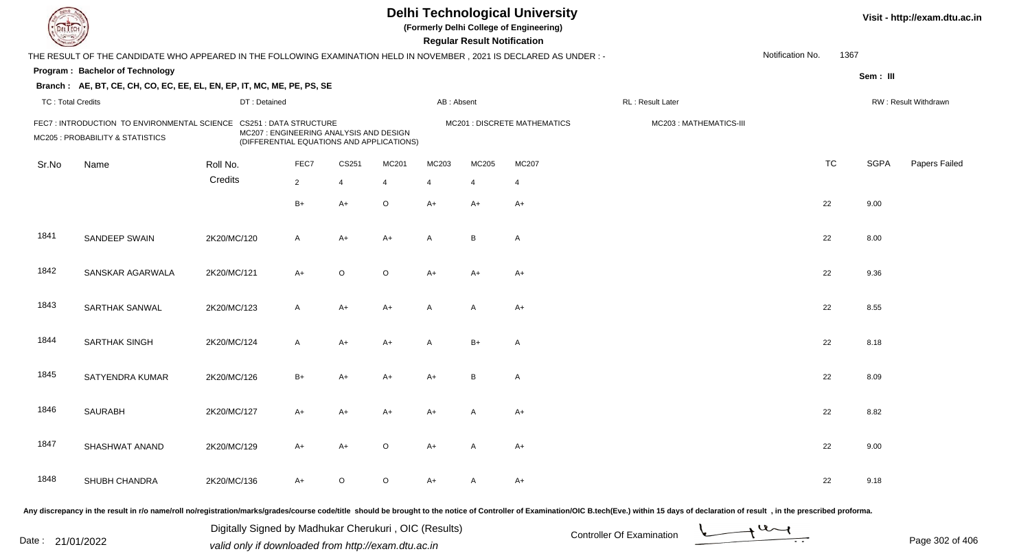| DEL TECI                 |                                                                                                                      |             |                                                                                                                       |                |                |                | <b>Regular Result Notification</b> | <b>Delhi Technological University</b><br>(Formerly Delhi College of Engineering) |                                                                                                                                                                                                                                |                  |           |             | Visit - http://exam.dtu.ac.in |
|--------------------------|----------------------------------------------------------------------------------------------------------------------|-------------|-----------------------------------------------------------------------------------------------------------------------|----------------|----------------|----------------|------------------------------------|----------------------------------------------------------------------------------|--------------------------------------------------------------------------------------------------------------------------------------------------------------------------------------------------------------------------------|------------------|-----------|-------------|-------------------------------|
|                          | THE RESULT OF THE CANDIDATE WHO APPEARED IN THE FOLLOWING EXAMINATION HELD IN NOVEMBER, 2021 IS DECLARED AS UNDER :- |             |                                                                                                                       |                |                |                |                                    |                                                                                  |                                                                                                                                                                                                                                | Notification No. | 1367      |             |                               |
|                          | Program: Bachelor of Technology                                                                                      |             |                                                                                                                       |                |                |                |                                    |                                                                                  |                                                                                                                                                                                                                                |                  |           | Sem: III    |                               |
|                          | Branch: AE, BT, CE, CH, CO, EC, EE, EL, EN, EP, IT, MC, ME, PE, PS, SE                                               |             |                                                                                                                       |                |                |                |                                    |                                                                                  |                                                                                                                                                                                                                                |                  |           |             |                               |
| <b>TC: Total Credits</b> |                                                                                                                      |             | DT: Detained                                                                                                          |                |                | AB: Absent     |                                    |                                                                                  | RL: Result Later                                                                                                                                                                                                               |                  |           |             | RW: Result Withdrawn          |
|                          | FEC7: INTRODUCTION TO ENVIRONMENTAL SCIENCE<br>MC205 : PROBABILITY & STATISTICS                                      |             | <b>CS251 : DATA STRUCTURE</b><br>MC207 : ENGINEERING ANALYSIS AND DESIGN<br>(DIFFERENTIAL EQUATIONS AND APPLICATIONS) |                |                |                |                                    | MC201 : DISCRETE MATHEMATICS                                                     | MC203: MATHEMATICS-III                                                                                                                                                                                                         |                  |           |             |                               |
| Sr.No                    | Name                                                                                                                 | Roll No.    | FEC7                                                                                                                  | CS251          | MC201          | MC203          | MC205                              | MC207                                                                            |                                                                                                                                                                                                                                |                  | <b>TC</b> | <b>SGPA</b> | Papers Failed                 |
|                          |                                                                                                                      | Credits     | $\overline{2}$                                                                                                        | $\overline{4}$ | $\overline{4}$ | $\overline{4}$ | 4                                  | $\overline{4}$                                                                   |                                                                                                                                                                                                                                |                  |           |             |                               |
|                          |                                                                                                                      |             | $B+$                                                                                                                  | $A+$           | $\circ$        | $A+$           | $A+$                               | $A+$                                                                             |                                                                                                                                                                                                                                |                  | 22        | 9.00        |                               |
| 1841                     | SANDEEP SWAIN                                                                                                        | 2K20/MC/120 | $\mathsf{A}$                                                                                                          | A+             | $A+$           | A              | B                                  | A                                                                                |                                                                                                                                                                                                                                |                  | 22        | 8.00        |                               |
| 1842                     | SANSKAR AGARWALA                                                                                                     | 2K20/MC/121 | $A+$                                                                                                                  | $\circ$        | $\circ$        | $A+$           | $A+$                               | $A+$                                                                             |                                                                                                                                                                                                                                |                  | 22        | 9.36        |                               |
| 1843                     | SARTHAK SANWAL                                                                                                       | 2K20/MC/123 | $\mathsf{A}$                                                                                                          | $A+$           | $A+$           | A              | $\overline{A}$                     | $A+$                                                                             |                                                                                                                                                                                                                                |                  | 22        | 8.55        |                               |
| 1844                     | <b>SARTHAK SINGH</b>                                                                                                 | 2K20/MC/124 | $\mathsf{A}$                                                                                                          | $A+$           | A+             | A              | $B+$                               | A                                                                                |                                                                                                                                                                                                                                |                  | 22        | 8.18        |                               |
| 1845                     | SATYENDRA KUMAR                                                                                                      | 2K20/MC/126 | $B+$                                                                                                                  | A+             | $A+$           | $A+$           | B                                  | A                                                                                |                                                                                                                                                                                                                                |                  | 22        | 8.09        |                               |
| 1846                     | <b>SAURABH</b>                                                                                                       | 2K20/MC/127 | A+                                                                                                                    | A+             | A+             | A+             |                                    | $A+$                                                                             |                                                                                                                                                                                                                                |                  | 22        | 8.82        |                               |
| 1847                     | SHASHWAT ANAND                                                                                                       | 2K20/MC/129 | A+                                                                                                                    | $A+$           | $\circ$        | A+             | A                                  | A+                                                                               |                                                                                                                                                                                                                                |                  | 22        | 9.00        |                               |
| 1848                     | SHUBH CHANDRA                                                                                                        | 2K20/MC/136 | $A+$                                                                                                                  | $\circ$        | $\circ$        | A+             | A                                  | $A+$                                                                             |                                                                                                                                                                                                                                |                  | 22        | 9.18        |                               |
|                          |                                                                                                                      |             |                                                                                                                       |                |                |                |                                    |                                                                                  | Any discrepancy in the result in r/o name/roll no/registration/marks/grades/course code/title should be brought to the notice of Controller of Examination/OIC B.tech(Eve.) within 15 days of declaration of result , in the p |                  |           |             |                               |

Date : 21/01/2022 Digital Digital of Microsofted Chemical Controller Of Examination Determination Page 302 of 40 Digitally Signed by Madhukar Cherukuri , OIC (Results)

Page 302 of 406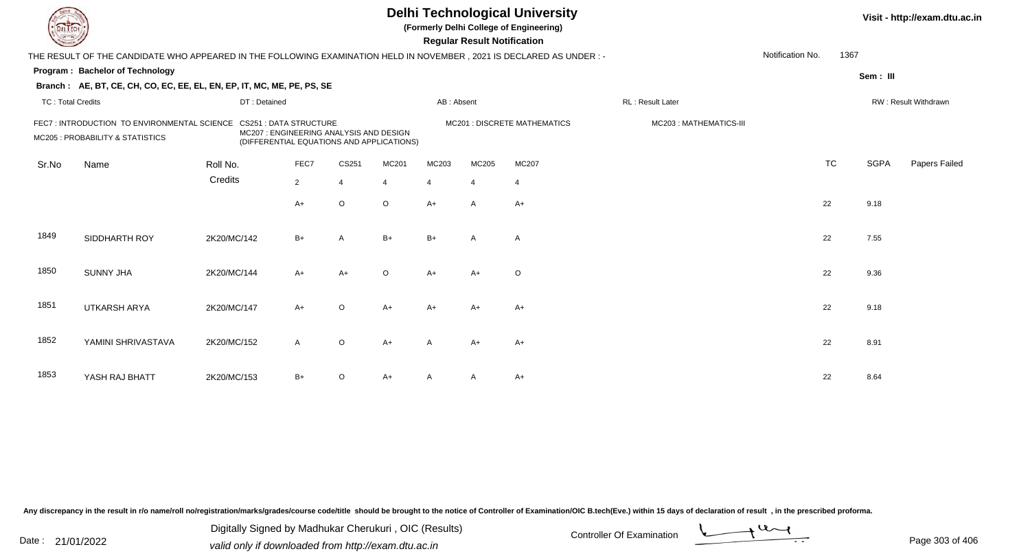| L ECH                    |                                                                                                                      |              |                                                                                                                      |                |                |                | <b>Regular Result Notification</b> | <b>Delhi Technological University</b><br>(Formerly Delhi College of Engineering) |                        |                  |           |             | Visit - http://exam.dtu.ac.in |
|--------------------------|----------------------------------------------------------------------------------------------------------------------|--------------|----------------------------------------------------------------------------------------------------------------------|----------------|----------------|----------------|------------------------------------|----------------------------------------------------------------------------------|------------------------|------------------|-----------|-------------|-------------------------------|
|                          | THE RESULT OF THE CANDIDATE WHO APPEARED IN THE FOLLOWING EXAMINATION HELD IN NOVEMBER, 2021 IS DECLARED AS UNDER :- |              |                                                                                                                      |                |                |                |                                    |                                                                                  |                        | Notification No. | 1367      |             |                               |
|                          | <b>Program: Bachelor of Technology</b>                                                                               |              |                                                                                                                      |                |                |                |                                    |                                                                                  |                        |                  |           | Sem: III    |                               |
|                          | Branch: AE, BT, CE, CH, CO, EC, EE, EL, EN, EP, IT, MC, ME, PE, PS, SE                                               |              |                                                                                                                      |                |                |                |                                    |                                                                                  |                        |                  |           |             |                               |
| <b>TC: Total Credits</b> |                                                                                                                      | DT: Detained |                                                                                                                      |                |                | AB: Absent     |                                    |                                                                                  | RL : Result Later      |                  |           |             | RW: Result Withdrawn          |
|                          | FEC7: INTRODUCTION TO ENVIRONMENTAL SCIENCE<br>MC205 : PROBABILITY & STATISTICS                                      |              | <b>CS251: DATA STRUCTURE</b><br>MC207 : ENGINEERING ANALYSIS AND DESIGN<br>(DIFFERENTIAL EQUATIONS AND APPLICATIONS) |                |                |                |                                    | <b>MC201 : DISCRETE MATHEMATICS</b>                                              | MC203: MATHEMATICS-III |                  |           |             |                               |
| Sr.No                    | Name                                                                                                                 | Roll No.     | FEC7                                                                                                                 | CS251          | MC201          | MC203          | MC205                              | MC207                                                                            |                        |                  | <b>TC</b> | <b>SGPA</b> | Papers Failed                 |
|                          |                                                                                                                      | Credits      | $\overline{2}$                                                                                                       | $\overline{4}$ | $\overline{4}$ | $\overline{4}$ | $\overline{4}$                     | $\overline{4}$                                                                   |                        |                  |           |             |                               |
|                          |                                                                                                                      |              | A+                                                                                                                   | $\circ$        | $\circ$        | $A+$           | $\mathsf{A}$                       | $A+$                                                                             |                        |                  | 22        | 9.18        |                               |
| 1849                     | SIDDHARTH ROY                                                                                                        | 2K20/MC/142  | $B+$                                                                                                                 | A              | $B+$           | $B+$           | A                                  | $\overline{A}$                                                                   |                        |                  | 22        | 7.55        |                               |
| 1850                     | <b>SUNNY JHA</b>                                                                                                     | 2K20/MC/144  | $A+$                                                                                                                 | $A+$           | $\circ$        | $A+$           | $A+$                               | $\circ$                                                                          |                        |                  | 22        | 9.36        |                               |
| 1851                     | <b>UTKARSH ARYA</b>                                                                                                  | 2K20/MC/147  | $A+$                                                                                                                 | $\mathsf O$    | $A+$           | $A+$           | A+                                 | $A+$                                                                             |                        |                  | 22        | 9.18        |                               |
| 1852                     | YAMINI SHRIVASTAVA                                                                                                   | 2K20/MC/152  | $\mathsf{A}$                                                                                                         | $\mathsf O$    | $A+$           | A              | $A+$                               | $A+$                                                                             |                        |                  | 22        | 8.91        |                               |
| 1853                     | YASH RAJ BHATT                                                                                                       | 2K20/MC/153  | $B+$                                                                                                                 | O              | $A+$           |                | A                                  | $A+$                                                                             |                        |                  | 22        | 8.64        |                               |

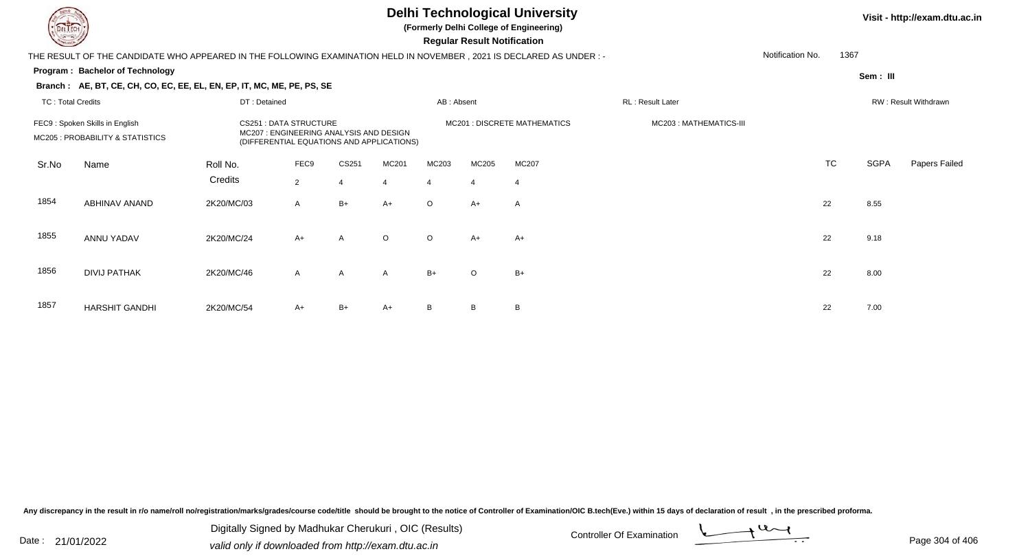## **Delhi Technological University**

**(Formerly Delhi College of Engineering)**

 **Regular Result Notification**

| <b>Controller Comments</b> |                                                                                                                        |              |                                                                                                               |       |         |            | Regular Result Notification |                              |                         |                  |           |             |                      |
|----------------------------|------------------------------------------------------------------------------------------------------------------------|--------------|---------------------------------------------------------------------------------------------------------------|-------|---------|------------|-----------------------------|------------------------------|-------------------------|------------------|-----------|-------------|----------------------|
|                            | THE RESULT OF THE CANDIDATE WHO APPEARED IN THE FOLLOWING EXAMINATION HELD IN NOVEMBER , 2021 IS DECLARED AS UNDER : - |              |                                                                                                               |       |         |            |                             |                              |                         | Notification No. | 1367      |             |                      |
|                            | Program: Bachelor of Technology                                                                                        |              |                                                                                                               |       |         |            |                             |                              |                         |                  |           | Sem: III    |                      |
|                            | Branch: AE, BT, CE, CH, CO, EC, EE, EL, EN, EP, IT, MC, ME, PE, PS, SE                                                 |              |                                                                                                               |       |         |            |                             |                              |                         |                  |           |             |                      |
| <b>TC: Total Credits</b>   |                                                                                                                        | DT: Detained |                                                                                                               |       |         | AB: Absent |                             |                              | <b>RL: Result Later</b> |                  |           |             | RW: Result Withdrawn |
|                            | FEC9: Spoken Skills in English<br>MC205 : PROBABILITY & STATISTICS                                                     |              | CS251 : DATA STRUCTURE<br>MC207: ENGINEERING ANALYSIS AND DESIGN<br>(DIFFERENTIAL EQUATIONS AND APPLICATIONS) |       |         |            |                             | MC201 : DISCRETE MATHEMATICS | MC203: MATHEMATICS-III  |                  |           |             |                      |
| Sr.No                      | Name                                                                                                                   | Roll No.     | FEC9                                                                                                          | CS251 | MC201   | MC203      | MC205                       | MC207                        |                         |                  | <b>TC</b> | <b>SGPA</b> | Papers Failed        |
|                            |                                                                                                                        | Credits      | $\overline{2}$                                                                                                |       | 4       | 4          | $\overline{4}$              | -4                           |                         |                  |           |             |                      |
| 1854                       | ABHINAV ANAND                                                                                                          | 2K20/MC/03   | $\mathsf{A}$                                                                                                  | $B+$  | $A+$    | $\circ$    | $A+$                        | $\mathsf{A}$                 |                         |                  | 22        | 8.55        |                      |
| 1855                       | ANNU YADAV                                                                                                             | 2K20/MC/24   | $A+$                                                                                                          | A     | $\circ$ | $\circ$    | $A+$                        | $A+$                         |                         |                  | 22        | 9.18        |                      |
| 1856                       | <b>DIVIJ PATHAK</b>                                                                                                    | 2K20/MC/46   | $\mathsf{A}$                                                                                                  | A     | A       | $B+$       | $\circ$                     | $B+$                         |                         |                  | 22        | 8.00        |                      |
| 1857                       | <b>HARSHIT GANDHI</b>                                                                                                  | 2K20/MC/54   | A+                                                                                                            | B+    | $A+$    | B          | B                           | B                            |                         |                  | 22        | 7.00        |                      |

Any discrepancy in the result in r/o name/roll no/registration/marks/grades/course code/title should be brought to the notice of Controller of Examination/OIC B.tech(Eve.) within 15 days of declaration of result, in the pr

Date : 21/01/2022 Digital Digital of Microsofted Chemical Controller Of Examination Determination Page 304 of 40 Digitally Signed by Madhukar Cherukuri , OIC (Results)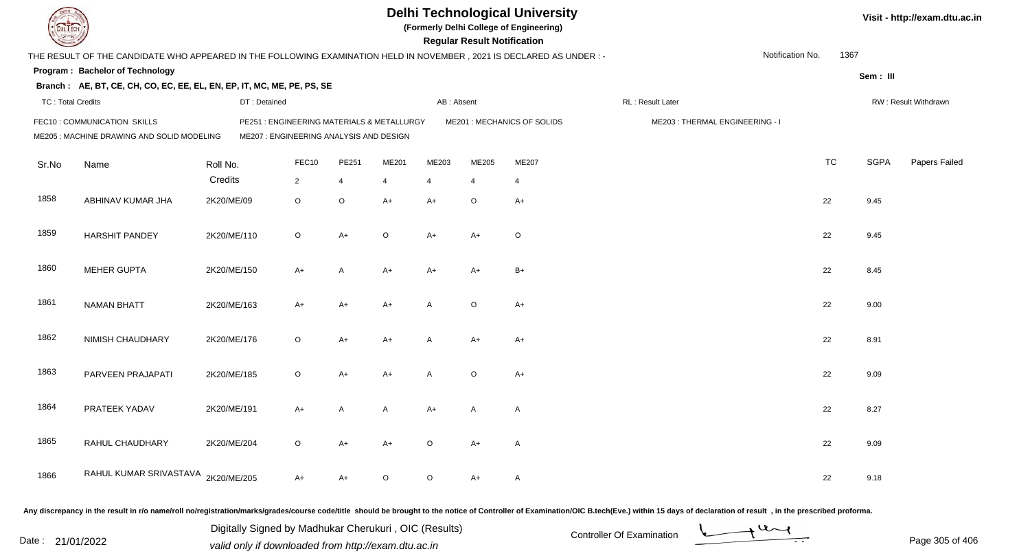|                          |                                                                                                                      |             |                                                                                       |                |                |                |                | <b>Regular Result Notification</b> | <b>Delhi Technological University</b><br>(Formerly Delhi College of Engineering) |                                |                  |           |             | Visit - http://exam.dtu.ac.in |
|--------------------------|----------------------------------------------------------------------------------------------------------------------|-------------|---------------------------------------------------------------------------------------|----------------|----------------|----------------|----------------|------------------------------------|----------------------------------------------------------------------------------|--------------------------------|------------------|-----------|-------------|-------------------------------|
|                          | THE RESULT OF THE CANDIDATE WHO APPEARED IN THE FOLLOWING EXAMINATION HELD IN NOVEMBER, 2021 IS DECLARED AS UNDER :- |             |                                                                                       |                |                |                |                |                                    |                                                                                  |                                | Notification No. | 1367      |             |                               |
|                          | <b>Program: Bachelor of Technology</b>                                                                               |             |                                                                                       |                |                |                |                |                                    |                                                                                  |                                |                  |           | Sem: III    |                               |
|                          | Branch: AE, BT, CE, CH, CO, EC, EE, EL, EN, EP, IT, MC, ME, PE, PS, SE                                               |             |                                                                                       |                |                |                |                |                                    |                                                                                  |                                |                  |           |             |                               |
| <b>TC: Total Credits</b> |                                                                                                                      |             | DT: Detained                                                                          |                |                |                | AB: Absent     |                                    |                                                                                  | RL : Result Later              |                  |           |             | RW: Result Withdrawn          |
|                          | FEC10: COMMUNICATION SKILLS<br>ME205: MACHINE DRAWING AND SOLID MODELING                                             |             | PE251 : ENGINEERING MATERIALS & METALLURGY<br>ME207 : ENGINEERING ANALYSIS AND DESIGN |                |                |                |                |                                    | ME201 : MECHANICS OF SOLIDS                                                      | ME203: THERMAL ENGINEERING - I |                  |           |             |                               |
| Sr.No                    | Name                                                                                                                 | Roll No.    |                                                                                       | FEC10          | PE251          | ME201          | ME203          | <b>ME205</b>                       | ME207                                                                            |                                |                  | <b>TC</b> | <b>SGPA</b> | Papers Failed                 |
|                          |                                                                                                                      | Credits     |                                                                                       | $\overline{2}$ | $\overline{4}$ | $\overline{4}$ | $\overline{4}$ | $\boldsymbol{\Delta}$              | $\overline{\mathbf{4}}$                                                          |                                |                  |           |             |                               |
| 1858                     | ABHINAV KUMAR JHA                                                                                                    | 2K20/ME/09  |                                                                                       | $\circ$        | $\circ$        | $A+$           | $A+$           | $\circ$                            | $A+$                                                                             |                                |                  | 22        | 9.45        |                               |
| 1859                     | <b>HARSHIT PANDEY</b>                                                                                                | 2K20/ME/110 |                                                                                       | $\circ$        | $A+$           | $\circ$        | $A+$           | $A+$                               | $\mathsf O$                                                                      |                                |                  | 22        | 9.45        |                               |
| 1860                     | <b>MEHER GUPTA</b>                                                                                                   | 2K20/ME/150 |                                                                                       | $A+$           | A              | $A+$           | $A+$           | $A+$                               | $B+$                                                                             |                                |                  | 22        | 8.45        |                               |
| 1861                     | <b>NAMAN BHATT</b>                                                                                                   | 2K20/ME/163 |                                                                                       | $A+$           | $A+$           | $A+$           | $\mathsf{A}$   | $\circ$                            | $A+$                                                                             |                                |                  | 22        | 9.00        |                               |
| 1862                     | NIMISH CHAUDHARY                                                                                                     | 2K20/ME/176 |                                                                                       | $\circ$        | $A+$           | $A+$           | $\mathsf{A}$   | $A+$                               | $A+$                                                                             |                                |                  | 22        | 8.91        |                               |
| 1863                     | PARVEEN PRAJAPATI                                                                                                    | 2K20/ME/185 |                                                                                       | $\circ$        | $A+$           | $A+$           | A              | $\circ$                            | $A+$                                                                             |                                |                  | 22        | 9.09        |                               |
| 1864                     | PRATEEK YADAV                                                                                                        | 2K20/ME/191 |                                                                                       | $A+$           | $\mathsf{A}$   | $\mathsf{A}$   | $A+$           | A                                  | $\mathsf{A}$                                                                     |                                |                  | 22        | 8.27        |                               |
| 1865                     | RAHUL CHAUDHARY                                                                                                      | 2K20/ME/204 |                                                                                       | $\circ$        | $A+$           | $A+$           | $\circ$        | $A+$                               | $\overline{A}$                                                                   |                                |                  | 22        | 9.09        |                               |
| 1866                     | RAHUL KUMAR SRIVASTAVA 2K20/ME/205                                                                                   |             |                                                                                       | $A+$           | $A+$           | $\Omega$       | O              | $A+$                               | $\overline{A}$                                                                   |                                |                  | 22        | 9.18        |                               |

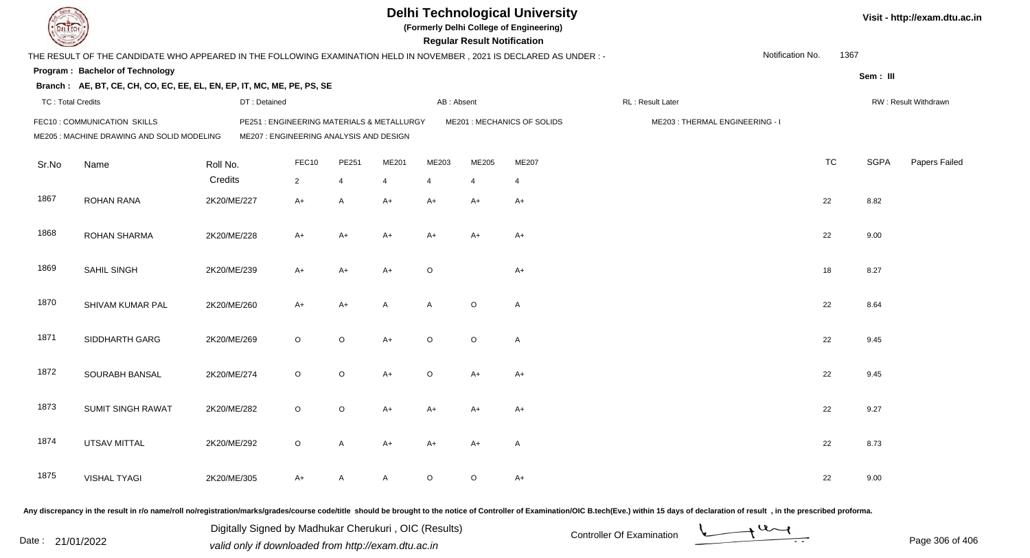| DEL ECH                  |                                                                                                                     |              |                                                                                      |         |       |            | <b>Regular Result Notification</b> | <b>Delhi Technological University</b><br>(Formerly Delhi College of Engineering) |                                                                                                                                                                                                                                |                  |           |             | Visit - http://exam.dtu.ac.in |
|--------------------------|---------------------------------------------------------------------------------------------------------------------|--------------|--------------------------------------------------------------------------------------|---------|-------|------------|------------------------------------|----------------------------------------------------------------------------------|--------------------------------------------------------------------------------------------------------------------------------------------------------------------------------------------------------------------------------|------------------|-----------|-------------|-------------------------------|
|                          | THE RESULT OF THE CANDIDATE WHO APPEARED IN THE FOLLOWING EXAMINATION HELD IN NOVEMBER, 2021 IS DECLARED AS UNDER:- |              |                                                                                      |         |       |            |                                    |                                                                                  |                                                                                                                                                                                                                                | Notification No. | 1367      |             |                               |
|                          | Program: Bachelor of Technology                                                                                     |              |                                                                                      |         |       |            |                                    |                                                                                  |                                                                                                                                                                                                                                |                  |           | Sem: III    |                               |
|                          | Branch: AE, BT, CE, CH, CO, EC, EE, EL, EN, EP, IT, MC, ME, PE, PS, SE                                              |              |                                                                                      |         |       |            |                                    |                                                                                  |                                                                                                                                                                                                                                |                  |           |             |                               |
| <b>TC: Total Credits</b> |                                                                                                                     | DT: Detained |                                                                                      |         |       | AB: Absent |                                    |                                                                                  | RL: Result Later                                                                                                                                                                                                               |                  |           |             | RW: Result Withdrawn          |
|                          | FEC10 : COMMUNICATION SKILLS<br>ME205 : MACHINE DRAWING AND SOLID MODELING                                          |              | PE251: ENGINEERING MATERIALS & METALLURGY<br>ME207 : ENGINEERING ANALYSIS AND DESIGN |         |       |            |                                    | ME201 : MECHANICS OF SOLIDS                                                      | ME203: THERMAL ENGINEERING - I                                                                                                                                                                                                 |                  |           |             |                               |
| Sr.No                    | Name                                                                                                                | Roll No.     | FEC10                                                                                | PE251   | ME201 | ME203      | ME205                              | ME207                                                                            |                                                                                                                                                                                                                                |                  | <b>TC</b> | <b>SGPA</b> | Papers Failed                 |
|                          |                                                                                                                     | Credits      | $\overline{2}$                                                                       | 4       | 4     | 4          |                                    | $\overline{4}$                                                                   |                                                                                                                                                                                                                                |                  |           |             |                               |
| 1867                     | <b>ROHAN RANA</b>                                                                                                   | 2K20/ME/227  | $A+$                                                                                 | A       | $A+$  | A+         | A+                                 | $A+$                                                                             |                                                                                                                                                                                                                                |                  | 22        | 8.82        |                               |
| 1868                     | <b>ROHAN SHARMA</b>                                                                                                 | 2K20/ME/228  | $A+$                                                                                 | $A+$    | A+    | A+         | $A+$                               | $A+$                                                                             |                                                                                                                                                                                                                                |                  | 22        | 9.00        |                               |
| 1869                     | SAHIL SINGH                                                                                                         | 2K20/ME/239  | $A+$                                                                                 | $A+$    | $A+$  | $\circ$    |                                    | $A+$                                                                             |                                                                                                                                                                                                                                |                  | 18        | 8.27        |                               |
| 1870                     | SHIVAM KUMAR PAL                                                                                                    | 2K20/ME/260  | $A+$                                                                                 | $A+$    | A     | A          | $\circ$                            | $\mathsf{A}$                                                                     |                                                                                                                                                                                                                                |                  | 22        | 8.64        |                               |
| 1871                     | SIDDHARTH GARG                                                                                                      | 2K20/ME/269  | $\circ$                                                                              | $\circ$ | $A+$  | $\circ$    | $\circ$                            | $\mathsf{A}$                                                                     |                                                                                                                                                                                                                                |                  | 22        | 9.45        |                               |
| 1872                     | SOURABH BANSAL                                                                                                      | 2K20/ME/274  | $\circ$                                                                              | $\circ$ | $A+$  | $\circ$    | $A+$                               | $A+$                                                                             |                                                                                                                                                                                                                                |                  | 22        | 9.45        |                               |
| 1873                     | <b>SUMIT SINGH RAWAT</b>                                                                                            | 2K20/ME/282  | $\circ$                                                                              | $\circ$ | A+    | A+         | A+                                 | A+                                                                               |                                                                                                                                                                                                                                |                  | 22        | 9.27        |                               |
| 1874                     | <b>UTSAV MITTAL</b>                                                                                                 | 2K20/ME/292  | $\circ$                                                                              | A       | A+    | A+         | A+                                 | A                                                                                |                                                                                                                                                                                                                                |                  | 22        | 8.73        |                               |
| 1875                     | <b>VISHAL TYAGI</b>                                                                                                 | 2K20/ME/305  | $A+$                                                                                 | A       | A     | $\circ$    | $\circ$                            | $A+$                                                                             |                                                                                                                                                                                                                                |                  | 22        | 9.00        |                               |
|                          |                                                                                                                     |              |                                                                                      |         |       |            |                                    |                                                                                  | Any discrepancy in the result in r/o name/roll no/registration/marks/grades/course code/title should be brought to the notice of Controller of Examination/OIC B.tech(Eve.) within 15 days of declaration of result , in the p |                  |           |             |                               |

Date : 21/01/2022 Digital Digital of Microsofted Chemical Controller Of Examination Determination Page 306 of 40 Digitally Signed by Madhukar Cherukuri , OIC (Results)

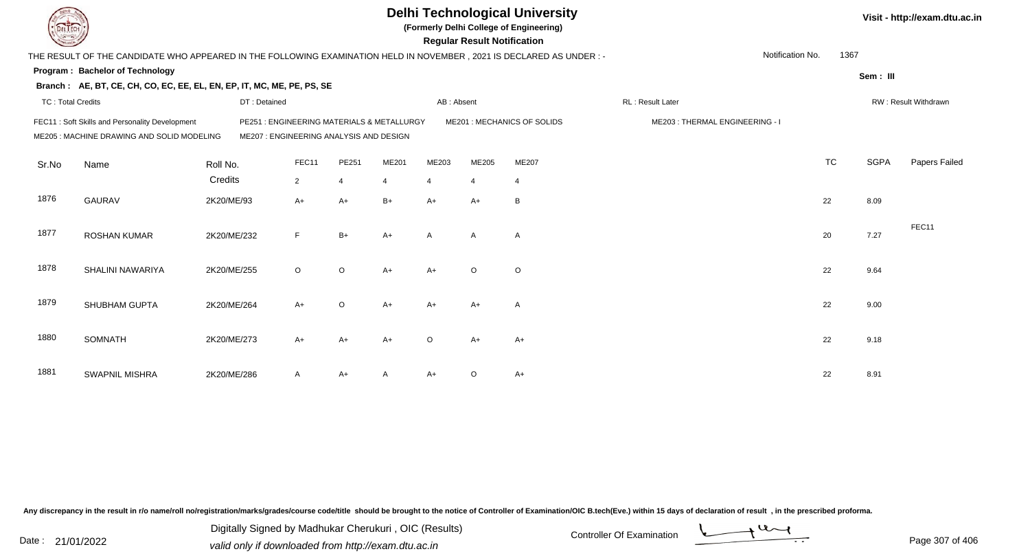|                          |                                                                                                                        |             |              |                |                                         |                                            |                | <b>Regular Result Notification</b> | <b>Delhi Technological University</b><br>(Formerly Delhi College of Engineering) |                  |                                |                  |           |             | Visit - http://exam.dtu.ac.in |
|--------------------------|------------------------------------------------------------------------------------------------------------------------|-------------|--------------|----------------|-----------------------------------------|--------------------------------------------|----------------|------------------------------------|----------------------------------------------------------------------------------|------------------|--------------------------------|------------------|-----------|-------------|-------------------------------|
|                          | THE RESULT OF THE CANDIDATE WHO APPEARED IN THE FOLLOWING EXAMINATION HELD IN NOVEMBER , 2021 IS DECLARED AS UNDER : - |             |              |                |                                         |                                            |                |                                    |                                                                                  |                  |                                | Notification No. | 1367      |             |                               |
|                          | Program: Bachelor of Technology                                                                                        |             |              |                |                                         |                                            |                |                                    |                                                                                  |                  |                                |                  |           | Sem: III    |                               |
|                          | Branch: AE, BT, CE, CH, CO, EC, EE, EL, EN, EP, IT, MC, ME, PE, PS, SE                                                 |             |              |                |                                         |                                            |                |                                    |                                                                                  |                  |                                |                  |           |             |                               |
| <b>TC: Total Credits</b> |                                                                                                                        |             | DT: Detained |                |                                         |                                            | AB: Absent     |                                    |                                                                                  | RL: Result Later |                                |                  |           |             | RW: Result Withdrawn          |
|                          | FEC11: Soft Skills and Personality Development<br>ME205 : MACHINE DRAWING AND SOLID MODELING                           |             |              |                | ME207 : ENGINEERING ANALYSIS AND DESIGN | PE251 : ENGINEERING MATERIALS & METALLURGY |                |                                    | ME201 : MECHANICS OF SOLIDS                                                      |                  | ME203: THERMAL ENGINEERING - I |                  |           |             |                               |
| Sr.No                    | Name                                                                                                                   | Roll No.    |              | FEC11          | PE251                                   | ME201                                      | ME203          | ME205                              | ME207                                                                            |                  |                                |                  | <b>TC</b> | <b>SGPA</b> | Papers Failed                 |
|                          |                                                                                                                        | Credits     |              | $\overline{2}$ | $\overline{4}$                          | $\overline{4}$                             | $\overline{4}$ | $\overline{4}$                     | $\overline{4}$                                                                   |                  |                                |                  |           |             |                               |
| 1876                     | <b>GAURAV</b>                                                                                                          | 2K20/ME/93  |              | $A+$           | $A+$                                    | $B+$                                       | $A+$           | $A+$                               | B                                                                                |                  |                                |                  | 22        | 8.09        |                               |
| 1877                     | <b>ROSHAN KUMAR</b>                                                                                                    | 2K20/ME/232 |              | F.             | $B+$                                    | $A+$                                       | $\mathsf{A}$   | $\overline{A}$                     | $\overline{\mathsf{A}}$                                                          |                  |                                |                  | 20        | 7.27        | FEC11                         |
| 1878                     | SHALINI NAWARIYA                                                                                                       | 2K20/ME/255 |              | $\circ$        | $\circ$                                 | $A+$                                       | $A+$           | $\circ$                            | $\circ$                                                                          |                  |                                |                  | 22        | 9.64        |                               |
| 1879                     | SHUBHAM GUPTA                                                                                                          | 2K20/ME/264 |              | $A+$           | $\circ$                                 | $A+$                                       | $A+$           | $A+$                               | A                                                                                |                  |                                |                  | 22        | 9.00        |                               |
| 1880                     | <b>SOMNATH</b>                                                                                                         | 2K20/ME/273 |              | $A+$           | $A+$                                    | $A+$                                       | $\circ$        | $A+$                               | $A+$                                                                             |                  |                                |                  | 22        | 9.18        |                               |
| 1881                     | <b>SWAPNIL MISHRA</b>                                                                                                  | 2K20/ME/286 |              | A              | $A+$                                    |                                            | $A+$           | $\circ$                            | $A+$                                                                             |                  |                                |                  | 22        | 8.91        |                               |

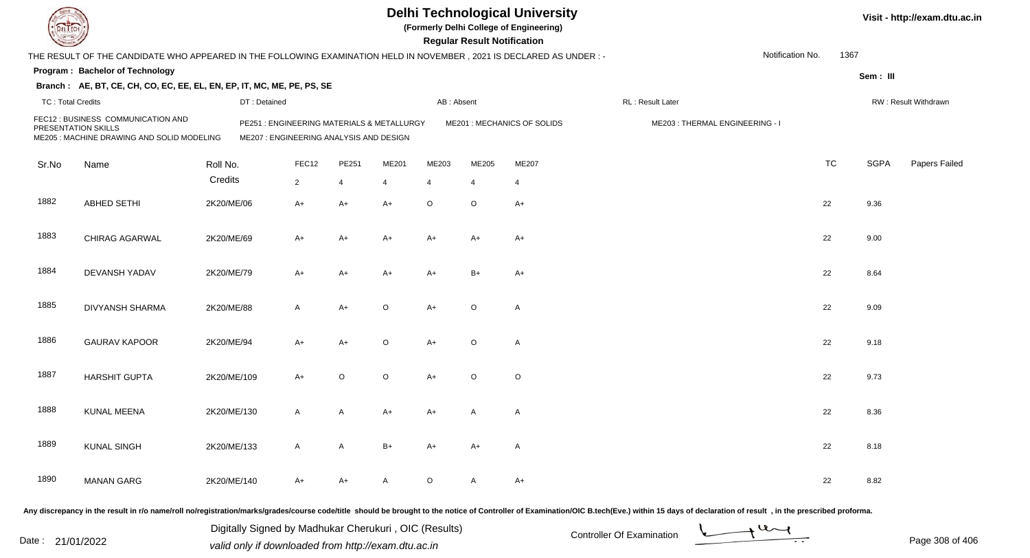| DEL TECH                 |                                                                                                                                                                                                                                |             |                                         |                |              |                                           |            | <b>Regular Result Notification</b> | <b>Delhi Technological University</b><br>(Formerly Delhi College of Engineering) |                                |                  |           |             | Visit - http://exam.dtu.ac.in |
|--------------------------|--------------------------------------------------------------------------------------------------------------------------------------------------------------------------------------------------------------------------------|-------------|-----------------------------------------|----------------|--------------|-------------------------------------------|------------|------------------------------------|----------------------------------------------------------------------------------|--------------------------------|------------------|-----------|-------------|-------------------------------|
|                          | THE RESULT OF THE CANDIDATE WHO APPEARED IN THE FOLLOWING EXAMINATION HELD IN NOVEMBER, 2021 IS DECLARED AS UNDER:-                                                                                                            |             |                                         |                |              |                                           |            |                                    |                                                                                  |                                | Notification No. | 1367      |             |                               |
|                          | Program: Bachelor of Technology                                                                                                                                                                                                |             |                                         |                |              |                                           |            |                                    |                                                                                  |                                |                  |           | Sem: III    |                               |
|                          | Branch: AE, BT, CE, CH, CO, EC, EE, EL, EN, EP, IT, MC, ME, PE, PS, SE                                                                                                                                                         |             |                                         |                |              |                                           |            |                                    |                                                                                  |                                |                  |           |             |                               |
| <b>TC: Total Credits</b> |                                                                                                                                                                                                                                |             | DT: Detained                            |                |              |                                           | AB: Absent |                                    |                                                                                  | RL: Result Later               |                  |           |             | RW: Result Withdrawn          |
| PRESENTATION SKILLS      | FEC12: BUSINESS COMMUNICATION AND<br>ME205 : MACHINE DRAWING AND SOLID MODELING                                                                                                                                                |             | ME207 : ENGINEERING ANALYSIS AND DESIGN |                |              | PE251: ENGINEERING MATERIALS & METALLURGY |            |                                    | ME201 : MECHANICS OF SOLIDS                                                      | ME203: THERMAL ENGINEERING - I |                  |           |             |                               |
| Sr.No                    | Name                                                                                                                                                                                                                           | Roll No.    |                                         | FEC12          | PE251        | ME201                                     | ME203      | ME205                              | ME207                                                                            |                                |                  | <b>TC</b> | <b>SGPA</b> | Papers Failed                 |
|                          |                                                                                                                                                                                                                                | Credits     |                                         | $\overline{2}$ | 4            | $\overline{4}$                            | 4          |                                    | $\overline{4}$                                                                   |                                |                  |           |             |                               |
| 1882                     | <b>ABHED SETHI</b>                                                                                                                                                                                                             | 2K20/ME/06  |                                         | $A+$           | $A+$         | $A+$                                      | $\circ$    | $\circ$                            | $A+$                                                                             |                                |                  | 22        | 9.36        |                               |
| 1883                     | CHIRAG AGARWAL                                                                                                                                                                                                                 | 2K20/ME/69  |                                         | $A+$           | $A+$         | A+                                        | A+         | A+                                 | A+                                                                               |                                |                  | 22        | 9.00        |                               |
| 1884                     | DEVANSH YADAV                                                                                                                                                                                                                  | 2K20/ME/79  |                                         | $A+$           | $A+$         | A+                                        | A+         | $B+$                               | $A+$                                                                             |                                |                  | 22        | 8.64        |                               |
| 1885                     | <b>DIVYANSH SHARMA</b>                                                                                                                                                                                                         | 2K20/ME/88  |                                         | $\mathsf{A}$   | $A+$         | $\circ$                                   | $A+$       | $\circ$                            | $\mathsf{A}$                                                                     |                                |                  | 22        | 9.09        |                               |
| 1886                     | <b>GAURAV KAPOOR</b>                                                                                                                                                                                                           | 2K20/ME/94  |                                         | $A+$           | $A+$         | $\circ$                                   | A+         | $\circ$                            | $\mathsf{A}$                                                                     |                                |                  | 22        | 9.18        |                               |
| 1887                     | <b>HARSHIT GUPTA</b>                                                                                                                                                                                                           | 2K20/ME/109 |                                         | $A+$           | $\circ$      | $\circ$                                   | A+         | $\circ$                            | $\circ$                                                                          |                                |                  | 22        | 9.73        |                               |
| 1888                     | KUNAL MEENA                                                                                                                                                                                                                    | 2K20/ME/130 |                                         | $\mathsf{A}$   | Α            | A+                                        | A+         | A                                  | A                                                                                |                                |                  | 22        | 8.36        |                               |
| 1889                     | <b>KUNAL SINGH</b>                                                                                                                                                                                                             | 2K20/ME/133 |                                         | $\mathsf{A}$   | $\mathsf{A}$ | $B+$                                      | A+         | A+                                 | A                                                                                |                                |                  | 22        | 8.18        |                               |
| 1890                     | <b>MANAN GARG</b>                                                                                                                                                                                                              | 2K20/ME/140 |                                         | $A+$           | $A+$         | A                                         | $\circ$    | A                                  | $A+$                                                                             |                                |                  | 22        | 8.82        |                               |
|                          | Any discrepancy in the result in r/o name/roll no/registration/marks/grades/course code/title should be brought to the notice of Controller of Examination/OIC B.tech(Eve.) within 15 days of declaration of result , in the p |             |                                         |                |              |                                           |            |                                    |                                                                                  |                                |                  |           |             |                               |

Date : 21/01/2022 Digital Digital of Microsofted Chemical Controller Of Examination Determination Page 308 of 40 Digitally Signed by Madhukar Cherukuri , OIC (Results)

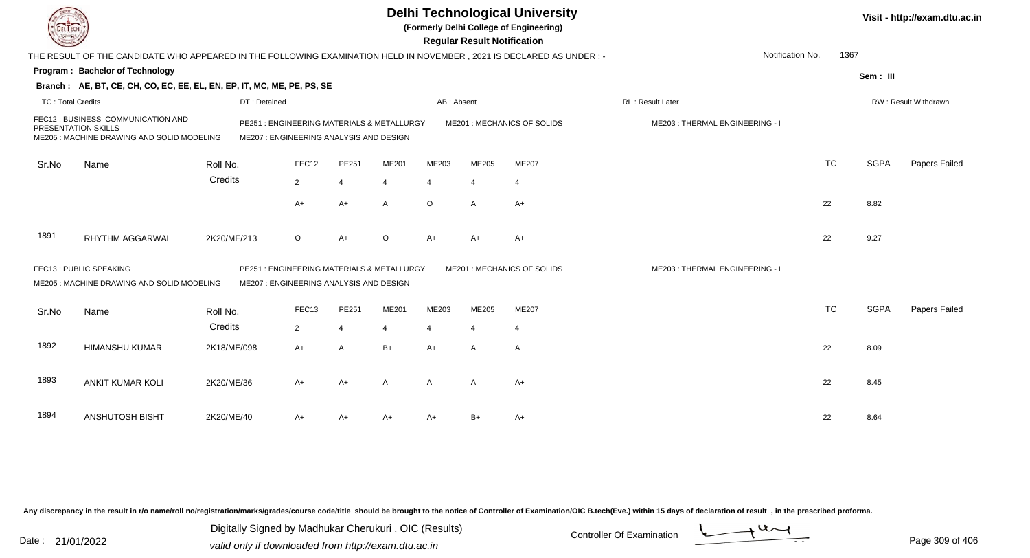|                            |                                                                                                                     |              |                                                                                       |                |       |                | <b>Regular Result Notification</b> | <b>Delhi Technological University</b><br>(Formerly Delhi College of Engineering) |                                |           |             | Visit - http://exam.dtu.ac.in |
|----------------------------|---------------------------------------------------------------------------------------------------------------------|--------------|---------------------------------------------------------------------------------------|----------------|-------|----------------|------------------------------------|----------------------------------------------------------------------------------|--------------------------------|-----------|-------------|-------------------------------|
|                            | THE RESULT OF THE CANDIDATE WHO APPEARED IN THE FOLLOWING EXAMINATION HELD IN NOVEMBER, 2021 IS DECLARED AS UNDER:- |              |                                                                                       |                |       |                |                                    |                                                                                  | Notification No.               | 1367      |             |                               |
|                            | Program: Bachelor of Technology                                                                                     |              |                                                                                       |                |       |                |                                    |                                                                                  |                                |           | Sem: III    |                               |
|                            | Branch: AE, BT, CE, CH, CO, EC, EE, EL, EN, EP, IT, MC, ME, PE, PS, SE                                              |              |                                                                                       |                |       |                |                                    |                                                                                  |                                |           |             |                               |
| <b>TC: Total Credits</b>   |                                                                                                                     | DT: Detained |                                                                                       |                |       | AB: Absent     |                                    |                                                                                  | RL : Result Later              |           |             | RW: Result Withdrawn          |
| <b>PRESENTATION SKILLS</b> | FEC12 : BUSINESS COMMUNICATION AND<br>ME205: MACHINE DRAWING AND SOLID MODELING                                     |              | PE251 : ENGINEERING MATERIALS & METALLURGY<br>ME207 : ENGINEERING ANALYSIS AND DESIGN |                |       |                |                                    | ME201 : MECHANICS OF SOLIDS                                                      | ME203: THERMAL ENGINEERING - I |           |             |                               |
| Sr.No                      | Name                                                                                                                | Roll No.     | FEC12                                                                                 | PE251          | ME201 | ME203          | ME205                              | ME207                                                                            |                                | <b>TC</b> | <b>SGPA</b> | Papers Failed                 |
|                            |                                                                                                                     | Credits      | $\overline{2}$                                                                        | $\overline{4}$ | 4     | $\overline{4}$ | $\boldsymbol{\Delta}$              | $\overline{4}$                                                                   |                                |           |             |                               |
|                            |                                                                                                                     |              | A+                                                                                    | $A+$           | A     | $\circ$        | A                                  | $A+$                                                                             |                                | 22        | 8.82        |                               |
| 1891                       | <b>RHYTHM AGGARWAL</b>                                                                                              | 2K20/ME/213  | $\circ$                                                                               | $A+$           | ∩     | $A+$           | A+                                 | A+                                                                               |                                | 22        | 9.27        |                               |
|                            | FEC13 : PUBLIC SPEAKING<br>ME205: MACHINE DRAWING AND SOLID MODELING                                                |              | PE251: ENGINEERING MATERIALS & METALLURGY<br>ME207 : ENGINEERING ANALYSIS AND DESIGN  |                |       |                |                                    | ME201: MECHANICS OF SOLIDS                                                       | ME203: THERMAL ENGINEERING - I |           |             |                               |
| Sr.No                      | Name                                                                                                                | Roll No.     | FEC <sub>13</sub>                                                                     | PE251          | ME201 | ME203          | ME205                              | ME207                                                                            |                                | <b>TC</b> | <b>SGPA</b> | Papers Failed                 |
|                            |                                                                                                                     | Credits      | $\overline{2}$                                                                        | $\overline{4}$ |       | $\overline{4}$ | $\overline{4}$                     | $\overline{4}$                                                                   |                                |           |             |                               |
| 1892                       | <b>HIMANSHU KUMAR</b>                                                                                               | 2K18/ME/098  | A+                                                                                    | $\overline{A}$ | $B+$  | $A+$           | $\mathsf{A}$                       | $\overline{A}$                                                                   |                                | 22        | 8.09        |                               |
| 1893                       | <b>ANKIT KUMAR KOLI</b>                                                                                             | 2K20/ME/36   | A+                                                                                    | $A+$           | A     | $\mathsf{A}$   | A                                  | $A+$                                                                             |                                | 22        | 8.45        |                               |
| 1894                       | ANSHUTOSH BISHT                                                                                                     | 2K20/ME/40   | A+                                                                                    | $A+$           | $A+$  | $A+$           | B+                                 | A+                                                                               |                                | 22        | 8.64        |                               |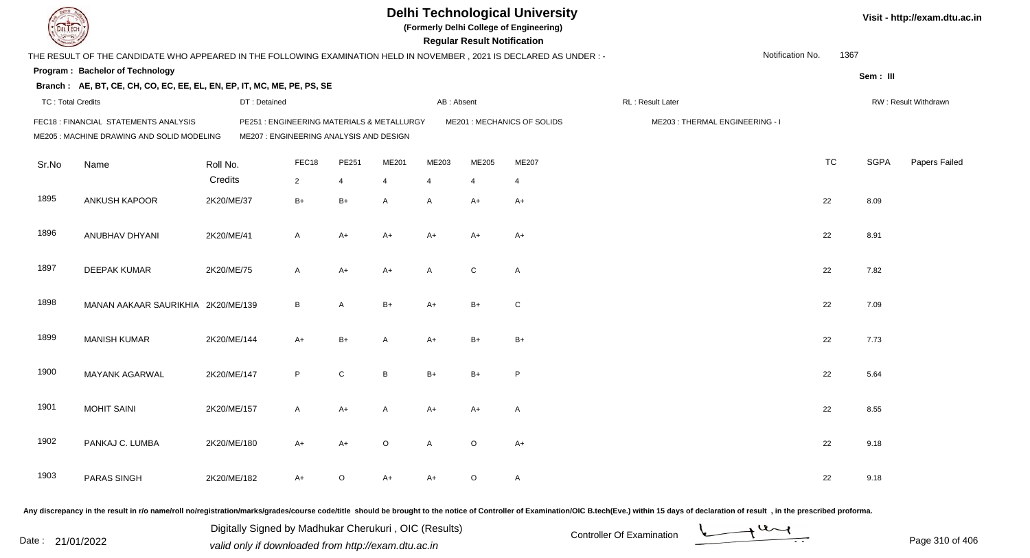| DEL ECH                  |                                                                                                                     |              |                                                                                      |         |                |                | <b>Regular Result Notification</b> | <b>Delhi Technological University</b><br>(Formerly Delhi College of Engineering) |                                                                                                                                                                                                                                |                  |           |             | Visit - http://exam.dtu.ac.in |
|--------------------------|---------------------------------------------------------------------------------------------------------------------|--------------|--------------------------------------------------------------------------------------|---------|----------------|----------------|------------------------------------|----------------------------------------------------------------------------------|--------------------------------------------------------------------------------------------------------------------------------------------------------------------------------------------------------------------------------|------------------|-----------|-------------|-------------------------------|
|                          | THE RESULT OF THE CANDIDATE WHO APPEARED IN THE FOLLOWING EXAMINATION HELD IN NOVEMBER, 2021 IS DECLARED AS UNDER:- |              |                                                                                      |         |                |                |                                    |                                                                                  |                                                                                                                                                                                                                                | Notification No. | 1367      |             |                               |
|                          | Program: Bachelor of Technology                                                                                     |              |                                                                                      |         |                |                |                                    |                                                                                  |                                                                                                                                                                                                                                |                  |           | Sem: III    |                               |
|                          | Branch: AE, BT, CE, CH, CO, EC, EE, EL, EN, EP, IT, MC, ME, PE, PS, SE                                              |              |                                                                                      |         |                |                |                                    |                                                                                  |                                                                                                                                                                                                                                |                  |           |             |                               |
| <b>TC: Total Credits</b> |                                                                                                                     | DT: Detained |                                                                                      |         |                | AB: Absent     |                                    |                                                                                  | RL : Result Later                                                                                                                                                                                                              |                  |           |             | RW: Result Withdrawn          |
|                          | FEC18 : FINANCIAL STATEMENTS ANALYSIS<br>ME205 : MACHINE DRAWING AND SOLID MODELING                                 |              | PE251: ENGINEERING MATERIALS & METALLURGY<br>ME207 : ENGINEERING ANALYSIS AND DESIGN |         |                |                |                                    | ME201 : MECHANICS OF SOLIDS                                                      | ME203: THERMAL ENGINEERING - I                                                                                                                                                                                                 |                  |           |             |                               |
| Sr.No                    | Name                                                                                                                | Roll No.     | FEC18                                                                                | PE251   | ME201          | ME203          | ME205                              | ME207                                                                            |                                                                                                                                                                                                                                |                  | <b>TC</b> | <b>SGPA</b> | Papers Failed                 |
|                          |                                                                                                                     | Credits      | $\overline{2}$                                                                       | 4       | $\overline{4}$ | $\overline{4}$ |                                    | $\overline{4}$                                                                   |                                                                                                                                                                                                                                |                  |           |             |                               |
| 1895                     | ANKUSH KAPOOR                                                                                                       | 2K20/ME/37   | $B+$                                                                                 | $B+$    | A              | A              | A+                                 | $A+$                                                                             |                                                                                                                                                                                                                                |                  | 22        | 8.09        |                               |
| 1896                     | ANUBHAV DHYANI                                                                                                      | 2K20/ME/41   | $\mathsf{A}$                                                                         | $A+$    | A+             | A+             | $A+$                               | $A+$                                                                             |                                                                                                                                                                                                                                |                  | 22        | 8.91        |                               |
| 1897                     | <b>DEEPAK KUMAR</b>                                                                                                 | 2K20/ME/75   | $\mathsf{A}$                                                                         | $A+$    | $A+$           | A              | $\mathsf{C}$                       | $\mathsf{A}$                                                                     |                                                                                                                                                                                                                                |                  | 22        | 7.82        |                               |
| 1898                     | MANAN AAKAAR SAURIKHIA 2K20/ME/139                                                                                  |              | B                                                                                    | A       | $B+$           | A+             | $B+$                               | C                                                                                |                                                                                                                                                                                                                                |                  | 22        | 7.09        |                               |
| 1899                     | <b>MANISH KUMAR</b>                                                                                                 | 2K20/ME/144  | $A+$                                                                                 | $B+$    | A              | A+             | $B+$                               | $B+$                                                                             |                                                                                                                                                                                                                                |                  | 22        | 7.73        |                               |
| 1900                     | MAYANK AGARWAL                                                                                                      | 2K20/ME/147  | P                                                                                    | C       | B              | $B+$           | $B+$                               | P                                                                                |                                                                                                                                                                                                                                |                  | 22        | 5.64        |                               |
| 1901                     | <b>MOHIT SAINI</b>                                                                                                  | 2K20/ME/157  | $\overline{A}$                                                                       | A+      | A              | A+             | A+                                 | A                                                                                |                                                                                                                                                                                                                                |                  | 22        | 8.55        |                               |
| 1902                     | PANKAJ C. LUMBA                                                                                                     | 2K20/ME/180  | A+                                                                                   | $A+$    | O              | A              | $\circ$                            | $A+$                                                                             |                                                                                                                                                                                                                                |                  | 22        | 9.18        |                               |
| 1903                     | PARAS SINGH                                                                                                         | 2K20/ME/182  | $A+$                                                                                 | $\circ$ | A+             | A+             | $\circ$                            | A                                                                                |                                                                                                                                                                                                                                |                  | 22        | 9.18        |                               |
|                          |                                                                                                                     |              |                                                                                      |         |                |                |                                    |                                                                                  | Any discrepancy in the result in r/o name/roll no/registration/marks/grades/course code/title should be brought to the notice of Controller of Examination/OIC B.tech(Eve.) within 15 days of declaration of result , in the p |                  |           |             |                               |

Date : 21/01/2022 Digital Digital of Microsofted Chemical Controller Of Examination Determination Page 310 of 40 Digitally Signed by Madhukar Cherukuri , OIC (Results)

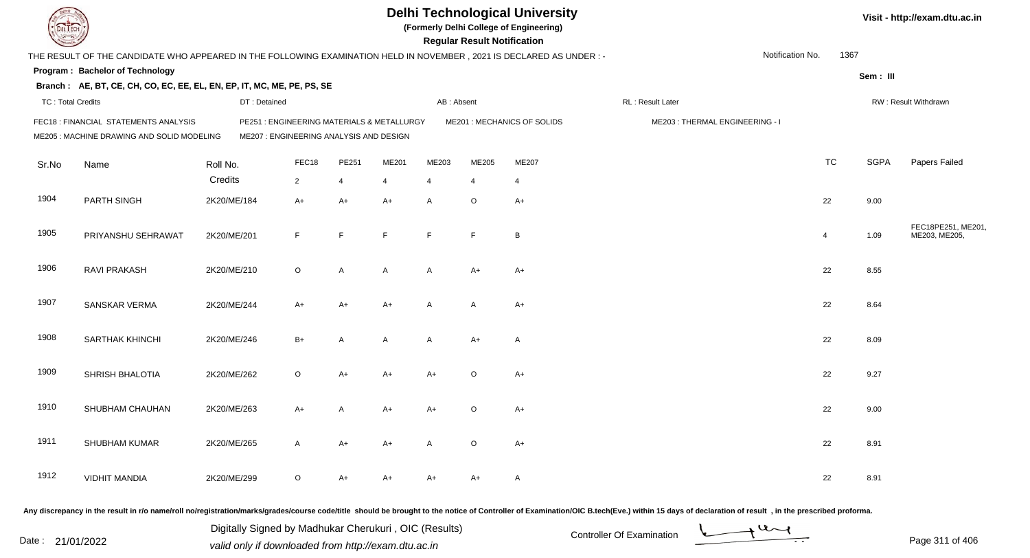| DEL TECH                 |                                                                                                                      |             |                                                                                       |                |       |                | <b>Regular Result Notification</b> | <b>Delhi Technological University</b><br>(Formerly Delhi College of Engineering) |                                                                                                                                                                                                                                |                  |                  |             | Visit - http://exam.dtu.ac.in       |
|--------------------------|----------------------------------------------------------------------------------------------------------------------|-------------|---------------------------------------------------------------------------------------|----------------|-------|----------------|------------------------------------|----------------------------------------------------------------------------------|--------------------------------------------------------------------------------------------------------------------------------------------------------------------------------------------------------------------------------|------------------|------------------|-------------|-------------------------------------|
|                          | THE RESULT OF THE CANDIDATE WHO APPEARED IN THE FOLLOWING EXAMINATION HELD IN NOVEMBER, 2021 IS DECLARED AS UNDER :- |             |                                                                                       |                |       |                |                                    |                                                                                  |                                                                                                                                                                                                                                | Notification No. | 1367             |             |                                     |
|                          | Program: Bachelor of Technology                                                                                      |             |                                                                                       |                |       |                |                                    |                                                                                  |                                                                                                                                                                                                                                |                  |                  | Sem: III    |                                     |
|                          | Branch: AE, BT, CE, CH, CO, EC, EE, EL, EN, EP, IT, MC, ME, PE, PS, SE                                               |             |                                                                                       |                |       |                |                                    |                                                                                  |                                                                                                                                                                                                                                |                  |                  |             |                                     |
| <b>TC: Total Credits</b> |                                                                                                                      |             | DT: Detained                                                                          |                |       | AB: Absent     |                                    |                                                                                  | RL: Result Later                                                                                                                                                                                                               |                  |                  |             | RW: Result Withdrawn                |
|                          | FEC18 : FINANCIAL STATEMENTS ANALYSIS<br>ME205 : MACHINE DRAWING AND SOLID MODELING                                  |             | PE251 : ENGINEERING MATERIALS & METALLURGY<br>ME207 : ENGINEERING ANALYSIS AND DESIGN |                |       |                |                                    | ME201 : MECHANICS OF SOLIDS                                                      | ME203: THERMAL ENGINEERING - I                                                                                                                                                                                                 |                  |                  |             |                                     |
| Sr.No                    | Name                                                                                                                 | Roll No.    | FEC18                                                                                 | PE251          | ME201 | ME203          | ME205                              | ME207                                                                            |                                                                                                                                                                                                                                |                  | <b>TC</b>        | <b>SGPA</b> | Papers Failed                       |
|                          |                                                                                                                      | Credits     | $\overline{2}$                                                                        | $\overline{4}$ | 4     | $\overline{4}$ | $\overline{4}$                     | 4                                                                                |                                                                                                                                                                                                                                |                  |                  |             |                                     |
| 1904                     | PARTH SINGH                                                                                                          | 2K20/ME/184 | $A+$                                                                                  | $A+$           | $A+$  | A              | $\circ$                            | $A+$                                                                             |                                                                                                                                                                                                                                |                  | 22               | 9.00        |                                     |
| 1905                     | PRIYANSHU SEHRAWAT                                                                                                   | 2K20/ME/201 | F.                                                                                    | E              | F     | E              | F                                  | B                                                                                |                                                                                                                                                                                                                                |                  | $\boldsymbol{4}$ | 1.09        | FEC18PE251, ME201,<br>ME203, ME205, |
| 1906                     | RAVI PRAKASH                                                                                                         | 2K20/ME/210 | O                                                                                     | A              | A     | $\mathsf{A}$   | A+                                 | $A+$                                                                             |                                                                                                                                                                                                                                |                  | 22               | 8.55        |                                     |
| 1907                     | SANSKAR VERMA                                                                                                        | 2K20/ME/244 | $A+$                                                                                  | $A+$           | $A+$  | $\overline{A}$ | A                                  | $A+$                                                                             |                                                                                                                                                                                                                                |                  | 22               | 8.64        |                                     |
| 1908                     | <b>SARTHAK KHINCHI</b>                                                                                               | 2K20/ME/246 | $B+$                                                                                  | A              | A     | A              | $A+$                               | A                                                                                |                                                                                                                                                                                                                                |                  | 22               | 8.09        |                                     |
| 1909                     | SHRISH BHALOTIA                                                                                                      | 2K20/ME/262 | O                                                                                     | $A+$           | A+    | A+             | $\circ$                            | $A+$                                                                             |                                                                                                                                                                                                                                |                  | 22               | 9.27        |                                     |
| 1910                     | SHUBHAM CHAUHAN                                                                                                      | 2K20/ME/263 | A+                                                                                    | A              | A+    | A+             | $\circ$                            | $A+$                                                                             |                                                                                                                                                                                                                                |                  | 22               | 9.00        |                                     |
| 1911                     | SHUBHAM KUMAR                                                                                                        | 2K20/ME/265 | A                                                                                     | A+             | A+    | A              | O                                  | $A+$                                                                             |                                                                                                                                                                                                                                |                  | 22               | 8.91        |                                     |
| 1912                     | <b>VIDHIT MANDIA</b>                                                                                                 | 2K20/ME/299 | $\mathsf O$                                                                           | A+             | A+    | A+             | A+                                 | A                                                                                |                                                                                                                                                                                                                                |                  | 22               | 8.91        |                                     |
|                          |                                                                                                                      |             |                                                                                       |                |       |                |                                    |                                                                                  | Any discrepancy in the result in r/o name/roll no/registration/marks/grades/course code/title should be brought to the notice of Controller of Examination/OIC B.tech(Eve.) within 15 days of declaration of result , in the p |                  |                  |             |                                     |

Date : 21/01/2022 Digital Digital of Microsofted Chemical Controller Of Examination Determination Page 311 of 40 Digitally Signed by Madhukar Cherukuri , OIC (Results)

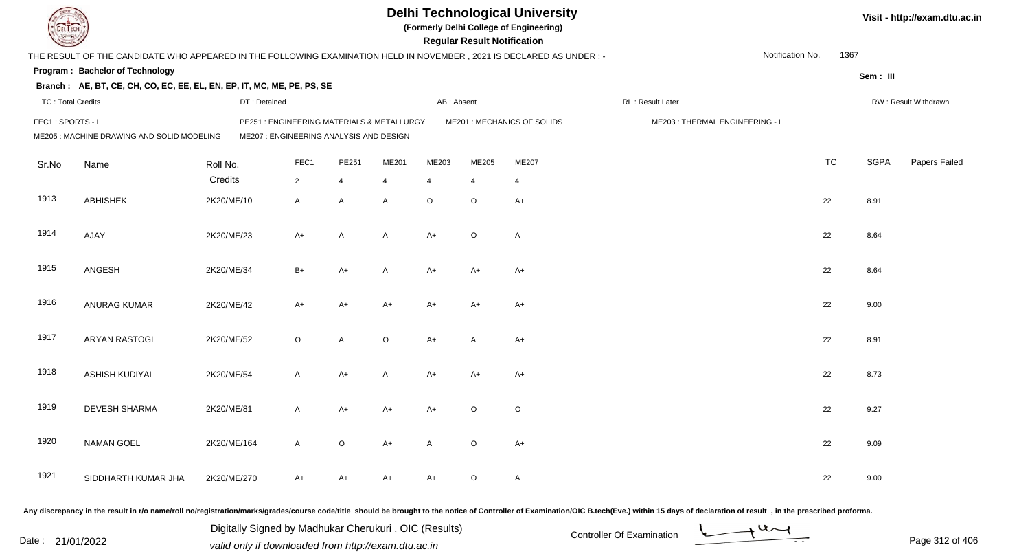|                          |                                                                                                                      |                                                                                       |             |                |         |                | <b>Regular Result Notification</b> | <b>Delhi Technological University</b><br>(Formerly Delhi College of Engineering) |                                |                  |           |             | Visit - http://exam.dtu.ac.in |
|--------------------------|----------------------------------------------------------------------------------------------------------------------|---------------------------------------------------------------------------------------|-------------|----------------|---------|----------------|------------------------------------|----------------------------------------------------------------------------------|--------------------------------|------------------|-----------|-------------|-------------------------------|
|                          | THE RESULT OF THE CANDIDATE WHO APPEARED IN THE FOLLOWING EXAMINATION HELD IN NOVEMBER, 2021 IS DECLARED AS UNDER :- |                                                                                       |             |                |         |                |                                    |                                                                                  |                                | Notification No. | 1367      |             |                               |
|                          | Program: Bachelor of Technology                                                                                      |                                                                                       |             |                |         |                |                                    |                                                                                  |                                |                  |           | Sem: III    |                               |
|                          | Branch: AE, BT, CE, CH, CO, EC, EE, EL, EN, EP, IT, MC, ME, PE, PS, SE                                               |                                                                                       |             |                |         |                |                                    |                                                                                  |                                |                  |           |             |                               |
| <b>TC: Total Credits</b> |                                                                                                                      | DT: Detained                                                                          |             |                |         | AB: Absent     |                                    |                                                                                  | RL : Result Later              |                  |           |             | RW: Result Withdrawn          |
| FEC1: SPORTS - I         | ME205 : MACHINE DRAWING AND SOLID MODELING                                                                           | PE251 : ENGINEERING MATERIALS & METALLURGY<br>ME207 : ENGINEERING ANALYSIS AND DESIGN |             |                |         |                |                                    | ME201 : MECHANICS OF SOLIDS                                                      | ME203: THERMAL ENGINEERING - I |                  |           |             |                               |
| Sr.No                    | Name                                                                                                                 | Roll No.                                                                              | FEC1        | PE251          | ME201   | ME203          | ME205                              | ME207                                                                            |                                |                  | <b>TC</b> | <b>SGPA</b> | Papers Failed                 |
|                          |                                                                                                                      | Credits                                                                               | $2^{\circ}$ | 4              | 4       | $\overline{4}$ | $\overline{4}$                     | $\overline{4}$                                                                   |                                |                  |           |             |                               |
| 1913                     | <b>ABHISHEK</b>                                                                                                      | 2K20/ME/10                                                                            | A           | $\mathsf{A}$   | A       | $\circ$        | $\circ$                            | $A+$                                                                             |                                |                  | 22        | 8.91        |                               |
| 1914                     | AJAY                                                                                                                 | 2K20/ME/23                                                                            | $A+$        | $\overline{A}$ | A       | $A+$           | $\circ$                            | $\overline{A}$                                                                   |                                |                  | 22        | 8.64        |                               |
| 1915                     | ANGESH                                                                                                               | 2K20/ME/34                                                                            | $B+$        | $A+$           | A       | $A+$           | A+                                 | $A+$                                                                             |                                |                  | 22        | 8.64        |                               |
| 1916                     | <b>ANURAG KUMAR</b>                                                                                                  | 2K20/ME/42                                                                            | $A+$        | $A+$           | A+      | $A+$           | $A+$                               | $A+$                                                                             |                                |                  | 22        | 9.00        |                               |
| 1917                     | <b>ARYAN RASTOGI</b>                                                                                                 | 2K20/ME/52                                                                            | $\circ$     | A              | $\circ$ | $A+$           | A                                  | $A+$                                                                             |                                |                  | 22        | 8.91        |                               |
| 1918                     | ASHISH KUDIYAL                                                                                                       | 2K20/ME/54                                                                            | A           | $A+$           | A       | $A+$           | $A+$                               | $A+$                                                                             |                                |                  | 22        | 8.73        |                               |
| 1919                     | DEVESH SHARMA                                                                                                        | 2K20/ME/81                                                                            | A           | $A+$           | A+      | A+             | O                                  | $\circ$                                                                          |                                |                  | 22        | 9.27        |                               |
| 1920                     | <b>NAMAN GOEL</b>                                                                                                    | 2K20/ME/164                                                                           | A           | $\circ$        | A+      | A              | $\circ$                            | $A+$                                                                             |                                |                  | 22        | 9.09        |                               |
| 1921                     | SIDDHARTH KUMAR JHA                                                                                                  | 2K20/ME/270                                                                           | A+          | A+             | A+      | A+             | $\circ$                            | $\mathsf{A}$                                                                     |                                |                  | 22        | 9.00        |                               |
|                          |                                                                                                                      |                                                                                       |             |                |         |                |                                    |                                                                                  |                                |                  |           |             |                               |

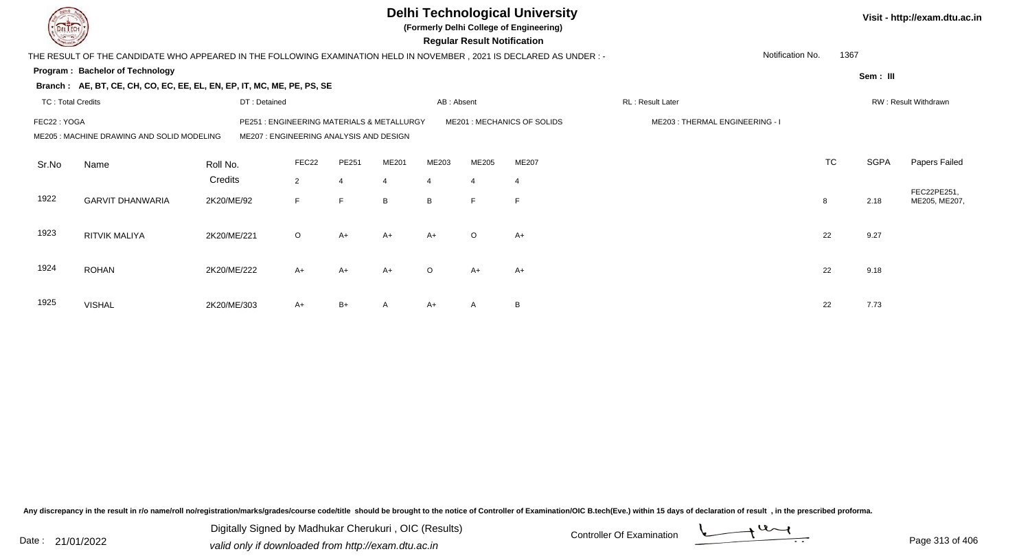|                          |                                                                                                                      |              |                                                                                |                |                |                | <b>Regular Result Notification</b> | <b>Delhi Technological University</b><br>(Formerly Delhi College of Engineering) |                                |                  |           |             | Visit - http://exam.dtu.ac.in |
|--------------------------|----------------------------------------------------------------------------------------------------------------------|--------------|--------------------------------------------------------------------------------|----------------|----------------|----------------|------------------------------------|----------------------------------------------------------------------------------|--------------------------------|------------------|-----------|-------------|-------------------------------|
|                          | THE RESULT OF THE CANDIDATE WHO APPEARED IN THE FOLLOWING EXAMINATION HELD IN NOVEMBER, 2021 IS DECLARED AS UNDER :- |              |                                                                                |                |                |                |                                    |                                                                                  |                                | Notification No. | 1367      |             |                               |
|                          | Program: Bachelor of Technology                                                                                      |              |                                                                                |                |                |                |                                    |                                                                                  |                                |                  |           | Sem: III    |                               |
|                          | Branch: AE, BT, CE, CH, CO, EC, EE, EL, EN, EP, IT, MC, ME, PE, PS, SE                                               |              |                                                                                |                |                |                |                                    |                                                                                  |                                |                  |           |             |                               |
| <b>TC: Total Credits</b> |                                                                                                                      | DT: Detained |                                                                                |                |                | AB: Absent     |                                    |                                                                                  | <b>RL: Result Later</b>        |                  |           |             | RW: Result Withdrawn          |
| FEC22: YOGA              | ME205 : MACHINE DRAWING AND SOLID MODELING                                                                           | PE251        | : ENGINEERING MATERIALS & METALLURGY<br>ME207: ENGINEERING ANALYSIS AND DESIGN |                |                |                |                                    | ME201: MECHANICS OF SOLIDS                                                       | ME203: THERMAL ENGINEERING - I |                  |           |             |                               |
| Sr.No                    | Name                                                                                                                 | Roll No.     | FEC22                                                                          | PE251          | ME201          | ME203          | ME205                              | ME207                                                                            |                                |                  | <b>TC</b> | <b>SGPA</b> | Papers Failed                 |
|                          |                                                                                                                      | Credits      | $\overline{2}$                                                                 | $\overline{4}$ | $\overline{4}$ | $\overline{4}$ | $\overline{4}$                     | $\overline{4}$                                                                   |                                |                  |           |             |                               |
| 1922                     | <b>GARVIT DHANWARIA</b>                                                                                              | 2K20/ME/92   | F                                                                              | $\mathsf{F}$   | B              | B              | F                                  | F                                                                                |                                |                  | 8         | 2.18        | FEC22PE251,<br>ME205, ME207,  |
| 1923                     | <b>RITVIK MALIYA</b>                                                                                                 | 2K20/ME/221  | $\circ$                                                                        | $A+$           | $A+$           | $A+$           | $\circ$                            | $A+$                                                                             |                                |                  | 22        | 9.27        |                               |
| 1924                     | <b>ROHAN</b>                                                                                                         | 2K20/ME/222  | $A+$                                                                           | $A+$           | $A+$           | $\Omega$       | $A+$                               | $A+$                                                                             |                                |                  | 22        | 9.18        |                               |
| 1925                     | <b>VISHAL</b>                                                                                                        | 2K20/ME/303  | A+                                                                             | $B+$           | A              | $A+$           | A                                  | B                                                                                |                                |                  | 22        | 7.73        |                               |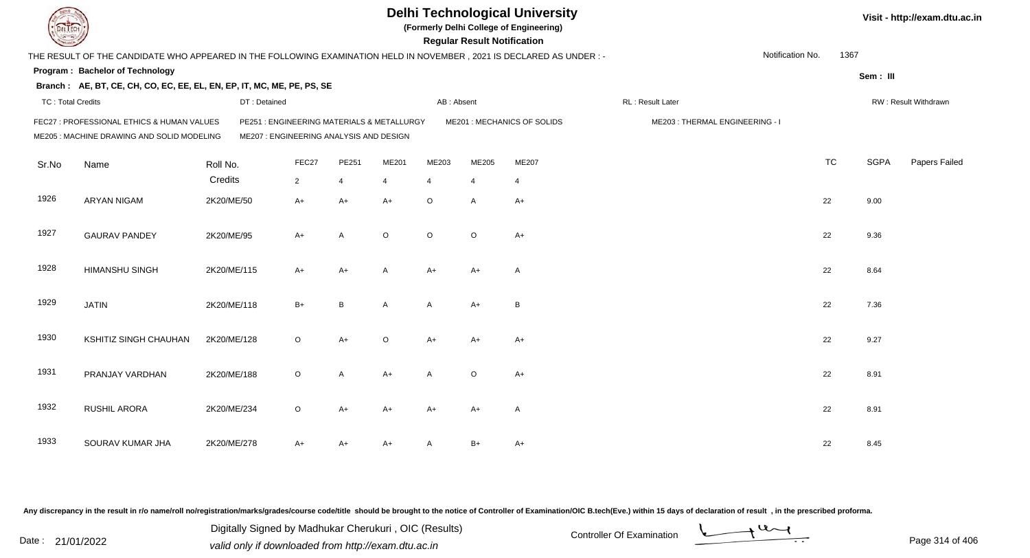| EL ECH                   |                                                                                                                      |             |                                                                                       |                |                |                | <b>Regular Result Notification</b> | <b>Delhi Technological University</b><br>(Formerly Delhi College of Engineering) |                                |                  |           |             | Visit - http://exam.dtu.ac.in |
|--------------------------|----------------------------------------------------------------------------------------------------------------------|-------------|---------------------------------------------------------------------------------------|----------------|----------------|----------------|------------------------------------|----------------------------------------------------------------------------------|--------------------------------|------------------|-----------|-------------|-------------------------------|
|                          | THE RESULT OF THE CANDIDATE WHO APPEARED IN THE FOLLOWING EXAMINATION HELD IN NOVEMBER, 2021 IS DECLARED AS UNDER :- |             |                                                                                       |                |                |                |                                    |                                                                                  |                                | Notification No. | 1367      |             |                               |
|                          | Program: Bachelor of Technology                                                                                      |             |                                                                                       |                |                |                |                                    |                                                                                  |                                |                  |           | Sem: III    |                               |
|                          | Branch: AE, BT, CE, CH, CO, EC, EE, EL, EN, EP, IT, MC, ME, PE, PS, SE                                               |             |                                                                                       |                |                |                |                                    |                                                                                  |                                |                  |           |             |                               |
| <b>TC: Total Credits</b> |                                                                                                                      |             | DT: Detained                                                                          |                |                | AB: Absent     |                                    |                                                                                  | RL : Result Later              |                  |           |             | RW: Result Withdrawn          |
|                          | FEC27 : PROFESSIONAL ETHICS & HUMAN VALUES<br>ME205 : MACHINE DRAWING AND SOLID MODELING                             |             | PE251 : ENGINEERING MATERIALS & METALLURGY<br>ME207 : ENGINEERING ANALYSIS AND DESIGN |                |                |                |                                    | ME201 : MECHANICS OF SOLIDS                                                      | ME203: THERMAL ENGINEERING - I |                  |           |             |                               |
| Sr.No                    | Name                                                                                                                 | Roll No.    | FEC27                                                                                 | PE251          | ME201          | ME203          | ME205                              | ME207                                                                            |                                |                  | <b>TC</b> | <b>SGPA</b> | Papers Failed                 |
|                          |                                                                                                                      | Credits     | $\overline{2}$                                                                        | $\overline{4}$ | $\overline{4}$ | $\overline{4}$ | $\overline{4}$                     | $\overline{4}$                                                                   |                                |                  |           |             |                               |
| 1926                     | <b>ARYAN NIGAM</b>                                                                                                   | 2K20/ME/50  | $A+$                                                                                  | $A+$           | $A+$           | $\circ$        | A                                  | $A+$                                                                             |                                |                  | 22        | 9.00        |                               |
| 1927                     | <b>GAURAV PANDEY</b>                                                                                                 | 2K20/ME/95  | $A+$                                                                                  | A              | $\circ$        | $\circ$        | $\circ$                            | $A+$                                                                             |                                |                  | 22        | 9.36        |                               |
| 1928                     | <b>HIMANSHU SINGH</b>                                                                                                | 2K20/ME/115 | $A+$                                                                                  | $A+$           | $\mathsf{A}$   | $A+$           | $A+$                               | $\overline{A}$                                                                   |                                |                  | 22        | 8.64        |                               |
| 1929                     | <b>JATIN</b>                                                                                                         | 2K20/ME/118 | $B+$                                                                                  | $\, {\bf B}$   | A              | A              | $A+$                               | $\, {\bf B}$                                                                     |                                |                  | 22        | 7.36        |                               |
| 1930                     | KSHITIZ SINGH CHAUHAN                                                                                                | 2K20/ME/128 | $\circ$                                                                               | $A+$           | $\circ$        | $A+$           | $A+$                               | $A+$                                                                             |                                |                  | 22        | 9.27        |                               |
| 1931                     | PRANJAY VARDHAN                                                                                                      | 2K20/ME/188 | $\circ$                                                                               | A              | $A+$           | A              | $\circ$                            | $A+$                                                                             |                                |                  | 22        | 8.91        |                               |
| 1932                     | RUSHIL ARORA                                                                                                         | 2K20/ME/234 | $\circ$                                                                               | $A+$           | $A+$           | $A+$           | $A+$                               | $\overline{A}$                                                                   |                                |                  | 22        | 8.91        |                               |
| 1933                     | SOURAV KUMAR JHA                                                                                                     | 2K20/ME/278 | A+                                                                                    | $A+$           | A+             | A              | $B+$                               | $A+$                                                                             |                                |                  | 22        | 8.45        |                               |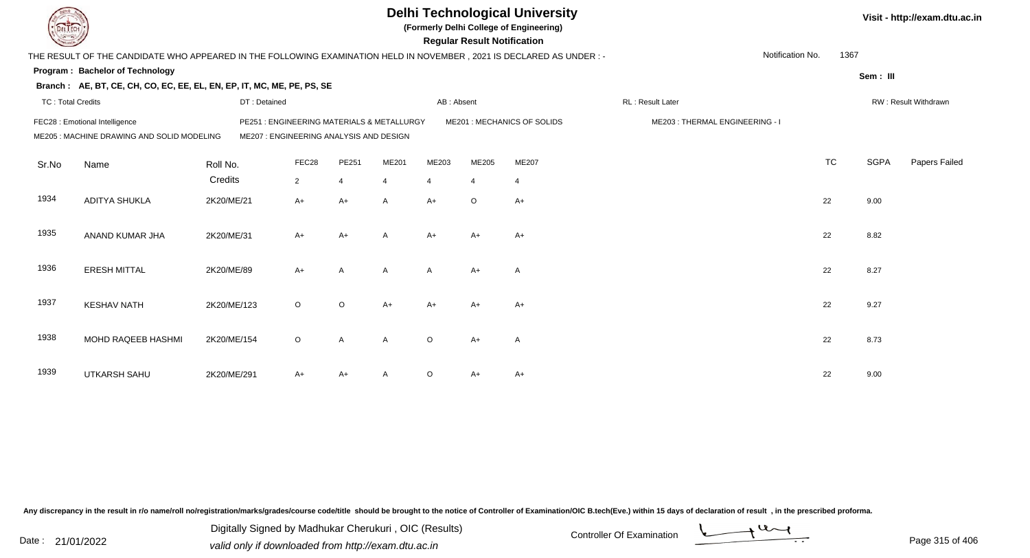|                          |                                                                                                                      |              |                                                                                      |                |                |                | <b>Regular Result Notification</b> | <b>Delhi Technological University</b><br>(Formerly Delhi College of Engineering) |                                |                  |           |             | Visit - http://exam.dtu.ac.in |
|--------------------------|----------------------------------------------------------------------------------------------------------------------|--------------|--------------------------------------------------------------------------------------|----------------|----------------|----------------|------------------------------------|----------------------------------------------------------------------------------|--------------------------------|------------------|-----------|-------------|-------------------------------|
|                          | THE RESULT OF THE CANDIDATE WHO APPEARED IN THE FOLLOWING EXAMINATION HELD IN NOVEMBER, 2021 IS DECLARED AS UNDER :- |              |                                                                                      |                |                |                |                                    |                                                                                  |                                | Notification No. | 1367      |             |                               |
|                          | <b>Program: Bachelor of Technology</b>                                                                               |              |                                                                                      |                |                |                |                                    |                                                                                  |                                |                  |           | Sem: III    |                               |
|                          | Branch: AE, BT, CE, CH, CO, EC, EE, EL, EN, EP, IT, MC, ME, PE, PS, SE                                               |              |                                                                                      |                |                |                |                                    |                                                                                  |                                |                  |           |             |                               |
| <b>TC: Total Credits</b> |                                                                                                                      | DT: Detained |                                                                                      |                |                | AB: Absent     |                                    |                                                                                  | RL : Result Later              |                  |           |             | RW: Result Withdrawn          |
|                          | FEC28 : Emotional Intelligence<br>ME205 : MACHINE DRAWING AND SOLID MODELING                                         |              | PE251: ENGINEERING MATERIALS & METALLURGY<br>ME207 : ENGINEERING ANALYSIS AND DESIGN |                |                |                |                                    | ME201 : MECHANICS OF SOLIDS                                                      | ME203: THERMAL ENGINEERING - I |                  |           |             |                               |
| Sr.No                    | Name                                                                                                                 | Roll No.     | FEC28                                                                                | PE251          | ME201          | ME203          | ME205                              | ME207                                                                            |                                |                  | <b>TC</b> | <b>SGPA</b> | Papers Failed                 |
|                          |                                                                                                                      | Credits      | $\overline{2}$                                                                       | $\overline{4}$ | $\overline{4}$ | $\overline{4}$ | $\overline{4}$                     | $\overline{4}$                                                                   |                                |                  |           |             |                               |
| 1934                     | <b>ADITYA SHUKLA</b>                                                                                                 | 2K20/ME/21   | $A+$                                                                                 | $A+$           | A              | $A+$           | $\circ$                            | $A+$                                                                             |                                |                  | 22        | 9.00        |                               |
| 1935                     | ANAND KUMAR JHA                                                                                                      | 2K20/ME/31   | $A+$                                                                                 | $A+$           | A              | $A+$           | $A+$                               | $A+$                                                                             |                                |                  | 22        | 8.82        |                               |
| 1936                     | <b>ERESH MITTAL</b>                                                                                                  | 2K20/ME/89   | $A+$                                                                                 | A              | A              | $\mathsf{A}$   | $A+$                               | A                                                                                |                                |                  | 22        | 8.27        |                               |
| 1937                     | <b>KESHAV NATH</b>                                                                                                   | 2K20/ME/123  | $\circ$                                                                              | $\circ$        | $A+$           | $A+$           | $A+$                               | $A+$                                                                             |                                |                  | 22        | 9.27        |                               |
| 1938                     | MOHD RAQEEB HASHMI                                                                                                   | 2K20/ME/154  | $\circ$                                                                              | $\overline{A}$ | A              | $\Omega$       | $A+$                               | $\overline{\mathsf{A}}$                                                          |                                |                  | 22        | 8.73        |                               |
| 1939                     | <b>UTKARSH SAHU</b>                                                                                                  | 2K20/ME/291  | A+                                                                                   | $A+$           |                | $\circ$        | A+                                 | $A+$                                                                             |                                |                  | 22        | 9.00        |                               |

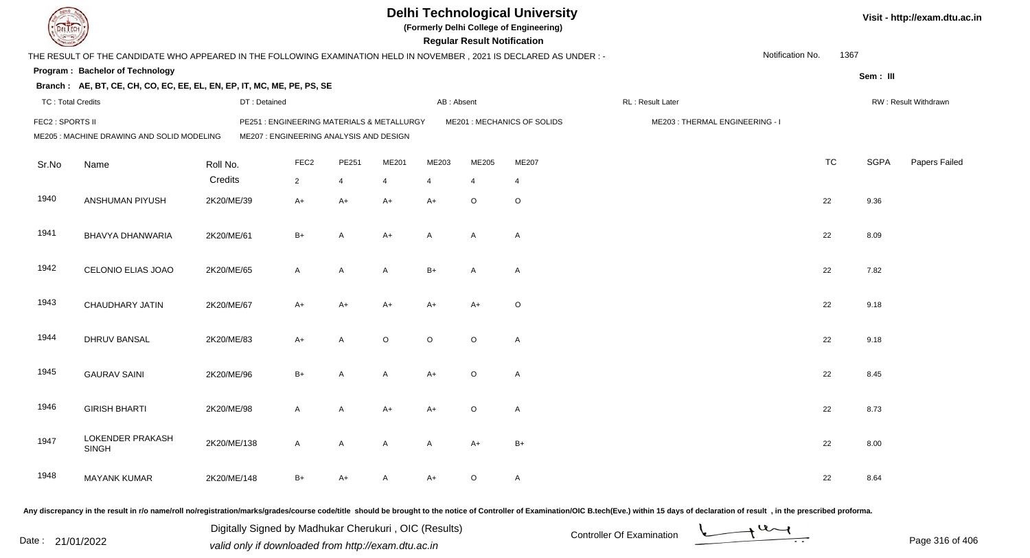|                          |                                                                                                                      |             |              |                  |                                         |                                            |                         | <b>Regular Result Notification</b> | <b>Delhi Technological University</b><br>(Formerly Delhi College of Engineering) |                                |                  |           |             | Visit - http://exam.dtu.ac.in |
|--------------------------|----------------------------------------------------------------------------------------------------------------------|-------------|--------------|------------------|-----------------------------------------|--------------------------------------------|-------------------------|------------------------------------|----------------------------------------------------------------------------------|--------------------------------|------------------|-----------|-------------|-------------------------------|
|                          | THE RESULT OF THE CANDIDATE WHO APPEARED IN THE FOLLOWING EXAMINATION HELD IN NOVEMBER, 2021 IS DECLARED AS UNDER :- |             |              |                  |                                         |                                            |                         |                                    |                                                                                  |                                | Notification No. | 1367      |             |                               |
|                          | <b>Program: Bachelor of Technology</b>                                                                               |             |              |                  |                                         |                                            |                         |                                    |                                                                                  |                                |                  |           | Sem: III    |                               |
|                          | Branch: AE, BT, CE, CH, CO, EC, EE, EL, EN, EP, IT, MC, ME, PE, PS, SE                                               |             |              |                  |                                         |                                            |                         |                                    |                                                                                  |                                |                  |           |             |                               |
| <b>TC: Total Credits</b> |                                                                                                                      |             | DT: Detained |                  |                                         |                                            | AB: Absent              |                                    |                                                                                  | RL : Result Later              |                  |           |             | RW: Result Withdrawn          |
| FEC2 : SPORTS II         | ME205 : MACHINE DRAWING AND SOLID MODELING                                                                           |             |              |                  | ME207 : ENGINEERING ANALYSIS AND DESIGN | PE251 : ENGINEERING MATERIALS & METALLURGY |                         |                                    | ME201 : MECHANICS OF SOLIDS                                                      | ME203: THERMAL ENGINEERING - I |                  |           |             |                               |
| Sr.No                    | Name                                                                                                                 | Roll No.    |              | FEC <sub>2</sub> | PE251                                   | ME201                                      | ME203                   | ME205                              | ME207                                                                            |                                |                  | <b>TC</b> | <b>SGPA</b> | Papers Failed                 |
|                          |                                                                                                                      | Credits     |              | $\overline{2}$   | $\overline{4}$                          | $\overline{4}$                             | $\overline{\mathbf{4}}$ | $\overline{4}$                     | $\overline{4}$                                                                   |                                |                  |           |             |                               |
| 1940                     | ANSHUMAN PIYUSH                                                                                                      | 2K20/ME/39  |              | $A+$             | $A+$                                    | $A+$                                       | $A+$                    | $\circ$                            | $\circ$                                                                          |                                |                  | 22        | 9.36        |                               |
| 1941                     | <b>BHAVYA DHANWARIA</b>                                                                                              | 2K20/ME/61  |              | $B+$             | A                                       | $A+$                                       | A                       | A                                  | $\overline{A}$                                                                   |                                |                  | 22        | 8.09        |                               |
| 1942                     | CELONIO ELIAS JOAO                                                                                                   | 2K20/ME/65  |              | A                | $\mathsf{A}$                            | $\mathsf{A}$                               | $B+$                    | A                                  | $\overline{A}$                                                                   |                                |                  | 22        | 7.82        |                               |
| 1943                     | <b>CHAUDHARY JATIN</b>                                                                                               | 2K20/ME/67  |              | $A+$             | $A+$                                    | $A+$                                       | $A+$                    | $A+$                               | $\circ$                                                                          |                                |                  | 22        | 9.18        |                               |
| 1944                     | DHRUV BANSAL                                                                                                         | 2K20/ME/83  |              | A+               | A                                       | $\circ$                                    | $\circ$                 | $\circ$                            | $\mathsf{A}$                                                                     |                                |                  | 22        | 9.18        |                               |
| 1945                     | <b>GAURAV SAINI</b>                                                                                                  | 2K20/ME/96  |              | $B+$             | A                                       | $\mathsf{A}$                               | $A+$                    | $\circ$                            | $\mathsf{A}$                                                                     |                                |                  | 22        | 8.45        |                               |
| 1946                     | <b>GIRISH BHARTI</b>                                                                                                 | 2K20/ME/98  |              | A                | A                                       | $A+$                                       | $A+$                    | $\mathsf O$                        | $\overline{A}$                                                                   |                                |                  | 22        | 8.73        |                               |
| 1947                     | LOKENDER PRAKASH<br><b>SINGH</b>                                                                                     | 2K20/ME/138 |              | A                | A                                       | A                                          | A                       | $A+$                               | $B+$                                                                             |                                |                  | 22        | 8.00        |                               |
| 1948                     | <b>MAYANK KUMAR</b>                                                                                                  | 2K20/ME/148 |              | B+               | A+                                      | A                                          | A+                      | O                                  | $\mathsf{A}$                                                                     |                                |                  | 22        | 8.64        |                               |

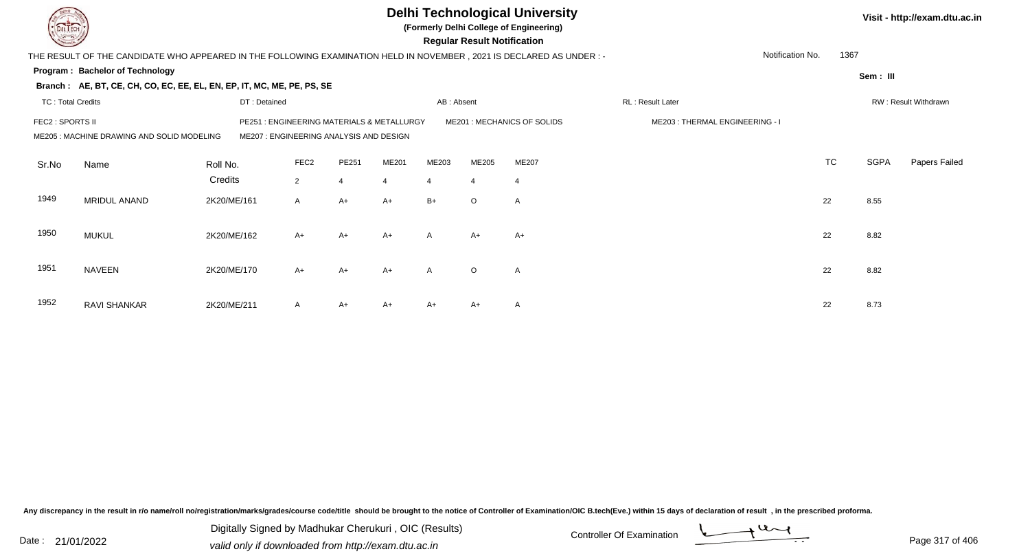|                          |                                                                                                                       |              |                                                                                |                |                |                | <b>Regular Result Notification</b> | <b>Delhi Technological University</b><br>(Formerly Delhi College of Engineering) |                                |                  |           |             | Visit - http://exam.dtu.ac.in |
|--------------------------|-----------------------------------------------------------------------------------------------------------------------|--------------|--------------------------------------------------------------------------------|----------------|----------------|----------------|------------------------------------|----------------------------------------------------------------------------------|--------------------------------|------------------|-----------|-------------|-------------------------------|
|                          | THE RESULT OF THE CANDIDATE WHO APPEARED IN THE FOLLOWING EXAMINATION HELD IN NOVEMBER , 2021 IS DECLARED AS UNDER :- |              |                                                                                |                |                |                |                                    |                                                                                  |                                | Notification No. | 1367      |             |                               |
|                          | Program: Bachelor of Technology                                                                                       |              |                                                                                |                |                |                |                                    |                                                                                  |                                |                  |           | Sem: III    |                               |
|                          | Branch: AE, BT, CE, CH, CO, EC, EE, EL, EN, EP, IT, MC, ME, PE, PS, SE                                                |              |                                                                                |                |                |                |                                    |                                                                                  |                                |                  |           |             |                               |
| <b>TC: Total Credits</b> |                                                                                                                       | DT: Detained |                                                                                |                |                | AB: Absent     |                                    |                                                                                  | RL: Result Later               |                  |           |             | RW: Result Withdrawn          |
| FEC2 : SPORTS II         | ME205: MACHINE DRAWING AND SOLID MODELING                                                                             | PE251        | : ENGINEERING MATERIALS & METALLURGY<br>ME207: ENGINEERING ANALYSIS AND DESIGN |                |                |                |                                    | ME201 : MECHANICS OF SOLIDS                                                      | ME203: THERMAL ENGINEERING - I |                  |           |             |                               |
| Sr.No                    | Name                                                                                                                  | Roll No.     | FEC <sub>2</sub>                                                               | PE251          | <b>ME201</b>   | ME203          | ME205                              | ME207                                                                            |                                |                  | <b>TC</b> | <b>SGPA</b> | Papers Failed                 |
|                          |                                                                                                                       | Credits      | 2                                                                              | $\overline{4}$ | $\overline{4}$ | $\overline{4}$ | $\overline{4}$                     | $\overline{4}$                                                                   |                                |                  |           |             |                               |
| 1949                     | MRIDUL ANAND                                                                                                          | 2K20/ME/161  | A                                                                              | $A+$           | $A+$           | $B+$           | $\circ$                            | $\overline{A}$                                                                   |                                |                  | 22        | 8.55        |                               |
| 1950                     | <b>MUKUL</b>                                                                                                          | 2K20/ME/162  | $A+$                                                                           | $A+$           | $A+$           | $\mathsf{A}$   | $A+$                               | $A+$                                                                             |                                |                  | 22        | 8.82        |                               |
| 1951                     | <b>NAVEEN</b>                                                                                                         | 2K20/ME/170  | $A+$                                                                           | $A+$           | $A+$           | $\mathsf{A}$   | $\circ$                            | $\mathsf{A}$                                                                     |                                |                  | 22        | 8.82        |                               |
| 1952                     | RAVI SHANKAR                                                                                                          | 2K20/ME/211  | A                                                                              | $A+$           | $A+$           | $A+$           | A+                                 | A                                                                                |                                |                  | 22        | 8.73        |                               |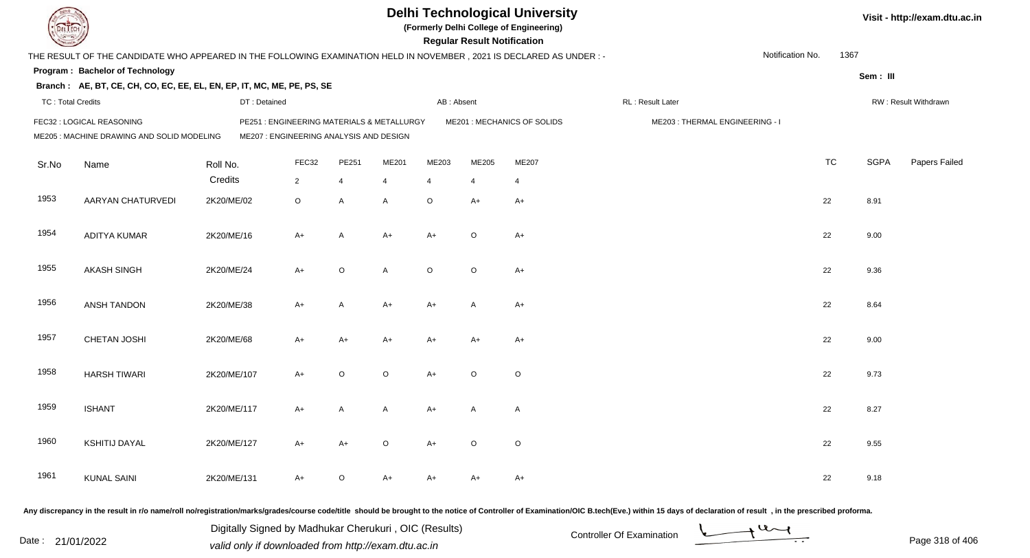| <b>DELTECH</b>           |                                                                                                                     |                                            |                |                |                |            | <b>Regular Result Notification</b> | <b>Delhi Technological University</b><br>(Formerly Delhi College of Engineering) |                                                                                                                                                                                                                                |                  |           |             | Visit - http://exam.dtu.ac.in |
|--------------------------|---------------------------------------------------------------------------------------------------------------------|--------------------------------------------|----------------|----------------|----------------|------------|------------------------------------|----------------------------------------------------------------------------------|--------------------------------------------------------------------------------------------------------------------------------------------------------------------------------------------------------------------------------|------------------|-----------|-------------|-------------------------------|
|                          | THE RESULT OF THE CANDIDATE WHO APPEARED IN THE FOLLOWING EXAMINATION HELD IN NOVEMBER, 2021 IS DECLARED AS UNDER:- |                                            |                |                |                |            |                                    |                                                                                  |                                                                                                                                                                                                                                | Notification No. | 1367      |             |                               |
|                          | Program: Bachelor of Technology                                                                                     |                                            |                |                |                |            |                                    |                                                                                  |                                                                                                                                                                                                                                |                  |           | Sem: III    |                               |
|                          | Branch: AE, BT, CE, CH, CO, EC, EE, EL, EN, EP, IT, MC, ME, PE, PS, SE                                              |                                            |                |                |                |            |                                    |                                                                                  |                                                                                                                                                                                                                                |                  |           |             |                               |
| <b>TC: Total Credits</b> |                                                                                                                     | DT: Detained                               |                |                |                | AB: Absent |                                    |                                                                                  | RL: Result Later                                                                                                                                                                                                               |                  |           |             | RW: Result Withdrawn          |
|                          | FEC32 : LOGICAL REASONING                                                                                           | PE251 : ENGINEERING MATERIALS & METALLURGY |                |                |                |            |                                    | ME201 : MECHANICS OF SOLIDS                                                      | ME203: THERMAL ENGINEERING - I                                                                                                                                                                                                 |                  |           |             |                               |
|                          | ME205 : MACHINE DRAWING AND SOLID MODELING                                                                          | ME207 : ENGINEERING ANALYSIS AND DESIGN    |                |                |                |            |                                    |                                                                                  |                                                                                                                                                                                                                                |                  |           |             |                               |
| Sr.No                    | Name                                                                                                                | Roll No.                                   | FEC32          | PE251          | ME201          | ME203      | ME205                              | ME207                                                                            |                                                                                                                                                                                                                                |                  | <b>TC</b> | <b>SGPA</b> | Papers Failed                 |
|                          |                                                                                                                     | Credits                                    | $\overline{2}$ | $\overline{4}$ | $\overline{4}$ | 4          | $\overline{4}$                     | $\overline{4}$                                                                   |                                                                                                                                                                                                                                |                  |           |             |                               |
| 1953                     | AARYAN CHATURVEDI                                                                                                   | 2K20/ME/02                                 | $\circ$        | A              | A              | O          | A+                                 | $A+$                                                                             |                                                                                                                                                                                                                                |                  | 22        | 8.91        |                               |
| 1954                     | <b>ADITYA KUMAR</b>                                                                                                 | 2K20/ME/16                                 | $A+$           | $\overline{A}$ | A+             | A+         | $\circ$                            | $A+$                                                                             |                                                                                                                                                                                                                                |                  | 22        | 9.00        |                               |
| 1955                     | <b>AKASH SINGH</b>                                                                                                  | 2K20/ME/24                                 | $A+$           | $\circ$        | A              | $\circ$    | $\circ$                            | $A+$                                                                             |                                                                                                                                                                                                                                |                  | 22        | 9.36        |                               |
| 1956                     | <b>ANSH TANDON</b>                                                                                                  | 2K20/ME/38                                 | $A+$           | $\mathsf{A}$   | A+             | $A+$       | $\overline{A}$                     | $A+$                                                                             |                                                                                                                                                                                                                                |                  | 22        | 8.64        |                               |
| 1957                     | CHETAN JOSHI                                                                                                        | 2K20/ME/68                                 | $A+$           | $A+$           | A+             | A+         | A+                                 | $A+$                                                                             |                                                                                                                                                                                                                                |                  | 22        | 9.00        |                               |
| 1958                     | <b>HARSH TIWARI</b>                                                                                                 | 2K20/ME/107                                | $A+$           | $\circ$        | $\circ$        | $A+$       | $\circ$                            | $\circ$                                                                          |                                                                                                                                                                                                                                |                  | 22        | 9.73        |                               |
| 1959                     | <b>ISHANT</b>                                                                                                       | 2K20/ME/117                                | A+             | A              | A              | A+         | A                                  | A                                                                                |                                                                                                                                                                                                                                |                  | 22        | 8.27        |                               |
| 1960                     | <b>KSHITIJ DAYAL</b>                                                                                                | 2K20/ME/127                                | A+             | $A+$           | O              | A+         | $\circ$                            | $\circ$                                                                          |                                                                                                                                                                                                                                |                  | 22        | 9.55        |                               |
| 1961                     | <b>KUNAL SAINI</b>                                                                                                  | 2K20/ME/131                                | $A+$           | $\circ$        | A+             | A+         | A+                                 | A+                                                                               |                                                                                                                                                                                                                                |                  | 22        | 9.18        |                               |
|                          |                                                                                                                     |                                            |                |                |                |            |                                    |                                                                                  | Any discrepancy in the result in r/o name/roll no/registration/marks/grades/course code/title should be brought to the notice of Controller of Examination/OIC B.tech(Eve.) within 15 days of declaration of result , in the p |                  |           |             |                               |

Date : 21/01/2022 Digital Digital of Microsofted Chemical Controller Of Examination Determination Page 318 of 40 Digitally Signed by Madhukar Cherukuri , OIC (Results)

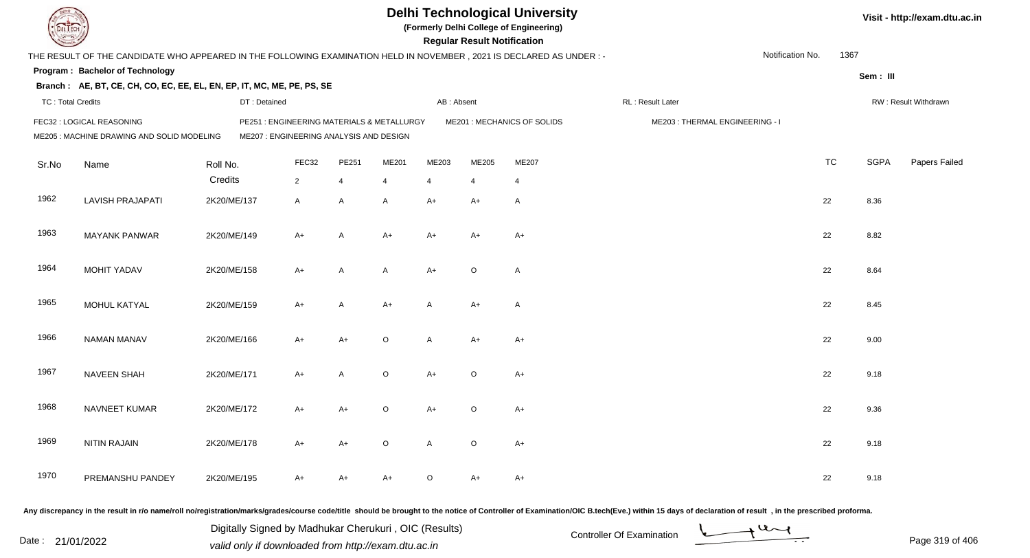|                          |                                                                                                                      |              |                                                                                       |              |         |                | <b>Regular Result Notification</b> | <b>Delhi Technological University</b><br>(Formerly Delhi College of Engineering) |                                |                  |           |             | Visit - http://exam.dtu.ac.in |
|--------------------------|----------------------------------------------------------------------------------------------------------------------|--------------|---------------------------------------------------------------------------------------|--------------|---------|----------------|------------------------------------|----------------------------------------------------------------------------------|--------------------------------|------------------|-----------|-------------|-------------------------------|
|                          | THE RESULT OF THE CANDIDATE WHO APPEARED IN THE FOLLOWING EXAMINATION HELD IN NOVEMBER, 2021 IS DECLARED AS UNDER :- |              |                                                                                       |              |         |                |                                    |                                                                                  |                                | Notification No. | 1367      |             |                               |
|                          | Program: Bachelor of Technology                                                                                      |              |                                                                                       |              |         |                |                                    |                                                                                  |                                |                  |           | Sem: III    |                               |
|                          | Branch: AE, BT, CE, CH, CO, EC, EE, EL, EN, EP, IT, MC, ME, PE, PS, SE                                               |              |                                                                                       |              |         |                |                                    |                                                                                  |                                |                  |           |             |                               |
| <b>TC: Total Credits</b> |                                                                                                                      | DT: Detained |                                                                                       |              |         | AB: Absent     |                                    |                                                                                  | RL : Result Later              |                  |           |             | RW: Result Withdrawn          |
|                          | FEC32 : LOGICAL REASONING<br>ME205 : MACHINE DRAWING AND SOLID MODELING                                              |              | PE251 : ENGINEERING MATERIALS & METALLURGY<br>ME207 : ENGINEERING ANALYSIS AND DESIGN |              |         |                |                                    | ME201 : MECHANICS OF SOLIDS                                                      | ME203: THERMAL ENGINEERING - I |                  |           |             |                               |
| Sr.No                    | Name                                                                                                                 | Roll No.     | FEC32                                                                                 | PE251        | ME201   | ME203          | ME205                              | ME207                                                                            |                                |                  | <b>TC</b> | <b>SGPA</b> | Papers Failed                 |
|                          |                                                                                                                      | Credits      | $\overline{2}$                                                                        | 4            | 4       | $\overline{4}$ | $\overline{4}$                     | $\overline{4}$                                                                   |                                |                  |           |             |                               |
| 1962                     | <b>LAVISH PRAJAPATI</b>                                                                                              | 2K20/ME/137  | A                                                                                     | $\mathsf{A}$ | A       | $A+$           | $A+$                               | $\overline{A}$                                                                   |                                |                  | 22        | 8.36        |                               |
| 1963                     | <b>MAYANK PANWAR</b>                                                                                                 | 2K20/ME/149  | A+                                                                                    | A            | $A+$    | $A+$           | A+                                 | $A+$                                                                             |                                |                  | 22        | 8.82        |                               |
| 1964                     | MOHIT YADAV                                                                                                          | 2K20/ME/158  | A+                                                                                    | A            | A       | $A+$           | $\circ$                            | $\overline{A}$                                                                   |                                |                  | 22        | 8.64        |                               |
| 1965                     | MOHUL KATYAL                                                                                                         | 2K20/ME/159  | $A+$                                                                                  | A            | $A+$    | A              | $A+$                               | $\overline{A}$                                                                   |                                |                  | 22        | 8.45        |                               |
| 1966                     | <b>NAMAN MANAV</b>                                                                                                   | 2K20/ME/166  | A+                                                                                    | A+           | $\circ$ | A              | $A+$                               | $A+$                                                                             |                                |                  | 22        | 9.00        |                               |
| 1967                     | <b>NAVEEN SHAH</b>                                                                                                   | 2K20/ME/171  | $A+$                                                                                  | $\mathsf{A}$ | $\circ$ | $A+$           | $\circ$                            | $A+$                                                                             |                                |                  | 22        | 9.18        |                               |
| 1968                     | NAVNEET KUMAR                                                                                                        | 2K20/ME/172  | A+                                                                                    | $A+$         | $\circ$ | $A+$           | O                                  | $A+$                                                                             |                                |                  | 22        | 9.36        |                               |
| 1969                     | <b>NITIN RAJAIN</b>                                                                                                  | 2K20/ME/178  | A+                                                                                    | $A+$         | $\circ$ | $\mathsf{A}$   | $\circ$                            | $A+$                                                                             |                                |                  | 22        | 9.18        |                               |
| 1970                     | PREMANSHU PANDEY                                                                                                     | 2K20/ME/195  | A+                                                                                    | A+           | A+      | $\circ$        | A+                                 | $A+$                                                                             |                                |                  | 22        | 9.18        |                               |
|                          |                                                                                                                      |              |                                                                                       |              |         |                |                                    |                                                                                  |                                |                  |           |             |                               |

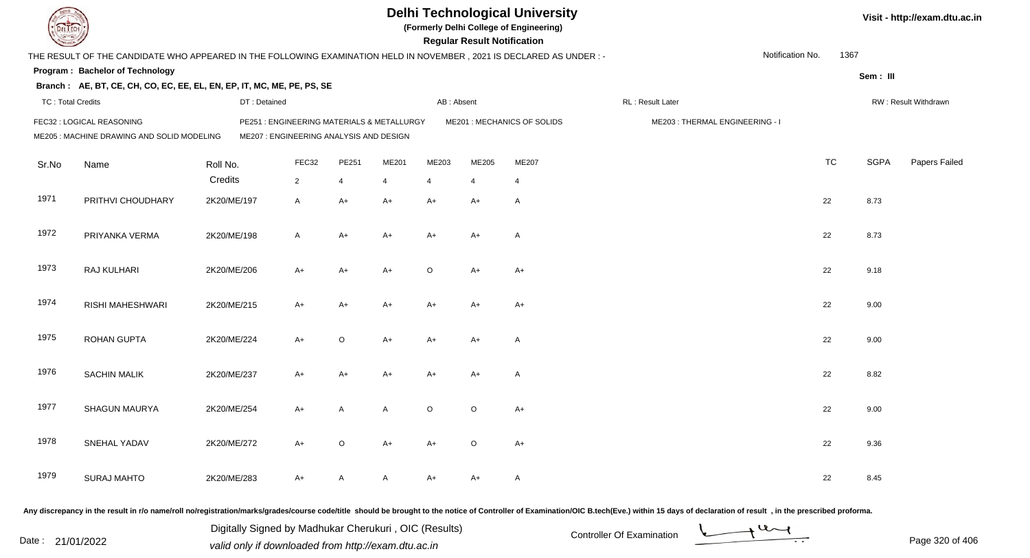| DEL ECH                                                                                                                                                         |                                                                                                                     |              |                |         |                | <b>Delhi Technological University</b><br>(Formerly Delhi College of Engineering)<br><b>Regular Result Notification</b> |                                |                |                                                                                                                                                                                                                                |                  |           | Visit - http://exam.dtu.ac.in |                      |  |
|-----------------------------------------------------------------------------------------------------------------------------------------------------------------|---------------------------------------------------------------------------------------------------------------------|--------------|----------------|---------|----------------|------------------------------------------------------------------------------------------------------------------------|--------------------------------|----------------|--------------------------------------------------------------------------------------------------------------------------------------------------------------------------------------------------------------------------------|------------------|-----------|-------------------------------|----------------------|--|
|                                                                                                                                                                 | THE RESULT OF THE CANDIDATE WHO APPEARED IN THE FOLLOWING EXAMINATION HELD IN NOVEMBER, 2021 IS DECLARED AS UNDER:- |              |                |         |                |                                                                                                                        |                                |                |                                                                                                                                                                                                                                | Notification No. | 1367      |                               |                      |  |
|                                                                                                                                                                 | Program: Bachelor of Technology                                                                                     |              |                |         |                |                                                                                                                        |                                |                |                                                                                                                                                                                                                                |                  |           |                               |                      |  |
|                                                                                                                                                                 | Branch: AE, BT, CE, CH, CO, EC, EE, EL, EN, EP, IT, MC, ME, PE, PS, SE                                              |              |                |         |                |                                                                                                                        |                                |                |                                                                                                                                                                                                                                |                  |           | Sem: III                      |                      |  |
| <b>TC: Total Credits</b>                                                                                                                                        |                                                                                                                     | DT: Detained |                |         |                | AB: Absent                                                                                                             |                                |                | RL : Result Later                                                                                                                                                                                                              |                  |           |                               | RW: Result Withdrawn |  |
| FEC32 : LOGICAL REASONING<br>PE251: ENGINEERING MATERIALS & METALLURGY<br>ME207 : ENGINEERING ANALYSIS AND DESIGN<br>ME205 : MACHINE DRAWING AND SOLID MODELING |                                                                                                                     |              |                |         |                | ME201 : MECHANICS OF SOLIDS                                                                                            | ME203: THERMAL ENGINEERING - I |                |                                                                                                                                                                                                                                |                  |           |                               |                      |  |
| Sr.No                                                                                                                                                           | Name                                                                                                                | Roll No.     | FEC32          | PE251   | ME201          | ME203                                                                                                                  | ME205                          | ME207          |                                                                                                                                                                                                                                |                  | <b>TC</b> | <b>SGPA</b>                   | Papers Failed        |  |
|                                                                                                                                                                 |                                                                                                                     | Credits      | $\overline{2}$ | 4       | $\overline{4}$ | 4                                                                                                                      |                                | $\overline{4}$ |                                                                                                                                                                                                                                |                  |           |                               |                      |  |
| 1971                                                                                                                                                            | PRITHVI CHOUDHARY                                                                                                   | 2K20/ME/197  | $\mathsf{A}$   | $A+$    | $A+$           | A+                                                                                                                     | A+                             | A              |                                                                                                                                                                                                                                |                  | 22        | 8.73                          |                      |  |
| 1972                                                                                                                                                            | PRIYANKA VERMA                                                                                                      | 2K20/ME/198  | $\mathsf{A}$   | $A+$    | A+             | A+                                                                                                                     | A+                             | A              |                                                                                                                                                                                                                                |                  | 22        | 8.73                          |                      |  |
| 1973                                                                                                                                                            | RAJ KULHARI                                                                                                         | 2K20/ME/206  | $A+$           | $A+$    | $A+$           | O                                                                                                                      | $A+$                           | $A+$           |                                                                                                                                                                                                                                |                  | 22        | 9.18                          |                      |  |
| 1974                                                                                                                                                            | RISHI MAHESHWARI                                                                                                    | 2K20/ME/215  | $A+$           | $A+$    | A+             | A+                                                                                                                     | $A+$                           | A+             |                                                                                                                                                                                                                                |                  | 22        | 9.00                          |                      |  |
| 1975                                                                                                                                                            | <b>ROHAN GUPTA</b>                                                                                                  | 2K20/ME/224  | $A+$           | $\circ$ | $A+$           | A+                                                                                                                     | A+                             | Α              |                                                                                                                                                                                                                                |                  | 22        | 9.00                          |                      |  |
| 1976                                                                                                                                                            | <b>SACHIN MALIK</b>                                                                                                 | 2K20/ME/237  | $A+$           | $A+$    | A+             | A+                                                                                                                     | A+                             | A              |                                                                                                                                                                                                                                |                  | 22        | 8.82                          |                      |  |
| 1977                                                                                                                                                            | SHAGUN MAURYA                                                                                                       | 2K20/ME/254  | $A+$           | A       | A              | $\circ$                                                                                                                | $\circ$                        | A+             |                                                                                                                                                                                                                                |                  | 22        | 9.00                          |                      |  |
| 1978                                                                                                                                                            | SNEHAL YADAV                                                                                                        | 2K20/ME/272  | $A+$           | $\circ$ | A+             | A+                                                                                                                     | $\circ$                        | $A+$           |                                                                                                                                                                                                                                |                  | 22        | 9.36                          |                      |  |
| 1979                                                                                                                                                            | <b>SURAJ MAHTO</b>                                                                                                  | 2K20/ME/283  | $A+$           | A       | A              | A+                                                                                                                     | A+                             | A              |                                                                                                                                                                                                                                |                  | 22        | 8.45                          |                      |  |
|                                                                                                                                                                 |                                                                                                                     |              |                |         |                |                                                                                                                        |                                |                | Any discrepancy in the result in r/o name/roll no/registration/marks/grades/course code/title should be brought to the notice of Controller of Examination/OIC B.tech(Eve.) within 15 days of declaration of result , in the p |                  |           |                               |                      |  |

Date : 21/01/2022 Digital Digital of Microsofted Chemical Controller Of Examination Determination Page 320 of 40 Digitally Signed by Madhukar Cherukuri , OIC (Results)

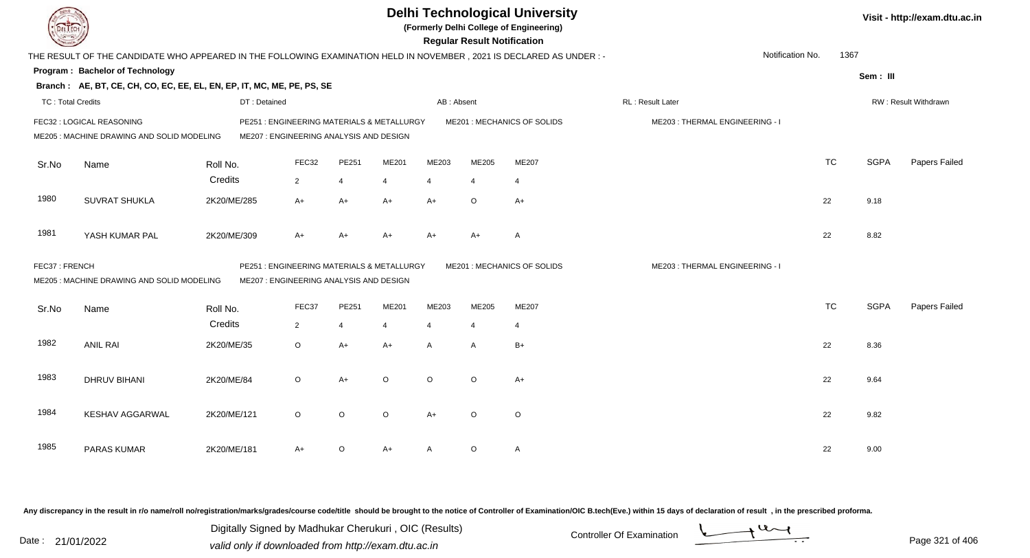| <b>DELTECH</b>                                                          |                                                                                                                      |              |                                                                                       |                |         |                | <b>Regular Result Notification</b> | <b>Delhi Technological University</b><br>(Formerly Delhi College of Engineering) |                                |           |             | Visit - http://exam.dtu.ac.in |
|-------------------------------------------------------------------------|----------------------------------------------------------------------------------------------------------------------|--------------|---------------------------------------------------------------------------------------|----------------|---------|----------------|------------------------------------|----------------------------------------------------------------------------------|--------------------------------|-----------|-------------|-------------------------------|
|                                                                         | THE RESULT OF THE CANDIDATE WHO APPEARED IN THE FOLLOWING EXAMINATION HELD IN NOVEMBER, 2021 IS DECLARED AS UNDER :- |              |                                                                                       |                |         |                |                                    |                                                                                  | Notification No.               | 1367      |             |                               |
|                                                                         | <b>Program: Bachelor of Technology</b>                                                                               |              |                                                                                       |                |         |                |                                    |                                                                                  |                                |           | Sem: III    |                               |
|                                                                         | Branch: AE, BT, CE, CH, CO, EC, EE, EL, EN, EP, IT, MC, ME, PE, PS, SE                                               |              |                                                                                       |                |         |                |                                    |                                                                                  |                                |           |             |                               |
| <b>TC: Total Credits</b>                                                |                                                                                                                      | DT: Detained |                                                                                       |                |         | AB: Absent     |                                    |                                                                                  | RL : Result Later              |           |             | RW: Result Withdrawn          |
| FEC32 : LOGICAL REASONING<br>ME205 : MACHINE DRAWING AND SOLID MODELING |                                                                                                                      |              | PE251 : ENGINEERING MATERIALS & METALLURGY<br>ME207 : ENGINEERING ANALYSIS AND DESIGN |                |         |                |                                    | ME201 : MECHANICS OF SOLIDS                                                      | ME203: THERMAL ENGINEERING - I |           |             |                               |
| Sr.No                                                                   | Name                                                                                                                 | Roll No.     | FEC32                                                                                 | PE251          | ME201   | ME203          | ME205                              | ME207                                                                            |                                | <b>TC</b> | <b>SGPA</b> | Papers Failed                 |
|                                                                         |                                                                                                                      | Credits      | $\overline{2}$                                                                        | $\overline{4}$ | 4       | $\overline{4}$ | $\overline{4}$                     | $\overline{4}$                                                                   |                                |           |             |                               |
| 1980                                                                    | <b>SUVRAT SHUKLA</b>                                                                                                 | 2K20/ME/285  | $A+$                                                                                  | $A+$           | $A+$    | $A+$           | $\circ$                            | $A+$                                                                             |                                | 22        | 9.18        |                               |
| 1981                                                                    | YASH KUMAR PAL                                                                                                       | 2K20/ME/309  | $A+$                                                                                  | $A+$           | $A+$    | A+             | A+                                 | A                                                                                |                                | 22        | 8.82        |                               |
| FEC37: FRENCH                                                           | ME205 : MACHINE DRAWING AND SOLID MODELING                                                                           |              | PE251 : ENGINEERING MATERIALS & METALLURGY<br>ME207 : ENGINEERING ANALYSIS AND DESIGN |                |         |                |                                    | ME201 : MECHANICS OF SOLIDS                                                      | ME203: THERMAL ENGINEERING - I |           |             |                               |
| Sr.No                                                                   | Name                                                                                                                 | Roll No.     | FEC37                                                                                 | PE251          | ME201   | ME203          | ME205                              | ME207                                                                            |                                | <b>TC</b> | <b>SGPA</b> | Papers Failed                 |
|                                                                         |                                                                                                                      | Credits      | $\overline{2}$                                                                        | $\overline{4}$ | 4       | $\overline{4}$ | $\overline{4}$                     | $\overline{4}$                                                                   |                                |           |             |                               |
| 1982                                                                    | <b>ANIL RAI</b>                                                                                                      | 2K20/ME/35   | $\circ$                                                                               | $A+$           | $A+$    | A              | A                                  | $B+$                                                                             |                                | 22        | 8.36        |                               |
| 1983                                                                    | <b>DHRUV BIHANI</b>                                                                                                  | 2K20/ME/84   | $\circ$                                                                               | $A+$           | $\circ$ | $\circ$        | $\circ$                            | $A+$                                                                             |                                | 22        | 9.64        |                               |
| 1984                                                                    | <b>KESHAV AGGARWAL</b>                                                                                               | 2K20/ME/121  | $\circ$                                                                               | $\circ$        | $\circ$ | $A+$           | $\circ$                            | $\circ$                                                                          |                                | 22        | 9.82        |                               |
| 1985                                                                    | PARAS KUMAR                                                                                                          | 2K20/ME/181  | $A+$                                                                                  | O              | $A+$    | A              | O                                  | $\mathsf{A}$                                                                     |                                | 22        | 9.00        |                               |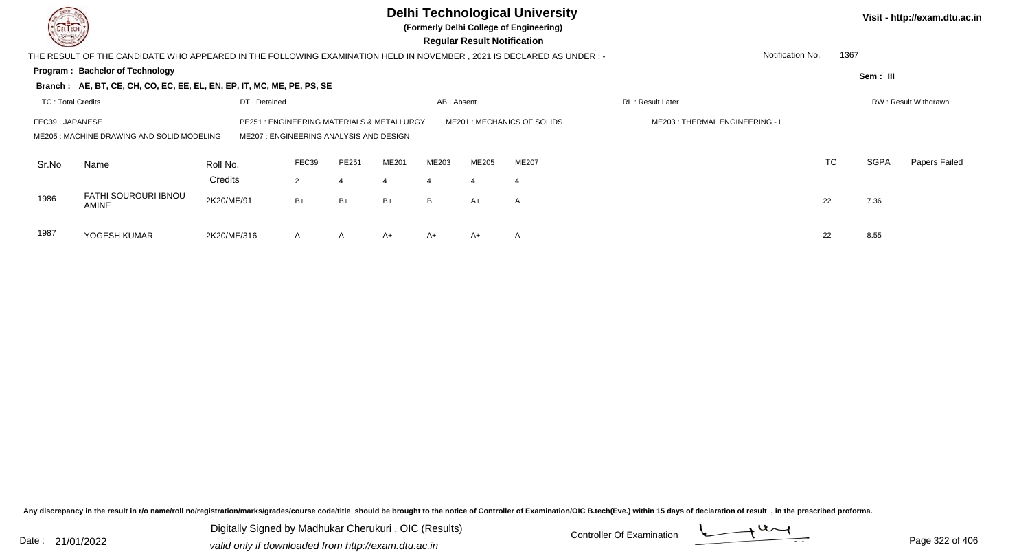| <b>Second</b>                            | <b>Delhi Technological University</b><br>DEL TECH<br>(Formerly Delhi College of Engineering)<br><b>Regular Result Notification</b> |                                                  |           |              |                                      |                     |                             |                            |                                |                          |             | Visit - http://exam.dtu.ac.in |  |  |  |  |
|------------------------------------------|------------------------------------------------------------------------------------------------------------------------------------|--------------------------------------------------|-----------|--------------|--------------------------------------|---------------------|-----------------------------|----------------------------|--------------------------------|--------------------------|-------------|-------------------------------|--|--|--|--|
|                                          | THE RESULT OF THE CANDIDATE WHO APPEARED IN THE FOLLOWING EXAMINATION HELD IN NOVEMBER , 2021 IS DECLARED AS UNDER :-              |                                                  |           |              |                                      |                     |                             |                            |                                | Notification No.<br>1367 |             |                               |  |  |  |  |
|                                          | Program: Bachelor of Technology                                                                                                    |                                                  |           |              |                                      |                     |                             |                            |                                |                          |             |                               |  |  |  |  |
|                                          | Branch: AE, BT, CE, CH, CO, EC, EE, EL, EN, EP, IT, MC, ME, PE, PS, SE                                                             |                                                  |           |              |                                      |                     |                             |                            |                                |                          | Sem: III    |                               |  |  |  |  |
| <b>TC: Total Credits</b><br>DT: Detained |                                                                                                                                    |                                                  |           |              |                                      | AB: Absent          |                             |                            | RL: Result Later               | RW: Result Withdrawn     |             |                               |  |  |  |  |
| FEC39: JAPANESE                          | ME205: MACHINE DRAWING AND SOLID MODELING                                                                                          | PE251<br>ME207 : ENGINEERING ANALYSIS AND DESIGN |           |              | : ENGINEERING MATERIALS & METALLURGY |                     |                             | ME201: MECHANICS OF SOLIDS | ME203: THERMAL ENGINEERING - I |                          |             |                               |  |  |  |  |
| Sr.No                                    | Name                                                                                                                               | Roll No.<br>Credits                              | FEC39     | PE251        | ME201                                | ME203               | ME205                       | <b>ME207</b>               |                                | <b>TC</b>                | <b>SGPA</b> | Papers Failed                 |  |  |  |  |
| 1986                                     | FATHI SOUROURI IBNOU<br><b>AMINE</b>                                                                                               | 2K20/ME/91                                       | 2<br>$B+$ | $B+$         | $B+$                                 | $\overline{4}$<br>B | $\boldsymbol{\Delta}$<br>A+ | $\overline{4}$<br>A        |                                | 22                       | 7.36        |                               |  |  |  |  |
| 1987                                     | YOGESH KUMAR                                                                                                                       | 2K20/ME/316                                      | A         | $\mathsf{A}$ | $A+$                                 | $A+$                | A+                          | A                          |                                | 22                       | 8.55        |                               |  |  |  |  |

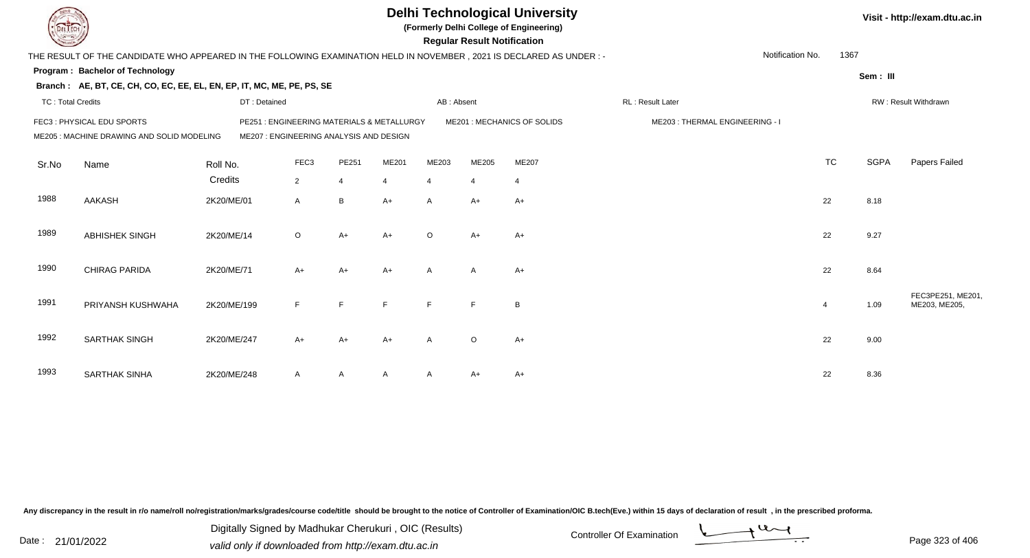|                          |                                                                                                                      |              |                                                                                      |                |                |                | <b>Regular Result Notification</b> | <b>Delhi Technological University</b><br>(Formerly Delhi College of Engineering) |                                |                  |                |             | Visit - http://exam.dtu.ac.in      |
|--------------------------|----------------------------------------------------------------------------------------------------------------------|--------------|--------------------------------------------------------------------------------------|----------------|----------------|----------------|------------------------------------|----------------------------------------------------------------------------------|--------------------------------|------------------|----------------|-------------|------------------------------------|
|                          | THE RESULT OF THE CANDIDATE WHO APPEARED IN THE FOLLOWING EXAMINATION HELD IN NOVEMBER, 2021 IS DECLARED AS UNDER :- |              |                                                                                      |                |                |                |                                    |                                                                                  |                                | Notification No. | 1367           |             |                                    |
|                          | Program: Bachelor of Technology                                                                                      |              |                                                                                      |                |                |                |                                    |                                                                                  |                                |                  |                | Sem: III    |                                    |
|                          | Branch: AE, BT, CE, CH, CO, EC, EE, EL, EN, EP, IT, MC, ME, PE, PS, SE                                               |              |                                                                                      |                |                |                |                                    |                                                                                  |                                |                  |                |             |                                    |
| <b>TC: Total Credits</b> |                                                                                                                      | DT: Detained |                                                                                      |                |                | AB: Absent     |                                    |                                                                                  | RL: Result Later               |                  |                |             | RW: Result Withdrawn               |
|                          | FEC3: PHYSICAL EDU SPORTS<br>ME205 : MACHINE DRAWING AND SOLID MODELING                                              |              | PE251: ENGINEERING MATERIALS & METALLURGY<br>ME207 : ENGINEERING ANALYSIS AND DESIGN |                |                |                |                                    | ME201 : MECHANICS OF SOLIDS                                                      | ME203: THERMAL ENGINEERING - I |                  |                |             |                                    |
| Sr.No                    | Name                                                                                                                 | Roll No.     | FEC <sub>3</sub>                                                                     | PE251          | ME201          | ME203          | ME205                              | <b>ME207</b>                                                                     |                                |                  | <b>TC</b>      | <b>SGPA</b> | Papers Failed                      |
|                          |                                                                                                                      | Credits      | $\overline{2}$                                                                       | $\overline{4}$ | $\overline{4}$ | $\overline{4}$ | $\overline{4}$                     | $\overline{4}$                                                                   |                                |                  |                |             |                                    |
| 1988                     | <b>AAKASH</b>                                                                                                        | 2K20/ME/01   | $\mathsf{A}$                                                                         | $\, {\sf B}$   | $A+$           | A              | A+                                 | $A+$                                                                             |                                |                  | 22             | 8.18        |                                    |
| 1989                     | <b>ABHISHEK SINGH</b>                                                                                                | 2K20/ME/14   | $\circ$                                                                              | $A+$           | $A+$           | $\circ$        | $A+$                               | $A+$                                                                             |                                |                  | 22             | 9.27        |                                    |
| 1990                     | <b>CHIRAG PARIDA</b>                                                                                                 | 2K20/ME/71   | $A+$                                                                                 | $A+$           | $A+$           | A              | $\overline{A}$                     | $A+$                                                                             |                                |                  | 22             | 8.64        |                                    |
| 1991                     | PRIYANSH KUSHWAHA                                                                                                    | 2K20/ME/199  | F.                                                                                   | E              | E              | F              | F                                  | B                                                                                |                                |                  | $\overline{4}$ | 1.09        | FEC3PE251, ME201,<br>ME203, ME205, |
| 1992                     | <b>SARTHAK SINGH</b>                                                                                                 | 2K20/ME/247  | $A+$                                                                                 | $A+$           | $A+$           | A              | $\circ$                            | $A+$                                                                             |                                |                  | 22             | 9.00        |                                    |
| 1993                     | <b>SARTHAK SINHA</b>                                                                                                 | 2K20/ME/248  | A                                                                                    | A              |                | A              | A+                                 | $A+$                                                                             |                                |                  | 22             | 8.36        |                                    |

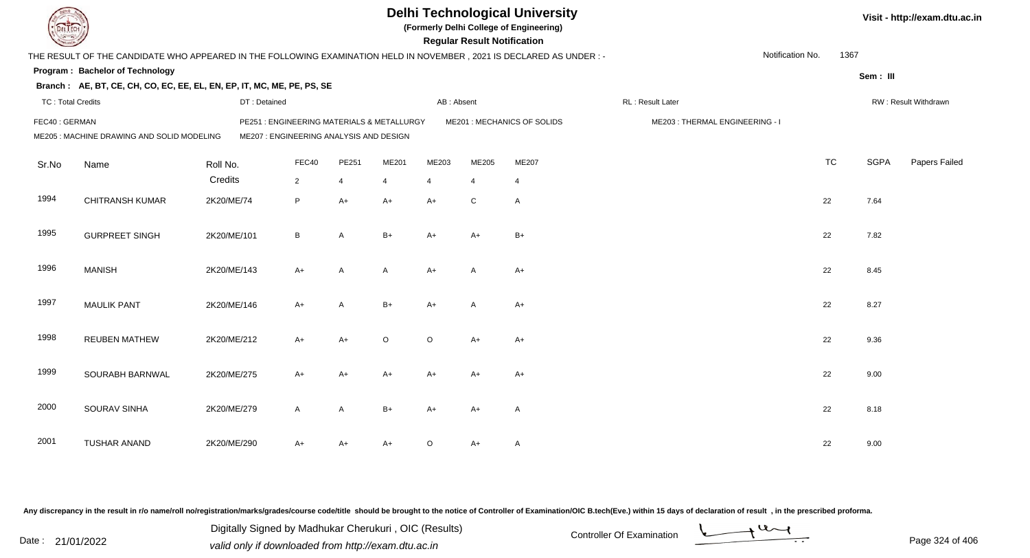| EL ECH                   |                                                                                                                      |              |                                                                                       |                | <b>Delhi Technological University</b><br>(Formerly Delhi College of Engineering)<br><b>Regular Result Notification</b> |                |                |                             |                                |                  |           |             | Visit - http://exam.dtu.ac.in |  |  |
|--------------------------|----------------------------------------------------------------------------------------------------------------------|--------------|---------------------------------------------------------------------------------------|----------------|------------------------------------------------------------------------------------------------------------------------|----------------|----------------|-----------------------------|--------------------------------|------------------|-----------|-------------|-------------------------------|--|--|
|                          | THE RESULT OF THE CANDIDATE WHO APPEARED IN THE FOLLOWING EXAMINATION HELD IN NOVEMBER, 2021 IS DECLARED AS UNDER :- |              |                                                                                       |                |                                                                                                                        |                |                |                             |                                | Notification No. | 1367      |             |                               |  |  |
|                          | Program: Bachelor of Technology                                                                                      |              |                                                                                       |                |                                                                                                                        |                |                |                             |                                |                  |           | Sem: III    |                               |  |  |
|                          | Branch: AE, BT, CE, CH, CO, EC, EE, EL, EN, EP, IT, MC, ME, PE, PS, SE                                               |              |                                                                                       |                |                                                                                                                        |                |                |                             |                                |                  |           |             |                               |  |  |
| <b>TC: Total Credits</b> |                                                                                                                      | DT: Detained |                                                                                       |                |                                                                                                                        | AB: Absent     |                |                             | RL : Result Later              |                  |           |             | RW: Result Withdrawn          |  |  |
| FEC40: GERMAN            | ME205 : MACHINE DRAWING AND SOLID MODELING                                                                           |              | PE251 : ENGINEERING MATERIALS & METALLURGY<br>ME207 : ENGINEERING ANALYSIS AND DESIGN |                |                                                                                                                        |                |                | ME201 : MECHANICS OF SOLIDS | ME203: THERMAL ENGINEERING - I |                  |           |             |                               |  |  |
| Sr.No                    | Name                                                                                                                 | Roll No.     | FEC40                                                                                 | PE251          | ME201                                                                                                                  | ME203          | ME205          | ME207                       |                                |                  | <b>TC</b> | <b>SGPA</b> | Papers Failed                 |  |  |
|                          |                                                                                                                      | Credits      | $\overline{2}$                                                                        | $\overline{4}$ | $\overline{4}$                                                                                                         | $\overline{4}$ | $\overline{4}$ | $\overline{4}$              |                                |                  |           |             |                               |  |  |
| 1994                     | <b>CHITRANSH KUMAR</b>                                                                                               | 2K20/ME/74   | P                                                                                     | $A+$           | $A+$                                                                                                                   | $A+$           | ${\bf C}$      | $\overline{A}$              |                                |                  | 22        | 7.64        |                               |  |  |
| 1995                     | <b>GURPREET SINGH</b>                                                                                                | 2K20/ME/101  | B                                                                                     | $\mathsf{A}$   | $B+$                                                                                                                   | $A+$           | A+             | $B+$                        |                                |                  | 22        | 7.82        |                               |  |  |
| 1996                     | <b>MANISH</b>                                                                                                        | 2K20/ME/143  | $A+$                                                                                  | A              | $\mathsf{A}$                                                                                                           | $A+$           | A              | $A+$                        |                                |                  | 22        | 8.45        |                               |  |  |
| 1997                     | <b>MAULIK PANT</b>                                                                                                   | 2K20/ME/146  | $A+$                                                                                  | A              | $B+$                                                                                                                   | $A+$           | Α              | $A+$                        |                                |                  | 22        | 8.27        |                               |  |  |
| 1998                     | <b>REUBEN MATHEW</b>                                                                                                 | 2K20/ME/212  | A+                                                                                    | $A+$           | $\circ$                                                                                                                | $\circ$        | $A+$           | $A+$                        |                                |                  | 22        | 9.36        |                               |  |  |
| 1999                     | SOURABH BARNWAL                                                                                                      | 2K20/ME/275  | $A+$                                                                                  | $A+$           | $A+$                                                                                                                   | $A+$           | $A+$           | $A+$                        |                                |                  | 22        | 9.00        |                               |  |  |
| 2000                     | SOURAV SINHA                                                                                                         | 2K20/ME/279  | A                                                                                     | $\overline{A}$ | $B+$                                                                                                                   | A+             | A+             | $\overline{A}$              |                                |                  | 22        | 8.18        |                               |  |  |
| 2001                     | <b>TUSHAR ANAND</b>                                                                                                  | 2K20/ME/290  | A+                                                                                    | $A+$           | $A+$                                                                                                                   | $\circ$        | $A+$           | $\mathsf{A}$                |                                |                  | 22        | 9.00        |                               |  |  |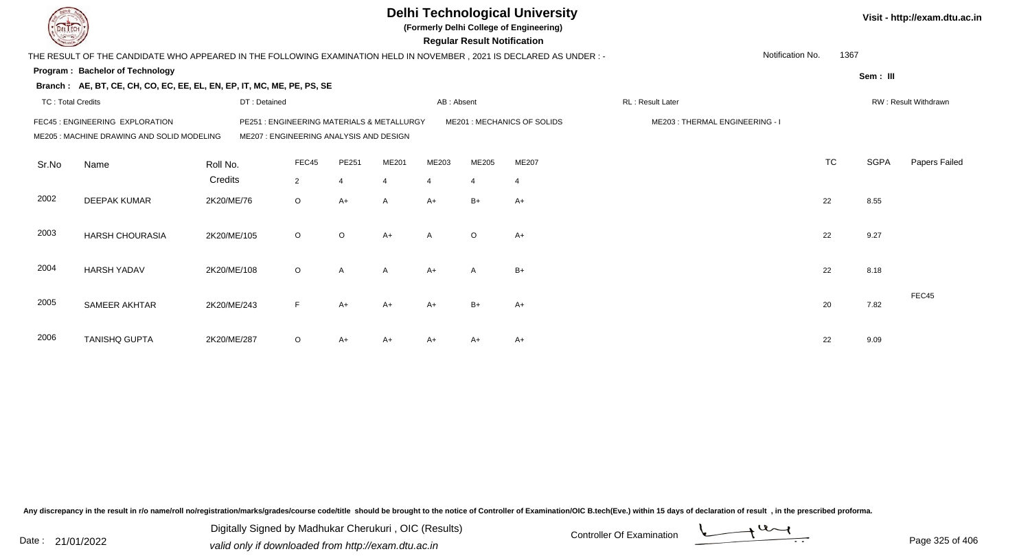|                          |                                                                                                                     |              |                                                                                 |                |              |                | <b>Regular Result Notification</b> | <b>Delhi Technological University</b><br>(Formerly Delhi College of Engineering) |                                |                  |           |             | Visit - http://exam.dtu.ac.in |
|--------------------------|---------------------------------------------------------------------------------------------------------------------|--------------|---------------------------------------------------------------------------------|----------------|--------------|----------------|------------------------------------|----------------------------------------------------------------------------------|--------------------------------|------------------|-----------|-------------|-------------------------------|
|                          | THE RESULT OF THE CANDIDATE WHO APPEARED IN THE FOLLOWING EXAMINATION HELD IN NOVEMBER, 2021 IS DECLARED AS UNDER:- |              |                                                                                 |                |              |                |                                    |                                                                                  |                                | Notification No. | 1367      |             |                               |
|                          | <b>Program: Bachelor of Technology</b>                                                                              |              |                                                                                 |                |              |                |                                    |                                                                                  |                                |                  |           | Sem: III    |                               |
|                          | Branch: AE, BT, CE, CH, CO, EC, EE, EL, EN, EP, IT, MC, ME, PE, PS, SE                                              |              |                                                                                 |                |              |                |                                    |                                                                                  |                                |                  |           |             |                               |
| <b>TC: Total Credits</b> |                                                                                                                     | DT: Detained |                                                                                 |                |              | AB: Absent     |                                    |                                                                                  | RL: Result Later               |                  |           |             | RW: Result Withdrawn          |
|                          | FEC45 : ENGINEERING EXPLORATION<br>ME205: MACHINE DRAWING AND SOLID MODELING                                        | PE251        | : ENGINEERING MATERIALS & METALLURGY<br>ME207 : ENGINEERING ANALYSIS AND DESIGN |                |              |                |                                    | ME201: MECHANICS OF SOLIDS                                                       | ME203: THERMAL ENGINEERING - I |                  |           |             |                               |
| Sr.No                    | Name                                                                                                                | Roll No.     | FEC45                                                                           | PE251          | ME201        | ME203          | ME205                              | ME207                                                                            |                                |                  | <b>TC</b> | <b>SGPA</b> | Papers Failed                 |
|                          |                                                                                                                     | Credits      | $\overline{2}$                                                                  | $\overline{4}$ | 4            | $\overline{4}$ | $\overline{4}$                     | $\overline{4}$                                                                   |                                |                  |           |             |                               |
| 2002                     | <b>DEEPAK KUMAR</b>                                                                                                 | 2K20/ME/76   | $\circ$                                                                         | $A+$           | A            | $A+$           | $B+$                               | $A+$                                                                             |                                |                  | 22        | 8.55        |                               |
| 2003                     | <b>HARSH CHOURASIA</b>                                                                                              | 2K20/ME/105  | $\circ$                                                                         | $\circ$        | $A+$         | $\mathsf{A}$   | $\circ$                            | $A+$                                                                             |                                |                  | 22        | 9.27        |                               |
| 2004                     | <b>HARSH YADAV</b>                                                                                                  | 2K20/ME/108  | $\circ$                                                                         | $\mathsf{A}$   | $\mathsf{A}$ | $A+$           | $\mathsf{A}$                       | $B+$                                                                             |                                |                  | 22        | 8.18        |                               |
| 2005                     | SAMEER AKHTAR                                                                                                       | 2K20/ME/243  | F                                                                               | $A+$           | $A+$         | $A+$           | $B+$                               | $A+$                                                                             |                                |                  | 20        | 7.82        | FEC45                         |
| 2006                     | <b>TANISHQ GUPTA</b>                                                                                                | 2K20/ME/287  | $\circ$                                                                         | A+             | A+           | $A+$           | A+                                 | $A+$                                                                             |                                |                  | 22        | 9.09        |                               |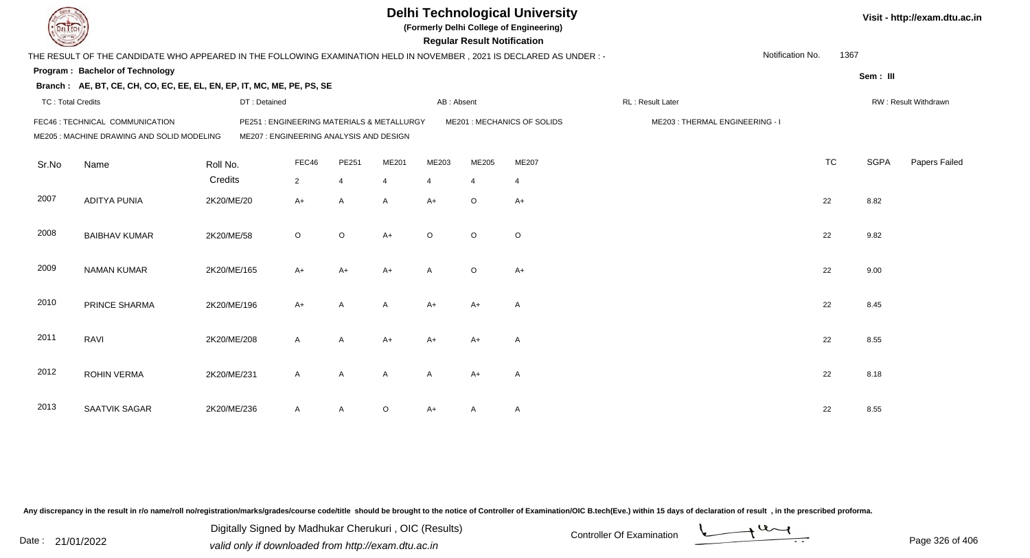| LI ECH                   |                                                                                                                        |                                                                                       |              |                |              |                | <b>Regular Result Notification</b> | <b>Delhi Technological University</b><br>(Formerly Delhi College of Engineering) |                                |                  |           |             | Visit - http://exam.dtu.ac.in |
|--------------------------|------------------------------------------------------------------------------------------------------------------------|---------------------------------------------------------------------------------------|--------------|----------------|--------------|----------------|------------------------------------|----------------------------------------------------------------------------------|--------------------------------|------------------|-----------|-------------|-------------------------------|
|                          | THE RESULT OF THE CANDIDATE WHO APPEARED IN THE FOLLOWING EXAMINATION HELD IN NOVEMBER , 2021 IS DECLARED AS UNDER : - |                                                                                       |              |                |              |                |                                    |                                                                                  |                                | Notification No. | 1367      |             |                               |
|                          | Program: Bachelor of Technology                                                                                        |                                                                                       |              |                |              |                |                                    |                                                                                  |                                |                  |           |             |                               |
|                          | Branch: AE, BT, CE, CH, CO, EC, EE, EL, EN, EP, IT, MC, ME, PE, PS, SE                                                 |                                                                                       |              |                |              |                |                                    |                                                                                  |                                |                  |           | Sem: III    |                               |
| <b>TC: Total Credits</b> |                                                                                                                        | DT: Detained                                                                          |              |                |              | AB: Absent     |                                    |                                                                                  | RL: Result Later               |                  |           |             | RW: Result Withdrawn          |
|                          | FEC46 : TECHNICAL COMMUNICATION<br>ME205 : MACHINE DRAWING AND SOLID MODELING                                          | PE251 : ENGINEERING MATERIALS & METALLURGY<br>ME207 : ENGINEERING ANALYSIS AND DESIGN |              |                |              |                |                                    | ME201 : MECHANICS OF SOLIDS                                                      | ME203: THERMAL ENGINEERING - I |                  |           |             |                               |
| Sr.No                    | Name                                                                                                                   | Roll No.                                                                              | FEC46        | PE251          | ME201        | ME203          | ME205                              | ME207                                                                            |                                |                  | <b>TC</b> | <b>SGPA</b> | Papers Failed                 |
|                          |                                                                                                                        | Credits                                                                               | $2^{\circ}$  | $\overline{4}$ | 4            | $\overline{4}$ | $\overline{4}$                     | $\overline{4}$                                                                   |                                |                  |           |             |                               |
| 2007                     | <b>ADITYA PUNIA</b>                                                                                                    | 2K20/ME/20                                                                            | $A+$         | A              | A            | $A+$           | $\circ$                            | $A+$                                                                             |                                |                  | 22        | 8.82        |                               |
| 2008                     | <b>BAIBHAV KUMAR</b>                                                                                                   | 2K20/ME/58                                                                            | $\circ$      | $\circ$        | $A+$         | $\circ$        | $\circ$                            | $\circ$                                                                          |                                |                  | 22        | 9.82        |                               |
| 2009                     | <b>NAMAN KUMAR</b>                                                                                                     | 2K20/ME/165                                                                           | $A+$         | $A+$           | $A+$         | $\mathsf{A}$   | $\circ$                            | $A+$                                                                             |                                |                  | 22        | 9.00        |                               |
| 2010                     | PRINCE SHARMA                                                                                                          | 2K20/ME/196                                                                           | $A+$         | $\overline{A}$ | A            | $A+$           | $A+$                               | $\overline{A}$                                                                   |                                |                  | 22        | 8.45        |                               |
| 2011                     | RAVI                                                                                                                   | 2K20/ME/208                                                                           | $\mathsf{A}$ | A              | $A+$         | $A+$           | $A+$                               | $\overline{A}$                                                                   |                                |                  | 22        | 8.55        |                               |
| 2012                     | <b>ROHIN VERMA</b>                                                                                                     | 2K20/ME/231                                                                           | $\mathsf{A}$ | A              | $\mathsf{A}$ | $\mathsf{A}$   | $A+$                               | $\overline{A}$                                                                   |                                |                  | 22        | 8.18        |                               |
| 2013                     | SAATVIK SAGAR                                                                                                          | 2K20/ME/236                                                                           | A            | A              | $\circ$      | $A+$           | A                                  | $\mathsf{A}$                                                                     |                                |                  | 22        | 8.55        |                               |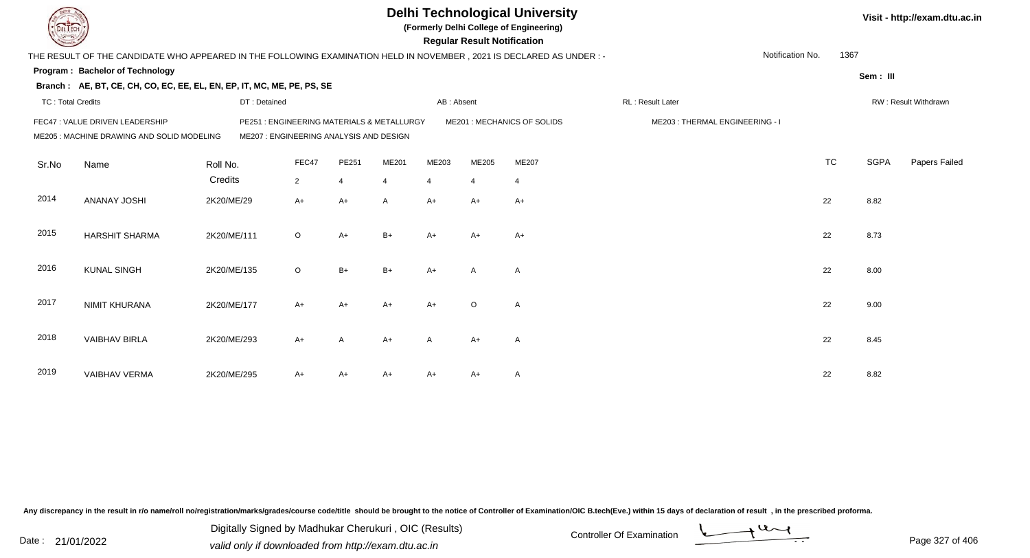|                          |                                                                                                                        |              |                                                                                       |                |       |                | <b>Regular Result Notification</b> | <b>Delhi Technological University</b><br>(Formerly Delhi College of Engineering) |                                |                  |           |             | Visit - http://exam.dtu.ac.in |
|--------------------------|------------------------------------------------------------------------------------------------------------------------|--------------|---------------------------------------------------------------------------------------|----------------|-------|----------------|------------------------------------|----------------------------------------------------------------------------------|--------------------------------|------------------|-----------|-------------|-------------------------------|
|                          | THE RESULT OF THE CANDIDATE WHO APPEARED IN THE FOLLOWING EXAMINATION HELD IN NOVEMBER , 2021 IS DECLARED AS UNDER : - |              |                                                                                       |                |       |                |                                    |                                                                                  |                                | Notification No. | 1367      |             |                               |
|                          | Program: Bachelor of Technology                                                                                        |              |                                                                                       |                |       |                |                                    |                                                                                  |                                |                  |           | Sem: III    |                               |
|                          | Branch: AE, BT, CE, CH, CO, EC, EE, EL, EN, EP, IT, MC, ME, PE, PS, SE                                                 |              |                                                                                       |                |       |                |                                    |                                                                                  |                                |                  |           |             |                               |
| <b>TC: Total Credits</b> |                                                                                                                        | DT: Detained |                                                                                       |                |       | AB: Absent     |                                    |                                                                                  | RL: Result Later               |                  |           |             | RW: Result Withdrawn          |
|                          | FEC47 : VALUE DRIVEN LEADERSHIP<br>ME205 : MACHINE DRAWING AND SOLID MODELING                                          |              | PE251 : ENGINEERING MATERIALS & METALLURGY<br>ME207 : ENGINEERING ANALYSIS AND DESIGN |                |       |                |                                    | ME201 : MECHANICS OF SOLIDS                                                      | ME203: THERMAL ENGINEERING - I |                  |           |             |                               |
| Sr.No                    | Name                                                                                                                   | Roll No.     | FEC47                                                                                 | PE251          | ME201 | ME203          | ME205                              | ME207                                                                            |                                |                  | <b>TC</b> | <b>SGPA</b> | Papers Failed                 |
|                          |                                                                                                                        | Credits      | $\overline{2}$                                                                        | $\overline{4}$ | 4     | $\overline{4}$ | $\overline{4}$                     | $\overline{4}$                                                                   |                                |                  |           |             |                               |
| 2014                     | <b>ANANAY JOSHI</b>                                                                                                    | 2K20/ME/29   | $A+$                                                                                  | $A+$           | A     | $A+$           | $A+$                               | $A+$                                                                             |                                |                  | 22        | 8.82        |                               |
| 2015                     | <b>HARSHIT SHARMA</b>                                                                                                  | 2K20/ME/111  | $\circ$                                                                               | $A+$           | $B+$  | $A+$           | A+                                 | $A+$                                                                             |                                |                  | 22        | 8.73        |                               |
| 2016                     | <b>KUNAL SINGH</b>                                                                                                     | 2K20/ME/135  | $\circ$                                                                               | $B+$           | $B+$  | $A+$           | $\mathsf{A}$                       | Α                                                                                |                                |                  | 22        | 8.00        |                               |
| 2017                     | <b>NIMIT KHURANA</b>                                                                                                   | 2K20/ME/177  | A+                                                                                    | $A+$           | $A+$  | $A+$           | $\circ$                            | A                                                                                |                                |                  | 22        | 9.00        |                               |
| 2018                     | <b>VAIBHAV BIRLA</b>                                                                                                   | 2K20/ME/293  | $A+$                                                                                  | $\overline{A}$ | $A+$  | $\mathsf{A}$   | $A+$                               | $\overline{\mathsf{A}}$                                                          |                                |                  | 22        | 8.45        |                               |
| 2019                     | <b>VAIBHAV VERMA</b>                                                                                                   | 2K20/ME/295  | A+                                                                                    | A+             | A+    | A+             | A+                                 | A                                                                                |                                |                  | 22        | 8.82        |                               |

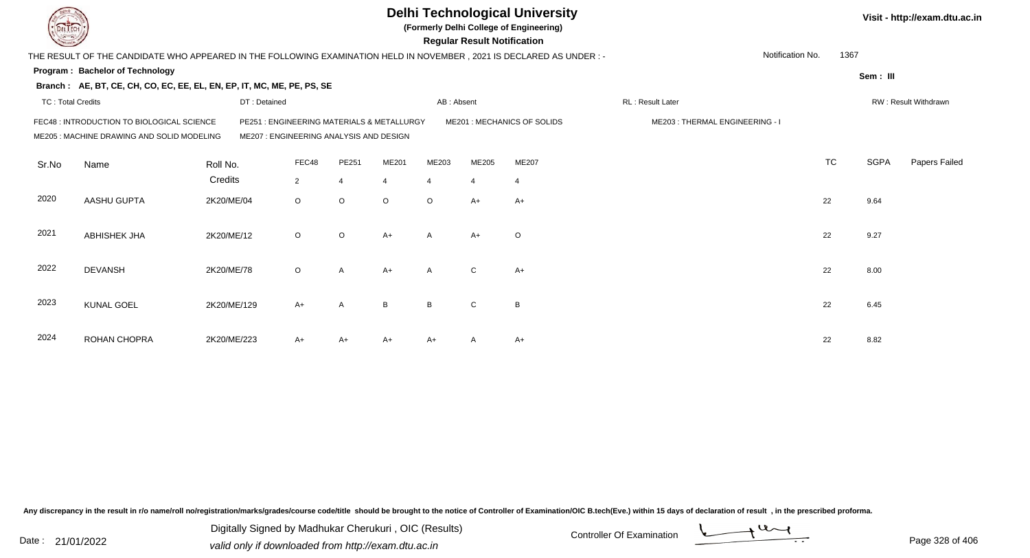|                          |                                                                                                                     |              |                                                                                      |                |         |                | <b>Regular Result Notification</b> | <b>Delhi Technological University</b><br>(Formerly Delhi College of Engineering) |                                |                  |             | Visit - http://exam.dtu.ac.in |
|--------------------------|---------------------------------------------------------------------------------------------------------------------|--------------|--------------------------------------------------------------------------------------|----------------|---------|----------------|------------------------------------|----------------------------------------------------------------------------------|--------------------------------|------------------|-------------|-------------------------------|
|                          | THE RESULT OF THE CANDIDATE WHO APPEARED IN THE FOLLOWING EXAMINATION HELD IN NOVEMBER, 2021 IS DECLARED AS UNDER:- |              |                                                                                      |                |         |                |                                    |                                                                                  |                                | Notification No. | 1367        |                               |
|                          | <b>Program: Bachelor of Technology</b>                                                                              |              |                                                                                      |                |         |                |                                    |                                                                                  |                                |                  | Sem: III    |                               |
|                          | Branch: AE, BT, CE, CH, CO, EC, EE, EL, EN, EP, IT, MC, ME, PE, PS, SE                                              |              |                                                                                      |                |         |                |                                    |                                                                                  |                                |                  |             |                               |
| <b>TC: Total Credits</b> |                                                                                                                     | DT: Detained |                                                                                      |                |         | AB: Absent     |                                    |                                                                                  | RL: Result Later               |                  |             | RW: Result Withdrawn          |
|                          | FEC48 : INTRODUCTION TO BIOLOGICAL SCIENCE<br>ME205 : MACHINE DRAWING AND SOLID MODELING                            |              | PE251: ENGINEERING MATERIALS & METALLURGY<br>ME207 : ENGINEERING ANALYSIS AND DESIGN |                |         |                |                                    | ME201: MECHANICS OF SOLIDS                                                       | ME203: THERMAL ENGINEERING - I |                  |             |                               |
| Sr.No                    | Name                                                                                                                | Roll No.     | FEC48                                                                                | PE251          | ME201   | ME203          | ME205                              | ME207                                                                            |                                | <b>TC</b>        | <b>SGPA</b> | Papers Failed                 |
|                          |                                                                                                                     | Credits      | $\overline{2}$                                                                       | $\overline{4}$ | 4       | $\overline{4}$ | $\overline{4}$                     | $\overline{4}$                                                                   |                                |                  |             |                               |
| 2020                     | AASHU GUPTA                                                                                                         | 2K20/ME/04   | $\circ$                                                                              | $\circ$        | $\circ$ | $\circ$        | $A+$                               | $A+$                                                                             |                                | 22               | 9.64        |                               |
| 2021                     | <b>ABHISHEK JHA</b>                                                                                                 | 2K20/ME/12   | $\circ$                                                                              | $\circ$        | $A+$    | $\mathsf{A}$   | $A+$                               | $\circ$                                                                          |                                | 22               | 9.27        |                               |
| 2022                     | <b>DEVANSH</b>                                                                                                      | 2K20/ME/78   | $\circ$                                                                              | $\mathsf{A}$   | $A+$    | $\mathsf{A}$   | ${\bf C}$                          | $A+$                                                                             |                                | 22               | 8.00        |                               |
| 2023                     | <b>KUNAL GOEL</b>                                                                                                   | 2K20/ME/129  | $A+$                                                                                 | A              | B       | B              | C                                  | B                                                                                |                                | 22               | 6.45        |                               |
| 2024                     | ROHAN CHOPRA                                                                                                        | 2K20/ME/223  | A+                                                                                   | A+             | A+      | A+             |                                    | $A+$                                                                             |                                | 22               | 8.82        |                               |

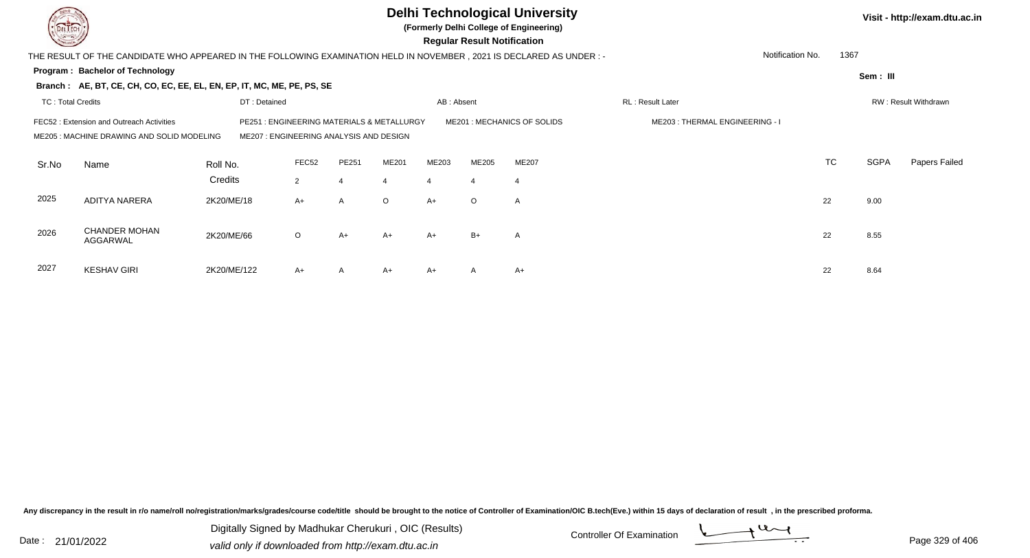|                          |                                                                                                                        |              |                                                                                 |                  |         |                | <b>Regular Result Notification</b> | <b>Delhi Technological University</b><br>(Formerly Delhi College of Engineering) |                                |           |             | Visit - http://exam.dtu.ac.in |
|--------------------------|------------------------------------------------------------------------------------------------------------------------|--------------|---------------------------------------------------------------------------------|------------------|---------|----------------|------------------------------------|----------------------------------------------------------------------------------|--------------------------------|-----------|-------------|-------------------------------|
|                          | THE RESULT OF THE CANDIDATE WHO APPEARED IN THE FOLLOWING EXAMINATION HELD IN NOVEMBER , 2021 IS DECLARED AS UNDER : - |              |                                                                                 |                  |         |                |                                    |                                                                                  | Notification No.               | 1367      |             |                               |
|                          | Program: Bachelor of Technology                                                                                        |              |                                                                                 |                  |         |                |                                    |                                                                                  |                                |           | Sem: III    |                               |
|                          | Branch: AE, BT, CE, CH, CO, EC, EE, EL, EN, EP, IT, MC, ME, PE, PS, SE                                                 |              |                                                                                 |                  |         |                |                                    |                                                                                  |                                |           |             |                               |
| <b>TC: Total Credits</b> |                                                                                                                        | DT: Detained |                                                                                 |                  |         | AB: Absent     |                                    |                                                                                  | RL: Result Later               |           |             | RW: Result Withdrawn          |
|                          | FEC52: Extension and Outreach Activities<br>ME205 : MACHINE DRAWING AND SOLID MODELING                                 | PE251        | : ENGINEERING MATERIALS & METALLURGY<br>ME207 : ENGINEERING ANALYSIS AND DESIGN |                  |         |                |                                    | ME201 : MECHANICS OF SOLIDS                                                      | ME203: THERMAL ENGINEERING - I |           |             |                               |
| Sr.No                    | Name                                                                                                                   | Roll No.     | FEC52                                                                           | PE251            | ME201   | ME203          | ME205                              | <b>ME207</b>                                                                     |                                | <b>TC</b> | <b>SGPA</b> | Papers Failed                 |
|                          |                                                                                                                        | Credits      | $\overline{2}$                                                                  | $\boldsymbol{4}$ | 4       | $\overline{4}$ | $\overline{4}$                     | -4                                                                               |                                |           |             |                               |
| 2025                     | <b>ADITYA NARERA</b>                                                                                                   | 2K20/ME/18   | $A+$                                                                            | $\overline{A}$   | $\circ$ | $A+$           | $\circ$                            | $\mathsf{A}$                                                                     |                                | 22        | 9.00        |                               |
| 2026                     | <b>CHANDER MOHAN</b><br>AGGARWAL                                                                                       | 2K20/ME/66   | $\circ$                                                                         | $A+$             | $A+$    | $A+$           | $B+$                               | $\overline{A}$                                                                   |                                | 22        | 8.55        |                               |
| 2027                     | <b>KESHAV GIRI</b>                                                                                                     | 2K20/ME/122  | A+                                                                              | A                | A+      | $A+$           | A                                  | $A+$                                                                             |                                | 22        | 8.64        |                               |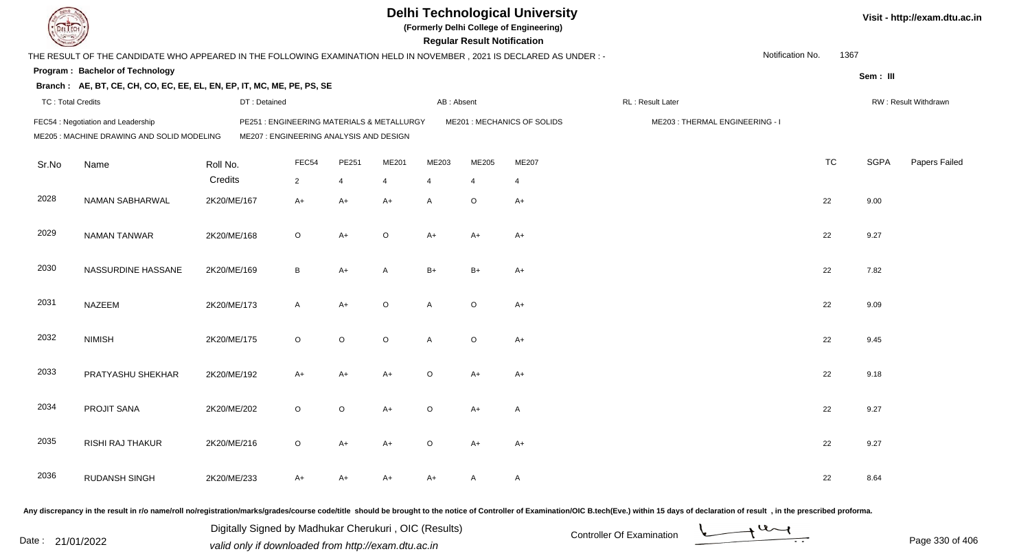|                          |                                                                                                                      |              |                                                                                       |         |              |                | <b>Regular Result Notification</b> | <b>Delhi Technological University</b><br>(Formerly Delhi College of Engineering) |                                |                  |           |             | Visit - http://exam.dtu.ac.in |
|--------------------------|----------------------------------------------------------------------------------------------------------------------|--------------|---------------------------------------------------------------------------------------|---------|--------------|----------------|------------------------------------|----------------------------------------------------------------------------------|--------------------------------|------------------|-----------|-------------|-------------------------------|
|                          | THE RESULT OF THE CANDIDATE WHO APPEARED IN THE FOLLOWING EXAMINATION HELD IN NOVEMBER, 2021 IS DECLARED AS UNDER :- |              |                                                                                       |         |              |                |                                    |                                                                                  |                                | Notification No. | 1367      |             |                               |
|                          | Program: Bachelor of Technology                                                                                      |              |                                                                                       |         |              |                |                                    |                                                                                  |                                |                  |           | Sem: III    |                               |
|                          | Branch: AE, BT, CE, CH, CO, EC, EE, EL, EN, EP, IT, MC, ME, PE, PS, SE                                               |              |                                                                                       |         |              |                |                                    |                                                                                  |                                |                  |           |             |                               |
| <b>TC: Total Credits</b> |                                                                                                                      | DT: Detained |                                                                                       |         |              | AB: Absent     |                                    |                                                                                  | RL: Result Later               |                  |           |             | RW: Result Withdrawn          |
|                          | FEC54 : Negotiation and Leadership<br>ME205 : MACHINE DRAWING AND SOLID MODELING                                     |              | PE251 : ENGINEERING MATERIALS & METALLURGY<br>ME207 : ENGINEERING ANALYSIS AND DESIGN |         |              |                |                                    | ME201 : MECHANICS OF SOLIDS                                                      | ME203: THERMAL ENGINEERING - I |                  |           |             |                               |
| Sr.No                    | Name                                                                                                                 | Roll No.     | FEC54                                                                                 | PE251   | ME201        | ME203          | ME205                              | ME207                                                                            |                                |                  | <b>TC</b> | <b>SGPA</b> | Papers Failed                 |
|                          |                                                                                                                      | Credits      | $\overline{2}$                                                                        | 4       | 4            | $\overline{4}$ | $\overline{4}$                     | $\overline{4}$                                                                   |                                |                  |           |             |                               |
| 2028                     | NAMAN SABHARWAL                                                                                                      | 2K20/ME/167  | $A+$                                                                                  | $A+$    | $A+$         | A              | $\circ$                            | $A+$                                                                             |                                |                  | 22        | 9.00        |                               |
| 2029                     | <b>NAMAN TANWAR</b>                                                                                                  | 2K20/ME/168  | $\circ$                                                                               | $A+$    | $\circ$      | $A+$           | $A+$                               | $A+$                                                                             |                                |                  | 22        | 9.27        |                               |
| 2030                     | NASSURDINE HASSANE                                                                                                   | 2K20/ME/169  | B                                                                                     | $A+$    | $\mathsf{A}$ | $B+$           | $B+$                               | $A+$                                                                             |                                |                  | 22        | 7.82        |                               |
| 2031                     | <b>NAZEEM</b>                                                                                                        | 2K20/ME/173  | $\mathsf{A}$                                                                          | $A+$    | $\circ$      | A              | $\circ$                            | $A+$                                                                             |                                |                  | 22        | 9.09        |                               |
| 2032                     | <b>NIMISH</b>                                                                                                        | 2K20/ME/175  | $\circ$                                                                               | $\circ$ | $\circ$      | A              | $\circ$                            | $A+$                                                                             |                                |                  | 22        | 9.45        |                               |
| 2033                     | PRATYASHU SHEKHAR                                                                                                    | 2K20/ME/192  | A+                                                                                    | $A+$    | $A+$         | $\circ$        | $A+$                               | $A+$                                                                             |                                |                  | 22        | 9.18        |                               |
| 2034                     | PROJIT SANA                                                                                                          | 2K20/ME/202  | $\circ$                                                                               | $\circ$ | A+           | $\circ$        | A+                                 | A                                                                                |                                |                  | 22        | 9.27        |                               |
| 2035                     | RISHI RAJ THAKUR                                                                                                     | 2K20/ME/216  | $\circ$                                                                               | $A+$    | A+           | $\circ$        | A+                                 | $A+$                                                                             |                                |                  | 22        | 9.27        |                               |
| 2036                     | <b>RUDANSH SINGH</b>                                                                                                 | 2K20/ME/233  | A+                                                                                    | $A+$    | A+           | A+             | A                                  | $\mathsf{A}$                                                                     |                                |                  | 22        | 8.64        |                               |
|                          |                                                                                                                      |              |                                                                                       |         |              |                |                                    |                                                                                  |                                |                  |           |             |                               |

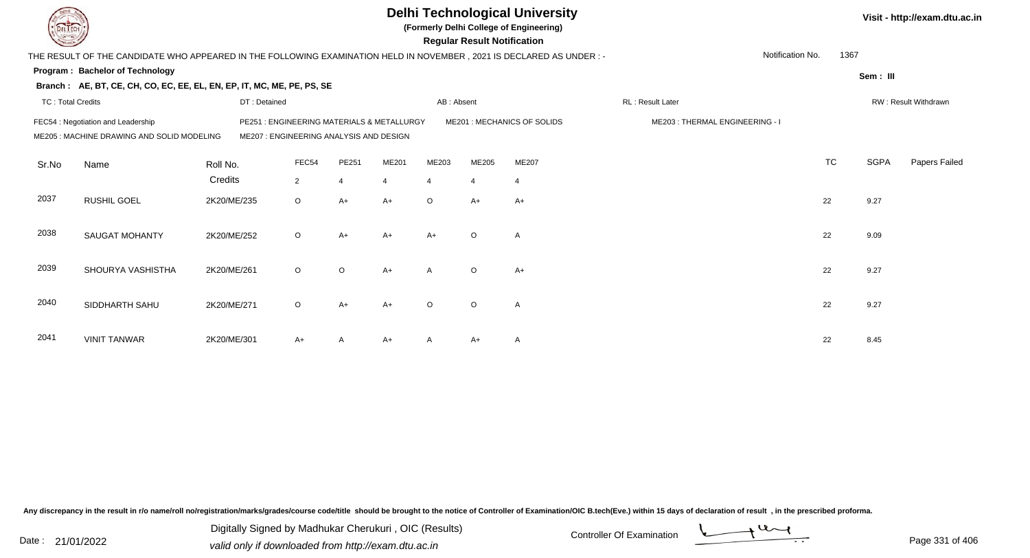|                          |                                                                                                                        |              |                                         |                |                |                | <b>Regular Result Notification</b> | <b>Delhi Technological University</b><br>(Formerly Delhi College of Engineering) |                                |                  |           |             | Visit - http://exam.dtu.ac.in |
|--------------------------|------------------------------------------------------------------------------------------------------------------------|--------------|-----------------------------------------|----------------|----------------|----------------|------------------------------------|----------------------------------------------------------------------------------|--------------------------------|------------------|-----------|-------------|-------------------------------|
|                          | THE RESULT OF THE CANDIDATE WHO APPEARED IN THE FOLLOWING EXAMINATION HELD IN NOVEMBER , 2021 IS DECLARED AS UNDER : - |              |                                         |                |                |                |                                    |                                                                                  |                                | Notification No. | 1367      |             |                               |
|                          | <b>Program: Bachelor of Technology</b>                                                                                 |              |                                         |                |                |                |                                    |                                                                                  |                                |                  |           | Sem: III    |                               |
|                          | Branch: AE, BT, CE, CH, CO, EC, EE, EL, EN, EP, IT, MC, ME, PE, PS, SE                                                 |              |                                         |                |                |                |                                    |                                                                                  |                                |                  |           |             |                               |
| <b>TC: Total Credits</b> |                                                                                                                        | DT: Detained |                                         |                |                | AB: Absent     |                                    |                                                                                  | RL: Result Later               |                  |           |             | RW: Result Withdrawn          |
|                          | FEC54 : Negotiation and Leadership                                                                                     | PE251        | : ENGINEERING MATERIALS & METALLURGY    |                |                |                |                                    | ME201 : MECHANICS OF SOLIDS                                                      | ME203: THERMAL ENGINEERING - I |                  |           |             |                               |
|                          | ME205: MACHINE DRAWING AND SOLID MODELING                                                                              |              | ME207 : ENGINEERING ANALYSIS AND DESIGN |                |                |                |                                    |                                                                                  |                                |                  |           |             |                               |
| Sr.No                    | Name                                                                                                                   | Roll No.     | FEC54                                   | PE251          | ME201          | ME203          | ME205                              | ME207                                                                            |                                |                  | <b>TC</b> | <b>SGPA</b> | Papers Failed                 |
|                          |                                                                                                                        | Credits      | $\overline{2}$                          | $\overline{4}$ | $\overline{4}$ | $\overline{4}$ | $\overline{4}$                     | $\overline{4}$                                                                   |                                |                  |           |             |                               |
| 2037                     | <b>RUSHIL GOEL</b>                                                                                                     | 2K20/ME/235  | $\circ$                                 | $A+$           | $A+$           | $\circ$        | $A+$                               | $A+$                                                                             |                                |                  | 22        | 9.27        |                               |
| 2038                     | <b>SAUGAT MOHANTY</b>                                                                                                  | 2K20/ME/252  | $\circ$                                 | $A+$           | $A+$           | $A+$           | $\circ$                            | $\overline{A}$                                                                   |                                |                  | 22        | 9.09        |                               |
|                          |                                                                                                                        |              |                                         |                |                |                |                                    |                                                                                  |                                |                  |           |             |                               |
| 2039                     | SHOURYA VASHISTHA                                                                                                      | 2K20/ME/261  | $\circ$                                 | $\circ$        | $A+$           | $\mathsf{A}$   | $\circ$                            | $A+$                                                                             |                                |                  | 22        | 9.27        |                               |
|                          |                                                                                                                        |              |                                         |                |                |                |                                    |                                                                                  |                                |                  |           |             |                               |
| 2040                     | SIDDHARTH SAHU                                                                                                         | 2K20/ME/271  | $\circ$                                 | $A+$           | $A+$           | $\Omega$       | $\circ$                            | $\overline{A}$                                                                   |                                |                  | 22        | 9.27        |                               |
| 2041                     | <b>VINIT TANWAR</b>                                                                                                    | 2K20/ME/301  | A+                                      | A              | $A+$           |                | A+                                 | Α                                                                                |                                |                  | 22        | 8.45        |                               |
|                          |                                                                                                                        |              |                                         |                |                |                |                                    |                                                                                  |                                |                  |           |             |                               |

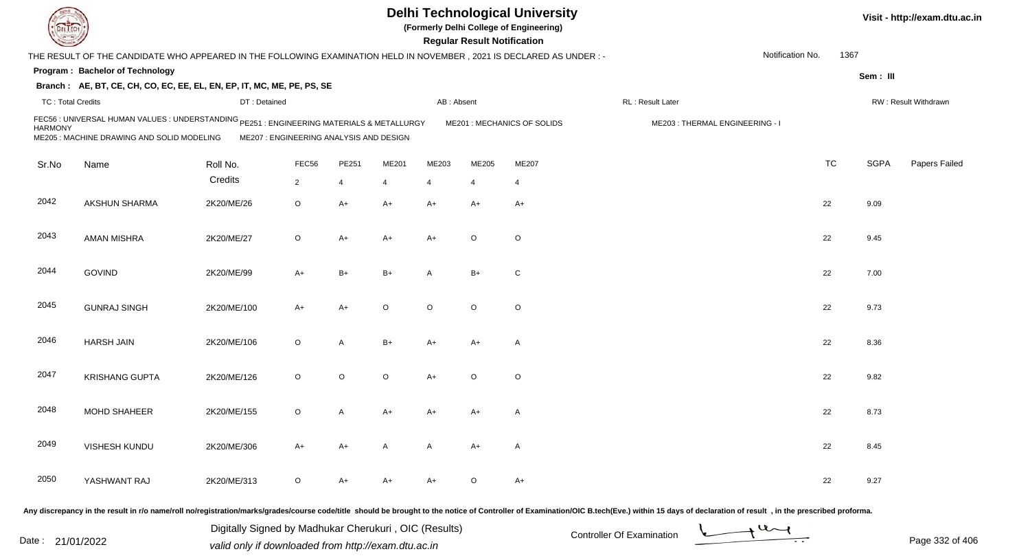|                          |                                                                                                                                         |                                         |                |       |         |              | <b>Regular Result Notification</b> | <b>Delhi Technological University</b><br>(Formerly Delhi College of Engineering) |                                |                  |           |             | Visit - http://exam.dtu.ac.in |
|--------------------------|-----------------------------------------------------------------------------------------------------------------------------------------|-----------------------------------------|----------------|-------|---------|--------------|------------------------------------|----------------------------------------------------------------------------------|--------------------------------|------------------|-----------|-------------|-------------------------------|
|                          | THE RESULT OF THE CANDIDATE WHO APPEARED IN THE FOLLOWING EXAMINATION HELD IN NOVEMBER , 2021 IS DECLARED AS UNDER : -                  |                                         |                |       |         |              |                                    |                                                                                  |                                | Notification No. |           | 1367        |                               |
|                          | Program: Bachelor of Technology                                                                                                         |                                         |                |       |         |              |                                    |                                                                                  |                                |                  |           | Sem: III    |                               |
|                          | Branch: AE, BT, CE, CH, CO, EC, EE, EL, EN, EP, IT, MC, ME, PE, PS, SE                                                                  |                                         |                |       |         |              |                                    |                                                                                  |                                |                  |           |             |                               |
| <b>TC: Total Credits</b> |                                                                                                                                         | DT: Detained                            |                |       |         | AB: Absent   |                                    |                                                                                  | RL: Result Later               |                  |           |             | RW: Result Withdrawn          |
| <b>HARMONY</b>           | FEC56 : UNIVERSAL HUMAN VALUES : UNDERSTANDING PE251 : ENGINEERING MATERIALS & METALLURGY<br>ME205 : MACHINE DRAWING AND SOLID MODELING | ME207 : ENGINEERING ANALYSIS AND DESIGN |                |       |         |              |                                    | ME201 : MECHANICS OF SOLIDS                                                      | ME203: THERMAL ENGINEERING - I |                  |           |             |                               |
| Sr.No                    | Name                                                                                                                                    | Roll No.                                | FEC56          | PE251 | ME201   | ME203        | ME205                              | ME207                                                                            |                                |                  | <b>TC</b> | <b>SGPA</b> | Papers Failed                 |
|                          |                                                                                                                                         | Credits                                 | $\overline{2}$ | 4     | 4       | 4            | -4                                 | -4                                                                               |                                |                  |           |             |                               |
| 2042                     | AKSHUN SHARMA                                                                                                                           | 2K20/ME/26                              | O              | A+    | A+      | $A+$         | $A+$                               | $A+$                                                                             |                                |                  | 22        | 9.09        |                               |
| 2043                     | <b>AMAN MISHRA</b>                                                                                                                      | 2K20/ME/27                              | O              | A+    | A+      | $A+$         | $\circ$                            | $\circ$                                                                          |                                |                  | 22        | 9.45        |                               |
| 2044                     | <b>GOVIND</b>                                                                                                                           | 2K20/ME/99                              | $A+$           | B+    | B+      | A            | $B+$                               | C                                                                                |                                |                  | 22        | 7.00        |                               |
| 2045                     | <b>GUNRAJ SINGH</b>                                                                                                                     | 2K20/ME/100                             | $A+$           | A+    | $\circ$ | $\circ$      | $\circ$                            | $\circ$                                                                          |                                |                  | 22        | 9.73        |                               |
| 2046                     | <b>HARSH JAIN</b>                                                                                                                       | 2K20/ME/106                             | O              | A     | $B+$    | A+           | $A+$                               | $\mathsf{A}$                                                                     |                                |                  | 22        | 8.36        |                               |
| 2047                     | <b>KRISHANG GUPTA</b>                                                                                                                   | 2K20/ME/126                             | $\circ$        | O     | $\circ$ | $A+$         | $\circ$                            | $\circ$                                                                          |                                |                  | 22        | 9.82        |                               |
| 2048                     | <b>MOHD SHAHEER</b>                                                                                                                     | 2K20/ME/155                             | O              | Α     | A+      | A+           | A+                                 | A                                                                                |                                |                  | 22        | 8.73        |                               |
| 2049                     | VISHESH KUNDU                                                                                                                           | 2K20/ME/306                             | $A+$           | A+    | A       | $\mathsf{A}$ | $A+$                               | $\mathsf{A}$                                                                     |                                |                  | 22        | 8.45        |                               |
| 2050                     | YASHWANT RAJ                                                                                                                            | 2K20/ME/313                             | $\circ$        | A+    | A+      | A+           | $\circ$                            | $A+$                                                                             |                                |                  | 22        | 9.27        |                               |
|                          |                                                                                                                                         |                                         |                |       |         |              |                                    |                                                                                  |                                |                  |           |             |                               |

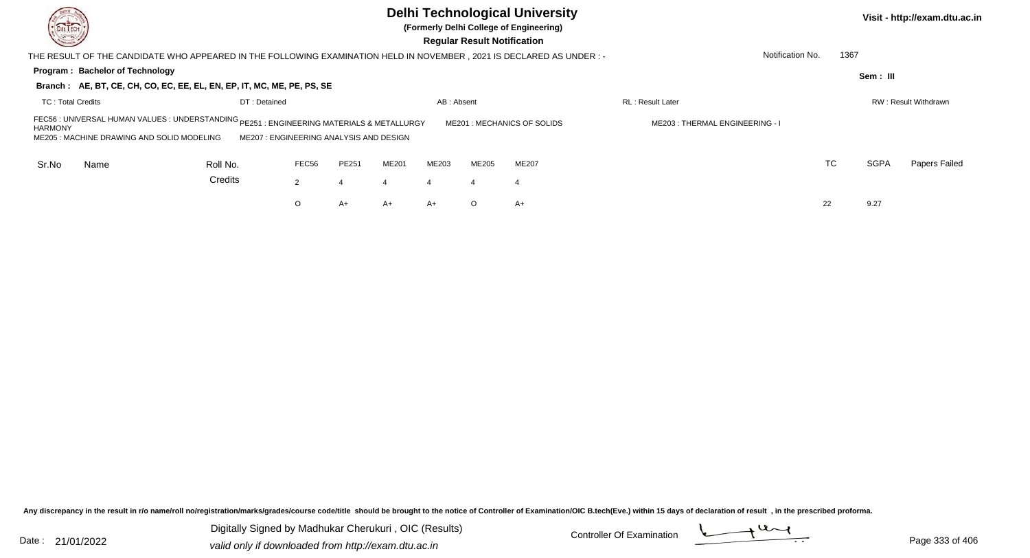| DEL TECH<br><b>Cornell</b>                                                                                                                                          |                                        |                                 |       |       |                  | <b>Regular Result Notification</b> | <b>Delhi Technological University</b><br>(Formerly Delhi College of Engineering) |                         |                  |             | Visit - http://exam.dtu.ac.in |
|---------------------------------------------------------------------------------------------------------------------------------------------------------------------|----------------------------------------|---------------------------------|-------|-------|------------------|------------------------------------|----------------------------------------------------------------------------------|-------------------------|------------------|-------------|-------------------------------|
| THE RESULT OF THE CANDIDATE WHO APPEARED IN THE FOLLOWING EXAMINATION HELD IN NOVEMBER , 2021 IS DECLARED AS UNDER :-                                               |                                        |                                 |       |       |                  |                                    |                                                                                  |                         | Notification No. | 1367        |                               |
| Program: Bachelor of Technology                                                                                                                                     |                                        |                                 |       |       |                  |                                    |                                                                                  |                         |                  | Sem: III    |                               |
| Branch: AE, BT, CE, CH, CO, EC, EE, EL, EN, EP, IT, MC, ME, PE, PS, SE                                                                                              |                                        |                                 |       |       |                  |                                    |                                                                                  |                         |                  |             |                               |
| <b>TC: Total Credits</b>                                                                                                                                            | DT: Detained                           |                                 |       |       | AB: Absent       |                                    |                                                                                  | <b>RL: Result Later</b> |                  |             | RW: Result Withdrawn          |
| FEC56 : UNIVERSAL HUMAN VALUES : UNDERSTANDING <sub>PE251</sub> : ENGINEERING MATERIALS & METALLURGY<br><b>HARMONY</b><br>ME205: MACHINE DRAWING AND SOLID MODELING | ME207: ENGINEERING ANALYSIS AND DESIGN | ME203 : THERMAL ENGINEERING - I |       |       |                  |                                    |                                                                                  |                         |                  |             |                               |
| Sr.No<br>Name                                                                                                                                                       | Roll No.                               | FEC56                           | PE251 | ME201 | ME203            | ME205                              | <b>ME207</b>                                                                     |                         | TC               | <b>SGPA</b> | Papers Failed                 |
|                                                                                                                                                                     | Credits                                | $\overline{2}$                  | 4     |       | $\boldsymbol{4}$ | 4                                  | 4                                                                                |                         |                  |             |                               |
|                                                                                                                                                                     |                                        | O                               | A+    | A+    | $A+$             | $\circ$                            | A+                                                                               |                         | 22               | 9.27        |                               |

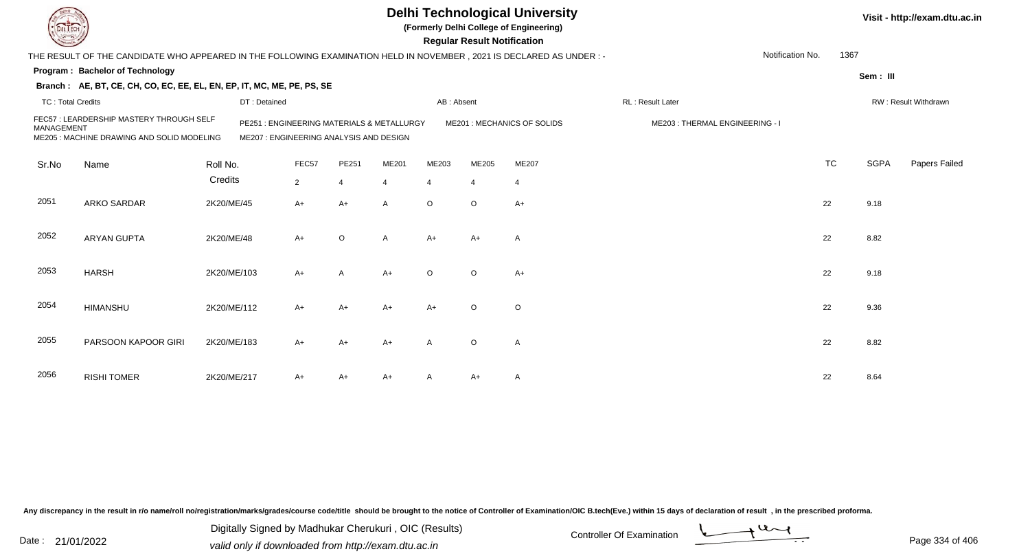| LIECH                    |                                                                                                                      |             |                                                                                       |                |                |                |                | <b>Regular Result Notification</b> | <b>Delhi Technological University</b><br>(Formerly Delhi College of Engineering) |                  |                                |                  |           |             | Visit - http://exam.dtu.ac.in |
|--------------------------|----------------------------------------------------------------------------------------------------------------------|-------------|---------------------------------------------------------------------------------------|----------------|----------------|----------------|----------------|------------------------------------|----------------------------------------------------------------------------------|------------------|--------------------------------|------------------|-----------|-------------|-------------------------------|
|                          | THE RESULT OF THE CANDIDATE WHO APPEARED IN THE FOLLOWING EXAMINATION HELD IN NOVEMBER, 2021 IS DECLARED AS UNDER :- |             |                                                                                       |                |                |                |                |                                    |                                                                                  |                  |                                | Notification No. | 1367      |             |                               |
|                          | <b>Program: Bachelor of Technology</b>                                                                               |             |                                                                                       |                |                |                |                |                                    |                                                                                  |                  |                                |                  |           | Sem: III    |                               |
|                          | Branch: AE, BT, CE, CH, CO, EC, EE, EL, EN, EP, IT, MC, ME, PE, PS, SE                                               |             |                                                                                       |                |                |                |                |                                    |                                                                                  |                  |                                |                  |           |             |                               |
| <b>TC: Total Credits</b> |                                                                                                                      |             | DT: Detained                                                                          |                |                |                | AB: Absent     |                                    |                                                                                  | RL: Result Later |                                |                  |           |             | RW: Result Withdrawn          |
| <b>MANAGEMENT</b>        | FEC57 : LEARDERSHIP MASTERY THROUGH SELF<br>ME205: MACHINE DRAWING AND SOLID MODELING                                |             | PE251 : ENGINEERING MATERIALS & METALLURGY<br>ME207 : ENGINEERING ANALYSIS AND DESIGN |                |                |                |                |                                    | ME201: MECHANICS OF SOLIDS                                                       |                  | ME203: THERMAL ENGINEERING - I |                  |           |             |                               |
| Sr.No                    | Name                                                                                                                 | Roll No.    |                                                                                       | FEC57          | PE251          | ME201          | ME203          | ME205                              | ME207                                                                            |                  |                                |                  | <b>TC</b> | <b>SGPA</b> | Papers Failed                 |
|                          |                                                                                                                      | Credits     |                                                                                       | $\overline{2}$ | $\overline{4}$ | $\overline{4}$ | $\overline{4}$ | $\overline{4}$                     | $\overline{4}$                                                                   |                  |                                |                  |           |             |                               |
| 2051                     | ARKO SARDAR                                                                                                          | 2K20/ME/45  |                                                                                       | A+             | $A+$           | A              | $\circ$        | $\circ$                            | $A+$                                                                             |                  |                                |                  | 22        | 9.18        |                               |
| 2052                     | <b>ARYAN GUPTA</b>                                                                                                   | 2K20/ME/48  |                                                                                       | A+             | $\circ$        | A              | $A+$           | A+                                 | $\overline{A}$                                                                   |                  |                                |                  | 22        | 8.82        |                               |
| 2053                     | <b>HARSH</b>                                                                                                         | 2K20/ME/103 |                                                                                       | $A+$           | $\overline{A}$ | $A+$           | $\circ$        | $\circ$                            | $A+$                                                                             |                  |                                |                  | 22        | 9.18        |                               |
| 2054                     | <b>HIMANSHU</b>                                                                                                      | 2K20/ME/112 |                                                                                       | $A+$           | $A+$           | $A+$           | $A+$           | $\circ$                            | $\circ$                                                                          |                  |                                |                  | 22        | 9.36        |                               |
| 2055                     | PARSOON KAPOOR GIRI                                                                                                  | 2K20/ME/183 |                                                                                       | $A+$           | $A+$           | $A+$           | $\mathsf{A}$   | $\circ$                            | $\overline{A}$                                                                   |                  |                                |                  | 22        | 8.82        |                               |
| 2056                     | <b>RISHI TOMER</b>                                                                                                   | 2K20/ME/217 |                                                                                       | A+             | A+             | A+             |                | A+                                 | $\mathsf{A}$                                                                     |                  |                                |                  | 22        | 8.64        |                               |

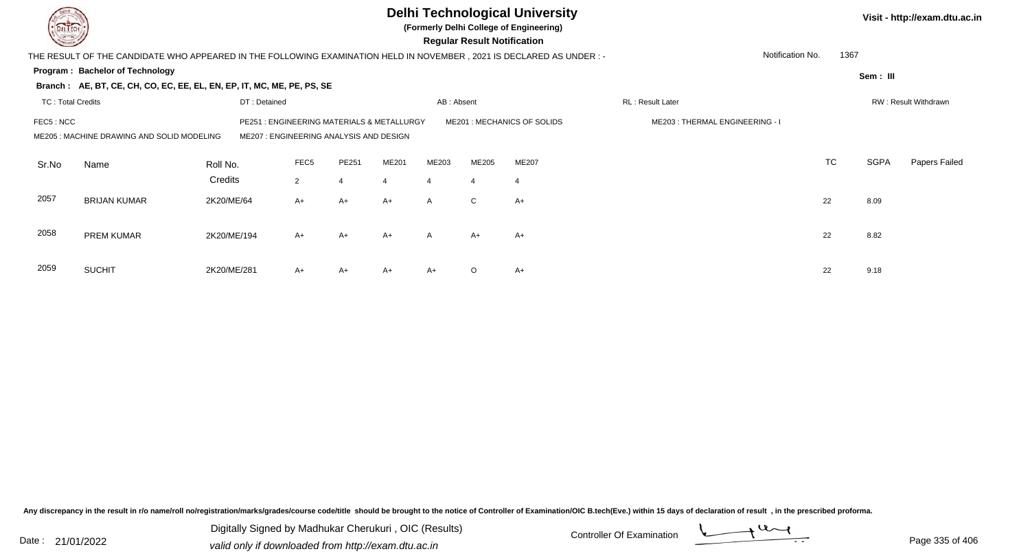|                          |                                                                                                                       |              |                  |                                                                                 |       |              | <b>Regular Result Notification</b> | <b>Delhi Technological University</b><br>(Formerly Delhi College of Engineering) |                                |                  |           |             | Visit - http://exam.dtu.ac.in |
|--------------------------|-----------------------------------------------------------------------------------------------------------------------|--------------|------------------|---------------------------------------------------------------------------------|-------|--------------|------------------------------------|----------------------------------------------------------------------------------|--------------------------------|------------------|-----------|-------------|-------------------------------|
|                          | THE RESULT OF THE CANDIDATE WHO APPEARED IN THE FOLLOWING EXAMINATION HELD IN NOVEMBER , 2021 IS DECLARED AS UNDER :- |              |                  |                                                                                 |       |              |                                    |                                                                                  |                                | Notification No. | 1367      |             |                               |
|                          | Program: Bachelor of Technology                                                                                       |              |                  |                                                                                 |       |              |                                    |                                                                                  |                                |                  |           | Sem : III   |                               |
|                          | Branch: AE, BT, CE, CH, CO, EC, EE, EL, EN, EP, IT, MC, ME, PE, PS, SE                                                |              |                  |                                                                                 |       |              |                                    |                                                                                  |                                |                  |           |             |                               |
| <b>TC: Total Credits</b> |                                                                                                                       | DT: Detained |                  |                                                                                 |       | AB: Absent   |                                    |                                                                                  | RL: Result Later               |                  |           |             | RW: Result Withdrawn          |
| FEC5 : NCC               | ME205: MACHINE DRAWING AND SOLID MODELING                                                                             | PE251        |                  | : ENGINEERING MATERIALS & METALLURGY<br>ME207 : ENGINEERING ANALYSIS AND DESIGN |       |              |                                    | ME201 : MECHANICS OF SOLIDS                                                      | ME203: THERMAL ENGINEERING - I |                  |           |             |                               |
| Sr.No                    | Name                                                                                                                  | Roll No.     | FEC <sub>5</sub> | PE251                                                                           | ME201 | ME203        | ME205                              | ME207                                                                            |                                |                  | <b>TC</b> | <b>SGPA</b> | Papers Failed                 |
|                          |                                                                                                                       | Credits      | $\overline{2}$   |                                                                                 | 4     | 4            | $\overline{4}$                     | $\overline{4}$                                                                   |                                |                  |           |             |                               |
| 2057                     | <b>BRIJAN KUMAR</b>                                                                                                   | 2K20/ME/64   | $A+$             | $A+$                                                                            | $A+$  | $\mathsf{A}$ | $\mathsf{C}$                       | $A+$                                                                             |                                | 22               |           | 8.09        |                               |
| 2058                     | PREM KUMAR                                                                                                            | 2K20/ME/194  | $A+$             | $A+$                                                                            | $A+$  | A            | A+                                 | $A+$                                                                             |                                | 22               |           | 8.82        |                               |
| 2059                     | <b>SUCHIT</b>                                                                                                         | 2K20/ME/281  | A+               | A+                                                                              | A+    | $A+$         | $\circ$                            | $A+$                                                                             |                                | 22               |           | 9.18        |                               |

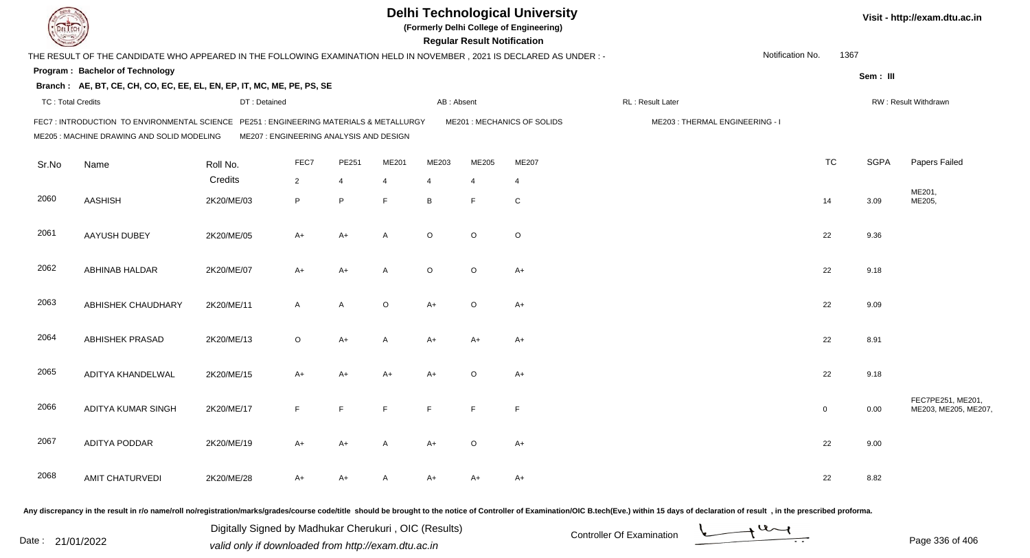|                          |                                                                                                                                       |                                         |                |                |                |            | <b>Regular Result Notification</b> | <b>Delhi Technological University</b><br>(Formerly Delhi College of Engineering) |                                |                  |              |             | Visit - http://exam.dtu.ac.in            |
|--------------------------|---------------------------------------------------------------------------------------------------------------------------------------|-----------------------------------------|----------------|----------------|----------------|------------|------------------------------------|----------------------------------------------------------------------------------|--------------------------------|------------------|--------------|-------------|------------------------------------------|
|                          | THE RESULT OF THE CANDIDATE WHO APPEARED IN THE FOLLOWING EXAMINATION HELD IN NOVEMBER, 2021 IS DECLARED AS UNDER :-                  |                                         |                |                |                |            |                                    |                                                                                  |                                | Notification No. | 1367         |             |                                          |
|                          | <b>Program: Bachelor of Technology</b>                                                                                                |                                         |                |                |                |            |                                    |                                                                                  |                                |                  |              | Sem: III    |                                          |
|                          | Branch: AE, BT, CE, CH, CO, EC, EE, EL, EN, EP, IT, MC, ME, PE, PS, SE                                                                |                                         |                |                |                |            |                                    |                                                                                  |                                |                  |              |             |                                          |
| <b>TC: Total Credits</b> |                                                                                                                                       | DT: Detained                            |                |                |                | AB: Absent |                                    |                                                                                  | RL: Result Later               |                  |              |             | RW: Result Withdrawn                     |
|                          | FEC7 : INTRODUCTION TO ENVIRONMENTAL SCIENCE PE251 : ENGINEERING MATERIALS & METALLURGY<br>ME205 : MACHINE DRAWING AND SOLID MODELING | ME207 : ENGINEERING ANALYSIS AND DESIGN |                |                |                |            |                                    | ME201 : MECHANICS OF SOLIDS                                                      | ME203: THERMAL ENGINEERING - I |                  |              |             |                                          |
| Sr.No                    | Name                                                                                                                                  | Roll No.                                | FEC7           | PE251          | ME201          | ME203      | ME205                              | ME207                                                                            |                                |                  | <b>TC</b>    | <b>SGPA</b> | Papers Failed                            |
|                          |                                                                                                                                       | Credits                                 | $\overline{2}$ | $\overline{4}$ | $\overline{4}$ | 4          | 4                                  | 4                                                                                |                                |                  |              |             |                                          |
| 2060                     | <b>AASHISH</b>                                                                                                                        | 2K20/ME/03                              | P              | P              | E              | B          | F                                  | ${\rm C}$                                                                        |                                |                  | 14           | 3.09        | ME201,<br>ME205,                         |
| 2061                     | AAYUSH DUBEY                                                                                                                          | 2K20/ME/05                              | $A+$           | $A+$           | $\overline{A}$ | $\circ$    | O                                  | $\circ$                                                                          |                                |                  | 22           | 9.36        |                                          |
| 2062                     | ABHINAB HALDAR                                                                                                                        | 2K20/ME/07                              | A+             | $A+$           | $\overline{A}$ | $\circ$    | $\mathsf O$                        | $A+$                                                                             |                                |                  | 22           | 9.18        |                                          |
| 2063                     | ABHISHEK CHAUDHARY                                                                                                                    | 2K20/ME/11                              | $\mathsf{A}$   | A              | $\circ$        | $A+$       | $\circ$                            | $A+$                                                                             |                                |                  | 22           | 9.09        |                                          |
| 2064                     | <b>ABHISHEK PRASAD</b>                                                                                                                | 2K20/ME/13                              | $\circ$        | $A+$           | $\mathsf{A}$   | A+         | A+                                 | A+                                                                               |                                |                  | 22           | 8.91        |                                          |
| 2065                     | ADITYA KHANDELWAL                                                                                                                     | 2K20/ME/15                              | A+             | $A+$           | A+             | A+         | $\mathsf O$                        | $A+$                                                                             |                                |                  | 22           | 9.18        |                                          |
| 2066                     | ADITYA KUMAR SINGH                                                                                                                    | 2K20/ME/17                              | F              | E              | F              | F          | F                                  | F                                                                                |                                |                  | $\mathbf{0}$ | 0.00        | FEC7PE251, ME201,<br>ME203, ME205, ME207 |
| 2067                     | ADITYA PODDAR                                                                                                                         | 2K20/ME/19                              | A+             | A+             | A              | $A+$       | $\circ$                            | $A+$                                                                             |                                |                  | 22           | 9.00        |                                          |
| 2068                     | AMIT CHATURVEDI                                                                                                                       | 2K20/ME/28                              | A+             | A+             | A              | A+         | A+                                 | $A+$                                                                             |                                |                  | 22           | 8.82        |                                          |
|                          |                                                                                                                                       |                                         |                |                |                |            |                                    |                                                                                  |                                |                  |              |             |                                          |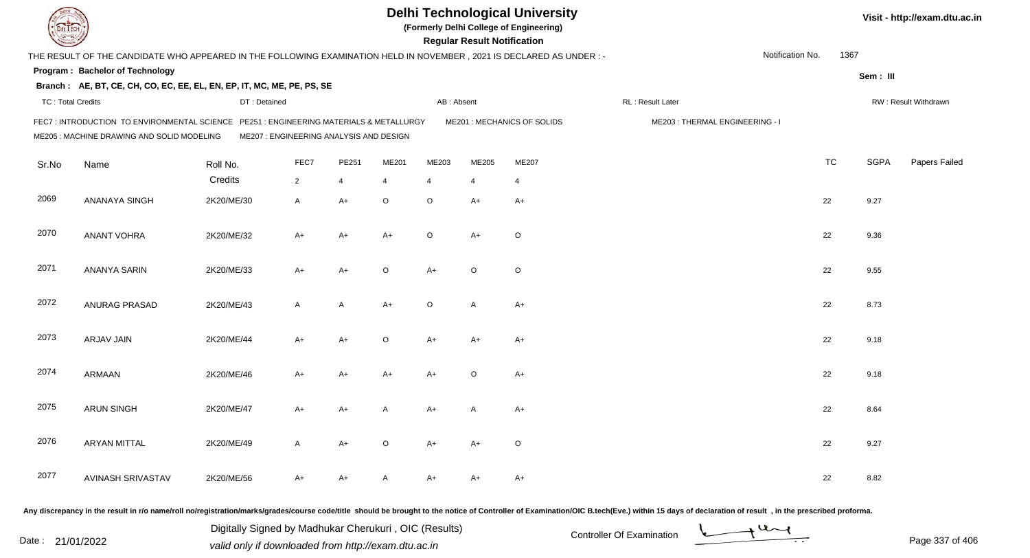|                          |                                                                                                                                       |                                         |              |                |         |                | <b>Regular Result Notification</b> | <b>Delhi Technological University</b><br>(Formerly Delhi College of Engineering) |                                |                  |           |             | Visit - http://exam.dtu.ac.in |
|--------------------------|---------------------------------------------------------------------------------------------------------------------------------------|-----------------------------------------|--------------|----------------|---------|----------------|------------------------------------|----------------------------------------------------------------------------------|--------------------------------|------------------|-----------|-------------|-------------------------------|
|                          | THE RESULT OF THE CANDIDATE WHO APPEARED IN THE FOLLOWING EXAMINATION HELD IN NOVEMBER, 2021 IS DECLARED AS UNDER :-                  |                                         |              |                |         |                |                                    |                                                                                  |                                | Notification No. | 1367      |             |                               |
|                          | Program: Bachelor of Technology                                                                                                       |                                         |              |                |         |                |                                    |                                                                                  |                                |                  |           | Sem: III    |                               |
|                          | Branch: AE, BT, CE, CH, CO, EC, EE, EL, EN, EP, IT, MC, ME, PE, PS, SE                                                                |                                         |              |                |         |                |                                    |                                                                                  |                                |                  |           |             |                               |
| <b>TC: Total Credits</b> |                                                                                                                                       | DT: Detained                            |              |                |         | AB: Absent     |                                    |                                                                                  | RL : Result Later              |                  |           |             | RW: Result Withdrawn          |
|                          | FEC7 : INTRODUCTION TO ENVIRONMENTAL SCIENCE PE251 : ENGINEERING MATERIALS & METALLURGY<br>ME205 : MACHINE DRAWING AND SOLID MODELING | ME207 : ENGINEERING ANALYSIS AND DESIGN |              |                |         |                |                                    | ME201 : MECHANICS OF SOLIDS                                                      | ME203: THERMAL ENGINEERING - I |                  |           |             |                               |
| Sr.No                    | Name                                                                                                                                  | Roll No.                                | FEC7         | PE251          | ME201   | ME203          | ME205                              | ME207                                                                            |                                |                  | <b>TC</b> | <b>SGPA</b> | Papers Failed                 |
|                          |                                                                                                                                       | Credits                                 | $2^{\circ}$  | $\overline{4}$ | 4       | $\overline{4}$ | $\overline{4}$                     | $\overline{4}$                                                                   |                                |                  |           |             |                               |
| 2069                     | ANANAYA SINGH                                                                                                                         | 2K20/ME/30                              | A            | $A+$           | $\circ$ | $\circ$        | $A+$                               | $A+$                                                                             |                                |                  | 22        | 9.27        |                               |
| 2070                     | <b>ANANT VOHRA</b>                                                                                                                    | 2K20/ME/32                              | A+           | $A+$           | $A+$    | $\circ$        | $A+$                               | $\circ$                                                                          |                                |                  | 22        | 9.36        |                               |
| 2071                     | ANANYA SARIN                                                                                                                          | 2K20/ME/33                              | A+           | $A+$           | $\circ$ | $A+$           | $\circ$                            | $\circ$                                                                          |                                |                  | 22        | 9.55        |                               |
| 2072                     | ANURAG PRASAD                                                                                                                         | 2K20/ME/43                              | $\mathsf{A}$ | A              | $A+$    | $\circ$        | A                                  | $A+$                                                                             |                                |                  | 22        | 8.73        |                               |
| 2073                     | ARJAV JAIN                                                                                                                            | 2K20/ME/44                              | $A+$         | $A+$           | $\circ$ | $A+$           | $A+$                               | $A+$                                                                             |                                |                  | 22        | 9.18        |                               |
| 2074                     | ARMAAN                                                                                                                                | 2K20/ME/46                              | A+           | A+             | A+      | $A+$           | $\circ$                            | $A+$                                                                             |                                |                  | 22        | 9.18        |                               |
| 2075                     | <b>ARUN SINGH</b>                                                                                                                     | 2K20/ME/47                              | A+           | $A+$           |         | A+             | A                                  | A+                                                                               |                                |                  | 22        | 8.64        |                               |
| 2076                     | <b>ARYAN MITTAL</b>                                                                                                                   | 2K20/ME/49                              | A            | $A+$           | $\circ$ | A+             | A+                                 | $\circ$                                                                          |                                |                  | 22        | 9.27        |                               |
| 2077                     | AVINASH SRIVASTAV                                                                                                                     | 2K20/ME/56                              | A+           | $A+$           | A       | A+             | A+                                 | $A+$                                                                             |                                |                  | 22        | 8.82        |                               |

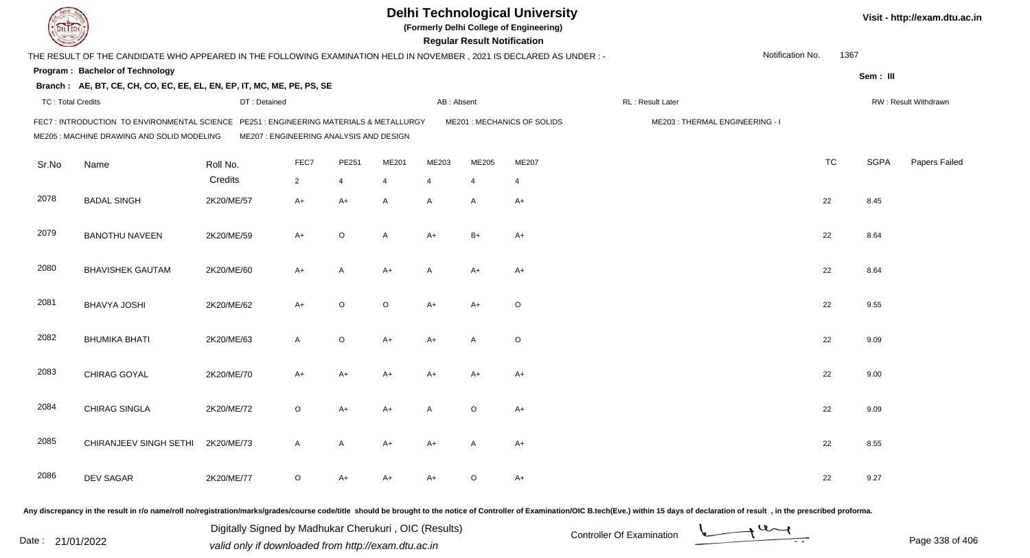|                          |                                                                                                                                     |                                         |              |         |         |                | <b>Regular Result Notification</b> | <b>Delhi Technological University</b><br>(Formerly Delhi College of Engineering) |                                |                  |           |             | Visit - http://exam.dtu.ac.in |
|--------------------------|-------------------------------------------------------------------------------------------------------------------------------------|-----------------------------------------|--------------|---------|---------|----------------|------------------------------------|----------------------------------------------------------------------------------|--------------------------------|------------------|-----------|-------------|-------------------------------|
|                          | THE RESULT OF THE CANDIDATE WHO APPEARED IN THE FOLLOWING EXAMINATION HELD IN NOVEMBER, 2021 IS DECLARED AS UNDER :-                |                                         |              |         |         |                |                                    |                                                                                  |                                | Notification No. | 1367      |             |                               |
|                          | Program: Bachelor of Technology                                                                                                     |                                         |              |         |         |                |                                    |                                                                                  |                                |                  |           | Sem: III    |                               |
|                          | Branch: AE, BT, CE, CH, CO, EC, EE, EL, EN, EP, IT, MC, ME, PE, PS, SE                                                              |                                         |              |         |         |                |                                    |                                                                                  |                                |                  |           |             |                               |
| <b>TC: Total Credits</b> |                                                                                                                                     | DT: Detained                            |              |         |         | AB: Absent     |                                    |                                                                                  | RL : Result Later              |                  |           |             | RW: Result Withdrawn          |
|                          | FEC7: INTRODUCTION TO ENVIRONMENTAL SCIENCE PE251: ENGINEERING MATERIALS & METALLURGY<br>ME205 : MACHINE DRAWING AND SOLID MODELING | ME207 : ENGINEERING ANALYSIS AND DESIGN |              |         |         |                |                                    | ME201 : MECHANICS OF SOLIDS                                                      | ME203: THERMAL ENGINEERING - I |                  |           |             |                               |
| Sr.No                    | Name                                                                                                                                | Roll No.                                | FEC7         | PE251   | ME201   | ME203          | ME205                              | ME207                                                                            |                                |                  | <b>TC</b> | <b>SGPA</b> | Papers Failed                 |
|                          |                                                                                                                                     | Credits                                 | $2^{\circ}$  | 4       | 4       | $\overline{4}$ | $\overline{4}$                     | $\overline{4}$                                                                   |                                |                  |           |             |                               |
| 2078                     | <b>BADAL SINGH</b>                                                                                                                  | 2K20/ME/57                              | $A+$         | $A+$    | A       | A              | A                                  | $A+$                                                                             |                                |                  | 22        | 8.45        |                               |
| 2079                     | <b>BANOTHU NAVEEN</b>                                                                                                               | 2K20/ME/59                              | A+           | $\circ$ | A       | $A+$           | $B+$                               | $A+$                                                                             |                                |                  | 22        | 8.64        |                               |
| 2080                     | <b>BHAVISHEK GAUTAM</b>                                                                                                             | 2K20/ME/60                              | $A+$         | A       | $A+$    | $\mathsf{A}$   | $A+$                               | $A+$                                                                             |                                |                  | 22        | 8.64        |                               |
| 2081                     | <b>BHAVYA JOSHI</b>                                                                                                                 | 2K20/ME/62                              | $A+$         | $\circ$ | $\circ$ | $A+$           | $A+$                               | $\circ$                                                                          |                                |                  | 22        | 9.55        |                               |
| 2082                     | <b>BHUMIKA BHATI</b>                                                                                                                | 2K20/ME/63                              | $\mathsf{A}$ | $\circ$ | $A+$    | $A+$           | A                                  | $\circ$                                                                          |                                |                  | 22        | 9.09        |                               |
| 2083                     | CHIRAG GOYAL                                                                                                                        | 2K20/ME/70                              | $A+$         | $A+$    | A+      | A+             | A+                                 | $A+$                                                                             |                                |                  | 22        | 9.00        |                               |
| 2084                     | <b>CHIRAG SINGLA</b>                                                                                                                | 2K20/ME/72                              | $\circ$      | A+      | A+      | A              | $\circ$                            | $A+$                                                                             |                                |                  | 22        | 9.09        |                               |
| 2085                     | CHIRANJEEV SINGH SETHI 2K20/ME/73                                                                                                   |                                         | A            | A       | A+      | A+             | A                                  | A+                                                                               |                                |                  | 22        | 8.55        |                               |
| 2086                     | <b>DEV SAGAR</b>                                                                                                                    | 2K20/ME/77                              | $\circ$      | $A+$    | A+      | A+             | $\circ$                            | $A+$                                                                             |                                |                  | 22        | 9.27        |                               |

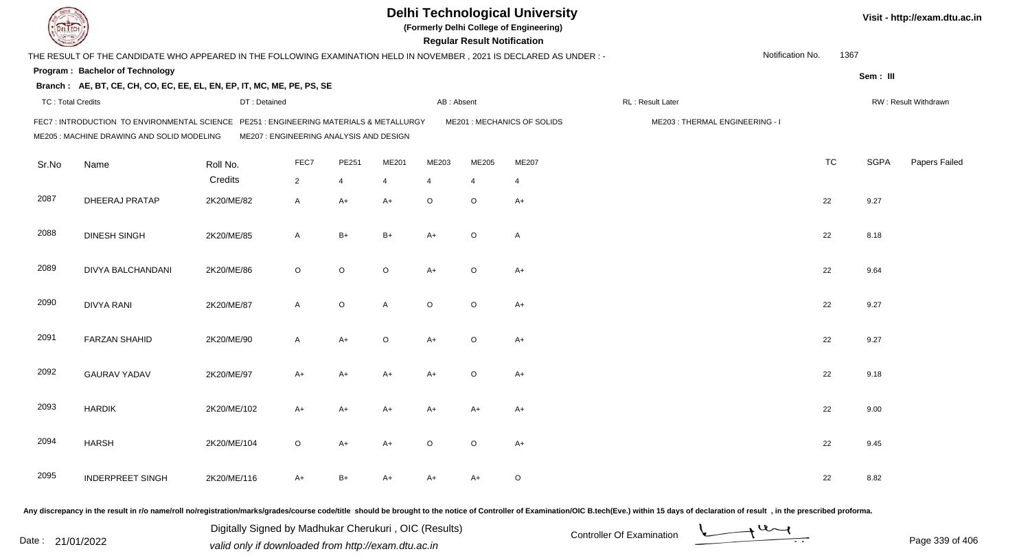|                          |                                                                                                                                       |                                         |              |             |              |                | <b>Regular Result Notification</b> | <b>Delhi Technological University</b><br>(Formerly Delhi College of Engineering) |                                |                  |           |             | Visit - http://exam.dtu.ac.in |
|--------------------------|---------------------------------------------------------------------------------------------------------------------------------------|-----------------------------------------|--------------|-------------|--------------|----------------|------------------------------------|----------------------------------------------------------------------------------|--------------------------------|------------------|-----------|-------------|-------------------------------|
|                          | THE RESULT OF THE CANDIDATE WHO APPEARED IN THE FOLLOWING EXAMINATION HELD IN NOVEMBER, 2021 IS DECLARED AS UNDER :-                  |                                         |              |             |              |                |                                    |                                                                                  |                                | Notification No. | 1367      |             |                               |
|                          | Program: Bachelor of Technology                                                                                                       |                                         |              |             |              |                |                                    |                                                                                  |                                |                  |           | Sem: III    |                               |
|                          | Branch: AE, BT, CE, CH, CO, EC, EE, EL, EN, EP, IT, MC, ME, PE, PS, SE                                                                |                                         |              |             |              |                |                                    |                                                                                  |                                |                  |           |             |                               |
| <b>TC: Total Credits</b> |                                                                                                                                       | DT: Detained                            |              |             |              | AB: Absent     |                                    |                                                                                  | RL: Result Later               |                  |           |             | RW: Result Withdrawn          |
|                          | FEC7 : INTRODUCTION TO ENVIRONMENTAL SCIENCE PE251 : ENGINEERING MATERIALS & METALLURGY<br>ME205 : MACHINE DRAWING AND SOLID MODELING | ME207 : ENGINEERING ANALYSIS AND DESIGN |              |             |              |                |                                    | ME201 : MECHANICS OF SOLIDS                                                      | ME203: THERMAL ENGINEERING - I |                  |           |             |                               |
| Sr.No                    | Name                                                                                                                                  | Roll No.                                | FEC7         | PE251       | ME201        | ME203          | ME205                              | ME207                                                                            |                                |                  | <b>TC</b> | <b>SGPA</b> | Papers Failed                 |
|                          |                                                                                                                                       | Credits                                 | $2^{\circ}$  | 4           | 4            | $\overline{4}$ | $\overline{4}$                     | $\overline{4}$                                                                   |                                |                  |           |             |                               |
| 2087                     | DHEERAJ PRATAP                                                                                                                        | 2K20/ME/82                              | A            | $A+$        | $A+$         | $\circ$        | $\circ$                            | $A+$                                                                             |                                |                  | 22        | 9.27        |                               |
| 2088                     | <b>DINESH SINGH</b>                                                                                                                   | 2K20/ME/85                              | A            | $B+$        | $B+$         | $A+$           | $\circ$                            | $\overline{A}$                                                                   |                                |                  | 22        | 8.18        |                               |
| 2089                     | DIVYA BALCHANDANI                                                                                                                     | 2K20/ME/86                              | $\circ$      | $\mathsf O$ | $\circ$      | $A+$           | $\circ$                            | $A+$                                                                             |                                |                  | 22        | 9.64        |                               |
| 2090                     | <b>DIVYA RANI</b>                                                                                                                     | 2K20/ME/87                              | $\mathsf{A}$ | $\mathsf O$ | $\mathsf{A}$ | $\circ$        | $\circ$                            | $A+$                                                                             |                                |                  | 22        | 9.27        |                               |
| 2091                     | <b>FARZAN SHAHID</b>                                                                                                                  | 2K20/ME/90                              | $\mathsf{A}$ | $A+$        | $\circ$      | $A+$           | $\circ$                            | $A+$                                                                             |                                |                  | 22        | 9.27        |                               |
| 2092                     | <b>GAURAV YADAV</b>                                                                                                                   | 2K20/ME/97                              | A+           | A+          | A+           | $A+$           | $\circ$                            | $A+$                                                                             |                                |                  | 22        | 9.18        |                               |
| 2093                     | <b>HARDIK</b>                                                                                                                         | 2K20/ME/102                             | A+           | $A+$        | A+           | A+             | A+                                 | A+                                                                               |                                |                  | 22        | 9.00        |                               |
| 2094                     | <b>HARSH</b>                                                                                                                          | 2K20/ME/104                             | $\circ$      | $A+$        | A+           | $\circ$        | $\circ$                            | $A+$                                                                             |                                |                  | 22        | 9.45        |                               |
| 2095                     | <b>INDERPREET SINGH</b>                                                                                                               | 2K20/ME/116                             | A+           | B+          | A+           | A+             | A+                                 | $\circ$                                                                          |                                |                  | 22        | 8.82        |                               |

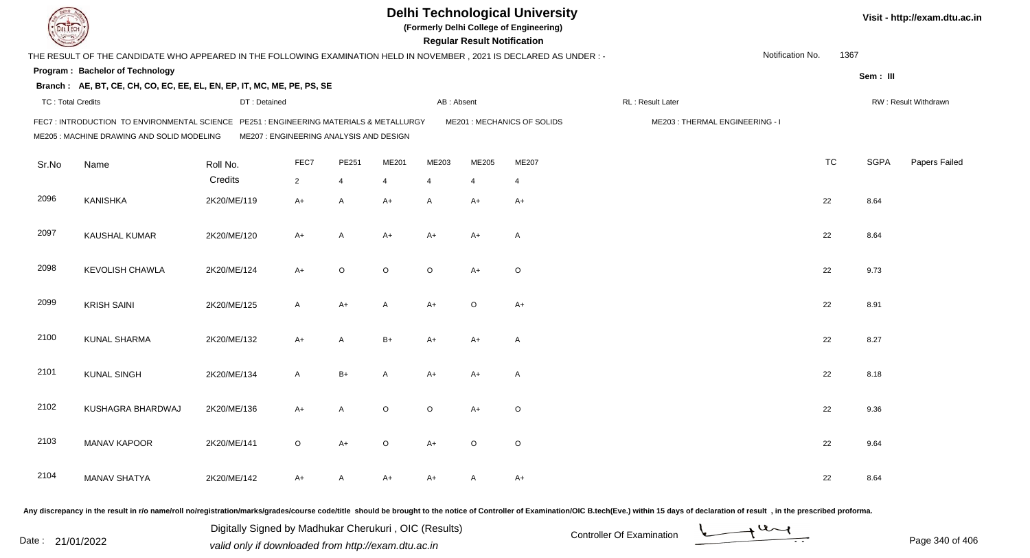|                          |                                                                                                                                      |                                         |                |       |         |                | <b>Regular Result Notification</b> | <b>Delhi Technological University</b><br>(Formerly Delhi College of Engineering) |                                |                  |           |             | Visit - http://exam.dtu.ac.in |
|--------------------------|--------------------------------------------------------------------------------------------------------------------------------------|-----------------------------------------|----------------|-------|---------|----------------|------------------------------------|----------------------------------------------------------------------------------|--------------------------------|------------------|-----------|-------------|-------------------------------|
|                          | THE RESULT OF THE CANDIDATE WHO APPEARED IN THE FOLLOWING EXAMINATION HELD IN NOVEMBER, 2021 IS DECLARED AS UNDER :-                 |                                         |                |       |         |                |                                    |                                                                                  |                                | Notification No. | 1367      |             |                               |
|                          | Program: Bachelor of Technology                                                                                                      |                                         |                |       |         |                |                                    |                                                                                  |                                |                  |           | Sem: III    |                               |
|                          | Branch: AE, BT, CE, CH, CO, EC, EE, EL, EN, EP, IT, MC, ME, PE, PS, SE                                                               |                                         |                |       |         |                |                                    |                                                                                  |                                |                  |           |             |                               |
| <b>TC: Total Credits</b> |                                                                                                                                      | DT: Detained                            |                |       |         | AB: Absent     |                                    |                                                                                  | RL: Result Later               |                  |           |             | RW: Result Withdrawn          |
|                          | FEC7: INTRODUCTION TO ENVIRONMENTAL SCIENCE PE251 : ENGINEERING MATERIALS & METALLURGY<br>ME205 : MACHINE DRAWING AND SOLID MODELING | ME207 : ENGINEERING ANALYSIS AND DESIGN |                |       |         |                |                                    | ME201 : MECHANICS OF SOLIDS                                                      | ME203: THERMAL ENGINEERING - I |                  |           |             |                               |
| Sr.No                    | Name                                                                                                                                 | Roll No.                                | FEC7           | PE251 | ME201   | ME203          | ME205                              | ME207                                                                            |                                |                  | <b>TC</b> | <b>SGPA</b> | Papers Failed                 |
|                          |                                                                                                                                      | Credits                                 | $\overline{2}$ | 4     | 4       | $\overline{4}$ | 4                                  | 4                                                                                |                                |                  |           |             |                               |
| 2096                     | KANISHKA                                                                                                                             | 2K20/ME/119                             | $A+$           | A     | $A+$    | $\mathsf{A}$   | $A+$                               | $A+$                                                                             |                                |                  | 22        | 8.64        |                               |
| 2097                     | KAUSHAL KUMAR                                                                                                                        | 2K20/ME/120                             | A+             | Α     | A+      | A+             | $A+$                               | A                                                                                |                                |                  | 22        | 8.64        |                               |
| 2098                     | <b>KEVOLISH CHAWLA</b>                                                                                                               | 2K20/ME/124                             | A+             | O     | $\circ$ | $\circ$        | $A+$                               | $\circ$                                                                          |                                |                  | 22        | 9.73        |                               |
| 2099                     | <b>KRISH SAINI</b>                                                                                                                   | 2K20/ME/125                             | A              | A+    | A       | $A+$           | $\circ$                            | $A+$                                                                             |                                |                  | 22        | 8.91        |                               |
| 2100                     | <b>KUNAL SHARMA</b>                                                                                                                  | 2K20/ME/132                             | $A+$           | A     | $B+$    | A+             | $A+$                               | $\mathsf{A}$                                                                     |                                |                  | 22        | 8.27        |                               |
| 2101                     | <b>KUNAL SINGH</b>                                                                                                                   | 2K20/ME/134                             | A              | $B+$  | A       | A+             | $A+$                               | $\mathsf{A}$                                                                     |                                |                  | 22        | 8.18        |                               |
| 2102                     | KUSHAGRA BHARDWAJ                                                                                                                    | 2K20/ME/136                             | A+             | Α     | O       | $\circ$        | A+                                 | O                                                                                |                                |                  | 22        | 9.36        |                               |
| 2103                     | <b>MANAV KAPOOR</b>                                                                                                                  | 2K20/ME/141                             | $\circ$        | $A+$  | $\circ$ | $A+$           | $\circ$                            | $\circ$                                                                          |                                |                  | 22        | 9.64        |                               |
| 2104                     | <b>MANAV SHATYA</b>                                                                                                                  | 2K20/ME/142                             | A+             | A     | A+      | A+             | $\mathsf{A}$                       | A+                                                                               |                                |                  | 22        | 8.64        |                               |
|                          |                                                                                                                                      |                                         |                |       |         |                |                                    |                                                                                  |                                |                  |           |             |                               |

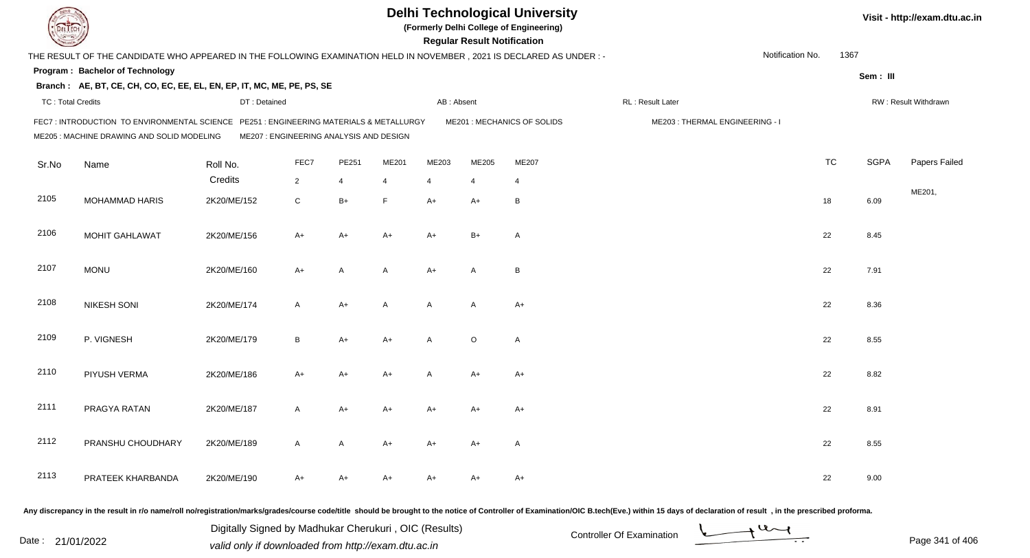|                          |                                                                                                                                     |                                         |                |       |       |                | <b>Regular Result Notification</b> | <b>Delhi Technological University</b><br>(Formerly Delhi College of Engineering) |                                |                  |           |             | Visit - http://exam.dtu.ac.in |
|--------------------------|-------------------------------------------------------------------------------------------------------------------------------------|-----------------------------------------|----------------|-------|-------|----------------|------------------------------------|----------------------------------------------------------------------------------|--------------------------------|------------------|-----------|-------------|-------------------------------|
|                          | THE RESULT OF THE CANDIDATE WHO APPEARED IN THE FOLLOWING EXAMINATION HELD IN NOVEMBER, 2021 IS DECLARED AS UNDER :-                |                                         |                |       |       |                |                                    |                                                                                  |                                | Notification No. | 1367      |             |                               |
|                          | Program: Bachelor of Technology                                                                                                     |                                         |                |       |       |                |                                    |                                                                                  |                                |                  |           | Sem: III    |                               |
|                          | Branch: AE, BT, CE, CH, CO, EC, EE, EL, EN, EP, IT, MC, ME, PE, PS, SE                                                              |                                         |                |       |       |                |                                    |                                                                                  |                                |                  |           |             |                               |
| <b>TC: Total Credits</b> |                                                                                                                                     | DT: Detained                            |                |       |       | AB: Absent     |                                    |                                                                                  | RL: Result Later               |                  |           |             | RW: Result Withdrawn          |
|                          | FEC7: INTRODUCTION TO ENVIRONMENTAL SCIENCE PE251: ENGINEERING MATERIALS & METALLURGY<br>ME205 : MACHINE DRAWING AND SOLID MODELING | ME207 : ENGINEERING ANALYSIS AND DESIGN |                |       |       |                |                                    | ME201 : MECHANICS OF SOLIDS                                                      | ME203: THERMAL ENGINEERING - I |                  |           |             |                               |
| Sr.No                    | Name                                                                                                                                | Roll No.                                | FEC7           | PE251 | ME201 | ME203          | ME205                              | ME207                                                                            |                                |                  | <b>TC</b> | <b>SGPA</b> | Papers Failed                 |
|                          |                                                                                                                                     | Credits                                 | $\overline{2}$ | 4     | 4     | $\overline{4}$ | $\overline{4}$                     | $\overline{4}$                                                                   |                                |                  |           |             |                               |
| 2105                     | <b>MOHAMMAD HARIS</b>                                                                                                               | 2K20/ME/152                             | $\mathsf C$    | $B+$  | F     | $A+$           | $A+$                               | B                                                                                |                                |                  | 18        | 6.09        | ME201,                        |
| 2106                     | MOHIT GAHLAWAT                                                                                                                      | 2K20/ME/156                             | $A+$           | $A+$  | $A+$  | $A+$           | $B+$                               | $\overline{A}$                                                                   |                                |                  | 22        | 8.45        |                               |
| 2107                     | <b>MONU</b>                                                                                                                         | 2K20/ME/160                             | A+             | A     | A     | $A+$           | A                                  | B                                                                                |                                |                  | 22        | 7.91        |                               |
| 2108                     | <b>NIKESH SONI</b>                                                                                                                  | 2K20/ME/174                             | A              | $A+$  | A     | A              | A                                  | $A+$                                                                             |                                |                  | 22        | 8.36        |                               |
| 2109                     | P. VIGNESH                                                                                                                          | 2K20/ME/179                             | B              | $A+$  | $A+$  | A              | $\circ$                            | $\overline{A}$                                                                   |                                |                  | 22        | 8.55        |                               |
| 2110                     | PIYUSH VERMA                                                                                                                        | 2K20/ME/186                             | $A+$           | $A+$  | $A+$  | A              | $A+$                               | $A+$                                                                             |                                |                  | 22        | 8.82        |                               |
| 2111                     | PRAGYA RATAN                                                                                                                        | 2K20/ME/187                             | A              | A+    | A+    | A+             | A+                                 | A+                                                                               |                                |                  | 22        | 8.91        |                               |
| 2112                     | PRANSHU CHOUDHARY                                                                                                                   | 2K20/ME/189                             | A              | A     | A+    | A+             | A+                                 | A                                                                                |                                |                  | 22        | 8.55        |                               |
| 2113                     | PRATEEK KHARBANDA                                                                                                                   | 2K20/ME/190                             | A+             | A+    | A+    | A+             | A+                                 | $A+$                                                                             |                                |                  | 22        | 9.00        |                               |
|                          |                                                                                                                                     |                                         |                |       |       |                |                                    |                                                                                  |                                |                  |           |             |                               |

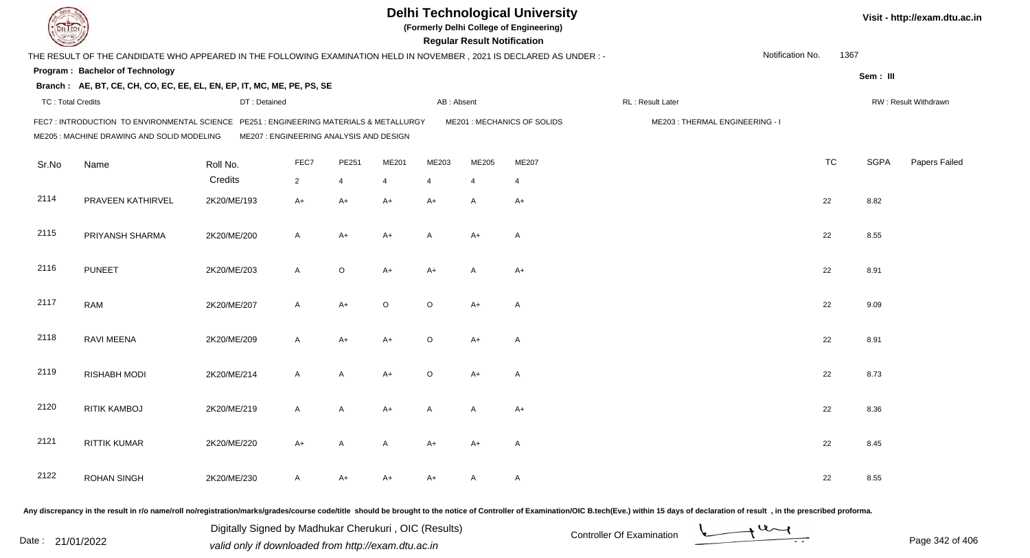|                          |                                                                                                                                      |                                         |                |       |         |                | <b>Regular Result Notification</b> | <b>Delhi Technological University</b><br>(Formerly Delhi College of Engineering) |                                |                  |           |             | Visit - http://exam.dtu.ac.in |
|--------------------------|--------------------------------------------------------------------------------------------------------------------------------------|-----------------------------------------|----------------|-------|---------|----------------|------------------------------------|----------------------------------------------------------------------------------|--------------------------------|------------------|-----------|-------------|-------------------------------|
|                          | THE RESULT OF THE CANDIDATE WHO APPEARED IN THE FOLLOWING EXAMINATION HELD IN NOVEMBER, 2021 IS DECLARED AS UNDER :-                 |                                         |                |       |         |                |                                    |                                                                                  |                                | Notification No. | 1367      |             |                               |
|                          | Program: Bachelor of Technology                                                                                                      |                                         |                |       |         |                |                                    |                                                                                  |                                |                  |           | Sem: III    |                               |
|                          | Branch: AE, BT, CE, CH, CO, EC, EE, EL, EN, EP, IT, MC, ME, PE, PS, SE                                                               |                                         |                |       |         |                |                                    |                                                                                  |                                |                  |           |             |                               |
| <b>TC: Total Credits</b> |                                                                                                                                      | DT: Detained                            |                |       |         | AB: Absent     |                                    |                                                                                  | RL: Result Later               |                  |           |             | RW: Result Withdrawn          |
|                          | FEC7: INTRODUCTION TO ENVIRONMENTAL SCIENCE PE251 : ENGINEERING MATERIALS & METALLURGY<br>ME205 : MACHINE DRAWING AND SOLID MODELING | ME207 : ENGINEERING ANALYSIS AND DESIGN |                |       |         |                |                                    | ME201 : MECHANICS OF SOLIDS                                                      | ME203: THERMAL ENGINEERING - I |                  |           |             |                               |
| Sr.No                    | Name                                                                                                                                 | Roll No.                                | FEC7           | PE251 | ME201   | ME203          | ME205                              | ME207                                                                            |                                |                  | <b>TC</b> | <b>SGPA</b> | Papers Failed                 |
|                          |                                                                                                                                      | Credits                                 | $\overline{2}$ | 4     | 4       | $\overline{4}$ | 4                                  | 4                                                                                |                                |                  |           |             |                               |
| 2114                     | PRAVEEN KATHIRVEL                                                                                                                    | 2K20/ME/193                             | $A+$           | A+    | A+      | $A+$           | A                                  | $A+$                                                                             |                                |                  | 22        | 8.82        |                               |
| 2115                     | PRIYANSH SHARMA                                                                                                                      | 2K20/ME/200                             | A              | A+    | A+      | A              | $A+$                               | A                                                                                |                                |                  | 22        | 8.55        |                               |
| 2116                     | <b>PUNEET</b>                                                                                                                        | 2K20/ME/203                             | A              | O     | A+      | $A+$           | A                                  | $A+$                                                                             |                                |                  | 22        | 8.91        |                               |
| 2117                     | <b>RAM</b>                                                                                                                           | 2K20/ME/207                             | A              | A+    | $\circ$ | $\circ$        | $A+$                               | $\mathsf{A}$                                                                     |                                |                  | 22        | 9.09        |                               |
| 2118                     | <b>RAVI MEENA</b>                                                                                                                    | 2K20/ME/209                             | A              | A+    | $A+$    | $\circ$        | $A+$                               | $\mathsf{A}$                                                                     |                                |                  | 22        | 8.91        |                               |
| 2119                     | <b>RISHABH MODI</b>                                                                                                                  | 2K20/ME/214                             | A              | A     | A+      | $\circ$        | $A+$                               | $\mathsf{A}$                                                                     |                                |                  | 22        | 8.73        |                               |
| 2120                     | <b>RITIK KAMBOJ</b>                                                                                                                  | 2K20/ME/219                             | A              | A     | A+      | A              | A                                  | $A+$                                                                             |                                |                  | 22        | 8.36        |                               |
| 2121                     | <b>RITTIK KUMAR</b>                                                                                                                  | 2K20/ME/220                             | A+             | A     | A       | A+             | A+                                 | A                                                                                |                                |                  | 22        | 8.45        |                               |
| 2122                     | <b>ROHAN SINGH</b>                                                                                                                   | 2K20/ME/230                             | A              | A+    | A+      | A+             | A                                  | $\mathsf{A}$                                                                     |                                |                  | 22        | 8.55        |                               |
|                          |                                                                                                                                      |                                         |                |       |         |                |                                    |                                                                                  |                                |                  |           |             |                               |

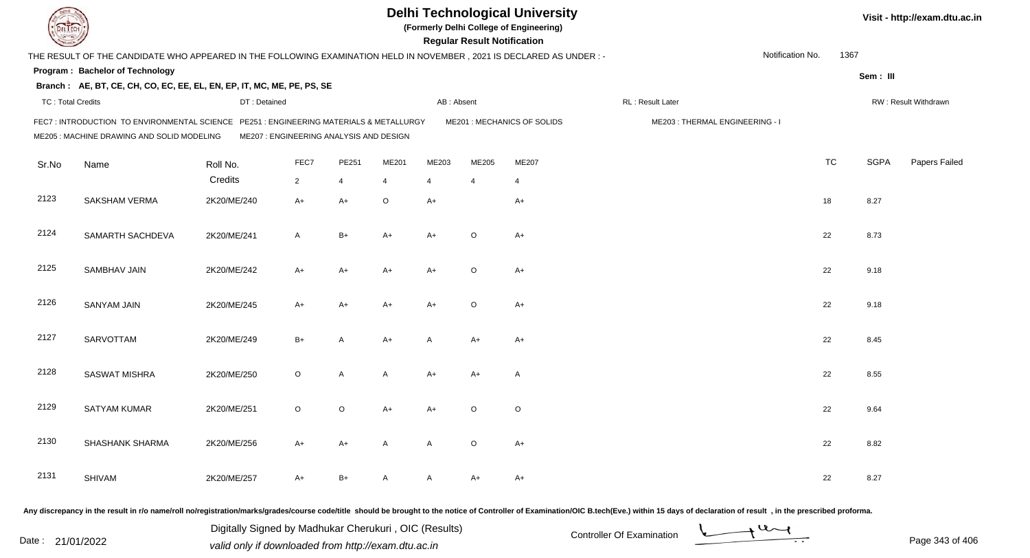|                          |                                                                                                                                       |                                         |                |       |         |                | <b>Regular Result Notification</b> | <b>Delhi Technological University</b><br>(Formerly Delhi College of Engineering) |                                |                  |           |             | Visit - http://exam.dtu.ac.in |
|--------------------------|---------------------------------------------------------------------------------------------------------------------------------------|-----------------------------------------|----------------|-------|---------|----------------|------------------------------------|----------------------------------------------------------------------------------|--------------------------------|------------------|-----------|-------------|-------------------------------|
|                          | THE RESULT OF THE CANDIDATE WHO APPEARED IN THE FOLLOWING EXAMINATION HELD IN NOVEMBER , 2021 IS DECLARED AS UNDER : -                |                                         |                |       |         |                |                                    |                                                                                  |                                | Notification No. | 1367      |             |                               |
|                          | Program: Bachelor of Technology                                                                                                       |                                         |                |       |         |                |                                    |                                                                                  |                                |                  |           | Sem: III    |                               |
|                          | Branch: AE, BT, CE, CH, CO, EC, EE, EL, EN, EP, IT, MC, ME, PE, PS, SE                                                                |                                         |                |       |         |                |                                    |                                                                                  |                                |                  |           |             |                               |
| <b>TC: Total Credits</b> |                                                                                                                                       | DT: Detained                            |                |       |         | AB: Absent     |                                    |                                                                                  | RL: Result Later               |                  |           |             | RW: Result Withdrawn          |
|                          | FEC7 : INTRODUCTION TO ENVIRONMENTAL SCIENCE PE251 : ENGINEERING MATERIALS & METALLURGY<br>ME205 : MACHINE DRAWING AND SOLID MODELING | ME207 : ENGINEERING ANALYSIS AND DESIGN |                |       |         |                |                                    | ME201 : MECHANICS OF SOLIDS                                                      | ME203: THERMAL ENGINEERING - I |                  |           |             |                               |
| Sr.No                    | Name                                                                                                                                  | Roll No.                                | FEC7           | PE251 | ME201   | ME203          | ME205                              | ME207                                                                            |                                |                  | <b>TC</b> | <b>SGPA</b> | Papers Failed                 |
|                          |                                                                                                                                       | Credits                                 | $\overline{2}$ | 4     | 4       | $\overline{4}$ | 4                                  | 4                                                                                |                                |                  |           |             |                               |
| 2123                     | SAKSHAM VERMA                                                                                                                         | 2K20/ME/240                             | $A+$           | A+    | $\circ$ | $A+$           |                                    | $A+$                                                                             |                                |                  | 18        | 8.27        |                               |
| 2124                     | SAMARTH SACHDEVA                                                                                                                      | 2K20/ME/241                             | A              | $B+$  | A+      | A+             | $\circ$                            | $A+$                                                                             |                                |                  | 22        | 8.73        |                               |
| 2125                     | SAMBHAV JAIN                                                                                                                          | 2K20/ME/242                             | A+             | A+    | A+      | $A+$           | $\circ$                            | $A+$                                                                             |                                |                  | 22        | 9.18        |                               |
| 2126                     | <b>SANYAM JAIN</b>                                                                                                                    | 2K20/ME/245                             | A+             | A+    | A+      | $A+$           | $\circ$                            | $A+$                                                                             |                                |                  | 22        | 9.18        |                               |
| 2127                     | <b>SARVOTTAM</b>                                                                                                                      | 2K20/ME/249                             | $B+$           | A     | A+      | $\mathsf{A}$   | $A+$                               | A+                                                                               |                                |                  | 22        | 8.45        |                               |
| 2128                     | <b>SASWAT MISHRA</b>                                                                                                                  | 2K20/ME/250                             | O              | Α     | A       | $A+$           | $A+$                               | A                                                                                |                                |                  | 22        | 8.55        |                               |
| 2129                     | <b>SATYAM KUMAR</b>                                                                                                                   | 2K20/ME/251                             | O              | O     | A+      | A+             | $\circ$                            | O                                                                                |                                |                  | 22        | 9.64        |                               |
| 2130                     | SHASHANK SHARMA                                                                                                                       | 2K20/ME/256                             | A+             | A+    | A       | A              | $\circ$                            | A+                                                                               |                                |                  | 22        | 8.82        |                               |
| 2131                     | SHIVAM                                                                                                                                | 2K20/ME/257                             | A+             | $B+$  | A       | A              | A+                                 | $A+$                                                                             |                                |                  | 22        | 8.27        |                               |
|                          |                                                                                                                                       |                                         |                |       |         |                |                                    |                                                                                  |                                |                  |           |             |                               |

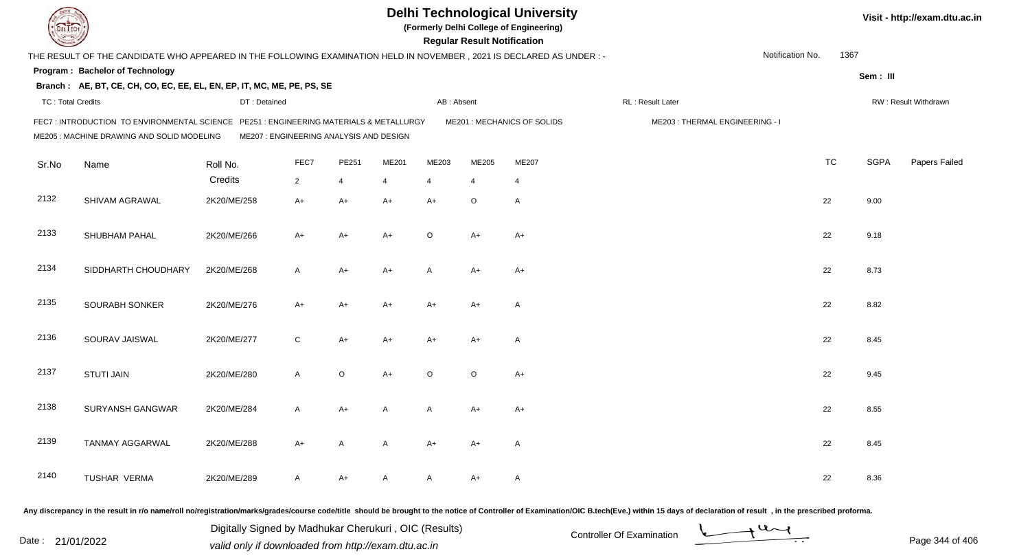|                          |                                                                                                                                       |                                         |                |             |       |                | <b>Regular Result Notification</b> | <b>Delhi Technological University</b><br>(Formerly Delhi College of Engineering) |                                |                  |           |             | Visit - http://exam.dtu.ac.in |
|--------------------------|---------------------------------------------------------------------------------------------------------------------------------------|-----------------------------------------|----------------|-------------|-------|----------------|------------------------------------|----------------------------------------------------------------------------------|--------------------------------|------------------|-----------|-------------|-------------------------------|
|                          | THE RESULT OF THE CANDIDATE WHO APPEARED IN THE FOLLOWING EXAMINATION HELD IN NOVEMBER , 2021 IS DECLARED AS UNDER : -                |                                         |                |             |       |                |                                    |                                                                                  |                                | Notification No. | 1367      |             |                               |
|                          | Program: Bachelor of Technology                                                                                                       |                                         |                |             |       |                |                                    |                                                                                  |                                |                  |           | Sem: III    |                               |
|                          | Branch: AE, BT, CE, CH, CO, EC, EE, EL, EN, EP, IT, MC, ME, PE, PS, SE                                                                |                                         |                |             |       |                |                                    |                                                                                  |                                |                  |           |             |                               |
| <b>TC: Total Credits</b> |                                                                                                                                       | DT: Detained                            |                |             |       | AB: Absent     |                                    |                                                                                  | RL: Result Later               |                  |           |             | RW: Result Withdrawn          |
|                          | FEC7 : INTRODUCTION TO ENVIRONMENTAL SCIENCE PE251 : ENGINEERING MATERIALS & METALLURGY<br>ME205 : MACHINE DRAWING AND SOLID MODELING | ME207 : ENGINEERING ANALYSIS AND DESIGN |                |             |       |                |                                    | ME201 : MECHANICS OF SOLIDS                                                      | ME203: THERMAL ENGINEERING - I |                  |           |             |                               |
| Sr.No                    | Name                                                                                                                                  | Roll No.                                | FEC7           | PE251       | ME201 | ME203          | ME205                              | ME207                                                                            |                                |                  | <b>TC</b> | <b>SGPA</b> | Papers Failed                 |
|                          |                                                                                                                                       | Credits                                 | $\overline{2}$ | 4           | 4     | $\overline{4}$ | 4                                  | 4                                                                                |                                |                  |           |             |                               |
| 2132                     | SHIVAM AGRAWAL                                                                                                                        | 2K20/ME/258                             | $A+$           | A+          | A+    | $A+$           | O                                  | $\mathsf{A}$                                                                     |                                |                  | 22        | 9.00        |                               |
| 2133                     | SHUBHAM PAHAL                                                                                                                         | 2K20/ME/266                             | A+             | $A+$        | A+    | $\circ$        | $A+$                               | $A+$                                                                             |                                |                  | 22        | 9.18        |                               |
| 2134                     | SIDDHARTH CHOUDHARY                                                                                                                   | 2K20/ME/268                             | A              | A+          | A+    | A              | $A+$                               | $A+$                                                                             |                                |                  | 22        | 8.73        |                               |
| 2135                     | SOURABH SONKER                                                                                                                        | 2K20/ME/276                             | A+             | A+          | A+    | $A+$           | $A+$                               | $\mathsf{A}$                                                                     |                                |                  | 22        | 8.82        |                               |
| 2136                     | SOURAV JAISWAL                                                                                                                        | 2K20/ME/277                             | $\mathsf{C}$   | A+          | A+    | A+             | $A+$                               | $\mathsf{A}$                                                                     |                                |                  | 22        | 8.45        |                               |
| 2137                     | <b>STUTI JAIN</b>                                                                                                                     | 2K20/ME/280                             | $\mathsf{A}$   | $\mathsf O$ | A+    | $\circ$        | $\circ$                            | $A+$                                                                             |                                |                  | 22        | 9.45        |                               |
| 2138                     | SURYANSH GANGWAR                                                                                                                      | 2K20/ME/284                             | A              | A+          | A     | A              | A+                                 | A+                                                                               |                                |                  | 22        | 8.55        |                               |
| 2139                     | <b>TANMAY AGGARWAL</b>                                                                                                                | 2K20/ME/288                             | A+             | A           | A     | A+             | A+                                 | A                                                                                |                                |                  | 22        | 8.45        |                               |
| 2140                     | TUSHAR VERMA                                                                                                                          | 2K20/ME/289                             | A              | A+          | A     | A              | A+                                 | A                                                                                |                                |                  | 22        | 8.36        |                               |
|                          |                                                                                                                                       |                                         |                |             |       |                |                                    |                                                                                  |                                |                  |           |             |                               |

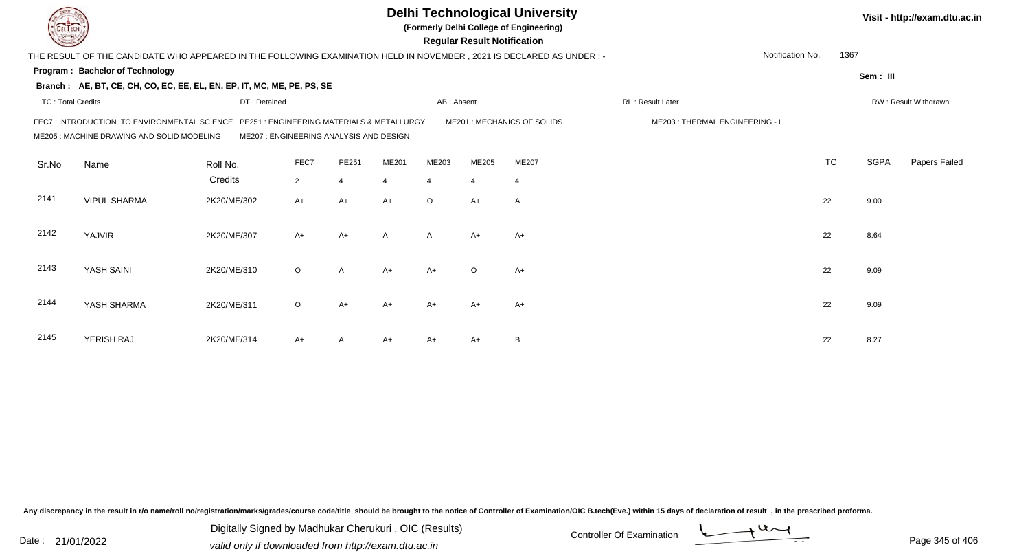|                          |                                                                                                                                       |                                         |                |                |                          |                | <b>Regular Result Notification</b> | <b>Delhi Technological University</b><br>(Formerly Delhi College of Engineering) |                                |                  |           |             | Visit - http://exam.dtu.ac.in |
|--------------------------|---------------------------------------------------------------------------------------------------------------------------------------|-----------------------------------------|----------------|----------------|--------------------------|----------------|------------------------------------|----------------------------------------------------------------------------------|--------------------------------|------------------|-----------|-------------|-------------------------------|
|                          | THE RESULT OF THE CANDIDATE WHO APPEARED IN THE FOLLOWING EXAMINATION HELD IN NOVEMBER, 2021 IS DECLARED AS UNDER :-                  |                                         |                |                |                          |                |                                    |                                                                                  |                                | Notification No. | 1367      |             |                               |
|                          | Program: Bachelor of Technology                                                                                                       |                                         |                |                |                          |                |                                    |                                                                                  |                                |                  |           | Sem: III    |                               |
|                          | Branch: AE, BT, CE, CH, CO, EC, EE, EL, EN, EP, IT, MC, ME, PE, PS, SE                                                                |                                         |                |                |                          |                |                                    |                                                                                  |                                |                  |           |             |                               |
| <b>TC: Total Credits</b> |                                                                                                                                       | DT: Detained                            |                |                |                          | AB: Absent     |                                    |                                                                                  | RL: Result Later               |                  |           |             | RW: Result Withdrawn          |
|                          | FEC7 : INTRODUCTION TO ENVIRONMENTAL SCIENCE PE251 : ENGINEERING MATERIALS & METALLURGY<br>ME205 : MACHINE DRAWING AND SOLID MODELING | ME207 : ENGINEERING ANALYSIS AND DESIGN |                |                |                          |                |                                    | ME201 : MECHANICS OF SOLIDS                                                      | ME203: THERMAL ENGINEERING - I |                  |           |             |                               |
| Sr.No                    | Name                                                                                                                                  | Roll No.                                | FEC7           | PE251          | ME201                    | ME203          | ME205                              | ME207                                                                            |                                |                  | <b>TC</b> | <b>SGPA</b> | Papers Failed                 |
|                          |                                                                                                                                       | Credits                                 | $\overline{2}$ | $\overline{4}$ | $\boldsymbol{\varDelta}$ | $\overline{4}$ | $\overline{4}$                     | $\overline{4}$                                                                   |                                |                  |           |             |                               |
| 2141                     | <b>VIPUL SHARMA</b>                                                                                                                   | 2K20/ME/302                             | $A+$           | $A+$           | $A+$                     | $\circ$        | $A+$                               | Α                                                                                |                                |                  | 22        | 9.00        |                               |
| 2142                     | YAJVIR                                                                                                                                | 2K20/ME/307                             | $A+$           | $A+$           | A                        | $\mathsf{A}$   | $A+$                               | $A+$                                                                             |                                |                  | 22        | 8.64        |                               |
| 2143                     | YASH SAINI                                                                                                                            | 2K20/ME/310                             | $\circ$        | $\overline{A}$ | $A+$                     | $A+$           | $\circ$                            | $A+$                                                                             |                                |                  | 22        | 9.09        |                               |
| 2144                     | YASH SHARMA                                                                                                                           | 2K20/ME/311                             | $\circ$        | $A+$           | $A+$                     | $A+$           | $A+$                               | $A+$                                                                             |                                |                  | 22        | 9.09        |                               |
| 2145                     | YERISH RAJ                                                                                                                            | 2K20/ME/314                             | A+             | A              | A+                       | $A+$           | A+                                 | B                                                                                |                                |                  | 22        | 8.27        |                               |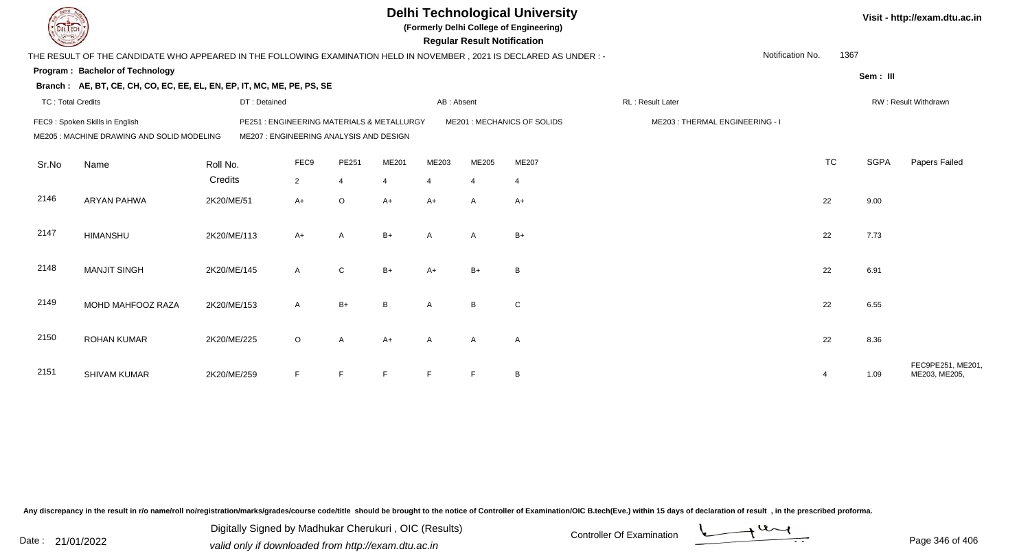|                          |                                                                                                                      |                                                                                      |                |                |                |                | <b>Regular Result Notification</b> | <b>Delhi Technological University</b><br>(Formerly Delhi College of Engineering) |                  |                  |             | Visit - http://exam.dtu.ac.in     |
|--------------------------|----------------------------------------------------------------------------------------------------------------------|--------------------------------------------------------------------------------------|----------------|----------------|----------------|----------------|------------------------------------|----------------------------------------------------------------------------------|------------------|------------------|-------------|-----------------------------------|
|                          | THE RESULT OF THE CANDIDATE WHO APPEARED IN THE FOLLOWING EXAMINATION HELD IN NOVEMBER, 2021 IS DECLARED AS UNDER :- |                                                                                      |                |                |                |                |                                    |                                                                                  |                  | Notification No. | 1367        |                                   |
|                          | <b>Program: Bachelor of Technology</b>                                                                               |                                                                                      |                |                |                |                |                                    |                                                                                  |                  |                  | Sem: III    |                                   |
|                          | Branch: AE, BT, CE, CH, CO, EC, EE, EL, EN, EP, IT, MC, ME, PE, PS, SE                                               |                                                                                      |                |                |                |                |                                    |                                                                                  |                  |                  |             |                                   |
| <b>TC: Total Credits</b> |                                                                                                                      | DT: Detained                                                                         |                |                |                | AB: Absent     |                                    |                                                                                  | RL: Result Later |                  |             | RW: Result Withdrawn              |
|                          | FEC9: Spoken Skills in English<br>ME205 : MACHINE DRAWING AND SOLID MODELING                                         | PE251: ENGINEERING MATERIALS & METALLURGY<br>ME207 : ENGINEERING ANALYSIS AND DESIGN |                |                |                |                | ME201 : MECHANICS OF SOLIDS        | ME203: THERMAL ENGINEERING - I                                                   |                  |                  |             |                                   |
| Sr.No                    | Name                                                                                                                 | Roll No.                                                                             | FEC9           | PE251          | ME201          | ME203          | ME205                              | ME207                                                                            |                  | <b>TC</b>        | <b>SGPA</b> | Papers Failed                     |
|                          |                                                                                                                      | Credits                                                                              | $\overline{2}$ | $\overline{4}$ | $\overline{4}$ | $\overline{4}$ | $\overline{4}$                     | $\overline{4}$                                                                   |                  |                  |             |                                   |
| 2146                     | <b>ARYAN PAHWA</b>                                                                                                   | 2K20/ME/51                                                                           | $A+$           | $\circ$        | $A+$           | $A+$           | A                                  | $A+$                                                                             |                  | 22               | 9.00        |                                   |
| 2147                     | <b>HIMANSHU</b>                                                                                                      | 2K20/ME/113                                                                          | $A+$           | A              | $B+$           | A              | A                                  | $B+$                                                                             |                  | 22               | 7.73        |                                   |
| 2148                     | <b>MANJIT SINGH</b>                                                                                                  | 2K20/ME/145                                                                          | $\mathsf{A}$   | ${\bf C}$      | $B+$           | $A+$           | $B+$                               | B                                                                                |                  | 22               | 6.91        |                                   |
| 2149                     | MOHD MAHFOOZ RAZA                                                                                                    | 2K20/ME/153                                                                          | A              | $B+$           | <sub>B</sub>   | A              | B <sub>1</sub>                     | C                                                                                |                  | 22               | 6.55        |                                   |
| 2150                     | <b>ROHAN KUMAR</b>                                                                                                   | 2K20/ME/225                                                                          | $\circ$        | $\mathsf{A}$   | $A+$           | $\overline{A}$ | $\mathsf{A}$                       | $\mathsf{A}$                                                                     |                  | 22               | 8.36        |                                   |
| 2151                     | <b>SHIVAM KUMAR</b>                                                                                                  | 2K20/ME/259                                                                          | F.             | E              | E              | E              | E                                  | B                                                                                |                  | 4                | 1.09        | FEC9PE251, ME201<br>ME203, ME205, |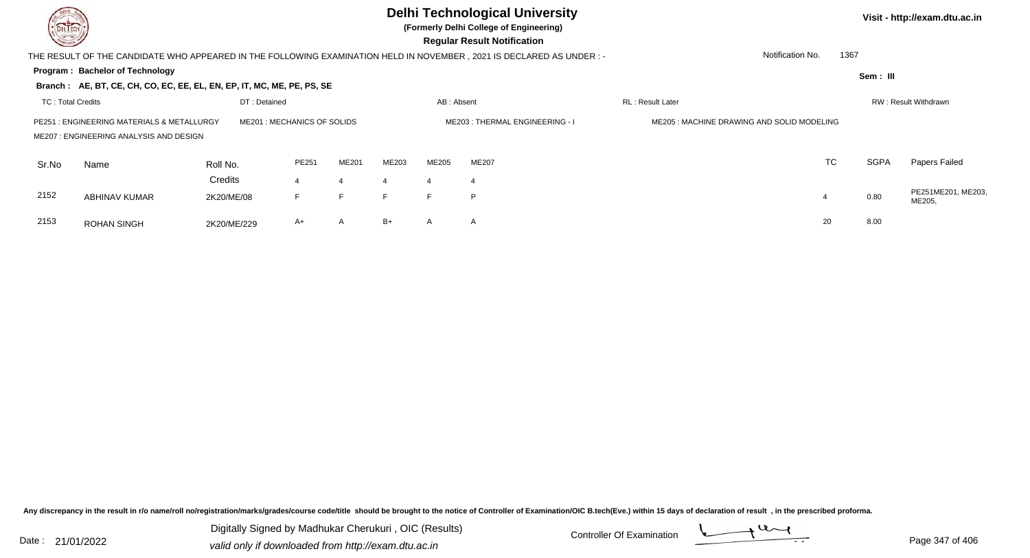

## **Delhi Technological University**

**(Formerly Delhi College of Engineering)**

 **Regular Result Notification**

**Visit - http://exam.dtu.ac.in**

**Program : Bachelor of TechnologySem : III Branch : AE, BT, CE, CH, CO, EC, EE, EL, EN, EP, IT, MC, ME, PE, PS, SE**THE RESULT OF THE CANDIDATE WHO APPEARED IN THE FOLLOWING EXAMINATION HELD IN NOVEMBER , 2021 IS DECLARED AS UNDER : -TC : Total Credits DT : Detainedd AB : Absent RL : Result Later RW : Result Withdrawn Notification No. 1367Sr.NoName Roll No. **Credits** PE251 : ENGINEERING MATERIALS & METALLURGY ME201 : MECHANICS OF SOLIDS ME203 : THERMAL ENGINEERING - I ME205 : MACHINE DRAWING AND SOLID MODELINGME207 : ENGINEERING ANALYSIS AND DESIGNPE2511 ME201 ME203 ME205 ME207 ME207 ME207 ME207 ME30 ME307 ME207 MEXIC TC SGPA Papers Failed 44 4 4 4 4 2152 ABHINAV KUMAR 2K20/ME/08 <sup>F</sup> <sup>F</sup> <sup>F</sup> <sup>F</sup> <sup>P</sup> <sup>4</sup> 0.80 PE251ME201, ME203, ME205, 2153 ROHAN SINGHH 2K20/ME/229 A+ A B+ A A A

Any discrepancy in the result in r/o name/roll no/registration/marks/grades/course code/title should be brought to the notice of Controller of Examination/OIC B.tech(Eve.) within 15 days of declaration of result , in the p

Date : 21/01/2022 Digital Digital of Microsofted Chemical Controller Of Examination Determination Page 347 of 40 Digitally Signed by Madhukar Cherukuri , OIC (Results)

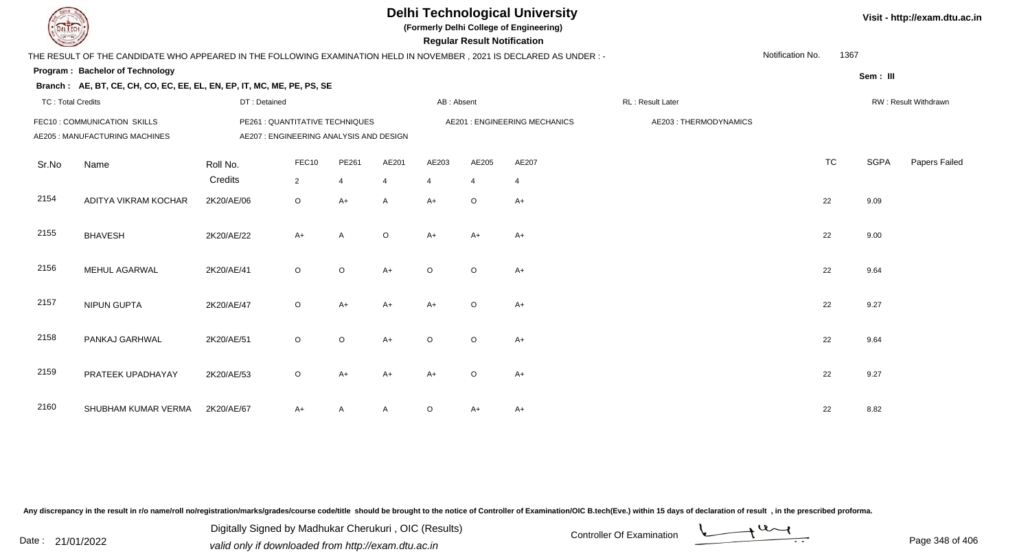## **Delhi Technological University**

**(Formerly Delhi College of Engineering)**

 **Regular Result Notification**

| <b>Courses A</b>         |                                                                                                                     |                                                                            |                         |              |                         |            | <b>Regular Result Notification</b> |                               |                       |                  |           |             |                      |
|--------------------------|---------------------------------------------------------------------------------------------------------------------|----------------------------------------------------------------------------|-------------------------|--------------|-------------------------|------------|------------------------------------|-------------------------------|-----------------------|------------------|-----------|-------------|----------------------|
|                          | THE RESULT OF THE CANDIDATE WHO APPEARED IN THE FOLLOWING EXAMINATION HELD IN NOVEMBER, 2021 IS DECLARED AS UNDER:- |                                                                            |                         |              |                         |            |                                    |                               |                       | Notification No. | 1367      |             |                      |
|                          | Program: Bachelor of Technology                                                                                     |                                                                            |                         |              |                         |            |                                    |                               |                       |                  |           | Sem: III    |                      |
|                          | Branch: AE, BT, CE, CH, CO, EC, EE, EL, EN, EP, IT, MC, ME, PE, PS, SE                                              |                                                                            |                         |              |                         |            |                                    |                               |                       |                  |           |             |                      |
| <b>TC: Total Credits</b> |                                                                                                                     | DT: Detained                                                               |                         |              |                         | AB: Absent |                                    |                               | RL: Result Later      |                  |           |             | RW: Result Withdrawn |
|                          | FEC10 : COMMUNICATION SKILLS<br>AE205 : MANUFACTURING MACHINES                                                      | PE261 : QUANTITATIVE TECHNIQUES<br>AE207 : ENGINEERING ANALYSIS AND DESIGN |                         |              |                         |            |                                    | AE201 : ENGINEERING MECHANICS | AE203: THERMODYNAMICS |                  |           |             |                      |
| Sr.No                    | Name                                                                                                                | Roll No.<br>Credits                                                        | FEC10<br>$\overline{2}$ | PE261<br>4   | AE201<br>$\overline{4}$ | AE203<br>4 | AE205<br>$\overline{4}$            | AE207<br>4                    |                       |                  | <b>TC</b> | <b>SGPA</b> | Papers Failed        |
| 2154                     | ADITYA VIKRAM KOCHAR                                                                                                | 2K20/AE/06                                                                 | $\circ$                 | $A+$         | $\mathsf{A}$            | $A+$       | $\circ$                            | $A+$                          |                       |                  | 22        | 9.09        |                      |
| 2155                     | <b>BHAVESH</b>                                                                                                      | 2K20/AE/22                                                                 | $A+$                    | $\mathsf{A}$ | $\circ$                 | $A+$       | $A+$                               | $A+$                          |                       |                  | 22        | 9.00        |                      |
| 2156                     | <b>MEHUL AGARWAL</b>                                                                                                | 2K20/AE/41                                                                 | $\circ$                 | $\circ$      | $A+$                    | $\circ$    | $\circ$                            | $A+$                          |                       |                  | 22        | 9.64        |                      |
| 2157                     | <b>NIPUN GUPTA</b>                                                                                                  | 2K20/AE/47                                                                 | $\circ$                 | $A+$         | $A+$                    | $A+$       | $\circ$                            | $A+$                          |                       |                  | 22        | 9.27        |                      |
| 2158                     | PANKAJ GARHWAL                                                                                                      | 2K20/AE/51                                                                 | $\circ$                 | $\circ$      | $A+$                    | $\circ$    | $\circ$                            | A+                            |                       |                  | 22        | 9.64        |                      |
| 2159                     | PRATEEK UPADHAYAY                                                                                                   | 2K20/AE/53                                                                 | $\circ$                 | $A+$         | $A+$                    | A+         | O                                  | A+                            |                       |                  | 22        | 9.27        |                      |
| 2160                     | SHUBHAM KUMAR VERMA                                                                                                 | 2K20/AE/67                                                                 | $A+$                    | A            | A                       | $\circ$    | A+                                 | A+                            |                       |                  | 22        | 8.82        |                      |

Any discrepancy in the result in r/o name/roll no/registration/marks/grades/course code/title should be brought to the notice of Controller of Examination/OIC B.tech(Eve.) within 15 days of declaration of result, in the pr

Date : 21/01/2022 Digital Digital of Microsofted Chemical Controller Of Examination Determination Page 348 of 40 Digitally Signed by Madhukar Cherukuri , OIC (Results)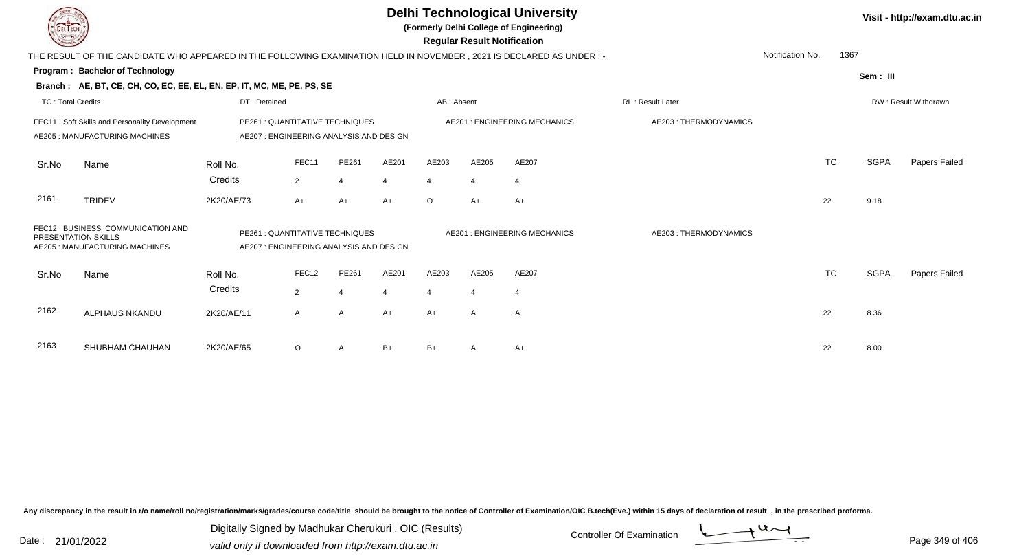|                          |                                                                                                                                                                           |              |                                                                           |                |                |                | <b>Regular Result Notification</b> | <b>Delhi Technological University</b><br>(Formerly Delhi College of Engineering) |                       |                  |           |             | Visit - http://exam.dtu.ac.in |
|--------------------------|---------------------------------------------------------------------------------------------------------------------------------------------------------------------------|--------------|---------------------------------------------------------------------------|----------------|----------------|----------------|------------------------------------|----------------------------------------------------------------------------------|-----------------------|------------------|-----------|-------------|-------------------------------|
|                          | THE RESULT OF THE CANDIDATE WHO APPEARED IN THE FOLLOWING EXAMINATION HELD IN NOVEMBER, 2021 IS DECLARED AS UNDER:-                                                       |              |                                                                           |                |                |                |                                    |                                                                                  |                       | Notification No. | 1367      |             |                               |
|                          | Program: Bachelor of Technology                                                                                                                                           |              |                                                                           |                |                |                |                                    |                                                                                  |                       |                  |           | Sem: III    |                               |
|                          | Branch: AE, BT, CE, CH, CO, EC, EE, EL, EN, EP, IT, MC, ME, PE, PS, SE                                                                                                    |              |                                                                           |                |                |                |                                    |                                                                                  |                       |                  |           |             |                               |
| <b>TC: Total Credits</b> |                                                                                                                                                                           | DT: Detained |                                                                           |                |                | AB: Absent     |                                    |                                                                                  | RL: Result Later      |                  |           |             | RW: Result Withdrawn          |
|                          | FEC11: Soft Skills and Personality Development<br>AE205: MANUFACTURING MACHINES                                                                                           |              | PE261 : QUANTITATIVE TECHNIQUES<br>AE207: ENGINEERING ANALYSIS AND DESIGN |                |                |                |                                    | <b>AE201: ENGINEERING MECHANICS</b>                                              | AE203: THERMODYNAMICS |                  |           |             |                               |
| Sr.No                    | Name                                                                                                                                                                      | Roll No.     | FEC11                                                                     | PE261          | AE201          | AE203          | AE205                              | AE207                                                                            |                       |                  | <b>TC</b> | <b>SGPA</b> | Papers Failed                 |
|                          |                                                                                                                                                                           | Credits      | $\overline{2}$                                                            | $\overline{4}$ | $\overline{4}$ | $\overline{4}$ |                                    | $\overline{4}$                                                                   |                       |                  |           |             |                               |
| 2161                     | <b>TRIDEV</b>                                                                                                                                                             | 2K20/AE/73   | $A+$                                                                      | $A+$           | $A+$           | $\circ$        | $A+$                               | A+                                                                               |                       | 22               |           | 9.18        |                               |
|                          | FEC12 : BUSINESS COMMUNICATION AND<br>PE261 : QUANTITATIVE TECHNIQUES<br>PRESENTATION SKILLS<br>AE205 : MANUFACTURING MACHINES<br>AE207 : ENGINEERING ANALYSIS AND DESIGN |              |                                                                           |                |                |                |                                    | <b>AE201: ENGINEERING MECHANICS</b>                                              | AE203: THERMODYNAMICS |                  |           |             |                               |
| Sr.No                    | Name                                                                                                                                                                      | Roll No.     | FEC12                                                                     | PE261          | AE201          | AE203          | AE205                              | AE207                                                                            |                       |                  | <b>TC</b> | <b>SGPA</b> | Papers Failed                 |
|                          |                                                                                                                                                                           | Credits      | 2                                                                         | $\overline{4}$ | $\overline{4}$ | $\overline{4}$ | $\boldsymbol{\Delta}$              | $\overline{4}$                                                                   |                       |                  |           |             |                               |
| 2162                     | <b>ALPHAUS NKANDU</b>                                                                                                                                                     | 2K20/AE/11   | $\mathsf{A}$                                                              | $\overline{A}$ | $A+$           | $A+$           | A                                  | $\mathsf{A}$                                                                     |                       | 22               |           | 8.36        |                               |
| 2163                     | SHUBHAM CHAUHAN                                                                                                                                                           | 2K20/AE/65   | $\circ$                                                                   | A              | $B+$           | $B+$           |                                    | A+                                                                               |                       | 22               |           | 8.00        |                               |

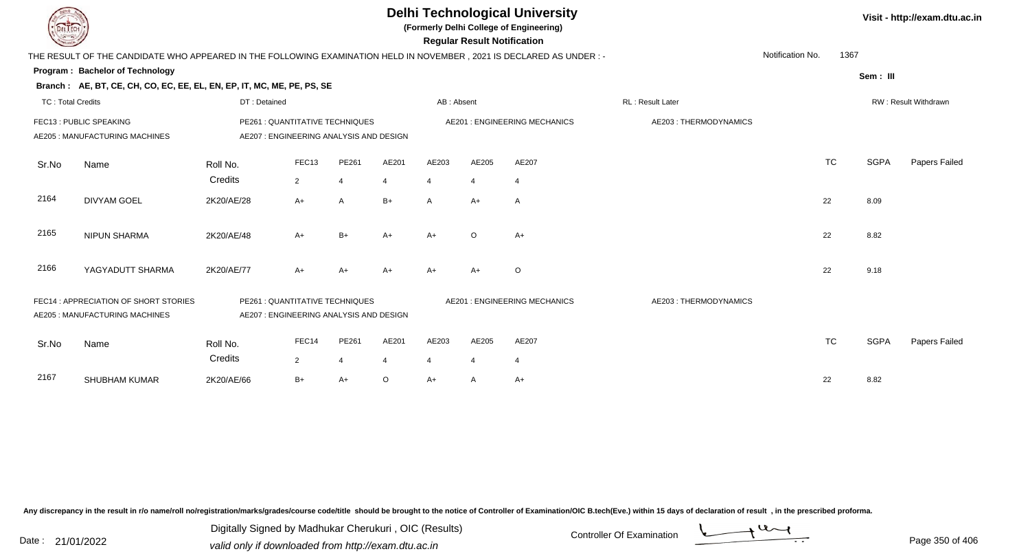| <b>DELTECH</b>           |                                                                                                                     |                                                                            |                |                |         |                | <b>Regular Result Notification</b> | <b>Delhi Technological University</b><br>(Formerly Delhi College of Engineering) |                       |                  |           |             | Visit - http://exam.dtu.ac.in |
|--------------------------|---------------------------------------------------------------------------------------------------------------------|----------------------------------------------------------------------------|----------------|----------------|---------|----------------|------------------------------------|----------------------------------------------------------------------------------|-----------------------|------------------|-----------|-------------|-------------------------------|
|                          | THE RESULT OF THE CANDIDATE WHO APPEARED IN THE FOLLOWING EXAMINATION HELD IN NOVEMBER, 2021 IS DECLARED AS UNDER:- |                                                                            |                |                |         |                |                                    |                                                                                  |                       | Notification No. | 1367      |             |                               |
|                          | Program: Bachelor of Technology                                                                                     |                                                                            |                |                |         |                |                                    |                                                                                  |                       |                  |           | Sem: III    |                               |
|                          | Branch: AE, BT, CE, CH, CO, EC, EE, EL, EN, EP, IT, MC, ME, PE, PS, SE                                              |                                                                            |                |                |         |                |                                    |                                                                                  |                       |                  |           |             |                               |
| <b>TC: Total Credits</b> |                                                                                                                     | DT: Detained                                                               |                |                |         | AB: Absent     |                                    |                                                                                  | RL: Result Later      |                  |           |             | RW: Result Withdrawn          |
|                          | FEC13 : PUBLIC SPEAKING<br>AE205 : MANUFACTURING MACHINES                                                           | PE261 : QUANTITATIVE TECHNIQUES<br>AE207 : ENGINEERING ANALYSIS AND DESIGN |                |                |         |                |                                    | <b>AE201: ENGINEERING MECHANICS</b>                                              | AE203: THERMODYNAMICS |                  |           |             |                               |
| Sr.No                    | Name                                                                                                                | Roll No.                                                                   | FEC13          | PE261          | AE201   | AE203          | AE205                              | AE207                                                                            |                       |                  | <b>TC</b> | <b>SGPA</b> | Papers Failed                 |
|                          |                                                                                                                     | Credits                                                                    | $\overline{2}$ | $\overline{4}$ | 4       | $\overline{4}$ | 4                                  | $\overline{4}$                                                                   |                       |                  |           |             |                               |
| 2164                     | <b>DIVYAM GOEL</b>                                                                                                  | 2K20/AE/28                                                                 | $A+$           | A              | $B+$    | A              | A+                                 | $\mathsf{A}$                                                                     |                       |                  | 22        | 8.09        |                               |
| 2165                     | <b>NIPUN SHARMA</b>                                                                                                 | 2K20/AE/48                                                                 | $A+$           | $B+$           | $A+$    | $A+$           | O                                  | $A+$                                                                             |                       |                  | 22        | 8.82        |                               |
| 2166                     | YAGYADUTT SHARMA                                                                                                    | 2K20/AE/77                                                                 | $A+$           | A+             | $A+$    |                | A+                                 | $\circ$                                                                          |                       |                  | 22        | 9.18        |                               |
|                          | FEC14 : APPRECIATION OF SHORT STORIES<br>AE205 : MANUFACTURING MACHINES                                             | PE261 : QUANTITATIVE TECHNIQUES<br>AE207 : ENGINEERING ANALYSIS AND DESIGN |                |                |         |                |                                    | AE201 : ENGINEERING MECHANICS                                                    | AE203: THERMODYNAMICS |                  |           |             |                               |
| Sr.No                    | Name                                                                                                                | Roll No.                                                                   | FEC14          | PE261          | AE201   | AE203          | AE205                              | AE207                                                                            |                       |                  | <b>TC</b> | <b>SGPA</b> | Papers Failed                 |
|                          |                                                                                                                     | Credits                                                                    | $\overline{2}$ | $\overline{4}$ | 4       | $\overline{4}$ |                                    | $\overline{4}$                                                                   |                       |                  |           |             |                               |
| 2167                     | <b>SHUBHAM KUMAR</b>                                                                                                | 2K20/AE/66                                                                 | $B+$           | $A+$           | $\circ$ | A+             | Α                                  | $A+$                                                                             |                       |                  | 22        | 8.82        |                               |

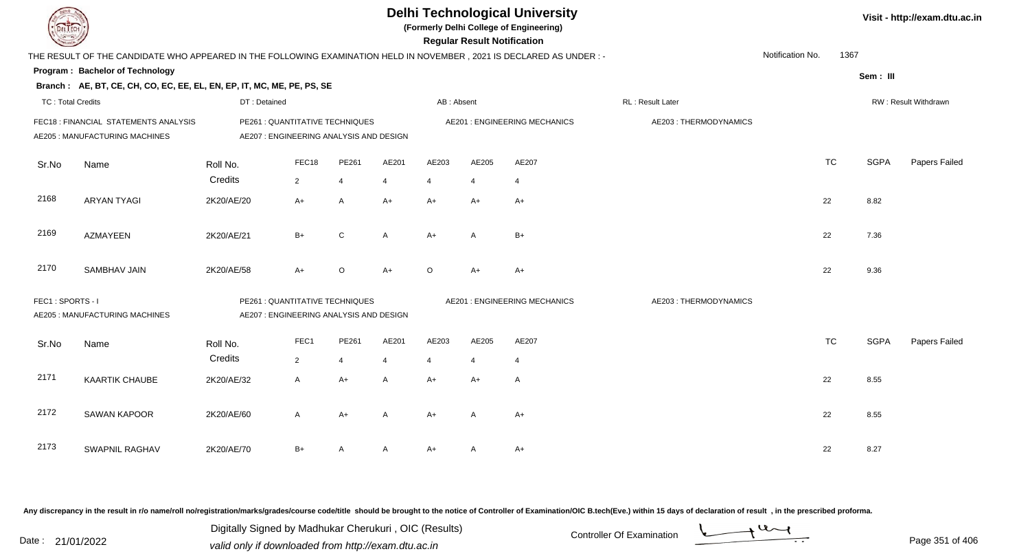| DEL I ECH                |                                                                                                                      |              |                                                                            |                |                |            | <b>Regular Result Notification</b> | <b>Delhi Technological University</b><br>(Formerly Delhi College of Engineering) |                       |                  |           |             | Visit - http://exam.dtu.ac.in |
|--------------------------|----------------------------------------------------------------------------------------------------------------------|--------------|----------------------------------------------------------------------------|----------------|----------------|------------|------------------------------------|----------------------------------------------------------------------------------|-----------------------|------------------|-----------|-------------|-------------------------------|
|                          | THE RESULT OF THE CANDIDATE WHO APPEARED IN THE FOLLOWING EXAMINATION HELD IN NOVEMBER, 2021 IS DECLARED AS UNDER :- |              |                                                                            |                |                |            |                                    |                                                                                  |                       | Notification No. | 1367      |             |                               |
|                          | Program: Bachelor of Technology                                                                                      |              |                                                                            |                |                |            |                                    |                                                                                  |                       |                  |           | Sem: III    |                               |
|                          | Branch: AE, BT, CE, CH, CO, EC, EE, EL, EN, EP, IT, MC, ME, PE, PS, SE                                               |              |                                                                            |                |                |            |                                    |                                                                                  |                       |                  |           |             |                               |
| <b>TC: Total Credits</b> |                                                                                                                      | DT: Detained |                                                                            |                |                | AB: Absent |                                    |                                                                                  | RL: Result Later      |                  |           |             | RW: Result Withdrawn          |
|                          | FEC18 : FINANCIAL STATEMENTS ANALYSIS<br>AE205 : MANUFACTURING MACHINES                                              |              | PE261 : QUANTITATIVE TECHNIQUES<br>AE207 : ENGINEERING ANALYSIS AND DESIGN |                |                |            |                                    | <b>AE201: ENGINEERING MECHANICS</b>                                              | AE203: THERMODYNAMICS |                  |           |             |                               |
| Sr.No                    | Name                                                                                                                 | Roll No.     | FEC18                                                                      | PE261          | AE201          | AE203      | AE205                              | AE207                                                                            |                       |                  | <b>TC</b> | <b>SGPA</b> | Papers Failed                 |
|                          |                                                                                                                      | Credits      | $\overline{2}$                                                             | $\overline{4}$ | $\overline{4}$ | 4          |                                    | 4                                                                                |                       |                  |           |             |                               |
| 2168                     | <b>ARYAN TYAGI</b>                                                                                                   | 2K20/AE/20   | $A+$                                                                       | A              | $A+$           | A+         | A+                                 | $A+$                                                                             |                       |                  | 22        | 8.82        |                               |
| 2169                     | <b>AZMAYEEN</b>                                                                                                      | 2K20/AE/21   | $B+$                                                                       | C              | A              | $A+$       | $\overline{A}$                     | $B+$                                                                             |                       |                  | 22        | 7.36        |                               |
| 2170                     | <b>SAMBHAV JAIN</b>                                                                                                  | 2K20/AE/58   | $A+$                                                                       | $\circ$        | $A+$           | $\circ$    | $A+$                               | $A+$                                                                             |                       |                  | 22        | 9.36        |                               |
| FEC1: SPORTS - I         | AE205 : MANUFACTURING MACHINES                                                                                       |              | PE261 : QUANTITATIVE TECHNIQUES<br>AE207 : ENGINEERING ANALYSIS AND DESIGN |                |                |            |                                    | AE201 : ENGINEERING MECHANICS                                                    | AE203: THERMODYNAMICS |                  |           |             |                               |
| Sr.No                    | Name                                                                                                                 | Roll No.     | FEC1                                                                       | PE261          | AE201          | AE203      | AE205                              | AE207                                                                            |                       |                  | <b>TC</b> | <b>SGPA</b> | Papers Failed                 |
|                          |                                                                                                                      | Credits      | $\overline{2}$                                                             | $\overline{4}$ | $\overline{4}$ | 4          | $\overline{4}$                     | 4                                                                                |                       |                  |           |             |                               |
| 2171                     | <b>KAARTIK CHAUBE</b>                                                                                                | 2K20/AE/32   | A                                                                          | $A+$           | A              | $A+$       | $A+$                               | A                                                                                |                       |                  | 22        | 8.55        |                               |
| 2172                     | <b>SAWAN KAPOOR</b>                                                                                                  | 2K20/AE/60   | A                                                                          | $A+$           | A              | A+         | A                                  | $A+$                                                                             |                       |                  | 22        | 8.55        |                               |
| 2173                     | <b>SWAPNIL RAGHAV</b>                                                                                                | 2K20/AE/70   | $B+$                                                                       | A              | A              | A+         | Α                                  | $A+$                                                                             |                       |                  | 22        | 8.27        |                               |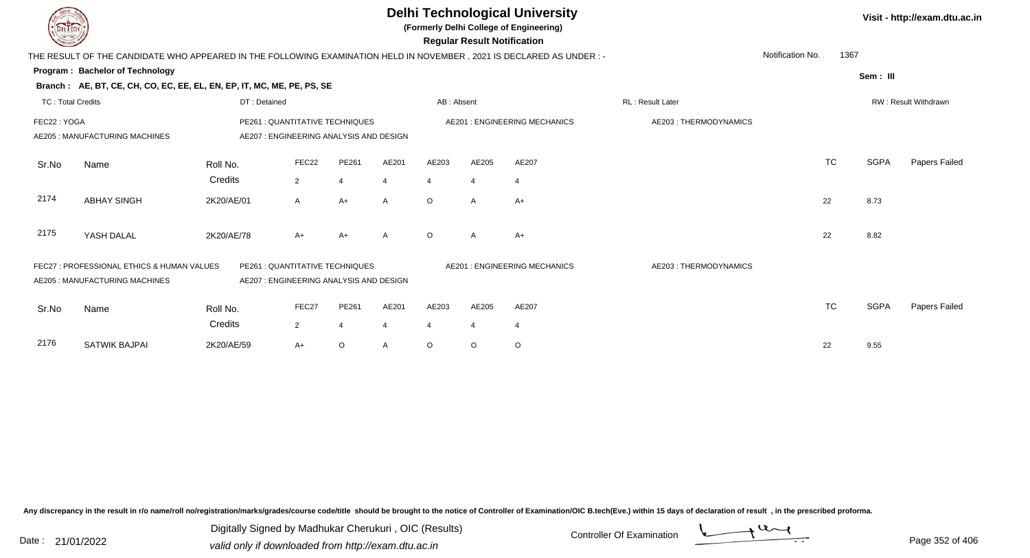|                          | <b>DELTECH</b><br>THE RESULT OF THE CANDIDATE WHO APPEARED IN THE FOLLOWING EXAMINATION HELD IN NOVEMBER, 2021 IS DECLARED AS UNDER :- |              |                                                                            |                |                |                         | <b>Regular Result Notification</b> | <b>Delhi Technological University</b><br>(Formerly Delhi College of Engineering) |                       |                  |           |             | Visit - http://exam.dtu.ac.in |
|--------------------------|----------------------------------------------------------------------------------------------------------------------------------------|--------------|----------------------------------------------------------------------------|----------------|----------------|-------------------------|------------------------------------|----------------------------------------------------------------------------------|-----------------------|------------------|-----------|-------------|-------------------------------|
|                          |                                                                                                                                        |              |                                                                            |                |                |                         |                                    |                                                                                  |                       | Notification No. | 1367      |             |                               |
|                          | Program: Bachelor of Technology                                                                                                        |              |                                                                            |                |                |                         |                                    |                                                                                  |                       |                  |           | Sem: III    |                               |
|                          | Branch: AE, BT, CE, CH, CO, EC, EE, EL, EN, EP, IT, MC, ME, PE, PS, SE                                                                 |              |                                                                            |                |                |                         |                                    |                                                                                  |                       |                  |           |             |                               |
| <b>TC: Total Credits</b> |                                                                                                                                        | DT: Detained |                                                                            |                |                | AB: Absent              |                                    |                                                                                  | RL : Result Later     |                  |           |             | RW: Result Withdrawn          |
|                          | FEC22: YOGA<br>PE261 : QUANTITATIVE TECHNIQUES<br>AE205: MANUFACTURING MACHINES<br>AE207: ENGINEERING ANALYSIS AND DESIGN              |              |                                                                            |                |                |                         |                                    | <b>AE201: ENGINEERING MECHANICS</b>                                              | AE203: THERMODYNAMICS |                  |           |             |                               |
| Sr.No                    | Name                                                                                                                                   | Roll No.     | FEC22                                                                      | PE261          | AE201          | AE203                   | AE205                              | AE207                                                                            |                       |                  | <b>TC</b> | <b>SGPA</b> | Papers Failed                 |
|                          |                                                                                                                                        | Credits      | 2                                                                          | $\overline{4}$ | $\overline{4}$ | $\overline{4}$          | $\overline{4}$                     | 4                                                                                |                       |                  |           |             |                               |
| 2174                     | <b>ABHAY SINGH</b>                                                                                                                     | 2K20/AE/01   | $\mathsf{A}$                                                               | $A+$           | $\mathsf{A}$   | $\Omega$                | A                                  | $A+$                                                                             |                       |                  | 22        | 8.73        |                               |
| 2175                     | YASH DALAL                                                                                                                             | 2K20/AE/78   | $A+$                                                                       | A+             | A              | $\circ$                 | A                                  | $A+$                                                                             |                       |                  | 22        | 8.82        |                               |
|                          | FEC27 : PROFESSIONAL ETHICS & HUMAN VALUES<br>AE205 : MANUFACTURING MACHINES                                                           |              | PE261 : QUANTITATIVE TECHNIQUES<br>AE207 : ENGINEERING ANALYSIS AND DESIGN |                |                |                         |                                    | <b>AE201: ENGINEERING MECHANICS</b>                                              | AE203: THERMODYNAMICS |                  |           |             |                               |
| Sr.No                    | Name                                                                                                                                   | Roll No.     | FEC27                                                                      | PE261          | AE201          | AE203                   | AE205                              | AE207                                                                            |                       |                  | <b>TC</b> | <b>SGPA</b> | Papers Failed                 |
|                          |                                                                                                                                        | Credits      | 2                                                                          | $\overline{4}$ | $\overline{4}$ | $\overline{\mathbf{4}}$ | $\overline{4}$                     | $\overline{4}$                                                                   |                       |                  |           |             |                               |
| 2176                     | <b>SATWIK BAJPAI</b>                                                                                                                   | 2K20/AE/59   | $A+$                                                                       | $\circ$        | A              | $\circ$                 | O                                  | $\circ$                                                                          |                       |                  | 22        | 9.55        |                               |

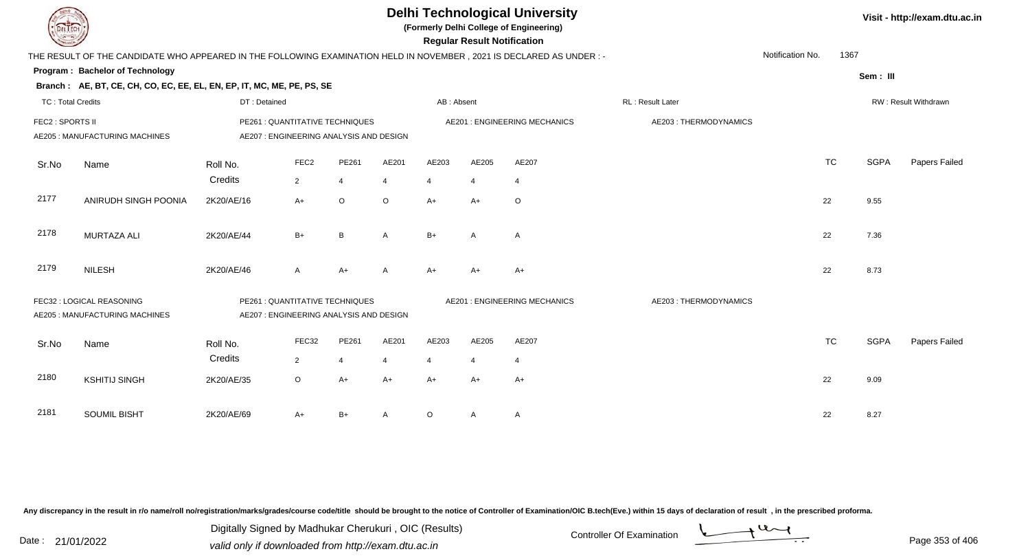| <b>DELTECH</b>           |                                                                                                                     |                                                                            |                                                                            |                           |              |            | <b>Regular Result Notification</b> | <b>Delhi Technological University</b><br>(Formerly Delhi College of Engineering) |                       |                          |             | Visit - http://exam.dtu.ac.in |
|--------------------------|---------------------------------------------------------------------------------------------------------------------|----------------------------------------------------------------------------|----------------------------------------------------------------------------|---------------------------|--------------|------------|------------------------------------|----------------------------------------------------------------------------------|-----------------------|--------------------------|-------------|-------------------------------|
|                          | THE RESULT OF THE CANDIDATE WHO APPEARED IN THE FOLLOWING EXAMINATION HELD IN NOVEMBER, 2021 IS DECLARED AS UNDER:- |                                                                            |                                                                            |                           |              |            |                                    |                                                                                  |                       | Notification No.<br>1367 |             |                               |
|                          | Program: Bachelor of Technology                                                                                     |                                                                            |                                                                            |                           |              |            |                                    |                                                                                  |                       |                          | Sem: III    |                               |
|                          | Branch: AE, BT, CE, CH, CO, EC, EE, EL, EN, EP, IT, MC, ME, PE, PS, SE                                              |                                                                            |                                                                            |                           |              |            |                                    |                                                                                  |                       |                          |             |                               |
| <b>TC: Total Credits</b> |                                                                                                                     | DT: Detained                                                               |                                                                            |                           |              | AB: Absent |                                    |                                                                                  | RL: Result Later      |                          |             | RW: Result Withdrawn          |
| FEC2 : SPORTS II         | AE205 : MANUFACTURING MACHINES                                                                                      |                                                                            | PE261 : QUANTITATIVE TECHNIQUES<br>AE207 : ENGINEERING ANALYSIS AND DESIGN |                           |              |            |                                    | <b>AE201: ENGINEERING MECHANICS</b>                                              | AE203: THERMODYNAMICS |                          |             |                               |
| Sr.No                    | Name                                                                                                                | Roll No.<br>Credits                                                        | FEC <sub>2</sub>                                                           | PE261                     | AE201        | AE203      | AE205                              | AE207                                                                            |                       | <b>TC</b>                | <b>SGPA</b> | Papers Failed                 |
| 2177                     | ANIRUDH SINGH POONIA                                                                                                | 2K20/AE/16                                                                 | $\overline{2}$<br>$A+$                                                     | $\overline{4}$<br>$\circ$ | 4<br>$\circ$ | 4<br>$A+$  | $A+$                               | $\overline{4}$<br>$\circ$                                                        |                       | 22                       | 9.55        |                               |
| 2178                     | <b>MURTAZA ALI</b>                                                                                                  | 2K20/AE/44                                                                 | $B+$                                                                       | B                         | A            | $B+$       | A                                  | $\mathsf{A}$                                                                     |                       | 22                       | 7.36        |                               |
| 2179                     | <b>NILESH</b>                                                                                                       | 2K20/AE/46                                                                 | A                                                                          | $A+$                      | A            | $A+$       | $A+$                               | $A+$                                                                             |                       | 22                       | 8.73        |                               |
|                          | FEC32 : LOGICAL REASONING<br><b>AE205: MANUFACTURING MACHINES</b>                                                   | PE261 : QUANTITATIVE TECHNIQUES<br>AE207 : ENGINEERING ANALYSIS AND DESIGN |                                                                            |                           |              |            |                                    | AE201 : ENGINEERING MECHANICS                                                    | AE203: THERMODYNAMICS |                          |             |                               |
| Sr.No                    | Name                                                                                                                | Roll No.<br>Credits                                                        | FEC32                                                                      | PE261                     | AE201        | AE203      | AE205                              | AE207                                                                            |                       | <b>TC</b>                | <b>SGPA</b> | Papers Failed                 |
| 2180                     | <b>KSHITIJ SINGH</b>                                                                                                | 2K20/AE/35                                                                 | $\overline{2}$<br>$\circ$                                                  | $\overline{4}$<br>$A+$    | 4<br>A+      | 4<br>$A+$  | $A+$                               | $\overline{4}$<br>$A+$                                                           |                       | 22                       | 9.09        |                               |
| 2181                     | <b>SOUMIL BISHT</b>                                                                                                 | 2K20/AE/69                                                                 | A+                                                                         | $B+$                      | A            | $\circ$    | A                                  | A                                                                                |                       | 22                       | 8.27        |                               |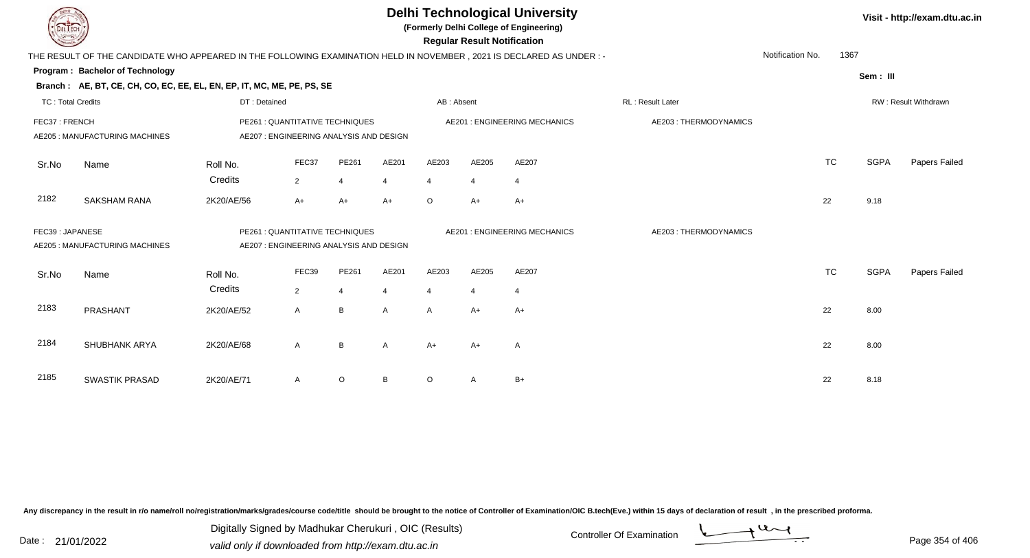|                          |                                                                                                                                 |                     |                                                                            |                         |                         |                         | <b>Regular Result Notification</b> | <b>Delhi Technological University</b><br>(Formerly Delhi College of Engineering) |                       |                  |             | Visit - http://exam.dtu.ac.in |
|--------------------------|---------------------------------------------------------------------------------------------------------------------------------|---------------------|----------------------------------------------------------------------------|-------------------------|-------------------------|-------------------------|------------------------------------|----------------------------------------------------------------------------------|-----------------------|------------------|-------------|-------------------------------|
|                          | THE RESULT OF THE CANDIDATE WHO APPEARED IN THE FOLLOWING EXAMINATION HELD IN NOVEMBER, 2021 IS DECLARED AS UNDER:-             |                     |                                                                            |                         |                         |                         |                                    |                                                                                  |                       | Notification No. | 1367        |                               |
|                          | Program: Bachelor of Technology<br>Branch: AE, BT, CE, CH, CO, EC, EE, EL, EN, EP, IT, MC, ME, PE, PS, SE                       |                     |                                                                            |                         |                         |                         |                                    |                                                                                  |                       |                  | Sem: III    |                               |
| <b>TC: Total Credits</b> |                                                                                                                                 | DT: Detained        |                                                                            |                         |                         | AB: Absent              |                                    |                                                                                  | RL : Result Later     |                  |             | RW: Result Withdrawn          |
| FEC37: FRENCH            | AE205 : MANUFACTURING MACHINES                                                                                                  |                     | PE261 : QUANTITATIVE TECHNIQUES<br>AE207 : ENGINEERING ANALYSIS AND DESIGN |                         |                         |                         |                                    | <b>AE201: ENGINEERING MECHANICS</b>                                              | AE203: THERMODYNAMICS |                  |             |                               |
| Sr.No                    | Name                                                                                                                            | Roll No.<br>Credits | FEC37<br>$\overline{2}$                                                    | PE261<br>$\overline{4}$ | AE201<br>$\overline{4}$ | AE203<br>$\overline{4}$ | AE205<br>4                         | AE207<br>$\overline{4}$                                                          |                       | <b>TC</b>        | <b>SGPA</b> | Papers Failed                 |
| 2182                     | <b>SAKSHAM RANA</b>                                                                                                             | 2K20/AE/56          | $A+$                                                                       | $A+$                    | $A+$                    | $\circ$                 | $A+$                               | $A+$                                                                             |                       | 22               | 9.18        |                               |
|                          | FEC39: JAPANESE<br>PE261 : QUANTITATIVE TECHNIQUES<br>AE205 : MANUFACTURING MACHINES<br>AE207 : ENGINEERING ANALYSIS AND DESIGN |                     |                                                                            |                         |                         |                         |                                    | <b>AE201: ENGINEERING MECHANICS</b>                                              | AE203: THERMODYNAMICS |                  |             |                               |
| Sr.No                    | Name                                                                                                                            | Roll No.<br>Credits | FEC39<br>$\overline{2}$                                                    | PE261<br>$\overline{4}$ | AE201<br>4              | AE203<br>$\overline{4}$ | AE205                              | AE207<br>$\overline{4}$                                                          |                       | <b>TC</b>        | <b>SGPA</b> | Papers Failed                 |
| 2183                     | PRASHANT                                                                                                                        | 2K20/AE/52          | $\mathsf{A}$                                                               | B                       | $\mathsf{A}$            | A                       | $A+$                               | $A+$                                                                             |                       | 22               | 8.00        |                               |
| 2184                     | <b>SHUBHANK ARYA</b>                                                                                                            | 2K20/AE/68          | $\mathsf{A}$                                                               | B                       | A                       | $A+$                    | A+                                 | A                                                                                |                       | 22               | 8.00        |                               |
| 2185                     | <b>SWASTIK PRASAD</b>                                                                                                           | 2K20/AE/71          | A                                                                          | $\circ$                 | B                       | O                       | Α                                  | $B+$                                                                             |                       | 22               | 8.18        |                               |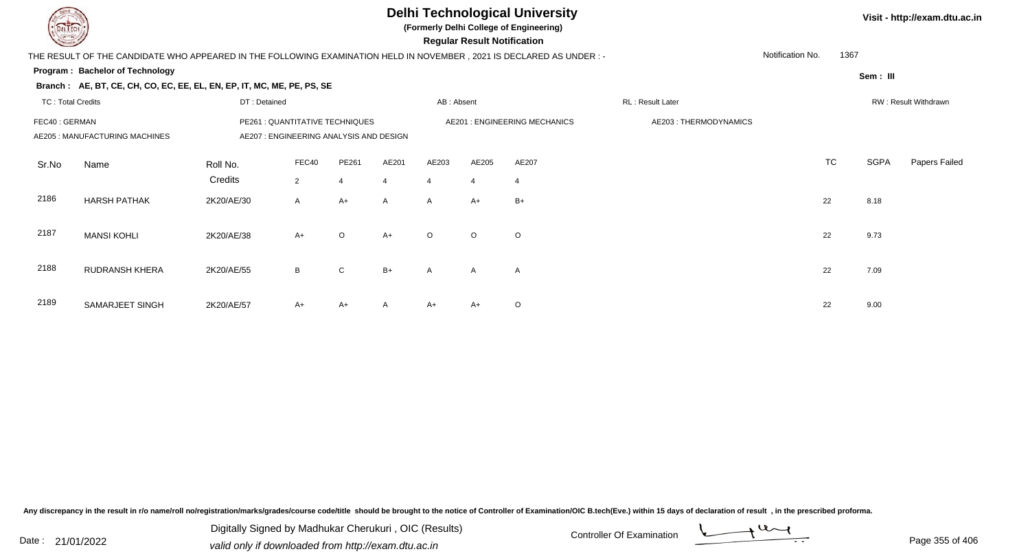## **Delhi Technological University**

**(Formerly Delhi College of Engineering)**

 **Regular Result Notification**

**Visit - http://exam.dtu.ac.in**

| <b>Course Line</b>       |                                                                                                                      |                                         |                |                |                |                | Regular Result Notification |                               |                       |                  |           |          |                      |
|--------------------------|----------------------------------------------------------------------------------------------------------------------|-----------------------------------------|----------------|----------------|----------------|----------------|-----------------------------|-------------------------------|-----------------------|------------------|-----------|----------|----------------------|
|                          | THE RESULT OF THE CANDIDATE WHO APPEARED IN THE FOLLOWING EXAMINATION HELD IN NOVEMBER, 2021 IS DECLARED AS UNDER :- |                                         |                |                |                |                |                             |                               |                       | Notification No. | 1367      |          |                      |
|                          | <b>Program: Bachelor of Technology</b>                                                                               |                                         |                |                |                |                |                             |                               |                       |                  |           | Sem: III |                      |
|                          | Branch: AE, BT, CE, CH, CO, EC, EE, EL, EN, EP, IT, MC, ME, PE, PS, SE                                               |                                         |                |                |                |                |                             |                               |                       |                  |           |          |                      |
| <b>TC: Total Credits</b> |                                                                                                                      | DT: Detained                            |                |                |                | AB: Absent     |                             |                               | RL: Result Later      |                  |           |          | RW: Result Withdrawn |
| FEC40 : GERMAN           |                                                                                                                      | PE261 : QUANTITATIVE TECHNIQUES         |                |                |                |                |                             | AE201 : ENGINEERING MECHANICS | AE203: THERMODYNAMICS |                  |           |          |                      |
|                          | AE205 : MANUFACTURING MACHINES                                                                                       | AE207 : ENGINEERING ANALYSIS AND DESIGN |                |                |                |                |                             |                               |                       |                  |           |          |                      |
|                          |                                                                                                                      |                                         | FEC40          | PE261          | AE201          | AE203          | AE205                       | AE207                         |                       |                  | <b>TC</b> | SGPA     | Papers Failed        |
| Sr.No                    | Name                                                                                                                 | Roll No.                                |                |                |                |                |                             |                               |                       |                  |           |          |                      |
|                          |                                                                                                                      | Credits                                 | $\overline{2}$ | $\overline{4}$ | $\overline{4}$ | $\overline{4}$ | $\overline{4}$              | $\overline{4}$                |                       |                  |           |          |                      |
| 2186                     | <b>HARSH PATHAK</b>                                                                                                  | 2K20/AE/30                              | $\mathsf{A}$   | $A+$           | $\mathsf{A}$   | A              | $A+$                        | $B+$                          |                       |                  | 22        | 8.18     |                      |
|                          |                                                                                                                      |                                         |                |                |                |                |                             |                               |                       |                  |           |          |                      |
| 2187                     | <b>MANSI KOHLI</b>                                                                                                   | 2K20/AE/38                              | $A+$           | $\circ$        | $A+$           | $\circ$        | $\circ$                     | $\circ$                       |                       |                  | 22        | 9.73     |                      |
|                          |                                                                                                                      |                                         |                |                |                |                |                             |                               |                       |                  |           |          |                      |
| 2188                     | <b>RUDRANSH KHERA</b>                                                                                                | 2K20/AE/55                              | B              | $\mathsf{C}$   | $B+$           | $\mathsf{A}$   | $\mathsf{A}$                | A                             |                       |                  | 22        | 7.09     |                      |
|                          |                                                                                                                      |                                         |                |                |                |                |                             |                               |                       |                  |           |          |                      |
|                          |                                                                                                                      |                                         |                |                |                |                |                             |                               |                       |                  |           |          |                      |
| 2189                     | SAMARJEET SINGH                                                                                                      | 2K20/AE/57                              | $A+$           | A+             | $\mathsf{A}$   | A+             | $A+$                        | $\circ$                       |                       |                  | 22        | 9.00     |                      |

Any discrepancy in the result in r/o name/roll no/registration/marks/grades/course code/title should be brought to the notice of Controller of Examination/OIC B.tech(Eve.) within 15 days of declaration of result, in the pr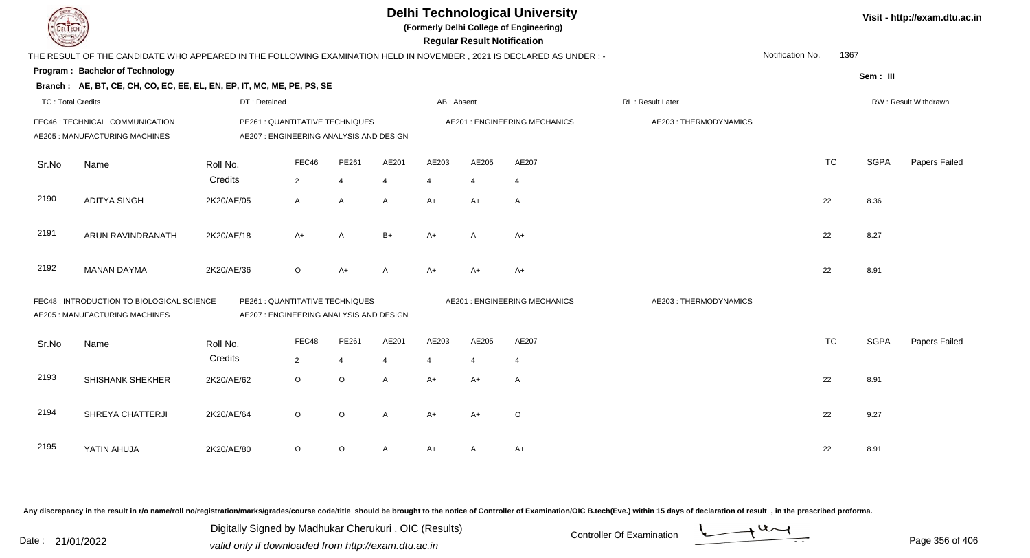| DEL TECH                 |                                                                                                                      |              |                                                                            |                |                |                       | <b>Regular Result Notification</b> | <b>Delhi Technological University</b><br>(Formerly Delhi College of Engineering) |                       |                  |           |             | Visit - http://exam.dtu.ac.in |
|--------------------------|----------------------------------------------------------------------------------------------------------------------|--------------|----------------------------------------------------------------------------|----------------|----------------|-----------------------|------------------------------------|----------------------------------------------------------------------------------|-----------------------|------------------|-----------|-------------|-------------------------------|
|                          | THE RESULT OF THE CANDIDATE WHO APPEARED IN THE FOLLOWING EXAMINATION HELD IN NOVEMBER, 2021 IS DECLARED AS UNDER :- |              |                                                                            |                |                |                       |                                    |                                                                                  |                       | Notification No. | 1367      |             |                               |
|                          | Program: Bachelor of Technology                                                                                      |              |                                                                            |                |                |                       |                                    |                                                                                  |                       |                  |           | Sem: III    |                               |
|                          | Branch: AE, BT, CE, CH, CO, EC, EE, EL, EN, EP, IT, MC, ME, PE, PS, SE                                               |              |                                                                            |                |                |                       |                                    |                                                                                  |                       |                  |           |             |                               |
| <b>TC: Total Credits</b> |                                                                                                                      | DT: Detained |                                                                            |                |                | AB: Absent            |                                    |                                                                                  | RL : Result Later     |                  |           |             | RW: Result Withdrawn          |
|                          | FEC46 : TECHNICAL COMMUNICATION<br>AE205 : MANUFACTURING MACHINES                                                    |              | PE261 : QUANTITATIVE TECHNIQUES<br>AE207 : ENGINEERING ANALYSIS AND DESIGN |                |                |                       |                                    | <b>AE201: ENGINEERING MECHANICS</b>                                              | AE203: THERMODYNAMICS |                  |           |             |                               |
| Sr.No                    | Name                                                                                                                 | Roll No.     | FEC46                                                                      | PE261          | AE201          | AE203                 | AE205                              | AE207                                                                            |                       |                  | <b>TC</b> | <b>SGPA</b> | Papers Failed                 |
|                          |                                                                                                                      | Credits      | $\overline{2}$                                                             | $\overline{4}$ | $\overline{4}$ | $\boldsymbol{\Delta}$ | 4                                  | 4                                                                                |                       |                  |           |             |                               |
| 2190                     | <b>ADITYA SINGH</b>                                                                                                  | 2K20/AE/05   | A                                                                          | A              | A              | $A+$                  | A+                                 | $\mathsf{A}$                                                                     |                       |                  | 22        | 8.36        |                               |
| 2191                     | ARUN RAVINDRANATH                                                                                                    | 2K20/AE/18   | $A+$                                                                       | A              | $B+$           | $A+$                  | A                                  | $A+$                                                                             |                       |                  | 22        | 8.27        |                               |
| 2192                     | <b>MANAN DAYMA</b>                                                                                                   | 2K20/AE/36   | $\mathsf O$                                                                | $A+$           | A              | $A+$                  | A+                                 | $A+$                                                                             |                       |                  | 22        | 8.91        |                               |
|                          | FEC48 : INTRODUCTION TO BIOLOGICAL SCIENCE<br>AE205 : MANUFACTURING MACHINES                                         |              | PE261 : QUANTITATIVE TECHNIQUES<br>AE207 : ENGINEERING ANALYSIS AND DESIGN |                |                |                       |                                    | <b>AE201: ENGINEERING MECHANICS</b>                                              | AE203: THERMODYNAMICS |                  |           |             |                               |
| Sr.No                    | Name                                                                                                                 | Roll No.     | FEC48                                                                      | PE261          | AE201          | AE203                 | AE205                              | AE207                                                                            |                       |                  | <b>TC</b> | <b>SGPA</b> | Papers Failed                 |
|                          |                                                                                                                      | Credits      | $\overline{2}$                                                             | $\overline{4}$ | 4              | $\overline{4}$        | 4                                  | $\overline{4}$                                                                   |                       |                  |           |             |                               |
| 2193                     | SHISHANK SHEKHER                                                                                                     | 2K20/AE/62   | $\circ$                                                                    | $\circ$        | A              | $A+$                  | A+                                 | A                                                                                |                       |                  | 22        | 8.91        |                               |
| 2194                     | SHREYA CHATTERJI                                                                                                     | 2K20/AE/64   | $\circ$                                                                    | $\circ$        | A              | $A+$                  | A+                                 | $\circ$                                                                          |                       |                  | 22        | 9.27        |                               |
| 2195                     | YATIN AHUJA                                                                                                          | 2K20/AE/80   | $\circ$                                                                    | $\circ$        | A              | A+                    | Α                                  | $A+$                                                                             |                       |                  | 22        | 8.91        |                               |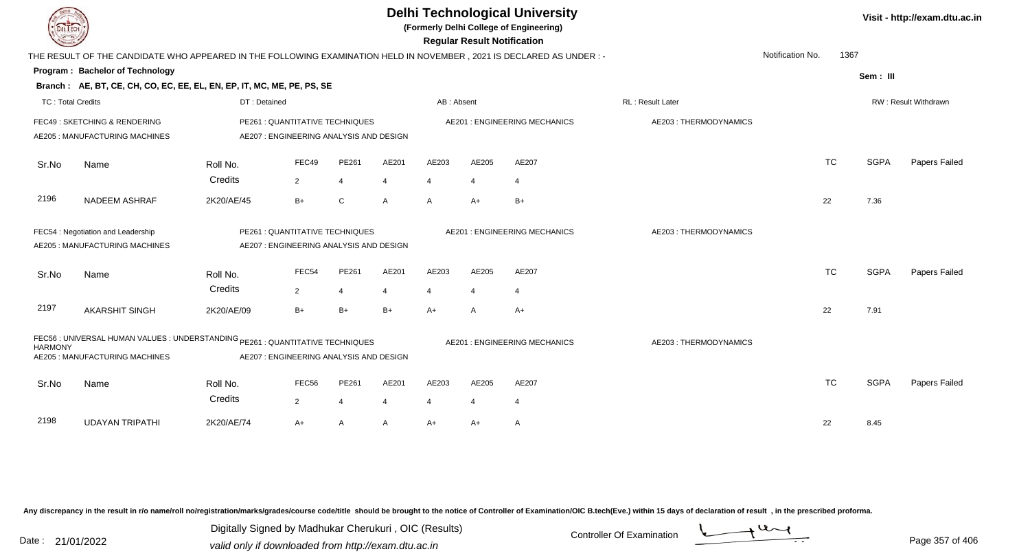| DEL TECH                 |                                                                                                                                                             |                     |                                                                            |                         |            |                         |                         | <b>Delhi Technological University</b><br>(Formerly Delhi College of Engineering)<br><b>Regular Result Notification</b> |                       |                  |      |             | Visit - http://exam.dtu.ac.in |
|--------------------------|-------------------------------------------------------------------------------------------------------------------------------------------------------------|---------------------|----------------------------------------------------------------------------|-------------------------|------------|-------------------------|-------------------------|------------------------------------------------------------------------------------------------------------------------|-----------------------|------------------|------|-------------|-------------------------------|
|                          | THE RESULT OF THE CANDIDATE WHO APPEARED IN THE FOLLOWING EXAMINATION HELD IN NOVEMBER, 2021 IS DECLARED AS UNDER:-                                         |                     |                                                                            |                         |            |                         |                         |                                                                                                                        |                       | Notification No. | 1367 |             |                               |
|                          | Program: Bachelor of Technology                                                                                                                             |                     |                                                                            |                         |            |                         |                         |                                                                                                                        |                       |                  |      | Sem: III    |                               |
|                          | Branch: AE, BT, CE, CH, CO, EC, EE, EL, EN, EP, IT, MC, ME, PE, PS, SE                                                                                      |                     |                                                                            |                         |            |                         |                         |                                                                                                                        |                       |                  |      |             |                               |
| <b>TC: Total Credits</b> |                                                                                                                                                             | DT: Detained        |                                                                            |                         |            | AB: Absent              |                         |                                                                                                                        | RL: Result Later      |                  |      |             | RW: Result Withdrawn          |
|                          | FEC49: SKETCHING & RENDERING<br>AE205 : MANUFACTURING MACHINES                                                                                              |                     | PE261 : QUANTITATIVE TECHNIQUES<br>AE207 : ENGINEERING ANALYSIS AND DESIGN |                         |            |                         |                         | <b>AE201: ENGINEERING MECHANICS</b>                                                                                    | AE203: THERMODYNAMICS |                  |      |             |                               |
| Sr.No                    | Name                                                                                                                                                        | Roll No.<br>Credits | FEC49<br>2                                                                 | PE261<br>$\overline{4}$ | AE201<br>4 | AE203<br>$\overline{4}$ | AE205<br>$\overline{4}$ | AE207<br>$\overline{4}$                                                                                                |                       | <b>TC</b>        |      | <b>SGPA</b> | Papers Failed                 |
| 2196                     | <b>NADEEM ASHRAF</b>                                                                                                                                        | 2K20/AE/45          | $B+$                                                                       | $\mathsf C$             | A          | $\mathsf{A}$            | $A+$                    | $B+$                                                                                                                   |                       | 22               |      | 7.36        |                               |
|                          | FEC54 : Negotiation and Leadership<br>PE261 : QUANTITATIVE TECHNIQUES<br>AE205 : MANUFACTURING MACHINES<br>AE207 : ENGINEERING ANALYSIS AND DESIGN          |                     |                                                                            |                         |            |                         |                         | AE201: ENGINEERING MECHANICS                                                                                           | AE203: THERMODYNAMICS |                  |      |             |                               |
| Sr.No                    | Name                                                                                                                                                        | Roll No.<br>Credits | FEC54<br>$\overline{2}$                                                    | PE261<br>$\overline{4}$ | AE201<br>4 | AE203<br>4              | AE205<br>4              | AE207<br>$\overline{4}$                                                                                                |                       | <b>TC</b>        |      | <b>SGPA</b> | Papers Failed                 |
| 2197                     | <b>AKARSHIT SINGH</b>                                                                                                                                       | 2K20/AE/09          | $B+$                                                                       | $B+$                    | $B+$       | A+                      | A                       | $A+$                                                                                                                   |                       | 22               |      | 7.91        |                               |
| <b>HARMONY</b>           | FEC56 : UNIVERSAL HUMAN VALUES : UNDERSTANDING PE261 : QUANTITATIVE TECHNIQUES<br>AE205 : MANUFACTURING MACHINES<br>AE207 : ENGINEERING ANALYSIS AND DESIGN |                     |                                                                            |                         |            |                         |                         | <b>AE201: ENGINEERING MECHANICS</b>                                                                                    | AE203: THERMODYNAMICS |                  |      |             |                               |
| Sr.No                    | Name                                                                                                                                                        | Roll No.<br>Credits | FEC56<br>$\overline{2}$                                                    | PE261<br>$\overline{4}$ | AE201<br>4 | AE203<br>4              | AE205<br>4              | AE207<br>-4                                                                                                            |                       | <b>TC</b>        |      | <b>SGPA</b> | Papers Failed                 |
| 2198                     | <b>UDAYAN TRIPATHI</b>                                                                                                                                      | 2K20/AE/74          | A+                                                                         | A                       | A          | A+                      | $A+$                    | A                                                                                                                      |                       | 22               |      | 8.45        |                               |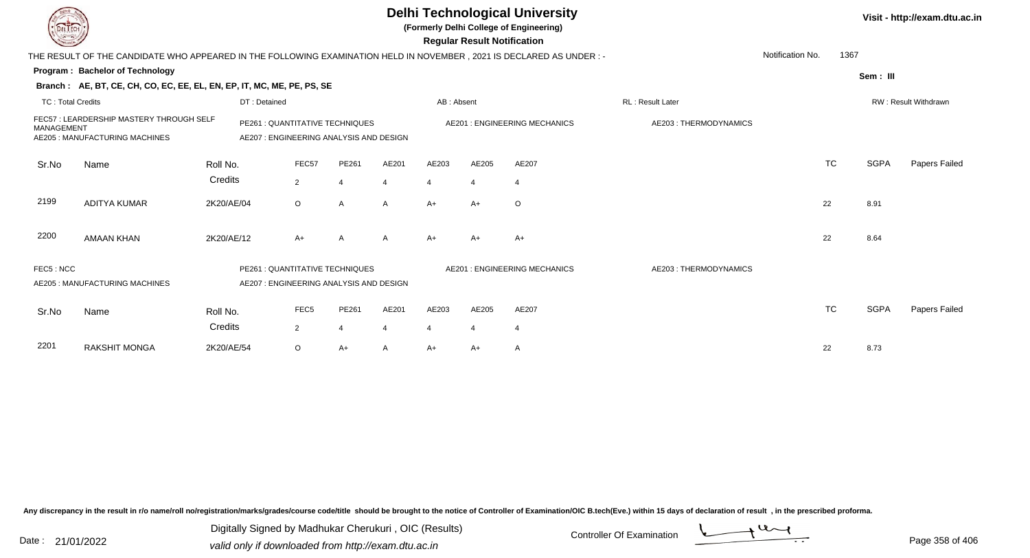| DEL TECH                 |                                                                                                                      |            |                                                                            |                  |                                                                           |                |            | <b>Regular Result Notification</b> | <b>Delhi Technological University</b><br>(Formerly Delhi College of Engineering) |                       |                  |           |             | Visit - http://exam.dtu.ac.in |
|--------------------------|----------------------------------------------------------------------------------------------------------------------|------------|----------------------------------------------------------------------------|------------------|---------------------------------------------------------------------------|----------------|------------|------------------------------------|----------------------------------------------------------------------------------|-----------------------|------------------|-----------|-------------|-------------------------------|
|                          | THE RESULT OF THE CANDIDATE WHO APPEARED IN THE FOLLOWING EXAMINATION HELD IN NOVEMBER, 2021 IS DECLARED AS UNDER :- |            |                                                                            |                  |                                                                           |                |            |                                    |                                                                                  |                       | Notification No. | 1367      |             |                               |
|                          | Program: Bachelor of Technology                                                                                      |            |                                                                            |                  |                                                                           |                |            |                                    |                                                                                  |                       |                  |           | Sem: III    |                               |
|                          | Branch: AE, BT, CE, CH, CO, EC, EE, EL, EN, EP, IT, MC, ME, PE, PS, SE                                               |            |                                                                            |                  |                                                                           |                |            |                                    |                                                                                  |                       |                  |           |             |                               |
| <b>TC: Total Credits</b> |                                                                                                                      |            | DT: Detained                                                               |                  |                                                                           |                | AB: Absent |                                    |                                                                                  | RL: Result Later      |                  |           |             | RW: Result Withdrawn          |
|                          | FEC57: LEARDERSHIP MASTERY THROUGH SELF<br>MANAGEMENT<br>AE205 : MANUFACTURING MACHINES<br>Name<br>Roll No.          |            |                                                                            |                  | PE261 : QUANTITATIVE TECHNIQUES<br>AE207: ENGINEERING ANALYSIS AND DESIGN |                |            |                                    | <b>AE201: ENGINEERING MECHANICS</b>                                              | AE203: THERMODYNAMICS |                  |           |             |                               |
| Sr.No                    |                                                                                                                      |            |                                                                            | FEC57            | PE261                                                                     | AE201          | AE203      | AE205                              | AE207                                                                            |                       |                  | <b>TC</b> | <b>SGPA</b> | Papers Failed                 |
|                          |                                                                                                                      | Credits    |                                                                            | $\overline{2}$   | 4                                                                         | $\overline{4}$ | 4          | 4                                  | $\overline{4}$                                                                   |                       |                  |           |             |                               |
| 2199                     | <b>ADITYA KUMAR</b>                                                                                                  | 2K20/AE/04 |                                                                            | $\circ$          | Α                                                                         | A              | $A+$       | $A+$                               | $\circ$                                                                          |                       | 22               |           | 8.91        |                               |
| 2200                     | <b>AMAAN KHAN</b>                                                                                                    | 2K20/AE/12 |                                                                            | $A+$             | $\overline{A}$                                                            | A              | $A+$       | A+                                 | $A+$                                                                             |                       | 22               |           | 8.64        |                               |
| FEC5: NCC                | AE205 : MANUFACTURING MACHINES                                                                                       |            | PE261 : QUANTITATIVE TECHNIQUES<br>AE207 : ENGINEERING ANALYSIS AND DESIGN |                  |                                                                           |                |            |                                    | AE201: ENGINEERING MECHANICS                                                     | AE203: THERMODYNAMICS |                  |           |             |                               |
| Sr.No                    | Name                                                                                                                 | Roll No.   |                                                                            | FEC <sub>5</sub> | PE261                                                                     | AE201          | AE203      | AE205                              | AE207                                                                            |                       |                  | <b>TC</b> | <b>SGPA</b> | Papers Failed                 |
|                          |                                                                                                                      | Credits    |                                                                            | 2                | 4                                                                         | $\overline{4}$ | 4          | $\overline{4}$                     | $\overline{4}$                                                                   |                       |                  |           |             |                               |
| 2201                     | <b>RAKSHIT MONGA</b>                                                                                                 | 2K20/AE/54 |                                                                            | $\circ$          | $A+$                                                                      | A              | A+         | A+                                 | A                                                                                |                       | 22               |           | 8.73        |                               |

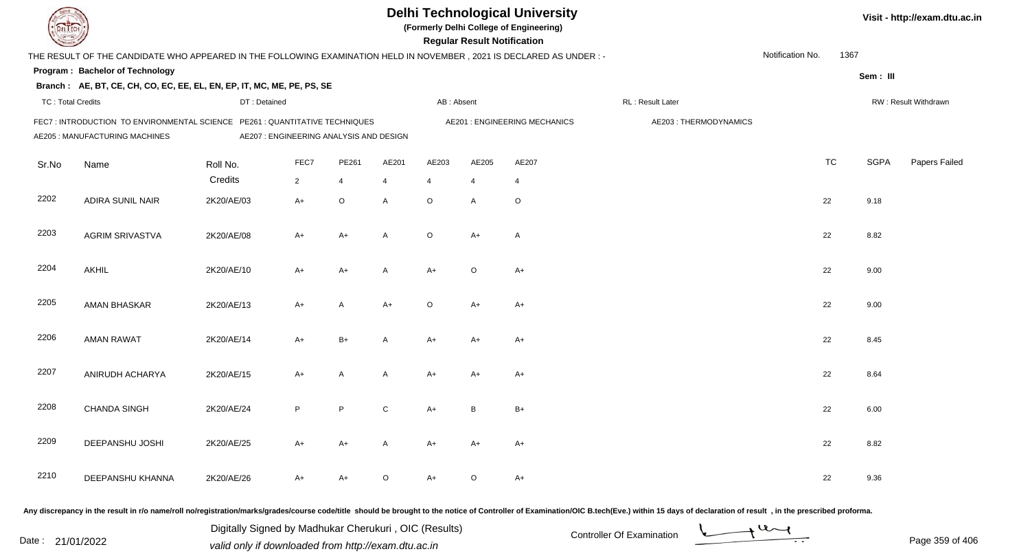|                          |                                                                                                                        |                                                                            |                |              |         | Visit - http://exam.dtu.ac.in |                                    |                                     |                       |                  |           |             |                      |
|--------------------------|------------------------------------------------------------------------------------------------------------------------|----------------------------------------------------------------------------|----------------|--------------|---------|-------------------------------|------------------------------------|-------------------------------------|-----------------------|------------------|-----------|-------------|----------------------|
|                          | THE RESULT OF THE CANDIDATE WHO APPEARED IN THE FOLLOWING EXAMINATION HELD IN NOVEMBER , 2021 IS DECLARED AS UNDER : - |                                                                            |                |              |         |                               | <b>Regular Result Notification</b> |                                     |                       | Notification No. | 1367      |             |                      |
|                          | Program: Bachelor of Technology                                                                                        |                                                                            |                |              |         |                               |                                    |                                     |                       |                  |           | Sem: III    |                      |
|                          | Branch: AE, BT, CE, CH, CO, EC, EE, EL, EN, EP, IT, MC, ME, PE, PS, SE                                                 |                                                                            |                |              |         |                               |                                    |                                     |                       |                  |           |             |                      |
| <b>TC: Total Credits</b> |                                                                                                                        | DT: Detained                                                               |                |              |         | AB: Absent                    |                                    |                                     | RL: Result Later      |                  |           |             | RW: Result Withdrawn |
|                          | FEC7 : INTRODUCTION TO ENVIRONMENTAL SCIENCE<br>AE205 : MANUFACTURING MACHINES                                         | PE261 : QUANTITATIVE TECHNIQUES<br>AE207 : ENGINEERING ANALYSIS AND DESIGN |                |              |         |                               |                                    | <b>AE201: ENGINEERING MECHANICS</b> | AE203: THERMODYNAMICS |                  |           |             |                      |
| Sr.No                    | Name                                                                                                                   | Roll No.                                                                   | FEC7           | PE261        | AE201   | AE203                         | AE205                              | AE207                               |                       |                  | <b>TC</b> | <b>SGPA</b> | Papers Failed        |
|                          |                                                                                                                        | Credits                                                                    | $\overline{2}$ | 4            | 4       | $\overline{4}$                | $\overline{4}$                     | $\overline{4}$                      |                       |                  |           |             |                      |
| 2202                     | <b>ADIRA SUNIL NAIR</b>                                                                                                | 2K20/AE/03                                                                 | $A+$           | $\circ$      | A       | $\circ$                       | A                                  | $\circ$                             |                       | 22               |           | 9.18        |                      |
| 2203                     | <b>AGRIM SRIVASTVA</b>                                                                                                 | 2K20/AE/08                                                                 | A+             | $A+$         | A       | $\circ$                       | $A+$                               | $\overline{A}$                      |                       | 22               |           | 8.82        |                      |
| 2204                     | <b>AKHIL</b>                                                                                                           | 2K20/AE/10                                                                 | A+             | $A+$         | A       | $A+$                          | $\circ$                            | $A+$                                |                       | 22               |           | 9.00        |                      |
| 2205                     | AMAN BHASKAR                                                                                                           | 2K20/AE/13                                                                 | $A+$           | A            | $A+$    | $\circ$                       | $A+$                               | $A+$                                |                       | 22               |           | 9.00        |                      |
| 2206                     | <b>AMAN RAWAT</b>                                                                                                      | 2K20/AE/14                                                                 | A+             | B+           | A       | $A+$                          | $A+$                               | $A+$                                |                       | 22               |           | 8.45        |                      |
| 2207                     | ANIRUDH ACHARYA                                                                                                        | 2K20/AE/15                                                                 | $A+$           | $\mathsf{A}$ | A       | $A+$                          | $A+$                               | $A+$                                |                       | 22               |           | 8.64        |                      |
| 2208                     | <b>CHANDA SINGH</b>                                                                                                    | 2K20/AE/24                                                                 | P.             | P            | C       | A+                            | B                                  | $B+$                                |                       | 22               |           | 6.00        |                      |
| 2209                     | DEEPANSHU JOSHI                                                                                                        | 2K20/AE/25                                                                 | A+             | $A+$         | A       | A+                            | A+                                 | $A+$                                |                       | 22               |           | 8.82        |                      |
| 2210                     | DEEPANSHU KHANNA                                                                                                       | 2K20/AE/26                                                                 | A+             | $A+$         | $\circ$ | $A+$                          | $\circ$                            | $A+$                                |                       | 22               |           | 9.36        |                      |

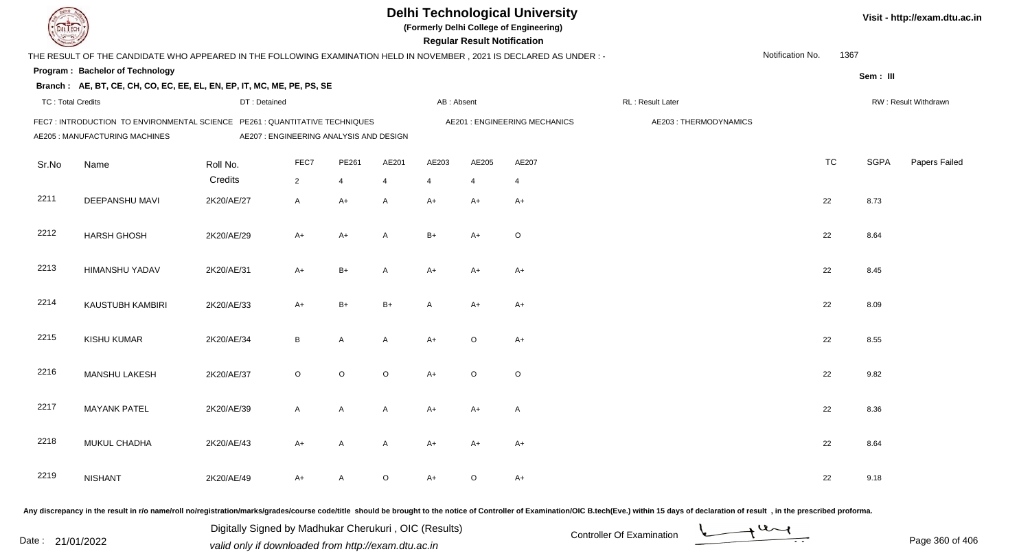| EL I ECH                                                                                                                                        |                                                                        | <b>Delhi Technological University</b><br>(Formerly Delhi College of Engineering)<br><b>Regular Result Notification</b> |                                                                                                                       |                                 |         |                                     |                |                |                       |                      | Visit - http://exam.dtu.ac.in |             |               |
|-------------------------------------------------------------------------------------------------------------------------------------------------|------------------------------------------------------------------------|------------------------------------------------------------------------------------------------------------------------|-----------------------------------------------------------------------------------------------------------------------|---------------------------------|---------|-------------------------------------|----------------|----------------|-----------------------|----------------------|-------------------------------|-------------|---------------|
| 1367<br>Notification No.<br>THE RESULT OF THE CANDIDATE WHO APPEARED IN THE FOLLOWING EXAMINATION HELD IN NOVEMBER, 2021 IS DECLARED AS UNDER:- |                                                                        |                                                                                                                        |                                                                                                                       |                                 |         |                                     |                |                |                       |                      |                               |             |               |
|                                                                                                                                                 | <b>Program: Bachelor of Technology</b>                                 |                                                                                                                        |                                                                                                                       |                                 |         |                                     |                |                |                       |                      |                               | Sem: III    |               |
|                                                                                                                                                 | Branch: AE, BT, CE, CH, CO, EC, EE, EL, EN, EP, IT, MC, ME, PE, PS, SE |                                                                                                                        |                                                                                                                       |                                 |         |                                     |                |                |                       |                      |                               |             |               |
| <b>TC: Total Credits</b><br>DT: Detained                                                                                                        |                                                                        |                                                                                                                        |                                                                                                                       | AB: Absent<br>RL : Result Later |         |                                     |                |                |                       | RW: Result Withdrawn |                               |             |               |
|                                                                                                                                                 | AE205 : MANUFACTURING MACHINES                                         |                                                                                                                        | FEC7: INTRODUCTION TO ENVIRONMENTAL SCIENCE PE261: QUANTITATIVE TECHNIQUES<br>AE207 : ENGINEERING ANALYSIS AND DESIGN |                                 |         | <b>AE201: ENGINEERING MECHANICS</b> |                |                | AE203: THERMODYNAMICS |                      |                               |             |               |
| Sr.No                                                                                                                                           | Name                                                                   | Roll No.                                                                                                               | FEC7                                                                                                                  | PE261                           | AE201   | AE203                               | AE205          | AE207          |                       |                      | <b>TC</b>                     | <b>SGPA</b> | Papers Failed |
|                                                                                                                                                 |                                                                        | Credits                                                                                                                | $\overline{2}$                                                                                                        | 4                               | 4       | $\overline{4}$                      | $\overline{4}$ | $\overline{4}$ |                       |                      |                               |             |               |
| 2211                                                                                                                                            | DEEPANSHU MAVI                                                         | 2K20/AE/27                                                                                                             | A                                                                                                                     | $A+$                            | A       | $A+$                                | $A+$           | $A+$           |                       | 22                   |                               | 8.73        |               |
| 2212                                                                                                                                            | <b>HARSH GHOSH</b>                                                     | 2K20/AE/29                                                                                                             | A+                                                                                                                    | $A+$                            | A       | $B+$                                | $A+$           | $\circ$        |                       | 22                   |                               | 8.64        |               |
| 2213                                                                                                                                            | <b>HIMANSHU YADAV</b>                                                  | 2K20/AE/31                                                                                                             | $A+$                                                                                                                  | $B+$                            | A       | $A+$                                | $A+$           | $A+$           |                       | 22                   |                               | 8.45        |               |
| 2214                                                                                                                                            | KAUSTUBH KAMBIRI                                                       | 2K20/AE/33                                                                                                             | $A+$                                                                                                                  | $B+$                            | $B+$    | A                                   | $A+$           | $A+$           |                       | 22                   |                               | 8.09        |               |
| 2215                                                                                                                                            | KISHU KUMAR                                                            | 2K20/AE/34                                                                                                             | B                                                                                                                     | A                               | A       | $A+$                                | $\circ$        | $A+$           |                       | 22                   |                               | 8.55        |               |
| 2216                                                                                                                                            | MANSHU LAKESH                                                          | 2K20/AE/37                                                                                                             | $\circ$                                                                                                               | $\mathsf O$                     | $\circ$ | $A+$                                | $\circ$        | $\circ$        |                       | 22                   |                               | 9.82        |               |
| 2217                                                                                                                                            | <b>MAYANK PATEL</b>                                                    | 2K20/AE/39                                                                                                             | A                                                                                                                     | A                               | A       | A+                                  | A+             | A              |                       | 22                   |                               | 8.36        |               |
| 2218                                                                                                                                            | MUKUL CHADHA                                                           | 2K20/AE/43                                                                                                             | A+                                                                                                                    | A                               | A       | A+                                  | A+             | $A+$           |                       | 22                   |                               | 8.64        |               |
| 2219                                                                                                                                            | <b>NISHANT</b>                                                         | 2K20/AE/49                                                                                                             | A+                                                                                                                    | A                               | $\circ$ | $A+$                                | $\circ$        | $A+$           |                       | 22                   |                               | 9.18        |               |
|                                                                                                                                                 |                                                                        |                                                                                                                        |                                                                                                                       |                                 |         |                                     |                |                |                       |                      |                               |             |               |

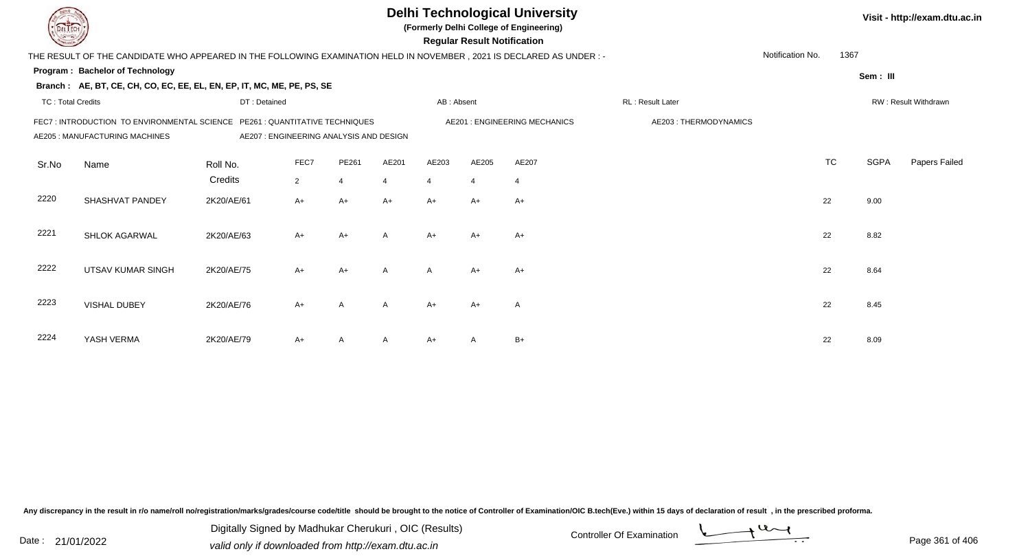|       |                                                                                                                     |                                                                           |                |                |                | <b>Delhi Technological University</b><br>(Formerly Delhi College of Engineering) | <b>Regular Result Notification</b> |                | Visit - http://exam.dtu.ac.in |                  |           |             |                      |
|-------|---------------------------------------------------------------------------------------------------------------------|---------------------------------------------------------------------------|----------------|----------------|----------------|----------------------------------------------------------------------------------|------------------------------------|----------------|-------------------------------|------------------|-----------|-------------|----------------------|
|       | THE RESULT OF THE CANDIDATE WHO APPEARED IN THE FOLLOWING EXAMINATION HELD IN NOVEMBER, 2021 IS DECLARED AS UNDER:- |                                                                           |                |                |                |                                                                                  |                                    |                |                               | Notification No. | 1367      |             |                      |
|       | <b>Program: Bachelor of Technology</b>                                                                              |                                                                           |                |                |                |                                                                                  |                                    |                |                               |                  |           | Sem: III    |                      |
|       | Branch: AE, BT, CE, CH, CO, EC, EE, EL, EN, EP, IT, MC, ME, PE, PS, SE                                              |                                                                           |                |                |                |                                                                                  |                                    |                |                               |                  |           |             |                      |
|       | <b>TC: Total Credits</b><br>AB: Absent<br>DT: Detained                                                              |                                                                           |                |                |                |                                                                                  |                                    |                | RL: Result Later              |                  |           |             | RW: Result Withdrawn |
|       | FEC7: INTRODUCTION TO ENVIRONMENTAL SCIENCE<br>AE205 : MANUFACTURING MACHINES                                       | PE261 : QUANTITATIVE TECHNIQUES<br>AE207: ENGINEERING ANALYSIS AND DESIGN |                |                |                | <b>AE201: ENGINEERING MECHANICS</b>                                              | AE203: THERMODYNAMICS              |                |                               |                  |           |             |                      |
| Sr.No | Name                                                                                                                | Roll No.                                                                  | FEC7           | PE261          | AE201          | AE203                                                                            | AE205                              | AE207          |                               |                  | <b>TC</b> | <b>SGPA</b> | Papers Failed        |
|       |                                                                                                                     | Credits                                                                   | $\overline{2}$ | $\overline{4}$ | $\overline{4}$ | $\overline{4}$                                                                   | $\overline{4}$                     | $\overline{4}$ |                               |                  |           |             |                      |
| 2220  | SHASHVAT PANDEY                                                                                                     | 2K20/AE/61                                                                | A+             | $A+$           | $A+$           | $A+$                                                                             | $A+$                               | $A+$           |                               |                  | 22        | 9.00        |                      |
| 2221  | SHLOK AGARWAL                                                                                                       | 2K20/AE/63                                                                | $A+$           | $A+$           | A              | $A+$                                                                             | $A+$                               | $A+$           |                               |                  | 22        | 8.82        |                      |
| 2222  | <b>UTSAV KUMAR SINGH</b>                                                                                            | 2K20/AE/75                                                                | $A+$           | $A+$           | A              | $\mathsf{A}$                                                                     | $A+$                               | $A+$           |                               |                  | 22        | 8.64        |                      |
| 2223  | <b>VISHAL DUBEY</b>                                                                                                 | 2K20/AE/76                                                                | $A+$           | $\overline{A}$ | A              | $A+$                                                                             | $A+$                               | A              |                               |                  | 22        | 8.45        |                      |
| 2224  | YASH VERMA                                                                                                          | 2K20/AE/79                                                                | A+             | A              | A              | $A+$                                                                             | A                                  | $B+$           |                               |                  | 22        | 8.09        |                      |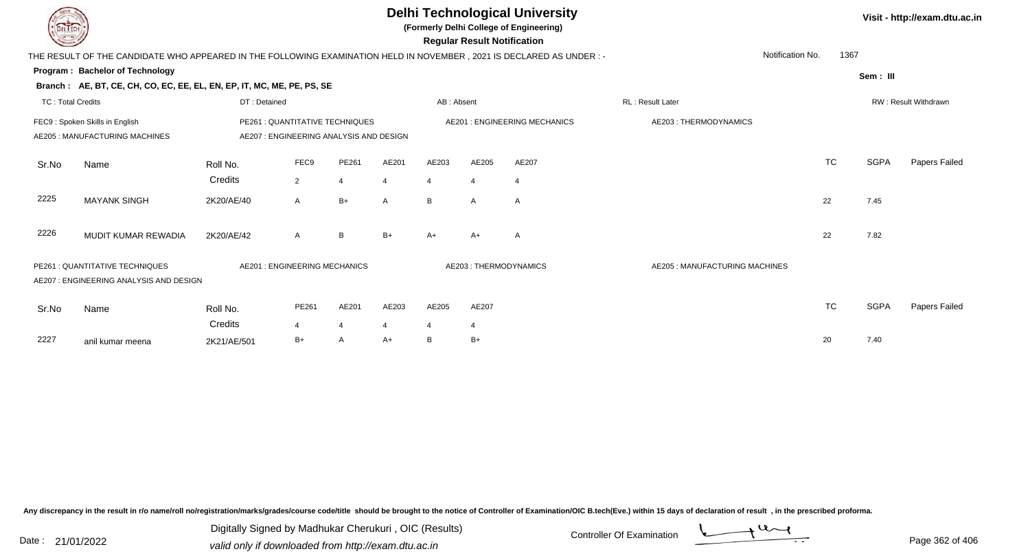|                          |                                                                                                                     |              |                                                                           |                |                |                | <b>Regular Result Notification</b> | <b>Delhi Technological University</b><br>(Formerly Delhi College of Engineering) | Visit - http://exam.dtu.ac.in  |                  |             |                      |
|--------------------------|---------------------------------------------------------------------------------------------------------------------|--------------|---------------------------------------------------------------------------|----------------|----------------|----------------|------------------------------------|----------------------------------------------------------------------------------|--------------------------------|------------------|-------------|----------------------|
|                          | THE RESULT OF THE CANDIDATE WHO APPEARED IN THE FOLLOWING EXAMINATION HELD IN NOVEMBER, 2021 IS DECLARED AS UNDER:- |              |                                                                           |                |                |                |                                    |                                                                                  |                                | Notification No. | 1367        |                      |
|                          | Program: Bachelor of Technology                                                                                     |              |                                                                           |                |                |                |                                    |                                                                                  |                                |                  | Sem: III    |                      |
|                          | Branch: AE, BT, CE, CH, CO, EC, EE, EL, EN, EP, IT, MC, ME, PE, PS, SE                                              |              |                                                                           |                |                |                |                                    |                                                                                  |                                |                  |             |                      |
| <b>TC: Total Credits</b> |                                                                                                                     | DT: Detained |                                                                           |                |                | AB: Absent     |                                    |                                                                                  | RL: Result Later               |                  |             | RW: Result Withdrawn |
|                          | FEC9: Spoken Skills in English<br>AE205: MANUFACTURING MACHINES                                                     |              | PE261 : QUANTITATIVE TECHNIQUES<br>AE207: ENGINEERING ANALYSIS AND DESIGN |                |                |                |                                    | AE201 : ENGINEERING MECHANICS                                                    | AE203: THERMODYNAMICS          |                  |             |                      |
| Sr.No                    | Name                                                                                                                | Roll No.     | FEC9                                                                      | PE261          | AE201          | AE203          | AE205                              | AE207                                                                            |                                | <b>TC</b>        | <b>SGPA</b> | Papers Failed        |
|                          |                                                                                                                     | Credits      | $\overline{2}$                                                            | $\overline{4}$ | $\overline{4}$ | $\overline{4}$ | $\boldsymbol{\Delta}$              | $\overline{4}$                                                                   |                                |                  |             |                      |
| 2225                     | <b>MAYANK SINGH</b>                                                                                                 | 2K20/AE/40   | $\mathsf{A}$                                                              | $B+$           | $\mathsf{A}$   | B              | A                                  | A                                                                                |                                | 22               | 7.45        |                      |
| 2226                     | MUDIT KUMAR REWADIA                                                                                                 | 2K20/AE/42   | $\mathsf{A}$                                                              | B              | $B+$           | $A+$           | A+                                 | $\mathsf{A}$                                                                     |                                | 22               | 7.82        |                      |
|                          | PE261 : QUANTITATIVE TECHNIQUES<br>AE207 : ENGINEERING ANALYSIS AND DESIGN                                          |              | AE201 : ENGINEERING MECHANICS                                             |                |                |                |                                    | AE203: THERMODYNAMICS                                                            | AE205 : MANUFACTURING MACHINES |                  |             |                      |
| Sr.No                    | Name                                                                                                                | Roll No.     | PE261                                                                     | AE201          | AE203          | AE205          | AE207                              |                                                                                  |                                | <b>TC</b>        | <b>SGPA</b> | Papers Failed        |
|                          |                                                                                                                     | Credits      | $\boldsymbol{\Delta}$                                                     | $\overline{4}$ | 4              | 4              | 4                                  |                                                                                  |                                |                  |             |                      |
| 2227                     | anil kumar meena                                                                                                    | 2K21/AE/501  | $B+$                                                                      | A              | $A+$           | B              | $B+$                               |                                                                                  |                                | 20               | 7.40        |                      |

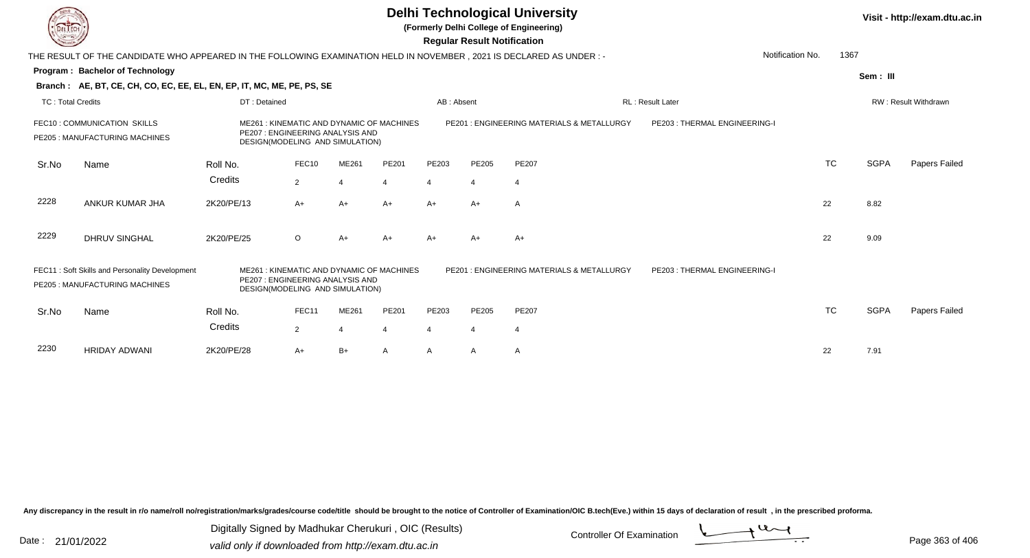**(Formerly Delhi College of Engineering)**

 **Regular Result Notification**

| $\sim$                   |                                                                                                                      |              |                                                                                                                 |       |                |            | Regular Result Notification |                                           |                              |                          |          |                      |
|--------------------------|----------------------------------------------------------------------------------------------------------------------|--------------|-----------------------------------------------------------------------------------------------------------------|-------|----------------|------------|-----------------------------|-------------------------------------------|------------------------------|--------------------------|----------|----------------------|
|                          | THE RESULT OF THE CANDIDATE WHO APPEARED IN THE FOLLOWING EXAMINATION HELD IN NOVEMBER, 2021 IS DECLARED AS UNDER :- |              |                                                                                                                 |       |                |            |                             |                                           |                              | Notification No.<br>1367 |          |                      |
|                          | Program: Bachelor of Technology                                                                                      |              |                                                                                                                 |       |                |            |                             |                                           |                              |                          | Sem: III |                      |
|                          | Branch: AE, BT, CE, CH, CO, EC, EE, EL, EN, EP, IT, MC, ME, PE, PS, SE                                               |              |                                                                                                                 |       |                |            |                             |                                           |                              |                          |          |                      |
| <b>TC: Total Credits</b> |                                                                                                                      | DT: Detained |                                                                                                                 |       |                | AB: Absent |                             |                                           | RL: Result Later             |                          |          | RW: Result Withdrawn |
|                          | FEC10: COMMUNICATION SKILLS<br>PE205 : MANUFACTURING MACHINES                                                        |              | ME261: KINEMATIC AND DYNAMIC OF MACHINES<br>PE207 : ENGINEERING ANALYSIS AND<br>DESIGN(MODELING AND SIMULATION) |       |                |            |                             | PE201: ENGINEERING MATERIALS & METALLURGY | PE203: THERMAL ENGINEERING-I |                          |          |                      |
| Sr.No                    | Name                                                                                                                 | Roll No.     | FEC10                                                                                                           | ME261 | PE201          | PE203      | PE205                       | <b>PE207</b>                              |                              | <b>TC</b>                | SGPA     | Papers Failed        |
|                          |                                                                                                                      | Credits      | $\overline{2}$                                                                                                  |       | 4              | 4          | 4                           | 4                                         |                              |                          |          |                      |
| 2228                     | ANKUR KUMAR JHA                                                                                                      | 2K20/PE/13   | $A+$                                                                                                            | $A+$  | $A+$           | $A+$       | $A+$                        | A                                         |                              | 22                       | 8.82     |                      |
| 2229                     | <b>DHRUV SINGHAL</b>                                                                                                 | 2K20/PE/25   | $\circ$                                                                                                         | $A+$  | $A+$           | $A+$       | $A+$                        | $A+$                                      |                              | 22                       | 9.09     |                      |
|                          | FEC11: Soft Skills and Personality Development<br>PE205: MANUFACTURING MACHINES                                      | ME261        | : KINEMATIC AND DYNAMIC OF MACHINES<br>PE207 : ENGINEERING ANALYSIS AND<br>DESIGN(MODELING AND SIMULATION)      |       |                |            |                             | PE201: ENGINEERING MATERIALS & METALLURGY | PE203: THERMAL ENGINEERING-I |                          |          |                      |
| Sr.No                    | Name                                                                                                                 | Roll No.     | FEC11                                                                                                           | ME261 | PE201          | PE203      | PE205                       | <b>PE207</b>                              |                              | <b>TC</b>                | SGPA     | Papers Failed        |
|                          |                                                                                                                      | Credits      | $\overline{2}$                                                                                                  |       | $\overline{4}$ | 4          | 4                           | 4                                         |                              |                          |          |                      |
| 2230                     | <b>HRIDAY ADWANI</b>                                                                                                 | 2K20/PE/28   | $A+$                                                                                                            | $B+$  | Α              | A          | Α                           | A                                         |                              | 22                       | 7.91     |                      |

Any discrepancy in the result in r/o name/roll no/registration/marks/grades/course code/title should be brought to the notice of Controller of Examination/OIC B.tech(Eve.) within 15 days of declaration of result, in the pr

Date : 21/01/2022 Digital Digital of Microsofted Chemical Controller Of Examination Determination Page 363 of 40 Digitally Signed by Madhukar Cherukuri , OIC (Results)

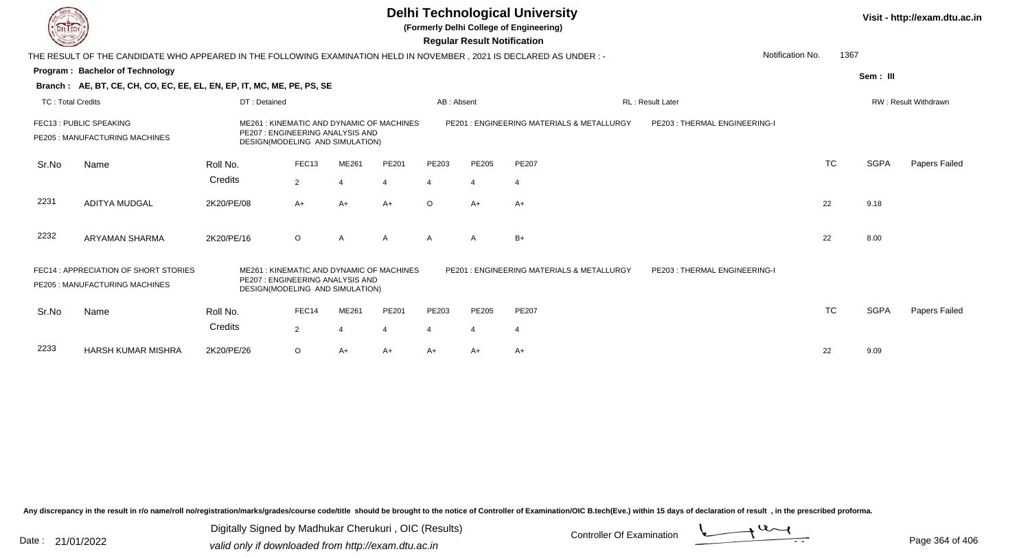**(Formerly Delhi College of Engineering)**

 **Regular Result Notification**

| <b>Course Lines</b> |                                                                                                                      |                                                                     |                   |                                 |                                          |         | Regular Result Notification |                                                      |                              |                  |             |                             |
|---------------------|----------------------------------------------------------------------------------------------------------------------|---------------------------------------------------------------------|-------------------|---------------------------------|------------------------------------------|---------|-----------------------------|------------------------------------------------------|------------------------------|------------------|-------------|-----------------------------|
|                     | THE RESULT OF THE CANDIDATE WHO APPEARED IN THE FOLLOWING EXAMINATION HELD IN NOVEMBER, 2021 IS DECLARED AS UNDER :- |                                                                     |                   |                                 |                                          |         |                             |                                                      |                              | Notification No. | 1367        |                             |
|                     | <b>Program: Bachelor of Technology</b>                                                                               |                                                                     |                   |                                 |                                          |         |                             |                                                      |                              |                  | Sem: III    |                             |
|                     | Branch: AE, BT, CE, CH, CO, EC, EE, EL, EN, EP, IT, MC, ME, PE, PS, SE                                               |                                                                     |                   |                                 |                                          |         |                             |                                                      |                              |                  |             |                             |
| TC: Total Credits   |                                                                                                                      | DT: Detained                                                        |                   |                                 | AB: Absent<br><b>RL: Result Later</b>    |         |                             |                                                      |                              |                  |             | <b>RW: Result Withdrawn</b> |
|                     | FEC13 : PUBLIC SPEAKING<br>PE205: MANUFACTURING MACHINES                                                             | PE207 : ENGINEERING ANALYSIS AND<br>DESIGN(MODELING AND SIMULATION) |                   |                                 | ME261: KINEMATIC AND DYNAMIC OF MACHINES |         |                             | PE201: ENGINEERING MATERIALS & METALLURGY            | PE203: THERMAL ENGINEERING-I |                  |             |                             |
| Sr.No               | Name                                                                                                                 | Roll No.                                                            | FEC <sub>13</sub> | ME261                           | PE201                                    | PE203   | PE205                       | <b>PE207</b>                                         |                              | <b>TC</b>        | <b>SGPA</b> | Papers Failed               |
|                     |                                                                                                                      | Credits                                                             | 2                 |                                 | $\overline{4}$                           | 4       | 4                           | 4                                                    |                              |                  |             |                             |
| 2231                | <b>ADITYA MUDGAL</b>                                                                                                 | 2K20/PE/08                                                          | $A+$              | $A+$                            | $A+$                                     | $\circ$ | $A+$                        | $A+$                                                 |                              | 22               | 9.18        |                             |
| 2232                | ARYAMAN SHARMA                                                                                                       | 2K20/PE/16                                                          | $\circ$           | A                               | A                                        | A       | $\mathsf{A}$                | $B+$                                                 |                              | 22               | 8.00        |                             |
|                     | FEC14 : APPRECIATION OF SHORT STORIES<br>PE205 : MANUFACTURING MACHINES                                              | DESIGN(MODELING AND SIMULATION)                                     |                   | PE207: ENGINEERING ANALYSIS AND | ME261: KINEMATIC AND DYNAMIC OF MACHINES |         |                             | <b>PE201: ENGINEERING MATERIALS &amp; METALLURGY</b> | PE203: THERMAL ENGINEERING-I |                  |             |                             |
| Sr.No               | Name                                                                                                                 | Roll No.                                                            | FEC14             | ME261                           | PE201                                    | PE203   | PE205                       | PE207                                                |                              | <b>TC</b>        | <b>SGPA</b> | Papers Failed               |
|                     |                                                                                                                      | Credits                                                             | $\overline{2}$    |                                 | 4                                        | 4       | 4                           | 4                                                    |                              |                  |             |                             |
| 2233                | <b>HARSH KUMAR MISHRA</b>                                                                                            | 2K20/PE/26                                                          | $\circ$           | A+                              | $A+$                                     | A+      | $A+$                        | A+                                                   |                              | 22               | 9.09        |                             |

Any discrepancy in the result in r/o name/roll no/registration/marks/grades/course code/title should be brought to the notice of Controller of Examination/OIC B.tech(Eve.) within 15 days of declaration of result, in the pr

Date : 21/01/2022 Digital Digital of Microsofted Chemical Controller Of Examination Determination Page 364 of 40 Digitally Signed by Madhukar Cherukuri , OIC (Results)

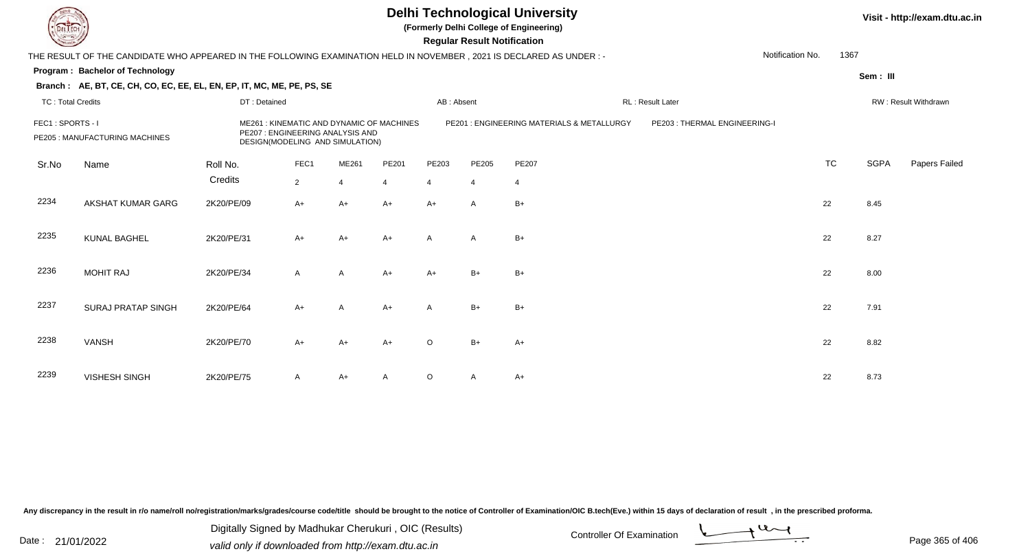**(Formerly Delhi College of Engineering)**

**Regular Regular Results Notification** 

| <b>Courses I</b>         |                                                                                                                        |              |             |                                                                    |                                          |            | <b>Regular Result Notification</b> |                                            |                               |                  |             |                      |
|--------------------------|------------------------------------------------------------------------------------------------------------------------|--------------|-------------|--------------------------------------------------------------------|------------------------------------------|------------|------------------------------------|--------------------------------------------|-------------------------------|------------------|-------------|----------------------|
|                          | THE RESULT OF THE CANDIDATE WHO APPEARED IN THE FOLLOWING EXAMINATION HELD IN NOVEMBER , 2021 IS DECLARED AS UNDER : - |              |             |                                                                    |                                          |            |                                    |                                            |                               | Notification No. | 1367        |                      |
|                          | <b>Program: Bachelor of Technology</b>                                                                                 |              |             |                                                                    |                                          |            |                                    |                                            |                               |                  | Sem: III    |                      |
|                          | Branch: AE, BT, CE, CH, CO, EC, EE, EL, EN, EP, IT, MC, ME, PE, PS, SE                                                 |              |             |                                                                    |                                          |            |                                    |                                            |                               |                  |             |                      |
| <b>TC: Total Credits</b> |                                                                                                                        | DT: Detained |             |                                                                    |                                          | AB: Absent |                                    |                                            | RL: Result Later              |                  |             | RW: Result Withdrawn |
| FEC1: SPORTS - I         | PE205 : MANUFACTURING MACHINES                                                                                         |              |             | PE207: ENGINEERING ANALYSIS AND<br>DESIGN(MODELING AND SIMULATION) | ME261: KINEMATIC AND DYNAMIC OF MACHINES |            |                                    | PE201 : ENGINEERING MATERIALS & METALLURGY | PE203 : THERMAL ENGINEERING-I |                  |             |                      |
| Sr.No                    | Name                                                                                                                   | Roll No.     | FEC1        | ME261                                                              | PE201                                    | PE203      | PE205                              | <b>PE207</b>                               |                               | <b>TC</b>        | <b>SGPA</b> | Papers Failed        |
|                          |                                                                                                                        | Credits      | $2^{\circ}$ | 4                                                                  | 4                                        | 4          | $\overline{4}$                     | 4                                          |                               |                  |             |                      |
| 2234                     | AKSHAT KUMAR GARG                                                                                                      | 2K20/PE/09   | $A+$        | $A+$                                                               | $A+$                                     | $A+$       | $\mathsf{A}$                       | $B+$                                       |                               | 22               | 8.45        |                      |
| 2235                     | <b>KUNAL BAGHEL</b>                                                                                                    | 2K20/PE/31   | $A+$        | $A+$                                                               | $A+$                                     | A          | $\mathsf{A}$                       | $B+$                                       |                               | 22               | 8.27        |                      |
| 2236                     | <b>MOHIT RAJ</b>                                                                                                       | 2K20/PE/34   | A           | A                                                                  | $A+$                                     | $A+$       | $B+$                               | $B+$                                       |                               | 22               | 8.00        |                      |
| 2237                     | <b>SURAJ PRATAP SINGH</b>                                                                                              | 2K20/PE/64   | $A+$        | A                                                                  | $A+$                                     | A          | $B+$                               | $B+$                                       |                               | 22               | 7.91        |                      |
| 2238                     | <b>VANSH</b>                                                                                                           | 2K20/PE/70   | $A+$        | A+                                                                 | $A+$                                     | $\circ$    | $B+$                               | $A+$                                       |                               | 22               | 8.82        |                      |
| 2239                     | <b>VISHESH SINGH</b>                                                                                                   | 2K20/PE/75   | A           | A+                                                                 | A                                        | $\circ$    | A                                  | $A+$                                       |                               | 22               | 8.73        |                      |

Any discrepancy in the result in r/o name/roll no/registration/marks/grades/course code/title should be brought to the notice of Controller of Examination/OIC B.tech(Eve.) within 15 days of declaration of result, in the pr

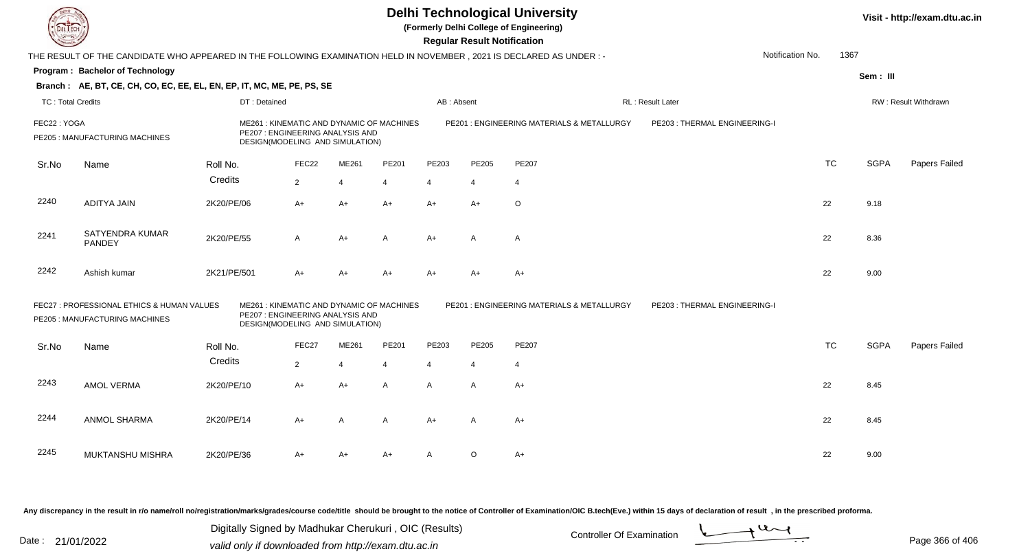**(Formerly Delhi College of Engineering)**

 **Regular Result Notification**

| <b>County</b>            |                                                                                                                       |             |                                                                                                                 |                |                |              | <b>Regular Result Notification</b> |                                            |                               |                  |             |                             |
|--------------------------|-----------------------------------------------------------------------------------------------------------------------|-------------|-----------------------------------------------------------------------------------------------------------------|----------------|----------------|--------------|------------------------------------|--------------------------------------------|-------------------------------|------------------|-------------|-----------------------------|
|                          | THE RESULT OF THE CANDIDATE WHO APPEARED IN THE FOLLOWING EXAMINATION HELD IN NOVEMBER , 2021 IS DECLARED AS UNDER :- |             |                                                                                                                 |                |                |              |                                    |                                            |                               | Notification No. | 1367        |                             |
|                          | Program: Bachelor of Technology                                                                                       |             |                                                                                                                 |                |                |              |                                    |                                            |                               |                  | Sem: III    |                             |
|                          | Branch: AE, BT, CE, CH, CO, EC, EE, EL, EN, EP, IT, MC, ME, PE, PS, SE                                                |             |                                                                                                                 |                |                |              |                                    |                                            |                               |                  |             |                             |
| <b>TC: Total Credits</b> |                                                                                                                       |             | DT: Detained                                                                                                    |                |                | AB: Absent   |                                    |                                            | <b>RL</b> : Result Later      |                  |             | <b>RW: Result Withdrawn</b> |
| FEC22: YOGA              | PE205 : MANUFACTURING MACHINES                                                                                        |             | ME261: KINEMATIC AND DYNAMIC OF MACHINES<br>PE207 : ENGINEERING ANALYSIS AND<br>DESIGN(MODELING AND SIMULATION) |                |                |              |                                    | PE201 : ENGINEERING MATERIALS & METALLURGY | PE203 : THERMAL ENGINEERING-I |                  |             |                             |
| Sr.No                    | Name                                                                                                                  | Roll No.    | FEC22                                                                                                           | ME261          | PE201          | PE203        | PE205                              | PE207                                      |                               | <b>TC</b>        | <b>SGPA</b> | Papers Failed               |
|                          |                                                                                                                       | Credits     | $\overline{2}$                                                                                                  | $\overline{4}$ | $\overline{4}$ | 4            | 4                                  | 4                                          |                               |                  |             |                             |
| 2240                     | <b>ADITYA JAIN</b>                                                                                                    | 2K20/PE/06  | $A+$                                                                                                            | A+             | $A+$           | $A+$         | $A+$                               | $\circ$                                    |                               | 22               | 9.18        |                             |
| 2241                     | <b>SATYENDRA KUMAR</b><br>PANDEY                                                                                      | 2K20/PE/55  | $\mathsf{A}$                                                                                                    | $A+$           | A              | $A+$         | A                                  | Α                                          |                               | 22               | 8.36        |                             |
| 2242                     | Ashish kumar                                                                                                          | 2K21/PE/501 | $A+$                                                                                                            | $A+$           | $A+$           | $A+$         | $A+$                               | $A+$                                       |                               | 22               | 9.00        |                             |
|                          | FEC27 : PROFESSIONAL ETHICS & HUMAN VALUES<br>PE205 : MANUFACTURING MACHINES                                          |             | ME261: KINEMATIC AND DYNAMIC OF MACHINES<br>PE207 : ENGINEERING ANALYSIS AND<br>DESIGN(MODELING AND SIMULATION) |                |                |              |                                    | PE201 : ENGINEERING MATERIALS & METALLURGY | PE203: THERMAL ENGINEERING-I  |                  |             |                             |
| Sr.No                    | Name                                                                                                                  | Roll No.    | FEC27                                                                                                           | ME261          | PE201          | PE203        | PE205                              | PE207                                      |                               | <b>TC</b>        | <b>SGPA</b> | Papers Failed               |
|                          |                                                                                                                       | Credits     | $\overline{2}$                                                                                                  | ⊿              | $\overline{4}$ |              | $\boldsymbol{\vartriangle}$        | 4                                          |                               |                  |             |                             |
| 2243                     | <b>AMOL VERMA</b>                                                                                                     | 2K20/PE/10  | $A+$                                                                                                            | $A+$           | $\mathsf{A}$   | $\mathsf{A}$ | A                                  | $A+$                                       |                               | 22               | 8.45        |                             |
| 2244                     | ANMOL SHARMA                                                                                                          | 2K20/PE/14  | $A+$                                                                                                            | A              | A              | $A+$         | A                                  | $A+$                                       |                               | 22               | 8.45        |                             |
| 2245                     | MUKTANSHU MISHRA                                                                                                      | 2K20/PE/36  | A+                                                                                                              | $A+$           | $A+$           | A            | $\circ$                            | A+                                         |                               | 22               | 9.00        |                             |

Any discrepancy in the result in r/o name/roll no/registration/marks/grades/course code/title should be brought to the notice of Controller of Examination/OIC B.tech(Eve.) within 15 days of declaration of result, in the pr

Date : 21/01/2022 Digital Digital of Microsofted Chemical Controller Of Examination Determination Page 366 of 40 Digitally Signed by Madhukar Cherukuri , OIC (Results)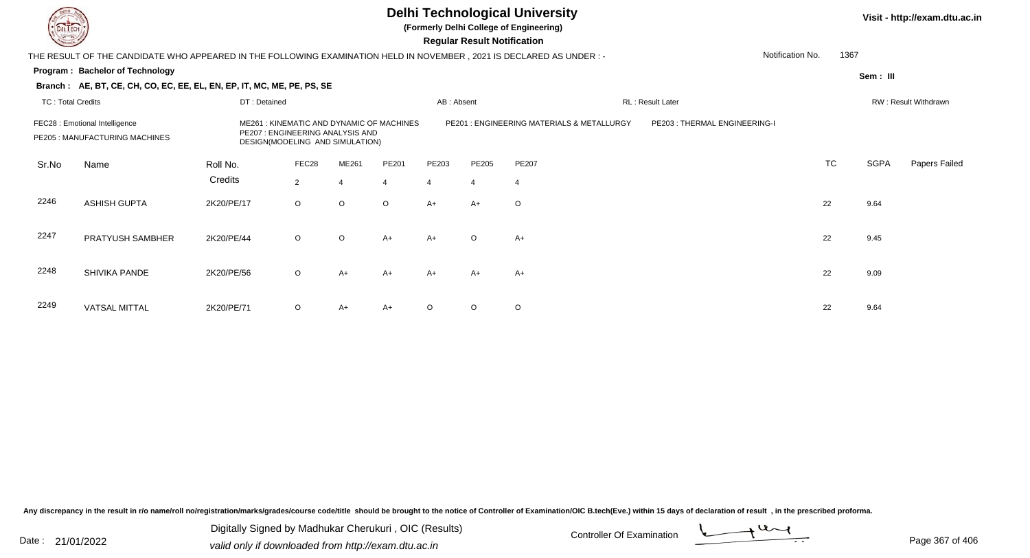**(Formerly Delhi College of Engineering)**

 **Regular Result Notification**

| <b>County</b>                                                    |                                                                                                                        |            |                |                                                                                                                                                              |                |                | Regular Result Notification |                |                              |                      |             |               |
|------------------------------------------------------------------|------------------------------------------------------------------------------------------------------------------------|------------|----------------|--------------------------------------------------------------------------------------------------------------------------------------------------------------|----------------|----------------|-----------------------------|----------------|------------------------------|----------------------|-------------|---------------|
|                                                                  | THE RESULT OF THE CANDIDATE WHO APPEARED IN THE FOLLOWING EXAMINATION HELD IN NOVEMBER , 2021 IS DECLARED AS UNDER : - |            |                |                                                                                                                                                              |                |                |                             |                |                              | Notification No.     | 1367        |               |
|                                                                  | Program: Bachelor of Technology                                                                                        |            |                |                                                                                                                                                              |                |                |                             |                |                              |                      | Sem: III    |               |
|                                                                  | Branch: AE, BT, CE, CH, CO, EC, EE, EL, EN, EP, IT, MC, ME, PE, PS, SE                                                 |            |                |                                                                                                                                                              |                |                |                             |                |                              |                      |             |               |
|                                                                  | <b>TC: Total Credits</b><br>DT: Detained                                                                               |            |                |                                                                                                                                                              |                | AB: Absent     |                             |                | RL: Result Later             | RW: Result Withdrawn |             |               |
| FEC28 : Emotional Intelligence<br>PE205 : MANUFACTURING MACHINES |                                                                                                                        |            |                | ME261: KINEMATIC AND DYNAMIC OF MACHINES<br>PE201 : ENGINEERING MATERIALS & METALLURGY<br>PE207: ENGINEERING ANALYSIS AND<br>DESIGN(MODELING AND SIMULATION) |                |                |                             |                | PE203: THERMAL ENGINEERING-I |                      |             |               |
| Sr.No                                                            | Name                                                                                                                   | Roll No.   | FEC28          | ME261                                                                                                                                                        | PE201          | PE203          | PE205                       | PE207          |                              | <b>TC</b>            | <b>SGPA</b> | Papers Failed |
|                                                                  |                                                                                                                        | Credits    | $\overline{2}$ | $\overline{4}$                                                                                                                                               | $\overline{4}$ | $\overline{4}$ | $\overline{4}$              | $\overline{4}$ |                              |                      |             |               |
| 2246                                                             | <b>ASHISH GUPTA</b>                                                                                                    | 2K20/PE/17 | $\circ$        | $\circ$                                                                                                                                                      | $\circ$        | A+             | $A+$                        | $\circ$        |                              | 22                   | 9.64        |               |
| 2247                                                             | PRATYUSH SAMBHER                                                                                                       | 2K20/PE/44 | $\circ$        | $\circ$                                                                                                                                                      | $A+$           | A+             | $\circ$                     | A+             |                              | 22                   | 9.45        |               |
| 2248                                                             | SHIVIKA PANDE                                                                                                          | 2K20/PE/56 | $\circ$        | $A+$                                                                                                                                                         | A+             | A+             | $A+$                        | A+             |                              | 22                   | 9.09        |               |
| 2249                                                             | <b>VATSAL MITTAL</b>                                                                                                   | 2K20/PE/71 | $\circ$        | A+                                                                                                                                                           | $A+$           | $\circ$        | $\circ$                     | $\circ$        |                              | 22                   | 9.64        |               |

Any discrepancy in the result in r/o name/roll no/registration/marks/grades/course code/title should be brought to the notice of Controller of Examination/OIC B.tech(Eve.) within 15 days of declaration of result, in the pr

Date : 21/01/2022 Digital Digital of Microsofted Chemical Controller Of Examination Determination Page 367 of 40 Digitally Signed by Madhukar Cherukuri , OIC (Results)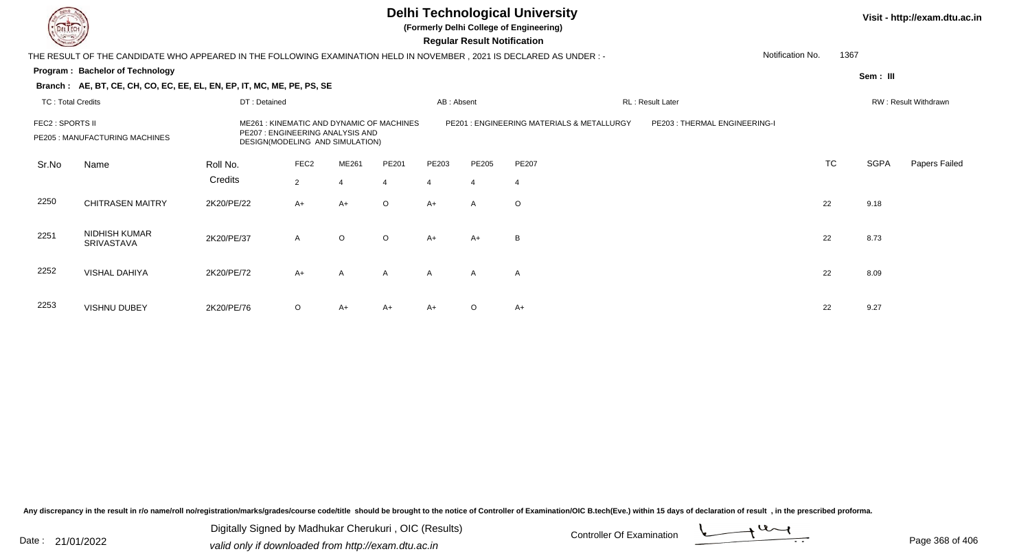**(Formerly Delhi College of Engineering)**

 **Regular Result Notification**

| <b>Courses A</b> |                                                                                                                        |                                                                     |                                          |                |                |                                           | Regular Result Notification  |                |                          |                      |             |               |
|------------------|------------------------------------------------------------------------------------------------------------------------|---------------------------------------------------------------------|------------------------------------------|----------------|----------------|-------------------------------------------|------------------------------|----------------|--------------------------|----------------------|-------------|---------------|
|                  | THE RESULT OF THE CANDIDATE WHO APPEARED IN THE FOLLOWING EXAMINATION HELD IN NOVEMBER , 2021 IS DECLARED AS UNDER : - |                                                                     |                                          |                |                |                                           |                              |                |                          | Notification No.     | 1367        |               |
|                  | Program: Bachelor of Technology                                                                                        |                                                                     |                                          |                |                |                                           |                              |                |                          |                      | Sem: III    |               |
|                  | Branch: AE, BT, CE, CH, CO, EC, EE, EL, EN, EP, IT, MC, ME, PE, PS, SE                                                 |                                                                     |                                          |                |                |                                           |                              |                |                          |                      |             |               |
|                  | <b>TC: Total Credits</b><br>DT: Detained                                                                               |                                                                     |                                          |                |                | AB: Absent                                |                              |                | <b>RL</b> : Result Later | RW: Result Withdrawn |             |               |
| FEC2 : SPORTS II | PE205 : MANUFACTURING MACHINES                                                                                         | PE207 : ENGINEERING ANALYSIS AND<br>DESIGN(MODELING AND SIMULATION) | ME261: KINEMATIC AND DYNAMIC OF MACHINES |                |                | PE201: ENGINEERING MATERIALS & METALLURGY | PE203: THERMAL ENGINEERING-I |                |                          |                      |             |               |
| Sr.No            | Name                                                                                                                   | Roll No.                                                            | FEC <sub>2</sub>                         | ME261          | PE201          | PE203                                     | PE205                        | <b>PE207</b>   |                          | <b>TC</b>            | <b>SGPA</b> | Papers Failed |
|                  |                                                                                                                        | Credits                                                             | $\overline{2}$                           | $\overline{4}$ | $\overline{4}$ | $\overline{4}$                            | $\overline{4}$               | $\overline{4}$ |                          |                      |             |               |
| 2250             | <b>CHITRASEN MAITRY</b>                                                                                                | 2K20/PE/22                                                          | $A+$                                     | A+             | $\circ$        | A+                                        | A                            | $\circ$        |                          | 22                   | 9.18        |               |
| 2251             | NIDHISH KUMAR<br>SRIVASTAVA                                                                                            | 2K20/PE/37                                                          | $\mathsf{A}$                             | $\circ$        | $\circ$        | $A+$                                      | A+                           | B              |                          | 22                   | 8.73        |               |
| 2252             | <b>VISHAL DAHIYA</b>                                                                                                   | 2K20/PE/72                                                          | $A+$                                     | $\mathsf{A}$   | $\mathsf{A}$   | $\mathsf{A}$                              | $\mathsf{A}$                 | $\mathsf{A}$   |                          | 22                   | 8.09        |               |
| 2253             | <b>VISHNU DUBEY</b>                                                                                                    | 2K20/PE/76                                                          | $\circ$                                  | A+             | $A+$           | A+                                        | $\circ$                      | A+             |                          | 22                   | 9.27        |               |

Any discrepancy in the result in r/o name/roll no/registration/marks/grades/course code/title should be brought to the notice of Controller of Examination/OIC B.tech(Eve.) within 15 days of declaration of result, in the pr

Date : 21/01/2022 Digital Digital of Microsofted Chemical Controller Of Examination Determination Page 368 of 40 Digitally Signed by Madhukar Cherukuri , OIC (Results)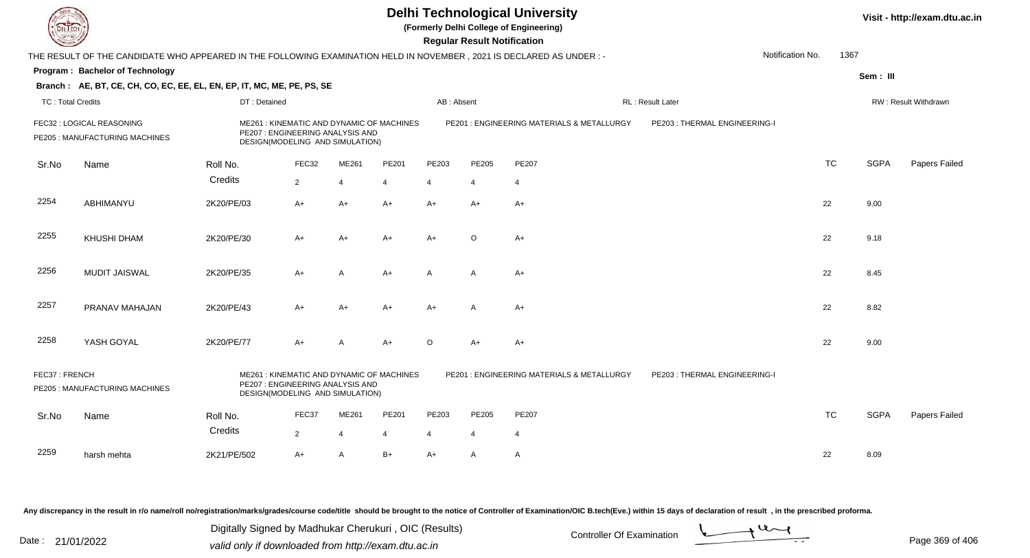**(Formerly Delhi College of Engineering)**

**Regular Regular Results** 

| <b>County</b>            |                                                                                                                        |              |                                                                                                                 |                |                |                | <b>Regular Result Notification</b> |                                            |                              |                  |           |             |                      |
|--------------------------|------------------------------------------------------------------------------------------------------------------------|--------------|-----------------------------------------------------------------------------------------------------------------|----------------|----------------|----------------|------------------------------------|--------------------------------------------|------------------------------|------------------|-----------|-------------|----------------------|
|                          | THE RESULT OF THE CANDIDATE WHO APPEARED IN THE FOLLOWING EXAMINATION HELD IN NOVEMBER , 2021 IS DECLARED AS UNDER : - |              |                                                                                                                 |                |                |                |                                    |                                            |                              | Notification No. | 1367      |             |                      |
|                          | Program: Bachelor of Technology                                                                                        |              |                                                                                                                 |                |                |                |                                    |                                            |                              |                  |           | Sem: III    |                      |
|                          | Branch: AE, BT, CE, CH, CO, EC, EE, EL, EN, EP, IT, MC, ME, PE, PS, SE                                                 |              |                                                                                                                 |                |                |                |                                    |                                            |                              |                  |           |             |                      |
| <b>TC: Total Credits</b> |                                                                                                                        | DT: Detained |                                                                                                                 |                |                | AB: Absent     |                                    |                                            | RL: Result Later             |                  |           |             | RW: Result Withdrawn |
|                          | FEC32 : LOGICAL REASONING<br>PE205 : MANUFACTURING MACHINES                                                            |              | ME261: KINEMATIC AND DYNAMIC OF MACHINES<br>PE207 : ENGINEERING ANALYSIS AND<br>DESIGN(MODELING AND SIMULATION) |                |                |                |                                    | PE201 : ENGINEERING MATERIALS & METALLURGY | PE203: THERMAL ENGINEERING-I |                  |           |             |                      |
| Sr.No                    | Name                                                                                                                   | Roll No.     | FEC32                                                                                                           | ME261          | PE201          | PE203          | PE205                              | PE207                                      |                              |                  | <b>TC</b> | <b>SGPA</b> | Papers Failed        |
|                          |                                                                                                                        | Credits      | $\overline{2}$                                                                                                  | $\overline{4}$ | $\overline{4}$ | $\overline{4}$ | $\overline{4}$                     | $\overline{4}$                             |                              |                  |           |             |                      |
| 2254                     | ABHIMANYU                                                                                                              | 2K20/PE/03   | A+                                                                                                              | A+             | $A+$           | A+             | $A+$                               | A+                                         |                              | 22               |           | 9.00        |                      |
| 2255                     | KHUSHI DHAM                                                                                                            | 2K20/PE/30   | A+                                                                                                              | A+             | A+             | $A+$           | $\circ$                            | A+                                         |                              | 22               |           | 9.18        |                      |
| 2256                     | <b>MUDIT JAISWAL</b>                                                                                                   | 2K20/PE/35   | A+                                                                                                              | A              | A+             | A              | A                                  | A+                                         |                              | 22               |           | 8.45        |                      |
| 2257                     | PRANAV MAHAJAN                                                                                                         | 2K20/PE/43   | A+                                                                                                              | A+             | $A+$           | A+             | A                                  | A+                                         |                              | 22               |           | 8.82        |                      |
| 2258                     | YASH GOYAL                                                                                                             | 2K20/PE/77   | $A+$                                                                                                            | A              | $A+$           | $\circ$        | A+                                 | A+                                         |                              | 22               |           | 9.00        |                      |
| FEC37: FRENCH            | PE205 : MANUFACTURING MACHINES                                                                                         |              | ME261: KINEMATIC AND DYNAMIC OF MACHINES<br>PE207 : ENGINEERING ANALYSIS AND<br>DESIGN(MODELING AND SIMULATION) |                |                |                |                                    | PE201: ENGINEERING MATERIALS & METALLURGY  | PE203: THERMAL ENGINEERING-I |                  |           |             |                      |
| Sr.No                    | Name                                                                                                                   | Roll No.     | FEC37                                                                                                           | ME261          | PE201          | PE203          | PE205                              | PE207                                      |                              |                  | <b>TC</b> | <b>SGPA</b> | Papers Failed        |
|                          |                                                                                                                        | Credits      | $\overline{2}$                                                                                                  | $\overline{4}$ | $\overline{4}$ | $\overline{4}$ | $\overline{4}$                     | $\overline{4}$                             |                              |                  |           |             |                      |
| 2259                     | harsh mehta                                                                                                            | 2K21/PE/502  | $A+$                                                                                                            | A              | $B+$           | A+             | A                                  | A                                          |                              | 22               |           | 8.09        |                      |

Any discrepancy in the result in r/o name/roll no/registration/marks/grades/course code/title should be brought to the notice of Controller of Examination/OIC B.tech(Eve.) within 15 days of declaration of result, in the pr

Date : 21/01/2022 Digital Digital of Microsofted Chemical Controller Of Examination Determination Page 369 of 40 Digitally Signed by Madhukar Cherukuri , OIC (Results)

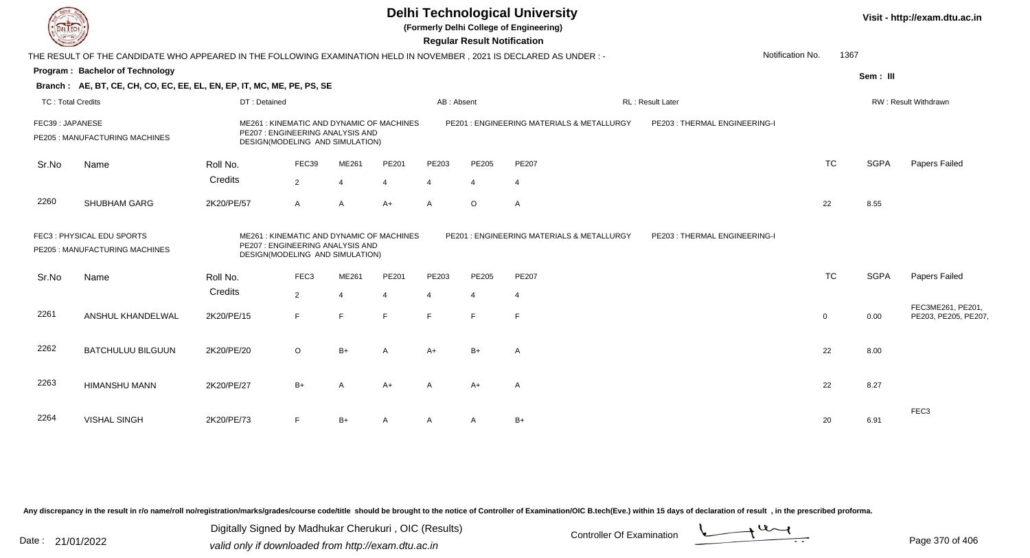|                          | <b>Delhi Technological University</b><br>Visit - http://exam.dtu.ac.in<br>(Formerly Delhi College of Engineering)<br><b>Regular Result Notification</b>                                                                                                        |              |                  |                |                |                |                                           |                               |                   |                      |             |                                           |  |
|--------------------------|----------------------------------------------------------------------------------------------------------------------------------------------------------------------------------------------------------------------------------------------------------------|--------------|------------------|----------------|----------------|----------------|-------------------------------------------|-------------------------------|-------------------|----------------------|-------------|-------------------------------------------|--|
|                          | THE RESULT OF THE CANDIDATE WHO APPEARED IN THE FOLLOWING EXAMINATION HELD IN NOVEMBER, 2021 IS DECLARED AS UNDER:-                                                                                                                                            |              |                  |                |                |                |                                           |                               | Notification No.  | 1367                 |             |                                           |  |
|                          | Program: Bachelor of Technology                                                                                                                                                                                                                                |              |                  |                |                |                |                                           |                               |                   |                      | Sem: III    |                                           |  |
|                          | Branch: AE, BT, CE, CH, CO, EC, EE, EL, EN, EP, IT, MC, ME, PE, PS, SE                                                                                                                                                                                         |              |                  |                |                |                |                                           |                               |                   |                      |             |                                           |  |
| <b>TC: Total Credits</b> |                                                                                                                                                                                                                                                                | DT: Detained |                  |                |                | AB: Absent     |                                           |                               | RL : Result Later | RW: Result Withdrawn |             |                                           |  |
| FEC39: JAPANESE          | ME261 : KINEMATIC AND DYNAMIC OF MACHINES<br>PE207 : ENGINEERING ANALYSIS AND<br>PE205 : MANUFACTURING MACHINES<br>DESIGN(MODELING AND SIMULATION)                                                                                                             |              |                  |                |                |                | PE201: ENGINEERING MATERIALS & METALLURGY | PE203 : THERMAL ENGINEERING-I |                   |                      |             |                                           |  |
| Sr.No                    | Name                                                                                                                                                                                                                                                           | Roll No.     | FEC39            | ME261          | PE201          | PE203          | PE205                                     | PE207                         |                   | <b>TC</b>            | <b>SGPA</b> | Papers Failed                             |  |
|                          |                                                                                                                                                                                                                                                                | Credits      | 2                | $\overline{4}$ | $\overline{4}$ | $\Delta$       | $\overline{4}$                            | $\overline{4}$                |                   |                      |             |                                           |  |
| 2260                     | SHUBHAM GARG                                                                                                                                                                                                                                                   | 2K20/PE/57   | $\mathsf{A}$     | $\overline{A}$ | $A+$           | $\mathsf{A}$   | $\circ$                                   | $\mathsf{A}$                  |                   | 22                   | 8.55        |                                           |  |
|                          | FEC3: PHYSICAL EDU SPORTS<br>PE201 : ENGINEERING MATERIALS & METALLURGY<br>ME261 : KINEMATIC AND DYNAMIC OF MACHINES<br>PE203 : THERMAL ENGINEERING-I<br>PE207 : ENGINEERING ANALYSIS AND<br>PE205 : MANUFACTURING MACHINES<br>DESIGN(MODELING AND SIMULATION) |              |                  |                |                |                |                                           |                               |                   |                      |             |                                           |  |
| Sr.No                    | Name                                                                                                                                                                                                                                                           | Roll No.     | FEC <sub>3</sub> | ME261          | PE201          | PE203          | PE205                                     | <b>PE207</b>                  |                   | <b>TC</b>            | <b>SGPA</b> | Papers Failed                             |  |
|                          |                                                                                                                                                                                                                                                                | Credits      | 2                | $\overline{4}$ | $\overline{4}$ | $\overline{4}$ | $\overline{4}$                            | 4                             |                   |                      |             |                                           |  |
| 2261                     | ANSHUL KHANDELWAL                                                                                                                                                                                                                                              | 2K20/PE/15   | E                | E              | $\mathsf{E}$   | E              | F.                                        | E                             |                   | $\mathbf 0$          | 0.00        | FEC3ME261, PE201,<br>PE203, PE205, PE207, |  |
| 2262                     | <b>BATCHULUU BILGUUN</b>                                                                                                                                                                                                                                       | 2K20/PE/20   | $\circ$          | $B+$           | A              | $A+$           | $B+$                                      | A                             |                   | 22                   | 8.00        |                                           |  |
| 2263                     | <b>HIMANSHU MANN</b>                                                                                                                                                                                                                                           | 2K20/PE/27   | $B+$             | $\overline{A}$ | $A+$           | А              | $A+$                                      | A                             |                   | 22                   | 8.27        |                                           |  |
| 2264                     | <b>VISHAL SINGH</b>                                                                                                                                                                                                                                            | 2K20/PE/73   | F                | $B+$           | A              | A              | A                                         | $B+$                          |                   | 20                   | 6.91        | FEC <sub>3</sub>                          |  |

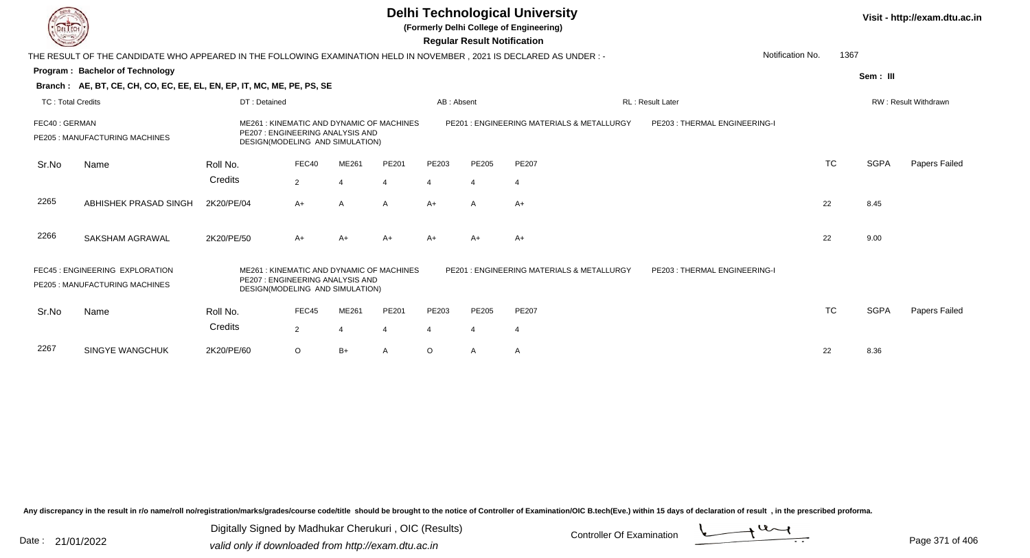**(Formerly Delhi College of Engineering)**

 **Regular Result Notification**

| <b>Consultant Company</b> |                                                                                                                     |                                                                     |                |              |                                          |            | Regular Result Notification |                                           |                              |                          |             |                      |
|---------------------------|---------------------------------------------------------------------------------------------------------------------|---------------------------------------------------------------------|----------------|--------------|------------------------------------------|------------|-----------------------------|-------------------------------------------|------------------------------|--------------------------|-------------|----------------------|
|                           | THE RESULT OF THE CANDIDATE WHO APPEARED IN THE FOLLOWING EXAMINATION HELD IN NOVEMBER, 2021 IS DECLARED AS UNDER:- |                                                                     |                |              |                                          |            |                             |                                           |                              | 1367<br>Notification No. |             |                      |
|                           | Program: Bachelor of Technology                                                                                     |                                                                     |                |              |                                          |            |                             |                                           |                              |                          | Sem: III    |                      |
|                           | Branch: AE, BT, CE, CH, CO, EC, EE, EL, EN, EP, IT, MC, ME, PE, PS, SE                                              |                                                                     |                |              |                                          |            |                             |                                           |                              |                          |             |                      |
| <b>TC: Total Credits</b>  |                                                                                                                     | DT: Detained                                                        |                |              |                                          | AB: Absent |                             |                                           | <b>RL: Result Later</b>      |                          |             | RW: Result Withdrawn |
| FEC40: GERMAN             | PE205 : MANUFACTURING MACHINES                                                                                      | PE207 : ENGINEERING ANALYSIS AND<br>DESIGN(MODELING AND SIMULATION) |                |              | ME261: KINEMATIC AND DYNAMIC OF MACHINES |            |                             | PE201: ENGINEERING MATERIALS & METALLURGY | PE203: THERMAL ENGINEERING-I |                          |             |                      |
| Sr.No                     | Name                                                                                                                | Roll No.                                                            | FEC40          | ME261        | PE201                                    | PE203      | PE205                       | <b>PE207</b>                              |                              | <b>TC</b>                | <b>SGPA</b> | Papers Failed        |
|                           |                                                                                                                     | Credits                                                             | $\overline{2}$ | 4            | $\overline{4}$                           | 4          | $\overline{4}$              | 4                                         |                              |                          |             |                      |
| 2265                      | ABHISHEK PRASAD SINGH                                                                                               | 2K20/PE/04                                                          | $A+$           | $\mathsf{A}$ | $\mathsf{A}$                             | $A+$       | $\mathsf{A}$                | $A+$                                      |                              | 22                       | 8.45        |                      |
| 2266                      | SAKSHAM AGRAWAL                                                                                                     | 2K20/PE/50                                                          | $A+$           | A+           | $A+$                                     | A+         | $A+$                        | A+                                        |                              | 22                       | 9.00        |                      |
|                           | FEC45 : ENGINEERING EXPLORATION<br>PE205: MANUFACTURING MACHINES                                                    | PE207: ENGINEERING ANALYSIS AND<br>DESIGN(MODELING AND SIMULATION)  |                |              | ME261: KINEMATIC AND DYNAMIC OF MACHINES |            |                             | PE201: ENGINEERING MATERIALS & METALLURGY | PE203: THERMAL ENGINEERING-I |                          |             |                      |
| Sr.No                     | Name                                                                                                                | Roll No.                                                            | FEC45          | ME261        | PE201                                    | PE203      | PE205                       | PE207                                     |                              | <b>TC</b>                | <b>SGPA</b> | Papers Failed        |
|                           |                                                                                                                     | Credits                                                             | $\overline{2}$ | 4            | 4                                        | 4          | 4                           | 4                                         |                              |                          |             |                      |
| 2267                      | <b>SINGYE WANGCHUK</b>                                                                                              | 2K20/PE/60                                                          | $\circ$        | $B+$         | Α                                        | O          | A                           | A                                         |                              | 22                       | 8.36        |                      |
|                           |                                                                                                                     |                                                                     |                |              |                                          |            |                             |                                           |                              |                          |             |                      |

Any discrepancy in the result in r/o name/roll no/registration/marks/grades/course code/title should be brought to the notice of Controller of Examination/OIC B.tech(Eve.) within 15 days of declaration of result, in the pr

Date : 21/01/2022 Digital Digital of Microsofted Chemical Controller Of Examination Determination Page 371 of 40 Digitally Signed by Madhukar Cherukuri , OIC (Results)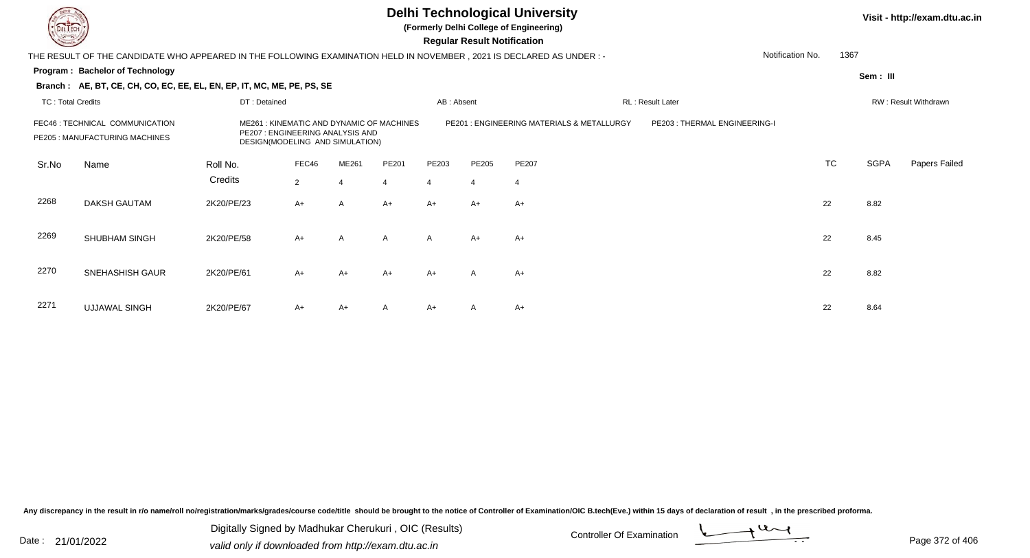

**(Formerly Delhi College of Engineering)**

 **Regular Result Notification**

| <b>County</b>                                                                                                                                                                        |                                                                                                                      |              |                |                |                |              | Regular Result Notification |                                           |                              |                      |             |               |
|--------------------------------------------------------------------------------------------------------------------------------------------------------------------------------------|----------------------------------------------------------------------------------------------------------------------|--------------|----------------|----------------|----------------|--------------|-----------------------------|-------------------------------------------|------------------------------|----------------------|-------------|---------------|
|                                                                                                                                                                                      | THE RESULT OF THE CANDIDATE WHO APPEARED IN THE FOLLOWING EXAMINATION HELD IN NOVEMBER, 2021 IS DECLARED AS UNDER :- |              |                |                |                |              |                             |                                           |                              | Notification No.     | 1367        |               |
|                                                                                                                                                                                      | Program: Bachelor of Technology                                                                                      |              |                |                |                |              |                             |                                           |                              |                      | Sem: III    |               |
|                                                                                                                                                                                      | Branch: AE, BT, CE, CH, CO, EC, EE, EL, EN, EP, IT, MC, ME, PE, PS, SE                                               |              |                |                |                |              |                             |                                           |                              |                      |             |               |
| <b>TC: Total Credits</b>                                                                                                                                                             |                                                                                                                      | DT: Detained |                |                |                | AB: Absent   |                             |                                           | RL: Result Later             | RW: Result Withdrawn |             |               |
| FEC46 : TECHNICAL COMMUNICATION<br>ME261: KINEMATIC AND DYNAMIC OF MACHINES<br>PE207 : ENGINEERING ANALYSIS AND<br>PE205 : MANUFACTURING MACHINES<br>DESIGN(MODELING AND SIMULATION) |                                                                                                                      |              |                |                |                |              |                             | PE201: ENGINEERING MATERIALS & METALLURGY | PE203: THERMAL ENGINEERING-I |                      |             |               |
| Sr.No                                                                                                                                                                                | Name                                                                                                                 | Roll No.     | FEC46          | ME261          | PE201          | PE203        | PE205                       | <b>PE207</b>                              |                              | <b>TC</b>            | <b>SGPA</b> | Papers Failed |
|                                                                                                                                                                                      |                                                                                                                      | Credits      | $\overline{2}$ | $\overline{4}$ | $\overline{4}$ | 4            | $\overline{4}$              | $\overline{4}$                            |                              |                      |             |               |
| 2268                                                                                                                                                                                 | DAKSH GAUTAM                                                                                                         | 2K20/PE/23   | $A+$           | A              | $A+$           | A+           | $A+$                        | A+                                        |                              | 22                   | 8.82        |               |
| 2269                                                                                                                                                                                 | <b>SHUBHAM SINGH</b>                                                                                                 | 2K20/PE/58   | $A+$           | A              | $\mathsf{A}$   | $\mathsf{A}$ | $A+$                        | A+                                        |                              | 22                   | 8.45        |               |
| 2270                                                                                                                                                                                 | SNEHASHISH GAUR                                                                                                      | 2K20/PE/61   | $A+$           | A+             | $A+$           | $A+$         | A                           | $A+$                                      |                              | 22                   | 8.82        |               |
| 2271                                                                                                                                                                                 | <b>UJJAWAL SINGH</b>                                                                                                 | 2K20/PE/67   | $A+$           | $A+$           | A              | $A+$         | A                           | $A+$                                      |                              | 22                   | 8.64        |               |

Any discrepancy in the result in r/o name/roll no/registration/marks/grades/course code/title should be brought to the notice of Controller of Examination/OIC B.tech(Eve.) within 15 days of declaration of result, in the pr

Date : 21/01/2022 Digital Digital of Microsofted Chemical Controller Of Examination Determination Page 372 of 40 Digitally Signed by Madhukar Cherukuri , OIC (Results)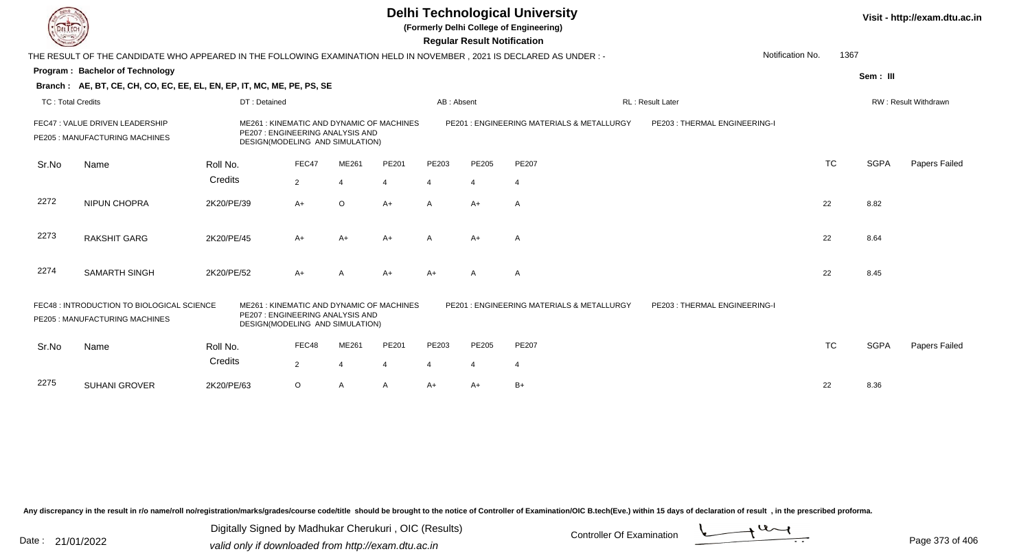**(Formerly Delhi College of Engineering)**

 **Regular Result Notification**

| <b>Courses A</b>         |                                                                                                                        |              |                                                                     |                |                                          |                | Regular Result Notification |                                           |                              |                  |           |             |                      |
|--------------------------|------------------------------------------------------------------------------------------------------------------------|--------------|---------------------------------------------------------------------|----------------|------------------------------------------|----------------|-----------------------------|-------------------------------------------|------------------------------|------------------|-----------|-------------|----------------------|
|                          | THE RESULT OF THE CANDIDATE WHO APPEARED IN THE FOLLOWING EXAMINATION HELD IN NOVEMBER , 2021 IS DECLARED AS UNDER : - |              |                                                                     |                |                                          |                |                             |                                           |                              | Notification No. | 1367      |             |                      |
|                          | Program: Bachelor of Technology                                                                                        |              |                                                                     |                |                                          |                |                             |                                           |                              |                  |           | Sem: III    |                      |
|                          | Branch: AE, BT, CE, CH, CO, EC, EE, EL, EN, EP, IT, MC, ME, PE, PS, SE                                                 |              |                                                                     |                |                                          |                |                             |                                           |                              |                  |           |             |                      |
| <b>TC: Total Credits</b> |                                                                                                                        | DT: Detained |                                                                     |                |                                          | AB: Absent     |                             |                                           | <b>RL: Result Later</b>      |                  |           |             | RW: Result Withdrawn |
|                          | FEC47 : VALUE DRIVEN LEADERSHIP<br>PE205 : MANUFACTURING MACHINES                                                      |              | PE207: ENGINEERING ANALYSIS AND<br>DESIGN(MODELING AND SIMULATION)  |                | ME261: KINEMATIC AND DYNAMIC OF MACHINES |                |                             | PE201: ENGINEERING MATERIALS & METALLURGY | PE203: THERMAL ENGINEERING-I |                  |           |             |                      |
| Sr.No                    | Name                                                                                                                   | Roll No.     | FEC47                                                               | ME261          | PE201                                    | PE203          | <b>PE205</b>                | PE207                                     |                              |                  | <b>TC</b> | <b>SGPA</b> | Papers Failed        |
|                          |                                                                                                                        | Credits      | $\overline{2}$                                                      | $\overline{4}$ | $\overline{4}$                           | 4              | 4                           | 4                                         |                              |                  |           |             |                      |
| 2272                     | <b>NIPUN CHOPRA</b>                                                                                                    | 2K20/PE/39   | $A+$                                                                | $\circ$        | $A+$                                     | $\mathsf{A}$   | $A+$                        | $\mathsf{A}$                              |                              | 22               |           | 8.82        |                      |
| 2273                     | <b>RAKSHIT GARG</b>                                                                                                    | 2K20/PE/45   | $A+$                                                                | A+             | $A+$                                     | A              | $A+$                        | A                                         |                              | 22               |           | 8.64        |                      |
| 2274                     | <b>SAMARTH SINGH</b>                                                                                                   | 2K20/PE/52   | $A+$                                                                | A              | $A+$                                     | A+             | A                           | A                                         |                              | 22               |           | 8.45        |                      |
|                          | FEC48 : INTRODUCTION TO BIOLOGICAL SCIENCE<br>PE205 : MANUFACTURING MACHINES                                           |              | PE207 : ENGINEERING ANALYSIS AND<br>DESIGN(MODELING AND SIMULATION) |                | ME261: KINEMATIC AND DYNAMIC OF MACHINES |                |                             | PE201: ENGINEERING MATERIALS & METALLURGY | PE203: THERMAL ENGINEERING-I |                  |           |             |                      |
| Sr.No                    | Name                                                                                                                   | Roll No.     | FEC48                                                               | ME261          | PE201                                    | PE203          | <b>PE205</b>                | PE207                                     |                              |                  | TC        | <b>SGPA</b> | Papers Failed        |
|                          |                                                                                                                        | Credits      | $\overline{2}$                                                      | 4              | 4                                        | $\overline{4}$ | 4                           | 4                                         |                              |                  |           |             |                      |
| 2275                     | <b>SUHANI GROVER</b>                                                                                                   | 2K20/PE/63   | $\circ$                                                             | A              | $\mathsf{A}$                             | $A+$           | $A+$                        | $B+$                                      |                              | 22               |           | 8.36        |                      |

Any discrepancy in the result in r/o name/roll no/registration/marks/grades/course code/title should be brought to the notice of Controller of Examination/OIC B.tech(Eve.) within 15 days of declaration of result, in the pr

Date : 21/01/2022 Digital Digital of Microsofted Chemical Controller Of Examination Determination Page 373 of 40 Digitally Signed by Madhukar Cherukuri , OIC (Results)

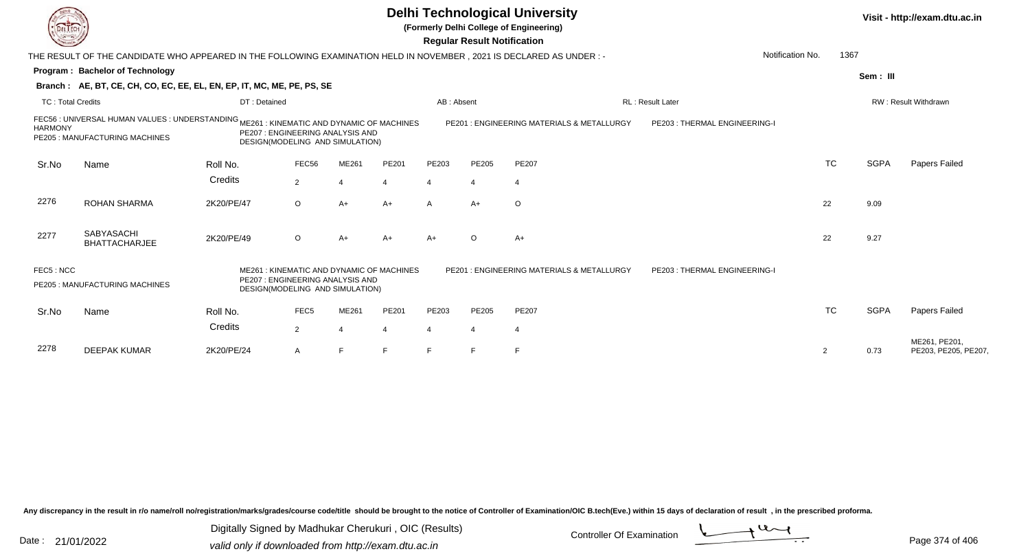**(Formerly Delhi College of Engineering)**

 **Regular Result Notification**

| <b>Course Les</b>        |                                                                                                                           |                                                                                                                |                  |       |       | Regular Result Notification                                               |                |                                           |                              |                  |           |             |                                      |
|--------------------------|---------------------------------------------------------------------------------------------------------------------------|----------------------------------------------------------------------------------------------------------------|------------------|-------|-------|---------------------------------------------------------------------------|----------------|-------------------------------------------|------------------------------|------------------|-----------|-------------|--------------------------------------|
|                          | THE RESULT OF THE CANDIDATE WHO APPEARED IN THE FOLLOWING EXAMINATION HELD IN NOVEMBER, 2021 IS DECLARED AS UNDER:-       |                                                                                                                |                  |       |       |                                                                           |                |                                           |                              | Notification No. | 1367      |             |                                      |
|                          | Program: Bachelor of Technology                                                                                           |                                                                                                                |                  |       |       |                                                                           |                |                                           |                              |                  |           | Sem: III    |                                      |
|                          | Branch: AE, BT, CE, CH, CO, EC, EE, EL, EN, EP, IT, MC, ME, PE, PS, SE                                                    |                                                                                                                |                  |       |       |                                                                           |                |                                           |                              |                  |           |             |                                      |
| <b>TC: Total Credits</b> |                                                                                                                           | DT: Detained                                                                                                   |                  |       |       | AB: Absent                                                                |                |                                           | <b>RL: Result Later</b>      |                  |           |             | <b>RW: Result Withdrawn</b>          |
| <b>HARMONY</b>           | FEC56 : UNIVERSAL HUMAN VALUES : UNDERSTANDING ME261 : KINEMATIC AND DYNAMIC OF MACHINES<br>PE205: MANUFACTURING MACHINES | PE207: ENGINEERING ANALYSIS AND<br>DESIGN(MODELING AND SIMULATION)                                             |                  |       |       | PE201: ENGINEERING MATERIALS & METALLURGY<br>PE203: THERMAL ENGINEERING-I |                |                                           |                              |                  |           |             |                                      |
| Sr.No                    | Name                                                                                                                      | Roll No.                                                                                                       | FEC56            | ME261 | PE201 | PE203                                                                     | PE205          | PE207                                     |                              |                  | <b>TC</b> | <b>SGPA</b> | Papers Failed                        |
|                          |                                                                                                                           | Credits                                                                                                        | $\overline{2}$   |       | 4     | $\overline{4}$                                                            | $\overline{4}$ | 4                                         |                              |                  |           |             |                                      |
| 2276                     | <b>ROHAN SHARMA</b>                                                                                                       | 2K20/PE/47                                                                                                     | $\circ$          | $A+$  | $A+$  | $\mathsf{A}$                                                              | $A+$           | $\circ$                                   |                              |                  | 22        | 9.09        |                                      |
| 2277                     | <b>SABYASACHI</b><br><b>BHATTACHARJEE</b>                                                                                 | 2K20/PE/49                                                                                                     | $\circ$          | $A+$  | A+    | $A+$                                                                      | $\circ$        | $A+$                                      |                              |                  | 22        | 9.27        |                                      |
| FEC5: NCC                | PE205 : MANUFACTURING MACHINES                                                                                            | ME261: KINEMATIC AND DYNAMIC OF MACHINES<br>PE207: ENGINEERING ANALYSIS AND<br>DESIGN(MODELING AND SIMULATION) |                  |       |       |                                                                           |                | PE201: ENGINEERING MATERIALS & METALLURGY | PE203: THERMAL ENGINEERING-I |                  |           |             |                                      |
| Sr.No                    | Name                                                                                                                      | Roll No.                                                                                                       | FEC <sub>5</sub> | ME261 | PE201 | PE203                                                                     | PE205          | <b>PE207</b>                              |                              |                  | <b>TC</b> | <b>SGPA</b> | Papers Failed                        |
|                          |                                                                                                                           | Credits                                                                                                        | $\overline{2}$   |       | 4     | $\overline{4}$                                                            | $\overline{4}$ | 4                                         |                              |                  |           |             |                                      |
| 2278                     | <b>DEEPAK KUMAR</b>                                                                                                       | 2K20/PE/24                                                                                                     | A                | E     | F     | F                                                                         | $\mathsf{F}$   | F                                         |                              | 2                |           | 0.73        | ME261, PE201,<br>PE203, PE205, PE207 |

Any discrepancy in the result in r/o name/roll no/registration/marks/grades/course code/title should be brought to the notice of Controller of Examination/OIC B.tech(Eve.) within 15 days of declaration of result, in the pr

Date : 21/01/2022 Digital Digital of Microsofted Chemical Controller Of Examination Determination Page 374 of 40 Digitally Signed by Madhukar Cherukuri , OIC (Results)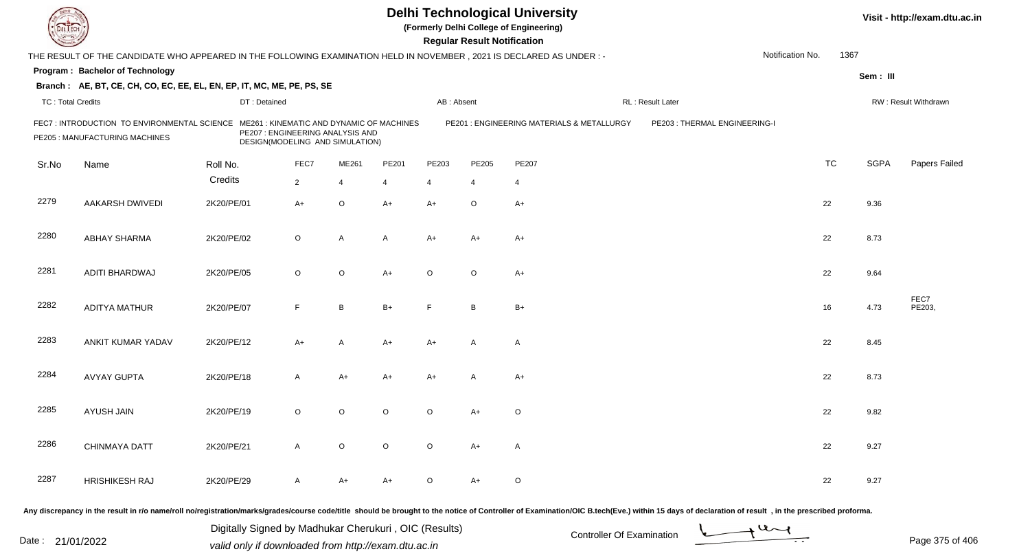|                          |                                                                                                                      |              |                                                                                                                 |                |          |                | <b>Regular Result Notification</b> | <b>Delhi Technological University</b><br>(Formerly Delhi College of Engineering) |                              |                  |           | Visit - http://exam.dtu.ac.in |                      |
|--------------------------|----------------------------------------------------------------------------------------------------------------------|--------------|-----------------------------------------------------------------------------------------------------------------|----------------|----------|----------------|------------------------------------|----------------------------------------------------------------------------------|------------------------------|------------------|-----------|-------------------------------|----------------------|
|                          | THE RESULT OF THE CANDIDATE WHO APPEARED IN THE FOLLOWING EXAMINATION HELD IN NOVEMBER, 2021 IS DECLARED AS UNDER :- |              |                                                                                                                 |                |          |                |                                    |                                                                                  |                              | Notification No. | 1367      |                               |                      |
|                          | <b>Program: Bachelor of Technology</b>                                                                               |              |                                                                                                                 |                |          |                |                                    |                                                                                  |                              |                  |           | Sem: III                      |                      |
|                          | Branch: AE, BT, CE, CH, CO, EC, EE, EL, EN, EP, IT, MC, ME, PE, PS, SE                                               |              |                                                                                                                 |                |          |                |                                    |                                                                                  |                              |                  |           |                               |                      |
| <b>TC: Total Credits</b> |                                                                                                                      | DT: Detained |                                                                                                                 |                |          | AB: Absent     |                                    |                                                                                  | RL: Result Later             |                  |           |                               | RW: Result Withdrawn |
|                          | FEC7 : INTRODUCTION TO ENVIRONMENTAL SCIENCE<br>PE205 : MANUFACTURING MACHINES                                       |              | ME261: KINEMATIC AND DYNAMIC OF MACHINES<br>PE207 : ENGINEERING ANALYSIS AND<br>DESIGN(MODELING AND SIMULATION) |                |          |                |                                    | PE201 : ENGINEERING MATERIALS & METALLURGY                                       | PE203: THERMAL ENGINEERING-I |                  |           |                               |                      |
| Sr.No                    | Name                                                                                                                 | Roll No.     | FEC7                                                                                                            | ME261          | PE201    | PE203          | PE205                              | PE207                                                                            |                              |                  | <b>TC</b> | <b>SGPA</b>                   | Papers Failed        |
|                          |                                                                                                                      | Credits      | $\overline{2}$                                                                                                  | $\overline{4}$ | 4        | $\overline{4}$ | $\overline{4}$                     | $\overline{4}$                                                                   |                              |                  |           |                               |                      |
| 2279                     | <b>AAKARSH DWIVEDI</b>                                                                                               | 2K20/PE/01   | $A+$                                                                                                            | $\circ$        | $A+$     | $A+$           | $\circ$                            | $A+$                                                                             |                              |                  | 22        | 9.36                          |                      |
| 2280                     | <b>ABHAY SHARMA</b>                                                                                                  | 2K20/PE/02   | $\circ$                                                                                                         | A              | A        | $A+$           | $A+$                               | $A+$                                                                             |                              |                  | 22        | 8.73                          |                      |
| 2281                     | ADITI BHARDWAJ                                                                                                       | 2K20/PE/05   | $\circ$                                                                                                         | $\circ$        | $A+$     | $\circ$        | $\circ$                            | $A+$                                                                             |                              |                  | 22        | 9.64                          |                      |
| 2282                     | <b>ADITYA MATHUR</b>                                                                                                 | 2K20/PE/07   | F                                                                                                               | B              | $B+$     | F              | B                                  | $B+$                                                                             |                              |                  | 16        | 4.73                          | FEC7<br>PE203,       |
| 2283                     | ANKIT KUMAR YADAV                                                                                                    | 2K20/PE/12   | A+                                                                                                              | $\overline{A}$ | $A+$     | $A+$           | A                                  | $\overline{A}$                                                                   |                              |                  | 22        | 8.45                          |                      |
| 2284                     | <b>AVYAY GUPTA</b>                                                                                                   | 2K20/PE/18   | A                                                                                                               | $A+$           | A+       | $A+$           | A                                  | $A+$                                                                             |                              |                  | 22        | 8.73                          |                      |
| 2285                     | AYUSH JAIN                                                                                                           | 2K20/PE/19   | $\circ$                                                                                                         | O              | $\Omega$ | $\circ$        | A+                                 | $\circ$                                                                          |                              |                  | 22        | 9.82                          |                      |
| 2286                     | <b>CHINMAYA DATT</b>                                                                                                 | 2K20/PE/21   | $\mathsf{A}$                                                                                                    | $\mathsf O$    | $\circ$  | $\circ$        | A+                                 | A                                                                                |                              |                  | 22        | 9.27                          |                      |
| 2287                     | <b>HRISHIKESH RAJ</b>                                                                                                | 2K20/PE/29   | A                                                                                                               | $A+$           | A+       | $\circ$        | A+                                 | $\circ$                                                                          |                              |                  | 22        | 9.27                          |                      |
|                          |                                                                                                                      |              |                                                                                                                 |                |          |                |                                    |                                                                                  |                              |                  |           |                               |                      |

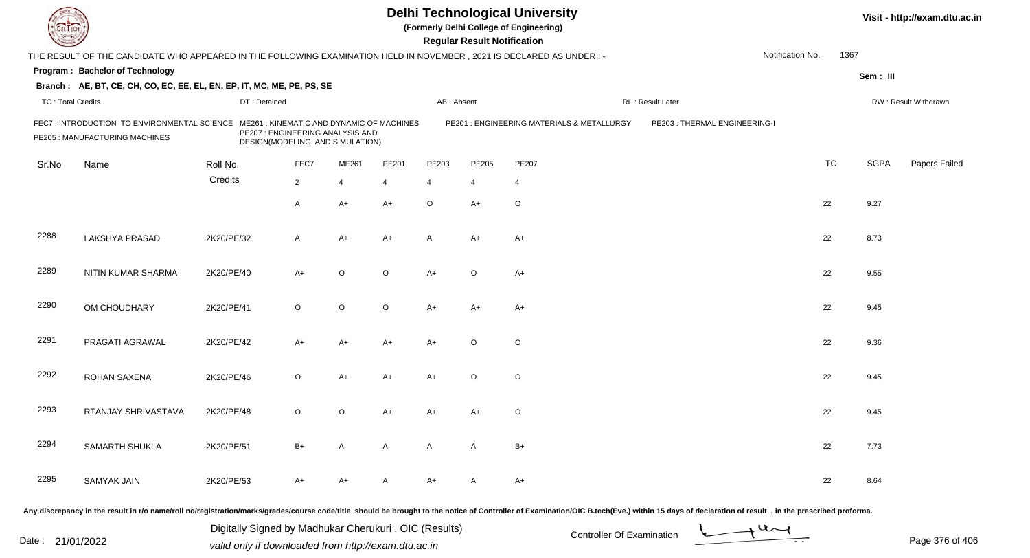| DEL ECH                  |                                                                                                                      |              |                                                                                                                 |                | Visit - http://exam.dtu.ac.in |                |                                    |                                            |                                                                                                                                                                                                                                |                  |           |             |                      |
|--------------------------|----------------------------------------------------------------------------------------------------------------------|--------------|-----------------------------------------------------------------------------------------------------------------|----------------|-------------------------------|----------------|------------------------------------|--------------------------------------------|--------------------------------------------------------------------------------------------------------------------------------------------------------------------------------------------------------------------------------|------------------|-----------|-------------|----------------------|
|                          | THE RESULT OF THE CANDIDATE WHO APPEARED IN THE FOLLOWING EXAMINATION HELD IN NOVEMBER, 2021 IS DECLARED AS UNDER: - |              |                                                                                                                 |                |                               |                | <b>Regular Result Notification</b> |                                            |                                                                                                                                                                                                                                | Notification No. | 1367      |             |                      |
|                          | Program: Bachelor of Technology                                                                                      |              |                                                                                                                 |                |                               |                |                                    |                                            |                                                                                                                                                                                                                                |                  |           | Sem: III    |                      |
|                          | Branch: AE, BT, CE, CH, CO, EC, EE, EL, EN, EP, IT, MC, ME, PE, PS, SE                                               |              |                                                                                                                 |                |                               |                |                                    |                                            |                                                                                                                                                                                                                                |                  |           |             |                      |
| <b>TC: Total Credits</b> |                                                                                                                      | DT: Detained |                                                                                                                 |                |                               | AB: Absent     |                                    |                                            | RL: Result Later                                                                                                                                                                                                               |                  |           |             | RW: Result Withdrawn |
|                          | FEC7: INTRODUCTION TO ENVIRONMENTAL SCIENCE<br>PE205 : MANUFACTURING MACHINES                                        |              | ME261: KINEMATIC AND DYNAMIC OF MACHINES<br>PE207 : ENGINEERING ANALYSIS AND<br>DESIGN(MODELING AND SIMULATION) |                |                               |                |                                    | PE201 : ENGINEERING MATERIALS & METALLURGY | PE203 : THERMAL ENGINEERING-I                                                                                                                                                                                                  |                  |           |             |                      |
| Sr.No                    | Name                                                                                                                 | Roll No.     | FEC7                                                                                                            | ME261          | PE201                         | PE203          | PE205                              | <b>PE207</b>                               |                                                                                                                                                                                                                                |                  | <b>TC</b> | <b>SGPA</b> | Papers Failed        |
|                          |                                                                                                                      | Credits      | $\overline{2}$                                                                                                  | $\overline{4}$ | $\overline{4}$                | $\overline{4}$ | 4                                  | $\overline{4}$                             |                                                                                                                                                                                                                                |                  |           |             |                      |
|                          |                                                                                                                      |              | $\overline{A}$                                                                                                  | $A+$           | $A+$                          | O              | $A+$                               | $\circ$                                    |                                                                                                                                                                                                                                |                  | 22        | 9.27        |                      |
| 2288                     | <b>LAKSHYA PRASAD</b>                                                                                                | 2K20/PE/32   | $\mathsf{A}$                                                                                                    | $A+$           | A+                            | A              | $A+$                               | $A+$                                       |                                                                                                                                                                                                                                |                  | 22        | 8.73        |                      |
| 2289                     | NITIN KUMAR SHARMA                                                                                                   | 2K20/PE/40   | $A+$                                                                                                            | $\circ$        | $\circ$                       | $A+$           | $\circ$                            | $A+$                                       |                                                                                                                                                                                                                                |                  | 22        | 9.55        |                      |
| 2290                     | OM CHOUDHARY                                                                                                         | 2K20/PE/41   | $\circ$                                                                                                         | $\circ$        | $\circ$                       | A+             | $A+$                               | A+                                         |                                                                                                                                                                                                                                |                  | 22        | 9.45        |                      |
| 2291                     | PRAGATI AGRAWAL                                                                                                      | 2K20/PE/42   | $A+$                                                                                                            | $A+$           | A+                            | A+             | $\circ$                            | $\circ$                                    |                                                                                                                                                                                                                                |                  | 22        | 9.36        |                      |
| 2292                     | ROHAN SAXENA                                                                                                         | 2K20/PE/46   | $\circ$                                                                                                         | $A+$           | A+                            | $A+$           | $\circ$                            | $\circ$                                    |                                                                                                                                                                                                                                |                  | 22        | 9.45        |                      |
| 2293                     | RTANJAY SHRIVASTAVA                                                                                                  | 2K20/PE/48   | $\circ$                                                                                                         | $\circ$        | A+                            | A+             | A+                                 | O                                          |                                                                                                                                                                                                                                |                  | 22        | 9.45        |                      |
| 2294                     | SAMARTH SHUKLA                                                                                                       | 2K20/PE/51   | $B+$                                                                                                            | $\mathsf{A}$   | A                             | $\mathsf{A}$   | $\mathsf{A}$                       | $B+$                                       |                                                                                                                                                                                                                                |                  | 22        | 7.73        |                      |
| 2295                     | SAMYAK JAIN                                                                                                          | 2K20/PE/53   | A+                                                                                                              | A+             | A                             | $A+$           | A                                  | $A+$                                       |                                                                                                                                                                                                                                |                  | 22        | 8.64        |                      |
|                          |                                                                                                                      |              |                                                                                                                 |                |                               |                |                                    |                                            | Any discrepancy in the result in r/o name/roll no/registration/marks/grades/course code/title should be brought to the notice of Controller of Examination/OIC B.tech(Eve.) within 15 days of declaration of result , in the p |                  |           |             |                      |

Date : 21/01/2022 Digital Digital of Microsofted Chemical Controller Of Examination Determination Page 376 of 40 Digitally Signed by Madhukar Cherukuri , OIC (Results)

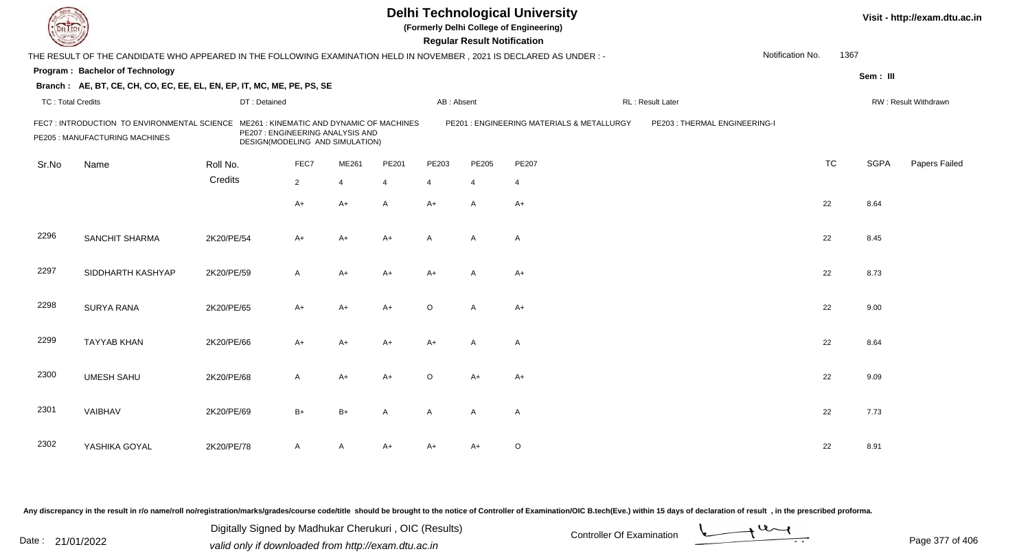|                          |                                                                                                                      |              |                                                                     |                |                                          |                         | <b>Regular Result Notification</b> | <b>Delhi Technological University</b><br>(Formerly Delhi College of Engineering) |                               |                  | Visit - http://exam.dtu.ac.in |             |                      |
|--------------------------|----------------------------------------------------------------------------------------------------------------------|--------------|---------------------------------------------------------------------|----------------|------------------------------------------|-------------------------|------------------------------------|----------------------------------------------------------------------------------|-------------------------------|------------------|-------------------------------|-------------|----------------------|
|                          | THE RESULT OF THE CANDIDATE WHO APPEARED IN THE FOLLOWING EXAMINATION HELD IN NOVEMBER, 2021 IS DECLARED AS UNDER :- |              |                                                                     |                |                                          |                         |                                    |                                                                                  |                               | Notification No. | 1367                          |             |                      |
|                          | Program: Bachelor of Technology                                                                                      |              |                                                                     |                |                                          |                         |                                    |                                                                                  |                               |                  |                               | Sem: III    |                      |
|                          | Branch: AE, BT, CE, CH, CO, EC, EE, EL, EN, EP, IT, MC, ME, PE, PS, SE                                               |              |                                                                     |                |                                          |                         |                                    |                                                                                  |                               |                  |                               |             |                      |
| <b>TC: Total Credits</b> |                                                                                                                      | DT: Detained |                                                                     |                |                                          | AB: Absent              |                                    |                                                                                  | RL: Result Later              |                  |                               |             | RW: Result Withdrawn |
|                          | FEC7: INTRODUCTION TO ENVIRONMENTAL SCIENCE<br>PE205 : MANUFACTURING MACHINES                                        |              | PE207 : ENGINEERING ANALYSIS AND<br>DESIGN(MODELING AND SIMULATION) |                | ME261: KINEMATIC AND DYNAMIC OF MACHINES |                         |                                    | PE201 : ENGINEERING MATERIALS & METALLURGY                                       | PE203 : THERMAL ENGINEERING-I |                  |                               |             |                      |
| Sr.No                    | Name                                                                                                                 | Roll No.     | FEC7                                                                | ME261          | PE201                                    | PE203                   | PE205                              | PE207                                                                            |                               |                  | <b>TC</b>                     | <b>SGPA</b> | Papers Failed        |
|                          |                                                                                                                      | Credits      | $2^{\circ}$                                                         | $\overline{4}$ | 4                                        | $\overline{\mathbf{A}}$ | $\overline{4}$                     | $\overline{4}$                                                                   |                               |                  |                               |             |                      |
|                          |                                                                                                                      |              | A+                                                                  | $A+$           | A                                        | $A+$                    | A                                  | $A+$                                                                             |                               |                  | 22                            | 8.64        |                      |
| 2296                     | <b>SANCHIT SHARMA</b>                                                                                                | 2K20/PE/54   | A+                                                                  | $A+$           | $A+$                                     | $\mathsf{A}$            | A                                  | $\overline{A}$                                                                   |                               |                  | 22                            | 8.45        |                      |
| 2297                     | SIDDHARTH KASHYAP                                                                                                    | 2K20/PE/59   | A                                                                   | $A+$           | $A+$                                     | $A+$                    | A                                  | $A+$                                                                             |                               |                  | 22                            | 8.73        |                      |
| 2298                     | <b>SURYA RANA</b>                                                                                                    | 2K20/PE/65   | $A+$                                                                | $A+$           | $A+$                                     | $\circ$                 | $\mathsf{A}$                       | $A+$                                                                             |                               |                  | 22                            | 9.00        |                      |
| 2299                     | <b>TAYYAB KHAN</b>                                                                                                   | 2K20/PE/66   | $A+$                                                                | $A+$           | $A+$                                     | $A+$                    | $\mathsf{A}$                       | $\overline{A}$                                                                   |                               |                  | 22                            | 8.64        |                      |
| 2300                     | <b>UMESH SAHU</b>                                                                                                    | 2K20/PE/68   | A                                                                   | $A+$           | $A+$                                     | $\circ$                 | $A+$                               | $A+$                                                                             |                               |                  | 22                            | 9.09        |                      |
| 2301                     | VAIBHAV                                                                                                              | 2K20/PE/69   | $B+$                                                                | $B+$           | A                                        | A                       | A                                  | $\mathsf{A}$                                                                     |                               |                  | 22                            | 7.73        |                      |
| 2302                     | YASHIKA GOYAL                                                                                                        | 2K20/PE/78   | A                                                                   | A              | A+                                       | A+                      | A+                                 | $\circ$                                                                          |                               |                  | 22                            | 8.91        |                      |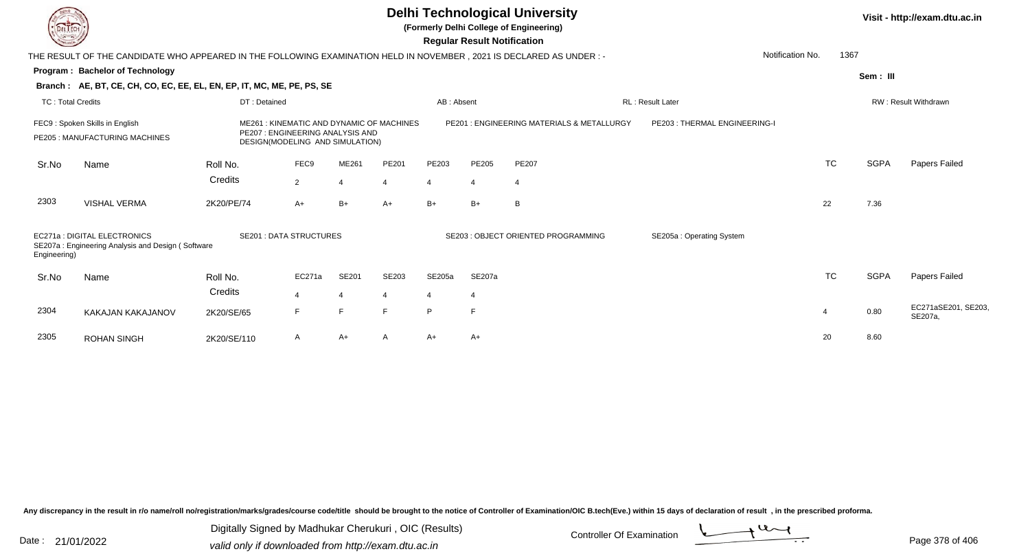**(Formerly Delhi College of Engineering)**

 **Regular Result Notification**

| <b>Controller A</b>      |                                                                                                                      |                                                                    |                                          |            |                |                                           | Regular Result Notification  |                                     |                          |                      |             |                                |
|--------------------------|----------------------------------------------------------------------------------------------------------------------|--------------------------------------------------------------------|------------------------------------------|------------|----------------|-------------------------------------------|------------------------------|-------------------------------------|--------------------------|----------------------|-------------|--------------------------------|
|                          | THE RESULT OF THE CANDIDATE WHO APPEARED IN THE FOLLOWING EXAMINATION HELD IN NOVEMBER, 2021 IS DECLARED AS UNDER :- |                                                                    |                                          |            |                |                                           |                              |                                     |                          | Notification No.     | 1367        |                                |
|                          | <b>Program: Bachelor of Technology</b>                                                                               |                                                                    |                                          |            |                |                                           |                              |                                     |                          |                      | Sem: III    |                                |
|                          | Branch: AE, BT, CE, CH, CO, EC, EE, EL, EN, EP, IT, MC, ME, PE, PS, SE                                               |                                                                    |                                          |            |                |                                           |                              |                                     |                          |                      |             |                                |
| <b>TC: Total Credits</b> |                                                                                                                      |                                                                    |                                          | AB: Absent |                |                                           | RL: Result Later             |                                     |                          | RW: Result Withdrawn |             |                                |
|                          | FEC9: Spoken Skills in English<br>PE205 : MANUFACTURING MACHINES                                                     | PE207: ENGINEERING ANALYSIS AND<br>DESIGN(MODELING AND SIMULATION) | ME261: KINEMATIC AND DYNAMIC OF MACHINES |            |                | PE201: ENGINEERING MATERIALS & METALLURGY | PE203: THERMAL ENGINEERING-I |                                     |                          |                      |             |                                |
| Sr.No                    | Name                                                                                                                 | Roll No.                                                           | FEC9                                     | ME261      | PE201          | PE203                                     | PE205                        | <b>PE207</b>                        |                          | <b>TC</b>            | <b>SGPA</b> | Papers Failed                  |
|                          |                                                                                                                      | Credits                                                            | 2                                        |            | $\overline{4}$ | $\boldsymbol{\Delta}$                     | $\overline{4}$               | 4                                   |                          |                      |             |                                |
| 2303                     | <b>VISHAL VERMA</b>                                                                                                  | 2K20/PE/74                                                         | A+                                       | $B+$       | A+             | $B+$                                      | $B+$                         | B                                   |                          | 22                   | 7.36        |                                |
| Engineering)             | EC271a: DIGITAL ELECTRONICS<br>SE207a: Engineering Analysis and Design (Software                                     |                                                                    | <b>SE201: DATA STRUCTURES</b>            |            |                |                                           |                              | SE203 : OBJECT ORIENTED PROGRAMMING | SE205a: Operating System |                      |             |                                |
| Sr.No                    | Name                                                                                                                 | Roll No.                                                           | EC271a                                   | SE201      | SE203          | SE205a                                    | SE207a                       |                                     |                          | <b>TC</b>            | <b>SGPA</b> | Papers Failed                  |
|                          |                                                                                                                      | Credits                                                            | 4                                        |            | 4              | $\overline{4}$                            | $\overline{4}$               |                                     |                          |                      |             |                                |
| 2304                     | KAKAJAN KAKAJANOV                                                                                                    | 2K20/SE/65                                                         | F.                                       | E          | F              | P                                         | E                            |                                     |                          | 4                    | 0.80        | EC271aSE201, SE203,<br>SE207a, |
| 2305                     | <b>ROHAN SINGH</b>                                                                                                   | 2K20/SE/110                                                        | A                                        | $A+$       | A              | $A+$                                      | $A+$                         |                                     |                          | 20                   | 8.60        |                                |

Any discrepancy in the result in r/o name/roll no/registration/marks/grades/course code/title should be brought to the notice of Controller of Examination/OIC B.tech(Eve.) within 15 days of declaration of result, in the pr

Date : 21/01/2022 Digital Digital of Microsofted Chemical Controller Of Examination Determination Page 378 of 40 Digitally Signed by Madhukar Cherukuri , OIC (Results)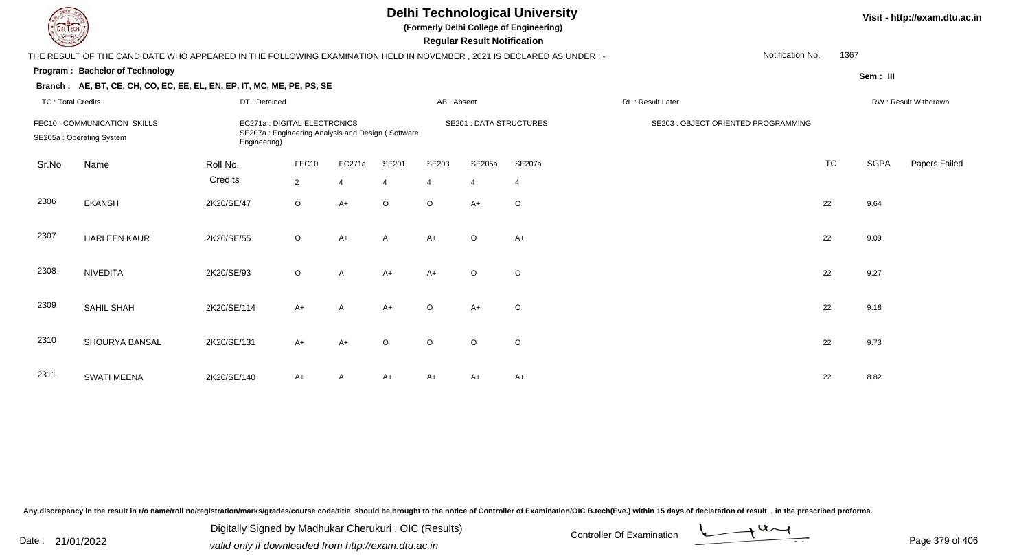**(Formerly Delhi College of Engineering)**

 **Regular Result Notification**

| <b>Course Line</b>       |                                                                                                                        |                                                                                                   |                |                |                |            | Regular Result Notification    |                |                                     |                  |           |             |                      |
|--------------------------|------------------------------------------------------------------------------------------------------------------------|---------------------------------------------------------------------------------------------------|----------------|----------------|----------------|------------|--------------------------------|----------------|-------------------------------------|------------------|-----------|-------------|----------------------|
|                          | THE RESULT OF THE CANDIDATE WHO APPEARED IN THE FOLLOWING EXAMINATION HELD IN NOVEMBER , 2021 IS DECLARED AS UNDER : - |                                                                                                   |                |                |                |            |                                |                |                                     | Notification No. | 1367      |             |                      |
|                          | Program: Bachelor of Technology                                                                                        |                                                                                                   |                |                |                |            |                                |                |                                     |                  |           | Sem : III   |                      |
|                          | Branch: AE, BT, CE, CH, CO, EC, EE, EL, EN, EP, IT, MC, ME, PE, PS, SE                                                 |                                                                                                   |                |                |                |            |                                |                |                                     |                  |           |             |                      |
| <b>TC: Total Credits</b> |                                                                                                                        | DT: Detained                                                                                      |                |                |                | AB: Absent |                                |                | RL: Result Later                    |                  |           |             | RW: Result Withdrawn |
|                          | FEC10: COMMUNICATION SKILLS<br>SE205a: Operating System                                                                | EC271a : DIGITAL ELECTRONICS<br>SE207a: Engineering Analysis and Design (Software<br>Engineering) |                |                |                |            | <b>SE201 : DATA STRUCTURES</b> |                | SE203 : OBJECT ORIENTED PROGRAMMING |                  |           |             |                      |
| Sr.No                    | Name                                                                                                                   | Roll No.                                                                                          | FEC10          | EC271a         | SE201          | SE203      | SE205a                         | SE207a         |                                     |                  | <b>TC</b> | <b>SGPA</b> | Papers Failed        |
|                          |                                                                                                                        | Credits                                                                                           | $\overline{2}$ | $\overline{4}$ | $\overline{4}$ | 4          | $\overline{4}$                 | $\overline{4}$ |                                     |                  |           |             |                      |
| 2306                     | <b>EKANSH</b>                                                                                                          | 2K20/SE/47                                                                                        | $\circ$        | $A+$           | $\circ$        | $\circ$    | $A+$                           | $\circ$        |                                     |                  | 22        | 9.64        |                      |
| 2307                     | <b>HARLEEN KAUR</b>                                                                                                    | 2K20/SE/55                                                                                        | $\circ$        | $A+$           | $\mathsf{A}$   | A+         | $\circ$                        | $A+$           |                                     |                  | 22        | 9.09        |                      |
| 2308                     | <b>NIVEDITA</b>                                                                                                        | 2K20/SE/93                                                                                        | $\circ$        | A              | $A+$           | $A+$       | $\circ$                        | O              |                                     |                  | 22        | 9.27        |                      |
| 2309                     | SAHIL SHAH                                                                                                             | 2K20/SE/114                                                                                       | $A+$           | A              | $A+$           | $\circ$    | $A+$                           | O              |                                     |                  | 22        | 9.18        |                      |
| 2310                     | SHOURYA BANSAL                                                                                                         | 2K20/SE/131                                                                                       | $A+$           | $A+$           | $\circ$        | $\circ$    | $\circ$                        | O              |                                     |                  | 22        | 9.73        |                      |
| 2311                     | <b>SWATI MEENA</b>                                                                                                     | 2K20/SE/140                                                                                       | $A+$           |                | $A+$           | A+         | A+                             | A+             |                                     |                  | 22        | 8.82        |                      |

Any discrepancy in the result in r/o name/roll no/registration/marks/grades/course code/title should be brought to the notice of Controller of Examination/OIC B.tech(Eve.) within 15 days of declaration of result, in the pr

Date : 21/01/2022 Digital Digital of Microsofted Chemical Controller Of Examination Determination Page 379 of 40 Digitally Signed by Madhukar Cherukuri , OIC (Results)

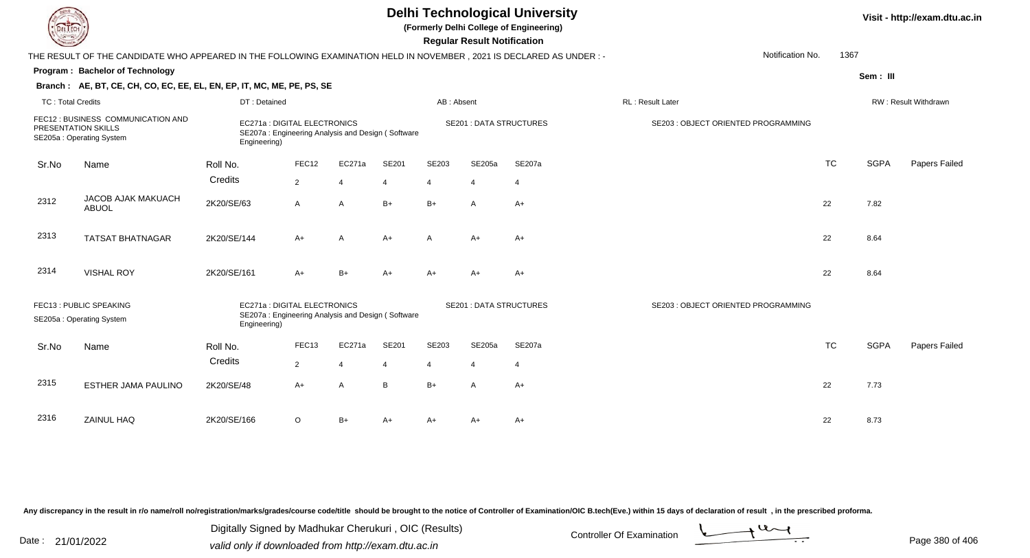| EL ECH                   |                                                                                                                      |              |                              |                                                   |       |                | <b>Regular Result Notification</b> | <b>Delhi Technological University</b><br>(Formerly Delhi College of Engineering) |                                     | Visit - http://exam.dtu.ac.in |             |                      |  |
|--------------------------|----------------------------------------------------------------------------------------------------------------------|--------------|------------------------------|---------------------------------------------------|-------|----------------|------------------------------------|----------------------------------------------------------------------------------|-------------------------------------|-------------------------------|-------------|----------------------|--|
|                          | THE RESULT OF THE CANDIDATE WHO APPEARED IN THE FOLLOWING EXAMINATION HELD IN NOVEMBER, 2021 IS DECLARED AS UNDER :- |              |                              |                                                   |       |                |                                    |                                                                                  | Notification No.                    | 1367                          |             |                      |  |
|                          | Program: Bachelor of Technology                                                                                      |              |                              |                                                   |       |                |                                    |                                                                                  |                                     |                               | Sem: III    |                      |  |
|                          | Branch: AE, BT, CE, CH, CO, EC, EE, EL, EN, EP, IT, MC, ME, PE, PS, SE                                               |              |                              |                                                   |       |                |                                    |                                                                                  |                                     |                               |             |                      |  |
| <b>TC: Total Credits</b> |                                                                                                                      | DT: Detained |                              |                                                   |       | AB: Absent     |                                    |                                                                                  | RL: Result Later                    |                               |             | RW: Result Withdrawn |  |
|                          | FEC12 : BUSINESS COMMUNICATION AND<br>PRESENTATION SKILLS<br>SE205a: Operating System                                | Engineering) | EC271a : DIGITAL ELECTRONICS | SE207a: Engineering Analysis and Design (Software |       |                |                                    | <b>SE201 : DATA STRUCTURES</b>                                                   | SE203 : OBJECT ORIENTED PROGRAMMING |                               |             |                      |  |
| Sr.No                    | Name                                                                                                                 | Roll No.     | FEC12                        | EC271a                                            | SE201 | SE203          | SE205a                             | <b>SE207a</b>                                                                    |                                     | <b>TC</b>                     | <b>SGPA</b> | Papers Failed        |  |
|                          |                                                                                                                      | Credits      | $\overline{2}$               | $\overline{4}$                                    | 4     | $\overline{4}$ | $\overline{4}$                     | $\overline{4}$                                                                   |                                     |                               |             |                      |  |
| 2312                     | JACOB AJAK MAKUACH<br>ABUOL                                                                                          | 2K20/SE/63   | A                            | $\overline{A}$                                    | $B+$  | $B+$           | $\mathsf{A}$                       | $A+$                                                                             |                                     | 22                            | 7.82        |                      |  |
| 2313                     | <b>TATSAT BHATNAGAR</b>                                                                                              | 2K20/SE/144  | $A+$                         | A                                                 | $A+$  | $\mathsf{A}$   | $A+$                               | $A+$                                                                             |                                     | 22                            | 8.64        |                      |  |
| 2314                     | <b>VISHAL ROY</b>                                                                                                    | 2K20/SE/161  | $A+$                         | $B+$                                              | $A+$  | $A+$           | $A+$                               | $A+$                                                                             |                                     | 22                            | 8.64        |                      |  |
|                          | FEC13: PUBLIC SPEAKING<br>SE205a: Operating System                                                                   | Engineering) | EC271a : DIGITAL ELECTRONICS | SE207a: Engineering Analysis and Design (Software |       |                | <b>SE201: DATA STRUCTURES</b>      |                                                                                  | SE203 : OBJECT ORIENTED PROGRAMMING |                               |             |                      |  |
| Sr.No                    | Name                                                                                                                 | Roll No.     | FEC13                        | EC271a                                            | SE201 | SE203          | SE205a                             | SE207a                                                                           |                                     | <b>TC</b>                     | <b>SGPA</b> | Papers Failed        |  |
|                          |                                                                                                                      | Credits      | $\overline{2}$               | $\overline{4}$                                    |       | 4              | $\boldsymbol{\Delta}$              | $\overline{4}$                                                                   |                                     |                               |             |                      |  |
| 2315                     | ESTHER JAMA PAULINO                                                                                                  | 2K20/SE/48   | $A+$                         | $\overline{A}$                                    | B     | $B+$           | $\overline{A}$                     | $A+$                                                                             |                                     | 22                            | 7.73        |                      |  |
| 2316                     | ZAINUL HAQ                                                                                                           | 2K20/SE/166  | $\circ$                      | $B+$                                              | $A+$  | $A+$           | A+                                 | $A+$                                                                             |                                     | 22                            | 8.73        |                      |  |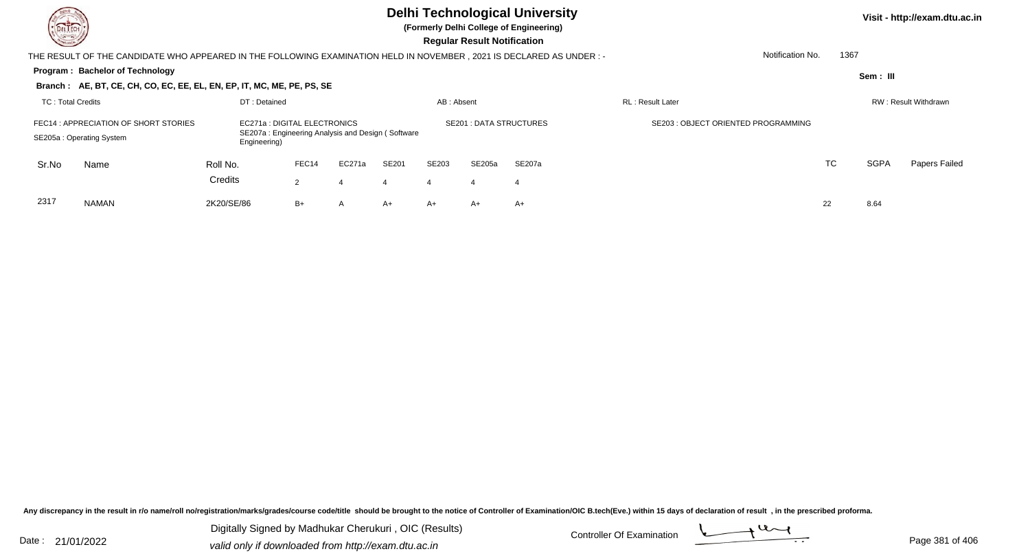**(Formerly Delhi College of Engineering)**

 **Regular Result Notification**

| <b>Chassen /</b>                                                                                                                                                       |                                                                                                                     |              |                      |                |              |            | <b>Requiar Result Notification</b> |                               |                                     |    |             |                      |
|------------------------------------------------------------------------------------------------------------------------------------------------------------------------|---------------------------------------------------------------------------------------------------------------------|--------------|----------------------|----------------|--------------|------------|------------------------------------|-------------------------------|-------------------------------------|----|-------------|----------------------|
|                                                                                                                                                                        | THE RESULT OF THE CANDIDATE WHO APPEARED IN THE FOLLOWING EXAMINATION HELD IN NOVEMBER, 2021 IS DECLARED AS UNDER:- |              |                      |                |              |            |                                    |                               | Notification No.                    |    | 1367        |                      |
|                                                                                                                                                                        | <b>Program: Bachelor of Technology</b>                                                                              |              |                      |                |              |            |                                    |                               |                                     |    | Sem : III   |                      |
|                                                                                                                                                                        | Branch: AE, BT, CE, CH, CO, EC, EE, EL, EN, EP, IT, MC, ME, PE, PS, SE                                              |              |                      |                |              |            |                                    |                               |                                     |    |             |                      |
| TC: Total Credits                                                                                                                                                      |                                                                                                                     | DT: Detained |                      |                |              | AB: Absent |                                    |                               | <b>RL</b> : Result Later            |    |             | RW: Result Withdrawn |
| FEC14 : APPRECIATION OF SHORT STORIES<br>EC271a : DIGITAL ELECTRONICS<br>SE207a: Engineering Analysis and Design (Software<br>SE205a: Operating System<br>Engineering) |                                                                                                                     |              |                      |                |              |            |                                    | <b>SE201: DATA STRUCTURES</b> | SE203 : OBJECT ORIENTED PROGRAMMING |    |             |                      |
| Sr.No                                                                                                                                                                  | Name                                                                                                                | Roll No.     | FEC14                | EC271a         | <b>SE201</b> | SE203      | SE205a                             | SE207a                        |                                     | TC | <b>SGPA</b> | Papers Failed        |
|                                                                                                                                                                        |                                                                                                                     | Credits      | $\mathbf{2}^{\circ}$ | 4              | 4            | 4          | 4                                  | 4                             |                                     |    |             |                      |
| 2317                                                                                                                                                                   | <b>NAMAN</b>                                                                                                        | 2K20/SE/86   | $B+$                 | $\overline{A}$ | $A+$         | A+         | A+                                 | A+                            |                                     | 22 | 8.64        |                      |

Any discrepancy in the result in r/o name/roll no/registration/marks/grades/course code/title should be brought to the notice of Controller of Examination/OIC B.tech(Eve.) within 15 days of declaration of result, in the pr

Date : 21/01/2022 Digital Digital of Microsofted Chemical Controller Of Examination Determination Page 381 of 40 Digitally Signed by Madhukar Cherukuri , OIC (Results)

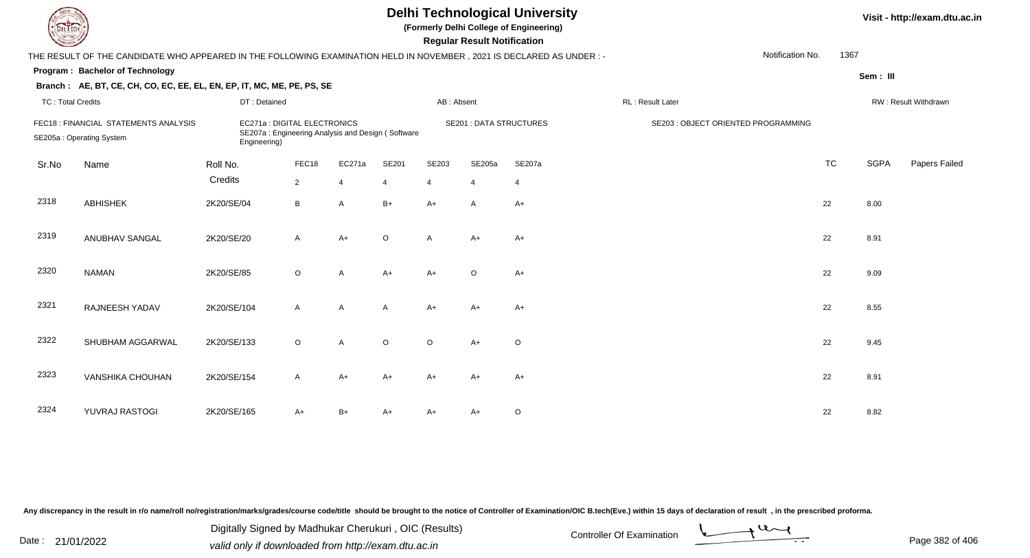| EL ECH                   |                                                                                                                      |                                              |                |                                                   |         |                | <b>Regular Result Notification</b> | <b>Delhi Technological University</b><br>(Formerly Delhi College of Engineering) |                                     | Visit - http://exam.dtu.ac.in |             |                      |  |
|--------------------------|----------------------------------------------------------------------------------------------------------------------|----------------------------------------------|----------------|---------------------------------------------------|---------|----------------|------------------------------------|----------------------------------------------------------------------------------|-------------------------------------|-------------------------------|-------------|----------------------|--|
|                          | THE RESULT OF THE CANDIDATE WHO APPEARED IN THE FOLLOWING EXAMINATION HELD IN NOVEMBER, 2021 IS DECLARED AS UNDER :- |                                              |                |                                                   |         |                |                                    |                                                                                  | Notification No.                    | 1367                          |             |                      |  |
|                          | Program: Bachelor of Technology                                                                                      |                                              |                |                                                   |         |                |                                    |                                                                                  |                                     |                               | Sem: III    |                      |  |
|                          | Branch: AE, BT, CE, CH, CO, EC, EE, EL, EN, EP, IT, MC, ME, PE, PS, SE                                               |                                              |                |                                                   |         |                |                                    |                                                                                  |                                     |                               |             |                      |  |
| <b>TC: Total Credits</b> |                                                                                                                      | DT: Detained                                 |                |                                                   |         | AB: Absent     |                                    |                                                                                  | RL: Result Later                    |                               |             | RW: Result Withdrawn |  |
|                          | FEC18 : FINANCIAL STATEMENTS ANALYSIS<br>SE205a: Operating System                                                    | EC271a : DIGITAL ELECTRONICS<br>Engineering) |                | SE207a: Engineering Analysis and Design (Software |         |                |                                    | <b>SE201 : DATA STRUCTURES</b>                                                   | SE203 : OBJECT ORIENTED PROGRAMMING |                               |             |                      |  |
| Sr.No                    | Name                                                                                                                 | Roll No.                                     | FEC18          | EC271a                                            | SE201   | SE203          | SE205a                             | SE207a                                                                           |                                     | <b>TC</b>                     | <b>SGPA</b> | Papers Failed        |  |
|                          |                                                                                                                      | Credits                                      | $\overline{2}$ | $\overline{4}$                                    | 4       | $\overline{4}$ | $\overline{4}$                     | $\overline{4}$                                                                   |                                     |                               |             |                      |  |
| 2318                     | <b>ABHISHEK</b>                                                                                                      | 2K20/SE/04                                   | B              | A                                                 | $B+$    | $A+$           | A                                  | A+                                                                               |                                     | 22                            | 8.00        |                      |  |
| 2319                     | ANUBHAV SANGAL                                                                                                       | 2K20/SE/20                                   | $\mathsf{A}$   | $A+$                                              | $\circ$ | $\mathsf{A}$   | $A+$                               | $A+$                                                                             |                                     | 22                            | 8.91        |                      |  |
| 2320                     | <b>NAMAN</b>                                                                                                         | 2K20/SE/85                                   | $\circ$        | A                                                 | $A+$    | $A+$           | $\circ$                            | $A+$                                                                             |                                     | 22                            | 9.09        |                      |  |
| 2321                     | RAJNEESH YADAV                                                                                                       | 2K20/SE/104                                  | $\mathsf{A}$   | A                                                 | A       | $A+$           | A+                                 | $A+$                                                                             |                                     | 22                            | 8.55        |                      |  |
| 2322                     | SHUBHAM AGGARWAL                                                                                                     | 2K20/SE/133                                  | $\circ$        | A                                                 | $\circ$ | $\circ$        | $A+$                               | $\circ$                                                                          |                                     | 22                            | 9.45        |                      |  |
| 2323                     | <b>VANSHIKA CHOUHAN</b>                                                                                              | 2K20/SE/154                                  | A              | $A+$                                              | $A+$    | $A+$           | $A+$                               | $A+$                                                                             |                                     | 22                            | 8.91        |                      |  |
| 2324                     | YUVRAJ RASTOGI                                                                                                       | 2K20/SE/165                                  | A+             | $B+$                                              | A+      | A+             | A+                                 | O                                                                                |                                     | 22                            | 8.82        |                      |  |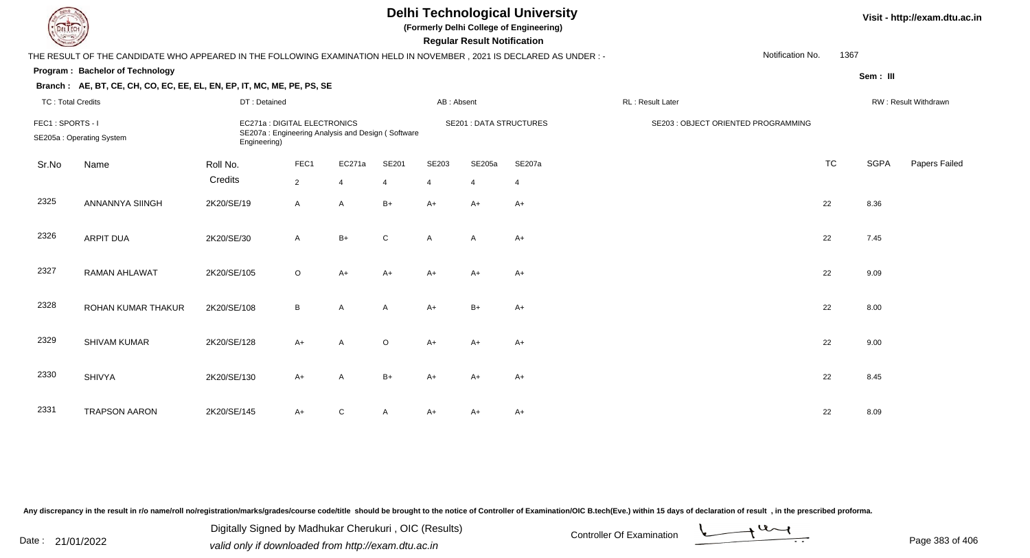| <b>DELTECH</b>           |                                                                                                                      |                                                                                                   |                |                |                |                | <b>Regular Result Notification</b> | <b>Delhi Technological University</b><br>(Formerly Delhi College of Engineering) |                                     | Visit - http://exam.d |             |                             |
|--------------------------|----------------------------------------------------------------------------------------------------------------------|---------------------------------------------------------------------------------------------------|----------------|----------------|----------------|----------------|------------------------------------|----------------------------------------------------------------------------------|-------------------------------------|-----------------------|-------------|-----------------------------|
|                          | THE RESULT OF THE CANDIDATE WHO APPEARED IN THE FOLLOWING EXAMINATION HELD IN NOVEMBER, 2021 IS DECLARED AS UNDER: - |                                                                                                   |                |                |                |                |                                    |                                                                                  | Notification No.                    | 1367                  |             |                             |
|                          | Program: Bachelor of Technology                                                                                      |                                                                                                   |                |                |                |                |                                    |                                                                                  |                                     |                       | Sem: III    |                             |
|                          | Branch: AE, BT, CE, CH, CO, EC, EE, EL, EN, EP, IT, MC, ME, PE, PS, SE                                               |                                                                                                   |                |                |                |                |                                    |                                                                                  |                                     |                       |             |                             |
| <b>TC: Total Credits</b> |                                                                                                                      | DT: Detained                                                                                      |                |                |                | AB: Absent     |                                    |                                                                                  | RL: Result Later                    |                       |             | <b>RW: Result Withdrawr</b> |
| FEC1: SPORTS - I         | SE205a: Operating System                                                                                             | EC271a : DIGITAL ELECTRONICS<br>SE207a: Engineering Analysis and Design (Software<br>Engineering) |                |                |                |                | <b>SE201: DATA STRUCTURES</b>      |                                                                                  | SE203 : OBJECT ORIENTED PROGRAMMING |                       |             |                             |
| Sr.No                    | Name                                                                                                                 | Roll No.                                                                                          | FEC1           | EC271a         | SE201          | SE203          | SE205a                             | SE207a                                                                           |                                     | <b>TC</b>             | <b>SGPA</b> | Papers Fa                   |
|                          |                                                                                                                      | Credits                                                                                           | $\overline{2}$ | $\overline{4}$ | $\overline{4}$ | $\overline{4}$ | 4                                  | $\overline{4}$                                                                   |                                     |                       |             |                             |
| 2325                     | <b>ANNANNYA SIINGH</b>                                                                                               | 2K20/SE/19                                                                                        | $\mathsf{A}$   | $\overline{A}$ | $B+$           | $A+$           | $A+$                               | $A+$                                                                             |                                     | 22                    | 8.36        |                             |
| 2326                     | ARPIT DUA                                                                                                            | 2K20/SE/30                                                                                        | $\mathsf{A}$   | $B+$           | $\mathsf{C}$   | $\mathsf{A}$   | $\mathsf{A}$                       | $A+$                                                                             |                                     | 22                    | 7.45        |                             |
| 2327                     | <b>RAMAN AHLAWAT</b>                                                                                                 | 2K20/SE/105                                                                                       | $\circ$        | $A+$           | A+             | A+             | A+                                 | $A+$                                                                             |                                     | 22                    | 9.09        |                             |
| $\sim$                   |                                                                                                                      |                                                                                                   |                |                |                |                |                                    |                                                                                  |                                     |                       |             |                             |

| 2328 | ROHAN KUMAR THAKUR   | 2K20/SE/108 | B    | A            | $\mathsf{A}$ | $A+$ | $B+$ | $A+$ | 22 | 8.00 |
|------|----------------------|-------------|------|--------------|--------------|------|------|------|----|------|
| 2329 | SHIVAM KUMAR         | 2K20/SE/128 | A+   | A            | $\circ$      | $A+$ | $A+$ | $A+$ | 22 | 9.00 |
| 2330 | <b>SHIVYA</b>        | 2K20/SE/130 | $A+$ | A            | $B+$         | $A+$ | $A+$ | $A+$ | 22 | 8.45 |
| 2331 | <b>TRAPSON AARON</b> | 2K20/SE/145 | A+   | $\mathsf{C}$ | A            | $A+$ | $A+$ | A+   | 22 | 8.09 |

Digitally Signed by Madhukar Cherukuri, OIC (Results)<br>Date : 21/01/2022 volid only if douglooded from http://ovem dtu.co.in Digitally Signed by Madhukar Cherukuri , OIC (Results)valid only if downloaded from http://exam.dtu.ac.in

**Visit - http://exam.dtu.ac.in**

TC SGPA Papers Failed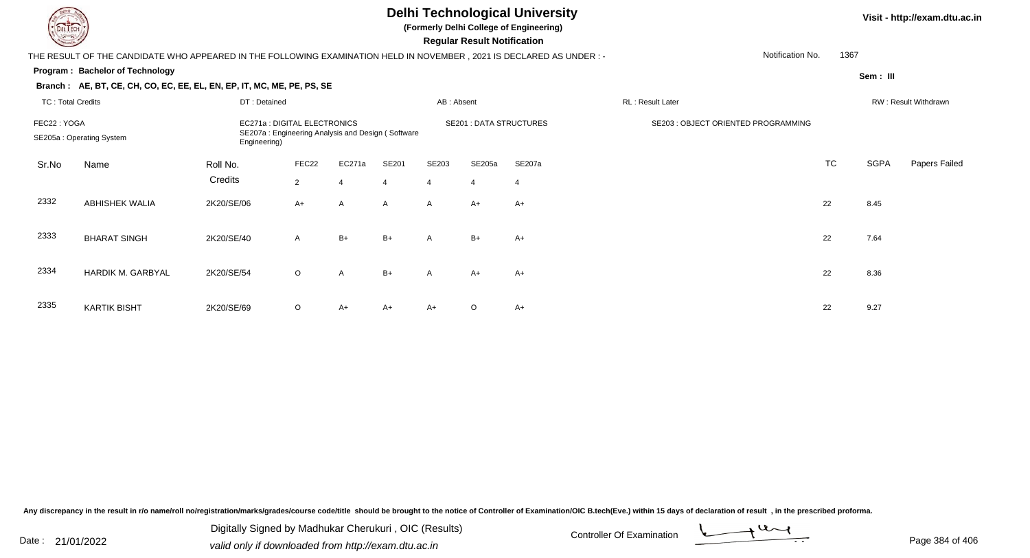**(Formerly Delhi College of Engineering)**

 **Regular Result Notification**

| $\sim$                   |                                                                                                                       |                              |                |                |                |                | neguiai nesuit notiiloation    |                |                                     |                  |      |             |                      |
|--------------------------|-----------------------------------------------------------------------------------------------------------------------|------------------------------|----------------|----------------|----------------|----------------|--------------------------------|----------------|-------------------------------------|------------------|------|-------------|----------------------|
|                          | THE RESULT OF THE CANDIDATE WHO APPEARED IN THE FOLLOWING EXAMINATION HELD IN NOVEMBER , 2021 IS DECLARED AS UNDER :- |                              |                |                |                |                |                                |                |                                     | Notification No. | 1367 |             |                      |
|                          | Program: Bachelor of Technology                                                                                       |                              |                |                |                |                |                                |                |                                     |                  |      | Sem: III    |                      |
|                          | Branch: AE, BT, CE, CH, CO, EC, EE, EL, EN, EP, IT, MC, ME, PE, PS, SE                                                |                              |                |                |                |                |                                |                |                                     |                  |      |             |                      |
| <b>TC: Total Credits</b> |                                                                                                                       | DT: Detained                 |                |                |                | AB: Absent     |                                |                | RL: Result Later                    |                  |      |             | RW: Result Withdrawn |
| FEC22: YOGA              |                                                                                                                       | EC271a : DIGITAL ELECTRONICS |                |                |                |                | <b>SE201 : DATA STRUCTURES</b> |                | SE203 : OBJECT ORIENTED PROGRAMMING |                  |      |             |                      |
|                          | SE207a: Engineering Analysis and Design (Software<br>SE205a: Operating System<br>Engineering)                         |                              |                |                |                |                |                                |                |                                     |                  |      |             |                      |
| Sr.No                    | Name                                                                                                                  | Roll No.                     | FEC22          | EC271a         | SE201          | SE203          | SE205a                         | SE207a         |                                     |                  | TC   | <b>SGPA</b> | Papers Failed        |
|                          |                                                                                                                       | Credits                      | $\overline{2}$ | $\overline{4}$ | $\overline{4}$ | $\overline{4}$ | $\overline{4}$                 | $\overline{4}$ |                                     |                  |      |             |                      |
| 2332                     | <b>ABHISHEK WALIA</b>                                                                                                 | 2K20/SE/06                   | $A+$           | A              | $\mathsf{A}$   | A              | $A+$                           | $A+$           |                                     | 22               |      | 8.45        |                      |
|                          |                                                                                                                       |                              |                |                |                |                |                                |                |                                     |                  |      |             |                      |
| 2333                     | <b>BHARAT SINGH</b>                                                                                                   | 2K20/SE/40                   | A              | $B+$           | $B+$           | $\mathsf{A}$   | $B+$                           | $A+$           |                                     | 22               |      | 7.64        |                      |
|                          |                                                                                                                       |                              |                |                |                |                |                                |                |                                     |                  |      |             |                      |
| 2334                     | HARDIK M. GARBYAL                                                                                                     | 2K20/SE/54                   | $\circ$        | A              | $B+$           | A              | A+                             | A+             |                                     | 22               |      | 8.36        |                      |
|                          |                                                                                                                       |                              |                |                |                |                |                                |                |                                     |                  |      |             |                      |
| 2335                     | <b>KARTIK BISHT</b>                                                                                                   | 2K20/SE/69                   | O              | A+             | A+             | A+             | $\circ$                        | A+             |                                     | 22               |      | 9.27        |                      |

Any discrepancy in the result in r/o name/roll no/registration/marks/grades/course code/title should be brought to the notice of Controller of Examination/OIC B.tech(Eve.) within 15 days of declaration of result, in the pr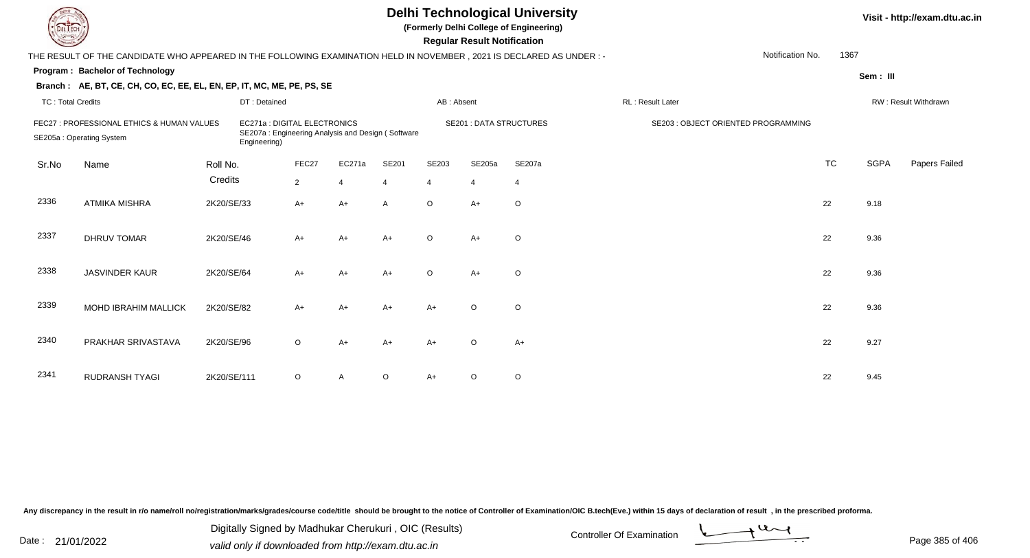| EL ECH                   |                                                                                                                      |             |                                              |                |                                                   |                |                | <b>Regular Result Notification</b> | <b>Delhi Technological University</b><br>(Formerly Delhi College of Engineering) |                  |                                     |                  |           |             | Visit - http://exam.dtu.ac.in |
|--------------------------|----------------------------------------------------------------------------------------------------------------------|-------------|----------------------------------------------|----------------|---------------------------------------------------|----------------|----------------|------------------------------------|----------------------------------------------------------------------------------|------------------|-------------------------------------|------------------|-----------|-------------|-------------------------------|
|                          | THE RESULT OF THE CANDIDATE WHO APPEARED IN THE FOLLOWING EXAMINATION HELD IN NOVEMBER, 2021 IS DECLARED AS UNDER :- |             |                                              |                |                                                   |                |                |                                    |                                                                                  |                  |                                     | Notification No. | 1367      |             |                               |
|                          | Program: Bachelor of Technology                                                                                      |             |                                              |                |                                                   |                |                |                                    |                                                                                  |                  |                                     |                  |           | Sem: III    |                               |
|                          | Branch: AE, BT, CE, CH, CO, EC, EE, EL, EN, EP, IT, MC, ME, PE, PS, SE                                               |             |                                              |                |                                                   |                |                |                                    |                                                                                  |                  |                                     |                  |           |             |                               |
| <b>TC: Total Credits</b> |                                                                                                                      |             | DT: Detained                                 |                |                                                   |                | AB: Absent     |                                    |                                                                                  | RL: Result Later |                                     |                  |           |             | RW: Result Withdrawn          |
|                          | FEC27 : PROFESSIONAL ETHICS & HUMAN VALUES<br>SE205a: Operating System<br>Name                                       |             | EC271a : DIGITAL ELECTRONICS<br>Engineering) |                | SE207a: Engineering Analysis and Design (Software |                |                | <b>SE201 : DATA STRUCTURES</b>     |                                                                                  |                  | SE203 : OBJECT ORIENTED PROGRAMMING |                  |           |             |                               |
| Sr.No                    |                                                                                                                      | Roll No.    |                                              | FEC27          | EC271a                                            | SE201          | SE203          | SE205a                             | SE207a                                                                           |                  |                                     |                  | <b>TC</b> | <b>SGPA</b> | Papers Failed                 |
|                          |                                                                                                                      | Credits     |                                              | $\overline{2}$ | $\overline{4}$                                    | $\overline{4}$ | $\overline{4}$ | $\overline{4}$                     | $\overline{4}$                                                                   |                  |                                     |                  |           |             |                               |
| 2336                     | <b>ATMIKA MISHRA</b>                                                                                                 | 2K20/SE/33  |                                              | A+             | $A+$                                              | A              | $\circ$        | A+                                 | $\circ$                                                                          |                  |                                     |                  | 22        | 9.18        |                               |
| 2337                     | <b>DHRUV TOMAR</b>                                                                                                   | 2K20/SE/46  |                                              | $A+$           | $A+$                                              | $A+$           | $\circ$        | $A+$                               | $\circ$                                                                          |                  |                                     |                  | 22        | 9.36        |                               |
| 2338                     | <b>JASVINDER KAUR</b>                                                                                                | 2K20/SE/64  |                                              | $A+$           | $A+$                                              | $A+$           | $\circ$        | $A+$                               | $\circ$                                                                          |                  |                                     |                  | 22        | 9.36        |                               |
| 2339                     | <b>MOHD IBRAHIM MALLICK</b>                                                                                          | 2K20/SE/82  |                                              | A+             | $A+$                                              | $A+$           | $A+$           | $\Omega$                           | $\circ$                                                                          |                  |                                     |                  | 22        | 9.36        |                               |
| 2340                     | PRAKHAR SRIVASTAVA                                                                                                   | 2K20/SE/96  |                                              | $\circ$        | $A+$                                              | $A+$           | $A+$           | $\circ$                            | $A+$                                                                             |                  |                                     |                  | 22        | 9.27        |                               |
| 2341                     | <b>RUDRANSH TYAGI</b>                                                                                                | 2K20/SE/111 |                                              | $\circ$        | $\overline{A}$                                    | $\circ$        | $A+$           | O                                  | $\circ$                                                                          |                  |                                     |                  | 22        | 9.45        |                               |

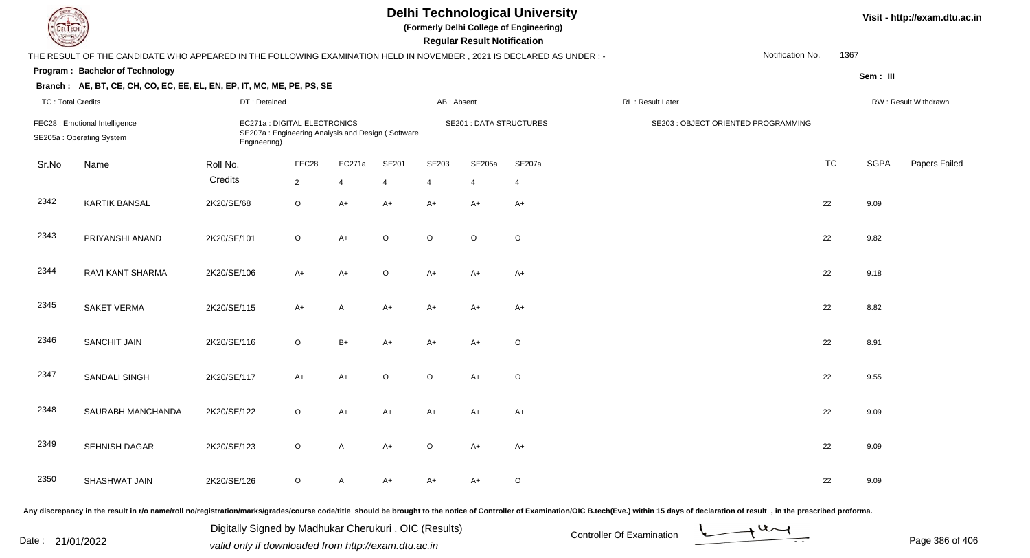|                          |                                                                                                                      |              |                                                                                   |                |         |            | <b>Regular Result Notification</b> | <b>Delhi Technological University</b><br>(Formerly Delhi College of Engineering) |                                     |                  |           |          | Visit - http://exam.dtu.ac.in |
|--------------------------|----------------------------------------------------------------------------------------------------------------------|--------------|-----------------------------------------------------------------------------------|----------------|---------|------------|------------------------------------|----------------------------------------------------------------------------------|-------------------------------------|------------------|-----------|----------|-------------------------------|
|                          | THE RESULT OF THE CANDIDATE WHO APPEARED IN THE FOLLOWING EXAMINATION HELD IN NOVEMBER, 2021 IS DECLARED AS UNDER :- |              |                                                                                   |                |         |            |                                    |                                                                                  |                                     | Notification No. | 1367      |          |                               |
|                          | Program: Bachelor of Technology                                                                                      |              |                                                                                   |                |         |            |                                    |                                                                                  |                                     |                  |           | Sem: III |                               |
|                          | Branch: AE, BT, CE, CH, CO, EC, EE, EL, EN, EP, IT, MC, ME, PE, PS, SE                                               |              |                                                                                   |                |         |            |                                    |                                                                                  |                                     |                  |           |          |                               |
| <b>TC: Total Credits</b> |                                                                                                                      | DT: Detained |                                                                                   |                |         | AB: Absent |                                    |                                                                                  | RL: Result Later                    |                  |           |          | RW: Result Withdrawn          |
|                          | FEC28 : Emotional Intelligence<br>SE205a: Operating System                                                           | Engineering) | EC271a : DIGITAL ELECTRONICS<br>SE207a: Engineering Analysis and Design (Software |                |         |            | <b>SE201 : DATA STRUCTURES</b>     |                                                                                  | SE203 : OBJECT ORIENTED PROGRAMMING |                  |           |          |                               |
| Sr.No                    | Name                                                                                                                 | Roll No.     | FEC28                                                                             | EC271a         | SE201   | SE203      | SE205a                             | SE207a                                                                           |                                     |                  | <b>TC</b> | SGPA     | Papers Failed                 |
|                          |                                                                                                                      | Credits      | $2^{\circ}$                                                                       | $\overline{4}$ |         | 4          | $\overline{4}$                     | $\overline{4}$                                                                   |                                     |                  |           |          |                               |
| 2342                     | <b>KARTIK BANSAL</b>                                                                                                 | 2K20/SE/68   | $\circ$                                                                           | $A+$           | $A+$    | $A+$       | $A+$                               | $A+$                                                                             |                                     |                  | 22        | 9.09     |                               |
| 2343                     | PRIYANSHI ANAND                                                                                                      | 2K20/SE/101  | $\circ$                                                                           | $A+$           | $\circ$ | $\Omega$   | $\circ$                            | $\mathsf O$                                                                      |                                     |                  | 22        | 9.82     |                               |
| 2344                     | RAVI KANT SHARMA                                                                                                     | 2K20/SE/106  | A+                                                                                | $A+$           | $\circ$ | $A+$       | A+                                 | $A+$                                                                             |                                     |                  | 22        | 9.18     |                               |
| 2345                     | <b>SAKET VERMA</b>                                                                                                   | 2K20/SE/115  | $A+$                                                                              | A              | $A+$    | $A+$       | A+                                 | A+                                                                               |                                     |                  | 22        | 8.82     |                               |
| 2346                     | <b>SANCHIT JAIN</b>                                                                                                  | 2K20/SE/116  | $\circ$                                                                           | $B+$           | A+      | $A+$       | A+                                 | O                                                                                |                                     |                  | 22        | 8.91     |                               |
| 2347                     | SANDALI SINGH                                                                                                        | 2K20/SE/117  | A+                                                                                | $A+$           | O       | $\circ$    | $A+$                               | $\mathsf O$                                                                      |                                     |                  | 22        | 9.55     |                               |
| 2348                     | SAURABH MANCHANDA                                                                                                    | 2K20/SE/122  | $\circ$                                                                           | A+             | A+      | A+         | A+                                 | $A+$                                                                             |                                     |                  | 22        | 9.09     |                               |
| 2349                     | SEHNISH DAGAR                                                                                                        | 2K20/SE/123  | $\circ$                                                                           | A              | A+      | $\circ$    | A+                                 | A+                                                                               |                                     |                  | 22        | 9.09     |                               |
| 2350                     | SHASHWAT JAIN                                                                                                        | 2K20/SE/126  | $\circ$                                                                           | A              | A+      | A+         | A+                                 | $\circ$                                                                          |                                     |                  | 22        | 9.09     |                               |
|                          |                                                                                                                      |              |                                                                                   |                |         |            |                                    |                                                                                  |                                     |                  |           |          |                               |

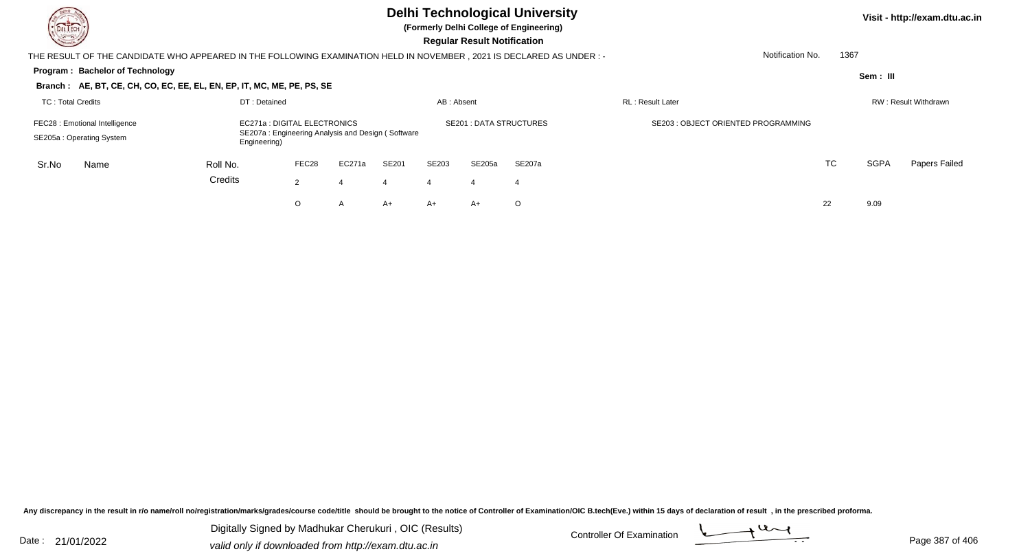| DEL TECH<br>$\sim$                                                                                                                                                              |          |                |            |       |                | <b>Regular Result Notification</b> | <b>Delhi Technological University</b><br>(Formerly Delhi College of Engineering) |                                     |                      |             | Visit - http://exam.dtu.ac.in |
|---------------------------------------------------------------------------------------------------------------------------------------------------------------------------------|----------|----------------|------------|-------|----------------|------------------------------------|----------------------------------------------------------------------------------|-------------------------------------|----------------------|-------------|-------------------------------|
| THE RESULT OF THE CANDIDATE WHO APPEARED IN THE FOLLOWING EXAMINATION HELD IN NOVEMBER, 2021 IS DECLARED AS UNDER :-                                                            |          |                |            |       |                |                                    |                                                                                  | Notification No.                    | 1367                 |             |                               |
| <b>Program: Bachelor of Technology</b>                                                                                                                                          |          |                |            |       |                |                                    |                                                                                  |                                     |                      | Sem: III    |                               |
| Branch: AE, BT, CE, CH, CO, EC, EE, EL, EN, EP, IT, MC, ME, PE, PS, SE                                                                                                          |          |                |            |       |                |                                    |                                                                                  |                                     |                      |             |                               |
| <b>TC: Total Credits</b>                                                                                                                                                        |          |                | AB: Absent |       |                | <b>RL: Result Later</b>            |                                                                                  |                                     | RW: Result Withdrawn |             |                               |
| DT: Detained<br>EC271a : DIGITAL ELECTRONICS<br>FEC28 : Emotional Intelligence<br>SE207a: Engineering Analysis and Design (Software<br>SE205a: Operating System<br>Engineering) |          |                |            |       |                |                                    | <b>SE201: DATA STRUCTURES</b>                                                    | SE203 : OBJECT ORIENTED PROGRAMMING |                      |             |                               |
| Sr.No<br>Name                                                                                                                                                                   | Roll No. | FEC28          | EC271a     | SE201 | SE203          | SE205a                             | SE207a                                                                           |                                     | TC                   | <b>SGPA</b> | Papers Failed                 |
|                                                                                                                                                                                 | Credits  | $\overline{2}$ |            | 4     | $\overline{4}$ | -4                                 | -4                                                                               |                                     |                      |             |                               |
|                                                                                                                                                                                 |          | O              | A          | A+    | $A+$           | A+                                 | $\circ$                                                                          |                                     | 22                   | 9.09        |                               |

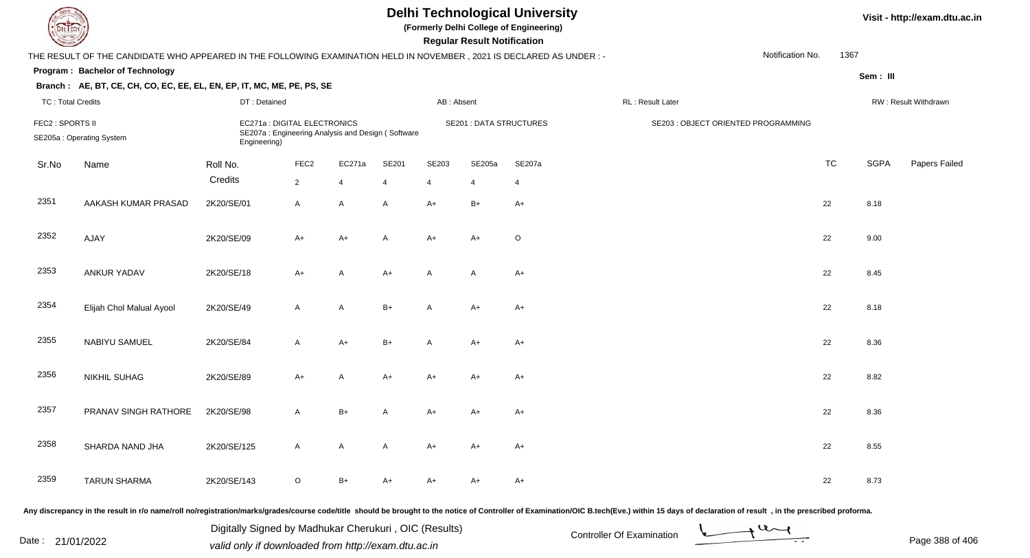|                          |                                                                                                                      |                                                                                                   |                  |                |       |              | <b>Regular Result Notification</b> | <b>Delhi Technological University</b><br>(Formerly Delhi College of Engineering) |                                     |                  |           |             | Visit - http://exam.dtu.ac.in |
|--------------------------|----------------------------------------------------------------------------------------------------------------------|---------------------------------------------------------------------------------------------------|------------------|----------------|-------|--------------|------------------------------------|----------------------------------------------------------------------------------|-------------------------------------|------------------|-----------|-------------|-------------------------------|
|                          | THE RESULT OF THE CANDIDATE WHO APPEARED IN THE FOLLOWING EXAMINATION HELD IN NOVEMBER, 2021 IS DECLARED AS UNDER :- |                                                                                                   |                  |                |       |              |                                    |                                                                                  |                                     | Notification No. | 1367      |             |                               |
|                          | Program: Bachelor of Technology                                                                                      |                                                                                                   |                  |                |       |              |                                    |                                                                                  |                                     |                  |           | Sem: III    |                               |
|                          | Branch: AE, BT, CE, CH, CO, EC, EE, EL, EN, EP, IT, MC, ME, PE, PS, SE                                               |                                                                                                   |                  |                |       |              |                                    |                                                                                  |                                     |                  |           |             |                               |
| <b>TC: Total Credits</b> |                                                                                                                      | DT: Detained                                                                                      |                  |                |       | AB: Absent   |                                    |                                                                                  | RL : Result Later                   |                  |           |             | RW: Result Withdrawn          |
| FEC2 : SPORTS II         | SE205a: Operating System                                                                                             | EC271a : DIGITAL ELECTRONICS<br>SE207a: Engineering Analysis and Design (Software<br>Engineering) |                  |                |       |              | <b>SE201 : DATA STRUCTURES</b>     |                                                                                  | SE203 : OBJECT ORIENTED PROGRAMMING |                  |           |             |                               |
| Sr.No                    | Name                                                                                                                 | Roll No.                                                                                          | FEC <sub>2</sub> | EC271a         | SE201 | SE203        | SE205a                             | SE207a                                                                           |                                     |                  | <b>TC</b> | <b>SGPA</b> | Papers Failed                 |
|                          |                                                                                                                      | Credits                                                                                           | $\overline{2}$   | $\overline{4}$ |       | 4            | 4                                  | $\overline{4}$                                                                   |                                     |                  |           |             |                               |
| 2351                     | AAKASH KUMAR PRASAD                                                                                                  | 2K20/SE/01                                                                                        | A                | A              | A     | $A+$         | $B+$                               | $A+$                                                                             |                                     |                  | 22        | 8.18        |                               |
| 2352                     | AJAY                                                                                                                 | 2K20/SE/09                                                                                        | A+               | $A+$           | A     | $A+$         | A+                                 | $\circ$                                                                          |                                     |                  | 22        | 9.00        |                               |
| 2353                     | ANKUR YADAV                                                                                                          | 2K20/SE/18                                                                                        | A+               | A              | $A+$  | A            | A                                  | A+                                                                               |                                     |                  | 22        | 8.45        |                               |
| 2354                     | Elijah Chol Malual Ayool                                                                                             | 2K20/SE/49                                                                                        | $\mathsf{A}$     | A              | $B+$  | $\mathsf{A}$ | A+                                 | A+                                                                               |                                     |                  | 22        | 8.18        |                               |
| 2355                     | NABIYU SAMUEL                                                                                                        | 2K20/SE/84                                                                                        | A                | $A+$           | $B+$  | A            | A+                                 | $A+$                                                                             |                                     |                  | 22        | 8.36        |                               |
| 2356                     | <b>NIKHIL SUHAG</b>                                                                                                  | 2K20/SE/89                                                                                        | $A+$             | A              | A+    | $A+$         | A+                                 | $A+$                                                                             |                                     |                  | 22        | 8.82        |                               |
| 2357                     | PRANAV SINGH RATHORE                                                                                                 | 2K20/SE/98                                                                                        | A                | $B+$           |       | A+           | A+                                 | A+                                                                               |                                     |                  | 22        | 8.36        |                               |
| 2358                     | SHARDA NAND JHA                                                                                                      | 2K20/SE/125                                                                                       | A                | A              | A     | A+           | A+                                 | A+                                                                               |                                     |                  | 22        | 8.55        |                               |
| 2359                     | <b>TARUN SHARMA</b>                                                                                                  | 2K20/SE/143                                                                                       | $\circ$          | B+             | A+    | A+           | A+                                 | $A+$                                                                             |                                     |                  | 22        | 8.73        |                               |
|                          |                                                                                                                      |                                                                                                   |                  |                |       |              |                                    |                                                                                  |                                     |                  |           |             |                               |

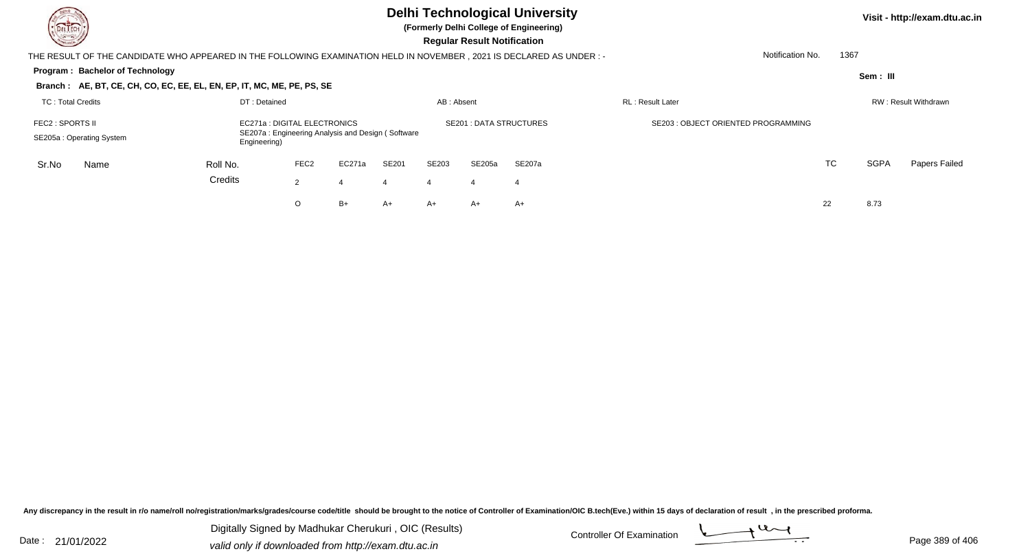| DEL TECH<br><u>in Si</u>                                                                                                                          |              |                  |        |       |                | <b>Regular Result Notification</b> | <b>Delhi Technological University</b><br>(Formerly Delhi College of Engineering) |                                    |           |             | Visit - http://exam.dtu.ac.in |
|---------------------------------------------------------------------------------------------------------------------------------------------------|--------------|------------------|--------|-------|----------------|------------------------------------|----------------------------------------------------------------------------------|------------------------------------|-----------|-------------|-------------------------------|
| THE RESULT OF THE CANDIDATE WHO APPEARED IN THE FOLLOWING EXAMINATION HELD IN NOVEMBER , 2021 IS DECLARED AS UNDER : -                            |              |                  |        |       |                |                                    |                                                                                  | Notification No.                   | 1367      |             |                               |
| Program: Bachelor of Technology<br>Branch: AE, BT, CE, CH, CO, EC, EE, EL, EN, EP, IT, MC, ME, PE, PS, SE                                         |              |                  |        |       |                |                                    |                                                                                  |                                    |           | Sem: III    |                               |
| TC: Total Credits                                                                                                                                 | DT: Detained |                  |        |       | AB: Absent     |                                    |                                                                                  | <b>RL</b> : Result Later           |           |             | RW: Result Withdrawn          |
| EC271a : DIGITAL ELECTRONICS<br>FEC2 : SPORTS II<br>SE207a: Engineering Analysis and Design (Software<br>SE205a: Operating System<br>Engineering) |              |                  |        |       |                | <b>SE201: DATA STRUCTURES</b>      |                                                                                  | SE203: OBJECT ORIENTED PROGRAMMING |           |             |                               |
| Sr.No<br>Name                                                                                                                                     | Roll No.     | FEC <sub>2</sub> | EC271a | SE201 | SE203          | SE205a                             | SE207a                                                                           |                                    | <b>TC</b> | <b>SGPA</b> | Papers Failed                 |
|                                                                                                                                                   | Credits      | $\overline{2}$   |        | 4     | $\overline{4}$ | -4                                 | -4                                                                               |                                    |           |             |                               |
|                                                                                                                                                   |              | O                | $B+$   | A+    | $A+$           | A+                                 | $A+$                                                                             |                                    | 22        | 8.73        |                               |

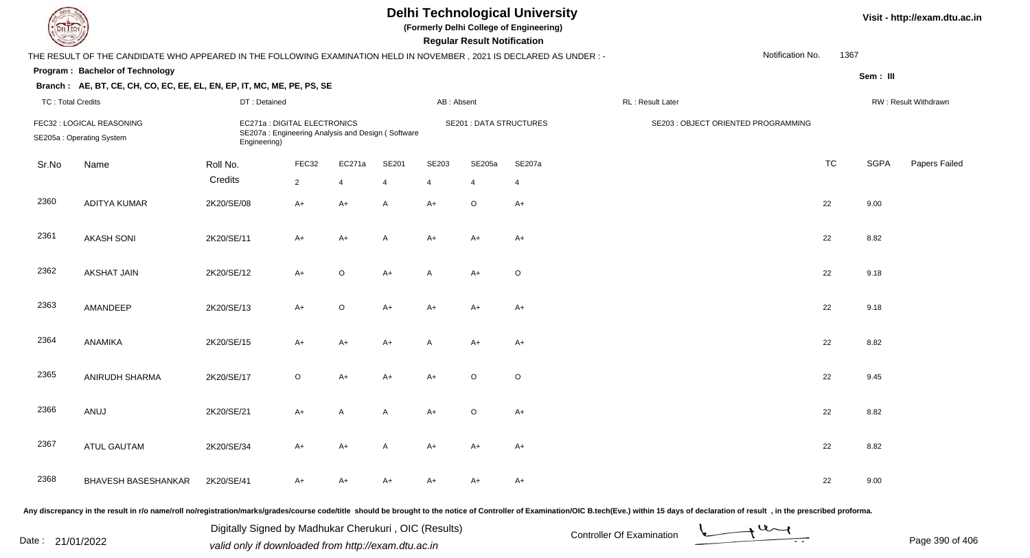| DEL TECH                 |                                                                                                                      |                                              |                |                                                   |       |                       | <b>Regular Result Notification</b> | <b>Delhi Technological University</b><br>(Formerly Delhi College of Engineering) |                                     |                  |           |          | Visit - http://exam.dtu.ac.in |
|--------------------------|----------------------------------------------------------------------------------------------------------------------|----------------------------------------------|----------------|---------------------------------------------------|-------|-----------------------|------------------------------------|----------------------------------------------------------------------------------|-------------------------------------|------------------|-----------|----------|-------------------------------|
|                          | THE RESULT OF THE CANDIDATE WHO APPEARED IN THE FOLLOWING EXAMINATION HELD IN NOVEMBER, 2021 IS DECLARED AS UNDER :- |                                              |                |                                                   |       |                       |                                    |                                                                                  |                                     | Notification No. | 1367      |          |                               |
|                          | Program: Bachelor of Technology                                                                                      |                                              |                |                                                   |       |                       |                                    |                                                                                  |                                     |                  |           | Sem: III |                               |
|                          | Branch: AE, BT, CE, CH, CO, EC, EE, EL, EN, EP, IT, MC, ME, PE, PS, SE                                               |                                              |                |                                                   |       |                       |                                    |                                                                                  |                                     |                  |           |          |                               |
| <b>TC: Total Credits</b> |                                                                                                                      | DT: Detained                                 |                |                                                   |       | AB: Absent            |                                    |                                                                                  | RL: Result Later                    |                  |           |          | RW: Result Withdrawn          |
|                          | FEC32 : LOGICAL REASONING<br>SE205a: Operating System                                                                | EC271a : DIGITAL ELECTRONICS<br>Engineering) |                | SE207a: Engineering Analysis and Design (Software |       |                       | <b>SE201 : DATA STRUCTURES</b>     |                                                                                  | SE203 : OBJECT ORIENTED PROGRAMMING |                  |           |          |                               |
| Sr.No                    | Name                                                                                                                 | Roll No.                                     | FEC32          | EC271a                                            | SE201 | SE203                 | SE205a                             | SE207a                                                                           |                                     |                  | <b>TC</b> | SGPA     | Papers Failed                 |
|                          |                                                                                                                      | Credits                                      | $\overline{2}$ | $\overline{4}$                                    |       | $\boldsymbol{\Delta}$ | $\overline{4}$                     | $\overline{4}$                                                                   |                                     |                  |           |          |                               |
| 2360                     | <b>ADITYA KUMAR</b>                                                                                                  | 2K20/SE/08                                   | $A+$           | $A+$                                              | A     | $A+$                  | $\circ$                            | $A+$                                                                             |                                     |                  | 22        | 9.00     |                               |
| 2361                     | <b>AKASH SONI</b>                                                                                                    | 2K20/SE/11                                   | A+             | $A+$                                              | A     | $A+$                  | $A+$                               | $A+$                                                                             |                                     |                  | 22        | 8.82     |                               |
| 2362                     | <b>AKSHAT JAIN</b>                                                                                                   | 2K20/SE/12                                   | $A+$           | $\mathsf O$                                       | $A+$  | $\mathsf{A}$          | $A+$                               | $\mathsf O$                                                                      |                                     |                  | 22        | 9.18     |                               |
| 2363                     | AMANDEEP                                                                                                             | 2K20/SE/13                                   | $A+$           | $\mathsf O$                                       | $A+$  | $A+$                  | $A+$                               | $A+$                                                                             |                                     |                  | 22        | 9.18     |                               |
| 2364                     | ANAMIKA                                                                                                              | 2K20/SE/15                                   | $A+$           | $A+$                                              | $A+$  | $\mathsf{A}$          | $A+$                               | $A+$                                                                             |                                     |                  | 22        | 8.82     |                               |
| 2365                     | ANIRUDH SHARMA                                                                                                       | 2K20/SE/17                                   | $\circ$        | $A+$                                              | $A+$  | $A+$                  | $\circ$                            | $\mathsf O$                                                                      |                                     |                  | 22        | 9.45     |                               |
| 2366                     | ANUJ                                                                                                                 | 2K20/SE/21                                   | A+             | A                                                 | A     | $A+$                  | $\circ$                            | $A+$                                                                             |                                     |                  | 22        | 8.82     |                               |
| 2367                     | <b>ATUL GAUTAM</b>                                                                                                   | 2K20/SE/34                                   | $A+$           | $A+$                                              | A     | $A+$                  | A+                                 | $A+$                                                                             |                                     |                  | 22        | 8.82     |                               |
| 2368                     | <b>BHAVESH BASESHANKAR</b>                                                                                           | 2K20/SE/41                                   | A+             | $A+$                                              | A+    | $A+$                  | A+                                 | A+                                                                               |                                     |                  | 22        | 9.00     |                               |

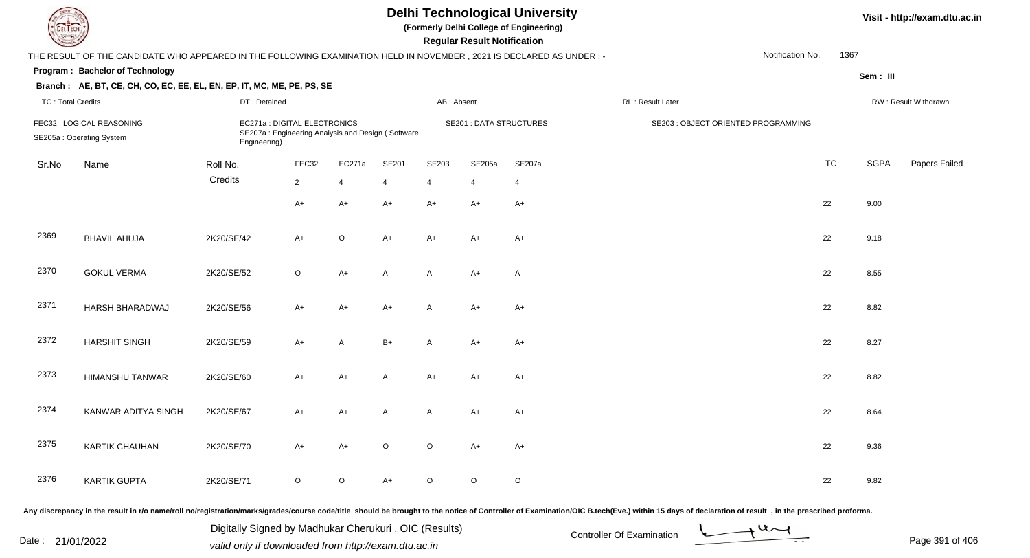| DEL TECH                 |                                                                                                                                                                                                                                |                                                       |                                                                                   |                | <b>Regular Result Notification</b> | <b>Delhi Technological University</b><br>(Formerly Delhi College of Engineering) |                                |                |                           |                                     |                               | Visit - http://exam.dtu.ac.in |             |                      |
|--------------------------|--------------------------------------------------------------------------------------------------------------------------------------------------------------------------------------------------------------------------------|-------------------------------------------------------|-----------------------------------------------------------------------------------|----------------|------------------------------------|----------------------------------------------------------------------------------|--------------------------------|----------------|---------------------------|-------------------------------------|-------------------------------|-------------------------------|-------------|----------------------|
|                          | THE RESULT OF THE CANDIDATE WHO APPEARED IN THE FOLLOWING EXAMINATION HELD IN NOVEMBER, 2021 IS DECLARED AS UNDER :-                                                                                                           |                                                       |                                                                                   |                |                                    |                                                                                  |                                |                |                           |                                     | Notification No.              | 1367                          |             |                      |
|                          | Program: Bachelor of Technology                                                                                                                                                                                                |                                                       |                                                                                   |                |                                    |                                                                                  |                                |                |                           |                                     |                               |                               | Sem: III    |                      |
|                          | Branch: AE, BT, CE, CH, CO, EC, EE, EL, EN, EP, IT, MC, ME, PE, PS, SE                                                                                                                                                         |                                                       |                                                                                   |                |                                    |                                                                                  |                                |                |                           |                                     |                               |                               |             |                      |
| <b>TC: Total Credits</b> |                                                                                                                                                                                                                                | DT: Detained                                          |                                                                                   |                |                                    | AB: Absent                                                                       |                                |                | RL: Result Later          |                                     |                               |                               |             | RW: Result Withdrawn |
|                          | FEC32 : LOGICAL REASONING<br>SE205a: Operating System                                                                                                                                                                          | Engineering)                                          | EC271a : DIGITAL ELECTRONICS<br>SE207a: Engineering Analysis and Design (Software |                |                                    |                                                                                  | <b>SE201 : DATA STRUCTURES</b> |                |                           | SE203 : OBJECT ORIENTED PROGRAMMING |                               |                               |             |                      |
| Sr.No                    | Name                                                                                                                                                                                                                           | Roll No.                                              | FEC32                                                                             | EC271a         | SE201                              | SE203                                                                            | SE205a                         | SE207a         |                           |                                     |                               | <b>TC</b>                     | <b>SGPA</b> | Papers Failed        |
|                          |                                                                                                                                                                                                                                | Credits                                               | $\overline{2}$                                                                    | $\overline{4}$ | $\overline{4}$                     | $\overline{4}$                                                                   | 4                              | $\overline{4}$ |                           |                                     |                               |                               |             |                      |
|                          |                                                                                                                                                                                                                                |                                                       | $A+$                                                                              | A+             | $A+$                               | $A+$                                                                             | A+                             | $A+$           |                           |                                     |                               | 22                            | 9.00        |                      |
| 2369                     | <b>BHAVIL AHUJA</b>                                                                                                                                                                                                            | 2K20/SE/42                                            | $A+$                                                                              | $\circ$        | $A+$                               | $A+$                                                                             | $A+$                           | $A+$           |                           |                                     |                               | 22                            | 9.18        |                      |
| 2370                     | <b>GOKUL VERMA</b>                                                                                                                                                                                                             | 2K20/SE/52                                            | $\circ$                                                                           | $A+$           | A                                  | A                                                                                | $A+$                           | $\mathsf{A}$   |                           |                                     |                               | 22                            | 8.55        |                      |
| 2371                     | HARSH BHARADWAJ                                                                                                                                                                                                                | 2K20/SE/56                                            | $A+$                                                                              | A+             | $A+$                               | A                                                                                | $A+$                           | $A+$           |                           |                                     |                               | 22                            | 8.82        |                      |
| 2372                     | <b>HARSHIT SINGH</b>                                                                                                                                                                                                           | 2K20/SE/59                                            | $A+$                                                                              | A              | $B+$                               | A                                                                                | $A+$                           | $A+$           |                           |                                     |                               | 22                            | 8.27        |                      |
| 2373                     | HIMANSHU TANWAR                                                                                                                                                                                                                | 2K20/SE/60                                            | $A+$                                                                              | $A+$           | $\mathsf{A}$                       | $A+$                                                                             | $A+$                           | $A+$           |                           |                                     |                               | 22                            | 8.82        |                      |
| 2374                     | KANWAR ADITYA SINGH                                                                                                                                                                                                            | 2K20/SE/67                                            | A+                                                                                | A+             | A                                  | A                                                                                | A+                             | $A+$           |                           |                                     |                               | 22                            | 8.64        |                      |
| 2375                     | <b>KARTIK CHAUHAN</b>                                                                                                                                                                                                          | 2K20/SE/70                                            | A+                                                                                | A+             | $\circ$                            | O                                                                                | A+                             | A+             |                           |                                     |                               | 22                            | 9.36        |                      |
| 2376                     | <b>KARTIK GUPTA</b>                                                                                                                                                                                                            | 2K20/SE/71                                            | $\circ$                                                                           | $\circ$        | $A+$                               | $\mathsf O$                                                                      | $\circ$                        | $\circ$        |                           |                                     |                               | 22                            | 9.82        |                      |
|                          | Any discrepancy in the result in r/o name/roll no/registration/marks/grades/course code/title should be brought to the notice of Controller of Examination/OIC B.tech(Eve.) within 15 days of declaration of result , in the p |                                                       |                                                                                   |                |                                    |                                                                                  |                                |                |                           |                                     |                               |                               |             |                      |
|                          |                                                                                                                                                                                                                                | Digitally Signed by Madhukar Cherukuri, OIC (Results) |                                                                                   |                |                                    |                                                                                  |                                |                | Controller Of Evamination |                                     | $\rightarrow$ 4 $\rightarrow$ |                               |             |                      |

Date : 21/01/2022 Digital Digital of Microsofted Chemical Controller Of Examination Determination Page 391 of 40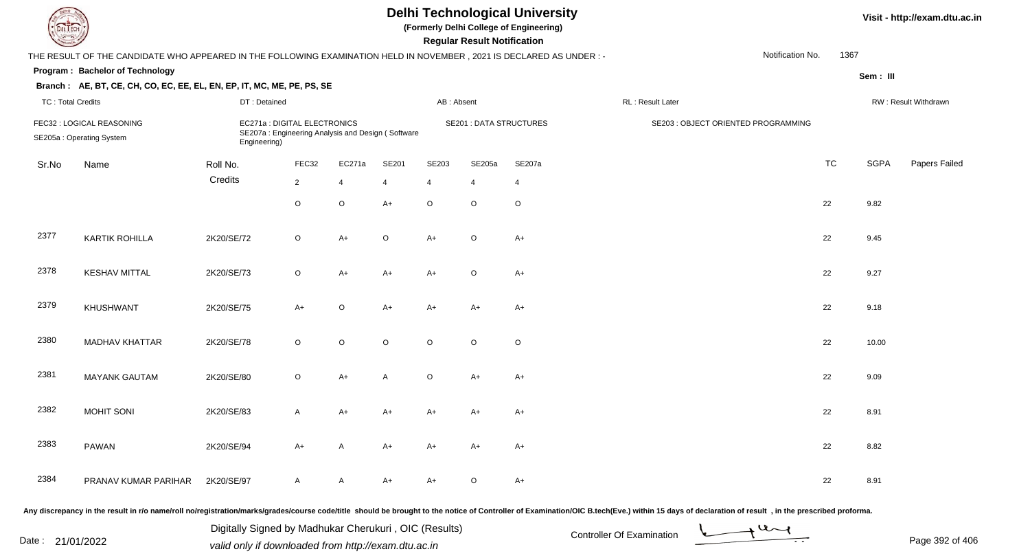| EL ECH                   |                                                                                                                     |                                                                                                   |                |                |              |                | <b>Regular Result Notification</b> | <b>Delhi Technological University</b><br>(Formerly Delhi College of Engineering) |                                     |                  |           |             | Visit - http://exam.dtu.ac.in |
|--------------------------|---------------------------------------------------------------------------------------------------------------------|---------------------------------------------------------------------------------------------------|----------------|----------------|--------------|----------------|------------------------------------|----------------------------------------------------------------------------------|-------------------------------------|------------------|-----------|-------------|-------------------------------|
|                          | THE RESULT OF THE CANDIDATE WHO APPEARED IN THE FOLLOWING EXAMINATION HELD IN NOVEMBER, 2021 IS DECLARED AS UNDER:- |                                                                                                   |                |                |              |                |                                    |                                                                                  |                                     | Notification No. | 1367      |             |                               |
|                          | Program: Bachelor of Technology                                                                                     |                                                                                                   |                |                |              |                |                                    |                                                                                  |                                     |                  |           | Sem: III    |                               |
|                          | Branch: AE, BT, CE, CH, CO, EC, EE, EL, EN, EP, IT, MC, ME, PE, PS, SE                                              |                                                                                                   |                |                |              |                |                                    |                                                                                  |                                     |                  |           |             |                               |
| <b>TC: Total Credits</b> |                                                                                                                     | DT: Detained                                                                                      |                |                |              | AB: Absent     |                                    |                                                                                  | RL: Result Later                    |                  |           |             | RW: Result Withdrawn          |
|                          | FEC32 : LOGICAL REASONING<br>SE205a: Operating System                                                               | EC271a : DIGITAL ELECTRONICS<br>SE207a: Engineering Analysis and Design (Software<br>Engineering) |                |                |              |                | <b>SE201 : DATA STRUCTURES</b>     |                                                                                  | SE203 : OBJECT ORIENTED PROGRAMMING |                  |           |             |                               |
| Sr.No                    | Name                                                                                                                | Roll No.                                                                                          | FEC32          | EC271a         | SE201        | SE203          | SE205a                             | SE207a                                                                           |                                     |                  | <b>TC</b> | <b>SGPA</b> | Papers Failed                 |
|                          |                                                                                                                     | Credits                                                                                           | $\overline{2}$ | $\overline{4}$ | 4            | $\overline{4}$ | $\overline{4}$                     | $\overline{4}$                                                                   |                                     |                  |           |             |                               |
|                          |                                                                                                                     |                                                                                                   | $\circ$        | $\mathsf O$    | $A+$         | $\circ$        | $\circ$                            | $\circ$                                                                          |                                     |                  | 22        | 9.82        |                               |
| 2377                     | <b>KARTIK ROHILLA</b>                                                                                               | 2K20/SE/72                                                                                        | $\circ$        | $A+$           | $\circ$      | $A+$           | $\circ$                            | $A+$                                                                             |                                     |                  | 22        | 9.45        |                               |
| 2378                     | <b>KESHAV MITTAL</b>                                                                                                | 2K20/SE/73                                                                                        | $\circ$        | $A+$           | $A+$         | $A+$           | $\circ$                            | $A+$                                                                             |                                     |                  | 22        | 9.27        |                               |
| 2379                     | <b>KHUSHWANT</b>                                                                                                    | 2K20/SE/75                                                                                        | $A+$           | $\circ$        | $A+$         | $A+$           | A+                                 | $A+$                                                                             |                                     |                  | 22        | 9.18        |                               |
| 2380                     | <b>MADHAV KHATTAR</b>                                                                                               | 2K20/SE/78                                                                                        | $\circ$        | $\circ$        | $\circ$      | $\circ$        | $\circ$                            | $\circ$                                                                          |                                     |                  | 22        | 10.00       |                               |
| 2381                     | <b>MAYANK GAUTAM</b>                                                                                                | 2K20/SE/80                                                                                        | $\circ$        | $A+$           | $\mathsf{A}$ | $\circ$        | A+                                 | $A+$                                                                             |                                     |                  | 22        | 9.09        |                               |
| 2382                     | <b>MOHIT SONI</b>                                                                                                   | 2K20/SE/83                                                                                        | A              | A+             | A+           | A+             | A+                                 | A+                                                                               |                                     |                  | 22        | 8.91        |                               |
| 2383                     | PAWAN                                                                                                               | 2K20/SE/94                                                                                        | A+             | A              | A+           | A+             | A+                                 | A+                                                                               |                                     |                  | 22        | 8.82        |                               |
| 2384                     | PRANAV KUMAR PARIHAR                                                                                                | 2K20/SE/97                                                                                        | A              | A              | A+           | A+             | $\circ$                            | $A+$                                                                             |                                     |                  | 22        | 8.91        |                               |

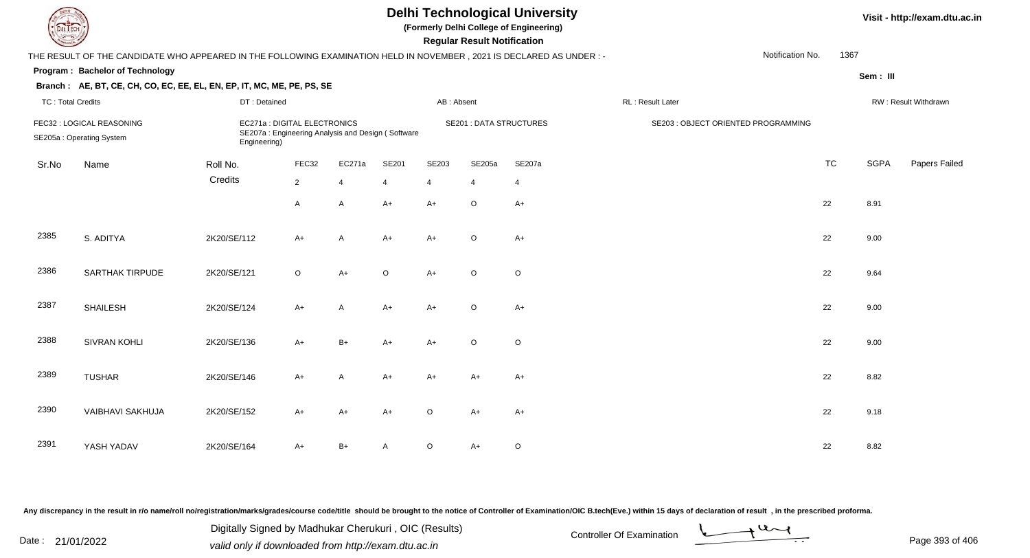| EL I ECH                 |                                                                                                                      |              |                                                                                   |                |              |                | <b>Regular Result Notification</b> | <b>Delhi Technological University</b><br>(Formerly Delhi College of Engineering) |                                     |                  |           |             | Visit - http://exam.dtu.ac.in |
|--------------------------|----------------------------------------------------------------------------------------------------------------------|--------------|-----------------------------------------------------------------------------------|----------------|--------------|----------------|------------------------------------|----------------------------------------------------------------------------------|-------------------------------------|------------------|-----------|-------------|-------------------------------|
|                          | THE RESULT OF THE CANDIDATE WHO APPEARED IN THE FOLLOWING EXAMINATION HELD IN NOVEMBER, 2021 IS DECLARED AS UNDER :- |              |                                                                                   |                |              |                |                                    |                                                                                  |                                     | Notification No. | 1367      |             |                               |
|                          | Program: Bachelor of Technology                                                                                      |              |                                                                                   |                |              |                |                                    |                                                                                  |                                     |                  |           | Sem: III    |                               |
|                          | Branch: AE, BT, CE, CH, CO, EC, EE, EL, EN, EP, IT, MC, ME, PE, PS, SE                                               |              |                                                                                   |                |              |                |                                    |                                                                                  |                                     |                  |           |             |                               |
| <b>TC: Total Credits</b> |                                                                                                                      | DT: Detained |                                                                                   |                |              | AB: Absent     |                                    |                                                                                  | RL: Result Later                    |                  |           |             | RW: Result Withdrawn          |
|                          | FEC32 : LOGICAL REASONING<br>SE205a: Operating System                                                                | Engineering) | EC271a : DIGITAL ELECTRONICS<br>SE207a: Engineering Analysis and Design (Software |                |              |                | <b>SE201 : DATA STRUCTURES</b>     |                                                                                  | SE203 : OBJECT ORIENTED PROGRAMMING |                  |           |             |                               |
| Sr.No                    | Name                                                                                                                 | Roll No.     | FEC32                                                                             | EC271a         | <b>SE201</b> | SE203          | SE205a                             | SE207a                                                                           |                                     |                  | <b>TC</b> | <b>SGPA</b> | Papers Failed                 |
|                          |                                                                                                                      | Credits      | $\overline{2}$                                                                    | $\overline{4}$ | 4            | $\overline{4}$ | $\overline{4}$                     | $\overline{4}$                                                                   |                                     |                  |           |             |                               |
|                          |                                                                                                                      |              | A                                                                                 | A              | $A+$         | $A+$           | $\mathsf O$                        | $A+$                                                                             |                                     |                  | 22        | 8.91        |                               |
| 2385                     | S. ADITYA                                                                                                            | 2K20/SE/112  | $A+$                                                                              | A              | $A+$         | $A+$           | $\circ$                            | $A+$                                                                             |                                     |                  | 22        | 9.00        |                               |
| 2386                     | <b>SARTHAK TIRPUDE</b>                                                                                               | 2K20/SE/121  | $\circ$                                                                           | $A+$           | $\circ$      | $A+$           | $\circ$                            | $\circ$                                                                          |                                     |                  | 22        | 9.64        |                               |
| 2387                     | <b>SHAILESH</b>                                                                                                      | 2K20/SE/124  | $A+$                                                                              | A              | $A+$         | $A+$           | $\circ$                            | $A+$                                                                             |                                     |                  | 22        | 9.00        |                               |
| 2388                     | <b>SIVRAN KOHLI</b>                                                                                                  | 2K20/SE/136  | $A+$                                                                              | $B+$           | $A+$         | $A+$           | $\circ$                            | $\mathsf O$                                                                      |                                     |                  | 22        | 9.00        |                               |
| 2389                     | <b>TUSHAR</b>                                                                                                        | 2K20/SE/146  | $A+$                                                                              | A              | $A+$         | $A+$           | A+                                 | $A+$                                                                             |                                     |                  | 22        | 8.82        |                               |
| 2390                     | <b>VAIBHAVI SAKHUJA</b>                                                                                              | 2K20/SE/152  | $A+$                                                                              | $A+$           | $A+$         | $\circ$        | $A+$                               | $A+$                                                                             |                                     |                  | 22        | 9.18        |                               |
| 2391                     | YASH YADAV                                                                                                           | 2K20/SE/164  | A+                                                                                | $B+$           | A            | $\circ$        | $A+$                               | $\circ$                                                                          |                                     |                  | 22        | 8.82        |                               |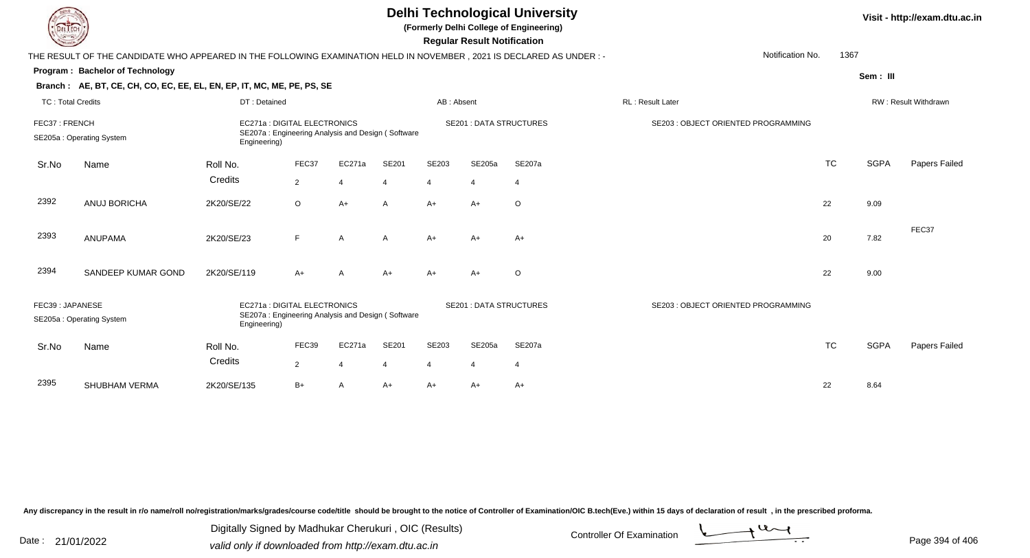|                                           | <b>Delhi Technological University</b><br>(Formerly Delhi College of Engineering)<br>EL ECH<br><b>Regular Result Notification</b> |              |                                                                                   |                         |                |                |                               |                |                                     |                      |             | Visit - http://exam.dtu.ac.in |  |  |
|-------------------------------------------|----------------------------------------------------------------------------------------------------------------------------------|--------------|-----------------------------------------------------------------------------------|-------------------------|----------------|----------------|-------------------------------|----------------|-------------------------------------|----------------------|-------------|-------------------------------|--|--|
|                                           | THE RESULT OF THE CANDIDATE WHO APPEARED IN THE FOLLOWING EXAMINATION HELD IN NOVEMBER, 2021 IS DECLARED AS UNDER:-              |              |                                                                                   |                         |                |                |                               |                | Notification No.                    | 1367                 |             |                               |  |  |
|                                           | Program: Bachelor of Technology                                                                                                  |              |                                                                                   |                         |                |                |                               |                |                                     |                      | Sem: III    |                               |  |  |
|                                           | Branch: AE, BT, CE, CH, CO, EC, EE, EL, EN, EP, IT, MC, ME, PE, PS, SE                                                           |              |                                                                                   |                         |                |                |                               |                |                                     |                      |             |                               |  |  |
| <b>TC: Total Credits</b>                  |                                                                                                                                  | DT: Detained |                                                                                   |                         |                | AB: Absent     |                               |                | <b>RL: Result Later</b>             | RW: Result Withdrawn |             |                               |  |  |
| FEC37: FRENCH<br>SE205a: Operating System |                                                                                                                                  | Engineering) | EC271a : DIGITAL ELECTRONICS<br>SE207a: Engineering Analysis and Design (Software |                         |                |                | <b>SE201: DATA STRUCTURES</b> |                | SE203 : OBJECT ORIENTED PROGRAMMING |                      |             |                               |  |  |
| Sr.No                                     | Name                                                                                                                             | Roll No.     | FEC37                                                                             | EC271a                  | SE201          | SE203          | SE205a                        | SE207a         |                                     | <b>TC</b>            | <b>SGPA</b> | Papers Failed                 |  |  |
|                                           |                                                                                                                                  | Credits      | $\overline{2}$                                                                    | $\overline{4}$          | 4              | $\overline{4}$ | $\overline{4}$                | $\overline{4}$ |                                     |                      |             |                               |  |  |
| 2392                                      | ANUJ BORICHA                                                                                                                     | 2K20/SE/22   | $\circ$                                                                           | $A+$                    | $\overline{A}$ | $A+$           | $A+$                          | $\circ$        |                                     | 22                   | 9.09        |                               |  |  |
| 2393                                      | <b>ANUPAMA</b>                                                                                                                   | 2K20/SE/23   | F                                                                                 | A                       | A              | $A+$           | A+                            | $A+$           |                                     | 20                   | 7.82        | FEC37                         |  |  |
| 2394                                      | SANDEEP KUMAR GOND                                                                                                               | 2K20/SE/119  | A+                                                                                | Α                       | $A+$           | $A+$           | $A+$                          | O              |                                     | 22                   | 9.00        |                               |  |  |
| FEC39: JAPANESE                           | SE205a: Operating System                                                                                                         | Engineering) | EC271a: DIGITAL ELECTRONICS<br>SE207a: Engineering Analysis and Design (Software  |                         |                |                | <b>SE201: DATA STRUCTURES</b> |                | SE203 : OBJECT ORIENTED PROGRAMMING |                      |             |                               |  |  |
| Sr.No                                     | Name                                                                                                                             | Roll No.     | FEC39                                                                             | EC271a                  | SE201          | SE203          | SE205a                        | SE207a         |                                     | <b>TC</b>            | <b>SGPA</b> | Papers Failed                 |  |  |
|                                           |                                                                                                                                  | Credits      | $\overline{2}$                                                                    | $\overline{\mathbf{4}}$ |                | 4              | $\overline{4}$                | $\overline{4}$ |                                     |                      |             |                               |  |  |
| 2395                                      | <b>SHUBHAM VERMA</b>                                                                                                             | 2K20/SE/135  | $B+$                                                                              | A                       | A+             | $A+$           | A+                            | $A+$           |                                     | 22                   | 8.64        |                               |  |  |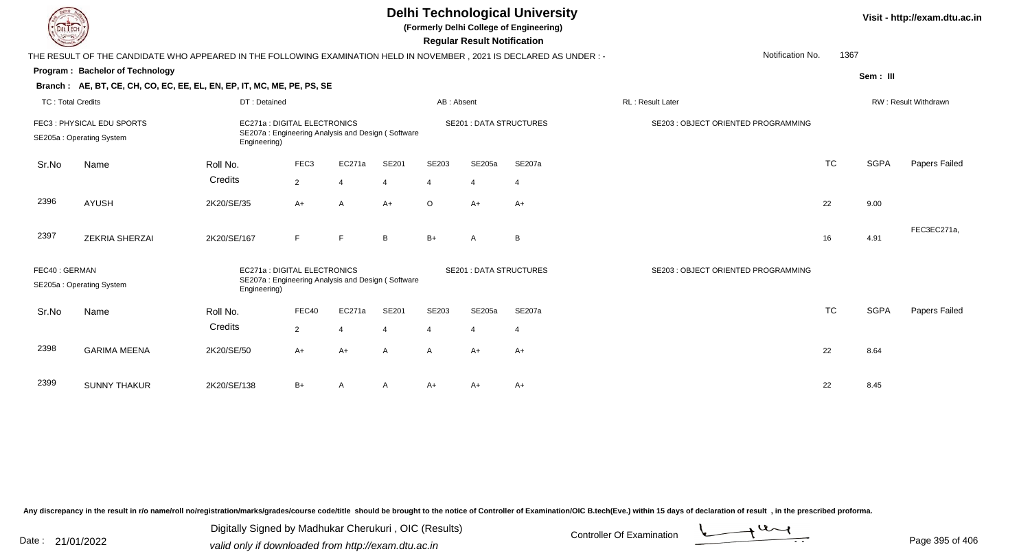| EL ECH                                                                                                                                         |                                                                                                                        |              |                                                                                  |          |                          |                | <b>Regular Result Notification</b> | <b>Delhi Technological University</b><br>(Formerly Delhi College of Engineering) |                                     |                      |             | Visit - http://exam.dtu.ac.in |
|------------------------------------------------------------------------------------------------------------------------------------------------|------------------------------------------------------------------------------------------------------------------------|--------------|----------------------------------------------------------------------------------|----------|--------------------------|----------------|------------------------------------|----------------------------------------------------------------------------------|-------------------------------------|----------------------|-------------|-------------------------------|
|                                                                                                                                                | THE RESULT OF THE CANDIDATE WHO APPEARED IN THE FOLLOWING EXAMINATION HELD IN NOVEMBER , 2021 IS DECLARED AS UNDER : - |              |                                                                                  |          |                          |                |                                    |                                                                                  | Notification No.                    | 1367                 |             |                               |
|                                                                                                                                                | <b>Program: Bachelor of Technology</b>                                                                                 |              |                                                                                  |          |                          |                |                                    |                                                                                  |                                     |                      | Sem: III    |                               |
|                                                                                                                                                | Branch: AE, BT, CE, CH, CO, EC, EE, EL, EN, EP, IT, MC, ME, PE, PS, SE                                                 |              |                                                                                  |          |                          |                |                                    |                                                                                  |                                     |                      |             |                               |
| <b>TC: Total Credits</b>                                                                                                                       |                                                                                                                        | DT: Detained |                                                                                  |          |                          | AB: Absent     |                                    |                                                                                  | RL: Result Later                    | RW: Result Withdrawn |             |                               |
|                                                                                                                                                | FEC3: PHYSICAL EDU SPORTS<br>SE205a: Operating System                                                                  | Engineering) | EC271a: DIGITAL ELECTRONICS<br>SE207a: Engineering Analysis and Design (Software |          |                          |                | <b>SE201 : DATA STRUCTURES</b>     |                                                                                  | SE203 : OBJECT ORIENTED PROGRAMMING |                      |             |                               |
| Sr.No                                                                                                                                          | Name                                                                                                                   | Roll No.     | FEC <sub>3</sub>                                                                 | EC271a   | SE201                    | SE203          | SE205a                             | SE207a                                                                           |                                     | <b>TC</b>            | <b>SGPA</b> | Papers Failed                 |
|                                                                                                                                                |                                                                                                                        | Credits      | $\overline{2}$                                                                   | -4       | 4                        | $\overline{4}$ | $\overline{4}$                     | $\overline{4}$                                                                   |                                     |                      |             |                               |
| 2396                                                                                                                                           | <b>AYUSH</b>                                                                                                           | 2K20/SE/35   | A+                                                                               | A        | $A+$                     | $\circ$        | $A+$                               | $A+$                                                                             |                                     | 22                   | 9.00        |                               |
| 2397                                                                                                                                           | <b>ZEKRIA SHERZAI</b>                                                                                                  | 2K20/SE/167  | F                                                                                | E        | B                        | $B+$           | A                                  | B                                                                                |                                     | 16                   | 4.91        | FEC3EC271a,                   |
| FEC40: GERMAN<br>EC271a : DIGITAL ELECTRONICS<br>SE207a: Engineering Analysis and Design (Software<br>SE205a: Operating System<br>Engineering) |                                                                                                                        |              |                                                                                  |          |                          |                | <b>SE201: DATA STRUCTURES</b>      |                                                                                  | SE203 : OBJECT ORIENTED PROGRAMMING |                      |             |                               |
| Sr.No                                                                                                                                          | Name                                                                                                                   | Roll No.     | FEC40                                                                            | EC271a   | SE201                    | SE203          | SE205a                             | <b>SE207a</b>                                                                    |                                     | <b>TC</b>            | <b>SGPA</b> | Papers Failed                 |
|                                                                                                                                                |                                                                                                                        | Credits      | $\overline{2}$                                                                   | $\Delta$ | $\boldsymbol{\varDelta}$ | $\overline{4}$ | $\boldsymbol{\Delta}$              | $\overline{4}$                                                                   |                                     |                      |             |                               |
| 2398                                                                                                                                           | <b>GARIMA MEENA</b>                                                                                                    | 2K20/SE/50   | A+                                                                               | $A+$     | A                        | $\mathsf{A}$   | $A+$                               | $A+$                                                                             |                                     | 22                   | 8.64        |                               |
| 2399                                                                                                                                           | <b>SUNNY THAKUR</b>                                                                                                    | 2K20/SE/138  | B+                                                                               | A        | A                        | A+             | A+                                 | $A+$                                                                             |                                     | 22                   | 8.45        |                               |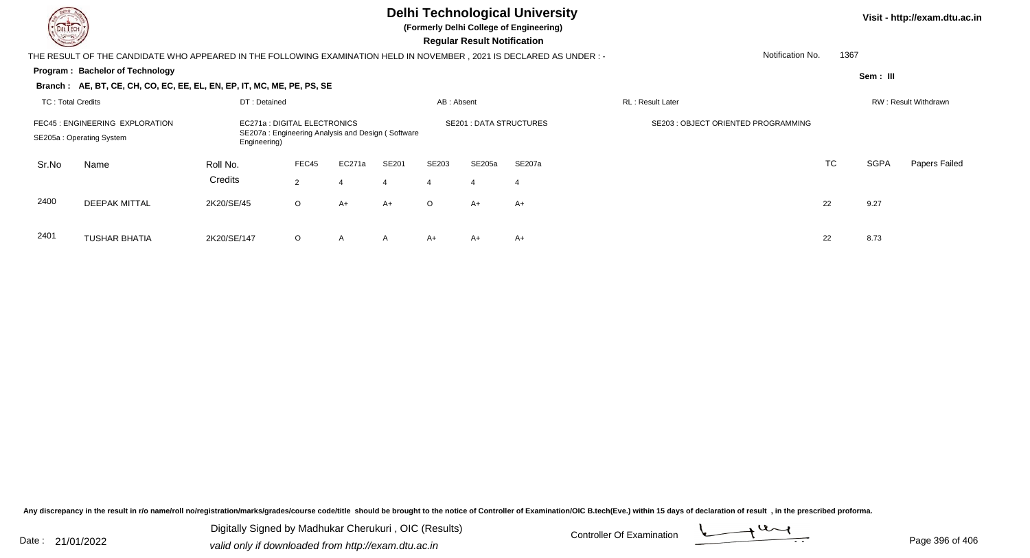**(Formerly Delhi College of Engineering)**

 **Regular Result Notification**

| <b>Course Line</b>                                          |                                                                                                                     |                                                                                                   |                         |                |                               |                         | Regular Result Notification |                  |                                    |           |                      |               |
|-------------------------------------------------------------|---------------------------------------------------------------------------------------------------------------------|---------------------------------------------------------------------------------------------------|-------------------------|----------------|-------------------------------|-------------------------|-----------------------------|------------------|------------------------------------|-----------|----------------------|---------------|
|                                                             | THE RESULT OF THE CANDIDATE WHO APPEARED IN THE FOLLOWING EXAMINATION HELD IN NOVEMBER, 2021 IS DECLARED AS UNDER:- |                                                                                                   |                         |                |                               |                         |                             |                  | Notification No.                   |           | 1367                 |               |
|                                                             | Program: Bachelor of Technology                                                                                     |                                                                                                   |                         |                |                               |                         |                             |                  |                                    |           | Sem: III             |               |
|                                                             | Branch: AE, BT, CE, CH, CO, EC, EE, EL, EN, EP, IT, MC, ME, PE, PS, SE                                              |                                                                                                   |                         |                |                               |                         |                             |                  |                                    |           |                      |               |
| TC: Total Credits                                           |                                                                                                                     | DT: Detained                                                                                      |                         | AB: Absent     |                               |                         |                             | RL: Result Later |                                    |           | RW: Result Withdrawn |               |
| FEC45 : ENGINEERING EXPLORATION<br>SE205a: Operating System |                                                                                                                     | EC271a : DIGITAL ELECTRONICS<br>SE207a: Engineering Analysis and Design (Software<br>Engineering) |                         |                | <b>SE201: DATA STRUCTURES</b> |                         |                             |                  | SE203: OBJECT ORIENTED PROGRAMMING |           |                      |               |
| Sr.No                                                       | Name                                                                                                                | Roll No.<br>Credits                                                                               | FEC45<br>$\overline{2}$ | EC271a<br>4    | SE201<br>$\overline{4}$       | SE203<br>$\overline{4}$ | SE205a<br>4                 | SE207a<br>-4     |                                    | <b>TC</b> | <b>SGPA</b>          | Papers Failed |
| 2400                                                        | <b>DEEPAK MITTAL</b>                                                                                                | 2K20/SE/45                                                                                        | $\circ$                 | A+             | $A+$                          | $\circ$                 | A+                          | $A+$             |                                    | 22        | 9.27                 |               |
| 2401                                                        | <b>TUSHAR BHATIA</b>                                                                                                | 2K20/SE/147                                                                                       | $\circ$                 | $\overline{A}$ | A                             | A+                      | A+                          | A+               |                                    | 22        | 8.73                 |               |

A 2K20/SE/147 O A A A+ A+ A+ A+ C 22 8.73

Any discrepancy in the result in r/o name/roll no/registration/marks/grades/course code/title should be brought to the notice of Controller of Examination/OIC B.tech(Eve.) within 15 days of declaration of result, in the pr

Date : 21/01/2022 Digital Digital of Microsofted Chemical Controller Of Examination Determination Page 396 of 40 Digitally Signed by Madhukar Cherukuri , OIC (Results)

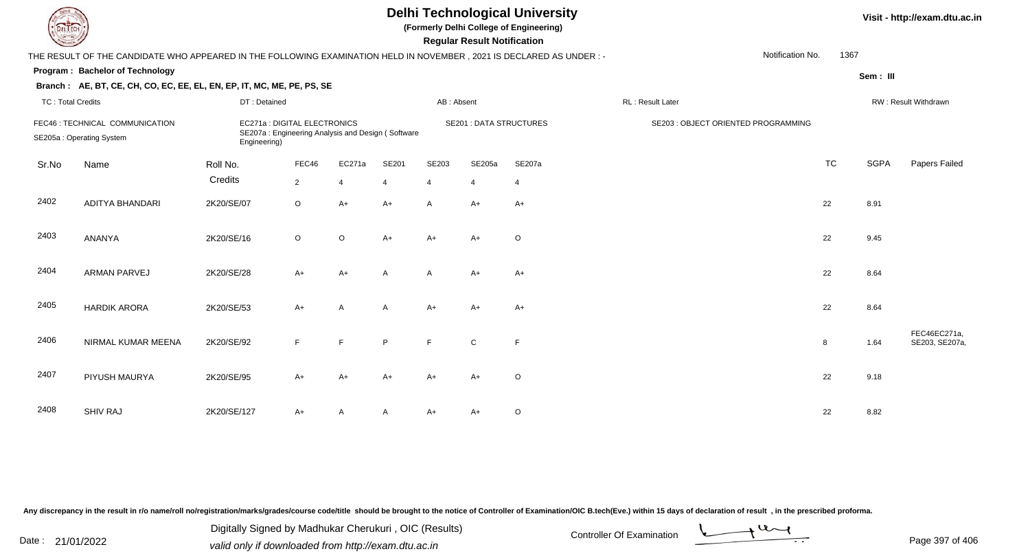| <b>Delhi Technological University</b><br>(Formerly Delhi College of Engineering)<br>EL ECH<br><b>Regular Result Notification</b> |                                                                                                                      |              |                                                                                   |                |       |                |                |                                |                                     |           |                      |                                |  |
|----------------------------------------------------------------------------------------------------------------------------------|----------------------------------------------------------------------------------------------------------------------|--------------|-----------------------------------------------------------------------------------|----------------|-------|----------------|----------------|--------------------------------|-------------------------------------|-----------|----------------------|--------------------------------|--|
|                                                                                                                                  | THE RESULT OF THE CANDIDATE WHO APPEARED IN THE FOLLOWING EXAMINATION HELD IN NOVEMBER, 2021 IS DECLARED AS UNDER :- |              |                                                                                   |                |       |                |                |                                | Notification No.                    | 1367      |                      |                                |  |
|                                                                                                                                  | Program: Bachelor of Technology                                                                                      |              |                                                                                   |                |       |                |                |                                |                                     |           | Sem: III             |                                |  |
|                                                                                                                                  | Branch: AE, BT, CE, CH, CO, EC, EE, EL, EN, EP, IT, MC, ME, PE, PS, SE                                               |              |                                                                                   |                |       |                |                |                                |                                     |           |                      |                                |  |
| <b>TC: Total Credits</b>                                                                                                         |                                                                                                                      | DT: Detained |                                                                                   |                |       | AB: Absent     |                |                                | RL: Result Later                    |           | RW: Result Withdrawn |                                |  |
|                                                                                                                                  | FEC46 : TECHNICAL COMMUNICATION<br>SE205a: Operating System                                                          | Engineering) | EC271a : DIGITAL ELECTRONICS<br>SE207a: Engineering Analysis and Design (Software |                |       |                |                | <b>SE201 : DATA STRUCTURES</b> | SE203 : OBJECT ORIENTED PROGRAMMING |           |                      |                                |  |
| Sr.No                                                                                                                            | Name                                                                                                                 | Roll No.     | FEC46                                                                             | EC271a         | SE201 | SE203          | SE205a         | SE207a                         |                                     | <b>TC</b> | <b>SGPA</b>          | Papers Failed                  |  |
|                                                                                                                                  |                                                                                                                      | Credits      | $\overline{2}$                                                                    | $\overline{4}$ | 4     | $\overline{4}$ | $\overline{4}$ | $\overline{4}$                 |                                     |           |                      |                                |  |
| 2402                                                                                                                             | ADITYA BHANDARI                                                                                                      | 2K20/SE/07   | $\circ$                                                                           | $A+$           | $A+$  | $\overline{A}$ | $A+$           | $A+$                           |                                     | 22        | 8.91                 |                                |  |
| 2403                                                                                                                             | ANANYA                                                                                                               | 2K20/SE/16   | $\circ$                                                                           | $\mathsf O$    | $A+$  | $A+$           | $A+$           | $\circ$                        |                                     | 22        | 9.45                 |                                |  |
| 2404                                                                                                                             | <b>ARMAN PARVEJ</b>                                                                                                  | 2K20/SE/28   | $A+$                                                                              | $A+$           | A     | $\mathsf{A}$   | $A+$           | $A+$                           |                                     | 22        | 8.64                 |                                |  |
| 2405                                                                                                                             | <b>HARDIK ARORA</b>                                                                                                  | 2K20/SE/53   | $A+$                                                                              | A              | A     | $A+$           | $A+$           | $A+$                           |                                     | 22        | 8.64                 |                                |  |
| 2406                                                                                                                             | NIRMAL KUMAR MEENA                                                                                                   | 2K20/SE/92   | F                                                                                 | E              | P     | F              | $\mathbf C$    | $\mathsf{F}$                   |                                     | 8         | 1.64                 | FEC46EC271a,<br>SE203, SE207a, |  |
| 2407                                                                                                                             | PIYUSH MAURYA                                                                                                        | 2K20/SE/95   | $A+$                                                                              | $A+$           | $A+$  | $A+$           | $A+$           | $\circ$                        |                                     | 22        | 9.18                 |                                |  |
| 2408                                                                                                                             | SHIV RAJ                                                                                                             | 2K20/SE/127  | A+                                                                                | Α              | A     | $A+$           | A+             | $\circ$                        |                                     | 22        | 8.82                 |                                |  |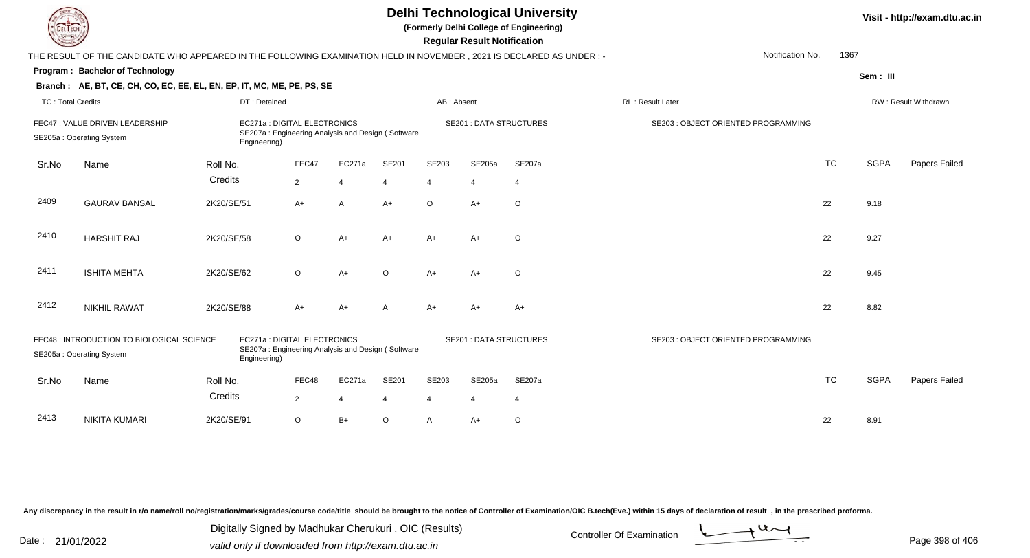| DEL ECH                  |                                                                                                                        |              |                                                                                   |                |                |                | <b>Regular Result Notification</b> | <b>Delhi Technological University</b><br>(Formerly Delhi College of Engineering) |                                     |           |             | Visit - http://exam.dtu.ac.in |
|--------------------------|------------------------------------------------------------------------------------------------------------------------|--------------|-----------------------------------------------------------------------------------|----------------|----------------|----------------|------------------------------------|----------------------------------------------------------------------------------|-------------------------------------|-----------|-------------|-------------------------------|
|                          | THE RESULT OF THE CANDIDATE WHO APPEARED IN THE FOLLOWING EXAMINATION HELD IN NOVEMBER , 2021 IS DECLARED AS UNDER : - |              |                                                                                   |                |                |                |                                    |                                                                                  | Notification No.                    | 1367      |             |                               |
|                          | Program: Bachelor of Technology                                                                                        |              |                                                                                   |                |                |                |                                    |                                                                                  |                                     |           | Sem: III    |                               |
|                          | Branch: AE, BT, CE, CH, CO, EC, EE, EL, EN, EP, IT, MC, ME, PE, PS, SE                                                 |              |                                                                                   |                |                |                |                                    |                                                                                  |                                     |           |             |                               |
| <b>TC: Total Credits</b> |                                                                                                                        | DT: Detained |                                                                                   |                |                | AB: Absent     |                                    |                                                                                  | RL: Result Later                    |           |             | RW: Result Withdrawn          |
|                          | FEC47 : VALUE DRIVEN LEADERSHIP<br>SE205a: Operating System                                                            | Engineering) | EC271a : DIGITAL ELECTRONICS<br>SE207a: Engineering Analysis and Design (Software |                |                |                | <b>SE201 : DATA STRUCTURES</b>     |                                                                                  | SE203 : OBJECT ORIENTED PROGRAMMING |           |             |                               |
| Sr.No                    | Name                                                                                                                   | Roll No.     | FEC47                                                                             | EC271a         | SE201          | SE203          | SE205a                             | SE207a                                                                           |                                     | <b>TC</b> | <b>SGPA</b> | Papers Failed                 |
|                          |                                                                                                                        | Credits      | $\overline{2}$                                                                    | $\overline{4}$ | $\overline{4}$ | $\overline{4}$ | $\overline{4}$                     | $\overline{4}$                                                                   |                                     |           |             |                               |
| 2409                     | <b>GAURAV BANSAL</b>                                                                                                   | 2K20/SE/51   | $A+$                                                                              | A              | A+             | $\circ$        | $A+$                               | $\circ$                                                                          |                                     | 22        | 9.18        |                               |
| 2410                     | <b>HARSHIT RAJ</b>                                                                                                     | 2K20/SE/58   | $\circ$                                                                           | $A+$           | $A+$           | $A+$           | $A+$                               | $\circ$                                                                          |                                     | 22        | 9.27        |                               |
| 2411                     | <b>ISHITA MEHTA</b>                                                                                                    | 2K20/SE/62   | $\circ$                                                                           | $A+$           | $\circ$        | $A+$           | $A+$                               | $\circ$                                                                          |                                     | 22        | 9.45        |                               |
| 2412                     | <b>NIKHIL RAWAT</b>                                                                                                    | 2K20/SE/88   | $A+$                                                                              | $A+$           | А              | $A+$           | $A+$                               | $A+$                                                                             |                                     | 22        | 8.82        |                               |
|                          | FEC48 : INTRODUCTION TO BIOLOGICAL SCIENCE<br>SE205a: Operating System                                                 | Engineering) | EC271a : DIGITAL ELECTRONICS<br>SE207a: Engineering Analysis and Design (Software |                |                |                | <b>SE201 : DATA STRUCTURES</b>     |                                                                                  | SE203 : OBJECT ORIENTED PROGRAMMING |           |             |                               |
| Sr.No                    | Name                                                                                                                   | Roll No.     | FEC48                                                                             | EC271a         | SE201          | SE203          | SE205a                             | SE207a                                                                           |                                     | <b>TC</b> | <b>SGPA</b> | Papers Failed                 |
|                          |                                                                                                                        | Credits      | $\overline{2}$                                                                    | 4              | 4              | $\overline{4}$ | $\overline{4}$                     | $\overline{4}$                                                                   |                                     |           |             |                               |
| 2413                     | <b>NIKITA KUMARI</b>                                                                                                   | 2K20/SE/91   | $\circ$                                                                           | $B+$           | O              | $\mathsf{A}$   | $A+$                               | $\circ$                                                                          |                                     | 22        | 8.91        |                               |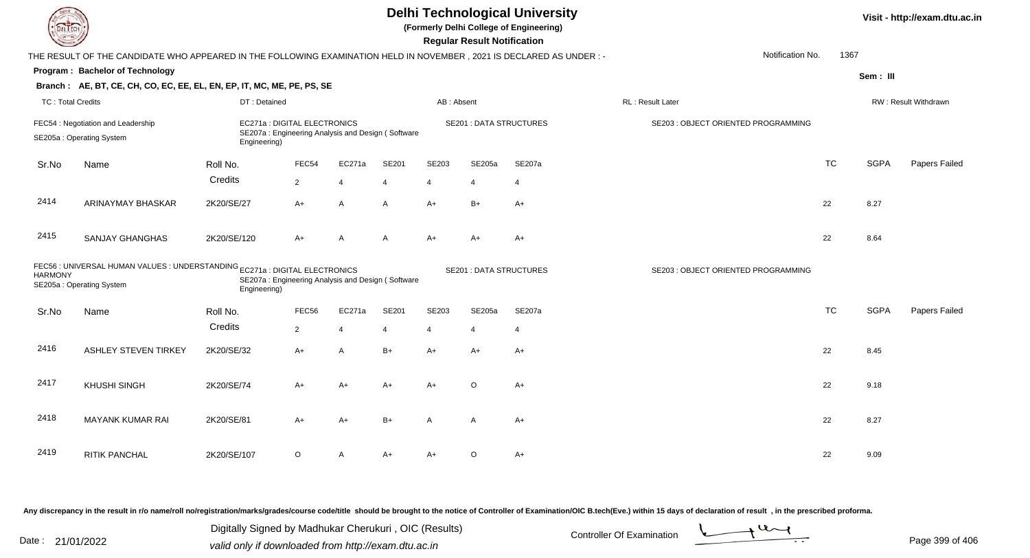| JEL I ECH                |                                                                                                                      |              |                                                                                   |                |                |                | <b>Delhi Technological University</b><br>(Formerly Delhi College of Engineering)<br><b>Regular Result Notification</b> |                                | Visit - http://exam.dtu.ac.in       |           |             |                      |
|--------------------------|----------------------------------------------------------------------------------------------------------------------|--------------|-----------------------------------------------------------------------------------|----------------|----------------|----------------|------------------------------------------------------------------------------------------------------------------------|--------------------------------|-------------------------------------|-----------|-------------|----------------------|
|                          | THE RESULT OF THE CANDIDATE WHO APPEARED IN THE FOLLOWING EXAMINATION HELD IN NOVEMBER, 2021 IS DECLARED AS UNDER :- |              |                                                                                   |                |                |                |                                                                                                                        |                                | Notification No.                    | 1367      |             |                      |
|                          | Program: Bachelor of Technology                                                                                      |              |                                                                                   |                |                |                |                                                                                                                        |                                |                                     |           | Sem: III    |                      |
|                          | Branch: AE, BT, CE, CH, CO, EC, EE, EL, EN, EP, IT, MC, ME, PE, PS, SE                                               |              |                                                                                   |                |                |                |                                                                                                                        |                                |                                     |           |             |                      |
| <b>TC: Total Credits</b> |                                                                                                                      | DT: Detained |                                                                                   |                |                | AB: Absent     |                                                                                                                        |                                | RL : Result Later                   |           |             | RW: Result Withdrawn |
|                          | FEC54 : Negotiation and Leadership<br>SE205a: Operating System                                                       | Engineering) | EC271a : DIGITAL ELECTRONICS<br>SE207a: Engineering Analysis and Design (Software |                |                |                |                                                                                                                        | <b>SE201 : DATA STRUCTURES</b> | SE203 : OBJECT ORIENTED PROGRAMMING |           |             |                      |
| Sr.No                    | Name                                                                                                                 | Roll No.     | FEC54                                                                             | EC271a         | SE201          | SE203          | SE205a                                                                                                                 | SE207a                         |                                     | <b>TC</b> | <b>SGPA</b> | Papers Failed        |
|                          |                                                                                                                      | Credits      | $\overline{2}$                                                                    | $\overline{4}$ | 4              | $\overline{4}$ | $\overline{4}$                                                                                                         | $\overline{4}$                 |                                     |           |             |                      |
| 2414                     | <b>ARINAYMAY BHASKAR</b>                                                                                             | 2K20/SE/27   | A+                                                                                | $\overline{A}$ | A              | $A+$           | $B+$                                                                                                                   | $A+$                           |                                     | 22        | 8.27        |                      |
| 2415                     | <b>SANJAY GHANGHAS</b>                                                                                               | 2K20/SE/120  | A+                                                                                | A              | A              | $A+$           | A+                                                                                                                     | $A+$                           |                                     | 22        | 8.64        |                      |
| <b>HARMONY</b>           | FEC56 : UNIVERSAL HUMAN VALUES : UNDERSTANDING EC271a : DIGITAL ELECTRONICS<br>SE205a: Operating System              | Engineering) | SE207a: Engineering Analysis and Design (Software                                 |                |                |                |                                                                                                                        | <b>SE201: DATA STRUCTURES</b>  | SE203 : OBJECT ORIENTED PROGRAMMING |           |             |                      |
| Sr.No                    | Name                                                                                                                 | Roll No.     | FEC56                                                                             | EC271a         | <b>SE201</b>   | <b>SE203</b>   | SE205a                                                                                                                 | SE207a                         |                                     | <b>TC</b> | <b>SGPA</b> | Papers Failed        |
|                          |                                                                                                                      | Credits      | $\overline{2}$                                                                    | $\overline{4}$ | $\overline{4}$ | $\overline{4}$ | $\overline{4}$                                                                                                         | $\overline{4}$                 |                                     |           |             |                      |
| 2416                     | <b>ASHLEY STEVEN TIRKEY</b>                                                                                          | 2K20/SE/32   | A+                                                                                | A              | $B+$           | $A+$           | $A+$                                                                                                                   | A+                             |                                     | 22        | 8.45        |                      |
| 2417                     | <b>KHUSHI SINGH</b>                                                                                                  | 2K20/SE/74   | $A+$                                                                              | $A+$           | $A+$           | $A+$           | $\circ$                                                                                                                | $A+$                           |                                     | 22        | 9.18        |                      |
| 2418                     | <b>MAYANK KUMAR RAI</b>                                                                                              | 2K20/SE/81   | A+                                                                                | $A+$           | $B+$           | A              | A                                                                                                                      | $A+$                           |                                     | 22        | 8.27        |                      |
| 2419                     | RITIK PANCHAL                                                                                                        | 2K20/SE/107  | O                                                                                 | Α              | A+             | A+             | O                                                                                                                      | $A+$                           |                                     | 22        | 9.09        |                      |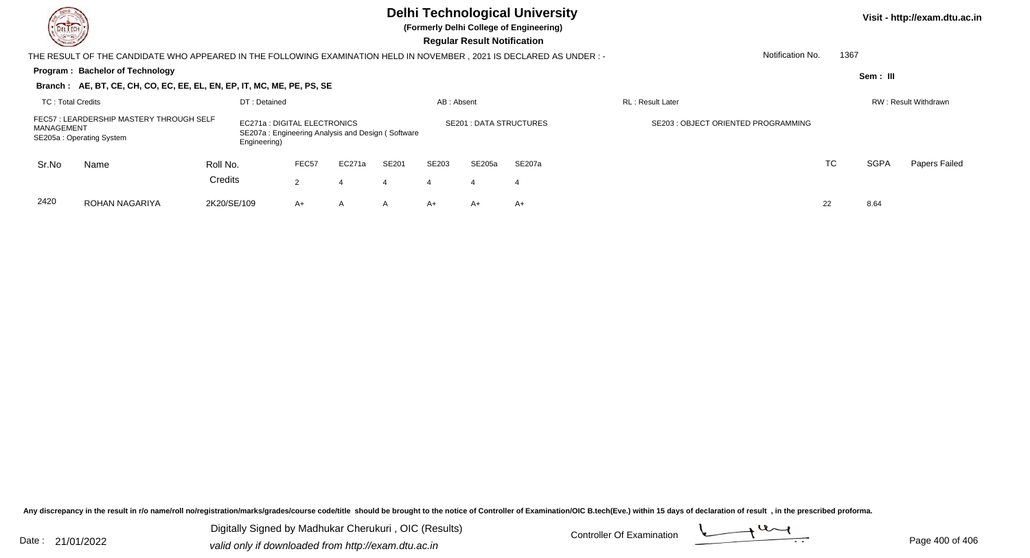## **Delhi Technological University**

**(Formerly Delhi College of Engineering)**

 **Regular Result Notification**

| <b>Course /</b>                                                                                    |                                                                                                                      |             |              |                              |                                                   |              |            | <b>Regular Result Notification</b> |                         |                                     |                  |      |             |                      |
|----------------------------------------------------------------------------------------------------|----------------------------------------------------------------------------------------------------------------------|-------------|--------------|------------------------------|---------------------------------------------------|--------------|------------|------------------------------------|-------------------------|-------------------------------------|------------------|------|-------------|----------------------|
|                                                                                                    | THE RESULT OF THE CANDIDATE WHO APPEARED IN THE FOLLOWING EXAMINATION HELD IN NOVEMBER, 2021 IS DECLARED AS UNDER :- |             |              |                              |                                                   |              |            |                                    |                         |                                     | Notification No. | 1367 |             |                      |
|                                                                                                    | Program: Bachelor of Technology                                                                                      |             |              |                              |                                                   |              |            |                                    |                         |                                     |                  |      | Sem : III   |                      |
|                                                                                                    | Branch: AE, BT, CE, CH, CO, EC, EE, EL, EN, EP, IT, MC, ME, PE, PS, SE                                               |             |              |                              |                                                   |              |            |                                    |                         |                                     |                  |      |             |                      |
| TC: Total Credits                                                                                  |                                                                                                                      |             | DT: Detained |                              |                                                   |              | AB: Absent |                                    |                         | <b>RL</b> : Result Later            |                  |      |             | RW: Result Withdrawn |
| FEC57 : LEARDERSHIP MASTERY THROUGH SELF<br>MANAGEMENT<br>SE205a: Operating System<br>Engineering) |                                                                                                                      |             |              | EC271a : DIGITAL ELECTRONICS | SE207a: Engineering Analysis and Design (Software |              |            |                                    | SE201 : DATA STRUCTURES | SE203 : OBJECT ORIENTED PROGRAMMING |                  |      |             |                      |
| Sr.No                                                                                              | Name                                                                                                                 | Roll No.    |              | FEC <sub>57</sub>            | EC271a                                            | <b>SE201</b> | SE203      | SE205a                             | SE207a                  |                                     |                  | TC   | <b>SGPA</b> | Papers Failed        |
|                                                                                                    |                                                                                                                      | Credits     |              | $\overline{2}$               | 4                                                 | 4            | 4          | 4                                  | 4                       |                                     |                  |      |             |                      |
| 2420                                                                                               | ROHAN NAGARIYA                                                                                                       | 2K20/SE/109 |              | $A+$                         | $\overline{A}$                                    | A            | A+         | $A+$                               | A+                      |                                     |                  | 22   | 8.64        |                      |

Any discrepancy in the result in r/o name/roll no/registration/marks/grades/course code/title should be brought to the notice of Controller of Examination/OIC B.tech(Eve.) within 15 days of declaration of result, in the pr

Date : 21/01/2022 Digital Digital of Microsofted Chemical Controller Of Examination Determination Page 400 of 40 Digitally Signed by Madhukar Cherukuri , OIC (Results)

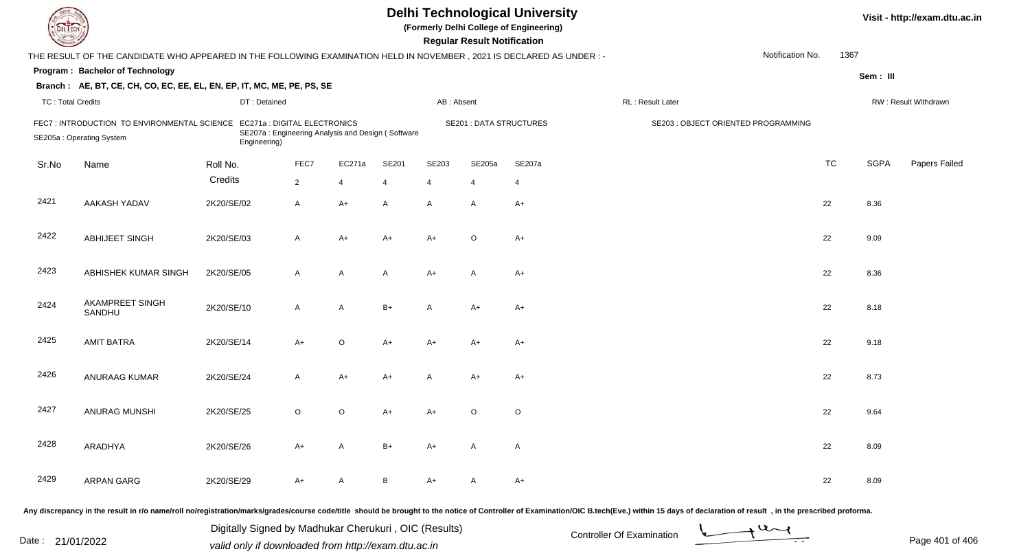| L'I ECH                  | <b>Delhi Technological University</b><br>Visit - http://exam.dtu.ac.in<br>(Formerly Delhi College of Engineering)<br><b>Regular Result Notification</b> |                                                                                                   |                |                |       |                |                                |                |                                                                                                                                                                                                                                |                  |           |             |                      |
|--------------------------|---------------------------------------------------------------------------------------------------------------------------------------------------------|---------------------------------------------------------------------------------------------------|----------------|----------------|-------|----------------|--------------------------------|----------------|--------------------------------------------------------------------------------------------------------------------------------------------------------------------------------------------------------------------------------|------------------|-----------|-------------|----------------------|
|                          | THE RESULT OF THE CANDIDATE WHO APPEARED IN THE FOLLOWING EXAMINATION HELD IN NOVEMBER, 2021 IS DECLARED AS UNDER :-                                    |                                                                                                   |                |                |       |                |                                |                |                                                                                                                                                                                                                                | Notification No. | 1367      |             |                      |
|                          | Program: Bachelor of Technology                                                                                                                         |                                                                                                   |                |                |       |                |                                |                |                                                                                                                                                                                                                                |                  |           | Sem: III    |                      |
|                          | Branch: AE, BT, CE, CH, CO, EC, EE, EL, EN, EP, IT, MC, ME, PE, PS, SE                                                                                  |                                                                                                   |                |                |       |                |                                |                |                                                                                                                                                                                                                                |                  |           |             |                      |
| <b>TC: Total Credits</b> |                                                                                                                                                         | DT: Detained                                                                                      |                |                |       | AB: Absent     |                                |                | RL : Result Later                                                                                                                                                                                                              |                  |           |             | RW: Result Withdrawn |
|                          | FEC7: INTRODUCTION TO ENVIRONMENTAL SCIENCE<br>SE205a: Operating System                                                                                 | EC271a : DIGITAL ELECTRONICS<br>SE207a: Engineering Analysis and Design (Software<br>Engineering) |                |                |       |                | <b>SE201 : DATA STRUCTURES</b> |                | SE203 : OBJECT ORIENTED PROGRAMMING                                                                                                                                                                                            |                  |           |             |                      |
| Sr.No                    | Name                                                                                                                                                    | Roll No.                                                                                          | FEC7           | EC271a         | SE201 | SE203          | SE205a                         | SE207a         |                                                                                                                                                                                                                                |                  | <b>TC</b> | <b>SGPA</b> | Papers Failed        |
|                          |                                                                                                                                                         | Credits                                                                                           | $\overline{2}$ | $\overline{4}$ | 4     | $\overline{4}$ | $\overline{4}$                 | $\overline{4}$ |                                                                                                                                                                                                                                |                  |           |             |                      |
| 2421                     | AAKASH YADAV                                                                                                                                            | 2K20/SE/02                                                                                        | $\mathsf{A}$   | $A+$           | A     | $\mathsf{A}$   | $\overline{A}$                 | $A+$           |                                                                                                                                                                                                                                |                  | 22        | 8.36        |                      |
| 2422                     | ABHIJEET SINGH                                                                                                                                          | 2K20/SE/03                                                                                        | $\mathsf{A}$   | $A+$           | $A+$  | $A+$           | $\circ$                        | $A+$           |                                                                                                                                                                                                                                |                  | 22        | 9.09        |                      |
| 2423                     | ABHISHEK KUMAR SINGH                                                                                                                                    | 2K20/SE/05                                                                                        | A              | A              | A     | A+             | A                              | $A+$           |                                                                                                                                                                                                                                |                  | 22        | 8.36        |                      |
| 2424                     | AKAMPREET SINGH<br>SANDHU                                                                                                                               | 2K20/SE/10                                                                                        | $\mathsf{A}$   | Α              | $B+$  | A              | $A+$                           | $A+$           |                                                                                                                                                                                                                                |                  | 22        | 8.18        |                      |
| 2425                     | <b>AMIT BATRA</b>                                                                                                                                       | 2K20/SE/14                                                                                        | $A+$           | $\circ$        | A+    | A+             | A+                             | $A+$           |                                                                                                                                                                                                                                |                  | 22        | 9.18        |                      |
| 2426                     | ANURAAG KUMAR                                                                                                                                           | 2K20/SE/24                                                                                        | $\mathsf{A}$   | $A+$           | A+    | A              | A+                             | $A+$           |                                                                                                                                                                                                                                |                  | 22        | 8.73        |                      |
| 2427                     | <b>ANURAG MUNSHI</b>                                                                                                                                    | 2K20/SE/25                                                                                        | $\circ$        | $\circ$        | A+    | A+             | $\circ$                        | $\circ$        |                                                                                                                                                                                                                                |                  | 22        | 9.64        |                      |
| 2428                     | ARADHYA                                                                                                                                                 | 2K20/SE/26                                                                                        | A+             | A              | $B+$  | A+             | A                              | $\mathsf{A}$   |                                                                                                                                                                                                                                |                  | 22        | 8.09        |                      |
| 2429                     | <b>ARPAN GARG</b>                                                                                                                                       | 2K20/SE/29                                                                                        | A+             | A              | B     | A+             | A                              | $A+$           |                                                                                                                                                                                                                                |                  | 22        | 8.09        |                      |
|                          |                                                                                                                                                         |                                                                                                   |                |                |       |                |                                |                | ny discrepancy in the result in r/o name/roll no/registration/marks/grades/course code/title should be brought to the notice of Controller of Examination/OIC B.tech(Eve.) within 15 days of declaration of result, in the pre |                  |           |             |                      |

Date : 21/01/2022 Digital Digital of Controller Of Examination Determination Date : 21/01/2022<br>valid only if downloaded from http://exam.dtu.ac.in Digitally Signed by Madhukar Cherukuri , OIC (Results)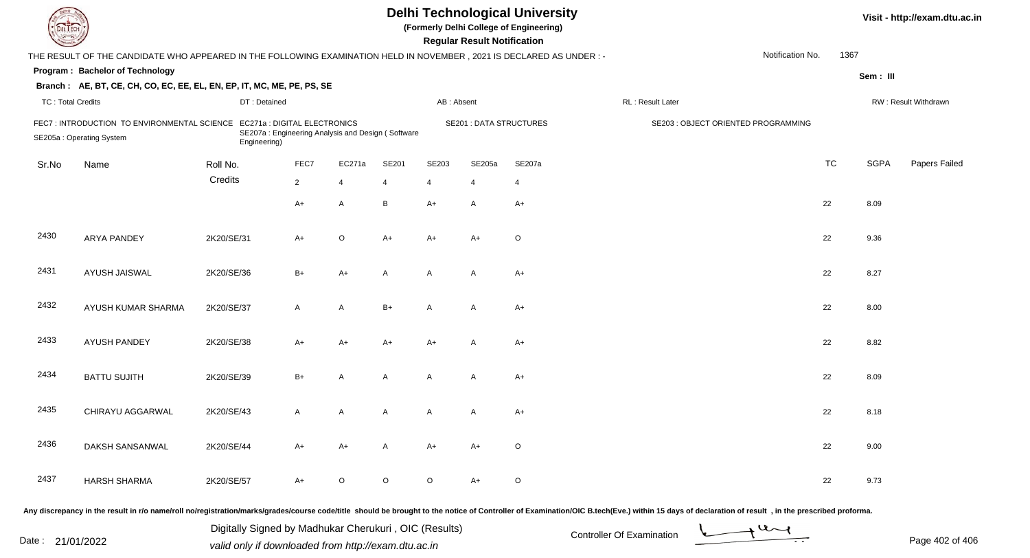| <b>DELTECH</b>           |                                                                                                                      |              |                                                                                   |                |       |            | <b>Regular Result Notification</b> | <b>Delhi Technological University</b><br>(Formerly Delhi College of Engineering) |                                                                                                                                                                                                                                |                  |           |             | Visit - http://exam.dtu.ac.in |
|--------------------------|----------------------------------------------------------------------------------------------------------------------|--------------|-----------------------------------------------------------------------------------|----------------|-------|------------|------------------------------------|----------------------------------------------------------------------------------|--------------------------------------------------------------------------------------------------------------------------------------------------------------------------------------------------------------------------------|------------------|-----------|-------------|-------------------------------|
|                          | THE RESULT OF THE CANDIDATE WHO APPEARED IN THE FOLLOWING EXAMINATION HELD IN NOVEMBER, 2021 IS DECLARED AS UNDER: - |              |                                                                                   |                |       |            |                                    |                                                                                  |                                                                                                                                                                                                                                | Notification No. | 1367      |             |                               |
|                          | Program: Bachelor of Technology                                                                                      |              |                                                                                   |                |       |            |                                    |                                                                                  |                                                                                                                                                                                                                                |                  |           | Sem: III    |                               |
|                          | Branch: AE, BT, CE, CH, CO, EC, EE, EL, EN, EP, IT, MC, ME, PE, PS, SE                                               |              |                                                                                   |                |       |            |                                    |                                                                                  |                                                                                                                                                                                                                                |                  |           |             |                               |
| <b>TC: Total Credits</b> |                                                                                                                      | DT: Detained |                                                                                   |                |       | AB: Absent |                                    |                                                                                  | RL: Result Later                                                                                                                                                                                                               |                  |           |             | RW: Result Withdrawn          |
|                          | FEC7: INTRODUCTION TO ENVIRONMENTAL SCIENCE<br>SE205a: Operating System                                              | Engineering) | EC271a : DIGITAL ELECTRONICS<br>SE207a: Engineering Analysis and Design (Software |                |       |            | <b>SE201 : DATA STRUCTURES</b>     |                                                                                  | SE203 : OBJECT ORIENTED PROGRAMMING                                                                                                                                                                                            |                  |           |             |                               |
| Sr.No                    | Name                                                                                                                 | Roll No.     | FEC7                                                                              | EC271a         | SE201 | SE203      | SE205a                             | SE207a                                                                           |                                                                                                                                                                                                                                |                  | <b>TC</b> | <b>SGPA</b> | Papers Failed                 |
|                          |                                                                                                                      | Credits      | $\overline{2}$                                                                    | $\overline{4}$ | 4     | 4          |                                    | 4                                                                                |                                                                                                                                                                                                                                |                  |           |             |                               |
|                          |                                                                                                                      |              | $A+$                                                                              | $\mathsf{A}$   | B     | A+         | A                                  | $A+$                                                                             |                                                                                                                                                                                                                                |                  | 22        | 8.09        |                               |
| 2430                     | <b>ARYA PANDEY</b>                                                                                                   | 2K20/SE/31   | $A+$                                                                              | $\circ$        | A+    | A+         | $A+$                               | $\circ$                                                                          |                                                                                                                                                                                                                                |                  | 22        | 9.36        |                               |
| 2431                     | AYUSH JAISWAL                                                                                                        | 2K20/SE/36   | $B+$                                                                              | $A+$           | A     | A          | A                                  | $A+$                                                                             |                                                                                                                                                                                                                                |                  | 22        | 8.27        |                               |
| 2432                     | AYUSH KUMAR SHARMA                                                                                                   | 2K20/SE/37   | $\mathsf{A}$                                                                      | $\mathsf{A}$   | $B+$  | A          | A                                  | $A+$                                                                             |                                                                                                                                                                                                                                |                  | 22        | 8.00        |                               |
| 2433                     | <b>AYUSH PANDEY</b>                                                                                                  | 2K20/SE/38   | $A+$                                                                              | $A+$           | A+    | A+         | $\overline{A}$                     | $A+$                                                                             |                                                                                                                                                                                                                                |                  | 22        | 8.82        |                               |
| 2434                     | <b>BATTU SUJITH</b>                                                                                                  | 2K20/SE/39   | $B+$                                                                              | A              | A     | A          | A                                  | $A+$                                                                             |                                                                                                                                                                                                                                |                  | 22        | 8.09        |                               |
| 2435                     | CHIRAYU AGGARWAL                                                                                                     | 2K20/SE/43   | $\mathsf{A}$                                                                      | A              | A     | A          | A                                  | $A+$                                                                             |                                                                                                                                                                                                                                |                  | 22        | 8.18        |                               |
| 2436                     | DAKSH SANSANWAL                                                                                                      | 2K20/SE/44   | A+                                                                                | A+             | Α     | A+         | A+                                 | O                                                                                |                                                                                                                                                                                                                                |                  | 22        | 9.00        |                               |
| 2437                     | <b>HARSH SHARMA</b>                                                                                                  | 2K20/SE/57   | A+                                                                                | $\circ$        | O     | $\circ$    | $A+$                               | $\circ$                                                                          |                                                                                                                                                                                                                                |                  | 22        | 9.73        |                               |
|                          |                                                                                                                      |              |                                                                                   |                |       |            |                                    |                                                                                  | Any discrepancy in the result in r/o name/roll no/registration/marks/grades/course code/title should be brought to the notice of Controller of Examination/OIC B.tech(Eve.) within 15 days of declaration of result , in the p |                  |           |             |                               |

Date : 21/01/2022 Digital Digital of Microsofted Chemical Controller Of Examination Determination Page 402 of 40<br>Valid only if downloaded from http://exam.dtu.ac.in Digitally Signed by Madhukar Cherukuri , OIC (Results)

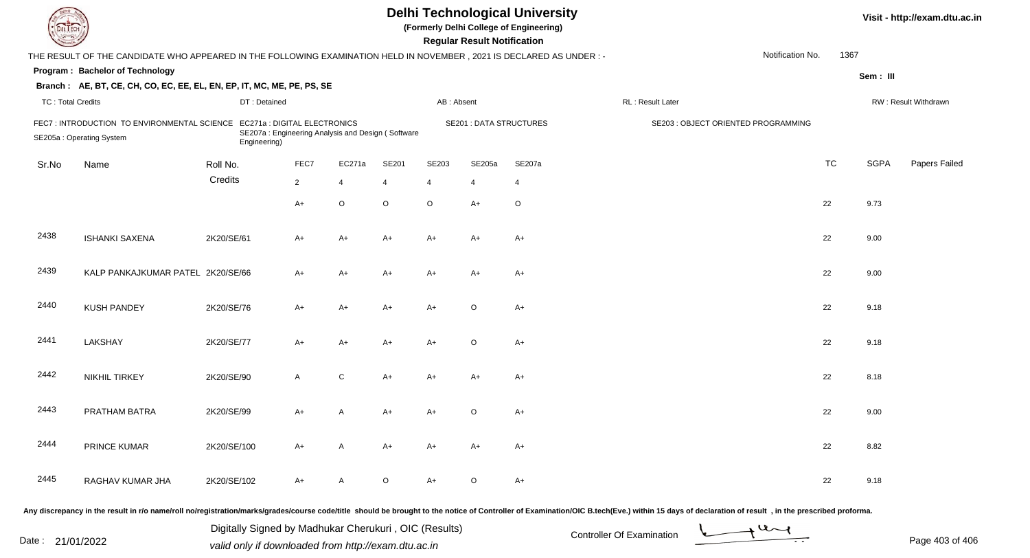| EL ECH                   |                                                                                                                        |                                                                                                   |                |                |         |                | <b>Regular Result Notification</b> | <b>Delhi Technological University</b><br>(Formerly Delhi College of Engineering) |                                     |                  |           |             | Visit - http://exam.dtu.ac.in |
|--------------------------|------------------------------------------------------------------------------------------------------------------------|---------------------------------------------------------------------------------------------------|----------------|----------------|---------|----------------|------------------------------------|----------------------------------------------------------------------------------|-------------------------------------|------------------|-----------|-------------|-------------------------------|
|                          | THE RESULT OF THE CANDIDATE WHO APPEARED IN THE FOLLOWING EXAMINATION HELD IN NOVEMBER , 2021 IS DECLARED AS UNDER : - |                                                                                                   |                |                |         |                |                                    |                                                                                  |                                     | Notification No. | 1367      |             |                               |
|                          | Program: Bachelor of Technology                                                                                        |                                                                                                   |                |                |         |                |                                    |                                                                                  |                                     |                  |           | Sem: III    |                               |
|                          | Branch: AE, BT, CE, CH, CO, EC, EE, EL, EN, EP, IT, MC, ME, PE, PS, SE                                                 |                                                                                                   |                |                |         |                |                                    |                                                                                  |                                     |                  |           |             |                               |
| <b>TC: Total Credits</b> |                                                                                                                        | DT: Detained                                                                                      |                |                |         | AB: Absent     |                                    |                                                                                  | RL: Result Later                    |                  |           |             | RW: Result Withdrawn          |
|                          | FEC7: INTRODUCTION TO ENVIRONMENTAL SCIENCE<br>SE205a: Operating System                                                | EC271a : DIGITAL ELECTRONICS<br>SE207a: Engineering Analysis and Design (Software<br>Engineering) |                |                |         |                | <b>SE201 : DATA STRUCTURES</b>     |                                                                                  | SE203 : OBJECT ORIENTED PROGRAMMING |                  |           |             |                               |
| Sr.No                    | Name                                                                                                                   | Roll No.                                                                                          | FEC7           | EC271a         | SE201   | SE203          | SE205a                             | SE207a                                                                           |                                     |                  | <b>TC</b> | <b>SGPA</b> | Papers Failed                 |
|                          |                                                                                                                        | Credits                                                                                           | $\overline{2}$ | $\overline{4}$ | 4       | $\overline{4}$ | 4                                  | $\overline{4}$                                                                   |                                     |                  |           |             |                               |
|                          |                                                                                                                        |                                                                                                   | $A+$           | O              | $\circ$ | $\circ$        | $A+$                               | $\circ$                                                                          |                                     |                  | 22        | 9.73        |                               |
| 2438                     | <b>ISHANKI SAXENA</b>                                                                                                  | 2K20/SE/61                                                                                        | A+             | A+             | A+      | $A+$           | $A+$                               | $A+$                                                                             |                                     |                  | 22        | 9.00        |                               |
| 2439                     | KALP PANKAJKUMAR PATEL 2K20/SE/66                                                                                      |                                                                                                   | A+             | A+             | A+      | $A+$           | $A+$                               | $A+$                                                                             |                                     |                  | 22        | 9.00        |                               |
| 2440                     | <b>KUSH PANDEY</b>                                                                                                     | 2K20/SE/76                                                                                        | A+             | A+             | A+      | A+             | $\circ$                            | $A+$                                                                             |                                     |                  | 22        | 9.18        |                               |
| 2441                     | LAKSHAY                                                                                                                | 2K20/SE/77                                                                                        | A+             | A+             | A+      | $A+$           | $\circ$                            | $A+$                                                                             |                                     |                  | 22        | 9.18        |                               |
| 2442                     | <b>NIKHIL TIRKEY</b>                                                                                                   | 2K20/SE/90                                                                                        | A              | $\mathbf C$    | A+      | A+             | $A+$                               | $A+$                                                                             |                                     |                  | 22        | 8.18        |                               |
| 2443                     | PRATHAM BATRA                                                                                                          | 2K20/SE/99                                                                                        | A+             | A              | A+      | A+             | $\circ$                            | A+                                                                               |                                     |                  | 22        | 9.00        |                               |
| 2444                     | PRINCE KUMAR                                                                                                           | 2K20/SE/100                                                                                       | A+             | A              | A+      | A+             | A+                                 | A+                                                                               |                                     |                  | 22        | 8.82        |                               |
| 2445                     | RAGHAV KUMAR JHA                                                                                                       | 2K20/SE/102                                                                                       | A+             | A              | $\circ$ | $A+$           | $\circ$                            | $A+$                                                                             |                                     |                  | 22        | 9.18        |                               |
|                          |                                                                                                                        |                                                                                                   |                |                |         |                |                                    |                                                                                  |                                     |                  |           |             |                               |

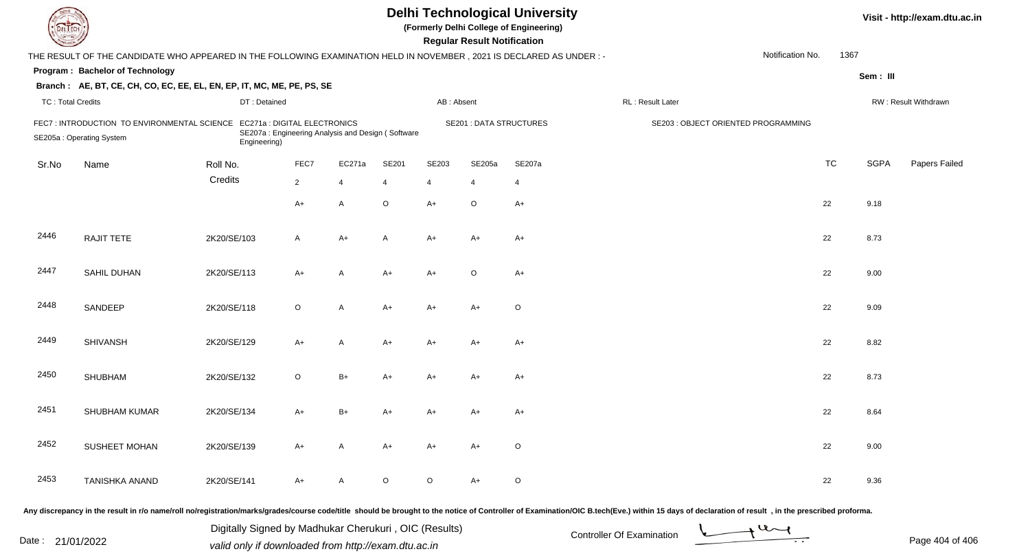| <b>Delhi Technological University</b><br>Visit - http://exam.dtu.ac.in<br>(Formerly Delhi College of Engineering)<br>DEL ECH<br><b>Regular Result Notification</b> |                                                                                                                     |              |                                                   |              |                |            |                                |                |                                                                                                                                                                                                                                |                  |           |             |                      |
|--------------------------------------------------------------------------------------------------------------------------------------------------------------------|---------------------------------------------------------------------------------------------------------------------|--------------|---------------------------------------------------|--------------|----------------|------------|--------------------------------|----------------|--------------------------------------------------------------------------------------------------------------------------------------------------------------------------------------------------------------------------------|------------------|-----------|-------------|----------------------|
|                                                                                                                                                                    | THE RESULT OF THE CANDIDATE WHO APPEARED IN THE FOLLOWING EXAMINATION HELD IN NOVEMBER, 2021 IS DECLARED AS UNDER:- |              |                                                   |              |                |            |                                |                |                                                                                                                                                                                                                                | Notification No. | 1367      |             |                      |
|                                                                                                                                                                    | Program: Bachelor of Technology                                                                                     |              |                                                   |              |                |            |                                |                |                                                                                                                                                                                                                                |                  |           | Sem: III    |                      |
|                                                                                                                                                                    | Branch: AE, BT, CE, CH, CO, EC, EE, EL, EN, EP, IT, MC, ME, PE, PS, SE                                              |              |                                                   |              |                |            |                                |                |                                                                                                                                                                                                                                |                  |           |             |                      |
| <b>TC: Total Credits</b>                                                                                                                                           |                                                                                                                     | DT: Detained |                                                   |              |                | AB: Absent |                                |                | RL: Result Later                                                                                                                                                                                                               |                  |           |             | RW: Result Withdrawn |
|                                                                                                                                                                    | FEC7 : INTRODUCTION TO ENVIRONMENTAL SCIENCE EC271a : DIGITAL ELECTRONICS<br>SE205a: Operating System               | Engineering) | SE207a: Engineering Analysis and Design (Software |              |                |            | <b>SE201 : DATA STRUCTURES</b> |                | SE203 : OBJECT ORIENTED PROGRAMMING                                                                                                                                                                                            |                  |           |             |                      |
| Sr.No                                                                                                                                                              | Name                                                                                                                | Roll No.     | FEC7                                              | EC271a       | SE201          | SE203      | SE205a                         | SE207a         |                                                                                                                                                                                                                                |                  | <b>TC</b> | <b>SGPA</b> | Papers Failed        |
|                                                                                                                                                                    |                                                                                                                     | Credits      | $\overline{2}$                                    | 4            | $\overline{4}$ | 4          |                                | $\overline{4}$ |                                                                                                                                                                                                                                |                  |           |             |                      |
|                                                                                                                                                                    |                                                                                                                     |              | $A+$                                              | A            | $\circ$        | $A+$       | $\circ$                        | $A+$           |                                                                                                                                                                                                                                |                  | 22        | 9.18        |                      |
| 2446                                                                                                                                                               | RAJIT TETE                                                                                                          | 2K20/SE/103  | $\mathsf{A}$                                      | $A+$         | A              | A+         | A+                             | $A+$           |                                                                                                                                                                                                                                |                  | 22        | 8.73        |                      |
| 2447                                                                                                                                                               | <b>SAHIL DUHAN</b>                                                                                                  | 2K20/SE/113  | $A+$                                              | A            | A+             | A+         | $\circ$                        | $A+$           |                                                                                                                                                                                                                                |                  | 22        | 9.00        |                      |
| 2448                                                                                                                                                               | SANDEEP                                                                                                             | 2K20/SE/118  | $\circ$                                           | $\mathsf{A}$ | $A+$           | A+         | A+                             | $\circ$        |                                                                                                                                                                                                                                |                  | 22        | 9.09        |                      |
| 2449                                                                                                                                                               | <b>SHIVANSH</b>                                                                                                     | 2K20/SE/129  | $A+$                                              | $\mathsf{A}$ | A+             | A+         | A+                             | $A+$           |                                                                                                                                                                                                                                |                  | 22        | 8.82        |                      |
| 2450                                                                                                                                                               | <b>SHUBHAM</b>                                                                                                      | 2K20/SE/132  | $\circ$                                           | $B+$         | $A+$           | A+         | $A+$                           | $A+$           |                                                                                                                                                                                                                                |                  | 22        | 8.73        |                      |
| 2451                                                                                                                                                               | SHUBHAM KUMAR                                                                                                       | 2K20/SE/134  | $A+$                                              | $B+$         | A+             | A+         | A+                             | A+             |                                                                                                                                                                                                                                |                  | 22        | 8.64        |                      |
| 2452                                                                                                                                                               | SUSHEET MOHAN                                                                                                       | 2K20/SE/139  | A+                                                | A            | A+             | A+         | A+                             | O              |                                                                                                                                                                                                                                |                  | 22        | 9.00        |                      |
| 2453                                                                                                                                                               | TANISHKA ANAND                                                                                                      | 2K20/SE/141  | A+                                                | A            | O              | $\circ$    | A+                             | $\circ$        |                                                                                                                                                                                                                                |                  | 22        | 9.36        |                      |
|                                                                                                                                                                    |                                                                                                                     |              |                                                   |              |                |            |                                |                | Any discrepancy in the result in r/o name/roll no/registration/marks/grades/course code/title should be brought to the notice of Controller of Examination/OIC B.tech(Eve.) within 15 days of declaration of result , in the p |                  |           |             |                      |

Date : 21/01/2022 Digital Digital of Microsofted Chemical Controller Of Examination Determination Page 404 of 40<br>Valid only if downloaded from http://exam.dtu.ac.in Digitally Signed by Madhukar Cherukuri , OIC (Results)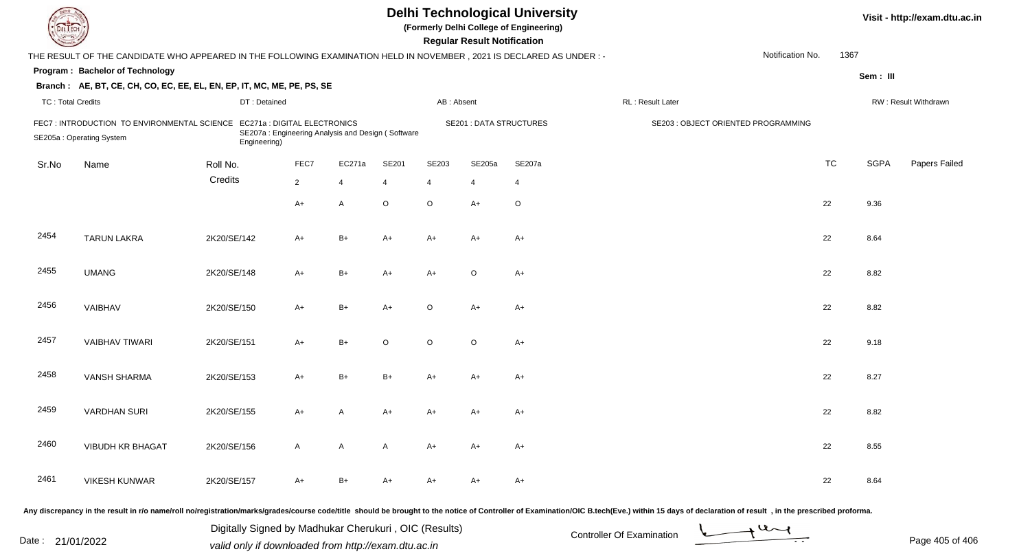| EL ECH                   |                                                                                                                       |              |                                                                                   |                |         |                | <b>Regular Result Notification</b> | <b>Delhi Technological University</b><br>(Formerly Delhi College of Engineering) |                                     |                  |           |             | Visit - http://exam.dtu.ac.in |
|--------------------------|-----------------------------------------------------------------------------------------------------------------------|--------------|-----------------------------------------------------------------------------------|----------------|---------|----------------|------------------------------------|----------------------------------------------------------------------------------|-------------------------------------|------------------|-----------|-------------|-------------------------------|
|                          | THE RESULT OF THE CANDIDATE WHO APPEARED IN THE FOLLOWING EXAMINATION HELD IN NOVEMBER , 2021 IS DECLARED AS UNDER :- |              |                                                                                   |                |         |                |                                    |                                                                                  |                                     | Notification No. | 1367      |             |                               |
|                          | Program: Bachelor of Technology                                                                                       |              |                                                                                   |                |         |                |                                    |                                                                                  |                                     |                  |           | Sem: III    |                               |
|                          | Branch: AE, BT, CE, CH, CO, EC, EE, EL, EN, EP, IT, MC, ME, PE, PS, SE                                                |              |                                                                                   |                |         |                |                                    |                                                                                  |                                     |                  |           |             |                               |
| <b>TC: Total Credits</b> |                                                                                                                       | DT: Detained |                                                                                   |                |         | AB: Absent     |                                    |                                                                                  | RL: Result Later                    |                  |           |             | RW: Result Withdrawn          |
|                          | FEC7: INTRODUCTION TO ENVIRONMENTAL SCIENCE<br>SE205a: Operating System                                               | Engineering) | EC271a : DIGITAL ELECTRONICS<br>SE207a: Engineering Analysis and Design (Software |                |         |                | <b>SE201 : DATA STRUCTURES</b>     |                                                                                  | SE203 : OBJECT ORIENTED PROGRAMMING |                  |           |             |                               |
| Sr.No                    | Name                                                                                                                  | Roll No.     | FEC7                                                                              | EC271a         | SE201   | SE203          | SE205a                             | SE207a                                                                           |                                     |                  | <b>TC</b> | <b>SGPA</b> | Papers Failed                 |
|                          |                                                                                                                       | Credits      | $\overline{2}$                                                                    | $\overline{4}$ | 4       | $\overline{4}$ | 4                                  | 4                                                                                |                                     |                  |           |             |                               |
|                          |                                                                                                                       |              | $A+$                                                                              | A              | $\circ$ | $\circ$        | $A+$                               | $\circ$                                                                          |                                     |                  | 22        | 9.36        |                               |
| 2454                     | <b>TARUN LAKRA</b>                                                                                                    | 2K20/SE/142  | A+                                                                                | $B+$           | A+      | $A+$           | $A+$                               | A+                                                                               |                                     |                  | 22        | 8.64        |                               |
| 2455                     | <b>UMANG</b>                                                                                                          | 2K20/SE/148  | A+                                                                                | B+             | A+      | $A+$           | $\circ$                            | $A+$                                                                             |                                     |                  | 22        | 8.82        |                               |
| 2456                     | VAIBHAV                                                                                                               | 2K20/SE/150  | $A+$                                                                              | $B+$           | $A+$    | $\circ$        | $A+$                               | $A+$                                                                             |                                     |                  | 22        | 8.82        |                               |
| 2457                     | <b>VAIBHAV TIWARI</b>                                                                                                 | 2K20/SE/151  | $A+$                                                                              | $B+$           | O       | $\circ$        | $\circ$                            | $A+$                                                                             |                                     |                  | 22        | 9.18        |                               |
| 2458                     | <b>VANSH SHARMA</b>                                                                                                   | 2K20/SE/153  | A+                                                                                | B+             | $B+$    | A+             | $A+$                               | $A+$                                                                             |                                     |                  | 22        | 8.27        |                               |
| 2459                     | <b>VARDHAN SURI</b>                                                                                                   | 2K20/SE/155  | A+                                                                                | Α              | A+      | A+             | A+                                 | A+                                                                               |                                     |                  | 22        | 8.82        |                               |
| 2460                     | <b>VIBUDH KR BHAGAT</b>                                                                                               | 2K20/SE/156  | A                                                                                 | A              | A       | A+             | A+                                 | $A+$                                                                             |                                     |                  | 22        | 8.55        |                               |
| 2461                     | <b>VIKESH KUNWAR</b>                                                                                                  | 2K20/SE/157  | A+                                                                                | $B+$           | A+      | A+             | A+                                 | $A+$                                                                             |                                     |                  | 22        | 8.64        |                               |
|                          |                                                                                                                       |              |                                                                                   |                |         |                |                                    |                                                                                  |                                     |                  |           |             |                               |